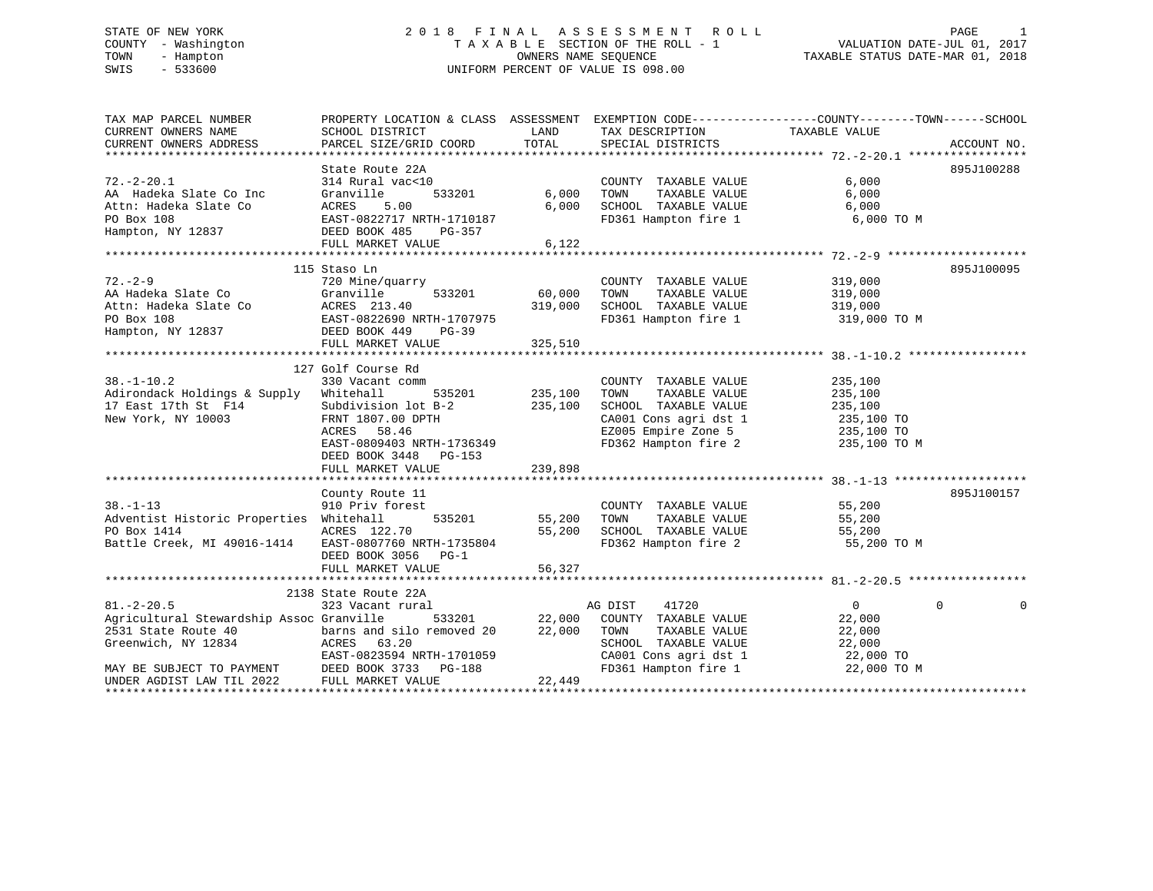# STATE OF NEW YORK 2 0 1 8 F I N A L A S S E S S M E N T R O L L PAGE 1 COUNTY - Washington T A X A B L E SECTION OF THE ROLL - 1 VALUATION DATE-JUL 01, 2017 TOWN - Hampton OWNERS NAME SEQUENCE TAXABLE STATUS DATE-MAR 01, 2018 SWIS - 533600 UNIFORM PERCENT OF VALUE IS 098.00

| TAX MAP PARCEL NUMBER                                                                                                                                         |                                                                                                                                |                |                                                                    | PROPERTY LOCATION & CLASS ASSESSMENT EXEMPTION CODE---------------COUNTY-------TOWN------SCHOOL |            |
|---------------------------------------------------------------------------------------------------------------------------------------------------------------|--------------------------------------------------------------------------------------------------------------------------------|----------------|--------------------------------------------------------------------|-------------------------------------------------------------------------------------------------|------------|
| CURRENT OWNERS NAME                                                                                                                                           | SCHOOL DISTRICT                                                                                                                | LAND           | TAX DESCRIPTION                                                    | TAXABLE VALUE                                                                                   |            |
|                                                                                                                                                               |                                                                                                                                |                |                                                                    |                                                                                                 |            |
|                                                                                                                                                               |                                                                                                                                |                |                                                                    |                                                                                                 |            |
|                                                                                                                                                               | State Route 22A                                                                                                                |                |                                                                    |                                                                                                 | 895J100288 |
| $72. - 2 - 20.1$                                                                                                                                              | 314 Rural vac<10                                                                                                               |                | COUNTY TAXABLE VALUE                                               | 6,000                                                                                           |            |
|                                                                                                                                                               | 533201                                                                                                                         | 6,000          | TOWN<br>TAXABLE VALUE                                              | 6,000                                                                                           |            |
|                                                                                                                                                               |                                                                                                                                | 6,000          | SCHOOL TAXABLE VALUE                                               | 6,000                                                                                           |            |
|                                                                                                                                                               |                                                                                                                                |                |                                                                    | FD361 Hampton fire 1 6,000 TO M                                                                 |            |
| AA Hadeka Slate Co Inc Granville 533201<br>Attn: Hadeka Slate Co ACRES 5.00<br>PO Box 108 EAST-0822717 NRTH-1710187<br>Hampton, NY 12837 DEED BOOK 485 PG-357 |                                                                                                                                |                |                                                                    |                                                                                                 |            |
|                                                                                                                                                               | FULL MARKET VALUE                                                                                                              | 6,122          |                                                                    |                                                                                                 |            |
|                                                                                                                                                               |                                                                                                                                |                |                                                                    |                                                                                                 |            |
|                                                                                                                                                               | 115 Staso Ln                                                                                                                   |                |                                                                    |                                                                                                 | 895J100095 |
| $72. - 2 - 9$                                                                                                                                                 | 720 Mine/quarry                                                                                                                |                | COUNTY TAXABLE VALUE 319,000                                       |                                                                                                 |            |
| AA Hadeka Slate Co                                                                                                                                            |                                                                                                                                | 60,000         | TOWN<br>TAXABLE VALUE                                              |                                                                                                 |            |
| Attn: Hadeka Slate Co                                                                                                                                         |                                                                                                                                | 319,000        | SCHOOL TAXABLE VALUE                                               | 319,000<br>319,000                                                                              |            |
| PO Box 108                                                                                                                                                    |                                                                                                                                |                |                                                                    | FD361 Hampton fire 1 319,000 TO M                                                               |            |
| Hampton, NY 12837                                                                                                                                             |                                                                                                                                |                |                                                                    |                                                                                                 |            |
|                                                                                                                                                               | Granville 533201<br>ACRES 213.40<br>EAST-0822690 NRTH-1707975<br>DEED BOOK 449 PG-39<br>RHILL MADERS WARD<br>FULL MARKET VALUE | 325,510        |                                                                    |                                                                                                 |            |
|                                                                                                                                                               |                                                                                                                                |                |                                                                    |                                                                                                 |            |
|                                                                                                                                                               | 127 Golf Course Rd                                                                                                             |                |                                                                    |                                                                                                 |            |
| $38. - 1 - 10.2$                                                                                                                                              | 330 Vacant comm                                                                                                                |                | COUNTY TAXABLE VALUE                                               | 235,100                                                                                         |            |
| Adirondack Holdings & Supply Whitehall                                                                                                                        |                                                                                                                                | 535201 235,100 | TOWN<br>TAXABLE VALUE                                              | 235,100                                                                                         |            |
| 17 East 17th St F14                                                                                                                                           | Subdivision lot B-2 235,100                                                                                                    |                | SCHOOL TAXABLE VALUE 235,100                                       |                                                                                                 |            |
| New York, NY 10003                                                                                                                                            | FRNT 1807.00 DPTH                                                                                                              |                |                                                                    |                                                                                                 |            |
|                                                                                                                                                               | ACRES 58.46                                                                                                                    |                | CA001 Cons agri dst 1 235,100 TO<br>EZ005 Empire Zone 5 235,100 TO |                                                                                                 |            |
|                                                                                                                                                               |                                                                                                                                |                |                                                                    |                                                                                                 |            |
|                                                                                                                                                               | EAST-0809403 NRTH-1736349                                                                                                      |                |                                                                    | FD362 Hampton fire 2 235,100 TO M                                                               |            |
|                                                                                                                                                               | DEED BOOK 3448 PG-153                                                                                                          |                |                                                                    |                                                                                                 |            |
|                                                                                                                                                               | FULL MARKET VALUE                                                                                                              | 239,898        |                                                                    |                                                                                                 |            |
|                                                                                                                                                               |                                                                                                                                |                |                                                                    |                                                                                                 |            |
|                                                                                                                                                               | County Route 11                                                                                                                |                |                                                                    |                                                                                                 | 895J100157 |
| $38. - 1 - 13$                                                                                                                                                | 910 Priv forest                                                                                                                | 55,200         | COUNTY TAXABLE VALUE 55,200                                        |                                                                                                 |            |
| Adventist Historic Properties Whitehall                                                                                                                       | 535201                                                                                                                         |                | TOWN<br>TAXABLE VALUE                                              | 55,200                                                                                          |            |
| PO Box 1414                                                                                                                                                   | ACRES 122.70                                                                                                                   | 55,200         | SCHOOL TAXABLE VALUE 55,200                                        |                                                                                                 |            |
| Battle Creek, MI 49016-1414                                                                                                                                   | EAST-0807760 NRTH-1735804                                                                                                      |                | FD362 Hampton fire 2                                               | 55,200 TO M                                                                                     |            |
|                                                                                                                                                               | DEED BOOK 3056 PG-1                                                                                                            |                |                                                                    |                                                                                                 |            |
|                                                                                                                                                               | FULL MARKET VALUE                                                                                                              | 56,327         |                                                                    |                                                                                                 |            |
|                                                                                                                                                               |                                                                                                                                |                |                                                                    |                                                                                                 |            |
|                                                                                                                                                               | 2138 State Route 22A                                                                                                           |                |                                                                    |                                                                                                 |            |
| $81. - 2 - 20.5$                                                                                                                                              | 323 Vacant rural                                                                                                               |                | AG DIST 41720                                                      | $\overline{0}$<br>$\Omega$                                                                      | $\Omega$   |
| Agricultural Stewardship Assoc Granville                                                                                                                      |                                                                                                                                | 533201 22,000  | COUNTY TAXABLE VALUE                                               | 22,000                                                                                          |            |
| 2531 State Route 40                                                                                                                                           | barns and silo removed 20<br>ACRES    63.20                                                                                    |                | 22,000 TOWN TAXABLE VALUE                                          | 22,000                                                                                          |            |
| Greenwich, NY 12834                                                                                                                                           |                                                                                                                                |                | SCHOOL TAXABLE VALUE                                               | 22,000                                                                                          |            |
|                                                                                                                                                               | EAST-0823594 NRTH-1701059                                                                                                      |                | CA001 Cons agri dst 1 22,000 TO                                    |                                                                                                 |            |
| MAY BE SUBJECT TO PAYMENT                                                                                                                                     | DEED BOOK 3733 PG-188                                                                                                          |                | FD361 Hampton fire 1                                               | 22,000 TO M                                                                                     |            |
| UNDER AGDIST LAW TIL 2022                                                                                                                                     | FULL MARKET VALUE                                                                                                              | 22,449         |                                                                    |                                                                                                 |            |
|                                                                                                                                                               |                                                                                                                                |                |                                                                    |                                                                                                 |            |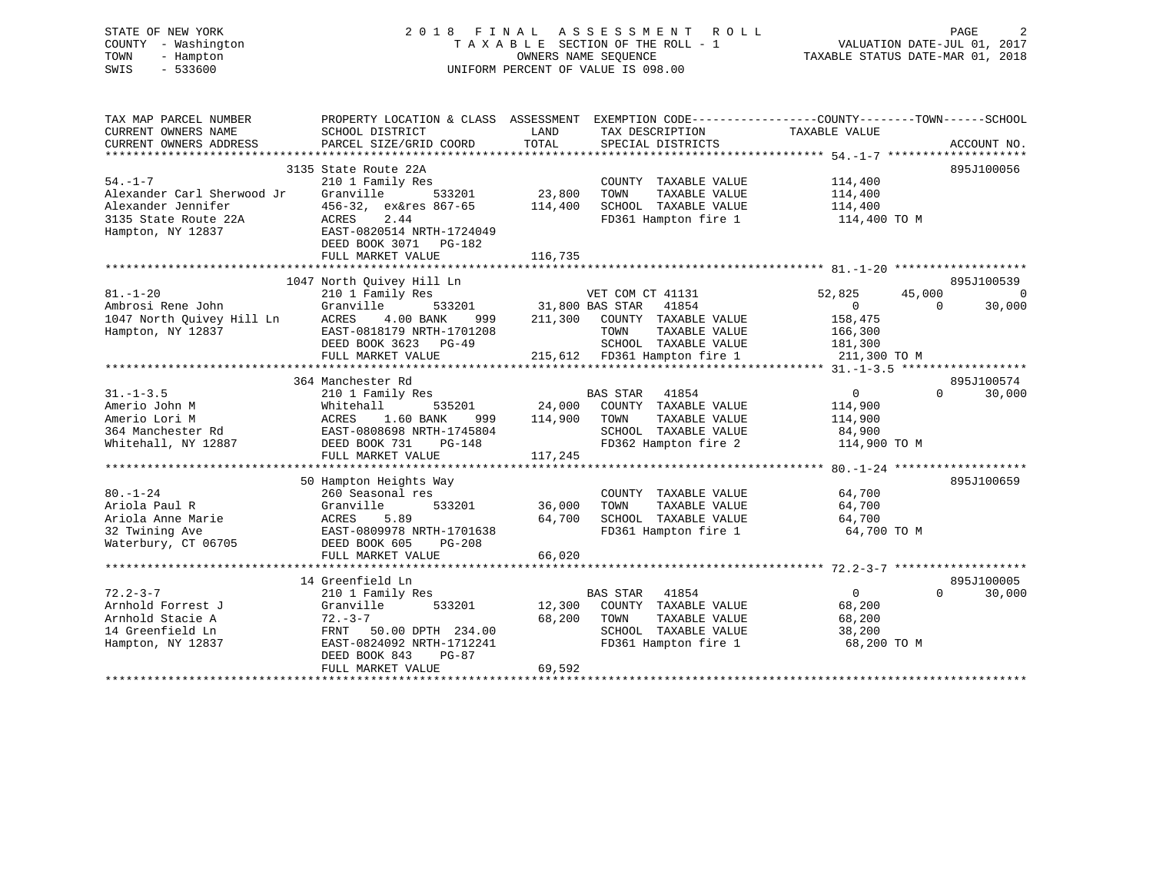# STATE OF NEW YORK 2 0 1 8 F I N A L A S S E S S M E N T R O L L PAGE 2 COUNTY - Washington T A X A B L E SECTION OF THE ROLL - 1 VALUATION DATE-JUL 01, 2017 TOWN - Hampton OWNERS NAME SEQUENCE TAXABLE STATUS DATE-MAR 01, 2018 SWIS - 533600 UNIFORM PERCENT OF VALUE IS 098.00

| TAX MAP PARCEL NUMBER                                         | PROPERTY LOCATION & CLASS ASSESSMENT EXEMPTION CODE---------------COUNTY-------TOWN------SCHOOL |                  |                                                             |                  |                    |
|---------------------------------------------------------------|-------------------------------------------------------------------------------------------------|------------------|-------------------------------------------------------------|------------------|--------------------|
| CURRENT OWNERS NAME                                           | SCHOOL DISTRICT                                                                                 | LAND             | TAX DESCRIPTION                                             | TAXABLE VALUE    |                    |
| CURRENT OWNERS ADDRESS                                        | PARCEL SIZE/GRID COORD                                                                          | TOTAL            | SPECIAL DISTRICTS                                           |                  | ACCOUNT NO.        |
|                                                               |                                                                                                 |                  |                                                             |                  |                    |
|                                                               | 3135 State Route 22A                                                                            |                  |                                                             |                  | 895J100056         |
| $54. -1 - 7$                                                  | 210 1 Family Res                                                                                |                  | COUNTY TAXABLE VALUE                                        | 114,400          |                    |
| Alexander Carl Sherwood Jr                                    | Granville<br>533201                                                                             | 23,800           | TAXABLE VALUE<br>TOWN                                       | 114,400          |                    |
| Alexander Jennifer                                            | 456-32, ex&res 867-65 114,400                                                                   |                  | SCHOOL TAXABLE VALUE 114,400                                |                  |                    |
| 3135 State Route 22A                                          | 2.44<br>ACRES                                                                                   |                  | FD361 Hampton fire 1 114,400 TO M                           |                  |                    |
| Hampton, NY 12837                                             | EAST-0820514 NRTH-1724049                                                                       |                  |                                                             |                  |                    |
|                                                               | DEED BOOK 3071 PG-182                                                                           |                  |                                                             |                  |                    |
|                                                               | FULL MARKET VALUE                                                                               | 116,735          |                                                             |                  |                    |
|                                                               |                                                                                                 |                  |                                                             |                  |                    |
|                                                               | 1047 North Quivey Hill Ln                                                                       |                  |                                                             |                  | 895J100539         |
| $81. - 1 - 20$                                                | 210 1 Family Res                                                                                |                  | VET COM CT 41131                                            | 52,825<br>45,000 | $\overline{0}$     |
| Ambrosi Rene John                                             | Granville                                                                                       |                  | 533201 31,800 BAS STAR 41854                                | $\overline{0}$   | $\Omega$<br>30,000 |
| 1047 North Quivey Hill Ln<br>Hampton, NY 12837                | 4.00 BANK<br>ACRES                                                                              |                  | 999 211,300 COUNTY TAXABLE VALUE                            | 158,475          |                    |
| Hampton, NY 12837                                             | EAST-0818179 NRTH-1701208                                                                       |                  | TAXABLE VALUE<br>TOWN                                       | 166,300          |                    |
|                                                               | DEED BOOK 3623 PG-49                                                                            |                  | SCHOOL TAXABLE VALUE 181,300                                |                  |                    |
|                                                               | FULL MARKET VALUE                                                                               |                  | 215,612 FD361 Hampton fire 1                                | 211,300 TO M     |                    |
|                                                               |                                                                                                 |                  |                                                             |                  |                    |
|                                                               | 364 Manchester Rd                                                                               |                  |                                                             |                  | 895J100574         |
| $31. - 1 - 3.5$                                               | 210 1 Family Res                                                                                |                  | <b>BAS STAR 41854</b><br>535201 24,000 COUNTY TAXABLE VALUE | 0                | $\Omega$<br>30,000 |
| Amerio John M                                                 | Whitehall<br>ACRES 1.00 PM<br>EAST-0808698 NRTH-1745804<br>Fast 121 PG-148                      |                  |                                                             | 114,900          |                    |
| Amerio Lori M                                                 |                                                                                                 | 999 114,900 TOWN | TAXABLE VALUE<br>SCHOOL TAXABLE VALUE                       | 114,900          |                    |
| 364 Manchester Rd<br>Whitehall, NY 12887 DEED BOOK 731 PG-148 |                                                                                                 |                  | FD362 Hampton fire 2 114,900 TO M                           | 84,900           |                    |
|                                                               | FULL MARKET VALUE                                                                               |                  |                                                             |                  |                    |
|                                                               |                                                                                                 | 117,245          |                                                             |                  |                    |
|                                                               | 50 Hampton Heights Way                                                                          |                  |                                                             |                  | 895J100659         |
| $80. - 1 - 24$                                                | 260 Seasonal res                                                                                |                  | COUNTY TAXABLE VALUE                                        | 64,700           |                    |
| Ariola Paul R                                                 | Granville<br>533201                                                                             | 36,000           | TAXABLE VALUE<br>TOWN                                       | 64,700           |                    |
|                                                               | 5.89<br>ACRES                                                                                   | 64,700           | SCHOOL TAXABLE VALUE                                        | 64,700           |                    |
| Ariola Paul R<br>Ariola Anne Marie<br>32 Twining Ave          | EAST-0809978 NRTH-1701638                                                                       |                  | FD361 Hampton fire 1                                        | 64,700 TO M      |                    |
| Waterbury, CT 06705                                           | DEED BOOK 605<br>$PG-208$                                                                       |                  |                                                             |                  |                    |
|                                                               | FULL MARKET VALUE                                                                               | 66,020           |                                                             |                  |                    |
|                                                               |                                                                                                 |                  |                                                             |                  |                    |
|                                                               | 14 Greenfield Ln                                                                                |                  |                                                             |                  | 895J100005         |
| $72.2 - 3 - 7$                                                | 210 1 Family Res                                                                                |                  | BAS STAR 41854                                              | $\overline{0}$   | 30,000<br>$\Omega$ |
| Arnhold Forrest J                                             | Granville<br>533201                                                                             |                  | 12,300 COUNTY TAXABLE VALUE                                 | 68,200           |                    |
| Arnhold Stacie A                                              | $72 - 3 - 7$                                                                                    | 68,200 TOWN      | TAXABLE VALUE                                               | 68,200           |                    |
| 14 Greenfield Ln                                              | FRNT 50.00 DPTH 234.00                                                                          |                  | SCHOOL TAXABLE VALUE                                        | 38,200           |                    |
| Hampton, NY 12837                                             | EAST-0824092 NRTH-1712241                                                                       |                  | FD361 Hampton fire 1                                        | 68,200 TO M      |                    |
|                                                               | DEED BOOK 843<br>PG-87                                                                          |                  |                                                             |                  |                    |
|                                                               | FULL MARKET VALUE                                                                               | 69,592           |                                                             |                  |                    |
|                                                               |                                                                                                 |                  |                                                             |                  |                    |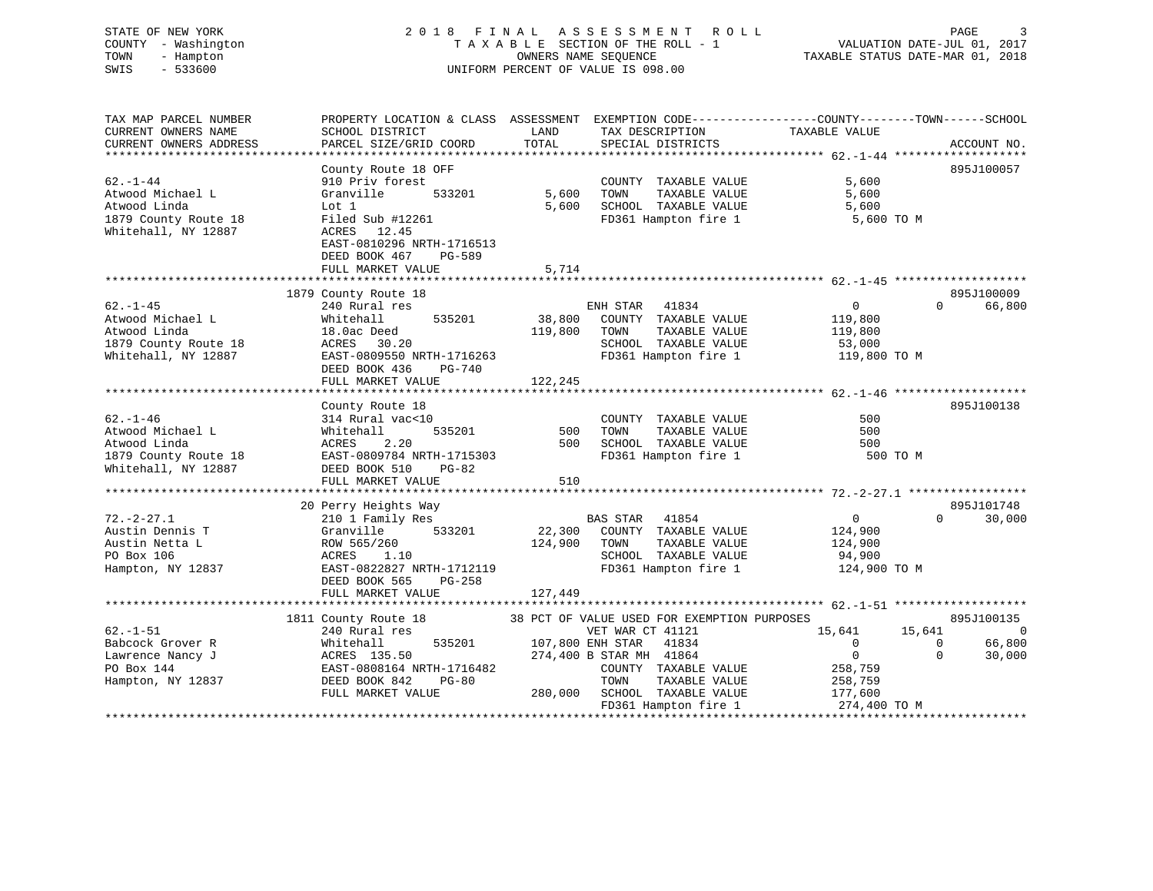# STATE OF NEW YORK 2 0 1 8 F I N A L A S S E S S M E N T R O L L PAGE 3 COUNTY - Washington T A X A B L E SECTION OF THE ROLL - 1 VALUATION DATE-JUL 01, 2017 TOWN - Hampton OWNERS NAME SEQUENCE TAXABLE STATUS DATE-MAR 01, 2018 SWIS - 533600 UNIFORM PERCENT OF VALUE IS 098.00

| TAX MAP PARCEL NUMBER  | PROPERTY LOCATION & CLASS ASSESSMENT EXEMPTION CODE---------------COUNTY-------TOWN-----SCHOOL |                  |                                             |                |                          |
|------------------------|------------------------------------------------------------------------------------------------|------------------|---------------------------------------------|----------------|--------------------------|
| CURRENT OWNERS NAME    | SCHOOL DISTRICT                                                                                | LAND             | TAX DESCRIPTION                             | TAXABLE VALUE  |                          |
| CURRENT OWNERS ADDRESS | PARCEL SIZE/GRID COORD                                                                         | TOTAL            | SPECIAL DISTRICTS                           |                | ACCOUNT NO.              |
|                        |                                                                                                |                  |                                             |                |                          |
|                        | County Route 18 OFF                                                                            |                  |                                             |                | 895J100057               |
| $62. - 1 - 44$         | 910 Priv forest                                                                                |                  | COUNTY TAXABLE VALUE                        | 5,600          |                          |
| Atwood Michael L       | 533201<br>Granville                                                                            | 5,600            | TAXABLE VALUE<br>TOWN                       | 5,600          |                          |
|                        |                                                                                                |                  |                                             |                |                          |
| Atwood Linda           | Lot 1                                                                                          | 5,600            | SCHOOL TAXABLE VALUE                        | 5,600          |                          |
| 1879 County Route 18   | Filed Sub #12261                                                                               |                  | FD361 Hampton fire 1                        | 5,600 TO M     |                          |
| Whitehall, NY 12887    | ACRES<br>12.45                                                                                 |                  |                                             |                |                          |
|                        | EAST-0810296 NRTH-1716513                                                                      |                  |                                             |                |                          |
|                        | DEED BOOK 467<br>PG-589                                                                        |                  |                                             |                |                          |
|                        | FULL MARKET VALUE                                                                              | 5,714            |                                             |                |                          |
|                        |                                                                                                |                  |                                             |                |                          |
|                        | 1879 County Route 18                                                                           |                  |                                             |                | 895J100009               |
| $62. - 1 - 45$         | 240 Rural res                                                                                  |                  | ENH STAR<br>41834                           | $\overline{0}$ | 66,800<br>$\Omega$       |
| Atwood Michael L       | 535201<br>Whitehall                                                                            | 38,800           | COUNTY TAXABLE VALUE                        | 119,800        |                          |
| Atwood Linda           | 18.0ac Deed                                                                                    | 119,800          | TOWN<br>TAXABLE VALUE                       | 119,800        |                          |
|                        |                                                                                                |                  |                                             |                |                          |
| 1879 County Route 18   | ACRES 30.20                                                                                    |                  | SCHOOL TAXABLE VALUE                        | 53,000         |                          |
| Whitehall, NY 12887    | EAST-0809550 NRTH-1716263                                                                      |                  | FD361 Hampton fire 1                        | 119,800 TO M   |                          |
|                        | DEED BOOK 436<br>PG-740                                                                        |                  |                                             |                |                          |
|                        | FULL MARKET VALUE                                                                              | 122,245          |                                             |                |                          |
|                        |                                                                                                |                  |                                             |                |                          |
|                        | County Route 18                                                                                |                  |                                             |                | 895J100138               |
| $62. - 1 - 46$         | 314 Rural vac<10                                                                               |                  | COUNTY TAXABLE VALUE                        | 500            |                          |
| Atwood Michael L       | Whitehall<br>535201                                                                            | 500              | TAXABLE VALUE<br>TOWN                       | 500            |                          |
| Atwood Linda           | ACRES<br>2.20                                                                                  | 500              | SCHOOL TAXABLE VALUE                        | 500            |                          |
| 1879 County Route 18   | EAST-0809784 NRTH-1715303                                                                      |                  | FD361 Hampton fire 1                        | 500 TO M       |                          |
| Whitehall, NY 12887    | DEED BOOK 510<br>$PG-82$                                                                       |                  |                                             |                |                          |
|                        |                                                                                                |                  |                                             |                |                          |
|                        | FULL MARKET VALUE                                                                              | 510              |                                             |                |                          |
|                        |                                                                                                |                  |                                             |                |                          |
|                        | 20 Perry Heights Way                                                                           |                  |                                             |                | 895J101748               |
| $72. - 2 - 27.1$       | 210 1 Family Res                                                                               |                  | BAS STAR<br>41854                           | $\overline{0}$ | $\Omega$<br>30,000       |
| Austin Dennis T        | 533201<br>Granville                                                                            | 22,300           | COUNTY TAXABLE VALUE                        | 124,900        |                          |
| Austin Netta L         | ROW 565/260                                                                                    | 124,900          | TOWN<br>TAXABLE VALUE                       | 124,900        |                          |
| PO Box 106             | ACRES<br>1.10                                                                                  |                  | SCHOOL TAXABLE VALUE                        | 94,900         |                          |
| Hampton, NY 12837      | EAST-0822827 NRTH-1712119                                                                      |                  | FD361 Hampton fire 1                        | 124,900 TO M   |                          |
|                        | DEED BOOK 565<br>PG-258                                                                        |                  |                                             |                |                          |
|                        | FULL MARKET VALUE                                                                              | 127,449          |                                             |                |                          |
|                        |                                                                                                |                  |                                             |                |                          |
|                        | 1811 County Route 18                                                                           |                  | 38 PCT OF VALUE USED FOR EXEMPTION PURPOSES |                | 895J100135               |
| $62. - 1 - 51$         | 240 Rural res                                                                                  |                  | VET WAR CT 41121                            | 15,641         | 15,641<br>$\overline{0}$ |
|                        |                                                                                                |                  |                                             |                |                          |
| Babcock Grover R       | 535201<br>Whitehall                                                                            | 107,800 ENH STAR | 41834                                       | $\overline{0}$ | 66,800<br>$\Omega$       |
| Lawrence Nancy J       | ACRES 135.50                                                                                   |                  | 274,400 B STAR MH 41864                     | $\overline{0}$ | $\Omega$<br>30,000       |
| PO Box 144             | EAST-0808164 NRTH-1716482                                                                      |                  | COUNTY TAXABLE VALUE                        | 258,759        |                          |
| Hampton, NY 12837      | DEED BOOK 842<br>PG-80                                                                         |                  | TOWN<br>TAXABLE VALUE                       | 258,759        |                          |
|                        | FULL MARKET VALUE                                                                              |                  | 280,000 SCHOOL TAXABLE VALUE                | 177,600        |                          |
|                        |                                                                                                |                  | FD361 Hampton fire 1                        | 274,400 TO M   |                          |
|                        |                                                                                                |                  |                                             |                |                          |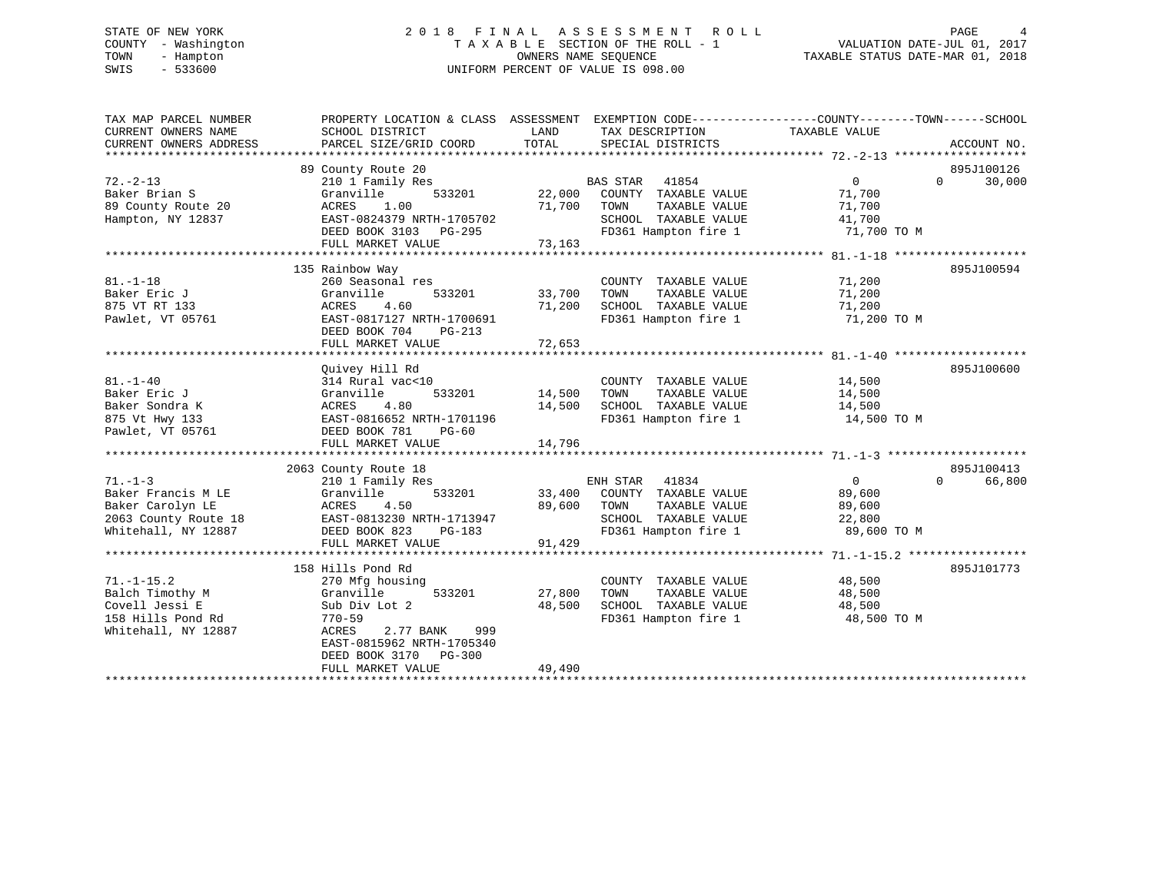# STATE OF NEW YORK 2 0 1 8 F I N A L A S S E S S M E N T R O L L PAGE 4 COUNTY - Washington T A X A B L E SECTION OF THE ROLL - 1 VALUATION DATE-JUL 01, 2017 TOWN - Hampton OWNERS NAME SEQUENCE TAXABLE STATUS DATE-MAR 01, 2018 SWIS - 533600 UNIFORM PERCENT OF VALUE IS 098.00

| TAX MAP PARCEL NUMBER<br>CURRENT OWNERS NAME | PROPERTY LOCATION & CLASS ASSESSMENT EXEMPTION CODE---------------COUNTY-------TOWN------SCHOOL<br>SCHOOL DISTRICT | LAND   | TAX DESCRIPTION          | TAXABLE VALUE  |                    |
|----------------------------------------------|--------------------------------------------------------------------------------------------------------------------|--------|--------------------------|----------------|--------------------|
| CURRENT OWNERS ADDRESS                       | PARCEL SIZE/GRID COORD                                                                                             | TOTAL  | SPECIAL DISTRICTS        |                | ACCOUNT NO.        |
|                                              | 89 County Route 20                                                                                                 |        |                          |                | 895J100126         |
| $72. - 2 - 13$                               | 210 1 Family Res                                                                                                   |        | <b>BAS STAR</b><br>41854 | $\mathbf{0}$   | $\Omega$<br>30,000 |
| Baker Brian S                                | 533201<br>Granville                                                                                                | 22,000 | COUNTY TAXABLE VALUE     | 71,700         |                    |
| 89 County Route 20                           | ACRES<br>1.00                                                                                                      | 71,700 | TAXABLE VALUE<br>TOWN    | 71,700         |                    |
| Hampton, NY 12837                            | EAST-0824379 NRTH-1705702                                                                                          |        | SCHOOL TAXABLE VALUE     | 41,700         |                    |
|                                              | DEED BOOK 3103<br>PG-295                                                                                           |        | FD361 Hampton fire 1     | 71,700 TO M    |                    |
|                                              | FULL MARKET VALUE                                                                                                  | 73,163 |                          |                |                    |
|                                              |                                                                                                                    |        |                          |                |                    |
|                                              | 135 Rainbow Way                                                                                                    |        |                          |                | 895J100594         |
| $81. - 1 - 18$                               | 260 Seasonal res                                                                                                   |        | COUNTY TAXABLE VALUE     | 71,200         |                    |
| Baker Eric J                                 | Granville<br>533201                                                                                                | 33,700 | TOWN<br>TAXABLE VALUE    | 71,200         |                    |
| 875 VT RT 133                                | 4.60<br>ACRES                                                                                                      | 71,200 | SCHOOL TAXABLE VALUE     | 71,200         |                    |
| Pawlet, VT 05761                             | EAST-0817127 NRTH-1700691                                                                                          |        | FD361 Hampton fire 1     | 71,200 TO M    |                    |
|                                              | DEED BOOK 704<br>$PG-213$                                                                                          |        |                          |                |                    |
|                                              | FULL MARKET VALUE                                                                                                  | 72,653 |                          |                |                    |
|                                              | Quivey Hill Rd                                                                                                     |        |                          |                | 895J100600         |
| $81. - 1 - 40$                               | 314 Rural vac<10                                                                                                   |        | COUNTY TAXABLE VALUE     | 14,500         |                    |
| Baker Eric J                                 | Granville<br>533201                                                                                                | 14,500 | TAXABLE VALUE<br>TOWN    | 14,500         |                    |
| Baker Sondra K                               | 4.80<br>ACRES                                                                                                      | 14,500 | SCHOOL TAXABLE VALUE     | 14,500         |                    |
| 875 Vt Hwy 133                               | EAST-0816652 NRTH-1701196                                                                                          |        | FD361 Hampton fire 1     | 14,500 TO M    |                    |
| Pawlet, VT 05761                             | DEED BOOK 781<br>$PG-60$                                                                                           |        |                          |                |                    |
|                                              | FULL MARKET VALUE                                                                                                  | 14,796 |                          |                |                    |
|                                              |                                                                                                                    |        |                          |                |                    |
|                                              | 2063 County Route 18                                                                                               |        |                          |                | 895J100413         |
| $71. - 1 - 3$                                | 210 1 Family Res                                                                                                   |        | ENH STAR<br>41834        | $\overline{0}$ | 66,800<br>$\Omega$ |
| Baker Francis M LE                           | Granville<br>533201                                                                                                | 33,400 | COUNTY TAXABLE VALUE     | 89,600         |                    |
| Baker Carolyn LE                             | 4.50<br>ACRES                                                                                                      | 89,600 | TAXABLE VALUE<br>TOWN    | 89,600         |                    |
| 2063 County Route 18                         | EAST-0813230 NRTH-1713947                                                                                          |        | SCHOOL TAXABLE VALUE     | 22,800         |                    |
| Whitehall, NY 12887                          | DEED BOOK 823<br>PG-183                                                                                            |        | FD361 Hampton fire 1     | 89,600 TO M    |                    |
|                                              | FULL MARKET VALUE                                                                                                  | 91,429 |                          |                |                    |
|                                              |                                                                                                                    |        |                          |                |                    |
|                                              | 158 Hills Pond Rd                                                                                                  |        |                          |                | 895J101773         |
| $71. - 1 - 15.2$                             | 270 Mfg housing                                                                                                    |        | COUNTY TAXABLE VALUE     | 48,500         |                    |
| Balch Timothy M                              | Granville<br>533201                                                                                                | 27,800 | TAXABLE VALUE<br>TOWN    | 48,500         |                    |
| Covell Jessi E                               | Sub Div Lot 2                                                                                                      | 48,500 | SCHOOL TAXABLE VALUE     | 48,500         |                    |
| 158 Hills Pond Rd                            | $770 - 59$                                                                                                         |        | FD361 Hampton fire 1     | 48,500 TO M    |                    |
| Whitehall, NY 12887                          | 999<br>ACRES<br>2.77 BANK                                                                                          |        |                          |                |                    |
|                                              | EAST-0815962 NRTH-1705340                                                                                          |        |                          |                |                    |
|                                              | DEED BOOK 3170<br>PG-300                                                                                           |        |                          |                |                    |
|                                              | FULL MARKET VALUE                                                                                                  | 49,490 |                          |                |                    |
|                                              |                                                                                                                    |        |                          |                |                    |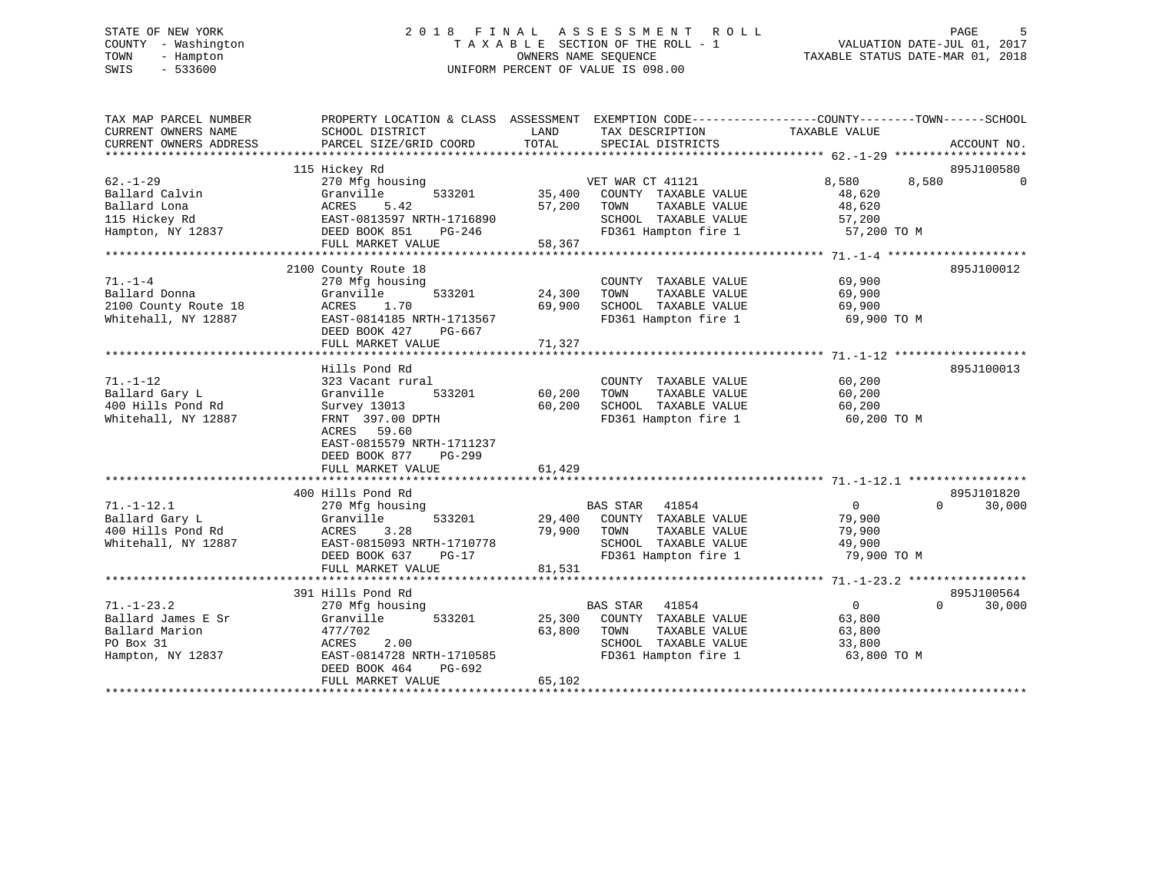# STATE OF NEW YORK 2 0 1 8 F I N A L A S S E S S M E N T R O L L PAGE 5 COUNTY - Washington T A X A B L E SECTION OF THE ROLL - 1 VALUATION DATE-JUL 01, 2017 TOWN - Hampton OWNERS NAME SEQUENCE TAXABLE STATUS DATE-MAR 01, 2018 SWIS - 533600 UNIFORM PERCENT OF VALUE IS 098.00

| TAX MAP PARCEL NUMBER  |                           |                                 | PROPERTY LOCATION & CLASS ASSESSMENT EXEMPTION CODE----------------COUNTY-------TOWN------SCHOOL |
|------------------------|---------------------------|---------------------------------|--------------------------------------------------------------------------------------------------|
| CURRENT OWNERS NAME    | SCHOOL DISTRICT           | LAND<br>TAX DESCRIPTION         | TAXABLE VALUE                                                                                    |
| CURRENT OWNERS ADDRESS | PARCEL SIZE/GRID COORD    | TOTAL<br>SPECIAL DISTRICTS      | ACCOUNT NO.                                                                                      |
|                        |                           |                                 |                                                                                                  |
|                        | 115 Hickey Rd             |                                 | 895J100580                                                                                       |
| $62. - 1 - 29$         | 270 Mfg housing           | VET WAR CT 41121                | 8,580<br>8,580<br>$\Omega$                                                                       |
| Ballard Calvin         | Granville<br>533201       | 35,400<br>COUNTY TAXABLE VALUE  | 48,620                                                                                           |
| Ballard Lona           | 5.42<br>ACRES             | 57,200<br>TAXABLE VALUE<br>TOWN | 48,620                                                                                           |
| 115 Hickey Rd          | EAST-0813597 NRTH-1716890 | SCHOOL TAXABLE VALUE            | 57,200                                                                                           |
| Hampton, NY 12837      | DEED BOOK 851<br>PG-246   |                                 | FD361 Hampton fire 1 57,200 TO M                                                                 |
|                        | FULL MARKET VALUE         | 58,367                          |                                                                                                  |
|                        |                           |                                 |                                                                                                  |
|                        | 2100 County Route 18      |                                 | 895J100012                                                                                       |
| $71. - 1 - 4$          | 270 Mfg housing           | COUNTY TAXABLE VALUE            | 69,900                                                                                           |
| Ballard Donna          | Granville<br>533201       | 24,300<br>TAXABLE VALUE<br>TOWN | 69,900                                                                                           |
| 2100 County Route 18   | ACRES<br>1.70             | SCHOOL TAXABLE VALUE<br>69,900  | 69,900                                                                                           |
| Whitehall, NY 12887    | EAST-0814185 NRTH-1713567 | FD361 Hampton fire 1            | 69,900 TO M                                                                                      |
|                        | DEED BOOK 427<br>PG-667   |                                 |                                                                                                  |
|                        | FULL MARKET VALUE         | 71,327                          |                                                                                                  |
|                        |                           |                                 |                                                                                                  |
|                        | Hills Pond Rd             |                                 | 895J100013                                                                                       |
| $71. - 1 - 12$         | 323 Vacant rural          | COUNTY TAXABLE VALUE            | 60,200                                                                                           |
| Ballard Gary L         | Granville<br>533201       | 60,200<br>TOWN<br>TAXABLE VALUE | 60,200                                                                                           |
| 400 Hills Pond Rd      | Survey 13013              | 60,200<br>SCHOOL TAXABLE VALUE  | 60,200                                                                                           |
| Whitehall, NY 12887    | FRNT 397.00 DPTH          | FD361 Hampton fire 1            | 60,200 TO M                                                                                      |
|                        | ACRES 59.60               |                                 |                                                                                                  |
|                        | EAST-0815579 NRTH-1711237 |                                 |                                                                                                  |
|                        | DEED BOOK 877<br>PG-299   |                                 |                                                                                                  |
|                        | FULL MARKET VALUE         | 61,429                          |                                                                                                  |
|                        |                           |                                 |                                                                                                  |
|                        | 400 Hills Pond Rd         |                                 | 895J101820                                                                                       |
| $71. - 1 - 12.1$       | 270 Mfg housing           | BAS STAR 41854                  | $\overline{0}$<br>$\Omega$<br>30,000                                                             |
| Ballard Gary L         | 533201<br>Granville       | 29,400 COUNTY TAXABLE VALUE     | 79,900                                                                                           |
| 400 Hills Pond Rd      | ACRES<br>3.28             | 79,900<br>TOWN<br>TAXABLE VALUE | 79,900                                                                                           |
| Whitehall, NY 12887    | EAST-0815093 NRTH-1710778 | SCHOOL TAXABLE VALUE            | 49,900                                                                                           |
|                        | DEED BOOK 637<br>$PG-17$  | FD361 Hampton fire 1            | 79,900 TO M                                                                                      |
|                        |                           |                                 |                                                                                                  |
|                        | FULL MARKET VALUE         | 81,531                          |                                                                                                  |
|                        |                           |                                 |                                                                                                  |
|                        | 391 Hills Pond Rd         |                                 | 895J100564                                                                                       |
| $71. - 1 - 23.2$       | 270 Mfg housing           | <b>BAS STAR</b><br>41854        | $\Omega$<br>$\Omega$<br>30,000                                                                   |
| Ballard James E Sr     | Granville<br>533201       | 25,300<br>COUNTY TAXABLE VALUE  | 63,800                                                                                           |
| Ballard Marion         | 477/702                   | 63,800<br>TOWN<br>TAXABLE VALUE | 63,800                                                                                           |
| PO Box 31              | 2.00<br>ACRES             | SCHOOL TAXABLE VALUE            | 33,800                                                                                           |
| Hampton, NY 12837      | EAST-0814728 NRTH-1710585 | FD361 Hampton fire 1            | 63,800 TO M                                                                                      |
|                        | DEED BOOK 464<br>PG-692   |                                 |                                                                                                  |
|                        | FULL MARKET VALUE         | 65,102                          |                                                                                                  |
|                        |                           |                                 |                                                                                                  |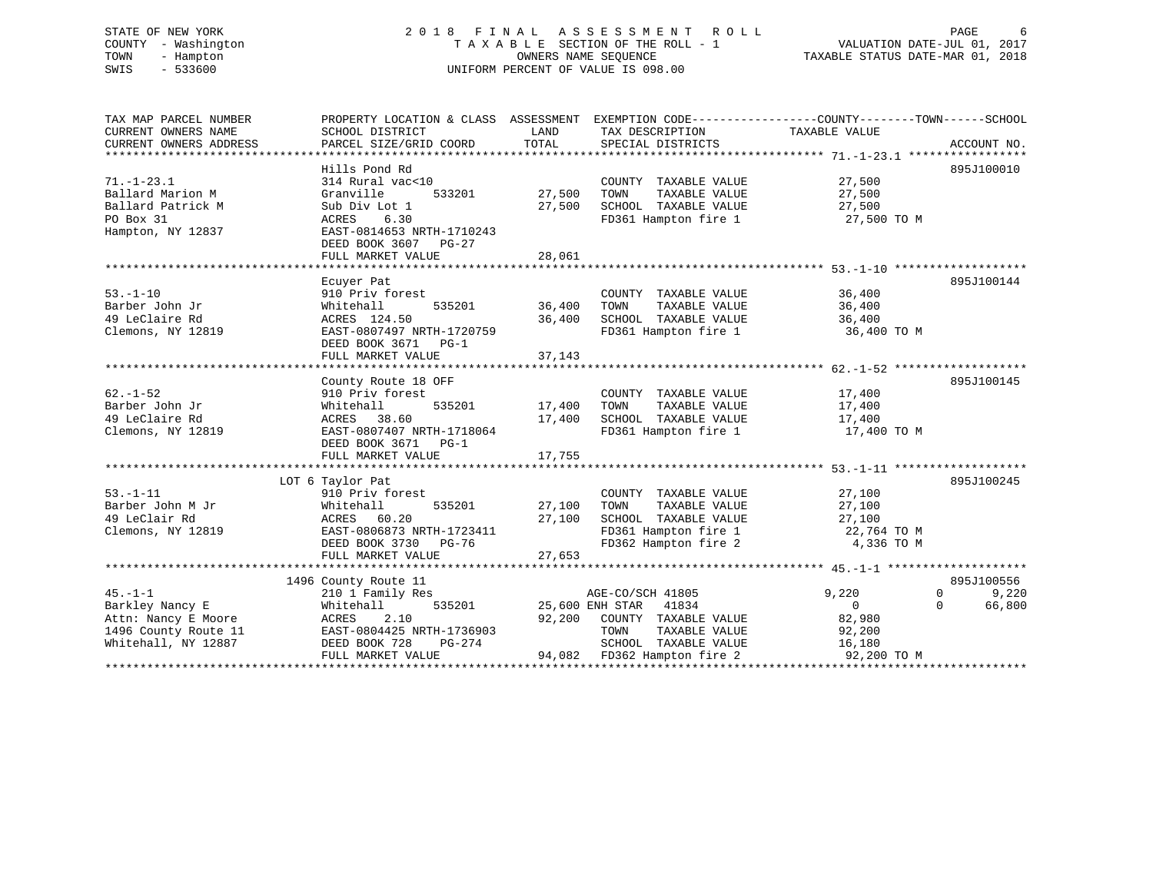# STATE OF NEW YORK 2 0 1 8 F I N A L A S S E S S M E N T R O L L PAGE 6 COUNTY - Washington T A X A B L E SECTION OF THE ROLL - 1 VALUATION DATE-JUL 01, 2017 TOWN - Hampton OWNERS NAME SEQUENCE TAXABLE STATUS DATE-MAR 01, 2018 SWIS - 533600 UNIFORM PERCENT OF VALUE IS 098.00

| TAX MAP PARCEL NUMBER  | PROPERTY LOCATION & CLASS ASSESSMENT EXEMPTION CODE----------------COUNTY-------TOWN------SCHOOL |        |                                  |                            |             |
|------------------------|--------------------------------------------------------------------------------------------------|--------|----------------------------------|----------------------------|-------------|
| CURRENT OWNERS NAME    | SCHOOL DISTRICT                                                                                  | LAND   | TAX DESCRIPTION                  | TAXABLE VALUE              |             |
| CURRENT OWNERS ADDRESS | PARCEL SIZE/GRID COORD                                                                           | TOTAL  | SPECIAL DISTRICTS                |                            | ACCOUNT NO. |
|                        |                                                                                                  |        |                                  |                            |             |
|                        | Hills Pond Rd                                                                                    |        |                                  |                            | 895J100010  |
| $71. - 1 - 23.1$       | 314 Rural vac<10                                                                                 |        | COUNTY TAXABLE VALUE             | 27,500                     |             |
| Ballard Marion M       | Granville<br>533201                                                                              | 27,500 | TOWN<br>TAXABLE VALUE            | 27,500                     |             |
| Ballard Patrick M      | Sub Div Lot 1                                                                                    | 27,500 | SCHOOL TAXABLE VALUE             | 27,500                     |             |
| PO Box 31              | 6.30<br>ACRES                                                                                    |        | FD361 Hampton fire 1 27,500 TO M |                            |             |
| Hampton, NY 12837      | EAST-0814653 NRTH-1710243                                                                        |        |                                  |                            |             |
|                        | DEED BOOK 3607 PG-27                                                                             |        |                                  |                            |             |
|                        | FULL MARKET VALUE                                                                                | 28,061 |                                  |                            |             |
|                        |                                                                                                  |        |                                  |                            |             |
|                        | Ecuyer Pat                                                                                       |        |                                  |                            | 895J100144  |
| $53. - 1 - 10$         | 910 Priv forest                                                                                  |        | COUNTY TAXABLE VALUE             | 36,400                     |             |
| Barber John Jr         | 535201<br>Whitehall                                                                              | 36,400 | TAXABLE VALUE<br>TOWN            | 36,400                     |             |
| 49 LeClaire Rd         | ACRES 124.50                                                                                     | 36,400 | SCHOOL TAXABLE VALUE             | 36,400                     |             |
| Clemons, NY 12819      | EAST-0807497 NRTH-1720759                                                                        |        | FD361 Hampton fire 1             | 36,400 TO M                |             |
|                        | DEED BOOK 3671 PG-1                                                                              |        |                                  |                            |             |
|                        | FULL MARKET VALUE                                                                                | 37,143 |                                  |                            |             |
|                        |                                                                                                  |        |                                  |                            |             |
|                        | County Route 18 OFF                                                                              |        |                                  |                            | 895J100145  |
| $62. - 1 - 52$         | 910 Priv forest                                                                                  |        | COUNTY TAXABLE VALUE             | 17,400                     |             |
| Barber John Jr         | Whitehall<br>535201                                                                              | 17,400 | TOWN<br>TAXABLE VALUE            | 17,400                     |             |
| 49 LeClaire Rd         | ACRES 38.60                                                                                      | 17,400 | SCHOOL TAXABLE VALUE             | 17,400                     |             |
| Clemons, NY 12819      | EAST-0807407 NRTH-1718064                                                                        |        | FD361 Hampton fire 1             | 17,400 TO M                |             |
|                        | DEED BOOK 3671 PG-1                                                                              |        |                                  |                            |             |
|                        |                                                                                                  |        |                                  |                            |             |
|                        |                                                                                                  |        |                                  |                            |             |
|                        | LOT 6 Taylor Pat                                                                                 |        |                                  |                            | 895J100245  |
| $53. - 1 - 11$         | 910 Priv forest                                                                                  |        | COUNTY TAXABLE VALUE             | 27,100                     |             |
| Barber John M Jr       | Whitehall<br>535201                                                                              | 27,100 | TOWN<br>TAXABLE VALUE            | 27,100                     |             |
| 49 LeClair Rd          | ACRES 60.20                                                                                      | 27,100 | SCHOOL TAXABLE VALUE             | 27,100                     |             |
| Clemons, NY 12819      | EAST-0806873 NRTH-1723411                                                                        |        | FD361 Hampton fire 1             | 22,764 TO M                |             |
|                        | DEED BOOK 3730 PG-76                                                                             |        | FD362 Hampton fire 2             | 4,336 TO M                 |             |
|                        | FULL MARKET VALUE                                                                                | 27,653 |                                  |                            |             |
|                        |                                                                                                  |        |                                  |                            |             |
|                        | 1496 County Route 11                                                                             |        |                                  |                            | 895J100556  |
| $45. -1 - 1$           | 210 1 Family Res                                                                                 |        | AGE-CO/SCH 41805                 | 9,220<br>$\mathbf{0}$      | 9,220       |
| Barkley Nancy E        | Whitehall<br>535201                                                                              |        | 25,600 ENH STAR 41834            | $\overline{0}$<br>$\Omega$ | 66,800      |
| Attn: Nancy E Moore    | ACRES<br>2.10                                                                                    | 92,200 | COUNTY TAXABLE VALUE             | 82,980                     |             |
| 1496 County Route 11   | EAST-0804425 NRTH-1736903                                                                        |        | TOWN<br>TAXABLE VALUE            | 92,200                     |             |
| Whitehall, NY 12887    | DEED BOOK 728<br>PG-274                                                                          |        | SCHOOL TAXABLE VALUE             | 16,180                     |             |
|                        | FULL MARKET VALUE                                                                                |        | 94,082 FD362 Hampton fire 2      | 92,200 TO M                |             |
|                        |                                                                                                  |        |                                  |                            |             |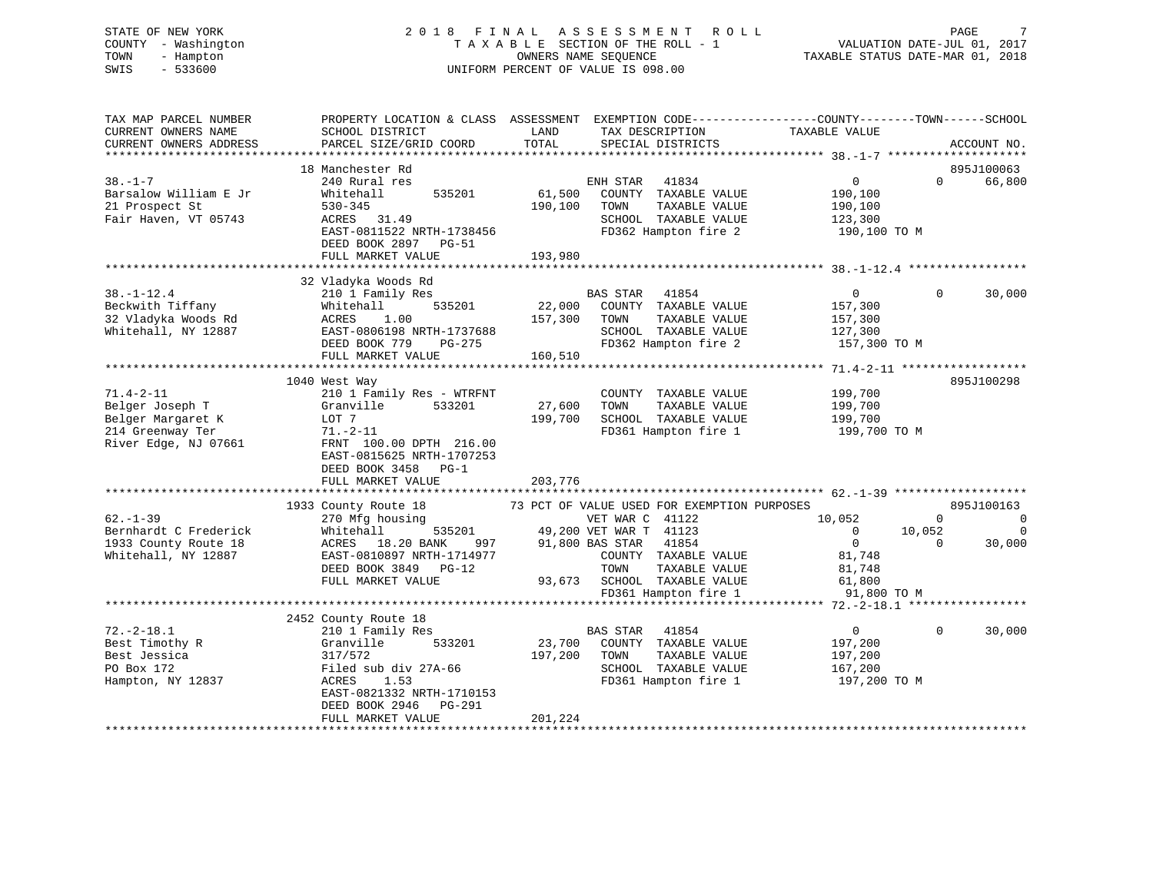| - Washington<br>COUNTY<br>TOWN<br>- Hampton<br>$-533600$<br>SWIS | TAXABLE SECTION OF THE ROLL - 1<br>UNIFORM PERCENT OF VALUE IS 098.00 | VALUATION DATE-JUL 01, 2017<br>TAXABLE STATUS DATE-MAR 01, 2018 |                                                                                                 |
|------------------------------------------------------------------|-----------------------------------------------------------------------|-----------------------------------------------------------------|-------------------------------------------------------------------------------------------------|
| TAX MAP PARCEL NUMBER                                            |                                                                       |                                                                 | PROPERTY LOCATION & CLASS ASSESSMENT EXEMPTION CODE---------------COUNTY-------TOWN------SCHOOL |
| CURRENT OWNERS NAME                                              | SCHOOL DISTRICT                                                       | LAND<br>TAX DESCRIPTION                                         | TAXABLE VALUE                                                                                   |
| CURRENT OWNERS ADDRESS                                           | PARCEL SIZE/GRID COORD                                                | TOTAL<br>SPECIAL DISTRICTS                                      | ACCOUNT NO.                                                                                     |
|                                                                  | 18 Manchester Rd                                                      |                                                                 | 895J100063                                                                                      |
| $38. - 1 - 7$                                                    | 240 Rural res                                                         | ENH STAR<br>41834                                               | $\Omega$<br>$\Omega$<br>66,800                                                                  |
| Barsalow William E Jr                                            | Whitehall<br>535201                                                   | 61,500<br>COUNTY TAXABLE VALUE                                  | 190,100                                                                                         |
| 21 Prospect St                                                   | $530 - 345$                                                           | 190,100<br>TOWN<br>TAXABLE VALUE                                | 190,100                                                                                         |
| Fair Haven, VT 05743                                             | ACRES 31.49                                                           | SCHOOL TAXABLE VALUE                                            | 123,300                                                                                         |
|                                                                  | EAST-0811522 NRTH-1738456                                             | FD362 Hampton fire 2                                            | 190,100 TO M                                                                                    |
|                                                                  | DEED BOOK 2897 PG-51                                                  |                                                                 |                                                                                                 |
|                                                                  | FULL MARKET VALUE                                                     | 193,980                                                         |                                                                                                 |
|                                                                  |                                                                       |                                                                 |                                                                                                 |
|                                                                  | 32 Vladyka Woods Rd                                                   |                                                                 |                                                                                                 |
| $38. - 1 - 12.4$                                                 | 210 1 Family Res                                                      | <b>BAS STAR</b><br>41854                                        | 30,000<br>$\overline{0}$<br>$\mathbf{0}$                                                        |
| Beckwith Tiffany                                                 | Whitehall<br>535201                                                   | 22,000<br>COUNTY TAXABLE VALUE                                  | 157,300                                                                                         |
| 32 Vladyka Woods Rd                                              | ACRES<br>1.00                                                         | 157,300<br>TAXABLE VALUE<br>TOWN                                | 157,300                                                                                         |
| Whitehall, NY 12887                                              | EAST-0806198 NRTH-1737688                                             | SCHOOL TAXABLE VALUE                                            | 127,300                                                                                         |
|                                                                  | DEED BOOK 779 PG-275                                                  | FD362 Hampton fire 2                                            | 157,300 TO M                                                                                    |
|                                                                  | FULL MARKET VALUE                                                     | 160,510                                                         |                                                                                                 |
|                                                                  |                                                                       |                                                                 | 895J100298                                                                                      |
| $71.4 - 2 - 11$                                                  | 1040 West Way<br>210 1 Family Res - WTRFNT                            | COUNTY TAXABLE VALUE                                            | 199,700                                                                                         |
| Belger Joseph T                                                  | Granville<br>533201                                                   | 27,600<br>TAXABLE VALUE<br>TOWN                                 | 199,700                                                                                         |
| Belger Margaret K                                                | LOT 7                                                                 | 199,700<br>SCHOOL TAXABLE VALUE                                 | 199,700                                                                                         |
| 214 Greenway Ter                                                 | $71. - 2 - 11$                                                        | FD361 Hampton fire 1                                            | 199,700 TO M                                                                                    |
| River Edge, NJ 07661                                             | FRNT 100.00 DPTH 216.00                                               |                                                                 |                                                                                                 |
|                                                                  | EAST-0815625 NRTH-1707253                                             |                                                                 |                                                                                                 |
|                                                                  | DEED BOOK 3458 PG-1                                                   |                                                                 |                                                                                                 |
|                                                                  | FULL MARKET VALUE                                                     | 203,776                                                         |                                                                                                 |
|                                                                  |                                                                       |                                                                 |                                                                                                 |
|                                                                  | 1933 County Route 18                                                  | 73 PCT OF VALUE USED FOR EXEMPTION PURPOSES                     | 895J100163                                                                                      |
| $62 - 1 - 39$                                                    | 270 Mfg housing                                                       | VET WAR C 41122                                                 | 10,052<br>$\Omega$<br>$\overline{0}$                                                            |
| Bernhardt C Frederick                                            | Whitehall<br>535201                                                   | 49,200 VET WAR T 41123                                          | $\overline{0}$<br>10,052<br>$\overline{\phantom{0}}$                                            |
| 1933 County Route 18                                             | ACRES 18.20 BANK<br>997                                               | 91,800 BAS STAR 41854                                           | $\overline{0}$<br>30,000<br>$\Omega$                                                            |
| Whitehall, NY 12887                                              | EAST-0810897 NRTH-1714977                                             | COUNTY TAXABLE VALUE                                            | 81,748                                                                                          |
|                                                                  | DEED BOOK 3849 PG-12                                                  | TOWN<br>TAXABLE VALUE                                           | 81,748                                                                                          |
|                                                                  | FULL MARKET VALUE                                                     | 93,673 SCHOOL TAXABLE VALUE                                     | 61,800                                                                                          |
|                                                                  |                                                                       | FD361 Hampton fire 1                                            | 91,800 TO M                                                                                     |
|                                                                  |                                                                       |                                                                 |                                                                                                 |
|                                                                  | 2452 County Route 18                                                  |                                                                 |                                                                                                 |
| $72. - 2 - 18.1$                                                 | 210 1 Family Res                                                      | <b>BAS STAR</b><br>41854                                        | 30,000<br>$\overline{0}$<br>$\Omega$                                                            |
| Best Timothy R                                                   | Granville<br>533201                                                   | 23,700<br>COUNTY TAXABLE VALUE                                  | 197,200                                                                                         |
| Best Jessica                                                     | 317/572                                                               | 197,200<br>TOWN<br>TAXABLE VALUE                                | 197,200                                                                                         |
| PO Box 172                                                       | Filed sub div 27A-66                                                  | SCHOOL TAXABLE VALUE                                            | 167,200                                                                                         |
| Hampton, NY 12837                                                | ACRES<br>1.53<br>EAST-0821332 NRTH-1710153                            | FD361 Hampton fire 1                                            | 197,200 TO M                                                                                    |
|                                                                  | DEED BOOK 2946<br>$PG-291$                                            |                                                                 |                                                                                                 |
|                                                                  |                                                                       | 0.01001                                                         |                                                                                                 |

FULL MARKET VALUE 201,224 \*\*\*\*\*\*\*\*\*\*\*\*\*\*\*\*\*\*\*\*\*\*\*\*\*\*\*\*\*\*\*\*\*\*\*\*\*\*\*\*\*\*\*\*\*\*\*\*\*\*\*\*\*\*\*\*\*\*\*\*\*\*\*\*\*\*\*\*\*\*\*\*\*\*\*\*\*\*\*\*\*\*\*\*\*\*\*\*\*\*\*\*\*\*\*\*\*\*\*\*\*\*\*\*\*\*\*\*\*\*\*\*\*\*\*\*\*\*\*\*\*\*\*\*\*\*\*\*\*\*\*\*

 $7\overline{ }$ 

# STATE OF NEW YORK 2 0 1 8 F I N A L A S S E S S M E N T R O L L PAGE 7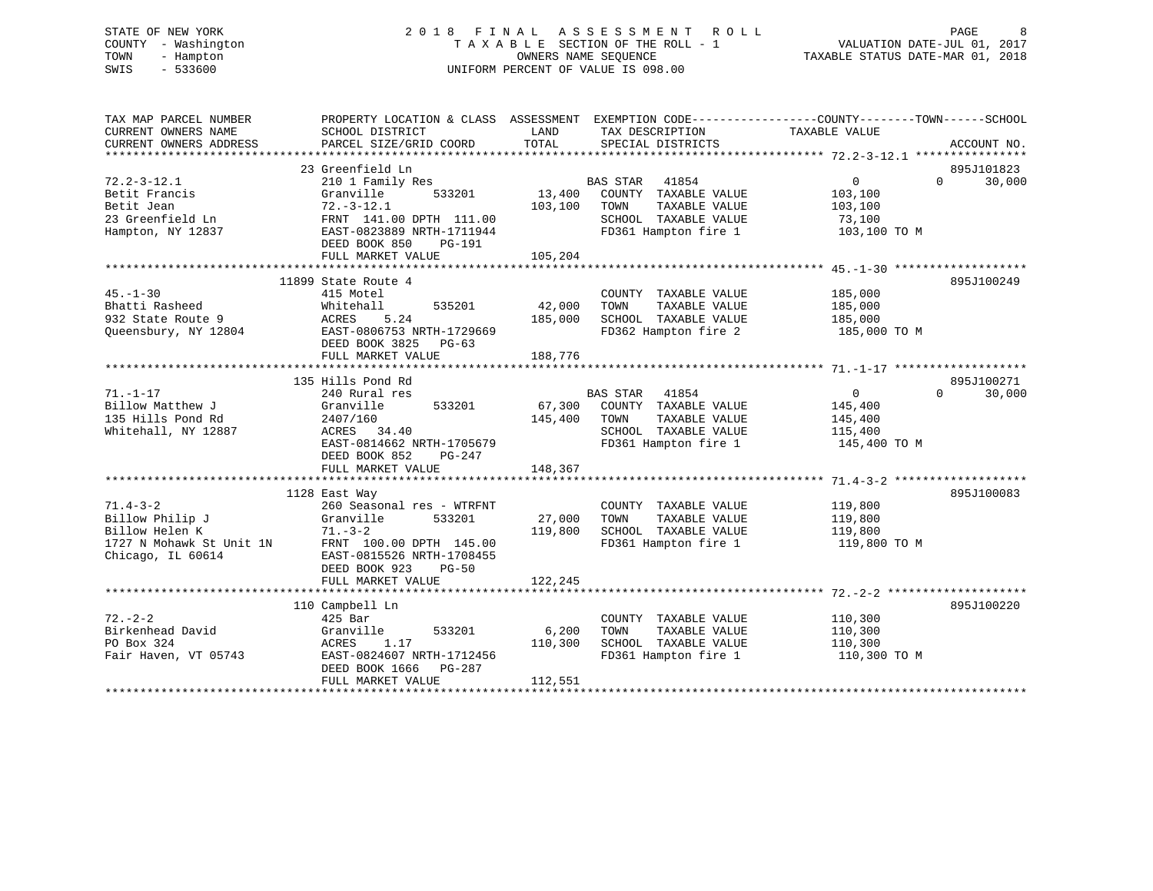# STATE OF NEW YORK 2 0 1 8 F I N A L A S S E S S M E N T R O L L PAGE 8 COUNTY - Washington T A X A B L E SECTION OF THE ROLL - 1 VALUATION DATE-JUL 01, 2017 TOWN - Hampton OWNERS NAME SEQUENCE TAXABLE STATUS DATE-MAR 01, 2018 SWIS - 533600 UNIFORM PERCENT OF VALUE IS 098.00

TAX MAP PARCEL NUMBER PROPERTY LOCATION & CLASS ASSESSMENT EXEMPTION CODE------------------COUNTY--------TOWN------SCHOOL CURRENT OWNERS NAME SCHOOL DISTRICT LAND TAX DESCRIPTION TAXABLE VALUE CURRENT OWNERS ADDRESS PARCEL SIZE/GRID COORD TOTAL SPECIAL DISTRICTS ACCOUNT NO. \*\*\*\*\*\*\*\*\*\*\*\*\*\*\*\*\*\*\*\*\*\*\*\*\*\*\*\*\*\*\*\*\*\*\*\*\*\*\*\*\*\*\*\*\*\*\*\*\*\*\*\*\*\*\*\*\*\*\*\*\*\*\*\*\*\*\*\*\*\*\*\*\*\*\*\*\*\*\*\*\*\*\*\*\*\*\*\*\*\*\*\*\*\*\*\*\*\*\*\*\*\*\* 72.2-3-12.1 \*\*\*\*\*\*\*\*\*\*\*\*\*\*\*\* 23 Greenfield Ln 895J10182372.2-3-12.1 210 1 Family Res BAS STAR 41854 0 0 30,000 Betit Francis Granville 533201 13,400 COUNTY TAXABLE VALUE 103,100 Betit Jean 72.-3-12.1 103,100 TOWN TAXABLE VALUE 103,100 23 Greenfield Ln FRNT 141.00 DPTH 111.00 SCHOOL TAXABLE VALUE 73,100 Hampton, NY 12837 EAST-0823889 NRTH-1711944 FD361 Hampton fire 1 103,100 TO M DEED BOOK 850 PG-191 FULL MARKET VALUE 105,204 \*\*\*\*\*\*\*\*\*\*\*\*\*\*\*\*\*\*\*\*\*\*\*\*\*\*\*\*\*\*\*\*\*\*\*\*\*\*\*\*\*\*\*\*\*\*\*\*\*\*\*\*\*\*\*\*\*\*\*\*\*\*\*\*\*\*\*\*\*\*\*\*\*\*\*\*\*\*\*\*\*\*\*\*\*\*\*\*\*\*\*\*\*\*\*\*\*\*\*\*\*\*\* 45.-1-30 \*\*\*\*\*\*\*\*\*\*\*\*\*\*\*\*\*\*\* 11899 State Route 4 895J10024945.-1-30 415 Motel COUNTY TAXABLE VALUE 185,000 Bhatti Rasheed Whitehall 535201 42,000 TOWN TAXABLE VALUE 185,000 932 State Route 9 ACRES 5.24 185,000 SCHOOL TAXABLE VALUE 185,000 Queensbury, NY 12804 FORTH-0806753 NRTH-1729669 FD362 Hampton fire 2 185,000 TO M DEED BOOK 3825 PG-63FULL MARKET VALUE 188,776 \*\*\*\*\*\*\*\*\*\*\*\*\*\*\*\*\*\*\*\*\*\*\*\*\*\*\*\*\*\*\*\*\*\*\*\*\*\*\*\*\*\*\*\*\*\*\*\*\*\*\*\*\*\*\*\*\*\*\*\*\*\*\*\*\*\*\*\*\*\*\*\*\*\*\*\*\*\*\*\*\*\*\*\*\*\*\*\*\*\*\*\*\*\*\*\*\*\*\*\*\*\*\* 71.-1-17 \*\*\*\*\*\*\*\*\*\*\*\*\*\*\*\*\*\*\* 135 Hills Pond Rd 895J100271 $0 \t30.000$ 71.-1-17 240 Rural res BAS STAR 41854 0 0 30,000 Billow Matthew J Granville 533201 67,300 COUNTY TAXABLE VALUE 145,400 135 Hills Pond Rd 2407/160 145,400 TOWN TAXABLE VALUE 145,400 Whitehall, NY 12887 ACRES 34.40 SCHOOL TAXABLE VALUE 115,400 EAST-0814662 NRTH-1705679 FD361 Hampton fire 1 145,400 TO M DEED BOOK 852 PG-247FULL MARKET VALUE 148,367 \*\*\*\*\*\*\*\*\*\*\*\*\*\*\*\*\*\*\*\*\*\*\*\*\*\*\*\*\*\*\*\*\*\*\*\*\*\*\*\*\*\*\*\*\*\*\*\*\*\*\*\*\*\*\*\*\*\*\*\*\*\*\*\*\*\*\*\*\*\*\*\*\*\*\*\*\*\*\*\*\*\*\*\*\*\*\*\*\*\*\*\*\*\*\*\*\*\*\*\*\*\*\* 71.4-3-2 \*\*\*\*\*\*\*\*\*\*\*\*\*\*\*\*\*\*\* 1128 East Way 895J100083 1.4-3-2 260 Seasonal res - WTRFNT COUNTY TAXABLE VALUE 119,800<br>
27,000 TOWN TAXABLE VALUE 119,800<br>
27,000 TOWN TAXABLE VALUE 119,800<br>
27,000 SCHOOL TAXABLE VALUE 119,800 Billow Philip J Granville 533201 27,000 TOWN TAXABLE VALUE 119,800 Billow Helen K 71.-3-2 119,800 SCHOOL TAXABLE VALUE 119,800 1727 N Mohawk St Unit 1N FRNT 100.00 DPTH 145.00 FD361 Hampton fire 1 119,800 TO M Chicago, IL 60614 EAST-0815526 NRTH-1708455 DEED BOOK 923 PG-50FULL MARKET VALUE 122,245

|                      | 110 Campbell Ln           |                 |                         |              | 895J100220 |
|----------------------|---------------------------|-----------------|-------------------------|--------------|------------|
| $72. - 2 - 2$        | $425$ Bar                 |                 | TAXABLE VALUE<br>COUNTY | 110,300      |            |
| Birkenhead David     | Granville                 | 533201<br>6,200 | TAXABLE VALUE<br>TOWN   | 110,300      |            |
| PO Box 324           | 1.17<br>ACRES             | 110,300         | TAXABLE VALUE<br>SCHOOL | 110,300      |            |
| Fair Haven, VT 05743 | EAST-0824607 NRTH-1712456 |                 | FD361 Hampton fire 1    | 110,300 TO M |            |
|                      | DEED BOOK 1666 PG-287     |                 |                         |              |            |
|                      | FULL MARKET VALUE         | 112,551         |                         |              |            |
|                      |                           |                 |                         |              |            |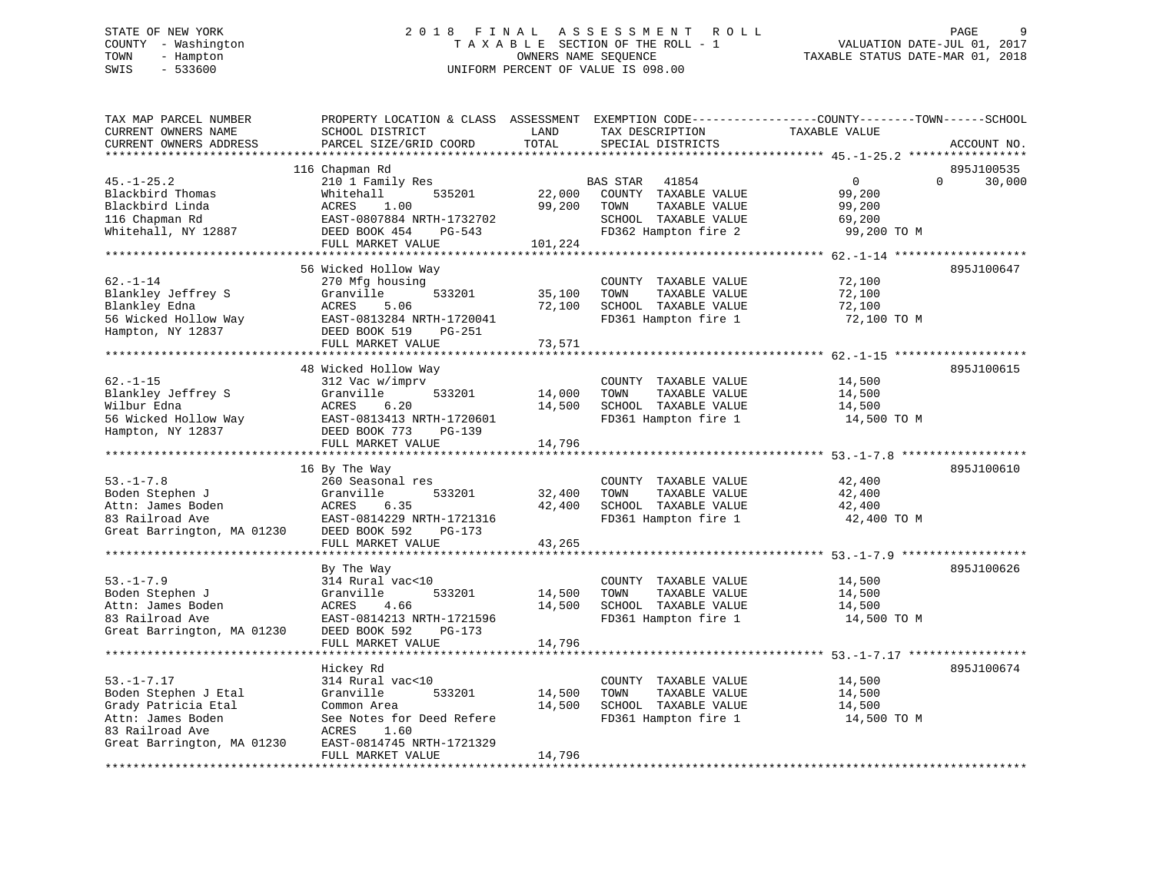# STATE OF NEW YORK 2 0 1 8 F I N A L A S S E S S M E N T R O L L PAGE 9 COUNTY - Washington T A X A B L E SECTION OF THE ROLL - 1 VALUATION DATE-JUL 01, 2017 TOWN - Hampton OWNERS NAME SEQUENCE TAXABLE STATUS DATE-MAR 01, 2018 SWIS - 533600 UNIFORM PERCENT OF VALUE IS 098.00

| TAX MAP PARCEL NUMBER<br>CURRENT OWNERS NAME<br>CURRENT OWNERS ADDRESS | PROPERTY LOCATION & CLASS ASSESSMENT EXEMPTION CODE----------------COUNTY-------TOWN-----SCHOOL<br>SCHOOL DISTRICT<br>PARCEL SIZE/GRID COORD | LAND<br>TOTAL | TAX DESCRIPTION<br>SPECIAL DISTRICTS          | TAXABLE VALUE | ACCOUNT NO.        |
|------------------------------------------------------------------------|----------------------------------------------------------------------------------------------------------------------------------------------|---------------|-----------------------------------------------|---------------|--------------------|
|                                                                        |                                                                                                                                              |               |                                               |               |                    |
|                                                                        | 116 Chapman Rd                                                                                                                               |               |                                               |               | 895J100535         |
| $45. - 1 - 25.2$                                                       | 210 1 Family Res                                                                                                                             |               | <b>BAS STAR</b><br>41854                      | $\Omega$      | $\Omega$<br>30,000 |
| Blackbird Thomas                                                       | 535201<br>Whitehall                                                                                                                          | 22,000        | COUNTY TAXABLE VALUE                          | 99,200        |                    |
| Blackbird Linda                                                        | ACRES<br>1.00                                                                                                                                | 99,200        | TOWN<br>TAXABLE VALUE                         | 99,200        |                    |
| 116 Chapman Rd                                                         | EAST-0807884 NRTH-1732702                                                                                                                    |               | SCHOOL TAXABLE VALUE                          | 69,200        |                    |
| Whitehall, NY 12887                                                    | DEED BOOK 454<br>PG-543                                                                                                                      |               | FD362 Hampton fire 2                          | 99,200 TO M   |                    |
|                                                                        | FULL MARKET VALUE                                                                                                                            | 101,224       |                                               |               |                    |
|                                                                        |                                                                                                                                              |               |                                               |               |                    |
| $62. - 1 - 14$                                                         | 56 Wicked Hollow Way<br>270 Mfg housing                                                                                                      |               |                                               | 72,100        | 895J100647         |
| Blankley Jeffrey S                                                     | Granville<br>533201                                                                                                                          | 35,100        | COUNTY TAXABLE VALUE<br>TAXABLE VALUE<br>TOWN | 72,100        |                    |
| Blankley Edna                                                          | ACRES<br>5.06                                                                                                                                | 72,100        | SCHOOL TAXABLE VALUE                          | 72,100        |                    |
| 56 Wicked Hollow Way                                                   | EAST-0813284 NRTH-1720041                                                                                                                    |               | FD361 Hampton fire 1                          | 72,100 TO M   |                    |
| Hampton, NY 12837                                                      | DEED BOOK 519<br>PG-251                                                                                                                      |               |                                               |               |                    |
|                                                                        | FULL MARKET VALUE                                                                                                                            | 73,571        |                                               |               |                    |
|                                                                        |                                                                                                                                              |               |                                               |               |                    |
|                                                                        | 48 Wicked Hollow Way                                                                                                                         |               |                                               |               | 895J100615         |
| $62. - 1 - 15$                                                         | 312 Vac w/imprv                                                                                                                              |               | COUNTY TAXABLE VALUE                          | 14,500        |                    |
| Blankley Jeffrey S                                                     | 533201<br>Granville                                                                                                                          | 14,000        | TOWN<br>TAXABLE VALUE                         | 14,500        |                    |
| Wilbur Edna                                                            | ACRES<br>6.20                                                                                                                                | 14,500        | SCHOOL TAXABLE VALUE                          | 14,500        |                    |
| 56 Wicked Hollow Way                                                   | EAST-0813413 NRTH-1720601                                                                                                                    |               | FD361 Hampton fire 1                          | 14,500 TO M   |                    |
| Hampton, NY 12837                                                      | DEED BOOK 773<br>PG-139                                                                                                                      |               |                                               |               |                    |
|                                                                        | FULL MARKET VALUE                                                                                                                            | 14,796        |                                               |               |                    |
|                                                                        |                                                                                                                                              |               |                                               |               |                    |
|                                                                        | 16 By The Way                                                                                                                                |               |                                               |               | 895J100610         |
| $53. - 1 - 7.8$                                                        | 260 Seasonal res                                                                                                                             |               | COUNTY TAXABLE VALUE                          | 42,400        |                    |
| Boden Stephen J                                                        | Granville<br>533201                                                                                                                          | 32,400        | TAXABLE VALUE<br>TOWN                         | 42,400        |                    |
| Attn: James Boden                                                      | ACRES<br>6.35                                                                                                                                | 42,400        | SCHOOL TAXABLE VALUE                          | 42,400        |                    |
| 83 Railroad Ave                                                        | EAST-0814229 NRTH-1721316                                                                                                                    |               | FD361 Hampton fire 1                          | 42,400 TO M   |                    |
| Great Barrington, MA 01230                                             | DEED BOOK 592<br>PG-173                                                                                                                      |               |                                               |               |                    |
|                                                                        | FULL MARKET VALUE                                                                                                                            | 43,265        |                                               |               |                    |
|                                                                        |                                                                                                                                              |               |                                               |               |                    |
| $53. - 1 - 7.9$                                                        | By The Way<br>314 Rural vac<10                                                                                                               |               | COUNTY TAXABLE VALUE                          | 14,500        | 895J100626         |
| Boden Stephen J                                                        | Granville<br>533201                                                                                                                          | 14,500        | TOWN<br>TAXABLE VALUE                         | 14,500        |                    |
| Attn: James Boden                                                      | <b>ACRES</b><br>4.66                                                                                                                         | 14,500        | SCHOOL TAXABLE VALUE                          | 14,500        |                    |
| 83 Railroad Ave                                                        | EAST-0814213 NRTH-1721596                                                                                                                    |               | FD361 Hampton fire 1                          | 14,500 TO M   |                    |
| Great Barrington, MA 01230                                             | DEED BOOK 592<br>PG-173                                                                                                                      |               |                                               |               |                    |
|                                                                        | FULL MARKET VALUE                                                                                                                            | 14,796        |                                               |               |                    |
|                                                                        |                                                                                                                                              |               |                                               |               |                    |
|                                                                        | Hickey Rd                                                                                                                                    |               |                                               |               | 895J100674         |
| $53. - 1 - 7.17$                                                       | 314 Rural vac<10                                                                                                                             |               | COUNTY TAXABLE VALUE                          | 14,500        |                    |
| Boden Stephen J Etal                                                   | 533201<br>Granville                                                                                                                          | 14,500        | TOWN<br>TAXABLE VALUE                         | 14,500        |                    |
| Grady Patricia Etal                                                    | Common Area                                                                                                                                  | 14,500        | SCHOOL TAXABLE VALUE                          | 14,500        |                    |
| Attn: James Boden                                                      | See Notes for Deed Refere                                                                                                                    |               | FD361 Hampton fire 1                          | 14,500 TO M   |                    |
| 83 Railroad Ave                                                        | 1.60<br>ACRES                                                                                                                                |               |                                               |               |                    |
| Great Barrington, MA 01230                                             | EAST-0814745 NRTH-1721329                                                                                                                    |               |                                               |               |                    |
|                                                                        | FULL MARKET VALUE                                                                                                                            | 14,796        |                                               |               |                    |
| *******************                                                    |                                                                                                                                              |               |                                               |               |                    |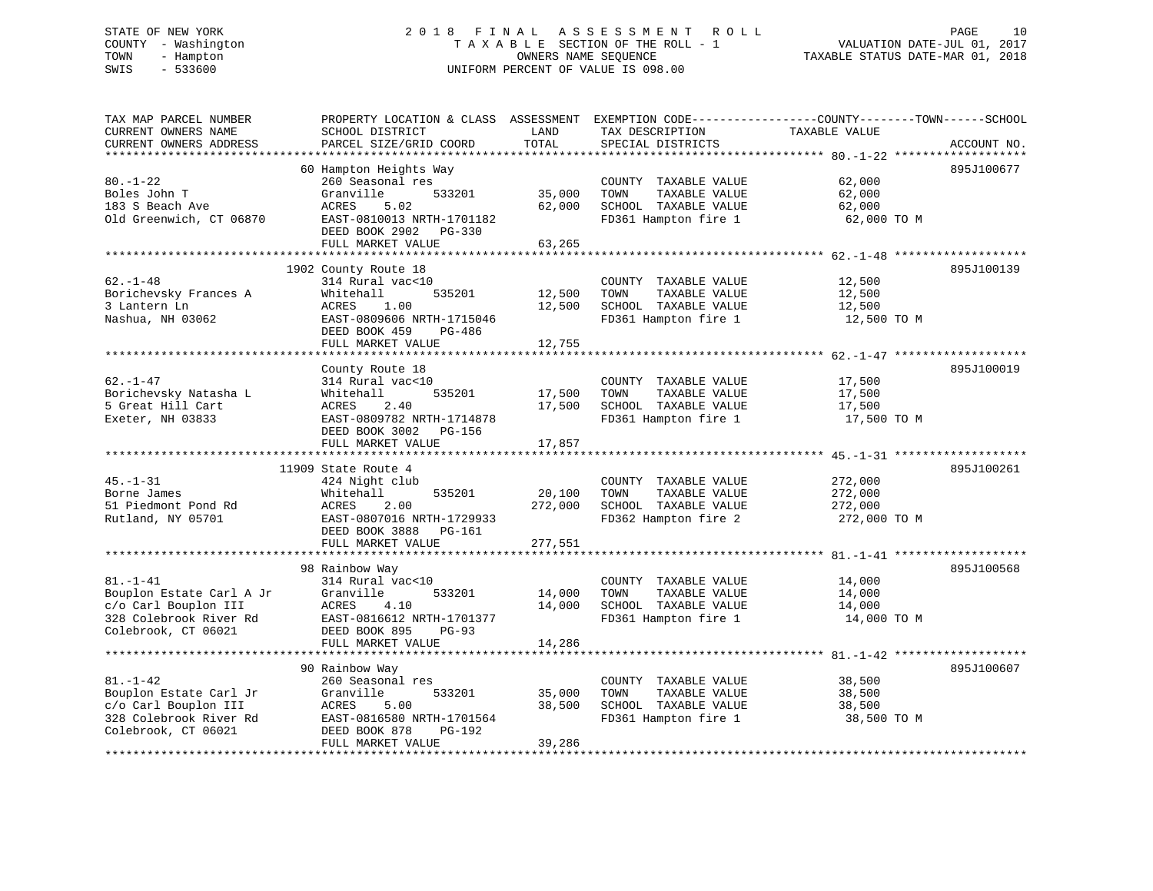# STATE OF NEW YORK 2 0 1 8 F I N A L A S S E S S M E N T R O L L PAGE 10 COUNTY - Washington T A X A B L E SECTION OF THE ROLL - 1 VALUATION DATE-JUL 01, 2017 TOWN - Hampton OWNERS NAME SEQUENCE TAXABLE STATUS DATE-MAR 01, 2018 SWIS - 533600 UNIFORM PERCENT OF VALUE IS 098.00

| TAX MAP PARCEL NUMBER<br>CURRENT OWNERS NAME<br>CURRENT OWNERS ADDRESS                                              | PROPERTY LOCATION & CLASS ASSESSMENT<br>SCHOOL DISTRICT<br>PARCEL SIZE/GRID COORD                                                                                                                                      | LAND<br>TOTAL                | EXEMPTION CODE-----------------COUNTY-------TOWN------SCHOOL<br>TAX DESCRIPTION<br>SPECIAL DISTRICTS | TAXABLE VALUE                                 | ACCOUNT NO. |
|---------------------------------------------------------------------------------------------------------------------|------------------------------------------------------------------------------------------------------------------------------------------------------------------------------------------------------------------------|------------------------------|------------------------------------------------------------------------------------------------------|-----------------------------------------------|-------------|
| ********************<br>$80. - 1 - 22$<br>Boles John T<br>183 S Beach Ave<br>Old Greenwich, CT 06870                | *********************<br>60 Hampton Heights Way<br>260 Seasonal res<br>Granville<br>533201<br>ACRES<br>5.02<br>EAST-0810013 NRTH-1701182<br>DEED BOOK 2902<br>PG-330<br>FULL MARKET VALUE<br>************************* | 35,000<br>62,000<br>63,265   | COUNTY TAXABLE VALUE<br>TOWN<br>TAXABLE VALUE<br>SCHOOL TAXABLE VALUE<br>FD361 Hampton fire 1        | 62,000<br>62,000<br>62,000<br>62,000 TO M     | 895J100677  |
| $62. - 1 - 48$<br>Borichevsky Frances A<br>3 Lantern Ln<br>Nashua, NH 03062                                         | 1902 County Route 18<br>314 Rural vac<10<br>535201<br>Whitehall<br>ACRES<br>1.00<br>EAST-0809606 NRTH-1715046<br>DEED BOOK 459<br>PG-486<br>FULL MARKET VALUE                                                          | 12,500<br>12,500<br>12,755   | COUNTY TAXABLE VALUE<br>TOWN<br>TAXABLE VALUE<br>SCHOOL TAXABLE VALUE<br>FD361 Hampton fire 1        | 12,500<br>12,500<br>12,500<br>12,500 TO M     | 895J100139  |
| $62. - 1 - 47$<br>Borichevsky Natasha L<br>5 Great Hill Cart<br>Exeter, NH 03833                                    | County Route 18<br>314 Rural vac<10<br>Whitehall<br>535201<br>ACRES<br>2.40<br>EAST-0809782 NRTH-1714878<br>DEED BOOK 3002<br>PG-156<br>FULL MARKET VALUE                                                              | 17,500<br>17,500<br>17,857   | COUNTY TAXABLE VALUE<br>TOWN<br>TAXABLE VALUE<br>SCHOOL TAXABLE VALUE<br>FD361 Hampton fire 1        | 17,500<br>17,500<br>17,500<br>17,500 TO M     | 895J100019  |
| $45. - 1 - 31$<br>Borne James<br>51 Piedmont Pond Rd<br>Rutland, NY 05701                                           | 11909 State Route 4<br>424 Night club<br>535201<br>Whitehall<br>ACRES<br>2.00<br>EAST-0807016 NRTH-1729933<br>DEED BOOK 3888<br>PG-161<br>FULL MARKET VALUE                                                            | 20,100<br>272,000<br>277,551 | COUNTY TAXABLE VALUE<br>TAXABLE VALUE<br>TOWN<br>SCHOOL TAXABLE VALUE<br>FD362 Hampton fire 2        | 272,000<br>272,000<br>272,000<br>272,000 TO M | 895J100261  |
| $81. - 1 - 41$<br>Bouplon Estate Carl A Jr<br>c/o Carl Bouplon III<br>328 Colebrook River Rd<br>Colebrook, CT 06021 | 98 Rainbow Way<br>314 Rural vac<10<br>Granville<br>533201<br>ACRES<br>4.10<br>EAST-0816612 NRTH-1701377<br>DEED BOOK 895<br>$PG-93$<br>FULL MARKET VALUE                                                               | 14,000<br>14,000<br>14,286   | COUNTY TAXABLE VALUE<br>TOWN<br>TAXABLE VALUE<br>SCHOOL TAXABLE VALUE<br>FD361 Hampton fire 1        | 14,000<br>14,000<br>14,000<br>14,000 TO M     | 895J100568  |
| $81. - 1 - 42$<br>Bouplon Estate Carl Jr<br>c/o Carl Bouplon III<br>328 Colebrook River Rd<br>Colebrook, CT 06021   | 90 Rainbow Way<br>260 Seasonal res<br>Granville<br>533201<br>ACRES<br>5.00<br>EAST-0816580 NRTH-1701564<br>DEED BOOK 878<br>PG-192<br>FULL MARKET VALUE                                                                | 35,000<br>38,500<br>39,286   | COUNTY TAXABLE VALUE<br>TOWN<br>TAXABLE VALUE<br>SCHOOL TAXABLE VALUE<br>FD361 Hampton fire 1        | 38,500<br>38,500<br>38,500<br>38,500 TO M     | 895J100607  |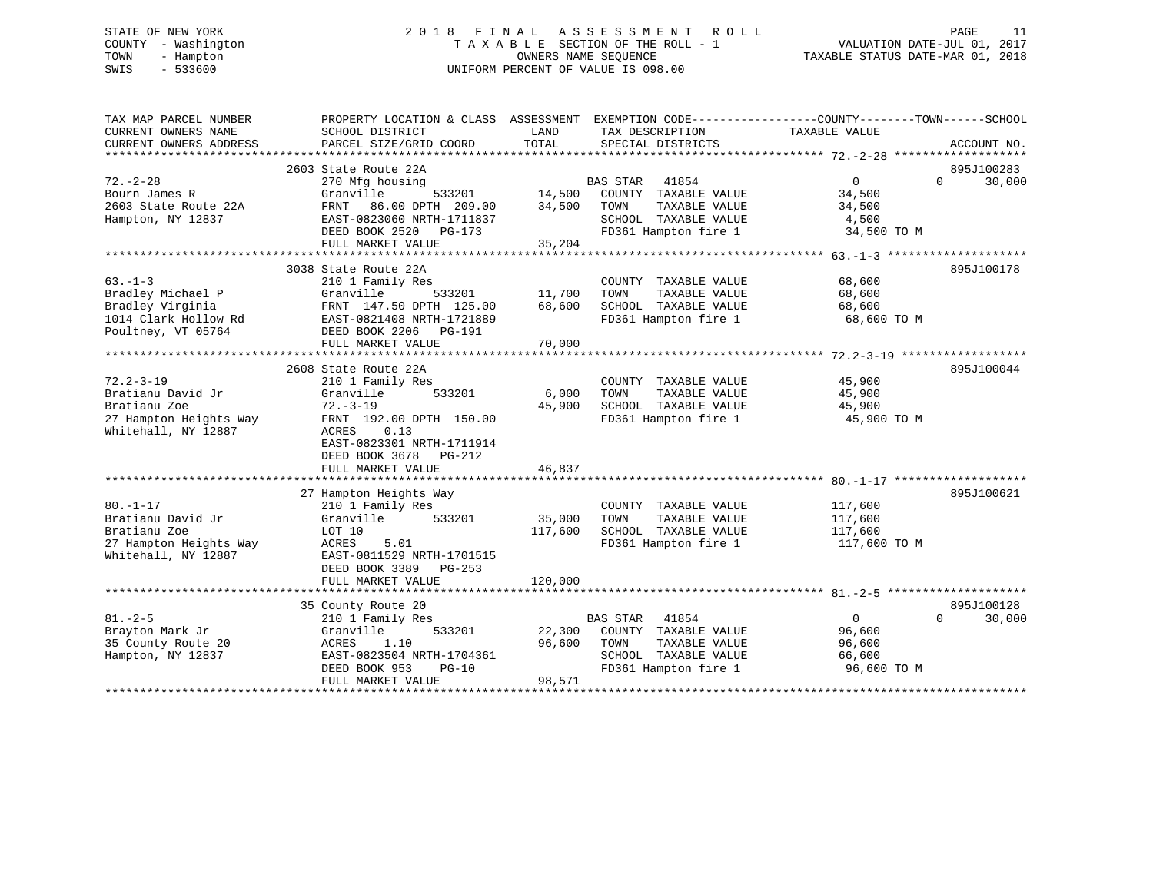# STATE OF NEW YORK 2 0 1 8 F I N A L A S S E S S M E N T R O L L PAGE 11 COUNTY - Washington T A X A B L E SECTION OF THE ROLL - 1 VALUATION DATE-JUL 01, 2017 TOWN - Hampton OWNERS NAME SEQUENCE TAXABLE STATUS DATE-MAR 01, 2018 SWIS - 533600 UNIFORM PERCENT OF VALUE IS 098.00

| TAX MAP PARCEL NUMBER<br>CURRENT OWNERS NAME<br>CURRENT OWNERS ADDRESS | PROPERTY LOCATION & CLASS ASSESSMENT EXEMPTION CODE---------------COUNTY-------TOWN------SCHOOL<br>SCHOOL DISTRICT<br>PARCEL SIZE/GRID COORD | LAND<br>TOTAL | TAX DESCRIPTION<br>SPECIAL DISTRICTS  | TAXABLE VALUE  | ACCOUNT NO.        |
|------------------------------------------------------------------------|----------------------------------------------------------------------------------------------------------------------------------------------|---------------|---------------------------------------|----------------|--------------------|
|                                                                        |                                                                                                                                              |               |                                       |                |                    |
|                                                                        | 2603 State Route 22A                                                                                                                         |               |                                       |                | 895J100283         |
| $72. - 2 - 28$                                                         | 270 Mfg housing                                                                                                                              |               | <b>BAS STAR</b><br>41854              | $\overline{0}$ | $\Omega$<br>30,000 |
| Bourn James R                                                          | Granville<br>533201                                                                                                                          | 14,500        | COUNTY TAXABLE VALUE                  | 34,500         |                    |
| 2603 State Route 22A                                                   | FRNT<br>86.00 DPTH 209.00                                                                                                                    | 34,500        | TAXABLE VALUE<br>TOWN                 | 34,500         |                    |
| Hampton, NY 12837                                                      | EAST-0823060 NRTH-1711837                                                                                                                    |               | SCHOOL TAXABLE VALUE                  | 4,500          |                    |
|                                                                        | DEED BOOK 2520 PG-173                                                                                                                        |               | FD361 Hampton fire 1                  | 34,500 TO M    |                    |
|                                                                        | FULL MARKET VALUE                                                                                                                            | 35,204        |                                       |                |                    |
|                                                                        |                                                                                                                                              |               |                                       |                |                    |
|                                                                        | 3038 State Route 22A                                                                                                                         |               |                                       |                | 895J100178         |
| $63. -1 - 3$                                                           | 210 1 Family Res                                                                                                                             |               | COUNTY TAXABLE VALUE                  | 68,600         |                    |
| Bradley Michael P                                                      | 533201<br>Granville                                                                                                                          | 11,700        | TOWN<br>TAXABLE VALUE                 | 68,600         |                    |
| Bradley Virginia                                                       | FRNT 147.50 DPTH 125.00                                                                                                                      | 68,600        | SCHOOL TAXABLE VALUE                  | 68,600         |                    |
| 1014 Clark Hollow Rd                                                   | EAST-0821408 NRTH-1721889                                                                                                                    |               | FD361 Hampton fire 1                  | 68,600 TO M    |                    |
| Poultney, VT 05764                                                     | DEED BOOK 2206 PG-191                                                                                                                        |               |                                       |                |                    |
|                                                                        | FULL MARKET VALUE                                                                                                                            | 70,000        |                                       |                |                    |
|                                                                        |                                                                                                                                              |               |                                       |                |                    |
|                                                                        | 2608 State Route 22A                                                                                                                         |               |                                       |                | 895J100044         |
| $72.2 - 3 - 19$                                                        | 210 1 Family Res                                                                                                                             |               | COUNTY TAXABLE VALUE                  | 45,900         |                    |
| Bratianu David Jr                                                      | 533201<br>Granville                                                                                                                          | 6,000         | TOWN<br>TAXABLE VALUE                 | 45,900         |                    |
| Bratianu Zoe                                                           | $72. - 3 - 19$                                                                                                                               | 45,900        | SCHOOL TAXABLE VALUE                  | 45,900         |                    |
| 27 Hampton Heights Way                                                 | FRNT 192.00 DPTH 150.00                                                                                                                      |               | FD361 Hampton fire 1                  | 45,900 TO M    |                    |
| Whitehall, NY 12887                                                    | ACRES<br>0.13                                                                                                                                |               |                                       |                |                    |
|                                                                        | EAST-0823301 NRTH-1711914                                                                                                                    |               |                                       |                |                    |
|                                                                        | DEED BOOK 3678<br>PG-212                                                                                                                     |               |                                       |                |                    |
|                                                                        | FULL MARKET VALUE                                                                                                                            | 46,837        |                                       |                |                    |
|                                                                        |                                                                                                                                              |               |                                       |                |                    |
|                                                                        | 27 Hampton Heights Way                                                                                                                       |               |                                       |                | 895J100621         |
| $80. - 1 - 17$                                                         |                                                                                                                                              |               |                                       |                |                    |
| Bratianu David Jr                                                      | 210 1 Family Res<br>533201                                                                                                                   | 35,000        | COUNTY TAXABLE VALUE<br>TOWN          | 117,600        |                    |
| Bratianu Zoe                                                           | Granville                                                                                                                                    |               | TAXABLE VALUE<br>SCHOOL TAXABLE VALUE | 117,600        |                    |
|                                                                        | LOT 10                                                                                                                                       | 117,600       |                                       | 117,600        |                    |
| 27 Hampton Heights Way                                                 | ACRES<br>5.01                                                                                                                                |               | FD361 Hampton fire 1                  | 117,600 TO M   |                    |
| Whitehall, NY 12887                                                    | EAST-0811529 NRTH-1701515                                                                                                                    |               |                                       |                |                    |
|                                                                        | DEED BOOK 3389 PG-253                                                                                                                        |               |                                       |                |                    |
|                                                                        | FULL MARKET VALUE                                                                                                                            | 120,000       |                                       |                |                    |
|                                                                        |                                                                                                                                              |               |                                       |                |                    |
|                                                                        | 35 County Route 20                                                                                                                           |               |                                       |                | 895J100128         |
| $81. - 2 - 5$                                                          | 210 1 Family Res                                                                                                                             |               | BAS STAR<br>41854                     | $\overline{0}$ | $\Omega$<br>30,000 |
| Brayton Mark Jr                                                        | 533201<br>Granville                                                                                                                          | 22,300        | COUNTY TAXABLE VALUE                  | 96,600         |                    |
| 35 County Route 20                                                     | 1.10<br>ACRES                                                                                                                                | 96,600        | TAXABLE VALUE<br>TOWN                 | 96,600         |                    |
| Hampton, NY 12837                                                      | EAST-0823504 NRTH-1704361                                                                                                                    |               | SCHOOL TAXABLE VALUE                  | 66,600         |                    |
|                                                                        | DEED BOOK 953<br>$PG-10$                                                                                                                     |               | FD361 Hampton fire 1                  | 96,600 TO M    |                    |
|                                                                        | FULL MARKET VALUE                                                                                                                            | 98,571        |                                       |                |                    |
|                                                                        |                                                                                                                                              |               |                                       |                |                    |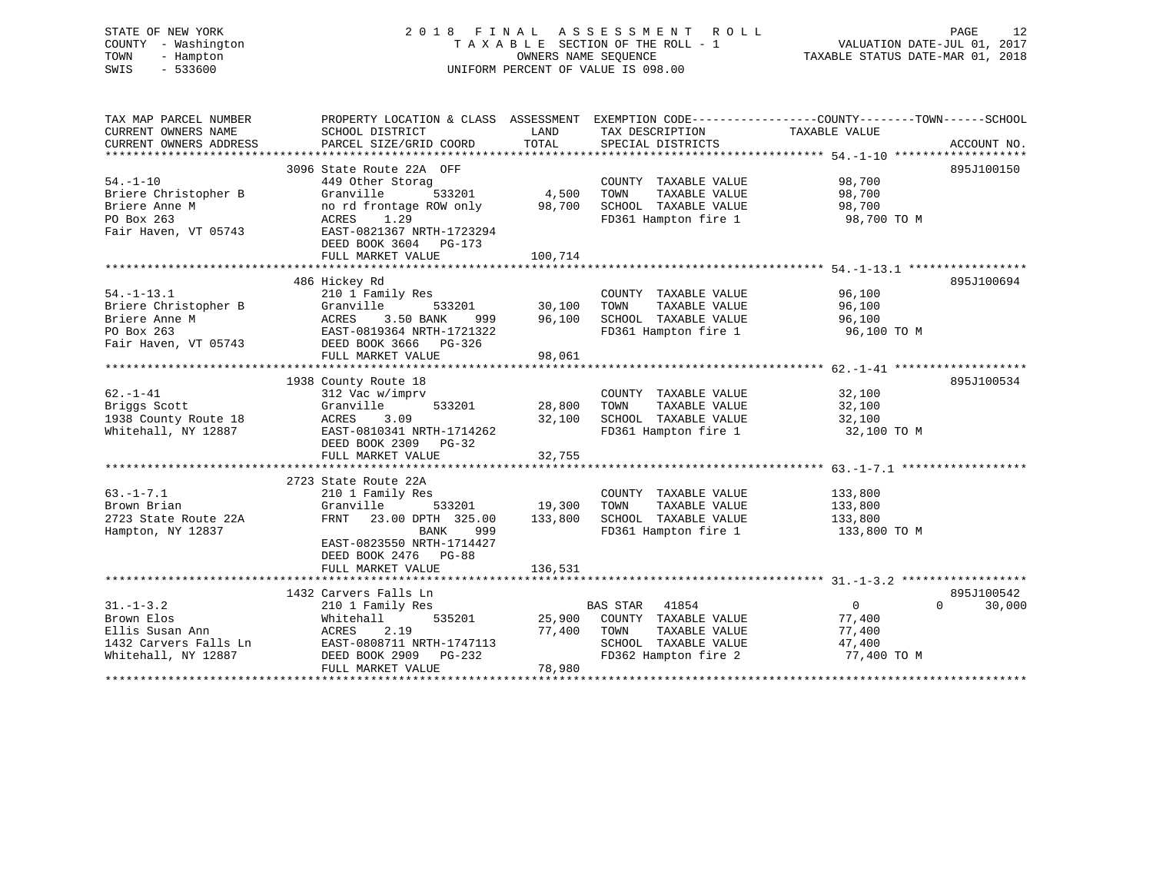STATE OF NEW YORK 2 0 1 8 F I N A L A S S E S S M E N T R O L L PAGE 12 COUNTY - Washington T A X A B L E SECTION OF THE ROLL - 1 VALUATION DATE-JUL 01, 2017 TOWN - Hampton OWNERS NAME SEQUENCE TAXABLE STATUS DATE-MAR 01, 2018 SWIS - 533600 UNIFORM PERCENT OF VALUE IS 098.00

| TAX MAP PARCEL NUMBER<br>CURRENT OWNERS NAME<br>CURRENT OWNERS ADDRESS                          | PROPERTY LOCATION & CLASS ASSESSMENT EXEMPTION CODE----------------COUNTY-------TOWN------SCHOOL<br>SCHOOL DISTRICT<br>PARCEL SIZE/GRID COORD                                                          | LAND<br>TOTAL                       | TAX DESCRIPTION TAXABLE VALUE<br>SPECIAL DISTRICTS                                                                   |                                                   | ACCOUNT NO.        |
|-------------------------------------------------------------------------------------------------|--------------------------------------------------------------------------------------------------------------------------------------------------------------------------------------------------------|-------------------------------------|----------------------------------------------------------------------------------------------------------------------|---------------------------------------------------|--------------------|
| $54. - 1 - 10$<br>Briere Christopher B<br>Briere Anne M<br>PO Box 263<br>Fair Haven, VT 05743   | 3096 State Route 22A OFF<br>449 Other Storag<br>Granville<br>no rd fror<br>ACRES 1<br>no rd frontage ROW only<br>ACRES 1.29<br>EAST-0821367 NRTH-1723294<br>DEED BOOK 3604 PG-173<br>FULL MARKET VALUE | $533201$ 4,500<br>98,700<br>100,714 | COUNTY TAXABLE VALUE<br>TOWN<br>SCHOOL TAXABLE VALUE<br>FD361 Hampton fire 1 98,700 TO M                             | 98,700<br>TAXABLE VALUE 98,700<br>98,700          | 895J100150         |
|                                                                                                 |                                                                                                                                                                                                        |                                     |                                                                                                                      |                                                   |                    |
| $54. - 1 - 13.1$<br>Briere Christopher B<br>Briere Anne M<br>PO Box 263<br>Fair Haven, VT 05743 | 486 Hickey Rd<br>3.50 BANK<br>ACRES<br>EAST-0819364 NRTH-1721322<br>DEED BOOK 3666 PG-326<br>FULL MARKET VALUE                                                                                         | 98,061                              | COUNTY TAXABLE VALUE<br>TAXABLE VALUE<br>999 96,100 SCHOOL TAXABLE VALUE 96,100<br>FD361 Hampton fire 1 96,100 TO M  | 96,100<br>96,100                                  | 895J100694         |
|                                                                                                 |                                                                                                                                                                                                        |                                     |                                                                                                                      |                                                   | 895J100534         |
| $62. - 1 - 41$<br>Briggs Scott<br>1938 County Route 18<br>Whitehall, NY 12887                   | 1938 County Route 18<br>312 Vac w/imprv<br>Granville<br>$\begin{array}{cccc} 533201 & 28,800 \\ 09 & 32,100 \end{array}$<br>3.09<br>ACRES<br>EAST-0810341 NRTH-1714262<br>DEED BOOK 2309 PG-32         |                                     | COUNTY TAXABLE VALUE<br>TOWN TAXABLE VALUE 32,100<br>SCHOOL TAXABLE VALUE 32,100<br>FD361 Hampton fire 1 32,100 TO M | 32,100                                            |                    |
|                                                                                                 | FULL MARKET VALUE                                                                                                                                                                                      | 32,755                              |                                                                                                                      |                                                   |                    |
|                                                                                                 | 2723 State Route 22A                                                                                                                                                                                   |                                     |                                                                                                                      |                                                   |                    |
| $63. -1 - 7.1$<br>Brown Brian<br>2723 State Route 22A<br>Hampton, NY 12837                      | 210 1 Family Res<br>Granville<br>FRNT 23.00 DPTH 325.00<br>BANK<br>999<br>EAST-0823550 NRTH-1714427<br>DEED BOOK 2476 PG-88                                                                            | 133,800                             | COUNTY TAXABLE VALUE 133,800<br>FD361 Hampton fire 1 133,800 TO M                                                    |                                                   |                    |
|                                                                                                 | FULL MARKET VALUE                                                                                                                                                                                      | 136,531                             |                                                                                                                      |                                                   |                    |
|                                                                                                 | 1432 Carvers Falls Ln                                                                                                                                                                                  |                                     |                                                                                                                      |                                                   | 895J100542         |
| $31. - 1 - 3.2$<br>Brown Elos                                                                   | 210 1 Family Res<br>Whitehall<br>FULL MARKET VALUE                                                                                                                                                     | 78,980                              | BAS STAR 41854<br>535201 25,900 COUNTY TAXABLE VALUE<br>SCHOOL TAXABLE VALUE<br>FD362 Hampton fire 2                 | $\overline{0}$<br>77,400<br>47,400<br>77,400 TO M | 30,000<br>$\Omega$ |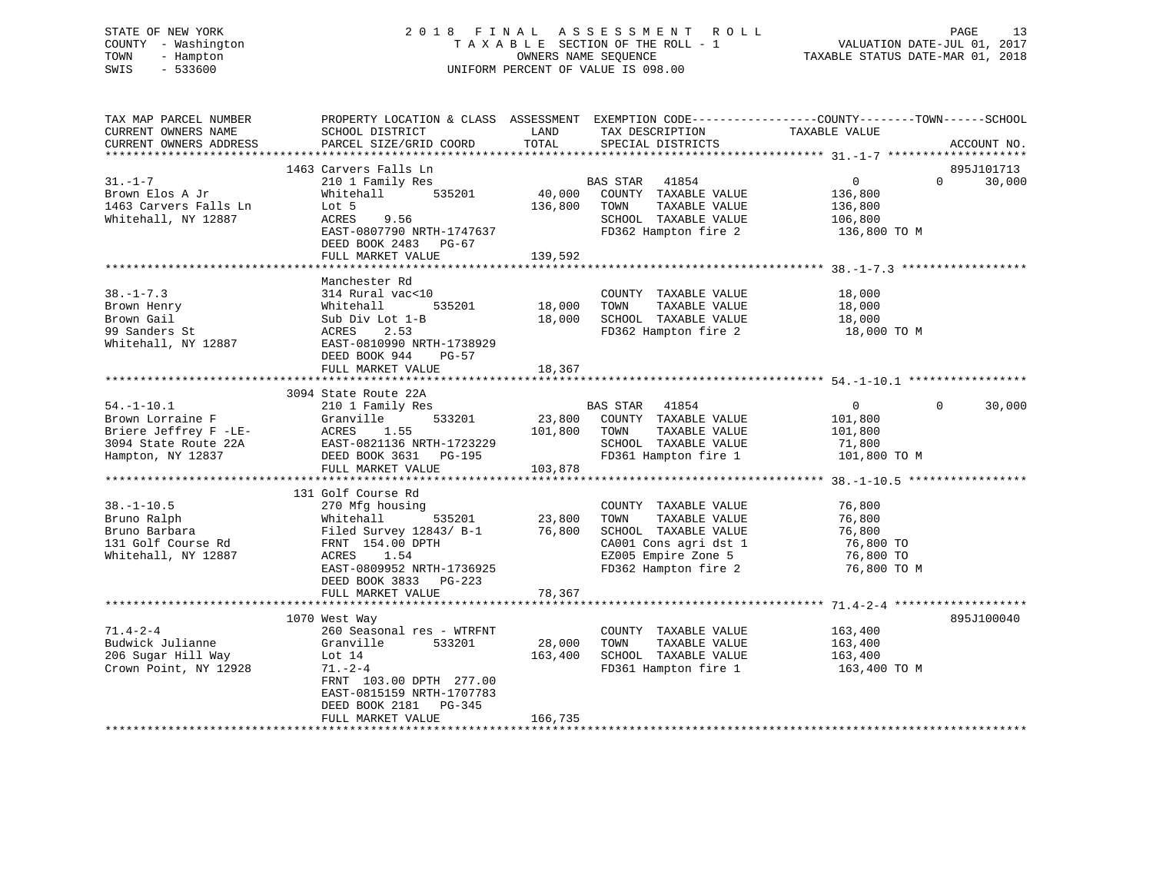# STATE OF NEW YORK 2 0 1 8 F I N A L A S S E S S M E N T R O L L PAGE 13 COUNTY - Washington T A X A B L E SECTION OF THE ROLL - 1 VALUATION DATE-JUL 01, 2017 TOWN - Hampton OWNERS NAME SEQUENCE TAXABLE STATUS DATE-MAR 01, 2018 SWIS - 533600 UNIFORM PERCENT OF VALUE IS 098.00

| TAX MAP PARCEL NUMBER<br>CURRENT OWNERS NAME<br>CURRENT OWNERS ADDRESS                                     | PROPERTY LOCATION & CLASS ASSESSMENT EXEMPTION CODE---------------COUNTY-------TOWN------SCHOOL<br>SCHOOL DISTRICT<br>PARCEL SIZE/GRID COORD                                                                 | LAND<br>TOTAL                | TAX DESCRIPTION<br>SPECIAL DISTRICTS                                                                                                          | TAXABLE VALUE                                                       | ACCOUNT NO.                      |
|------------------------------------------------------------------------------------------------------------|--------------------------------------------------------------------------------------------------------------------------------------------------------------------------------------------------------------|------------------------------|-----------------------------------------------------------------------------------------------------------------------------------------------|---------------------------------------------------------------------|----------------------------------|
| $31. - 1 - 7$<br>Brown Elos A Jr<br>1463 Carvers Falls Ln<br>Whitehall, NY 12887                           | 1463 Carvers Falls Ln<br>210 1 Family Res<br>535201<br>Whitehall<br>Lot 5<br>ACRES<br>9.56<br>EAST-0807790 NRTH-1747637<br>DEED BOOK 2483 PG-67<br>FULL MARKET VALUE                                         | 40,000<br>136,800<br>139,592 | BAS STAR 41854<br>COUNTY TAXABLE VALUE<br>TOWN<br>TAXABLE VALUE<br>SCHOOL TAXABLE VALUE<br>FD362 Hampton fire 2                               | $\overline{0}$<br>136,800<br>136,800<br>106,800<br>136,800 TO M     | 895J101713<br>$\Omega$<br>30,000 |
| $38. - 1 - 7.3$<br>Brown Henry<br>Brown Gail<br>99 Sanders St<br>Whitehall, NY 12887                       | Manchester Rd<br>314 Rural vac<10<br>535201<br>Whitehall<br>Sub Div Lot 1-B<br>ACRES<br>2.53<br>EAST-0810990 NRTH-1738929<br>DEED BOOK 944<br>PG-57<br>FULL MARKET VALUE                                     | 18,000<br>18,000<br>18,367   | COUNTY TAXABLE VALUE<br>TOWN<br>TAXABLE VALUE<br>SCHOOL TAXABLE VALUE<br>FD362 Hampton fire 2                                                 | 18,000<br>18,000<br>18,000<br>18,000 TO M                           |                                  |
| $54. - 1 - 10.1$<br>Brown Lorraine F<br>Briere Jeffrey F -LE-<br>3094 State Route 22A<br>Hampton, NY 12837 | 3094 State Route 22A<br>210 1 Family Res<br>533201<br>Granville<br>ACRES<br>1.55<br>EAST-0821136 NRTH-1723229<br>DEED BOOK 3631 PG-195<br>FULL MARKET VALUE                                                  | 23,800<br>101,800<br>103,878 | 41854<br>BAS STAR<br>COUNTY TAXABLE VALUE<br>TOWN<br>TAXABLE VALUE<br>SCHOOL TAXABLE VALUE<br>FD361 Hampton fire 1                            | $\mathbf{0}$<br>101,800<br>101,800<br>71,800<br>101,800 TO M        | $\Omega$<br>30,000               |
| $38. - 1 - 10.5$<br>Bruno Ralph<br>Bruno Barbara<br>131 Golf Course Rd<br>Whitehall, NY 12887              | 131 Golf Course Rd<br>270 Mfg housing<br>Whitehall<br>535201<br>Filed Survey 12843/ B-1<br>FRNT 154.00 DPTH<br>ACRES<br>1.54<br>EAST-0809952 NRTH-1736925<br>DEED BOOK 3833<br>$PG-223$<br>FULL MARKET VALUE | 23,800<br>76,800<br>78,367   | COUNTY TAXABLE VALUE<br>TOWN<br>TAXABLE VALUE<br>SCHOOL TAXABLE VALUE<br>CA001 Cons agri dst 1<br>EZ005 Empire Zone 5<br>FD362 Hampton fire 2 | 76,800<br>76,800<br>76,800<br>76,800 TO<br>76,800 TO<br>76,800 TO M |                                  |
|                                                                                                            |                                                                                                                                                                                                              |                              |                                                                                                                                               |                                                                     |                                  |
| $71.4 - 2 - 4$<br>Budwick Julianne<br>206 Sugar Hill Way<br>Crown Point, NY 12928                          | 1070 West Way<br>260 Seasonal res - WTRFNT<br>Granville<br>533201<br>Lot $14$<br>$71. - 2 - 4$<br>FRNT 103.00 DPTH 277.00<br>EAST-0815159 NRTH-1707783<br>DEED BOOK 2181 PG-345<br>FULL MARKET VALUE         | 28,000<br>163,400<br>166,735 | COUNTY TAXABLE VALUE<br>TOWN<br>TAXABLE VALUE<br>SCHOOL TAXABLE VALUE<br>FD361 Hampton fire 1                                                 | 163,400<br>163,400<br>163,400<br>163,400 ТО М                       | 895J100040                       |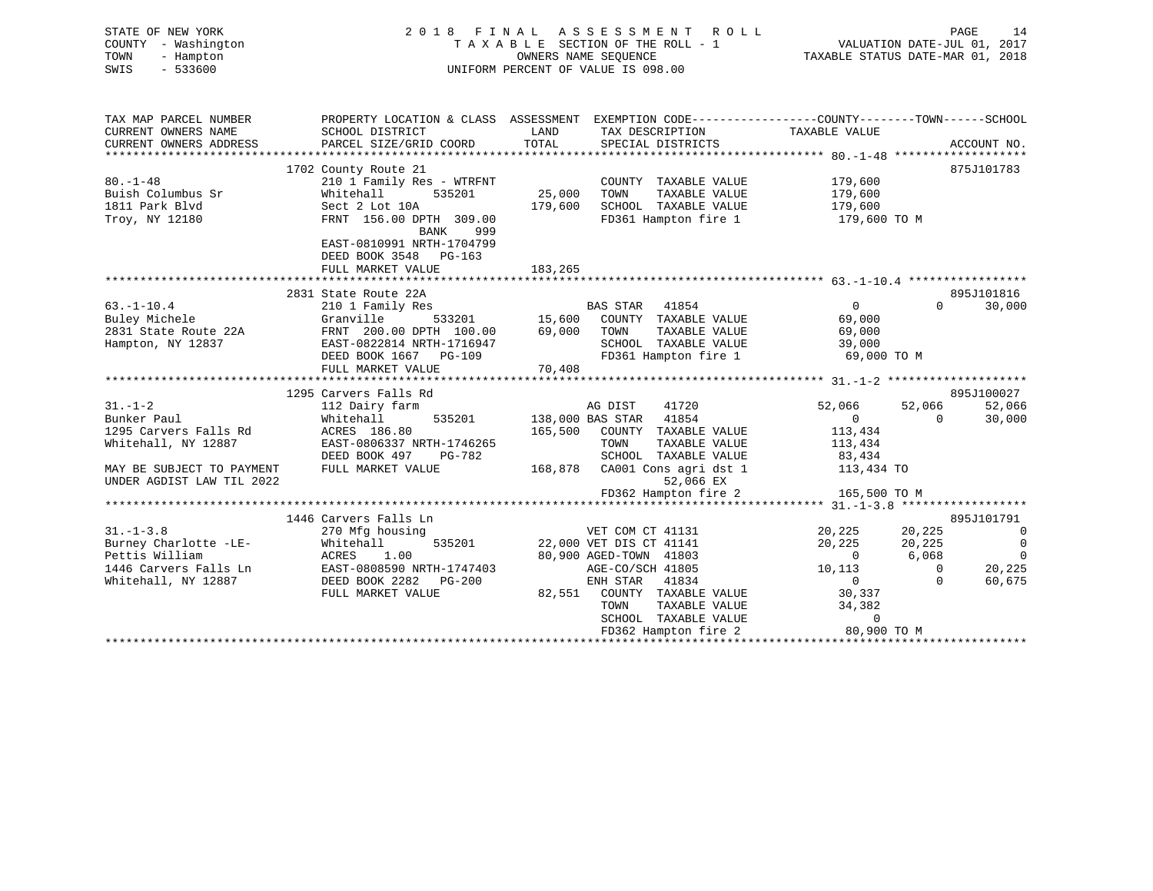| STATE OF NEW YORK<br>COUNTY - Washington<br>TOWN<br>- Hampton<br>$-533600$<br>SWIS                                                     |                                                                                                                                                                                                                                                  |                              | 2018 FINAL ASSESSMENT ROLL<br>T A X A B L E SECTION OF THE ROLL - 1 VALUATION DATE-JUL 01, 2017<br>OWNERS NAME SEQUENCE TAXABLE STATUS DATE-MAR 01, 2018<br>UNIFORM PERCENT OF VALUE IS 098.00          |                                                                                                |                                                         | PAGE<br>14                                                                                          |
|----------------------------------------------------------------------------------------------------------------------------------------|--------------------------------------------------------------------------------------------------------------------------------------------------------------------------------------------------------------------------------------------------|------------------------------|---------------------------------------------------------------------------------------------------------------------------------------------------------------------------------------------------------|------------------------------------------------------------------------------------------------|---------------------------------------------------------|-----------------------------------------------------------------------------------------------------|
| TAX MAP PARCEL NUMBER<br>CURRENT OWNERS NAME<br>CURRENT OWNERS ADDRESS                                                                 | SCHOOL DISTRICT<br>PARCEL SIZE/GRID COORD                                                                                                                                                                                                        | LAND<br>TOTAL                | PROPERTY LOCATION & CLASS ASSESSMENT EXEMPTION CODE---------------COUNTY-------TOWN-----SCHOOL<br>TAX DESCRIPTION<br>SPECIAL DISTRICTS                                                                  | TAXABLE VALUE                                                                                  |                                                         | ACCOUNT NO.                                                                                         |
| $80. - 1 - 48$<br>Buish Columbus Sr<br>1811 Park Blvd<br>Troy, NY 12180                                                                | 1702 County Route 21<br>210 1 Family Res - WTRFNT<br>535201<br>Whitehall<br>Sect 2 Lot 10A<br>FRNT 156.00 DPTH 309.00<br>BANK 999<br>EAST-0810991 NRTH-1704799<br>DEED BOOK 3548 PG-163<br>FULL MARKET VALUE                                     | 25,000<br>179,600<br>183,265 | COUNTY TAXABLE VALUE<br>TAXABLE VALUE<br>TOWN<br>SCHOOL TAXABLE VALUE<br>FD361 Hampton fire 1                                                                                                           | 179,600<br>179,600<br>179,600<br>179,600 TO M                                                  |                                                         | 875J101783                                                                                          |
| 63.-1-10.4<br>Buley Michele<br>2831 State Route 22A<br>Hampton, NY 12837                                                               | 2831 State Route 22A<br>210 1 Family Res<br>Granville 533201 15,600 COUNTY TAXABLE VALUE<br>FRNT 200.00 DPTH 100.00 69,000 TOWN TAXABLE VALUE<br>EAST-0822814 NRTH-1716947<br>DEED BOOK 1667 PG-109<br>FULL MARKET VALUE                         | 70,408                       | SCHOOL TAXABLE VALUE 39,000<br>FD361 Hampton fire 1 69,000 TO M                                                                                                                                         | $\overline{0}$<br>69,000<br>69,000                                                             |                                                         | 895J101816<br>$0 \t 30,000$                                                                         |
| $31. - 1 - 2$<br>Bunker Paul<br>1295 Carvers Falls Rd<br>Whitehall, NY 12887<br>MAY BE SUBJECT TO PAYMENT<br>UNDER AGDIST LAW TIL 2022 | 1295 Carvers Falls Rd<br>112 Dairy farm<br>Whitehall<br>ACRES 186.80<br>EAST-0806337 NRTH-1746265<br>DEED BOOK 497 PG-782<br>FULL MARKET VALUE                                                                                                   |                              | AG DIST<br>41720<br>535201 138,000 BAS STAR 41854<br>165,500 COUNTY TAXABLE VALUE<br>TOWN<br>TAXABLE VALUE<br>52,066 EX<br>FD362 Hampton fire 2                                                         | 52,066<br>$\overline{0}$<br>113,434<br>113,434<br>165,500 TO M                                 | 52,066<br>$\Omega$                                      | 895J100027<br>52,066<br>30,000                                                                      |
| $31. - 1 - 3.8$                                                                                                                        | 1446 Carvers Falls Ln<br>270 Mfg housing<br>31.-1-3.8 270 Mtg housing<br>Burney Charlotte -LE-<br>Pettis William ACRES 1.00<br>1446 Carvers Falls Ln EAST-0808590 NRTH-1747403<br>Whitehall, NY 12887 DEED BOOK 2282 PG-200<br>FULL MARKET VALUE |                              | 1<br>VET COM CT 41131<br>535201 22,000 VET DIS CT 41141<br>00 900 AGED-TOWN 41803<br>AGE-CO/SCH 41805<br>ENH STAR 41834<br>82,551 COUNTY TAXABLE VALUE<br>TAXABLE VALUE<br>TOWN<br>SCHOOL TAXABLE VALUE | 20,225<br>20,225<br>$\overline{0}$<br>10,113<br>$\overline{0}$<br>30,337<br>34,382<br>$\Omega$ | 20,225<br>20,225<br>6,068<br>$\overline{0}$<br>$\Omega$ | 895J101791<br>$\overline{0}$<br>$\overline{0}$<br>$\overline{0}$<br>0<br>20,225<br>60,675<br>60,675 |

FD362 Hampton fire 2 80,900 TO M \*\*\*\*\*\*\*\*\*\*\*\*\*\*\*\*\*\*\*\*\*\*\*\*\*\*\*\*\*\*\*\*\*\*\*\*\*\*\*\*\*\*\*\*\*\*\*\*\*\*\*\*\*\*\*\*\*\*\*\*\*\*\*\*\*\*\*\*\*\*\*\*\*\*\*\*\*\*\*\*\*\*\*\*\*\*\*\*\*\*\*\*\*\*\*\*\*\*\*\*\*\*\*\*\*\*\*\*\*\*\*\*\*\*\*\*\*\*\*\*\*\*\*\*\*\*\*\*\*\*\*\*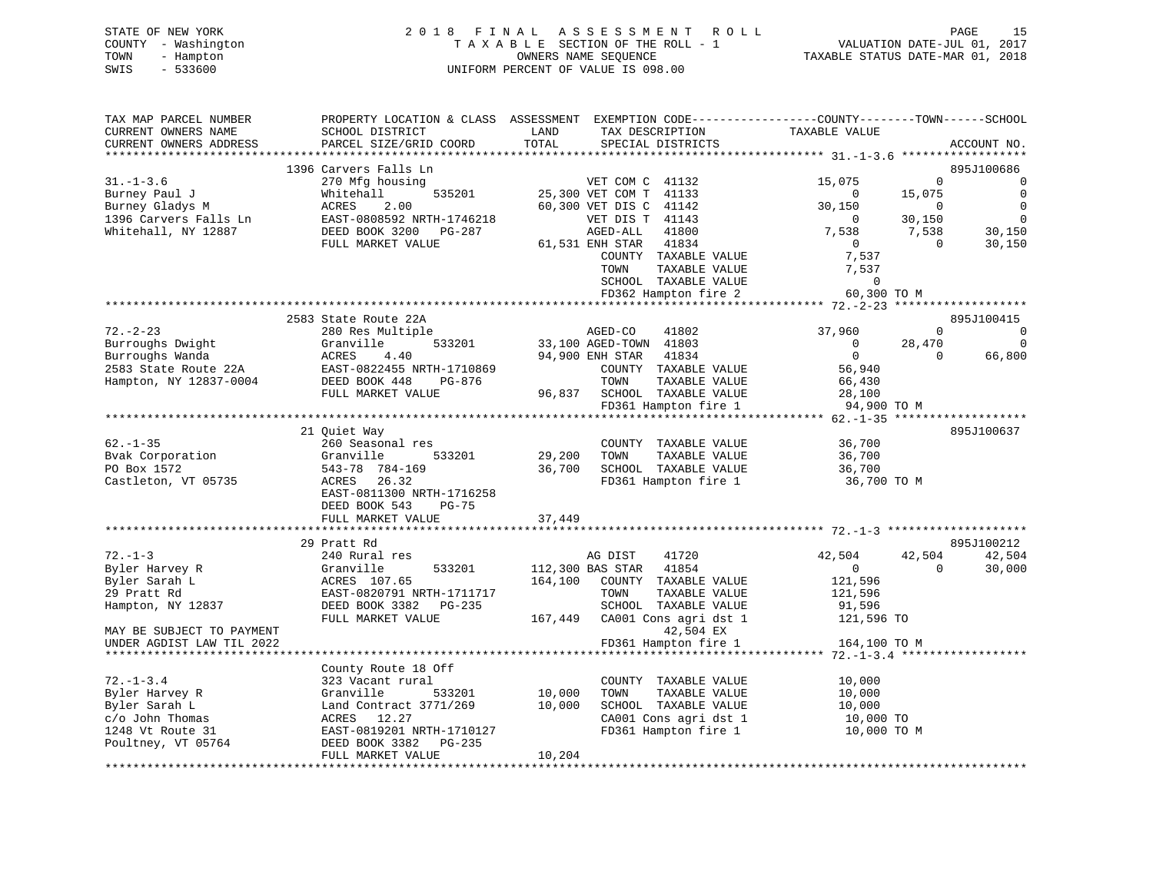# STATE OF NEW YORK 2 0 1 8 F I N A L A S S E S S M E N T R O L L PAGE 15 COUNTY - Washington T A X A B L E SECTION OF THE ROLL - 1 VALUATION DATE-JUL 01, 2017 TOWN - Hampton OWNERS NAME SEQUENCE TAXABLE STATUS DATE-MAR 01, 2018 SWIS - 533600 UNIFORM PERCENT OF VALUE IS 098.00

| TAX MAP PARCEL NUMBER<br>CURRENT OWNERS NAME<br>CURRENT OWNERS ADDRESS                                          | SCHOOL DISTRICT<br>PARCEL SIZE/GRID COORD                                                                                                                                                              | PROPERTY LOCATION & CLASS ASSESSMENT EXEMPTION CODE-----------------COUNTY-------TOWN------SCHOOL<br>LAND<br>TAX DESCRIPTION<br>TOTAL<br>SPECIAL DISTRICTS                        | TAXABLE VALUE<br>ACCOUNT NO.                                                                                                                                       |
|-----------------------------------------------------------------------------------------------------------------|--------------------------------------------------------------------------------------------------------------------------------------------------------------------------------------------------------|-----------------------------------------------------------------------------------------------------------------------------------------------------------------------------------|--------------------------------------------------------------------------------------------------------------------------------------------------------------------|
| *************************                                                                                       |                                                                                                                                                                                                        |                                                                                                                                                                                   |                                                                                                                                                                    |
| $31. - 1 - 3.6$<br>Burney Paul J<br>Burney Gladys M<br>1396 Carvers Falls Ln                                    | 1396 Carvers Falls Ln<br>270 Mfg housing<br>Whitehall<br>535201<br>ACRES<br>2.00<br>EAST-0808592 NRTH-1746218                                                                                          | VET COM C 41132<br>25,300 VET COM T 41133<br>60,300 VET DIS C 41142<br>VET DIS T 41143                                                                                            | 895J100686<br>15,075<br>$\Omega$<br>0<br>$\mathbf 0$<br>15,075<br>$\Omega$<br>$\mathbf 0$<br>30,150<br>$\Omega$<br>30,150<br>$\mathbf 0$<br>$\Omega$               |
| Whitehall, NY 12887                                                                                             | DEED BOOK 3200 PG-287<br>FULL MARKET VALUE                                                                                                                                                             | AGED-ALL<br>41800<br>61,531 ENH STAR<br>41834<br>COUNTY TAXABLE VALUE<br>TOWN<br>TAXABLE VALUE<br>SCHOOL TAXABLE VALUE<br>FD362 Hampton fire 2                                    | 7,538<br>7,538<br>30,150<br>30,150<br>$\overline{0}$<br>$\Omega$<br>7,537<br>7,537<br>$\mathbf 0$<br>60,300 TO M                                                   |
|                                                                                                                 |                                                                                                                                                                                                        |                                                                                                                                                                                   | ******** 72.-2-23<br>*******                                                                                                                                       |
| $72. - 2 - 23$<br>Burroughs Dwight<br>Burroughs Wanda<br>2583 State Route 22A<br>Hampton, NY 12837-0004         | 2583 State Route 22A<br>280 Res Multiple<br>Granville<br>533201<br>ACRES<br>4.40<br>EAST-0822455 NRTH-1710869<br>DEED BOOK 448<br>PG-876<br>FULL MARKET VALUE<br>************************************* | AGED-CO<br>41802<br>33,100 AGED-TOWN 41803<br>94,900 ENH STAR<br>41834<br>COUNTY TAXABLE VALUE<br>TOWN<br>TAXABLE VALUE<br>96,837<br>SCHOOL TAXABLE VALUE<br>FD361 Hampton fire 1 | 895J100415<br>37,960<br>$\Omega$<br>0<br>$\overline{0}$<br>28,470<br>$\Omega$<br>$\overline{0}$<br>66,800<br>$\Omega$<br>56,940<br>66,430<br>28,100<br>94,900 TO M |
|                                                                                                                 | 21 Quiet Way                                                                                                                                                                                           |                                                                                                                                                                                   | 895J100637                                                                                                                                                         |
| $62 - 1 - 35$<br>Bvak Corporation<br>PO Box 1572<br>Castleton, VT 05735                                         | 260 Seasonal res<br>Granville<br>533201<br>543-78 784-169<br>ACRES 26.32<br>EAST-0811300 NRTH-1716258<br>DEED BOOK 543<br>$PG-75$                                                                      | COUNTY TAXABLE VALUE<br>29,200<br>TOWN<br>TAXABLE VALUE<br>36,700<br>SCHOOL TAXABLE VALUE<br>FD361 Hampton fire 1                                                                 | 36,700<br>36,700<br>36,700<br>36,700 TO M                                                                                                                          |
|                                                                                                                 | FULL MARKET VALUE                                                                                                                                                                                      | 37,449                                                                                                                                                                            |                                                                                                                                                                    |
|                                                                                                                 | **********************<br>29 Pratt Rd                                                                                                                                                                  |                                                                                                                                                                                   | 895J100212                                                                                                                                                         |
| $72. - 1 - 3$<br>Byler Harvey R<br>Byler Sarah L<br>29 Pratt Rd<br>Hampton, NY 12837                            | 240 Rural res<br>533201<br>Granville<br>ACRES 107.65<br>EAST-0820791 NRTH-1711717<br>DEED BOOK 3382<br>PG-235                                                                                          | 41720<br>AG DIST<br>112,300 BAS STAR<br>41854<br>164,100<br>COUNTY TAXABLE VALUE<br>TAXABLE VALUE<br>TOWN<br>SCHOOL TAXABLE VALUE                                                 | 42,504<br>42,504<br>42,504<br>$\mathbf 0$<br>$\Omega$<br>30,000<br>121,596<br>121,596<br>91,596                                                                    |
| MAY BE SUBJECT TO PAYMENT<br>UNDER AGDIST LAW TIL 2022                                                          | FULL MARKET VALUE                                                                                                                                                                                      | 167,449<br>CA001 Cons agri dst 1<br>42,504 EX<br>FD361 Hampton fire 1                                                                                                             | 121,596 TO<br>164,100 TO M                                                                                                                                         |
|                                                                                                                 |                                                                                                                                                                                                        |                                                                                                                                                                                   |                                                                                                                                                                    |
| $72. - 1 - 3.4$<br>Byler Harvey R<br>Byler Sarah L<br>c/o John Thomas<br>1248 Vt Route 31<br>Poultney, VT 05764 | County Route 18 Off<br>323 Vacant rural<br>Granville<br>533201<br>Land Contract 3771/269<br>ACRES 12.27<br>EAST-0819201 NRTH-1710127<br>DEED BOOK 3382<br>PG-235                                       | COUNTY TAXABLE VALUE<br>10,000<br>TOWN<br>TAXABLE VALUE<br>10,000<br>SCHOOL TAXABLE VALUE<br>CA001 Cons agri dst 1<br>FD361 Hampton fire 1                                        | 10,000<br>10,000<br>10,000<br>10,000 TO<br>10,000 TO M                                                                                                             |
|                                                                                                                 | FULL MARKET VALUE                                                                                                                                                                                      | 10,204                                                                                                                                                                            |                                                                                                                                                                    |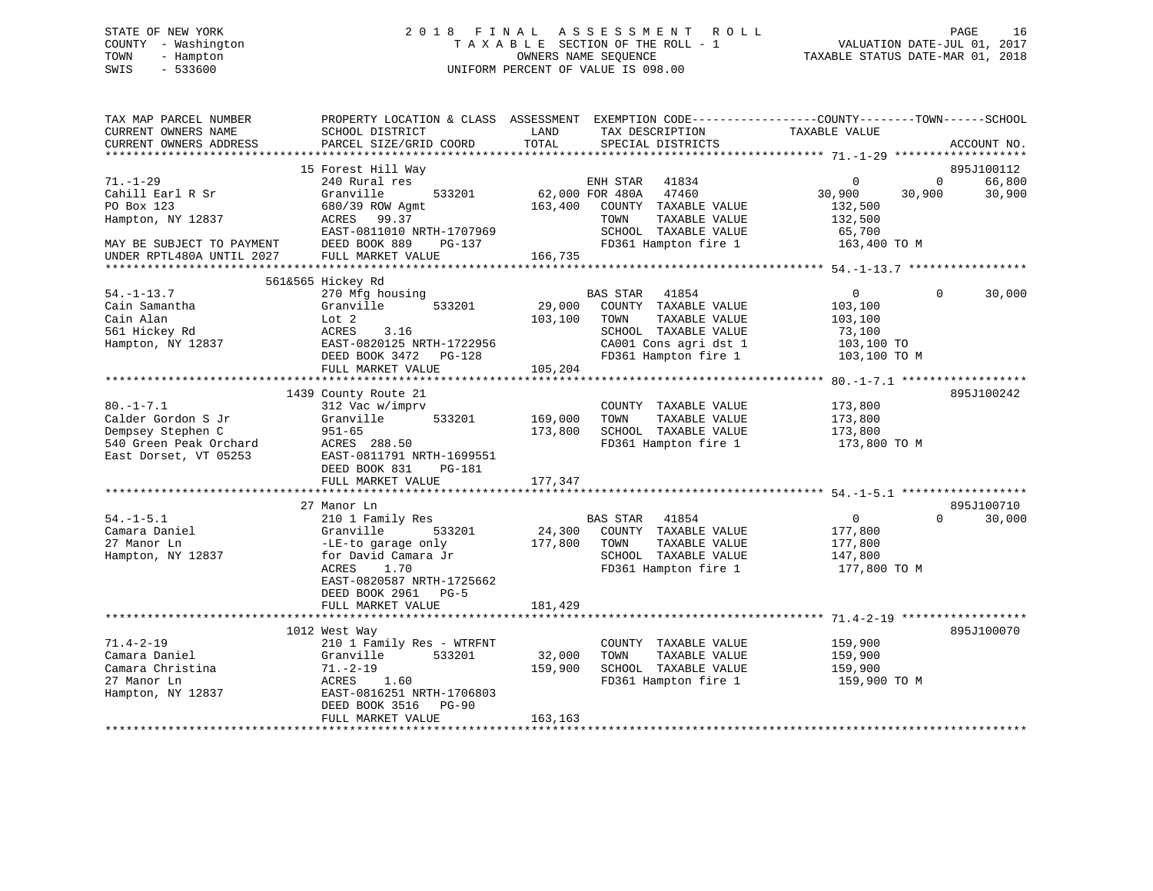# STATE OF NEW YORK 2 0 1 8 F I N A L A S S E S S M E N T R O L L PAGE 16 COUNTY - Washington T A X A B L E SECTION OF THE ROLL - 1 VALUATION DATE-JUL 01, 2017 TOWN - Hampton OWNERS NAME SEQUENCE TAXABLE STATUS DATE-MAR 01, 2018 SWIS - 533600 UNIFORM PERCENT OF VALUE IS 098.00

| TAX MAP PARCEL NUMBER<br>CURRENT OWNERS NAME | PROPERTY LOCATION & CLASS ASSESSMENT<br>SCHOOL DISTRICT | LAND            | EXEMPTION CODE-----------------COUNTY-------TOWN------SCHOOL<br>TAX DESCRIPTION | TAXABLE VALUE                             |                |             |
|----------------------------------------------|---------------------------------------------------------|-----------------|---------------------------------------------------------------------------------|-------------------------------------------|----------------|-------------|
| CURRENT OWNERS ADDRESS                       | PARCEL SIZE/GRID COORD                                  | TOTAL           | SPECIAL DISTRICTS                                                               |                                           |                | ACCOUNT NO. |
|                                              | 15 Forest Hill Way                                      |                 |                                                                                 |                                           |                | 895J100112  |
| $71. - 1 - 29$                               | 240 Rural res                                           |                 | ENH STAR 41834                                                                  | $\overline{0}$                            | $\overline{0}$ | 66,800      |
| Cahill Earl R Sr                             | 533201<br>Granville                                     | 62,000 FOR 480A | 47460                                                                           | 30,900                                    | 30,900         | 30,900      |
| PO Box 123                                   | 680/39 ROW Agmt                                         | 163,400         | COUNTY TAXABLE VALUE                                                            | 132,500                                   |                |             |
| Hampton, NY 12837                            | ACRES<br>99.37                                          |                 | TAXABLE VALUE<br>TOWN                                                           | 132,500                                   |                |             |
|                                              | EAST-0811010 NRTH-1707969                               |                 | SCHOOL TAXABLE VALUE                                                            | 65,700                                    |                |             |
| MAY BE SUBJECT TO PAYMENT                    | DEED BOOK 889<br>PG-137                                 |                 | FD361 Hampton fire 1                                                            | 163,400 TO M                              |                |             |
| UNDER RPTL480A UNTIL 2027                    | FULL MARKET VALUE                                       | 166,735         |                                                                                 |                                           |                |             |
|                                              |                                                         |                 |                                                                                 |                                           |                |             |
| $54. - 1 - 13.7$                             | 561&565 Hickey Rd                                       |                 |                                                                                 | $\overline{0}$                            | $\Omega$       |             |
| Cain Samantha                                | 270 Mfg housing<br>Granville<br>533201                  | 29,000          | <b>BAS STAR</b><br>41854<br>COUNTY TAXABLE VALUE                                | 103,100                                   |                | 30,000      |
| Cain Alan                                    | Lot 2                                                   | 103,100         | TAXABLE VALUE<br>TOWN                                                           | 103,100                                   |                |             |
| 561 Hickey Rd                                | ACRES<br>3.16                                           |                 | SCHOOL TAXABLE VALUE                                                            | 73,100                                    |                |             |
| Hampton, NY 12837                            | EAST-0820125 NRTH-1722956                               |                 | CA001 Cons agri dst 1                                                           | 103,100 TO                                |                |             |
|                                              | DEED BOOK 3472 PG-128                                   |                 | FD361 Hampton fire 1                                                            | 103,100 TO M                              |                |             |
|                                              | FULL MARKET VALUE                                       | 105,204         |                                                                                 |                                           |                |             |
|                                              |                                                         |                 |                                                                                 | ********** 80. -1-7.1 ******************* |                |             |
|                                              | 1439 County Route 21                                    |                 |                                                                                 |                                           |                | 895J100242  |
| $80. -1 - 7.1$                               | 312 Vac w/imprv                                         |                 | COUNTY TAXABLE VALUE                                                            | 173,800                                   |                |             |
| Calder Gordon S Jr                           | 533201<br>Granville                                     | 169,000         | TAXABLE VALUE<br>TOWN                                                           | 173,800                                   |                |             |
| Dempsey Stephen C                            | $951 - 65$                                              | 173,800         | SCHOOL TAXABLE VALUE                                                            | 173,800                                   |                |             |
| 540 Green Peak Orchard                       | ACRES 288.50                                            |                 | FD361 Hampton fire 1                                                            | 173,800 TO M                              |                |             |
| East Dorset, VT 05253                        | EAST-0811791 NRTH-1699551                               |                 |                                                                                 |                                           |                |             |
|                                              | DEED BOOK 831<br>PG-181                                 |                 |                                                                                 |                                           |                |             |
|                                              | FULL MARKET VALUE                                       | 177,347         |                                                                                 |                                           |                |             |
|                                              | 27 Manor Ln                                             |                 |                                                                                 |                                           |                | 895J100710  |
| $54. - 1 - 5.1$                              | 210 1 Family Res                                        |                 | <b>BAS STAR</b><br>41854                                                        | $\overline{0}$                            | $\Omega$       | 30,000      |
| Camara Daniel                                | Granville<br>533201                                     | 24,300          | COUNTY TAXABLE VALUE                                                            | 177,800                                   |                |             |
| 27 Manor Ln                                  | -LE-to garage only                                      | 177,800         | TAXABLE VALUE<br>TOWN                                                           | 177,800                                   |                |             |
| Hampton, NY 12837                            | for David Camara Jr                                     |                 | SCHOOL TAXABLE VALUE                                                            | 147,800                                   |                |             |
|                                              | ACRES<br>1.70                                           |                 | FD361 Hampton fire 1                                                            | 177,800 TO M                              |                |             |
|                                              | EAST-0820587 NRTH-1725662                               |                 |                                                                                 |                                           |                |             |
|                                              | DEED BOOK 2961 PG-5                                     |                 |                                                                                 |                                           |                |             |
|                                              | FULL MARKET VALUE                                       | 181,429         |                                                                                 |                                           |                |             |
|                                              |                                                         | ***********     |                                                                                 |                                           |                |             |
|                                              | 1012 West Way                                           |                 |                                                                                 |                                           |                | 895J100070  |
| $71.4 - 2 - 19$                              | 210 1 Family Res - WTRFNT                               |                 | COUNTY TAXABLE VALUE                                                            | 159,900                                   |                |             |
| Camara Daniel<br>Camara Christina            | Granville<br>533201                                     | 32,000          | TOWN<br>TAXABLE VALUE<br>SCHOOL TAXABLE VALUE                                   | 159,900                                   |                |             |
| 27 Manor Ln                                  | $71. - 2 - 19$<br>ACRES 1.60                            | 159,900         | FD361 Hampton fire 1                                                            | 159,900<br>159,900 TO M                   |                |             |
| Hampton, NY 12837                            | EAST-0816251 NRTH-1706803                               |                 |                                                                                 |                                           |                |             |
|                                              | DEED BOOK 3516<br>$PG-90$                               |                 |                                                                                 |                                           |                |             |
|                                              | FULL MARKET VALUE                                       | 163,163         |                                                                                 |                                           |                |             |
|                                              |                                                         |                 |                                                                                 |                                           |                |             |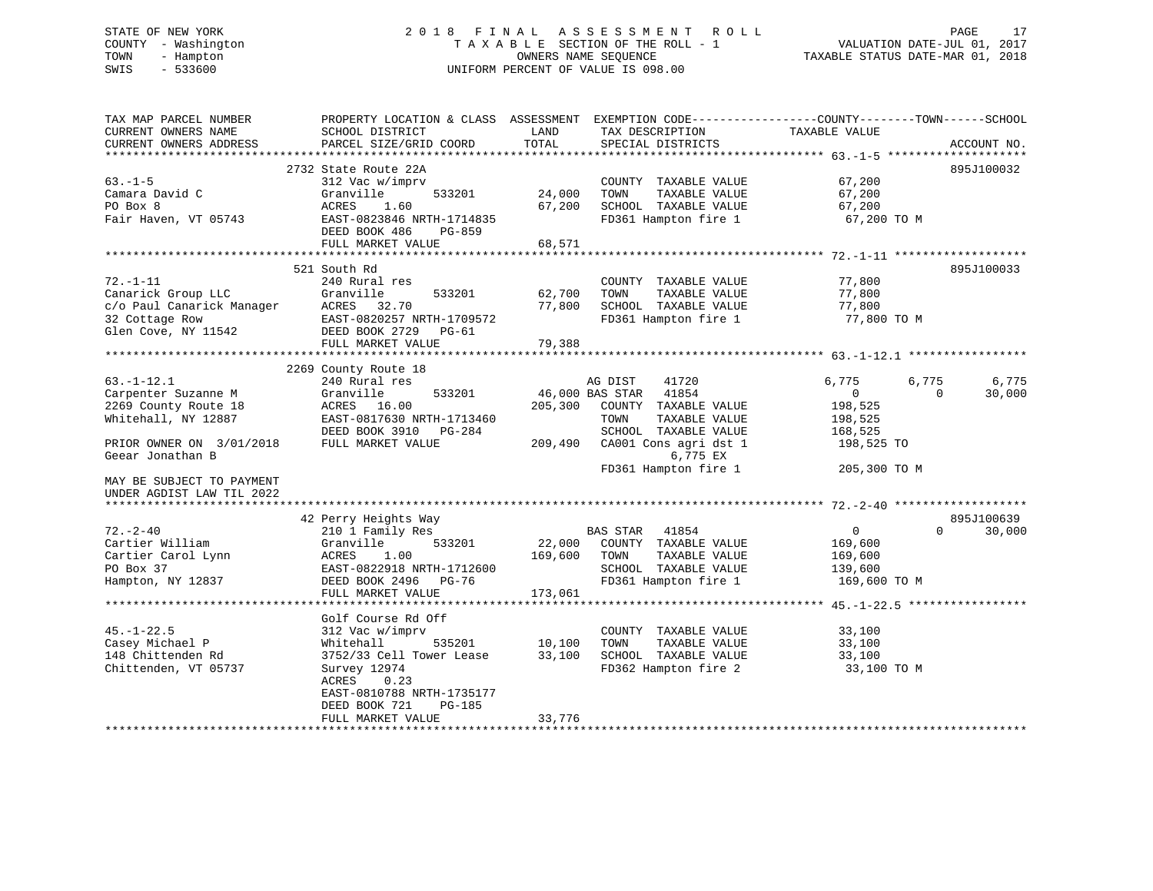# STATE OF NEW YORK 2 0 1 8 F I N A L A S S E S S M E N T R O L L PAGE 17 COUNTY - Washington T A X A B L E SECTION OF THE ROLL - 1 VALUATION DATE-JUL 01, 2017 TOWN - Hampton OWNERS NAME SEQUENCE TAXABLE STATUS DATE-MAR 01, 2018 SWIS - 533600 UNIFORM PERCENT OF VALUE IS 098.00

| TAX MAP PARCEL NUMBER<br>CURRENT OWNERS NAME<br>CURRENT OWNERS ADDRESS                                                                                                                           | PROPERTY LOCATION & CLASS ASSESSMENT<br>SCHOOL DISTRICT<br>PARCEL SIZE/GRID COORD                                                                                                   | LAND<br>TOTAL              | TAX DESCRIPTION<br>SPECIAL DISTRICTS                                                                                                                                               | EXEMPTION CODE-----------------COUNTY-------TOWN------SCHOOL<br><b>TAXABLE VALUE</b>                  | ACCOUNT NO.          |
|--------------------------------------------------------------------------------------------------------------------------------------------------------------------------------------------------|-------------------------------------------------------------------------------------------------------------------------------------------------------------------------------------|----------------------------|------------------------------------------------------------------------------------------------------------------------------------------------------------------------------------|-------------------------------------------------------------------------------------------------------|----------------------|
| ***********************                                                                                                                                                                          |                                                                                                                                                                                     |                            |                                                                                                                                                                                    |                                                                                                       |                      |
| $63. -1 - 5$<br>Camara David C<br>PO Box 8<br>Fair Haven, VT 05743                                                                                                                               | 2732 State Route 22A<br>312 Vac w/imprv<br>Granville<br>533201<br>ACRES<br>1.60<br>EAST-0823846 NRTH-1714835                                                                        | 24,000<br>67,200           | COUNTY TAXABLE VALUE<br>TOWN<br>TAXABLE VALUE<br>SCHOOL TAXABLE VALUE<br>FD361 Hampton fire 1                                                                                      | 67,200<br>67,200<br>67,200<br>67,200 TO M                                                             | 895J100032           |
|                                                                                                                                                                                                  | DEED BOOK 486<br>PG-859<br>FULL MARKET VALUE                                                                                                                                        | 68,571                     |                                                                                                                                                                                    |                                                                                                       |                      |
|                                                                                                                                                                                                  |                                                                                                                                                                                     |                            |                                                                                                                                                                                    |                                                                                                       |                      |
|                                                                                                                                                                                                  | 521 South Rd                                                                                                                                                                        |                            |                                                                                                                                                                                    |                                                                                                       | 895J100033           |
| $72. - 1 - 11$<br>Canarick Group LLC<br>c/o Paul Canarick Manager<br>32 Cottage Row<br>Glen Cove, NY 11542                                                                                       | 240 Rural res<br>Granville<br>533201<br>ACRES<br>32.70<br>EAST-0820257 NRTH-1709572<br>DEED BOOK 2729<br>$PG-61$<br>FULL MARKET VALUE                                               | 62,700<br>77,800<br>79,388 | COUNTY TAXABLE VALUE<br>TOWN<br>TAXABLE VALUE<br>SCHOOL TAXABLE VALUE<br>FD361 Hampton fire 1                                                                                      | 77,800<br>77,800<br>77,800<br>77,800 TO M                                                             |                      |
|                                                                                                                                                                                                  |                                                                                                                                                                                     |                            |                                                                                                                                                                                    |                                                                                                       |                      |
| $63. - 1 - 12.1$<br>Carpenter Suzanne M<br>2269 County Route 18<br>Whitehall, NY 12887<br>PRIOR OWNER ON 3/01/2018<br>Geear Jonathan B<br>MAY BE SUBJECT TO PAYMENT<br>UNDER AGDIST LAW TIL 2022 | 2269 County Route 18<br>240 Rural res<br>Granville<br>533201<br>ACRES<br>16.00<br>EAST-0817630 NRTH-1713460<br>DEED BOOK 3910<br>PG-284<br>FULL MARKET VALUE                        | 205,300<br>209,490         | AG DIST<br>41720<br>41854<br>46,000 BAS STAR<br>COUNTY TAXABLE VALUE<br>TOWN<br>TAXABLE VALUE<br>SCHOOL TAXABLE VALUE<br>CA001 Cons agri dst 1<br>6,775 EX<br>FD361 Hampton fire 1 | 6,775<br>6,775<br>$\Omega$<br>$\Omega$<br>198,525<br>198,525<br>168,525<br>198,525 TO<br>205,300 TO M | 6,775<br>30,000      |
| *********************                                                                                                                                                                            |                                                                                                                                                                                     |                            |                                                                                                                                                                                    |                                                                                                       |                      |
| $72. - 2 - 40$<br>Cartier William<br>Cartier Carol Lynn<br>PO Box 37<br>Hampton, NY 12837                                                                                                        | 42 Perry Heights Way<br>210 1 Family Res<br>Granville<br>533201<br>ACRES<br>1.00<br>EAST-0822918 NRTH-1712600<br>DEED BOOK 2496<br>$PG-76$                                          | 22,000<br>169,600          | <b>BAS STAR</b><br>41854<br>COUNTY TAXABLE VALUE<br>TAXABLE VALUE<br>TOWN<br>SCHOOL TAXABLE VALUE<br>FD361 Hampton fire 1                                                          | $\mathbf 0$<br>$\Omega$<br>169,600<br>169,600<br>139,600<br>169,600 TO M                              | 895J100639<br>30,000 |
|                                                                                                                                                                                                  | FULL MARKET VALUE                                                                                                                                                                   | 173,061                    |                                                                                                                                                                                    |                                                                                                       |                      |
|                                                                                                                                                                                                  | ********************************                                                                                                                                                    |                            |                                                                                                                                                                                    |                                                                                                       |                      |
| $45. - 1 - 22.5$<br>Casey Michael P<br>148 Chittenden Rd<br>Chittenden, VT 05737                                                                                                                 | Golf Course Rd Off<br>312 Vac w/imprv<br>535201<br>Whitehall<br>3752/33 Cell Tower Lease<br>Survey 12974<br>ACRES<br>0.23<br>EAST-0810788 NRTH-1735177<br>DEED BOOK 721<br>$PG-185$ | 10,100<br>33,100           | COUNTY TAXABLE VALUE<br>TOWN<br>TAXABLE VALUE<br>SCHOOL TAXABLE VALUE<br>FD362 Hampton fire 2                                                                                      | 33,100<br>33,100<br>33,100<br>33,100 TO M                                                             |                      |
|                                                                                                                                                                                                  | FULL MARKET VALUE<br>* * * * * * * * * * * * * * * * * * *                                                                                                                          | 33,776                     |                                                                                                                                                                                    |                                                                                                       |                      |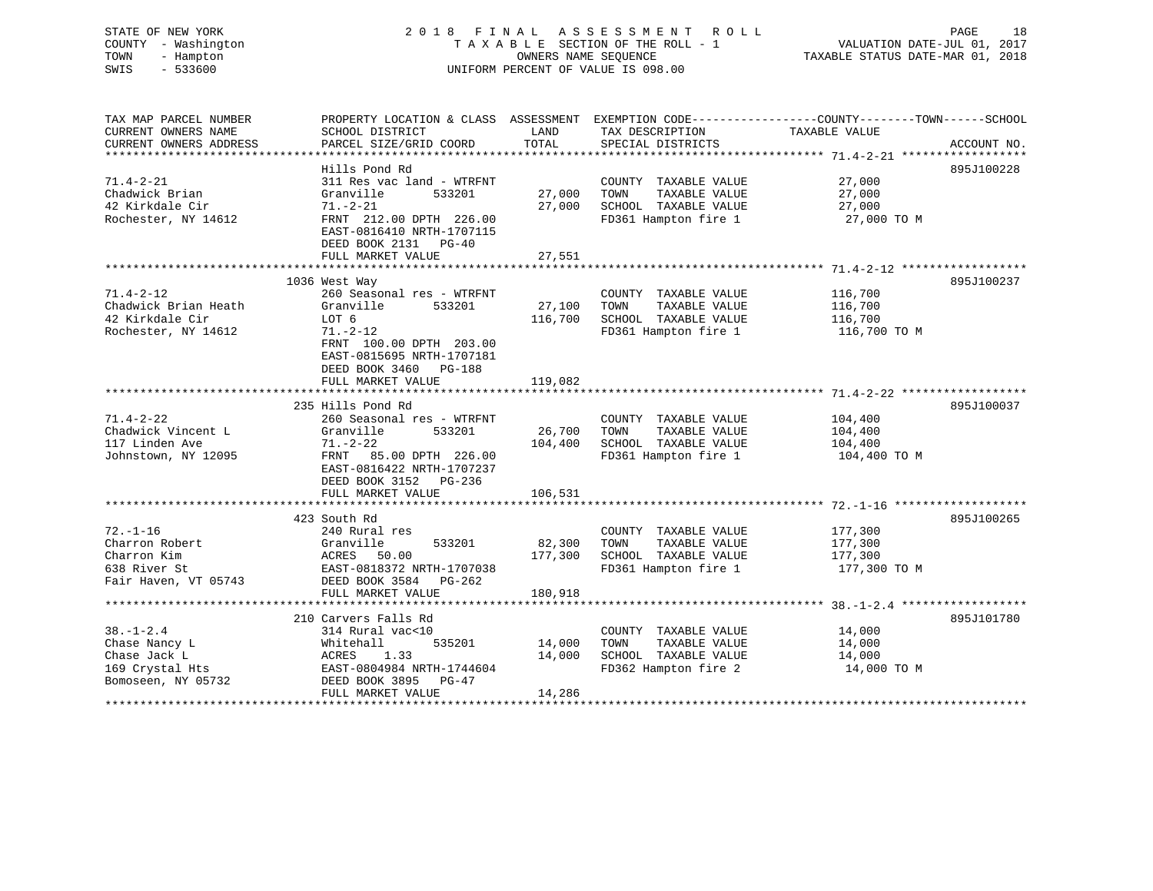# STATE OF NEW YORK 2 0 1 8 F I N A L A S S E S S M E N T R O L L PAGE 18 COUNTY - Washington T A X A B L E SECTION OF THE ROLL - 1 VALUATION DATE-JUL 01, 2017 TOWN - Hampton OWNERS NAME SEQUENCE TAXABLE STATUS DATE-MAR 01, 2018 SWIS - 533600 UNIFORM PERCENT OF VALUE IS 098.00

| TAX MAP PARCEL NUMBER                                                                     |                                                                                                                                                                                          |                              |                                                                                               | PROPERTY LOCATION & CLASS ASSESSMENT EXEMPTION CODE---------------COUNTY-------TOWN------SCHOOL |             |
|-------------------------------------------------------------------------------------------|------------------------------------------------------------------------------------------------------------------------------------------------------------------------------------------|------------------------------|-----------------------------------------------------------------------------------------------|-------------------------------------------------------------------------------------------------|-------------|
| CURRENT OWNERS NAME<br>CURRENT OWNERS ADDRESS                                             | SCHOOL DISTRICT<br>PARCEL SIZE/GRID COORD                                                                                                                                                | LAND<br>TOTAL                | TAX DESCRIPTION<br>SPECIAL DISTRICTS                                                          | TAXABLE VALUE                                                                                   | ACCOUNT NO. |
|                                                                                           |                                                                                                                                                                                          |                              |                                                                                               |                                                                                                 |             |
| $71.4 - 2 - 21$<br>Chadwick Brian<br>42 Kirkdale Cir<br>Rochester, NY 14612               | Hills Pond Rd<br>311 Res vac land - WTRFNT<br>Granville<br>533201<br>$71. - 2 - 21$<br>FRNT 212.00 DPTH 226.00<br>EAST-0816410 NRTH-1707115<br>DEED BOOK 2131 PG-40<br>FULL MARKET VALUE | 27,000<br>27,000<br>27,551   | COUNTY TAXABLE VALUE<br>TOWN<br>TAXABLE VALUE<br>SCHOOL TAXABLE VALUE<br>FD361 Hampton fire 1 | 27,000<br>27,000<br>27,000<br>27,000 TO M                                                       | 895J100228  |
|                                                                                           | 1036 West Way                                                                                                                                                                            |                              |                                                                                               |                                                                                                 | 895J100237  |
| $71.4 - 2 - 12$<br>Chadwick Brian Heath<br>42 Kirkdale Cir<br>Rochester, NY 14612         | 260 Seasonal res - WTRFNT<br>Granville<br>533201<br>LOT 6<br>$71. - 2 - 12$<br>FRNT 100.00 DPTH 203.00<br>EAST-0815695 NRTH-1707181<br>DEED BOOK 3460 PG-188                             | 27,100<br>116,700            | COUNTY TAXABLE VALUE<br>TOWN<br>TAXABLE VALUE<br>SCHOOL TAXABLE VALUE<br>FD361 Hampton fire 1 | 116,700<br>116,700<br>116,700<br>116,700 TO M                                                   |             |
|                                                                                           | FULL MARKET VALUE                                                                                                                                                                        | 119,082                      |                                                                                               |                                                                                                 |             |
| $71.4 - 2 - 22$<br>Chadwick Vincent L<br>117 Linden Ave                                   | 235 Hills Pond Rd<br>260 Seasonal res - WTRFNT<br>Granville<br>533201<br>$71. - 2 - 22$                                                                                                  | 26,700<br>104,400            | COUNTY TAXABLE VALUE<br>TOWN<br>TAXABLE VALUE<br>SCHOOL TAXABLE VALUE                         | 104,400<br>104,400<br>104,400                                                                   | 895J100037  |
| Johnstown, NY 12095                                                                       | FRNT 85.00 DPTH 226.00<br>EAST-0816422 NRTH-1707237<br>DEED BOOK 3152 PG-236<br>FULL MARKET VALUE                                                                                        | 106,531                      | FD361 Hampton fire 1                                                                          | 104,400 TO M                                                                                    |             |
|                                                                                           | 423 South Rd                                                                                                                                                                             |                              |                                                                                               |                                                                                                 | 895J100265  |
| $72. - 1 - 16$<br>Charron Robert<br>Charron Kim<br>638 River St<br>Fair Haven, VT 05743   | 240 Rural res<br>533201<br>Granville<br>ACRES 50.00<br>EAST-0818372 NRTH-1707038<br>DEED BOOK 3584 PG-262<br>FULL MARKET VALUE                                                           | 82,300<br>177,300<br>180,918 | COUNTY TAXABLE VALUE<br>TOWN<br>TAXABLE VALUE<br>SCHOOL TAXABLE VALUE<br>FD361 Hampton fire 1 | 177,300<br>177,300<br>177,300<br>177,300 TO M                                                   |             |
|                                                                                           | 210 Carvers Falls Rd                                                                                                                                                                     |                              |                                                                                               |                                                                                                 | 895J101780  |
| $38. - 1 - 2.4$<br>Chase Nancy L<br>Chase Jack L<br>169 Crystal Hts<br>Bomoseen, NY 05732 | 314 Rural vac<10<br>535201<br>Whitehall<br>ACRES<br>1.33<br>EAST-0804984 NRTH-1744604<br>DEED BOOK 3895 PG-47<br>FULL MARKET VALUE                                                       | 14,000<br>14,000<br>14,286   | COUNTY TAXABLE VALUE<br>TAXABLE VALUE<br>TOWN<br>SCHOOL TAXABLE VALUE<br>FD362 Hampton fire 2 | 14,000<br>14,000<br>14,000<br>14,000 TO M                                                       |             |
|                                                                                           |                                                                                                                                                                                          |                              |                                                                                               |                                                                                                 |             |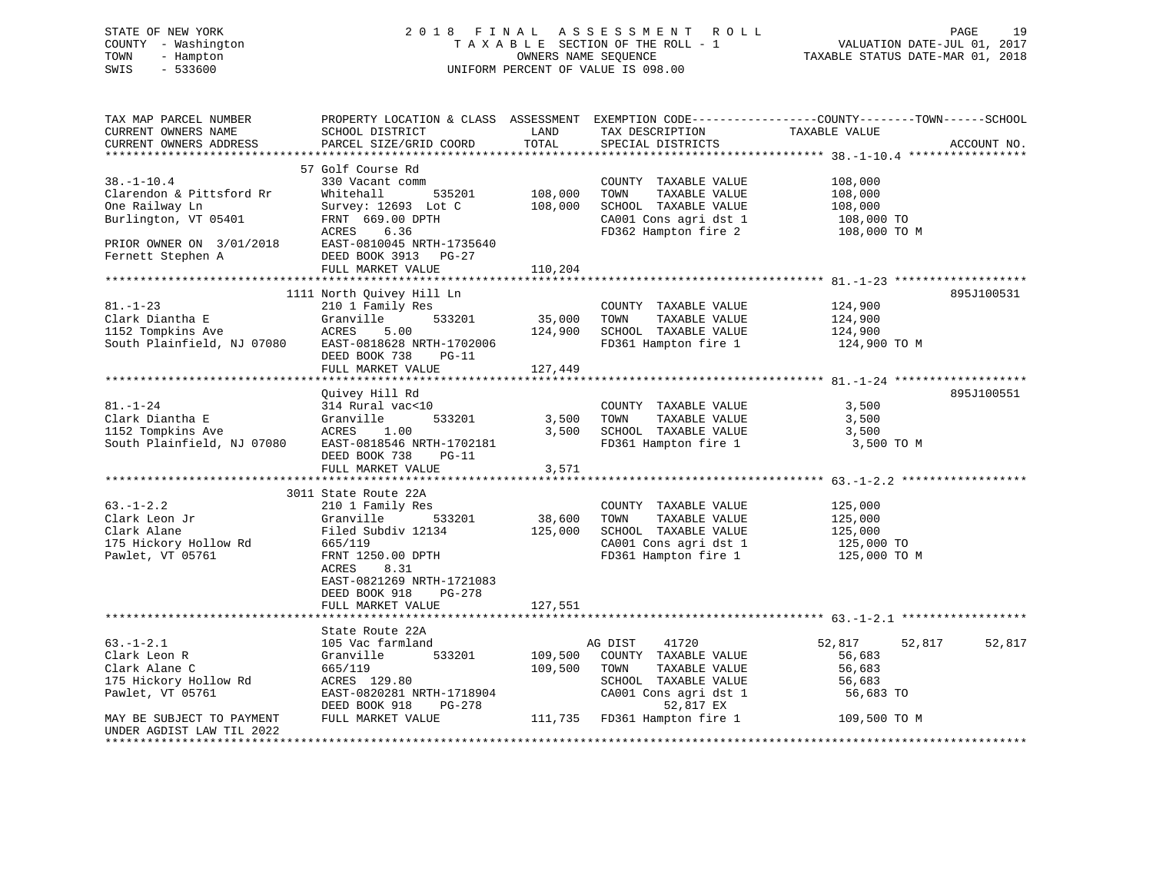# STATE OF NEW YORK 2 0 1 8 F I N A L A S S E S S M E N T R O L L PAGE 19 COUNTY - Washington T A X A B L E SECTION OF THE ROLL - 1 VALUATION DATE-JUL 01, 2017 TOWN - Hampton OWNERS NAME SEQUENCE TAXABLE STATUS DATE-MAR 01, 2018 SWIS - 533600 UNIFORM PERCENT OF VALUE IS 098.00

| TAX MAP PARCEL NUMBER<br>CURRENT OWNERS NAME<br>CURRENT OWNERS ADDRESS                                                                  | PROPERTY LOCATION & CLASS ASSESSMENT<br>SCHOOL DISTRICT<br>PARCEL SIZE/GRID COORD                                                                                                                                   | LAND<br>TOTAL                | TAX DESCRIPTION<br>SPECIAL DISTRICTS                                                                                                                            | EXEMPTION CODE-----------------COUNTY-------TOWN------SCHOOL<br>TAXABLE VALUE | ACCOUNT NO. |
|-----------------------------------------------------------------------------------------------------------------------------------------|---------------------------------------------------------------------------------------------------------------------------------------------------------------------------------------------------------------------|------------------------------|-----------------------------------------------------------------------------------------------------------------------------------------------------------------|-------------------------------------------------------------------------------|-------------|
| $38. - 1 - 10.4$<br>Clarendon & Pittsford Rr<br>One Railway Ln<br>Burlington, VT 05401<br>PRIOR OWNER ON 3/01/2018<br>Fernett Stephen A | 57 Golf Course Rd<br>330 Vacant comm<br>535201<br>Whitehall<br>Survey: 12693 Lot C<br>FRNT 669.00 DPTH<br>6.36<br>ACRES<br>EAST-0810045 NRTH-1735640<br>DEED BOOK 3913 PG-27                                        | 108,000<br>108,000           | COUNTY TAXABLE VALUE<br>TOWN<br>TAXABLE VALUE<br>SCHOOL TAXABLE VALUE<br>CA001 Cons agri dst 1<br>FD362 Hampton fire 2                                          | 108,000<br>108,000<br>108,000<br>108,000 TO<br>108,000 TO M                   |             |
| *************************                                                                                                               | FULL MARKET VALUE                                                                                                                                                                                                   | 110,204                      |                                                                                                                                                                 |                                                                               |             |
| $81. - 1 - 23$<br>Clark Diantha E<br>1152 Tompkins Ave<br>South Plainfield, NJ 07080                                                    | 1111 North Quivey Hill Ln<br>210 1 Family Res<br>533201<br>Granville<br>5.00<br>ACRES<br>EAST-0818628 NRTH-1702006<br>DEED BOOK 738<br>$PG-11$<br>FULL MARKET VALUE                                                 | 35,000<br>124,900<br>127,449 | COUNTY TAXABLE VALUE<br>TOWN<br>TAXABLE VALUE<br>SCHOOL TAXABLE VALUE<br>FD361 Hampton fire 1                                                                   | 124,900<br>124,900<br>124,900<br>124,900 TO M                                 | 895J100531  |
| $81. - 1 - 24$<br>Clark Diantha E<br>1152 Tompkins Ave<br>South Plainfield, NJ 07080                                                    | Quivey Hill Rd<br>314 Rural vac<10<br>533201<br>Granville<br>ACRES<br>1.00<br>EAST-0818546 NRTH-1702181<br>DEED BOOK 738<br>$PG-11$<br>FULL MARKET VALUE                                                            | 3,500<br>3,500<br>3,571      | COUNTY TAXABLE VALUE<br>TOWN<br>TAXABLE VALUE<br>SCHOOL TAXABLE VALUE<br>FD361 Hampton fire 1                                                                   | 3,500<br>3,500<br>3,500<br>3,500 TO M                                         | 895J100551  |
| $63. - 1 - 2.2$<br>Clark Leon Jr<br>Clark Alane<br>175 Hickory Hollow Rd<br>Pawlet, VT 05761                                            | 3011 State Route 22A<br>210 1 Family Res<br>533201<br>Granville<br>Filed Subdiv 12134<br>665/119<br>FRNT 1250.00 DPTH<br>ACRES<br>8.31<br>EAST-0821269 NRTH-1721083<br>DEED BOOK 918<br>PG-278<br>FULL MARKET VALUE | 38,600<br>125,000<br>127,551 | COUNTY TAXABLE VALUE<br>TOWN<br>TAXABLE VALUE<br>SCHOOL TAXABLE VALUE<br>CA001 Cons agri dst 1<br>CA001 Cons agri dst 1<br>FD361 Hampton fire 1                 | 125,000<br>125,000<br>125,000<br>125,000 TO<br>125,000 TO M                   |             |
|                                                                                                                                         |                                                                                                                                                                                                                     |                              |                                                                                                                                                                 |                                                                               |             |
| $63. - 1 - 2.1$<br>Clark Leon R<br>Clark Alane C<br>175 Hickory Hollow Rd<br>Pawlet, VT 05761<br>MAY BE SUBJECT TO PAYMENT              | State Route 22A<br>105 Vac farmland<br>Granville<br>533201<br>665/119<br>ACRES 129.80<br>EAST-0820281 NRTH-1718904<br>PG-278<br>DEED BOOK 918<br>FULL MARKET VALUE                                                  | 109,500<br>109,500           | AG DIST<br>41720<br>COUNTY TAXABLE VALUE<br>TOWN<br>TAXABLE VALUE<br>SCHOOL TAXABLE VALUE<br>CA001 Cons agri dst 1<br>52,817 EX<br>111,735 FD361 Hampton fire 1 | 52,817<br>52,817<br>56,683<br>56,683<br>56,683<br>56,683 TO<br>109,500 TO M   | 52,817      |
| UNDER AGDIST LAW TIL 2022<br>********************                                                                                       |                                                                                                                                                                                                                     |                              |                                                                                                                                                                 |                                                                               |             |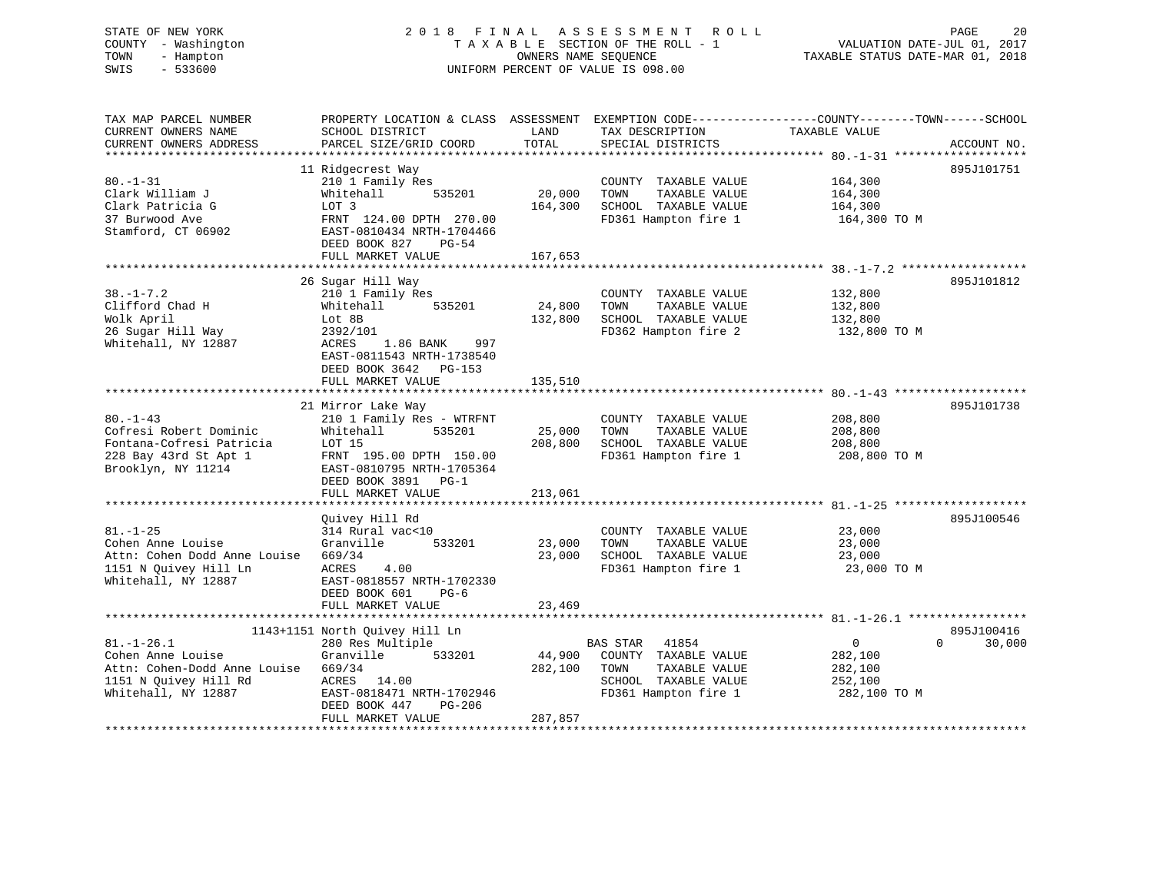#### STATE OF NEW YORK 20 18 FINAL ASSESSMENT ROLL PAGE 20 COUNTY - Washington  $T A X A B L E$  SECTION OF THE ROLL - 1<br>TOWN - Hampton DWNERS NAME SEQUENCE TOWN - Hampton OWNERS NAME SEQUENCE TAXABLE STATUS DATE-MAR 01, 2018 SWIS - 533600 UNIFORM PERCENT OF VALUE IS 098.00

VALUATION DATE-JUL 01, 2017

| TAX MAP PARCEL NUMBER<br>CURRENT OWNERS NAME<br>CURRENT OWNERS ADDRESS                                                | PROPERTY LOCATION & CLASS ASSESSMENT<br>SCHOOL DISTRICT<br>PARCEL SIZE/GRID COORD                                                                                                          | LAND<br>TOTAL                | TAX DESCRIPTION<br>SPECIAL DISTRICTS                                                                               | EXEMPTION CODE-----------------COUNTY-------TOWN------SCHOOL<br>TAXABLE VALUE | ACCOUNT NO.                      |
|-----------------------------------------------------------------------------------------------------------------------|--------------------------------------------------------------------------------------------------------------------------------------------------------------------------------------------|------------------------------|--------------------------------------------------------------------------------------------------------------------|-------------------------------------------------------------------------------|----------------------------------|
|                                                                                                                       |                                                                                                                                                                                            |                              |                                                                                                                    |                                                                               |                                  |
| $80. - 1 - 31$<br>Clark William J<br>Clark Patricia G<br>37 Burwood Ave<br>Stamford, CT 06902                         | 11 Ridgecrest Way<br>210 1 Family Res<br>Whitehall<br>535201<br>LOT 3<br>FRNT 124.00 DPTH 270.00<br>EAST-0810434 NRTH-1704466<br>DEED BOOK 827<br>$PG-54$                                  | 20,000<br>164,300            | COUNTY TAXABLE VALUE<br>TOWN<br>TAXABLE VALUE<br>SCHOOL TAXABLE VALUE<br>FD361 Hampton fire 1                      | 164,300<br>164,300<br>164,300<br>164,300 TO M                                 | 895J101751                       |
|                                                                                                                       | FULL MARKET VALUE                                                                                                                                                                          | 167,653                      |                                                                                                                    |                                                                               |                                  |
| $38. - 1 - 7.2$<br>Clifford Chad H<br>Wolk April<br>26 Sugar Hill Way<br>Whitehall, NY 12887                          | 26 Sugar Hill Way<br>210 1 Family Res<br>Whitehall<br>535201<br>Lot 8B<br>2392/101<br>ACRES<br>1.86 BANK<br>997<br>EAST-0811543 NRTH-1738540<br>DEED BOOK 3642 PG-153<br>FULL MARKET VALUE | 24,800<br>132,800<br>135,510 | COUNTY TAXABLE VALUE<br>TOWN<br>TAXABLE VALUE<br>SCHOOL TAXABLE VALUE<br>FD362 Hampton fire 2                      | 132,800<br>132,800<br>132,800<br>132,800 TO M                                 | 895J101812                       |
|                                                                                                                       | 21 Mirror Lake Way                                                                                                                                                                         |                              |                                                                                                                    |                                                                               | 895J101738                       |
| $80. -1 - 43$<br>Cofresi Robert Dominic<br>Fontana-Cofresi Patricia<br>228 Bay 43rd St Apt 1<br>Brooklyn, NY 11214    | 210 1 Family Res - WTRFNT<br>Whitehall<br>535201<br>LOT 15<br>FRNT 195.00 DPTH 150.00<br>EAST-0810795 NRTH-1705364<br>DEED BOOK 3891<br>$PG-1$                                             | 25,000<br>208,800            | COUNTY TAXABLE VALUE<br>TOWN<br>TAXABLE VALUE<br>SCHOOL TAXABLE VALUE<br>FD361 Hampton fire 1                      | 208,800<br>208,800<br>208,800<br>208,800 TO M                                 |                                  |
|                                                                                                                       | FULL MARKET VALUE                                                                                                                                                                          | 213,061                      |                                                                                                                    |                                                                               |                                  |
| $81. - 1 - 25$<br>Cohen Anne Louise<br>Attn: Cohen Dodd Anne Louise<br>1151 N Ouivey Hill Ln<br>Whitehall, NY 12887   | Ouivey Hill Rd<br>314 Rural vac<10<br>533201<br>Granville<br>669/34<br>ACRES<br>4.00<br>EAST-0818557 NRTH-1702330<br>DEED BOOK 601<br>$PG-6$                                               | 23,000<br>23,000             | COUNTY TAXABLE VALUE<br>TOWN<br>TAXABLE VALUE<br>SCHOOL TAXABLE VALUE<br>FD361 Hampton fire 1                      | 23,000<br>23,000<br>23,000<br>23,000 TO M                                     | 895J100546                       |
|                                                                                                                       | FULL MARKET VALUE                                                                                                                                                                          | 23,469                       |                                                                                                                    |                                                                               |                                  |
| $81. - 1 - 26.1$<br>Cohen Anne Louise<br>Attn: Cohen-Dodd Anne Louise<br>1151 N Quivey Hill Rd<br>Whitehall, NY 12887 | 1143+1151 North Quivey Hill Ln<br>280 Res Multiple<br>Granville<br>533201<br>669/34<br>ACRES 14.00<br>EAST-0818471 NRTH-1702946<br>DEED BOOK 447<br><b>PG-206</b><br>FULL MARKET VALUE     | 44,900<br>282,100<br>287,857 | BAS STAR<br>41854<br>COUNTY TAXABLE VALUE<br>TAXABLE VALUE<br>TOWN<br>SCHOOL TAXABLE VALUE<br>FD361 Hampton fire 1 | $\mathsf{O}$<br>282,100<br>282,100<br>252,100<br>282,100 TO M                 | 895J100416<br>$\Omega$<br>30,000 |
|                                                                                                                       |                                                                                                                                                                                            |                              |                                                                                                                    |                                                                               |                                  |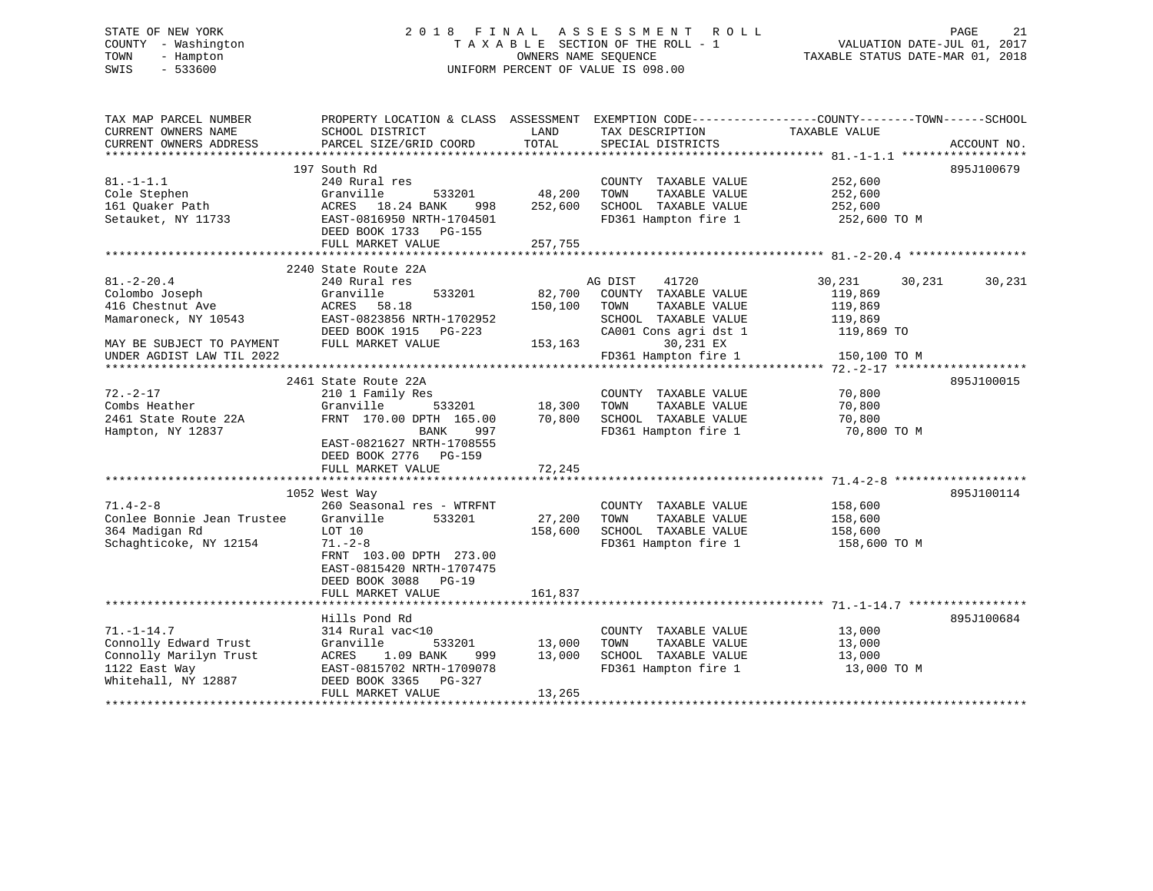# STATE OF NEW YORK 2 0 1 8 F I N A L A S S E S S M E N T R O L L PAGE 21 COUNTY - Washington T A X A B L E SECTION OF THE ROLL - 1 VALUATION DATE-JUL 01, 2017 TOWN - Hampton OWNERS NAME SEQUENCE TAXABLE STATUS DATE-MAR 01, 2018 SWIS - 533600 UNIFORM PERCENT OF VALUE IS 098.00

| TAX MAP PARCEL NUMBER<br>CURRENT OWNERS NAME | SCHOOL DISTRICT           | LAND    | TAX DESCRIPTION       | PROPERTY LOCATION & CLASS ASSESSMENT EXEMPTION CODE---------------COUNTY-------TOWN-----SCHOOL<br>TAXABLE VALUE |
|----------------------------------------------|---------------------------|---------|-----------------------|-----------------------------------------------------------------------------------------------------------------|
| CURRENT OWNERS ADDRESS                       | PARCEL SIZE/GRID COORD    | TOTAL   | SPECIAL DISTRICTS     | ACCOUNT NO.                                                                                                     |
|                                              |                           |         |                       |                                                                                                                 |
|                                              | 197 South Rd              |         |                       | 895J100679                                                                                                      |
| $81. - 1 - 1.1$                              | 240 Rural res             |         | COUNTY TAXABLE VALUE  | 252,600                                                                                                         |
| Cole Stephen                                 | Granville<br>533201       | 48,200  | TOWN<br>TAXABLE VALUE | 252,600                                                                                                         |
| 161 Quaker Path                              | ACRES 18.24 BANK<br>998   | 252,600 | SCHOOL TAXABLE VALUE  | 252,600                                                                                                         |
| Setauket, NY 11733                           | EAST-0816950 NRTH-1704501 |         | FD361 Hampton fire 1  | 252,600 TO M                                                                                                    |
|                                              | DEED BOOK 1733<br>PG-155  |         |                       |                                                                                                                 |
|                                              | FULL MARKET VALUE         | 257,755 |                       |                                                                                                                 |
|                                              |                           |         |                       |                                                                                                                 |
|                                              | 2240 State Route 22A      |         |                       |                                                                                                                 |
| $81. - 2 - 20.4$                             | 240 Rural res             |         | AG DIST<br>41720      | 30,231<br>30,231<br>30,231                                                                                      |
| Colombo Joseph                               | Granville<br>533201       | 82,700  | COUNTY TAXABLE VALUE  | 119,869                                                                                                         |
| 416 Chestnut Ave                             | 58.18<br>ACRES            | 150,100 | TOWN<br>TAXABLE VALUE | 119,869                                                                                                         |
| Mamaroneck, NY 10543                         | EAST-0823856 NRTH-1702952 |         | SCHOOL TAXABLE VALUE  | 119,869                                                                                                         |
|                                              | DEED BOOK 1915<br>PG-223  |         | CA001 Cons agri dst 1 | 119,869 TO                                                                                                      |
| MAY BE SUBJECT TO PAYMENT                    | FULL MARKET VALUE         | 153,163 | 30,231 EX             |                                                                                                                 |
| UNDER AGDIST LAW TIL 2022                    |                           |         | FD361 Hampton fire 1  | 150,100 TO M                                                                                                    |
|                                              |                           |         |                       |                                                                                                                 |
|                                              | 2461 State Route 22A      |         |                       | 895J100015                                                                                                      |
| $72. - 2 - 17$                               | 210 1 Family Res          |         | COUNTY TAXABLE VALUE  | 70,800                                                                                                          |
| Combs Heather                                | Granville<br>533201       | 18,300  | TOWN<br>TAXABLE VALUE | 70,800                                                                                                          |
| 2461 State Route 22A                         | FRNT 170.00 DPTH 165.00   | 70,800  | SCHOOL TAXABLE VALUE  | 70,800                                                                                                          |
| Hampton, NY 12837                            | BANK<br>997               |         | FD361 Hampton fire 1  | 70,800 TO M                                                                                                     |
|                                              | EAST-0821627 NRTH-1708555 |         |                       |                                                                                                                 |
|                                              | DEED BOOK 2776 PG-159     |         |                       |                                                                                                                 |
|                                              | FULL MARKET VALUE         | 72,245  |                       |                                                                                                                 |
|                                              |                           |         |                       |                                                                                                                 |
|                                              | 1052 West Way             |         |                       | 895J100114                                                                                                      |
| $71.4 - 2 - 8$                               | 260 Seasonal res - WTRFNT |         | COUNTY TAXABLE VALUE  | 158,600                                                                                                         |
| Conlee Bonnie Jean Trustee                   | Granville<br>533201       | 27,200  | TOWN<br>TAXABLE VALUE | 158,600                                                                                                         |
| 364 Madigan Rd                               | LOT 10                    | 158,600 | SCHOOL TAXABLE VALUE  | 158,600                                                                                                         |
| Schaghticoke, NY 12154                       | $71. - 2 - 8$             |         | FD361 Hampton fire 1  | 158,600 TO M                                                                                                    |
|                                              | FRNT 103.00 DPTH 273.00   |         |                       |                                                                                                                 |
|                                              | EAST-0815420 NRTH-1707475 |         |                       |                                                                                                                 |
|                                              | DEED BOOK 3088 PG-19      |         |                       |                                                                                                                 |
|                                              |                           | 161,837 |                       |                                                                                                                 |
|                                              | FULL MARKET VALUE         |         |                       |                                                                                                                 |
|                                              | Hills Pond Rd             |         |                       | 895J100684                                                                                                      |
|                                              |                           |         |                       |                                                                                                                 |
| $71. - 1 - 14.7$                             | 314 Rural vac<10          |         | COUNTY TAXABLE VALUE  | 13,000                                                                                                          |
| Connolly Edward Trust                        | Granville<br>533201       | 13,000  | TOWN<br>TAXABLE VALUE | 13,000                                                                                                          |
| Connolly Marilyn Trust                       | ACRES<br>1.09 BANK<br>999 | 13,000  | SCHOOL TAXABLE VALUE  | 13,000                                                                                                          |
| 1122 East Way                                | EAST-0815702 NRTH-1709078 |         | FD361 Hampton fire 1  | 13,000 TO M                                                                                                     |
| Whitehall, NY 12887                          | DEED BOOK 3365<br>PG-327  |         |                       |                                                                                                                 |
|                                              | FULL MARKET VALUE         | 13,265  |                       |                                                                                                                 |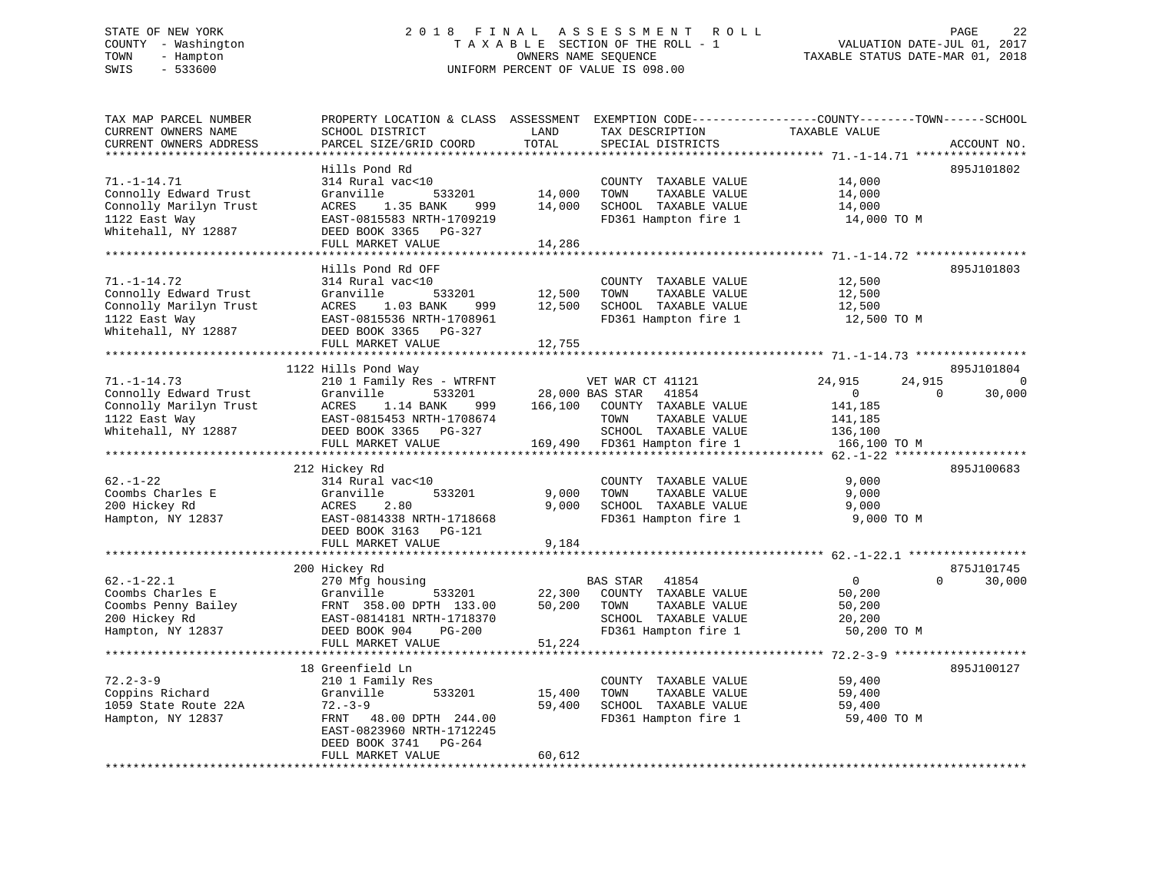# STATE OF NEW YORK 2 0 1 8 F I N A L A S S E S S M E N T R O L L PAGE 22 COUNTY - Washington T A X A B L E SECTION OF THE ROLL - 1 VALUATION DATE-JUL 01, 2017 TOWN - Hampton OWNERS NAME SEQUENCE TAXABLE STATUS DATE-MAR 01, 2018 SWIS - 533600 UNIFORM PERCENT OF VALUE IS 098.00

| TAX MAP PARCEL NUMBER<br>CURRENT OWNERS NAME<br>CURRENT OWNERS ADDRESS<br>*******************                | PROPERTY LOCATION & CLASS ASSESSMENT<br>SCHOOL DISTRICT<br>PARCEL SIZE/GRID COORD<br>* * * * * * * * * * * * * * * * * * *                                                                     | LAND<br>TOTAL<br>********* | TAX DESCRIPTION<br>SPECIAL DISTRICTS                                                                                              | EXEMPTION CODE-----------------COUNTY-------TOWN------SCHOOL<br>TAXABLE VALUE | ACCOUNT NO.                      |
|--------------------------------------------------------------------------------------------------------------|------------------------------------------------------------------------------------------------------------------------------------------------------------------------------------------------|----------------------------|-----------------------------------------------------------------------------------------------------------------------------------|-------------------------------------------------------------------------------|----------------------------------|
| $71. - 1 - 14.71$<br>Connolly Edward Trust<br>Connolly Marilyn Trust<br>1122 East Way<br>Whitehall, NY 12887 | Hills Pond Rd<br>314 Rural vac<10<br>Granville<br>533201<br>ACRES<br>1.35 BANK<br>999<br>EAST-0815583 NRTH-1709219<br>DEED BOOK 3365<br>PG-327<br>FULL MARKET VALUE                            | 14,000<br>14,000<br>14,286 | COUNTY TAXABLE VALUE<br>TOWN<br>TAXABLE VALUE<br>SCHOOL TAXABLE VALUE<br>FD361 Hampton fire 1                                     | 14,000<br>14,000<br>14,000<br>14,000 TO M                                     | 895J101802                       |
| $71. - 1 - 14.72$<br>Connolly Edward Trust<br>Connolly Marilyn Trust<br>1122 East Way<br>Whitehall, NY 12887 | Hills Pond Rd OFF<br>314 Rural vac<10<br>Granville<br>533201<br>ACRES<br>1.03 BANK<br>999<br>EAST-0815536 NRTH-1708961<br>DEED BOOK 3365 PG-327<br>FULL MARKET VALUE                           | 12,500<br>12,500<br>12,755 | COUNTY TAXABLE VALUE<br>TOWN<br>TAXABLE VALUE<br>SCHOOL TAXABLE VALUE<br>FD361 Hampton fire 1                                     | 12,500<br>12,500<br>12,500<br>12,500 TO M                                     | 895J101803                       |
|                                                                                                              |                                                                                                                                                                                                |                            |                                                                                                                                   |                                                                               |                                  |
| $71. - 1 - 14.73$                                                                                            | 1122 Hills Pond Way<br>210 1 Family Res - WTRFNT                                                                                                                                               |                            | VET WAR CT 41121                                                                                                                  | 24,915<br>24,915                                                              | 895J101804<br>0                  |
| Connolly Edward Trust<br>Connolly Marilyn Trust<br>1122 East Way<br>Whitehall, NY 12887                      | Granville<br>533201<br>ACRES<br>1.14 BANK<br>999<br>EAST-0815453 NRTH-1708674<br>DEED BOOK 3365 PG-327<br>FULL MARKET VALUE                                                                    | 166,100                    | 28,000 BAS STAR<br>41854<br>COUNTY TAXABLE VALUE<br>TOWN<br>TAXABLE VALUE<br>SCHOOL TAXABLE VALUE<br>169,490 FD361 Hampton fire 1 | $\mathbf{0}$<br>141,185<br>141,185<br>136,100<br>166,100 TO M                 | 30,000<br>$\Omega$               |
|                                                                                                              |                                                                                                                                                                                                |                            |                                                                                                                                   |                                                                               |                                  |
| $62. - 1 - 22$<br>Coombs Charles E<br>200 Hickey Rd<br>Hampton, NY 12837                                     | 212 Hickey Rd<br>314 Rural vac<10<br>Granville<br>533201<br>2.80<br>ACRES<br>EAST-0814338 NRTH-1718668<br>DEED BOOK 3163<br>PG-121                                                             | 9,000<br>9,000             | COUNTY TAXABLE VALUE<br>TOWN<br>TAXABLE VALUE<br>SCHOOL TAXABLE VALUE<br>FD361 Hampton fire 1                                     | 9,000<br>9,000<br>9,000<br>9,000 TO M                                         | 895J100683                       |
|                                                                                                              | FULL MARKET VALUE<br>**********************                                                                                                                                                    | 9,184                      |                                                                                                                                   |                                                                               |                                  |
| $62. - 1 - 22.1$<br>Coombs Charles E<br>Coombs Penny Bailey<br>200 Hickey Rd<br>Hampton, NY 12837            | 200 Hickey Rd<br>270 Mfg housing<br>Granville<br>533201<br>FRNT 358.00 DPTH 133.00<br>EAST-0814181 NRTH-1718370<br>DEED BOOK 904<br>$PG-200$<br>FULL MARKET VALUE<br>************************* | 22,300<br>50,200<br>51,224 | <b>BAS STAR</b><br>41854<br>COUNTY TAXABLE VALUE<br>TOWN<br>TAXABLE VALUE<br>SCHOOL TAXABLE VALUE<br>FD361 Hampton fire 1         | $\overline{0}$<br>50,200<br>50,200<br>20,200<br>50,200 TO M                   | 875J101745<br>$\Omega$<br>30,000 |
|                                                                                                              | 18 Greenfield Ln                                                                                                                                                                               |                            |                                                                                                                                   |                                                                               | 895J100127                       |
| $72.2 - 3 - 9$<br>Coppins Richard<br>1059 State Route 22A<br>Hampton, NY 12837                               | 210 1 Family Res<br>Granville<br>533201<br>$72. - 3 - 9$<br>FRNT<br>48.00 DPTH 244.00<br>EAST-0823960 NRTH-1712245<br>DEED BOOK 3741<br>PG-264                                                 | 15,400<br>59,400           | COUNTY TAXABLE VALUE<br>TOWN<br>TAXABLE VALUE<br>SCHOOL TAXABLE VALUE<br>FD361 Hampton fire 1                                     | 59,400<br>59,400<br>59,400<br>59,400 TO M                                     |                                  |
|                                                                                                              | FULL MARKET VALUE                                                                                                                                                                              | 60,612                     |                                                                                                                                   |                                                                               |                                  |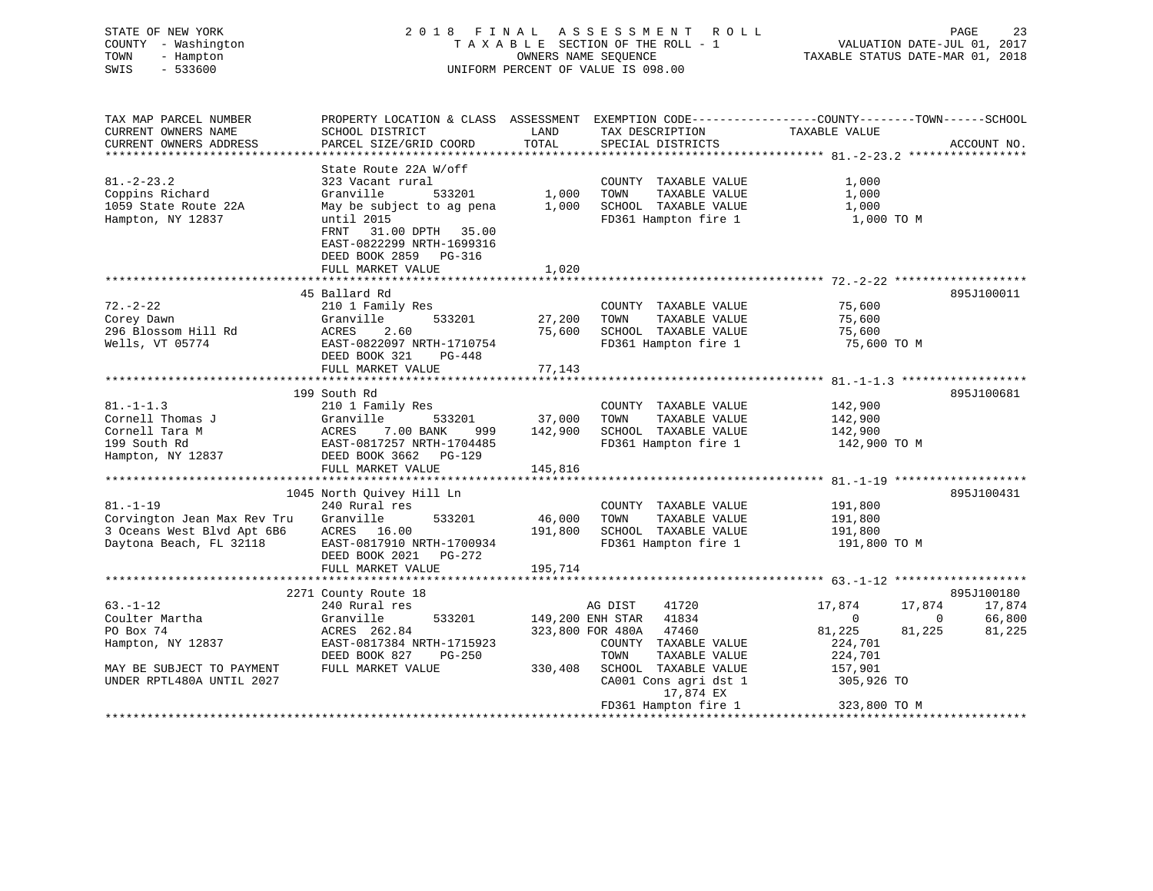# STATE OF NEW YORK 2 0 1 8 F I N A L A S S E S S M E N T R O L L PAGE 23 COUNTY - Washington T A X A B L E SECTION OF THE ROLL - 1 VALUATION DATE-JUL 01, 2017 TOWN - Hampton OWNERS NAME SEQUENCE TAXABLE STATUS DATE-MAR 01, 2018 SWIS - 533600 UNIFORM PERCENT OF VALUE IS 098.00

| TAX MAP PARCEL NUMBER       | PROPERTY LOCATION & CLASS ASSESSMENT EXEMPTION CODE----------------COUNTY-------TOWN------SCHOOL |               |                        |                                  |             |
|-----------------------------|--------------------------------------------------------------------------------------------------|---------------|------------------------|----------------------------------|-------------|
| CURRENT OWNERS NAME         | SCHOOL DISTRICT                                                                                  | LAND          | TAX DESCRIPTION        | TAXABLE VALUE                    |             |
| CURRENT OWNERS ADDRESS      | PARCEL SIZE/GRID COORD                                                                           | TOTAL         | SPECIAL DISTRICTS      |                                  | ACCOUNT NO. |
|                             |                                                                                                  |               |                        |                                  |             |
|                             | State Route 22A W/off                                                                            |               |                        |                                  |             |
| $81. - 2 - 23.2$            | 323 Vacant rural                                                                                 |               | COUNTY TAXABLE VALUE   | 1,000                            |             |
| Coppins Richard             | Granville<br>533201                                                                              | 1,000         | TOWN<br>TAXABLE VALUE  | 1,000                            |             |
| 1059 State Route 22A        | May be subject to ag pena                                                                        | 1,000         | SCHOOL TAXABLE VALUE   | 1,000                            |             |
| Hampton, NY 12837           | until 2015                                                                                       |               | FD361 Hampton fire 1   | 1,000 TO M                       |             |
|                             | 31.00 DPTH 35.00<br>FRNT                                                                         |               |                        |                                  |             |
|                             | EAST-0822299 NRTH-1699316                                                                        |               |                        |                                  |             |
|                             | DEED BOOK 2859 PG-316                                                                            |               |                        |                                  |             |
|                             | FULL MARKET VALUE                                                                                | 1,020         |                        |                                  |             |
|                             |                                                                                                  |               |                        |                                  |             |
|                             |                                                                                                  |               |                        |                                  |             |
|                             | 45 Ballard Rd                                                                                    |               |                        |                                  | 895J100011  |
| $72. - 2 - 22$              | 210 1 Family Res                                                                                 |               | COUNTY TAXABLE VALUE   | 75,600                           |             |
| Corey Dawn                  | 533201<br>Granville                                                                              | 27,200        | TAXABLE VALUE<br>TOWN  | 75,600                           |             |
| 296 Blossom Hill Rd         | 2.60<br>ACRES                                                                                    | 75,600        | SCHOOL TAXABLE VALUE   | 75,600                           |             |
| Wells, VT 05774             | EAST-0822097 NRTH-1710754                                                                        |               | FD361 Hampton fire 1   | 75,600 TO M                      |             |
|                             | DEED BOOK 321<br>PG-448                                                                          |               |                        |                                  |             |
|                             | FULL MARKET VALUE                                                                                | 77,143        |                        |                                  |             |
|                             |                                                                                                  |               |                        |                                  |             |
|                             | 199 South Rd                                                                                     |               |                        |                                  | 895J100681  |
| $81. - 1 - 1.3$             | 210 1 Family Res                                                                                 |               | COUNTY TAXABLE VALUE   | 142,900                          |             |
| Cornell Thomas J            | Granville                                                                                        | 533201 37,000 | TAXABLE VALUE<br>TOWN  | 142,900                          |             |
| Cornell Tara M              | ACRES 7.00 BANK<br>999                                                                           | 142,900       | SCHOOL TAXABLE VALUE   | 142,900                          |             |
| 199 South Rd                |                                                                                                  |               | FD361 Hampton fire 1   | 142,900 TO M                     |             |
| Hampton, NY 12837           | EAST-0817257 NRTH-1704485<br>DEED BOOK 3662 PG-120<br>DEED BOOK 3662 PG-129                      |               |                        |                                  |             |
|                             | FULL MARKET VALUE                                                                                | 145,816       |                        |                                  |             |
|                             |                                                                                                  |               |                        |                                  |             |
|                             | 1045 North Quivey Hill Ln                                                                        |               |                        |                                  | 895J100431  |
| $81. - 1 - 19$              | 240 Rural res                                                                                    |               | COUNTY TAXABLE VALUE   | 191,800                          |             |
| Corvington Jean Max Rev Tru | Granville<br>533201                                                                              | 46,000        | TAXABLE VALUE<br>TOWN  | 191,800                          |             |
| 3 Oceans West Blvd Apt 6B6  | ACRES 16.00                                                                                      | 191,800       | SCHOOL TAXABLE VALUE   | 191,800                          |             |
| Daytona Beach, FL 32118     | EAST-0817910 NRTH-1700934                                                                        |               | FD361 Hampton fire 1   | 191,800 TO M                     |             |
|                             | DEED BOOK 2021<br>PG-272                                                                         |               |                        |                                  |             |
|                             | FULL MARKET VALUE                                                                                | 195,714       |                        |                                  |             |
|                             |                                                                                                  |               |                        |                                  |             |
|                             | 2271 County Route 18                                                                             |               |                        |                                  | 895J100180  |
| $63. - 1 - 12$              | 240 Rural res                                                                                    |               | AG DIST<br>41720       | 17,874<br>17,874                 | 17,874      |
| Coulter Martha              | 533201<br>Granville                                                                              |               | 149,200 ENH STAR 41834 | $\overline{0}$<br>$\overline{0}$ | 66,800      |
| PO Box 74                   | ACRES 262.84                                                                                     |               | 47460                  | 81,225                           | 81,225      |
|                             | EAST-0817384 NRTH-1715923                                                                        |               | 323,800 FOR 480A       | 81,225                           |             |
| Hampton, NY 12837           |                                                                                                  |               | COUNTY TAXABLE VALUE   | 224,701                          |             |
|                             | DEED BOOK 827<br>PG-250                                                                          |               | TOWN<br>TAXABLE VALUE  | 224,701                          |             |
| MAY BE SUBJECT TO PAYMENT   | FULL MARKET VALUE                                                                                | 330,408       | SCHOOL TAXABLE VALUE   | 157,901                          |             |
| UNDER RPTL480A UNTIL 2027   |                                                                                                  |               | CA001 Cons agri dst 1  | 305,926 TO                       |             |
|                             |                                                                                                  |               | 17,874 EX              |                                  |             |
|                             |                                                                                                  |               | FD361 Hampton fire 1   | 323,800 TO M                     |             |
|                             |                                                                                                  |               |                        |                                  |             |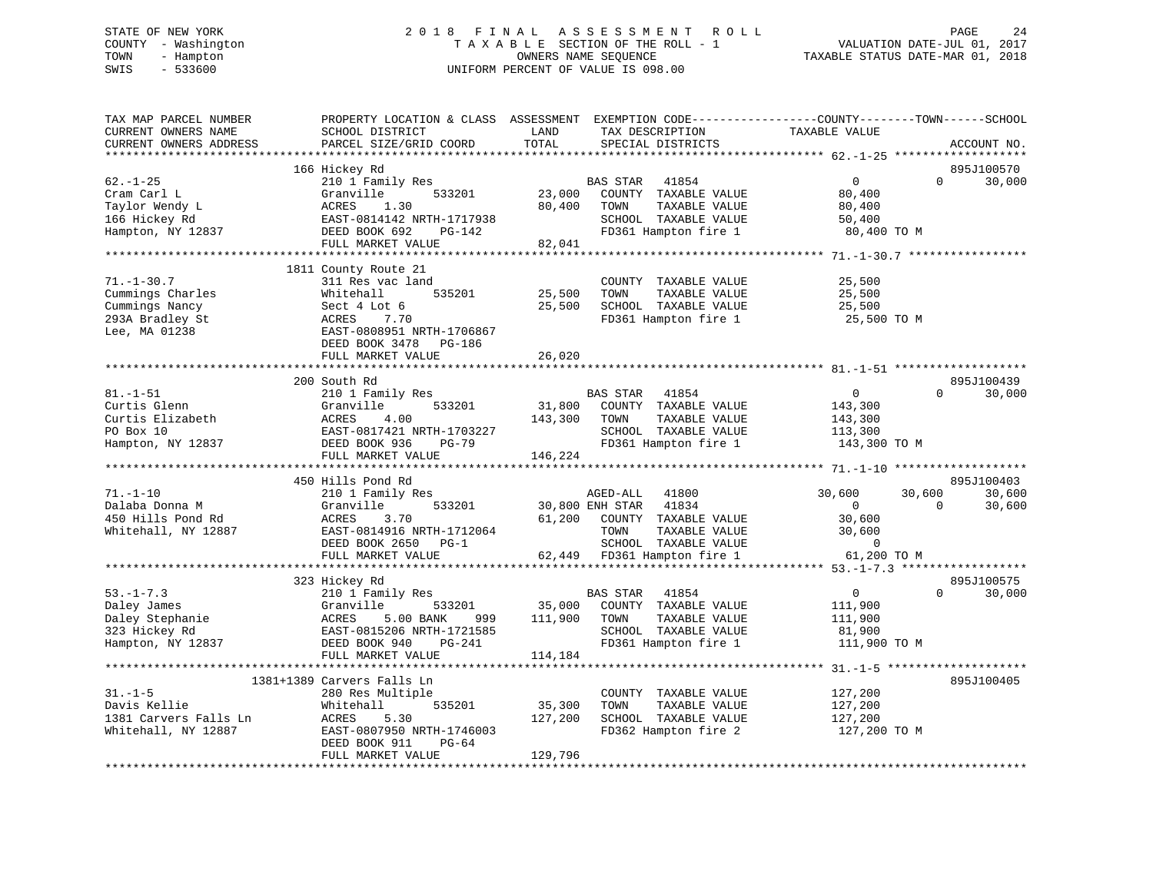# STATE OF NEW YORK 2 0 1 8 F I N A L A S S E S S M E N T R O L L PAGE 24 COUNTY - Washington T A X A B L E SECTION OF THE ROLL - 1 VALUATION DATE-JUL 01, 2017 TOWN - Hampton OWNERS NAME SEQUENCE TAXABLE STATUS DATE-MAR 01, 2018 SWIS - 533600 UNIFORM PERCENT OF VALUE IS 098.00

| TAX MAP PARCEL NUMBER<br>CURRENT OWNERS NAME<br>CURRENT OWNERS ADDRESS                     | PROPERTY LOCATION & CLASS ASSESSMENT<br>SCHOOL DISTRICT<br>PARCEL SIZE/GRID COORD                                                                                    | LAND<br>TOTAL                | EXEMPTION CODE-----------------COUNTY-------TOWN------SCHOOL<br>TAX DESCRIPTION<br>SPECIAL DISTRICTS                                                  | TAXABLE VALUE                                                                 |                    | ACCOUNT NO.                    |
|--------------------------------------------------------------------------------------------|----------------------------------------------------------------------------------------------------------------------------------------------------------------------|------------------------------|-------------------------------------------------------------------------------------------------------------------------------------------------------|-------------------------------------------------------------------------------|--------------------|--------------------------------|
|                                                                                            |                                                                                                                                                                      |                              |                                                                                                                                                       |                                                                               |                    |                                |
| $62. - 1 - 25$<br>Cram Carl L<br>Taylor Wendy L<br>166 Hickey Rd<br>Hampton, NY 12837      | 166 Hickey Rd<br>210 1 Family Res<br>Granville<br>533201<br>ACRES<br>1.30<br>EAST-0814142 NRTH-1717938<br>DEED BOOK 692<br>PG-142<br>FULL MARKET VALUE               | 23,000<br>80,400<br>82,041   | <b>BAS STAR</b><br>41854<br>COUNTY TAXABLE VALUE<br>TAXABLE VALUE<br>TOWN<br>SCHOOL TAXABLE VALUE<br>FD361 Hampton fire 1                             | $\overline{0}$<br>80,400<br>80,400<br>50,400<br>80,400 TO M                   | $\Omega$           | 895J100570<br>30,000           |
|                                                                                            | 1811 County Route 21                                                                                                                                                 |                              |                                                                                                                                                       |                                                                               |                    |                                |
| $71. - 1 - 30.7$<br>Cummings Charles<br>Cummings Nancy<br>293A Bradley St<br>Lee, MA 01238 | 311 Res vac land<br>Whitehall<br>535201<br>Sect 4 Lot 6<br>ACRES<br>7.70<br>EAST-0808951 NRTH-1706867<br>DEED BOOK 3478<br>PG-186                                    | 25,500<br>25,500             | COUNTY TAXABLE VALUE<br>TAXABLE VALUE<br>TOWN<br>SCHOOL TAXABLE VALUE<br>FD361 Hampton fire 1                                                         | 25,500<br>25,500<br>25,500<br>25,500 TO M                                     |                    |                                |
|                                                                                            | FULL MARKET VALUE                                                                                                                                                    | 26,020                       |                                                                                                                                                       |                                                                               |                    |                                |
|                                                                                            | 200 South Rd                                                                                                                                                         |                              |                                                                                                                                                       |                                                                               |                    | 895J100439                     |
| $81. - 1 - 51$<br>Curtis Glenn<br>Curtis Elizabeth<br>PO Box 10<br>Hampton, NY 12837       | 210 1 Family Res<br>533201<br>Granville<br>ACRES<br>4.00<br>EAST-0817421 NRTH-1703227<br>DEED BOOK 936<br>PG-79                                                      | 31,800<br>143,300            | <b>BAS STAR</b><br>41854<br>COUNTY TAXABLE VALUE<br>TAXABLE VALUE<br>TOWN<br>SCHOOL TAXABLE VALUE<br>FD361 Hampton fire 1                             | $\overline{0}$<br>143,300<br>143,300<br>113,300<br>143,300 TO M               | $\Omega$           | 30,000                         |
|                                                                                            | FULL MARKET VALUE                                                                                                                                                    | 146,224                      |                                                                                                                                                       |                                                                               |                    |                                |
|                                                                                            |                                                                                                                                                                      |                              |                                                                                                                                                       |                                                                               |                    |                                |
| $71. - 1 - 10$<br>Dalaba Donna M<br>450 Hills Pond Rd<br>Whitehall, NY 12887               | 450 Hills Pond Rd<br>210 1 Family Res<br>Granville<br>533201<br>ACRES<br>3.70<br>EAST-0814916 NRTH-1712064<br>DEED BOOK 2650 PG-1<br>FULL MARKET VALUE               | 61,200                       | 41800<br>AGED-ALL<br>30,800 ENH STAR<br>41834<br>COUNTY TAXABLE VALUE<br>TOWN<br>TAXABLE VALUE<br>SCHOOL TAXABLE VALUE<br>62,449 FD361 Hampton fire 1 | 30,600<br>$\overline{0}$<br>30,600<br>30,600<br>$\overline{0}$<br>61,200 TO M | 30,600<br>$\Omega$ | 895J100403<br>30,600<br>30,600 |
|                                                                                            | 323 Hickey Rd                                                                                                                                                        |                              |                                                                                                                                                       |                                                                               |                    | 895J100575                     |
| $53. - 1 - 7.3$<br>Daley James<br>Daley Stephanie<br>323 Hickey Rd<br>Hampton, NY 12837    | 210 1 Family Res<br>Granville<br>533201<br>ACRES<br>5.00 BANK<br>999<br>EAST-0815206 NRTH-1721585<br>DEED BOOK 940<br>PG-241                                         | 35,000<br>111,900            | BAS STAR<br>41854<br>COUNTY TAXABLE VALUE<br>TOWN<br>TAXABLE VALUE<br>SCHOOL TAXABLE VALUE<br>FD361 Hampton fire 1                                    | $\overline{0}$<br>111,900<br>111,900<br>81,900<br>111,900 TO M                | $\Omega$           | 30,000                         |
|                                                                                            | FULL MARKET VALUE                                                                                                                                                    | 114,184                      |                                                                                                                                                       |                                                                               |                    |                                |
|                                                                                            |                                                                                                                                                                      |                              |                                                                                                                                                       |                                                                               |                    |                                |
| $31. - 1 - 5$<br>Davis Kellie<br>1381 Carvers Falls Ln<br>Whitehall, NY 12887              | 1381+1389 Carvers Falls Ln<br>280 Res Multiple<br>Whitehall<br>535201<br>ACRES<br>5.30<br>EAST-0807950 NRTH-1746003<br>DEED BOOK 911<br>$PG-64$<br>FULL MARKET VALUE | 35,300<br>127,200<br>129,796 | COUNTY TAXABLE VALUE<br>TOWN<br>TAXABLE VALUE<br>SCHOOL TAXABLE VALUE<br>FD362 Hampton fire 2                                                         | 127,200<br>127,200<br>127,200<br>127,200 TO M                                 |                    | 895J100405                     |
|                                                                                            |                                                                                                                                                                      |                              |                                                                                                                                                       |                                                                               |                    |                                |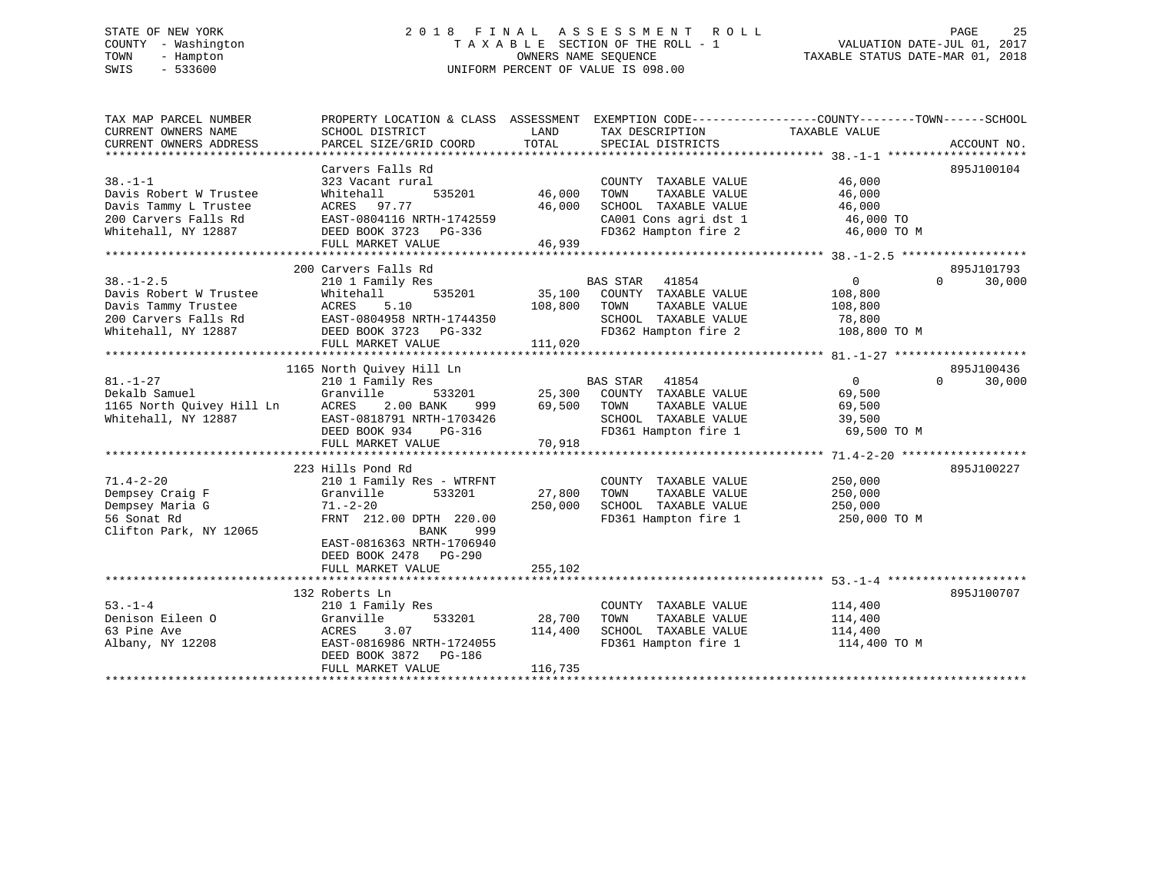# STATE OF NEW YORK 2 0 1 8 F I N A L A S S E S S M E N T R O L L PAGE 25 COUNTY - Washington T A X A B L E SECTION OF THE ROLL - 1 VALUATION DATE-JUL 01, 2017 TOWN - Hampton OWNERS NAME SEQUENCE TAXABLE STATUS DATE-MAR 01, 2018 SWIS - 533600 UNIFORM PERCENT OF VALUE IS 098.00

| TAX MAP PARCEL NUMBER<br>CURRENT OWNERS NAME<br>CURRENT OWNERS ADDRESS | PROPERTY LOCATION & CLASS ASSESSMENT EXEMPTION CODE---------------COUNTY-------TOWN-----SCHOOL<br>SCHOOL DISTRICT<br>PARCEL SIZE/GRID COORD | LAND<br>TOTAL | TAX DESCRIPTION<br>SPECIAL DISTRICTS                                   | TAXABLE VALUE  | ACCOUNT NO.        |
|------------------------------------------------------------------------|---------------------------------------------------------------------------------------------------------------------------------------------|---------------|------------------------------------------------------------------------|----------------|--------------------|
|                                                                        |                                                                                                                                             |               |                                                                        |                |                    |
|                                                                        | Carvers Falls Rd                                                                                                                            |               |                                                                        |                | 895J100104         |
| $38. - 1 - 1$                                                          | 323 Vacant rural                                                                                                                            |               | COUNTY TAXABLE VALUE                                                   | 46,000         |                    |
| Davis Robert W Trustee                                                 | Whitehall<br>535201                                                                                                                         | 46,000        | TAXABLE VALUE<br>TOWN                                                  | 46,000         |                    |
| Davis Tammy L Trustee                                                  | ACRES 97.77                                                                                                                                 | 46,000        | SCHOOL TAXABLE VALUE                                                   | 46,000         |                    |
| 200 Carvers Falls Rd                                                   | EAST-0804116 NRTH-1742559                                                                                                                   |               | CA001 Cons agri dst 1                                                  | 46,000 TO      |                    |
| Whitehall, NY 12887                                                    | DEED BOOK 3723 PG-336                                                                                                                       |               | FD362 Hampton fire 2                                                   | 46,000 TO M    |                    |
|                                                                        | FULL MARKET VALUE                                                                                                                           | 46,939        |                                                                        |                |                    |
|                                                                        |                                                                                                                                             |               |                                                                        |                |                    |
|                                                                        | 200 Carvers Falls Rd                                                                                                                        |               |                                                                        |                | 895J101793         |
| $38. - 1 - 2.5$                                                        | 210 1 Family Res                                                                                                                            |               | BAS STAR<br>41854                                                      | $\overline{0}$ | $\Omega$<br>30,000 |
| Davis Robert W Trustee                                                 | Whitehall<br>535201                                                                                                                         |               | 35,100 COUNTY TAXABLE VALUE                                            | 108,800        |                    |
| Davis Tammy Trustee                                                    | 5.10<br>ACRES                                                                                                                               | 108,800       | TOWN<br>TAXABLE VALUE                                                  | 108,800        |                    |
| 200 Carvers Falls Rd                                                   | EAST-0804958 NRTH-1744350                                                                                                                   |               | SCHOOL TAXABLE VALUE                                                   | 78,800         |                    |
| Whitehall, NY 12887                                                    | DEED BOOK 3723 PG-332                                                                                                                       |               | FD362 Hampton fire 2                                                   | 108,800 TO M   |                    |
|                                                                        | FULL MARKET VALUE                                                                                                                           | 111,020       |                                                                        |                |                    |
|                                                                        |                                                                                                                                             |               |                                                                        |                |                    |
|                                                                        | 1165 North Quivey Hill Ln                                                                                                                   |               |                                                                        |                | 895J100436         |
| $81. - 1 - 27$                                                         | 210 1 Family Res                                                                                                                            |               | BAS STAR 41854                                                         | $\overline{0}$ | $\Omega$<br>30,000 |
| Dekalb Samuel                                                          | Granville                                                                                                                                   |               | 533201 25,300 COUNTY TAXABLE VALUE<br>NK 999 69,500 TOWN TAXABLE VALUE | 69,500         |                    |
| 1165 North Quivey Hill Ln                                              | ACRES<br>2.00 BANK                                                                                                                          | 69,500        |                                                                        | 69,500         |                    |
| Whitehall, NY 12887                                                    | EAST-0818791 NRTH-1703426                                                                                                                   |               | SCHOOL TAXABLE VALUE                                                   | 39,500         |                    |
|                                                                        | DEED BOOK 934<br>PG-316                                                                                                                     |               | FD361 Hampton fire 1                                                   | 69,500 TO M    |                    |
|                                                                        | FULL MARKET VALUE                                                                                                                           | 70,918        |                                                                        |                |                    |
|                                                                        | 223 Hills Pond Rd                                                                                                                           |               |                                                                        |                | 895J100227         |
| $71.4 - 2 - 20$                                                        | 210 1 Family Res - WTRFNT                                                                                                                   |               | COUNTY TAXABLE VALUE                                                   | 250,000        |                    |
| Dempsey Craig F                                                        | Granville<br>533201                                                                                                                         | 27,800        | TOWN<br>TAXABLE VALUE                                                  | 250,000        |                    |
| Dempsey Maria G                                                        | $71. - 2 - 20$                                                                                                                              | 250,000       | SCHOOL TAXABLE VALUE                                                   | 250,000        |                    |
| 56 Sonat Rd                                                            | FRNT 212.00 DPTH 220.00                                                                                                                     |               | FD361 Hampton fire 1 250,000 TO M                                      |                |                    |
| Clifton Park, NY 12065                                                 | 999<br>BANK                                                                                                                                 |               |                                                                        |                |                    |
|                                                                        | EAST-0816363 NRTH-1706940                                                                                                                   |               |                                                                        |                |                    |
|                                                                        | DEED BOOK 2478 PG-290                                                                                                                       |               |                                                                        |                |                    |
|                                                                        | FULL MARKET VALUE                                                                                                                           | 255,102       |                                                                        |                |                    |
|                                                                        |                                                                                                                                             |               |                                                                        |                |                    |
|                                                                        | 132 Roberts Ln                                                                                                                              |               |                                                                        |                | 895J100707         |
| $53 - 1 - 4$                                                           | 210 1 Family Res                                                                                                                            |               | COUNTY TAXABLE VALUE                                                   | 114,400        |                    |
| Denison Eileen O                                                       | 533201<br>Granville                                                                                                                         | 28,700        | TOWN<br>TAXABLE VALUE                                                  | 114,400        |                    |
| 63 Pine Ave                                                            | 3.07<br>ACRES                                                                                                                               | 114,400       | SCHOOL TAXABLE VALUE                                                   | 114,400        |                    |
| Albany, NY 12208                                                       | EAST-0816986 NRTH-1724055                                                                                                                   |               | FD361 Hampton fire 1                                                   | 114,400 TO M   |                    |
|                                                                        | DEED BOOK 3872 PG-186                                                                                                                       |               |                                                                        |                |                    |
|                                                                        | FULL MARKET VALUE                                                                                                                           | 116,735       |                                                                        |                |                    |
|                                                                        |                                                                                                                                             |               |                                                                        |                |                    |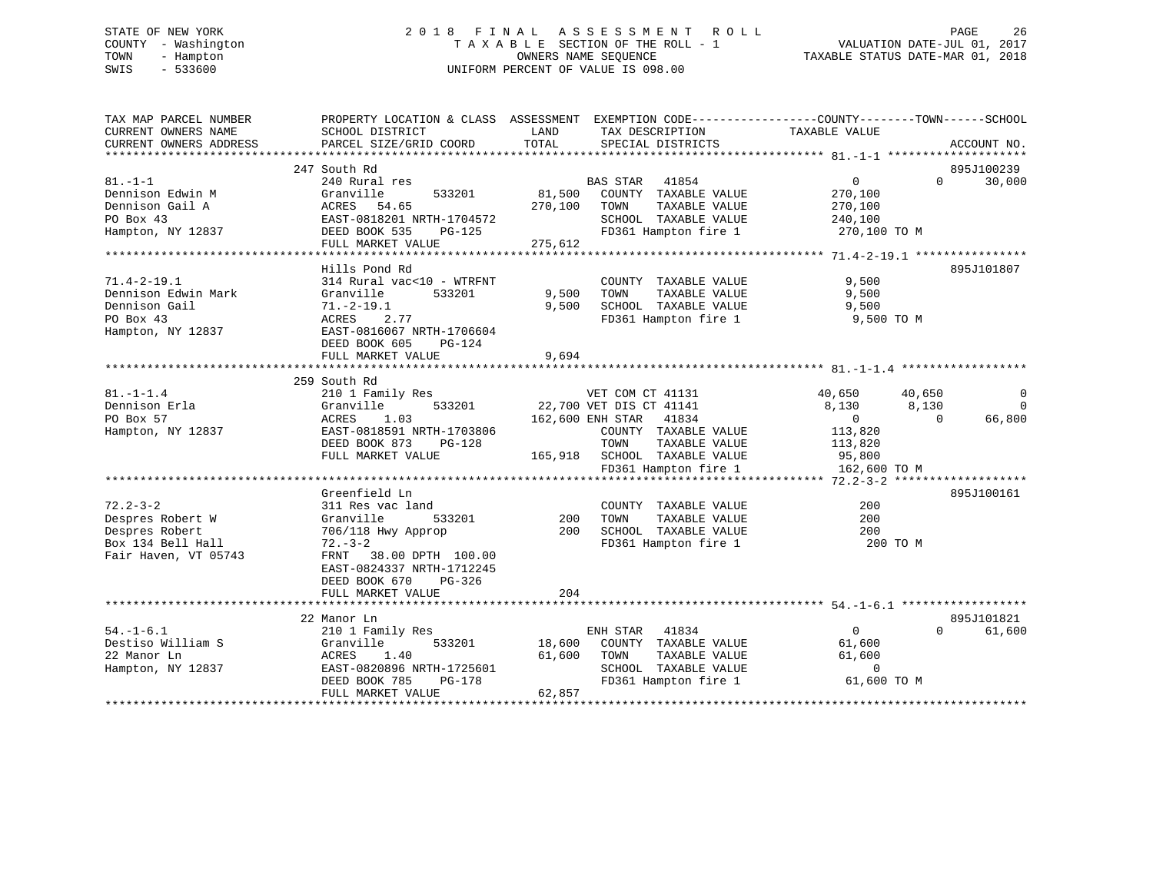# STATE OF NEW YORK 2 0 1 8 F I N A L A S S E S S M E N T R O L L PAGE 26 COUNTY - Washington T A X A B L E SECTION OF THE ROLL - 1 VALUATION DATE-JUL 01, 2017 TOWN - Hampton OWNERS NAME SEQUENCE TAXABLE STATUS DATE-MAR 01, 2018 SWIS - 533600 UNIFORM PERCENT OF VALUE IS 098.00

| TAX MAP PARCEL NUMBER<br>CURRENT OWNERS NAME<br>CURRENT OWNERS ADDRESS                            | SCHOOL DISTRICT<br>PARCEL SIZE/GRID COORD                                                                                                              | LAND<br>TOTAL              | TAX DESCRIPTION<br>SPECIAL DISTRICTS                                                                                                                   | PROPERTY LOCATION & CLASS ASSESSMENT EXEMPTION CODE----------------COUNTY-------TOWN-----SCHOOL<br>TAXABLE VALUE | ACCOUNT NO.             |
|---------------------------------------------------------------------------------------------------|--------------------------------------------------------------------------------------------------------------------------------------------------------|----------------------------|--------------------------------------------------------------------------------------------------------------------------------------------------------|------------------------------------------------------------------------------------------------------------------|-------------------------|
|                                                                                                   |                                                                                                                                                        |                            |                                                                                                                                                        |                                                                                                                  |                         |
| $81. - 1 - 1$<br>Dennison Edwin M<br>Dennison Gail A                                              | 247 South Rd<br>240 Rural res<br>Granville<br>533201<br>ACRES 54.65                                                                                    | 81,500<br>270,100          | BAS STAR 41854<br>COUNTY TAXABLE VALUE<br>TOWN<br>TAXABLE VALUE                                                                                        | $\Omega$<br>$\overline{0}$<br>270,100<br>270,100                                                                 | 895J100239<br>30,000    |
| PO Box 43<br>Hampton, NY 12837                                                                    | EAST-0818201 NRTH-1704572<br>DEED BOOK 535<br>PG-125<br>FULL MARKET VALUE                                                                              | 275,612                    | SCHOOL TAXABLE VALUE<br>FD361 Hampton fire 1                                                                                                           | 240,100<br>270,100 TO M                                                                                          |                         |
|                                                                                                   | Hills Pond Rd                                                                                                                                          |                            |                                                                                                                                                        |                                                                                                                  | 895J101807              |
| $71.4 - 2 - 19.1$<br>Dennison Edwin Mark<br>Dennison Gail<br>PO Box 43<br>Hampton, NY 12837       | 314 Rural vac<10 - WTRFNT<br>Granville<br>533201<br>$71.-2-19.1$<br>2.77<br>ACRES<br>EAST-0816067 NRTH-1706604<br>DEED BOOK 605<br>PG-124              | 9,500<br>9,500             | COUNTY TAXABLE VALUE<br>TAXABLE VALUE<br>TOWN<br>SCHOOL TAXABLE VALUE<br>FD361 Hampton fire 1                                                          | 9,500<br>9,500<br>9,500<br>9,500 TO M                                                                            |                         |
|                                                                                                   | FULL MARKET VALUE                                                                                                                                      | 9,694                      |                                                                                                                                                        |                                                                                                                  |                         |
|                                                                                                   |                                                                                                                                                        |                            |                                                                                                                                                        |                                                                                                                  |                         |
| $81. - 1 - 1.4$<br>Dennison Erla<br>PO Box 57<br>Hampton, NY 12837                                | 259 South Rd<br>210 1 Family Res<br>Granville<br>533201<br>1.03<br>ACRES<br>EAST-0818591 NRTH-1703806<br>DEED BOOK 873<br>PG-128<br>FULL MARKET VALUE  |                            | VET COM CT 41131<br>22,700 VET DIS CT 41141<br>162,600 ENH STAR 41834<br>COUNTY TAXABLE VALUE<br>TOWN<br>TAXABLE VALUE<br>165,918 SCHOOL TAXABLE VALUE | 40,650<br>40,650<br>8,130<br>8,130<br>$\overline{0}$<br>$\Omega$<br>113,820<br>113,820<br>95,800                 | 0<br>$\Omega$<br>66,800 |
|                                                                                                   |                                                                                                                                                        |                            | FD361 Hampton fire 1                                                                                                                                   | 162,600 TO M                                                                                                     |                         |
| $72.2 - 3 - 2$<br>Despres Robert W<br>Despres Robert<br>Box 134 Bell Hall<br>Fair Haven, VT 05743 | Greenfield Ln<br>311 Res vac land<br>Granville<br>533201<br>706/118 Hwy Approp<br>$72. - 3 - 2$<br>FRNT 38.00 DPTH 100.00<br>EAST-0824337 NRTH-1712245 | 200<br>200                 | COUNTY TAXABLE VALUE<br>TOWN<br>TAXABLE VALUE<br>SCHOOL TAXABLE VALUE<br>FD361 Hampton fire 1                                                          | 200<br>200<br>200<br>200 TO M                                                                                    | 895J100161              |
|                                                                                                   | DEED BOOK 670<br>PG-326<br>FULL MARKET VALUE                                                                                                           | 204                        |                                                                                                                                                        |                                                                                                                  |                         |
|                                                                                                   |                                                                                                                                                        |                            |                                                                                                                                                        |                                                                                                                  |                         |
| $54. - 1 - 6.1$<br>Destiso William S<br>22 Manor Ln<br>Hampton, NY 12837                          | 22 Manor Ln<br>210 1 Family Res<br>533201<br>Granville<br>ACRES<br>1.40<br>EAST-0820896 NRTH-1725601<br>DEED BOOK 785<br>PG-178<br>FULL MARKET VALUE   | 18,600<br>61,600<br>62,857 | ENH STAR 41834<br>COUNTY TAXABLE VALUE<br>TOWN<br>TAXABLE VALUE<br>SCHOOL TAXABLE VALUE<br>FD361 Hampton fire 1                                        | $\overline{0}$<br>$\Omega$<br>61,600<br>61,600<br>$\mathbf 0$<br>61,600 TO M                                     | 895J101821<br>61,600    |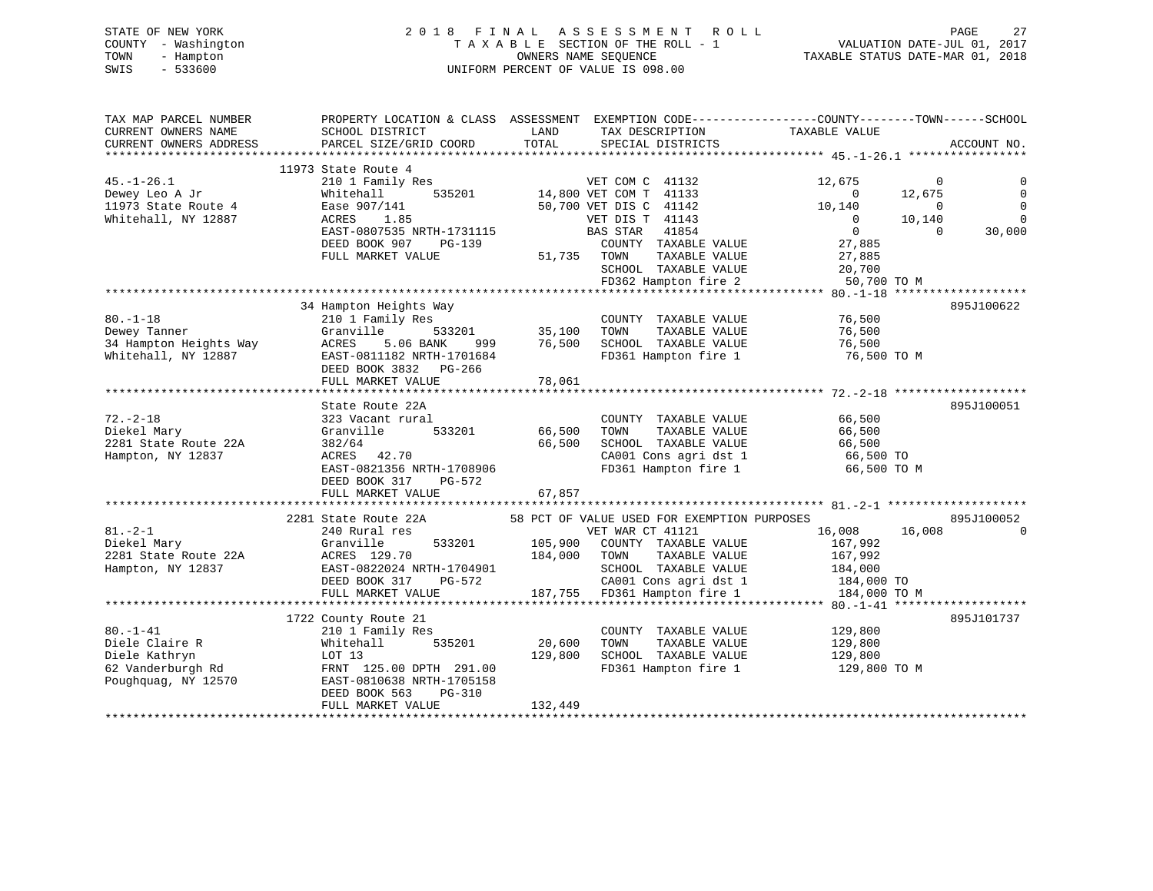|      | STATE OF NEW YORK   | 2018 FINAL ASSESSMENT ROLL         | 27<br>PAGE                       |
|------|---------------------|------------------------------------|----------------------------------|
|      | COUNTY - Washington | TAXABLE SECTION OF THE ROLL - 1    | VALUATION DATE-JUL 01, 2017      |
| TOWN | - Hampton           | OWNERS NAME SEOUENCE               | TAXABLE STATUS DATE-MAR 01, 2018 |
| SWIS | $-533600$           | UNIFORM PERCENT OF VALUE IS 098.00 |                                  |

| TAX DESCRIPTION TAXABLE VALUE<br>SCHOOL DISTRICT<br>LAND<br>TOTAL<br>CURRENT OWNERS ADDRESS<br>PARCEL SIZE/GRID COORD<br>SPECIAL DISTRICTS<br>ACCOUNT NO.<br>11973 State Route 4<br>210 1 Family Res<br>$45. - 1 - 26.1$<br>VET COM C 41132<br>12,675<br>$\overline{0}$<br>$\sim$ 0<br>$\begin{array}{cccc} & 0 & & 0 & \ 0 & & 12,675 & \ 10,140 & & & 0 & \ 0 & & 10,140 & \ 0 & & & 0 & \end{array}$<br>535201 14,800 VET COM T 41133<br>50,700 VET DIS C 41142<br>$\mathbf 0$<br>Whitehall<br>Dewey Leo A Jr<br>11973 State Route 4<br>Ease 907/141<br>$\overline{0}$<br>ACRES 1.85<br>Whitehall, NY 12887<br>$\Omega$<br>VET DIS T 41143<br>BAS STAR 41854<br>EAST-0807535 NRTH-1731115<br>30,000<br>27,885<br>DEED BOOK 907 PG-139<br>COUNTY TAXABLE VALUE<br>FULL MARKET VALUE<br>TAXABLE VALUE<br>27,885<br>SCHOOL TAXABLE VALUE 20,700<br>FD362 Hampton fire 2 50,700 TO M<br>34 Hampton Heights Way<br>895J100622<br>COUNTY TAXABLE VALUE 76,500<br>80.-1-18<br>Dewey Tanner<br>210 1 Family Res<br>76,500<br>76,500<br>FD361 Hampton fire 1<br>76,500 TO M<br>DEED BOOK 3832 PG-266<br>FULL MARKET VALUE<br>78,061<br>State Route 22A<br>895J100051<br>$72. - 2 - 18$<br>COUNTY TAXABLE VALUE<br>66,500<br>323 Vacant rural<br>66,500<br>Diekel Mary<br>533201<br>TOWN<br>TAXABLE VALUE<br>Granville<br>66,500<br>66,500<br>2281 State Route 22A<br>382/64<br>SCHOOL TAXABLE VALUE<br>66,500<br>ACRES 42.70<br>ACRES 42.70<br>EAST-0821356 NRTH-1708906<br>Hampton, NY 12837<br>CA001 Cons agri dst 1<br>66,500 TO<br>FD361 Hampton fire 1<br>66,500 TO M<br>DEED BOOK 317<br>PG-572<br>67,857<br>FULL MARKET VALUE<br>2281 State Route 22A 58 PCT OF VALUE USED FOR EXEMPTION PURPOSES<br>895J100052<br>16,008<br>$81 - 2 - 1$<br>240 Rural res<br>VET WAR CT 41121<br>16,008<br>$\mathbf 0$<br>240 Rural res<br>Granville 533201 105,900 COUNTY TAXABLE VALUE<br>ACRES 129.70 184,000 TOWN TAXABLE VALUE<br>EAST-0822024 NRTH-1704901 SCHOOL TAXABLE VALUE<br>DEED BOOK 317 PG-572 CA001 Cons agri dst 1<br>FULL MARKET VALUE<br>TULL MAR<br>Diekel Mary<br>167,992<br>167,992<br>SCHOOL TAXABLE VALUE 184,000<br>CA001 Cons agri dst 1 184,000 TO<br>184,000 TO M<br>1722 County Route 21<br>895J101737<br>COUNTY TAXABLE VALUE 129,800<br>210 1 Family Res<br>Diele Claire R<br>535201<br>20,600<br>TOWN<br>TAXABLE VALUE<br>Whitehall<br>129,800<br>LOT 13<br>129,800<br>SCHOOL TAXABLE VALUE<br>Diele Kathryn<br>129,800<br>62 Vanderburg<br>62 Vanderburgh Rd<br>1967 - The Theory Anna 2010629 Norwal 705158<br>FD361 Hampton fire 1 129,800 TO M<br>Poughquag, NY 12570<br>EAST-0810638 NRTH-1705158<br>DEED BOOK 563<br>PG-310<br>132,449<br>FULL MARKET VALUE | TAX MAP PARCEL NUMBER | PROPERTY LOCATION & CLASS ASSESSMENT EXEMPTION CODE----------------COUNTY-------TOWN------SCHOOL |  |  |  |
|-------------------------------------------------------------------------------------------------------------------------------------------------------------------------------------------------------------------------------------------------------------------------------------------------------------------------------------------------------------------------------------------------------------------------------------------------------------------------------------------------------------------------------------------------------------------------------------------------------------------------------------------------------------------------------------------------------------------------------------------------------------------------------------------------------------------------------------------------------------------------------------------------------------------------------------------------------------------------------------------------------------------------------------------------------------------------------------------------------------------------------------------------------------------------------------------------------------------------------------------------------------------------------------------------------------------------------------------------------------------------------------------------------------------------------------------------------------------------------------------------------------------------------------------------------------------------------------------------------------------------------------------------------------------------------------------------------------------------------------------------------------------------------------------------------------------------------------------------------------------------------------------------------------------------------------------------------------------------------------------------------------------------------------------------------------------------------------------------------------------------------------------------------------------------------------------------------------------------------------------------------------------------------------------------------------------------------------------------------------------------------------------------------------------------------------------------------------------------------------------------------------------------------------------------------------------------------------------------------------------------------------------------------------------------------------|-----------------------|--------------------------------------------------------------------------------------------------|--|--|--|
|                                                                                                                                                                                                                                                                                                                                                                                                                                                                                                                                                                                                                                                                                                                                                                                                                                                                                                                                                                                                                                                                                                                                                                                                                                                                                                                                                                                                                                                                                                                                                                                                                                                                                                                                                                                                                                                                                                                                                                                                                                                                                                                                                                                                                                                                                                                                                                                                                                                                                                                                                                                                                                                                                     | CURRENT OWNERS NAME   |                                                                                                  |  |  |  |
|                                                                                                                                                                                                                                                                                                                                                                                                                                                                                                                                                                                                                                                                                                                                                                                                                                                                                                                                                                                                                                                                                                                                                                                                                                                                                                                                                                                                                                                                                                                                                                                                                                                                                                                                                                                                                                                                                                                                                                                                                                                                                                                                                                                                                                                                                                                                                                                                                                                                                                                                                                                                                                                                                     |                       |                                                                                                  |  |  |  |
|                                                                                                                                                                                                                                                                                                                                                                                                                                                                                                                                                                                                                                                                                                                                                                                                                                                                                                                                                                                                                                                                                                                                                                                                                                                                                                                                                                                                                                                                                                                                                                                                                                                                                                                                                                                                                                                                                                                                                                                                                                                                                                                                                                                                                                                                                                                                                                                                                                                                                                                                                                                                                                                                                     |                       |                                                                                                  |  |  |  |
|                                                                                                                                                                                                                                                                                                                                                                                                                                                                                                                                                                                                                                                                                                                                                                                                                                                                                                                                                                                                                                                                                                                                                                                                                                                                                                                                                                                                                                                                                                                                                                                                                                                                                                                                                                                                                                                                                                                                                                                                                                                                                                                                                                                                                                                                                                                                                                                                                                                                                                                                                                                                                                                                                     |                       |                                                                                                  |  |  |  |
|                                                                                                                                                                                                                                                                                                                                                                                                                                                                                                                                                                                                                                                                                                                                                                                                                                                                                                                                                                                                                                                                                                                                                                                                                                                                                                                                                                                                                                                                                                                                                                                                                                                                                                                                                                                                                                                                                                                                                                                                                                                                                                                                                                                                                                                                                                                                                                                                                                                                                                                                                                                                                                                                                     |                       |                                                                                                  |  |  |  |
|                                                                                                                                                                                                                                                                                                                                                                                                                                                                                                                                                                                                                                                                                                                                                                                                                                                                                                                                                                                                                                                                                                                                                                                                                                                                                                                                                                                                                                                                                                                                                                                                                                                                                                                                                                                                                                                                                                                                                                                                                                                                                                                                                                                                                                                                                                                                                                                                                                                                                                                                                                                                                                                                                     | Dewey Leo A Jr        |                                                                                                  |  |  |  |
|                                                                                                                                                                                                                                                                                                                                                                                                                                                                                                                                                                                                                                                                                                                                                                                                                                                                                                                                                                                                                                                                                                                                                                                                                                                                                                                                                                                                                                                                                                                                                                                                                                                                                                                                                                                                                                                                                                                                                                                                                                                                                                                                                                                                                                                                                                                                                                                                                                                                                                                                                                                                                                                                                     |                       |                                                                                                  |  |  |  |
|                                                                                                                                                                                                                                                                                                                                                                                                                                                                                                                                                                                                                                                                                                                                                                                                                                                                                                                                                                                                                                                                                                                                                                                                                                                                                                                                                                                                                                                                                                                                                                                                                                                                                                                                                                                                                                                                                                                                                                                                                                                                                                                                                                                                                                                                                                                                                                                                                                                                                                                                                                                                                                                                                     |                       |                                                                                                  |  |  |  |
|                                                                                                                                                                                                                                                                                                                                                                                                                                                                                                                                                                                                                                                                                                                                                                                                                                                                                                                                                                                                                                                                                                                                                                                                                                                                                                                                                                                                                                                                                                                                                                                                                                                                                                                                                                                                                                                                                                                                                                                                                                                                                                                                                                                                                                                                                                                                                                                                                                                                                                                                                                                                                                                                                     |                       |                                                                                                  |  |  |  |
|                                                                                                                                                                                                                                                                                                                                                                                                                                                                                                                                                                                                                                                                                                                                                                                                                                                                                                                                                                                                                                                                                                                                                                                                                                                                                                                                                                                                                                                                                                                                                                                                                                                                                                                                                                                                                                                                                                                                                                                                                                                                                                                                                                                                                                                                                                                                                                                                                                                                                                                                                                                                                                                                                     |                       |                                                                                                  |  |  |  |
|                                                                                                                                                                                                                                                                                                                                                                                                                                                                                                                                                                                                                                                                                                                                                                                                                                                                                                                                                                                                                                                                                                                                                                                                                                                                                                                                                                                                                                                                                                                                                                                                                                                                                                                                                                                                                                                                                                                                                                                                                                                                                                                                                                                                                                                                                                                                                                                                                                                                                                                                                                                                                                                                                     |                       |                                                                                                  |  |  |  |
|                                                                                                                                                                                                                                                                                                                                                                                                                                                                                                                                                                                                                                                                                                                                                                                                                                                                                                                                                                                                                                                                                                                                                                                                                                                                                                                                                                                                                                                                                                                                                                                                                                                                                                                                                                                                                                                                                                                                                                                                                                                                                                                                                                                                                                                                                                                                                                                                                                                                                                                                                                                                                                                                                     |                       |                                                                                                  |  |  |  |
|                                                                                                                                                                                                                                                                                                                                                                                                                                                                                                                                                                                                                                                                                                                                                                                                                                                                                                                                                                                                                                                                                                                                                                                                                                                                                                                                                                                                                                                                                                                                                                                                                                                                                                                                                                                                                                                                                                                                                                                                                                                                                                                                                                                                                                                                                                                                                                                                                                                                                                                                                                                                                                                                                     |                       |                                                                                                  |  |  |  |
|                                                                                                                                                                                                                                                                                                                                                                                                                                                                                                                                                                                                                                                                                                                                                                                                                                                                                                                                                                                                                                                                                                                                                                                                                                                                                                                                                                                                                                                                                                                                                                                                                                                                                                                                                                                                                                                                                                                                                                                                                                                                                                                                                                                                                                                                                                                                                                                                                                                                                                                                                                                                                                                                                     |                       |                                                                                                  |  |  |  |
|                                                                                                                                                                                                                                                                                                                                                                                                                                                                                                                                                                                                                                                                                                                                                                                                                                                                                                                                                                                                                                                                                                                                                                                                                                                                                                                                                                                                                                                                                                                                                                                                                                                                                                                                                                                                                                                                                                                                                                                                                                                                                                                                                                                                                                                                                                                                                                                                                                                                                                                                                                                                                                                                                     |                       |                                                                                                  |  |  |  |
|                                                                                                                                                                                                                                                                                                                                                                                                                                                                                                                                                                                                                                                                                                                                                                                                                                                                                                                                                                                                                                                                                                                                                                                                                                                                                                                                                                                                                                                                                                                                                                                                                                                                                                                                                                                                                                                                                                                                                                                                                                                                                                                                                                                                                                                                                                                                                                                                                                                                                                                                                                                                                                                                                     |                       |                                                                                                  |  |  |  |
|                                                                                                                                                                                                                                                                                                                                                                                                                                                                                                                                                                                                                                                                                                                                                                                                                                                                                                                                                                                                                                                                                                                                                                                                                                                                                                                                                                                                                                                                                                                                                                                                                                                                                                                                                                                                                                                                                                                                                                                                                                                                                                                                                                                                                                                                                                                                                                                                                                                                                                                                                                                                                                                                                     |                       |                                                                                                  |  |  |  |
|                                                                                                                                                                                                                                                                                                                                                                                                                                                                                                                                                                                                                                                                                                                                                                                                                                                                                                                                                                                                                                                                                                                                                                                                                                                                                                                                                                                                                                                                                                                                                                                                                                                                                                                                                                                                                                                                                                                                                                                                                                                                                                                                                                                                                                                                                                                                                                                                                                                                                                                                                                                                                                                                                     |                       |                                                                                                  |  |  |  |
|                                                                                                                                                                                                                                                                                                                                                                                                                                                                                                                                                                                                                                                                                                                                                                                                                                                                                                                                                                                                                                                                                                                                                                                                                                                                                                                                                                                                                                                                                                                                                                                                                                                                                                                                                                                                                                                                                                                                                                                                                                                                                                                                                                                                                                                                                                                                                                                                                                                                                                                                                                                                                                                                                     |                       |                                                                                                  |  |  |  |
|                                                                                                                                                                                                                                                                                                                                                                                                                                                                                                                                                                                                                                                                                                                                                                                                                                                                                                                                                                                                                                                                                                                                                                                                                                                                                                                                                                                                                                                                                                                                                                                                                                                                                                                                                                                                                                                                                                                                                                                                                                                                                                                                                                                                                                                                                                                                                                                                                                                                                                                                                                                                                                                                                     |                       |                                                                                                  |  |  |  |
|                                                                                                                                                                                                                                                                                                                                                                                                                                                                                                                                                                                                                                                                                                                                                                                                                                                                                                                                                                                                                                                                                                                                                                                                                                                                                                                                                                                                                                                                                                                                                                                                                                                                                                                                                                                                                                                                                                                                                                                                                                                                                                                                                                                                                                                                                                                                                                                                                                                                                                                                                                                                                                                                                     |                       |                                                                                                  |  |  |  |
|                                                                                                                                                                                                                                                                                                                                                                                                                                                                                                                                                                                                                                                                                                                                                                                                                                                                                                                                                                                                                                                                                                                                                                                                                                                                                                                                                                                                                                                                                                                                                                                                                                                                                                                                                                                                                                                                                                                                                                                                                                                                                                                                                                                                                                                                                                                                                                                                                                                                                                                                                                                                                                                                                     |                       |                                                                                                  |  |  |  |
|                                                                                                                                                                                                                                                                                                                                                                                                                                                                                                                                                                                                                                                                                                                                                                                                                                                                                                                                                                                                                                                                                                                                                                                                                                                                                                                                                                                                                                                                                                                                                                                                                                                                                                                                                                                                                                                                                                                                                                                                                                                                                                                                                                                                                                                                                                                                                                                                                                                                                                                                                                                                                                                                                     |                       |                                                                                                  |  |  |  |
|                                                                                                                                                                                                                                                                                                                                                                                                                                                                                                                                                                                                                                                                                                                                                                                                                                                                                                                                                                                                                                                                                                                                                                                                                                                                                                                                                                                                                                                                                                                                                                                                                                                                                                                                                                                                                                                                                                                                                                                                                                                                                                                                                                                                                                                                                                                                                                                                                                                                                                                                                                                                                                                                                     |                       |                                                                                                  |  |  |  |
|                                                                                                                                                                                                                                                                                                                                                                                                                                                                                                                                                                                                                                                                                                                                                                                                                                                                                                                                                                                                                                                                                                                                                                                                                                                                                                                                                                                                                                                                                                                                                                                                                                                                                                                                                                                                                                                                                                                                                                                                                                                                                                                                                                                                                                                                                                                                                                                                                                                                                                                                                                                                                                                                                     |                       |                                                                                                  |  |  |  |
|                                                                                                                                                                                                                                                                                                                                                                                                                                                                                                                                                                                                                                                                                                                                                                                                                                                                                                                                                                                                                                                                                                                                                                                                                                                                                                                                                                                                                                                                                                                                                                                                                                                                                                                                                                                                                                                                                                                                                                                                                                                                                                                                                                                                                                                                                                                                                                                                                                                                                                                                                                                                                                                                                     |                       |                                                                                                  |  |  |  |
|                                                                                                                                                                                                                                                                                                                                                                                                                                                                                                                                                                                                                                                                                                                                                                                                                                                                                                                                                                                                                                                                                                                                                                                                                                                                                                                                                                                                                                                                                                                                                                                                                                                                                                                                                                                                                                                                                                                                                                                                                                                                                                                                                                                                                                                                                                                                                                                                                                                                                                                                                                                                                                                                                     |                       |                                                                                                  |  |  |  |
|                                                                                                                                                                                                                                                                                                                                                                                                                                                                                                                                                                                                                                                                                                                                                                                                                                                                                                                                                                                                                                                                                                                                                                                                                                                                                                                                                                                                                                                                                                                                                                                                                                                                                                                                                                                                                                                                                                                                                                                                                                                                                                                                                                                                                                                                                                                                                                                                                                                                                                                                                                                                                                                                                     |                       |                                                                                                  |  |  |  |
|                                                                                                                                                                                                                                                                                                                                                                                                                                                                                                                                                                                                                                                                                                                                                                                                                                                                                                                                                                                                                                                                                                                                                                                                                                                                                                                                                                                                                                                                                                                                                                                                                                                                                                                                                                                                                                                                                                                                                                                                                                                                                                                                                                                                                                                                                                                                                                                                                                                                                                                                                                                                                                                                                     |                       |                                                                                                  |  |  |  |
|                                                                                                                                                                                                                                                                                                                                                                                                                                                                                                                                                                                                                                                                                                                                                                                                                                                                                                                                                                                                                                                                                                                                                                                                                                                                                                                                                                                                                                                                                                                                                                                                                                                                                                                                                                                                                                                                                                                                                                                                                                                                                                                                                                                                                                                                                                                                                                                                                                                                                                                                                                                                                                                                                     |                       |                                                                                                  |  |  |  |
|                                                                                                                                                                                                                                                                                                                                                                                                                                                                                                                                                                                                                                                                                                                                                                                                                                                                                                                                                                                                                                                                                                                                                                                                                                                                                                                                                                                                                                                                                                                                                                                                                                                                                                                                                                                                                                                                                                                                                                                                                                                                                                                                                                                                                                                                                                                                                                                                                                                                                                                                                                                                                                                                                     |                       |                                                                                                  |  |  |  |
|                                                                                                                                                                                                                                                                                                                                                                                                                                                                                                                                                                                                                                                                                                                                                                                                                                                                                                                                                                                                                                                                                                                                                                                                                                                                                                                                                                                                                                                                                                                                                                                                                                                                                                                                                                                                                                                                                                                                                                                                                                                                                                                                                                                                                                                                                                                                                                                                                                                                                                                                                                                                                                                                                     |                       |                                                                                                  |  |  |  |
|                                                                                                                                                                                                                                                                                                                                                                                                                                                                                                                                                                                                                                                                                                                                                                                                                                                                                                                                                                                                                                                                                                                                                                                                                                                                                                                                                                                                                                                                                                                                                                                                                                                                                                                                                                                                                                                                                                                                                                                                                                                                                                                                                                                                                                                                                                                                                                                                                                                                                                                                                                                                                                                                                     |                       |                                                                                                  |  |  |  |
|                                                                                                                                                                                                                                                                                                                                                                                                                                                                                                                                                                                                                                                                                                                                                                                                                                                                                                                                                                                                                                                                                                                                                                                                                                                                                                                                                                                                                                                                                                                                                                                                                                                                                                                                                                                                                                                                                                                                                                                                                                                                                                                                                                                                                                                                                                                                                                                                                                                                                                                                                                                                                                                                                     |                       |                                                                                                  |  |  |  |
|                                                                                                                                                                                                                                                                                                                                                                                                                                                                                                                                                                                                                                                                                                                                                                                                                                                                                                                                                                                                                                                                                                                                                                                                                                                                                                                                                                                                                                                                                                                                                                                                                                                                                                                                                                                                                                                                                                                                                                                                                                                                                                                                                                                                                                                                                                                                                                                                                                                                                                                                                                                                                                                                                     |                       |                                                                                                  |  |  |  |
|                                                                                                                                                                                                                                                                                                                                                                                                                                                                                                                                                                                                                                                                                                                                                                                                                                                                                                                                                                                                                                                                                                                                                                                                                                                                                                                                                                                                                                                                                                                                                                                                                                                                                                                                                                                                                                                                                                                                                                                                                                                                                                                                                                                                                                                                                                                                                                                                                                                                                                                                                                                                                                                                                     | 2281 State Route 22A  |                                                                                                  |  |  |  |
|                                                                                                                                                                                                                                                                                                                                                                                                                                                                                                                                                                                                                                                                                                                                                                                                                                                                                                                                                                                                                                                                                                                                                                                                                                                                                                                                                                                                                                                                                                                                                                                                                                                                                                                                                                                                                                                                                                                                                                                                                                                                                                                                                                                                                                                                                                                                                                                                                                                                                                                                                                                                                                                                                     | Hampton, NY 12837     |                                                                                                  |  |  |  |
|                                                                                                                                                                                                                                                                                                                                                                                                                                                                                                                                                                                                                                                                                                                                                                                                                                                                                                                                                                                                                                                                                                                                                                                                                                                                                                                                                                                                                                                                                                                                                                                                                                                                                                                                                                                                                                                                                                                                                                                                                                                                                                                                                                                                                                                                                                                                                                                                                                                                                                                                                                                                                                                                                     |                       |                                                                                                  |  |  |  |
|                                                                                                                                                                                                                                                                                                                                                                                                                                                                                                                                                                                                                                                                                                                                                                                                                                                                                                                                                                                                                                                                                                                                                                                                                                                                                                                                                                                                                                                                                                                                                                                                                                                                                                                                                                                                                                                                                                                                                                                                                                                                                                                                                                                                                                                                                                                                                                                                                                                                                                                                                                                                                                                                                     |                       |                                                                                                  |  |  |  |
|                                                                                                                                                                                                                                                                                                                                                                                                                                                                                                                                                                                                                                                                                                                                                                                                                                                                                                                                                                                                                                                                                                                                                                                                                                                                                                                                                                                                                                                                                                                                                                                                                                                                                                                                                                                                                                                                                                                                                                                                                                                                                                                                                                                                                                                                                                                                                                                                                                                                                                                                                                                                                                                                                     |                       |                                                                                                  |  |  |  |
|                                                                                                                                                                                                                                                                                                                                                                                                                                                                                                                                                                                                                                                                                                                                                                                                                                                                                                                                                                                                                                                                                                                                                                                                                                                                                                                                                                                                                                                                                                                                                                                                                                                                                                                                                                                                                                                                                                                                                                                                                                                                                                                                                                                                                                                                                                                                                                                                                                                                                                                                                                                                                                                                                     |                       |                                                                                                  |  |  |  |
|                                                                                                                                                                                                                                                                                                                                                                                                                                                                                                                                                                                                                                                                                                                                                                                                                                                                                                                                                                                                                                                                                                                                                                                                                                                                                                                                                                                                                                                                                                                                                                                                                                                                                                                                                                                                                                                                                                                                                                                                                                                                                                                                                                                                                                                                                                                                                                                                                                                                                                                                                                                                                                                                                     | $80. - 1 - 41$        |                                                                                                  |  |  |  |
|                                                                                                                                                                                                                                                                                                                                                                                                                                                                                                                                                                                                                                                                                                                                                                                                                                                                                                                                                                                                                                                                                                                                                                                                                                                                                                                                                                                                                                                                                                                                                                                                                                                                                                                                                                                                                                                                                                                                                                                                                                                                                                                                                                                                                                                                                                                                                                                                                                                                                                                                                                                                                                                                                     |                       |                                                                                                  |  |  |  |
|                                                                                                                                                                                                                                                                                                                                                                                                                                                                                                                                                                                                                                                                                                                                                                                                                                                                                                                                                                                                                                                                                                                                                                                                                                                                                                                                                                                                                                                                                                                                                                                                                                                                                                                                                                                                                                                                                                                                                                                                                                                                                                                                                                                                                                                                                                                                                                                                                                                                                                                                                                                                                                                                                     |                       |                                                                                                  |  |  |  |
|                                                                                                                                                                                                                                                                                                                                                                                                                                                                                                                                                                                                                                                                                                                                                                                                                                                                                                                                                                                                                                                                                                                                                                                                                                                                                                                                                                                                                                                                                                                                                                                                                                                                                                                                                                                                                                                                                                                                                                                                                                                                                                                                                                                                                                                                                                                                                                                                                                                                                                                                                                                                                                                                                     |                       |                                                                                                  |  |  |  |
|                                                                                                                                                                                                                                                                                                                                                                                                                                                                                                                                                                                                                                                                                                                                                                                                                                                                                                                                                                                                                                                                                                                                                                                                                                                                                                                                                                                                                                                                                                                                                                                                                                                                                                                                                                                                                                                                                                                                                                                                                                                                                                                                                                                                                                                                                                                                                                                                                                                                                                                                                                                                                                                                                     |                       |                                                                                                  |  |  |  |
|                                                                                                                                                                                                                                                                                                                                                                                                                                                                                                                                                                                                                                                                                                                                                                                                                                                                                                                                                                                                                                                                                                                                                                                                                                                                                                                                                                                                                                                                                                                                                                                                                                                                                                                                                                                                                                                                                                                                                                                                                                                                                                                                                                                                                                                                                                                                                                                                                                                                                                                                                                                                                                                                                     |                       |                                                                                                  |  |  |  |
|                                                                                                                                                                                                                                                                                                                                                                                                                                                                                                                                                                                                                                                                                                                                                                                                                                                                                                                                                                                                                                                                                                                                                                                                                                                                                                                                                                                                                                                                                                                                                                                                                                                                                                                                                                                                                                                                                                                                                                                                                                                                                                                                                                                                                                                                                                                                                                                                                                                                                                                                                                                                                                                                                     |                       |                                                                                                  |  |  |  |
|                                                                                                                                                                                                                                                                                                                                                                                                                                                                                                                                                                                                                                                                                                                                                                                                                                                                                                                                                                                                                                                                                                                                                                                                                                                                                                                                                                                                                                                                                                                                                                                                                                                                                                                                                                                                                                                                                                                                                                                                                                                                                                                                                                                                                                                                                                                                                                                                                                                                                                                                                                                                                                                                                     |                       |                                                                                                  |  |  |  |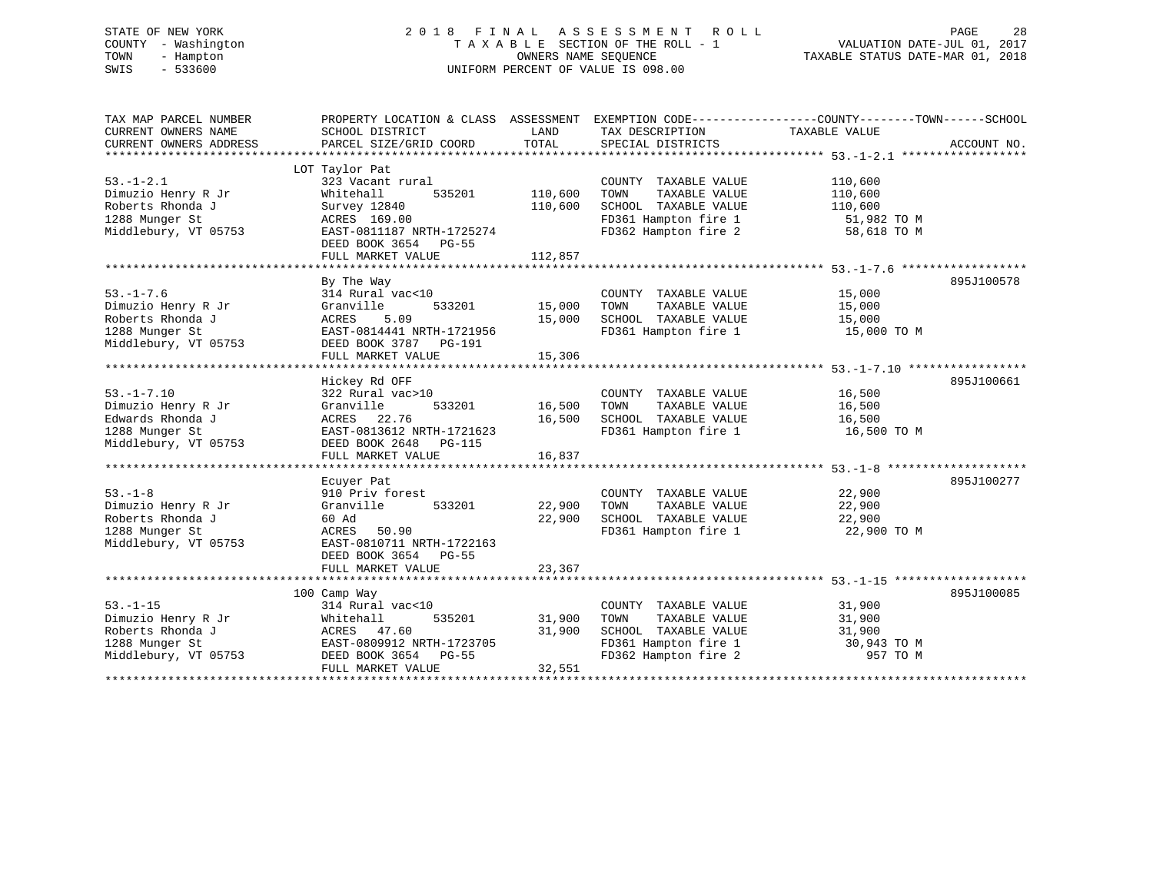# STATE OF NEW YORK 2 0 1 8 F I N A L A S S E S S M E N T R O L L PAGE 28 COUNTY - Washington T A X A B L E SECTION OF THE ROLL - 1 VALUATION DATE-JUL 01, 2017 TOWN - Hampton OWNERS NAME SEQUENCE TAXABLE STATUS DATE-MAR 01, 2018 SWIS - 533600 UNIFORM PERCENT OF VALUE IS 098.00

TAX MAP PARCEL NUMBER PROPERTY LOCATION & CLASS ASSESSMENT EXEMPTION CODE------------------COUNTY--------TOWN------SCHOOL CURRENT OWNERS NAME SCHOOL DISTRICT LAND TAX DESCRIPTION TAXABLE VALUE CURRENT OWNERS ADDRESS PARCEL SIZE/GRID COORD TOTAL SPECIAL DISTRICTS ACCOUNT NO. \*\*\*\*\*\*\*\*\*\*\*\*\*\*\*\*\*\*\*\*\*\*\*\*\*\*\*\*\*\*\*\*\*\*\*\*\*\*\*\*\*\*\*\*\*\*\*\*\*\*\*\*\*\*\*\*\*\*\*\*\*\*\*\*\*\*\*\*\*\*\*\*\*\*\*\*\*\*\*\*\*\*\*\*\*\*\*\*\*\*\*\*\*\*\*\*\*\*\*\*\*\*\* 53.-1-2.1 \*\*\*\*\*\*\*\*\*\*\*\*\*\*\*\*\*\* LOT Taylor Pat 53.-1-2.1 323 Vacant rural COUNTY TAXABLE VALUE 110,600 Dimuzio Henry R Jr Whitehall 535201 110,600 TOWN TAXABLE VALUE 110,600 Roberts Rhonda J Survey 12840 110,600 SCHOOL TAXABLE VALUE 110,600 1288 Munger St ACRES 169.00 FD361 Hampton fire 1 51,982 TO M Middlebury, VT 05753 EAST-0811187 NRTH-1725274 FD362 Hampton fire 2 58,618 TO M DEED BOOK 3654 PG-55 FULL MARKET VALUE 112,857 \*\*\*\*\*\*\*\*\*\*\*\*\*\*\*\*\*\*\*\*\*\*\*\*\*\*\*\*\*\*\*\*\*\*\*\*\*\*\*\*\*\*\*\*\*\*\*\*\*\*\*\*\*\*\*\*\*\*\*\*\*\*\*\*\*\*\*\*\*\*\*\*\*\*\*\*\*\*\*\*\*\*\*\*\*\*\*\*\*\*\*\*\*\*\*\*\*\*\*\*\*\*\* 53.-1-7.6 \*\*\*\*\*\*\*\*\*\*\*\*\*\*\*\*\*\* By The Way 895J100578 53.-1-7.6 314 Rural vac<10 COUNTY TAXABLE VALUE 15,000 Dimuzio Henry R Jr Granville 533201 15,000 TOWN TAXABLE VALUE 15,000 Roberts Rhonda J ACRES 5.09 15,000 SCHOOL TAXABLE VALUE 15,000 1288 Munger St EAST-0814441 NRTH-1721956 FD361 Hampton fire 1 15,000 TO M Middlebury, VT 05753 DEED BOOK 3787 PG-191 FULL MARKET VALUE 15,306 \*\*\*\*\*\*\*\*\*\*\*\*\*\*\*\*\*\*\*\*\*\*\*\*\*\*\*\*\*\*\*\*\*\*\*\*\*\*\*\*\*\*\*\*\*\*\*\*\*\*\*\*\*\*\*\*\*\*\*\*\*\*\*\*\*\*\*\*\*\*\*\*\*\*\*\*\*\*\*\*\*\*\*\*\*\*\*\*\*\*\*\*\*\*\*\*\*\*\*\*\*\*\* 53.-1-7.10 \*\*\*\*\*\*\*\*\*\*\*\*\*\*\*\*\* Hickey Rd OFF 895J100661 53.-1-7.10 322 Rural vac>10 COUNTY TAXABLE VALUE 16,500 Dimuzio Henry R Jr Granville 533201 16,500 TOWN TAXABLE VALUE 16,500 Edwards Rhonda J ACRES 22.76 16,500 SCHOOL TAXABLE VALUE 16,500 1288 Munger St EAST-0813612 NRTH-1721623 FD361 Hampton fire 1 16,500 TO M Middlebury, VT 05753 DEED BOOK 2648 PG-115 FULL MARKET VALUE 16,837 \*\*\*\*\*\*\*\*\*\*\*\*\*\*\*\*\*\*\*\*\*\*\*\*\*\*\*\*\*\*\*\*\*\*\*\*\*\*\*\*\*\*\*\*\*\*\*\*\*\*\*\*\*\*\*\*\*\*\*\*\*\*\*\*\*\*\*\*\*\*\*\*\*\*\*\*\*\*\*\*\*\*\*\*\*\*\*\*\*\*\*\*\*\*\*\*\*\*\*\*\*\*\* 53.-1-8 \*\*\*\*\*\*\*\*\*\*\*\*\*\*\*\*\*\*\*\* Ecuyer Pat 895J100277 53.-1-8 910 Priv forest COUNTY TAXABLE VALUE 22,900 Dimuzio Henry R Jr Granville 533201 22,900 TOWN TAXABLE VALUE 22,900 Roberts Rhonda J 60 Ad 22,900 SCHOOL TAXABLE VALUE 22,900 1288 Munger St ACRES 50.90 FD361 Hampton fire 1 22,900 TO M Middlebury, VT 05753 EAST-0810711 NRTH-1722163 DEED BOOK 3654 PG-55 FULL MARKET VALUE 23,367 \*\*\*\*\*\*\*\*\*\*\*\*\*\*\*\*\*\*\*\*\*\*\*\*\*\*\*\*\*\*\*\*\*\*\*\*\*\*\*\*\*\*\*\*\*\*\*\*\*\*\*\*\*\*\*\*\*\*\*\*\*\*\*\*\*\*\*\*\*\*\*\*\*\*\*\*\*\*\*\*\*\*\*\*\*\*\*\*\*\*\*\*\*\*\*\*\*\*\*\*\*\*\* 53.-1-15 \*\*\*\*\*\*\*\*\*\*\*\*\*\*\*\*\*\*\* 100 Camp Way 895J100085 53.-1-15 314 Rural vac<10 COUNTY TAXABLE VALUE 31,900 Dimuzio Henry R Jr Whitehall 535201 31,900 TOWN TAXABLE VALUE 31,900 Roberts Rhonda J ACRES 47.60 31,900 SCHOOL TAXABLE VALUE 31,900 1288 Munger St EAST-0809912 NRTH-1723705 FD361 Hampton fire 1 30,943 TO M Middlebury, VT 05753 DEED BOOK 3654 PG-55 FD362 Hampton fire 2 957 TO M FULL MARKET VALUE 32,551 \*\*\*\*\*\*\*\*\*\*\*\*\*\*\*\*\*\*\*\*\*\*\*\*\*\*\*\*\*\*\*\*\*\*\*\*\*\*\*\*\*\*\*\*\*\*\*\*\*\*\*\*\*\*\*\*\*\*\*\*\*\*\*\*\*\*\*\*\*\*\*\*\*\*\*\*\*\*\*\*\*\*\*\*\*\*\*\*\*\*\*\*\*\*\*\*\*\*\*\*\*\*\*\*\*\*\*\*\*\*\*\*\*\*\*\*\*\*\*\*\*\*\*\*\*\*\*\*\*\*\*\*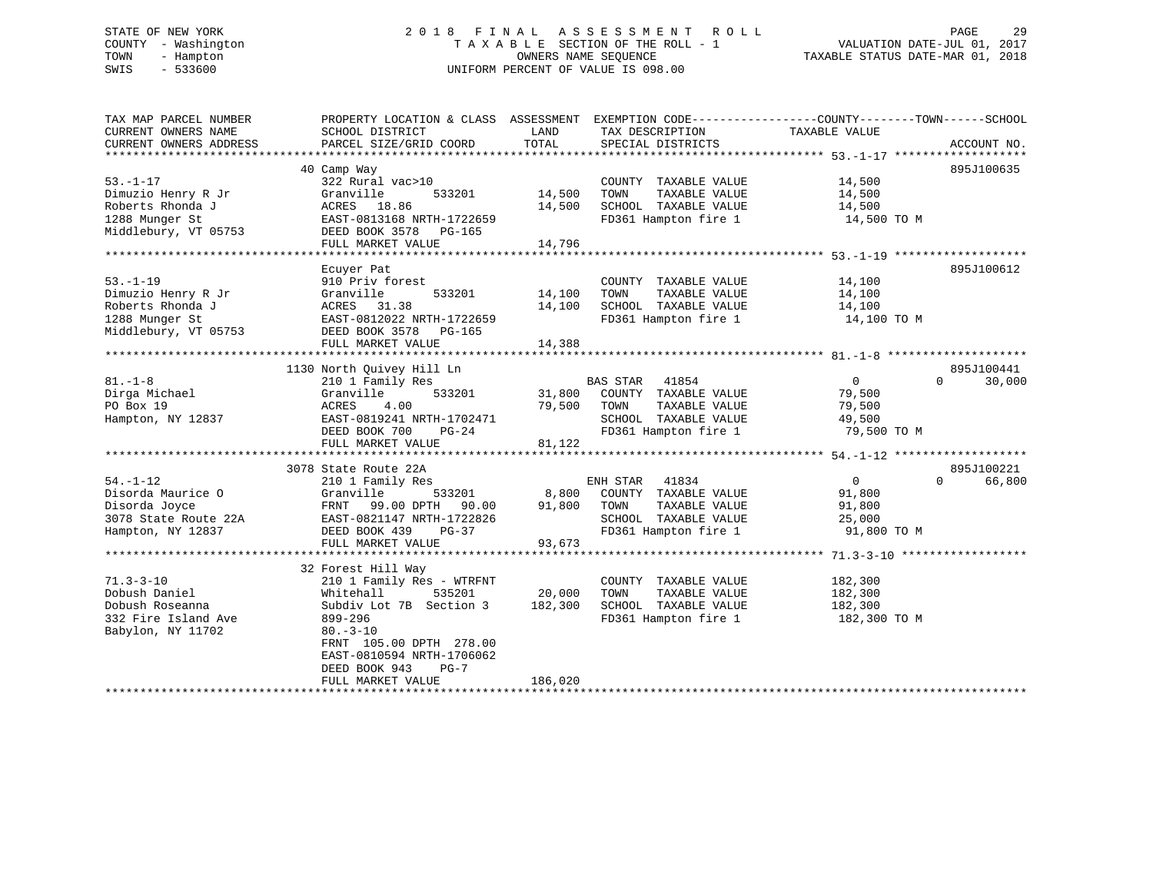# STATE OF NEW YORK 2 0 1 8 F I N A L A S S E S S M E N T R O L L PAGE 29 COUNTY - Washington T A X A B L E SECTION OF THE ROLL - 1 VALUATION DATE-JUL 01, 2017 TOWN - Hampton OWNERS NAME SEQUENCE TAXABLE STATUS DATE-MAR 01, 2018 SWIS - 533600 UNIFORM PERCENT OF VALUE IS 098.00

| TAX MAP PARCEL NUMBER<br>CURRENT OWNERS NAME | PROPERTY LOCATION & CLASS ASSESSMENT<br>SCHOOL DISTRICT | LAND    | EXEMPTION CODE-----------------COUNTY-------TOWN------SCHOOL<br>TAX DESCRIPTION | TAXABLE VALUE  |                    |
|----------------------------------------------|---------------------------------------------------------|---------|---------------------------------------------------------------------------------|----------------|--------------------|
| CURRENT OWNERS ADDRESS                       | PARCEL SIZE/GRID COORD                                  | TOTAL   | SPECIAL DISTRICTS                                                               |                | ACCOUNT NO.        |
|                                              |                                                         |         |                                                                                 |                |                    |
|                                              | 40 Camp Way                                             |         |                                                                                 |                | 895J100635         |
| $53. - 1 - 17$                               | 322 Rural vac>10                                        |         | COUNTY TAXABLE VALUE                                                            | 14,500         |                    |
| Dimuzio Henry R Jr                           | Granville<br>533201                                     | 14,500  | TAXABLE VALUE<br>TOWN                                                           | 14,500         |                    |
| Roberts Rhonda J                             | ACRES 18.86                                             | 14,500  | SCHOOL TAXABLE VALUE                                                            | 14,500         |                    |
| 1288 Munger St                               | EAST-0813168 NRTH-1722659                               |         | FD361 Hampton fire 1                                                            | 14,500 TO M    |                    |
| Middlebury, VT 05753                         | DEED BOOK 3578 PG-165                                   |         |                                                                                 |                |                    |
|                                              | FULL MARKET VALUE                                       | 14,796  |                                                                                 |                |                    |
|                                              |                                                         |         |                                                                                 |                |                    |
|                                              | Ecuyer Pat                                              |         |                                                                                 |                | 895J100612         |
| $53. - 1 - 19$                               | 910 Priv forest                                         |         | COUNTY TAXABLE VALUE                                                            | 14,100         |                    |
| Dimuzio Henry R Jr                           | Granville<br>533201                                     | 14,100  | TOWN<br>TAXABLE VALUE                                                           | 14,100         |                    |
| Roberts Rhonda J                             | ACRES 31.38                                             | 14,100  | SCHOOL TAXABLE VALUE                                                            | 14,100         |                    |
| 1288 Munger St                               | EAST-0812022 NRTH-1722659                               |         | FD361 Hampton fire 1                                                            | 14,100 TO M    |                    |
| Middlebury, VT 05753                         | DEED BOOK 3578 PG-165                                   |         |                                                                                 |                |                    |
|                                              | FULL MARKET VALUE                                       | 14,388  |                                                                                 |                |                    |
|                                              |                                                         |         |                                                                                 |                |                    |
|                                              | 1130 North Quivey Hill Ln                               |         |                                                                                 |                | 895J100441         |
| $81. -1 - 8$                                 | 210 1 Family Res                                        |         | BAS STAR<br>41854                                                               | $\overline{0}$ | $\Omega$<br>30,000 |
| Dirga Michael                                | 533201<br>Granville                                     | 31,800  | COUNTY TAXABLE VALUE                                                            | 79,500         |                    |
| PO Box 19                                    | 4.00<br>ACRES                                           | 79,500  | TAXABLE VALUE<br>TOWN                                                           | 79,500         |                    |
| Hampton, NY 12837                            | EAST-0819241 NRTH-1702471                               |         | SCHOOL TAXABLE VALUE                                                            | 49,500         |                    |
|                                              | DEED BOOK 700<br>$PG-24$                                |         | FD361 Hampton fire 1                                                            | 79,500 TO M    |                    |
|                                              | FULL MARKET VALUE                                       | 81,122  |                                                                                 |                |                    |
|                                              |                                                         |         |                                                                                 |                |                    |
|                                              | 3078 State Route 22A                                    |         |                                                                                 |                | 895J100221         |
| $54. - 1 - 12$                               | 210 1 Family Res                                        |         | ENH STAR<br>41834                                                               | $\overline{0}$ | $\Omega$<br>66,800 |
| Disorda Maurice O                            | Granville<br>533201                                     | 8,800   | COUNTY TAXABLE VALUE                                                            | 91,800         |                    |
| Disorda Joyce                                | FRNT<br>99.00 DPTH<br>90.00                             | 91,800  | TOWN<br>TAXABLE VALUE                                                           | 91,800         |                    |
| 3078 State Route 22A                         | EAST-0821147 NRTH-1722826                               |         | SCHOOL TAXABLE VALUE                                                            | 25,000         |                    |
| Hampton, NY 12837                            | DEED BOOK 439<br>PG-37                                  |         | FD361 Hampton fire 1                                                            | 91,800 TO M    |                    |
|                                              | FULL MARKET VALUE                                       | 93,673  |                                                                                 |                |                    |
|                                              |                                                         |         |                                                                                 |                |                    |
|                                              | 32 Forest Hill Way                                      |         |                                                                                 |                |                    |
| $71.3 - 3 - 10$                              | 210 1 Family Res - WTRFNT                               |         | COUNTY TAXABLE VALUE                                                            | 182,300        |                    |
| Dobush Daniel                                | 535201<br>Whitehall                                     | 20,000  | TOWN<br>TAXABLE VALUE                                                           | 182,300        |                    |
| Dobush Roseanna                              | Subdiv Lot 7B Section 3                                 | 182,300 | SCHOOL TAXABLE VALUE                                                            | 182,300        |                    |
| 332 Fire Island Ave                          | 899-296                                                 |         | FD361 Hampton fire 1                                                            | 182,300 TO M   |                    |
| Babylon, NY 11702                            | $80. - 3 - 10$                                          |         |                                                                                 |                |                    |
|                                              | FRNT 105.00 DPTH 278.00                                 |         |                                                                                 |                |                    |
|                                              | EAST-0810594 NRTH-1706062                               |         |                                                                                 |                |                    |
|                                              | DEED BOOK 943<br>$PG-7$                                 |         |                                                                                 |                |                    |
|                                              | FULL MARKET VALUE                                       | 186,020 |                                                                                 |                |                    |
|                                              |                                                         |         |                                                                                 |                |                    |
|                                              |                                                         |         |                                                                                 |                |                    |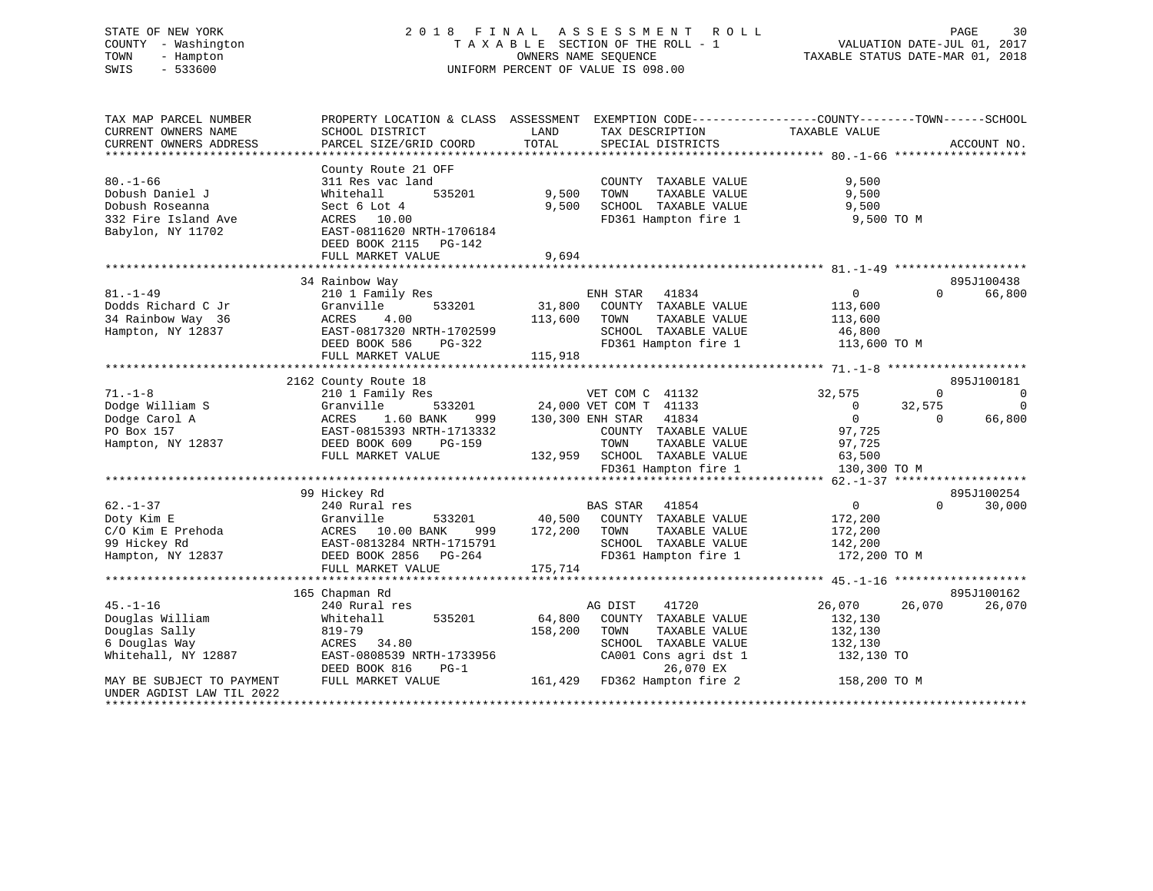# STATE OF NEW YORK 2 0 1 8 F I N A L A S S E S S M E N T R O L L PAGE 30 COUNTY - Washington T A X A B L E SECTION OF THE ROLL - 1 VALUATION DATE-JUL 01, 2017 TOWN - Hampton OWNERS NAME SEQUENCE TAXABLE STATUS DATE-MAR 01, 2018 SWIS - 533600 UNIFORM PERCENT OF VALUE IS 098.00

| TAX MAP PARCEL NUMBER                                                                            | PROPERTY LOCATION & CLASS ASSESSMENT                                                                                                                                        |                                                                                                                                                                                        | EXEMPTION CODE-----------------COUNTY-------TOWN------SCHOOL                                                                                                       |
|--------------------------------------------------------------------------------------------------|-----------------------------------------------------------------------------------------------------------------------------------------------------------------------------|----------------------------------------------------------------------------------------------------------------------------------------------------------------------------------------|--------------------------------------------------------------------------------------------------------------------------------------------------------------------|
| CURRENT OWNERS NAME<br>CURRENT OWNERS ADDRESS                                                    | SCHOOL DISTRICT<br>PARCEL SIZE/GRID COORD                                                                                                                                   | LAND<br>TAX DESCRIPTION<br>TOTAL<br>SPECIAL DISTRICTS                                                                                                                                  | TAXABLE VALUE<br>ACCOUNT NO.                                                                                                                                       |
|                                                                                                  |                                                                                                                                                                             |                                                                                                                                                                                        |                                                                                                                                                                    |
| $80. - 1 - 66$<br>Dobush Daniel J<br>Dobush Roseanna<br>332 Fire Island Ave<br>Babylon, NY 11702 | County Route 21 OFF<br>311 Res vac land<br>535201<br>Whitehall<br>Sect 6 Lot 4<br>ACRES 10.00<br>EAST-0811620 NRTH-1706184<br>DEED BOOK 2115<br>PG-142<br>FULL MARKET VALUE | COUNTY TAXABLE VALUE<br>9,500<br>TOWN<br>TAXABLE VALUE<br>9,500<br>SCHOOL TAXABLE VALUE<br>FD361 Hampton fire 1<br>9,694                                                               | 9,500<br>9,500<br>9,500<br>9,500 TO M                                                                                                                              |
|                                                                                                  | 34 Rainbow Way                                                                                                                                                              |                                                                                                                                                                                        | 895J100438                                                                                                                                                         |
| $81. - 1 - 49$<br>Dodds Richard C Jr<br>34 Rainbow Way 36<br>Hampton, NY 12837                   | 210 1 Family Res<br>533201<br>Granville<br>ACRES<br>4.00<br>EAST-0817320 NRTH-1702599<br>DEED BOOK 586<br>PG-322<br>FULL MARKET VALUE                                       | ENH STAR 41834<br>31,800<br>COUNTY TAXABLE VALUE<br>113,600<br>TOWN<br>TAXABLE VALUE<br>SCHOOL TAXABLE VALUE<br>FD361 Hampton fire 1<br>115,918                                        | 66,800<br>$\overline{0}$<br>$\Omega$<br>113,600<br>113,600<br>46,800<br>113,600 TO M                                                                               |
|                                                                                                  | 2162 County Route 18                                                                                                                                                        |                                                                                                                                                                                        | 895J100181                                                                                                                                                         |
| $71. - 1 - 8$<br>Dodge William S<br>Dodge Carol A<br>PO Box 157<br>Hampton, NY 12837             | 210 1 Family Res<br>Granville<br>1.60 BANK<br>ACRES<br>999<br>EAST-0815393 NRTH-1713332<br>DEED BOOK 609<br>PG-159<br>FULL MARKET VALUE                                     | VET COM C 41132<br>533201 24,000 VET COM T 41133<br>130,300 ENH STAR<br>41834<br>COUNTY TAXABLE VALUE<br>TOWN<br>TAXABLE VALUE<br>132,959 SCHOOL TAXABLE VALUE<br>FD361 Hampton fire 1 | 32,575<br>$\mathbf 0$<br>$\mathbf 0$<br>$\Omega$<br>32,575<br>$\overline{0}$<br>$\overline{0}$<br>66,800<br>$\Omega$<br>97,725<br>97,725<br>63,500<br>130,300 TO M |
|                                                                                                  | 99 Hickey Rd                                                                                                                                                                |                                                                                                                                                                                        | 895J100254                                                                                                                                                         |
| $62. - 1 - 37$<br>Doty Kim E<br>C/O Kim E Prehoda<br>99 Hickey Rd<br>Hampton, NY 12837           | 240 Rural res<br>Granville<br>533201<br>ACRES 10.00 BANK<br>999<br>EAST-0813284 NRTH-1715791<br>DEED BOOK 2856 PG-264<br>FULL MARKET VALUE                                  | 41854<br>BAS STAR<br>40,500 COUNTY TAXABLE VALUE<br>172,200<br>TOWN<br>TAXABLE VALUE<br>SCHOOL TAXABLE VALUE<br>FD361 Hampton fire 1<br>175,714                                        | $\overline{0}$<br>30,000<br>$\Omega$<br>172,200<br>172,200<br>142,200<br>172,200 TO M                                                                              |
|                                                                                                  | 165 Chapman Rd                                                                                                                                                              |                                                                                                                                                                                        | 895J100162                                                                                                                                                         |
| $45. - 1 - 16$<br>Douglas William<br>Douglas Sally<br>6 Douglas Way<br>Whitehall, NY 12887       | 240 Rural res<br>535201<br>Whitehall<br>819-79<br>ACRES 34.80<br>EAST-0808539 NRTH-1733956<br>DEED BOOK 816<br>$PG-1$                                                       | AG DIST<br>41720<br>64,800<br>COUNTY TAXABLE VALUE<br>158,200<br>TOWN<br>TAXABLE VALUE<br>SCHOOL TAXABLE VALUE<br>CA001 Cons agri dst 1<br>26,070 EX                                   | 26,070<br>26,070<br>26,070<br>132,130<br>132,130<br>132,130<br>132,130 TO                                                                                          |
| MAY BE SUBJECT TO PAYMENT<br>UNDER AGDIST LAW TIL 2022<br>**********************                 | FULL MARKET VALUE                                                                                                                                                           | 161,429 FD362 Hampton fire 2                                                                                                                                                           | 158,200 TO M                                                                                                                                                       |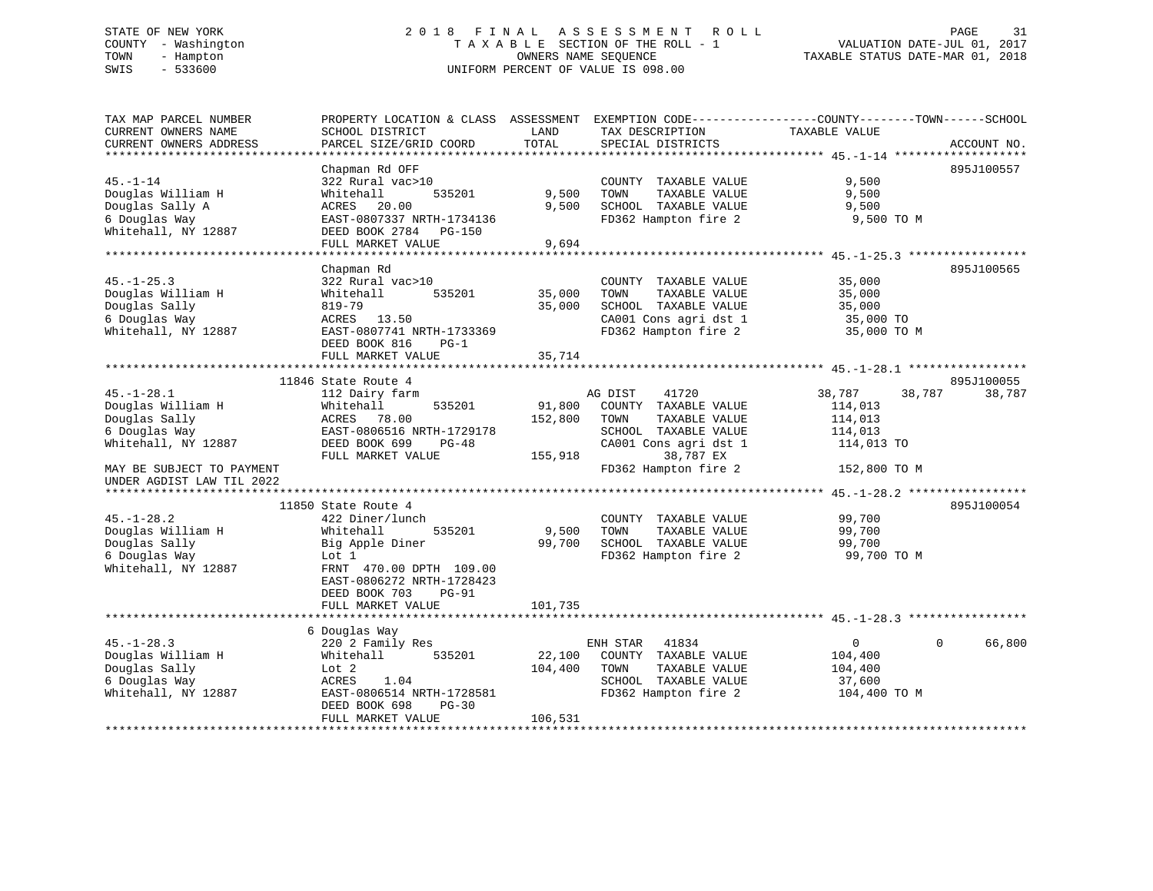# STATE OF NEW YORK 2 0 1 8 F I N A L A S S E S S M E N T R O L L PAGE 31 COUNTY - Washington T A X A B L E SECTION OF THE ROLL - 1 VALUATION DATE-JUL 01, 2017 TOWN - Hampton OWNERS NAME SEQUENCE TAXABLE STATUS DATE-MAR 01, 2018 SWIS - 533600 UNIFORM PERCENT OF VALUE IS 098.00

TAX MAP PARCEL NUMBER PROPERTY LOCATION & CLASS ASSESSMENT EXEMPTION CODE------------------COUNTY--------TOWN------SCHOOL

CURRENT OWNERS NAME SCHOOL DISTRICT LAND TAX DESCRIPTION TAXABLE VALUE CURRENT OWNERS ADDRESS PARCEL SIZE/GRID COORD TOTAL SPECIAL DISTRICTS ACCOUNT NO. \*\*\*\*\*\*\*\*\*\*\*\*\*\*\*\*\*\*\*\*\*\*\*\*\*\*\*\*\*\*\*\*\*\*\*\*\*\*\*\*\*\*\*\*\*\*\*\*\*\*\*\*\*\*\*\*\*\*\*\*\*\*\*\*\*\*\*\*\*\*\*\*\*\*\*\*\*\*\*\*\*\*\*\*\*\*\*\*\*\*\*\*\*\*\*\*\*\*\*\*\*\*\* 45.-1-14 \*\*\*\*\*\*\*\*\*\*\*\*\*\*\*\*\*\*\* Chapman Rd OFF 895J100557 45.-1-14 322 Rural vac>10 COUNTY TAXABLE VALUE 9,500 Douglas William H Whitehall 535201 9,500 TOWN TAXABLE VALUE 9,500 Douglas Sally A ACRES 20.00 9,500 SCHOOL TAXABLE VALUE 9,500 6 Douglas Way EAST-0807337 NRTH-1734136 FD362 Hampton fire 2 9,500 TO M Whitehall, NY 12887 DEED BOOK 2784 PG-150 FULL MARKET VALUE 9,694 \*\*\*\*\*\*\*\*\*\*\*\*\*\*\*\*\*\*\*\*\*\*\*\*\*\*\*\*\*\*\*\*\*\*\*\*\*\*\*\*\*\*\*\*\*\*\*\*\*\*\*\*\*\*\*\*\*\*\*\*\*\*\*\*\*\*\*\*\*\*\*\*\*\*\*\*\*\*\*\*\*\*\*\*\*\*\*\*\*\*\*\*\*\*\*\*\*\*\*\*\*\*\* 45.-1-25.3 \*\*\*\*\*\*\*\*\*\*\*\*\*\*\*\*\* Chapman Rd 895J100565 45.-1-25.3 322 Rural vac>10 COUNTY TAXABLE VALUE 35,000 Douglas William H Whitehall 535201 35,000 TOWN TAXABLE VALUE 35,000 Douglas Sally 819-79 35,000 SCHOOL TAXABLE VALUE 35,000 6 Douglas Way ACRES 13.50 CA001 Cons agri dst 1 35,000 TO Whitehall, NY 12887 EAST-0807741 NRTH-1733369 FD362 Hampton fire 2 35,000 TO M DEED BOOK 816 PG-1 FULL MARKET VALUE 35,714 \*\*\*\*\*\*\*\*\*\*\*\*\*\*\*\*\*\*\*\*\*\*\*\*\*\*\*\*\*\*\*\*\*\*\*\*\*\*\*\*\*\*\*\*\*\*\*\*\*\*\*\*\*\*\*\*\*\*\*\*\*\*\*\*\*\*\*\*\*\*\*\*\*\*\*\*\*\*\*\*\*\*\*\*\*\*\*\*\*\*\*\*\*\*\*\*\*\*\*\*\*\*\* 45.-1-28.1 \*\*\*\*\*\*\*\*\*\*\*\*\*\*\*\*\*11846 State Route 4 895J100055<br>18,787 38,787 38,787 38,787 38,787 38,787 38,787 38,787 38,787 38,787 38,787 38,787 38,787 38,787 38,787 38, Douglas William H Whitehall 535201 91,800 COUNTY TAXABLE VALUE 114,013 Douglas Sally ACRES 78.00 152,800 TOWN TAXABLE VALUE 114,013 6 Douglas Way EAST-0806516 NRTH-1729178 SCHOOL TAXABLE VALUE 114,013 Whitehall, NY 12887 DEED BOOK 699 PG-48 CA001 Cons agri dst 1 114,013 TO FULL MARKET VALUE 155,918 38,787 EX MAY BE SUBJECT TO PAYMENT FOR THE SUBJECT TO PAYMENT FOR THE RESOLUTION OF THE SUBJECT TO PAYMENT FOR THE SUBJECT OF A UNDER AGDIST LAW TIL 2022 \*\*\*\*\*\*\*\*\*\*\*\*\*\*\*\*\*\*\*\*\*\*\*\*\*\*\*\*\*\*\*\*\*\*\*\*\*\*\*\*\*\*\*\*\*\*\*\*\*\*\*\*\*\*\*\*\*\*\*\*\*\*\*\*\*\*\*\*\*\*\*\*\*\*\*\*\*\*\*\*\*\*\*\*\*\*\*\*\*\*\*\*\*\*\*\*\*\*\*\*\*\*\* 45.-1-28.2 \*\*\*\*\*\*\*\*\*\*\*\*\*\*\*\*\*895J100054 11850 State Route 4 895J10005445.-1-28.2 422 Diner/lunch COUNTY TAXABLE VALUE 99,700 Douglas William H Whitehall 535201 9,500 TOWN TAXABLE VALUE 99,700 Douglas Sally Big Apple Diner 99,700 SCHOOL TAXABLE VALUE 99,700 6 Douglas Way Lot 1 FD362 Hampton fire 2 99,700 TO M Whitehall, NY 12887 FRNT 470.00 DPTH 109.00 EAST-0806272 NRTH-1728423 DEED BOOK 703 PG-91FULL MARKET VALUE 101,735 \*\*\*\*\*\*\*\*\*\*\*\*\*\*\*\*\*\*\*\*\*\*\*\*\*\*\*\*\*\*\*\*\*\*\*\*\*\*\*\*\*\*\*\*\*\*\*\*\*\*\*\*\*\*\*\*\*\*\*\*\*\*\*\*\*\*\*\*\*\*\*\*\*\*\*\*\*\*\*\*\*\*\*\*\*\*\*\*\*\*\*\*\*\*\*\*\*\*\*\*\*\*\* 45.-1-28.3 \*\*\*\*\*\*\*\*\*\*\*\*\*\*\*\*\* 6 Douglas Way 45.-1-28.3 220 2 Family Res ENH STAR 41834 0 0 66,800 Douglas William H Whitehall 535201 22,100 COUNTY TAXABLE VALUE 104,400 Douglas Sally Lot 2 104,400 TOWN TAXABLE VALUE 104,400 6 Douglas Way ACRES 1.04 SCHOOL TAXABLE VALUE 37,600 b Douglas way<br>Whitehall, NY 12887 **EAST-0806514 NRTH-1728581** FD362 Hampton fire 2 104,400 TO M DEED BOOK 698 PG-30FULL MARKET VALUE 106,531 \*\*\*\*\*\*\*\*\*\*\*\*\*\*\*\*\*\*\*\*\*\*\*\*\*\*\*\*\*\*\*\*\*\*\*\*\*\*\*\*\*\*\*\*\*\*\*\*\*\*\*\*\*\*\*\*\*\*\*\*\*\*\*\*\*\*\*\*\*\*\*\*\*\*\*\*\*\*\*\*\*\*\*\*\*\*\*\*\*\*\*\*\*\*\*\*\*\*\*\*\*\*\*\*\*\*\*\*\*\*\*\*\*\*\*\*\*\*\*\*\*\*\*\*\*\*\*\*\*\*\*\*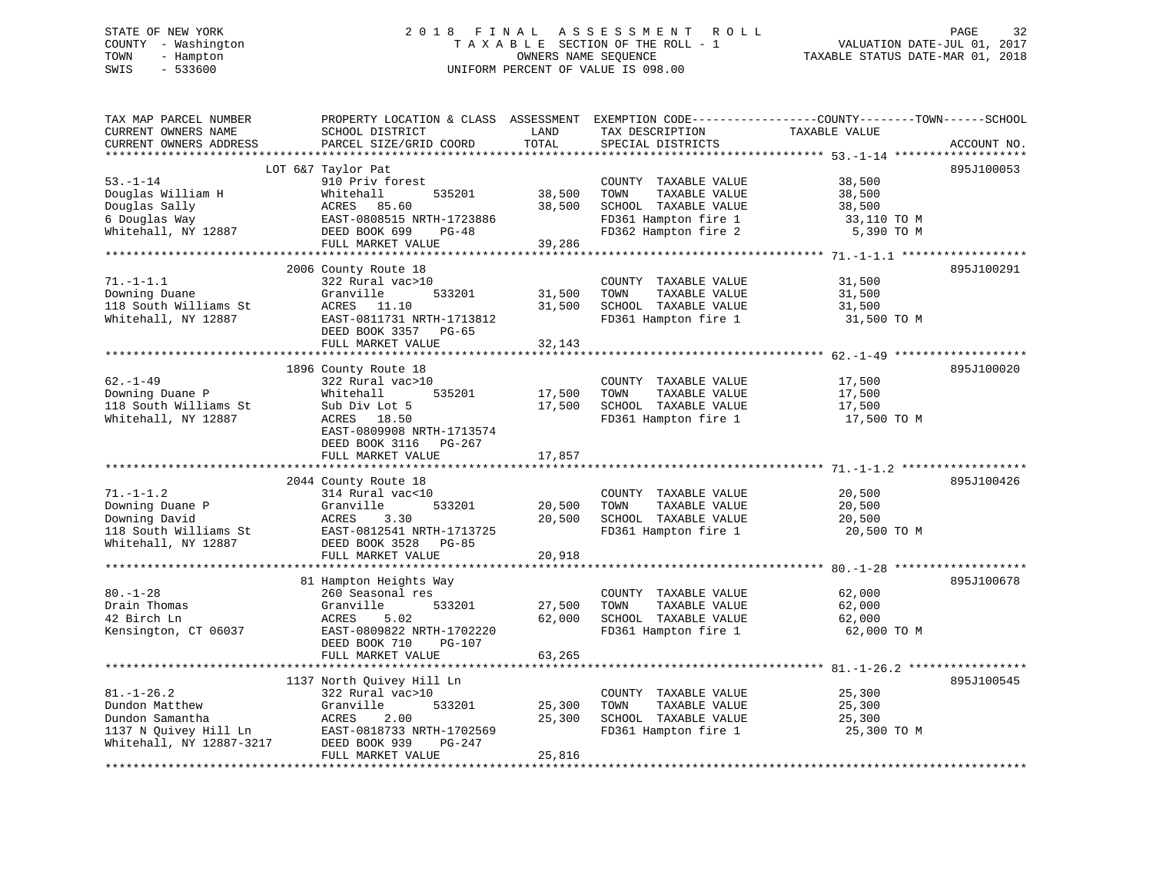# STATE OF NEW YORK 2 0 1 8 F I N A L A S S E S S M E N T R O L L PAGE 32 COUNTY - Washington T A X A B L E SECTION OF THE ROLL - 1 VALUATION DATE-JUL 01, 2017 TOWN - Hampton OWNERS NAME SEQUENCE TAXABLE STATUS DATE-MAR 01, 2018 SWIS - 533600 UNIFORM PERCENT OF VALUE IS 098.00

| TAX MAP PARCEL NUMBER<br>CURRENT OWNERS NAME<br>CURRENT OWNERS ADDRESS                                     | PROPERTY LOCATION & CLASS ASSESSMENT<br>SCHOOL DISTRICT<br>PARCEL SIZE/GRID COORD                                                                                  | LAND<br>TOTAL              | TAX DESCRIPTION<br>SPECIAL DISTRICTS                                                                                  | EXEMPTION CODE-----------------COUNTY-------TOWN------SCHOOL<br>TAXABLE VALUE<br>ACCOUNT NO. |
|------------------------------------------------------------------------------------------------------------|--------------------------------------------------------------------------------------------------------------------------------------------------------------------|----------------------------|-----------------------------------------------------------------------------------------------------------------------|----------------------------------------------------------------------------------------------|
|                                                                                                            |                                                                                                                                                                    |                            |                                                                                                                       |                                                                                              |
| $53. - 1 - 14$<br>Douglas William H<br>Douglas Sally<br>6 Douglas Way<br>Whitehall, NY 12887               | LOT 6&7 Taylor Pat<br>910 Priv forest<br>535201<br>Whitehall<br>ACRES 85.60<br>EAST-0808515 NRTH-1723886<br>DEED BOOK 699<br>$PG-48$<br>FULL MARKET VALUE          | 38,500<br>38,500<br>39,286 | COUNTY TAXABLE VALUE<br>TAXABLE VALUE<br>TOWN<br>SCHOOL TAXABLE VALUE<br>FD361 Hampton fire 1<br>FD362 Hampton fire 2 | 895J100053<br>38,500<br>38,500<br>38,500<br>33,110 TO M<br>5,390 TO M                        |
|                                                                                                            |                                                                                                                                                                    |                            |                                                                                                                       |                                                                                              |
| $71. - 1 - 1.1$<br>Downing Duane<br>118 South Williams St<br>Whitehall, NY 12887                           | 2006 County Route 18<br>322 Rural vac>10<br>Granville<br>533201<br>ACRES<br>11.10<br>EAST-0811731 NRTH-1713812<br>DEED BOOK 3357 PG-65                             | 31,500<br>31,500           | COUNTY TAXABLE VALUE<br>TOWN<br>TAXABLE VALUE<br>SCHOOL TAXABLE VALUE<br>FD361 Hampton fire 1                         | 895J100291<br>31,500<br>31,500<br>31,500<br>31,500 TO M                                      |
|                                                                                                            | FULL MARKET VALUE                                                                                                                                                  | 32,143                     |                                                                                                                       |                                                                                              |
|                                                                                                            |                                                                                                                                                                    |                            |                                                                                                                       |                                                                                              |
| $62. - 1 - 49$<br>Downing Duane P<br>118 South Williams St<br>Whitehall, NY 12887                          | 1896 County Route 18<br>322 Rural vac>10<br>Whitehall<br>535201<br>Sub Div Lot 5<br>ACRES 18.50<br>EAST-0809908 NRTH-1713574<br>DEED BOOK 3116 PG-267              | 17,500<br>17,500           | COUNTY TAXABLE VALUE<br>TOWN<br>TAXABLE VALUE<br>SCHOOL TAXABLE VALUE<br>FD361 Hampton fire 1                         | 895J100020<br>17,500<br>17,500<br>17,500<br>17,500 TO M                                      |
|                                                                                                            | FULL MARKET VALUE                                                                                                                                                  | 17,857                     |                                                                                                                       |                                                                                              |
|                                                                                                            |                                                                                                                                                                    |                            |                                                                                                                       |                                                                                              |
| $71. - 1 - 1.2$<br>Downing Duane P<br>Downing David<br>118 South Williams St<br>Whitehall, NY 12887        | 2044 County Route 18<br>314 Rural vac<10<br>Granville<br>533201<br>ACRES<br>3.30<br>EAST-0812541 NRTH-1713725<br>DEED BOOK 3528<br>$PG-85$<br>FULL MARKET VALUE    | 20,500<br>20,500<br>20,918 | COUNTY TAXABLE VALUE<br>TOWN<br>TAXABLE VALUE<br>SCHOOL TAXABLE VALUE<br>FD361 Hampton fire 1                         | 895J100426<br>20,500<br>20,500<br>20,500<br>20,500 TO M                                      |
|                                                                                                            |                                                                                                                                                                    |                            |                                                                                                                       |                                                                                              |
| $80. - 1 - 28$<br>Drain Thomas<br>42 Birch Ln<br>Kensington, CT 06037                                      | 81 Hampton Heights Way<br>260 Seasonal res<br>Granville<br>533201<br>5.02<br>ACRES<br>EAST-0809822 NRTH-1702220<br>DEED BOOK 710<br>PG-107                         | 27,500<br>62,000           | COUNTY TAXABLE VALUE<br>TOWN<br>TAXABLE VALUE<br>SCHOOL TAXABLE VALUE<br>FD361 Hampton fire 1                         | 895J100678<br>62,000<br>62,000<br>62,000<br>62,000 TO M                                      |
|                                                                                                            | FULL MARKET VALUE                                                                                                                                                  | 63,265                     |                                                                                                                       |                                                                                              |
|                                                                                                            |                                                                                                                                                                    | * * * * * * * * *          |                                                                                                                       | ******************* 81.-1-26.2 *************                                                 |
| $81. - 1 - 26.2$<br>Dundon Matthew<br>Dundon Samantha<br>1137 N Quivey Hill Ln<br>Whitehall, NY 12887-3217 | 1137 North Quivey Hill Ln<br>322 Rural vac>10<br>Granville<br>533201<br>ACRES<br>2.00<br>EAST-0818733 NRTH-1702569<br>DEED BOOK 939<br>PG-247<br>FULL MARKET VALUE | 25,300<br>25,300<br>25,816 | COUNTY TAXABLE VALUE<br>TAXABLE VALUE<br>TOWN<br>SCHOOL TAXABLE VALUE<br>FD361 Hampton fire 1                         | 895J100545<br>25,300<br>25,300<br>25,300<br>25,300 TO M                                      |
|                                                                                                            |                                                                                                                                                                    |                            |                                                                                                                       |                                                                                              |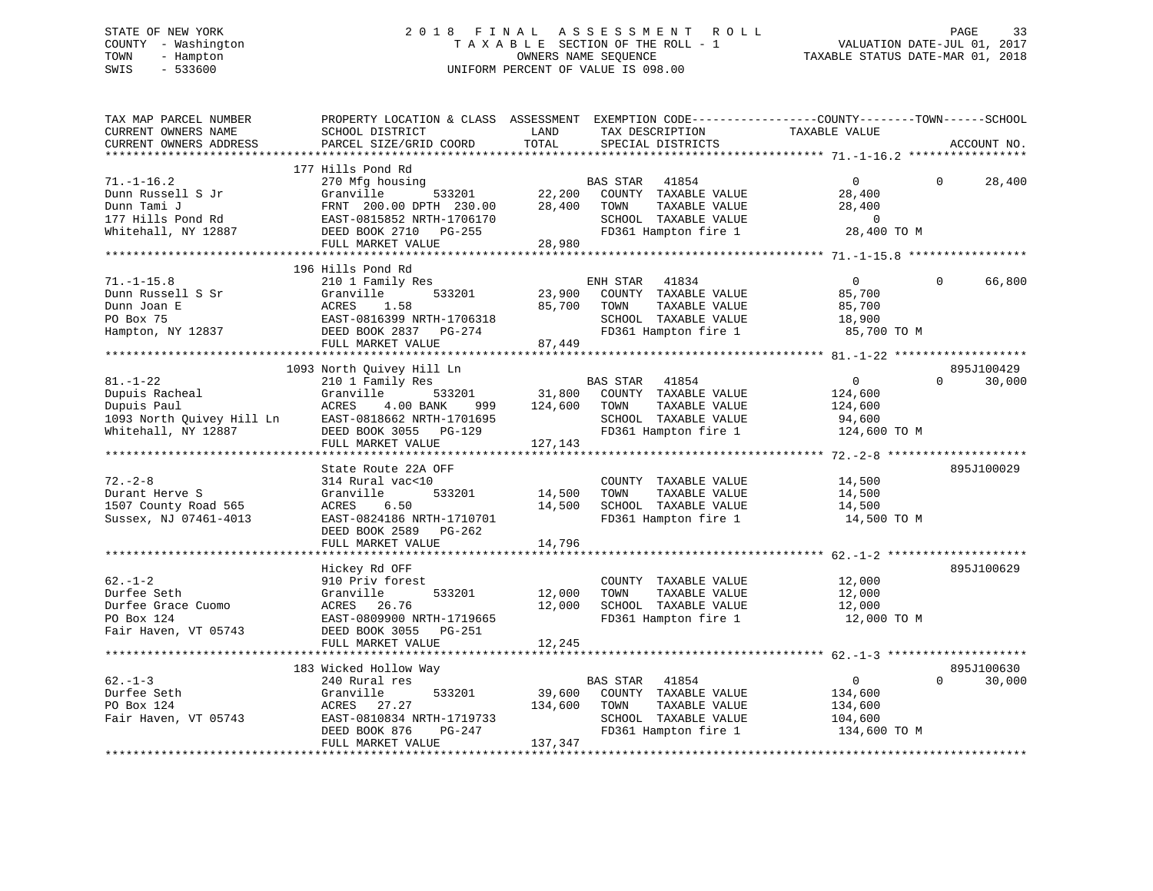# STATE OF NEW YORK 2 0 1 8 F I N A L A S S E S S M E N T R O L L PAGE 33 COUNTY - Washington T A X A B L E SECTION OF THE ROLL - 1 VALUATION DATE-JUL 01, 2017 TOWN - Hampton OWNERS NAME SEQUENCE TAXABLE STATUS DATE-MAR 01, 2018 SWIS - 533600 UNIFORM PERCENT OF VALUE IS 098.00

| TAX MAP PARCEL NUMBER<br>CURRENT OWNERS NAME<br>CURRENT OWNERS ADDRESS<br>************************* | PROPERTY LOCATION & CLASS ASSESSMENT EXEMPTION CODE----------------COUNTY-------TOWN------SCHOOL<br>SCHOOL DISTRICT<br>PARCEL SIZE/GRID COORD                                | LAND<br>TOTAL                | TAX DESCRIPTION<br>SPECIAL DISTRICTS                                                                               | TAXABLE VALUE                                                       | ACCOUNT NO.                      |
|-----------------------------------------------------------------------------------------------------|------------------------------------------------------------------------------------------------------------------------------------------------------------------------------|------------------------------|--------------------------------------------------------------------------------------------------------------------|---------------------------------------------------------------------|----------------------------------|
| $71. - 1 - 16.2$<br>Dunn Russell S Jr<br>Dunn Tami J<br>177 Hills Pond Rd<br>Whitehall, NY 12887    | 177 Hills Pond Rd<br>270 Mfg housing<br>Granville<br>533201<br>FRNT 200.00 DPTH 230.00<br>EAST-0815852 NRTH-1706170<br>DEED BOOK 2710 PG-255<br>FULL MARKET VALUE            | 22,200<br>28,400<br>28,980   | BAS STAR<br>41854<br>COUNTY TAXABLE VALUE<br>TAXABLE VALUE<br>TOWN<br>SCHOOL TAXABLE VALUE<br>FD361 Hampton fire 1 | $\overline{0}$<br>28,400<br>28,400<br>$\overline{0}$<br>28,400 TO M | $\Omega$<br>28,400               |
|                                                                                                     |                                                                                                                                                                              |                              |                                                                                                                    |                                                                     |                                  |
| $71. - 1 - 15.8$<br>Dunn Russell S Sr<br>Dunn Joan E<br>PO Box 75<br>Hampton, NY 12837              | 196 Hills Pond Rd<br>210 1 Family Res<br>Granville<br>533201<br>ACRES<br>1.58<br>EAST-0816399 NRTH-1706318<br>DEED BOOK 2837 PG-274<br>FULL MARKET VALUE                     | 23,900<br>85,700<br>87,449   | ENH STAR<br>41834<br>COUNTY TAXABLE VALUE<br>TOWN<br>TAXABLE VALUE<br>SCHOOL TAXABLE VALUE<br>FD361 Hampton fire 1 | $\mathbf{0}$<br>85,700<br>85,700<br>18,900<br>85,700 TO M           | $\Omega$<br>66,800               |
|                                                                                                     |                                                                                                                                                                              |                              |                                                                                                                    |                                                                     |                                  |
| $81. - 1 - 22$<br>Dupuis Racheal<br>Dupuis Paul<br>1093 North Quivey Hill Ln<br>Whitehall, NY 12887 | 1093 North Quivey Hill Ln<br>210 1 Family Res<br>533201<br>Granville<br>ACRES<br>4.00 BANK<br>999<br>EAST-0818662 NRTH-1701695<br>DEED BOOK 3055 PG-129<br>FULL MARKET VALUE | 31,800<br>124,600<br>127,143 | BAS STAR<br>41854<br>COUNTY TAXABLE VALUE<br>TOWN<br>TAXABLE VALUE<br>SCHOOL TAXABLE VALUE<br>FD361 Hampton fire 1 | $\mathbf 0$<br>124,600<br>124,600<br>94,600<br>124,600 TO M         | 895J100429<br>$\Omega$<br>30,000 |
|                                                                                                     |                                                                                                                                                                              |                              |                                                                                                                    |                                                                     |                                  |
| $72. - 2 - 8$<br>Durant Herve S<br>1507 County Road 565<br>Sussex, NJ 07461-4013                    | State Route 22A OFF<br>314 Rural vac<10<br>Granville<br>533201<br>ACRES<br>6.50<br>EAST-0824186 NRTH-1710701<br>DEED BOOK 2589 PG-262<br>FULL MARKET VALUE                   | 14,500<br>14,500<br>14,796   | COUNTY TAXABLE VALUE<br>TAXABLE VALUE<br>TOWN<br>SCHOOL TAXABLE VALUE<br>FD361 Hampton fire 1                      | 14,500<br>14,500<br>14,500<br>14,500 TO M                           | 895J100029                       |
|                                                                                                     |                                                                                                                                                                              |                              |                                                                                                                    |                                                                     |                                  |
| $62 - 1 - 2$<br>Durfee Seth<br>Durfee Grace Cuomo<br>PO Box 124<br>Fair Haven, VT 05743             | Hickey Rd OFF<br>910 Priv forest<br>Granville<br>533201<br>ACRES<br>26.76<br>EAST-0809900 NRTH-1719665<br>DEED BOOK 3055<br>PG-251                                           | 12,000<br>12,000             | COUNTY TAXABLE VALUE<br>TOWN<br>TAXABLE VALUE<br>SCHOOL TAXABLE VALUE<br>FD361 Hampton fire 1                      | 12,000<br>12,000<br>12,000<br>12,000 TO M                           | 895J100629                       |
|                                                                                                     | FULL MARKET VALUE                                                                                                                                                            | 12,245                       |                                                                                                                    |                                                                     |                                  |
| $62 - 1 - 3$<br>Durfee Seth<br>PO Box 124                                                           | 183 Wicked Hollow Way<br>240 Rural res<br>Granville<br>533201<br>ACRES<br>27.27                                                                                              | 39,600<br>134,600            | <b>BAS STAR</b><br>41854<br>COUNTY TAXABLE VALUE<br>TAXABLE VALUE<br>TOWN                                          | $\overline{0}$<br>134,600<br>134,600                                | 895J100630<br>$\Omega$<br>30,000 |
| Fair Haven, VT 05743                                                                                | EAST-0810834 NRTH-1719733<br>DEED BOOK 876<br>PG-247<br>FULL MARKET VALUE                                                                                                    | 137,347                      | SCHOOL TAXABLE VALUE<br>FD361 Hampton fire 1                                                                       | 104,600<br>134,600 TO M                                             |                                  |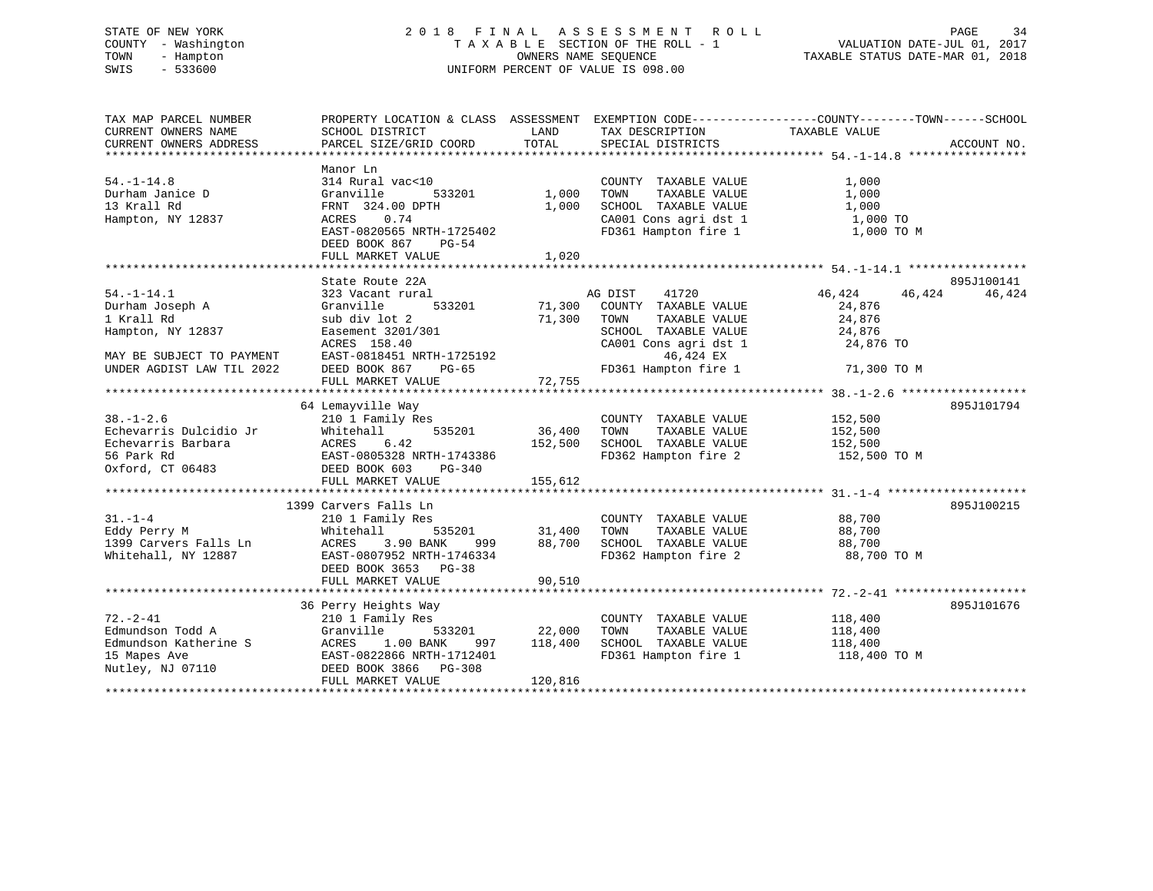# STATE OF NEW YORK 2 0 1 8 F I N A L A S S E S S M E N T R O L L PAGE 34 COUNTY - Washington T A X A B L E SECTION OF THE ROLL - 1 VALUATION DATE-JUL 01, 2017 TOWN - Hampton OWNERS NAME SEQUENCE TAXABLE STATUS DATE-MAR 01, 2018 SWIS - 533600 UNIFORM PERCENT OF VALUE IS 098.00

| TAX MAP PARCEL NUMBER<br>CURRENT OWNERS NAME<br>CURRENT OWNERS ADDRESS                                                                                                                                                                                          | PROPERTY LOCATION & CLASS ASSESSMENT EXEMPTION CODE---------------COUNTY-------TOWN-----SCHOOL<br>SCHOOL DISTRICT<br>PARCEL SIZE/GRID COORD                                                                                                                                     | TOTAL                                   | LAND TAX DESCRIPTION<br>SPECIAL DISTRICTS                                                                                                                                                                          | TAXABLE VALUE                                     | ACCOUNT NO.          |
|-----------------------------------------------------------------------------------------------------------------------------------------------------------------------------------------------------------------------------------------------------------------|---------------------------------------------------------------------------------------------------------------------------------------------------------------------------------------------------------------------------------------------------------------------------------|-----------------------------------------|--------------------------------------------------------------------------------------------------------------------------------------------------------------------------------------------------------------------|---------------------------------------------------|----------------------|
|                                                                                                                                                                                                                                                                 |                                                                                                                                                                                                                                                                                 |                                         |                                                                                                                                                                                                                    |                                                   |                      |
| $54. - 1 - 14.8$<br>Durham Janice D<br>13 Krall Rd<br>Hampton, NY 12837                                                                                                                                                                                         | Manor Ln<br>314 Rural vac<10<br>Granville<br>533201<br>FRNT 324.00 DPTH<br>ACRES 0.74<br>EAST-0820565 NRTH-1725402<br>DEED BOOK 867 PG-54                                                                                                                                       | 1,000<br>1,000                          | COUNTY TAXABLE VALUE<br>TAXABLE VALUE<br>TOWN<br>SCHOOL TAXABLE VALUE<br>CA001 Cons agri dst 1 $1,000$ TO<br>FD361 Hampton fire 1 $1,000$ TO M                                                                     | 1,000<br>1,000<br>1,000                           |                      |
|                                                                                                                                                                                                                                                                 |                                                                                                                                                                                                                                                                                 |                                         |                                                                                                                                                                                                                    |                                                   |                      |
| $54. - 1 - 14.1$<br>Durham Joseph A<br>1 Krall Rd<br>Hampton, NY 12837                                                                                                                                                                                          | State Route 22A<br>323 Vacant rural<br>Granville<br>sub div lot 2<br>Easement 3201/301<br>ACRES 158.40                                                                                                                                                                          |                                         | AG DIST<br>41720<br>333201 71,300 COUNTY TAXABLE VALUE<br>2 71,300 TOWN TAXABLE VALUE<br>1/301 SCHOOL TAXABLE VALUE<br>0 CA001 CON a sqrid st<br>SCHOOL TAXABLE VALUE 24,876<br>CA001 Cons agri dst 1<br>46,424 EX | 46,424<br>46,424<br>24,876<br>24,876<br>24,876 TO | 895J100141<br>46,424 |
|                                                                                                                                                                                                                                                                 |                                                                                                                                                                                                                                                                                 |                                         |                                                                                                                                                                                                                    |                                                   |                      |
|                                                                                                                                                                                                                                                                 |                                                                                                                                                                                                                                                                                 |                                         |                                                                                                                                                                                                                    |                                                   |                      |
|                                                                                                                                                                                                                                                                 | 64 Lemayville Way                                                                                                                                                                                                                                                               |                                         |                                                                                                                                                                                                                    |                                                   | 895J101794           |
| $38. - 1 - 2.6$                                                                                                                                                                                                                                                 | 210 1 Family Res<br>$535201$ 36,400<br>535201 36,400<br>52,500 152,500<br>Echevarris Dulcidio Jr Whitehall 535201 36,400<br>Echevarris Barbara ACRES 6.42 152,500<br>56 Park Rd EAST-0805328 NRTH-1743386<br>Oxford, CT 06483 DEED BOOK 603 PG-340<br>FULL MARKET VALUE 155,612 |                                         | COUNTY TAXABLE VALUE<br>TAXABLE VALUE<br>TOWN<br>SCHOOL TAXABLE VALUE 152,500<br>FD362 Hampton fire 2 152,500 TO M                                                                                                 | 152,500<br>152,500                                |                      |
|                                                                                                                                                                                                                                                                 |                                                                                                                                                                                                                                                                                 |                                         |                                                                                                                                                                                                                    |                                                   |                      |
| $31. - 1 - 4$<br>Eddy Perry M<br>name of the contract of the contract of the contract of the contract of the contract of the contract of the contract of the contract of the contract of the contract of the contract of the contract of the contract of the co | 1399 Carvers Falls Ln<br>210 1 Family Res<br>Whitehall<br>3.90 BANK<br>999<br>EAST-0807952 NRTH-1746334<br>DEED BOOK 3653 PG-38<br>FULL MARKET VALUE                                                                                                                            | 90,510                                  | COUNTY TAXABLE VALUE<br>TOWN      TAXABLE VALUE<br>88,700 SCHOOL TAXABLE VALUE 88,700<br>FD362 Hampton fire 2                                                                                                      | 88,700<br>88,700<br>88,700 TO M                   | 895J100215           |
|                                                                                                                                                                                                                                                                 |                                                                                                                                                                                                                                                                                 |                                         |                                                                                                                                                                                                                    |                                                   |                      |
| $72. - 2 - 41$<br>Edmundson Todd A<br>Nutley, NJ 07110                                                                                                                                                                                                          | 36 Perry Heights Way<br>210 1 Family Res<br>Granville<br>Edmundson Katherine S<br>1.00 BANK 997<br>15 Mapes Ave                                 EAST-0822866 NRTH-1712401<br>DEED BOOK 3866 PG-308<br>FULL MARKET VALUE                                                         | 533201 22,000<br>997 118,400<br>120,816 | COUNTY TAXABLE VALUE 118,400<br>TOWN<br>TAXABLE VALUE<br>SCHOOL TAXABLE VALUE 118,400<br>FD361 Hampton fire 1 118,400                                                                                              | 118,400<br>118,400 TO M                           | 895J101676           |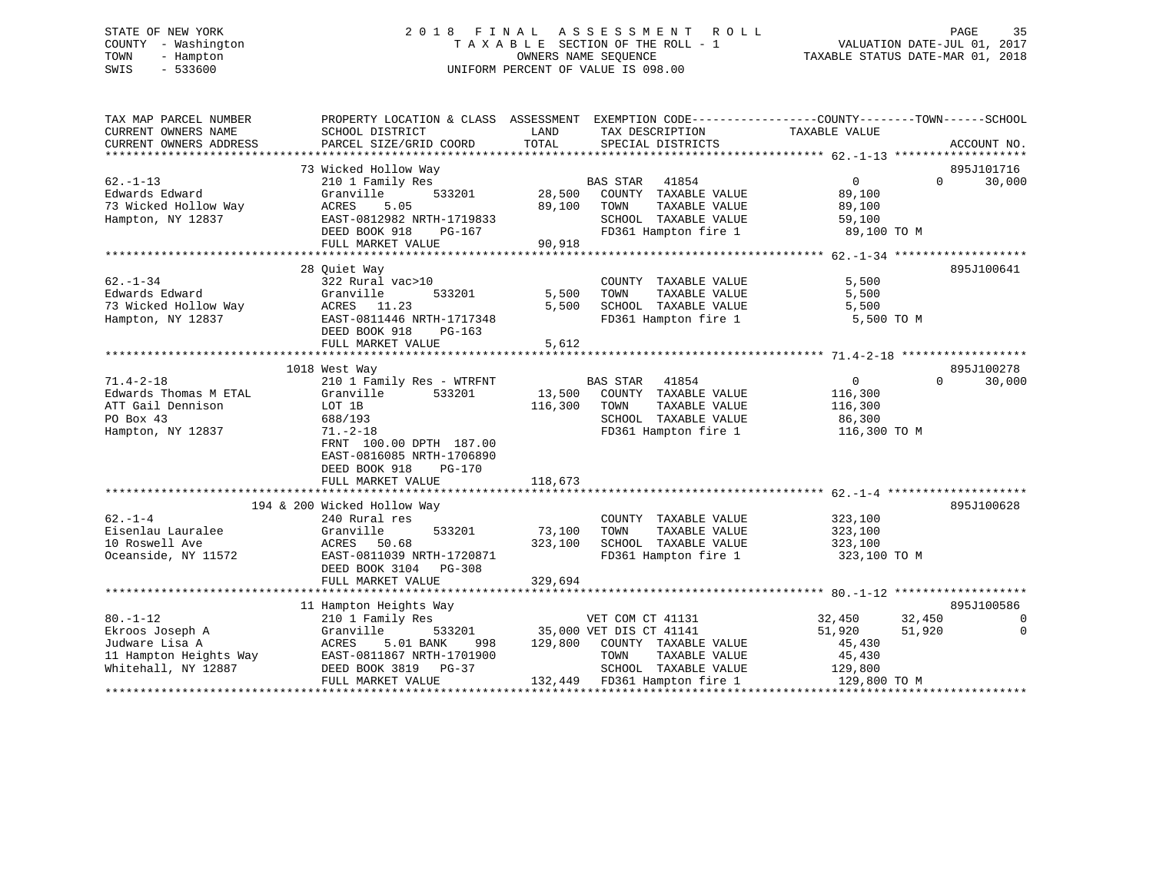# STATE OF NEW YORK 2 0 1 8 F I N A L A S S E S S M E N T R O L L PAGE 35 COUNTY - Washington T A X A B L E SECTION OF THE ROLL - 1 VALUATION DATE-JUL 01, 2017 TOWN - Hampton OWNERS NAME SEQUENCE TAXABLE STATUS DATE-MAR 01, 2018 SWIS - 533600 UNIFORM PERCENT OF VALUE IS 098.00

| TOTAL<br>PARCEL SIZE/GRID COORD<br>SPECIAL DISTRICTS<br>ACCOUNT NO.<br>73 Wicked Hollow Way<br>895J101716<br>210 1 Family Res<br>41854<br>$\Omega$<br>30,000<br>BAS STAR<br>$0 \qquad \qquad$<br>533201<br>28,500<br>Granville<br>COUNTY TAXABLE VALUE<br>89,100<br>89,100<br>TAXABLE VALUE<br>ACRES<br>5.05<br>TOWN<br>89,100<br>EAST-0812982 NRTH-1719833<br>SCHOOL TAXABLE VALUE<br>59,100<br>FD361 Hampton fire 1 89,100 TO M<br>DEED BOOK 918<br>PG-167<br>FULL MARKET VALUE<br>90,918<br>28 Ouiet Way<br>895J100641<br>5,500<br>322 Rural vac>10<br>COUNTY TAXABLE VALUE<br>Granville<br>533201<br>5,500<br>TOWN<br>TAXABLE VALUE<br>5,500<br>73 Wicked Hollow Way<br>ACRES 11.23<br>5,500<br>SCHOOL TAXABLE VALUE<br>5,500<br>FD361 Hampton fire 1<br>Hampton, NY 12837<br>EAST-0811446 NRTH-1717348<br>5,500 TO M<br>DEED BOOK 918<br>PG-163<br>FULL MARKET VALUE<br>5,612<br>895J100278<br>1018 West Way<br>$71.4 - 2 - 18$<br>210 1 Family Res - WTRFNT<br>41854<br>$\Omega$<br>30,000<br><b>BAS STAR</b><br>0<br>Edwards Thomas M ETAL<br>533201<br>13,500<br>Granville<br>COUNTY TAXABLE VALUE<br>116,300<br>ATT Gail Dennison<br>116,300<br>TOWN<br>TAXABLE VALUE<br>LOT 1B<br>116,300<br>PO Box 43<br>SCHOOL TAXABLE VALUE<br>688/193<br>86,300<br>FD361 Hampton fire 1<br>Hampton, NY 12837<br>$71. - 2 - 18$<br>116,300 TO M<br>FRNT 100.00 DPTH 187.00<br>EAST-0816085 NRTH-1706890<br>DEED BOOK 918<br>PG-170<br>FULL MARKET VALUE<br>118,673<br>194 & 200 Wicked Hollow Way<br>895J100628<br>$62 - 1 - 4$<br>COUNTY TAXABLE VALUE<br>323,100<br>240 Rural res<br>Eisenlau Lauralee<br>Granville<br>533201<br>73,100<br>TOWN<br>TAXABLE VALUE<br>323,100<br>10 Roswell Ave<br>ACRES<br>50.68<br>323,100<br>SCHOOL TAXABLE VALUE<br>323,100<br>Oceanside, NY 11572<br>EAST-0811039 NRTH-1720871<br>FD361 Hampton fire 1<br>323,100 TO M<br>DEED BOOK 3104<br>$PG-308$<br>329,694<br>FULL MARKET VALUE<br>11 Hampton Heights Way<br>895J100586<br>$80. - 1 - 12$<br>VET COM CT 41131<br>32,450<br>32,450<br>210 1 Family Res<br>$\Omega$<br>51,920<br>Ekroos Joseph A<br>Granville<br>35,000 VET DIS CT 41141<br>533201<br>51,920<br>0<br>Judware Lisa A<br>ACRES<br>5.01 BANK<br>129,800 COUNTY TAXABLE VALUE<br>998<br>45,430<br>11 Hampton Heights Way<br>EAST-0811867 NRTH-1701900<br>TOWN<br>TAXABLE VALUE<br>45,430<br>DEED BOOK 3819<br>SCHOOL TAXABLE VALUE<br>Whitehall, NY 12887<br>PG-37<br>129,800<br>132,449 FD361 Hampton fire 1<br>FULL MARKET VALUE<br>129,800 TO M | TAX MAP PARCEL NUMBER<br>CURRENT OWNERS NAME | PROPERTY LOCATION & CLASS ASSESSMENT EXEMPTION CODE----------------COUNTY-------TOWN------SCHOOL<br>SCHOOL DISTRICT | LAND | TAX DESCRIPTION | TAXABLE VALUE |  |
|-----------------------------------------------------------------------------------------------------------------------------------------------------------------------------------------------------------------------------------------------------------------------------------------------------------------------------------------------------------------------------------------------------------------------------------------------------------------------------------------------------------------------------------------------------------------------------------------------------------------------------------------------------------------------------------------------------------------------------------------------------------------------------------------------------------------------------------------------------------------------------------------------------------------------------------------------------------------------------------------------------------------------------------------------------------------------------------------------------------------------------------------------------------------------------------------------------------------------------------------------------------------------------------------------------------------------------------------------------------------------------------------------------------------------------------------------------------------------------------------------------------------------------------------------------------------------------------------------------------------------------------------------------------------------------------------------------------------------------------------------------------------------------------------------------------------------------------------------------------------------------------------------------------------------------------------------------------------------------------------------------------------------------------------------------------------------------------------------------------------------------------------------------------------------------------------------------------------------------------------------------------------------------------------------------------------------------------------------------------------------------------------------------------------------------------------------------------------------------------------------------|----------------------------------------------|---------------------------------------------------------------------------------------------------------------------|------|-----------------|---------------|--|
|                                                                                                                                                                                                                                                                                                                                                                                                                                                                                                                                                                                                                                                                                                                                                                                                                                                                                                                                                                                                                                                                                                                                                                                                                                                                                                                                                                                                                                                                                                                                                                                                                                                                                                                                                                                                                                                                                                                                                                                                                                                                                                                                                                                                                                                                                                                                                                                                                                                                                                     | CURRENT OWNERS ADDRESS                       |                                                                                                                     |      |                 |               |  |
|                                                                                                                                                                                                                                                                                                                                                                                                                                                                                                                                                                                                                                                                                                                                                                                                                                                                                                                                                                                                                                                                                                                                                                                                                                                                                                                                                                                                                                                                                                                                                                                                                                                                                                                                                                                                                                                                                                                                                                                                                                                                                                                                                                                                                                                                                                                                                                                                                                                                                                     |                                              |                                                                                                                     |      |                 |               |  |
|                                                                                                                                                                                                                                                                                                                                                                                                                                                                                                                                                                                                                                                                                                                                                                                                                                                                                                                                                                                                                                                                                                                                                                                                                                                                                                                                                                                                                                                                                                                                                                                                                                                                                                                                                                                                                                                                                                                                                                                                                                                                                                                                                                                                                                                                                                                                                                                                                                                                                                     |                                              |                                                                                                                     |      |                 |               |  |
|                                                                                                                                                                                                                                                                                                                                                                                                                                                                                                                                                                                                                                                                                                                                                                                                                                                                                                                                                                                                                                                                                                                                                                                                                                                                                                                                                                                                                                                                                                                                                                                                                                                                                                                                                                                                                                                                                                                                                                                                                                                                                                                                                                                                                                                                                                                                                                                                                                                                                                     | $62 - 1 - 13$                                |                                                                                                                     |      |                 |               |  |
|                                                                                                                                                                                                                                                                                                                                                                                                                                                                                                                                                                                                                                                                                                                                                                                                                                                                                                                                                                                                                                                                                                                                                                                                                                                                                                                                                                                                                                                                                                                                                                                                                                                                                                                                                                                                                                                                                                                                                                                                                                                                                                                                                                                                                                                                                                                                                                                                                                                                                                     | Edwards Edward                               |                                                                                                                     |      |                 |               |  |
|                                                                                                                                                                                                                                                                                                                                                                                                                                                                                                                                                                                                                                                                                                                                                                                                                                                                                                                                                                                                                                                                                                                                                                                                                                                                                                                                                                                                                                                                                                                                                                                                                                                                                                                                                                                                                                                                                                                                                                                                                                                                                                                                                                                                                                                                                                                                                                                                                                                                                                     | 73 Wicked Hollow Way                         |                                                                                                                     |      |                 |               |  |
|                                                                                                                                                                                                                                                                                                                                                                                                                                                                                                                                                                                                                                                                                                                                                                                                                                                                                                                                                                                                                                                                                                                                                                                                                                                                                                                                                                                                                                                                                                                                                                                                                                                                                                                                                                                                                                                                                                                                                                                                                                                                                                                                                                                                                                                                                                                                                                                                                                                                                                     | Hampton, NY 12837                            |                                                                                                                     |      |                 |               |  |
|                                                                                                                                                                                                                                                                                                                                                                                                                                                                                                                                                                                                                                                                                                                                                                                                                                                                                                                                                                                                                                                                                                                                                                                                                                                                                                                                                                                                                                                                                                                                                                                                                                                                                                                                                                                                                                                                                                                                                                                                                                                                                                                                                                                                                                                                                                                                                                                                                                                                                                     |                                              |                                                                                                                     |      |                 |               |  |
|                                                                                                                                                                                                                                                                                                                                                                                                                                                                                                                                                                                                                                                                                                                                                                                                                                                                                                                                                                                                                                                                                                                                                                                                                                                                                                                                                                                                                                                                                                                                                                                                                                                                                                                                                                                                                                                                                                                                                                                                                                                                                                                                                                                                                                                                                                                                                                                                                                                                                                     |                                              |                                                                                                                     |      |                 |               |  |
|                                                                                                                                                                                                                                                                                                                                                                                                                                                                                                                                                                                                                                                                                                                                                                                                                                                                                                                                                                                                                                                                                                                                                                                                                                                                                                                                                                                                                                                                                                                                                                                                                                                                                                                                                                                                                                                                                                                                                                                                                                                                                                                                                                                                                                                                                                                                                                                                                                                                                                     |                                              |                                                                                                                     |      |                 |               |  |
|                                                                                                                                                                                                                                                                                                                                                                                                                                                                                                                                                                                                                                                                                                                                                                                                                                                                                                                                                                                                                                                                                                                                                                                                                                                                                                                                                                                                                                                                                                                                                                                                                                                                                                                                                                                                                                                                                                                                                                                                                                                                                                                                                                                                                                                                                                                                                                                                                                                                                                     |                                              |                                                                                                                     |      |                 |               |  |
|                                                                                                                                                                                                                                                                                                                                                                                                                                                                                                                                                                                                                                                                                                                                                                                                                                                                                                                                                                                                                                                                                                                                                                                                                                                                                                                                                                                                                                                                                                                                                                                                                                                                                                                                                                                                                                                                                                                                                                                                                                                                                                                                                                                                                                                                                                                                                                                                                                                                                                     | $62 - 1 - 34$                                |                                                                                                                     |      |                 |               |  |
|                                                                                                                                                                                                                                                                                                                                                                                                                                                                                                                                                                                                                                                                                                                                                                                                                                                                                                                                                                                                                                                                                                                                                                                                                                                                                                                                                                                                                                                                                                                                                                                                                                                                                                                                                                                                                                                                                                                                                                                                                                                                                                                                                                                                                                                                                                                                                                                                                                                                                                     | Edwards Edward                               |                                                                                                                     |      |                 |               |  |
|                                                                                                                                                                                                                                                                                                                                                                                                                                                                                                                                                                                                                                                                                                                                                                                                                                                                                                                                                                                                                                                                                                                                                                                                                                                                                                                                                                                                                                                                                                                                                                                                                                                                                                                                                                                                                                                                                                                                                                                                                                                                                                                                                                                                                                                                                                                                                                                                                                                                                                     |                                              |                                                                                                                     |      |                 |               |  |
|                                                                                                                                                                                                                                                                                                                                                                                                                                                                                                                                                                                                                                                                                                                                                                                                                                                                                                                                                                                                                                                                                                                                                                                                                                                                                                                                                                                                                                                                                                                                                                                                                                                                                                                                                                                                                                                                                                                                                                                                                                                                                                                                                                                                                                                                                                                                                                                                                                                                                                     |                                              |                                                                                                                     |      |                 |               |  |
|                                                                                                                                                                                                                                                                                                                                                                                                                                                                                                                                                                                                                                                                                                                                                                                                                                                                                                                                                                                                                                                                                                                                                                                                                                                                                                                                                                                                                                                                                                                                                                                                                                                                                                                                                                                                                                                                                                                                                                                                                                                                                                                                                                                                                                                                                                                                                                                                                                                                                                     |                                              |                                                                                                                     |      |                 |               |  |
|                                                                                                                                                                                                                                                                                                                                                                                                                                                                                                                                                                                                                                                                                                                                                                                                                                                                                                                                                                                                                                                                                                                                                                                                                                                                                                                                                                                                                                                                                                                                                                                                                                                                                                                                                                                                                                                                                                                                                                                                                                                                                                                                                                                                                                                                                                                                                                                                                                                                                                     |                                              |                                                                                                                     |      |                 |               |  |
|                                                                                                                                                                                                                                                                                                                                                                                                                                                                                                                                                                                                                                                                                                                                                                                                                                                                                                                                                                                                                                                                                                                                                                                                                                                                                                                                                                                                                                                                                                                                                                                                                                                                                                                                                                                                                                                                                                                                                                                                                                                                                                                                                                                                                                                                                                                                                                                                                                                                                                     |                                              |                                                                                                                     |      |                 |               |  |
|                                                                                                                                                                                                                                                                                                                                                                                                                                                                                                                                                                                                                                                                                                                                                                                                                                                                                                                                                                                                                                                                                                                                                                                                                                                                                                                                                                                                                                                                                                                                                                                                                                                                                                                                                                                                                                                                                                                                                                                                                                                                                                                                                                                                                                                                                                                                                                                                                                                                                                     |                                              |                                                                                                                     |      |                 |               |  |
|                                                                                                                                                                                                                                                                                                                                                                                                                                                                                                                                                                                                                                                                                                                                                                                                                                                                                                                                                                                                                                                                                                                                                                                                                                                                                                                                                                                                                                                                                                                                                                                                                                                                                                                                                                                                                                                                                                                                                                                                                                                                                                                                                                                                                                                                                                                                                                                                                                                                                                     |                                              |                                                                                                                     |      |                 |               |  |
|                                                                                                                                                                                                                                                                                                                                                                                                                                                                                                                                                                                                                                                                                                                                                                                                                                                                                                                                                                                                                                                                                                                                                                                                                                                                                                                                                                                                                                                                                                                                                                                                                                                                                                                                                                                                                                                                                                                                                                                                                                                                                                                                                                                                                                                                                                                                                                                                                                                                                                     |                                              |                                                                                                                     |      |                 |               |  |
|                                                                                                                                                                                                                                                                                                                                                                                                                                                                                                                                                                                                                                                                                                                                                                                                                                                                                                                                                                                                                                                                                                                                                                                                                                                                                                                                                                                                                                                                                                                                                                                                                                                                                                                                                                                                                                                                                                                                                                                                                                                                                                                                                                                                                                                                                                                                                                                                                                                                                                     |                                              |                                                                                                                     |      |                 |               |  |
|                                                                                                                                                                                                                                                                                                                                                                                                                                                                                                                                                                                                                                                                                                                                                                                                                                                                                                                                                                                                                                                                                                                                                                                                                                                                                                                                                                                                                                                                                                                                                                                                                                                                                                                                                                                                                                                                                                                                                                                                                                                                                                                                                                                                                                                                                                                                                                                                                                                                                                     |                                              |                                                                                                                     |      |                 |               |  |
|                                                                                                                                                                                                                                                                                                                                                                                                                                                                                                                                                                                                                                                                                                                                                                                                                                                                                                                                                                                                                                                                                                                                                                                                                                                                                                                                                                                                                                                                                                                                                                                                                                                                                                                                                                                                                                                                                                                                                                                                                                                                                                                                                                                                                                                                                                                                                                                                                                                                                                     |                                              |                                                                                                                     |      |                 |               |  |
|                                                                                                                                                                                                                                                                                                                                                                                                                                                                                                                                                                                                                                                                                                                                                                                                                                                                                                                                                                                                                                                                                                                                                                                                                                                                                                                                                                                                                                                                                                                                                                                                                                                                                                                                                                                                                                                                                                                                                                                                                                                                                                                                                                                                                                                                                                                                                                                                                                                                                                     |                                              |                                                                                                                     |      |                 |               |  |
|                                                                                                                                                                                                                                                                                                                                                                                                                                                                                                                                                                                                                                                                                                                                                                                                                                                                                                                                                                                                                                                                                                                                                                                                                                                                                                                                                                                                                                                                                                                                                                                                                                                                                                                                                                                                                                                                                                                                                                                                                                                                                                                                                                                                                                                                                                                                                                                                                                                                                                     |                                              |                                                                                                                     |      |                 |               |  |
|                                                                                                                                                                                                                                                                                                                                                                                                                                                                                                                                                                                                                                                                                                                                                                                                                                                                                                                                                                                                                                                                                                                                                                                                                                                                                                                                                                                                                                                                                                                                                                                                                                                                                                                                                                                                                                                                                                                                                                                                                                                                                                                                                                                                                                                                                                                                                                                                                                                                                                     |                                              |                                                                                                                     |      |                 |               |  |
|                                                                                                                                                                                                                                                                                                                                                                                                                                                                                                                                                                                                                                                                                                                                                                                                                                                                                                                                                                                                                                                                                                                                                                                                                                                                                                                                                                                                                                                                                                                                                                                                                                                                                                                                                                                                                                                                                                                                                                                                                                                                                                                                                                                                                                                                                                                                                                                                                                                                                                     |                                              |                                                                                                                     |      |                 |               |  |
|                                                                                                                                                                                                                                                                                                                                                                                                                                                                                                                                                                                                                                                                                                                                                                                                                                                                                                                                                                                                                                                                                                                                                                                                                                                                                                                                                                                                                                                                                                                                                                                                                                                                                                                                                                                                                                                                                                                                                                                                                                                                                                                                                                                                                                                                                                                                                                                                                                                                                                     |                                              |                                                                                                                     |      |                 |               |  |
|                                                                                                                                                                                                                                                                                                                                                                                                                                                                                                                                                                                                                                                                                                                                                                                                                                                                                                                                                                                                                                                                                                                                                                                                                                                                                                                                                                                                                                                                                                                                                                                                                                                                                                                                                                                                                                                                                                                                                                                                                                                                                                                                                                                                                                                                                                                                                                                                                                                                                                     |                                              |                                                                                                                     |      |                 |               |  |
|                                                                                                                                                                                                                                                                                                                                                                                                                                                                                                                                                                                                                                                                                                                                                                                                                                                                                                                                                                                                                                                                                                                                                                                                                                                                                                                                                                                                                                                                                                                                                                                                                                                                                                                                                                                                                                                                                                                                                                                                                                                                                                                                                                                                                                                                                                                                                                                                                                                                                                     |                                              |                                                                                                                     |      |                 |               |  |
|                                                                                                                                                                                                                                                                                                                                                                                                                                                                                                                                                                                                                                                                                                                                                                                                                                                                                                                                                                                                                                                                                                                                                                                                                                                                                                                                                                                                                                                                                                                                                                                                                                                                                                                                                                                                                                                                                                                                                                                                                                                                                                                                                                                                                                                                                                                                                                                                                                                                                                     |                                              |                                                                                                                     |      |                 |               |  |
|                                                                                                                                                                                                                                                                                                                                                                                                                                                                                                                                                                                                                                                                                                                                                                                                                                                                                                                                                                                                                                                                                                                                                                                                                                                                                                                                                                                                                                                                                                                                                                                                                                                                                                                                                                                                                                                                                                                                                                                                                                                                                                                                                                                                                                                                                                                                                                                                                                                                                                     |                                              |                                                                                                                     |      |                 |               |  |
|                                                                                                                                                                                                                                                                                                                                                                                                                                                                                                                                                                                                                                                                                                                                                                                                                                                                                                                                                                                                                                                                                                                                                                                                                                                                                                                                                                                                                                                                                                                                                                                                                                                                                                                                                                                                                                                                                                                                                                                                                                                                                                                                                                                                                                                                                                                                                                                                                                                                                                     |                                              |                                                                                                                     |      |                 |               |  |
|                                                                                                                                                                                                                                                                                                                                                                                                                                                                                                                                                                                                                                                                                                                                                                                                                                                                                                                                                                                                                                                                                                                                                                                                                                                                                                                                                                                                                                                                                                                                                                                                                                                                                                                                                                                                                                                                                                                                                                                                                                                                                                                                                                                                                                                                                                                                                                                                                                                                                                     |                                              |                                                                                                                     |      |                 |               |  |
|                                                                                                                                                                                                                                                                                                                                                                                                                                                                                                                                                                                                                                                                                                                                                                                                                                                                                                                                                                                                                                                                                                                                                                                                                                                                                                                                                                                                                                                                                                                                                                                                                                                                                                                                                                                                                                                                                                                                                                                                                                                                                                                                                                                                                                                                                                                                                                                                                                                                                                     |                                              |                                                                                                                     |      |                 |               |  |
|                                                                                                                                                                                                                                                                                                                                                                                                                                                                                                                                                                                                                                                                                                                                                                                                                                                                                                                                                                                                                                                                                                                                                                                                                                                                                                                                                                                                                                                                                                                                                                                                                                                                                                                                                                                                                                                                                                                                                                                                                                                                                                                                                                                                                                                                                                                                                                                                                                                                                                     |                                              |                                                                                                                     |      |                 |               |  |
|                                                                                                                                                                                                                                                                                                                                                                                                                                                                                                                                                                                                                                                                                                                                                                                                                                                                                                                                                                                                                                                                                                                                                                                                                                                                                                                                                                                                                                                                                                                                                                                                                                                                                                                                                                                                                                                                                                                                                                                                                                                                                                                                                                                                                                                                                                                                                                                                                                                                                                     |                                              |                                                                                                                     |      |                 |               |  |
|                                                                                                                                                                                                                                                                                                                                                                                                                                                                                                                                                                                                                                                                                                                                                                                                                                                                                                                                                                                                                                                                                                                                                                                                                                                                                                                                                                                                                                                                                                                                                                                                                                                                                                                                                                                                                                                                                                                                                                                                                                                                                                                                                                                                                                                                                                                                                                                                                                                                                                     |                                              |                                                                                                                     |      |                 |               |  |
|                                                                                                                                                                                                                                                                                                                                                                                                                                                                                                                                                                                                                                                                                                                                                                                                                                                                                                                                                                                                                                                                                                                                                                                                                                                                                                                                                                                                                                                                                                                                                                                                                                                                                                                                                                                                                                                                                                                                                                                                                                                                                                                                                                                                                                                                                                                                                                                                                                                                                                     |                                              |                                                                                                                     |      |                 |               |  |
|                                                                                                                                                                                                                                                                                                                                                                                                                                                                                                                                                                                                                                                                                                                                                                                                                                                                                                                                                                                                                                                                                                                                                                                                                                                                                                                                                                                                                                                                                                                                                                                                                                                                                                                                                                                                                                                                                                                                                                                                                                                                                                                                                                                                                                                                                                                                                                                                                                                                                                     |                                              |                                                                                                                     |      |                 |               |  |
|                                                                                                                                                                                                                                                                                                                                                                                                                                                                                                                                                                                                                                                                                                                                                                                                                                                                                                                                                                                                                                                                                                                                                                                                                                                                                                                                                                                                                                                                                                                                                                                                                                                                                                                                                                                                                                                                                                                                                                                                                                                                                                                                                                                                                                                                                                                                                                                                                                                                                                     |                                              |                                                                                                                     |      |                 |               |  |
|                                                                                                                                                                                                                                                                                                                                                                                                                                                                                                                                                                                                                                                                                                                                                                                                                                                                                                                                                                                                                                                                                                                                                                                                                                                                                                                                                                                                                                                                                                                                                                                                                                                                                                                                                                                                                                                                                                                                                                                                                                                                                                                                                                                                                                                                                                                                                                                                                                                                                                     |                                              |                                                                                                                     |      |                 |               |  |
|                                                                                                                                                                                                                                                                                                                                                                                                                                                                                                                                                                                                                                                                                                                                                                                                                                                                                                                                                                                                                                                                                                                                                                                                                                                                                                                                                                                                                                                                                                                                                                                                                                                                                                                                                                                                                                                                                                                                                                                                                                                                                                                                                                                                                                                                                                                                                                                                                                                                                                     |                                              |                                                                                                                     |      |                 |               |  |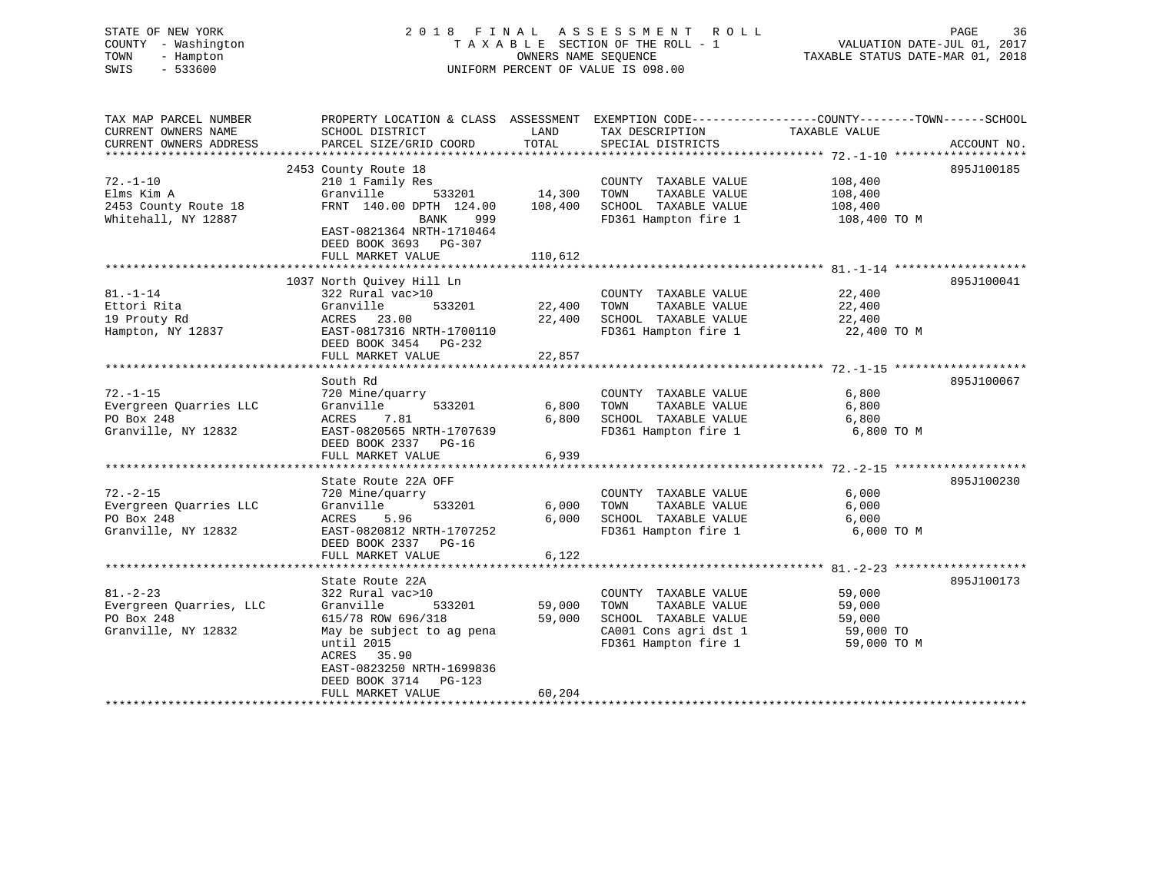STATE OF NEW YORK 2 0 1 8 F I N A L A S S E S S M E N T R O L L PAGE 36 COUNTY - Washington T A X A B L E SECTION OF THE ROLL - 1 VALUATION DATE-JUL 01, 2017 TOWN - Hampton OWNERS NAME SEQUENCE TAXABLE STATUS DATE-MAR 01, 2018 SWIS - 533600 UNIFORM PERCENT OF VALUE IS 098.00 TAX MAP PARCEL NUMBER PROPERTY LOCATION & CLASS ASSESSMENT EXEMPTION CODE------------------COUNTY--------TOWN------SCHOOL

| CURRENT OWNERS NAME     | SCHOOL DISTRICT           | LAND    | TAX DESCRIPTION       | TAXABLE VALUE |             |
|-------------------------|---------------------------|---------|-----------------------|---------------|-------------|
| CURRENT OWNERS ADDRESS  | PARCEL SIZE/GRID COORD    | TOTAL   | SPECIAL DISTRICTS     |               | ACCOUNT NO. |
|                         |                           |         |                       |               |             |
|                         | 2453 County Route 18      |         |                       |               | 895J100185  |
| $72. - 1 - 10$          | 210 1 Family Res          |         | COUNTY TAXABLE VALUE  | 108,400       |             |
| Elms Kim A              | Granville<br>533201       | 14,300  | TAXABLE VALUE<br>TOWN | 108,400       |             |
| 2453 County Route 18    | FRNT 140.00 DPTH 124.00   | 108,400 | SCHOOL TAXABLE VALUE  | 108,400       |             |
| Whitehall, NY 12887     | BANK<br>999               |         | FD361 Hampton fire 1  | 108,400 TO M  |             |
|                         | EAST-0821364 NRTH-1710464 |         |                       |               |             |
|                         | DEED BOOK 3693 PG-307     |         |                       |               |             |
|                         | FULL MARKET VALUE         | 110,612 |                       |               |             |
|                         |                           |         |                       |               |             |
|                         | 1037 North Quivey Hill Ln |         |                       |               | 895J100041  |
| $81. - 1 - 14$          | 322 Rural vac>10          |         | COUNTY TAXABLE VALUE  | 22,400        |             |
| Ettori Rita             | Granville<br>533201       | 22,400  | TOWN<br>TAXABLE VALUE | 22,400        |             |
| 19 Prouty Rd            | 23.00<br>ACRES            | 22,400  | SCHOOL TAXABLE VALUE  | 22,400        |             |
| Hampton, NY 12837       | EAST-0817316 NRTH-1700110 |         | FD361 Hampton fire 1  | 22,400 TO M   |             |
|                         | DEED BOOK 3454 PG-232     |         |                       |               |             |
|                         | FULL MARKET VALUE         | 22,857  |                       |               |             |
|                         |                           |         |                       |               |             |
|                         | South Rd                  |         |                       |               | 895J100067  |
| $72. - 1 - 15$          | 720 Mine/quarry           |         | COUNTY TAXABLE VALUE  | 6,800         |             |
| Evergreen Quarries LLC  | Granville<br>533201       | 6,800   | TAXABLE VALUE<br>TOWN | 6,800         |             |
| PO Box 248              | 7.81<br>ACRES             | 6,800   | SCHOOL TAXABLE VALUE  | 6,800         |             |
| Granville, NY 12832     | EAST-0820565 NRTH-1707639 |         | FD361 Hampton fire 1  | 6,800 TO M    |             |
|                         | DEED BOOK 2337 PG-16      |         |                       |               |             |
|                         | FULL MARKET VALUE         | 6,939   |                       |               |             |
|                         |                           |         |                       |               |             |
|                         | State Route 22A OFF       |         |                       |               | 895J100230  |
| $72. - 2 - 15$          | 720 Mine/quarry           |         | COUNTY TAXABLE VALUE  | 6,000         |             |
| Evergreen Quarries LLC  | 533201<br>Granville       | 6,000   | TAXABLE VALUE<br>TOWN | 6,000         |             |
| PO Box 248              | ACRES<br>5.96             | 6,000   | SCHOOL TAXABLE VALUE  | 6,000         |             |
| Granville, NY 12832     | EAST-0820812 NRTH-1707252 |         | FD361 Hampton fire 1  | 6,000 TO M    |             |
|                         | DEED BOOK 2337 PG-16      |         |                       |               |             |
|                         | FULL MARKET VALUE         | 6,122   |                       |               |             |
|                         |                           |         |                       |               |             |
|                         | State Route 22A           |         |                       |               | 895J100173  |
| $81. - 2 - 23$          | 322 Rural vac>10          |         | COUNTY TAXABLE VALUE  | 59,000        |             |
| Evergreen Quarries, LLC | Granville<br>533201       | 59,000  | TOWN<br>TAXABLE VALUE | 59,000        |             |
| PO Box 248              | 615/78 ROW 696/318        | 59,000  | SCHOOL TAXABLE VALUE  | 59,000        |             |
| Granville, NY 12832     | May be subject to ag pena |         | CA001 Cons agri dst 1 | 59,000 TO     |             |
|                         | until 2015                |         | FD361 Hampton fire 1  | 59,000 TO M   |             |
|                         | ACRES 35.90               |         |                       |               |             |
|                         | EAST-0823250 NRTH-1699836 |         |                       |               |             |
|                         | DEED BOOK 3714 PG-123     |         |                       |               |             |
|                         | FULL MARKET VALUE         | 60,204  |                       |               |             |
|                         |                           |         |                       |               |             |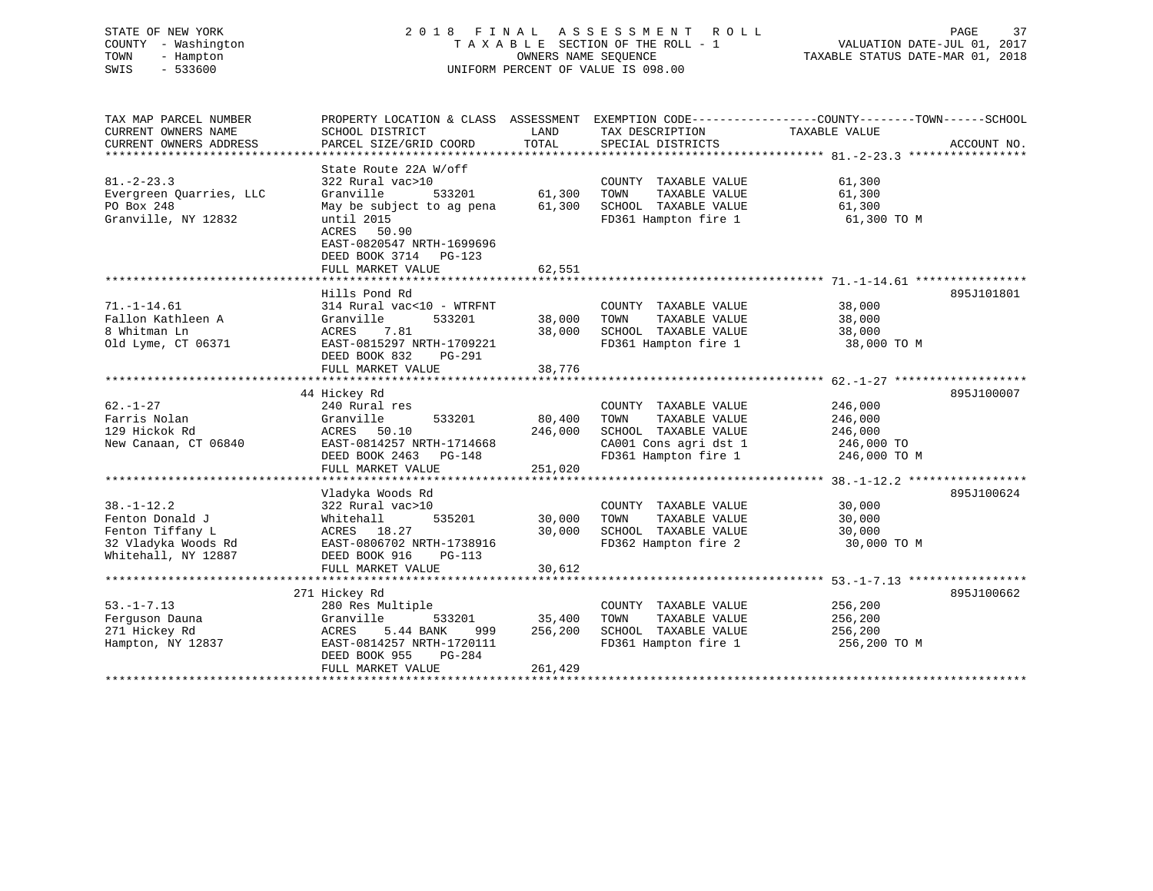# STATE OF NEW YORK 2 0 1 8 F I N A L A S S E S S M E N T R O L L PAGE 37 COUNTY - Washington T A X A B L E SECTION OF THE ROLL - 1 VALUATION DATE-JUL 01, 2017 TOWN - Hampton OWNERS NAME SEQUENCE TAXABLE STATUS DATE-MAR 01, 2018 SWIS - 533600 UNIFORM PERCENT OF VALUE IS 098.00

| TAX MAP PARCEL NUMBER   | PROPERTY LOCATION & CLASS ASSESSMENT EXEMPTION CODE----------------COUNTY-------TOWN-----SCHOOL |                   |                                  |                         |             |
|-------------------------|-------------------------------------------------------------------------------------------------|-------------------|----------------------------------|-------------------------|-------------|
| CURRENT OWNERS NAME     | SCHOOL DISTRICT                                                                                 | LAND              | TAX DESCRIPTION                  | TAXABLE VALUE           |             |
| CURRENT OWNERS ADDRESS  | PARCEL SIZE/GRID COORD                                                                          | TOTAL             | SPECIAL DISTRICTS                |                         | ACCOUNT NO. |
|                         | State Route 22A W/off                                                                           |                   |                                  |                         |             |
| $81. - 2 - 23.3$        | 322 Rural vac>10                                                                                |                   | COUNTY TAXABLE VALUE             | 61,300                  |             |
| Evergreen Quarries, LLC | Granville<br>533201                                                                             | 61,300            | TAXABLE VALUE<br>TOWN            | 61,300                  |             |
| PO Box 248              | May be subject to ag pena                                                                       | 61,300            | SCHOOL TAXABLE VALUE             | 61,300                  |             |
| Granville, NY 12832     | until 2015                                                                                      |                   | FD361 Hampton fire 1             | 61,300 TO M             |             |
|                         | ACRES 50.90                                                                                     |                   |                                  |                         |             |
|                         | EAST-0820547 NRTH-1699696                                                                       |                   |                                  |                         |             |
|                         | DEED BOOK 3714 PG-123                                                                           |                   |                                  |                         |             |
|                         | FULL MARKET VALUE                                                                               | 62,551            |                                  |                         |             |
|                         |                                                                                                 |                   |                                  |                         |             |
|                         | Hills Pond Rd                                                                                   |                   |                                  |                         | 895J101801  |
| $71. - 1 - 14.61$       | 314 Rural vac<10 - WTRFNT                                                                       |                   | COUNTY TAXABLE VALUE             | 38,000                  |             |
| Fallon Kathleen A       | Granville<br>533201                                                                             | 38,000            | TAXABLE VALUE<br>TOWN            | 38,000                  |             |
| 8 Whitman Ln            | ACRES<br>7.81                                                                                   | 38,000            | SCHOOL TAXABLE VALUE             | 38,000                  |             |
| Old Lyme, CT 06371      | EAST-0815297 NRTH-1709221                                                                       |                   | FD361 Hampton fire 1             | 38,000 TO M             |             |
|                         | DEED BOOK 832<br>PG-291                                                                         |                   |                                  |                         |             |
|                         | FULL MARKET VALUE                                                                               | 38,776            |                                  |                         |             |
|                         |                                                                                                 |                   |                                  |                         |             |
|                         | 44 Hickey Rd                                                                                    |                   |                                  |                         | 895J100007  |
| $62. - 1 - 27$          | 240 Rural res                                                                                   |                   | COUNTY TAXABLE VALUE             | 246,000                 |             |
| Farris Nolan            | Granville<br>533201                                                                             | 80,400            | TOWN<br>TAXABLE VALUE            | 246,000                 |             |
| 129 Hickok Rd           | ACRES<br>50.10                                                                                  | 246,000           | SCHOOL TAXABLE VALUE             | 246,000                 |             |
| New Canaan, CT 06840    | EAST-0814257 NRTH-1714668                                                                       |                   | CA001 Cons agri dst 1 246,000 TO |                         |             |
|                         | DEED BOOK 2463 PG-148                                                                           |                   | FD361 Hampton fire 1             | 246,000 TO M            |             |
|                         | FULL MARKET VALUE                                                                               | 251,020           |                                  |                         |             |
|                         |                                                                                                 |                   |                                  |                         |             |
|                         | Vladyka Woods Rd                                                                                |                   |                                  |                         | 895J100624  |
| $38. - 1 - 12.2$        | 322 Rural vac>10                                                                                |                   | COUNTY TAXABLE VALUE             | 30,000                  |             |
| Fenton Donald J         | 535201<br>Whitehall                                                                             | 30,000            | TAXABLE VALUE<br>TOWN            | 30,000                  |             |
| Fenton Tiffany L        | ACRES 18.27                                                                                     | 30,000            | SCHOOL TAXABLE VALUE             | 30,000                  |             |
| 32 Vladyka Woods Rd     | EAST-0806702 NRTH-1738916                                                                       |                   | FD362 Hampton fire 2             | 30,000 TO M             |             |
| Whitehall, NY 12887     | DEED BOOK 916<br>PG-113                                                                         |                   |                                  |                         |             |
|                         | FULL MARKET VALUE                                                                               | 30,612            |                                  |                         |             |
|                         |                                                                                                 |                   |                                  |                         |             |
|                         | 271 Hickey Rd                                                                                   |                   |                                  |                         | 895J100662  |
| $53. - 1 - 7.13$        | 280 Res Multiple                                                                                |                   | COUNTY TAXABLE VALUE             | 256,200                 |             |
| Ferguson Dauna          | 533201<br>Granville                                                                             | 35,400<br>256,200 | TOWN<br>TAXABLE VALUE            | 256,200                 |             |
| 271 Hickey Rd           | 5.44 BANK<br>ACRES<br>999<br>EAST-0814257 NRTH-1720111                                          |                   | SCHOOL TAXABLE VALUE             | 256,200<br>256,200 TO M |             |
| Hampton, NY 12837       | DEED BOOK 955<br>PG-284                                                                         |                   | FD361 Hampton fire 1             |                         |             |
|                         | FULL MARKET VALUE                                                                               | 261,429           |                                  |                         |             |
|                         |                                                                                                 |                   |                                  |                         |             |
|                         |                                                                                                 |                   |                                  |                         |             |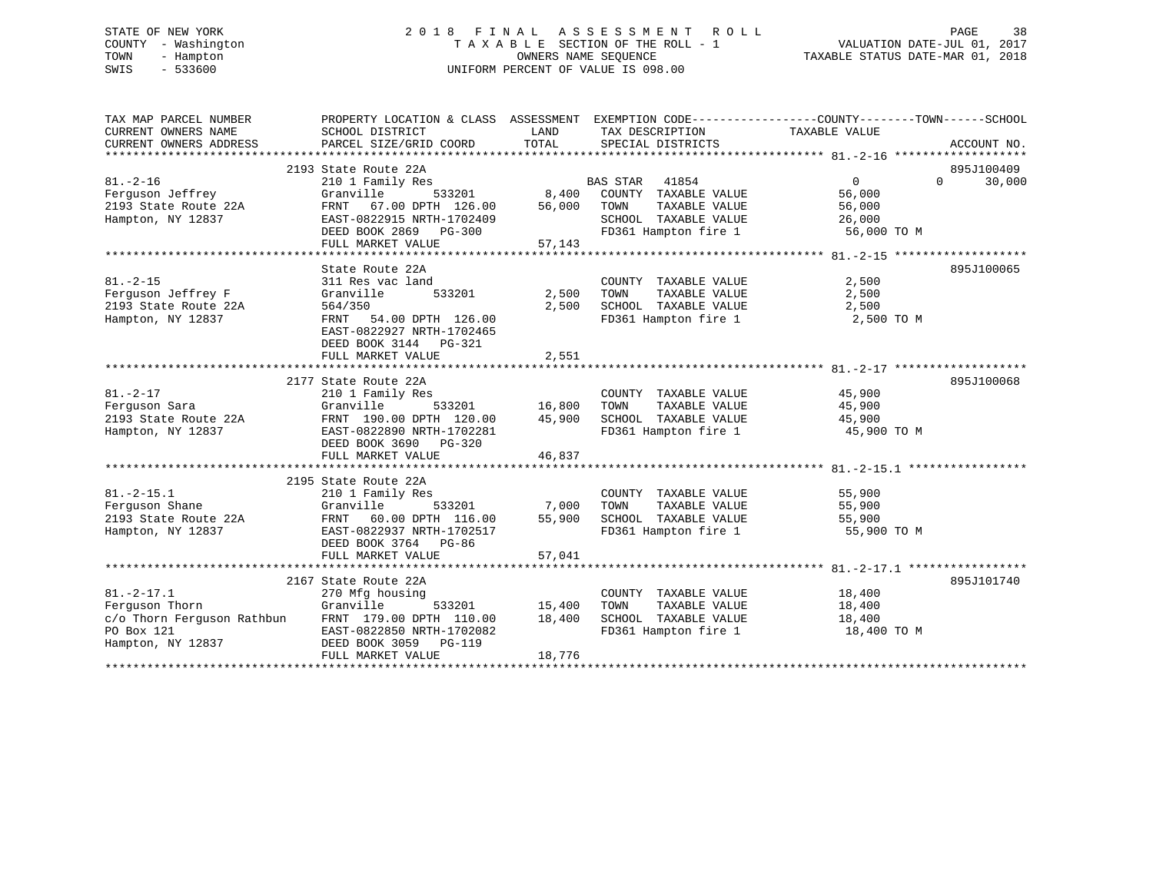# STATE OF NEW YORK 2 0 1 8 F I N A L A S S E S S M E N T R O L L PAGE 38 COUNTY - Washington T A X A B L E SECTION OF THE ROLL - 1 VALUATION DATE-JUL 01, 2017 TOWN - Hampton OWNERS NAME SEQUENCE TAXABLE STATUS DATE-MAR 01, 2018 SWIS - 533600 UNIFORM PERCENT OF VALUE IS 098.00

| TAX MAP PARCEL NUMBER<br>CURRENT OWNERS NAME<br>CURRENT OWNERS ADDRESS            | PROPERTY LOCATION & CLASS ASSESSMENT EXEMPTION CODE---------------COUNTY-------TOWN------SCHOOL<br>SCHOOL DISTRICT<br>PARCEL SIZE/GRID COORD                                                    | LAND<br>TOTAL                     | TAX DESCRIPTION<br>SPECIAL DISTRICTS                                                                                      | TAXABLE VALUE                                         | ACCOUNT NO.                               |
|-----------------------------------------------------------------------------------|-------------------------------------------------------------------------------------------------------------------------------------------------------------------------------------------------|-----------------------------------|---------------------------------------------------------------------------------------------------------------------------|-------------------------------------------------------|-------------------------------------------|
| $81. - 2 - 16$<br>Ferguson Jeffrey<br>2193 State Route 22A<br>Hampton, NY 12837   | 2193 State Route 22A<br>210 1 Family Res<br>533201<br>Granville<br>67.00 DPTH 126.00<br>FRNT<br>EAST-0822915 NRTH-1702409<br>DEED BOOK 2869 PG-300<br>FULL MARKET VALUE                         | 8,400<br>56,000<br>57,143         | <b>BAS STAR</b><br>41854<br>COUNTY TAXABLE VALUE<br>TAXABLE VALUE<br>TOWN<br>SCHOOL TAXABLE VALUE<br>FD361 Hampton fire 1 | $\Omega$<br>56,000<br>56,000<br>26,000<br>56,000 TO M | 895J100409<br>30,000<br>$0 \qquad \qquad$ |
| $81. - 2 - 15$<br>Ferquson Jeffrey F<br>2193 State Route 22A<br>Hampton, NY 12837 | State Route 22A<br>311 Res vac land<br>533201<br>Granville<br>564/350<br>FRNT 54.00 DPTH 126.00<br>EAST-0822927 NRTH-1702465<br>DEED BOOK 3144 PG-321<br>FULL MARKET VALUE                      | 2,500<br>2,500<br>2,551           | COUNTY TAXABLE VALUE<br>TOWN<br>TAXABLE VALUE<br>FD361 Hampton fire 1                                                     | 2,500<br>2,500<br>2,500<br>2,500 TO M                 | 895J100065                                |
| $81. - 2 - 17$<br>Ferquson Sara<br>2193 State Route 22A<br>Hampton, NY 12837      | 2177 State Route 22A<br>210 1 Family Res<br>Granville<br>FRNT 190.00 DPTH 120.00<br>EAST-0822890 NRTH-1702281<br>DEED BOOK 3690 PG-320<br>FULL MARKET VALUE                                     | 533201 16,800<br>45,900<br>46,837 | COUNTY TAXABLE VALUE<br>TOWN<br>TAXABLE VALUE<br>SCHOOL TAXABLE VALUE<br>FD361 Hampton fire 1                             | 45,900<br>45,900<br>45,900<br>45,900 TO M             | 895J100068                                |
| $81. -2 - 15.1$<br>Ferguson Shane<br>2193 State Route 22A<br>Hampton, NY 12837    | 2195 State Route 22A<br>210 1 Family Res<br>Granville<br>533201<br>FRNT 60.00 DPTH 116.00<br>EAST-0822937 NRTH-1702517<br>DEED BOOK 3764 PG-86<br>FULL MARKET VALUE                             | 7,000<br>55,900<br>57,041         | COUNTY TAXABLE VALUE<br>TOWN<br>TAXABLE VALUE<br>SCHOOL TAXABLE VALUE<br>FD361 Hampton fire 1                             | 55,900<br>55,900<br>55,900<br>55,900 TO M             |                                           |
| $81. -2 - 17.1$<br>Ferguson Thorn<br>PO Box 121<br>Hampton, NY 12837              | 2167 State Route 22A<br>270 Mfg housing<br>Granville<br>533201<br>c/o Thorn Ferguson Rathbun FRNT 179.00 DPTH 110.00<br>EAST-0822850 NRTH-1702082<br>DEED BOOK 3059 PG-119<br>FULL MARKET VALUE | 15,400<br>18,400<br>18,776        | COUNTY TAXABLE VALUE<br>TAXABLE VALUE<br>TOWN<br>SCHOOL TAXABLE VALUE<br>FD361 Hampton fire 1                             | 18,400<br>18,400<br>18,400<br>18,400 TO M             | 895J101740                                |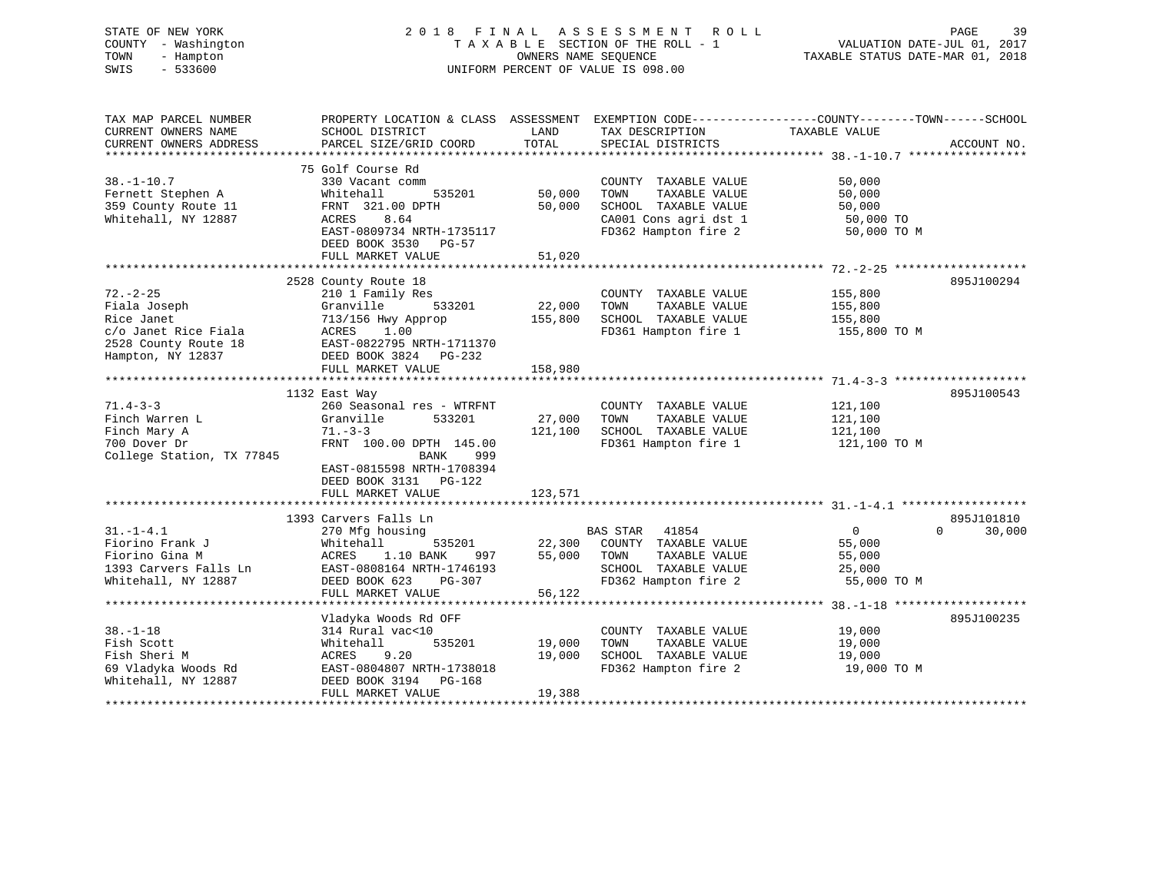# STATE OF NEW YORK 2 0 1 8 F I N A L A S S E S S M E N T R O L L PAGE 39 COUNTY - Washington T A X A B L E SECTION OF THE ROLL - 1 VALUATION DATE-JUL 01, 2017 TOWN - Hampton OWNERS NAME SEQUENCE TAXABLE STATUS DATE-MAR 01, 2018 SWIS - 533600 UNIFORM PERCENT OF VALUE IS 098.00

| TAX MAP PARCEL NUMBER     | PROPERTY LOCATION & CLASS ASSESSMENT |         |                       | EXEMPTION CODE-----------------COUNTY-------TOWN------SCHOOL |
|---------------------------|--------------------------------------|---------|-----------------------|--------------------------------------------------------------|
| CURRENT OWNERS NAME       | SCHOOL DISTRICT                      | LAND    | TAX DESCRIPTION       | TAXABLE VALUE                                                |
| CURRENT OWNERS ADDRESS    | PARCEL SIZE/GRID COORD               | TOTAL   | SPECIAL DISTRICTS     | ACCOUNT NO.                                                  |
| *******************       | ***************************          |         |                       |                                                              |
|                           | 75 Golf Course Rd                    |         |                       |                                                              |
| $38. - 1 - 10.7$          | 330 Vacant comm                      |         | COUNTY TAXABLE VALUE  | 50,000                                                       |
| Fernett Stephen A         | Whitehall<br>535201                  | 50,000  | TOWN<br>TAXABLE VALUE | 50,000                                                       |
|                           |                                      |         |                       |                                                              |
| 359 County Route 11       | FRNT 321.00 DPTH                     | 50,000  | SCHOOL TAXABLE VALUE  | 50,000                                                       |
| Whitehall, NY 12887       | ACRES<br>8.64                        |         | CA001 Cons agri dst 1 | 50,000 TO                                                    |
|                           | EAST-0809734 NRTH-1735117            |         | FD362 Hampton fire 2  | 50,000 TO M                                                  |
|                           | DEED BOOK 3530<br>PG-57              |         |                       |                                                              |
|                           | FULL MARKET VALUE                    | 51,020  |                       |                                                              |
|                           |                                      |         |                       |                                                              |
|                           | 2528 County Route 18                 |         |                       | 895J100294                                                   |
| $72. - 2 - 25$            | 210 1 Family Res                     |         | COUNTY TAXABLE VALUE  | 155,800                                                      |
| Fiala Joseph              | 533201<br>Granville                  | 22,000  | TOWN<br>TAXABLE VALUE | 155,800                                                      |
| Rice Janet                | 713/156 Hwy Approp                   | 155,800 | SCHOOL TAXABLE VALUE  | 155,800                                                      |
| c/o Janet Rice Fiala      | ACRES<br>1.00                        |         | FD361 Hampton fire 1  | 155,800 TO M                                                 |
| 2528 County Route 18      | EAST-0822795 NRTH-1711370            |         |                       |                                                              |
| Hampton, NY 12837         | DEED BOOK 3824 PG-232                |         |                       |                                                              |
|                           | FULL MARKET VALUE                    | 158,980 |                       |                                                              |
|                           |                                      |         |                       |                                                              |
|                           |                                      |         |                       | 895J100543                                                   |
|                           | 1132 East Way                        |         |                       |                                                              |
| $71.4 - 3 - 3$            | 260 Seasonal res - WTRFNT            |         | COUNTY TAXABLE VALUE  | 121,100                                                      |
| Finch Warren L            | 533201<br>Granville                  | 27,000  | TOWN<br>TAXABLE VALUE | 121,100                                                      |
| Finch Mary A              | $71. - 3 - 3$                        | 121,100 | SCHOOL TAXABLE VALUE  | 121,100                                                      |
| 700 Dover Dr              | FRNT 100.00 DPTH 145.00              |         | FD361 Hampton fire 1  | 121,100 TO M                                                 |
| College Station, TX 77845 | <b>BANK</b><br>999                   |         |                       |                                                              |
|                           | EAST-0815598 NRTH-1708394            |         |                       |                                                              |
|                           | DEED BOOK 3131 PG-122                |         |                       |                                                              |
|                           | FULL MARKET VALUE                    | 123,571 |                       |                                                              |
|                           |                                      |         |                       |                                                              |
|                           | 1393 Carvers Falls Ln                |         |                       | 895J101810                                                   |
| $31. - 1 - 4.1$           | 270 Mfg housing                      |         | BAS STAR<br>41854     | 0<br>$\Omega$<br>30,000                                      |
| Fiorino Frank J           | Whitehall<br>535201                  | 22,300  | COUNTY TAXABLE VALUE  | 55,000                                                       |
| Fiorino Gina M            | ACRES<br>1.10 BANK<br>997            | 55,000  | TOWN<br>TAXABLE VALUE | 55,000                                                       |
| 1393 Carvers Falls Ln     | EAST-0808164 NRTH-1746193            |         | SCHOOL TAXABLE VALUE  | 25,000                                                       |
| Whitehall, NY 12887       | DEED BOOK 623<br>$PG-307$            |         | FD362 Hampton fire 2  | 55,000 TO M                                                  |
|                           |                                      | 56,122  |                       |                                                              |
|                           | FULL MARKET VALUE                    |         |                       |                                                              |
|                           |                                      |         |                       |                                                              |
|                           | Vladyka Woods Rd OFF                 |         |                       | 895J100235                                                   |
| $38. - 1 - 18$            | 314 Rural vac<10                     |         | COUNTY TAXABLE VALUE  | 19,000                                                       |
| Fish Scott                | 535201<br>Whitehall                  | 19,000  | TOWN<br>TAXABLE VALUE | 19,000                                                       |
| Fish Sheri M              | ACRES 9.20                           | 19,000  | SCHOOL TAXABLE VALUE  | 19,000                                                       |
| 69 Vladyka Woods Rd       | EAST-0804807 NRTH-1738018            |         | FD362 Hampton fire 2  | 19,000 TO M                                                  |
| Whitehall, NY 12887       | DEED BOOK 3194 PG-168                |         |                       |                                                              |
|                           | FULL MARKET VALUE                    | 19,388  |                       |                                                              |
|                           |                                      |         |                       |                                                              |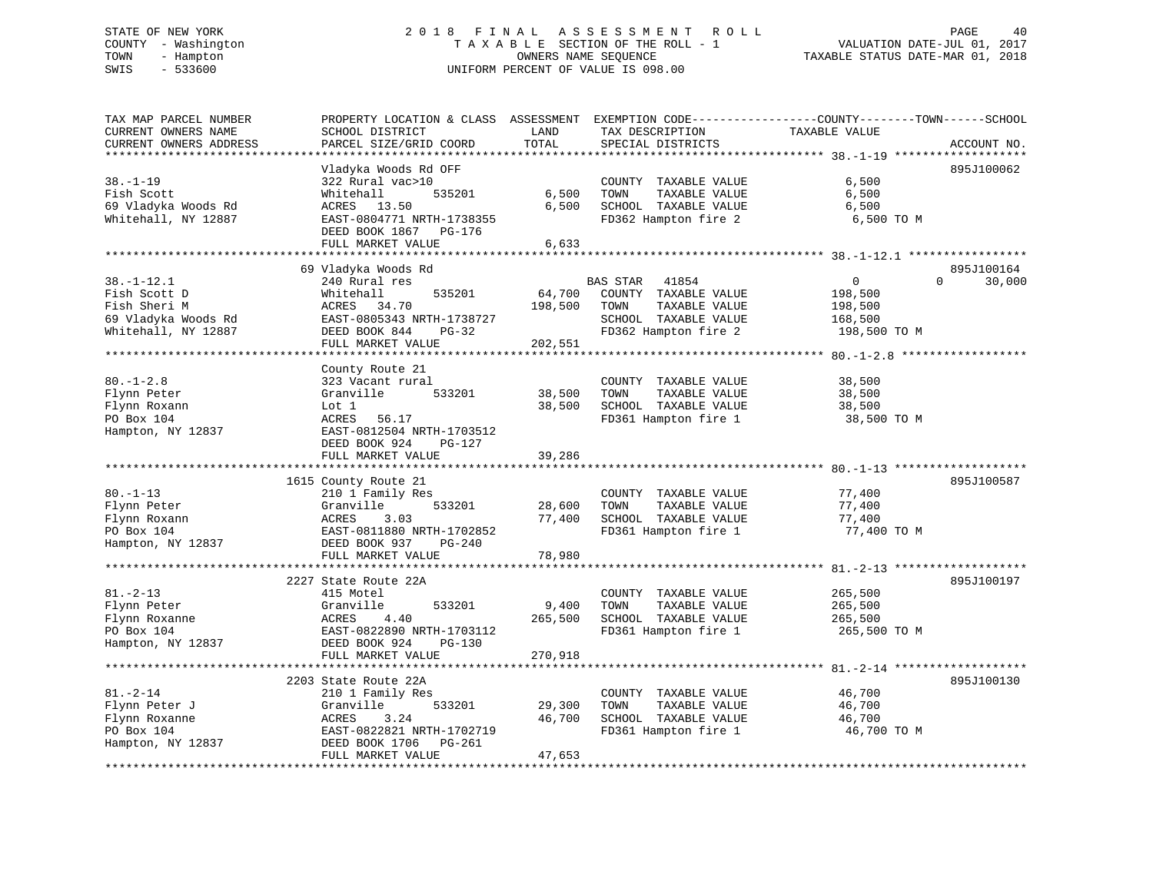#### STATE OF NEW YORK 2 0 1 8 F I N A L A S S E S S M E N T R O L L PAGE 40COUNTY - Washington  $T A X A B L E$  SECTION OF THE ROLL - 1<br>TOWN - Hampton DATE-JUL 000NERS NAME SEQUENCE TOWN - Hampton OWNERS NAME SEQUENCE TAXABLE STATUS DATE-MAR 01, 2018 SWIS - 533600 UNIFORM PERCENT OF VALUE IS 098.00

| TAX MAP PARCEL NUMBER  | PROPERTY LOCATION & CLASS ASSESSMENT EXEMPTION CODE-----------------COUNTY-------TOWN------SCHOOL |         |                       |                                                |                    |
|------------------------|---------------------------------------------------------------------------------------------------|---------|-----------------------|------------------------------------------------|--------------------|
| CURRENT OWNERS NAME    | SCHOOL DISTRICT                                                                                   | LAND    | TAX DESCRIPTION       | TAXABLE VALUE                                  |                    |
| CURRENT OWNERS ADDRESS | PARCEL SIZE/GRID COORD                                                                            | TOTAL   | SPECIAL DISTRICTS     |                                                | ACCOUNT NO.        |
|                        |                                                                                                   |         |                       | *************** 38. -1-19 ******************** |                    |
|                        | Vladyka Woods Rd OFF                                                                              |         |                       |                                                | 895J100062         |
| $38. - 1 - 19$         | 322 Rural vac>10                                                                                  |         | COUNTY TAXABLE VALUE  | 6,500                                          |                    |
| Fish Scott             | 535201<br>Whitehall                                                                               | 6,500   | TOWN<br>TAXABLE VALUE | 6,500                                          |                    |
| 69 Vladyka Woods Rd    | ACRES 13.50                                                                                       | 6,500   | SCHOOL TAXABLE VALUE  | 6,500                                          |                    |
| Whitehall, NY 12887    | EAST-0804771 NRTH-1738355                                                                         |         | FD362 Hampton fire 2  | 6,500 TO M                                     |                    |
|                        | DEED BOOK 1867 PG-176                                                                             |         |                       |                                                |                    |
|                        | FULL MARKET VALUE                                                                                 | 6,633   |                       |                                                |                    |
|                        |                                                                                                   |         |                       |                                                |                    |
|                        |                                                                                                   |         |                       |                                                |                    |
|                        | 69 Vladyka Woods Rd                                                                               |         |                       |                                                | 895J100164         |
| $38. - 1 - 12.1$       | 240 Rural res                                                                                     |         | BAS STAR<br>41854     | $\mathbf{0}$                                   | $\Omega$<br>30,000 |
| Fish Scott D           | 535201<br>Whitehall                                                                               | 64,700  | COUNTY TAXABLE VALUE  | 198,500                                        |                    |
| Fish Sheri M           | ACRES<br>34.70                                                                                    | 198,500 | TOWN<br>TAXABLE VALUE | 198,500                                        |                    |
| 69 Vladyka Woods Rd    | EAST-0805343 NRTH-1738727                                                                         |         | SCHOOL TAXABLE VALUE  | 168,500                                        |                    |
| Whitehall, NY 12887    | DEED BOOK 844<br>$PG-32$                                                                          |         | FD362 Hampton fire 2  | 198,500 TO M                                   |                    |
|                        | FULL MARKET VALUE                                                                                 | 202,551 |                       |                                                |                    |
|                        | **********************                                                                            |         |                       |                                                |                    |
|                        | County Route 21                                                                                   |         |                       |                                                |                    |
| $80. - 1 - 2.8$        | 323 Vacant rural                                                                                  |         | COUNTY TAXABLE VALUE  | 38,500                                         |                    |
| Flynn Peter            | Granville<br>533201                                                                               | 38,500  | TAXABLE VALUE<br>TOWN | 38,500                                         |                    |
| Flynn Roxann           | Lot 1                                                                                             | 38,500  | SCHOOL TAXABLE VALUE  | 38,500                                         |                    |
| PO Box 104             | 56.17<br>ACRES                                                                                    |         | FD361 Hampton fire 1  | 38,500 TO M                                    |                    |
| Hampton, NY 12837      | EAST-0812504 NRTH-1703512                                                                         |         |                       |                                                |                    |
|                        | DEED BOOK 924<br>PG-127                                                                           |         |                       |                                                |                    |
|                        | FULL MARKET VALUE                                                                                 | 39,286  |                       |                                                |                    |
|                        | ********************                                                                              |         |                       | ************************* 80.-1-13             |                    |
|                        | 1615 County Route 21                                                                              |         |                       |                                                | 895J100587         |
| $80. - 1 - 13$         | 210 1 Family Res                                                                                  |         | COUNTY TAXABLE VALUE  | 77,400                                         |                    |
| Flynn Peter            | Granville<br>533201                                                                               | 28,600  | TOWN<br>TAXABLE VALUE | 77,400                                         |                    |
| Flynn Roxann           | ACRES<br>3.03                                                                                     | 77,400  | SCHOOL TAXABLE VALUE  | 77,400                                         |                    |
| PO Box 104             | EAST-0811880 NRTH-1702852                                                                         |         |                       | 77,400 TO M                                    |                    |
|                        |                                                                                                   |         | FD361 Hampton fire 1  |                                                |                    |
| Hampton, NY 12837      | DEED BOOK 937<br>$PG-240$                                                                         |         |                       |                                                |                    |
|                        | FULL MARKET VALUE                                                                                 | 78,980  |                       |                                                |                    |
|                        |                                                                                                   |         |                       |                                                |                    |
|                        | 2227 State Route 22A                                                                              |         |                       |                                                | 895J100197         |
| $81. - 2 - 13$         | 415 Motel                                                                                         |         | COUNTY TAXABLE VALUE  | 265,500                                        |                    |
| Flynn Peter            | Granville<br>533201                                                                               | 9,400   | TOWN<br>TAXABLE VALUE | 265,500                                        |                    |
| Flynn Roxanne          | ACRES<br>4.40                                                                                     | 265,500 | SCHOOL TAXABLE VALUE  | 265,500                                        |                    |
| PO Box 104             | EAST-0822890 NRTH-1703112                                                                         |         | FD361 Hampton fire 1  | 265,500 TO M                                   |                    |
| Hampton, NY 12837      | DEED BOOK 924<br><b>PG-130</b>                                                                    |         |                       |                                                |                    |
|                        | FULL MARKET VALUE                                                                                 | 270,918 |                       |                                                |                    |
|                        |                                                                                                   |         |                       |                                                |                    |
|                        | 2203 State Route 22A                                                                              |         |                       |                                                | 895J100130         |
| $81. - 2 - 14$         | 210 1 Family Res                                                                                  |         | COUNTY TAXABLE VALUE  | 46,700                                         |                    |
| Flynn Peter J          | Granville<br>533201                                                                               | 29,300  | TOWN<br>TAXABLE VALUE | 46,700                                         |                    |
| Flynn Roxanne          | 3.24<br>ACRES                                                                                     | 46,700  | SCHOOL TAXABLE VALUE  | 46,700                                         |                    |
| PO Box 104             | EAST-0822821 NRTH-1702719                                                                         |         | FD361 Hampton fire 1  | 46,700 TO M                                    |                    |
| Hampton, NY 12837      | DEED BOOK 1706<br>PG-261                                                                          |         |                       |                                                |                    |
|                        | FULL MARKET VALUE                                                                                 | 47,653  |                       |                                                |                    |
|                        |                                                                                                   |         |                       |                                                |                    |
|                        |                                                                                                   |         |                       |                                                |                    |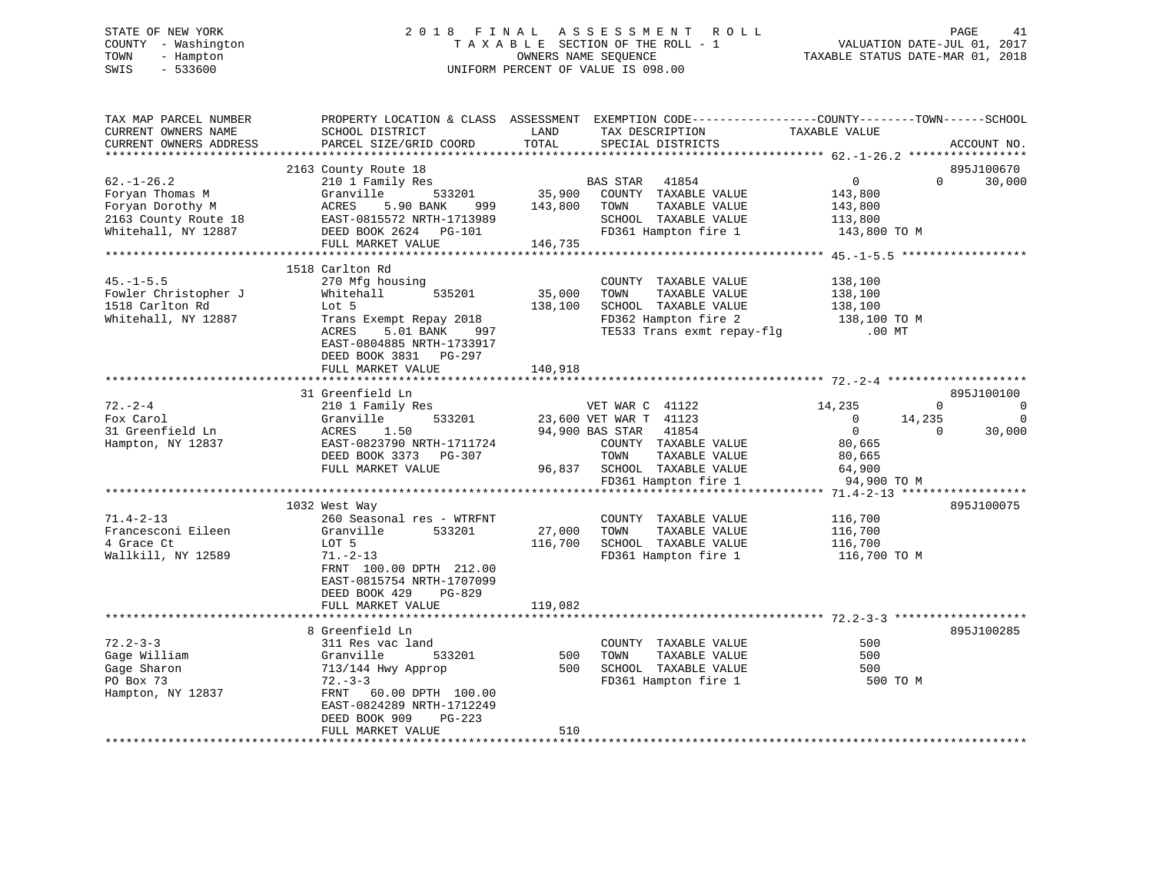# STATE OF NEW YORK 2 0 1 8 F I N A L A S S E S S M E N T R O L L PAGE 41 COUNTY - Washington T A X A B L E SECTION OF THE ROLL - 1 VALUATION DATE-JUL 01, 2017 TOWN - Hampton OWNERS NAME SEQUENCE TAXABLE STATUS DATE-MAR 01, 2018 SWIS - 533600 UNIFORM PERCENT OF VALUE IS 098.00

| TAX MAP PARCEL NUMBER<br>CURRENT OWNERS NAME<br>CURRENT OWNERS ADDRESS                                 | PROPERTY LOCATION & CLASS ASSESSMENT<br>SCHOOL DISTRICT<br>PARCEL SIZE/GRID COORD                                                                                                                     | LAND<br>TOTAL                | EXEMPTION CODE-----------------COUNTY-------TOWN------SCHOOL<br>TAX DESCRIPTION<br>SPECIAL DISTRICTS                                                                          | TAXABLE VALUE                                                                                     | ACCOUNT NO.                                                                          |
|--------------------------------------------------------------------------------------------------------|-------------------------------------------------------------------------------------------------------------------------------------------------------------------------------------------------------|------------------------------|-------------------------------------------------------------------------------------------------------------------------------------------------------------------------------|---------------------------------------------------------------------------------------------------|--------------------------------------------------------------------------------------|
|                                                                                                        |                                                                                                                                                                                                       |                              |                                                                                                                                                                               |                                                                                                   |                                                                                      |
| $62. - 1 - 26.2$<br>Foryan Thomas M<br>Foryan Dorothy M<br>2163 County Route 18<br>Whitehall, NY 12887 | 2163 County Route 18<br>210 1 Family Res<br>Granville<br>533201<br>ACRES<br>5.90 BANK<br>999<br>EAST-0815572 NRTH-1713989<br>DEED BOOK 2624 PG-101<br>FULL MARKET VALUE                               | 143,800<br>146,735           | BAS STAR<br>41854<br>35,900 COUNTY TAXABLE VALUE<br>TOWN<br>TAXABLE VALUE<br>SCHOOL TAXABLE VALUE<br>FD361 Hampton fire 1                                                     | $\overline{0}$<br>143,800<br>143,800<br>113,800<br>143,800 TO M                                   | 895J100670<br>$\Omega$<br>30,000                                                     |
|                                                                                                        |                                                                                                                                                                                                       |                              |                                                                                                                                                                               |                                                                                                   |                                                                                      |
| $45. - 1 - 5.5$<br>Fowler Christopher J<br>1518 Carlton Rd<br>Whitehall, NY 12887                      | 1518 Carlton Rd<br>270 Mfg housing<br>535201<br>Whitehall<br>Lot 5<br>Trans Exempt Repay 2018<br>ACRES<br>5.01 BANK<br>997<br>EAST-0804885 NRTH-1733917<br>DEED BOOK 3831 PG-297<br>FULL MARKET VALUE | 35,000<br>138,100<br>140,918 | COUNTY TAXABLE VALUE<br>TOWN<br>TAXABLE VALUE<br>SCHOOL TAXABLE VALUE<br>FD362 Hampton fire 2<br>TE533 Trans exmt repay-flg                                                   | 138,100<br>138,100<br>138,100<br>138,100 TO M<br>$.00$ MT                                         |                                                                                      |
|                                                                                                        |                                                                                                                                                                                                       |                              |                                                                                                                                                                               |                                                                                                   |                                                                                      |
| $72. - 2 - 4$<br>Fox Carol<br>31 Greenfield Ln<br>Hampton, NY 12837                                    | 31 Greenfield Ln<br>210 1 Family Res<br>Granville<br>533201<br>1.50<br>ACRES<br>EAST-0823790 NRTH-1711724<br>DEED BOOK 3373 PG-307<br>FULL MARKET VALUE                                               |                              | VET WAR C 41122<br>23,600 VET WAR T 41123<br>94,900 BAS STAR<br>41854<br>COUNTY TAXABLE VALUE<br>TOWN<br>TAXABLE VALUE<br>96,837 SCHOOL TAXABLE VALUE<br>FD361 Hampton fire 1 | 14,235<br>$\overline{\phantom{0}}$<br>$\overline{0}$<br>80,665<br>80,665<br>64,900<br>94,900 TO M | 895J100100<br>$\Omega$<br>$\mathbf 0$<br>14,235<br>$\mathbf 0$<br>30,000<br>$\Omega$ |
|                                                                                                        |                                                                                                                                                                                                       |                              |                                                                                                                                                                               |                                                                                                   |                                                                                      |
| $71.4 - 2 - 13$<br>Francesconi Eileen<br>4 Grace Ct<br>Wallkill, NY 12589                              | 1032 West Way<br>260 Seasonal res - WTRFNT<br>533201<br>Granville<br>LOT 5<br>$71. - 2 - 13$<br>FRNT 100.00 DPTH 212.00<br>EAST-0815754 NRTH-1707099<br>DEED BOOK 429<br>PG-829                       | 27,000<br>116,700            | COUNTY TAXABLE VALUE<br>TOWN<br>TAXABLE VALUE<br>SCHOOL TAXABLE VALUE<br>FD361 Hampton fire 1                                                                                 | 116,700<br>116,700<br>116,700<br>116,700 TO M                                                     | 895J100075                                                                           |
|                                                                                                        | FULL MARKET VALUE                                                                                                                                                                                     | 119,082                      |                                                                                                                                                                               |                                                                                                   |                                                                                      |
|                                                                                                        |                                                                                                                                                                                                       |                              |                                                                                                                                                                               |                                                                                                   |                                                                                      |
| $72.2 - 3 - 3$<br>Gage William<br>Gage Sharon<br>PO Box 73<br>Hampton, NY 12837                        | 8 Greenfield Ln<br>311 Res vac land<br>Granville<br>533201<br>713/144 Hwy Approp<br>$72 - 3 - 3$<br>FRNT 60.00 DPTH 100.00<br>EAST-0824289 NRTH-1712249<br>DEED BOOK 909<br>PG-223                    | 500<br>500                   | COUNTY TAXABLE VALUE<br>TOWN<br>TAXABLE VALUE<br>SCHOOL TAXABLE VALUE<br>FD361 Hampton fire 1                                                                                 | 500<br>500<br>500<br>500 TO M                                                                     | 895J100285                                                                           |
|                                                                                                        | FULL MARKET VALUE                                                                                                                                                                                     | 510                          |                                                                                                                                                                               |                                                                                                   |                                                                                      |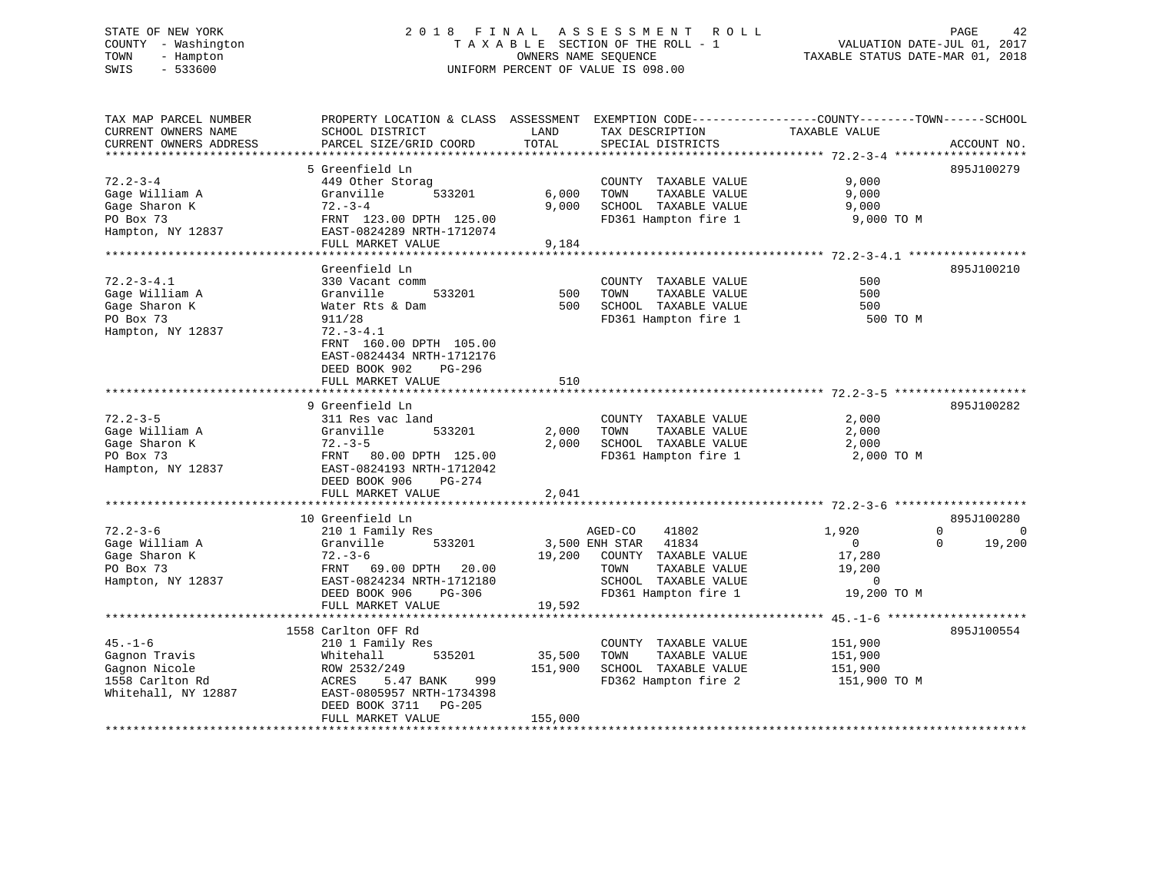#### STATE OF NEW YORK 2 0 1 8 F I N A L A S S E S S M E N T R O L L PAGE 42COUNTY - Washington  $\begin{array}{ccc} 1 & 0 & 0 \\ -1 & 0 & 0 \end{array}$  T A X A B L E SECTION OF THE ROLL - 1 TOWN TOWN - Hampton OWNERS NAME SEQUENCE TAXABLE STATUS DATE-MAR 01, 2018 SWIS - 533600 UNIFORM PERCENT OF VALUE IS 098.00

| TAX MAP PARCEL NUMBER<br>CURRENT OWNERS NAME<br>CURRENT OWNERS ADDRESS | PROPERTY LOCATION & CLASS ASSESSMENT EXEMPTION CODE----------------COUNTY-------TOWN------SCHOOL<br>SCHOOL DISTRICT<br>PARCEL SIZE/GRID COORD | LAND<br>TOTAL    | TAX DESCRIPTION<br>SPECIAL DISTRICTS | TAXABLE VALUE                                | ACCOUNT NO.             |
|------------------------------------------------------------------------|-----------------------------------------------------------------------------------------------------------------------------------------------|------------------|--------------------------------------|----------------------------------------------|-------------------------|
|                                                                        |                                                                                                                                               |                  |                                      |                                              |                         |
|                                                                        | 5 Greenfield Ln                                                                                                                               |                  |                                      |                                              | 895J100279              |
| $72.2 - 3 - 4$                                                         | 449 Other Storag                                                                                                                              |                  | COUNTY TAXABLE VALUE                 | 9,000                                        |                         |
| Gage William A                                                         | Granville<br>533201                                                                                                                           | 6,000            | TOWN<br>TAXABLE VALUE                | 9,000                                        |                         |
| Gage Sharon K                                                          | $72. - 3 - 4$                                                                                                                                 | 9,000            | SCHOOL TAXABLE VALUE                 | 9,000                                        |                         |
| PO Box 73                                                              | FRNT 123.00 DPTH 125.00                                                                                                                       |                  | FD361 Hampton fire 1                 | 9,000 TO M                                   |                         |
| Hampton, NY 12837                                                      | EAST-0824289 NRTH-1712074                                                                                                                     |                  |                                      |                                              |                         |
|                                                                        | FULL MARKET VALUE                                                                                                                             | 9,184            |                                      |                                              |                         |
|                                                                        |                                                                                                                                               |                  |                                      |                                              |                         |
|                                                                        | Greenfield Ln                                                                                                                                 |                  |                                      |                                              | 895J100210              |
| $72.2 - 3 - 4.1$                                                       | 330 Vacant comm                                                                                                                               |                  | COUNTY TAXABLE VALUE                 | 500                                          |                         |
| Gage William A                                                         | Granville<br>533201                                                                                                                           | 500              | TOWN<br>TAXABLE VALUE                | 500                                          |                         |
| Gage Sharon K                                                          | Water Rts & Dam                                                                                                                               | 500              | SCHOOL TAXABLE VALUE                 | 500                                          |                         |
| PO Box 73                                                              | 911/28                                                                                                                                        |                  | FD361 Hampton fire 1                 | 500 TO M                                     |                         |
| Hampton, NY 12837                                                      | $72. - 3 - 4.1$                                                                                                                               |                  |                                      |                                              |                         |
|                                                                        | FRNT 160.00 DPTH 105.00                                                                                                                       |                  |                                      |                                              |                         |
|                                                                        | EAST-0824434 NRTH-1712176                                                                                                                     |                  |                                      |                                              |                         |
|                                                                        | DEED BOOK 902<br>$PG-296$                                                                                                                     |                  |                                      |                                              |                         |
|                                                                        | FULL MARKET VALUE                                                                                                                             | 510              |                                      |                                              |                         |
|                                                                        |                                                                                                                                               |                  |                                      |                                              |                         |
|                                                                        | 9 Greenfield Ln                                                                                                                               |                  |                                      |                                              | 895J100282              |
| $72.2 - 3 - 5$                                                         | 311 Res vac land                                                                                                                              |                  | COUNTY TAXABLE VALUE                 | 2,000                                        |                         |
| Gage William A                                                         | Granville<br>533201                                                                                                                           | 2,000            | TOWN<br>TAXABLE VALUE                | 2,000                                        |                         |
| Gage Sharon K                                                          | $72. - 3 - 5$                                                                                                                                 | 2,000            | SCHOOL TAXABLE VALUE                 | 2,000                                        |                         |
| PO Box 73                                                              | FRNT 80.00 DPTH 125.00                                                                                                                        |                  | FD361 Hampton fire 1                 | 2,000 TO M                                   |                         |
| Hampton, NY 12837                                                      | EAST-0824193 NRTH-1712042                                                                                                                     |                  |                                      |                                              |                         |
|                                                                        | DEED BOOK 906                                                                                                                                 |                  |                                      |                                              |                         |
|                                                                        | PG-274                                                                                                                                        | 2,041            |                                      |                                              |                         |
|                                                                        | FULL MARKET VALUE                                                                                                                             |                  |                                      |                                              |                         |
|                                                                        | 10 Greenfield Ln                                                                                                                              |                  |                                      |                                              | 895J100280              |
| $72.2 - 3 - 6$                                                         | 210 1 Family Res                                                                                                                              |                  | AGED-CO<br>41802                     | 1,920                                        | $\mathbf 0$<br>$\Omega$ |
|                                                                        | Granville<br>533201                                                                                                                           |                  | 41834<br>3,500 ENH STAR              | $\mathbf 0$                                  | 19,200<br>$\Omega$      |
| Gage William A                                                         |                                                                                                                                               |                  |                                      |                                              |                         |
| Gage Sharon K                                                          | $72. - 3 - 6$                                                                                                                                 | 19,200           | COUNTY TAXABLE VALUE                 | 17,280                                       |                         |
| PO Box 73                                                              | FRNT<br>69.00 DPTH<br>20.00                                                                                                                   |                  | TOWN<br>TAXABLE VALUE                | 19,200                                       |                         |
| Hampton, NY 12837                                                      | EAST-0824234 NRTH-1712180                                                                                                                     |                  | SCHOOL TAXABLE VALUE                 | $\mathbf 0$                                  |                         |
|                                                                        | DEED BOOK 906<br>$PG-306$                                                                                                                     |                  | FD361 Hampton fire 1                 | 19,200 TO M                                  |                         |
|                                                                        | FULL MARKET VALUE<br>***********************                                                                                                  | 19,592           |                                      |                                              |                         |
|                                                                        |                                                                                                                                               | **************** |                                      | ************** 45. -1-6 ******************** |                         |
|                                                                        | 1558 Carlton OFF Rd                                                                                                                           |                  |                                      |                                              | 895J100554              |
| $45. - 1 - 6$                                                          | 210 1 Family Res                                                                                                                              |                  | COUNTY TAXABLE VALUE                 | 151,900                                      |                         |
| Gagnon Travis                                                          | Whitehall<br>535201                                                                                                                           | 35,500           | TOWN<br>TAXABLE VALUE                | 151,900                                      |                         |
| Gagnon Nicole                                                          | ROW 2532/249                                                                                                                                  | 151,900          | SCHOOL TAXABLE VALUE                 | 151,900                                      |                         |
| 1558 Carlton Rd                                                        | ACRES<br>5.47 BANK<br>999                                                                                                                     |                  | FD362 Hampton fire 2                 | 151,900 TO M                                 |                         |
| Whitehall, NY 12887                                                    | EAST-0805957 NRTH-1734398                                                                                                                     |                  |                                      |                                              |                         |
|                                                                        | DEED BOOK 3711<br>$PG-205$                                                                                                                    |                  |                                      |                                              |                         |
|                                                                        | FULL MARKET VALUE                                                                                                                             | 155,000          |                                      |                                              |                         |
|                                                                        |                                                                                                                                               |                  |                                      |                                              |                         |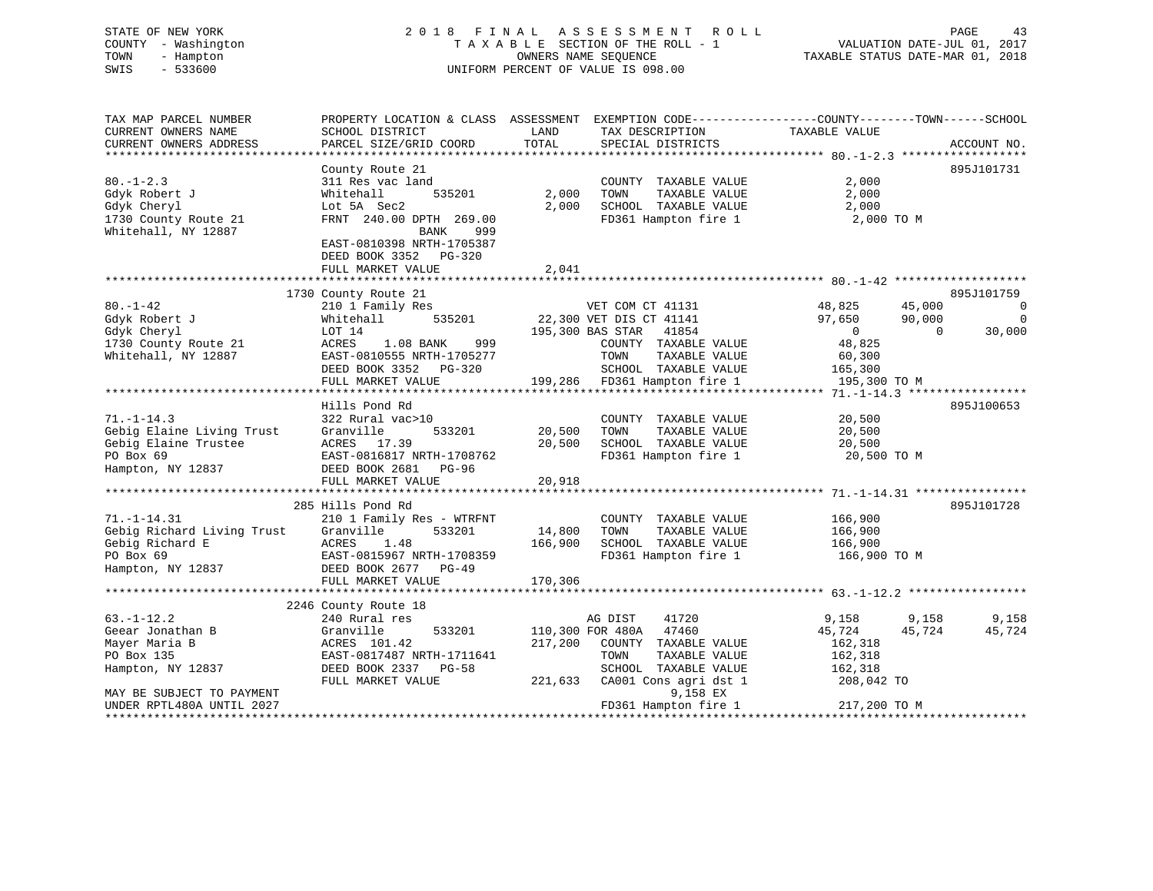# STATE OF NEW YORK 2 0 1 8 F I N A L A S S E S S M E N T R O L L PAGE 43 COUNTY - Washington T A X A B L E SECTION OF THE ROLL - 1 VALUATION DATE-JUL 01, 2017 TOWN - Hampton OWNERS NAME SEQUENCE TAXABLE STATUS DATE-MAR 01, 2018 SWIS - 533600 UNIFORM PERCENT OF VALUE IS 098.00UNIFORM PERCENT OF VALUE IS 098.00

| TAX MAP PARCEL NUMBER                                                                                                                                              | PROPERTY LOCATION & CLASS ASSESSMENT EXEMPTION CODE----------------COUNTY-------TOWN------SCHOOL |         |                                   |                          |                          |                |
|--------------------------------------------------------------------------------------------------------------------------------------------------------------------|--------------------------------------------------------------------------------------------------|---------|-----------------------------------|--------------------------|--------------------------|----------------|
| CURRENT OWNERS NAME                                                                                                                                                | SCHOOL DISTRICT                                                                                  | LAND    | TAX DESCRIPTION                   | TAXABLE VALUE            |                          |                |
| CURRENT OWNERS ADDRESS                                                                                                                                             | PARCEL SIZE/GRID COORD                                                                           | TOTAL   | SPECIAL DISTRICTS                 |                          |                          | ACCOUNT NO.    |
|                                                                                                                                                                    |                                                                                                  |         |                                   |                          |                          |                |
|                                                                                                                                                                    | County Route 21                                                                                  |         |                                   |                          |                          | 895J101731     |
| $80. - 1 - 2.3$                                                                                                                                                    | 311 Res vac land                                                                                 |         | COUNTY TAXABLE VALUE              | 2,000                    |                          |                |
| Gdyk Robert J                                                                                                                                                      | 535201<br>Whitehall                                                                              | 2,000   | TOWN<br>TAXABLE VALUE             | 2,000                    |                          |                |
| Gdyk Cheryl                                                                                                                                                        | Lot 5A Sec2                                                                                      | 2,000   | SCHOOL TAXABLE VALUE              | 2,000                    |                          |                |
| 1730 County Route 21<br>Whitehall, NY 12887                                                                                                                        | FRNT 240.00 DPTH 269.00<br>BANK<br>999                                                           |         | FD361 Hampton fire 1 2,000 TO M   |                          |                          |                |
|                                                                                                                                                                    | EAST-0810398 NRTH-1705387<br>DEED BOOK 3352 PG-320                                               |         |                                   |                          |                          |                |
|                                                                                                                                                                    | FULL MARKET VALUE                                                                                | 2,041   |                                   |                          |                          |                |
|                                                                                                                                                                    |                                                                                                  |         |                                   |                          |                          |                |
|                                                                                                                                                                    | 1730 County Route 21                                                                             |         |                                   |                          |                          | 895J101759     |
| $80. - 1 - 42$                                                                                                                                                     | 210 1 Family Res                                                                                 |         | VET COM CT 41131                  | 48,825                   | 45,000                   | $\overline{0}$ |
| Gdyk Robert J                                                                                                                                                      | Whitehall 535201                                                                                 |         | 22,300 VET DIS CT 41141           | 97,650<br>$\overline{0}$ | 90,000<br>$\overline{0}$ | $\overline{0}$ |
| Gdyk Cheryl<br>1730 County Route 21                                                                                                                                | LOT 14                                                                                           |         | 195,300 BAS STAR 41854            |                          |                          | 30,000         |
|                                                                                                                                                                    | ACRES 1.08 BANK<br>999                                                                           |         | COUNTY TAXABLE VALUE              | 48,825                   |                          |                |
| Whitehall, NY 12887                                                                                                                                                | EAST-0810555 NRTH-1705277                                                                        |         | TOWN<br>TAXABLE VALUE             | 60,300                   |                          |                |
|                                                                                                                                                                    | DEED BOOK 3352 PG-320                                                                            |         | SCHOOL TAXABLE VALUE              | 165,300                  |                          |                |
|                                                                                                                                                                    | FULL MARKET VALUE                                                                                |         | 199,286 FD361 Hampton fire 1      | 195,300 TO M             |                          |                |
|                                                                                                                                                                    | Hills Pond Rd                                                                                    |         |                                   |                          |                          |                |
| $71. - 1 - 14.3$                                                                                                                                                   | 322 Rural vac>10                                                                                 |         | COUNTY TAXABLE VALUE              | 20,500                   |                          | 895J100653     |
|                                                                                                                                                                    | 533201                                                                                           | 20,500  | TAXABLE VALUE<br>TOWN             | 20,500                   |                          |                |
| Chaine Elaine Living Trust<br>Canville 533201<br>Gebig Elaine Trustee ACRES 17.39<br>PO Box 69 EAST-0816817 NRTH-1708762<br>Hampton, NY 12837 DEED BOOK 2681 PG-96 |                                                                                                  | 20,500  | SCHOOL TAXABLE VALUE              | 20,500                   |                          |                |
|                                                                                                                                                                    |                                                                                                  |         | FD361 Hampton fire 1 20,500 TO M  |                          |                          |                |
|                                                                                                                                                                    |                                                                                                  |         |                                   |                          |                          |                |
|                                                                                                                                                                    | FULL MARKET VALUE                                                                                | 20,918  |                                   |                          |                          |                |
|                                                                                                                                                                    |                                                                                                  |         |                                   |                          |                          |                |
|                                                                                                                                                                    | 285 Hills Pond Rd                                                                                |         |                                   |                          |                          | 895J101728     |
| $71. - 1 - 14.31$                                                                                                                                                  | 210 1 Family Res - WTRFNT                                                                        |         | COUNTY TAXABLE VALUE              |                          |                          |                |
| Gebig Richard Living Trust Granville                                                                                                                               | 533201                                                                                           | 14,800  | TAXABLE VALUE<br>TOWN             | 166,900<br>166,900       |                          |                |
| Gebig Richard E                                                                                                                                                    |                                                                                                  | 166,900 | SCHOOL TAXABLE VALUE 166,900      |                          |                          |                |
| PO Box 69                                                                                                                                                          | ACRES 1.48<br>EAST-0815967 NRTH-1708359                                                          |         | FD361 Hampton fire 1              | 166,900 TO M             |                          |                |
| Hampton, NY 12837 DEED BOOK 2677 PG-49                                                                                                                             |                                                                                                  |         |                                   |                          |                          |                |
|                                                                                                                                                                    | FULL MARKET VALUE                                                                                | 170,306 |                                   |                          |                          |                |
|                                                                                                                                                                    |                                                                                                  |         |                                   |                          |                          |                |
|                                                                                                                                                                    | 2246 County Route 18                                                                             |         |                                   |                          |                          |                |
| $63. - 1 - 12.2$                                                                                                                                                   | 240 Rural res                                                                                    |         | 41720<br>AG DIST                  | 9,158                    | 9,158                    | 9,158          |
| Geear Jonathan B                                                                                                                                                   | Granville<br>533201                                                                              |         | 110,300 FOR 480A 47460            | 45,724                   | 45,724                   | 45,724         |
| Mayer Maria B                                                                                                                                                      | ACRES 101.42                                                                                     |         | 217,200 COUNTY TAXABLE VALUE      | 162,318                  |                          |                |
| PO Box 135                                                                                                                                                         | EAST-0817487 NRTH-1711641                                                                        |         | TAXABLE VALUE<br>TOWN             | 162,318                  |                          |                |
| Hampton, NY 12837                                                                                                                                                  | DEED BOOK 2337 PG-58                                                                             |         | SCHOOL TAXABLE VALUE              | 162,318                  |                          |                |
|                                                                                                                                                                    | FULL MARKET VALUE                                                                                |         | 221,633 CA001 Cons agri dst 1     | 208,042 TO               |                          |                |
| MAY BE SUBJECT TO PAYMENT                                                                                                                                          |                                                                                                  |         | 9,158 EX                          |                          |                          |                |
| UNDER RPTL480A UNTIL 2027                                                                                                                                          |                                                                                                  |         | FD361 Hampton fire 1 217,200 TO M |                          |                          |                |
|                                                                                                                                                                    |                                                                                                  |         |                                   |                          |                          |                |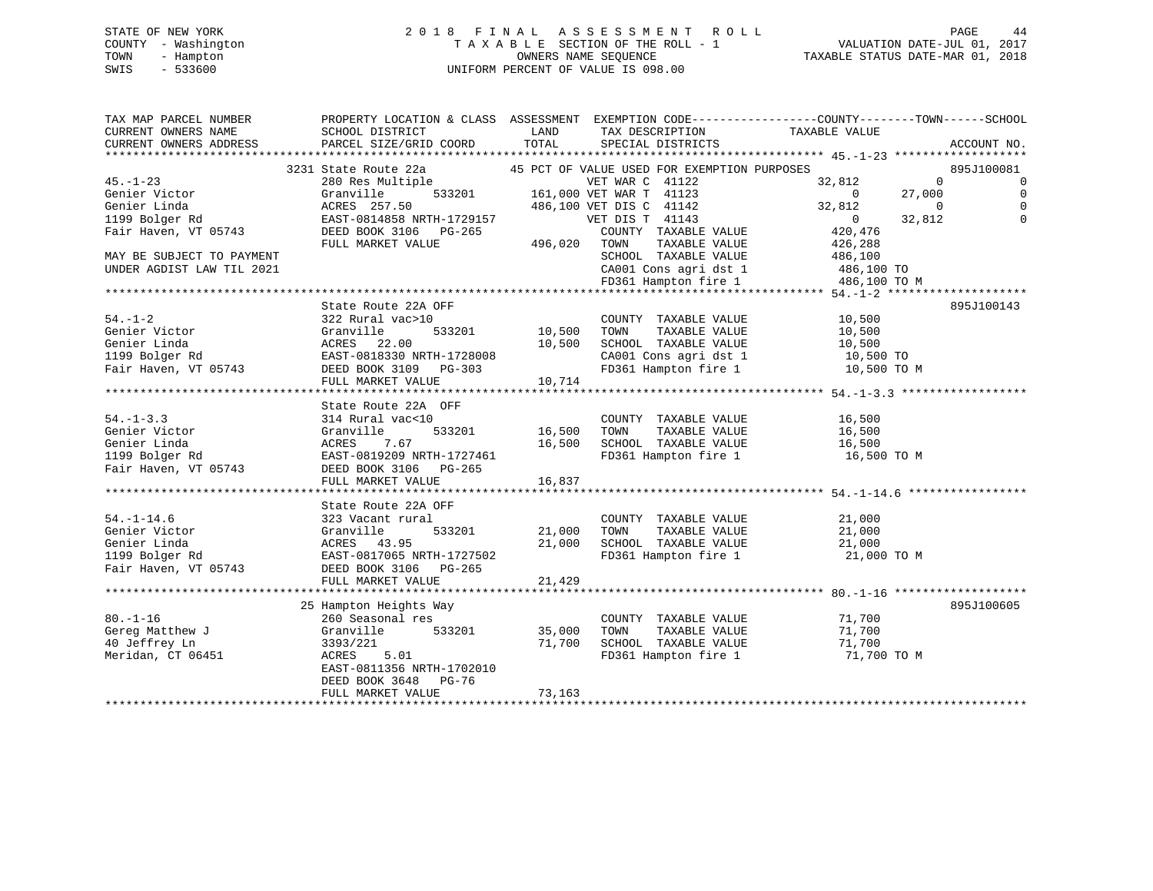#### STATE OF NEW YORK 2 0 1 8 F I N A L A S S E S S M E N T R O L L PAGE 44COUNTY - Washington T A X A B L E SECTION OF THE ROLL - 1 TOWN - Hampton OWNERS NAME SEQUENCE TAXABLE STATUS DATE-MAR 01, 2018 SWIS - 533600 UNIFORM PERCENT OF VALUE IS 098.00

TAX MAP PARCEL NUMBER PROPERTY LOCATION & CLASS ASSESSMENT EXEMPTION CODE------------------COUNTY--------TOWN------SCHOOL

VALUATION DATE-JUL 01, 2017

| CURRENT OWNERS NAME       | SCHOOL DISTRICT           | LAND    | TAX DESCRIPTION                             | TAXABLE VALUE  |                       |
|---------------------------|---------------------------|---------|---------------------------------------------|----------------|-----------------------|
| CURRENT OWNERS ADDRESS    | PARCEL SIZE/GRID COORD    | TOTAL   | SPECIAL DISTRICTS                           |                | ACCOUNT NO.           |
|                           |                           |         |                                             |                |                       |
|                           | 3231 State Route 22a      |         | 45 PCT OF VALUE USED FOR EXEMPTION PURPOSES |                | 895J100081            |
| 45.-1-23                  | 280 Res Multiple          |         | VET WAR C 41122                             | 32,812         | $\overline{0}$<br>0   |
| Genier Victor             | Granville<br>533201       |         | 161,000 VET WAR T 41123                     | $\overline{0}$ | 27,000<br>$\mathbf 0$ |
| Genier Linda              | ACRES 257.50              |         | 486,100 VET DIS C 41142                     | 32,812         | $\mathbf{0}$          |
| 1199 Bolger Rd            | EAST-0814858 NRTH-1729157 |         | VET DIS T 41143                             | $\overline{0}$ | 32,812<br>$\Omega$    |
| Fair Haven, VT 05743      | DEED BOOK 3106 PG-265     |         | COUNTY TAXABLE VALUE                        | 420,476        |                       |
|                           | FULL MARKET VALUE         | 496,020 | TOWN<br>TAXABLE VALUE                       | 426,288        |                       |
| MAY BE SUBJECT TO PAYMENT |                           |         | SCHOOL TAXABLE VALUE                        | 486,100        |                       |
| UNDER AGDIST LAW TIL 2021 |                           |         | CA001 Cons agri dst 1                       | 486,100 TO     |                       |
|                           |                           |         | FD361 Hampton fire 1                        | 486,100 TO M   |                       |
|                           |                           |         |                                             |                |                       |
|                           | State Route 22A OFF       |         |                                             |                | 895J100143            |
| $54. - 1 - 2$             | 322 Rural vac>10          |         | COUNTY TAXABLE VALUE                        | 10,500         |                       |
| Genier Victor             | Granville<br>533201       | 10,500  | TAXABLE VALUE<br>TOWN                       | 10,500         |                       |
| Genier Linda              | ACRES 22.00               | 10,500  | SCHOOL TAXABLE VALUE                        | 10,500         |                       |
| 1199 Bolger Rd            | EAST-0818330 NRTH-1728008 |         | CA001 Cons agri dst 1                       | 10,500 TO      |                       |
| Fair Haven, VT 05743      | DEED BOOK 3109 PG-303     |         | FD361 Hampton fire 1                        | 10,500 TO M    |                       |
|                           | FULL MARKET VALUE         | 10,714  |                                             |                |                       |
|                           |                           |         |                                             |                |                       |
|                           | State Route 22A OFF       |         |                                             |                |                       |
| $54. - 1 - 3.3$           | 314 Rural vac<10          |         | COUNTY TAXABLE VALUE                        | 16,500         |                       |
| Genier Victor             | 533201<br>Granville       | 16,500  | TAXABLE VALUE<br>TOWN                       | 16,500         |                       |
| Genier Linda              | ACRES<br>7.67             | 16,500  | SCHOOL TAXABLE VALUE                        | 16,500         |                       |
| 1199 Bolger Rd            | EAST-0819209 NRTH-1727461 |         | FD361 Hampton fire 1                        | 16,500 TO M    |                       |
| Fair Haven, VT 05743      | DEED BOOK 3106 PG-265     |         |                                             |                |                       |
|                           | FULL MARKET VALUE         | 16,837  |                                             |                |                       |
|                           |                           |         |                                             |                |                       |
|                           | State Route 22A OFF       |         |                                             |                |                       |
| $54. - 1 - 14.6$          | 323 Vacant rural          |         | COUNTY TAXABLE VALUE                        | 21,000         |                       |
| Genier Victor             | 533201<br>Granville       | 21,000  | TOWN<br>TAXABLE VALUE                       | 21,000         |                       |
| Genier Linda              | ACRES 43.95               | 21,000  | SCHOOL TAXABLE VALUE                        | 21,000         |                       |
| 1199 Bolger Rd            | EAST-0817065 NRTH-1727502 |         | FD361 Hampton fire 1                        | 21,000 TO M    |                       |
| Fair Haven, VT 05743      | DEED BOOK 3106 PG-265     |         |                                             |                |                       |
|                           | FULL MARKET VALUE         | 21,429  |                                             |                |                       |
|                           |                           |         |                                             |                |                       |
|                           | 25 Hampton Heights Way    |         |                                             |                | 895J100605            |
| $80. - 1 - 16$            | 260 Seasonal res          |         | COUNTY TAXABLE VALUE                        | 71,700         |                       |
| Gereg Matthew J           | Granville<br>533201       | 35,000  | TAXABLE VALUE<br>TOWN                       | 71,700         |                       |
| 40 Jeffrey Ln             | 3393/221                  | 71,700  | SCHOOL TAXABLE VALUE                        | 71,700         |                       |
| Meridan, CT 06451         | ACRES<br>5.01             |         | FD361 Hampton fire 1                        | 71,700 TO M    |                       |
|                           | EAST-0811356 NRTH-1702010 |         |                                             |                |                       |
|                           | DEED BOOK 3648<br>PG-76   |         |                                             |                |                       |
|                           | FULL MARKET VALUE         | 73,163  |                                             |                |                       |
|                           |                           |         |                                             |                |                       |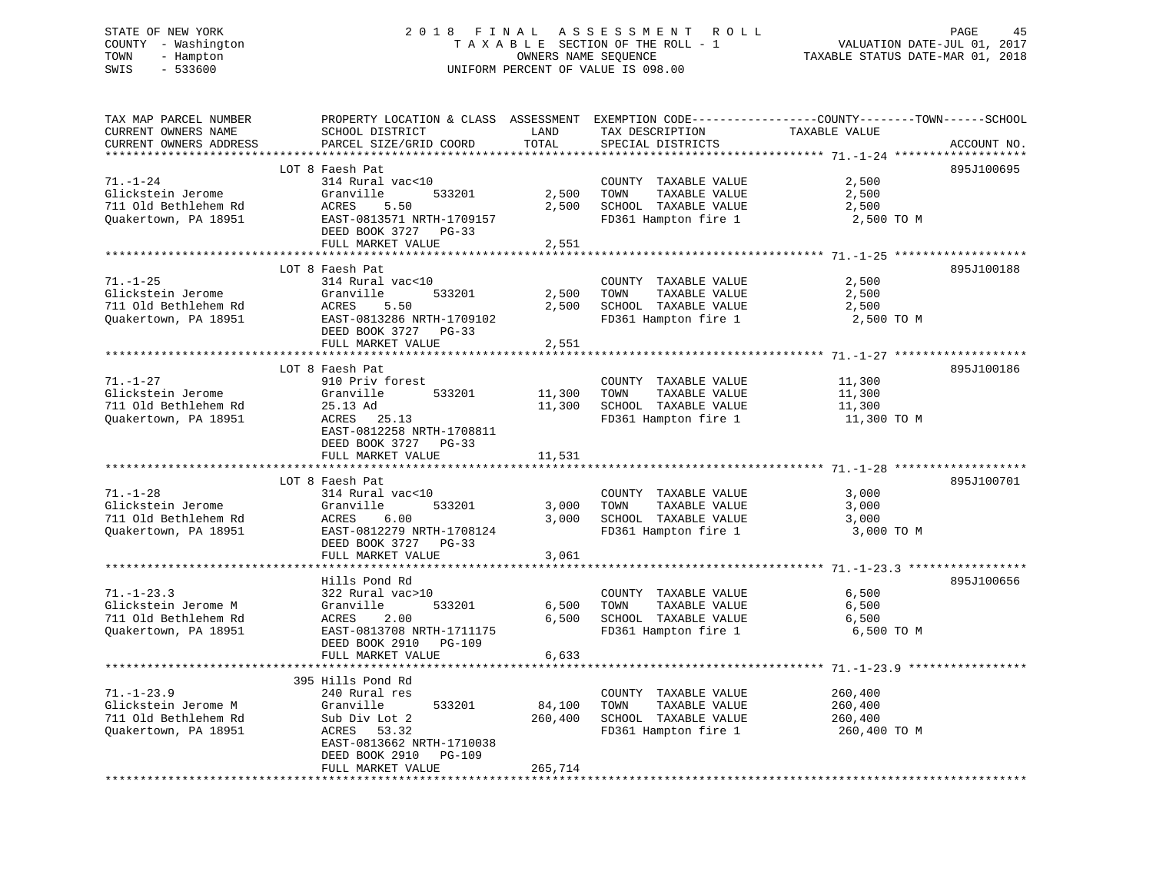# STATE OF NEW YORK 2 0 1 8 F I N A L A S S E S S M E N T R O L L PAGE 45 COUNTY - Washington T A X A B L E SECTION OF THE ROLL - 1 VALUATION DATE-JUL 01, 2017 TOWN - Hampton OWNERS NAME SEQUENCE TAXABLE STATUS DATE-MAR 01, 2018 SWIS - 533600 UNIFORM PERCENT OF VALUE IS 098.00

| TAX MAP PARCEL NUMBER  | PROPERTY LOCATION & CLASS ASSESSMENT EXEMPTION CODE----------------COUNTY-------TOWN-----SCHOOL |                      |                                                                                       |               |             |
|------------------------|-------------------------------------------------------------------------------------------------|----------------------|---------------------------------------------------------------------------------------|---------------|-------------|
| CURRENT OWNERS NAME    | SCHOOL DISTRICT                                                                                 | LAND                 | TAX DESCRIPTION                                                                       | TAXABLE VALUE |             |
| CURRENT OWNERS ADDRESS | PARCEL SIZE/GRID COORD                                                                          | TOTAL                | SPECIAL DISTRICTS                                                                     |               | ACCOUNT NO. |
|                        |                                                                                                 |                      |                                                                                       |               |             |
|                        | LOT 8 Faesh Pat                                                                                 |                      |                                                                                       |               | 895J100695  |
| $71. - 1 - 24$         | 314 Rural vac<10                                                                                |                      | COUNTY TAXABLE VALUE                                                                  | 2,500         |             |
| Glickstein Jerome      | Granville<br>533201                                                                             |                      | TAXABLE VALUE<br>2,500 TOWN                                                           | 2,500         |             |
| 711 Old Bethlehem Rd   | ACRES<br>5.50                                                                                   |                      | 2,500 SCHOOL TAXABLE VALUE                                                            | 2,500         |             |
| Quakertown, PA 18951   | EAST-0813571 NRTH-1709157                                                                       |                      | FD361 Hampton fire 1                                                                  | 2,500 TO M    |             |
|                        | DEED BOOK 3727 PG-33                                                                            |                      |                                                                                       |               |             |
|                        | FULL MARKET VALUE                                                                               |                      |                                                                                       |               |             |
|                        |                                                                                                 | 2,551                |                                                                                       |               |             |
|                        |                                                                                                 |                      |                                                                                       |               |             |
|                        | LOT 8 Faesh Pat                                                                                 |                      |                                                                                       |               | 895J100188  |
| $71. - 1 - 25$         | 314 Rural vac<10                                                                                |                      | COUNTY TAXABLE VALUE                                                                  | 2,500         |             |
| Glickstein Jerome      | 533201<br>Granville                                                                             |                      | 2,500 TOWN<br>TAXABLE VALUE<br>2,500 TOWN TAXABLE VALUE<br>2,500 SCHOOL TAXABLE VALUE | 2,500         |             |
| 711 Old Bethlehem Rd   | ACRES<br>5.50                                                                                   |                      |                                                                                       | 2,500         |             |
| Quakertown, PA 18951   | EAST-0813286 NRTH-1709102                                                                       |                      | FD361 Hampton fire 1                                                                  | 2,500 TO M    |             |
|                        | DEED BOOK 3727 PG-33                                                                            |                      |                                                                                       |               |             |
|                        | FULL MARKET VALUE                                                                               | 2,551                |                                                                                       |               |             |
|                        |                                                                                                 |                      |                                                                                       |               |             |
|                        | LOT 8 Faesh Pat                                                                                 |                      |                                                                                       |               | 895J100186  |
| $71. - 1 - 27$         | 910 Priv forest                                                                                 |                      | COUNTY TAXABLE VALUE                                                                  | 11,300        |             |
| Glickstein Jerome      | Granville<br>533201                                                                             | COUNT<br>11,300 TOWN | TAXABLE VALUE                                                                         | 11,300        |             |
| 711 Old Bethlehem Rd   | 25.13 Ad                                                                                        |                      | 11,300 SCHOOL TAXABLE VALUE                                                           | 11,300        |             |
| Quakertown, PA 18951   | ACRES 25.13                                                                                     |                      | FD361 Hampton fire 1                                                                  | 11,300 TO M   |             |
|                        | EAST-0812258 NRTH-1708811                                                                       |                      |                                                                                       |               |             |
|                        | DEED BOOK 3727 PG-33                                                                            |                      |                                                                                       |               |             |
|                        | FULL MARKET VALUE                                                                               | 11,531               |                                                                                       |               |             |
|                        |                                                                                                 |                      |                                                                                       |               |             |
|                        | LOT 8 Faesh Pat                                                                                 |                      |                                                                                       |               | 895J100701  |
| $71. - 1 - 28$         | 314 Rural vac<10                                                                                |                      |                                                                                       |               |             |
|                        |                                                                                                 |                      | COUNTY TAXABLE VALUE                                                                  | 3,000         |             |
| Glickstein Jerome      | Granville<br>533201                                                                             |                      | 3,000 TOWN<br>TAXABLE VALUE                                                           | 3,000         |             |
| 711 Old Bethlehem Rd   | ACRES<br>6.00                                                                                   |                      | 3,000 SCHOOL TAXABLE VALUE                                                            | 3,000         |             |
| Quakertown, PA 18951   | EAST-0812279 NRTH-1708124                                                                       |                      | FD361 Hampton fire 1                                                                  | 3,000 TO M    |             |
|                        | DEED BOOK 3727 PG-33                                                                            |                      |                                                                                       |               |             |
|                        | FULL MARKET VALUE                                                                               | 3,061                |                                                                                       |               |             |
|                        |                                                                                                 |                      |                                                                                       |               |             |
|                        | Hills Pond Rd                                                                                   |                      |                                                                                       |               | 895J100656  |
| $71. - 1 - 23.3$       | 322 Rural vac>10                                                                                |                      | COUNTY TAXABLE VALUE                                                                  | 6,500         |             |
| Glickstein Jerome M    | Granville<br>533201                                                                             |                      | TAXABLE VALUE<br>6,500 TOWN                                                           | 6,500         |             |
| 711 Old Bethlehem Rd   | ACRES<br>2.00                                                                                   |                      | 6,500 SCHOOL TAXABLE VALUE                                                            | 6,500         |             |
| Quakertown, PA 18951   | EAST-0813708 NRTH-1711175                                                                       |                      | FD361 Hampton fire 1                                                                  | 6,500 TO M    |             |
|                        | DEED BOOK 2910 PG-109                                                                           |                      |                                                                                       |               |             |
|                        | FULL MARKET VALUE                                                                               | 6,633                |                                                                                       |               |             |
|                        |                                                                                                 |                      |                                                                                       |               |             |
|                        | 395 Hills Pond Rd                                                                               |                      |                                                                                       |               |             |
| $71. - 1 - 23.9$       | 240 Rural res                                                                                   |                      | COUNTY TAXABLE VALUE                                                                  | 260,400       |             |
| Glickstein Jerome M    | Granville<br>533201                                                                             | 84,100               | TOWN<br>TAXABLE VALUE                                                                 | 260,400       |             |
| 711 Old Bethlehem Rd   | Sub Div Lot 2                                                                                   |                      | 260,400 SCHOOL TAXABLE VALUE                                                          | 260,400       |             |
| Quakertown, PA 18951   | ACRES 53.32                                                                                     |                      | FD361 Hampton fire 1                                                                  | 260,400 TO M  |             |
|                        |                                                                                                 |                      |                                                                                       |               |             |
|                        | EAST-0813662 NRTH-1710038                                                                       |                      |                                                                                       |               |             |
|                        | DEED BOOK 2910 PG-109                                                                           |                      |                                                                                       |               |             |
|                        | FULL MARKET VALUE                                                                               | 265,714              |                                                                                       |               |             |
|                        |                                                                                                 |                      |                                                                                       |               |             |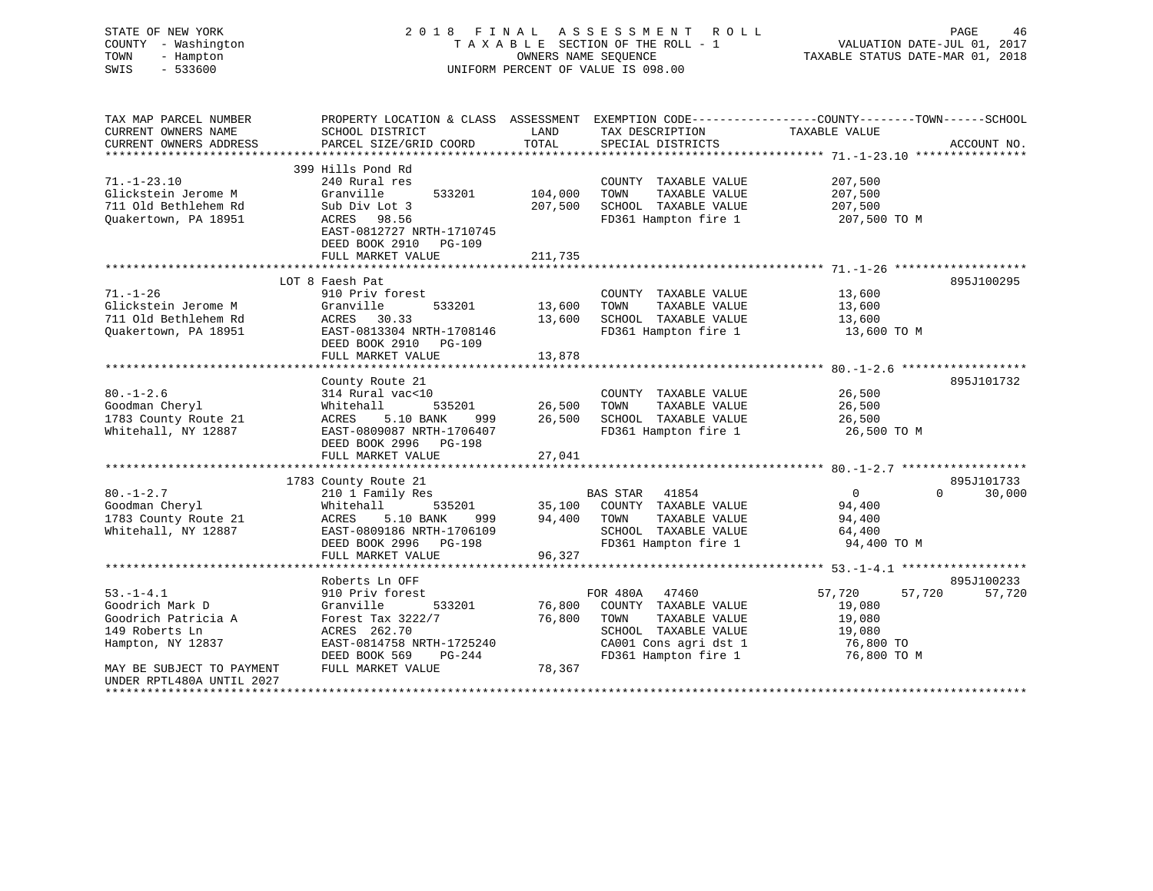| STATE OF NEW YORK<br>COUNTY - Washington<br>- Hampton<br>TOWN<br>SWIS<br>$-533600$ |                                                                                                                     |         | 2018 FINAL ASSESSMENT ROLL<br>TAXABLE SECTION OF THE ROLL - 1<br>OWNERS NAME SEOUENCE<br>UNIFORM PERCENT OF VALUE IS 098.00 | VALUATION DATE-JUL 01, 2017<br>TAXABLE STATUS DATE-MAR 01, 2018 | PAGE<br>46         |
|------------------------------------------------------------------------------------|---------------------------------------------------------------------------------------------------------------------|---------|-----------------------------------------------------------------------------------------------------------------------------|-----------------------------------------------------------------|--------------------|
| TAX MAP PARCEL NUMBER<br>CURRENT OWNERS NAME                                       | PROPERTY LOCATION & CLASS ASSESSMENT EXEMPTION CODE----------------COUNTY-------TOWN------SCHOOL<br>SCHOOL DISTRICT | LAND    | TAX DESCRIPTION                                                                                                             | TAXABLE VALUE                                                   |                    |
| CURRENT OWNERS ADDRESS                                                             | PARCEL SIZE/GRID COORD                                                                                              | TOTAL   | SPECIAL DISTRICTS                                                                                                           |                                                                 | ACCOUNT NO.        |
|                                                                                    |                                                                                                                     |         |                                                                                                                             |                                                                 |                    |
|                                                                                    | 399 Hills Pond Rd                                                                                                   |         |                                                                                                                             |                                                                 |                    |
| $71. - 1 - 23.10$                                                                  | 240 Rural res                                                                                                       |         | COUNTY TAXABLE VALUE                                                                                                        | 207,500                                                         |                    |
| Glickstein Jerome M                                                                | Granville<br>533201                                                                                                 | 104,000 | TAXABLE VALUE<br>TOWN                                                                                                       | 207,500                                                         |                    |
| 711 Old Bethlehem Rd                                                               | Sub Div Lot 3                                                                                                       | 207,500 | SCHOOL TAXABLE VALUE                                                                                                        | 207,500                                                         |                    |
| Quakertown, PA 18951                                                               | ACRES 98.56                                                                                                         |         | FD361 Hampton fire 1                                                                                                        | 207,500 TO M                                                    |                    |
|                                                                                    | EAST-0812727 NRTH-1710745<br>DEED BOOK 2910 PG-109                                                                  |         |                                                                                                                             |                                                                 |                    |
|                                                                                    | FULL MARKET VALUE                                                                                                   | 211,735 |                                                                                                                             |                                                                 |                    |
|                                                                                    |                                                                                                                     |         |                                                                                                                             |                                                                 |                    |
|                                                                                    | LOT 8 Faesh Pat                                                                                                     |         |                                                                                                                             |                                                                 | 895J100295         |
| $71. - 1 - 26$                                                                     | 910 Priv forest                                                                                                     |         | COUNTY TAXABLE VALUE                                                                                                        | 13,600                                                          |                    |
| Glickstein Jerome M                                                                | Granville<br>533201                                                                                                 | 13,600  | TOWN<br>TAXABLE VALUE                                                                                                       | 13,600                                                          |                    |
| 711 Old Bethlehem Rd                                                               | ACRES 30.33                                                                                                         | 13,600  | SCHOOL TAXABLE VALUE                                                                                                        | 13,600                                                          |                    |
| Quakertown, PA 18951                                                               | EAST-0813304 NRTH-1708146                                                                                           |         | FD361 Hampton fire 1                                                                                                        | 13,600 TO M                                                     |                    |
|                                                                                    | DEED BOOK 2910 PG-109                                                                                               |         |                                                                                                                             |                                                                 |                    |
|                                                                                    | FULL MARKET VALUE                                                                                                   | 13,878  |                                                                                                                             |                                                                 |                    |
|                                                                                    | County Route 21                                                                                                     |         |                                                                                                                             |                                                                 | 895J101732         |
| $80. - 1 - 2.6$                                                                    | 314 Rural vac<10                                                                                                    |         | COUNTY TAXABLE VALUE                                                                                                        | 26,500                                                          |                    |
| Goodman Cheryl                                                                     | Whitehall<br>535201                                                                                                 | 26,500  | TOWN<br>TAXABLE VALUE                                                                                                       | 26,500                                                          |                    |
| 1783 County Route 21                                                               | ACRES<br>5.10 BANK<br>999 — 1                                                                                       | 26,500  | SCHOOL TAXABLE VALUE                                                                                                        | 26,500                                                          |                    |
| Whitehall, NY 12887                                                                | EAST-0809087 NRTH-1706407                                                                                           |         | FD361 Hampton fire 1                                                                                                        | 26,500 TO M                                                     |                    |
|                                                                                    | DEED BOOK 2996 PG-198                                                                                               |         |                                                                                                                             |                                                                 |                    |
|                                                                                    | FULL MARKET VALUE                                                                                                   | 27,041  |                                                                                                                             |                                                                 |                    |
|                                                                                    |                                                                                                                     |         |                                                                                                                             |                                                                 |                    |
|                                                                                    | 1783 County Route 21                                                                                                |         |                                                                                                                             |                                                                 | 895J101733         |
| $80. - 1 - 2.7$                                                                    | 210 1 Family Res                                                                                                    |         | BAS STAR 41854                                                                                                              | $\overline{0}$                                                  | $\Omega$<br>30,000 |
| Goodman Cheryl<br>1783 County Route 21                                             | Whitehall<br>535201<br>ACRES<br>5.10 BANK<br>999                                                                    | 94,400  | 35,100 COUNTY TAXABLE VALUE<br>TAXABLE VALUE<br>TOWN                                                                        | 94,400<br>94,400                                                |                    |
| Whitehall, NY 12887                                                                | EAST-0809186 NRTH-1706109                                                                                           |         | SCHOOL TAXABLE VALUE                                                                                                        | 64,400                                                          |                    |
|                                                                                    | DEED BOOK 2996 PG-198                                                                                               |         | FD361 Hampton fire 1                                                                                                        | 94,400 TO M                                                     |                    |
|                                                                                    | FULL MARKET VALUE                                                                                                   | 96,327  |                                                                                                                             |                                                                 |                    |
|                                                                                    |                                                                                                                     |         |                                                                                                                             |                                                                 |                    |
|                                                                                    | Roberts Ln OFF                                                                                                      |         |                                                                                                                             |                                                                 | 895J100233         |
| $53. -1 - 4.1$                                                                     | 910 Priv forest                                                                                                     |         | FOR 480A 47460                                                                                                              | 57,720<br>57,720                                                | 57,720             |
| Goodrich Mark D                                                                    | Granville<br>533201                                                                                                 | 76,800  | COUNTY TAXABLE VALUE                                                                                                        | 19,080                                                          |                    |
| Goodrich Patricia A                                                                | Forest Tax 3222/7                                                                                                   | 76,800  | TAXABLE VALUE<br>TOWN                                                                                                       | 19,080                                                          |                    |
| 149 Roberts Ln                                                                     | ACRES 262.70                                                                                                        |         | SCHOOL TAXABLE VALUE                                                                                                        | 19,080                                                          |                    |
| Hampton, NY 12837                                                                  | EAST-0814758 NRTH-1725240                                                                                           |         | CA001 Cons agri dst 1                                                                                                       | 76,800 TO                                                       |                    |
|                                                                                    | DEED BOOK 569<br>PG-244                                                                                             |         | FD361 Hampton fire 1                                                                                                        | 76,800 TO M                                                     |                    |
| MAY BE SUBJECT TO PAYMENT<br>UNDER RPTL480A UNTIL 2027                             | FULL MARKET VALUE                                                                                                   | 78,367  |                                                                                                                             |                                                                 |                    |
|                                                                                    |                                                                                                                     |         |                                                                                                                             |                                                                 |                    |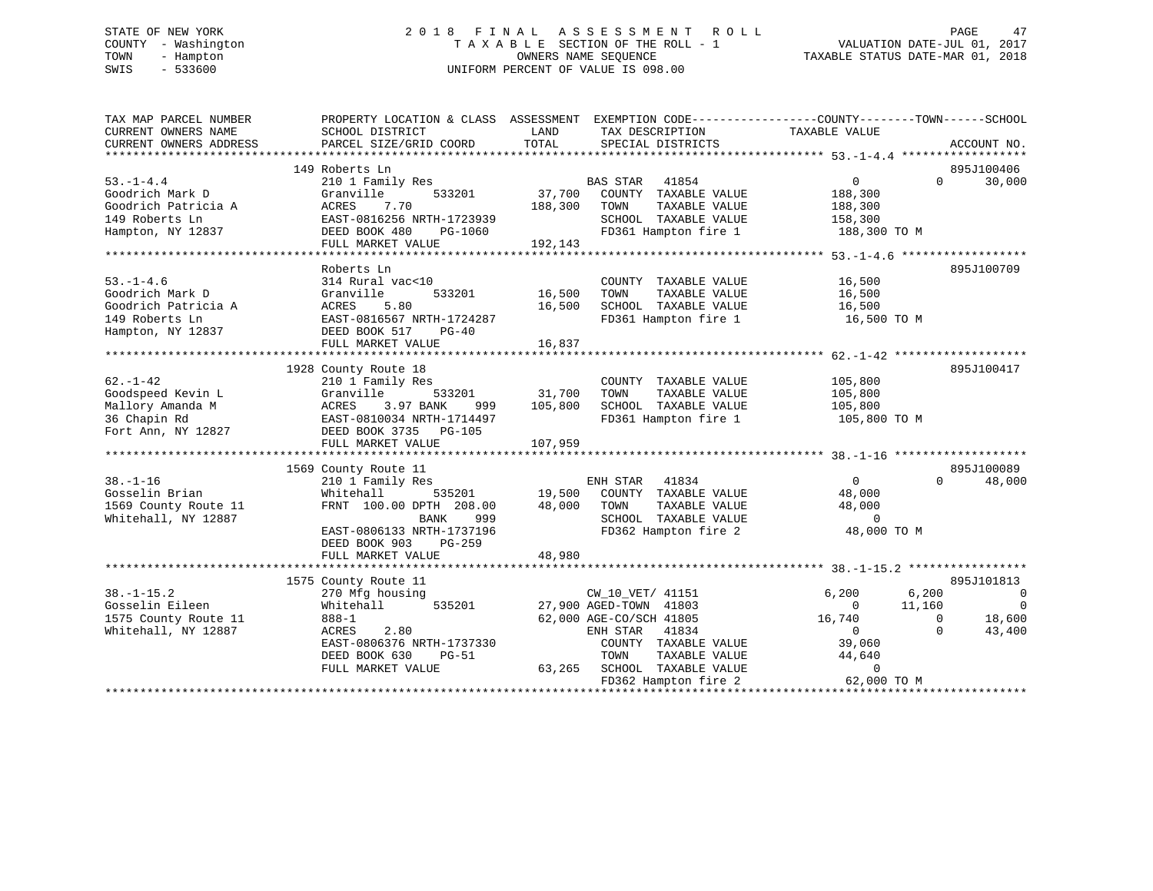# STATE OF NEW YORK 2 0 1 8 F I N A L A S S E S S M E N T R O L L PAGE 47 COUNTY - Washington T A X A B L E SECTION OF THE ROLL - 1 VALUATION DATE-JUL 01, 2017 TOWN - Hampton OWNERS NAME SEQUENCE TAXABLE STATUS DATE-MAR 01, 2018 SWIS - 533600 UNIFORM PERCENT OF VALUE IS 098.00

| TAX MAP PARCEL NUMBER<br>CURRENT OWNERS NAME<br>CURRENT OWNERS ADDRESS | PROPERTY LOCATION & CLASS ASSESSMENT EXEMPTION CODE----------------COUNTY-------TOWN------SCHOOL<br>SCHOOL DISTRICT<br>PARCEL SIZE/GRID COORD | LAND<br>TOTAL | TAX DESCRIPTION<br>SPECIAL DISTRICTS              | TAXABLE VALUE            | ACCOUNT NO.             |
|------------------------------------------------------------------------|-----------------------------------------------------------------------------------------------------------------------------------------------|---------------|---------------------------------------------------|--------------------------|-------------------------|
|                                                                        |                                                                                                                                               |               |                                                   |                          |                         |
|                                                                        | 149 Roberts Ln                                                                                                                                |               |                                                   |                          | 895J100406              |
| $53. - 1 - 4.4$                                                        | 210 1 Family Res                                                                                                                              |               | BAS STAR<br>41854                                 | $\overline{0}$           | 30,000<br>$\Omega$      |
| Goodrich Mark D                                                        | 533201<br>Granville                                                                                                                           | 37,700        | COUNTY TAXABLE VALUE                              | 188,300                  |                         |
| Goodrich Patricia A                                                    | ACRES<br>7.70                                                                                                                                 | 188,300       | TAXABLE VALUE<br>TOWN                             | 188,300                  |                         |
| 149 Roberts Ln                                                         | EAST-0816256 NRTH-1723939                                                                                                                     |               | SCHOOL TAXABLE VALUE                              | 158,300                  |                         |
| Hampton, NY 12837                                                      | DEED BOOK 480<br>PG-1060                                                                                                                      |               | FD361 Hampton fire 1                              | 188,300 TO M             |                         |
|                                                                        | FULL MARKET VALUE                                                                                                                             | 192,143       |                                                   |                          |                         |
|                                                                        |                                                                                                                                               |               |                                                   |                          |                         |
|                                                                        | Roberts Ln                                                                                                                                    |               |                                                   |                          | 895J100709              |
| $53. - 1 - 4.6$                                                        | 314 Rural vac<10                                                                                                                              |               | COUNTY TAXABLE VALUE                              | 16,500                   |                         |
| Goodrich Mark D                                                        | Granville<br>533201                                                                                                                           | 16,500        | TOWN<br>TAXABLE VALUE                             | 16,500                   |                         |
| Goodrich Patricia A                                                    | ACRES<br>5.80                                                                                                                                 | 16,500        | SCHOOL TAXABLE VALUE                              | 16,500                   |                         |
| 149 Roberts Ln                                                         | EAST-0816567 NRTH-1724287                                                                                                                     |               | FD361 Hampton fire 1                              | 16,500 TO M              |                         |
| Hampton, NY 12837                                                      | DEED BOOK 517<br>$PG-40$                                                                                                                      |               |                                                   |                          |                         |
|                                                                        | FULL MARKET VALUE                                                                                                                             | 16,837        |                                                   |                          |                         |
|                                                                        |                                                                                                                                               |               |                                                   |                          |                         |
|                                                                        | 1928 County Route 18                                                                                                                          |               |                                                   |                          | 895J100417              |
| $62. - 1 - 42$                                                         | 210 1 Family Res                                                                                                                              |               | COUNTY TAXABLE VALUE                              | 105,800                  |                         |
| Goodspeed Kevin L                                                      | Granville<br>533201                                                                                                                           | 31,700        | TOWN<br>TAXABLE VALUE                             | 105,800                  |                         |
| Mallory Amanda M                                                       | ACRES<br>3.97 BANK<br>999                                                                                                                     | 105,800       | SCHOOL TAXABLE VALUE                              | 105,800                  |                         |
| 36 Chapin Rd                                                           | EAST-0810034 NRTH-1714497                                                                                                                     |               | FD361 Hampton fire 1                              | 105,800 TO M             |                         |
| Fort Ann, NY 12827                                                     | DEED BOOK 3735 PG-105                                                                                                                         |               |                                                   |                          |                         |
|                                                                        | FULL MARKET VALUE                                                                                                                             | 107,959       |                                                   |                          |                         |
|                                                                        |                                                                                                                                               |               |                                                   |                          |                         |
|                                                                        | 1569 County Route 11                                                                                                                          |               |                                                   |                          | 895J100089              |
| $38. - 1 - 16$                                                         | 210 1 Family Res                                                                                                                              |               | ENH STAR<br>41834                                 | $\Omega$                 | $\Omega$<br>48,000      |
| Gosselin Brian                                                         | Whitehall<br>535201                                                                                                                           | 19,500        | COUNTY TAXABLE VALUE                              | 48,000                   |                         |
| 1569 County Route 11                                                   | FRNT 100.00 DPTH 208.00                                                                                                                       | 48,000        | TOWN<br>TAXABLE VALUE                             | 48,000                   |                         |
| Whitehall, NY 12887                                                    | 999<br>BANK                                                                                                                                   |               | SCHOOL TAXABLE VALUE                              | $\overline{0}$           |                         |
|                                                                        | EAST-0806133 NRTH-1737196                                                                                                                     |               | FD362 Hampton fire 2                              | 48,000 TO M              |                         |
|                                                                        | DEED BOOK 903<br>PG-259                                                                                                                       |               |                                                   |                          |                         |
|                                                                        | FULL MARKET VALUE                                                                                                                             | 48,980        |                                                   |                          |                         |
|                                                                        |                                                                                                                                               |               |                                                   |                          |                         |
| $38. - 1 - 15.2$                                                       | 1575 County Route 11                                                                                                                          |               |                                                   |                          | 895J101813              |
|                                                                        | 270 Mfg housing                                                                                                                               |               | CW_10_VET/ 41151                                  | 6,200<br>6,200           | $\overline{0}$          |
| Gosselin Eileen<br>1575 County Route 11                                | 535201<br>Whitehall<br>$888 - 1$                                                                                                              |               | 27,900 AGED-TOWN 41803<br>62,000 AGE-CO/SCH 41805 | 11,160<br>$\Omega$       | 0<br>18,600<br>$\Omega$ |
|                                                                        | ACRES<br>2.80                                                                                                                                 |               | ENH STAR<br>41834                                 | 16,740<br>$\overline{0}$ | $\Omega$                |
| Whitehall, NY 12887                                                    |                                                                                                                                               |               |                                                   |                          | 43,400                  |
|                                                                        | EAST-0806376 NRTH-1737330<br>DEED BOOK 630                                                                                                    |               | COUNTY TAXABLE VALUE<br>TOWN                      | 39,060                   |                         |
|                                                                        | PG-51<br>FULL MARKET VALUE                                                                                                                    |               | TAXABLE VALUE<br>63,265 SCHOOL TAXABLE VALUE      | 44,640<br>$\Omega$       |                         |
|                                                                        |                                                                                                                                               |               | FD362 Hampton fire 2                              | 62,000 TO M              |                         |
|                                                                        |                                                                                                                                               |               |                                                   |                          |                         |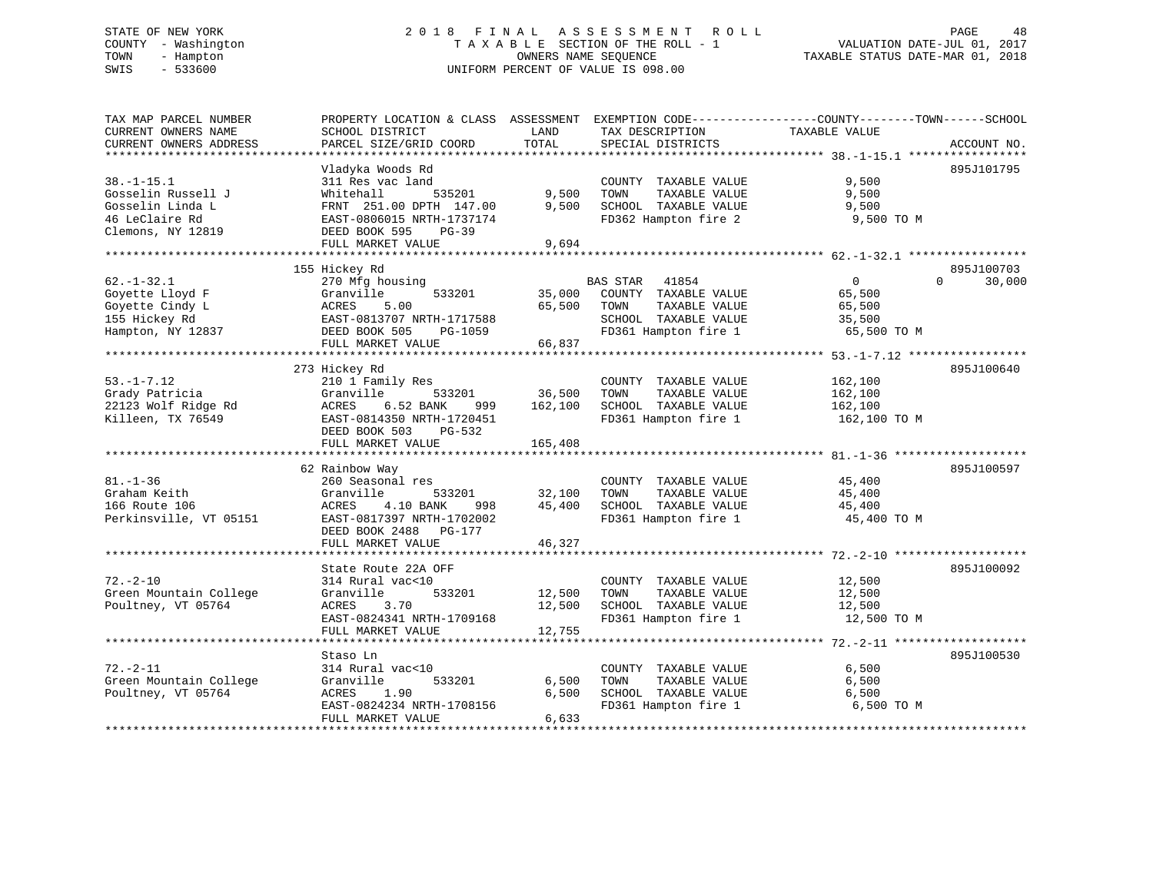# STATE OF NEW YORK 2 0 1 8 F I N A L A S S E S S M E N T R O L L PAGE 48 COUNTY - Washington T A X A B L E SECTION OF THE ROLL - 1 VALUATION DATE-JUL 01, 2017 TOWN - Hampton OWNERS NAME SEQUENCE TAXABLE STATUS DATE-MAR 01, 2018 SWIS - 533600 UNIFORM PERCENT OF VALUE IS 098.00

| TAX MAP PARCEL NUMBER                                         | PROPERTY LOCATION & CLASS ASSESSMENT EXEMPTION CODE----------------COUNTY-------TOWN-----SCHOOL |                       |                                               |                |                    |
|---------------------------------------------------------------|-------------------------------------------------------------------------------------------------|-----------------------|-----------------------------------------------|----------------|--------------------|
| CURRENT OWNERS NAME                                           | SCHOOL DISTRICT                                                                                 | LAND                  | TAX DESCRIPTION                               | TAXABLE VALUE  |                    |
| CURRENT OWNERS ADDRESS                                        | PARCEL SIZE/GRID COORD                                                                          | TOTAL                 | SPECIAL DISTRICTS                             |                | ACCOUNT NO.        |
| **********************                                        |                                                                                                 |                       |                                               |                |                    |
|                                                               | Vladyka Woods Rd                                                                                |                       |                                               |                | 895J101795         |
| $38. - 1 - 15.1$                                              | 311 Res vac land                                                                                |                       | COUNTY TAXABLE VALUE                          | 9,500          |                    |
| Gosselin Russell J                                            | Whitehall<br>535201                                                                             | 9,500                 | TOWN<br>TAXABLE VALUE                         | 9,500          |                    |
| Gosselin Linda L                                              | FRNT 251.00 DPTH 147.00                                                                         | 9.500                 | SCHOOL TAXABLE VALUE                          | 9,500          |                    |
| 46 LeClaire Rd                                                | EAST-0806015 NRTH-1737174                                                                       |                       | FD362 Hampton fire 2                          | 9,500 TO M     |                    |
| Clemons, NY 12819                                             | DEED BOOK 595<br>$PG-39$                                                                        |                       |                                               |                |                    |
|                                                               | FULL MARKET VALUE                                                                               | 9,694                 |                                               |                |                    |
|                                                               |                                                                                                 | **************        |                                               |                |                    |
|                                                               | 155 Hickey Rd                                                                                   |                       |                                               |                | 895J100703         |
| $62. - 1 - 32.1$                                              | 270 Mfg housing                                                                                 |                       |                                               | $\overline{0}$ | $\Omega$<br>30,000 |
| Goyette Lloyd F                                               | 533201<br>Granville                                                                             |                       | BAS STAR 41854<br>35,000 COUNTY TAXABLE VALUE | 65,500         |                    |
| Goyette Cindy L                                               | ACRES<br>5.00                                                                                   | 65,500 TOWN           | TAXABLE VALUE                                 | 65,500         |                    |
| 155 Hickey Rd                                                 | EAST-0813707 NRTH-1717588                                                                       |                       | SCHOOL TAXABLE VALUE                          | 35,500         |                    |
| Hampton, NY 12837                                             | DEED BOOK 505<br>PG-1059                                                                        |                       | FD361 Hampton fire 1                          | 65,500 TO M    |                    |
|                                                               | FULL MARKET VALUE                                                                               | 66,837                |                                               |                |                    |
|                                                               |                                                                                                 |                       |                                               |                |                    |
|                                                               | 273 Hickey Rd                                                                                   |                       |                                               |                | 895J100640         |
| $53. - 1 - 7.12$                                              | 210 1 Family Res                                                                                |                       | COUNTY TAXABLE VALUE                          | 162,100        |                    |
| Grady Patricia                                                | Granville<br>533201                                                                             | COUNTY<br>36,500 TOWN | TAXABLE VALUE                                 | 162,100        |                    |
|                                                               | ACRES<br>6.52 BANK                                                                              | 162,100               | SCHOOL TAXABLE VALUE                          |                |                    |
| 22123 Wolf Ridge Rd<br>Killeen. TX 76549<br>Killeen, TX 76549 | 999<br>EAST-0814350 NRTH-1720451                                                                |                       | FD361 Hampton fire 1                          | 162,100        |                    |
|                                                               |                                                                                                 |                       |                                               | 162,100 TO M   |                    |
|                                                               | DEED BOOK 503 PG-532                                                                            |                       |                                               |                |                    |
|                                                               | FULL MARKET VALUE                                                                               | 165,408               |                                               |                |                    |
|                                                               | 62 Rainbow Way                                                                                  |                       |                                               |                | 895J100597         |
| $81. - 1 - 36$                                                |                                                                                                 |                       |                                               |                |                    |
| Graham Keith                                                  | 260 Seasonal res                                                                                |                       | COUNTY TAXABLE VALUE 45,400                   |                |                    |
|                                                               | Granville<br>533201                                                                             |                       | 32,100 TOWN<br>TAXABLE VALUE                  | 45,400         |                    |
| 166 Route 106                                                 | ACRES<br>4.10 BANK<br>998                                                                       |                       | 45,400 SCHOOL TAXABLE VALUE                   | 45,400         |                    |
| Perkinsville, VT 05151                                        | EAST-0817397 NRTH-1702002                                                                       |                       | FD361 Hampton fire 1                          | 45,400 TO M    |                    |
|                                                               | DEED BOOK 2488 PG-177                                                                           |                       |                                               |                |                    |
|                                                               | FULL MARKET VALUE                                                                               | 46,327                |                                               |                |                    |
|                                                               |                                                                                                 |                       |                                               |                |                    |
|                                                               | State Route 22A OFF                                                                             |                       |                                               |                | 895J100092         |
| $72. - 2 - 10$                                                | 314 Rural vac<10                                                                                |                       | COUNTY TAXABLE VALUE 12,500                   |                |                    |
| Green Mountain College                                        | 533201<br>Granville                                                                             |                       | 12,500 TOWN<br>TAXABLE VALUE                  | 12,500         |                    |
| Poultney, VT 05764                                            | 3.70<br>ACRES                                                                                   |                       | 12,500 SCHOOL TAXABLE VALUE                   | 12,500         |                    |
|                                                               | EAST-0824341 NRTH-1709168                                                                       |                       | FD361 Hampton fire 1                          | 12,500 TO M    |                    |
|                                                               | FULL MARKET VALUE                                                                               | 12,755                |                                               |                |                    |
|                                                               |                                                                                                 |                       |                                               |                |                    |
|                                                               | Staso Ln                                                                                        |                       |                                               |                | 895J100530         |
| $72. - 2 - 11$                                                | 314 Rural vac<10                                                                                |                       | COUNTY TAXABLE VALUE                          | 6,500          |                    |
| Green Mountain College                                        | 533201<br>Granville                                                                             | 6,500                 | TOWN<br>TAXABLE VALUE                         | 6,500          |                    |
| Poultney, VT 05764                                            | ACRES 1.90                                                                                      | 6,500                 | SCHOOL TAXABLE VALUE                          | 6,500          |                    |
|                                                               | EAST-0824234 NRTH-1708156                                                                       |                       | FD361 Hampton fire 1                          | 6,500 TO M     |                    |
|                                                               | FULL MARKET VALUE                                                                               | 6,633                 |                                               |                |                    |
|                                                               |                                                                                                 |                       |                                               |                |                    |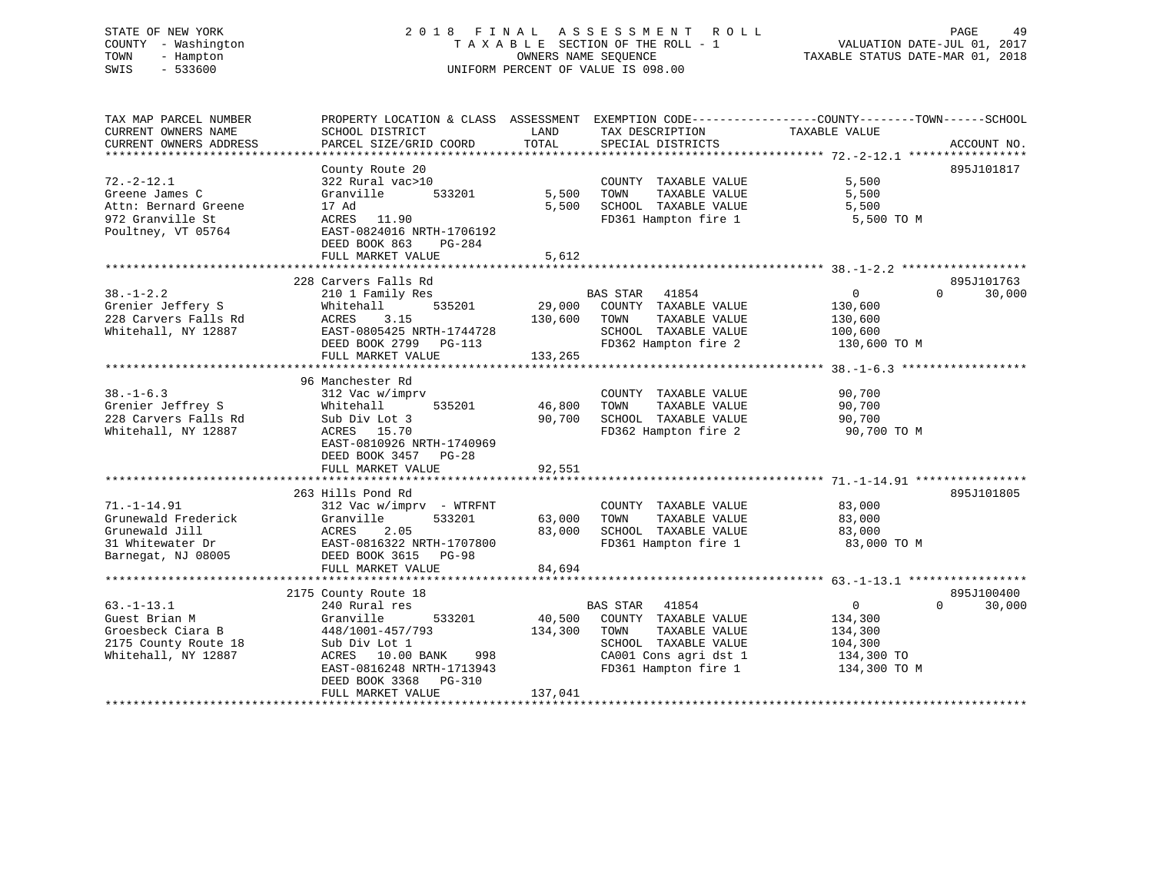# STATE OF NEW YORK 2 0 1 8 F I N A L A S S E S S M E N T R O L L PAGE 49 COUNTY - Washington T A X A B L E SECTION OF THE ROLL - 1 VALUATION DATE-JUL 01, 2017 TOWN - Hampton OWNERS NAME SEQUENCE TAXABLE STATUS DATE-MAR 01, 2018 SWIS - 533600 UNIFORM PERCENT OF VALUE IS 098.00

| TAX MAP PARCEL NUMBER<br>CURRENT OWNERS NAME<br>CURRENT OWNERS ADDRESS                                | SCHOOL DISTRICT<br>PARCEL SIZE/GRID COORD                                                                                                                                                               | LAND<br>TAX DESCRIPTION<br>TOTAL<br>SPECIAL DISTRICTS                                                                                                                    | PROPERTY LOCATION & CLASS ASSESSMENT EXEMPTION CODE----------------COUNTY-------TOWN------SCHOOL<br>TAXABLE VALUE<br>ACCOUNT NO. |
|-------------------------------------------------------------------------------------------------------|---------------------------------------------------------------------------------------------------------------------------------------------------------------------------------------------------------|--------------------------------------------------------------------------------------------------------------------------------------------------------------------------|----------------------------------------------------------------------------------------------------------------------------------|
| $72. - 2 - 12.1$<br>Greene James C<br>Attn: Bernard Greene<br>972 Granville St<br>Poultney, VT 05764  | County Route 20<br>322 Rural vac>10<br>Granville<br>533201<br>17 Ad<br>ACRES 11.90<br>EAST-0824016 NRTH-1706192<br>DEED BOOK 863<br>PG-284<br>FULL MARKET VALUE                                         | COUNTY TAXABLE VALUE<br>5,500<br>TOWN<br>TAXABLE VALUE<br>5,500<br>SCHOOL TAXABLE VALUE<br>FD361 Hampton fire 1<br>5,612                                                 | 895J101817<br>5,500<br>5,500<br>5,500<br>5,500 TO M                                                                              |
| $38. - 1 - 2.2$<br>Grenier Jeffery S<br>228 Carvers Falls Rd<br>Whitehall, NY 12887                   | 228 Carvers Falls Rd<br>210 1 Family Res<br>535201<br>Whitehall<br>ACRES<br>3.15<br>EAST-0805425 NRTH-1744728<br>DEED BOOK 2799 PG-113<br>FULL MARKET VALUE                                             | BAS STAR 41854<br>29,000<br>COUNTY TAXABLE VALUE<br>130,600<br>TOWN<br>TAXABLE VALUE<br>SCHOOL TAXABLE VALUE<br>FD362 Hampton fire 2<br>133,265                          | 895J101763<br>$\sim$ 0<br>$\Omega$<br>30,000<br>130,600<br>130,600<br>100,600<br>130,600 TO M                                    |
| $38. - 1 - 6.3$<br>Grenier Jeffrey S<br>228 Carvers Falls Rd<br>Whitehall, NY 12887                   | 96 Manchester Rd<br>312 Vac w/imprv<br>Whitehall<br>535201<br>Sub Div Lot 3<br>ACRES 15.70<br>EAST-0810926 NRTH-1740969<br>DEED BOOK 3457 PG-28<br>FULL MARKET VALUE                                    | COUNTY TAXABLE VALUE<br>46,800<br>TAXABLE VALUE<br>TOWN<br>90,700<br>SCHOOL TAXABLE VALUE<br>FD362 Hampton fire 2<br>92,551                                              | 90,700<br>90,700<br>90,700<br>90,700 TO M                                                                                        |
| $71. - 1 - 14.91$<br>Grunewald Frederick<br>Grunewald Jill<br>31 Whitewater Dr<br>Barnegat, NJ 08005  | 263 Hills Pond Rd<br>$312$ Vac w/imprv - WTRFNT<br>Granville<br>533201<br>ACRES<br>2.05<br>EAST-0816322 NRTH-1707800<br>DEED BOOK 3615 PG-98<br>FULL MARKET VALUE                                       | COUNTY TAXABLE VALUE<br>63,000<br>TAXABLE VALUE<br>TOWN<br>83,000<br>SCHOOL TAXABLE VALUE<br>FD361 Hampton fire 1<br>84,694                                              | 895J101805<br>83,000<br>83,000<br>83,000<br>83,000 TO M                                                                          |
| $63. - 1 - 13.1$<br>Guest Brian M<br>Groesbeck Ciara B<br>2175 County Route 18<br>Whitehall, NY 12887 | 2175 County Route 18<br>240 Rural res<br>Granville<br>533201<br>448/1001-457/793<br>Sub Div Lot 1<br>ACRES 10.00 BANK<br>998<br>EAST-0816248 NRTH-1713943<br>DEED BOOK 3368 PG-310<br>FULL MARKET VALUE | BAS STAR 41854<br>40,500<br>COUNTY TAXABLE VALUE<br>134,300<br>TOWN<br>TAXABLE VALUE<br>SCHOOL TAXABLE VALUE<br>CA001 Cons agri dst 1<br>FD361 Hampton fire 1<br>137,041 | 895J100400<br>$\overline{0}$<br>$\Omega$<br>30,000<br>134,300<br>134,300<br>104,300<br>134,300 TO<br>134,300 TO M                |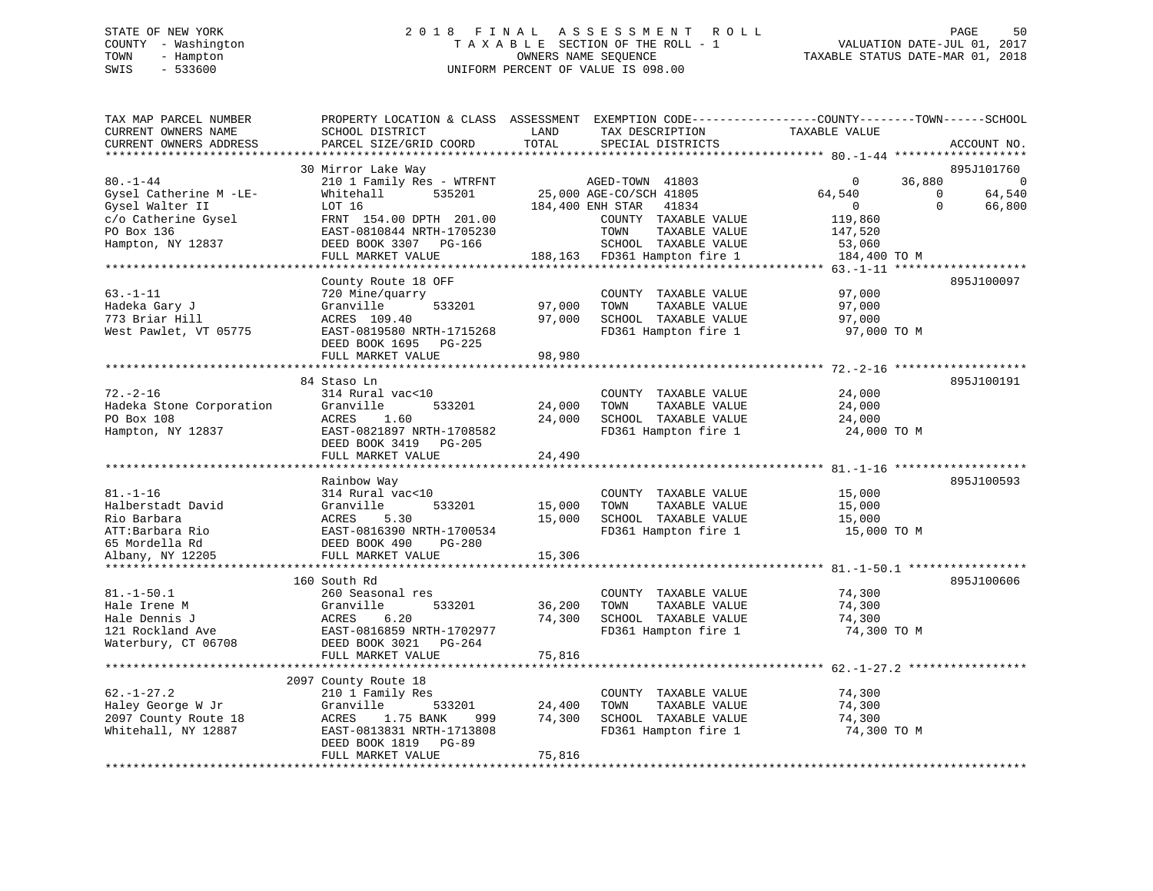# STATE OF NEW YORK 2 0 1 8 F I N A L A S S E S S M E N T R O L L PAGE 50 COUNTY - Washington T A X A B L E SECTION OF THE ROLL - 1 VALUATION DATE-JUL 01, 2017 TOWN - Hampton OWNERS NAME SEQUENCE TAXABLE STATUS DATE-MAR 01, 2018 SWIS - 533600 UNIFORM PERCENT OF VALUE IS 098.00

TAX MAP PARCEL NUMBER PROPERTY LOCATION & CLASS ASSESSMENT EXEMPTION CODE------------------COUNTY--------TOWN------SCHOOL

| CURRENT OWNERS NAME      | SCHOOL DISTRICT           | LAND   | TAX DESCRIPTION              | TAXABLE VALUE                           |                    |
|--------------------------|---------------------------|--------|------------------------------|-----------------------------------------|--------------------|
| CURRENT OWNERS ADDRESS   | PARCEL SIZE/GRID COORD    | TOTAL  | SPECIAL DISTRICTS            |                                         | ACCOUNT NO.        |
|                          |                           |        |                              | ****************** 80. -1-44 ********** |                    |
|                          | 30 Mirror Lake Way        |        |                              |                                         | 895J101760         |
| $80. - 1 - 44$           | 210 1 Family Res - WTRFNT |        | AGED-TOWN 41803              | $\mathbf{0}$                            | 36,880<br>C        |
| Gysel Catherine M -LE-   | Whitehall<br>535201       |        | 25,000 AGE-CO/SCH 41805      | 64,540                                  | 64,540<br>$\Omega$ |
| Gysel Walter II          | LOT 16                    |        | 184,400 ENH STAR<br>41834    | $\overline{0}$                          | $\Omega$<br>66,800 |
| c/o Catherine Gysel      | FRNT 154.00 DPTH 201.00   |        | COUNTY TAXABLE VALUE         | 119,860                                 |                    |
| PO Box 136               | EAST-0810844 NRTH-1705230 |        | TOWN<br>TAXABLE VALUE        | 147,520                                 |                    |
| Hampton, NY 12837        | DEED BOOK 3307 PG-166     |        | SCHOOL TAXABLE VALUE         | 53,060                                  |                    |
|                          | FULL MARKET VALUE         |        | 188,163 FD361 Hampton fire 1 | 184,400 TO M                            |                    |
|                          |                           |        |                              |                                         |                    |
|                          | County Route 18 OFF       |        |                              |                                         | 895J100097         |
| $63. - 1 - 11$           | 720 Mine/quarry           |        | COUNTY TAXABLE VALUE         | 97,000                                  |                    |
| Hadeka Gary J            | 533201<br>Granville       | 97,000 | TOWN<br>TAXABLE VALUE        | 97,000                                  |                    |
| 773 Briar Hill           | ACRES 109.40              | 97,000 | SCHOOL TAXABLE VALUE         | 97,000                                  |                    |
| West Pawlet, VT 05775    | EAST-0819580 NRTH-1715268 |        | FD361 Hampton fire 1         | 97,000 TO M                             |                    |
|                          | DEED BOOK 1695 PG-225     |        |                              |                                         |                    |
|                          | FULL MARKET VALUE         | 98,980 |                              |                                         |                    |
|                          |                           |        |                              |                                         |                    |
|                          | 84 Staso Ln               |        |                              |                                         | 895J100191         |
| $72. - 2 - 16$           | 314 Rural vac<10          |        | COUNTY TAXABLE VALUE         | 24,000                                  |                    |
| Hadeka Stone Corporation | Granville<br>533201       | 24,000 | TOWN<br>TAXABLE VALUE        | 24,000                                  |                    |
| PO Box 108               | ACRES<br>1.60             | 24,000 | SCHOOL TAXABLE VALUE         | 24,000                                  |                    |
| Hampton, NY 12837        | EAST-0821897 NRTH-1708582 |        | FD361 Hampton fire 1         | 24,000 TO M                             |                    |
|                          | DEED BOOK 3419 PG-205     |        |                              |                                         |                    |
|                          | FULL MARKET VALUE         | 24,490 |                              |                                         |                    |
|                          |                           |        |                              |                                         |                    |
|                          | Rainbow Way               |        |                              |                                         | 895J100593         |
| $81. - 1 - 16$           | 314 Rural vac<10          |        | COUNTY TAXABLE VALUE         | 15,000                                  |                    |
| Halberstadt David        | Granville<br>533201       | 15,000 | TOWN<br>TAXABLE VALUE        | 15,000                                  |                    |
| Rio Barbara              | ACRES<br>5.30             | 15,000 | SCHOOL TAXABLE VALUE         | 15,000                                  |                    |
| ATT:Barbara Rio          | EAST-0816390 NRTH-1700534 |        | FD361 Hampton fire 1         | 15,000 TO M                             |                    |
| 65 Mordella Rd           | DEED BOOK 490<br>PG-280   |        |                              |                                         |                    |
| Albany, NY 12205         | FULL MARKET VALUE         | 15,306 |                              |                                         |                    |
| ******************       |                           |        |                              |                                         |                    |
|                          | 160 South Rd              |        |                              |                                         | 895J100606         |
| $81. - 1 - 50.1$         | 260 Seasonal res          |        | COUNTY TAXABLE VALUE         | 74,300                                  |                    |
| Hale Irene M             | Granville<br>533201       | 36,200 | TOWN<br>TAXABLE VALUE        | 74,300                                  |                    |
| Hale Dennis J            | ACRES<br>6.20             | 74,300 | SCHOOL TAXABLE VALUE         | 74,300                                  |                    |
| 121 Rockland Ave         | EAST-0816859 NRTH-1702977 |        | FD361 Hampton fire 1         | 74,300 TO M                             |                    |
| Waterbury, CT 06708      | DEED BOOK 3021 PG-264     |        |                              |                                         |                    |
|                          | FULL MARKET VALUE         | 75,816 |                              |                                         |                    |
|                          |                           |        |                              |                                         |                    |
|                          | 2097 County Route 18      |        |                              |                                         |                    |
| $62. - 1 - 27.2$         | 210 1 Family Res          |        | COUNTY TAXABLE VALUE         | 74,300                                  |                    |
| Haley George W Jr        | Granville<br>533201       | 24,400 | TOWN<br>TAXABLE VALUE        | 74,300                                  |                    |
| 2097 County Route 18     | 1.75 BANK<br>ACRES<br>999 | 74,300 | SCHOOL TAXABLE VALUE         | 74,300                                  |                    |
| Whitehall, NY 12887      | EAST-0813831 NRTH-1713808 |        | FD361 Hampton fire 1         | 74,300 TO M                             |                    |
|                          | DEED BOOK 1819 PG-89      |        |                              |                                         |                    |
|                          | FULL MARKET VALUE         | 75,816 |                              |                                         |                    |
|                          |                           |        |                              |                                         |                    |
|                          |                           |        |                              |                                         |                    |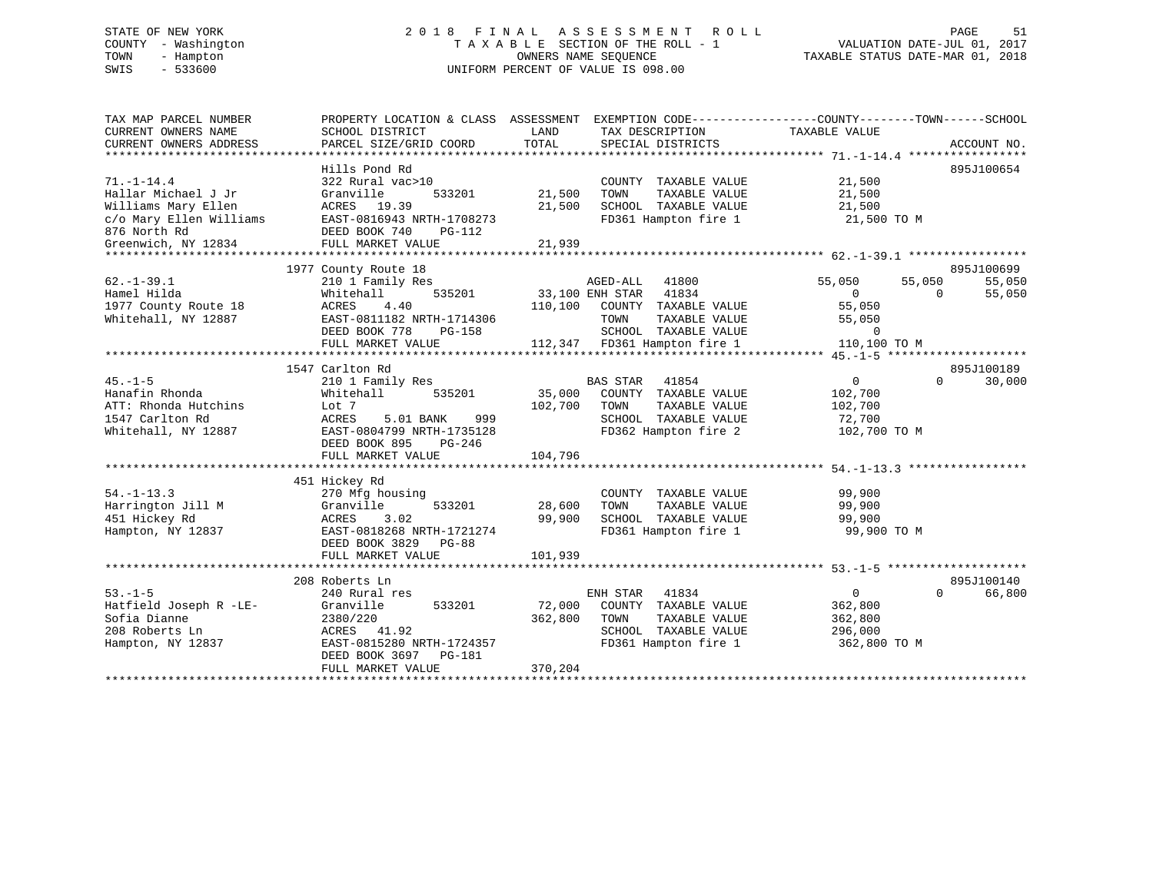# STATE OF NEW YORK 2 0 1 8 F I N A L A S S E S S M E N T R O L L PAGE 51 COUNTY - Washington T A X A B L E SECTION OF THE ROLL - 1 VALUATION DATE-JUL 01, 2017 TOWN - Hampton OWNERS NAME SEQUENCE TAXABLE STATUS DATE-MAR 01, 2018 SWIS - 533600 UNIFORM PERCENT OF VALUE IS 098.00

| 895J100654<br>Hills Pond Rd<br>322 Rural vac>10<br>COUNTY TAXABLE VALUE<br>21,500<br>21,500<br>Granville<br>533201<br>21,500<br>TOWN<br>TAXABLE VALUE<br>ACRES 19.39<br>21,500<br>SCHOOL TAXABLE VALUE<br>21,500<br>c/o Mary Ellen Williams<br>FD361 Hampton fire 1<br>EAST-0816943 NRTH-1708273<br>21,500 TO M<br>876 North Rd<br>DEED BOOK 740<br>PG-112<br>21,939<br>FULL MARKET VALUE<br>895J100699<br>1977 County Route 18<br>$62. -1 - 39.1$<br>AGED-ALL 41800<br>55,050<br>55,050<br>55,050<br>210 1 Family Res<br>Hamel Hilda<br>535201<br>33,100 ENH STAR 41834<br>55,050<br>Whitehall<br>$\overline{0}$<br>$\Omega$<br>1977 County Route 18<br>ACRES<br>4.40<br>110,100<br>55,050<br>COUNTY TAXABLE VALUE<br>Whitehall, NY 12887<br>EAST-0811182 NRTH-1714306<br>TOWN<br>TAXABLE VALUE<br>55,050<br>DEED BOOK 778<br>SCHOOL TAXABLE VALUE<br>$\Omega$<br>PG-158<br>112,347 FD361 Hampton fire 1<br>110,100 TO M<br>FULL MARKET VALUE<br>1547 Carlton Rd<br>895J100189<br>$45. - 1 - 5$<br>41854<br>$\overline{0}$<br>$\Omega$<br>30,000<br>210 1 Family Res<br>BAS STAR<br>Hanafin Rhonda<br>535201<br>35,000<br>COUNTY TAXABLE VALUE<br>Whitehall<br>102,700<br>ATT: Rhonda Hutchins<br>Lot 7<br>102,700<br>TOWN<br>TAXABLE VALUE<br>102,700<br>1547 Carlton Rd<br>ACRES<br>5.01 BANK<br>999<br>SCHOOL TAXABLE VALUE<br>72,700<br>FD362 Hampton fire 2<br>Whitehall, NY 12887<br>EAST-0804799 NRTH-1735128<br>102,700 TO M<br>DEED BOOK 895<br>PG-246<br>104,796<br>FULL MARKET VALUE<br>451 Hickey Rd<br>99,900<br>COUNTY TAXABLE VALUE<br>270 Mfg housing<br>533201<br>28,600<br>TAXABLE VALUE<br>99,900<br>Granville<br>TOWN<br>3.02<br>99,900<br>SCHOOL TAXABLE VALUE<br>99,900<br>ACRES<br>EAST-0818268 NRTH-1721274<br>FD361 Hampton fire 1<br>99,900 TO M<br>DEED BOOK 3829<br>$PG-88$<br>101,939<br>FULL MARKET VALUE<br>895J100140<br>208 Roberts Ln<br>$53. -1 - 5$<br>ENH STAR 41834<br>$\overline{0}$<br>66,800<br>240 Rural res<br>$\Omega$<br>Hatfield Joseph R -LE-<br>72,000<br>COUNTY TAXABLE VALUE<br>Granville<br>533201<br>362,800<br>Sofia Dianne<br>2380/220<br>362,800<br>TOWN<br>TAXABLE VALUE<br>362,800<br>SCHOOL TAXABLE VALUE<br>208 Roberts Ln<br>296,000<br>ACRES 41.92<br>FD361 Hampton fire 1<br>Hampton, NY 12837<br>EAST-0815280 NRTH-1724357<br>362,800 TO M<br>DEED BOOK 3697<br>PG-181<br>370,204<br>FULL MARKET VALUE | TAX MAP PARCEL NUMBER<br>CURRENT OWNERS NAME<br>CURRENT OWNERS ADDRESS | PROPERTY LOCATION & CLASS ASSESSMENT<br>SCHOOL DISTRICT<br>PARCEL SIZE/GRID COORD | LAND<br>TOTAL | EXEMPTION CODE-----------------COUNTY-------TOWN------SCHOOL<br>TAX DESCRIPTION<br>SPECIAL DISTRICTS | TAXABLE VALUE | ACCOUNT NO. |
|------------------------------------------------------------------------------------------------------------------------------------------------------------------------------------------------------------------------------------------------------------------------------------------------------------------------------------------------------------------------------------------------------------------------------------------------------------------------------------------------------------------------------------------------------------------------------------------------------------------------------------------------------------------------------------------------------------------------------------------------------------------------------------------------------------------------------------------------------------------------------------------------------------------------------------------------------------------------------------------------------------------------------------------------------------------------------------------------------------------------------------------------------------------------------------------------------------------------------------------------------------------------------------------------------------------------------------------------------------------------------------------------------------------------------------------------------------------------------------------------------------------------------------------------------------------------------------------------------------------------------------------------------------------------------------------------------------------------------------------------------------------------------------------------------------------------------------------------------------------------------------------------------------------------------------------------------------------------------------------------------------------------------------------------------------------------------------------------------------------------------------------------------------------------------------------------------------------------------------------------------------------------------------------------------------------------------------------------------------------------|------------------------------------------------------------------------|-----------------------------------------------------------------------------------|---------------|------------------------------------------------------------------------------------------------------|---------------|-------------|
|                                                                                                                                                                                                                                                                                                                                                                                                                                                                                                                                                                                                                                                                                                                                                                                                                                                                                                                                                                                                                                                                                                                                                                                                                                                                                                                                                                                                                                                                                                                                                                                                                                                                                                                                                                                                                                                                                                                                                                                                                                                                                                                                                                                                                                                                                                                                                                        |                                                                        |                                                                                   |               |                                                                                                      |               |             |
|                                                                                                                                                                                                                                                                                                                                                                                                                                                                                                                                                                                                                                                                                                                                                                                                                                                                                                                                                                                                                                                                                                                                                                                                                                                                                                                                                                                                                                                                                                                                                                                                                                                                                                                                                                                                                                                                                                                                                                                                                                                                                                                                                                                                                                                                                                                                                                        |                                                                        |                                                                                   |               |                                                                                                      |               |             |
|                                                                                                                                                                                                                                                                                                                                                                                                                                                                                                                                                                                                                                                                                                                                                                                                                                                                                                                                                                                                                                                                                                                                                                                                                                                                                                                                                                                                                                                                                                                                                                                                                                                                                                                                                                                                                                                                                                                                                                                                                                                                                                                                                                                                                                                                                                                                                                        | $71. - 1 - 14.4$                                                       |                                                                                   |               |                                                                                                      |               |             |
|                                                                                                                                                                                                                                                                                                                                                                                                                                                                                                                                                                                                                                                                                                                                                                                                                                                                                                                                                                                                                                                                                                                                                                                                                                                                                                                                                                                                                                                                                                                                                                                                                                                                                                                                                                                                                                                                                                                                                                                                                                                                                                                                                                                                                                                                                                                                                                        | Hallar Michael J Jr                                                    |                                                                                   |               |                                                                                                      |               |             |
|                                                                                                                                                                                                                                                                                                                                                                                                                                                                                                                                                                                                                                                                                                                                                                                                                                                                                                                                                                                                                                                                                                                                                                                                                                                                                                                                                                                                                                                                                                                                                                                                                                                                                                                                                                                                                                                                                                                                                                                                                                                                                                                                                                                                                                                                                                                                                                        | Williams Mary Ellen                                                    |                                                                                   |               |                                                                                                      |               |             |
|                                                                                                                                                                                                                                                                                                                                                                                                                                                                                                                                                                                                                                                                                                                                                                                                                                                                                                                                                                                                                                                                                                                                                                                                                                                                                                                                                                                                                                                                                                                                                                                                                                                                                                                                                                                                                                                                                                                                                                                                                                                                                                                                                                                                                                                                                                                                                                        |                                                                        |                                                                                   |               |                                                                                                      |               |             |
|                                                                                                                                                                                                                                                                                                                                                                                                                                                                                                                                                                                                                                                                                                                                                                                                                                                                                                                                                                                                                                                                                                                                                                                                                                                                                                                                                                                                                                                                                                                                                                                                                                                                                                                                                                                                                                                                                                                                                                                                                                                                                                                                                                                                                                                                                                                                                                        |                                                                        |                                                                                   |               |                                                                                                      |               |             |
|                                                                                                                                                                                                                                                                                                                                                                                                                                                                                                                                                                                                                                                                                                                                                                                                                                                                                                                                                                                                                                                                                                                                                                                                                                                                                                                                                                                                                                                                                                                                                                                                                                                                                                                                                                                                                                                                                                                                                                                                                                                                                                                                                                                                                                                                                                                                                                        | Greenwich, NY 12834                                                    |                                                                                   |               |                                                                                                      |               |             |
|                                                                                                                                                                                                                                                                                                                                                                                                                                                                                                                                                                                                                                                                                                                                                                                                                                                                                                                                                                                                                                                                                                                                                                                                                                                                                                                                                                                                                                                                                                                                                                                                                                                                                                                                                                                                                                                                                                                                                                                                                                                                                                                                                                                                                                                                                                                                                                        |                                                                        |                                                                                   |               |                                                                                                      |               |             |
|                                                                                                                                                                                                                                                                                                                                                                                                                                                                                                                                                                                                                                                                                                                                                                                                                                                                                                                                                                                                                                                                                                                                                                                                                                                                                                                                                                                                                                                                                                                                                                                                                                                                                                                                                                                                                                                                                                                                                                                                                                                                                                                                                                                                                                                                                                                                                                        |                                                                        |                                                                                   |               |                                                                                                      |               |             |
|                                                                                                                                                                                                                                                                                                                                                                                                                                                                                                                                                                                                                                                                                                                                                                                                                                                                                                                                                                                                                                                                                                                                                                                                                                                                                                                                                                                                                                                                                                                                                                                                                                                                                                                                                                                                                                                                                                                                                                                                                                                                                                                                                                                                                                                                                                                                                                        |                                                                        |                                                                                   |               |                                                                                                      |               |             |
|                                                                                                                                                                                                                                                                                                                                                                                                                                                                                                                                                                                                                                                                                                                                                                                                                                                                                                                                                                                                                                                                                                                                                                                                                                                                                                                                                                                                                                                                                                                                                                                                                                                                                                                                                                                                                                                                                                                                                                                                                                                                                                                                                                                                                                                                                                                                                                        |                                                                        |                                                                                   |               |                                                                                                      |               |             |
|                                                                                                                                                                                                                                                                                                                                                                                                                                                                                                                                                                                                                                                                                                                                                                                                                                                                                                                                                                                                                                                                                                                                                                                                                                                                                                                                                                                                                                                                                                                                                                                                                                                                                                                                                                                                                                                                                                                                                                                                                                                                                                                                                                                                                                                                                                                                                                        |                                                                        |                                                                                   |               |                                                                                                      |               |             |
|                                                                                                                                                                                                                                                                                                                                                                                                                                                                                                                                                                                                                                                                                                                                                                                                                                                                                                                                                                                                                                                                                                                                                                                                                                                                                                                                                                                                                                                                                                                                                                                                                                                                                                                                                                                                                                                                                                                                                                                                                                                                                                                                                                                                                                                                                                                                                                        |                                                                        |                                                                                   |               |                                                                                                      |               |             |
|                                                                                                                                                                                                                                                                                                                                                                                                                                                                                                                                                                                                                                                                                                                                                                                                                                                                                                                                                                                                                                                                                                                                                                                                                                                                                                                                                                                                                                                                                                                                                                                                                                                                                                                                                                                                                                                                                                                                                                                                                                                                                                                                                                                                                                                                                                                                                                        |                                                                        |                                                                                   |               |                                                                                                      |               |             |
|                                                                                                                                                                                                                                                                                                                                                                                                                                                                                                                                                                                                                                                                                                                                                                                                                                                                                                                                                                                                                                                                                                                                                                                                                                                                                                                                                                                                                                                                                                                                                                                                                                                                                                                                                                                                                                                                                                                                                                                                                                                                                                                                                                                                                                                                                                                                                                        |                                                                        |                                                                                   |               |                                                                                                      |               |             |
|                                                                                                                                                                                                                                                                                                                                                                                                                                                                                                                                                                                                                                                                                                                                                                                                                                                                                                                                                                                                                                                                                                                                                                                                                                                                                                                                                                                                                                                                                                                                                                                                                                                                                                                                                                                                                                                                                                                                                                                                                                                                                                                                                                                                                                                                                                                                                                        |                                                                        |                                                                                   |               |                                                                                                      |               |             |
|                                                                                                                                                                                                                                                                                                                                                                                                                                                                                                                                                                                                                                                                                                                                                                                                                                                                                                                                                                                                                                                                                                                                                                                                                                                                                                                                                                                                                                                                                                                                                                                                                                                                                                                                                                                                                                                                                                                                                                                                                                                                                                                                                                                                                                                                                                                                                                        |                                                                        |                                                                                   |               |                                                                                                      |               |             |
|                                                                                                                                                                                                                                                                                                                                                                                                                                                                                                                                                                                                                                                                                                                                                                                                                                                                                                                                                                                                                                                                                                                                                                                                                                                                                                                                                                                                                                                                                                                                                                                                                                                                                                                                                                                                                                                                                                                                                                                                                                                                                                                                                                                                                                                                                                                                                                        |                                                                        |                                                                                   |               |                                                                                                      |               |             |
|                                                                                                                                                                                                                                                                                                                                                                                                                                                                                                                                                                                                                                                                                                                                                                                                                                                                                                                                                                                                                                                                                                                                                                                                                                                                                                                                                                                                                                                                                                                                                                                                                                                                                                                                                                                                                                                                                                                                                                                                                                                                                                                                                                                                                                                                                                                                                                        |                                                                        |                                                                                   |               |                                                                                                      |               |             |
|                                                                                                                                                                                                                                                                                                                                                                                                                                                                                                                                                                                                                                                                                                                                                                                                                                                                                                                                                                                                                                                                                                                                                                                                                                                                                                                                                                                                                                                                                                                                                                                                                                                                                                                                                                                                                                                                                                                                                                                                                                                                                                                                                                                                                                                                                                                                                                        |                                                                        |                                                                                   |               |                                                                                                      |               |             |
|                                                                                                                                                                                                                                                                                                                                                                                                                                                                                                                                                                                                                                                                                                                                                                                                                                                                                                                                                                                                                                                                                                                                                                                                                                                                                                                                                                                                                                                                                                                                                                                                                                                                                                                                                                                                                                                                                                                                                                                                                                                                                                                                                                                                                                                                                                                                                                        |                                                                        |                                                                                   |               |                                                                                                      |               |             |
|                                                                                                                                                                                                                                                                                                                                                                                                                                                                                                                                                                                                                                                                                                                                                                                                                                                                                                                                                                                                                                                                                                                                                                                                                                                                                                                                                                                                                                                                                                                                                                                                                                                                                                                                                                                                                                                                                                                                                                                                                                                                                                                                                                                                                                                                                                                                                                        |                                                                        |                                                                                   |               |                                                                                                      |               |             |
|                                                                                                                                                                                                                                                                                                                                                                                                                                                                                                                                                                                                                                                                                                                                                                                                                                                                                                                                                                                                                                                                                                                                                                                                                                                                                                                                                                                                                                                                                                                                                                                                                                                                                                                                                                                                                                                                                                                                                                                                                                                                                                                                                                                                                                                                                                                                                                        |                                                                        |                                                                                   |               |                                                                                                      |               |             |
|                                                                                                                                                                                                                                                                                                                                                                                                                                                                                                                                                                                                                                                                                                                                                                                                                                                                                                                                                                                                                                                                                                                                                                                                                                                                                                                                                                                                                                                                                                                                                                                                                                                                                                                                                                                                                                                                                                                                                                                                                                                                                                                                                                                                                                                                                                                                                                        |                                                                        |                                                                                   |               |                                                                                                      |               |             |
|                                                                                                                                                                                                                                                                                                                                                                                                                                                                                                                                                                                                                                                                                                                                                                                                                                                                                                                                                                                                                                                                                                                                                                                                                                                                                                                                                                                                                                                                                                                                                                                                                                                                                                                                                                                                                                                                                                                                                                                                                                                                                                                                                                                                                                                                                                                                                                        |                                                                        |                                                                                   |               |                                                                                                      |               |             |
|                                                                                                                                                                                                                                                                                                                                                                                                                                                                                                                                                                                                                                                                                                                                                                                                                                                                                                                                                                                                                                                                                                                                                                                                                                                                                                                                                                                                                                                                                                                                                                                                                                                                                                                                                                                                                                                                                                                                                                                                                                                                                                                                                                                                                                                                                                                                                                        | $54. -1 - 13.3$                                                        |                                                                                   |               |                                                                                                      |               |             |
|                                                                                                                                                                                                                                                                                                                                                                                                                                                                                                                                                                                                                                                                                                                                                                                                                                                                                                                                                                                                                                                                                                                                                                                                                                                                                                                                                                                                                                                                                                                                                                                                                                                                                                                                                                                                                                                                                                                                                                                                                                                                                                                                                                                                                                                                                                                                                                        | Harrington Jill M                                                      |                                                                                   |               |                                                                                                      |               |             |
|                                                                                                                                                                                                                                                                                                                                                                                                                                                                                                                                                                                                                                                                                                                                                                                                                                                                                                                                                                                                                                                                                                                                                                                                                                                                                                                                                                                                                                                                                                                                                                                                                                                                                                                                                                                                                                                                                                                                                                                                                                                                                                                                                                                                                                                                                                                                                                        | 451 Hickey Rd                                                          |                                                                                   |               |                                                                                                      |               |             |
|                                                                                                                                                                                                                                                                                                                                                                                                                                                                                                                                                                                                                                                                                                                                                                                                                                                                                                                                                                                                                                                                                                                                                                                                                                                                                                                                                                                                                                                                                                                                                                                                                                                                                                                                                                                                                                                                                                                                                                                                                                                                                                                                                                                                                                                                                                                                                                        | Hampton, NY 12837                                                      |                                                                                   |               |                                                                                                      |               |             |
|                                                                                                                                                                                                                                                                                                                                                                                                                                                                                                                                                                                                                                                                                                                                                                                                                                                                                                                                                                                                                                                                                                                                                                                                                                                                                                                                                                                                                                                                                                                                                                                                                                                                                                                                                                                                                                                                                                                                                                                                                                                                                                                                                                                                                                                                                                                                                                        |                                                                        |                                                                                   |               |                                                                                                      |               |             |
|                                                                                                                                                                                                                                                                                                                                                                                                                                                                                                                                                                                                                                                                                                                                                                                                                                                                                                                                                                                                                                                                                                                                                                                                                                                                                                                                                                                                                                                                                                                                                                                                                                                                                                                                                                                                                                                                                                                                                                                                                                                                                                                                                                                                                                                                                                                                                                        |                                                                        |                                                                                   |               |                                                                                                      |               |             |
|                                                                                                                                                                                                                                                                                                                                                                                                                                                                                                                                                                                                                                                                                                                                                                                                                                                                                                                                                                                                                                                                                                                                                                                                                                                                                                                                                                                                                                                                                                                                                                                                                                                                                                                                                                                                                                                                                                                                                                                                                                                                                                                                                                                                                                                                                                                                                                        |                                                                        |                                                                                   |               |                                                                                                      |               |             |
|                                                                                                                                                                                                                                                                                                                                                                                                                                                                                                                                                                                                                                                                                                                                                                                                                                                                                                                                                                                                                                                                                                                                                                                                                                                                                                                                                                                                                                                                                                                                                                                                                                                                                                                                                                                                                                                                                                                                                                                                                                                                                                                                                                                                                                                                                                                                                                        |                                                                        |                                                                                   |               |                                                                                                      |               |             |
|                                                                                                                                                                                                                                                                                                                                                                                                                                                                                                                                                                                                                                                                                                                                                                                                                                                                                                                                                                                                                                                                                                                                                                                                                                                                                                                                                                                                                                                                                                                                                                                                                                                                                                                                                                                                                                                                                                                                                                                                                                                                                                                                                                                                                                                                                                                                                                        |                                                                        |                                                                                   |               |                                                                                                      |               |             |
|                                                                                                                                                                                                                                                                                                                                                                                                                                                                                                                                                                                                                                                                                                                                                                                                                                                                                                                                                                                                                                                                                                                                                                                                                                                                                                                                                                                                                                                                                                                                                                                                                                                                                                                                                                                                                                                                                                                                                                                                                                                                                                                                                                                                                                                                                                                                                                        |                                                                        |                                                                                   |               |                                                                                                      |               |             |
|                                                                                                                                                                                                                                                                                                                                                                                                                                                                                                                                                                                                                                                                                                                                                                                                                                                                                                                                                                                                                                                                                                                                                                                                                                                                                                                                                                                                                                                                                                                                                                                                                                                                                                                                                                                                                                                                                                                                                                                                                                                                                                                                                                                                                                                                                                                                                                        |                                                                        |                                                                                   |               |                                                                                                      |               |             |
|                                                                                                                                                                                                                                                                                                                                                                                                                                                                                                                                                                                                                                                                                                                                                                                                                                                                                                                                                                                                                                                                                                                                                                                                                                                                                                                                                                                                                                                                                                                                                                                                                                                                                                                                                                                                                                                                                                                                                                                                                                                                                                                                                                                                                                                                                                                                                                        |                                                                        |                                                                                   |               |                                                                                                      |               |             |
|                                                                                                                                                                                                                                                                                                                                                                                                                                                                                                                                                                                                                                                                                                                                                                                                                                                                                                                                                                                                                                                                                                                                                                                                                                                                                                                                                                                                                                                                                                                                                                                                                                                                                                                                                                                                                                                                                                                                                                                                                                                                                                                                                                                                                                                                                                                                                                        |                                                                        |                                                                                   |               |                                                                                                      |               |             |
|                                                                                                                                                                                                                                                                                                                                                                                                                                                                                                                                                                                                                                                                                                                                                                                                                                                                                                                                                                                                                                                                                                                                                                                                                                                                                                                                                                                                                                                                                                                                                                                                                                                                                                                                                                                                                                                                                                                                                                                                                                                                                                                                                                                                                                                                                                                                                                        |                                                                        |                                                                                   |               |                                                                                                      |               |             |
|                                                                                                                                                                                                                                                                                                                                                                                                                                                                                                                                                                                                                                                                                                                                                                                                                                                                                                                                                                                                                                                                                                                                                                                                                                                                                                                                                                                                                                                                                                                                                                                                                                                                                                                                                                                                                                                                                                                                                                                                                                                                                                                                                                                                                                                                                                                                                                        |                                                                        |                                                                                   |               |                                                                                                      |               |             |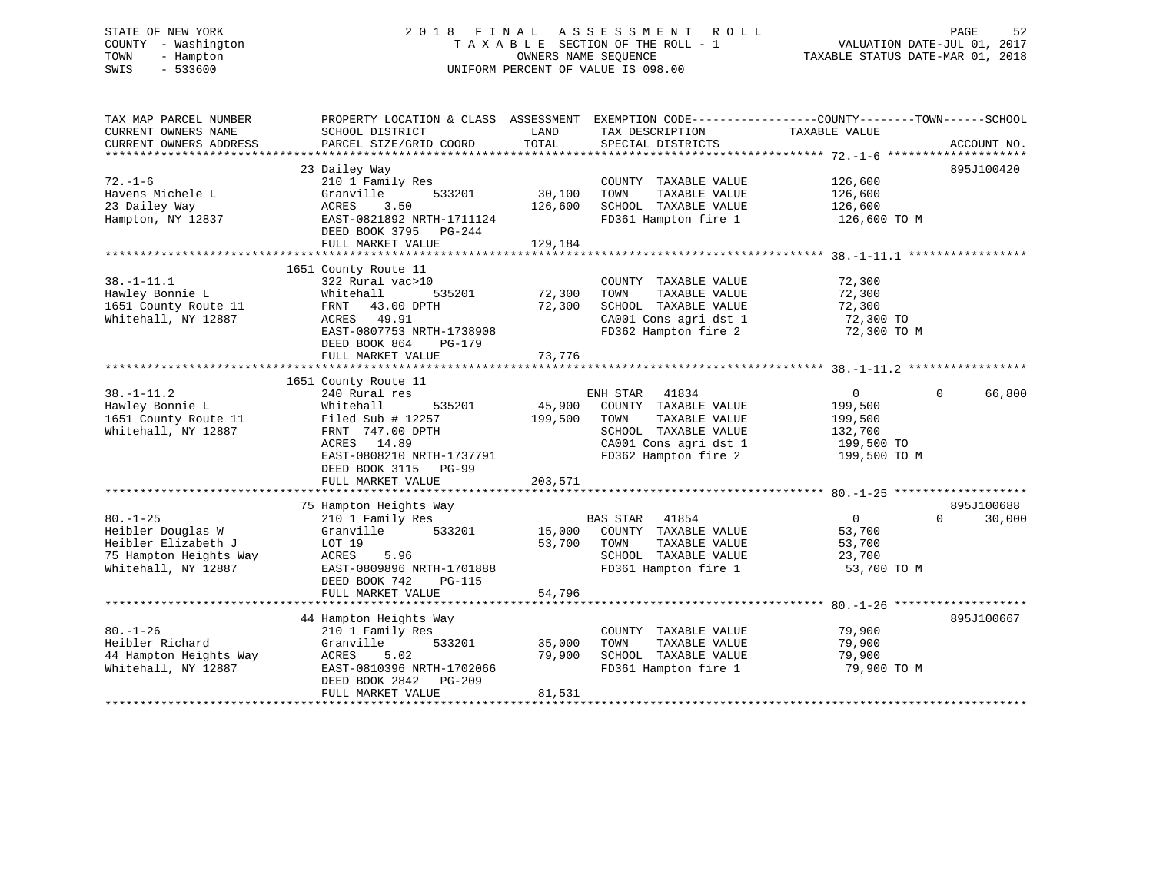# STATE OF NEW YORK 2 0 1 8 F I N A L A S S E S S M E N T R O L L PAGE 52 COUNTY - Washington T A X A B L E SECTION OF THE ROLL - 1 VALUATION DATE-JUL 01, 2017 TOWN - Hampton OWNERS NAME SEQUENCE TAXABLE STATUS DATE-MAR 01, 2018 SWIS - 533600 UNIFORM PERCENT OF VALUE IS 098.00

| TAX MAP PARCEL NUMBER<br>CURRENT OWNERS NAME<br>CURRENT OWNERS ADDRESS                                      | PROPERTY LOCATION & CLASS ASSESSMENT<br>SCHOOL DISTRICT<br>PARCEL SIZE/GRID COORD                                                                                                                   | LAND<br>TOTAL                | EXEMPTION CODE-----------------COUNTY-------TOWN------SCHOOL<br>TAX DESCRIPTION<br>SPECIAL DISTRICTS                                        | TAXABLE VALUE                                                                 | ACCOUNT NO.                      |
|-------------------------------------------------------------------------------------------------------------|-----------------------------------------------------------------------------------------------------------------------------------------------------------------------------------------------------|------------------------------|---------------------------------------------------------------------------------------------------------------------------------------------|-------------------------------------------------------------------------------|----------------------------------|
| $72. - 1 - 6$<br>Havens Michele L<br>23 Dailey Way<br>Hampton, NY 12837                                     | 23 Dailey Way<br>210 1 Family Res<br>Granville<br>533201<br>3.50<br>ACRES<br>EAST-0821892 NRTH-1711124<br>DEED BOOK 3795 PG-244<br>FULL MARKET VALUE                                                | 30,100<br>126,600<br>129,184 | COUNTY TAXABLE VALUE<br>TAXABLE VALUE<br>TOWN<br>SCHOOL TAXABLE VALUE<br>FD361 Hampton fire 1                                               | 126,600<br>126,600<br>126,600<br>126,600 TO M                                 | 895J100420                       |
| $38. - 1 - 11.1$<br>Hawley Bonnie L<br>1651 County Route 11<br>Whitehall, NY 12887                          | 1651 County Route 11<br>322 Rural vac>10<br>Whitehall<br>535201<br>FRNT 43.00 DPTH<br>ACRES 49.91<br>EAST-0807753 NRTH-1738908<br>DEED BOOK 864<br>PG-179<br>FULL MARKET VALUE                      | 72,300<br>72,300<br>73,776   | COUNTY TAXABLE VALUE<br>TOWN<br>TAXABLE VALUE<br>SCHOOL TAXABLE VALUE<br>CA001 Cons agri dst 1<br>FD362 Hampton fire 2                      | 72,300<br>72,300<br>72,300<br>72,300 TO<br>72,300 TO M                        |                                  |
| $38. - 1 - 11.2$<br>Hawley Bonnie L<br>1651 County Route 11<br>Whitehall, NY 12887                          | 1651 County Route 11<br>240 Rural res<br>535201<br>Whitehall<br>Filed Sub # 12257<br>FRNT 747.00 DPTH<br>ACRES 14.89<br>EAST-0808210 NRTH-1737791<br>DEED BOOK 3115<br>$PG-99$<br>FULL MARKET VALUE | 45,900<br>199,500<br>203,571 | ENH STAR<br>41834<br>COUNTY TAXABLE VALUE<br>TOWN<br>TAXABLE VALUE<br>SCHOOL TAXABLE VALUE<br>CA001 Cons agri dst 1<br>FD362 Hampton fire 2 | $\overline{0}$<br>199,500<br>199,500<br>132,700<br>199,500 TO<br>199,500 TO M | 66,800<br>$\Omega$               |
| $80. - 1 - 25$<br>Heibler Douglas W<br>Heibler Elizabeth J<br>75 Hampton Heights Way<br>Whitehall, NY 12887 | 75 Hampton Heights Way<br>210 1 Family Res<br>533201<br>Granville<br>LOT 19<br>ACRES<br>5.96<br>EAST-0809896 NRTH-1701888<br>DEED BOOK 742<br><b>PG-115</b><br>FULL MARKET VALUE                    | 15,000<br>53,700<br>54,796   | BAS STAR 41854<br>COUNTY TAXABLE VALUE<br>TAXABLE VALUE<br>TOWN<br>SCHOOL TAXABLE VALUE<br>FD361 Hampton fire 1                             | $\overline{0}$<br>53,700<br>53,700<br>23,700<br>53,700 TO M                   | 895J100688<br>30,000<br>$\Omega$ |
| $80. - 1 - 26$<br>Heibler Richard<br>44 Hampton Heights Way<br>Whitehall, NY 12887                          | 44 Hampton Heights Way<br>210 1 Family Res<br>Granville<br>533201<br>ACRES<br>5.02<br>EAST-0810396 NRTH-1702066<br>DEED BOOK 2842<br>PG-209<br>FULL MARKET VALUE                                    | 35,000<br>79,900<br>81,531   | COUNTY TAXABLE VALUE<br>TAXABLE VALUE<br>TOWN<br>SCHOOL TAXABLE VALUE<br>FD361 Hampton fire 1                                               | 79,900<br>79,900<br>79,900<br>79,900 TO M                                     | 895J100667                       |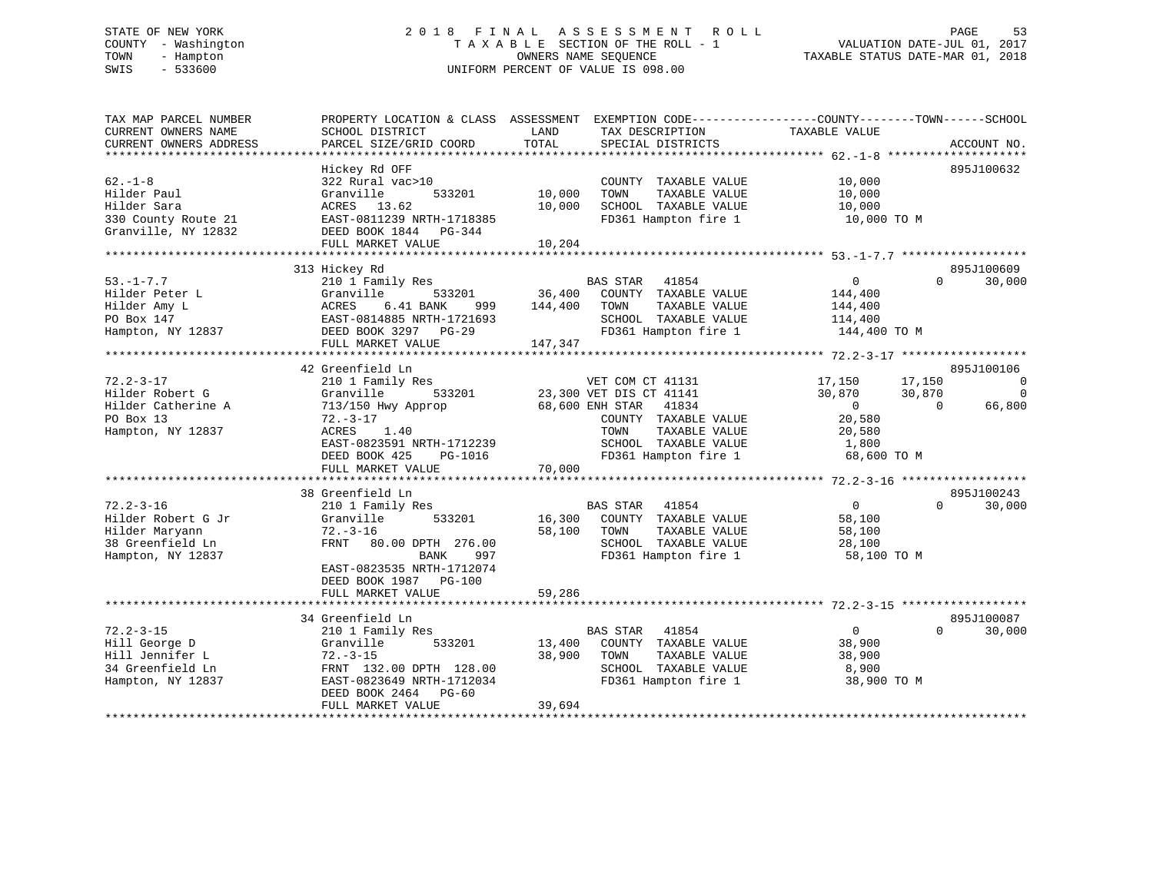# STATE OF NEW YORK 2 0 1 8 F I N A L A S S E S S M E N T R O L L PAGE 53 COUNTY - Washington T A X A B L E SECTION OF THE ROLL - 1 VALUATION DATE-JUL 01, 2017 TOWN - Hampton OWNERS NAME SEQUENCE TAXABLE STATUS DATE-MAR 01, 2018 SWIS - 533600 UNIFORM PERCENT OF VALUE IS 098.00

| TAX MAP PARCEL NUMBER<br>CURRENT OWNERS NAME<br>CURRENT OWNERS ADDRESS                                                                                                    | PROPERTY LOCATION & CLASS ASSESSMENT<br>SCHOOL DISTRICT<br>PARCEL SIZE/GRID COORD                                                                                                                                                                                                            | LAND<br>TOTAL                | TAX DESCRIPTION<br>SPECIAL DISTRICTS                                                                                                                                                                                                                                          | EXEMPTION CODE-----------------COUNTY-------TOWN------SCHOOL<br>TAXABLE VALUE                                                                      | ACCOUNT NO.                                                             |
|---------------------------------------------------------------------------------------------------------------------------------------------------------------------------|----------------------------------------------------------------------------------------------------------------------------------------------------------------------------------------------------------------------------------------------------------------------------------------------|------------------------------|-------------------------------------------------------------------------------------------------------------------------------------------------------------------------------------------------------------------------------------------------------------------------------|----------------------------------------------------------------------------------------------------------------------------------------------------|-------------------------------------------------------------------------|
| $62 - 1 - 8$<br>Hilder Paul<br>Hilder Sara<br>330 County Route 21<br>Granville, NY 12832                                                                                  | Hickey Rd OFF<br>322 Rural vac>10<br>Granville<br>533201<br>ACRES 13.62<br>EAST-0811239 NRTH-1718385<br>DEED BOOK 1844 PG-344<br>FULL MARKET VALUE                                                                                                                                           | 10,000<br>10,000<br>10,204   | COUNTY TAXABLE VALUE<br>TOWN<br>TAXABLE VALUE<br>SCHOOL TAXABLE VALUE<br>FD361 Hampton fire 1                                                                                                                                                                                 | 10,000<br>10,000<br>10,000<br>10,000 TO M                                                                                                          | 895J100632                                                              |
|                                                                                                                                                                           |                                                                                                                                                                                                                                                                                              |                              |                                                                                                                                                                                                                                                                               |                                                                                                                                                    |                                                                         |
| $53. - 1 - 7.7$<br>Hilder Peter L<br>Hilder Amy L<br>PO Box 147<br>Hampton, NY 12837                                                                                      | 313 Hickey Rd<br>210 1 Family Res<br>Granville<br>533201<br>6.41 BANK<br>ACRES<br>999<br>EAST-0814885 NRTH-1721693<br>DEED BOOK 3297 PG-29<br>FULL MARKET VALUE                                                                                                                              | 36,400<br>144,400<br>147,347 | <b>BAS STAR</b><br>41854<br>COUNTY TAXABLE VALUE<br>TAXABLE VALUE<br>TOWN<br>SCHOOL TAXABLE VALUE<br>FD361 Hampton fire 1                                                                                                                                                     | $\overline{0}$<br>144,400<br>144,400<br>114,400<br>144,400 TO M                                                                                    | 895J100609<br>$\Omega$<br>30,000                                        |
|                                                                                                                                                                           | 42 Greenfield Ln                                                                                                                                                                                                                                                                             |                              |                                                                                                                                                                                                                                                                               |                                                                                                                                                    | 895J100106                                                              |
| $72.2 - 3 - 17$<br>Hilder Robert G<br>Hilder Catherine A<br>PO Box 13<br>Hampton, NY 12837<br>$72.2 - 3 - 16$<br>Hilder Robert G Jr<br>Hilder Maryann<br>38 Greenfield Ln | 210 1 Family Res<br>Granville<br>533201<br>713/150 Hwy Approp<br>$72. - 3 - 17$<br>ACRES<br>1.40<br>EAST-0823591 NRTH-1712239<br>DEED BOOK 425<br>PG-1016<br>FULL MARKET VALUE<br>38 Greenfield Ln<br>210 1 Family Res<br>533201<br>Granville<br>$72. - 3 - 16$<br>FRNT<br>80.00 DPTH 276.00 | 70,000<br>16,300<br>58,100   | VET COM CT 41131<br>23,300 VET DIS CT 41141<br>68,600 ENH STAR<br>41834<br>COUNTY TAXABLE VALUE<br>TOWN<br>TAXABLE VALUE<br>SCHOOL TAXABLE VALUE<br>FD361 Hampton fire 1<br><b>BAS STAR</b><br>41854<br>COUNTY TAXABLE VALUE<br>TAXABLE VALUE<br>TOWN<br>SCHOOL TAXABLE VALUE | 17,150<br>17,150<br>30,870<br>30,870<br>$\overline{0}$<br>20,580<br>20,580<br>1,800<br>68,600 TO M<br>$\overline{0}$<br>58,100<br>58,100<br>28,100 | 0<br>$\Omega$<br>$\Omega$<br>66,800<br>895J100243<br>30,000<br>$\Omega$ |
| Hampton, NY 12837                                                                                                                                                         | 997<br>BANK<br>EAST-0823535 NRTH-1712074<br>DEED BOOK 1987 PG-100<br>FULL MARKET VALUE                                                                                                                                                                                                       | 59,286                       | FD361 Hampton fire 1                                                                                                                                                                                                                                                          | 58,100 TO M                                                                                                                                        |                                                                         |
|                                                                                                                                                                           | 34 Greenfield Ln                                                                                                                                                                                                                                                                             |                              |                                                                                                                                                                                                                                                                               |                                                                                                                                                    | 895J100087                                                              |
| $72.2 - 3 - 15$<br>Hill George D<br>Hill Jennifer L<br>34 Greenfield Ln<br>Hampton, NY 12837                                                                              | 210 1 Family Res<br>Granville<br>533201<br>$72. - 3 - 15$<br>FRNT 132.00 DPTH 128.00<br>EAST-0823649 NRTH-1712034<br>DEED BOOK 2464<br>PG-60<br>FULL MARKET VALUE                                                                                                                            | 13,400<br>38,900<br>39,694   | <b>BAS STAR</b><br>41854<br>COUNTY TAXABLE VALUE<br>TOWN<br>TAXABLE VALUE<br>SCHOOL TAXABLE VALUE<br>FD361 Hampton fire 1                                                                                                                                                     | $\overline{0}$<br>38,900<br>38,900<br>8,900<br>38,900 TO M                                                                                         | $\Omega$<br>30,000                                                      |
|                                                                                                                                                                           |                                                                                                                                                                                                                                                                                              |                              |                                                                                                                                                                                                                                                                               |                                                                                                                                                    |                                                                         |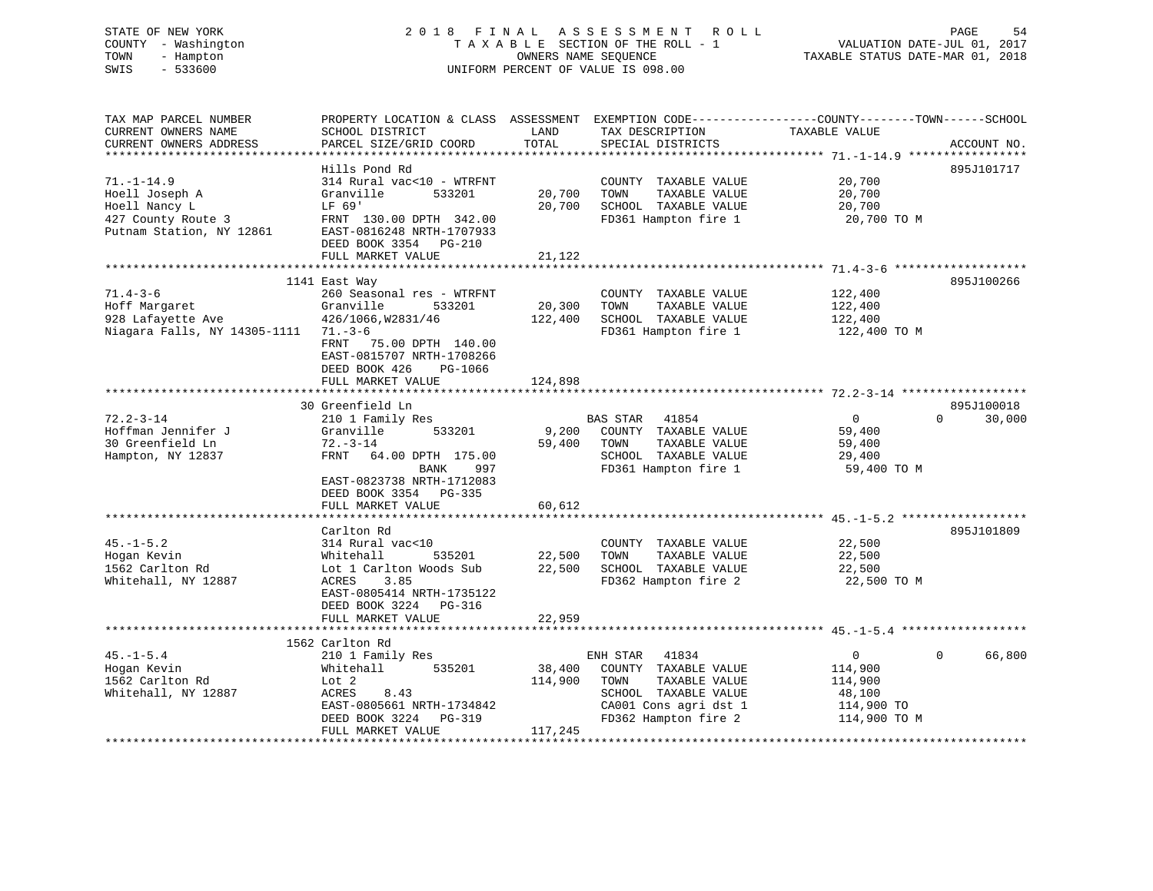# STATE OF NEW YORK 2 0 1 8 F I N A L A S S E S S M E N T R O L L PAGE 54 COUNTY - Washington T A X A B L E SECTION OF THE ROLL - 1 VALUATION DATE-JUL 01, 2017 TOWN - Hampton OWNERS NAME SEQUENCE TAXABLE STATUS DATE-MAR 01, 2018 SWIS - 533600 UNIFORM PERCENT OF VALUE IS 098.00

| TAX MAP PARCEL NUMBER                            | PROPERTY LOCATION & CLASS ASSESSMENT EXEMPTION CODE---------------COUNTY-------TOWN-----SCHOOL |         |                       |                |                    |
|--------------------------------------------------|------------------------------------------------------------------------------------------------|---------|-----------------------|----------------|--------------------|
| CURRENT OWNERS NAME                              | SCHOOL DISTRICT                                                                                | LAND    | TAX DESCRIPTION       | TAXABLE VALUE  |                    |
| CURRENT OWNERS ADDRESS<br>********************** | PARCEL SIZE/GRID COORD                                                                         | TOTAL   | SPECIAL DISTRICTS     |                | ACCOUNT NO.        |
|                                                  |                                                                                                |         |                       |                |                    |
|                                                  | Hills Pond Rd                                                                                  |         |                       |                | 895J101717         |
| $71. - 1 - 14.9$                                 | 314 Rural vac<10 - WTRFNT                                                                      |         | COUNTY TAXABLE VALUE  | 20,700         |                    |
| Hoell Joseph A                                   | 533201<br>Granville                                                                            | 20,700  | TAXABLE VALUE<br>TOWN | 20,700         |                    |
| Hoell Nancy L                                    | LF 69'                                                                                         | 20,700  | SCHOOL TAXABLE VALUE  | 20,700         |                    |
| 427 County Route 3                               | FRNT 130.00 DPTH 342.00                                                                        |         | FD361 Hampton fire 1  | 20,700 TO M    |                    |
| Putnam Station, NY 12861                         | EAST-0816248 NRTH-1707933                                                                      |         |                       |                |                    |
|                                                  | DEED BOOK 3354 PG-210                                                                          |         |                       |                |                    |
|                                                  | FULL MARKET VALUE                                                                              | 21,122  |                       |                |                    |
|                                                  |                                                                                                |         |                       |                |                    |
|                                                  | 1141 East Way                                                                                  |         |                       |                | 895J100266         |
| $71.4 - 3 - 6$                                   | 260 Seasonal res - WTRFNT                                                                      |         | COUNTY TAXABLE VALUE  | 122,400        |                    |
| Hoff Margaret                                    | Granville<br>533201                                                                            | 20,300  | TOWN<br>TAXABLE VALUE | 122,400        |                    |
| 928 Lafayette Ave                                | 426/1066, W2831/46                                                                             | 122,400 | SCHOOL TAXABLE VALUE  | 122,400        |                    |
| Niagara Falls, NY 14305-1111 71.-3-6             |                                                                                                |         | FD361 Hampton fire 1  | 122,400 TO M   |                    |
|                                                  | FRNT 75.00 DPTH 140.00                                                                         |         |                       |                |                    |
|                                                  | EAST-0815707 NRTH-1708266                                                                      |         |                       |                |                    |
|                                                  | DEED BOOK 426<br>PG-1066                                                                       |         |                       |                |                    |
|                                                  | FULL MARKET VALUE                                                                              | 124,898 |                       |                |                    |
|                                                  |                                                                                                |         |                       |                |                    |
|                                                  | 30 Greenfield Ln                                                                               |         |                       |                | 895J100018         |
| $72.2 - 3 - 14$                                  | 210 1 Family Res                                                                               |         | BAS STAR 41854        | $\overline{0}$ | $\Omega$<br>30,000 |
| Hoffman Jennifer J                               | 533201<br>Granville                                                                            | 9,200   | COUNTY TAXABLE VALUE  | 59,400         |                    |
| 30 Greenfield Ln                                 | $72. - 3 - 14$                                                                                 | 59,400  | TAXABLE VALUE<br>TOWN | 59,400         |                    |
| Hampton, NY 12837                                | FRNT<br>64.00 DPTH 175.00                                                                      |         | SCHOOL TAXABLE VALUE  | 29,400         |                    |
|                                                  | BANK<br>997                                                                                    |         | FD361 Hampton fire 1  | 59,400 TO M    |                    |
|                                                  | EAST-0823738 NRTH-1712083                                                                      |         |                       |                |                    |
|                                                  | DEED BOOK 3354 PG-335                                                                          |         |                       |                |                    |
|                                                  | FULL MARKET VALUE                                                                              | 60,612  |                       |                |                    |
|                                                  |                                                                                                |         |                       |                |                    |
|                                                  | Carlton Rd                                                                                     |         |                       |                | 895J101809         |
| $45. - 1 - 5.2$                                  | 314 Rural vac<10                                                                               |         | COUNTY TAXABLE VALUE  | 22,500         |                    |
| Hogan Kevin                                      | 535201<br>Whitehall                                                                            | 22,500  | TOWN<br>TAXABLE VALUE | 22,500         |                    |
| 1562 Carlton Rd                                  | Lot 1 Carlton Woods Sub                                                                        | 22,500  | SCHOOL TAXABLE VALUE  | 22,500         |                    |
| Whitehall, NY 12887                              | ACRES<br>3.85                                                                                  |         | FD362 Hampton fire 2  | 22,500 TO M    |                    |
|                                                  | EAST-0805414 NRTH-1735122                                                                      |         |                       |                |                    |
|                                                  | DEED BOOK 3224 PG-316                                                                          |         |                       |                |                    |
|                                                  | FULL MARKET VALUE                                                                              | 22,959  |                       |                |                    |
|                                                  |                                                                                                |         |                       |                |                    |
|                                                  | 1562 Carlton Rd                                                                                |         |                       |                |                    |
| $45. - 1 - 5.4$                                  | 210 1 Family Res                                                                               |         | ENH STAR 41834        | $\overline{0}$ | $\Omega$<br>66,800 |
| Hogan Kevin                                      | 535201<br>Whitehall                                                                            | 38,400  | COUNTY TAXABLE VALUE  | 114,900        |                    |
| 1562 Carlton Rd                                  | Lot 2                                                                                          | 114,900 | TOWN<br>TAXABLE VALUE | 114,900        |                    |
| Whitehall, NY 12887                              | ACRES<br>8.43                                                                                  |         | SCHOOL TAXABLE VALUE  | 48,100         |                    |
|                                                  | EAST-0805661 NRTH-1734842                                                                      |         | CA001 Cons agri dst 1 | 114,900 TO     |                    |
|                                                  | DEED BOOK 3224<br>PG-319                                                                       |         | FD362 Hampton fire 2  | 114,900 TO M   |                    |
|                                                  | FULL MARKET VALUE                                                                              | 117,245 |                       |                |                    |
|                                                  |                                                                                                |         |                       |                |                    |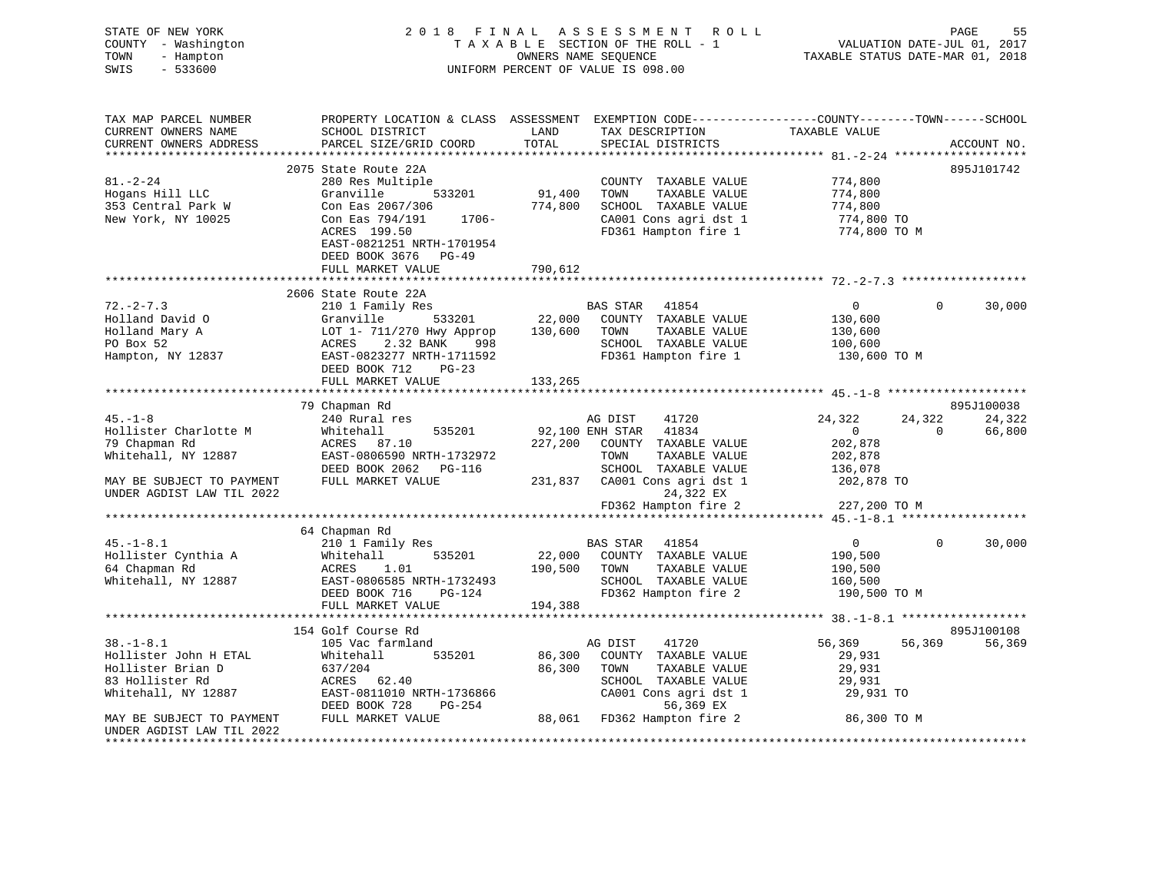| STATE OF NEW YORK<br>COUNTY - Washington<br>TOWN<br>- Hampton<br>SWIS<br>$-533600$                                                   |                                                                                                                                                                                                                                                                                                                                                                                                                                      |                  | 2018 FINAL ASSESSMENT ROLL<br>T A X A B L E SECTION OF THE ROLL - 1<br>OWNERS NAME SEQUENCE<br>UNIFORM PERCENT OF VALUE IS 098.00                                          |                                                                 | PAGE<br>55<br>VALUATION DATE-JUL 01, 2017<br>TAXABLE STATUS DATE-MAR 01, 2018 |
|--------------------------------------------------------------------------------------------------------------------------------------|--------------------------------------------------------------------------------------------------------------------------------------------------------------------------------------------------------------------------------------------------------------------------------------------------------------------------------------------------------------------------------------------------------------------------------------|------------------|----------------------------------------------------------------------------------------------------------------------------------------------------------------------------|-----------------------------------------------------------------|-------------------------------------------------------------------------------|
| TAX MAP PARCEL NUMBER<br>CURRENT OWNERS NAME<br>CURRENT OWNERS ADDRESS                                                               | PROPERTY LOCATION & CLASS ASSESSMENT EXEMPTION CODE---------------COUNTY-------TOWN------SCHOOL<br>SCHOOL DISTRICT<br>PARCEL SIZE/GRID COORD                                                                                                                                                                                                                                                                                         | LAND<br>TOTAL    | TAX DESCRIPTION TAXABLE VALUE<br>SPECIAL DISTRICTS                                                                                                                         |                                                                 | ACCOUNT NO.                                                                   |
|                                                                                                                                      |                                                                                                                                                                                                                                                                                                                                                                                                                                      |                  |                                                                                                                                                                            |                                                                 |                                                                               |
| $81. - 2 - 24$<br>Hogans Hill LLC<br>353 Central Park W<br>New York, NY 10025                                                        | 2075 State Route 22A<br>280 Res Multiple<br>280 Res Multipie<br>Granville 533201<br>Granville 533201 174,800<br>Con Eas 2067/306 774,800<br>Con Eas 794/191 1706-<br>ACRES 199.50<br>EAST-0821251 NRTH-1701954<br>DEED BOOK 3676 PG-49                                                                                                                                                                                               | 91,400           | COUNTY TAXABLE VALUE<br>TOWN<br>TAXABLE VALUE<br>SCHOOL TAXABLE VALUE<br>CA001 Cons agri dst 1<br>FD361 Hampton fire 1                                                     | 774,800<br>774,800<br>774,800<br>774,800 TO<br>774,800 TO M     | 895J101742                                                                    |
|                                                                                                                                      | FULL MARKET VALUE                                                                                                                                                                                                                                                                                                                                                                                                                    | 790,612          |                                                                                                                                                                            |                                                                 |                                                                               |
|                                                                                                                                      |                                                                                                                                                                                                                                                                                                                                                                                                                                      |                  |                                                                                                                                                                            |                                                                 |                                                                               |
| $72. - 2 - 7.3$                                                                                                                      |                                                                                                                                                                                                                                                                                                                                                                                                                                      |                  |                                                                                                                                                                            | $0 \qquad \qquad$<br>130,600                                    | $\Omega$<br>30,000                                                            |
| Holland David O<br>Holland Mary A<br>PO Box 52<br>Hampton, NY 12837                                                                  | $\begin{tabular}{lllllllllll} $\text{$\epsilon$} \text{10} & \text{Family Res}$ & \text{BAS STAR} & 41854 \\ \text{Granville} & 533201 & 22,000 & \text{COUNTY} & \text{TAXABLE VALUE} \\ \text{LOT 1- 711/270 Hwy Approp} & 130,600 & \text{TOWN} & \text{TAXABLE VALUE} \\ \text{ACRES} & 2.32 BANK & 998 & \text{SCHOOL TAXABLE VALUE} \\ \text{DEED BOOK 712} & \text{PC-22} & \text{FD361 Hamnter} & \text{C} \\ \end{tabular}$ |                  |                                                                                                                                                                            | 130,600<br>100,600<br>130,600 TO M                              |                                                                               |
|                                                                                                                                      | FULL MARKET VALUE                                                                                                                                                                                                                                                                                                                                                                                                                    | 133,265          |                                                                                                                                                                            |                                                                 |                                                                               |
|                                                                                                                                      |                                                                                                                                                                                                                                                                                                                                                                                                                                      |                  |                                                                                                                                                                            |                                                                 |                                                                               |
| $45. - 1 - 8$<br>Hollister Charlotte M<br>79 Chapman Rd<br>Whitehall, NY 12887                                                       | 79 Chapman Rd<br>240 Rural res<br>Whitehall<br>535201<br>ACRES 87.10<br>EAST-0806590 NRTH-1732972                                                                                                                                                                                                                                                                                                                                    |                  | AG DIST<br>41720<br>92,100 ENH STAR 41834<br>227,200 COUNTY TAXABLE VALUE<br>TOWN<br>TAXABLE VALUE                                                                         | 24,322<br>$\overline{0}$<br>202,878<br>202,878                  | 895J100038<br>24,322<br>24,322<br>$\overline{0}$<br>66,800                    |
| MAY BE SUBJECT TO PAYMENT<br>UNDER AGDIST LAW TIL 2022                                                                               | EAST-0806590 NRTH-1732972 TOWN TAXABLE VALUE<br>DEED BOOK 2062 PG-116 SCHOOL TAXABLE VALUE<br>FULL MARKET VALUE 231,837 CA001 Cons agri dst 1                                                                                                                                                                                                                                                                                        |                  | 24,322 EX<br>FD362 Hampton fire 2                                                                                                                                          | 136,078<br>202,878 TO<br>227,200 TO M                           |                                                                               |
|                                                                                                                                      |                                                                                                                                                                                                                                                                                                                                                                                                                                      |                  |                                                                                                                                                                            |                                                                 |                                                                               |
|                                                                                                                                      | 64 Chapman Rd                                                                                                                                                                                                                                                                                                                                                                                                                        |                  |                                                                                                                                                                            |                                                                 |                                                                               |
| $45. - 1 - 8.1$<br>Hollister Cynthia A<br>64 Chapman Rd<br>Whitehall, NY 12887                                                       | 210 1 Family Res<br>Whiteh<br>ACRES<br>Whitehall<br>1.01<br>EAST-0806585 NRTH-1732493<br>DEED BOOK 716 PG-124<br>DEED BOOK 716 PG-124<br>FULL MARKET VALUE                                                                                                                                                                                                                                                                           | 194,388          | <b>BAS STAR 41854</b><br>19 Kes<br>535201 190,500 COUNTY TAXABLE VALUE<br>01 190,500 TOWN TAXABLE VALUE<br>SCHOOL TAXABLE VALUE<br>FD362 Hampton fire 2                    | $\overline{0}$<br>190,500<br>190,500<br>160,500<br>190,500 TO M | $\mathbf{0}$<br>30,000                                                        |
|                                                                                                                                      |                                                                                                                                                                                                                                                                                                                                                                                                                                      |                  |                                                                                                                                                                            |                                                                 |                                                                               |
|                                                                                                                                      | 154 Golf Course Rd                                                                                                                                                                                                                                                                                                                                                                                                                   |                  |                                                                                                                                                                            |                                                                 | 895J100108                                                                    |
| $38. - 1 - 8.1$<br>Hollister John H ETAL<br>Hollister Brian D<br>83 Hollister Rd<br>Whitehall, NY 12887<br>MAY BE SUBJECT TO PAYMENT | 105 Vac farmland<br>Whitehall 535201<br>637/204<br>ACRES 62.40<br>EAST-0811010 NRTH-1736866<br>DEED BOOK 728 PG-254<br>FULL MARKET VALUE                                                                                                                                                                                                                                                                                             | 86,300<br>86,300 | AG DIST<br>41720<br>COUNTY TAXABLE VALUE<br>TAXABLE VALUE<br>TOWN<br>SCHOOL TAXABLE VALUE<br>CA001 Cons agri dst 1<br>56,369 EX<br>88,061 FD362 Hampton fire 2 86,300 TO M | 56,369<br>29,931<br>29,931<br>29,931<br>29,931 TO               | 56,369<br>56,369                                                              |
| UNDER AGDIST LAW TIL 2022                                                                                                            |                                                                                                                                                                                                                                                                                                                                                                                                                                      |                  |                                                                                                                                                                            |                                                                 |                                                                               |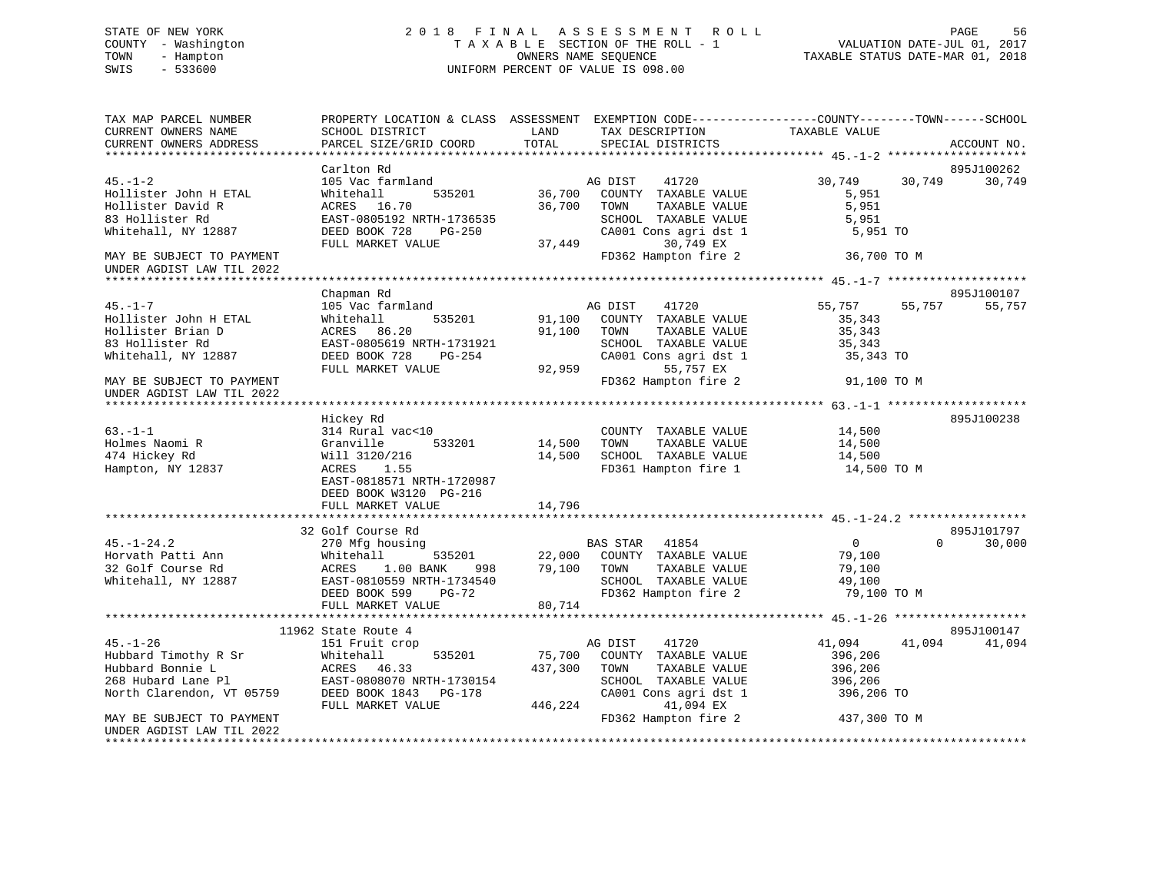# STATE OF NEW YORK 2 0 1 8 F I N A L A S S E S S M E N T R O L L PAGE 56 COUNTY - Washington T A X A B L E SECTION OF THE ROLL - 1 VALUATION DATE-JUL 01, 2017 TOWN - Hampton OWNERS NAME SEQUENCE TAXABLE STATUS DATE-MAR 01, 2018 SWIS - 533600 UNIFORM PERCENT OF VALUE IS 098.00

| TAX MAP PARCEL NUMBER<br>CURRENT OWNERS NAME           | SCHOOL DISTRICT                       | LAND<br>TAX DESCRIPTION                                | PROPERTY LOCATION & CLASS ASSESSMENT EXEMPTION CODE-----------------COUNTY-------TOWN------SCHOOL<br>TAXABLE VALUE |
|--------------------------------------------------------|---------------------------------------|--------------------------------------------------------|--------------------------------------------------------------------------------------------------------------------|
| CURRENT OWNERS ADDRESS                                 | PARCEL SIZE/GRID COORD                | TOTAL<br>SPECIAL DISTRICTS                             | ACCOUNT NO.                                                                                                        |
|                                                        | Carlton Rd                            |                                                        | 895J100262                                                                                                         |
| $45. - 1 - 2$                                          | 105 Vac farmland                      | AG DIST<br>41720                                       | 30,749<br>30,749<br>30,749                                                                                         |
| Hollister John H ETAL                                  | Whitehall<br>535201                   | 36,700<br>COUNTY TAXABLE VALUE                         | 5,951                                                                                                              |
| Hollister David R                                      | ACRES 16.70                           | 36,700<br>TOWN<br>TAXABLE VALUE                        | 5,951                                                                                                              |
| 83 Hollister Rd                                        | EAST-0805192 NRTH-1736535             | SCHOOL TAXABLE VALUE                                   | 5,951                                                                                                              |
| Whitehall, NY 12887                                    | DEED BOOK 728<br>PG-250               | CA001 Cons agri dst 1                                  | 5,951 TO                                                                                                           |
|                                                        | FULL MARKET VALUE                     | 30,749 EX<br>37,449                                    |                                                                                                                    |
| MAY BE SUBJECT TO PAYMENT                              |                                       | FD362 Hampton fire 2                                   | 36,700 TO M                                                                                                        |
| UNDER AGDIST LAW TIL 2022                              |                                       |                                                        |                                                                                                                    |
|                                                        |                                       |                                                        |                                                                                                                    |
| $45. - 1 - 7$                                          | Chapman Rd<br>105 Vac farmland        | AG DIST<br>41720                                       | 895J100107<br>55,757<br>55,757<br>55,757                                                                           |
| Hollister John H ETAL                                  | Whitehall<br>535201                   | 91,100<br>COUNTY TAXABLE VALUE                         | 35,343                                                                                                             |
| Hollister Brian D                                      | ACRES 86.20                           | 91,100<br>TOWN<br>TAXABLE VALUE                        | 35,343                                                                                                             |
| 83 Hollister Rd                                        | EAST-0805619 NRTH-1731921             | SCHOOL TAXABLE VALUE                                   | 35,343                                                                                                             |
| Whitehall, NY 12887                                    | DEED BOOK 728<br>PG-254               | CA001 Cons agri dst 1                                  | 35,343 TO                                                                                                          |
|                                                        | FULL MARKET VALUE                     | 92,959<br>55,757 EX                                    |                                                                                                                    |
| MAY BE SUBJECT TO PAYMENT<br>UNDER AGDIST LAW TIL 2022 |                                       | FD362 Hampton fire 2                                   | 91,100 TO M                                                                                                        |
|                                                        |                                       |                                                        |                                                                                                                    |
|                                                        | Hickey Rd                             |                                                        | 895J100238                                                                                                         |
| $63 - 1 - 1$                                           | 314 Rural vac<10                      | COUNTY TAXABLE VALUE                                   | 14,500                                                                                                             |
| Holmes Naomi R                                         | 533201<br>Granville                   | 14,500<br>TOWN<br>TAXABLE VALUE                        | 14,500                                                                                                             |
| 474 Hickey Rd<br>Hampton, NY 12837                     | Will 3120/216<br>ACRES<br>1.55        | 14,500<br>SCHOOL TAXABLE VALUE<br>FD361 Hampton fire 1 | 14,500<br>14,500 TO M                                                                                              |
|                                                        | EAST-0818571 NRTH-1720987             |                                                        |                                                                                                                    |
|                                                        | DEED BOOK W3120 PG-216                |                                                        |                                                                                                                    |
|                                                        | FULL MARKET VALUE                     | 14,796                                                 |                                                                                                                    |
|                                                        |                                       |                                                        |                                                                                                                    |
|                                                        | 32 Golf Course Rd                     |                                                        | 895J101797                                                                                                         |
| $45. - 1 - 24.2$                                       | 270 Mfg housing                       | BAS STAR 41854                                         | 30,000<br>$\overline{0}$<br>$\Omega$                                                                               |
| Horvath Patti Ann                                      | Whitehall<br>535201                   | 22,000<br>COUNTY TAXABLE VALUE                         | 79,100                                                                                                             |
| 32 Golf Course Rd                                      | ACRES<br>1.00 BANK<br>998             | 79,100<br>TAXABLE VALUE<br>TOWN                        | 79,100                                                                                                             |
| Whitehall, NY 12887                                    | EAST-0810559 NRTH-1734540             | SCHOOL TAXABLE VALUE                                   | 49,100                                                                                                             |
|                                                        | DEED BOOK 599<br>PG-72                | FD362 Hampton fire 2                                   | 79,100 TO M                                                                                                        |
|                                                        | FULL MARKET VALUE                     | 80,714                                                 |                                                                                                                    |
|                                                        |                                       |                                                        | 895J100147                                                                                                         |
| $45. - 1 - 26$                                         | 11962 State Route 4<br>151 Fruit crop | AG DIST<br>41720                                       | 41,094<br>41,094<br>41,094                                                                                         |
| Hubbard Timothy R Sr                                   | Whitehall<br>535201                   | 75,700<br>COUNTY TAXABLE VALUE                         | 396,206                                                                                                            |
| Hubbard Bonnie L                                       | ACRES 46.33                           | 437,300<br>TOWN<br>TAXABLE VALUE                       | 396,206                                                                                                            |
| 268 Hubard Lane Pl                                     | EAST-0808070 NRTH-1730154             | SCHOOL TAXABLE VALUE                                   | 396,206                                                                                                            |
| North Clarendon, VT 05759                              | DEED BOOK 1843 PG-178                 | CA001 Cons agri dst 1                                  | 396,206 TO                                                                                                         |
|                                                        | FULL MARKET VALUE                     | 41,094 EX<br>446,224                                   |                                                                                                                    |
| MAY BE SUBJECT TO PAYMENT                              |                                       | FD362 Hampton fire 2                                   | 437,300 TO M                                                                                                       |
| UNDER AGDIST LAW TIL 2022                              |                                       |                                                        |                                                                                                                    |
| **********************                                 |                                       |                                                        |                                                                                                                    |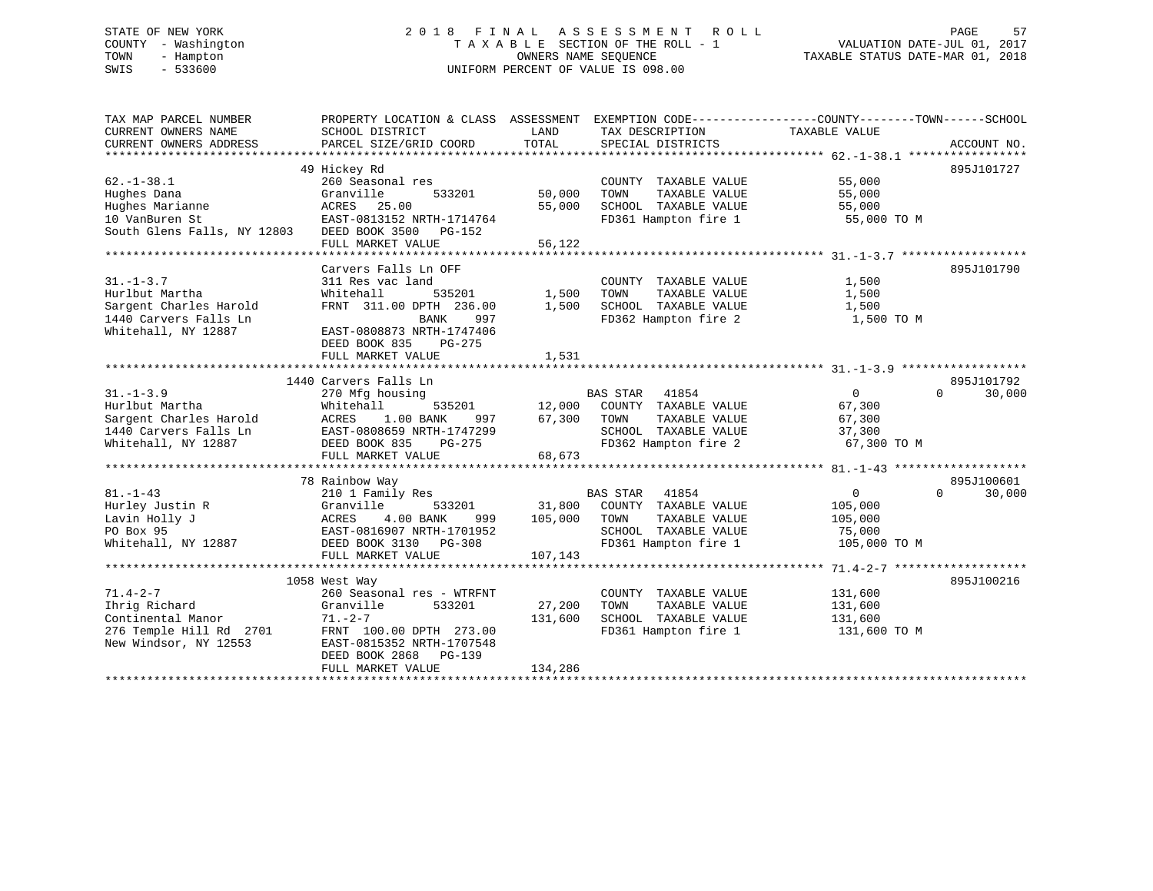# STATE OF NEW YORK 2 0 1 8 F I N A L A S S E S S M E N T R O L L PAGE 57 COUNTY - Washington T A X A B L E SECTION OF THE ROLL - 1 VALUATION DATE-JUL 01, 2017 TOWN - Hampton OWNERS NAME SEQUENCE TAXABLE STATUS DATE-MAR 01, 2018 SWIS - 533600 UNIFORM PERCENT OF VALUE IS 098.00

| TAX MAP PARCEL NUMBER                             | PROPERTY LOCATION & CLASS ASSESSMENT EXEMPTION CODE----------------COUNTY-------TOWN------SCHOOL |         |                       |                            |                      |
|---------------------------------------------------|--------------------------------------------------------------------------------------------------|---------|-----------------------|----------------------------|----------------------|
| CURRENT OWNERS NAME                               | SCHOOL DISTRICT                                                                                  | LAND    | TAX DESCRIPTION       | TAXABLE VALUE              |                      |
| CURRENT OWNERS ADDRESS                            | PARCEL SIZE/GRID COORD                                                                           | TOTAL   | SPECIAL DISTRICTS     |                            | ACCOUNT NO.          |
|                                                   |                                                                                                  |         |                       |                            |                      |
|                                                   | 49 Hickey Rd                                                                                     |         |                       |                            | 895J101727           |
| $62. - 1 - 38.1$                                  | 260 Seasonal res                                                                                 |         | COUNTY TAXABLE VALUE  | 55,000                     |                      |
| Hughes Dana                                       | Granville<br>533201                                                                              | 50,000  | TOWN<br>TAXABLE VALUE | 55,000                     |                      |
| Hughes Marianne                                   | ACRES 25.00                                                                                      | 55,000  | SCHOOL TAXABLE VALUE  | 55,000                     |                      |
| 10 VanBuren St                                    | EAST-0813152 NRTH-1714764                                                                        |         | FD361 Hampton fire 1  | 55,000 TO M                |                      |
| South Glens Falls, NY 12803 DEED BOOK 3500 PG-152 |                                                                                                  |         |                       |                            |                      |
|                                                   | FULL MARKET VALUE                                                                                | 56,122  |                       |                            |                      |
|                                                   |                                                                                                  |         |                       |                            |                      |
|                                                   | Carvers Falls Ln OFF                                                                             |         |                       |                            | 895J101790           |
| $31. - 1 - 3.7$                                   | 311 Res vac land                                                                                 |         | COUNTY TAXABLE VALUE  | 1,500                      |                      |
| Hurlbut Martha                                    | Whitehall<br>535201                                                                              | 1,500   | TOWN<br>TAXABLE VALUE | 1,500                      |                      |
| Sargent Charles Harold                            | FRNT 311.00 DPTH 236.00                                                                          | 1,500   | SCHOOL TAXABLE VALUE  | 1,500                      |                      |
| 1440 Carvers Falls Ln                             | BANK<br>997                                                                                      |         | FD362 Hampton fire 2  | 1,500 TO M                 |                      |
| Whitehall, NY 12887                               | EAST-0808873 NRTH-1747406                                                                        |         |                       |                            |                      |
|                                                   | DEED BOOK 835<br>$PG-275$                                                                        |         |                       |                            |                      |
|                                                   | FULL MARKET VALUE                                                                                | 1,531   |                       |                            |                      |
|                                                   |                                                                                                  |         |                       |                            |                      |
| $31. - 1 - 3.9$                                   | 1440 Carvers Falls Ln<br>270 Mfg housing                                                         |         | BAS STAR 41854        | $\overline{0}$<br>$\Omega$ | 895J101792<br>30,000 |
| Hurlbut Martha                                    | Whitehall<br>535201                                                                              | 12,000  | COUNTY TAXABLE VALUE  | 67,300                     |                      |
| Sargent Charles Harold                            | 1.00 BANK<br>ACRES<br>997                                                                        | 67,300  | TOWN<br>TAXABLE VALUE | 67,300                     |                      |
| 1440 Carvers Falls Ln                             | EAST-0808659 NRTH-1747299                                                                        |         | SCHOOL TAXABLE VALUE  | 37,300                     |                      |
| Whitehall, NY 12887                               | DEED BOOK 835<br>PG-275                                                                          |         | FD362 Hampton fire 2  | 67,300 TO M                |                      |
|                                                   | FULL MARKET VALUE                                                                                | 68,673  |                       |                            |                      |
|                                                   |                                                                                                  |         |                       |                            |                      |
|                                                   | 78 Rainbow Way                                                                                   |         |                       |                            | 895J100601           |
| $81. - 1 - 43$                                    | 210 1 Family Res                                                                                 |         | BAS STAR 41854        | $\mathbf 0$<br>$\Omega$    | 30,000               |
| Hurley Justin R                                   | Granville<br>533201                                                                              | 31,800  | COUNTY TAXABLE VALUE  | 105,000                    |                      |
| Lavin Holly J                                     | 4.00 BANK<br>ACRES<br>999                                                                        | 105,000 | TOWN<br>TAXABLE VALUE | 105,000                    |                      |
| PO Box 95                                         | EAST-0816907 NRTH-1701952                                                                        |         | SCHOOL TAXABLE VALUE  | 75,000                     |                      |
| Whitehall, NY 12887                               | DEED BOOK 3130<br>PG-308                                                                         |         | FD361 Hampton fire 1  | 105,000 TO M               |                      |
|                                                   | FULL MARKET VALUE                                                                                | 107,143 |                       |                            |                      |
|                                                   |                                                                                                  |         |                       |                            |                      |
|                                                   | 1058 West Way                                                                                    |         |                       |                            | 895J100216           |
| $71.4 - 2 - 7$                                    | 260 Seasonal res - WTRFNT                                                                        |         | COUNTY TAXABLE VALUE  | 131,600                    |                      |
| Ihrig Richard                                     | Granville<br>533201                                                                              | 27,200  | TOWN<br>TAXABLE VALUE | 131,600                    |                      |
| Continental Manor                                 | $71. - 2 - 7$                                                                                    | 131,600 | SCHOOL TAXABLE VALUE  | 131,600                    |                      |
| 276 Temple Hill Rd 2701                           | FRNT 100.00 DPTH 273.00                                                                          |         | FD361 Hampton fire 1  | 131,600 TO M               |                      |
| New Windsor, NY 12553                             | EAST-0815352 NRTH-1707548                                                                        |         |                       |                            |                      |
|                                                   | DEED BOOK 2868 PG-139                                                                            |         |                       |                            |                      |
|                                                   | FULL MARKET VALUE                                                                                | 134,286 |                       |                            |                      |
|                                                   |                                                                                                  |         |                       |                            |                      |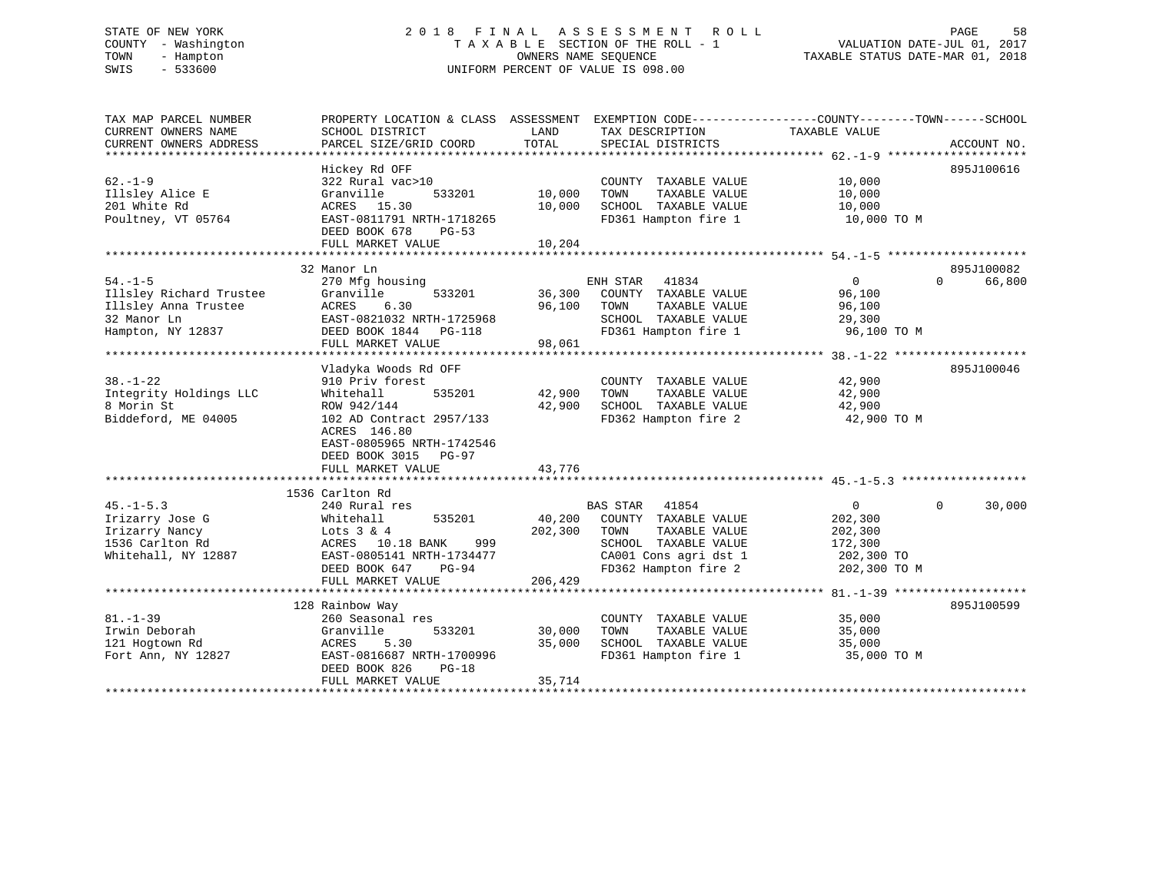# STATE OF NEW YORK 2 0 1 8 F I N A L A S S E S S M E N T R O L L PAGE 58 COUNTY - Washington T A X A B L E SECTION OF THE ROLL - 1 VALUATION DATE-JUL 01, 2017 TOWN - Hampton OWNERS NAME SEQUENCE TAXABLE STATUS DATE-MAR 01, 2018 SWIS - 533600 UNIFORM PERCENT OF VALUE IS 098.00

| TAX MAP PARCEL NUMBER   | PROPERTY LOCATION & CLASS ASSESSMENT EXEMPTION CODE---------------COUNTY-------TOWN-----SCHOOL |         |                             |                |                    |
|-------------------------|------------------------------------------------------------------------------------------------|---------|-----------------------------|----------------|--------------------|
| CURRENT OWNERS NAME     | SCHOOL DISTRICT                                                                                | LAND    | TAX DESCRIPTION             | TAXABLE VALUE  |                    |
| CURRENT OWNERS ADDRESS  | PARCEL SIZE/GRID COORD                                                                         | TOTAL   | SPECIAL DISTRICTS           |                | ACCOUNT NO.        |
|                         |                                                                                                |         |                             |                |                    |
|                         | Hickey Rd OFF                                                                                  |         |                             |                | 895J100616         |
| $62 - 1 - 9$            | 322 Rural vac>10                                                                               |         | COUNTY TAXABLE VALUE        | 10,000         |                    |
| Illsley Alice E         | 533201<br>Granville                                                                            | 10,000  | TAXABLE VALUE<br>TOWN       | 10,000         |                    |
| 201 White Rd            | ACRES 15.30                                                                                    | 10,000  | SCHOOL TAXABLE VALUE        | 10,000         |                    |
| Poultney, VT 05764      | EAST-0811791 NRTH-1718265                                                                      |         | FD361 Hampton fire 1        | 10,000 TO M    |                    |
|                         | DEED BOOK 678<br>$PG-53$                                                                       |         |                             |                |                    |
|                         | FULL MARKET VALUE                                                                              | 10,204  |                             |                |                    |
|                         |                                                                                                |         |                             |                |                    |
|                         | 32 Manor Ln                                                                                    |         |                             |                | 895J100082         |
| $54. - 1 - 5$           | 270 Mfg housing                                                                                |         | ENH STAR<br>41834           | $\overline{0}$ | 66,800<br>$\Omega$ |
| Illsley Richard Trustee | 533201<br>Granville                                                                            | 36,300  | COUNTY TAXABLE VALUE        | 96,100         |                    |
| Illsley Anna Trustee    | ACRES<br>6.30                                                                                  | 96,100  | TAXABLE VALUE<br>TOWN       | 96,100         |                    |
| 32 Manor Ln             | EAST-0821032 NRTH-1725968                                                                      |         | SCHOOL TAXABLE VALUE        | 29,300         |                    |
| Hampton, NY 12837       | DEED BOOK 1844 PG-118                                                                          |         | FD361 Hampton fire 1        | 96,100 TO M    |                    |
|                         | FULL MARKET VALUE                                                                              | 98,061  |                             |                |                    |
|                         |                                                                                                |         |                             |                |                    |
|                         | Vladyka Woods Rd OFF                                                                           |         |                             |                | 895J100046         |
| $38. - 1 - 22$          | 910 Priv forest                                                                                |         | COUNTY TAXABLE VALUE        | 42,900         |                    |
| Integrity Holdings LLC  | Whitehall<br>535201                                                                            | 42,900  | TOWN<br>TAXABLE VALUE       | 42,900         |                    |
| 8 Morin St              | ROW 942/144                                                                                    | 42,900  | SCHOOL TAXABLE VALUE        | 42,900         |                    |
| Biddeford, ME 04005     | 102 AD Contract 2957/133                                                                       |         | FD362 Hampton fire 2        | 42,900 TO M    |                    |
|                         | ACRES 146.80                                                                                   |         |                             |                |                    |
|                         | EAST-0805965 NRTH-1742546                                                                      |         |                             |                |                    |
|                         | DEED BOOK 3015<br>PG-97                                                                        |         |                             |                |                    |
|                         | FULL MARKET VALUE                                                                              | 43,776  |                             |                |                    |
|                         |                                                                                                |         |                             |                |                    |
|                         | 1536 Carlton Rd                                                                                |         |                             |                |                    |
| $45. - 1 - 5.3$         | 240 Rural res                                                                                  |         | <b>BAS STAR</b><br>41854    | $\overline{0}$ | $\Omega$<br>30,000 |
| Irizarry Jose G         | 535201<br>Whitehall                                                                            |         | 40,200 COUNTY TAXABLE VALUE | 202,300        |                    |
| Irizarry Nancy          | Lots $3 & 4$                                                                                   | 202,300 | TAXABLE VALUE<br>TOWN       | 202,300        |                    |
| 1536 Carlton Rd         | ACRES 10.18 BANK<br>999                                                                        |         | SCHOOL TAXABLE VALUE        | 172,300        |                    |
| Whitehall, NY 12887     | EAST-0805141 NRTH-1734477                                                                      |         | CA001 Cons agri dst 1       | 202,300 TO     |                    |
|                         |                                                                                                |         | FD362 Hampton fire 2        |                |                    |
|                         | DEED BOOK 647<br>PG-94<br>FULL MARKET VALUE                                                    | 206,429 |                             | 202,300 TO M   |                    |
|                         |                                                                                                |         |                             |                |                    |
|                         | 128 Rainbow Way                                                                                |         |                             |                | 895J100599         |
| $81. - 1 - 39$          | 260 Seasonal res                                                                               |         | COUNTY TAXABLE VALUE        | 35,000         |                    |
|                         |                                                                                                |         | TOWN                        |                |                    |
| Irwin Deborah           | 533201<br>Granville                                                                            | 30,000  | TAXABLE VALUE               | 35,000         |                    |
| 121 Hogtown Rd          | 5.30<br>ACRES                                                                                  | 35,000  | SCHOOL TAXABLE VALUE        | 35,000         |                    |
| Fort Ann, NY 12827      | EAST-0816687 NRTH-1700996                                                                      |         | FD361 Hampton fire 1        | 35,000 TO M    |                    |
|                         | DEED BOOK 826<br>$PG-18$                                                                       |         |                             |                |                    |
|                         | FULL MARKET VALUE                                                                              | 35,714  |                             |                |                    |
|                         |                                                                                                |         |                             |                |                    |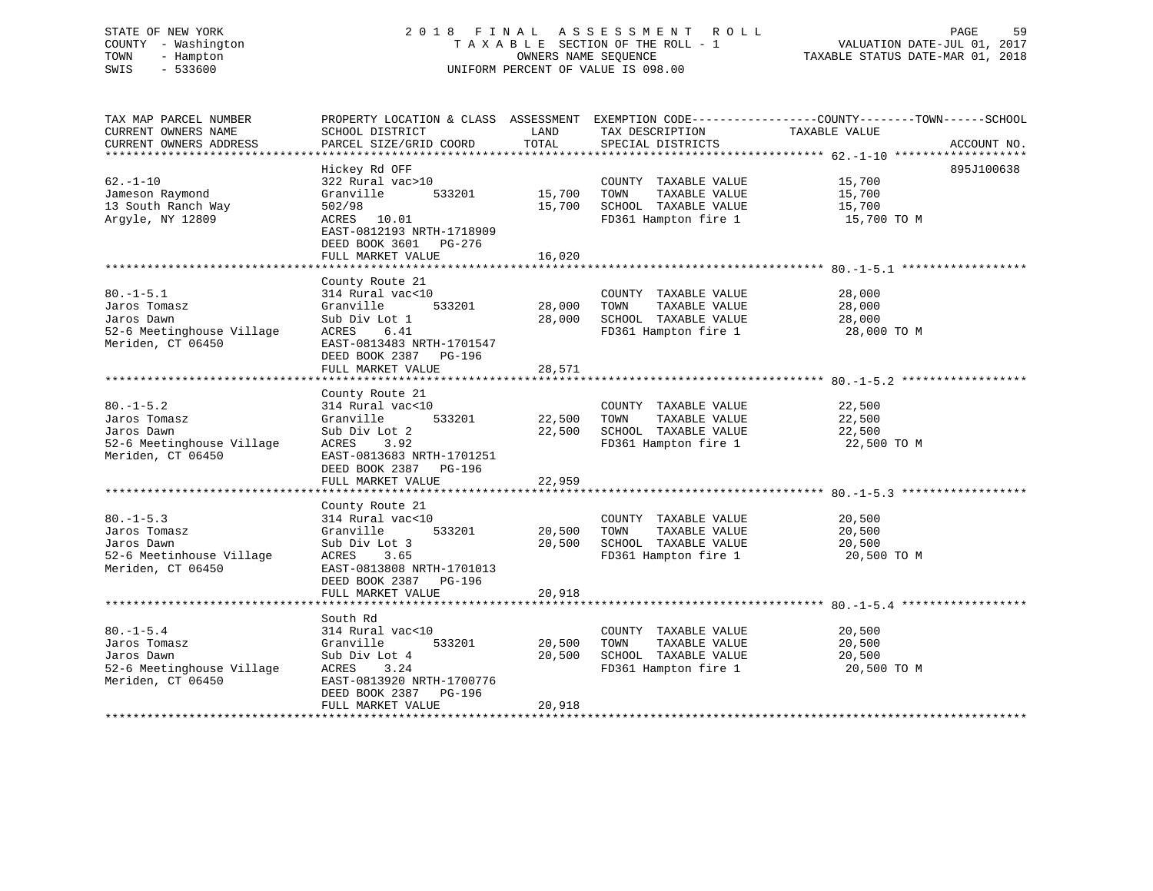# STATE OF NEW YORK 2 0 1 8 F I N A L A S S E S S M E N T R O L L PAGE 59 COUNTY - Washington T A X A B L E SECTION OF THE ROLL - 1 VALUATION DATE-JUL 01, 2017 TOWN - Hampton OWNERS NAME SEQUENCE TAXABLE STATUS DATE-MAR 01, 2018 SWIS - 533600 UNIFORM PERCENT OF VALUE IS 098.00

| TAX MAP PARCEL NUMBER     | PROPERTY LOCATION & CLASS ASSESSMENT EXEMPTION CODE----------------COUNTY-------TOWN------SCHOOL |        |                                              |               |             |
|---------------------------|--------------------------------------------------------------------------------------------------|--------|----------------------------------------------|---------------|-------------|
| CURRENT OWNERS NAME       | SCHOOL DISTRICT                                                                                  | LAND   | TAX DESCRIPTION                              | TAXABLE VALUE |             |
| CURRENT OWNERS ADDRESS    | PARCEL SIZE/GRID COORD                                                                           | TOTAL  | SPECIAL DISTRICTS                            |               | ACCOUNT NO. |
|                           |                                                                                                  |        |                                              |               |             |
|                           | Hickey Rd OFF                                                                                    |        |                                              |               | 895J100638  |
| $62. - 1 - 10$            | 322 Rural vac>10                                                                                 |        | COUNTY TAXABLE VALUE                         | 15,700        |             |
| Jameson Raymond           | 533201<br>Granville                                                                              | 15,700 | TAXABLE VALUE<br>TOWN                        | 15,700        |             |
| 13 South Ranch Way        | 502/98                                                                                           | 15,700 | SCHOOL TAXABLE VALUE                         | 15,700        |             |
| Argyle, NY 12809          | ACRES 10.01                                                                                      |        | FD361 Hampton fire 1                         | 15,700 TO M   |             |
|                           | EAST-0812193 NRTH-1718909                                                                        |        |                                              |               |             |
|                           | DEED BOOK 3601 PG-276                                                                            |        |                                              |               |             |
|                           |                                                                                                  |        |                                              |               |             |
|                           | FULL MARKET VALUE                                                                                | 16,020 |                                              |               |             |
|                           |                                                                                                  |        |                                              |               |             |
|                           | County Route 21                                                                                  |        |                                              |               |             |
| $80. -1 - 5.1$            | 314 Rural vac<10                                                                                 |        | COUNTY TAXABLE VALUE                         | 28,000        |             |
| Jaros Tomasz              | 533201<br>Granville                                                                              | 28,000 | TAXABLE VALUE<br>TOWN                        | 28,000        |             |
| Jaros Dawn                | Sub Div Lot 1                                                                                    | 28,000 | SCHOOL TAXABLE VALUE                         | 28,000        |             |
| 52-6 Meetinghouse Village | 6.41<br>ACRES                                                                                    |        | SCHOOL TAXABLE VALUE<br>FD361 Hampton fire 1 | 28,000 TO M   |             |
| Meriden, CT 06450         | EAST-0813483 NRTH-1701547                                                                        |        |                                              |               |             |
|                           | DEED BOOK 2387 PG-196                                                                            |        |                                              |               |             |
|                           | FULL MARKET VALUE                                                                                | 28,571 |                                              |               |             |
|                           |                                                                                                  |        |                                              |               |             |
|                           | County Route 21                                                                                  |        |                                              |               |             |
| $80. - 1 - 5.2$           | 314 Rural vac<10                                                                                 |        | COUNTY TAXABLE VALUE                         | 22,500        |             |
| Jaros Tomasz              | Granville<br>533201                                                                              | 22,500 | TOWN<br>TAXABLE VALUE                        | 22,500        |             |
| Jaros Dawn                | Sub Div Lot 2                                                                                    | 22,500 | SCHOOL TAXABLE VALUE                         | 22,500        |             |
| 52-6 Meetinghouse Village | 3.92<br>ACRES                                                                                    |        | FD361 Hampton fire 1                         | 22,500 TO M   |             |
| Meriden, CT 06450         |                                                                                                  |        |                                              |               |             |
|                           | EAST-0813683 NRTH-1701251                                                                        |        |                                              |               |             |
|                           | DEED BOOK 2387 PG-196                                                                            |        |                                              |               |             |
|                           | FULL MARKET VALUE                                                                                | 22,959 |                                              |               |             |
|                           |                                                                                                  |        |                                              |               |             |
|                           | County Route 21                                                                                  |        |                                              |               |             |
| $80. -1 - 5.3$            | 314 Rural vac<10                                                                                 |        | COUNTY TAXABLE VALUE                         | 20,500        |             |
| Jaros Tomasz              | Granville<br>533201                                                                              | 20,500 | TOWN<br>TAXABLE VALUE                        | 20,500        |             |
| Jaros Dawn                | Sub Div Lot 3                                                                                    | 20,500 | SCHOOL TAXABLE VALUE                         | 20,500        |             |
| 52-6 Meetinhouse Village  | ACRES<br>3.65                                                                                    |        | FD361 Hampton fire 1                         | 20,500 TO M   |             |
| Meriden, CT 06450         | EAST-0813808 NRTH-1701013                                                                        |        |                                              |               |             |
|                           | DEED BOOK 2387 PG-196                                                                            |        |                                              |               |             |
|                           | FULL MARKET VALUE                                                                                | 20,918 |                                              |               |             |
|                           |                                                                                                  |        |                                              |               |             |
|                           | South Rd                                                                                         |        |                                              |               |             |
| $80. -1 - 5.4$            | 314 Rural vac<10                                                                                 |        | COUNTY TAXABLE VALUE                         | 20,500        |             |
| Jaros Tomasz              | 533201<br>Granville                                                                              | 20,500 | TAXABLE VALUE<br>TOWN                        | 20,500        |             |
| Jaros Dawn                | Sub Div Lot 4                                                                                    | 20,500 | SCHOOL TAXABLE VALUE                         | 20,500        |             |
| 52-6 Meetinghouse Village | ACRES<br>3.24                                                                                    |        | FD361 Hampton fire 1                         | 20,500 TO M   |             |
| Meriden, CT 06450         | EAST-0813920 NRTH-1700776                                                                        |        |                                              |               |             |
|                           | DEED BOOK 2387 PG-196                                                                            |        |                                              |               |             |
|                           | FULL MARKET VALUE                                                                                | 20,918 |                                              |               |             |
|                           |                                                                                                  |        |                                              |               |             |
|                           |                                                                                                  |        |                                              |               |             |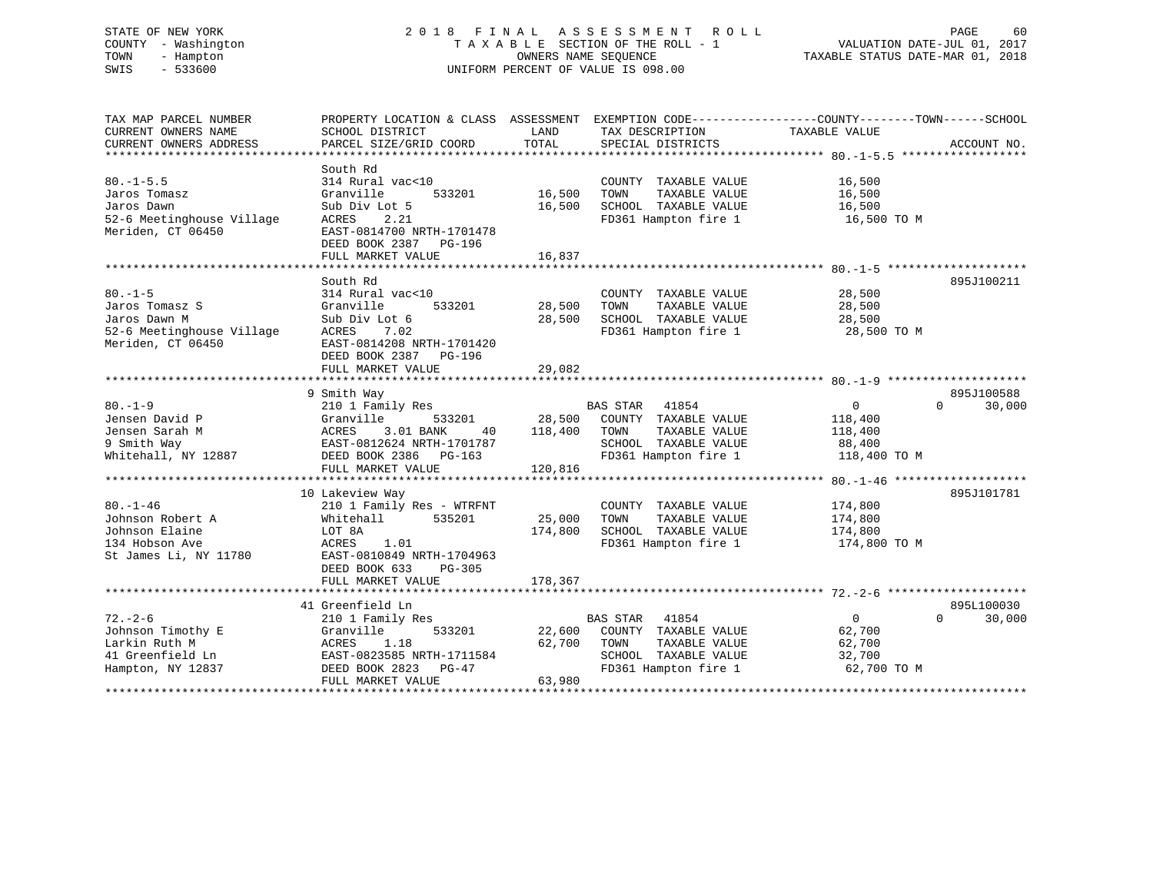# STATE OF NEW YORK 2 0 1 8 F I N A L A S S E S S M E N T R O L L PAGE 60 COUNTY - Washington T A X A B L E SECTION OF THE ROLL - 1 VALUATION DATE-JUL 01, 2017 TOWN - Hampton OWNERS NAME SEQUENCE TAXABLE STATUS DATE-MAR 01, 2018 SWIS - 533600 UNIFORM PERCENT OF VALUE IS 098.00

TAX MAP PARCEL NUMBER PROPERTY LOCATION & CLASS ASSESSMENT EXEMPTION CODE------------------COUNTY--------TOWN------SCHOOL CURRENT OWNERS NAME SCHOOL DISTRICT THE LAND TAX DESCRIPTION TAXABLE VALUE CURRENT OWNERS ADDRESS PARCEL SIZE/GRID COORD TOTAL SPECIAL DISTRICTS ACCOUNT NO. \*\*\*\*\*\*\*\*\*\*\*\*\*\*\*\*\*\*\*\*\*\*\*\*\*\*\*\*\*\*\*\*\*\*\*\*\*\*\*\*\*\*\*\*\*\*\*\*\*\*\*\*\*\*\*\*\*\*\*\*\*\*\*\*\*\*\*\*\*\*\*\*\*\*\*\*\*\*\*\*\*\*\*\*\*\*\*\*\*\*\*\*\*\*\*\*\*\*\*\*\*\*\* 80.-1-5.5 \*\*\*\*\*\*\*\*\*\*\*\*\*\*\*\*\*\* South Rd80.-1-5.5 314 Rural vac<10 COUNTY TAXABLE VALUE 16,500 Jaros Tomasz Granville 533201 16,500 TOWN TAXABLE VALUE 16,500 Jaros Dawn Sub Div Lot 5 16,500 SCHOOL TAXABLE VALUE 16,500 52-6 Meetinghouse Village ACRES 2.21 FD361 Hampton fire 1 16,500 TO M Meriden, CT 06450 EAST-0814700 NRTH-1701478 DEED BOOK 2387 PG-196FULL MARKET VALUE 16,837 \*\*\*\*\*\*\*\*\*\*\*\*\*\*\*\*\*\*\*\*\*\*\*\*\*\*\*\*\*\*\*\*\*\*\*\*\*\*\*\*\*\*\*\*\*\*\*\*\*\*\*\*\*\*\*\*\*\*\*\*\*\*\*\*\*\*\*\*\*\*\*\*\*\*\*\*\*\*\*\*\*\*\*\*\*\*\*\*\*\*\*\*\*\*\*\*\*\*\*\*\*\*\* 80.-1-5 \*\*\*\*\*\*\*\*\*\*\*\*\*\*\*\*\*\*\*\* South Rd 895J10021180.-1-5 314 Rural vac<10 COUNTY TAXABLE VALUE 28,500 Jaros Tomasz S Granville 533201 28,500 TOWN TAXABLE VALUE 28,500 Jaros Dawn M Sub Div Lot 6 28,500 SCHOOL TAXABLE VALUE 28,500 52-6 Meetinghouse Village ACRES 7.02 FD361 Hampton fire 1 28,500 TO M Meriden, CT 06450 EAST-0814208 NRTH-1701420 DEED BOOK 2387 PG-196 FULL MARKET VALUE 29,082 \*\*\*\*\*\*\*\*\*\*\*\*\*\*\*\*\*\*\*\*\*\*\*\*\*\*\*\*\*\*\*\*\*\*\*\*\*\*\*\*\*\*\*\*\*\*\*\*\*\*\*\*\*\*\*\*\*\*\*\*\*\*\*\*\*\*\*\*\*\*\*\*\*\*\*\*\*\*\*\*\*\*\*\*\*\*\*\*\*\*\*\*\*\*\*\*\*\*\*\*\*\*\* 80.-1-9 \*\*\*\*\*\*\*\*\*\*\*\*\*\*\*\*\*\*\*\* 9 Smith Way 895J100588 80.-1-9 210 1 Family Res BAS STAR 41854 0 0 30,000 Jensen David P Granville 533201 28,500 COUNTY TAXABLE VALUE 118,400 Jensen Sarah M ACRES 3.01 BANK 40 118,400 TOWN TAXABLE VALUE 118,400 9 Smith Way EAST-0812624 NRTH-1701787 SCHOOL TAXABLE VALUE 88,400 Whitehall, NY 12887 DEED BOOK 2386 PG-163 FD361 Hampton fire 1 118,400 TO M DEED BOOK 2386 PG-163<br>FULL MARKET VALUE 120,816 \*\*\*\*\*\*\*\*\*\*\*\*\*\*\*\*\*\*\*\*\*\*\*\*\*\*\*\*\*\*\*\*\*\*\*\*\*\*\*\*\*\*\*\*\*\*\*\*\*\*\*\*\*\*\*\*\*\*\*\*\*\*\*\*\*\*\*\*\*\*\*\*\*\*\*\*\*\*\*\*\*\*\*\*\*\*\*\*\*\*\*\*\*\*\*\*\*\*\*\*\*\*\* 80.-1-46 \*\*\*\*\*\*\*\*\*\*\*\*\*\*\*\*\*\*\* 10 Lakeview Way 895J101781 80.-1-46 210 1 Family Res - WTRFNT COUNTY TAXABLE VALUE 174,800 Johnson Robert A Whitehall 535201 25,000 TOWN TAXABLE VALUE 174,800 Johnson Elaine LOT 8A 174,800 SCHOOL TAXABLE VALUE 174,800 134 Hobson Ave ACRES 1.01 FD361 Hampton fire 1 174,800 TO M 134 Hobson Ave 17780 (1988)<br>St James Li, NY 11780 (1987) EAST-0810849 NRTH-1704963 DEED BOOK 633 PG-305FULL MARKET VALUE 178,367 \*\*\*\*\*\*\*\*\*\*\*\*\*\*\*\*\*\*\*\*\*\*\*\*\*\*\*\*\*\*\*\*\*\*\*\*\*\*\*\*\*\*\*\*\*\*\*\*\*\*\*\*\*\*\*\*\*\*\*\*\*\*\*\*\*\*\*\*\*\*\*\*\*\*\*\*\*\*\*\*\*\*\*\*\*\*\*\*\*\*\*\*\*\*\*\*\*\*\*\*\*\*\* 72.-2-6 \*\*\*\*\*\*\*\*\*\*\*\*\*\*\*\*\*\*\*\* 41 Greenfield Ln 895L100030 $0 \t 30.000$ 72.-2-6 210 1 Family Res BAS STAR 41854 0 0 30,000 Johnson Timothy E Granville 533201 22,600 COUNTY TAXABLE VALUE 62,700 Larkin Ruth M ACRES 1.18 62,700 TOWN TAXABLE VALUE 62,700 41 Greenfield Ln EAST-0823585 NRTH-1711584 SCHOOL TAXABLE VALUE 32,700 Hampton, NY 12837 DEED BOOK 2823 PG-47 FD361 Hampton fire 1 62,700 TO M FULL MARKET VALUE 63,980 \*\*\*\*\*\*\*\*\*\*\*\*\*\*\*\*\*\*\*\*\*\*\*\*\*\*\*\*\*\*\*\*\*\*\*\*\*\*\*\*\*\*\*\*\*\*\*\*\*\*\*\*\*\*\*\*\*\*\*\*\*\*\*\*\*\*\*\*\*\*\*\*\*\*\*\*\*\*\*\*\*\*\*\*\*\*\*\*\*\*\*\*\*\*\*\*\*\*\*\*\*\*\*\*\*\*\*\*\*\*\*\*\*\*\*\*\*\*\*\*\*\*\*\*\*\*\*\*\*\*\*\*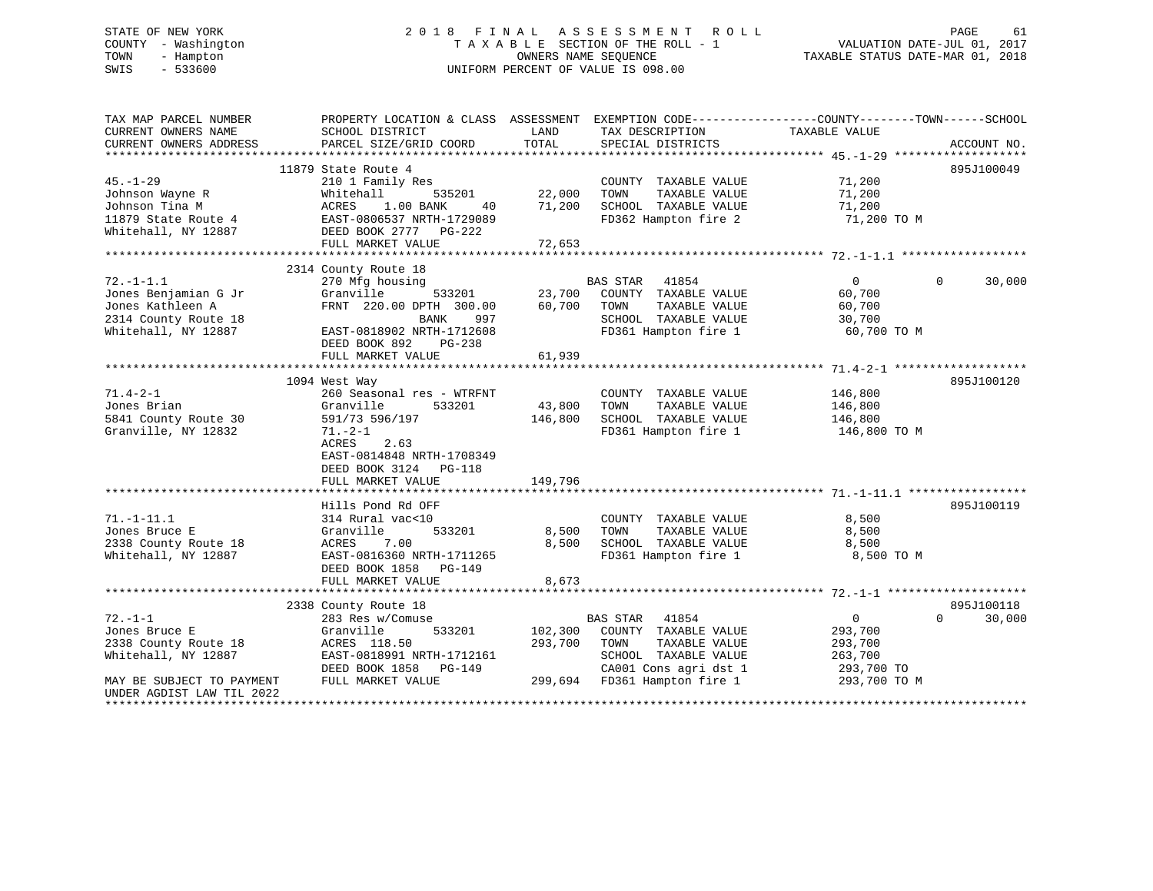# STATE OF NEW YORK 2 0 1 8 F I N A L A S S E S S M E N T R O L L PAGE 61 COUNTY - Washington T A X A B L E SECTION OF THE ROLL - 1 VALUATION DATE-JUL 01, 2017 TOWN - Hampton OWNERS NAME SEQUENCE TAXABLE STATUS DATE-MAR 01, 2018 SWIS - 533600 UNIFORM PERCENT OF VALUE IS 098.00

| TAX MAP PARCEL NUMBER     | PROPERTY LOCATION & CLASS ASSESSMENT    |         |                          | EXEMPTION CODE-----------------COUNTY-------TOWN------SCHOOL |                    |
|---------------------------|-----------------------------------------|---------|--------------------------|--------------------------------------------------------------|--------------------|
| CURRENT OWNERS NAME       | SCHOOL DISTRICT                         | LAND    | TAX DESCRIPTION          | TAXABLE VALUE                                                |                    |
| CURRENT OWNERS ADDRESS    | PARCEL SIZE/GRID COORD                  | TOTAL   | SPECIAL DISTRICTS        |                                                              | ACCOUNT NO.        |
|                           |                                         |         |                          |                                                              |                    |
| $45. - 1 - 29$            | 11879 State Route 4<br>210 1 Family Res |         |                          | 71,200                                                       | 895J100049         |
|                           |                                         |         | COUNTY TAXABLE VALUE     |                                                              |                    |
| Johnson Wayne R           | Whitehall<br>535201                     | 22,000  | TOWN<br>TAXABLE VALUE    | 71,200                                                       |                    |
| Johnson Tina M            | ACRES<br>1.00 BANK<br>40                | 71,200  | SCHOOL TAXABLE VALUE     | 71,200                                                       |                    |
| 11879 State Route 4       | EAST-0806537 NRTH-1729089               |         | FD362 Hampton fire 2     | 71,200 TO M                                                  |                    |
| Whitehall, NY 12887       | DEED BOOK 2777 PG-222                   |         |                          |                                                              |                    |
|                           | FULL MARKET VALUE                       | 72,653  |                          |                                                              |                    |
|                           | 2314 County Route 18                    |         |                          |                                                              |                    |
| $72. - 1 - 1.1$           | 270 Mfg housing                         |         | <b>BAS STAR</b><br>41854 | $\mathbf{0}$                                                 | 30,000<br>$\Omega$ |
| Jones Benjamian G Jr      | Granville<br>533201                     | 23,700  | COUNTY TAXABLE VALUE     | 60,700                                                       |                    |
| Jones Kathleen A          | FRNT 220.00 DPTH 300.00                 | 60,700  | TOWN<br>TAXABLE VALUE    | 60,700                                                       |                    |
| 2314 County Route 18      | 997<br>BANK                             |         | SCHOOL TAXABLE VALUE     | 30,700                                                       |                    |
| Whitehall, NY 12887       | EAST-0818902 NRTH-1712608               |         | FD361 Hampton fire 1     | 60,700 TO M                                                  |                    |
|                           | DEED BOOK 892<br>PG-238                 |         |                          |                                                              |                    |
|                           | FULL MARKET VALUE                       | 61,939  |                          |                                                              |                    |
|                           |                                         |         |                          |                                                              |                    |
|                           | 1094 West Way                           |         |                          |                                                              | 895J100120         |
| $71.4 - 2 - 1$            | 260 Seasonal res - WTRFNT               |         | COUNTY TAXABLE VALUE     | 146,800                                                      |                    |
| Jones Brian               | Granville<br>533201                     | 43,800  | TOWN<br>TAXABLE VALUE    | 146,800                                                      |                    |
| 5841 County Route 30      | 591/73 596/197                          | 146,800 | SCHOOL TAXABLE VALUE     | 146,800                                                      |                    |
| Granville, NY 12832       | $71. - 2 - 1$                           |         | FD361 Hampton fire 1     | 146,800 TO M                                                 |                    |
|                           | ACRES<br>2.63                           |         |                          |                                                              |                    |
|                           | EAST-0814848 NRTH-1708349               |         |                          |                                                              |                    |
|                           | DEED BOOK 3124 PG-118                   |         |                          |                                                              |                    |
|                           | FULL MARKET VALUE                       | 149,796 |                          |                                                              |                    |
|                           |                                         |         |                          |                                                              |                    |
|                           | Hills Pond Rd OFF                       |         |                          |                                                              | 895J100119         |
| $71. - 1 - 11.1$          | 314 Rural vac<10                        |         | COUNTY TAXABLE VALUE     | 8,500                                                        |                    |
| Jones Bruce E             | Granville<br>533201                     | 8,500   | TOWN<br>TAXABLE VALUE    | 8,500                                                        |                    |
| 2338 County Route 18      | ACRES<br>7.00                           | 8,500   | SCHOOL TAXABLE VALUE     | 8,500                                                        |                    |
| Whitehall, NY 12887       | EAST-0816360 NRTH-1711265               |         | FD361 Hampton fire 1     | 8,500 TO M                                                   |                    |
|                           | DEED BOOK 1858<br>PG-149                |         |                          |                                                              |                    |
|                           | FULL MARKET VALUE                       | 8,673   |                          |                                                              |                    |
|                           |                                         |         |                          |                                                              |                    |
|                           | 2338 County Route 18                    |         |                          |                                                              | 895J100118         |
| $72. - 1 - 1$             | 283 Res w/Comuse                        |         | BAS STAR<br>41854        | $\overline{0}$                                               | $\Omega$<br>30,000 |
| Jones Bruce E             | Granville<br>533201                     | 102,300 | COUNTY TAXABLE VALUE     | 293,700                                                      |                    |
| 2338 County Route 18      | ACRES 118.50                            | 293,700 | TOWN<br>TAXABLE VALUE    | 293,700                                                      |                    |
| Whitehall, NY 12887       | EAST-0818991 NRTH-1712161               |         | SCHOOL TAXABLE VALUE     | 263,700                                                      |                    |
|                           | DEED BOOK 1858<br>PG-149                |         | CA001 Cons agri dst 1    | 293,700 TO                                                   |                    |
| MAY BE SUBJECT TO PAYMENT | FULL MARKET VALUE                       | 299,694 | FD361 Hampton fire 1     | 293,700 TO M                                                 |                    |
| UNDER AGDIST LAW TIL 2022 |                                         |         |                          |                                                              |                    |
|                           |                                         |         |                          |                                                              |                    |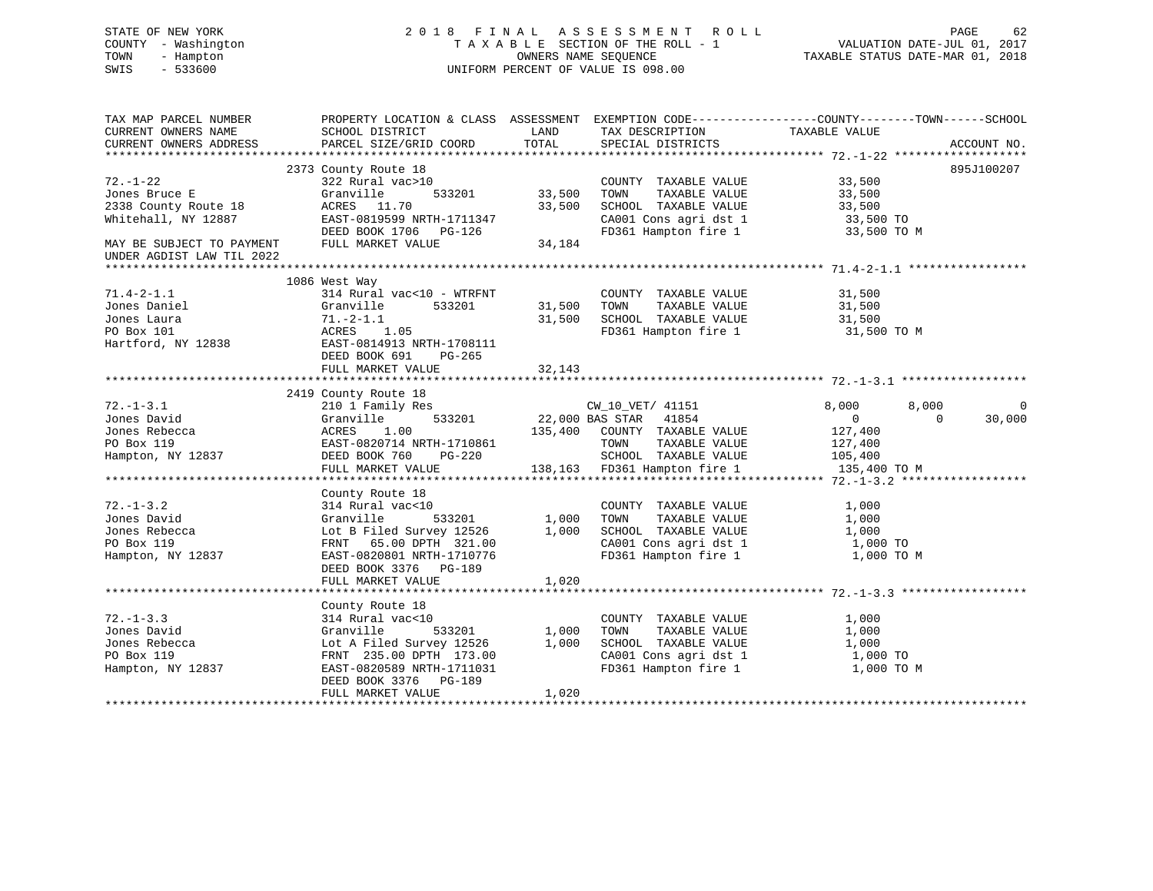# STATE OF NEW YORK 2 0 1 8 F I N A L A S S E S S M E N T R O L L PAGE 62 COUNTY - Washington T A X A B L E SECTION OF THE ROLL - 1 VALUATION DATE-JUL 01, 2017 TOWN - Hampton OWNERS NAME SEQUENCE TAXABLE STATUS DATE-MAR 01, 2018 SWIS - 533600 UNIFORM PERCENT OF VALUE IS 098.00

| TAX MAP PARCEL NUMBER                         |                                                                                                                                              |               |                                                                                                                                                                                                                      | PROPERTY LOCATION & CLASS ASSESSMENT EXEMPTION CODE---------------COUNTY-------TOWN-----SCHOOL |              |
|-----------------------------------------------|----------------------------------------------------------------------------------------------------------------------------------------------|---------------|----------------------------------------------------------------------------------------------------------------------------------------------------------------------------------------------------------------------|------------------------------------------------------------------------------------------------|--------------|
| CURRENT OWNERS NAME<br>CURRENT OWNERS ADDRESS | SCHOOL DISTRICT                                                                                                                              | LAND          | TAX DESCRIPTION                                                                                                                                                                                                      | TAXABLE VALUE                                                                                  |              |
|                                               | PARCEL SIZE/GRID COORD                                                                                                                       | TOTAL         | SPECIAL DISTRICTS                                                                                                                                                                                                    |                                                                                                | ACCOUNT NO.  |
|                                               | 2373 County Route 18                                                                                                                         |               |                                                                                                                                                                                                                      |                                                                                                | 895J100207   |
| $72. - 1 - 22$                                | 322 Rural vac>10                                                                                                                             |               | COUNTY TAXABLE VALUE 33,500                                                                                                                                                                                          |                                                                                                |              |
|                                               |                                                                                                                                              | 533201 33,500 | TOWN TAXABLE VALUE<br>SCHOOL TAXABLE VALUE<br>CA001 Cons agridst 1 33,500 TO<br>$52.700$<br>CA001 Cons agridst 1 33,500 TO M<br>$52.700$ 1 33,500 TO M                                                               |                                                                                                |              |
|                                               |                                                                                                                                              | 33,500        |                                                                                                                                                                                                                      |                                                                                                |              |
| Whitehall, NY 12887                           | EAST-0819599 NRTH-1711347                                                                                                                    |               |                                                                                                                                                                                                                      |                                                                                                |              |
|                                               | EAST-0819599 NRTH-1711347<br>DEED BOOK 1706 PG-126                                                                                           |               |                                                                                                                                                                                                                      |                                                                                                |              |
| MAY BE SUBJECT TO PAYMENT                     | FULL MARKET VALUE                                                                                                                            | 34, 184       |                                                                                                                                                                                                                      |                                                                                                |              |
| UNDER AGDIST LAW TIL 2022                     |                                                                                                                                              |               |                                                                                                                                                                                                                      |                                                                                                |              |
|                                               |                                                                                                                                              |               |                                                                                                                                                                                                                      |                                                                                                |              |
|                                               | 1086 West Way                                                                                                                                |               |                                                                                                                                                                                                                      |                                                                                                |              |
| 71.4-2-1.1                                    | 314 Rural vac<10 - WTRFNT                                                                                                                    |               | COUNTY TAXABLE VALUE 31,500                                                                                                                                                                                          |                                                                                                |              |
| Jones Daniel                                  | Granville 533201                                                                                                                             |               | 31,500 TOWN TAXABLE VALUE                                                                                                                                                                                            |                                                                                                |              |
| Jones Laura                                   |                                                                                                                                              | 31,500        |                                                                                                                                                                                                                      |                                                                                                |              |
|                                               |                                                                                                                                              |               | FD361 Hampton fire 1 31,500 TO M                                                                                                                                                                                     |                                                                                                |              |
| PO Box 101<br>Hartford, NY 12838              | Granville 533201<br>71.-2-1.1<br>ACRES 1.05<br>EAST-0814913 NRTH-1708111                                                                     |               |                                                                                                                                                                                                                      |                                                                                                |              |
|                                               | DEED BOOK 691<br>PG-265                                                                                                                      |               |                                                                                                                                                                                                                      |                                                                                                |              |
|                                               | FULL MARKET VALUE                                                                                                                            | 32,143        |                                                                                                                                                                                                                      |                                                                                                |              |
|                                               |                                                                                                                                              |               |                                                                                                                                                                                                                      |                                                                                                |              |
|                                               | 2419 County Route 18                                                                                                                         |               |                                                                                                                                                                                                                      |                                                                                                |              |
| $72. - 1 - 3.1$                               |                                                                                                                                              |               |                                                                                                                                                                                                                      | 8,000<br>8,000                                                                                 | $\mathbf{0}$ |
| Jones David                                   |                                                                                                                                              |               |                                                                                                                                                                                                                      | $\overline{0}$<br>$\Omega$                                                                     | 30,000       |
| Jones Rebecca                                 |                                                                                                                                              |               | $533201$ 22,000 BAS STAR 41854<br>135,400 COUNTY TAXABLE VALUE                                                                                                                                                       | 127,400                                                                                        |              |
| PO Box 119                                    |                                                                                                                                              |               | TAXABLE VALUE<br>TOWN                                                                                                                                                                                                |                                                                                                |              |
| Hampton, NY 12837                             |                                                                                                                                              |               | SCHOOL TAXABLE VALUE                                                                                                                                                                                                 | 127,400<br>105,400                                                                             |              |
|                                               | Granville 533201 22<br>ACRES 1.00 135<br>EAST-0820714 NRTH-1710861<br>DEED BOOK 760 PG-220<br>THIT MONGET CHEREN PG-220<br>FULL MARKET VALUE |               | 138,163 FD361 Hampton fire 1 135,400 TO M                                                                                                                                                                            |                                                                                                |              |
|                                               |                                                                                                                                              |               |                                                                                                                                                                                                                      |                                                                                                |              |
|                                               | County Route 18                                                                                                                              |               |                                                                                                                                                                                                                      |                                                                                                |              |
| $72. - 1 - 3.2$                               | 314 Rural vac<10                                                                                                                             |               | COUNTY TAXABLE VALUE                                                                                                                                                                                                 | 1,000                                                                                          |              |
| Jones David                                   | Granville                                                                                                                                    |               | TAXABLE VALUE                                                                                                                                                                                                        | 1,000                                                                                          |              |
| Jones Rebecca                                 |                                                                                                                                              |               | SCHOOL TAXABLE VALUE                                                                                                                                                                                                 | 1,000                                                                                          |              |
| PO Box 119                                    | Lot B Filed Survey 12526 1,000<br>FRNT 65.00 DPTH 321.00<br>FRNT 65.00 DPTH 321.00                                                           |               |                                                                                                                                                                                                                      |                                                                                                |              |
| Hampton, NY 12837                             | EAST-0820801 NRTH-1710776                                                                                                                    |               | $\begin{array}{lllllllll} \texttt{CA001} & \texttt{Cons}\ \texttt{agri}\ \texttt{dst}\ 1 && 1,000\ \texttt{TO} \\ \texttt{FD361} & \texttt{Hampton}\ \texttt{fire}\ 1 && 1,000\ \texttt{TO}\ \texttt{M} \end{array}$ |                                                                                                |              |
|                                               | DEED BOOK 3376 PG-189                                                                                                                        |               |                                                                                                                                                                                                                      |                                                                                                |              |
|                                               | FULL MARKET VALUE                                                                                                                            | 1,020         |                                                                                                                                                                                                                      |                                                                                                |              |
|                                               |                                                                                                                                              |               |                                                                                                                                                                                                                      |                                                                                                |              |
|                                               | County Route 18                                                                                                                              |               |                                                                                                                                                                                                                      |                                                                                                |              |
| $72. - 1 - 3.3$                               | 314 Rural vac<10                                                                                                                             |               | COUNTY TAXABLE VALUE                                                                                                                                                                                                 | 1,000                                                                                          |              |
| Jones David                                   | Granville<br>533201                                                                                                                          | 1,000         | TOWN<br>TAXABLE VALUE                                                                                                                                                                                                | 1,000                                                                                          |              |
| Jones Rebecca                                 |                                                                                                                                              |               | SCHOOL TAXABLE VALUE                                                                                                                                                                                                 | 1,000                                                                                          |              |
| PO Box 119                                    | Lot A Filed Survey 12526 1,000<br>FRNT 235.00 DPTH 173.00                                                                                    |               |                                                                                                                                                                                                                      | 1,000 TO                                                                                       |              |
| Hampton, NY 12837                             | FRNI 235.00 DPTH 173.00<br>EAST-0820589 NRTH-1711031                                                                                         |               | CA001 Cons agri dst 1<br>FD361 Hampton fire 1                                                                                                                                                                        | 1,000 TO M                                                                                     |              |
|                                               |                                                                                                                                              |               |                                                                                                                                                                                                                      |                                                                                                |              |
|                                               | DEED BOOK 3376 PG-189<br>FULL MARKET VALUE                                                                                                   | 1,020         |                                                                                                                                                                                                                      |                                                                                                |              |
|                                               |                                                                                                                                              |               |                                                                                                                                                                                                                      |                                                                                                |              |
|                                               |                                                                                                                                              |               |                                                                                                                                                                                                                      |                                                                                                |              |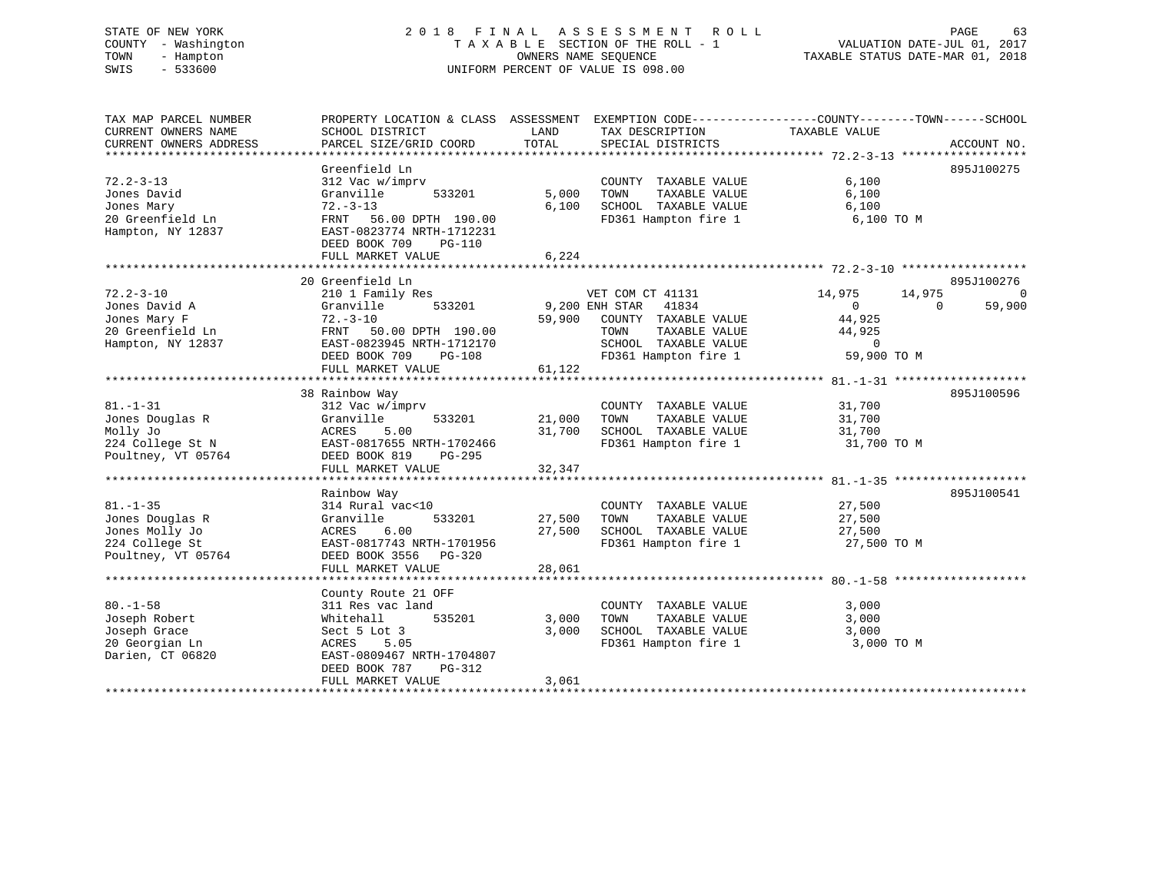# STATE OF NEW YORK 2 0 1 8 F I N A L A S S E S S M E N T R O L L PAGE 63 COUNTY - Washington T A X A B L E SECTION OF THE ROLL - 1 VALUATION DATE-JUL 01, 2017 TOWN - Hampton OWNERS NAME SEQUENCE TAXABLE STATUS DATE-MAR 01, 2018 SWIS - 533600 UNIFORM PERCENT OF VALUE IS 098.00

| TAX MAP PARCEL NUMBER  | PROPERTY LOCATION & CLASS ASSESSMENT EXEMPTION CODE---------------COUNTY-------TOWN------SCHOOL |                |                                  |                            |             |
|------------------------|-------------------------------------------------------------------------------------------------|----------------|----------------------------------|----------------------------|-------------|
| CURRENT OWNERS NAME    | SCHOOL DISTRICT                                                                                 | LAND           | TAX DESCRIPTION                  | TAXABLE VALUE              |             |
| CURRENT OWNERS ADDRESS | PARCEL SIZE/GRID COORD                                                                          | TOTAL          | SPECIAL DISTRICTS                |                            | ACCOUNT NO. |
|                        |                                                                                                 |                |                                  |                            |             |
|                        | Greenfield Ln                                                                                   |                |                                  |                            | 895J100275  |
| $72.2 - 3 - 13$        | 312 Vac w/imprv                                                                                 |                | COUNTY TAXABLE VALUE             | 6,100                      |             |
| Jones David            | Granville<br>533201                                                                             | 5,000          | TOWN<br>TAXABLE VALUE            | 6,100                      |             |
| Jones Mary             | $72. - 3 - 13$                                                                                  | 6,100          | SCHOOL TAXABLE VALUE             | 6,100                      |             |
| 20 Greenfield Ln       | FRNT 56.00 DPTH 190.00                                                                          |                | FD361 Hampton fire 1             | 6,100 TO M                 |             |
| Hampton, NY 12837      | EAST-0823774 NRTH-1712231                                                                       |                |                                  |                            |             |
|                        | DEED BOOK 709<br>$PG-110$                                                                       |                |                                  |                            |             |
|                        | FULL MARKET VALUE                                                                               | 6,224          |                                  |                            |             |
|                        |                                                                                                 |                |                                  |                            |             |
|                        | 20 Greenfield Ln                                                                                |                |                                  |                            | 895J100276  |
| $72.2 - 3 - 10$        | 210 1 Family Res                                                                                |                | VET COM CT 41131                 | 14,975<br>14,975           | $\bigcirc$  |
| Jones David A          | 533201<br>Granville                                                                             | 9,200 ENH STAR | 41834                            | $\overline{0}$<br>$\Omega$ | 59,900      |
| Jones Mary F           | $72.-3-10$                                                                                      |                | 59,900 COUNTY TAXABLE VALUE      | 44,925                     |             |
| 20 Greenfield Ln       | FRNT 50.00 DPTH 190.00                                                                          |                | TOWN<br>TAXABLE VALUE            | 44,925                     |             |
| Hampton, NY 12837      | EAST-0823945 NRTH-1712170                                                                       |                | SCHOOL TAXABLE VALUE             | $\Omega$                   |             |
|                        | DEED BOOK 709<br>$PG-108$                                                                       |                | FD361 Hampton fire 1             | 59,900 TO M                |             |
|                        | FULL MARKET VALUE                                                                               | 61,122         |                                  |                            |             |
|                        |                                                                                                 |                |                                  |                            |             |
|                        | 38 Rainbow Way                                                                                  |                |                                  |                            | 895J100596  |
| $81. - 1 - 31$         | 312 Vac w/imprv                                                                                 |                | COUNTY TAXABLE VALUE             | 31,700                     |             |
| Jones Douglas R        | Granville<br>533201                                                                             | 21,000         | TOWN<br>TAXABLE VALUE            | 31,700                     |             |
| Molly Jo               | 5.00<br>ACRES                                                                                   | 31,700         | SCHOOL TAXABLE VALUE             | 31,700                     |             |
| 224 College St N       | EAST-0817655 NRTH-1702466                                                                       |                | FD361 Hampton fire 1 31,700 TO M |                            |             |
| Poultney, VT 05764     | DEED BOOK 819<br>PG-295                                                                         |                |                                  |                            |             |
|                        | FULL MARKET VALUE                                                                               | 32,347         |                                  |                            |             |
|                        |                                                                                                 |                |                                  |                            |             |
|                        | Rainbow Way                                                                                     |                |                                  |                            | 895J100541  |
| $81. - 1 - 35$         | 314 Rural vac<10                                                                                |                | COUNTY TAXABLE VALUE             | 27,500                     |             |
| Jones Douglas R        | Granville<br>533201                                                                             | 27,500         | TOWN<br>TAXABLE VALUE            | 27,500                     |             |
| Jones Molly Jo         | 6.00<br>ACRES                                                                                   | 27,500         | SCHOOL TAXABLE VALUE             | 27,500                     |             |
| 224 College St         | EAST-0817743 NRTH-1701956                                                                       |                | FD361 Hampton fire 1             | 27,500 TO M                |             |
| Poultney, VT 05764     | DEED BOOK 3556 PG-320                                                                           |                |                                  |                            |             |
|                        | FULL MARKET VALUE                                                                               | 28,061         |                                  |                            |             |
|                        |                                                                                                 |                |                                  |                            |             |
|                        | County Route 21 OFF                                                                             |                |                                  |                            |             |
| $80. - 1 - 58$         | 311 Res vac land                                                                                |                | COUNTY TAXABLE VALUE             | 3,000                      |             |
| Joseph Robert          | 535201<br>Whitehall                                                                             | 3,000          | TAXABLE VALUE<br>TOWN            | 3,000                      |             |
| Joseph Grace           | Sect 5 Lot 3                                                                                    | 3,000          | SCHOOL TAXABLE VALUE             | 3,000                      |             |
| 20 Georgian Ln         | 5.05<br>ACRES                                                                                   |                | FD361 Hampton fire 1             | 3,000 TO M                 |             |
| Darien, CT 06820       | EAST-0809467 NRTH-1704807                                                                       |                |                                  |                            |             |
|                        | DEED BOOK 787<br>PG-312                                                                         |                |                                  |                            |             |
|                        | FULL MARKET VALUE                                                                               | 3,061          |                                  |                            |             |
|                        |                                                                                                 |                |                                  |                            |             |
|                        |                                                                                                 |                |                                  |                            |             |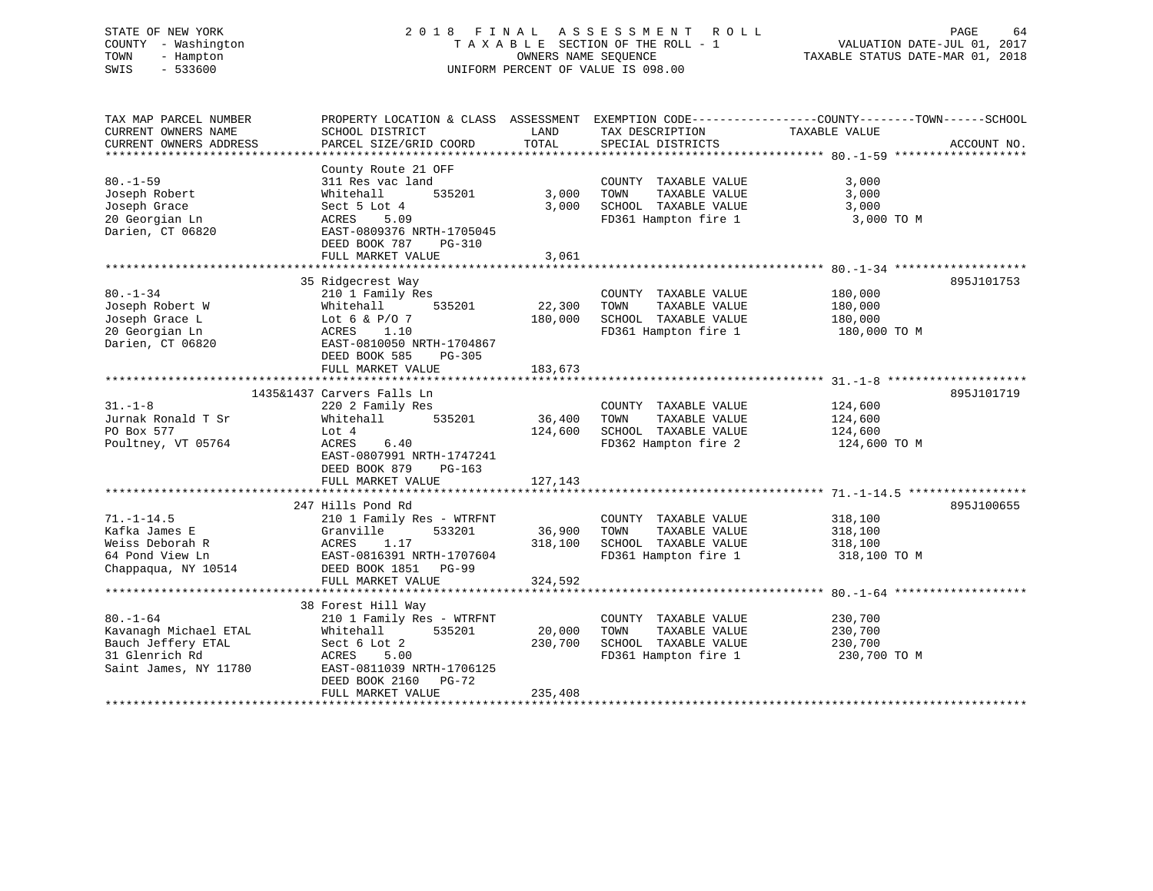# STATE OF NEW YORK 2 0 1 8 F I N A L A S S E S S M E N T R O L L PAGE 64 COUNTY - Washington T A X A B L E SECTION OF THE ROLL - 1 VALUATION DATE-JUL 01, 2017 TOWN - Hampton OWNERS NAME SEQUENCE TAXABLE STATUS DATE-MAR 01, 2018 SWIS - 533600 UNIFORM PERCENT OF VALUE IS 098.00

| TAX MAP PARCEL NUMBER<br>CURRENT OWNERS NAME | PROPERTY LOCATION & CLASS ASSESSMENT EXEMPTION CODE----------------COUNTY-------TOWN------SCHOOL<br>SCHOOL DISTRICT | LAND          | TAX DESCRIPTION                 | TAXABLE VALUE |             |
|----------------------------------------------|---------------------------------------------------------------------------------------------------------------------|---------------|---------------------------------|---------------|-------------|
| CURRENT OWNERS ADDRESS                       | PARCEL SIZE/GRID COORD                                                                                              | TOTAL         | SPECIAL DISTRICTS               |               | ACCOUNT NO. |
|                                              | County Route 21 OFF                                                                                                 |               |                                 |               |             |
| $80. - 1 - 59$                               | 311 Res vac land                                                                                                    |               | COUNTY TAXABLE VALUE            | 3,000         |             |
| Joseph Robert                                | 535201<br>Whitehall                                                                                                 | 3,000         | TOWN<br>TAXABLE VALUE           | 3,000         |             |
| Joseph Grace                                 | Sect 5 Lot 4                                                                                                        | 3,000         | SCHOOL TAXABLE VALUE            | 3,000         |             |
| 20 Georgian Ln<br>Darien, CT 06820           | ACRES<br>5.09<br>EAST-0809376 NRTH-1705045<br>DEED BOOK 787<br>PG-310                                               |               | FD361 Hampton fire 1 3,000 TO M |               |             |
|                                              | FULL MARKET VALUE                                                                                                   | 3,061         |                                 |               |             |
|                                              | 35 Ridgecrest Way                                                                                                   |               |                                 |               | 895J101753  |
| $80. - 1 - 34$                               | $210$ <sup>1</sup> Family Res                                                                                       |               | COUNTY TAXABLE VALUE            | 180,000       |             |
| Joseph Robert W                              | 535201<br>Whitehall                                                                                                 | 22,300        | TOWN<br>TAXABLE VALUE           | 180,000       |             |
| Joseph Grace L                               | Lot 6 & $P/O$ 7                                                                                                     | 180,000       | SCHOOL TAXABLE VALUE            | 180,000       |             |
| 20 Georgian Ln                               | ACRES 1.10                                                                                                          |               | FD361 Hampton fire 1            | 180,000 TO M  |             |
| Darien, CT 06820                             | EAST-0810050 NRTH-1704867<br>DEED BOOK 585<br>$PG-305$                                                              |               |                                 |               |             |
|                                              | FULL MARKET VALUE                                                                                                   | 183,673       |                                 |               |             |
|                                              |                                                                                                                     |               |                                 |               |             |
|                                              | 1435&1437 Carvers Falls Ln                                                                                          |               |                                 |               | 895J101719  |
| $31 - 1 - 8$                                 | 220 2 Family Res                                                                                                    |               | COUNTY TAXABLE VALUE            | 124,600       |             |
| Jurnak Ronald T Sr                           | Whitehall                                                                                                           | 535201 36,400 | TOWN<br>TAXABLE VALUE           | 124,600       |             |
| PO Box 577                                   | Lot 4                                                                                                               | 124,600       | SCHOOL TAXABLE VALUE            | 124,600       |             |
| Poultney, VT 05764                           | ACRES<br>6.40<br>EAST-0807991 NRTH-1747241<br>DEED BOOK 879<br>$PG-163$                                             |               | FD362 Hampton fire 2            | 124,600 TO M  |             |
|                                              | FULL MARKET VALUE                                                                                                   | 127,143       |                                 |               |             |
|                                              |                                                                                                                     |               |                                 |               |             |
|                                              | 247 Hills Pond Rd                                                                                                   |               |                                 |               | 895J100655  |
| $71. - 1 - 14.5$                             | 210 1 Family Res - WTRFNT                                                                                           |               | COUNTY TAXABLE VALUE            | 318,100       |             |
| Kafka James E                                | Granville<br>533201                                                                                                 | 36,900        | TOWN<br>TAXABLE VALUE           | 318,100       |             |
| Weiss Deborah R                              |                                                                                                                     | 318,100       | SCHOOL TAXABLE VALUE            | 318,100       |             |
| 64 Pond View Ln                              |                                                                                                                     |               | FD361 Hampton fire 1            | 318,100 TO M  |             |
| Chappaqua, NY 10514                          | ACRES 1.1/<br>EAST-0816391 NRTH-1707604<br>---- 1951 PG-99                                                          |               |                                 |               |             |
|                                              | FULL MARKET VALUE                                                                                                   | 324,592       |                                 |               |             |
|                                              |                                                                                                                     |               |                                 |               |             |
|                                              | 38 Forest Hill Way                                                                                                  |               |                                 |               |             |
| $80. - 1 - 64$                               | 210 1 Family Res - WTRFNT                                                                                           |               | COUNTY TAXABLE VALUE            | 230,700       |             |
| Kavanagh Michael ETAL                        | 535201<br>Whitehall                                                                                                 | 20,000        | TOWN<br>TAXABLE VALUE           | 230,700       |             |
| Bauch Jeffery ETAL                           | Sect 6 Lot 2                                                                                                        | 230,700       | SCHOOL TAXABLE VALUE            | 230,700       |             |
| 31 Glenrich Rd<br>Saint James, NY 11780      | ACRES<br>5.00<br>EAST-0811039 NRTH-1706125                                                                          |               | FD361 Hampton fire 1            | 230,700 TO M  |             |
|                                              | DEED BOOK 2160 PG-72<br>FULL MARKET VALUE                                                                           | 235,408       |                                 |               |             |
|                                              |                                                                                                                     |               |                                 |               |             |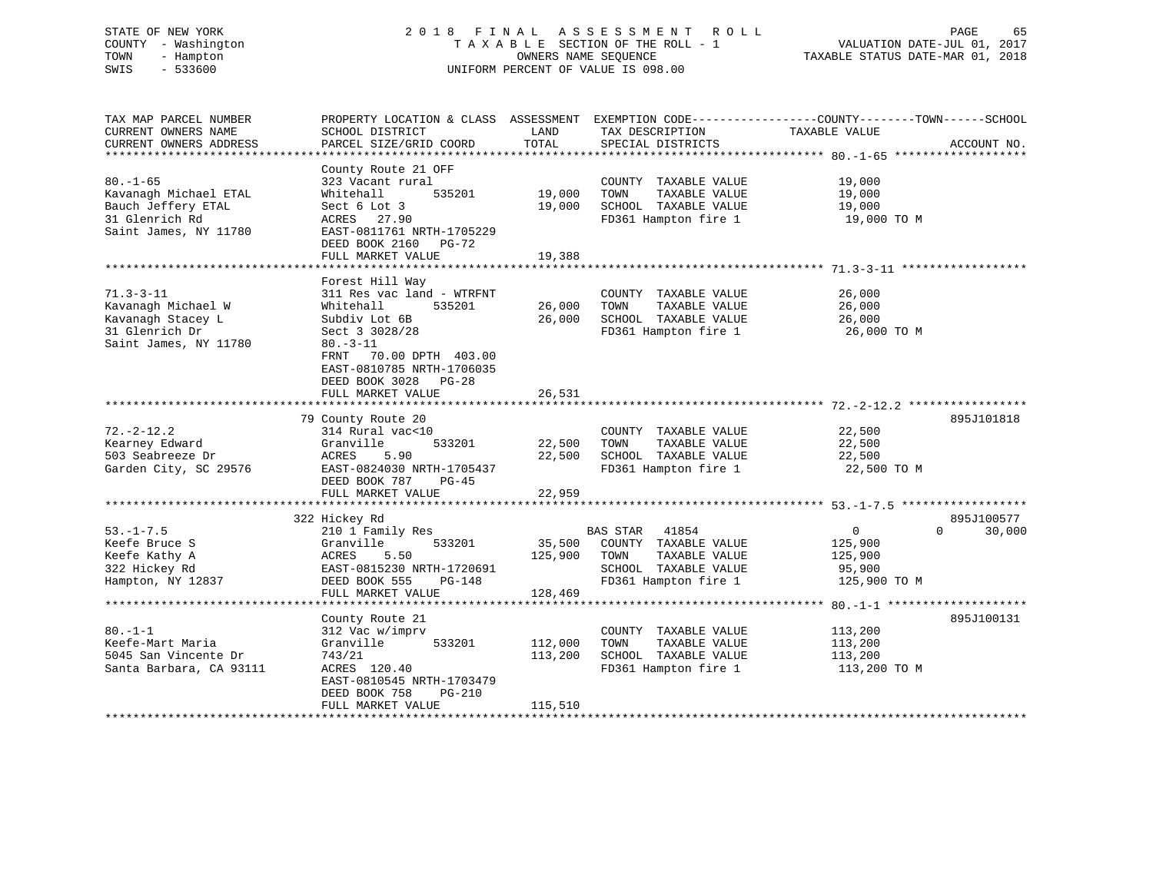# STATE OF NEW YORK 2 0 1 8 F I N A L A S S E S S M E N T R O L L PAGE 65 COUNTY - Washington T A X A B L E SECTION OF THE ROLL - 1 VALUATION DATE-JUL 01, 2017 TOWN - Hampton OWNERS NAME SEQUENCE TAXABLE STATUS DATE-MAR 01, 2018 SWIS - 533600 UNIFORM PERCENT OF VALUE IS 098.00

| TAX MAP PARCEL NUMBER   | PROPERTY LOCATION & CLASS ASSESSMENT |         | EXEMPTION CODE-----------------COUNTY-------TOWN------SCHOOL |                |             |
|-------------------------|--------------------------------------|---------|--------------------------------------------------------------|----------------|-------------|
| CURRENT OWNERS NAME     | SCHOOL DISTRICT                      | LAND    | TAX DESCRIPTION                                              | TAXABLE VALUE  |             |
| CURRENT OWNERS ADDRESS  | PARCEL SIZE/GRID COORD               | TOTAL   | SPECIAL DISTRICTS                                            |                | ACCOUNT NO. |
| ******************      |                                      |         |                                                              |                |             |
|                         | County Route 21 OFF                  |         |                                                              |                |             |
| $80. - 1 - 65$          | 323 Vacant rural                     |         | COUNTY TAXABLE VALUE                                         | 19,000         |             |
| Kavanagh Michael ETAL   | 535201<br>Whitehall                  | 19,000  | TAXABLE VALUE<br>TOWN                                        | 19,000         |             |
| Bauch Jeffery ETAL      | Sect 6 Lot 3                         | 19,000  | SCHOOL TAXABLE VALUE                                         | 19,000         |             |
| 31 Glenrich Rd          | ACRES 27.90                          |         | FD361 Hampton fire 1                                         | 19,000 TO M    |             |
| Saint James, NY 11780   | EAST-0811761 NRTH-1705229            |         |                                                              |                |             |
|                         | DEED BOOK 2160<br>PG-72              |         |                                                              |                |             |
|                         | FULL MARKET VALUE                    | 19,388  |                                                              |                |             |
|                         |                                      |         |                                                              |                |             |
|                         | Forest Hill Way                      |         |                                                              |                |             |
| $71.3 - 3 - 11$         | 311 Res vac land - WTRFNT            |         | COUNTY TAXABLE VALUE                                         | 26,000         |             |
| Kavanagh Michael W      | 535201<br>Whitehall                  | 26,000  | TOWN<br>TAXABLE VALUE                                        | 26,000         |             |
| Kavanagh Stacey L       | Subdiv Lot 6B                        | 26,000  | SCHOOL TAXABLE VALUE                                         | 26,000         |             |
| 31 Glenrich Dr          | Sect 3 3028/28                       |         | FD361 Hampton fire 1                                         | 26,000 TO M    |             |
| Saint James, NY 11780   | $80. - 3 - 11$                       |         |                                                              |                |             |
|                         | 70.00 DPTH 403.00<br>FRNT            |         |                                                              |                |             |
|                         | EAST-0810785 NRTH-1706035            |         |                                                              |                |             |
|                         | DEED BOOK 3028 PG-28                 |         |                                                              |                |             |
|                         | FULL MARKET VALUE                    | 26,531  |                                                              |                |             |
|                         |                                      |         |                                                              |                |             |
|                         | 79 County Route 20                   |         |                                                              |                | 895J101818  |
| $72. - 2 - 12.2$        | 314 Rural vac<10                     |         | COUNTY TAXABLE VALUE                                         | 22,500         |             |
| Kearney Edward          | 533201<br>Granville                  | 22,500  | TOWN<br>TAXABLE VALUE                                        | 22,500         |             |
| 503 Seabreeze Dr        | 5.90<br>ACRES                        | 22,500  | SCHOOL TAXABLE VALUE                                         | 22,500         |             |
| Garden City, SC 29576   | EAST-0824030 NRTH-1705437            |         | FD361 Hampton fire 1                                         | 22,500 TO M    |             |
|                         | DEED BOOK 787<br>PG-45               |         |                                                              |                |             |
|                         | FULL MARKET VALUE                    | 22,959  |                                                              |                |             |
|                         |                                      |         |                                                              |                |             |
|                         |                                      |         |                                                              |                | 895J100577  |
| $53. - 1 - 7.5$         | 322 Hickey Rd                        |         |                                                              |                | $\Omega$    |
|                         | 210 1 Family Res                     |         | BAS STAR 41854                                               | $\overline{0}$ | 30,000      |
| Keefe Bruce S           | Granville<br>533201                  | 35,500  | COUNTY TAXABLE VALUE                                         | 125,900        |             |
| Keefe Kathy A           | 5.50<br>ACRES                        | 125,900 | TAXABLE VALUE<br>TOWN                                        | 125,900        |             |
| 322 Hickey Rd           | EAST-0815230 NRTH-1720691            |         | SCHOOL TAXABLE VALUE                                         | 95,900         |             |
| Hampton, NY 12837       | DEED BOOK 555<br>PG-148              |         | FD361 Hampton fire 1                                         | 125,900 TO M   |             |
|                         | FULL MARKET VALUE                    | 128,469 |                                                              |                |             |
|                         |                                      |         |                                                              |                |             |
|                         | County Route 21                      |         |                                                              |                | 895J100131  |
| $80. -1 - 1$            | 312 Vac w/imprv                      |         | COUNTY TAXABLE VALUE                                         | 113,200        |             |
| Keefe-Mart Maria        | 533201<br>Granville                  | 112,000 | TOWN<br>TAXABLE VALUE                                        | 113,200        |             |
| 5045 San Vincente Dr    | 743/21                               | 113,200 | SCHOOL TAXABLE VALUE                                         | 113,200        |             |
| Santa Barbara, CA 93111 | ACRES 120.40                         |         | FD361 Hampton fire 1                                         | 113,200 TO M   |             |
|                         | EAST-0810545 NRTH-1703479            |         |                                                              |                |             |
|                         | DEED BOOK 758<br>PG-210              |         |                                                              |                |             |
|                         | FULL MARKET VALUE                    | 115,510 |                                                              |                |             |
|                         |                                      |         |                                                              |                |             |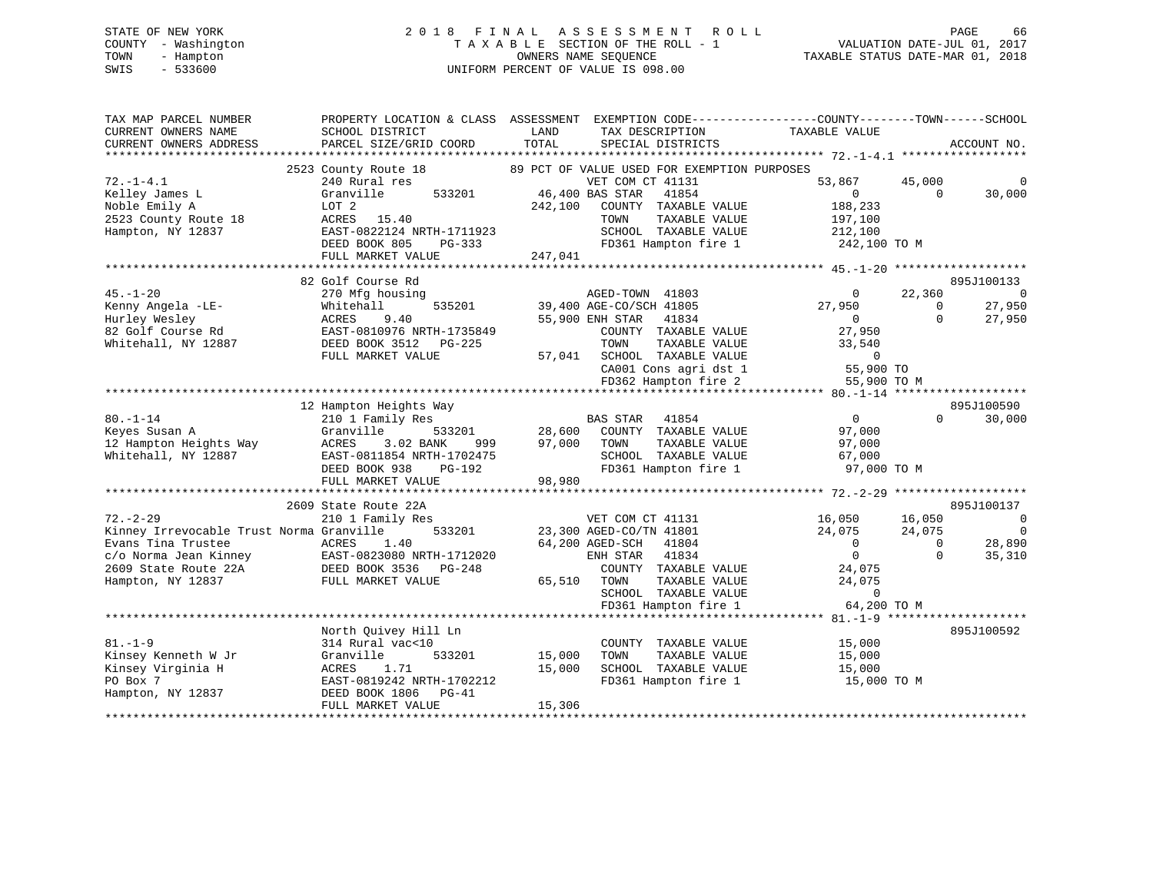# STATE OF NEW YORK 2 0 1 8 F I N A L A S S E S S M E N T R O L L PAGE 66 COUNTY - Washington T A X A B L E SECTION OF THE ROLL - 1 VALUATION DATE-JUL 01, 2017 TOWN - Hampton OWNERS NAME SEQUENCE TAXABLE STATUS DATE-MAR 01, 2018 SWIS - 533600 UNIFORM PERCENT OF VALUE IS 098.00UNIFORM PERCENT OF VALUE IS 098.00

| TAX MAP PARCEL NUMBER<br>CURRENT OWNERS NAME<br>CURRENT OWNERS ADDRESS<br>*************************                                                    | PROPERTY LOCATION & CLASS ASSESSMENT<br>SCHOOL DISTRICT<br>PARCEL SIZE/GRID COORD                                                                                                                    | LAND<br>TOTAL                                                                                 | TAX DESCRIPTION<br>SPECIAL DISTRICTS                                                                                                       | EXEMPTION CODE-----------------COUNTY-------TOWN------SCHOOL<br>TAXABLE VALUE                                                   |                                          | ACCOUNT NO.                                           |
|--------------------------------------------------------------------------------------------------------------------------------------------------------|------------------------------------------------------------------------------------------------------------------------------------------------------------------------------------------------------|-----------------------------------------------------------------------------------------------|--------------------------------------------------------------------------------------------------------------------------------------------|---------------------------------------------------------------------------------------------------------------------------------|------------------------------------------|-------------------------------------------------------|
| $72. - 1 - 4.1$<br>Kelley James L<br>Noble Emily A<br>2523 County Route 18<br>Hampton, NY 12837                                                        | 2523 County Route 18<br>240 Rural res<br>533201<br>Granville<br>LOT 2<br>ACRES<br>15.40<br>EAST-0822124 NRTH-1711923<br>DEED BOOK 805<br>$PG-333$<br>FULL MARKET VALUE                               | 89 PCT OF VALUE USED FOR EXEMPTION PURPOSES<br>46,400 BAS STAR<br>242,100<br>TOWN<br>247,041  | VET COM CT 41131<br>41854<br>COUNTY TAXABLE VALUE<br>TAXABLE VALUE<br>SCHOOL TAXABLE VALUE<br>FD361 Hampton fire 1                         | 53,867<br>$\Omega$<br>188,233<br>197,100<br>212,100<br>242,100 TO M                                                             | 45,000<br>$\Omega$                       | 30,000                                                |
| $45. - 1 - 20$<br>Kenny Angela -LE-<br>Hurley Wesley<br>82 Golf Course Rd<br>Whitehall, NY 12887                                                       | 82 Golf Course Rd<br>270 Mfg housing<br>535201<br>Whitehall<br>ACRES<br>9.40<br>EAST-0810976 NRTH-1735849<br>DEED BOOK 3512<br>PG-225<br>FULL MARKET VALUE                                           | *****************************<br>39,400 AGE-CO/SCH 41805<br>55,900 ENH STAR<br>TOWN<br>57,041 | AGED-TOWN 41803<br>41834<br>COUNTY TAXABLE VALUE<br>TAXABLE VALUE<br>SCHOOL TAXABLE VALUE<br>CA001 Cons agri dst 1<br>FD362 Hampton fire 2 | ********** 45.-1-20<br>$\Omega$<br>27,950<br>$\Omega$<br>27,950<br>33,540<br>$\mathbf 0$<br>55,900 TO<br>55,900 TO M            | 22,360<br>$\Omega$<br>$\Omega$           | 895J100133<br>$\overline{0}$<br>27,950<br>27,950      |
| $80. - 1 - 14$<br>Keyes Susan A<br>12 Hampton Heights Way<br>Whitehall, NY 12887                                                                       | 12 Hampton Heights Way<br>210 1 Family Res<br>Granville<br>533201<br>ACRES<br>3.02 BANK<br>999<br>EAST-0811854 NRTH-1702475<br>DEED BOOK 938<br>PG-192<br>FULL MARKET VALUE                          | <b>BAS STAR</b><br>28,600<br>97,000<br>TOWN<br>98,980                                         | 41854<br>COUNTY TAXABLE VALUE<br>TAXABLE VALUE<br>SCHOOL TAXABLE VALUE<br>FD361 Hampton fire 1                                             | $\Omega$<br>97,000<br>97,000<br>67,000<br>97,000 TO M                                                                           | $\Omega$                                 | 895J100590<br>30,000                                  |
| $72. - 2 - 29$<br>Kinney Irrevocable Trust Norma Granville<br>Evans Tina Trustee<br>c/o Norma Jean Kinney<br>2609 State Route 22A<br>Hampton, NY 12837 | 2609 State Route 22A<br>210 1 Family Res<br>533201<br>ACRES<br>1.40<br>EAST-0823080 NRTH-1712020<br>DEED BOOK 3536<br>$PG-248$<br>FULL MARKET VALUE                                                  | **********<br>23,300 AGED-CO/TN 41801<br>64,200 AGED-SCH<br>ENH STAR<br>65,510<br>TOWN        | VET COM CT 41131<br>41804<br>41834<br>COUNTY TAXABLE VALUE<br>TAXABLE VALUE<br>SCHOOL TAXABLE VALUE<br>FD361 Hampton fire 1                | ******** 72.-2-9 *******************<br>16,050<br>24,075<br>$\Omega$<br>$\Omega$<br>24,075<br>24,075<br>$\Omega$<br>64,200 TO M | 16,050<br>24,075<br>$\Omega$<br>$\Omega$ | 895J100137<br>0<br>$\overline{0}$<br>28,890<br>35,310 |
| $81. - 1 - 9$<br>Kinsey Kenneth W Jr<br>Kinsey Virginia H<br>PO Box 7<br>Hampton, NY 12837                                                             | *********************************<br>North Quivey Hill Ln<br>314 Rural vac<10<br>533201<br>Granville<br>1.71<br>ACRES<br>EAST-0819242 NRTH-1702212<br>DEED BOOK 1806<br>$PG-41$<br>FULL MARKET VALUE | 15,000<br>TOWN<br>15,000<br>15,306                                                            | COUNTY TAXABLE VALUE<br>TAXABLE VALUE<br>SCHOOL TAXABLE VALUE<br>FD361 Hampton fire 1                                                      | ************** 81.-1-9 *******************<br>15,000<br>15,000<br>15,000<br>15,000 TO M                                         |                                          | 895J100592                                            |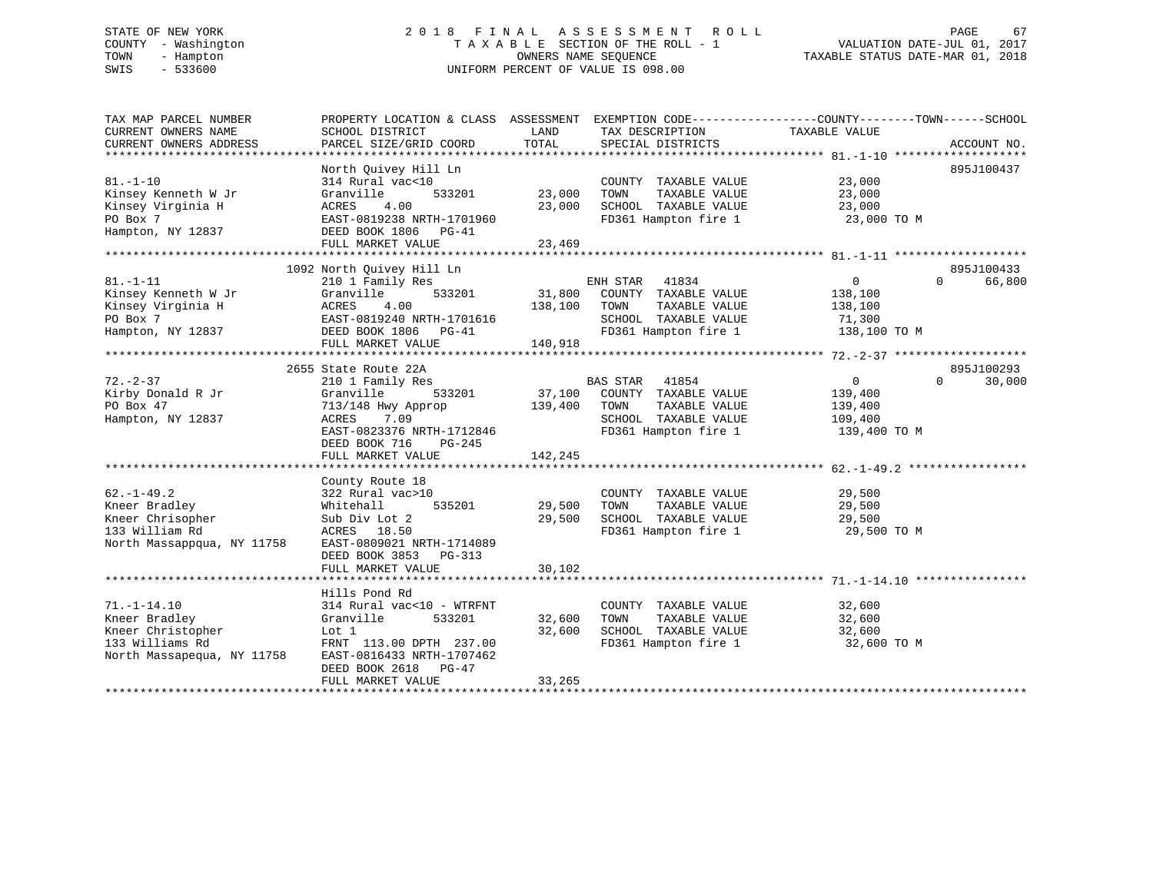# STATE OF NEW YORK 2 0 1 8 F I N A L A S S E S S M E N T R O L L PAGE 67 COUNTY - Washington T A X A B L E SECTION OF THE ROLL - 1 VALUATION DATE-JUL 01, 2017 TOWN - Hampton OWNERS NAME SEQUENCE TAXABLE STATUS DATE-MAR 01, 2018 SWIS - 533600 UNIFORM PERCENT OF VALUE IS 098.00

| TAX MAP PARCEL NUMBER<br>CURRENT OWNERS NAME | PROPERTY LOCATION & CLASS ASSESSMENT<br>SCHOOL DISTRICT | LAND    | EXEMPTION CODE-----------------COUNTY-------TOWN------SCHOOL<br>TAX DESCRIPTION | TAXABLE VALUE  |                    |
|----------------------------------------------|---------------------------------------------------------|---------|---------------------------------------------------------------------------------|----------------|--------------------|
| CURRENT OWNERS ADDRESS                       | PARCEL SIZE/GRID COORD                                  | TOTAL   | SPECIAL DISTRICTS                                                               |                | ACCOUNT NO.        |
|                                              | North Ouivey Hill Ln                                    |         |                                                                                 |                | 895J100437         |
| $81. - 1 - 10$                               | 314 Rural vac<10                                        |         | COUNTY TAXABLE VALUE                                                            | 23,000         |                    |
| Kinsey Kenneth W Jr                          | 533201<br>Granville                                     | 23,000  | TOWN<br>TAXABLE VALUE                                                           | 23,000         |                    |
| Kinsey Virginia H                            | 4.00<br>ACRES                                           | 23,000  | SCHOOL TAXABLE VALUE                                                            | 23,000         |                    |
| PO Box 7                                     | EAST-0819238 NRTH-1701960                               |         | FD361 Hampton fire 1                                                            | 23,000 TO M    |                    |
| Hampton, NY 12837                            | DEED BOOK 1806 PG-41                                    |         |                                                                                 |                |                    |
|                                              | FULL MARKET VALUE                                       | 23,469  |                                                                                 |                |                    |
|                                              |                                                         |         |                                                                                 |                |                    |
|                                              | 1092 North Quivey Hill Ln                               |         |                                                                                 |                | 895J100433         |
| $81. - 1 - 11$                               | 210 1 Family Res                                        |         | ENH STAR<br>41834                                                               | $\mathbf{0}$   | $\Omega$<br>66,800 |
| Kinsey Kenneth W Jr                          | Granville<br>533201                                     | 31,800  | COUNTY TAXABLE VALUE                                                            | 138,100        |                    |
| Kinsey Virginia H                            | ACRES<br>4.00                                           | 138,100 | TOWN<br>TAXABLE VALUE                                                           | 138,100        |                    |
| PO Box 7                                     | EAST-0819240 NRTH-1701616                               |         | SCHOOL TAXABLE VALUE                                                            | 71,300         |                    |
| Hampton, NY 12837                            | DEED BOOK 1806 PG-41                                    |         | FD361 Hampton fire 1                                                            | 138,100 TO M   |                    |
|                                              | FULL MARKET VALUE                                       | 140,918 |                                                                                 |                |                    |
|                                              |                                                         |         |                                                                                 |                |                    |
|                                              | 2655 State Route 22A                                    |         |                                                                                 |                | 895J100293         |
| $72. - 2 - 37$                               | 210 1 Family Res                                        |         | <b>BAS STAR</b><br>41854                                                        | $\overline{0}$ | $\Omega$<br>30,000 |
| Kirby Donald R Jr                            | 533201<br>Granville                                     | 37,100  | COUNTY TAXABLE VALUE                                                            | 139,400        |                    |
| PO Box 47                                    | 713/148 Hwy Approp                                      | 139,400 | TAXABLE VALUE<br>TOWN                                                           | 139,400        |                    |
| Hampton, NY 12837                            | ACRES<br>7.09                                           |         | SCHOOL TAXABLE VALUE                                                            | 109,400        |                    |
|                                              | EAST-0823376 NRTH-1712846                               |         | FD361 Hampton fire 1                                                            | 139,400 TO M   |                    |
|                                              | DEED BOOK 716<br>$PG-245$                               |         |                                                                                 |                |                    |
|                                              | FULL MARKET VALUE                                       | 142,245 |                                                                                 |                |                    |
|                                              |                                                         |         |                                                                                 |                |                    |
|                                              | County Route 18                                         |         |                                                                                 |                |                    |
| $62. -1 - 49.2$                              | 322 Rural vac>10                                        |         | COUNTY TAXABLE VALUE                                                            | 29,500         |                    |
| Kneer Bradley                                | 535201<br>Whitehall                                     | 29,500  | TOWN<br>TAXABLE VALUE                                                           | 29,500         |                    |
| Kneer Chrisopher                             | Sub Div Lot 2                                           | 29,500  | SCHOOL TAXABLE VALUE                                                            | 29,500         |                    |
| 133 William Rd                               | ACRES 18.50                                             |         | FD361 Hampton fire 1                                                            | 29,500 TO M    |                    |
| North Massappqua, NY 11758                   | EAST-0809021 NRTH-1714089                               |         |                                                                                 |                |                    |
|                                              | DEED BOOK 3853<br>PG-313                                |         |                                                                                 |                |                    |
|                                              | FULL MARKET VALUE                                       | 30,102  |                                                                                 |                |                    |
|                                              |                                                         |         |                                                                                 |                |                    |
|                                              | Hills Pond Rd                                           |         |                                                                                 |                |                    |
| $71. - 1 - 14.10$                            | 314 Rural vac<10 - WTRFNT                               |         | COUNTY TAXABLE VALUE                                                            | 32,600         |                    |
| Kneer Bradley                                | 533201<br>Granville                                     | 32,600  | TAXABLE VALUE<br>TOWN                                                           | 32,600         |                    |
| Kneer Christopher                            | Lot 1                                                   | 32,600  | SCHOOL TAXABLE VALUE                                                            | 32,600         |                    |
| 133 Williams Rd                              | FRNT 113.00 DPTH 237.00                                 |         | FD361 Hampton fire 1                                                            | 32,600 TO M    |                    |
| North Massapequa, NY 11758                   | EAST-0816433 NRTH-1707462                               |         |                                                                                 |                |                    |
|                                              | DEED BOOK 2618<br>$PG-47$                               |         |                                                                                 |                |                    |
|                                              | FULL MARKET VALUE                                       | 33,265  |                                                                                 |                |                    |
|                                              |                                                         |         |                                                                                 |                |                    |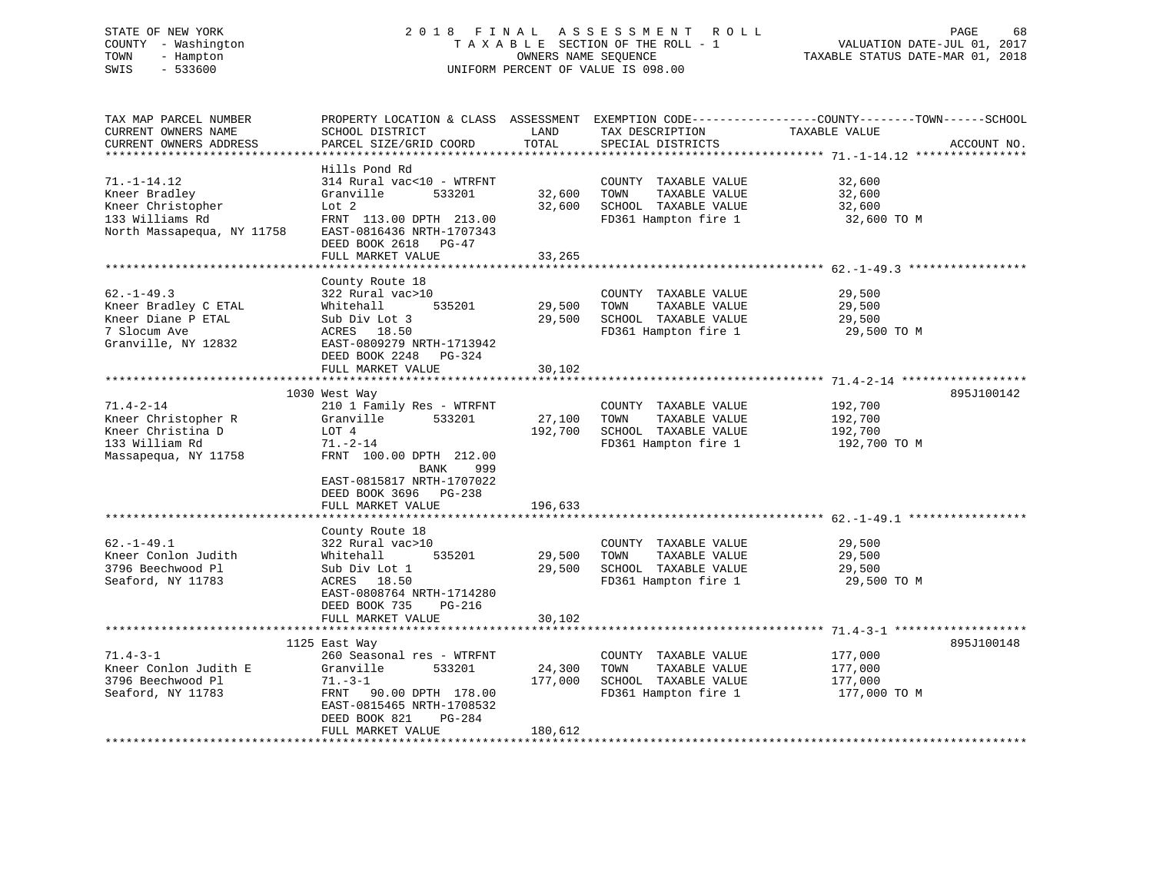# STATE OF NEW YORK 2 0 1 8 F I N A L A S S E S S M E N T R O L L PAGE 68 COUNTY - Washington T A X A B L E SECTION OF THE ROLL - 1 VALUATION DATE-JUL 01, 2017 TOWN - Hampton OWNERS NAME SEQUENCE TAXABLE STATUS DATE-MAR 01, 2018 SWIS - 533600 UNIFORM PERCENT OF VALUE IS 098.00

| TAX MAP PARCEL NUMBER      |                           |         |                       | PROPERTY LOCATION & CLASS ASSESSMENT EXEMPTION CODE----------------COUNTY-------TOWN------SCHOOL |
|----------------------------|---------------------------|---------|-----------------------|--------------------------------------------------------------------------------------------------|
| CURRENT OWNERS NAME        | SCHOOL DISTRICT           | LAND    | TAX DESCRIPTION       | TAXABLE VALUE                                                                                    |
| CURRENT OWNERS ADDRESS     | PARCEL SIZE/GRID COORD    | TOTAL   | SPECIAL DISTRICTS     | ACCOUNT NO.                                                                                      |
|                            |                           |         |                       |                                                                                                  |
|                            | Hills Pond Rd             |         |                       |                                                                                                  |
| $71. - 1 - 14.12$          | 314 Rural vac<10 - WTRFNT |         | COUNTY TAXABLE VALUE  | 32,600                                                                                           |
| Kneer Bradley              | Granville<br>533201       | 32,600  | TOWN<br>TAXABLE VALUE | 32,600                                                                                           |
| Kneer Christopher          | Lot <sub>2</sub>          | 32,600  | SCHOOL TAXABLE VALUE  | 32,600                                                                                           |
| 133 Williams Rd            | FRNT 113.00 DPTH 213.00   |         | FD361 Hampton fire 1  | 32,600 TO M                                                                                      |
| North Massapequa, NY 11758 | EAST-0816436 NRTH-1707343 |         |                       |                                                                                                  |
|                            |                           |         |                       |                                                                                                  |
|                            | DEED BOOK 2618 PG-47      |         |                       |                                                                                                  |
|                            | FULL MARKET VALUE         | 33,265  |                       |                                                                                                  |
|                            |                           |         |                       |                                                                                                  |
|                            | County Route 18           |         |                       |                                                                                                  |
| $62. -1 - 49.3$            | 322 Rural vac>10          |         | COUNTY TAXABLE VALUE  | 29,500                                                                                           |
| Kneer Bradley C ETAL       | Whitehall<br>535201       | 29,500  | TOWN<br>TAXABLE VALUE | 29,500                                                                                           |
| Kneer Diane P ETAL         | Sub Div Lot 3             | 29,500  | SCHOOL TAXABLE VALUE  | 29,500                                                                                           |
| 7 Slocum Ave               | ACRES 18.50               |         | FD361 Hampton fire 1  | 29,500 TO M                                                                                      |
| Granville, NY 12832        | EAST-0809279 NRTH-1713942 |         |                       |                                                                                                  |
|                            | DEED BOOK 2248<br>PG-324  |         |                       |                                                                                                  |
|                            | FULL MARKET VALUE         | 30,102  |                       |                                                                                                  |
|                            |                           |         |                       |                                                                                                  |
|                            | 1030 West Way             |         |                       | 895J100142                                                                                       |
| $71.4 - 2 - 14$            | 210 1 Family Res - WTRFNT |         | COUNTY TAXABLE VALUE  | 192,700                                                                                          |
| Kneer Christopher R        | Granville<br>533201       | 27,100  | TOWN<br>TAXABLE VALUE | 192,700                                                                                          |
| Kneer Christina D          | LOT 4                     | 192,700 | SCHOOL TAXABLE VALUE  | 192,700                                                                                          |
| 133 William Rd             | $71. - 2 - 14$            |         | FD361 Hampton fire 1  | 192,700 TO M                                                                                     |
|                            |                           |         |                       |                                                                                                  |
| Massapequa, NY 11758       | FRNT 100.00 DPTH 212.00   |         |                       |                                                                                                  |
|                            | BANK<br>999               |         |                       |                                                                                                  |
|                            | EAST-0815817 NRTH-1707022 |         |                       |                                                                                                  |
|                            | DEED BOOK 3696 PG-238     |         |                       |                                                                                                  |
|                            | FULL MARKET VALUE         | 196,633 |                       |                                                                                                  |
|                            |                           |         |                       |                                                                                                  |
|                            | County Route 18           |         |                       |                                                                                                  |
| $62. -1 - 49.1$            | 322 Rural vac>10          |         | COUNTY TAXABLE VALUE  | 29,500                                                                                           |
| Kneer Conlon Judith        | 535201<br>Whitehall       | 29,500  | TOWN<br>TAXABLE VALUE | 29,500                                                                                           |
| 3796 Beechwood Pl          | Sub Div Lot 1             | 29,500  | SCHOOL TAXABLE VALUE  | 29,500                                                                                           |
| Seaford, NY 11783          | ACRES 18.50               |         | FD361 Hampton fire 1  | 29,500 TO M                                                                                      |
|                            | EAST-0808764 NRTH-1714280 |         |                       |                                                                                                  |
|                            | DEED BOOK 735<br>PG-216   |         |                       |                                                                                                  |
|                            | FULL MARKET VALUE         | 30,102  |                       |                                                                                                  |
|                            |                           |         |                       |                                                                                                  |
|                            | 1125 East Way             |         |                       | 895J100148                                                                                       |
| $71.4 - 3 - 1$             | 260 Seasonal res - WTRFNT |         | COUNTY TAXABLE VALUE  | 177,000                                                                                          |
| Kneer Conlon Judith E      | 533201<br>Granville       | 24,300  | TOWN<br>TAXABLE VALUE | 177,000                                                                                          |
| 3796 Beechwood Pl          | $71. - 3 - 1$             | 177,000 | SCHOOL TAXABLE VALUE  | 177,000                                                                                          |
| Seaford, NY 11783          | FRNT<br>90.00 DPTH 178.00 |         | FD361 Hampton fire 1  | 177,000 TO M                                                                                     |
|                            |                           |         |                       |                                                                                                  |
|                            | EAST-0815465 NRTH-1708532 |         |                       |                                                                                                  |
|                            | DEED BOOK 821<br>PG-284   |         |                       |                                                                                                  |
|                            | FULL MARKET VALUE         | 180,612 |                       |                                                                                                  |
|                            |                           |         |                       |                                                                                                  |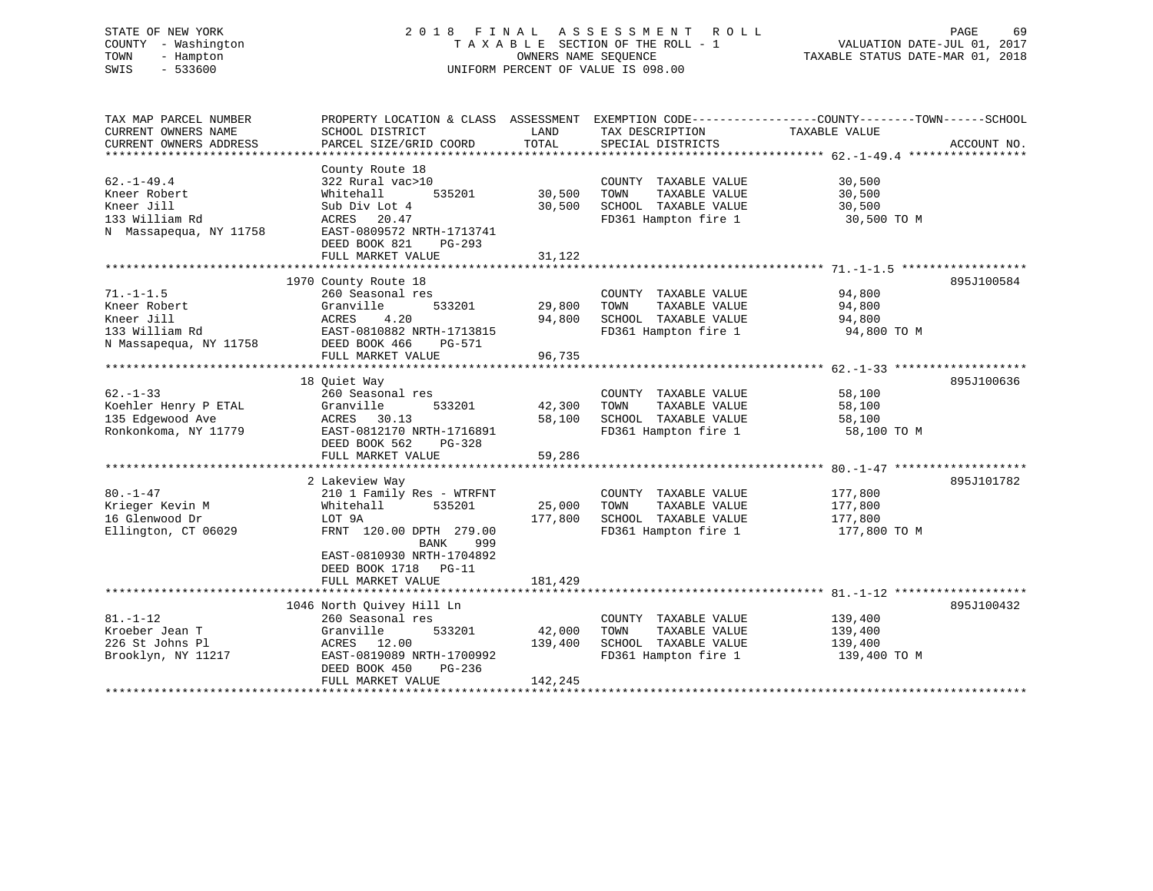# STATE OF NEW YORK 2 0 1 8 F I N A L A S S E S S M E N T R O L L PAGE 69 COUNTY - Washington T A X A B L E SECTION OF THE ROLL - 1 VALUATION DATE-JUL 01, 2017 TOWN - Hampton OWNERS NAME SEQUENCE TAXABLE STATUS DATE-MAR 01, 2018 SWIS - 533600 UNIFORM PERCENT OF VALUE IS 098.00

| TAX MAP PARCEL NUMBER  | PROPERTY LOCATION & CLASS ASSESSMENT EXEMPTION CODE---------------COUNTY-------TOWN------SCHOOL |         |                       |               |             |
|------------------------|-------------------------------------------------------------------------------------------------|---------|-----------------------|---------------|-------------|
| CURRENT OWNERS NAME    | SCHOOL DISTRICT                                                                                 | LAND    | TAX DESCRIPTION       | TAXABLE VALUE |             |
| CURRENT OWNERS ADDRESS | PARCEL SIZE/GRID COORD                                                                          | TOTAL   | SPECIAL DISTRICTS     |               | ACCOUNT NO. |
| *******************    |                                                                                                 |         |                       |               |             |
|                        | County Route 18                                                                                 |         |                       |               |             |
| $62. - 1 - 49.4$       | 322 Rural vac>10                                                                                |         | COUNTY TAXABLE VALUE  | 30,500        |             |
| Kneer Robert           | Whitehall<br>535201                                                                             | 30,500  | TAXABLE VALUE<br>TOWN | 30,500        |             |
| Kneer Jill             | Sub Div Lot 4                                                                                   | 30,500  | SCHOOL TAXABLE VALUE  | 30,500        |             |
| 133 William Rd         | ACRES 20.47                                                                                     |         | FD361 Hampton fire 1  | 30,500 TO M   |             |
| N Massapequa, NY 11758 | EAST-0809572 NRTH-1713741                                                                       |         |                       |               |             |
|                        | DEED BOOK 821<br>$PG-293$                                                                       |         |                       |               |             |
|                        | FULL MARKET VALUE                                                                               | 31,122  |                       |               |             |
|                        |                                                                                                 |         |                       |               |             |
|                        | 1970 County Route 18                                                                            |         |                       |               | 895J100584  |
| $71. - 1 - 1.5$        | 260 Seasonal res                                                                                |         | COUNTY TAXABLE VALUE  | 94,800        |             |
| Kneer Robert           | 533201<br>Granville                                                                             | 29,800  | TOWN<br>TAXABLE VALUE | 94,800        |             |
| Kneer Jill             | ACRES<br>4.20                                                                                   | 94,800  | SCHOOL TAXABLE VALUE  | 94,800        |             |
| 133 William Rd         | EAST-0810882 NRTH-1713815                                                                       |         | FD361 Hampton fire 1  | 94,800 TO M   |             |
| N Massapequa, NY 11758 | DEED BOOK 466<br>PG-571                                                                         |         |                       |               |             |
|                        | FULL MARKET VALUE                                                                               | 96,735  |                       |               |             |
|                        |                                                                                                 |         |                       |               |             |
|                        | 18 Ouiet Way                                                                                    |         |                       |               | 895J100636  |
| $62 - 1 - 33$          | 260 Seasonal res                                                                                |         | COUNTY TAXABLE VALUE  | 58,100        |             |
| Koehler Henry P ETAL   | Granville<br>533201                                                                             | 42,300  | TAXABLE VALUE<br>TOWN | 58,100        |             |
| 135 Edgewood Ave       | ACRES 30.13                                                                                     | 58,100  | SCHOOL TAXABLE VALUE  | 58,100        |             |
| Ronkonkoma, NY 11779   | EAST-0812170 NRTH-1716891                                                                       |         | FD361 Hampton fire 1  | 58,100 TO M   |             |
|                        | DEED BOOK 562<br>PG-328                                                                         |         |                       |               |             |
|                        | FULL MARKET VALUE                                                                               | 59,286  |                       |               |             |
|                        |                                                                                                 |         |                       |               |             |
|                        | 2 Lakeview Way                                                                                  |         |                       |               | 895J101782  |
| $80. -1 - 47$          | 210 1 Family Res - WTRFNT                                                                       |         | COUNTY TAXABLE VALUE  | 177,800       |             |
| Krieger Kevin M        | Whitehall<br>535201                                                                             | 25,000  | TOWN<br>TAXABLE VALUE | 177,800       |             |
| 16 Glenwood Dr         | LOT 9A                                                                                          | 177,800 | SCHOOL TAXABLE VALUE  | 177,800       |             |
| Ellington, CT 06029    | FRNT 120.00 DPTH 279.00                                                                         |         | FD361 Hampton fire 1  | 177,800 TO M  |             |
|                        | BANK<br>999                                                                                     |         |                       |               |             |
|                        | EAST-0810930 NRTH-1704892                                                                       |         |                       |               |             |
|                        | DEED BOOK 1718<br>$PG-11$                                                                       |         |                       |               |             |
|                        | FULL MARKET VALUE                                                                               | 181,429 |                       |               |             |
|                        |                                                                                                 |         |                       |               |             |
|                        |                                                                                                 |         |                       |               |             |
|                        | 1046 North Ouivey Hill Ln                                                                       |         |                       |               | 895J100432  |
| $81. - 1 - 12$         | 260 Seasonal res                                                                                |         | COUNTY TAXABLE VALUE  | 139,400       |             |
| Kroeber Jean T         | Granville<br>533201                                                                             | 42,000  | TAXABLE VALUE<br>TOWN | 139,400       |             |
| 226 St Johns Pl        | ACRES 12.00                                                                                     | 139,400 | SCHOOL TAXABLE VALUE  | 139,400       |             |
| Brooklyn, NY 11217     | EAST-0819089 NRTH-1700992                                                                       |         | FD361 Hampton fire 1  | 139,400 TO M  |             |
|                        | DEED BOOK 450<br>PG-236                                                                         |         |                       |               |             |
|                        | FULL MARKET VALUE                                                                               | 142,245 |                       |               |             |
|                        |                                                                                                 |         |                       |               |             |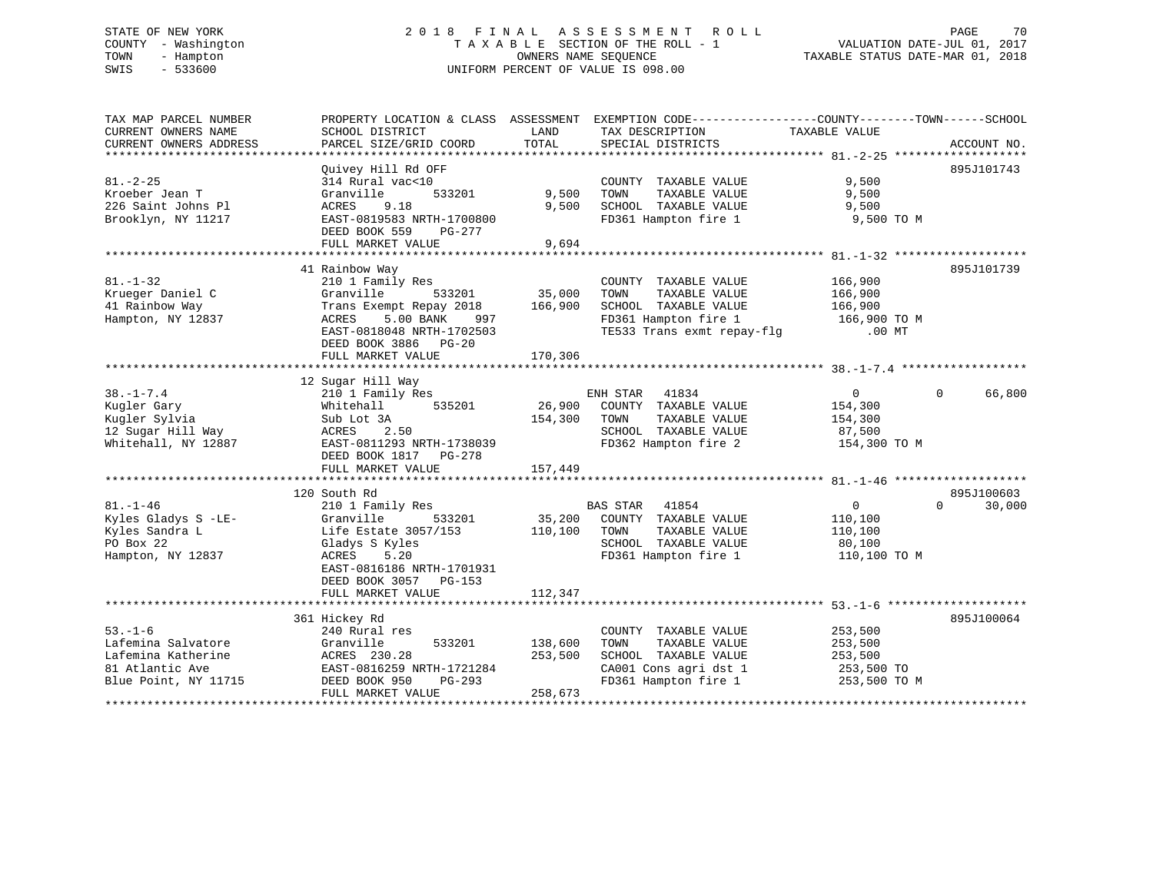# STATE OF NEW YORK 2 0 1 8 F I N A L A S S E S S M E N T R O L L PAGE 70 COUNTY - Washington T A X A B L E SECTION OF THE ROLL - 1 VALUATION DATE-JUL 01, 2017 TOWN - Hampton OWNERS NAME SEQUENCE TAXABLE STATUS DATE-MAR 01, 2018 SWIS - 533600 UNIFORM PERCENT OF VALUE IS 098.00

| TAX MAP PARCEL NUMBER  |                                 |               | PROPERTY LOCATION & CLASS ASSESSMENT EXEMPTION CODE---------------COUNTY-------TOWN------SCHOOL |                         |                    |
|------------------------|---------------------------------|---------------|-------------------------------------------------------------------------------------------------|-------------------------|--------------------|
| CURRENT OWNERS NAME    | SCHOOL DISTRICT                 | LAND          | TAX DESCRIPTION                                                                                 | TAXABLE VALUE           |                    |
| CURRENT OWNERS ADDRESS | PARCEL SIZE/GRID COORD          | TOTAL         | SPECIAL DISTRICTS                                                                               |                         | ACCOUNT NO.        |
|                        |                                 |               |                                                                                                 |                         |                    |
|                        | Ouivey Hill Rd OFF              |               |                                                                                                 |                         | 895J101743         |
| $81. - 2 - 25$         | 314 Rural vac<10                |               | COUNTY TAXABLE VALUE                                                                            | 9,500                   |                    |
| Kroeber Jean T         | Granville<br>533201             | 9,500         | TOWN<br>TAXABLE VALUE                                                                           | 9,500                   |                    |
| 226 Saint Johns Pl     | 9.18<br>ACRES                   | 9,500         | SCHOOL TAXABLE VALUE                                                                            | 9,500                   |                    |
| Brooklyn, NY 11217     | EAST-0819583 NRTH-1700800       |               | FD361 Hampton fire 1 9,500 TO M                                                                 |                         |                    |
|                        | DEED BOOK 559 PG-277            |               |                                                                                                 |                         |                    |
|                        | FULL MARKET VALUE               | 9,694         |                                                                                                 |                         |                    |
|                        |                                 |               |                                                                                                 |                         |                    |
|                        | 41 Rainbow Way                  |               |                                                                                                 |                         | 895J101739         |
| $81. - 1 - 32$         | 210 1 Family Res                |               | COUNTY TAXABLE VALUE                                                                            | 166,900                 |                    |
| Krueger Daniel C       | Granville                       | 533201 35,000 | TOWN<br>TAXABLE VALUE                                                                           | 166,900                 |                    |
| 41 Rainbow Way         | Trans Exempt Repay 2018 166,900 |               | SCHOOL TAXABLE VALUE                                                                            |                         |                    |
| Hampton, NY 12837      | ACRES<br>5.00 BANK<br>997       |               | SCHOOL TAXABLE VALUE<br>FD361 Hampton fire 1                                                    | 166,900<br>166,900 TO M |                    |
|                        | EAST-0818048 NRTH-1702503       |               | TE533 Trans exmt repay-flg .00 MT                                                               |                         |                    |
|                        |                                 |               |                                                                                                 |                         |                    |
|                        | DEED BOOK 3886 PG-20            |               |                                                                                                 |                         |                    |
|                        | FULL MARKET VALUE               | 170,306       |                                                                                                 |                         |                    |
|                        |                                 |               |                                                                                                 |                         |                    |
|                        | 12 Sugar Hill Way               |               |                                                                                                 |                         |                    |
| $38. - 1 - 7.4$        | 210 1 Family Res                |               | ENH STAR 41834<br>26,900 COUNTY TAXABLE VALUE                                                   | $\overline{0}$          | 66,800<br>$\Omega$ |
| Kugler Gary            | Whitehall<br>535201             |               |                                                                                                 | 154,300                 |                    |
| Kugler Sylvia          | Sub Lot 3A                      | 154,300 TOWN  | TAXABLE VALUE                                                                                   | 154,300                 |                    |
| 12 Sugar Hill Way      | ACRES 2.50                      |               | SCHOOL TAXABLE VALUE                                                                            | 87,500                  |                    |
| Whitehall, NY 12887    | EAST-0811293 NRTH-1738039       |               | FD362 Hampton fire 2 154,300 TO M                                                               |                         |                    |
|                        | DEED BOOK 1817 PG-278           |               |                                                                                                 |                         |                    |
|                        | FULL MARKET VALUE               | 157,449       |                                                                                                 |                         |                    |
|                        |                                 |               |                                                                                                 |                         |                    |
|                        | 120 South Rd                    |               |                                                                                                 |                         | 895J100603         |
| $81. - 1 - 46$         | 210 1 Family Res                |               | 41854<br>BAS STAR                                                                               | $\overline{0}$          | $\Omega$<br>30,000 |
| Kyles Gladys S -LE-    | 533201<br>Granville             |               | 35,200 COUNTY TAXABLE VALUE                                                                     | 110,100                 |                    |
| Kyles Sandra L         | Life Estate 3057/153            | 110,100 TOWN  | TAXABLE VALUE                                                                                   | 110,100                 |                    |
| PO Box 22              | Gladys S Kyles                  |               | SCHOOL TAXABLE VALUE                                                                            |                         |                    |
| Hampton, NY 12837      | ACRES<br>5.20                   |               | FD361 Hampton fire 1                                                                            | 80,100<br>110,100 TO M  |                    |
|                        | EAST-0816186 NRTH-1701931       |               |                                                                                                 |                         |                    |
|                        | DEED BOOK 3057 PG-153           |               |                                                                                                 |                         |                    |
|                        | FULL MARKET VALUE               | 112,347       |                                                                                                 |                         |                    |
|                        |                                 |               |                                                                                                 |                         |                    |
|                        | 361 Hickey Rd                   |               |                                                                                                 |                         | 895J100064         |
| $53. - 1 - 6$          | 240 Rural res                   |               | COUNTY TAXABLE VALUE                                                                            | 253,500                 |                    |
| Lafemina Salvatore     | 533201<br>Granville             | 138,600       | TAXABLE VALUE<br>TOWN                                                                           | 253,500                 |                    |
| Lafemina Katherine     | ACRES 230.28                    | 253,500       | SCHOOL TAXABLE VALUE                                                                            | 253,500                 |                    |
| 81 Atlantic Ave        | EAST-0816259 NRTH-1721284       |               |                                                                                                 |                         |                    |
| Blue Point, NY 11715   | DEED BOOK 950<br>PG-293         |               | CA001 Cons agri dst 1 253,500 TO<br>FD361 Hampton fire 1 253,500 TO M                           |                         |                    |
|                        | FULL MARKET VALUE               | 258,673       |                                                                                                 |                         |                    |
|                        |                                 |               |                                                                                                 |                         |                    |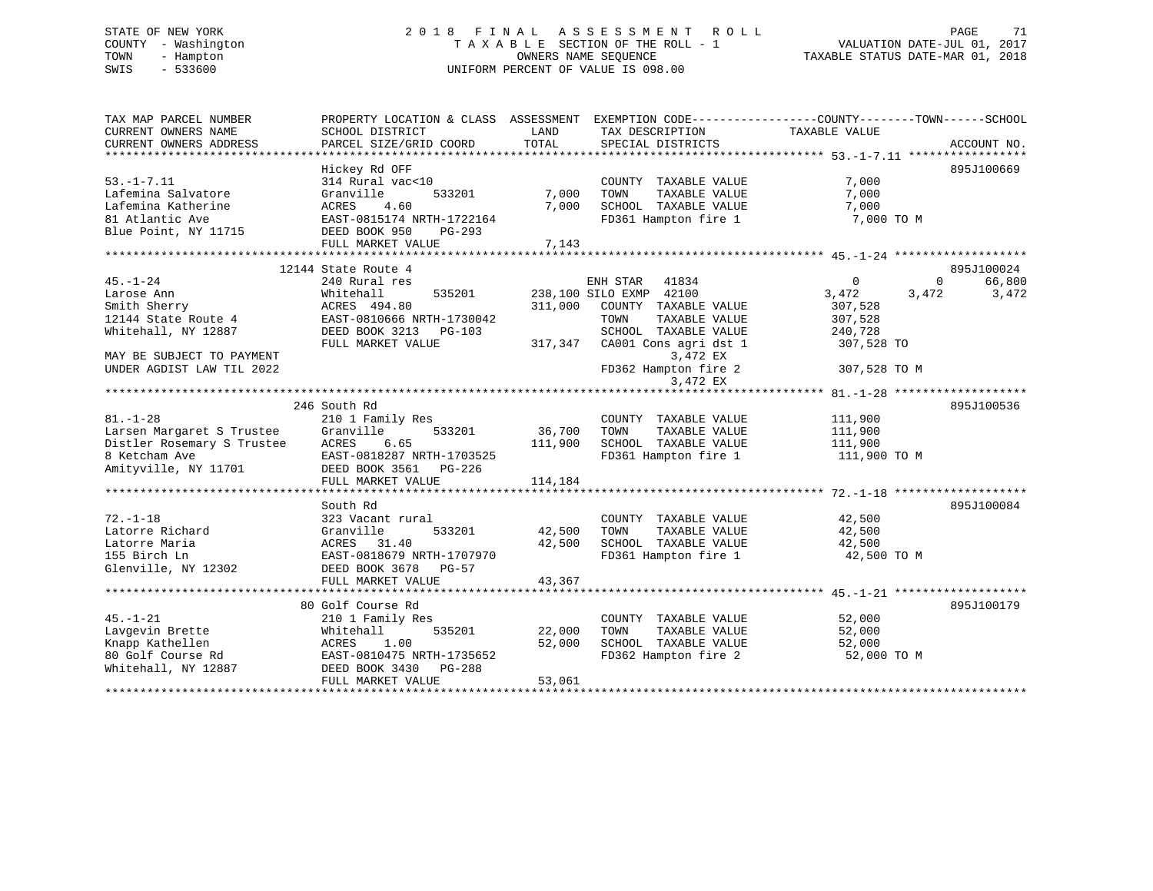# STATE OF NEW YORK 2 0 1 8 F I N A L A S S E S S M E N T R O L L PAGE 71 COUNTY - Washington T A X A B L E SECTION OF THE ROLL - 1 VALUATION DATE-JUL 01, 2017 TOWN - Hampton OWNERS NAME SEQUENCE TAXABLE STATUS DATE-MAR 01, 2018 SWIS - 533600 UNIFORM PERCENT OF VALUE IS 098.00

| CURRENT OWNERS NAME<br>SCHOOL DISTRICT<br>LAND<br>TAX DESCRIPTION<br>TAXABLE VALUE<br>TOTAL<br>CURRENT OWNERS ADDRESS<br>PARCEL SIZE/GRID COORD<br>SPECIAL DISTRICTS<br>ACCOUNT NO.<br>Hickey Rd OFF<br>895J100669<br>$53. - 1 - 7.11$<br>314 Rural vac<10<br>7,000<br>COUNTY TAXABLE VALUE<br>7,000<br>TAXABLE VALUE<br>Lafemina Salvatore<br>Granville<br>533201<br>TOWN<br>7,000<br>7,000<br>SCHOOL TAXABLE VALUE<br>7,000<br>Lafemina Katherine<br>ACRES<br>4.60<br>EAST-0815174 NRTH-1722164<br>FD361 Hampton fire 1<br>7,000 TO M<br>81 Atlantic Ave<br>Blue Point, NY 11715<br>DEED BOOK 950<br>PG-293<br>7,143<br>FULL MARKET VALUE<br>895J100024<br>12144 State Route 4<br>66,800<br>$45. - 1 - 24$<br>240 Rural res<br>ENH STAR<br>41834<br>$\overline{0}$<br>$\overline{0}$<br>238,100 SILO EXMP 42100<br>Whitehall<br>535201<br>3,472<br>3,472<br>Larose Ann<br>3,472<br>Smith Sherry<br>ACRES 494.80<br>311,000<br>COUNTY TAXABLE VALUE<br>307,528<br>12144 State Route 4<br>EAST-0810666 NRTH-1730042<br>TOWN<br>TAXABLE VALUE<br>307,528<br>Whitehall, NY 12887<br>SCHOOL TAXABLE VALUE<br>DEED BOOK 3213 PG-103<br>240,728<br>317,347 CA001 Cons agri dst 1<br>307,528 TO<br>FULL MARKET VALUE<br>3,472 EX<br>MAY BE SUBJECT TO PAYMENT<br>FD362 Hampton fire 2<br>UNDER AGDIST LAW TIL 2022<br>307,528 TO M<br>3,472 EX<br>246 South Rd<br>895J100536<br>$81. - 1 - 28$<br>210 1 Family Res<br>111,900<br>COUNTY TAXABLE VALUE<br>Larsen Margaret S Trustee<br>Granville<br>533201<br>36,700<br>TOWN<br>TAXABLE VALUE<br>111,900<br>Distler Rosemary S Trustee<br>ACRES<br>111,900<br>SCHOOL TAXABLE VALUE<br>6.65<br>111,900<br>FD361 Hampton fire 1<br>EAST-0818287 NRTH-1703525<br>111,900 TO M<br>8 Ketcham Ave                             EAST-0818287 NRTH-170352<br>Amityville, NY 11701               DEED BOOK 3561   PG-226<br>FULL MARKET VALUE<br>114,184<br>South Rd<br>895J100084<br>$72. - 1 - 18$<br>323 Vacant rural<br>COUNTY TAXABLE VALUE<br>42,500<br>42,500<br>Latorre Richard<br>Granville<br>533201<br>TOWN<br>TAXABLE VALUE<br>42,500<br>42,500<br>42,500<br>Latorre Maria<br>ACRES<br>31.40<br>SCHOOL TAXABLE VALUE<br>155 Birch Ln<br>EAST-0818679 NRTH-1707970<br>FD361 Hampton fire 1<br>42,500 TO M<br>Glenville, NY 12302<br>DEED BOOK 3678 PG-57 |
|----------------------------------------------------------------------------------------------------------------------------------------------------------------------------------------------------------------------------------------------------------------------------------------------------------------------------------------------------------------------------------------------------------------------------------------------------------------------------------------------------------------------------------------------------------------------------------------------------------------------------------------------------------------------------------------------------------------------------------------------------------------------------------------------------------------------------------------------------------------------------------------------------------------------------------------------------------------------------------------------------------------------------------------------------------------------------------------------------------------------------------------------------------------------------------------------------------------------------------------------------------------------------------------------------------------------------------------------------------------------------------------------------------------------------------------------------------------------------------------------------------------------------------------------------------------------------------------------------------------------------------------------------------------------------------------------------------------------------------------------------------------------------------------------------------------------------------------------------------------------------------------------------------------------------------------------------------------------------------------------------------------------------------------------------------------------------------------------------------------------------------------------------------------------------------------------------------------------------------------------------------------------------------------------------|
|                                                                                                                                                                                                                                                                                                                                                                                                                                                                                                                                                                                                                                                                                                                                                                                                                                                                                                                                                                                                                                                                                                                                                                                                                                                                                                                                                                                                                                                                                                                                                                                                                                                                                                                                                                                                                                                                                                                                                                                                                                                                                                                                                                                                                                                                                                    |
|                                                                                                                                                                                                                                                                                                                                                                                                                                                                                                                                                                                                                                                                                                                                                                                                                                                                                                                                                                                                                                                                                                                                                                                                                                                                                                                                                                                                                                                                                                                                                                                                                                                                                                                                                                                                                                                                                                                                                                                                                                                                                                                                                                                                                                                                                                    |
|                                                                                                                                                                                                                                                                                                                                                                                                                                                                                                                                                                                                                                                                                                                                                                                                                                                                                                                                                                                                                                                                                                                                                                                                                                                                                                                                                                                                                                                                                                                                                                                                                                                                                                                                                                                                                                                                                                                                                                                                                                                                                                                                                                                                                                                                                                    |
|                                                                                                                                                                                                                                                                                                                                                                                                                                                                                                                                                                                                                                                                                                                                                                                                                                                                                                                                                                                                                                                                                                                                                                                                                                                                                                                                                                                                                                                                                                                                                                                                                                                                                                                                                                                                                                                                                                                                                                                                                                                                                                                                                                                                                                                                                                    |
|                                                                                                                                                                                                                                                                                                                                                                                                                                                                                                                                                                                                                                                                                                                                                                                                                                                                                                                                                                                                                                                                                                                                                                                                                                                                                                                                                                                                                                                                                                                                                                                                                                                                                                                                                                                                                                                                                                                                                                                                                                                                                                                                                                                                                                                                                                    |
|                                                                                                                                                                                                                                                                                                                                                                                                                                                                                                                                                                                                                                                                                                                                                                                                                                                                                                                                                                                                                                                                                                                                                                                                                                                                                                                                                                                                                                                                                                                                                                                                                                                                                                                                                                                                                                                                                                                                                                                                                                                                                                                                                                                                                                                                                                    |
|                                                                                                                                                                                                                                                                                                                                                                                                                                                                                                                                                                                                                                                                                                                                                                                                                                                                                                                                                                                                                                                                                                                                                                                                                                                                                                                                                                                                                                                                                                                                                                                                                                                                                                                                                                                                                                                                                                                                                                                                                                                                                                                                                                                                                                                                                                    |
|                                                                                                                                                                                                                                                                                                                                                                                                                                                                                                                                                                                                                                                                                                                                                                                                                                                                                                                                                                                                                                                                                                                                                                                                                                                                                                                                                                                                                                                                                                                                                                                                                                                                                                                                                                                                                                                                                                                                                                                                                                                                                                                                                                                                                                                                                                    |
|                                                                                                                                                                                                                                                                                                                                                                                                                                                                                                                                                                                                                                                                                                                                                                                                                                                                                                                                                                                                                                                                                                                                                                                                                                                                                                                                                                                                                                                                                                                                                                                                                                                                                                                                                                                                                                                                                                                                                                                                                                                                                                                                                                                                                                                                                                    |
|                                                                                                                                                                                                                                                                                                                                                                                                                                                                                                                                                                                                                                                                                                                                                                                                                                                                                                                                                                                                                                                                                                                                                                                                                                                                                                                                                                                                                                                                                                                                                                                                                                                                                                                                                                                                                                                                                                                                                                                                                                                                                                                                                                                                                                                                                                    |
|                                                                                                                                                                                                                                                                                                                                                                                                                                                                                                                                                                                                                                                                                                                                                                                                                                                                                                                                                                                                                                                                                                                                                                                                                                                                                                                                                                                                                                                                                                                                                                                                                                                                                                                                                                                                                                                                                                                                                                                                                                                                                                                                                                                                                                                                                                    |
|                                                                                                                                                                                                                                                                                                                                                                                                                                                                                                                                                                                                                                                                                                                                                                                                                                                                                                                                                                                                                                                                                                                                                                                                                                                                                                                                                                                                                                                                                                                                                                                                                                                                                                                                                                                                                                                                                                                                                                                                                                                                                                                                                                                                                                                                                                    |
|                                                                                                                                                                                                                                                                                                                                                                                                                                                                                                                                                                                                                                                                                                                                                                                                                                                                                                                                                                                                                                                                                                                                                                                                                                                                                                                                                                                                                                                                                                                                                                                                                                                                                                                                                                                                                                                                                                                                                                                                                                                                                                                                                                                                                                                                                                    |
|                                                                                                                                                                                                                                                                                                                                                                                                                                                                                                                                                                                                                                                                                                                                                                                                                                                                                                                                                                                                                                                                                                                                                                                                                                                                                                                                                                                                                                                                                                                                                                                                                                                                                                                                                                                                                                                                                                                                                                                                                                                                                                                                                                                                                                                                                                    |
|                                                                                                                                                                                                                                                                                                                                                                                                                                                                                                                                                                                                                                                                                                                                                                                                                                                                                                                                                                                                                                                                                                                                                                                                                                                                                                                                                                                                                                                                                                                                                                                                                                                                                                                                                                                                                                                                                                                                                                                                                                                                                                                                                                                                                                                                                                    |
|                                                                                                                                                                                                                                                                                                                                                                                                                                                                                                                                                                                                                                                                                                                                                                                                                                                                                                                                                                                                                                                                                                                                                                                                                                                                                                                                                                                                                                                                                                                                                                                                                                                                                                                                                                                                                                                                                                                                                                                                                                                                                                                                                                                                                                                                                                    |
|                                                                                                                                                                                                                                                                                                                                                                                                                                                                                                                                                                                                                                                                                                                                                                                                                                                                                                                                                                                                                                                                                                                                                                                                                                                                                                                                                                                                                                                                                                                                                                                                                                                                                                                                                                                                                                                                                                                                                                                                                                                                                                                                                                                                                                                                                                    |
|                                                                                                                                                                                                                                                                                                                                                                                                                                                                                                                                                                                                                                                                                                                                                                                                                                                                                                                                                                                                                                                                                                                                                                                                                                                                                                                                                                                                                                                                                                                                                                                                                                                                                                                                                                                                                                                                                                                                                                                                                                                                                                                                                                                                                                                                                                    |
|                                                                                                                                                                                                                                                                                                                                                                                                                                                                                                                                                                                                                                                                                                                                                                                                                                                                                                                                                                                                                                                                                                                                                                                                                                                                                                                                                                                                                                                                                                                                                                                                                                                                                                                                                                                                                                                                                                                                                                                                                                                                                                                                                                                                                                                                                                    |
|                                                                                                                                                                                                                                                                                                                                                                                                                                                                                                                                                                                                                                                                                                                                                                                                                                                                                                                                                                                                                                                                                                                                                                                                                                                                                                                                                                                                                                                                                                                                                                                                                                                                                                                                                                                                                                                                                                                                                                                                                                                                                                                                                                                                                                                                                                    |
|                                                                                                                                                                                                                                                                                                                                                                                                                                                                                                                                                                                                                                                                                                                                                                                                                                                                                                                                                                                                                                                                                                                                                                                                                                                                                                                                                                                                                                                                                                                                                                                                                                                                                                                                                                                                                                                                                                                                                                                                                                                                                                                                                                                                                                                                                                    |
|                                                                                                                                                                                                                                                                                                                                                                                                                                                                                                                                                                                                                                                                                                                                                                                                                                                                                                                                                                                                                                                                                                                                                                                                                                                                                                                                                                                                                                                                                                                                                                                                                                                                                                                                                                                                                                                                                                                                                                                                                                                                                                                                                                                                                                                                                                    |
|                                                                                                                                                                                                                                                                                                                                                                                                                                                                                                                                                                                                                                                                                                                                                                                                                                                                                                                                                                                                                                                                                                                                                                                                                                                                                                                                                                                                                                                                                                                                                                                                                                                                                                                                                                                                                                                                                                                                                                                                                                                                                                                                                                                                                                                                                                    |
|                                                                                                                                                                                                                                                                                                                                                                                                                                                                                                                                                                                                                                                                                                                                                                                                                                                                                                                                                                                                                                                                                                                                                                                                                                                                                                                                                                                                                                                                                                                                                                                                                                                                                                                                                                                                                                                                                                                                                                                                                                                                                                                                                                                                                                                                                                    |
|                                                                                                                                                                                                                                                                                                                                                                                                                                                                                                                                                                                                                                                                                                                                                                                                                                                                                                                                                                                                                                                                                                                                                                                                                                                                                                                                                                                                                                                                                                                                                                                                                                                                                                                                                                                                                                                                                                                                                                                                                                                                                                                                                                                                                                                                                                    |
|                                                                                                                                                                                                                                                                                                                                                                                                                                                                                                                                                                                                                                                                                                                                                                                                                                                                                                                                                                                                                                                                                                                                                                                                                                                                                                                                                                                                                                                                                                                                                                                                                                                                                                                                                                                                                                                                                                                                                                                                                                                                                                                                                                                                                                                                                                    |
|                                                                                                                                                                                                                                                                                                                                                                                                                                                                                                                                                                                                                                                                                                                                                                                                                                                                                                                                                                                                                                                                                                                                                                                                                                                                                                                                                                                                                                                                                                                                                                                                                                                                                                                                                                                                                                                                                                                                                                                                                                                                                                                                                                                                                                                                                                    |
|                                                                                                                                                                                                                                                                                                                                                                                                                                                                                                                                                                                                                                                                                                                                                                                                                                                                                                                                                                                                                                                                                                                                                                                                                                                                                                                                                                                                                                                                                                                                                                                                                                                                                                                                                                                                                                                                                                                                                                                                                                                                                                                                                                                                                                                                                                    |
|                                                                                                                                                                                                                                                                                                                                                                                                                                                                                                                                                                                                                                                                                                                                                                                                                                                                                                                                                                                                                                                                                                                                                                                                                                                                                                                                                                                                                                                                                                                                                                                                                                                                                                                                                                                                                                                                                                                                                                                                                                                                                                                                                                                                                                                                                                    |
|                                                                                                                                                                                                                                                                                                                                                                                                                                                                                                                                                                                                                                                                                                                                                                                                                                                                                                                                                                                                                                                                                                                                                                                                                                                                                                                                                                                                                                                                                                                                                                                                                                                                                                                                                                                                                                                                                                                                                                                                                                                                                                                                                                                                                                                                                                    |
|                                                                                                                                                                                                                                                                                                                                                                                                                                                                                                                                                                                                                                                                                                                                                                                                                                                                                                                                                                                                                                                                                                                                                                                                                                                                                                                                                                                                                                                                                                                                                                                                                                                                                                                                                                                                                                                                                                                                                                                                                                                                                                                                                                                                                                                                                                    |
|                                                                                                                                                                                                                                                                                                                                                                                                                                                                                                                                                                                                                                                                                                                                                                                                                                                                                                                                                                                                                                                                                                                                                                                                                                                                                                                                                                                                                                                                                                                                                                                                                                                                                                                                                                                                                                                                                                                                                                                                                                                                                                                                                                                                                                                                                                    |
|                                                                                                                                                                                                                                                                                                                                                                                                                                                                                                                                                                                                                                                                                                                                                                                                                                                                                                                                                                                                                                                                                                                                                                                                                                                                                                                                                                                                                                                                                                                                                                                                                                                                                                                                                                                                                                                                                                                                                                                                                                                                                                                                                                                                                                                                                                    |
|                                                                                                                                                                                                                                                                                                                                                                                                                                                                                                                                                                                                                                                                                                                                                                                                                                                                                                                                                                                                                                                                                                                                                                                                                                                                                                                                                                                                                                                                                                                                                                                                                                                                                                                                                                                                                                                                                                                                                                                                                                                                                                                                                                                                                                                                                                    |
|                                                                                                                                                                                                                                                                                                                                                                                                                                                                                                                                                                                                                                                                                                                                                                                                                                                                                                                                                                                                                                                                                                                                                                                                                                                                                                                                                                                                                                                                                                                                                                                                                                                                                                                                                                                                                                                                                                                                                                                                                                                                                                                                                                                                                                                                                                    |
|                                                                                                                                                                                                                                                                                                                                                                                                                                                                                                                                                                                                                                                                                                                                                                                                                                                                                                                                                                                                                                                                                                                                                                                                                                                                                                                                                                                                                                                                                                                                                                                                                                                                                                                                                                                                                                                                                                                                                                                                                                                                                                                                                                                                                                                                                                    |
| 43,367<br>FULL MARKET VALUE                                                                                                                                                                                                                                                                                                                                                                                                                                                                                                                                                                                                                                                                                                                                                                                                                                                                                                                                                                                                                                                                                                                                                                                                                                                                                                                                                                                                                                                                                                                                                                                                                                                                                                                                                                                                                                                                                                                                                                                                                                                                                                                                                                                                                                                                        |
| 80 Golf Course Rd<br>895J100179                                                                                                                                                                                                                                                                                                                                                                                                                                                                                                                                                                                                                                                                                                                                                                                                                                                                                                                                                                                                                                                                                                                                                                                                                                                                                                                                                                                                                                                                                                                                                                                                                                                                                                                                                                                                                                                                                                                                                                                                                                                                                                                                                                                                                                                                    |
| $45. - 1 - 21$<br>52,000<br>210 1 Family Res<br>COUNTY TAXABLE VALUE                                                                                                                                                                                                                                                                                                                                                                                                                                                                                                                                                                                                                                                                                                                                                                                                                                                                                                                                                                                                                                                                                                                                                                                                                                                                                                                                                                                                                                                                                                                                                                                                                                                                                                                                                                                                                                                                                                                                                                                                                                                                                                                                                                                                                               |
| 22,000<br>52,000<br>Lavgevin Brette<br>535201<br>TOWN<br>TAXABLE VALUE<br>Whitehall                                                                                                                                                                                                                                                                                                                                                                                                                                                                                                                                                                                                                                                                                                                                                                                                                                                                                                                                                                                                                                                                                                                                                                                                                                                                                                                                                                                                                                                                                                                                                                                                                                                                                                                                                                                                                                                                                                                                                                                                                                                                                                                                                                                                                |
| Knapp Kathellen<br>52,000<br>SCHOOL TAXABLE VALUE<br>ACRES<br>1.00<br>52,000                                                                                                                                                                                                                                                                                                                                                                                                                                                                                                                                                                                                                                                                                                                                                                                                                                                                                                                                                                                                                                                                                                                                                                                                                                                                                                                                                                                                                                                                                                                                                                                                                                                                                                                                                                                                                                                                                                                                                                                                                                                                                                                                                                                                                       |
| 80 Golf Course Rd<br>EAST-0810475 NRTH-1735652<br>FD362 Hampton fire 2<br>52,000 TO M                                                                                                                                                                                                                                                                                                                                                                                                                                                                                                                                                                                                                                                                                                                                                                                                                                                                                                                                                                                                                                                                                                                                                                                                                                                                                                                                                                                                                                                                                                                                                                                                                                                                                                                                                                                                                                                                                                                                                                                                                                                                                                                                                                                                              |
| Whitehall, NY 12887<br>DEED BOOK 3430 PG-288                                                                                                                                                                                                                                                                                                                                                                                                                                                                                                                                                                                                                                                                                                                                                                                                                                                                                                                                                                                                                                                                                                                                                                                                                                                                                                                                                                                                                                                                                                                                                                                                                                                                                                                                                                                                                                                                                                                                                                                                                                                                                                                                                                                                                                                       |
| 53,061<br>FULL MARKET VALUE                                                                                                                                                                                                                                                                                                                                                                                                                                                                                                                                                                                                                                                                                                                                                                                                                                                                                                                                                                                                                                                                                                                                                                                                                                                                                                                                                                                                                                                                                                                                                                                                                                                                                                                                                                                                                                                                                                                                                                                                                                                                                                                                                                                                                                                                        |
|                                                                                                                                                                                                                                                                                                                                                                                                                                                                                                                                                                                                                                                                                                                                                                                                                                                                                                                                                                                                                                                                                                                                                                                                                                                                                                                                                                                                                                                                                                                                                                                                                                                                                                                                                                                                                                                                                                                                                                                                                                                                                                                                                                                                                                                                                                    |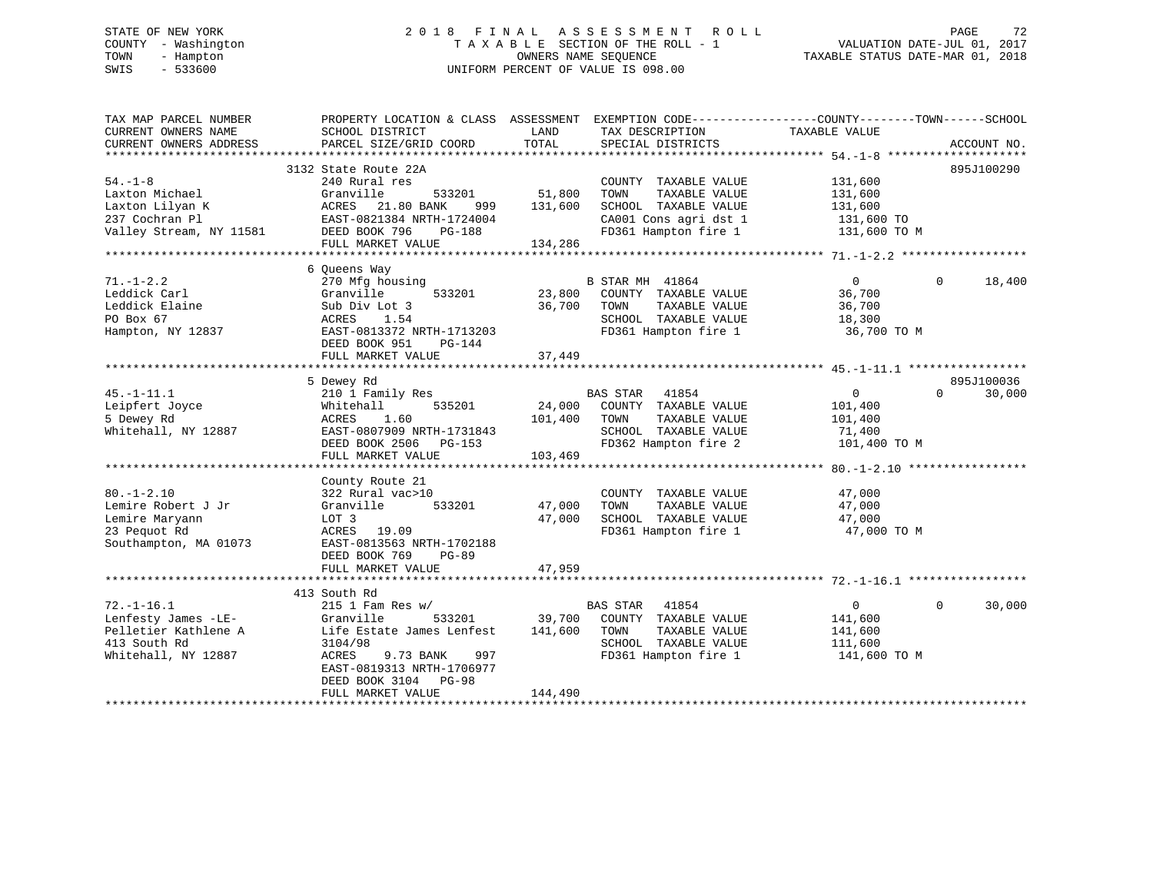# STATE OF NEW YORK 2 0 1 8 F I N A L A S S E S S M E N T R O L L PAGE 72 COUNTY - Washington T A X A B L E SECTION OF THE ROLL - 1 VALUATION DATE-JUL 01, 2017 TOWN - Hampton OWNERS NAME SEQUENCE TAXABLE STATUS DATE-MAR 01, 2018 SWIS - 533600 UNIFORM PERCENT OF VALUE IS 098.00

| TAX MAP PARCEL NUMBER<br>CURRENT OWNERS NAME<br>CURRENT OWNERS ADDRESS | SCHOOL DISTRICT<br>PARCEL SIZE/GRID COORD | LAND<br>TAX DESCRIPTION<br>TOTAL<br>SPECIAL DISTRICTS | PROPERTY LOCATION & CLASS ASSESSMENT EXEMPTION CODE---------------COUNTY-------TOWN------SCHOOL<br>TAXABLE VALUE<br>ACCOUNT NO. |
|------------------------------------------------------------------------|-------------------------------------------|-------------------------------------------------------|---------------------------------------------------------------------------------------------------------------------------------|
|                                                                        |                                           |                                                       |                                                                                                                                 |
|                                                                        | 3132 State Route 22A                      |                                                       | 895J100290                                                                                                                      |
| $54. - 1 - 8$                                                          | 240 Rural res                             | COUNTY TAXABLE VALUE                                  | 131,600                                                                                                                         |
| Laxton Michael                                                         | Granville<br>533201                       | 51,800<br>TOWN<br>TAXABLE VALUE                       | 131,600                                                                                                                         |
| Laxton Lilyan K                                                        | ACRES 21.80 BANK<br>999                   | 131,600<br>SCHOOL TAXABLE VALUE                       | 131,600                                                                                                                         |
| 237 Cochran Pl                                                         | EAST-0821384 NRTH-1724004                 | CA001 Cons agri dst 1                                 | 131,600 TO                                                                                                                      |
| Valley Stream, NY 11581                                                | DEED BOOK 796<br>PG-188                   | FD361 Hampton fire 1                                  | 131,600 TO M                                                                                                                    |
|                                                                        | FULL MARKET VALUE                         | 134,286                                               |                                                                                                                                 |
|                                                                        |                                           |                                                       |                                                                                                                                 |
|                                                                        | 6 Queens Way                              |                                                       |                                                                                                                                 |
| $71. - 1 - 2.2$                                                        | 270 Mfg housing                           | B STAR MH 41864                                       | $\Omega$<br>$\Omega$<br>18,400                                                                                                  |
| Leddick Carl                                                           | 533201<br>Granville                       | 23,800<br>COUNTY TAXABLE VALUE                        | 36,700                                                                                                                          |
| Leddick Elaine                                                         | Sub Div Lot 3                             | 36,700<br>TAXABLE VALUE<br>TOWN                       | 36,700                                                                                                                          |
| PO Box 67                                                              |                                           | SCHOOL TAXABLE VALUE                                  |                                                                                                                                 |
|                                                                        | ACRES 1.54                                |                                                       | 18,300                                                                                                                          |
| Hampton, NY 12837                                                      | EAST-0813372 NRTH-1713203                 | FD361 Hampton fire 1                                  | 36,700 TO M                                                                                                                     |
|                                                                        | DEED BOOK 951<br>$PG-144$                 |                                                       |                                                                                                                                 |
|                                                                        | FULL MARKET VALUE                         | 37,449                                                |                                                                                                                                 |
|                                                                        |                                           |                                                       |                                                                                                                                 |
|                                                                        | 5 Dewey Rd                                |                                                       | 895J100036                                                                                                                      |
| $45. - 1 - 11.1$                                                       | 210 1 Family Res                          | BAS STAR<br>41854                                     | 30,000<br>$\Omega$<br>$\Omega$                                                                                                  |
| Leipfert Joyce                                                         | 535201<br>Whitehall                       | 24,000<br>COUNTY TAXABLE VALUE                        | 101,400                                                                                                                         |
| 5 Dewey Rd                                                             | ACRES<br>1.60                             | TAXABLE VALUE<br>101,400<br>TOWN                      | 101,400                                                                                                                         |
| Whitehall, NY 12887                                                    | EAST-0807909 NRTH-1731843                 | SCHOOL TAXABLE VALUE                                  | 71,400                                                                                                                          |
|                                                                        | DEED BOOK 2506 PG-153                     | FD362 Hampton fire 2                                  | 101,400 TO M                                                                                                                    |
|                                                                        | FULL MARKET VALUE                         | 103,469                                               |                                                                                                                                 |
|                                                                        |                                           |                                                       |                                                                                                                                 |
|                                                                        | County Route 21                           |                                                       |                                                                                                                                 |
| $80. - 1 - 2.10$                                                       | 322 Rural vac>10                          | COUNTY TAXABLE VALUE                                  | 47,000                                                                                                                          |
| Lemire Robert J Jr                                                     | 533201<br>Granville                       | 47,000<br>TOWN<br>TAXABLE VALUE                       | 47,000                                                                                                                          |
| Lemire Maryann                                                         | LOT 3                                     | 47,000<br>SCHOOL TAXABLE VALUE                        | 47,000                                                                                                                          |
| 23 Pequot Rd                                                           | ACRES 19.09                               | FD361 Hampton fire 1                                  | 47,000 TO M                                                                                                                     |
|                                                                        | EAST-0813563 NRTH-1702188                 |                                                       |                                                                                                                                 |
| Southampton, MA 01073                                                  |                                           |                                                       |                                                                                                                                 |
|                                                                        | DEED BOOK 769<br>$PG-89$                  |                                                       |                                                                                                                                 |
|                                                                        | FULL MARKET VALUE                         | 47,959                                                |                                                                                                                                 |
|                                                                        |                                           |                                                       |                                                                                                                                 |
|                                                                        | 413 South Rd                              |                                                       |                                                                                                                                 |
| $72. - 1 - 16.1$                                                       | $215$ 1 Fam Res w/                        | <b>BAS STAR</b><br>41854                              | 0<br>$\Omega$<br>30,000                                                                                                         |
| Lenfesty James -LE-                                                    | 533201<br>Granville                       | 39,700 COUNTY TAXABLE VALUE                           | 141,600                                                                                                                         |
| Pelletier Kathlene A                                                   | Life Estate James Lenfest                 | 141,600<br>TOWN<br>TAXABLE VALUE                      | 141,600                                                                                                                         |
| 413 South Rd                                                           | 3104/98                                   | SCHOOL TAXABLE VALUE                                  | 111,600                                                                                                                         |
| Whitehall, NY 12887                                                    | ACRES<br>9.73 BANK<br>997                 | FD361 Hampton fire 1                                  | 141,600 TO M                                                                                                                    |
|                                                                        | EAST-0819313 NRTH-1706977                 |                                                       |                                                                                                                                 |
|                                                                        | DEED BOOK 3104 PG-98                      |                                                       |                                                                                                                                 |
|                                                                        | FULL MARKET VALUE                         | 144,490                                               |                                                                                                                                 |
|                                                                        |                                           |                                                       |                                                                                                                                 |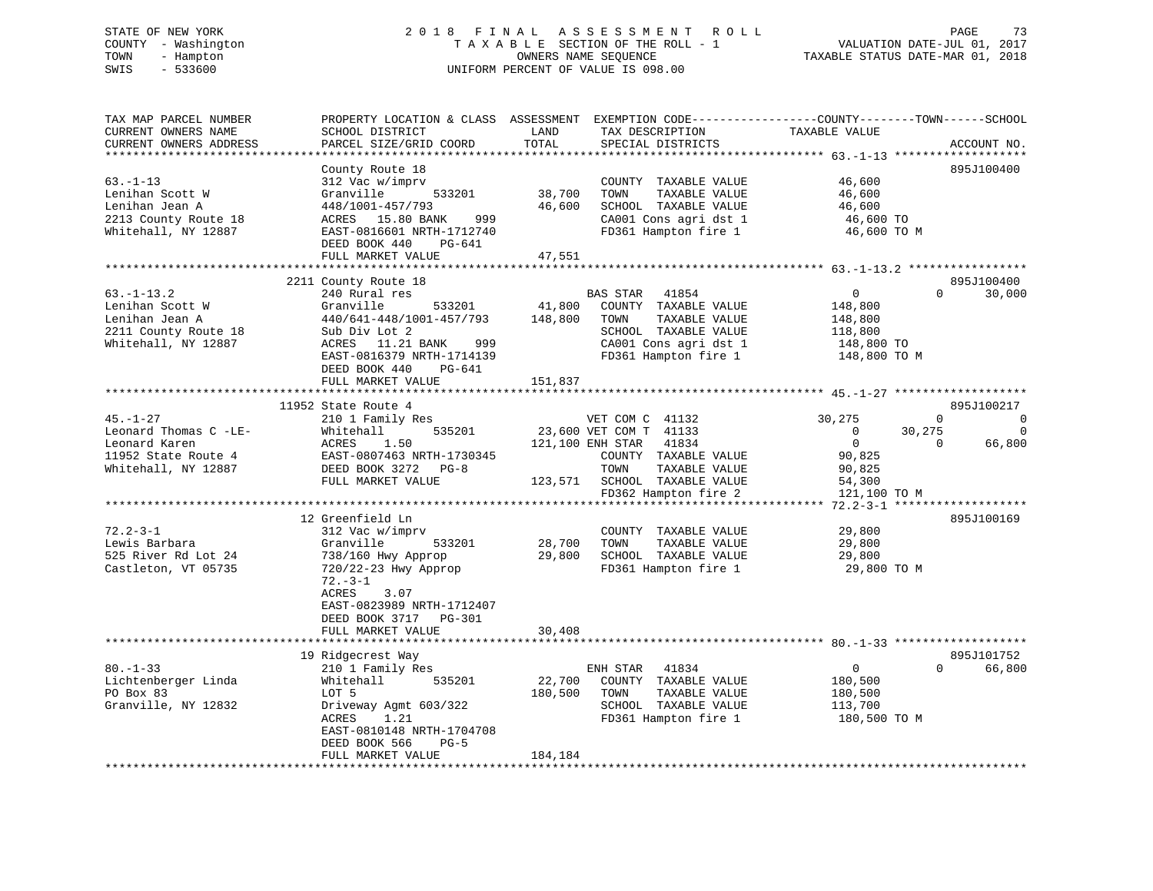# STATE OF NEW YORK 2 0 1 8 F I N A L A S S E S S M E N T R O L L PAGE 73 COUNTY - Washington T A X A B L E SECTION OF THE ROLL - 1 VALUATION DATE-JUL 01, 2017 TOWN - Hampton OWNERS NAME SEQUENCE TAXABLE STATUS DATE-MAR 01, 2018 SWIS - 533600 UNIFORM PERCENT OF VALUE IS 098.00

| TAX MAP PARCEL NUMBER<br>CURRENT OWNERS NAME<br>CURRENT OWNERS ADDRESS                                                                                                                  | PROPERTY LOCATION & CLASS ASSESSMENT EXEMPTION CODE---------------COUNTY-------TOWN------SCHOOL<br>SCHOOL DISTRICT<br>PARCEL SIZE/GRID COORD                                                                                                                                                                                                                         | LAND<br>TOTAL                | TAX DESCRIPTION<br>SPECIAL DISTRICTS                                                                                                                                                                                                                                     | TAXABLE VALUE                                                                                                                   | ACCOUNT NO.                                                                                        |
|-----------------------------------------------------------------------------------------------------------------------------------------------------------------------------------------|----------------------------------------------------------------------------------------------------------------------------------------------------------------------------------------------------------------------------------------------------------------------------------------------------------------------------------------------------------------------|------------------------------|--------------------------------------------------------------------------------------------------------------------------------------------------------------------------------------------------------------------------------------------------------------------------|---------------------------------------------------------------------------------------------------------------------------------|----------------------------------------------------------------------------------------------------|
|                                                                                                                                                                                         |                                                                                                                                                                                                                                                                                                                                                                      |                              |                                                                                                                                                                                                                                                                          |                                                                                                                                 |                                                                                                    |
| $63. - 1 - 13$<br>Lenihan Scott W<br>Lenihan Jean A<br>2213 County Route 18<br>Whitehall, NY 12887                                                                                      | County Route 18<br>312 Vac w/imprv<br>Granville<br>533201<br>448/1001-457/793<br>999<br>ACRES 15.80 BANK<br>EAST-0816601 NRTH-1712740<br>DEED BOOK 440<br>$PG-641$<br>FULL MARKET VALUE                                                                                                                                                                              | 38,700<br>46,600<br>47,551   | COUNTY TAXABLE VALUE<br>TOWN<br>TAXABLE VALUE<br>SCHOOL TAXABLE VALUE<br>CA001 Cons agri dst 1<br>FD361 Hampton fire 1                                                                                                                                                   | 46,600<br>46,600<br>46,600<br>46,600 TO<br>46,600 TO M                                                                          | 895J100400                                                                                         |
|                                                                                                                                                                                         |                                                                                                                                                                                                                                                                                                                                                                      |                              |                                                                                                                                                                                                                                                                          |                                                                                                                                 |                                                                                                    |
|                                                                                                                                                                                         | 2211 County Route 18                                                                                                                                                                                                                                                                                                                                                 |                              |                                                                                                                                                                                                                                                                          |                                                                                                                                 | 895J100400                                                                                         |
| $63. -1 - 13.2$<br>Lenihan Scott W<br>Lenihan Jean A<br>2211 County Route 18<br>Whitehall, NY 12887                                                                                     | 240 Rural res<br>Granville<br>533201<br>440/641-448/1001-457/793<br>Sub Div Lot 2<br>11.21 BANK<br>ACRES<br>999<br>EAST-0816379 NRTH-1714139<br>DEED BOOK 440<br>$PG-641$                                                                                                                                                                                            | 41,800<br>148,800            | <b>BAS STAR</b><br>41854<br>COUNTY TAXABLE VALUE<br>TAXABLE VALUE<br>TOWN<br>SCHOOL TAXABLE VALUE<br>CA001 Cons agri dst 1<br>FD361 Hampton fire 1                                                                                                                       | $\mathbf 0$<br>148,800<br>148,800<br>118,800<br>148,800 TO<br>148,800 TO M                                                      | $\Omega$<br>30,000                                                                                 |
|                                                                                                                                                                                         | FULL MARKET VALUE                                                                                                                                                                                                                                                                                                                                                    | 151,837                      |                                                                                                                                                                                                                                                                          |                                                                                                                                 |                                                                                                    |
| $45. - 1 - 27$<br>Leonard Thomas C -LE-<br>Leonard Karen<br>11952 State Route 4<br>Whitehall, NY 12887<br>$72.2 - 3 - 1$<br>Lewis Barbara<br>525 River Rd Lot 24<br>Castleton, VT 05735 | 11952 State Route 4<br>210 1 Family Res<br>535201<br>Whitehall<br>ACRES<br>1.50<br>EAST-0807463 NRTH-1730345<br>DEED BOOK 3272<br>$PG-8$<br>FULL MARKET VALUE<br>12 Greenfield Ln<br>312 Vac w/imprv<br>Granville<br>533201<br>738/160 Hwy Approp<br>720/22-23 Hwy Approp<br>$72. - 3 - 1$<br>ACRES<br>3.07<br>EAST-0823989 NRTH-1712407<br>DEED BOOK 3717<br>PG-301 | 123,571<br>28,700<br>29,800  | VET COM C 41132<br>23,600 VET COM T 41133<br>121,100 ENH STAR<br>41834<br>COUNTY TAXABLE VALUE<br>TOWN<br>TAXABLE VALUE<br>SCHOOL TAXABLE VALUE<br>FD362 Hampton fire 2<br>COUNTY TAXABLE VALUE<br>TOWN<br>TAXABLE VALUE<br>SCHOOL TAXABLE VALUE<br>FD361 Hampton fire 1 | 30,275<br>$\mathbf 0$<br>$\mathbf 0$<br>90,825<br>90,825<br>54,300<br>121,100 TO M<br>29,800<br>29,800<br>29,800<br>29,800 TO M | 895J100217<br>$\mathbf 0$<br>$\mathbf 0$<br>30,275<br>$\Omega$<br>$\Omega$<br>66,800<br>895J100169 |
|                                                                                                                                                                                         | FULL MARKET VALUE                                                                                                                                                                                                                                                                                                                                                    | 30,408                       |                                                                                                                                                                                                                                                                          |                                                                                                                                 |                                                                                                    |
| $80. - 1 - 33$<br>Lichtenberger Linda<br>PO Box 83<br>Granville, NY 12832                                                                                                               | 19 Ridgecrest Way<br>210 1 Family Res<br>Whitehall<br>535201<br>LOT 5<br>Driveway Agmt 603/322<br>1.21<br>ACRES<br>EAST-0810148 NRTH-1704708<br>DEED BOOK 566<br>$PG-5$<br>FULL MARKET VALUE                                                                                                                                                                         | 22,700<br>180,500<br>184,184 | 41834<br>ENH STAR<br>COUNTY TAXABLE VALUE<br>TOWN<br>TAXABLE VALUE<br>SCHOOL TAXABLE VALUE<br>FD361 Hampton fire 1                                                                                                                                                       | 0<br>180,500<br>180,500<br>113,700<br>180,500 TO M                                                                              | 895J101752<br>$\Omega$<br>66,800                                                                   |
|                                                                                                                                                                                         |                                                                                                                                                                                                                                                                                                                                                                      |                              |                                                                                                                                                                                                                                                                          |                                                                                                                                 |                                                                                                    |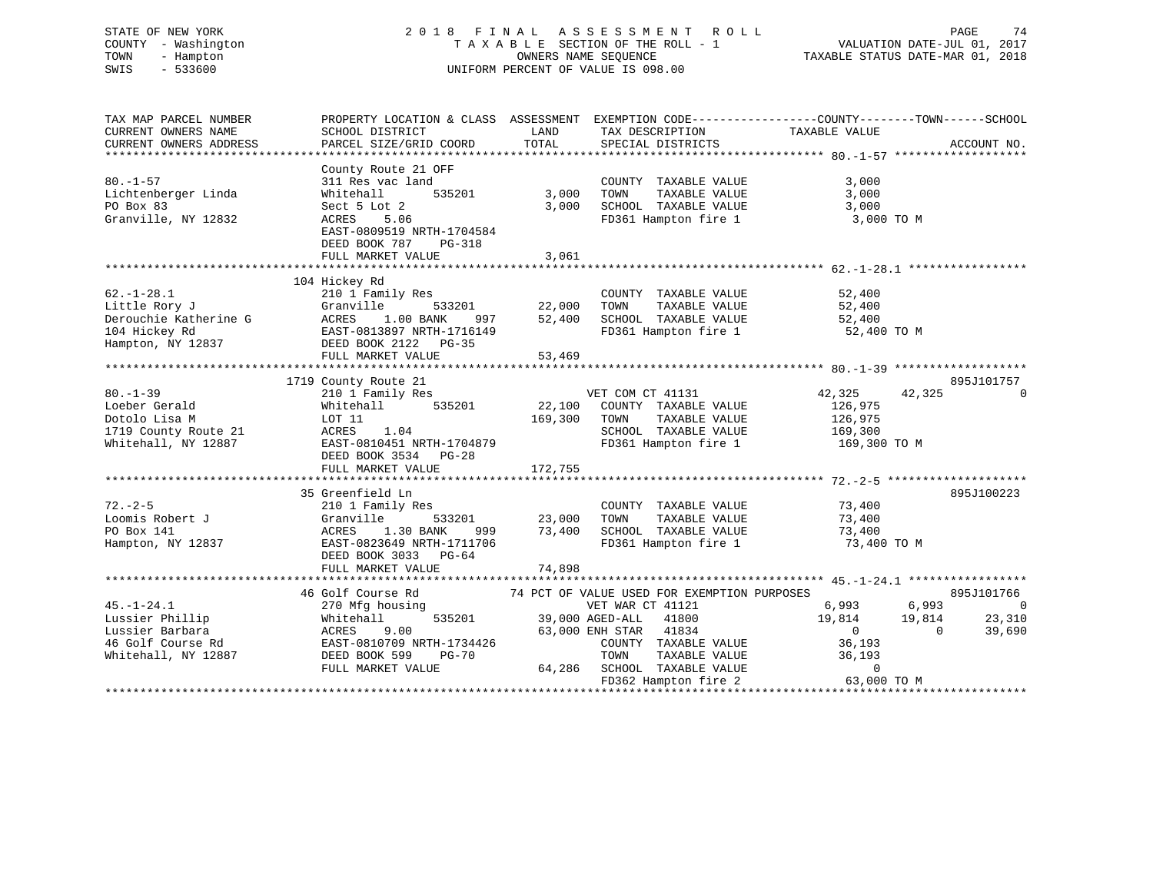# STATE OF NEW YORK 2 0 1 8 F I N A L A S S E S S M E N T R O L L PAGE 74 COUNTY - Washington T A X A B L E SECTION OF THE ROLL - 1 VALUATION DATE-JUL 01, 2017 TOWN - Hampton OWNERS NAME SEQUENCE TAXABLE STATUS DATE-MAR 01, 2018 SWIS - 533600 UNIFORM PERCENT OF VALUE IS 098.00

| TAX MAP PARCEL NUMBER  | PROPERTY LOCATION & CLASS ASSESSMENT EXEMPTION CODE----------------COUNTY-------TOWN-----SCHOOL |         |                                             |                  |                         |
|------------------------|-------------------------------------------------------------------------------------------------|---------|---------------------------------------------|------------------|-------------------------|
| CURRENT OWNERS NAME    | SCHOOL DISTRICT                                                                                 | LAND    | TAX DESCRIPTION                             | TAXABLE VALUE    |                         |
| CURRENT OWNERS ADDRESS | PARCEL SIZE/GRID COORD                                                                          | TOTAL   | SPECIAL DISTRICTS                           |                  | ACCOUNT NO.             |
|                        |                                                                                                 |         |                                             |                  |                         |
|                        | County Route 21 OFF                                                                             |         |                                             |                  |                         |
| $80. - 1 - 57$         | 311 Res vac land                                                                                |         | COUNTY TAXABLE VALUE                        | 3,000            |                         |
| Lichtenberger Linda    | 535201<br>Whitehall                                                                             | 3,000   | TAXABLE VALUE<br>TOWN                       | 3,000            |                         |
| PO Box 83              | Sect 5 Lot 2                                                                                    | 3,000   | SCHOOL TAXABLE VALUE                        | 3,000            |                         |
| Granville, NY 12832    | 5.06<br>ACRES                                                                                   |         | FD361 Hampton fire 1                        | 3,000 TO M       |                         |
|                        | EAST-0809519 NRTH-1704584                                                                       |         |                                             |                  |                         |
|                        | DEED BOOK 787<br>PG-318                                                                         |         |                                             |                  |                         |
|                        | FULL MARKET VALUE                                                                               | 3,061   |                                             |                  |                         |
|                        |                                                                                                 |         |                                             |                  |                         |
|                        | 104 Hickey Rd                                                                                   |         |                                             |                  |                         |
| $62. - 1 - 28.1$       | 210 1 Family Res                                                                                |         | COUNTY TAXABLE VALUE                        | 52,400           |                         |
| Little Rory J          | Granville<br>533201                                                                             | 22,000  | TAXABLE VALUE<br>TOWN                       | 52,400           |                         |
| Derouchie Katherine G  | 1.00 BANK<br>ACRES<br>997                                                                       | 52,400  | SCHOOL TAXABLE VALUE                        | 52,400           |                         |
| 104 Hickey Rd          | EAST-0813897 NRTH-1716149                                                                       |         | FD361 Hampton fire 1                        | 52,400 TO M      |                         |
| Hampton, NY 12837      | DEED BOOK 2122 PG-35                                                                            |         |                                             |                  |                         |
|                        | FULL MARKET VALUE                                                                               | 53,469  |                                             |                  |                         |
|                        |                                                                                                 |         |                                             |                  |                         |
|                        | 1719 County Route 21                                                                            |         |                                             |                  | 895J101757              |
| $80. - 1 - 39$         | 210 1 Family Res                                                                                |         | VET COM CT 41131                            | 42,325<br>42,325 | $\Omega$                |
| Loeber Gerald          | 535201<br>Whitehall                                                                             | 22,100  | COUNTY TAXABLE VALUE                        | 126,975          |                         |
| Dotolo Lisa M          | LOT 11                                                                                          | 169,300 | TOWN<br>TAXABLE VALUE                       | 126,975          |                         |
| 1719 County Route 21   | ACRES<br>1.04                                                                                   |         | SCHOOL TAXABLE VALUE                        | 169,300          |                         |
| Whitehall, NY 12887    | EAST-0810451 NRTH-1704879                                                                       |         | FD361 Hampton fire 1                        | 169,300 TO M     |                         |
|                        | DEED BOOK 3534 PG-28                                                                            |         |                                             |                  |                         |
|                        | FULL MARKET VALUE                                                                               | 172,755 |                                             |                  |                         |
|                        |                                                                                                 |         |                                             |                  |                         |
|                        | 35 Greenfield Ln                                                                                |         |                                             |                  | 895J100223              |
| $72. - 2 - 5$          | 210 1 Family Res                                                                                |         | COUNTY TAXABLE VALUE                        | 73,400           |                         |
| Loomis Robert J        | Granville<br>533201                                                                             | 23,000  | TAXABLE VALUE<br>TOWN                       | 73,400           |                         |
| PO Box 141             | ACRES<br>1.30 BANK<br>999                                                                       | 73,400  | SCHOOL TAXABLE VALUE                        | 73,400           |                         |
| Hampton, NY 12837      | EAST-0823649 NRTH-1711706                                                                       |         | FD361 Hampton fire 1                        | 73,400 TO M      |                         |
|                        | DEED BOOK 3033 PG-64                                                                            |         |                                             |                  |                         |
|                        | FULL MARKET VALUE                                                                               | 74,898  |                                             |                  |                         |
|                        |                                                                                                 |         |                                             |                  |                         |
|                        | 46 Golf Course Rd                                                                               |         | 74 PCT OF VALUE USED FOR EXEMPTION PURPOSES |                  | 895J101766              |
| $45. - 1 - 24.1$       | 270 Mfg housing                                                                                 |         | VET WAR CT 41121                            | 6,993            | 6,993<br>$\overline{0}$ |
| Lussier Phillip        | 535201<br>Whitehall                                                                             |         | 39,000 AGED-ALL<br>41800                    | 19,814<br>19,814 | 23,310                  |
| Lussier Barbara        | ACRES<br>9.00                                                                                   |         | 63,000 ENH STAR 41834                       | $\overline{0}$   | 39,690<br>$\mathbf{0}$  |
| 46 Golf Course Rd      | EAST-0810709 NRTH-1734426                                                                       |         | COUNTY TAXABLE VALUE                        | 36,193           |                         |
| Whitehall, NY 12887    | <b>PG-70</b>                                                                                    |         | TOWN<br>TAXABLE VALUE                       | 36,193           |                         |
|                        | DEED BOOK 599                                                                                   |         |                                             | $\Omega$         |                         |
|                        | FULL MARKET VALUE                                                                               |         | 64,286 SCHOOL TAXABLE VALUE                 | 63,000 TO M      |                         |
|                        |                                                                                                 |         | FD362 Hampton fire 2                        |                  |                         |
|                        |                                                                                                 |         |                                             |                  |                         |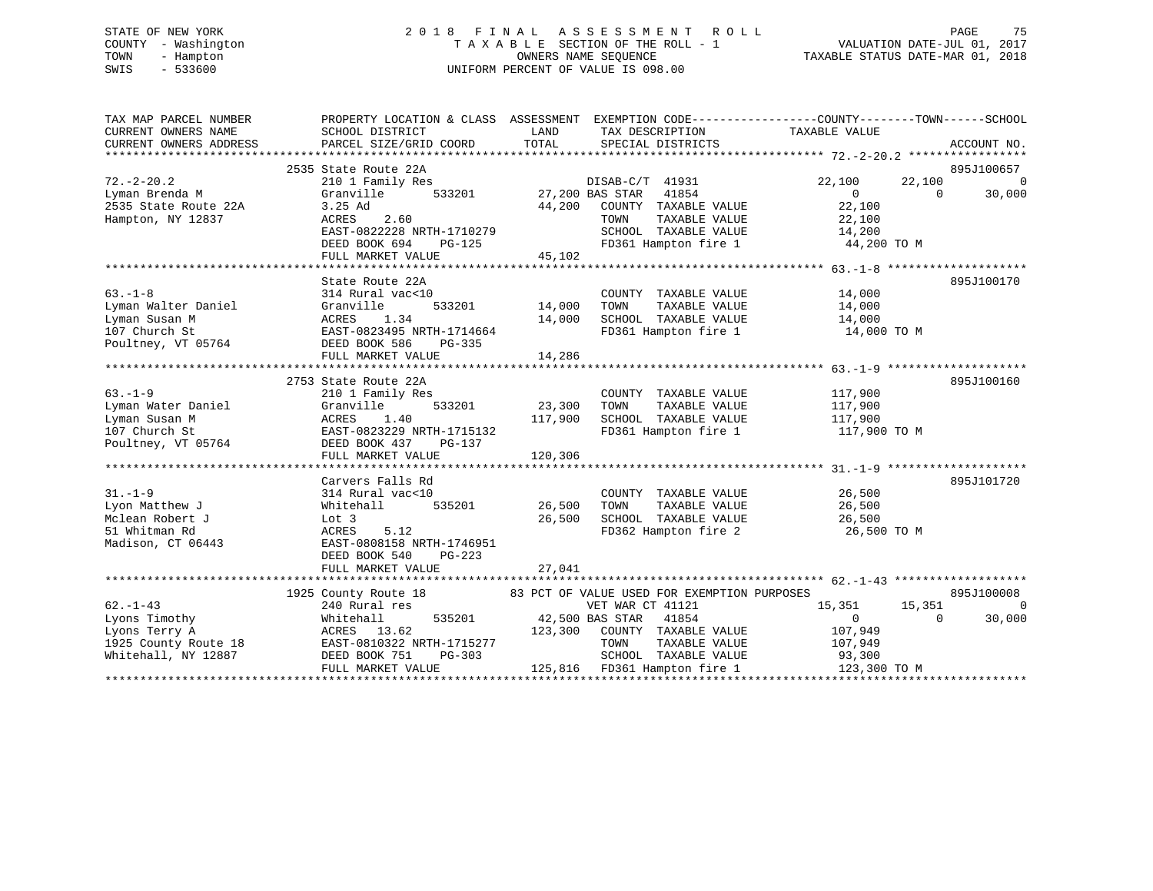# STATE OF NEW YORK 2 0 1 8 F I N A L A S S E S S M E N T R O L L PAGE 75 COUNTY - Washington T A X A B L E SECTION OF THE ROLL - 1 VALUATION DATE-JUL 01, 2017 TOWN - Hampton OWNERS NAME SEQUENCE TAXABLE STATUS DATE-MAR 01, 2018 SWIS - 533600 UNIFORM PERCENT OF VALUE IS 098.00

| TAX MAP PARCEL NUMBER<br>CURRENT OWNERS NAME                                               | SCHOOL DISTRICT<br>CURRENT OWNERS ADDRESS PARCEL SIZE/GRID COORD                                                                                                                                                                                                                                                            | LAND<br>TAX DESCRIPTION TAXABLE VALUE<br>TOTAL SPECIAL DISTRICTS                                                                                                                                                                                          | PROPERTY LOCATION & CLASS ASSESSMENT EXEMPTION CODE---------------COUNTY-------TOWN-----SCHOOL<br>ACCOUNT NO.                                  |
|--------------------------------------------------------------------------------------------|-----------------------------------------------------------------------------------------------------------------------------------------------------------------------------------------------------------------------------------------------------------------------------------------------------------------------------|-----------------------------------------------------------------------------------------------------------------------------------------------------------------------------------------------------------------------------------------------------------|------------------------------------------------------------------------------------------------------------------------------------------------|
| $72. - 2 - 20.2$<br>72.-2-20.4<br>Lyman Brenda M<br>China Poute 22A<br>Hampton, NY 12837   | 2535 State Route 22A<br>210 1 Family Res<br>Granville<br>3.25 Ad<br>ACRES<br>2.60<br>EAST-0822228 NRTH-1710279<br>DEED BOOK 694 PG-125                                                                                                                                                                                      | DISAB-C/T 41931<br>533201 27,200 BAS STAR<br>41854<br>44,200<br>COUNTY TAXABLE VALUE<br>TOWN<br>SCHOOL TAXABLE VALUE 14,200<br>FD361 Hampton fire 1 144,200 TO M                                                                                          | 895J100657<br>22,100<br>$\overline{0}$<br>22,100<br>$\begin{bmatrix} 0 \\ 2 \end{bmatrix}$<br>$\overline{0}$<br>30,000<br>TAXABLE VALUE 22,100 |
|                                                                                            | FULL MARKET VALUE                                                                                                                                                                                                                                                                                                           | 45,102                                                                                                                                                                                                                                                    |                                                                                                                                                |
| $63. -1 - 8$                                                                               | State Route 22A<br>314 Rural vac<10<br>1.34<br>EAST-0823495 NRTH-1714664<br>DEED BOOK 586<br>PG-335<br>FULL MARKET VALUE                                                                                                                                                                                                    | COUNTY TAXABLE VALUE<br>TOWN      TAXABLE VALUE<br>0 COUNTY<br>533201 14,000 TOWN<br>SCHOOL TAXABLE VALUE 14,000<br>14,000<br>FD361 Hampton fire 1<br>14,286                                                                                              | 895J100170<br>14,000<br>14,000<br>14,000 TO M                                                                                                  |
|                                                                                            |                                                                                                                                                                                                                                                                                                                             |                                                                                                                                                                                                                                                           |                                                                                                                                                |
| $63 - 1 - 9$<br>Lyman Water Daniel<br>Lyman Susan M<br>107 Church St<br>Poultney, VT 05764 | 2753 State Route 22A<br>210 1 Family Res<br>Granville 533201 23<br>ACRES 1.40 117<br>EAST-0823229 NRTH-1715132<br>DEED BOOK 437 PG-137<br>FULL MARKET VALUE                                                                                                                                                                 | COUNTY TAXABLE VALUE<br>533201 23,300 TOWN TAXABLE VALUE 117,900<br>117,900 SCHOOL TAXABLE VALUE 117,900<br>FD361 Hampton fire 1 117,900 TO M<br>120,306                                                                                                  | 895J100160<br>117,900                                                                                                                          |
|                                                                                            |                                                                                                                                                                                                                                                                                                                             |                                                                                                                                                                                                                                                           |                                                                                                                                                |
| $31. - 1 - 9$<br>Lyon Matthew J<br>Mclean Robert J<br>51 Whitman Rd<br>Madison, CT 06443   | Carvers Falls Rd<br>Whitena<br>Lot 3<br>ACRES 5.12<br>EAST-0808158 NRTH-1746951<br>DEED BOOK 540 PG-223<br>NRTT VALUE                                                                                                                                                                                                       | vac<10 COUNTY<br>535201 26,500 TOWN<br>COUNTY TAXABLE VALUE 26,500<br>$\begin{tabular}{lllllllll} 26,500 & TOWN & TAXABLE VALUE & & & 26,500 \\ 26,500 & SCHOOL & TAXABLE VALUE & & & 26,500 \end{tabular}$<br>FD362 Hampton fire 2 26,500 TO M<br>27,041 | 895J101720                                                                                                                                     |
|                                                                                            |                                                                                                                                                                                                                                                                                                                             |                                                                                                                                                                                                                                                           |                                                                                                                                                |
| $62 - 1 - 43$<br>Lyons Timothy                                                             | 1925 County Route 18<br>240 Rural res<br>Whitehall<br>- 1700 - 1200 - 1200 - 13.62<br>1925 County Route 18<br>Whitehall, NY 12887 - 1200 - 1200 - 1200 - 1200 - 1200 - 1200 - 1200 - 1200 - 1200 - 1200 - 1200 - 1200 - 12<br>1200 - 1200 - 1200 - 1200 - 1200 - 1200 - 1200 - 1200 - 1200<br>$PG-303$<br>FULL MARKET VALUE | 83 PCT OF VALUE USED FOR EXEMPTION PURPOSES<br>VET WAR CT 41121<br>535201 42,500 BAS STAR<br>41854<br>123,300 COUNTY TAXABLE VALUE<br>TOWN<br>TAXABLE VALUE<br>SCHOOL TAXABLE VALUE 93,300<br>125,816 FD361 Hampton fire 1                                | 895J100008<br>$\Omega$<br>15,351 15,351<br>$\overline{0}$<br>$\Omega$<br>30,000<br>107,949<br>107,949<br>123,300 TO M                          |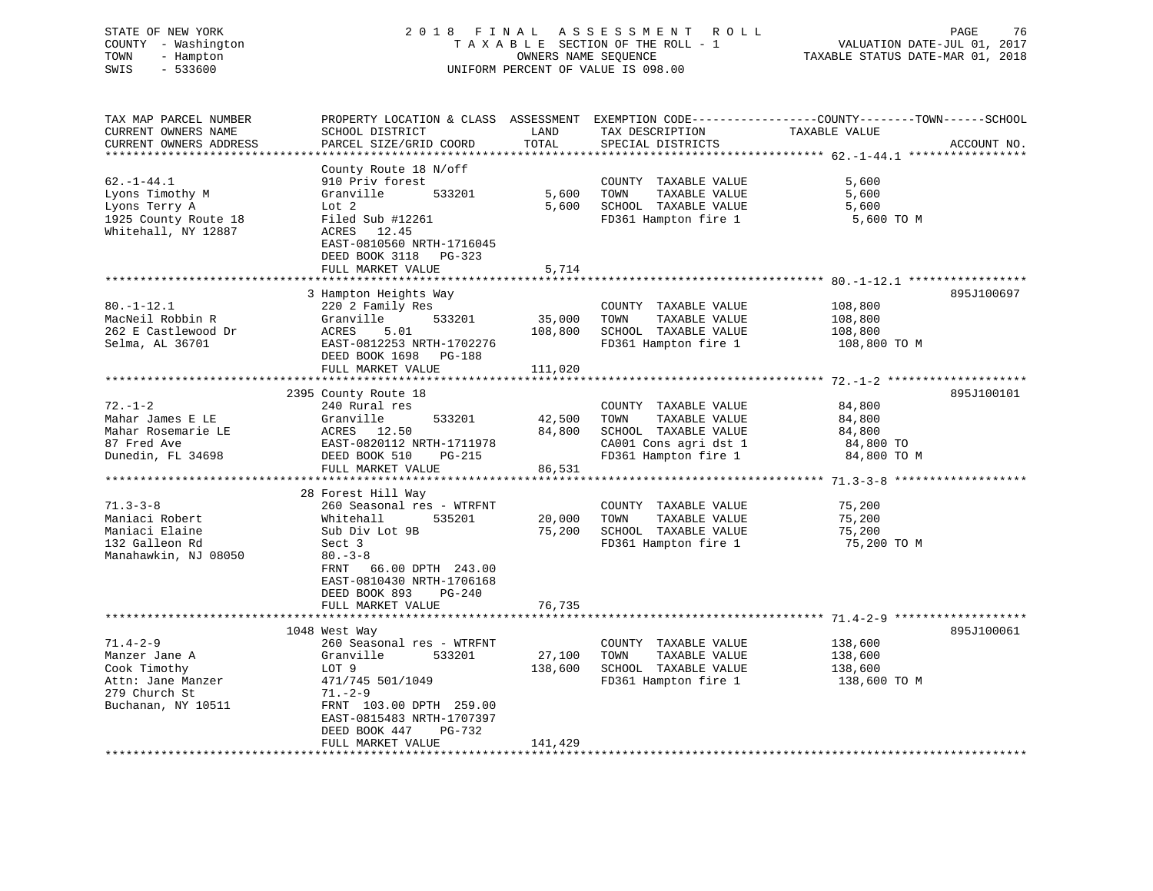# STATE OF NEW YORK 2 0 1 8 F I N A L A S S E S S M E N T R O L L PAGE 76 COUNTY - Washington T A X A B L E SECTION OF THE ROLL - 1 VALUATION DATE-JUL 01, 2017 TOWN - Hampton OWNERS NAME SEQUENCE TAXABLE STATUS DATE-MAR 01, 2018 SWIS - 533600 UNIFORM PERCENT OF VALUE IS 098.00

| TAX MAP PARCEL NUMBER                | PROPERTY LOCATION & CLASS ASSESSMENT EXEMPTION CODE---------------COUNTY-------TOWN-----SCHOOL |         |                       |               |             |
|--------------------------------------|------------------------------------------------------------------------------------------------|---------|-----------------------|---------------|-------------|
| CURRENT OWNERS NAME                  | SCHOOL DISTRICT                                                                                | LAND    | TAX DESCRIPTION       | TAXABLE VALUE |             |
| CURRENT OWNERS ADDRESS               | PARCEL SIZE/GRID COORD                                                                         | TOTAL   | SPECIAL DISTRICTS     |               | ACCOUNT NO. |
|                                      |                                                                                                |         |                       |               |             |
|                                      | County Route 18 N/off                                                                          |         |                       |               |             |
| $62. -1 - 44.1$                      | 910 Priv forest                                                                                |         | COUNTY TAXABLE VALUE  | 5,600         |             |
| Lyons Timothy M                      | 533201<br>Granville                                                                            | 5,600   | TAXABLE VALUE<br>TOWN | 5,600         |             |
| Lyons Terry A                        | Lot 2                                                                                          | 5,600   | SCHOOL TAXABLE VALUE  | 5,600         |             |
| 1925 County Route 18                 | Filed Sub #12261                                                                               |         | FD361 Hampton fire 1  | 5,600 TO M    |             |
| Whitehall, NY 12887                  | ACRES 12.45                                                                                    |         |                       |               |             |
|                                      | EAST-0810560 NRTH-1716045                                                                      |         |                       |               |             |
|                                      | DEED BOOK 3118 PG-323                                                                          |         |                       |               |             |
|                                      | FULL MARKET VALUE                                                                              | 5,714   |                       |               |             |
|                                      |                                                                                                |         |                       |               |             |
|                                      | 3 Hampton Heights Way                                                                          |         |                       |               | 895J100697  |
| $80. - 1 - 12.1$<br>MacNeil Robbin R | 220 2 Family Res                                                                               |         | COUNTY TAXABLE VALUE  | 108,800       |             |
|                                      | Granville<br>533201                                                                            | 35,000  | TOWN<br>TAXABLE VALUE | 108,800       |             |
| 262 E Castlewood Dr                  | ACRES<br>5.01                                                                                  | 108,800 | SCHOOL TAXABLE VALUE  | 108,800       |             |
| Selma, AL 36701                      | EAST-0812253 NRTH-1702276                                                                      |         | FD361 Hampton fire 1  | 108,800 TO M  |             |
|                                      | DEED BOOK 1698 PG-188                                                                          |         |                       |               |             |
|                                      | FULL MARKET VALUE                                                                              | 111,020 |                       |               |             |
|                                      | 2395 County Route 18                                                                           |         |                       |               | 895J100101  |
| $72. - 1 - 2$                        | 240 Rural res                                                                                  |         | COUNTY TAXABLE VALUE  | 84,800        |             |
| Mahar James E LE                     | Granville<br>533201                                                                            | 42,500  | TOWN<br>TAXABLE VALUE | 84,800        |             |
| Mahar Rosemarie LE                   |                                                                                                | 84,800  | SCHOOL TAXABLE VALUE  | 84,800        |             |
| 87 Fred Ave                          | ACRES 12.50<br>EAST-0820112 NRTH-1711978<br>DEED BOOK 510 PG-215                               |         | CA001 Cons agri dst 1 | 84,800 TO     |             |
| Dunedin, FL 34698                    | DEED BOOK 510<br>PG-215                                                                        |         | FD361 Hampton fire 1  | 84,800 TO M   |             |
|                                      | FULL MARKET VALUE                                                                              | 86,531  |                       |               |             |
|                                      |                                                                                                |         |                       |               |             |
|                                      | 28 Forest Hill Way                                                                             |         |                       |               |             |
| $71.3 - 3 - 8$                       | 260 Seasonal res - WTRFNT                                                                      |         | COUNTY TAXABLE VALUE  | 75,200        |             |
| Maniaci Robert                       | Whitehall<br>535201                                                                            | 20,000  | TOWN<br>TAXABLE VALUE | 75,200        |             |
| Maniaci Elaine                       | Sub Div Lot 9B                                                                                 | 75,200  | SCHOOL TAXABLE VALUE  | 75,200        |             |
| 132 Galleon Rd                       | Sect 3                                                                                         |         | FD361 Hampton fire 1  | 75,200 TO M   |             |
| Manahawkin, NJ 08050                 | $80 - 3 - 8$                                                                                   |         |                       |               |             |
|                                      | FRNT 66.00 DPTH 243.00                                                                         |         |                       |               |             |
|                                      | EAST-0810430 NRTH-1706168                                                                      |         |                       |               |             |
|                                      | DEED BOOK 893<br>PG-240                                                                        |         |                       |               |             |
|                                      | FULL MARKET VALUE                                                                              | 76,735  |                       |               |             |
|                                      |                                                                                                |         |                       |               |             |
|                                      | 1048 West Way                                                                                  |         |                       |               | 895J100061  |
| $71.4 - 2 - 9$                       | 260 Seasonal res - WTRFNT                                                                      |         | COUNTY TAXABLE VALUE  | 138,600       |             |
| Manzer Jane A                        | Granville<br>533201                                                                            | 27,100  | TAXABLE VALUE<br>TOWN | 138,600       |             |
| Cook Timothy                         | LOT 9                                                                                          | 138,600 | SCHOOL TAXABLE VALUE  | 138,600       |             |
| Attn: Jane Manzer                    | 471/745 501/1049                                                                               |         | FD361 Hampton fire 1  | 138,600 TO M  |             |
| 279 Church St                        | 71.-2-9                                                                                        |         |                       |               |             |
| Buchanan, NY 10511                   | FRNT 103.00 DPTH 259.00                                                                        |         |                       |               |             |
|                                      | EAST-0815483 NRTH-1707397                                                                      |         |                       |               |             |
|                                      | DEED BOOK 447<br>PG-732                                                                        |         |                       |               |             |
|                                      | FULL MARKET VALUE                                                                              | 141,429 |                       |               |             |
|                                      |                                                                                                |         |                       |               |             |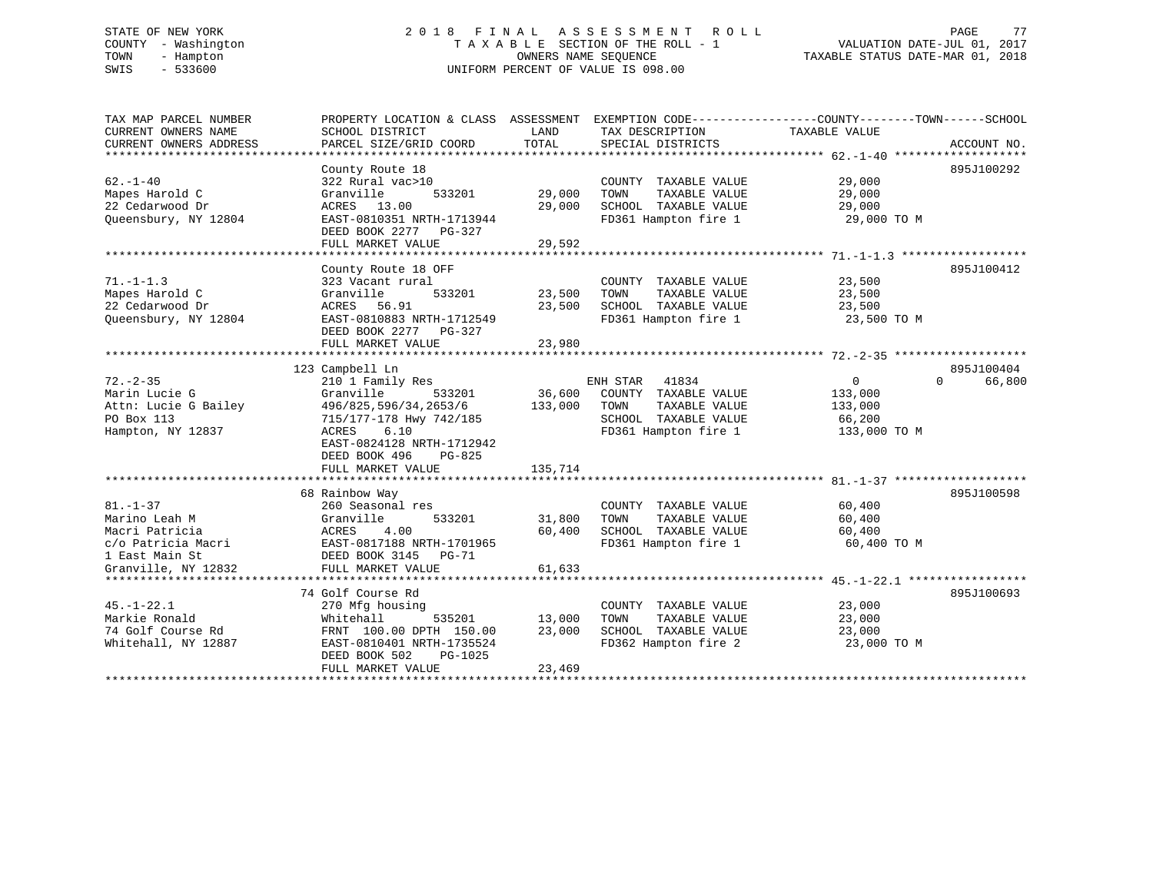# STATE OF NEW YORK 2 0 1 8 F I N A L A S S E S S M E N T R O L L PAGE 77 COUNTY - Washington T A X A B L E SECTION OF THE ROLL - 1 VALUATION DATE-JUL 01, 2017 TOWN - Hampton OWNERS NAME SEQUENCE TAXABLE STATUS DATE-MAR 01, 2018 SWIS - 533600 UNIFORM PERCENT OF VALUE IS 098.00

| TAX MAP PARCEL NUMBER  | PROPERTY LOCATION & CLASS ASSESSMENT |         | EXEMPTION CODE----------------COUNTY-------TOWN------SCHOOL |               |                    |
|------------------------|--------------------------------------|---------|-------------------------------------------------------------|---------------|--------------------|
| CURRENT OWNERS NAME    | SCHOOL DISTRICT                      | LAND    | TAX DESCRIPTION                                             | TAXABLE VALUE |                    |
| CURRENT OWNERS ADDRESS | PARCEL SIZE/GRID COORD               | TOTAL   | SPECIAL DISTRICTS                                           |               | ACCOUNT NO.        |
|                        |                                      |         |                                                             |               |                    |
|                        | County Route 18                      |         |                                                             |               | 895J100292         |
| $62. - 1 - 40$         | 322 Rural vac>10                     |         | COUNTY TAXABLE VALUE                                        | 29,000        |                    |
| Mapes Harold C         | Granville<br>533201                  | 29,000  | TAXABLE VALUE<br>TOWN                                       | 29,000        |                    |
| 22 Cedarwood Dr        | ACRES 13.00                          | 29,000  | SCHOOL TAXABLE VALUE                                        | 29,000        |                    |
| Queensbury, NY 12804   | EAST-0810351 NRTH-1713944            |         | FD361 Hampton fire 1                                        | 29,000 TO M   |                    |
|                        | DEED BOOK 2277 PG-327                |         |                                                             |               |                    |
|                        | FULL MARKET VALUE                    | 29,592  |                                                             |               |                    |
|                        |                                      |         |                                                             |               |                    |
|                        | County Route 18 OFF                  |         |                                                             |               | 895J100412         |
| $71. - 1 - 1.3$        | 323 Vacant rural                     |         | COUNTY TAXABLE VALUE                                        | 23,500        |                    |
| Mapes Harold C         | Granville<br>533201                  | 23,500  | TOWN<br>TAXABLE VALUE                                       | 23,500        |                    |
| 22 Cedarwood Dr        | ACRES 56.91                          | 23,500  | SCHOOL TAXABLE VALUE                                        | 23,500        |                    |
| Queensbury, NY 12804   | EAST-0810883 NRTH-1712549            |         | FD361 Hampton fire 1                                        | 23,500 TO M   |                    |
|                        | DEED BOOK 2277 PG-327                |         |                                                             |               |                    |
|                        | FULL MARKET VALUE                    | 23,980  |                                                             |               |                    |
|                        |                                      |         |                                                             |               |                    |
|                        | 123 Campbell Ln                      |         |                                                             |               | 895J100404         |
| $72. - 2 - 35$         | 210 1 Family Res                     |         | ENH STAR<br>41834                                           | $\mathbf{0}$  | 66,800<br>$\Omega$ |
| Marin Lucie G          | Granville<br>533201                  | 36,600  | COUNTY TAXABLE VALUE                                        | 133,000       |                    |
| Attn: Lucie G Bailey   | 496/825,596/34,2653/6                | 133,000 | TAXABLE VALUE<br>TOWN                                       | 133,000       |                    |
| PO Box 113             | 715/177-178 Hwy 742/185              |         | SCHOOL TAXABLE VALUE                                        | 66,200        |                    |
| Hampton, NY 12837      | ACRES<br>6.10                        |         | FD361 Hampton fire 1                                        | 133,000 TO M  |                    |
|                        | EAST-0824128 NRTH-1712942            |         |                                                             |               |                    |
|                        | DEED BOOK 496<br>PG-825              |         |                                                             |               |                    |
|                        | FULL MARKET VALUE                    | 135,714 |                                                             |               |                    |
|                        |                                      |         |                                                             |               |                    |
|                        | 68 Rainbow Way                       |         |                                                             |               | 895J100598         |
| $81. - 1 - 37$         | 260 Seasonal res                     |         | COUNTY TAXABLE VALUE                                        | 60,400        |                    |
| Marino Leah M          | Granville<br>533201                  | 31,800  | TOWN<br>TAXABLE VALUE                                       | 60,400        |                    |
| Macri Patricia         | ACRES<br>4.00                        | 60,400  | SCHOOL TAXABLE VALUE                                        | 60,400        |                    |
| c/o Patricia Macri     | EAST-0817188 NRTH-1701965            |         | FD361 Hampton fire 1                                        | 60,400 TO M   |                    |
| 1 East Main St         | DEED BOOK 3145<br>PG-71              |         |                                                             |               |                    |
| Granville, NY 12832    | FULL MARKET VALUE                    | 61,633  |                                                             |               |                    |
|                        |                                      |         |                                                             |               |                    |
|                        | 74 Golf Course Rd                    |         |                                                             |               | 895J100693         |
| $45. - 1 - 22.1$       | 270 Mfg housing                      |         | COUNTY TAXABLE VALUE                                        | 23,000        |                    |
| Markie Ronald          | Whitehall<br>535201                  | 13,000  | TOWN<br>TAXABLE VALUE                                       | 23,000        |                    |
| 74 Golf Course Rd      | FRNT 100.00 DPTH 150.00              | 23,000  | SCHOOL TAXABLE VALUE                                        | 23,000        |                    |
| Whitehall, NY 12887    | EAST-0810401 NRTH-1735524            |         | FD362 Hampton fire 2                                        | 23,000 TO M   |                    |
|                        | DEED BOOK 502<br>PG-1025             |         |                                                             |               |                    |
|                        | FULL MARKET VALUE                    | 23,469  |                                                             |               |                    |
|                        | ******************************       |         |                                                             |               |                    |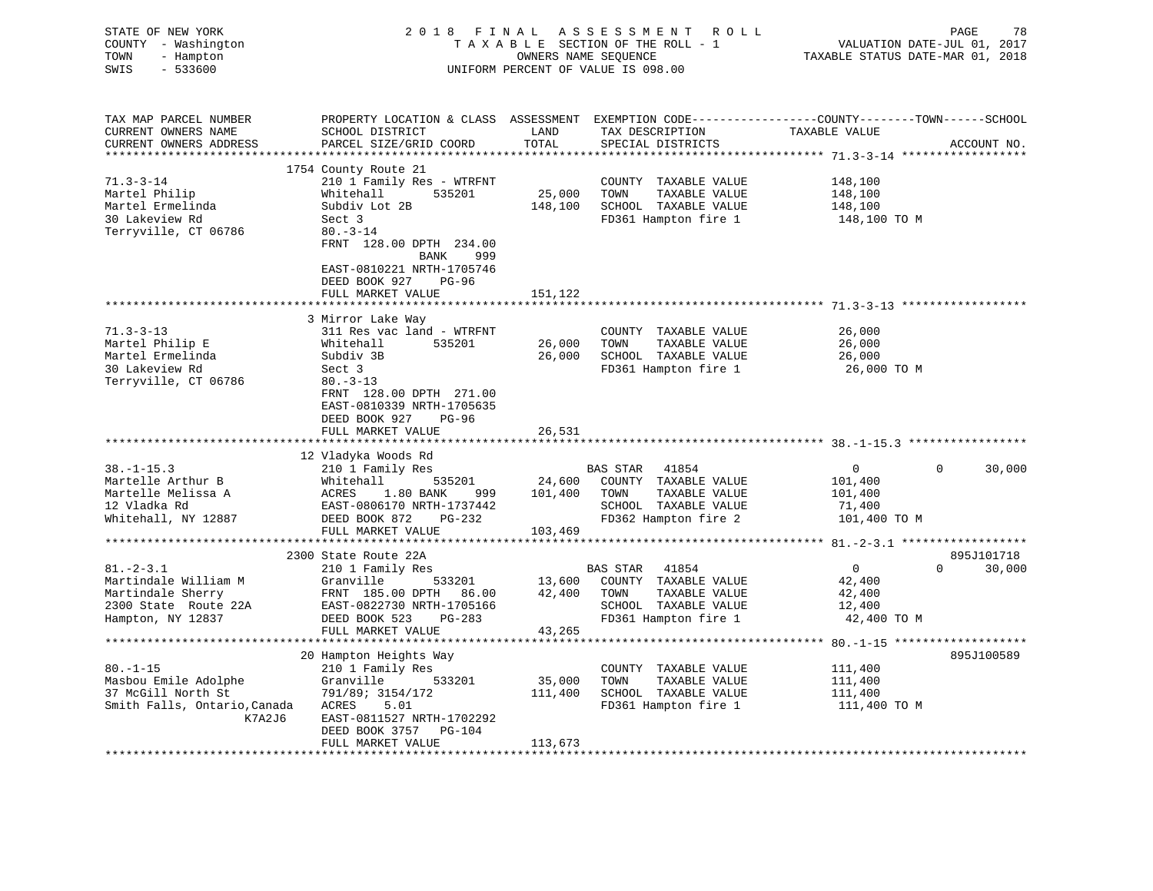|                  | STATE OF NEW YORK<br>COUNTY - Washington | 2018 FINAL                                 |                                                            | A S S E S S M E N T A O L L<br>TAXABLE SECTION OF THE ROLL - 1                                   | VALUATION DATE-JUL 01, 2017 | PAGE<br>78         |
|------------------|------------------------------------------|--------------------------------------------|------------------------------------------------------------|--------------------------------------------------------------------------------------------------|-----------------------------|--------------------|
| TOWN             | - Hampton                                |                                            | TAXABLE STATUS DATE-MAR 01, 2018                           |                                                                                                  |                             |                    |
| SWIS             | $-533600$                                |                                            | OWNERS NAME SEQUENCE<br>UNIFORM PERCENT OF VALUE IS 098.00 |                                                                                                  |                             |                    |
|                  |                                          |                                            |                                                            |                                                                                                  |                             |                    |
|                  | TAX MAP PARCEL NUMBER                    |                                            |                                                            | PROPERTY LOCATION & CLASS ASSESSMENT EXEMPTION CODE----------------COUNTY-------TOWN------SCHOOL |                             |                    |
|                  | CURRENT OWNERS NAME                      | SCHOOL DISTRICT                            | LAND                                                       | TAX DESCRIPTION                                                                                  | TAXABLE VALUE               |                    |
|                  | CURRENT OWNERS ADDRESS                   | PARCEL SIZE/GRID COORD                     | TOTAL                                                      | SPECIAL DISTRICTS                                                                                |                             | ACCOUNT NO.        |
|                  |                                          | 1754 County Route 21                       |                                                            |                                                                                                  |                             |                    |
| $71.3 - 3 - 14$  |                                          | 210 1 Family Res - WTRFNT                  |                                                            | COUNTY TAXABLE VALUE                                                                             | 148,100                     |                    |
|                  | Martel Philip                            | Whitehall 535201                           | 25,000 TOWN                                                | TAXABLE VALUE                                                                                    | 148,100                     |                    |
|                  | Martel Ermelinda                         | Subdiv Lot 2B                              | 148,100                                                    | SCHOOL TAXABLE VALUE                                                                             | 148,100                     |                    |
|                  | 30 Lakeview Rd                           | Sect 3                                     |                                                            | FD361 Hampton fire 1                                                                             | 148,100 TO M                |                    |
|                  | Terryville, CT 06786                     | $80. -3 - 14$                              |                                                            |                                                                                                  |                             |                    |
|                  |                                          | FRNT 128.00 DPTH 234.00<br>BANK 999        |                                                            |                                                                                                  |                             |                    |
|                  |                                          | EAST-0810221 NRTH-1705746                  |                                                            |                                                                                                  |                             |                    |
|                  |                                          | DEED BOOK 927 PG-96                        |                                                            |                                                                                                  |                             |                    |
|                  |                                          | FULL MARKET VALUE                          | 151,122                                                    |                                                                                                  |                             |                    |
|                  |                                          | ***************************                |                                                            |                                                                                                  |                             |                    |
|                  |                                          | 3 Mirror Lake Way                          |                                                            |                                                                                                  |                             |                    |
| $71.3 - 3 - 13$  |                                          | 311 Res vac land - WTRFNT                  |                                                            | COUNTY TAXABLE VALUE                                                                             | 26,000                      |                    |
|                  | Martel Philip E<br>Martel Ermelinda      | Whitehall<br>535201                        | 26,000                                                     | TOWN<br>TAXABLE VALUE                                                                            | 26,000                      |                    |
|                  |                                          | Subdiv 3B                                  | 26,000                                                     | SCHOOL TAXABLE VALUE                                                                             | 26,000                      |                    |
|                  | 30 Lakeview Rd                           | Sect 3                                     |                                                            | FD361 Hampton fire 1                                                                             | 26,000 TO M                 |                    |
|                  | Terryville, CT 06786                     | $80. - 3 - 13$                             |                                                            |                                                                                                  |                             |                    |
|                  |                                          | FRNT 128.00 DPTH 271.00                    |                                                            |                                                                                                  |                             |                    |
|                  |                                          | EAST-0810339 NRTH-1705635                  |                                                            |                                                                                                  |                             |                    |
|                  |                                          | DEED BOOK 927 PG-96                        |                                                            |                                                                                                  |                             |                    |
|                  |                                          | FULL MARKET VALUE                          | 26,531                                                     |                                                                                                  |                             |                    |
|                  |                                          | 12 Vladyka Woods Rd                        |                                                            |                                                                                                  |                             |                    |
| $38. - 1 - 15.3$ |                                          | 210 1 Family Res                           |                                                            | BAS STAR<br>41854                                                                                | $\overline{0}$              | $\Omega$<br>30,000 |
|                  | Martelle Arthur B                        |                                            |                                                            | 535201 24,600 COUNTY TAXABLE VALUE                                                               | 101,400                     |                    |
|                  | Martelle Melissa A                       | Whitehall 535<br>ACRES 1.80 BANK           | 999 101,400 TOWN                                           | TAXABLE VALUE                                                                                    | 101,400                     |                    |
| 12 Vladka Rd     |                                          | EAST-0806170 NRTH-1737442                  |                                                            | SCHOOL TAXABLE VALUE                                                                             | 71,400                      |                    |
|                  | Whitehall, NY 12887                      | DEED BOOK 872 PG-232                       |                                                            | FD362 Hampton fire 2                                                                             | 101,400 TO M                |                    |
|                  |                                          | FULL MARKET VALUE                          | 103,469                                                    |                                                                                                  |                             |                    |
|                  |                                          |                                            |                                                            |                                                                                                  |                             |                    |
|                  |                                          | 2300 State Route 22A                       |                                                            |                                                                                                  |                             | 895J101718         |
| $81 - 2 - 3.1$   |                                          | 210 1 Family Res                           |                                                            | BAS STAR<br>41854                                                                                | $\overline{0}$              | $0 \t 30,000$      |
|                  | Martindale William M                     | Granville                                  |                                                            | 533201 13,600 COUNTY TAXABLE VALUE                                                               | 42,400                      |                    |
|                  | Martindale Sherry                        | FRNT 185.00 DPTH 86.00 42,400 TOWN         |                                                            | TAXABLE VALUE                                                                                    | 42,400                      |                    |
|                  | 2300 State Route 22A                     | EAST-0822730 NRTH-1705166                  |                                                            | SCHOOL TAXABLE VALUE                                                                             | 12,400                      |                    |
|                  | Hampton, NY 12837                        | DEED BOOK 523 PG-283                       |                                                            | FD361 Hampton fire 1                                                                             | 42,400 TO M                 |                    |
|                  |                                          | FULL MARKET VALUE                          | 43,265                                                     |                                                                                                  |                             |                    |
|                  |                                          |                                            |                                                            |                                                                                                  |                             |                    |
|                  |                                          |                                            |                                                            |                                                                                                  |                             |                    |
|                  |                                          | 20 Hampton Heights Way                     |                                                            |                                                                                                  |                             | 895J100589         |
|                  |                                          | 210 1 Family Res                           |                                                            | COUNTY TAXABLE VALUE                                                                             | 111,400                     |                    |
|                  | Masbou Emile Adolphe                     | Granville<br>533201                        | 35,000                                                     | TOWN<br>TAXABLE VALUE                                                                            | 111,400                     |                    |
| $80. -1 - 15$    | 37 McGill North St                       | 791/89; 3154/172                           | 111,400                                                    | SCHOOL TAXABLE VALUE                                                                             | 111,400                     |                    |
|                  | Smith Falls, Ontario, Canada             | ACRES<br>5.01                              |                                                            | FD361 Hampton fire 1                                                                             | 111,400 TO M                |                    |
|                  | K7A2J6                                   | EAST-0811527 NRTH-1702292                  |                                                            |                                                                                                  |                             |                    |
|                  |                                          | DEED BOOK 3757 PG-104<br>FULL MARKET VALUE | 113,673                                                    |                                                                                                  |                             |                    |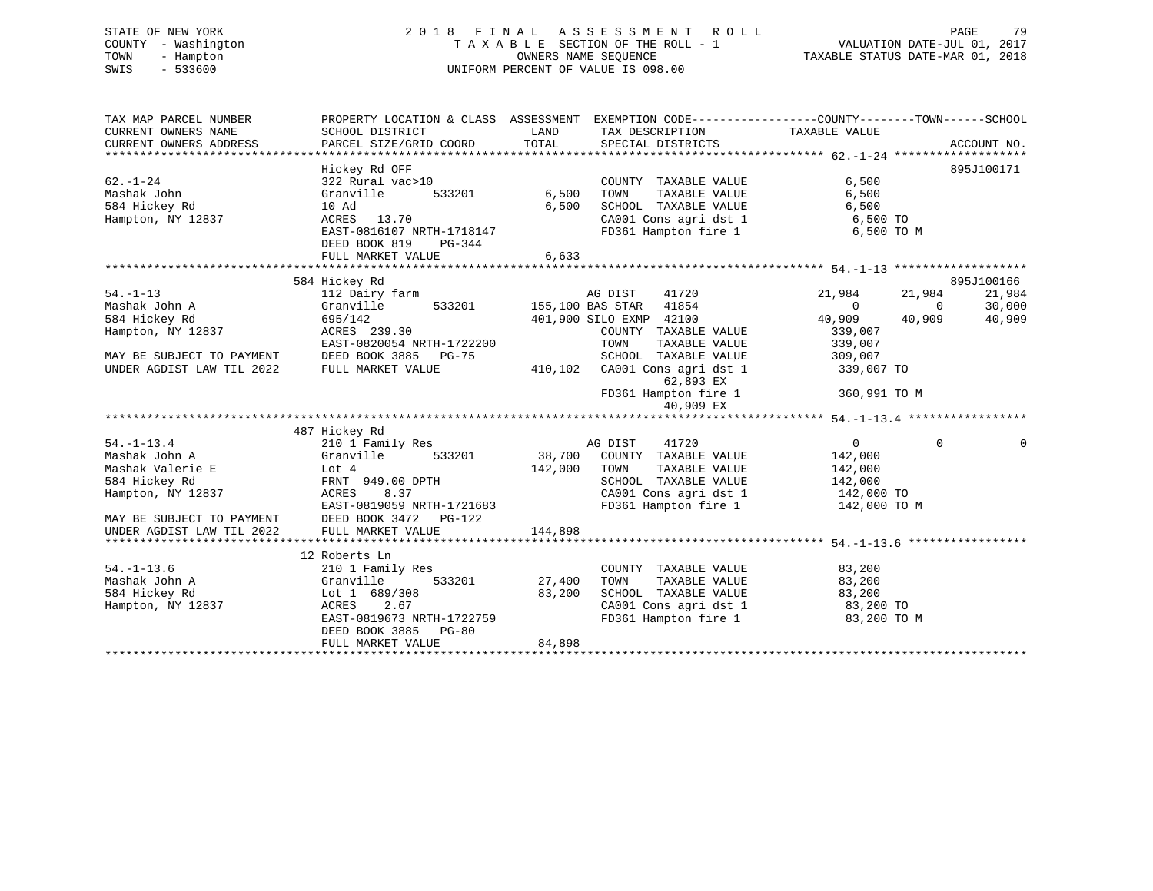# STATE OF NEW YORK 2 0 1 8 F I N A L A S S E S S M E N T R O L L PAGE 79 COUNTY - Washington T A X A B L E SECTION OF THE ROLL - 1 VALUATION DATE-JUL 01, 2017 TOWN - Hampton OWNERS NAME SEQUENCE TAXABLE STATUS DATE-MAR 01, 2018 SWIS - 533600 UNIFORM PERCENT OF VALUE IS 098.00

TAX MAP PARCEL NUMBER PROPERTY LOCATION & CLASS ASSESSMENT EXEMPTION CODE------------------COUNTY--------TOWN------SCHOOL

CURRENT OWNERS NAME SCHOOL DISTRICT LAND TAX DESCRIPTION TAXABLE VALUE CURRENT OWNERS ADDRESS PARCEL SIZE/GRID COORD TOTAL SPECIAL DISTRICTS ACCOUNT NO. \*\*\*\*\*\*\*\*\*\*\*\*\*\*\*\*\*\*\*\*\*\*\*\*\*\*\*\*\*\*\*\*\*\*\*\*\*\*\*\*\*\*\*\*\*\*\*\*\*\*\*\*\*\*\*\*\*\*\*\*\*\*\*\*\*\*\*\*\*\*\*\*\*\*\*\*\*\*\*\*\*\*\*\*\*\*\*\*\*\*\*\*\*\*\*\*\*\*\*\*\*\*\* 62.-1-24 \*\*\*\*\*\*\*\*\*\*\*\*\*\*\*\*\*\*\* Hickey Rd OFF 895J100171 62.-1-24 322 Rural vac>10 COUNTY TAXABLE VALUE 6,500 Mashak John Granville 533201 6,500 TOWN TAXABLE VALUE 6,500 584 Hickey Rd 10 Ad 6,500 SCHOOL TAXABLE VALUE 6,500 Hampton, NY 12837 ACRES 13.70 CA001 Cons agri dst 1 6,500 TO EAST-0816107 NRTH-1718147 FD361 Hampton fire 1 6,500 TO M DEED BOOK 819 PG-344 FULL MARKET VALUE 6,633 \*\*\*\*\*\*\*\*\*\*\*\*\*\*\*\*\*\*\*\*\*\*\*\*\*\*\*\*\*\*\*\*\*\*\*\*\*\*\*\*\*\*\*\*\*\*\*\*\*\*\*\*\*\*\*\*\*\*\*\*\*\*\*\*\*\*\*\*\*\*\*\*\*\*\*\*\*\*\*\*\*\*\*\*\*\*\*\*\*\*\*\*\*\*\*\*\*\*\*\*\*\*\* 54.-1-13 \*\*\*\*\*\*\*\*\*\*\*\*\*\*\*\*\*\*\*895J100166 584 Hickey Rd 895J100166 54.-1-13 112 Dairy farm AG DIST 41720 21,984 21,984 21,984 Mashak John A Granville 533201 155,100 BAS STAR 41854 0 0 30,000 584 Hickey Rd 695/142 401,900 SILO EXMP 42100 40,909 40,909 40,909 Hampton, NY 12837 ACRES 239.30 COUNTY TAXABLE VALUE 339,007 EAST-0820054 NRTH-1722200 TOWN TAXABLE VALUE 339,007 MAY BE SUBJECT TO PAYMENT DEED BOOK 3885 PG-75 SCHOOL TAXABLE VALUE 309,007 UNDER AGDIST LAW TIL 2022 FULL MARKET VALUE 410,102 CA001 Cons agri dst 1 339,007 TO 62,893 EX FD361 Hampton fire 1 360,991 TO M 40,909 EX \*\*\*\*\*\*\*\*\*\*\*\*\*\*\*\*\*\*\*\*\*\*\*\*\*\*\*\*\*\*\*\*\*\*\*\*\*\*\*\*\*\*\*\*\*\*\*\*\*\*\*\*\*\*\*\*\*\*\*\*\*\*\*\*\*\*\*\*\*\*\*\*\*\*\*\*\*\*\*\*\*\*\*\*\*\*\*\*\*\*\*\*\*\*\*\*\*\*\*\*\*\*\* 54.-1-13.4 \*\*\*\*\*\*\*\*\*\*\*\*\*\*\*\*\* 487 Hickey Rd 54.-1-13.4 210 1 Family Res AG DIST 41720 0 0 0 Mashak John A Granville 533201 38,700 COUNTY TAXABLE VALUE 142,000 Mashak Valerie E Lot 4 142,000 TOWN TAXABLE VALUE 142,000 584 Hickey Rd FRNT 949.00 DPTH SCHOOL TAXABLE VALUE 142,000 Hampton, NY 12837 ACRES 8.37 CA001 Cons agri dst 1 142,000 TO Mashak Valerie E<br>
EAST-0819059 NRTH-1721683<br>
EAST-0819059 NRTH-1721683<br>
EAST-0819059 NRTH-1721683<br>
FD361 Hampton fire 1 142,000 TO M MAY BE SUBJECT TO PAYMENT DEED BOOK 3472 PG-122 UNDER AGDIST LAW TIL 2022 FULL MARKET VALUE 144,898 \*\*\*\*\*\*\*\*\*\*\*\*\*\*\*\*\*\*\*\*\*\*\*\*\*\*\*\*\*\*\*\*\*\*\*\*\*\*\*\*\*\*\*\*\*\*\*\*\*\*\*\*\*\*\*\*\*\*\*\*\*\*\*\*\*\*\*\*\*\*\*\*\*\*\*\*\*\*\*\*\*\*\*\*\*\*\*\*\*\*\*\*\*\*\*\*\*\*\*\*\*\*\* 54.-1-13.6 \*\*\*\*\*\*\*\*\*\*\*\*\*\*\*\*\* 12 Roberts Ln 54.-1-13.6 210 1 Family Res COUNTY TAXABLE VALUE 83,200 Mashak John A Granville 533201 27,400 TOWN TAXABLE VALUE 83,200 584 Hickey Rd Lot 1 689/308 83,200 SCHOOL TAXABLE VALUE 83,200 Hampton, NY 12837 ACRES 2.67 CA001 Cons agri dst 1 83,200 TO EAST-0819673 NRTH-1722759 FD361 Hampton fire 1 83,200 TO M DEED BOOK 3885 PG-80 FULL MARKET VALUE 84,898 \*\*\*\*\*\*\*\*\*\*\*\*\*\*\*\*\*\*\*\*\*\*\*\*\*\*\*\*\*\*\*\*\*\*\*\*\*\*\*\*\*\*\*\*\*\*\*\*\*\*\*\*\*\*\*\*\*\*\*\*\*\*\*\*\*\*\*\*\*\*\*\*\*\*\*\*\*\*\*\*\*\*\*\*\*\*\*\*\*\*\*\*\*\*\*\*\*\*\*\*\*\*\*\*\*\*\*\*\*\*\*\*\*\*\*\*\*\*\*\*\*\*\*\*\*\*\*\*\*\*\*\*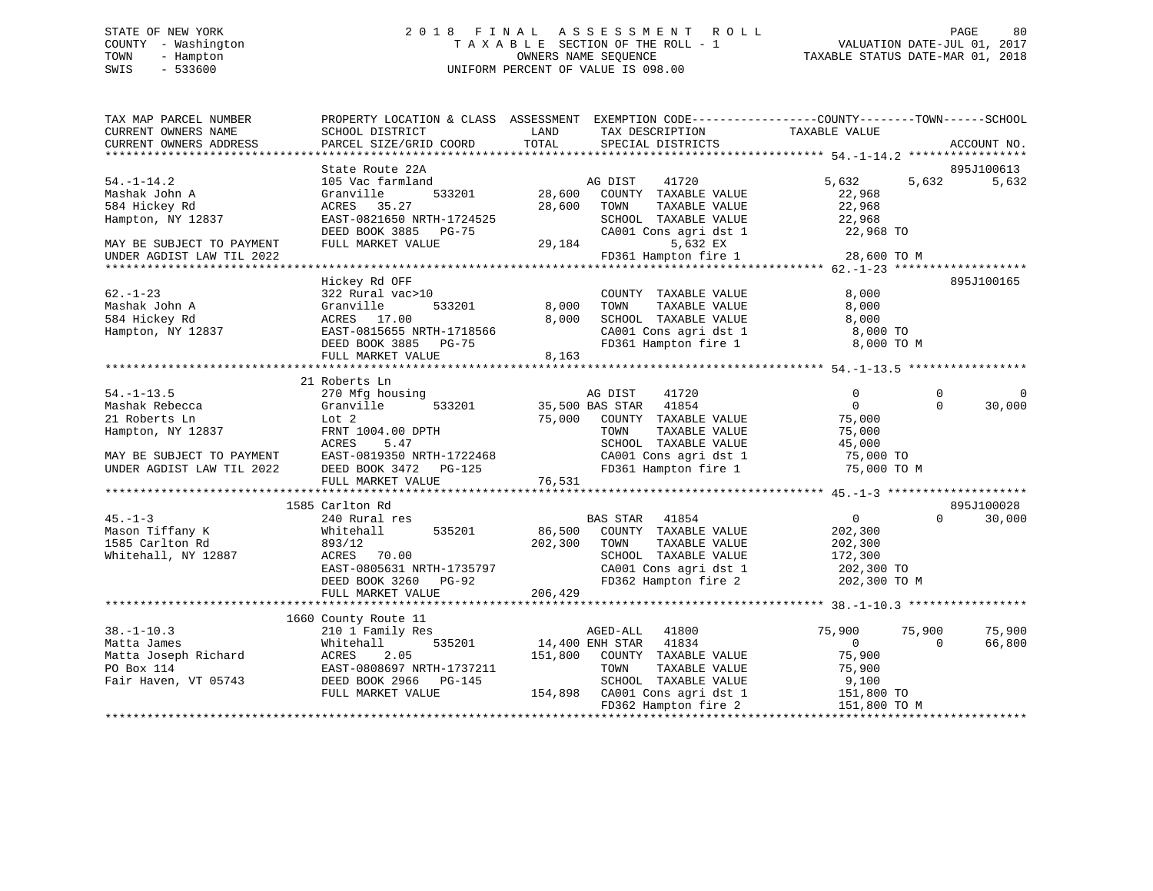# STATE OF NEW YORK 2 0 1 8 F I N A L A S S E S S M E N T R O L L PAGE 80 COUNTY - Washington T A X A B L E SECTION OF THE ROLL - 1 VALUATION DATE-JUL 01, 2017 TOWN - Hampton OWNERS NAME SEQUENCE TAXABLE STATUS DATE-MAR 01, 2018 SWIS - 533600 UNIFORM PERCENT OF VALUE IS 098.00

| TAX MAP PARCEL NUMBER                                                                                  | PROPERTY LOCATION & CLASS ASSESSMENT EXEMPTION CODE----------------COUNTY-------TOWN------SCHOOL |         |                                                       |                            |                      |
|--------------------------------------------------------------------------------------------------------|--------------------------------------------------------------------------------------------------|---------|-------------------------------------------------------|----------------------------|----------------------|
| CURRENT OWNERS NAME                                                                                    | SCHOOL DISTRICT                                                                                  | LAND    | TAX DESCRIPTION                                       | TAXABLE VALUE              |                      |
| CURRENT OWNERS ADDRESS                                                                                 | PARCEL SIZE/GRID COORD                                                                           | TOTAL   | SPECIAL DISTRICTS                                     |                            | ACCOUNT NO.          |
|                                                                                                        |                                                                                                  |         |                                                       |                            |                      |
|                                                                                                        | State Route 22A                                                                                  |         |                                                       |                            | 895J100613           |
| $54. - 1 - 14.2$                                                                                       | 105 Vac farmland                                                                                 |         | AG DIST<br>41720                                      | 5,632                      | 5,632<br>5,632       |
| Mashak John A                                                                                          | 533201<br>Granville                                                                              |         | 28,600 COUNTY TAXABLE VALUE                           | 22,968                     |                      |
| 584 Hickey Rd                                                                                          | ACRES 35.27                                                                                      | 28,600  | TAXABLE VALUE<br>TOWN                                 | 22,968                     |                      |
| Hampton, NY 12837                                                                                      | EAST-0821650 NRTH-1724525                                                                        |         | SCHOOL TAXABLE VALUE                                  | 22,968                     |                      |
|                                                                                                        | DEED BOOK 3885 PG-75                                                                             |         | $CAO01$ Cons agri dst 1                               | 22,968 TO                  |                      |
| MAY BE SUBJECT TO PAYMENT                                                                              | FULL MARKET VALUE                                                                                | 29,184  | 5,632 EX                                              |                            |                      |
| UNDER AGDIST LAW TIL 2022                                                                              |                                                                                                  |         | FD361 Hampton fire 1                                  | 28,600 TO M                |                      |
|                                                                                                        |                                                                                                  |         |                                                       |                            |                      |
|                                                                                                        | Hickey Rd OFF                                                                                    |         |                                                       |                            | 895J100165           |
| $62. - 1 - 23$                                                                                         | 322 Rural vac>10                                                                                 |         | COUNTY TAXABLE VALUE                                  | 8,000                      |                      |
| Mashak John A                                                                                          | Granville<br>533201                                                                              | 8,000   | TOWN<br>TAXABLE VALUE                                 | 8,000                      |                      |
| 584 Hickey Rd                                                                                          | ACRES 17.00                                                                                      | 8,000   | SCHOOL TAXABLE VALUE                                  | 8,000                      |                      |
| Hampton, NY 12837                                                                                      | EAST-0815655 NRTH-1718566                                                                        |         | CA001 Cons agri dst 1                                 | 8,000 TO                   |                      |
|                                                                                                        | DEED BOOK 3885 PG-75                                                                             |         | FD361 Hampton fire 1                                  | 8,000 TO M                 |                      |
|                                                                                                        | FULL MARKET VALUE                                                                                | 8,163   |                                                       |                            |                      |
|                                                                                                        |                                                                                                  |         |                                                       |                            |                      |
|                                                                                                        | 21 Roberts Ln                                                                                    |         |                                                       |                            |                      |
| $54. -1 - 13.5$                                                                                        | 270 Mfg housing                                                                                  |         | AG DIST<br>41720                                      | $\Omega$                   | $\Omega$<br>$\Omega$ |
| Mashak Rebecca                                                                                         | 533201<br>Granville                                                                              |         | 41854<br>35,500 BAS STAR                              | $\Omega$                   | 30,000<br>$\Omega$   |
| 21 Roberts Ln                                                                                          | Lot 2                                                                                            |         | 75,000 COUNTY TAXABLE VALUE                           | 75,000                     |                      |
| Hampton, NY 12837                                                                                      | FRNT 1004.00 DPTH                                                                                |         | TAXABLE VALUE<br>TOWN                                 | 75,000                     |                      |
|                                                                                                        | ACRES<br>5.47                                                                                    |         | SCHOOL TAXABLE VALUE                                  | 45,000                     |                      |
| MAY BE SUBJECT TO PAYMENT EAST-0819350 NRTH-1722468<br>UNDER AGDIST LAW TIL 2022 DEED BOOK 3472 PG-125 |                                                                                                  |         | CA001 Cons agri dst 1                                 | 75,000 TO                  |                      |
|                                                                                                        |                                                                                                  |         | FD361 Hampton fire 1                                  | 75,000 TO M                |                      |
|                                                                                                        | FULL MARKET VALUE                                                                                | 76,531  |                                                       |                            |                      |
|                                                                                                        |                                                                                                  |         |                                                       |                            |                      |
|                                                                                                        | 1585 Carlton Rd                                                                                  |         |                                                       |                            | 895J100028           |
| $45. - 1 - 3$                                                                                          | 240 Rural res                                                                                    |         | BAS STAR 41854                                        | $\overline{0}$             | $\Omega$<br>30,000   |
| Mason Tiffany K                                                                                        | 535201<br>Whitehall                                                                              | 86,500  | COUNTY TAXABLE VALUE                                  | 202,300                    |                      |
| 1585 Carlton Rd                                                                                        | 893/12                                                                                           | 202,300 | TAXABLE VALUE<br>TOWN                                 | 202,300                    |                      |
| Whitehall, NY 12887                                                                                    | ACRES 70.00                                                                                      |         | SCHOOL TAXABLE VALUE                                  | 172,300                    |                      |
|                                                                                                        | EAST-0805631 NRTH-1735797                                                                        |         | CA001 Cons agri dst 1                                 | 202,300 TO<br>202,300 TO M |                      |
|                                                                                                        | DEED BOOK 3260 PG-92                                                                             |         | FD362 Hampton fire 2                                  |                            |                      |
|                                                                                                        | FULL MARKET VALUE                                                                                | 206,429 |                                                       |                            |                      |
|                                                                                                        |                                                                                                  |         |                                                       |                            |                      |
|                                                                                                        | 1660 County Route 11                                                                             |         |                                                       |                            |                      |
| $38. - 1 - 10.3$                                                                                       | 210 1 Family Res                                                                                 |         | AGED-ALL 41800                                        | 75,900<br>75,900           | 75,900               |
| Matta James                                                                                            | 535201<br>Whitehall                                                                              |         | 14,400 ENH STAR 41834                                 | $\overline{0}$             | $\Omega$<br>66,800   |
| Matta Joseph Richard                                                                                   | 2.05<br>ACRES                                                                                    | 151,800 | COUNTY TAXABLE VALUE                                  | 75,900                     |                      |
| PO Box 114                                                                                             | EAST-0808697 NRTH-1737211                                                                        |         | TOWN<br>TAXABLE VALUE                                 | 75,900                     |                      |
| Fair Haven, VT 05743                                                                                   | DEED BOOK 2966 PG-145                                                                            |         | SCHOOL TAXABLE VALUE<br>154,898 CA001 Cons agri dst 1 | 9,100                      |                      |
|                                                                                                        | FULL MARKET VALUE                                                                                |         |                                                       | 151,800 TO                 |                      |
|                                                                                                        |                                                                                                  |         | FD362 Hampton fire 2                                  | 151,800 TO M               |                      |
|                                                                                                        |                                                                                                  |         |                                                       |                            |                      |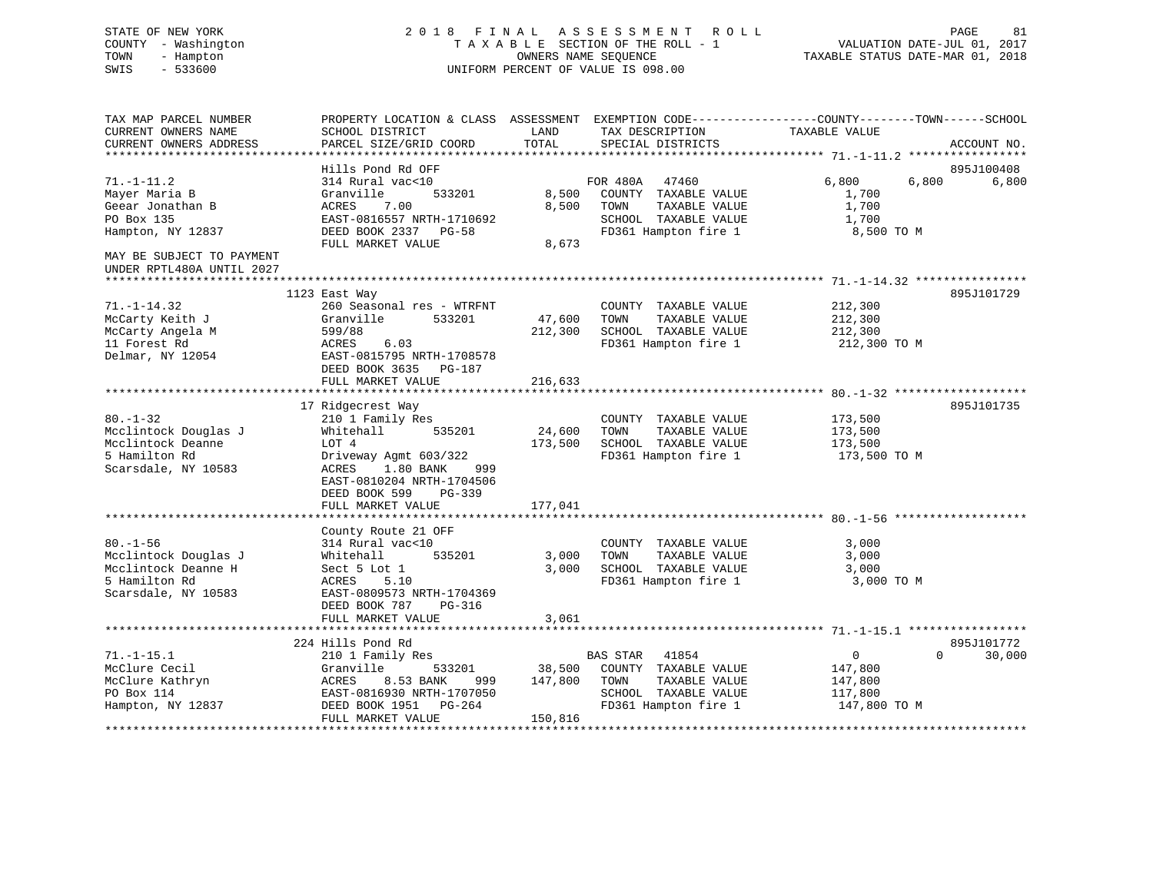# STATE OF NEW YORK 2 0 1 8 F I N A L A S S E S S M E N T R O L L PAGE 81 COUNTY - Washington T A X A B L E SECTION OF THE ROLL - 1 VALUATION DATE-JUL 01, 2017 TOWN - Hampton OWNERS NAME SEQUENCE TAXABLE STATUS DATE-MAR 01, 2018 SWIS - 533600 UNIFORM PERCENT OF VALUE IS 098.00

TAX MAP PARCEL NUMBER PROPERTY LOCATION & CLASS ASSESSMENT EXEMPTION CODE------------------COUNTY--------TOWN------SCHOOL

CURRENT OWNERS NAME SCHOOL DISTRICT LAND TAX DESCRIPTION TAXABLE VALUE CURRENT OWNERS ADDRESS PARCEL SIZE/GRID COORD TOTAL SPECIAL DISTRICTS ACCOUNT NO. \*\*\*\*\*\*\*\*\*\*\*\*\*\*\*\*\*\*\*\*\*\*\*\*\*\*\*\*\*\*\*\*\*\*\*\*\*\*\*\*\*\*\*\*\*\*\*\*\*\*\*\*\*\*\*\*\*\*\*\*\*\*\*\*\*\*\*\*\*\*\*\*\*\*\*\*\*\*\*\*\*\*\*\*\*\*\*\*\*\*\*\*\*\*\*\*\*\*\*\*\*\*\* 71.-1-11.2 \*\*\*\*\*\*\*\*\*\*\*\*\*\*\*\*\* Hills Pond Rd OFF 895J10040871.-1-11.2 314 Rural vac<10 FOR 480A 47460 6,800 6,800 6,800 Mayer Maria B Granville 533201 8,500 COUNTY TAXABLE VALUE 1,700 Geear Jonathan B ACRES 7.00 8,500 TOWN TAXABLE VALUE 1,700 PO Box 135 EAST-0816557 NRTH-1710692 SCHOOL TAXABLE VALUE 1,700 Hampton, NY 12837 DEED BOOK 2337 PG-58 FD361 Hampton fire 1 8,500 TO M FULL MARKET VALUE 8,673 MAY BE SUBJECT TO PAYMENTUNDER RPTL480A UNTIL 2027 \*\*\*\*\*\*\*\*\*\*\*\*\*\*\*\*\*\*\*\*\*\*\*\*\*\*\*\*\*\*\*\*\*\*\*\*\*\*\*\*\*\*\*\*\*\*\*\*\*\*\*\*\*\*\*\*\*\*\*\*\*\*\*\*\*\*\*\*\*\*\*\*\*\*\*\*\*\*\*\*\*\*\*\*\*\*\*\*\*\*\*\*\*\*\*\*\*\*\*\*\*\*\* 71.-1-14.32 \*\*\*\*\*\*\*\*\*\*\*\*\*\*\*\* 1123 East Way 895J101729 71.-1-14.32 260 Seasonal res - WTRFNT COUNTY TAXABLE VALUE 212,300 McCarty Keith J Granville 533201 47,600 TOWN TAXABLE VALUE 212,300 McCarty Angela M 599/88 212,300 SCHOOL TAXABLE VALUE 212,300 11 Forest Rd ACRES 6.03 FD361 Hampton fire 1 212,300 TO M Delmar, NY 12054 EAST-0815795 NRTH-1708578 DEED BOOK 3635 PG-187 FULL MARKET VALUE 216,633 \*\*\*\*\*\*\*\*\*\*\*\*\*\*\*\*\*\*\*\*\*\*\*\*\*\*\*\*\*\*\*\*\*\*\*\*\*\*\*\*\*\*\*\*\*\*\*\*\*\*\*\*\*\*\*\*\*\*\*\*\*\*\*\*\*\*\*\*\*\*\*\*\*\*\*\*\*\*\*\*\*\*\*\*\*\*\*\*\*\*\*\*\*\*\*\*\*\*\*\*\*\*\* 80.-1-32 \*\*\*\*\*\*\*\*\*\*\*\*\*\*\*\*\*\*\* 17 Ridgecrest Way 895J101735 80.-1-32 210 1 Family Res COUNTY TAXABLE VALUE 173,500 Mcclintock Douglas J Whitehall 535201 24,600 TOWN TAXABLE VALUE 173,500 Mcclintock Deanne LOT 4 173,500 SCHOOL TAXABLE VALUE 173,500 5 Hamilton Rd Driveway Agmt 603/322 FD361 Hampton fire 1 173,500 TO M Scarsdale, NY 10583 ACRES 1.80 BANK 999 EAST-0810204 NRTH-1704506 DEED BOOK 599 PG-339FULL MARKET VALUE 177,041 \*\*\*\*\*\*\*\*\*\*\*\*\*\*\*\*\*\*\*\*\*\*\*\*\*\*\*\*\*\*\*\*\*\*\*\*\*\*\*\*\*\*\*\*\*\*\*\*\*\*\*\*\*\*\*\*\*\*\*\*\*\*\*\*\*\*\*\*\*\*\*\*\*\*\*\*\*\*\*\*\*\*\*\*\*\*\*\*\*\*\*\*\*\*\*\*\*\*\*\*\*\*\* 80.-1-56 \*\*\*\*\*\*\*\*\*\*\*\*\*\*\*\*\*\*\* County Route 21 OFF 80.-1-56 314 Rural vac<10 COUNTY TAXABLE VALUE 3,000 Mcclintock Douglas J Whitehall 535201 3,000 TOWN TAXABLE VALUE 3,000 Mcclintock Deanne H Sect 5 Lot 1 3,000 SCHOOL TAXABLE VALUE 3,000 5 Hamilton Rd ACRES 5.10 FD361 Hampton fire 1 3,000 TO M Scarsdale, NY 10583 EAST-0809573 NRTH-1704369 DEED BOOK 787 PG-316 FULL MARKET VALUE 3,061 \*\*\*\*\*\*\*\*\*\*\*\*\*\*\*\*\*\*\*\*\*\*\*\*\*\*\*\*\*\*\*\*\*\*\*\*\*\*\*\*\*\*\*\*\*\*\*\*\*\*\*\*\*\*\*\*\*\*\*\*\*\*\*\*\*\*\*\*\*\*\*\*\*\*\*\*\*\*\*\*\*\*\*\*\*\*\*\*\*\*\*\*\*\*\*\*\*\*\*\*\*\*\* 71.-1-15.1 \*\*\*\*\*\*\*\*\*\*\*\*\*\*\*\*\* 224 Hills Pond Rd 895J10177271.-1-15.1 210 1 Family Res BAS STAR 41854 0 0 30,000 McClure Cecil Granville 533201 38,500 COUNTY TAXABLE VALUE 147,800 McClure Kathryn ACRES 8.53 BANK 999 147,800 TOWN TAXABLE VALUE 147,800 PO Box 114 EAST-0816930 NRTH-1707050 SCHOOL TAXABLE VALUE 117,800 Hampton, NY 12837 DEED BOOK 1951 PG-264 FD361 Hampton fire 1 147,800 TO M FULL MARKET VALUE 150,816 \*\*\*\*\*\*\*\*\*\*\*\*\*\*\*\*\*\*\*\*\*\*\*\*\*\*\*\*\*\*\*\*\*\*\*\*\*\*\*\*\*\*\*\*\*\*\*\*\*\*\*\*\*\*\*\*\*\*\*\*\*\*\*\*\*\*\*\*\*\*\*\*\*\*\*\*\*\*\*\*\*\*\*\*\*\*\*\*\*\*\*\*\*\*\*\*\*\*\*\*\*\*\*\*\*\*\*\*\*\*\*\*\*\*\*\*\*\*\*\*\*\*\*\*\*\*\*\*\*\*\*\*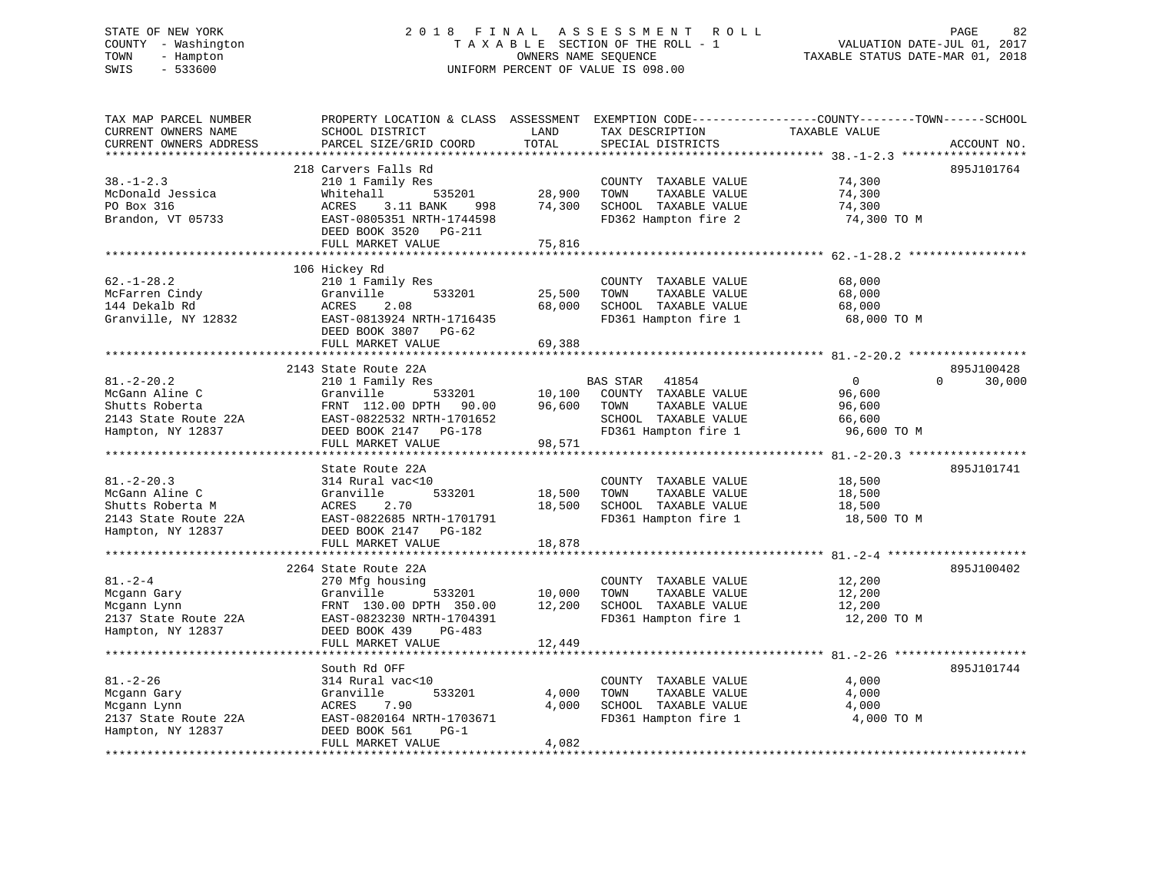# STATE OF NEW YORK 2 0 1 8 F I N A L A S S E S S M E N T R O L L PAGE 82 COUNTY - Washington T A X A B L E SECTION OF THE ROLL - 1 VALUATION DATE-JUL 01, 2017 TOWN - Hampton OWNERS NAME SEQUENCE TAXABLE STATUS DATE-MAR 01, 2018 SWIS - 533600 UNIFORM PERCENT OF VALUE IS 098.00

| 218 Carvers Falls Rd<br>895J101764<br>$38. - 1 - 2.3$<br>74,300<br>210 1 Family Res<br>COUNTY TAXABLE VALUE<br>28,900<br>Whitehall<br>535201<br>TOWN<br>TAXABLE VALUE<br>74,300<br>PO Box 316<br>74,300<br>SCHOOL TAXABLE VALUE<br>74,300<br>ACRES<br>3.11 BANK<br>998<br>Brandon, VT 05733<br>EAST-0805351 NRTH-1744598<br>FD362 Hampton fire 2<br>74,300 TO M<br>DEED BOOK 3520 PG-211<br>FULL MARKET VALUE<br>75,816<br>106 Hickey Rd<br>$62. - 1 - 28.2$<br>210 1 Family Res<br>68,000<br>COUNTY TAXABLE VALUE<br>25,500<br>TAXABLE VALUE<br>68,000<br>Granville<br>533201<br>TOWN<br>2.08<br>68,000<br>SCHOOL TAXABLE VALUE<br>ACRES<br>68,000<br>EAST-0813924 NRTH-1716435<br>FD361 Hampton fire 1<br>68,000 TO M<br>DEED BOOK 3807 PG-62<br>FULL MARKET VALUE<br>69,388<br>2143 State Route 22A<br>895J100428<br>$81. - 2 - 20.2$<br>210 1 Family Res<br><b>BAS STAR</b><br>$\mathbf{0}$<br>$\Omega$<br>30,000<br>41854<br>McGann Aline C<br>Granville<br>533201<br>COUNTY TAXABLE VALUE<br>10,100<br>96,600<br>96,600<br>Shutts Roberta<br>FRNT 112.00 DPTH 90.00<br>TOWN<br>TAXABLE VALUE<br>96,600<br>2143 State Route 22A<br>EAST-0822532 NRTH-1701652<br>SCHOOL TAXABLE VALUE<br>66,600<br>FD361 Hampton fire 1<br>DEED BOOK 2147 PG-178<br>96,600 TO M<br>FULL MARKET VALUE<br>98,571<br>895J101741<br>State Route 22A<br>$81. - 2 - 20.3$<br>314 Rural vac<10<br>COUNTY TAXABLE VALUE<br>18,500<br>533201<br>18,500<br>Granville<br>TOWN<br>TAXABLE VALUE<br>18,500<br>2.70<br>Shutts Roberta M<br>ACRES<br>18,500<br>SCHOOL TAXABLE VALUE<br>18,500<br>2143 State Route 22A<br>EAST-0822685 NRTH-1701791<br>FD361 Hampton fire 1<br>18,500 TO M<br>DEED BOOK 2147 PG-182<br>FULL MARKET VALUE<br>18,878<br>895J100402<br>2264 State Route 22A<br>$81. - 2 - 4$<br>COUNTY TAXABLE VALUE<br>270 Mfg housing<br>12,200<br>10,000<br>TOWN<br>TAXABLE VALUE<br>12,200<br>Granville<br>533201<br>12,200<br>FRNT 130.00 DPTH 350.00<br>SCHOOL TAXABLE VALUE<br>12,200<br>FD361 Hampton fire 1<br>2137 State Route 22A<br>EAST-0823230 NRTH-1704391<br>12,200 TO M<br>DEED BOOK 439<br>PG-483<br>FULL MARKET VALUE<br>12,449<br>895J101744<br>South Rd OFF<br>$81. - 2 - 26$<br>4,000<br>314 Rural vac<10<br>COUNTY TAXABLE VALUE<br>4,000<br>TAXABLE VALUE<br>4,000<br>Granville<br>533201<br>TOWN<br>4,000<br>SCHOOL TAXABLE VALUE<br>ACRES<br>7.90<br>4,000<br>FD361 Hampton fire 1<br>EAST-0820164 NRTH-1703671<br>4,000 TO M<br>DEED BOOK 561<br>$PG-1$<br>4,082<br>FULL MARKET VALUE | TAX MAP PARCEL NUMBER<br>CURRENT OWNERS NAME<br>CURRENT OWNERS ADDRESS  | PROPERTY LOCATION & CLASS ASSESSMENT EXEMPTION CODE---------------COUNTY-------TOWN-----SCHOOL<br>SCHOOL DISTRICT<br>PARCEL SIZE/GRID COORD | LAND<br>TOTAL | TAX DESCRIPTION<br>SPECIAL DISTRICTS | TAXABLE VALUE | ACCOUNT NO. |
|---------------------------------------------------------------------------------------------------------------------------------------------------------------------------------------------------------------------------------------------------------------------------------------------------------------------------------------------------------------------------------------------------------------------------------------------------------------------------------------------------------------------------------------------------------------------------------------------------------------------------------------------------------------------------------------------------------------------------------------------------------------------------------------------------------------------------------------------------------------------------------------------------------------------------------------------------------------------------------------------------------------------------------------------------------------------------------------------------------------------------------------------------------------------------------------------------------------------------------------------------------------------------------------------------------------------------------------------------------------------------------------------------------------------------------------------------------------------------------------------------------------------------------------------------------------------------------------------------------------------------------------------------------------------------------------------------------------------------------------------------------------------------------------------------------------------------------------------------------------------------------------------------------------------------------------------------------------------------------------------------------------------------------------------------------------------------------------------------------------------------------------------------------------------------------------------------------------------------------------------------------------------------------------------------------------------------------------------------------------------------------------------------------------------------------------------------------------------------------------------------|-------------------------------------------------------------------------|---------------------------------------------------------------------------------------------------------------------------------------------|---------------|--------------------------------------|---------------|-------------|
|                                                                                                                                                                                                                                                                                                                                                                                                                                                                                                                                                                                                                                                                                                                                                                                                                                                                                                                                                                                                                                                                                                                                                                                                                                                                                                                                                                                                                                                                                                                                                                                                                                                                                                                                                                                                                                                                                                                                                                                                                                                                                                                                                                                                                                                                                                                                                                                                                                                                                                   |                                                                         |                                                                                                                                             |               |                                      |               |             |
|                                                                                                                                                                                                                                                                                                                                                                                                                                                                                                                                                                                                                                                                                                                                                                                                                                                                                                                                                                                                                                                                                                                                                                                                                                                                                                                                                                                                                                                                                                                                                                                                                                                                                                                                                                                                                                                                                                                                                                                                                                                                                                                                                                                                                                                                                                                                                                                                                                                                                                   | McDonald Jessica                                                        |                                                                                                                                             |               |                                      |               |             |
|                                                                                                                                                                                                                                                                                                                                                                                                                                                                                                                                                                                                                                                                                                                                                                                                                                                                                                                                                                                                                                                                                                                                                                                                                                                                                                                                                                                                                                                                                                                                                                                                                                                                                                                                                                                                                                                                                                                                                                                                                                                                                                                                                                                                                                                                                                                                                                                                                                                                                                   |                                                                         |                                                                                                                                             |               |                                      |               |             |
|                                                                                                                                                                                                                                                                                                                                                                                                                                                                                                                                                                                                                                                                                                                                                                                                                                                                                                                                                                                                                                                                                                                                                                                                                                                                                                                                                                                                                                                                                                                                                                                                                                                                                                                                                                                                                                                                                                                                                                                                                                                                                                                                                                                                                                                                                                                                                                                                                                                                                                   |                                                                         |                                                                                                                                             |               |                                      |               |             |
|                                                                                                                                                                                                                                                                                                                                                                                                                                                                                                                                                                                                                                                                                                                                                                                                                                                                                                                                                                                                                                                                                                                                                                                                                                                                                                                                                                                                                                                                                                                                                                                                                                                                                                                                                                                                                                                                                                                                                                                                                                                                                                                                                                                                                                                                                                                                                                                                                                                                                                   | McFarren Cindy<br>144 Dekalb Rd<br>Granville, NY 12832                  |                                                                                                                                             |               |                                      |               |             |
|                                                                                                                                                                                                                                                                                                                                                                                                                                                                                                                                                                                                                                                                                                                                                                                                                                                                                                                                                                                                                                                                                                                                                                                                                                                                                                                                                                                                                                                                                                                                                                                                                                                                                                                                                                                                                                                                                                                                                                                                                                                                                                                                                                                                                                                                                                                                                                                                                                                                                                   |                                                                         |                                                                                                                                             |               |                                      |               |             |
|                                                                                                                                                                                                                                                                                                                                                                                                                                                                                                                                                                                                                                                                                                                                                                                                                                                                                                                                                                                                                                                                                                                                                                                                                                                                                                                                                                                                                                                                                                                                                                                                                                                                                                                                                                                                                                                                                                                                                                                                                                                                                                                                                                                                                                                                                                                                                                                                                                                                                                   |                                                                         |                                                                                                                                             |               |                                      |               |             |
|                                                                                                                                                                                                                                                                                                                                                                                                                                                                                                                                                                                                                                                                                                                                                                                                                                                                                                                                                                                                                                                                                                                                                                                                                                                                                                                                                                                                                                                                                                                                                                                                                                                                                                                                                                                                                                                                                                                                                                                                                                                                                                                                                                                                                                                                                                                                                                                                                                                                                                   | Hampton, NY 12837                                                       |                                                                                                                                             |               |                                      |               |             |
|                                                                                                                                                                                                                                                                                                                                                                                                                                                                                                                                                                                                                                                                                                                                                                                                                                                                                                                                                                                                                                                                                                                                                                                                                                                                                                                                                                                                                                                                                                                                                                                                                                                                                                                                                                                                                                                                                                                                                                                                                                                                                                                                                                                                                                                                                                                                                                                                                                                                                                   |                                                                         |                                                                                                                                             |               |                                      |               |             |
|                                                                                                                                                                                                                                                                                                                                                                                                                                                                                                                                                                                                                                                                                                                                                                                                                                                                                                                                                                                                                                                                                                                                                                                                                                                                                                                                                                                                                                                                                                                                                                                                                                                                                                                                                                                                                                                                                                                                                                                                                                                                                                                                                                                                                                                                                                                                                                                                                                                                                                   |                                                                         |                                                                                                                                             |               |                                      |               |             |
|                                                                                                                                                                                                                                                                                                                                                                                                                                                                                                                                                                                                                                                                                                                                                                                                                                                                                                                                                                                                                                                                                                                                                                                                                                                                                                                                                                                                                                                                                                                                                                                                                                                                                                                                                                                                                                                                                                                                                                                                                                                                                                                                                                                                                                                                                                                                                                                                                                                                                                   | McGann Aline C<br>Hampton, NY 12837                                     |                                                                                                                                             |               |                                      |               |             |
|                                                                                                                                                                                                                                                                                                                                                                                                                                                                                                                                                                                                                                                                                                                                                                                                                                                                                                                                                                                                                                                                                                                                                                                                                                                                                                                                                                                                                                                                                                                                                                                                                                                                                                                                                                                                                                                                                                                                                                                                                                                                                                                                                                                                                                                                                                                                                                                                                                                                                                   |                                                                         |                                                                                                                                             |               |                                      |               |             |
|                                                                                                                                                                                                                                                                                                                                                                                                                                                                                                                                                                                                                                                                                                                                                                                                                                                                                                                                                                                                                                                                                                                                                                                                                                                                                                                                                                                                                                                                                                                                                                                                                                                                                                                                                                                                                                                                                                                                                                                                                                                                                                                                                                                                                                                                                                                                                                                                                                                                                                   | Mcgann Gary<br>Mcgann Lynn<br>Hampton, NY 12837                         |                                                                                                                                             |               |                                      |               |             |
|                                                                                                                                                                                                                                                                                                                                                                                                                                                                                                                                                                                                                                                                                                                                                                                                                                                                                                                                                                                                                                                                                                                                                                                                                                                                                                                                                                                                                                                                                                                                                                                                                                                                                                                                                                                                                                                                                                                                                                                                                                                                                                                                                                                                                                                                                                                                                                                                                                                                                                   |                                                                         |                                                                                                                                             |               |                                      |               |             |
|                                                                                                                                                                                                                                                                                                                                                                                                                                                                                                                                                                                                                                                                                                                                                                                                                                                                                                                                                                                                                                                                                                                                                                                                                                                                                                                                                                                                                                                                                                                                                                                                                                                                                                                                                                                                                                                                                                                                                                                                                                                                                                                                                                                                                                                                                                                                                                                                                                                                                                   |                                                                         |                                                                                                                                             |               |                                      |               |             |
|                                                                                                                                                                                                                                                                                                                                                                                                                                                                                                                                                                                                                                                                                                                                                                                                                                                                                                                                                                                                                                                                                                                                                                                                                                                                                                                                                                                                                                                                                                                                                                                                                                                                                                                                                                                                                                                                                                                                                                                                                                                                                                                                                                                                                                                                                                                                                                                                                                                                                                   | Mcgann Gary<br>Mcgann Lynn<br>2137 State Route 22A<br>Hampton, NY 12837 |                                                                                                                                             |               |                                      |               |             |
|                                                                                                                                                                                                                                                                                                                                                                                                                                                                                                                                                                                                                                                                                                                                                                                                                                                                                                                                                                                                                                                                                                                                                                                                                                                                                                                                                                                                                                                                                                                                                                                                                                                                                                                                                                                                                                                                                                                                                                                                                                                                                                                                                                                                                                                                                                                                                                                                                                                                                                   |                                                                         |                                                                                                                                             |               |                                      |               |             |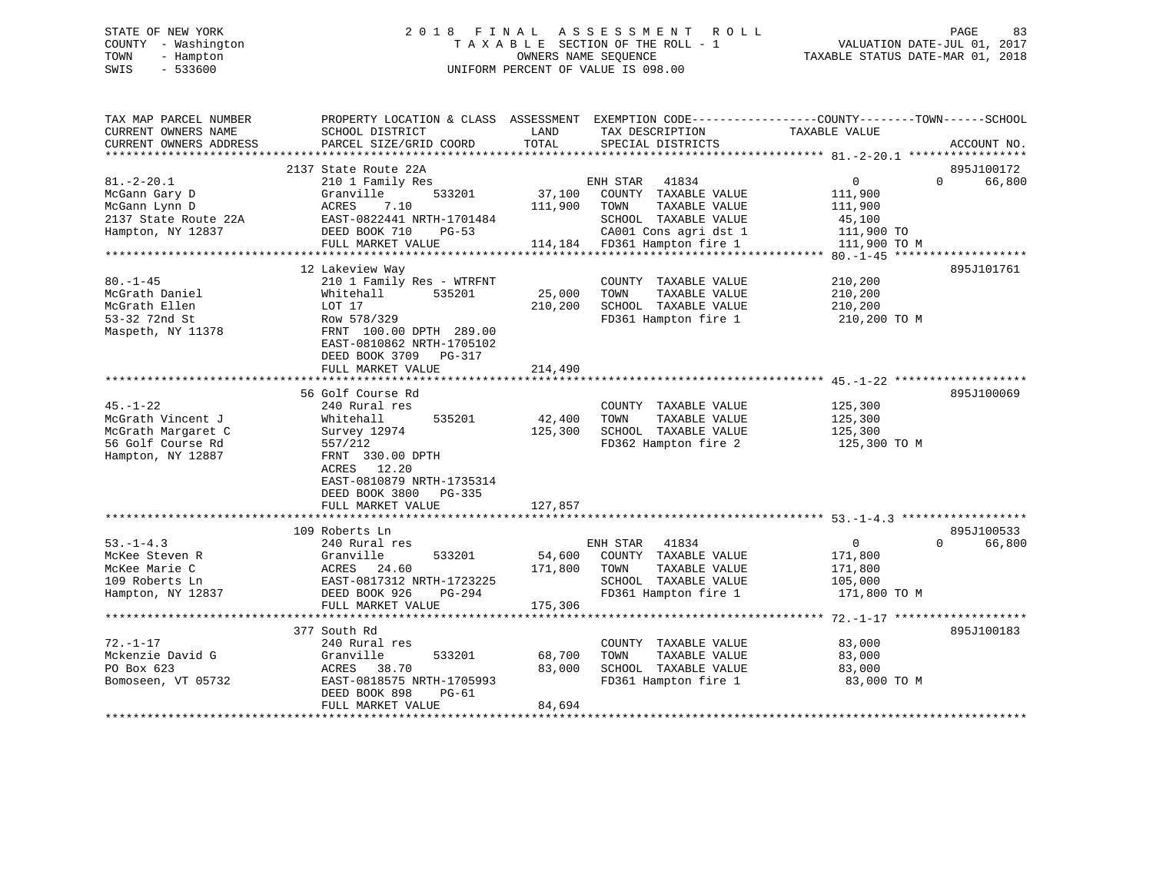# STATE OF NEW YORK 2 0 1 8 F I N A L A S S E S S M E N T R O L L PAGE 83 COUNTY - Washington T A X A B L E SECTION OF THE ROLL - 1 VALUATION DATE-JUL 01, 2017 TOWN - Hampton OWNERS NAME SEQUENCE TAXABLE STATUS DATE-MAR 01, 2018 SWIS - 533600 UNIFORM PERCENT OF VALUE IS 098.00

| TAX MAP PARCEL NUMBER<br>CURRENT OWNERS NAME<br>CURRENT OWNERS ADDRESS | PROPERTY LOCATION & CLASS ASSESSMENT<br>SCHOOL DISTRICT<br>PARCEL SIZE/GRID COORD | LAND<br>TOTAL  | TAX DESCRIPTION<br>SPECIAL DISTRICTS | EXEMPTION CODE-----------------COUNTY-------TOWN------SCHOOL<br>TAXABLE VALUE | ACCOUNT NO.            |
|------------------------------------------------------------------------|-----------------------------------------------------------------------------------|----------------|--------------------------------------|-------------------------------------------------------------------------------|------------------------|
| *************************                                              |                                                                                   |                |                                      |                                                                               |                        |
|                                                                        | 2137 State Route 22A                                                              |                |                                      |                                                                               | 895J100172             |
| $81. - 2 - 20.1$                                                       | 210 1 Family Res                                                                  |                | ENH STAR 41834                       | 0                                                                             | $\Omega$<br>66,800     |
| McGann Gary D                                                          | 533201<br>Granville                                                               | 37,100         | COUNTY TAXABLE VALUE                 | 111,900                                                                       |                        |
| McGann Lynn D                                                          | ACRES<br>7.10                                                                     | 111,900        | TOWN<br>TAXABLE VALUE                | 111,900                                                                       |                        |
| 2137 State Route 22A                                                   | EAST-0822441 NRTH-1701484                                                         |                | SCHOOL TAXABLE VALUE                 | 45,100                                                                        |                        |
| Hampton, NY 12837                                                      | DEED BOOK 710<br>$PG-53$                                                          |                | CA001 Cons agri dst 1                | 111,900 TO                                                                    |                        |
|                                                                        | FULL MARKET VALUE                                                                 |                | 114,184 FD361 Hampton fire 1         | 111,900 TO M                                                                  |                        |
|                                                                        |                                                                                   |                |                                      |                                                                               |                        |
|                                                                        | 12 Lakeview Way                                                                   |                |                                      |                                                                               | 895J101761             |
| $80. - 1 - 45$                                                         | 210 1 Family Res - WTRFNT                                                         |                | COUNTY TAXABLE VALUE                 | 210,200                                                                       |                        |
| McGrath Daniel                                                         | 535201<br>Whitehall                                                               | 25,000         | TAXABLE VALUE<br>TOWN                | 210,200                                                                       |                        |
| McGrath Ellen                                                          | LOT 17                                                                            | 210,200        | SCHOOL TAXABLE VALUE                 | 210,200                                                                       |                        |
| 53-32 72nd St                                                          | Row 578/329                                                                       |                | FD361 Hampton fire 1                 | 210,200 TO M                                                                  |                        |
| Maspeth, NY 11378                                                      | FRNT 100.00 DPTH 289.00                                                           |                |                                      |                                                                               |                        |
|                                                                        | EAST-0810862 NRTH-1705102                                                         |                |                                      |                                                                               |                        |
|                                                                        | DEED BOOK 3709 PG-317                                                             |                |                                      |                                                                               |                        |
|                                                                        | FULL MARKET VALUE                                                                 | 214,490        |                                      |                                                                               |                        |
|                                                                        |                                                                                   | ************** |                                      |                                                                               |                        |
|                                                                        | 56 Golf Course Rd                                                                 |                |                                      |                                                                               | 895J100069             |
| $45. - 1 - 22$                                                         | 240 Rural res                                                                     |                | COUNTY TAXABLE VALUE                 | 125,300                                                                       |                        |
| McGrath Vincent J                                                      | 535201<br>Whitehall                                                               | 42,400         | TOWN<br>TAXABLE VALUE                | 125,300                                                                       |                        |
| McGrath Margaret C                                                     | Survey 12974                                                                      | 125,300        | SCHOOL TAXABLE VALUE                 | 125,300                                                                       |                        |
| 56 Golf Course Rd                                                      | 557/212                                                                           |                | FD362 Hampton fire 2                 | 125,300 TO M                                                                  |                        |
| Hampton, NY 12887                                                      | FRNT 330.00 DPTH                                                                  |                |                                      |                                                                               |                        |
|                                                                        | ACRES 12.20                                                                       |                |                                      |                                                                               |                        |
|                                                                        |                                                                                   |                |                                      |                                                                               |                        |
|                                                                        | EAST-0810879 NRTH-1735314                                                         |                |                                      |                                                                               |                        |
|                                                                        | DEED BOOK 3800 PG-335                                                             |                |                                      |                                                                               |                        |
|                                                                        | FULL MARKET VALUE                                                                 | 127,857        |                                      |                                                                               |                        |
|                                                                        |                                                                                   |                |                                      |                                                                               |                        |
|                                                                        | 109 Roberts Ln                                                                    |                |                                      |                                                                               | 895J100533<br>$\Omega$ |
| $53. - 1 - 4.3$                                                        | 240 Rural res                                                                     |                | ENH STAR 41834                       | $0 \qquad \qquad$                                                             | 66,800                 |
| McKee Steven R                                                         | Granville<br>533201                                                               | 54,600         | COUNTY TAXABLE VALUE                 | 171,800                                                                       |                        |
| McKee Marie C                                                          | ACRES 24.60                                                                       | 171,800        | TAXABLE VALUE<br>TOWN                | 171,800                                                                       |                        |
| 109 Roberts Ln                                                         | EAST-0817312 NRTH-1723225                                                         |                | SCHOOL TAXABLE VALUE                 | 105,000                                                                       |                        |
| Hampton, NY 12837                                                      | DEED BOOK 926<br>PG-294                                                           |                | FD361 Hampton fire 1                 | 171,800 TO M                                                                  |                        |
|                                                                        | FULL MARKET VALUE<br>*****************************                                | 175,306        |                                      |                                                                               |                        |
|                                                                        |                                                                                   |                |                                      |                                                                               |                        |
|                                                                        | 377 South Rd                                                                      |                |                                      |                                                                               | 895J100183             |
| $72. - 1 - 17$                                                         | 240 Rural res                                                                     |                | COUNTY TAXABLE VALUE                 | 83,000                                                                        |                        |
| Mckenzie David G                                                       | 533201<br>Granville                                                               | 68,700         | TAXABLE VALUE<br>TOWN                | 83,000                                                                        |                        |
| PO Box 623                                                             | ACRES<br>38.70                                                                    | 83,000         | SCHOOL TAXABLE VALUE                 | 83,000                                                                        |                        |
| Bomoseen, VT 05732                                                     | EAST-0818575 NRTH-1705993                                                         |                | FD361 Hampton fire 1                 | 83,000 TO M                                                                   |                        |
|                                                                        | DEED BOOK 898<br>PG-61                                                            |                |                                      |                                                                               |                        |
|                                                                        | FULL MARKET VALUE                                                                 | 84,694         |                                      |                                                                               |                        |
|                                                                        |                                                                                   |                |                                      |                                                                               |                        |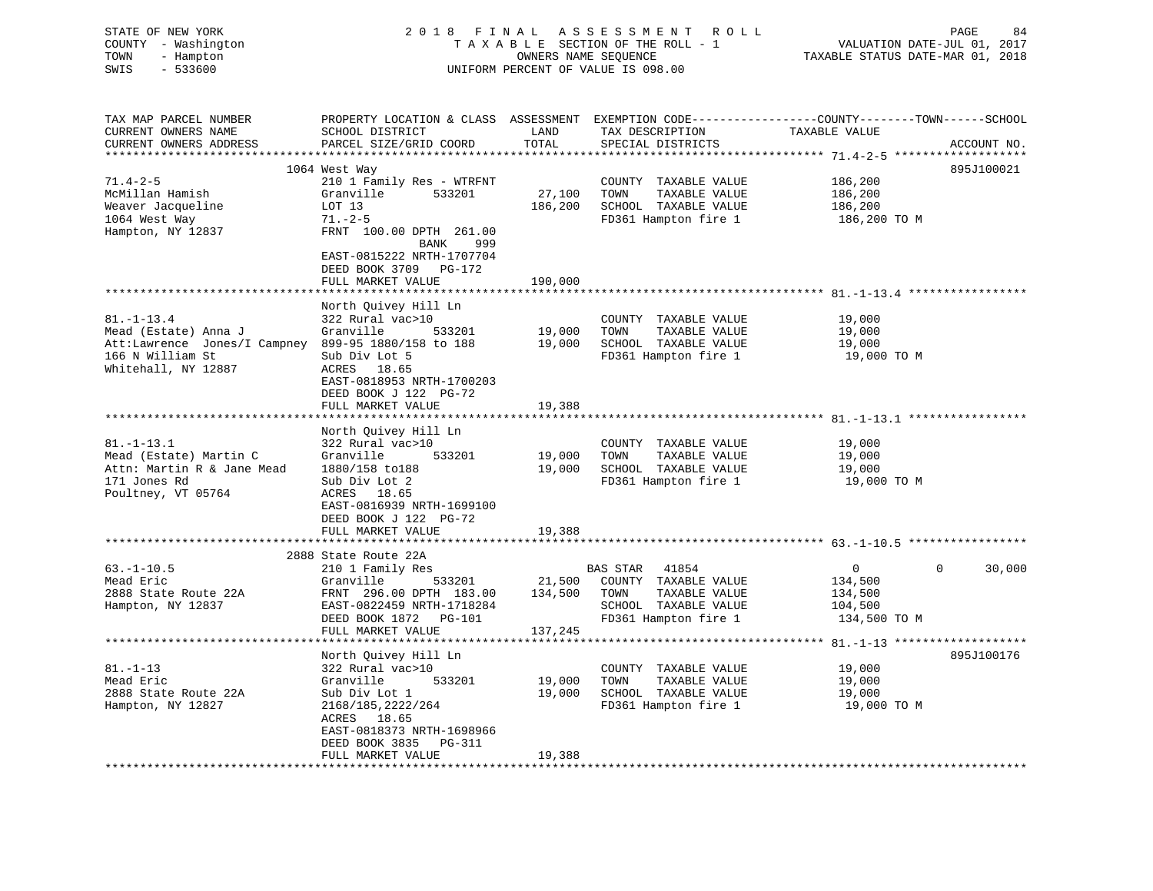| STATE OF NEW YORK<br>COUNTY - Washington<br>TOWN<br>- Hampton<br>$-533600$<br>SWIS                                                         | 2018 FINAL                                                                                                                                                                                          | OWNERS NAME SEQUENCE         | A S S E S S M E N T<br><b>ROLL</b><br>TAXABLE SECTION OF THE ROLL - 1<br>UNIFORM PERCENT OF VALUE IS 098.00        | PAGE<br>84<br>VALUATION DATE-JUL 01, 2017<br>TAXABLE STATUS DATE-MAR 01, 2018                                                                   |
|--------------------------------------------------------------------------------------------------------------------------------------------|-----------------------------------------------------------------------------------------------------------------------------------------------------------------------------------------------------|------------------------------|--------------------------------------------------------------------------------------------------------------------|-------------------------------------------------------------------------------------------------------------------------------------------------|
| TAX MAP PARCEL NUMBER<br>CURRENT OWNERS NAME<br>CURRENT OWNERS ADDRESS                                                                     | SCHOOL DISTRICT<br>PARCEL SIZE/GRID COORD                                                                                                                                                           | LAND<br>TOTAL<br>*********** | TAX DESCRIPTION<br>SPECIAL DISTRICTS                                                                               | PROPERTY LOCATION & CLASS ASSESSMENT EXEMPTION CODE----------------COUNTY-------TOWN------SCHOOL<br>TAXABLE VALUE<br>ACCOUNT NO.<br>*********** |
| $71.4 - 2 - 5$<br>McMillan Hamish<br>Weaver Jacqueline<br>1064 West Way<br>Hampton, NY 12837                                               | 1064 West Way<br>210 1 Family Res - WTRFNT<br>Granville<br>533201<br>LOT 13<br>$71. - 2 - 5$<br>FRNT 100.00 DPTH 261.00<br>BANK<br>999<br>EAST-0815222 NRTH-1707704                                 | 27,100<br>186,200            | COUNTY TAXABLE VALUE<br>TOWN<br>TAXABLE VALUE<br>SCHOOL TAXABLE VALUE<br>FD361 Hampton fire 1                      | 895J100021<br>186,200<br>186,200<br>186,200<br>186,200 TO M                                                                                     |
| *****************************                                                                                                              | DEED BOOK 3709 PG-172<br>FULL MARKET VALUE<br>* * * * * * * * * * * * * * * * * * * *                                                                                                               | 190,000                      |                                                                                                                    |                                                                                                                                                 |
| $81. - 1 - 13.4$<br>Mead (Estate) Anna J<br>Att:Lawrence Jones/I Campney 899-95 1880/158 to 188<br>166 N William St<br>Whitehall, NY 12887 | North Quivey Hill Ln<br>322 Rural vac>10<br>Granville<br>533201<br>Sub Div Lot 5<br>ACRES 18.65<br>EAST-0818953 NRTH-1700203<br>DEED BOOK J 122 PG-72<br>FULL MARKET VALUE                          | 19,000<br>19,000<br>19,388   | COUNTY TAXABLE VALUE<br>TOWN<br>TAXABLE VALUE<br>SCHOOL TAXABLE VALUE<br>FD361 Hampton fire 1                      | 19,000<br>19,000<br>19,000<br>19,000 TO M                                                                                                       |
|                                                                                                                                            |                                                                                                                                                                                                     | * * * * * * * * * * * * * *  |                                                                                                                    |                                                                                                                                                 |
| $81. - 1 - 13.1$<br>Mead (Estate) Martin C<br>Attn: Martin R & Jane Mead<br>171 Jones Rd<br>Poultney, VT 05764                             | North Quivey Hill Ln<br>322 Rural vac>10<br>Granville<br>533201<br>1880/158 to188<br>Sub Div Lot 2<br>ACRES 18.65<br>EAST-0816939 NRTH-1699100<br>DEED BOOK J 122 PG-72<br>FULL MARKET VALUE        | 19,000<br>19,000<br>19,388   | COUNTY TAXABLE VALUE<br>TOWN<br>TAXABLE VALUE<br>SCHOOL TAXABLE VALUE<br>FD361 Hampton fire 1                      | 19,000<br>19,000<br>19,000<br>19,000 TO M                                                                                                       |
|                                                                                                                                            | ***************************                                                                                                                                                                         |                              |                                                                                                                    |                                                                                                                                                 |
| $63. -1 - 10.5$<br>Mead Eric<br>2888 State Route 22A<br>Hampton, NY 12837                                                                  | 2888 State Route 22A<br>210 1 Family Res<br>Granville<br>533201<br>FRNT 296.00 DPTH 183.00<br>EAST-0822459 NRTH-1718284<br>DEED BOOK 1872 PG-101<br>FULL MARKET VALUE                               | 21,500<br>134,500<br>137,245 | 41854<br>BAS STAR<br>COUNTY TAXABLE VALUE<br>TAXABLE VALUE<br>TOWN<br>SCHOOL TAXABLE VALUE<br>FD361 Hampton fire 1 | $\Omega$<br>30,000<br>$\overline{0}$<br>134,500<br>134,500<br>104,500<br>134,500 TO M                                                           |
|                                                                                                                                            | *******************                                                                                                                                                                                 |                              |                                                                                                                    |                                                                                                                                                 |
| $81. - 1 - 13$<br>Mead Eric<br>2888 State Route 22A<br>Hampton, NY 12827                                                                   | North Quivey Hill Ln<br>322 Rural vac>10<br>533201<br>Granville<br>Sub Div Lot 1<br>2168/185, 2222/264<br>ACRES 18.65<br>EAST-0818373 NRTH-1698966<br>DEED BOOK 3835<br>PG-311<br>FULL MARKET VALUE | 19,000<br>19,000<br>19,388   | COUNTY TAXABLE VALUE<br>TOWN<br>TAXABLE VALUE<br>SCHOOL TAXABLE VALUE<br>FD361 Hampton fire 1                      | 895J100176<br>19,000<br>19,000<br>19,000<br>19,000 TO M                                                                                         |
| *******************                                                                                                                        | * * * * * * * * * * * * * * * * * * * *                                                                                                                                                             |                              |                                                                                                                    |                                                                                                                                                 |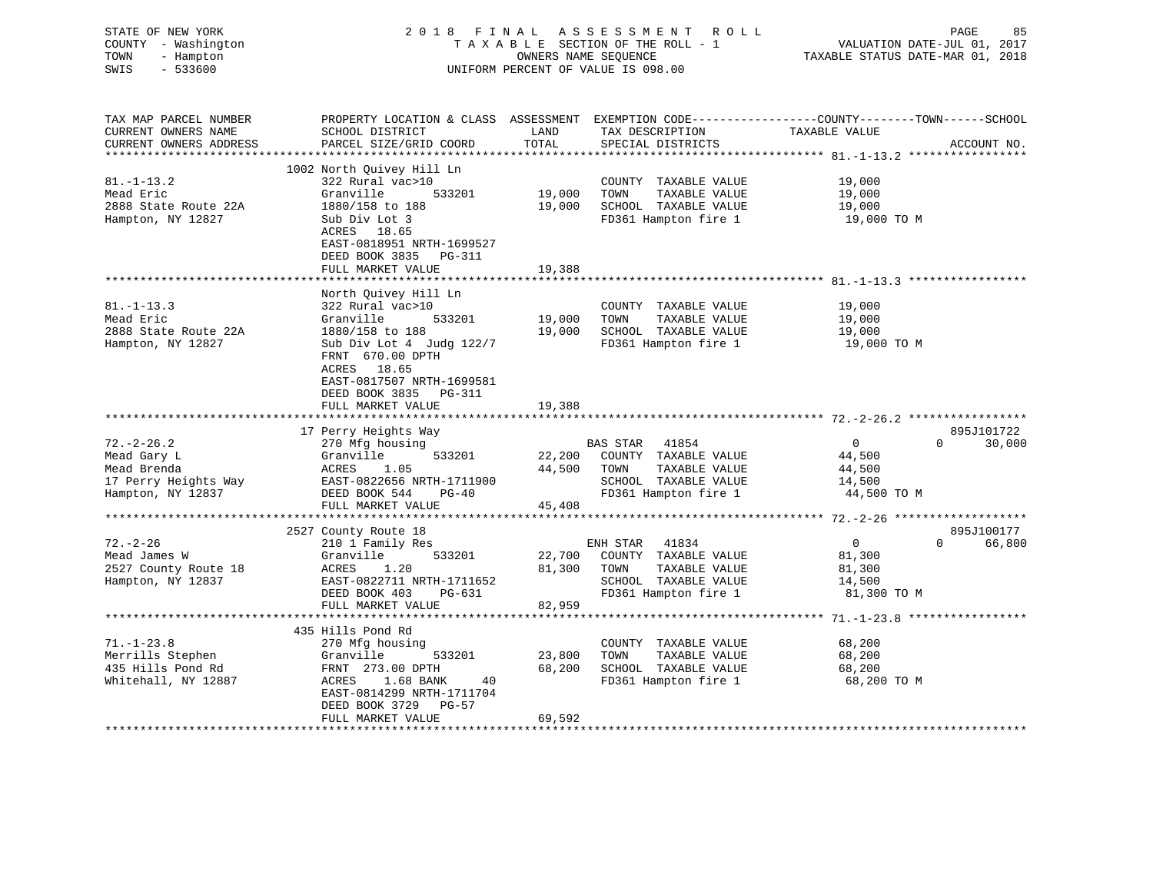| TAX MAP PARCEL NUMBER<br>ASSESSMENT<br>PROPERTY LOCATION & CLASS<br>EXEMPTION CODE-----------------COUNTY--------TOWN------SCHOOL                  | COUNTY<br>TOWN<br>SWIS | STATE OF NEW YORK<br>- Washington<br>- Hampton<br>$-533600$ |                 | 2018 FINAL ASSESSMENT ROLL<br>TAXABLE SECTION OF THE ROLL - 1<br>OWNERS NAME SEQUENCE<br>UNIFORM PERCENT OF VALUE IS 098.00 | TAXABLE STATUS DATE-MAR 01, 2018 | PAGE<br>VALUATION DATE-JUL 01, 2017 | 85 |
|----------------------------------------------------------------------------------------------------------------------------------------------------|------------------------|-------------------------------------------------------------|-----------------|-----------------------------------------------------------------------------------------------------------------------------|----------------------------------|-------------------------------------|----|
| CURRENT OWNERS NAME<br>TAXABLE VALUE<br>LAND<br>CUPPLAL OWNERS ADDRES<br>COORT CITE/CRID COOPD<br><b>TOTAT</b><br>CDRAINI DICTORATO<br>ACCOUNT NIO |                        |                                                             | SCHOOL DISTRICT | TAX DESCRIPTION                                                                                                             |                                  |                                     |    |

| CURRENT OWNERS ADDRESS                                                                      | PARCEL SIZE/GRID COORD                                                                                                                                                                                                                 | TOTAL                      | SPECIAL DISTRICTS                                                                                                         | ACCOUNT NO.                                                                                     |
|---------------------------------------------------------------------------------------------|----------------------------------------------------------------------------------------------------------------------------------------------------------------------------------------------------------------------------------------|----------------------------|---------------------------------------------------------------------------------------------------------------------------|-------------------------------------------------------------------------------------------------|
|                                                                                             | 1002 North Quivey Hill Ln                                                                                                                                                                                                              |                            |                                                                                                                           |                                                                                                 |
| $81. - 1 - 13.2$<br>Mead Eric<br>2888 State Route 22A<br>Hampton, NY 12827                  | 322 Rural vac>10<br>Granville<br>533201<br>1880/158 to 188<br>Sub Div Lot 3<br>ACRES 18.65<br>EAST-0818951 NRTH-1699527<br>DEED BOOK 3835<br><b>PG-311</b><br>FULL MARKET VALUE                                                        | 19,000<br>19,000<br>19,388 | COUNTY TAXABLE VALUE<br>TAXABLE VALUE<br>TOWN<br>SCHOOL TAXABLE VALUE<br>FD361 Hampton fire 1                             | 19,000<br>19,000<br>19,000<br>19,000 TO M                                                       |
|                                                                                             |                                                                                                                                                                                                                                        |                            |                                                                                                                           |                                                                                                 |
| $81. - 1 - 13.3$<br>Mead Eric<br>2888 State Route 22A<br>Hampton, NY 12827                  | North Quivey Hill Ln<br>322 Rural vac>10<br>Granville<br>533201<br>1880/158 to 188<br>Sub Div Lot 4 Judg 122/7<br>FRNT 670.00 DPTH<br>ACRES 18.65<br>EAST-0817507 NRTH-1699581<br>DEED BOOK 3835<br><b>PG-311</b><br>FULL MARKET VALUE | 19,000<br>19,000<br>19,388 | COUNTY TAXABLE VALUE<br>TAXABLE VALUE<br>TOWN<br>SCHOOL TAXABLE VALUE<br>FD361 Hampton fire 1                             | 19,000<br>19,000<br>19,000<br>19,000 TO M                                                       |
|                                                                                             | 17 Perry Heights Way                                                                                                                                                                                                                   |                            |                                                                                                                           | 895J101722                                                                                      |
| $72. - 2 - 26.2$<br>Mead Gary L<br>Mead Brenda<br>17 Perry Heights Way<br>Hampton, NY 12837 | 270 Mfg housing<br>533201<br>Granville<br>ACRES<br>1.05<br>EAST-0822656 NRTH-1711900<br>DEED BOOK 544<br>$PG-40$<br>FULL MARKET VALUE                                                                                                  | 22,200<br>44,500<br>45,408 | <b>BAS STAR</b><br>41854<br>COUNTY TAXABLE VALUE<br>TOWN<br>TAXABLE VALUE<br>SCHOOL TAXABLE VALUE<br>FD361 Hampton fire 1 | $\overline{0}$<br>$\Omega$<br>30,000<br>44,500<br>44,500<br>14,500<br>44,500 TO M               |
| *********************                                                                       |                                                                                                                                                                                                                                        |                            |                                                                                                                           |                                                                                                 |
| $72. - 2 - 26$<br>Mead James W<br>2527 County Route 18<br>Hampton, NY 12837                 | 2527 County Route 18<br>210 1 Family Res<br>Granville<br>533201<br>ACRES<br>1.20<br>EAST-0822711 NRTH-1711652<br>DEED BOOK 403<br>PG-631<br>FULL MARKET VALUE                                                                          | 22,700<br>81,300<br>82,959 | ENH STAR<br>41834<br>COUNTY TAXABLE VALUE<br>TOWN<br>TAXABLE VALUE<br>SCHOOL TAXABLE VALUE<br>FD361 Hampton fire 1        | 895J100177<br>$\overline{0}$<br>$\Omega$<br>66,800<br>81,300<br>81,300<br>14,500<br>81,300 TO M |
|                                                                                             |                                                                                                                                                                                                                                        |                            |                                                                                                                           |                                                                                                 |
| $71. - 1 - 23.8$<br>Merrills Stephen<br>435 Hills Pond Rd<br>Whitehall, NY 12887            | 435 Hills Pond Rd<br>270 Mfg housing<br>Granville<br>533201<br>FRNT 273.00 DPTH<br>1.68 BANK<br>ACRES<br>40<br>EAST-0814299 NRTH-1711704<br>DEED BOOK 3729<br><b>PG-57</b><br>FULL MARKET VALUE                                        | 23,800<br>68,200<br>69,592 | COUNTY TAXABLE VALUE<br>TAXABLE VALUE<br>TOWN<br>SCHOOL TAXABLE VALUE<br>FD361 Hampton fire 1                             | 68,200<br>68,200<br>68,200<br>68,200 TO M                                                       |
|                                                                                             |                                                                                                                                                                                                                                        |                            |                                                                                                                           |                                                                                                 |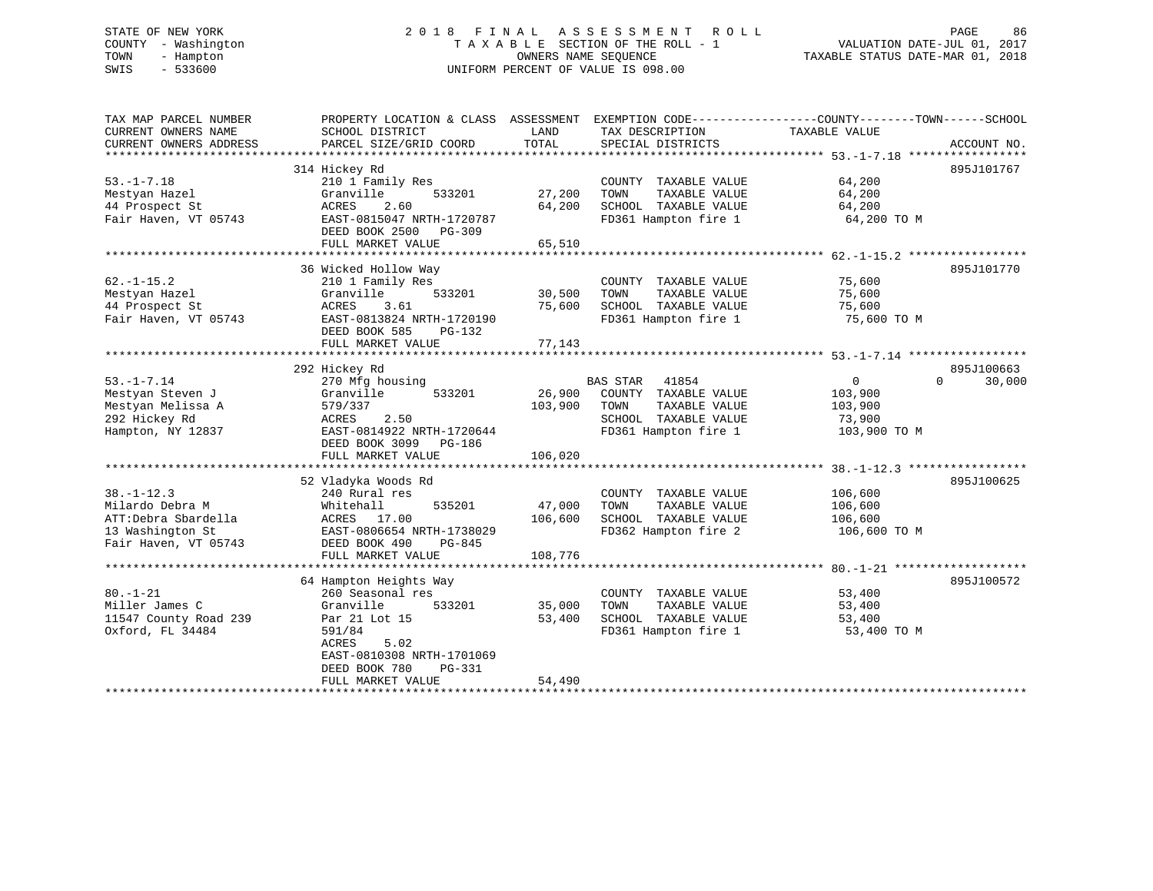# STATE OF NEW YORK 2 0 1 8 F I N A L A S S E S S M E N T R O L L PAGE 86 COUNTY - Washington T A X A B L E SECTION OF THE ROLL - 1 VALUATION DATE-JUL 01, 2017 TOWN - Hampton OWNERS NAME SEQUENCE TAXABLE STATUS DATE-MAR 01, 2018 SWIS - 533600 UNIFORM PERCENT OF VALUE IS 098.00

| TAX MAP PARCEL NUMBER  | PROPERTY LOCATION & CLASS ASSESSMENT EXEMPTION CODE---------------COUNTY-------TOWN-----SCHOOL |         |                          |                |             |
|------------------------|------------------------------------------------------------------------------------------------|---------|--------------------------|----------------|-------------|
| CURRENT OWNERS NAME    | SCHOOL DISTRICT                                                                                | LAND    | TAX DESCRIPTION          | TAXABLE VALUE  |             |
| CURRENT OWNERS ADDRESS | PARCEL SIZE/GRID COORD                                                                         | TOTAL   | SPECIAL DISTRICTS        |                | ACCOUNT NO. |
|                        |                                                                                                |         |                          |                | 895J101767  |
| $53. -1 - 7.18$        | 314 Hickey Rd<br>210 1 Family Res                                                              |         | COUNTY TAXABLE VALUE     | 64,200         |             |
|                        |                                                                                                | 27,200  |                          |                |             |
| Mestyan Hazel          | Granville<br>533201                                                                            |         | TOWN<br>TAXABLE VALUE    | 64,200         |             |
| 44 Prospect St         | 2.60<br>ACRES                                                                                  | 64,200  | SCHOOL TAXABLE VALUE     | 64,200         |             |
| Fair Haven, VT 05743   | EAST-0815047 NRTH-1720787                                                                      |         | FD361 Hampton fire 1     | 64,200 TO M    |             |
|                        | DEED BOOK 2500<br>PG-309                                                                       |         |                          |                |             |
|                        | FULL MARKET VALUE                                                                              | 65,510  |                          |                |             |
|                        | 36 Wicked Hollow Way                                                                           |         |                          |                | 895J101770  |
| $62. - 1 - 15.2$       | 210 1 Family Res                                                                               |         | COUNTY TAXABLE VALUE     | 75,600         |             |
|                        | 533201                                                                                         |         | TOWN                     |                |             |
| Mestyan Hazel          | Granville<br>3.61                                                                              | 30,500  | TAXABLE VALUE            | 75,600         |             |
| 44 Prospect St         | ACRES                                                                                          | 75,600  | SCHOOL TAXABLE VALUE     | 75,600         |             |
| Fair Haven, VT 05743   | EAST-0813824 NRTH-1720190                                                                      |         | FD361 Hampton fire 1     | 75,600 TO M    |             |
|                        | DEED BOOK 585<br>PG-132                                                                        |         |                          |                |             |
|                        | FULL MARKET VALUE                                                                              | 77,143  |                          |                |             |
|                        | 292 Hickey Rd                                                                                  |         |                          |                | 895J100663  |
|                        |                                                                                                |         |                          |                | $\Omega$    |
| $53. - 1 - 7.14$       | 270 Mfg housing                                                                                |         | <b>BAS STAR</b><br>41854 | $\overline{0}$ | 30,000      |
| Mestyan Steven J       | 533201<br>Granville                                                                            | 26,900  | COUNTY TAXABLE VALUE     | 103,900        |             |
| Mestyan Melissa A      | 579/337                                                                                        | 103,900 | TAXABLE VALUE<br>TOWN    | 103,900        |             |
| 292 Hickey Rd          | 2.50<br>ACRES                                                                                  |         | SCHOOL TAXABLE VALUE     | 73,900         |             |
| Hampton, NY 12837      | EAST-0814922 NRTH-1720644                                                                      |         | FD361 Hampton fire 1     | 103,900 TO M   |             |
|                        | DEED BOOK 3099<br>PG-186                                                                       |         |                          |                |             |
|                        | FULL MARKET VALUE                                                                              | 106,020 |                          |                |             |
|                        |                                                                                                |         |                          |                |             |
|                        | 52 Vladyka Woods Rd                                                                            |         |                          |                | 895J100625  |
| $38. - 1 - 12.3$       | 240 Rural res                                                                                  |         | COUNTY TAXABLE VALUE     | 106,600        |             |
| Milardo Debra M        | 535201<br>Whitehall                                                                            | 47,000  | TOWN<br>TAXABLE VALUE    | 106,600        |             |
| ATT:Debra Sbardella    | ACRES 17.00                                                                                    | 106,600 | SCHOOL TAXABLE VALUE     | 106,600        |             |
| 13 Washington St       | EAST-0806654 NRTH-1738029                                                                      |         | FD362 Hampton fire 2     | 106,600 TO M   |             |
| Fair Haven, VT 05743   | DEED BOOK 490<br>PG-845                                                                        |         |                          |                |             |
|                        | FULL MARKET VALUE                                                                              | 108,776 |                          |                |             |
|                        |                                                                                                |         |                          |                |             |
|                        | 64 Hampton Heights Way                                                                         |         |                          |                | 895J100572  |
| $80. - 1 - 21$         | 260 Seasonal res                                                                               |         | COUNTY TAXABLE VALUE     | 53,400         |             |
| Miller James C         | Granville<br>533201                                                                            | 35,000  | TAXABLE VALUE<br>TOWN    | 53,400         |             |
| 11547 County Road 239  | Par 21 Lot 15                                                                                  | 53,400  | SCHOOL TAXABLE VALUE     | 53,400         |             |
| Oxford, FL 34484       | 591/84                                                                                         |         | FD361 Hampton fire 1     | 53,400 TO M    |             |
|                        | 5.02<br>ACRES                                                                                  |         |                          |                |             |
|                        | EAST-0810308 NRTH-1701069                                                                      |         |                          |                |             |
|                        | DEED BOOK 780<br>PG-331                                                                        |         |                          |                |             |
|                        | FULL MARKET VALUE                                                                              | 54,490  |                          |                |             |
|                        |                                                                                                |         |                          |                |             |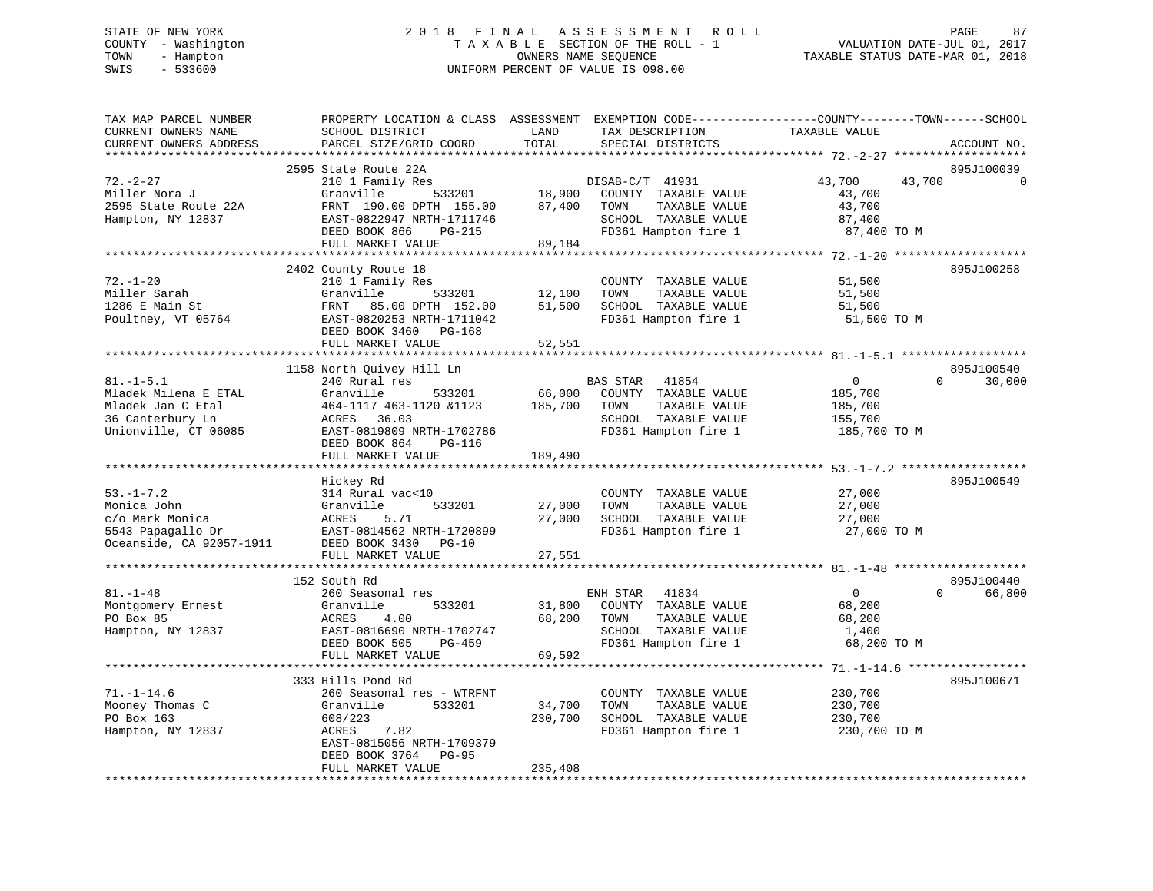# STATE OF NEW YORK 2 0 1 8 F I N A L A S S E S S M E N T R O L L PAGE 87 COUNTY - Washington T A X A B L E SECTION OF THE ROLL - 1 VALUATION DATE-JUL 01, 2017 TOWN - Hampton OWNERS NAME SEQUENCE TAXABLE STATUS DATE-MAR 01, 2018 SWIS - 533600 UNIFORM PERCENT OF VALUE IS 098.00

| TAX MAP PARCEL NUMBER<br>CURRENT OWNERS NAME<br>CURRENT OWNERS ADDRESS                             | PROPERTY LOCATION & CLASS ASSESSMENT<br>SCHOOL DISTRICT<br>PARCEL SIZE/GRID COORD                                                                                       | LAND<br>TOTAL              | EXEMPTION CODE-----------------COUNTY-------TOWN------SCHOOL<br>TAX DESCRIPTION<br>SPECIAL DISTRICTS             | TAXABLE VALUE                                                 | ACCOUNT NO.                      |
|----------------------------------------------------------------------------------------------------|-------------------------------------------------------------------------------------------------------------------------------------------------------------------------|----------------------------|------------------------------------------------------------------------------------------------------------------|---------------------------------------------------------------|----------------------------------|
|                                                                                                    | *************************                                                                                                                                               | **********                 |                                                                                                                  |                                                               |                                  |
| $72. - 2 - 27$<br>Miller Nora J<br>2595 State Route 22A<br>Hampton, NY 12837                       | 2595 State Route 22A<br>210 1 Family Res<br>533201<br>Granville<br>FRNT 190.00 DPTH 155.00<br>EAST-0822947 NRTH-1711746<br>DEED BOOK 866<br>PG-215<br>FULL MARKET VALUE | 18,900<br>87,400<br>89,184 | DISAB-C/T 41931<br>COUNTY TAXABLE VALUE<br>TOWN<br>TAXABLE VALUE<br>SCHOOL TAXABLE VALUE<br>FD361 Hampton fire 1 | 43,700<br>43,700<br>43,700<br>43,700<br>87,400<br>87,400 TO M | 895J100039                       |
|                                                                                                    |                                                                                                                                                                         |                            |                                                                                                                  |                                                               |                                  |
| $72. - 1 - 20$<br>Miller Sarah<br>1286 E Main St<br>Poultney, VT 05764                             | 2402 County Route 18<br>210 1 Family Res<br>Granville<br>533201<br>FRNT<br>85.00 DPTH 152.00<br>EAST-0820253 NRTH-1711042<br>DEED BOOK 3460 PG-168                      | 12,100<br>51,500           | COUNTY TAXABLE VALUE<br>TAXABLE VALUE<br>TOWN<br>SCHOOL TAXABLE VALUE<br>FD361 Hampton fire 1                    | 51,500<br>51,500<br>51,500<br>51,500 TO M                     | 895J100258                       |
|                                                                                                    | FULL MARKET VALUE                                                                                                                                                       | 52,551                     |                                                                                                                  |                                                               |                                  |
| $81. - 1 - 5.1$                                                                                    | 1158 North Quivey Hill Ln<br>240 Rural res                                                                                                                              |                            | BAS STAR<br>41854                                                                                                | $\mathbf 0$                                                   | 895J100540<br>$\Omega$<br>30,000 |
| Mladek Milena E ETAL<br>Mladek Jan C Etal<br>36 Canterbury Ln<br>Unionville, CT 06085              | Granville<br>533201<br>464-1117 463-1120 &1123<br>36.03<br>ACRES<br>EAST-0819809 NRTH-1702786<br>DEED BOOK 864<br><b>PG-116</b>                                         | 66,000<br>185,700          | COUNTY TAXABLE VALUE<br>TAXABLE VALUE<br>TOWN<br>SCHOOL TAXABLE VALUE<br>FD361 Hampton fire 1                    | 185,700<br>185,700<br>155,700<br>185,700 TO M                 |                                  |
|                                                                                                    | FULL MARKET VALUE                                                                                                                                                       | 189,490                    |                                                                                                                  |                                                               |                                  |
| $53. - 1 - 7.2$<br>Monica John<br>c/o Mark Monica<br>5543 Papagallo Dr<br>Oceanside, CA 92057-1911 | Hickey Rd<br>314 Rural vac<10<br>533201<br>Granville<br>5.71<br>ACRES<br>EAST-0814562 NRTH-1720899<br>DEED BOOK 3430 PG-10                                              | 27,000<br>27,000           | COUNTY TAXABLE VALUE<br>TOWN<br>TAXABLE VALUE<br>SCHOOL TAXABLE VALUE<br>FD361 Hampton fire 1                    | 27,000<br>27,000<br>27,000<br>27,000 TO M                     | 895J100549                       |
|                                                                                                    | FULL MARKET VALUE                                                                                                                                                       | 27,551                     |                                                                                                                  |                                                               |                                  |
| $81. - 1 - 48$<br>Montgomery Ernest<br>PO Box 85<br>Hampton, NY 12837                              | 152 South Rd<br>260 Seasonal res<br>533201<br>Granville<br>4.00<br>ACRES<br>EAST-0816690 NRTH-1702747<br>DEED BOOK 505<br>PG-459<br>FULL MARKET VALUE                   | 31,800<br>68,200<br>69,592 | ENH STAR 41834<br>COUNTY TAXABLE VALUE<br>TAXABLE VALUE<br>TOWN<br>SCHOOL TAXABLE VALUE<br>FD361 Hampton fire 1  | $\mathbf{0}$<br>68,200<br>68,200<br>1,400<br>68,200 TO M      | 895J100440<br>66,800<br>$\Omega$ |
|                                                                                                    | ***************************                                                                                                                                             |                            |                                                                                                                  |                                                               |                                  |
| $71. - 1 - 14.6$<br>Mooney Thomas C<br>PO Box 163<br>Hampton, NY 12837                             | 333 Hills Pond Rd<br>260 Seasonal res - WTRFNT<br>Granville<br>533201<br>608/223<br>7.82<br>ACRES<br>EAST-0815056 NRTH-1709379<br>DEED BOOK 3764<br>PG-95               | 34,700<br>230,700          | COUNTY TAXABLE VALUE<br>TOWN<br>TAXABLE VALUE<br>SCHOOL TAXABLE VALUE<br>FD361 Hampton fire 1                    | 230,700<br>230,700<br>230,700<br>230,700 TO M                 | 895J100671                       |
|                                                                                                    | FULL MARKET VALUE                                                                                                                                                       | 235,408                    |                                                                                                                  |                                                               |                                  |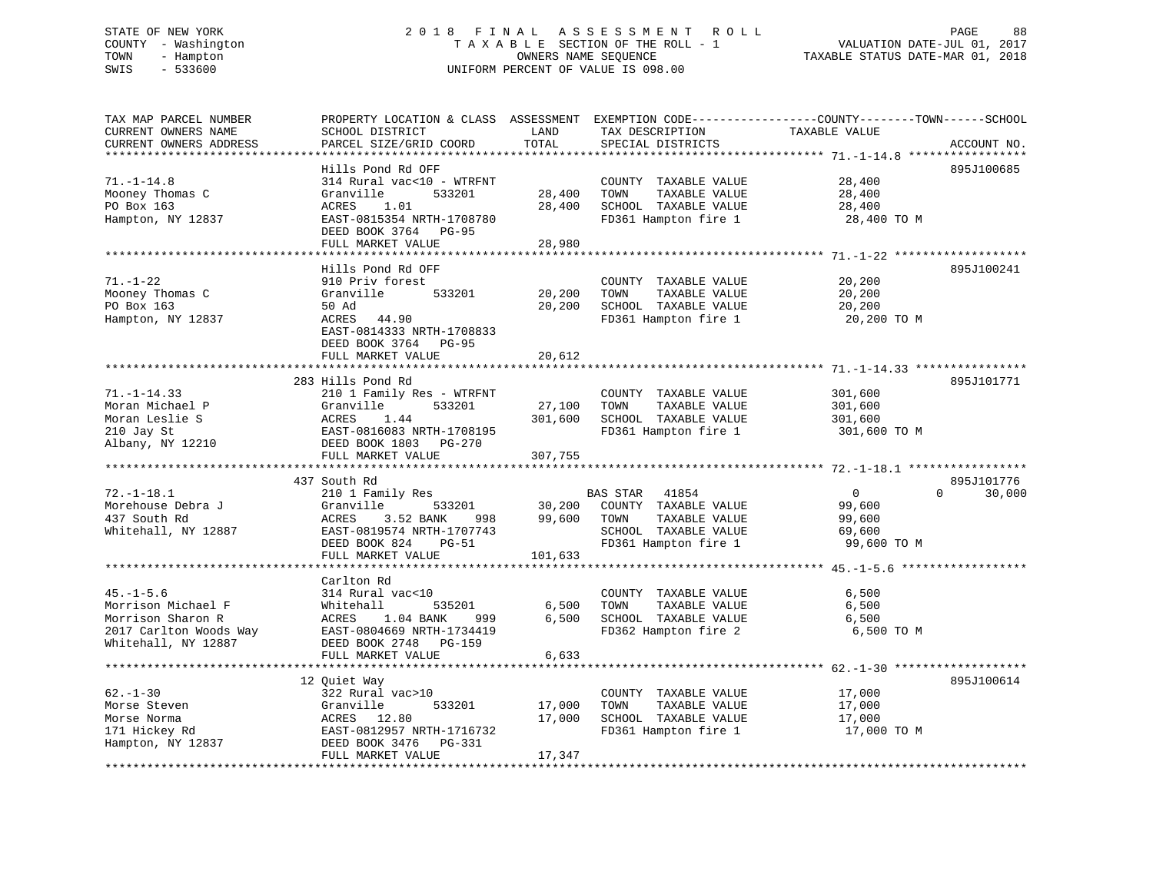# STATE OF NEW YORK 2 0 1 8 F I N A L A S S E S S M E N T R O L L PAGE 88 COUNTY - Washington T A X A B L E SECTION OF THE ROLL - 1 VALUATION DATE-JUL 01, 2017 TOWN - Hampton OWNERS NAME SEQUENCE TAXABLE STATUS DATE-MAR 01, 2018 SWIS - 533600 UNIFORM PERCENT OF VALUE IS 098.00

| TAX MAP PARCEL NUMBER          | PROPERTY LOCATION & CLASS ASSESSMENT EXEMPTION CODE---------------COUNTY-------TOWN------SCHOOL                                                                                                                                                    |         |                                                                         |                  |                    |
|--------------------------------|----------------------------------------------------------------------------------------------------------------------------------------------------------------------------------------------------------------------------------------------------|---------|-------------------------------------------------------------------------|------------------|--------------------|
| CURRENT OWNERS NAME            | SCHOOL DISTRICT                                                                                                                                                                                                                                    | LAND    | TAX DESCRIPTION                                                         | TAXABLE VALUE    |                    |
| CURRENT OWNERS ADDRESS         | PARCEL SIZE/GRID COORD                                                                                                                                                                                                                             | TOTAL   | SPECIAL DISTRICTS                                                       |                  | ACCOUNT NO.        |
|                                |                                                                                                                                                                                                                                                    |         |                                                                         |                  |                    |
|                                | Hills Pond Rd OFF                                                                                                                                                                                                                                  |         |                                                                         |                  | 895J100685         |
| $71. - 1 - 14.8$               | 314 Rural vac<10 - WTRFNT                                                                                                                                                                                                                          |         | COUNTY TAXABLE VALUE                                                    | 28,400           |                    |
| Mooney Thomas C                | Granville<br>533201                                                                                                                                                                                                                                | 28,400  | TAXABLE VALUE<br>TOWN                                                   | 28,400           |                    |
| PO Box 163                     | 1.01<br>ACRES                                                                                                                                                                                                                                      | 28,400  | SCHOOL TAXABLE VALUE                                                    | 28,400           |                    |
| Hampton, NY 12837              | EAST-0815354 NRTH-1708780                                                                                                                                                                                                                          |         | FD361 Hampton fire 1                                                    | 28,400 TO M      |                    |
|                                |                                                                                                                                                                                                                                                    |         |                                                                         |                  |                    |
|                                | DEED BOOK 3764 PG-95                                                                                                                                                                                                                               |         |                                                                         |                  |                    |
|                                | FULL MARKET VALUE                                                                                                                                                                                                                                  | 28,980  |                                                                         |                  |                    |
|                                |                                                                                                                                                                                                                                                    |         |                                                                         |                  |                    |
|                                | Hills Pond Rd OFF                                                                                                                                                                                                                                  |         |                                                                         |                  | 895J100241         |
| $71. - 1 - 22$                 | 910 Priv forest                                                                                                                                                                                                                                    |         | COUNTY TAXABLE VALUE                                                    | 20,200           |                    |
| Mooney Thomas C                | Granville<br>533201                                                                                                                                                                                                                                | 20,200  | TAXABLE VALUE<br>TOWN                                                   | 20,200           |                    |
| PO Box 163                     | 50 Ad                                                                                                                                                                                                                                              | 20,200  | SCHOOL TAXABLE VALUE                                                    | 20,200           |                    |
| Hampton, NY 12837              | ACRES 44.90                                                                                                                                                                                                                                        |         | FD361 Hampton fire 1                                                    | 20,200 TO M      |                    |
|                                | EAST-0814333 NRTH-1708833                                                                                                                                                                                                                          |         |                                                                         |                  |                    |
|                                | DEED BOOK 3764 PG-95                                                                                                                                                                                                                               |         |                                                                         |                  |                    |
|                                | FULL MARKET VALUE                                                                                                                                                                                                                                  | 20,612  |                                                                         |                  |                    |
|                                |                                                                                                                                                                                                                                                    |         |                                                                         |                  |                    |
|                                | 283 Hills Pond Rd                                                                                                                                                                                                                                  |         |                                                                         |                  | 895J101771         |
| $71. - 1 - 14.33$              | 210 1 Family Res - WTRFNT                                                                                                                                                                                                                          |         | COUNTY TAXABLE VALUE                                                    | 301,600          |                    |
| Moran Michael P                | Granville<br>533201                                                                                                                                                                                                                                | 27,100  | TAXABLE VALUE<br>TOWN                                                   | 301,600          |                    |
| Moran Leslie S                 | 1.44<br>ACRES                                                                                                                                                                                                                                      | 301,600 | SCHOOL TAXABLE VALUE                                                    | 301,600          |                    |
|                                | EAST-0816083 NRTH-1708195                                                                                                                                                                                                                          |         | FD361 Hampton fire 1                                                    | 301,600 TO M     |                    |
| 210 Jay St<br>Albany, NY 12210 | DEED BOOK 1803 PG-270                                                                                                                                                                                                                              |         |                                                                         |                  |                    |
|                                | FULL MARKET VALUE                                                                                                                                                                                                                                  | 307,755 |                                                                         |                  |                    |
|                                |                                                                                                                                                                                                                                                    |         |                                                                         |                  |                    |
|                                | 437 South Rd                                                                                                                                                                                                                                       |         |                                                                         |                  | 895J101776         |
| $72. - 1 - 18.1$               | 210 1 Family Res                                                                                                                                                                                                                                   |         | BAS STAR 41854                                                          | $\overline{0}$   | 30,000<br>$\Omega$ |
| Morehouse Debra J              | Granville                                                                                                                                                                                                                                          |         | 533201 30,200 COUNTY TAXABLE VALUE<br>ANK 998 99,600 TOWN TAXABLE VALUE | 99,600           |                    |
| 437 South Rd                   | ACRES 3.52 BANK                                                                                                                                                                                                                                    |         |                                                                         | 99,600           |                    |
| Whitehall, NY 12887            | EAST-0819574 NRTH-1707743                                                                                                                                                                                                                          |         | SCHOOL TAXABLE VALUE                                                    | 69,600           |                    |
|                                | DEED BOOK 824 PG-51                                                                                                                                                                                                                                |         | FD361 Hampton fire 1                                                    | 99,600 TO M      |                    |
|                                | FULL MARKET VALUE                                                                                                                                                                                                                                  | 101,633 |                                                                         |                  |                    |
|                                |                                                                                                                                                                                                                                                    |         |                                                                         |                  |                    |
|                                | Carlton Rd                                                                                                                                                                                                                                         |         |                                                                         |                  |                    |
| $45. - 1 - 5.6$                |                                                                                                                                                                                                                                                    |         |                                                                         |                  |                    |
|                                | 314 Rural vac<10                                                                                                                                                                                                                                   |         | COUNTY TAXABLE VALUE                                                    | 6,500            |                    |
| Morrison Michael F             | Whitehall 535201<br>ACRES 1.04 BANK 999<br>EAST-0804669 NRTH-1734419                                                                                                                                                                               | 6,500   | TOWN<br>TAXABLE VALUE                                                   | 6,500            |                    |
| Morrison Sharon R              |                                                                                                                                                                                                                                                    |         | 6,500 SCHOOL TAXABLE VALUE                                              | 6,500            |                    |
| 2017 Carlton Woods Way         |                                                                                                                                                                                                                                                    |         | FD362 Hampton fire 2                                                    | 6,500 TO M       |                    |
| Whitehall, NY 12887            | DEED BOOK 2748 PG-159                                                                                                                                                                                                                              |         |                                                                         |                  |                    |
|                                | FULL MARKET VALUE                                                                                                                                                                                                                                  | 6,633   |                                                                         |                  |                    |
|                                |                                                                                                                                                                                                                                                    |         |                                                                         |                  |                    |
|                                | 12 Quiet Way                                                                                                                                                                                                                                       |         |                                                                         |                  | 895J100614         |
| $62 - 1 - 30$                  | 322 Rural vac>10                                                                                                                                                                                                                                   |         | COUNTY TAXABLE VALUE                                                    | 17,000           |                    |
|                                |                                                                                                                                                                                                                                                    | 17,000  | TAXABLE VALUE<br>TOWN                                                   | 17,000<br>17,000 |                    |
|                                |                                                                                                                                                                                                                                                    | 17,000  | SCHOOL TAXABLE VALUE                                                    |                  |                    |
|                                | Morse Steven<br>Morse Norma<br>171 Hickey Rd<br>171 Hickey Rd<br>171 Hickey Rd<br>171 Hickey Rd<br>18237 18257 182957 1878 192957 1878 192957 1879<br>1820 1820 182957 1878 1876 1931<br>1820 1820 1820 1820 1831<br>1820 1820 1820 1831<br>1820 1 |         | FD361 Hampton fire 1                                                    | 17,000 TO M      |                    |
|                                |                                                                                                                                                                                                                                                    |         |                                                                         |                  |                    |
|                                | FULL MARKET VALUE                                                                                                                                                                                                                                  | 17,347  |                                                                         |                  |                    |
|                                |                                                                                                                                                                                                                                                    |         |                                                                         |                  |                    |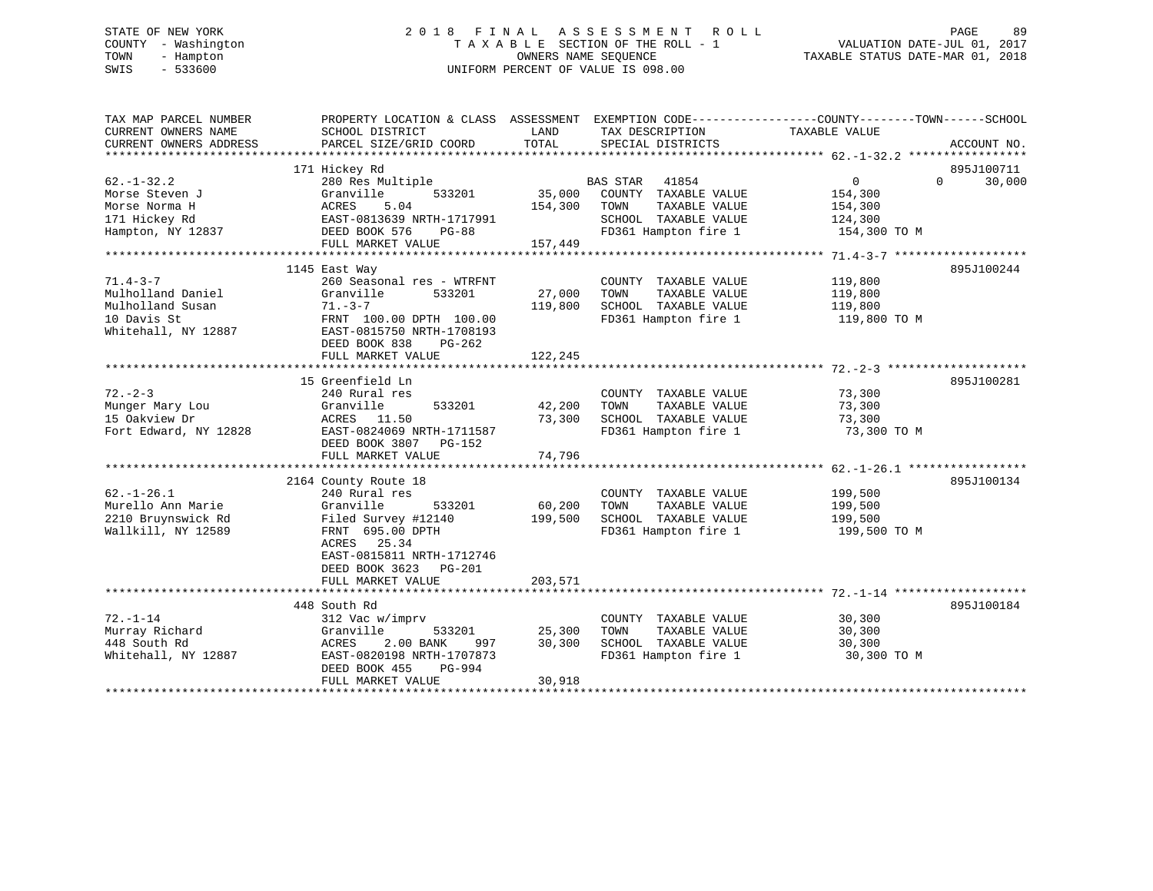# STATE OF NEW YORK 2 0 1 8 F I N A L A S S E S S M E N T R O L L PAGE 89 COUNTY - Washington T A X A B L E SECTION OF THE ROLL - 1 VALUATION DATE-JUL 01, 2017 TOWN - Hampton OWNERS NAME SEQUENCE TAXABLE STATUS DATE-MAR 01, 2018 SWIS - 533600 UNIFORM PERCENT OF VALUE IS 098.00

| TAX MAP PARCEL NUMBER<br>CURRENT OWNERS NAME | PROPERTY LOCATION & CLASS ASSESSMENT EXEMPTION CODE---------------COUNTY-------TOWN-----SCHOOL<br>SCHOOL DISTRICT | LAND    | TAX DESCRIPTION          | TAXABLE VALUE              |             |
|----------------------------------------------|-------------------------------------------------------------------------------------------------------------------|---------|--------------------------|----------------------------|-------------|
| CURRENT OWNERS ADDRESS                       | PARCEL SIZE/GRID COORD                                                                                            | TOTAL   | SPECIAL DISTRICTS        |                            | ACCOUNT NO. |
|                                              |                                                                                                                   |         |                          |                            |             |
|                                              | 171 Hickey Rd                                                                                                     |         |                          |                            | 895J100711  |
| $62. - 1 - 32.2$                             | 280 Res Multiple                                                                                                  |         | <b>BAS STAR</b><br>41854 | $\overline{0}$<br>$\Omega$ | 30,000      |
| Morse Steven J                               | Granville<br>533201                                                                                               | 35,000  | COUNTY TAXABLE VALUE     | 154,300                    |             |
| Morse Norma H                                | ACRES<br>5.04                                                                                                     | 154,300 | TAXABLE VALUE<br>TOWN    | 154,300                    |             |
| 171 Hickey Rd                                | EAST-0813639 NRTH-1717991                                                                                         |         | SCHOOL TAXABLE VALUE     | 124,300                    |             |
| Hampton, NY 12837                            | DEED BOOK 576<br>PG-88                                                                                            |         | FD361 Hampton fire 1     | 154,300 TO M               |             |
|                                              | FULL MARKET VALUE                                                                                                 | 157,449 |                          |                            |             |
|                                              |                                                                                                                   |         |                          |                            |             |
|                                              | 1145 East Way                                                                                                     |         |                          |                            | 895J100244  |
| $71.4 - 3 - 7$                               | 260 Seasonal res - WTRFNT                                                                                         |         | COUNTY TAXABLE VALUE     | 119,800                    |             |
| Mulholland Daniel                            | 533201<br>Granville                                                                                               | 27,000  | TAXABLE VALUE<br>TOWN    | 119,800                    |             |
| Mulholland Susan                             | $71. - 3 - 7$                                                                                                     | 119,800 | SCHOOL TAXABLE VALUE     | 119,800                    |             |
| 10 Davis St<br>Whitehall, NY 12887           | FRNT 100.00 DPTH 100.00<br>EAST-0815750 NRTH-1708193                                                              |         | FD361 Hampton fire 1     | 119,800 TO M               |             |
|                                              | DEED BOOK 838<br>PG-262                                                                                           |         |                          |                            |             |
|                                              | FULL MARKET VALUE                                                                                                 | 122,245 |                          |                            |             |
|                                              |                                                                                                                   |         |                          |                            |             |
|                                              | 15 Greenfield Ln                                                                                                  |         |                          |                            | 895J100281  |
| $72 - 2 - 3$                                 | 240 Rural res                                                                                                     |         | COUNTY TAXABLE VALUE     | 73,300                     |             |
| Munger Mary Lou                              | 533201<br>Granville                                                                                               | 42,200  | TOWN<br>TAXABLE VALUE    | 73,300                     |             |
| 15 Oakview Dr                                | ACRES 11.50                                                                                                       | 73,300  | SCHOOL TAXABLE VALUE     | 73,300                     |             |
| Fort Edward, NY 12828                        | EAST-0824069 NRTH-1711587<br>DEED BOOK 3807<br>PG-152                                                             |         | FD361 Hampton fire 1     | 73,300 TO M                |             |
|                                              | FULL MARKET VALUE                                                                                                 | 74,796  |                          |                            |             |
|                                              |                                                                                                                   |         |                          |                            |             |
|                                              | 2164 County Route 18                                                                                              |         |                          |                            | 895J100134  |
| $62. - 1 - 26.1$                             | 240 Rural res                                                                                                     |         | COUNTY TAXABLE VALUE     | 199,500                    |             |
| Murello Ann Marie                            | Granville<br>533201                                                                                               | 60,200  | TOWN<br>TAXABLE VALUE    | 199,500                    |             |
| 2210 Bruynswick Rd                           | Filed Survey #12140                                                                                               | 199,500 | SCHOOL TAXABLE VALUE     | 199,500                    |             |
| Wallkill, NY 12589                           | FRNT 695.00 DPTH<br>ACRES 25.34<br>EAST-0815811 NRTH-1712746                                                      |         | FD361 Hampton fire 1     | 199,500 TO M               |             |
|                                              | DEED BOOK 3623 PG-201                                                                                             |         |                          |                            |             |
|                                              | FULL MARKET VALUE                                                                                                 | 203,571 |                          |                            |             |
|                                              |                                                                                                                   |         |                          |                            |             |
|                                              | 448 South Rd                                                                                                      |         |                          |                            | 895J100184  |
| $72. - 1 - 14$                               | 312 Vac w/imprv                                                                                                   |         | COUNTY TAXABLE VALUE     | 30,300                     |             |
| Murray Richard                               | 533201<br>Granville                                                                                               | 25,300  | TOWN<br>TAXABLE VALUE    | 30,300                     |             |
| 448 South Rd                                 | 2.00 BANK<br>ACRES<br>997                                                                                         | 30,300  | SCHOOL TAXABLE VALUE     | 30,300                     |             |
| Whitehall, NY 12887                          | EAST-0820198 NRTH-1707873<br>DEED BOOK 455<br>PG-994                                                              |         | FD361 Hampton fire 1     | 30,300 TO M                |             |
|                                              | FULL MARKET VALUE                                                                                                 | 30,918  |                          |                            |             |
|                                              |                                                                                                                   |         |                          |                            |             |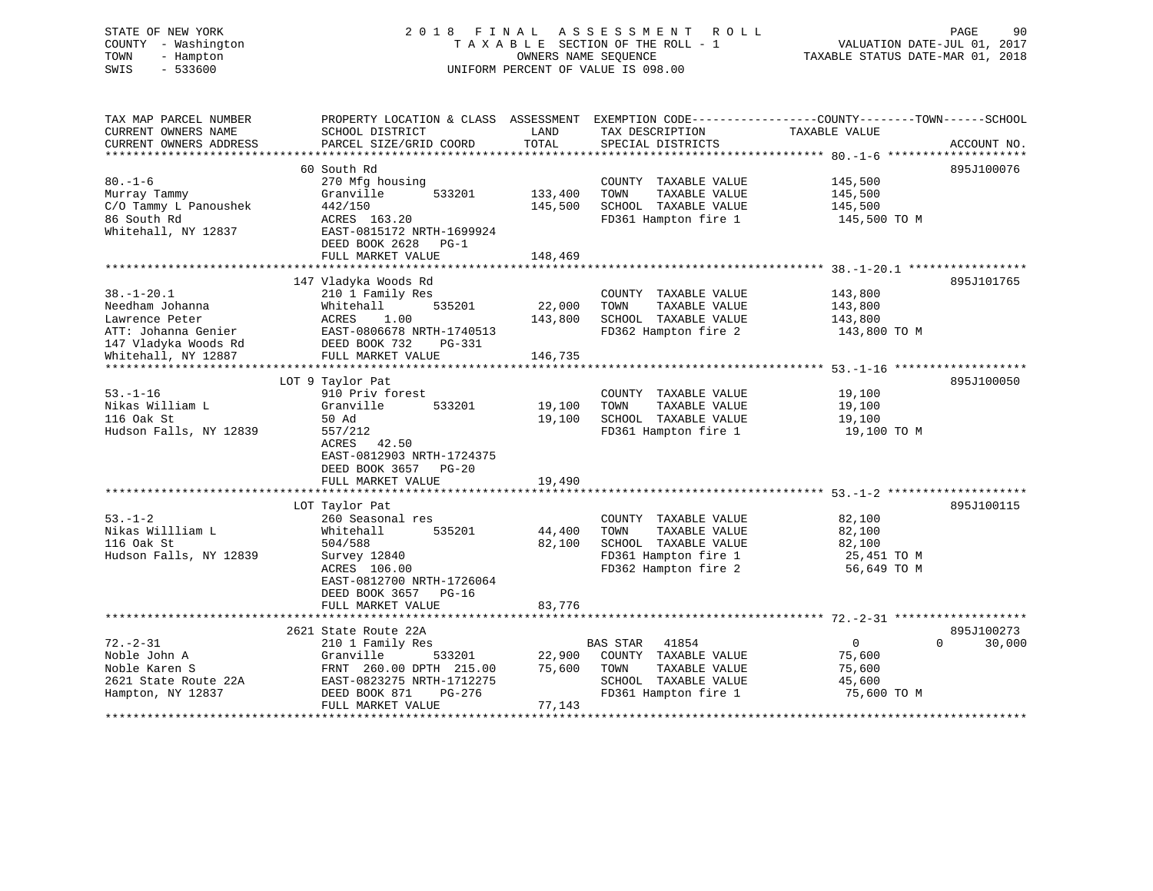STATE OF NEW YORK 2018 FINAL ASSESSMENT ROLL PAGE 90 COUNTY - Washington  $\begin{array}{ccc} 1 & 0 & 0 \\ -1 & 0 & 0 \end{array}$  T A X A B L E SECTION OF THE ROLL - 1 OWNERS NAME SEQUENCE TOWN - Hampton OWNERS NAME SEQUENCE TAXABLE STATUS DATE-MAR 01, 2018 SWIS - 533600 UNIFORM PERCENT OF VALUE IS 098.00

| TAX MAP PARCEL NUMBER<br>CURRENT OWNERS NAME                          | PROPERTY LOCATION & CLASS ASSESSMENT<br>SCHOOL DISTRICT                          | LAND               | TAX DESCRIPTION                                                                               | EXEMPTION CODE-----------------COUNTY-------TOWN------SCHOOL<br>TAXABLE VALUE |
|-----------------------------------------------------------------------|----------------------------------------------------------------------------------|--------------------|-----------------------------------------------------------------------------------------------|-------------------------------------------------------------------------------|
| CURRENT OWNERS ADDRESS                                                | PARCEL SIZE/GRID COORD                                                           | TOTAL              | SPECIAL DISTRICTS                                                                             | ACCOUNT NO.                                                                   |
|                                                                       | 60 South Rd                                                                      |                    |                                                                                               | 895J100076                                                                    |
| $80. - 1 - 6$<br>Murray Tammy<br>C/O Tammy L Panoushek<br>86 South Rd | 270 Mfg housing<br>Granville<br>533201<br>442/150<br>ACRES 163.20                | 133,400<br>145,500 | COUNTY TAXABLE VALUE<br>TOWN<br>TAXABLE VALUE<br>SCHOOL TAXABLE VALUE<br>FD361 Hampton fire 1 | 145,500<br>145,500<br>145,500<br>145,500 TO M                                 |
| Whitehall, NY 12837                                                   | EAST-0815172 NRTH-1699924<br>DEED BOOK 2628<br>$PG-1$<br>FULL MARKET VALUE       | 148,469            |                                                                                               |                                                                               |
|                                                                       |                                                                                  |                    |                                                                                               |                                                                               |
|                                                                       | 147 Vladyka Woods Rd                                                             |                    |                                                                                               | 895J101765                                                                    |
| $38. - 1 - 20.1$                                                      | 210 1 Family Res                                                                 |                    | COUNTY TAXABLE VALUE                                                                          | 143,800                                                                       |
| Needham Johanna                                                       | 535201<br>Whitehall                                                              | 22,000             | TOWN<br>TAXABLE VALUE                                                                         | 143,800                                                                       |
| Lawrence Peter                                                        | ACRES<br>1.00                                                                    | 143,800            | SCHOOL TAXABLE VALUE                                                                          | 143,800                                                                       |
| ATT: Johanna Genier<br>147 Vladyka Woods Rd<br>Whitehall, NY 12887    | EAST-0806678 NRTH-1740513<br>DEED BOOK 732<br><b>PG-331</b><br>FULL MARKET VALUE | 146,735            | FD362 Hampton fire 2                                                                          | 143,800 TO M                                                                  |
|                                                                       |                                                                                  |                    |                                                                                               |                                                                               |
|                                                                       | LOT 9 Taylor Pat                                                                 |                    |                                                                                               | 895J100050                                                                    |
| $53. - 1 - 16$                                                        | 910 Priv forest                                                                  |                    | COUNTY TAXABLE VALUE                                                                          | 19,100                                                                        |
| Nikas William L                                                       | Granville<br>533201                                                              | 19,100             | TOWN<br>TAXABLE VALUE                                                                         | 19,100                                                                        |
| 116 Oak St                                                            | 50 Ad                                                                            | 19,100             | SCHOOL TAXABLE VALUE                                                                          | 19,100                                                                        |
| Hudson Falls, NY 12839                                                | 557/212<br>ACRES 42.50<br>EAST-0812903 NRTH-1724375<br>DEED BOOK 3657<br>$PG-20$ |                    | FD361 Hampton fire 1                                                                          | 19,100 TO M                                                                   |
|                                                                       | FULL MARKET VALUE                                                                | 19,490             |                                                                                               |                                                                               |
|                                                                       |                                                                                  |                    |                                                                                               |                                                                               |
|                                                                       | LOT Taylor Pat                                                                   |                    |                                                                                               | 895J100115                                                                    |
| $53. - 1 - 2$<br>Nikas Willliam L                                     | 260 Seasonal res<br>535201<br>Whitehall                                          | 44,400             | COUNTY TAXABLE VALUE<br>TOWN                                                                  | 82,100<br>82,100                                                              |
| 116 Oak St                                                            | 504/588                                                                          | 82,100             | TAXABLE VALUE<br>SCHOOL TAXABLE VALUE                                                         | 82,100                                                                        |
| Hudson Falls, NY 12839                                                | Survey 12840                                                                     |                    | FD361 Hampton fire 1                                                                          | 25,451 TO M                                                                   |
|                                                                       | ACRES 106.00<br>EAST-0812700 NRTH-1726064<br>DEED BOOK 3657<br>$PG-16$           |                    | FD362 Hampton fire 2                                                                          | 56,649 TO M                                                                   |
|                                                                       | FULL MARKET VALUE                                                                | 83,776             |                                                                                               |                                                                               |
|                                                                       | 2621 State Route 22A                                                             |                    |                                                                                               | 895J100273                                                                    |
| $72. - 2 - 31$                                                        | 210 1 Family Res                                                                 |                    | 41854<br><b>BAS STAR</b>                                                                      | 30,000<br>$\mathbf{0}$<br>$\Omega$                                            |
| Noble John A                                                          | Granville<br>533201                                                              | 22,900             | COUNTY TAXABLE VALUE                                                                          | 75,600                                                                        |
| Noble Karen S                                                         | FRNT 260.00 DPTH 215.00                                                          | 75,600             | TOWN<br>TAXABLE VALUE                                                                         | 75,600                                                                        |
| 2621 State Route 22A                                                  | EAST-0823275 NRTH-1712275                                                        |                    | SCHOOL TAXABLE VALUE                                                                          | 45,600                                                                        |
| Hampton, NY 12837                                                     | DEED BOOK 871<br>PG-276<br>FULL MARKET VALUE                                     | 77,143             | FD361 Hampton fire 1                                                                          | 75,600 TO M                                                                   |
|                                                                       |                                                                                  |                    |                                                                                               |                                                                               |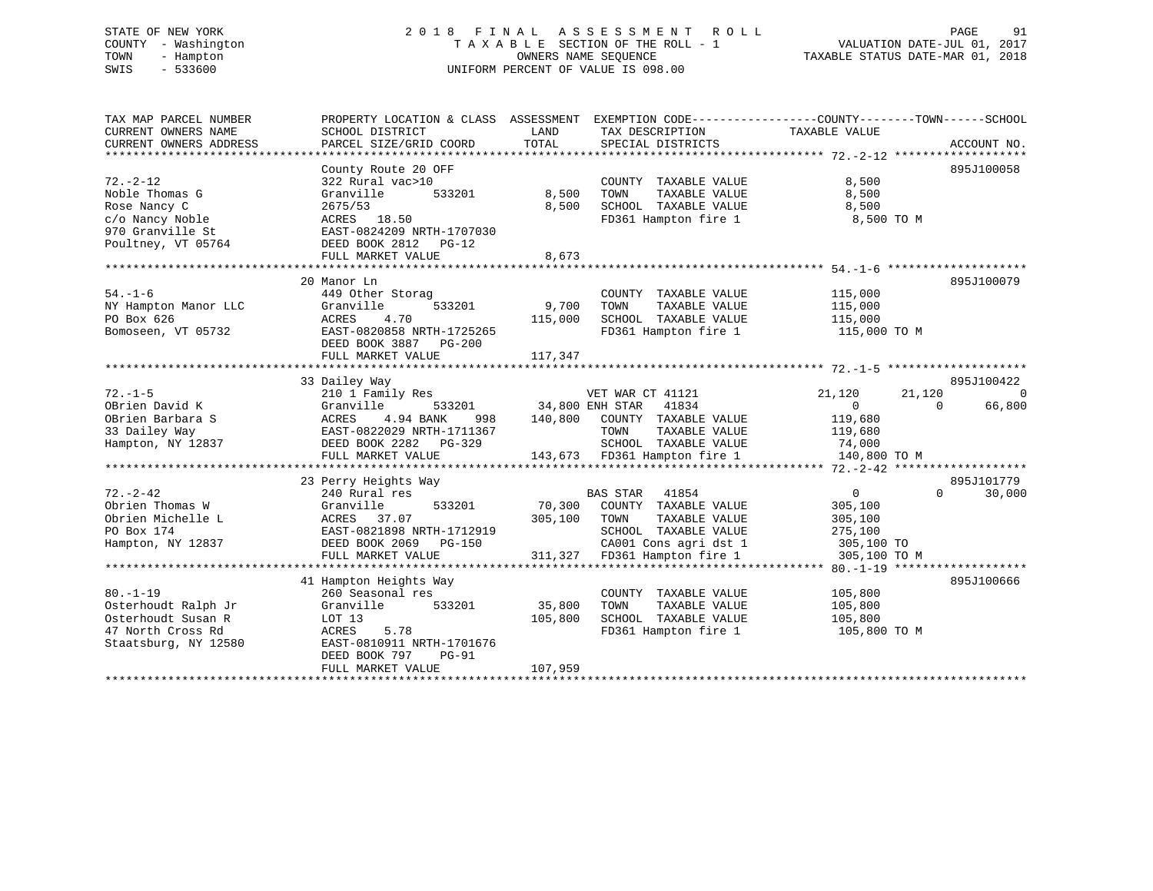# STATE OF NEW YORK 2 0 1 8 F I N A L A S S E S S M E N T R O L L PAGE 91 COUNTY - Washington T A X A B L E SECTION OF THE ROLL - 1 VALUATION DATE-JUL 01, 2017 TOWN - Hampton OWNERS NAME SEQUENCE TAXABLE STATUS DATE-MAR 01, 2018 SWIS - 533600 UNIFORM PERCENT OF VALUE IS 098.00

| TAX MAP PARCEL NUMBER  | PROPERTY LOCATION & CLASS ASSESSMENT EXEMPTION CODE---------------COUNTY-------TOWN-----SCHOOL |                        |                                              |                    |                          |
|------------------------|------------------------------------------------------------------------------------------------|------------------------|----------------------------------------------|--------------------|--------------------------|
| CURRENT OWNERS NAME    | SCHOOL DISTRICT                                                                                | LAND                   | TAX DESCRIPTION                              | TAXABLE VALUE      |                          |
| CURRENT OWNERS ADDRESS | PARCEL SIZE/GRID COORD                                                                         | TOTAL                  | SPECIAL DISTRICTS                            |                    | ACCOUNT NO.              |
|                        |                                                                                                |                        |                                              |                    |                          |
|                        | County Route 20 OFF                                                                            |                        |                                              |                    | 895J100058               |
| $72. - 2 - 12$         | 322 Rural vac>10                                                                               |                        | COUNTY TAXABLE VALUE                         | 8,500              |                          |
| Noble Thomas G         | Granville<br>533201                                                                            | 8,500                  | TOWN<br>TAXABLE VALUE                        | 8,500              |                          |
| Rose Nancy C           | 2675/53                                                                                        | 8,500                  | SCHOOL TAXABLE VALUE                         | 8,500              |                          |
| c/o Nancy Noble        | ACRES 18.50                                                                                    |                        | FD361 Hampton fire 1                         | 8,500 TO M         |                          |
| 970 Granville St       | EAST-0824209 NRTH-1707030                                                                      |                        |                                              |                    |                          |
| Poultney, VT 05764     | DEED BOOK 2812 PG-12                                                                           |                        |                                              |                    |                          |
|                        | FULL MARKET VALUE                                                                              | 8,673                  |                                              |                    |                          |
|                        |                                                                                                |                        |                                              |                    |                          |
|                        | 20 Manor Ln                                                                                    |                        |                                              |                    | 895J100079               |
| $54. - 1 - 6$          | 449 Other Storag                                                                               |                        | COUNTY TAXABLE VALUE                         | 115,000            |                          |
| NY Hampton Manor LLC   | 533201<br>Granville                                                                            | 9,700                  | TOWN<br>TAXABLE VALUE                        | 115,000            |                          |
| PO Box 626             | ACRES<br>4.70                                                                                  | 115,000                | SCHOOL TAXABLE VALUE                         | 115,000            |                          |
| Bomoseen, VT 05732     | EAST-0820858 NRTH-1725265                                                                      |                        | FD361 Hampton fire 1                         | 115,000 TO M       |                          |
|                        | DEED BOOK 3887 PG-200                                                                          |                        |                                              |                    |                          |
|                        | FULL MARKET VALUE                                                                              | 117,347                |                                              |                    |                          |
|                        |                                                                                                |                        |                                              |                    |                          |
|                        | 33 Dailey Way                                                                                  |                        |                                              |                    | 895J100422               |
| $72. - 1 - 5$          | 210 1 Family Res                                                                               |                        | VET WAR CT 41121                             | 21,120             | $\overline{0}$<br>21,120 |
| OBrien David K         | Granville                                                                                      | 533201 34,800 ENH STAR | 41834                                        | $\overline{0}$     | $\Omega$<br>66,800       |
| OBrien Barbara S       | 4.94 BANK<br>ACRES                                                                             |                        | 998 140,800 COUNTY TAXABLE VALUE             | 119,680            |                          |
| 33 Dailey Way          | EAST-0822029 NRTH-1711367                                                                      |                        | TOWN<br>TAXABLE VALUE                        | 119,680            |                          |
| Hampton, NY 12837      | DEED BOOK 2282 PG-329                                                                          |                        | SCHOOL TAXABLE VALUE 74,000                  |                    |                          |
|                        | FULL MARKET VALUE                                                                              |                        | 143,673 FD361 Hampton fire 1                 | 140,800 TO M       |                          |
|                        |                                                                                                |                        |                                              |                    |                          |
|                        | 23 Perry Heights Way                                                                           |                        |                                              |                    | 895J101779               |
| $72. - 2 - 42$         | 240 Rural res                                                                                  |                        | BAS STAR 41854                               | $\overline{0}$     | 30,000<br>$\Omega$       |
| Obrien Thomas W        | 533201                                                                                         |                        |                                              |                    |                          |
| Obrien Michelle L      | Granville<br>ACRES 37.07                                                                       | 305,100 TOWN           | 70,300 COUNTY TAXABLE VALUE<br>TAXABLE VALUE | 305,100<br>305,100 |                          |
|                        |                                                                                                |                        | SCHOOL TAXABLE VALUE                         |                    |                          |
| PO Box 174             | EAST-0821898 NRTH-1712919                                                                      |                        | CA001 Cons agri dst 1 305,100 TO             | 275,100            |                          |
| Hampton, NY 12837      | DEED BOOK 2069 PG-150                                                                          |                        |                                              |                    |                          |
|                        | FULL MARKET VALUE                                                                              |                        | 311,327 FD361 Hampton fire 1                 | 305,100 TO M       |                          |
|                        |                                                                                                |                        |                                              |                    |                          |
|                        | 41 Hampton Heights Way                                                                         |                        |                                              |                    | 895J100666               |
| $80. - 1 - 19$         | 260 Seasonal res                                                                               |                        | COUNTY TAXABLE VALUE                         | 105,800            |                          |
| Osterhoudt Ralph Jr    | Granville<br>533201                                                                            | 35,800                 | TOWN<br>TAXABLE VALUE                        | 105,800            |                          |
| Osterhoudt Susan R     | LOT 13                                                                                         | 105,800                | SCHOOL TAXABLE VALUE                         | 105,800            |                          |
| 47 North Cross Rd      | ACRES<br>5.78                                                                                  |                        | FD361 Hampton fire 1                         | 105,800 TO M       |                          |
| Staatsburg, NY 12580   | EAST-0810911 NRTH-1701676                                                                      |                        |                                              |                    |                          |
|                        | DEED BOOK 797<br>$PG-91$                                                                       |                        |                                              |                    |                          |
|                        | FULL MARKET VALUE                                                                              | 107,959                |                                              |                    |                          |
|                        |                                                                                                |                        |                                              |                    |                          |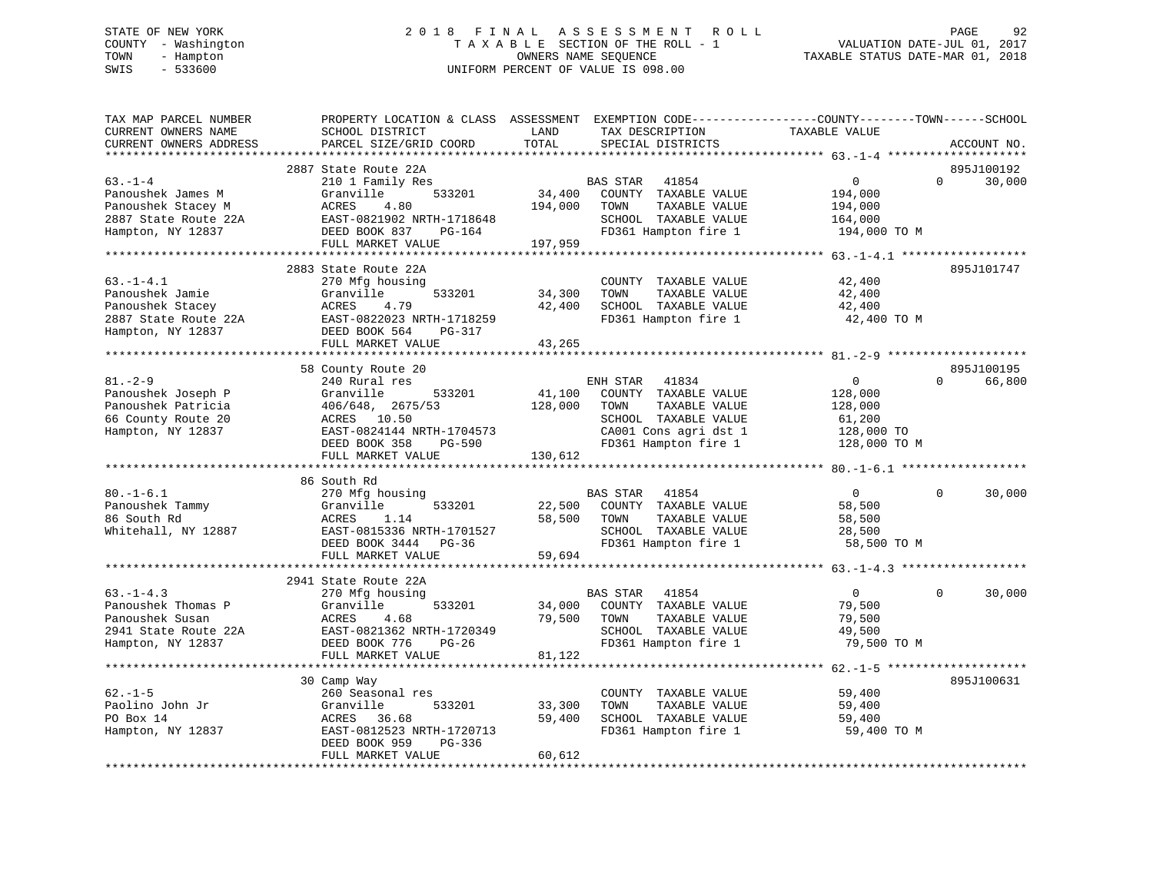# STATE OF NEW YORK 2 0 1 8 F I N A L A S S E S S M E N T R O L L PAGE 92 COUNTY - Washington T A X A B L E SECTION OF THE ROLL - 1 VALUATION DATE-JUL 01, 2017 TOWN - Hampton OWNERS NAME SEQUENCE TAXABLE STATUS DATE-MAR 01, 2018 SWIS - 533600 UNIFORM PERCENT OF VALUE IS 098.00

| TAX MAP PARCEL NUMBER<br>CURRENT OWNERS NAME<br>CURRENT OWNERS ADDRESS                                | PROPERTY LOCATION & CLASS ASSESSMENT<br>SCHOOL DISTRICT<br>PARCEL SIZE/GRID COORD                                                                             | LAND<br>TOTAL                | TAX DESCRIPTION<br>SPECIAL DISTRICTS                                                                                      | EXEMPTION CODE-----------------COUNTY-------TOWN------SCHOOL<br>TAXABLE VALUE | ACCOUNT NO.                         |
|-------------------------------------------------------------------------------------------------------|---------------------------------------------------------------------------------------------------------------------------------------------------------------|------------------------------|---------------------------------------------------------------------------------------------------------------------------|-------------------------------------------------------------------------------|-------------------------------------|
| *************************                                                                             |                                                                                                                                                               |                              |                                                                                                                           |                                                                               |                                     |
| $63. -1 - 4$<br>Panoushek James M<br>Panoushek Stacey M<br>2887 State Route 22A<br>Hampton, NY 12837  | 2887 State Route 22A<br>210 1 Family Res<br>Granville<br>533201<br>ACRES<br>4.80<br>EAST-0821902 NRTH-1718648<br>DEED BOOK 837<br>PG-164<br>FULL MARKET VALUE | 34,400<br>194,000<br>197,959 | BAS STAR<br>41854<br>COUNTY TAXABLE VALUE<br>TAXABLE VALUE<br>TOWN<br>SCHOOL TAXABLE VALUE<br>FD361 Hampton fire 1        | $\mathbf 0$<br>194,000<br>194,000<br>164,000<br>194,000 TO M                  | 895J100192<br>$\mathbf 0$<br>30,000 |
|                                                                                                       |                                                                                                                                                               |                              |                                                                                                                           |                                                                               |                                     |
| $63. -1 - 4.1$<br>Panoushek Jamie<br>Panoushek Stacey<br>2887 State Route 22A<br>Hampton, NY 12837    | 2883 State Route 22A<br>270 Mfg housing<br>Granville<br>533201<br>ACRES<br>4.79<br>EAST-0822023 NRTH-1718259<br>DEED BOOK 564<br>PG-317<br>FULL MARKET VALUE  | 34,300<br>42,400<br>43,265   | COUNTY TAXABLE VALUE<br>TOWN<br>TAXABLE VALUE<br>SCHOOL TAXABLE VALUE<br>FD361 Hampton fire 1                             | 42,400<br>42,400<br>42,400<br>42,400 TO M                                     | 895J101747                          |
|                                                                                                       |                                                                                                                                                               |                              |                                                                                                                           |                                                                               |                                     |
|                                                                                                       | 58 County Route 20                                                                                                                                            |                              |                                                                                                                           |                                                                               | 895J100195                          |
| $81. - 2 - 9$                                                                                         | 240 Rural res                                                                                                                                                 |                              | ENH STAR<br>41834                                                                                                         | $\mathbf 0$                                                                   | $\Omega$<br>66,800                  |
| Panoushek Joseph P<br>Panoushek Patricia<br>66 County Route 20<br>Hampton, NY 12837                   | Granville<br>533201<br>406/648, 2675/53<br>ACRES 10.50<br>EAST-0824144 NRTH-1704573<br>DEED BOOK 358<br><b>PG-590</b>                                         | 41,100<br>128,000            | COUNTY TAXABLE VALUE<br>TAXABLE VALUE<br>TOWN<br>SCHOOL TAXABLE VALUE<br>CA001 Cons agri dst 1<br>FD361 Hampton fire 1    | 128,000<br>128,000<br>61,200<br>128,000 TO<br>128,000 TO M                    |                                     |
|                                                                                                       | FULL MARKET VALUE                                                                                                                                             | 130,612                      |                                                                                                                           |                                                                               |                                     |
|                                                                                                       |                                                                                                                                                               |                              |                                                                                                                           |                                                                               |                                     |
|                                                                                                       | 86 South Rd                                                                                                                                                   |                              |                                                                                                                           |                                                                               |                                     |
| $80. - 1 - 6.1$<br>Panoushek Tammy<br>86 South Rd<br>Whitehall, NY 12887                              | 270 Mfg housing<br>Granville<br>533201<br>ACRES<br>1.14<br>EAST-0815336 NRTH-1701527<br>DEED BOOK 3444<br>$PG-36$<br>FULL MARKET VALUE                        | 22,500<br>58,500<br>59,694   | <b>BAS STAR</b><br>41854<br>COUNTY TAXABLE VALUE<br>TAXABLE VALUE<br>TOWN<br>SCHOOL TAXABLE VALUE<br>FD361 Hampton fire 1 | $\mathbf{0}$<br>58,500<br>58,500<br>28,500<br>58,500 TO M                     | $\Omega$<br>30,000                  |
|                                                                                                       |                                                                                                                                                               |                              |                                                                                                                           |                                                                               |                                     |
| $63. - 1 - 4.3$<br>Panoushek Thomas P<br>Panoushek Susan<br>2941 State Route 22A<br>Hampton, NY 12837 | 2941 State Route 22A<br>270 Mfg housing<br>Granville<br>533201<br>ACRES<br>4.68<br>EAST-0821362 NRTH-1720349<br>DEED BOOK 776<br>$PG-26$                      | 34,000<br>79,500             | BAS STAR<br>41854<br>COUNTY TAXABLE VALUE<br>TOWN<br>TAXABLE VALUE<br>SCHOOL TAXABLE VALUE<br>FD361 Hampton fire 1        | $\overline{0}$<br>79,500<br>79,500<br>49,500<br>79,500 TO M                   | $\Omega$<br>30,000                  |
|                                                                                                       | FULL MARKET VALUE                                                                                                                                             | 81,122                       |                                                                                                                           |                                                                               |                                     |
|                                                                                                       |                                                                                                                                                               |                              |                                                                                                                           |                                                                               |                                     |
|                                                                                                       | 30 Camp Way                                                                                                                                                   |                              |                                                                                                                           |                                                                               | 895J100631                          |
| $62. -1 - 5$<br>Paolino John Jr<br>PO Box 14<br>Hampton, NY 12837                                     | 260 Seasonal res<br>Granville<br>533201<br>ACRES<br>36.68<br>EAST-0812523 NRTH-1720713<br>DEED BOOK 959<br>$PG-336$                                           | 33,300<br>59,400             | COUNTY TAXABLE VALUE<br>TOWN<br>TAXABLE VALUE<br>SCHOOL TAXABLE VALUE<br>FD361 Hampton fire 1                             | 59,400<br>59,400<br>59,400<br>59,400 TO M                                     |                                     |
|                                                                                                       | FULL MARKET VALUE                                                                                                                                             | 60,612                       |                                                                                                                           |                                                                               |                                     |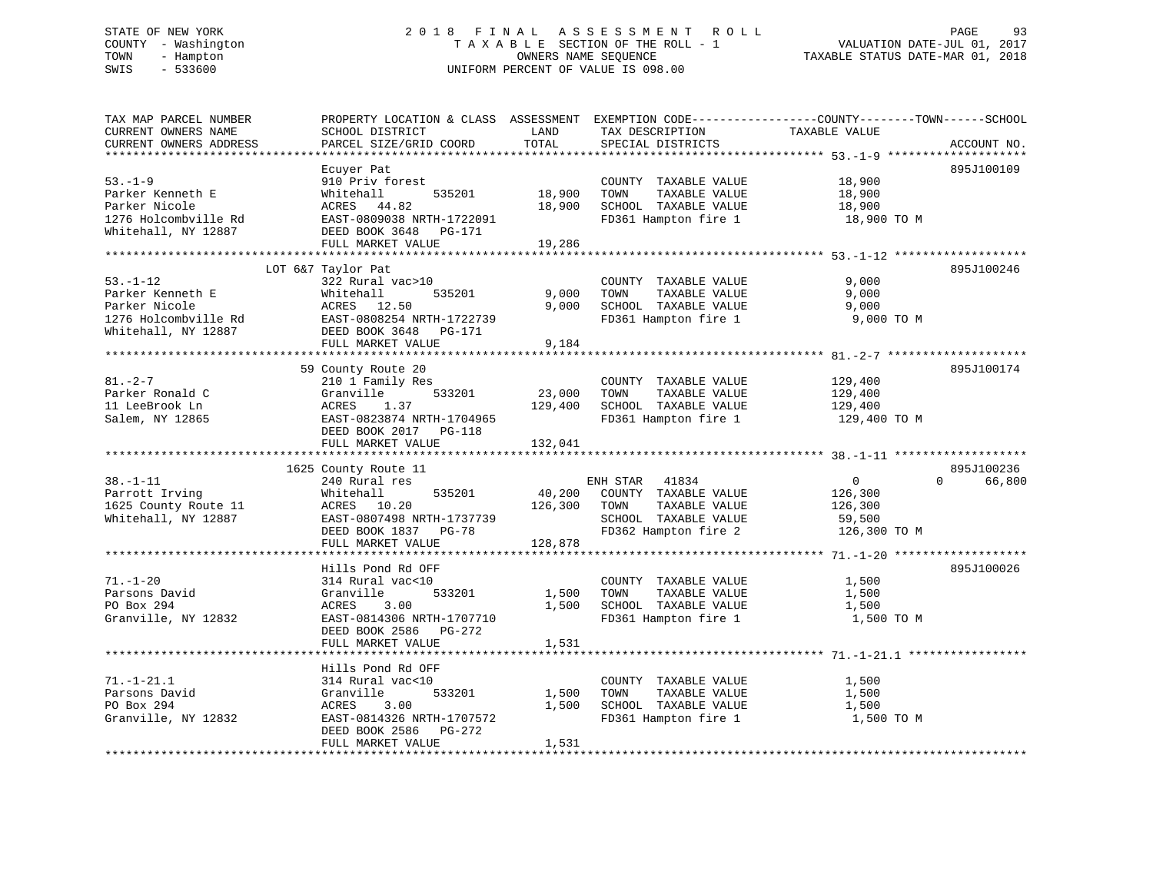# STATE OF NEW YORK 2 0 1 8 F I N A L A S S E S S M E N T R O L L PAGE 93 COUNTY - Washington T A X A B L E SECTION OF THE ROLL - 1 VALUATION DATE-JUL 01, 2017 TOWN - Hampton OWNERS NAME SEQUENCE TAXABLE STATUS DATE-MAR 01, 2018 SWIS - 533600 UNIFORM PERCENT OF VALUE IS 098.00

| TAX MAP PARCEL NUMBER                            | PROPERTY LOCATION & CLASS ASSESSMENT EXEMPTION CODE----------------COUNTY-------TOWN------SCHOOL |         |                       |                |                    |
|--------------------------------------------------|--------------------------------------------------------------------------------------------------|---------|-----------------------|----------------|--------------------|
| CURRENT OWNERS NAME                              | SCHOOL DISTRICT                                                                                  | LAND    | TAX DESCRIPTION       | TAXABLE VALUE  |                    |
| CURRENT OWNERS ADDRESS<br>********************** | PARCEL SIZE/GRID COORD                                                                           | TOTAL   | SPECIAL DISTRICTS     |                | ACCOUNT NO.        |
|                                                  |                                                                                                  |         |                       |                |                    |
|                                                  | Ecuyer Pat                                                                                       |         |                       |                | 895J100109         |
| $53. - 1 - 9$                                    | 910 Priv forest                                                                                  |         | COUNTY TAXABLE VALUE  | 18,900         |                    |
| Parker Kenneth E                                 | 535201<br>Whitehall                                                                              | 18,900  | TAXABLE VALUE<br>TOWN | 18,900         |                    |
| Parker Nicole                                    | ACRES 44.82                                                                                      | 18,900  | SCHOOL TAXABLE VALUE  | 18,900         |                    |
| 1276 Holcombville Rd                             | EAST-0809038 NRTH-1722091                                                                        |         | FD361 Hampton fire 1  | 18,900 TO M    |                    |
| Whitehall, NY 12887                              | DEED BOOK 3648 PG-171                                                                            |         |                       |                |                    |
|                                                  | FULL MARKET VALUE                                                                                | 19,286  |                       |                |                    |
|                                                  |                                                                                                  |         |                       |                |                    |
|                                                  | LOT 6&7 Taylor Pat                                                                               |         |                       |                | 895J100246         |
| $53. - 1 - 12$                                   | 322 Rural vac>10                                                                                 |         | COUNTY TAXABLE VALUE  | 9,000          |                    |
| Parker Kenneth E                                 | 535201<br>Whitehall                                                                              | 9,000   | TAXABLE VALUE<br>TOWN | 9,000          |                    |
| Parker Nicole                                    | ACRES 12.50                                                                                      | 9,000   | SCHOOL TAXABLE VALUE  | 9,000          |                    |
| 1276 Holcombville Rd                             | EAST-0808254 NRTH-1722739                                                                        |         | FD361 Hampton fire 1  | 9,000 TO M     |                    |
| Whitehall, NY 12887                              | DEED BOOK 3648 PG-171                                                                            |         |                       |                |                    |
|                                                  | FULL MARKET VALUE                                                                                | 9,184   |                       |                |                    |
|                                                  |                                                                                                  |         |                       |                |                    |
|                                                  | 59 County Route 20                                                                               |         |                       |                | 895J100174         |
| $81. - 2 - 7$                                    | 210 1 Family Res                                                                                 |         | COUNTY TAXABLE VALUE  | 129,400        |                    |
| Parker Ronald C                                  | 533201<br>Granville                                                                              | 23,000  | TAXABLE VALUE<br>TOWN | 129,400        |                    |
| 11 LeeBrook Ln                                   | ACRES<br>1.37                                                                                    | 129,400 | SCHOOL TAXABLE VALUE  | 129,400        |                    |
| Salem, NY 12865                                  | EAST-0823874 NRTH-1704965                                                                        |         | FD361 Hampton fire 1  | 129,400 TO M   |                    |
|                                                  | DEED BOOK 2017 PG-118                                                                            |         |                       |                |                    |
|                                                  | FULL MARKET VALUE                                                                                | 132,041 |                       |                |                    |
|                                                  |                                                                                                  |         |                       |                |                    |
|                                                  | 1625 County Route 11                                                                             |         |                       |                | 895J100236         |
| $38. - 1 - 11$                                   | 240 Rural res                                                                                    |         | ENH STAR 41834        | $\overline{0}$ | 66,800<br>$\Omega$ |
| Parrott Irving                                   | 535201<br>Whitehall                                                                              | 40,200  | COUNTY TAXABLE VALUE  | 126,300        |                    |
| 1625 County Route 11                             | 10.20<br>ACRES                                                                                   | 126,300 | TAXABLE VALUE<br>TOWN | 126,300        |                    |
| Whitehall, NY 12887                              | EAST-0807498 NRTH-1737739                                                                        |         | SCHOOL TAXABLE VALUE  | 59,500         |                    |
|                                                  | DEED BOOK 1837 PG-78                                                                             |         | FD362 Hampton fire 2  | 126,300 TO M   |                    |
|                                                  | FULL MARKET VALUE                                                                                | 128,878 |                       |                |                    |
|                                                  |                                                                                                  |         |                       |                |                    |
|                                                  | Hills Pond Rd OFF                                                                                |         |                       |                | 895J100026         |
| $71. - 1 - 20$                                   | 314 Rural vac<10                                                                                 |         | COUNTY TAXABLE VALUE  | 1,500          |                    |
| Parsons David                                    | Granville<br>533201                                                                              | 1,500   | TOWN<br>TAXABLE VALUE | 1,500          |                    |
| PO Box 294                                       | ACRES<br>3.00                                                                                    | 1,500   | SCHOOL TAXABLE VALUE  | 1,500          |                    |
| Granville, NY 12832                              | EAST-0814306 NRTH-1707710                                                                        |         | FD361 Hampton fire 1  | 1,500 TO M     |                    |
|                                                  | DEED BOOK 2586 PG-272                                                                            |         |                       |                |                    |
|                                                  | FULL MARKET VALUE                                                                                | 1,531   |                       |                |                    |
|                                                  |                                                                                                  |         |                       |                |                    |
|                                                  | Hills Pond Rd OFF                                                                                |         |                       |                |                    |
| $71. - 1 - 21.1$                                 | 314 Rural vac<10                                                                                 |         | COUNTY TAXABLE VALUE  | 1,500          |                    |
| Parsons David                                    | Granville<br>533201                                                                              | 1,500   | TOWN<br>TAXABLE VALUE | 1,500          |                    |
| PO Box 294                                       | ACRES<br>3.00                                                                                    | 1,500   | SCHOOL TAXABLE VALUE  | 1,500          |                    |
| Granville, NY 12832                              | EAST-0814326 NRTH-1707572                                                                        |         | FD361 Hampton fire 1  | 1,500 TO M     |                    |
|                                                  | DEED BOOK 2586<br>PG-272                                                                         |         |                       |                |                    |
|                                                  | FULL MARKET VALUE                                                                                | 1,531   |                       |                |                    |
|                                                  |                                                                                                  |         |                       |                |                    |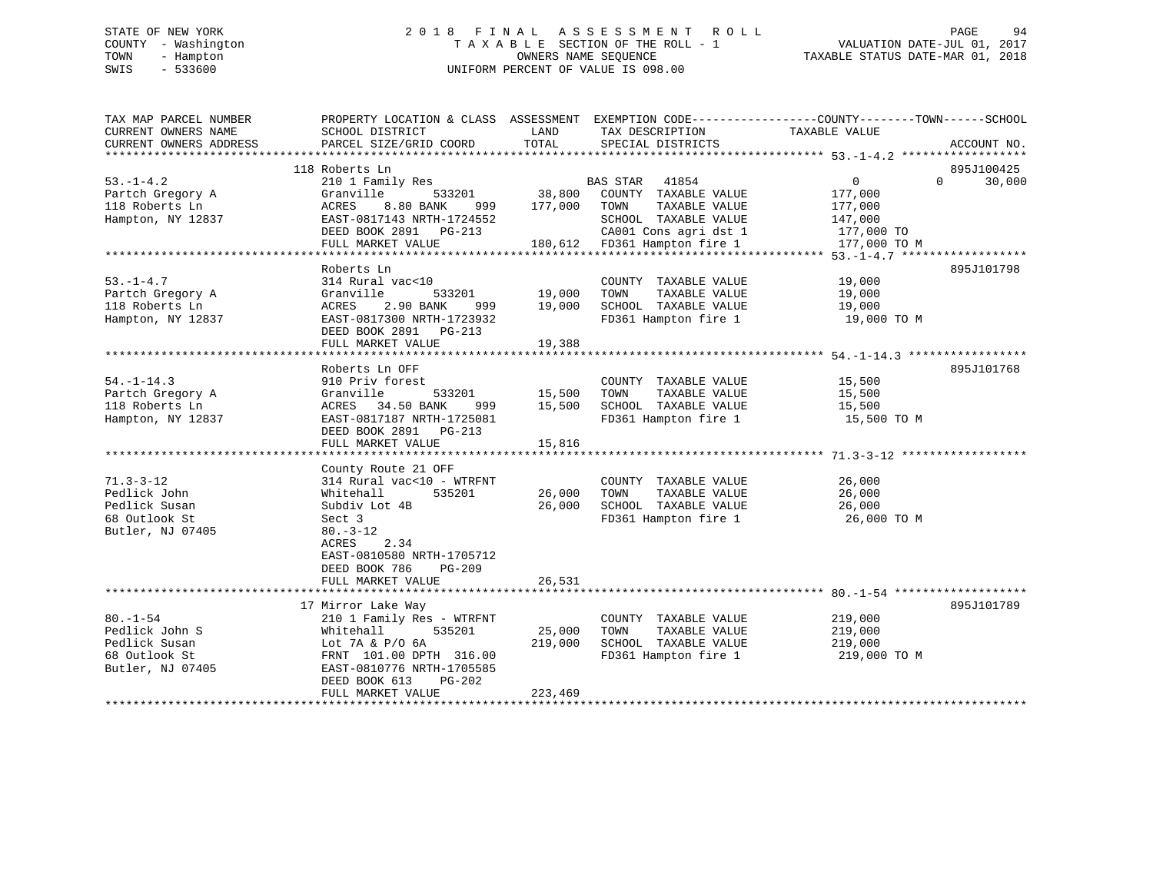# STATE OF NEW YORK 2 0 1 8 F I N A L A S S E S S M E N T R O L L PAGE 94 COUNTY - Washington T A X A B L E SECTION OF THE ROLL - 1 VALUATION DATE-JUL 01, 2017 TOWN - Hampton OWNERS NAME SEQUENCE TAXABLE STATUS DATE-MAR 01, 2018 SWIS - 533600 UNIFORM PERCENT OF VALUE IS 098.00

| TAX MAP PARCEL NUMBER<br>CURRENT OWNERS NAME<br>CURRENT OWNERS ADDRESS                 | PROPERTY LOCATION & CLASS ASSESSMENT EXEMPTION CODE---------------COUNTY-------TOWN------SCHOOL<br>SCHOOL DISTRICT<br>PARCEL SIZE/GRID COORD                                                                      | LAND<br>TOTAL                         | TAX DESCRIPTION<br>SPECIAL DISTRICTS                                                                                                                                           | TAXABLE VALUE                             | ACCOUNT NO.                 |
|----------------------------------------------------------------------------------------|-------------------------------------------------------------------------------------------------------------------------------------------------------------------------------------------------------------------|---------------------------------------|--------------------------------------------------------------------------------------------------------------------------------------------------------------------------------|-------------------------------------------|-----------------------------|
|                                                                                        |                                                                                                                                                                                                                   |                                       |                                                                                                                                                                                |                                           |                             |
| $53. -1 - 4.2$<br>Partch Gregory A<br>118 Roberts Ln<br>Hampton, NY 12837              | 118 Roberts Ln<br>210 1 Family Res<br>Granville<br>ACRES 8.80 BANK 999 177,000 TOWN<br>EAST-0817143 NRTH-1724552<br>DEED BOOK 2891 PG-213<br>FULL MARKET VALUE                                                    | 533201 38,800                         | BAS STAR 41854<br>COUNTY TAXABLE VALUE<br>TAXABLE VALUE<br>SCHOOL TAXABLE VALUE 147,000<br>G-213 CA001 Cons agri dst 1 177,000 TO<br>180,612 FD361 Hampton fire 1 177,000 TO M | $\overline{0}$<br>177,000<br>177,000      | 895J100425<br>$0 \t 30,000$ |
| $53. - 1 - 4.7$<br>Partch Gregory A<br>118 Roberts Ln<br>Hampton, NY 12837             | Roberts Ln<br>314 Rural vac<10<br>Granville<br>2.90 BANK<br>ACRES<br>EAST-0817300 NRTH-1723932<br>DEED BOOK 2891 PG-213<br>FULL MARKET VALUE                                                                      | 533201 19,000<br>999 19,000<br>19,388 | COUNTY TAXABLE VALUE<br>TOWN<br>TAXABLE VALUE<br>SCHOOL TAXABLE VALUE 19,000<br>FD361 Hampton fire 1                                                                           | 19,000<br>19,000<br>19,000 TO M           | 895J101798                  |
| $54. - 1 - 14.3$<br>Partch Gregory A<br>118 Roberts Ln<br>Hampton, NY 12837            | Roberts Ln OFF<br>910 Priv forest<br>Granville<br>ACRES 34.50 BANK<br>999<br>EAST-0817187 NRTH-1725081<br>DEED BOOK 2891 PG-213<br>FULL MARKET VALUE                                                              | 533201 15,500<br>15,500<br>15,816     | COUNTY TAXABLE VALUE<br>TOWN<br>TAXABLE VALUE<br>SCHOOL TAXABLE VALUE<br>FD361 Hampton fire 1 15,500 TO M                                                                      | 15,500<br>15,500<br>15,500                | 895J101768                  |
| $71.3 - 3 - 12$<br>Pedlick John<br>Pedlick Susan<br>68 Outlook St<br>Butler, NJ 07405  | County Route 21 OFF<br>314 Rural vac<10 - WTRFNT<br>535201<br>Whitehall<br>Subdiv Lot 4B<br>Sect 3<br>$80 - 3 - 12$<br>2.34<br>ACRES<br>EAST-0810580 NRTH-1705712<br>DEED BOOK 786<br>PG-209<br>FULL MARKET VALUE | 26,000<br>26,000<br>26,531            | COUNTY TAXABLE VALUE<br>TOWN<br>TAXABLE VALUE<br>SCHOOL TAXABLE VALUE<br>FD361 Hampton fire 1                                                                                  | 26,000<br>26,000<br>26,000<br>26,000 TO M |                             |
| $80. - 1 - 54$<br>Pedlick John S<br>Pedlick Susan<br>68 Outlook St<br>Butler, NJ 07405 | 17 Mirror Lake Way<br>210 1 Family Res - WTRFNT<br>Whitehall 535201<br>Lot 7A & P/O 6A<br>FRNT 101.00 DPTH 316.00<br>EAST-0810776 NPTH 316.00<br>DEED BOOK 613<br>PG-202<br>FULL MARKET VALUE                     | 25,000<br>219,000<br>223,469          | COUNTY TAXABLE VALUE<br>TOWN<br>TAXABLE VALUE<br>SCHOOL TAXABLE VALUE<br>FD361 Hampton fire 1 219,000 TO M                                                                     | 219,000<br>219,000<br>219,000             | 895J101789                  |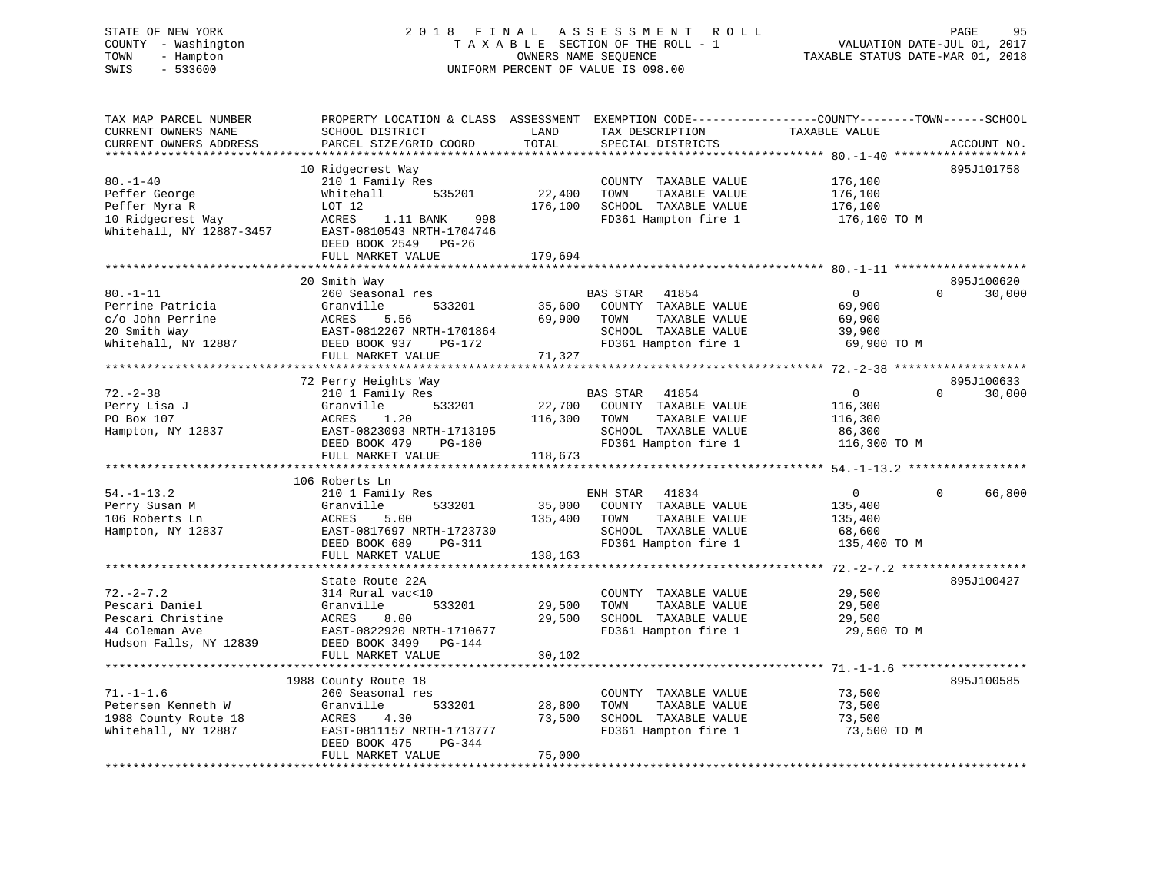# STATE OF NEW YORK 2 0 1 8 F I N A L A S S E S S M E N T R O L L PAGE 95 COUNTY - Washington T A X A B L E SECTION OF THE ROLL - 1 VALUATION DATE-JUL 01, 2017 TOWN - Hampton OWNERS NAME SEQUENCE TAXABLE STATUS DATE-MAR 01, 2018 SWIS - 533600 UNIFORM PERCENT OF VALUE IS 098.00

| TAX MAP PARCEL NUMBER<br>CURRENT OWNERS NAME<br>CURRENT OWNERS ADDRESS<br>******************       | PROPERTY LOCATION & CLASS<br>SCHOOL DISTRICT<br>PARCEL SIZE/GRID COORD<br>************************                                                                                          | ASSESSMENT<br>LAND<br>TOTAL<br>************   | TAX DESCRIPTION<br>SPECIAL DISTRICTS                                                                                      | EXEMPTION CODE-----------------COUNTY-------TOWN------SCHOOL<br>TAXABLE VALUE | ACCOUNT NO.                      |
|----------------------------------------------------------------------------------------------------|---------------------------------------------------------------------------------------------------------------------------------------------------------------------------------------------|-----------------------------------------------|---------------------------------------------------------------------------------------------------------------------------|-------------------------------------------------------------------------------|----------------------------------|
| $80. - 1 - 40$<br>Peffer George<br>Peffer Myra R<br>10 Ridgecrest Way<br>Whitehall, NY 12887-3457  | 10 Ridgecrest Way<br>210 1 Family Res<br>Whitehall<br>535201<br>LOT 12<br>ACRES<br>1.11 BANK<br>998<br>EAST-0810543 NRTH-1704746<br>DEED BOOK 2549<br>$PG-26$<br>FULL MARKET VALUE          | 22,400<br>176,100<br>179,694                  | COUNTY TAXABLE VALUE<br>TOWN<br>TAXABLE VALUE<br>SCHOOL TAXABLE VALUE<br>FD361 Hampton fire 1                             | 176,100<br>176,100<br>176,100<br>176,100 TO M                                 | 895J101758                       |
|                                                                                                    |                                                                                                                                                                                             |                                               |                                                                                                                           |                                                                               |                                  |
| $80. - 1 - 11$<br>Perrine Patricia<br>c/o John Perrine<br>20 Smith Way<br>Whitehall, NY 12887      | 20 Smith Way<br>260 Seasonal res<br>Granville<br>533201<br>ACRES<br>5.56<br>EAST-0812267 NRTH-1701864<br>DEED BOOK 937<br>$PG-172$<br>FULL MARKET VALUE<br>******************************** | 35,600<br>69,900<br>71,327                    | <b>BAS STAR</b><br>41854<br>COUNTY TAXABLE VALUE<br>TOWN<br>TAXABLE VALUE<br>SCHOOL TAXABLE VALUE<br>FD361 Hampton fire 1 | $\mathbf{0}$<br>69,900<br>69,900<br>39,900<br>69,900 TO M                     | 895J100620<br>30,000<br>$\Omega$ |
|                                                                                                    | 72 Perry Heights Way                                                                                                                                                                        |                                               |                                                                                                                           |                                                                               | 895J100633                       |
| $72. - 2 - 38$<br>Perry Lisa J<br>PO Box 107<br>Hampton, NY 12837                                  | 210 1 Family Res<br>Granville<br>533201<br>ACRES<br>1.20<br>EAST-0823093 NRTH-1713195<br>DEED BOOK 479<br>PG-180                                                                            | 22,700<br>116,300                             | <b>BAS STAR</b><br>41854<br>COUNTY TAXABLE VALUE<br>TOWN<br>TAXABLE VALUE<br>SCHOOL TAXABLE VALUE<br>FD361 Hampton fire 1 | 0<br>116,300<br>116,300<br>86,300<br>116,300 TO M                             | 0<br>30,000                      |
|                                                                                                    | FULL MARKET VALUE                                                                                                                                                                           | 118,673<br>***********************            |                                                                                                                           | ********** 54.-1-13.2 *************                                           |                                  |
|                                                                                                    | 106 Roberts Ln                                                                                                                                                                              |                                               |                                                                                                                           |                                                                               |                                  |
| $54. - 1 - 13.2$<br>Perry Susan M<br>106 Roberts Ln<br>Hampton, NY 12837                           | 210 1 Family Res<br>Granville<br>533201<br>ACRES<br>5.00<br>EAST-0817697 NRTH-1723730<br>DEED BOOK 689<br>PG-311<br>FULL MARKET VALUE                                                       | 35,000<br>135,400<br>138,163                  | 41834<br>ENH STAR<br>COUNTY TAXABLE VALUE<br>TOWN<br>TAXABLE VALUE<br>SCHOOL TAXABLE VALUE<br>FD361 Hampton fire 1        | 0<br>135,400<br>135,400<br>68,600<br>135,400 TO M                             | $\mathbf 0$<br>66,800            |
|                                                                                                    | ********************                                                                                                                                                                        |                                               |                                                                                                                           | $72. - 2 - 7.2$ ****                                                          |                                  |
| $72. - 2 - 7.2$<br>Pescari Daniel<br>Pescari Christine<br>44 Coleman Ave<br>Hudson Falls, NY 12839 | State Route 22A<br>314 Rural vac<10<br>Granville<br>533201<br>8.00<br>ACRES<br>EAST-0822920 NRTH-1710677<br>DEED BOOK 3499<br>PG-144                                                        | 29,500<br>29,500                              | COUNTY TAXABLE VALUE<br>TOWN<br>TAXABLE VALUE<br>SCHOOL TAXABLE VALUE<br>FD361 Hampton fire 1                             | 29,500<br>29,500<br>29,500<br>29,500 TO M                                     | 895J100427                       |
|                                                                                                    | FULL MARKET VALUE                                                                                                                                                                           | 30,102                                        |                                                                                                                           |                                                                               |                                  |
| $71. - 1 - 1.6$<br>Petersen Kenneth W<br>1988 County Route 18<br>Whitehall, NY 12887               | ***************<br>1988 County Route 18<br>260 Seasonal res<br>Granville<br>533201<br>ACRES<br>4.30<br>EAST-0811157 NRTH-1713777<br>DEED BOOK 475<br>PG-344<br>FULL MARKET VALUE            | * * * * * * * *<br>28,800<br>73,500<br>75,000 | COUNTY TAXABLE VALUE<br>TOWN<br>TAXABLE VALUE<br>SCHOOL TAXABLE VALUE<br>FD361 Hampton fire 1                             | ********** 71.-1-1.6 ******<br>73,500<br>73,500<br>73,500<br>73,500 TO M      | 895J100585                       |
|                                                                                                    |                                                                                                                                                                                             |                                               |                                                                                                                           |                                                                               |                                  |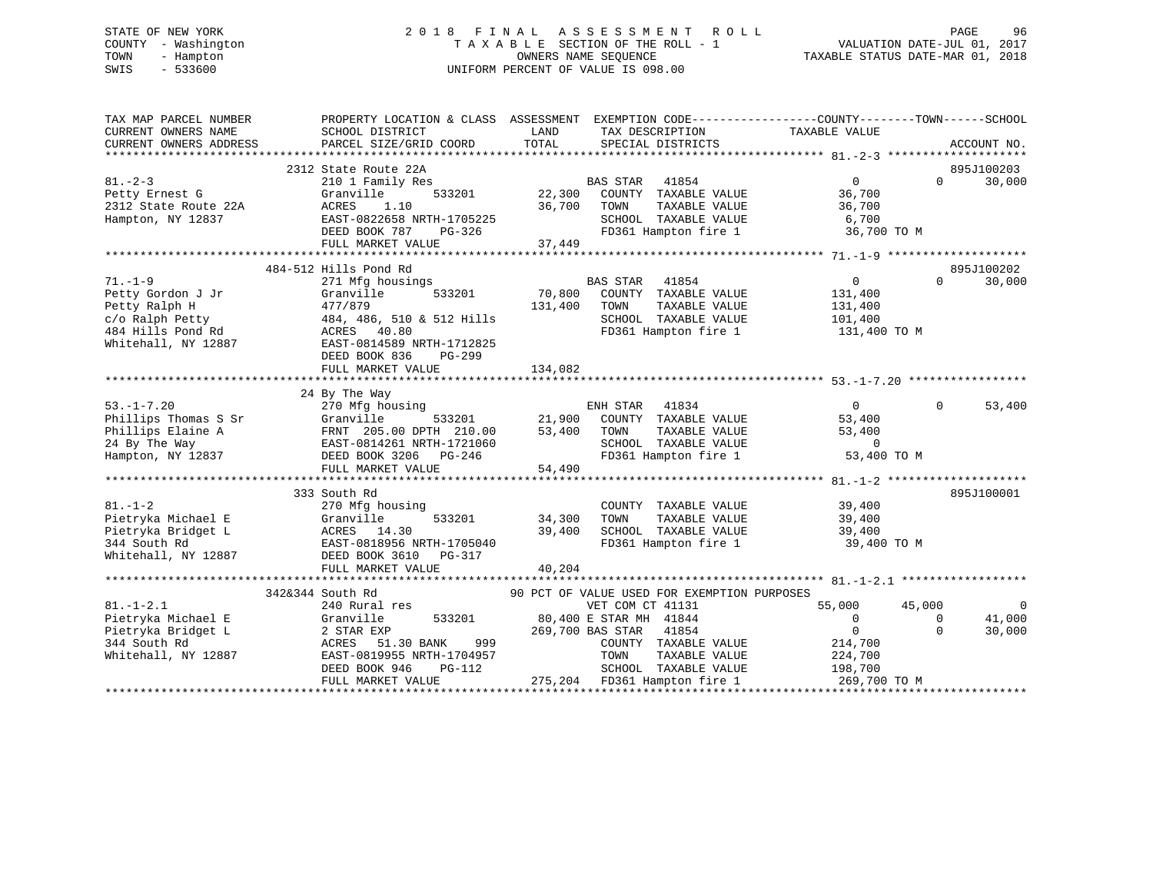# STATE OF NEW YORK 2 0 1 8 F I N A L A S S E S S M E N T R O L L PAGE 96 COUNTY - Washington T A X A B L E SECTION OF THE ROLL - 1 VALUATION DATE-JUL 01, 2017 TOWN - Hampton OWNERS NAME SEQUENCE TAXABLE STATUS DATE-MAR 01, 2018 SWIS - 533600 UNIFORM PERCENT OF VALUE IS 098.00

| TAX MAP PARCEL NUMBER<br>CURRENT OWNERS NAME | PROPERTY LOCATION & CLASS ASSESSMENT<br>SCHOOL DISTRICT | LAND    | EXEMPTION CODE-----------------COUNTY-------TOWN------SCHOOL<br>TAX DESCRIPTION | TAXABLE VALUE    |                                  |
|----------------------------------------------|---------------------------------------------------------|---------|---------------------------------------------------------------------------------|------------------|----------------------------------|
| CURRENT OWNERS ADDRESS                       | PARCEL SIZE/GRID COORD                                  | TOTAL   | SPECIAL DISTRICTS                                                               |                  | ACCOUNT NO.                      |
|                                              |                                                         |         |                                                                                 |                  |                                  |
| $81. - 2 - 3$                                | 2312 State Route 22A<br>210 1 Family Res                |         | <b>BAS STAR</b><br>41854                                                        | $\overline{0}$   | 895J100203<br>30,000<br>$\Omega$ |
| Petty Ernest G                               | Granville<br>533201                                     | 22,300  | COUNTY TAXABLE VALUE                                                            | 36,700           |                                  |
| 2312 State Route 22A                         | ACRES<br>1.10                                           | 36,700  | TAXABLE VALUE<br>TOWN                                                           | 36,700           |                                  |
| Hampton, NY 12837                            | EAST-0822658 NRTH-1705225                               |         | SCHOOL TAXABLE VALUE                                                            | 6,700            |                                  |
|                                              | DEED BOOK 787<br>PG-326                                 |         | FD361 Hampton fire 1                                                            | 36,700 TO M      |                                  |
|                                              | FULL MARKET VALUE                                       | 37,449  |                                                                                 |                  |                                  |
|                                              |                                                         |         |                                                                                 |                  |                                  |
|                                              | 484-512 Hills Pond Rd                                   |         |                                                                                 |                  | 895J100202                       |
| $71. - 1 - 9$                                | 271 Mfg housings                                        |         | BAS STAR<br>41854                                                               | $\overline{0}$   | 30,000<br>$\Omega$               |
| Petty Gordon J Jr                            | Granville<br>533201                                     | 70,800  | COUNTY TAXABLE VALUE                                                            | 131,400          |                                  |
| Petty Ralph H                                | 477/879                                                 | 131,400 | TOWN<br>TAXABLE VALUE                                                           | 131,400          |                                  |
| c/o Ralph Petty                              | 484, 486, 510 & 512 Hills                               |         | SCHOOL TAXABLE VALUE                                                            | 101,400          |                                  |
| 484 Hills Pond Rd                            | ACRES 40.80                                             |         | FD361 Hampton fire 1                                                            | 131,400 TO M     |                                  |
| Whitehall, NY 12887                          | EAST-0814589 NRTH-1712825                               |         |                                                                                 |                  |                                  |
|                                              | DEED BOOK 836<br>PG-299                                 |         |                                                                                 |                  |                                  |
|                                              | FULL MARKET VALUE                                       | 134,082 |                                                                                 |                  |                                  |
|                                              |                                                         |         |                                                                                 |                  |                                  |
|                                              | 24 By The Way                                           |         |                                                                                 |                  |                                  |
| $53. - 1 - 7.20$                             | 270 Mfg housing                                         |         | ENH STAR<br>41834                                                               | $\Omega$         | $\Omega$<br>53,400               |
| Phillips Thomas S Sr                         | 533201<br>Granville                                     | 21,900  | COUNTY TAXABLE VALUE                                                            | 53,400           |                                  |
| Phillips Elaine A                            | FRNT 205.00 DPTH 210.00                                 | 53,400  | TOWN<br>TAXABLE VALUE                                                           | 53,400           |                                  |
| 24 By The Way                                | EAST-0814261 NRTH-1721060                               |         | SCHOOL TAXABLE VALUE                                                            | $\overline{0}$   |                                  |
| Hampton, NY 12837                            | DEED BOOK 3206<br>PG-246                                |         | FD361 Hampton fire 1                                                            | 53,400 TO M      |                                  |
|                                              | FULL MARKET VALUE                                       | 54,490  |                                                                                 |                  |                                  |
|                                              |                                                         |         |                                                                                 |                  |                                  |
| $81. - 1 - 2$                                | 333 South Rd                                            |         |                                                                                 |                  | 895J100001                       |
| Pietryka Michael E                           | 270 Mfg housing<br>533201<br>Granville                  | 34,300  | COUNTY TAXABLE VALUE<br>TAXABLE VALUE<br>TOWN                                   | 39,400<br>39,400 |                                  |
| Pietryka Bridget L                           | ACRES 14.30                                             | 39,400  | SCHOOL TAXABLE VALUE                                                            | 39,400           |                                  |
| 344 South Rd                                 | EAST-0818956 NRTH-1705040                               |         | FD361 Hampton fire 1                                                            | 39,400 TO M      |                                  |
| Whitehall, NY 12887                          | DEED BOOK 3610<br>PG-317                                |         |                                                                                 |                  |                                  |
|                                              | FULL MARKET VALUE                                       | 40,204  |                                                                                 |                  |                                  |
|                                              |                                                         |         |                                                                                 |                  |                                  |
|                                              | 342&344 South Rd                                        |         | 90 PCT OF VALUE USED FOR EXEMPTION PURPOSES                                     |                  |                                  |
| $81. - 1 - 2.1$                              | 240 Rural res                                           |         | VET COM CT 41131                                                                | 55,000           | 45,000<br>$\Omega$               |
| Pietryka Michael E                           | Granville<br>533201                                     |         | 80,400 E STAR MH 41844                                                          | $\Omega$         | 41,000<br>0                      |
| Pietryka Bridget L                           | 2 STAR EXP                                              |         | 269,700 BAS STAR<br>41854                                                       | $\Omega$         | $\Omega$<br>30,000               |
| 344 South Rd                                 | 999<br>ACRES<br>51.30 BANK                              |         | COUNTY TAXABLE VALUE                                                            | 214,700          |                                  |
| Whitehall, NY 12887                          | EAST-0819955 NRTH-1704957                               |         | TAXABLE VALUE<br>TOWN                                                           | 224,700          |                                  |
|                                              | DEED BOOK 946<br>$PG-112$                               |         | SCHOOL TAXABLE VALUE                                                            | 198,700          |                                  |
|                                              | FULL MARKET VALUE                                       |         | 275,204 FD361 Hampton fire 1                                                    | 269,700 TO M     |                                  |
|                                              |                                                         |         |                                                                                 |                  |                                  |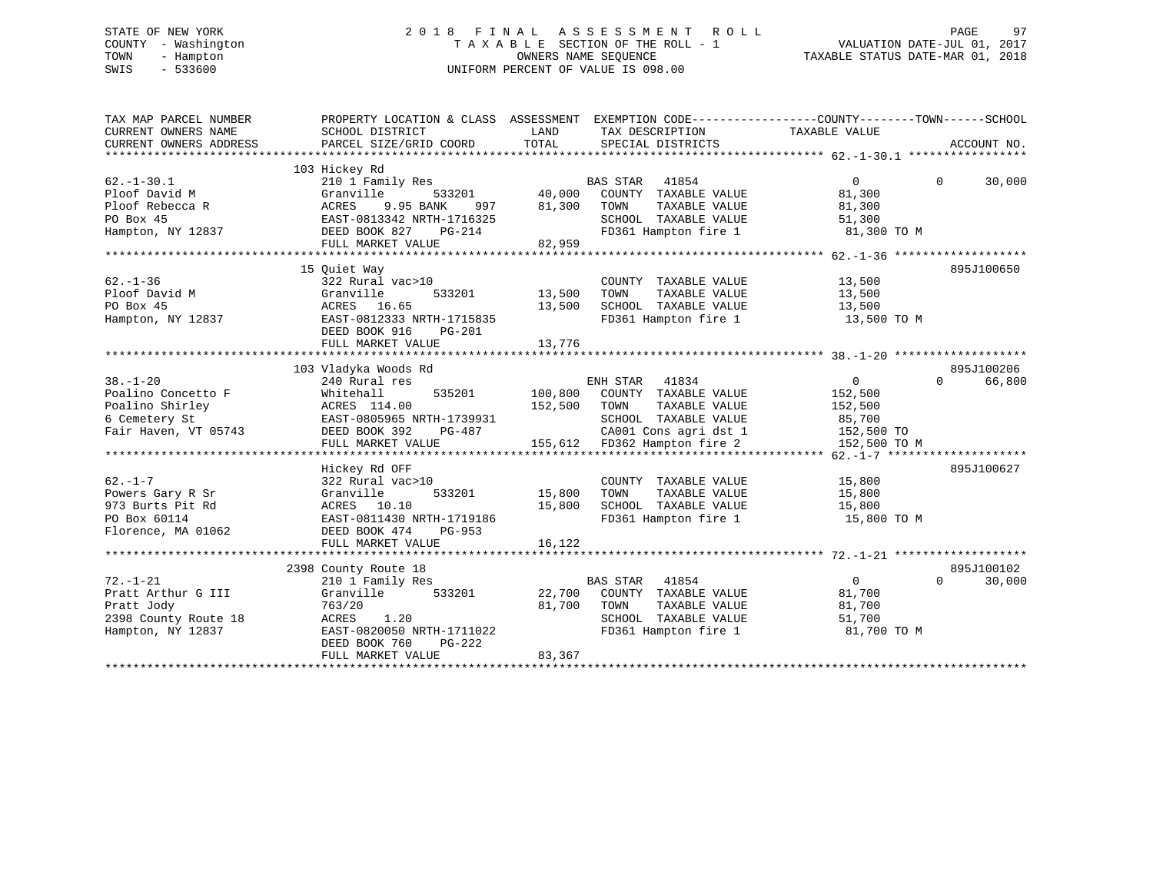# STATE OF NEW YORK 2 0 1 8 F I N A L A S S E S S M E N T R O L L PAGE 97 COUNTY - Washington T A X A B L E SECTION OF THE ROLL - 1 VALUATION DATE-JUL 01, 2017 TOWN - Hampton OWNERS NAME SEQUENCE TAXABLE STATUS DATE-MAR 01, 2018 SWIS - 533600 UNIFORM PERCENT OF VALUE IS 098.00

| 103 Hickey Rd<br>$\Omega$<br>210 1 Family Res<br>BAS STAR 41854<br>$\Omega$<br>30,000<br>s<br>533201 40,000<br><sub>NK</sub> 997 40,000<br>Granville<br>COUNTY TAXABLE VALUE<br>81,300<br>9.95 BANK<br>81,300<br>ACRES<br>997<br>TOWN<br>TAXABLE VALUE<br>81,300<br>SCHOOL TAXABLE VALUE<br>EAST-0813342 NRTH-1716325<br>51,300<br>Hampton, NY 12837<br>FD361 Hampton fire 1 81,300 TO M<br>DEED BOOK 827<br>PG-214<br>82,959<br>FULL MARKET VALUE<br>15 Quiet Way<br>895J100650<br>322 Rural vac>10<br>13,500<br>COUNTY TAXABLE VALUE<br>TAXABLE VALUE<br>Granville<br>533201<br>13,500<br>TOWN<br>13,500<br>13,500<br>SCHOOL TAXABLE VALUE 13,500<br>ACRES 16.65<br>EAST-0812333 NRTH-1715835<br>FD361 Hampton fire 1<br>13,500 TO M<br>DEED BOOK 916<br>PG-201<br>FULL MARKET VALUE<br>13,776<br>895J100206<br>103 Vladyka Woods Rd<br>ENH STAR<br>$\overline{0}$<br>240 Rural res<br>41834<br>$\Omega$<br>66,800<br>Whitehall<br>535201<br>100,800 COUNTY TAXABLE VALUE<br>152,500<br>152,500<br>ACRES 114.00<br>TAXABLE VALUE<br>152,500<br>TOWN<br>EAST-0805965 NRTH-1739931<br>SCHOOL TAXABLE VALUE<br>85,700<br>Fair Haven, VT 05743<br>Hickey Rd OFF<br>895J100627<br>322 Rural vac>10<br>COUNTY TAXABLE VALUE<br>15,800<br>533201 15,800<br>TOWN<br>TAXABLE VALUE<br>15,800<br>Granville<br>ACRES 10.10<br>15,800<br>15,800<br>FD361 Hampton fire 1<br>EAST-0811430 NRTH-1719186<br>15,800 TO M<br>DEED BOOK 474<br>PG-953<br>16,122<br>FULL MARKET VALUE<br>895J100102<br>2398 County Route 18<br><b>BAS STAR</b> 41854<br>$\overline{0}$<br>30,000<br>210 1 Family Res<br>$\Omega$<br>533201<br>22,700 COUNTY TAXABLE VALUE<br>Granville<br>81,700<br>81,700<br>763/20<br>TOWN<br>TAXABLE VALUE<br>81,700<br>ACRES<br>1.20<br>SCHOOL TAXABLE VALUE<br>51,700<br>EAST-0820050 NRTH-1711022<br>FD361 Hampton fire 1<br>81,700 TO M<br>DEED BOOK 760<br>$PG-222$<br>83,367<br>FULL MARKET VALUE | TAX MAP PARCEL NUMBER<br>CURRENT OWNERS NAME<br>CURRENT OWNERS ADDRESS | PROPERTY LOCATION & CLASS ASSESSMENT EXEMPTION CODE----------------COUNTY-------TOWN-----SCHOOL<br>SCHOOL DISTRICT<br>PARCEL SIZE/GRID COORD TOTAL | LAND | TAX DESCRIPTION TAXABLE VALUE<br>SPECIAL DISTRICTS | ACCOUNT NO. |
|----------------------------------------------------------------------------------------------------------------------------------------------------------------------------------------------------------------------------------------------------------------------------------------------------------------------------------------------------------------------------------------------------------------------------------------------------------------------------------------------------------------------------------------------------------------------------------------------------------------------------------------------------------------------------------------------------------------------------------------------------------------------------------------------------------------------------------------------------------------------------------------------------------------------------------------------------------------------------------------------------------------------------------------------------------------------------------------------------------------------------------------------------------------------------------------------------------------------------------------------------------------------------------------------------------------------------------------------------------------------------------------------------------------------------------------------------------------------------------------------------------------------------------------------------------------------------------------------------------------------------------------------------------------------------------------------------------------------------------------------------------------------------------------------------------------------------------------------------------------------------------------------------------|------------------------------------------------------------------------|----------------------------------------------------------------------------------------------------------------------------------------------------|------|----------------------------------------------------|-------------|
|                                                                                                                                                                                                                                                                                                                                                                                                                                                                                                                                                                                                                                                                                                                                                                                                                                                                                                                                                                                                                                                                                                                                                                                                                                                                                                                                                                                                                                                                                                                                                                                                                                                                                                                                                                                                                                                                                                          |                                                                        |                                                                                                                                                    |      |                                                    |             |
|                                                                                                                                                                                                                                                                                                                                                                                                                                                                                                                                                                                                                                                                                                                                                                                                                                                                                                                                                                                                                                                                                                                                                                                                                                                                                                                                                                                                                                                                                                                                                                                                                                                                                                                                                                                                                                                                                                          | $62. - 1 - 30.1$<br>Ploof David M                                      |                                                                                                                                                    |      |                                                    |             |
|                                                                                                                                                                                                                                                                                                                                                                                                                                                                                                                                                                                                                                                                                                                                                                                                                                                                                                                                                                                                                                                                                                                                                                                                                                                                                                                                                                                                                                                                                                                                                                                                                                                                                                                                                                                                                                                                                                          | Ploof Rebecca R<br>PO Box 45                                           |                                                                                                                                                    |      |                                                    |             |
|                                                                                                                                                                                                                                                                                                                                                                                                                                                                                                                                                                                                                                                                                                                                                                                                                                                                                                                                                                                                                                                                                                                                                                                                                                                                                                                                                                                                                                                                                                                                                                                                                                                                                                                                                                                                                                                                                                          |                                                                        |                                                                                                                                                    |      |                                                    |             |
|                                                                                                                                                                                                                                                                                                                                                                                                                                                                                                                                                                                                                                                                                                                                                                                                                                                                                                                                                                                                                                                                                                                                                                                                                                                                                                                                                                                                                                                                                                                                                                                                                                                                                                                                                                                                                                                                                                          |                                                                        |                                                                                                                                                    |      |                                                    |             |
|                                                                                                                                                                                                                                                                                                                                                                                                                                                                                                                                                                                                                                                                                                                                                                                                                                                                                                                                                                                                                                                                                                                                                                                                                                                                                                                                                                                                                                                                                                                                                                                                                                                                                                                                                                                                                                                                                                          | $62 - 1 - 36$<br>Ploof David M<br>PO Box 45<br>Hampton, NY 12837       |                                                                                                                                                    |      |                                                    |             |
|                                                                                                                                                                                                                                                                                                                                                                                                                                                                                                                                                                                                                                                                                                                                                                                                                                                                                                                                                                                                                                                                                                                                                                                                                                                                                                                                                                                                                                                                                                                                                                                                                                                                                                                                                                                                                                                                                                          |                                                                        |                                                                                                                                                    |      |                                                    |             |
|                                                                                                                                                                                                                                                                                                                                                                                                                                                                                                                                                                                                                                                                                                                                                                                                                                                                                                                                                                                                                                                                                                                                                                                                                                                                                                                                                                                                                                                                                                                                                                                                                                                                                                                                                                                                                                                                                                          |                                                                        |                                                                                                                                                    |      |                                                    |             |
|                                                                                                                                                                                                                                                                                                                                                                                                                                                                                                                                                                                                                                                                                                                                                                                                                                                                                                                                                                                                                                                                                                                                                                                                                                                                                                                                                                                                                                                                                                                                                                                                                                                                                                                                                                                                                                                                                                          |                                                                        |                                                                                                                                                    |      |                                                    |             |
|                                                                                                                                                                                                                                                                                                                                                                                                                                                                                                                                                                                                                                                                                                                                                                                                                                                                                                                                                                                                                                                                                                                                                                                                                                                                                                                                                                                                                                                                                                                                                                                                                                                                                                                                                                                                                                                                                                          | $38. - 1 - 20$                                                         |                                                                                                                                                    |      |                                                    |             |
|                                                                                                                                                                                                                                                                                                                                                                                                                                                                                                                                                                                                                                                                                                                                                                                                                                                                                                                                                                                                                                                                                                                                                                                                                                                                                                                                                                                                                                                                                                                                                                                                                                                                                                                                                                                                                                                                                                          | Poalino Concetto F                                                     |                                                                                                                                                    |      |                                                    |             |
|                                                                                                                                                                                                                                                                                                                                                                                                                                                                                                                                                                                                                                                                                                                                                                                                                                                                                                                                                                                                                                                                                                                                                                                                                                                                                                                                                                                                                                                                                                                                                                                                                                                                                                                                                                                                                                                                                                          | Poalino Shirley                                                        |                                                                                                                                                    |      |                                                    |             |
|                                                                                                                                                                                                                                                                                                                                                                                                                                                                                                                                                                                                                                                                                                                                                                                                                                                                                                                                                                                                                                                                                                                                                                                                                                                                                                                                                                                                                                                                                                                                                                                                                                                                                                                                                                                                                                                                                                          | 6 Cemetery St                                                          |                                                                                                                                                    |      |                                                    |             |
|                                                                                                                                                                                                                                                                                                                                                                                                                                                                                                                                                                                                                                                                                                                                                                                                                                                                                                                                                                                                                                                                                                                                                                                                                                                                                                                                                                                                                                                                                                                                                                                                                                                                                                                                                                                                                                                                                                          |                                                                        |                                                                                                                                                    |      |                                                    |             |
|                                                                                                                                                                                                                                                                                                                                                                                                                                                                                                                                                                                                                                                                                                                                                                                                                                                                                                                                                                                                                                                                                                                                                                                                                                                                                                                                                                                                                                                                                                                                                                                                                                                                                                                                                                                                                                                                                                          |                                                                        |                                                                                                                                                    |      |                                                    |             |
|                                                                                                                                                                                                                                                                                                                                                                                                                                                                                                                                                                                                                                                                                                                                                                                                                                                                                                                                                                                                                                                                                                                                                                                                                                                                                                                                                                                                                                                                                                                                                                                                                                                                                                                                                                                                                                                                                                          |                                                                        |                                                                                                                                                    |      |                                                    |             |
|                                                                                                                                                                                                                                                                                                                                                                                                                                                                                                                                                                                                                                                                                                                                                                                                                                                                                                                                                                                                                                                                                                                                                                                                                                                                                                                                                                                                                                                                                                                                                                                                                                                                                                                                                                                                                                                                                                          |                                                                        |                                                                                                                                                    |      |                                                    |             |
|                                                                                                                                                                                                                                                                                                                                                                                                                                                                                                                                                                                                                                                                                                                                                                                                                                                                                                                                                                                                                                                                                                                                                                                                                                                                                                                                                                                                                                                                                                                                                                                                                                                                                                                                                                                                                                                                                                          | $62. - 1 - 7$                                                          |                                                                                                                                                    |      |                                                    |             |
|                                                                                                                                                                                                                                                                                                                                                                                                                                                                                                                                                                                                                                                                                                                                                                                                                                                                                                                                                                                                                                                                                                                                                                                                                                                                                                                                                                                                                                                                                                                                                                                                                                                                                                                                                                                                                                                                                                          | Powers Gary R Sr                                                       |                                                                                                                                                    |      |                                                    |             |
|                                                                                                                                                                                                                                                                                                                                                                                                                                                                                                                                                                                                                                                                                                                                                                                                                                                                                                                                                                                                                                                                                                                                                                                                                                                                                                                                                                                                                                                                                                                                                                                                                                                                                                                                                                                                                                                                                                          | 973 Burts Pit Rd                                                       |                                                                                                                                                    |      |                                                    |             |
|                                                                                                                                                                                                                                                                                                                                                                                                                                                                                                                                                                                                                                                                                                                                                                                                                                                                                                                                                                                                                                                                                                                                                                                                                                                                                                                                                                                                                                                                                                                                                                                                                                                                                                                                                                                                                                                                                                          | PO Box 60114                                                           |                                                                                                                                                    |      |                                                    |             |
|                                                                                                                                                                                                                                                                                                                                                                                                                                                                                                                                                                                                                                                                                                                                                                                                                                                                                                                                                                                                                                                                                                                                                                                                                                                                                                                                                                                                                                                                                                                                                                                                                                                                                                                                                                                                                                                                                                          | Florence, MA 01062                                                     |                                                                                                                                                    |      |                                                    |             |
|                                                                                                                                                                                                                                                                                                                                                                                                                                                                                                                                                                                                                                                                                                                                                                                                                                                                                                                                                                                                                                                                                                                                                                                                                                                                                                                                                                                                                                                                                                                                                                                                                                                                                                                                                                                                                                                                                                          |                                                                        |                                                                                                                                                    |      |                                                    |             |
|                                                                                                                                                                                                                                                                                                                                                                                                                                                                                                                                                                                                                                                                                                                                                                                                                                                                                                                                                                                                                                                                                                                                                                                                                                                                                                                                                                                                                                                                                                                                                                                                                                                                                                                                                                                                                                                                                                          |                                                                        |                                                                                                                                                    |      |                                                    |             |
|                                                                                                                                                                                                                                                                                                                                                                                                                                                                                                                                                                                                                                                                                                                                                                                                                                                                                                                                                                                                                                                                                                                                                                                                                                                                                                                                                                                                                                                                                                                                                                                                                                                                                                                                                                                                                                                                                                          |                                                                        |                                                                                                                                                    |      |                                                    |             |
|                                                                                                                                                                                                                                                                                                                                                                                                                                                                                                                                                                                                                                                                                                                                                                                                                                                                                                                                                                                                                                                                                                                                                                                                                                                                                                                                                                                                                                                                                                                                                                                                                                                                                                                                                                                                                                                                                                          | $72. - 1 - 21$                                                         |                                                                                                                                                    |      |                                                    |             |
|                                                                                                                                                                                                                                                                                                                                                                                                                                                                                                                                                                                                                                                                                                                                                                                                                                                                                                                                                                                                                                                                                                                                                                                                                                                                                                                                                                                                                                                                                                                                                                                                                                                                                                                                                                                                                                                                                                          | Pratt Arthur G III                                                     |                                                                                                                                                    |      |                                                    |             |
|                                                                                                                                                                                                                                                                                                                                                                                                                                                                                                                                                                                                                                                                                                                                                                                                                                                                                                                                                                                                                                                                                                                                                                                                                                                                                                                                                                                                                                                                                                                                                                                                                                                                                                                                                                                                                                                                                                          | Pratt Jody                                                             |                                                                                                                                                    |      |                                                    |             |
|                                                                                                                                                                                                                                                                                                                                                                                                                                                                                                                                                                                                                                                                                                                                                                                                                                                                                                                                                                                                                                                                                                                                                                                                                                                                                                                                                                                                                                                                                                                                                                                                                                                                                                                                                                                                                                                                                                          | 2398 County Route 18                                                   |                                                                                                                                                    |      |                                                    |             |
|                                                                                                                                                                                                                                                                                                                                                                                                                                                                                                                                                                                                                                                                                                                                                                                                                                                                                                                                                                                                                                                                                                                                                                                                                                                                                                                                                                                                                                                                                                                                                                                                                                                                                                                                                                                                                                                                                                          | Hampton, NY 12837                                                      |                                                                                                                                                    |      |                                                    |             |
|                                                                                                                                                                                                                                                                                                                                                                                                                                                                                                                                                                                                                                                                                                                                                                                                                                                                                                                                                                                                                                                                                                                                                                                                                                                                                                                                                                                                                                                                                                                                                                                                                                                                                                                                                                                                                                                                                                          |                                                                        |                                                                                                                                                    |      |                                                    |             |
|                                                                                                                                                                                                                                                                                                                                                                                                                                                                                                                                                                                                                                                                                                                                                                                                                                                                                                                                                                                                                                                                                                                                                                                                                                                                                                                                                                                                                                                                                                                                                                                                                                                                                                                                                                                                                                                                                                          |                                                                        |                                                                                                                                                    |      |                                                    |             |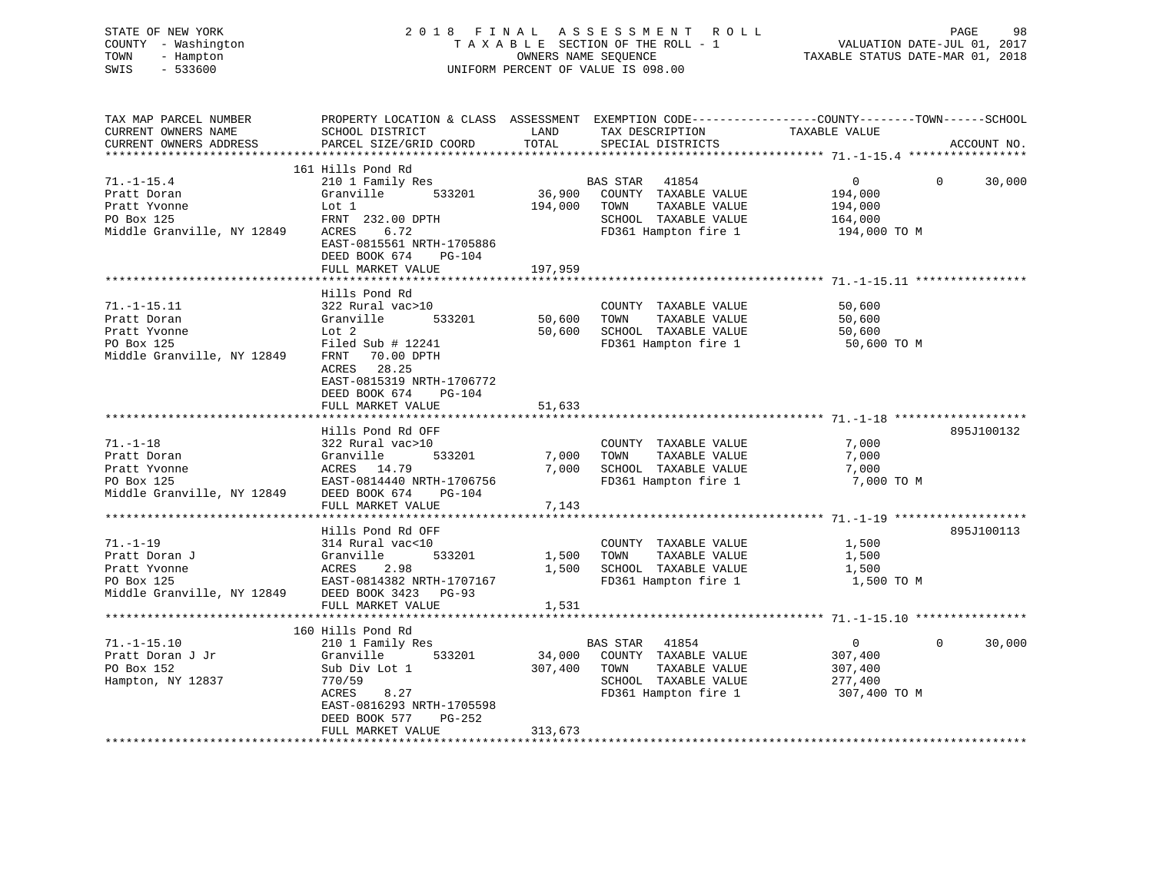| STATE OF NEW YORK<br>- Washington<br>COUNTY<br>TOWN<br>- Hampton<br>$-533600$<br>SWIS | 2018<br>TAXABLE           | FINAL      | A S S E S S M E N T<br>R O L L<br>SECTION OF THE ROLL - 1<br>OWNERS NAME SEOUENCE<br>UNIFORM PERCENT OF VALUE IS 098.00 | PAGE<br>VALUATION DATE-JUL 01, 2017<br>TAXABLE STATUS DATE-MAR 01, 2018 | -98    |
|---------------------------------------------------------------------------------------|---------------------------|------------|-------------------------------------------------------------------------------------------------------------------------|-------------------------------------------------------------------------|--------|
| TAX MAP PARCEL NUMBER                                                                 | PROPERTY LOCATION & CLASS | ASSESSMENT |                                                                                                                         | EXEMPTION CODE-----------------COUNTY-------TOWN------SCHOOL            |        |
| CURRENT OWNERS NAME                                                                   | SCHOOL DISTRICT           | LAND       | TAX DESCRIPTION                                                                                                         | TAXABLE VALUE                                                           |        |
| CURRENT OWNERS ADDRESS                                                                | PARCEL SIZE/GRID COORD    | TOTAL      | SPECIAL DISTRICTS                                                                                                       | ACCOUNT NO.                                                             |        |
|                                                                                       |                           |            |                                                                                                                         |                                                                         |        |
|                                                                                       | 161 Hills Pond Rd         |            |                                                                                                                         |                                                                         |        |
| $71. - 1 - 15.4$                                                                      | 210 1 Family Res          |            | 41854<br>BAS STAR                                                                                                       | 0                                                                       | 30,000 |
| Pratt Doran                                                                           | Granville<br>533201       | 36,900     | COUNTY<br>TAXABLE VALUE                                                                                                 | 194,000                                                                 |        |
| Pratt Yvonne                                                                          | Lot 1                     | 194,000    | TAXABLE VALUE<br>TOWN                                                                                                   | 194,000                                                                 |        |
| PO Box 125                                                                            | FRNT 232.00 DPTH          |            | TAXABLE VALUE<br>SCHOOL                                                                                                 | 164,000                                                                 |        |
| Middle Granville, NY 12849                                                            | 6.72<br>ACRES             |            | FD361 Hampton fire 1                                                                                                    | 194,000 TO M                                                            |        |
|                                                                                       | EAST-0815561 NRTH-1705886 |            |                                                                                                                         |                                                                         |        |
|                                                                                       | DEED BOOK 674<br>$PG-104$ |            |                                                                                                                         |                                                                         |        |

|                                                 | FULL MARKET VALUE                                     | 197,959 |                                   |            |                    |
|-------------------------------------------------|-------------------------------------------------------|---------|-----------------------------------|------------|--------------------|
|                                                 |                                                       |         |                                   |            |                    |
|                                                 | Hills Pond Rd                                         |         |                                   |            |                    |
| $71. - 1 - 15.11$                               | 322 Rural vac>10                                      |         | COUNTY TAXABLE VALUE              | 50,600     |                    |
| Pratt Doran                                     | 533201 50,600<br>Granville                            |         | TOWN<br>TAXABLE VALUE             | 50,600     |                    |
| Pratt Yvonne                                    | Lot 2                                                 | 50,600  | SCHOOL TAXABLE VALUE              | 50,600     |                    |
| PO Box 125                                      | Filed Sub $# 12241$                                   |         | FD361 Hampton fire 1 50,600 TO M  |            |                    |
| Middle Granville, NY 12849                      | 70.00 DPTH<br>FRNT                                    |         |                                   |            |                    |
|                                                 | ACRES 28.25                                           |         |                                   |            |                    |
|                                                 | EAST-0815319 NRTH-1706772                             |         |                                   |            |                    |
|                                                 | DEED BOOK 674 PG-104                                  |         |                                   |            |                    |
|                                                 | FULL MARKET VALUE                                     | 51,633  |                                   |            |                    |
|                                                 |                                                       |         |                                   |            |                    |
|                                                 | Hills Pond Rd OFF                                     |         |                                   |            | 895J100132         |
| $71. - 1 - 18$                                  | 322 Rural vac>10                                      |         |                                   | 7,000      |                    |
| Pratt Doran                                     | 533201 7,000 TOWN<br>Granville                        |         | COUNTY TAXABLE VALUE              | 7,000      |                    |
|                                                 |                                                       |         | TAXABLE VALUE                     |            |                    |
| Pratt Yvonne<br>ACRES 14.79                     |                                                       | 7,000   | SCHOOL TAXABLE VALUE              | 7,000      |                    |
| PO Box 125                                      | EAST-0814440 NRTH-1706756                             |         | FD361 Hampton fire 1              | 7,000 TO M |                    |
| Middle Granville, NY 12849 DEED BOOK 674        | PG-104                                                |         |                                   |            |                    |
|                                                 | FULL MARKET VALUE                                     | 7,143   |                                   |            |                    |
|                                                 |                                                       |         |                                   |            |                    |
|                                                 | Hills Pond Rd OFF                                     |         |                                   |            | 895J100113         |
| $71. - 1 - 19$                                  | 314 Rural vac<10                                      |         | COUNTY TAXABLE VALUE              | 1,500      |                    |
| Pratt Doran J                                   | 533201                                                | 1,500   | TAXABLE VALUE<br>TOWN             | 1,500      |                    |
| Pratt Yvonne                                    | ACRES 2.98<br>ACRES 2.98<br>EAST-0814382 NRTH-1707167 | 1,500   | SCHOOL TAXABLE VALUE              | 1,500      |                    |
| PO Box 125                                      |                                                       |         | FD361 Hampton fire 1              | 1,500 TO M |                    |
| Middle Granville, NY 12849 DEED BOOK 3423 PG-93 |                                                       |         |                                   |            |                    |
|                                                 | FULL MARKET VALUE                                     | 1,531   |                                   |            |                    |
|                                                 |                                                       |         |                                   |            |                    |
|                                                 | 160 Hills Pond Rd                                     |         |                                   |            |                    |
| $71. - 1 - 15.10$                               | 210 1 Family Res                                      |         | BAS STAR<br>41854                 | $\Omega$   | 30,000<br>$\Omega$ |
| Pratt Doran J Jr                                | Granville<br>533201                                   |         | 34,000 COUNTY TAXABLE VALUE       | 307,400    |                    |
| PO Box 152                                      | Sub Div Lot 1                                         | 307,400 | TOWN<br>TAXABLE VALUE             | 307,400    |                    |
| Hampton, NY 12837                               | 770/59                                                |         | SCHOOL TAXABLE VALUE              | 277,400    |                    |
|                                                 | 8.27<br>ACRES                                         |         | FD361 Hampton fire 1 307,400 TO M |            |                    |
|                                                 | EAST-0816293 NRTH-1705598                             |         |                                   |            |                    |
|                                                 | DEED BOOK 577<br><b>PG-252</b>                        |         |                                   |            |                    |
|                                                 | FULL MARKET VALUE                                     | 313,673 |                                   |            |                    |
|                                                 |                                                       |         |                                   |            |                    |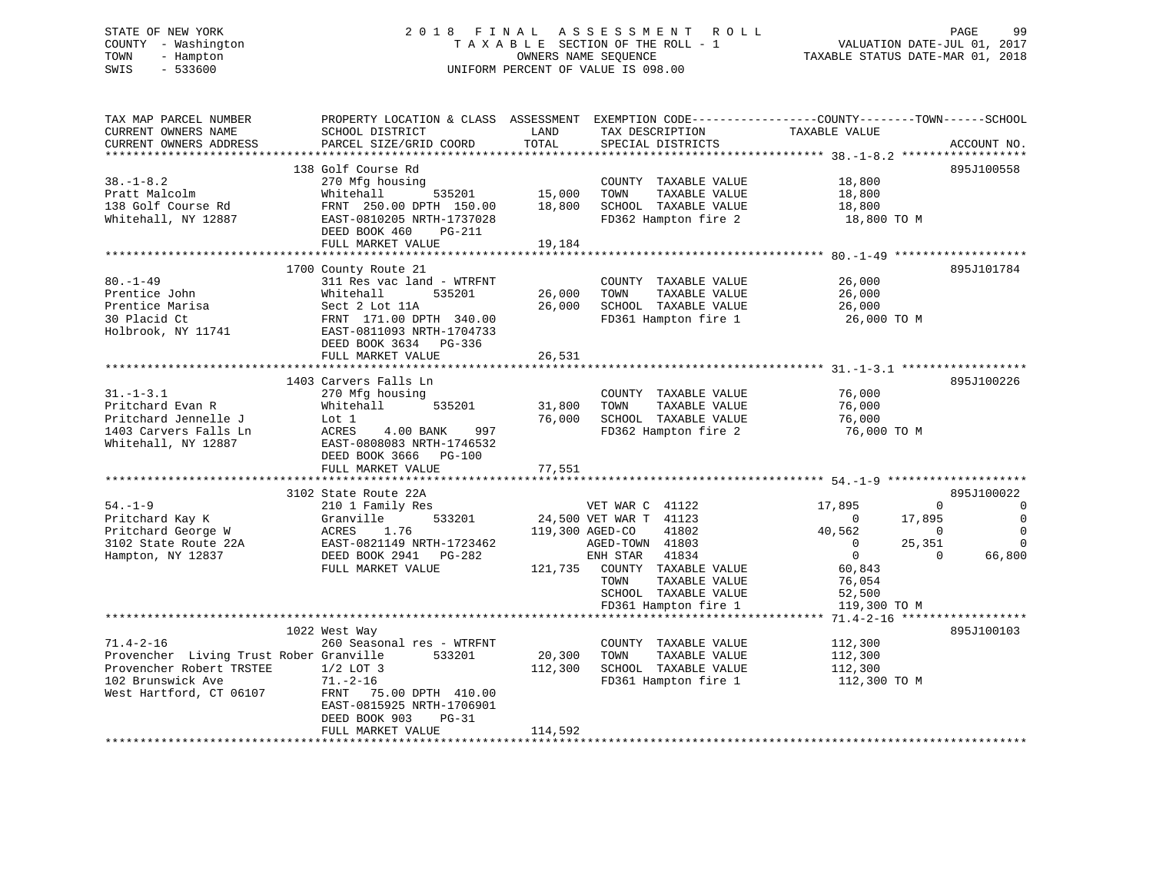# STATE OF NEW YORK 2 0 1 8 F I N A L A S S E S S M E N T R O L L PAGE 99 COUNTY - Washington T A X A B L E SECTION OF THE ROLL - 1 VALUATION DATE-JUL 01, 2017 TOWN - Hampton OWNERS NAME SEQUENCE TAXABLE STATUS DATE-MAR 01, 2018 SWIS - 533600 UNIFORM PERCENT OF VALUE IS 098.00

| TAX MAP PARCEL NUMBER                        | PROPERTY LOCATION & CLASS ASSESSMENT EXEMPTION CODE----------------COUNTY-------TOWN------SCHOOL                                                                                       |                 |                              |                                   |                            |
|----------------------------------------------|----------------------------------------------------------------------------------------------------------------------------------------------------------------------------------------|-----------------|------------------------------|-----------------------------------|----------------------------|
| CURRENT OWNERS NAME                          | SCHOOL DISTRICT                                                                                                                                                                        | LAND            | TAX DESCRIPTION              | TAXABLE VALUE                     |                            |
| CURRENT OWNERS ADDRESS                       | PARCEL SIZE/GRID COORD                                                                                                                                                                 | TOTAL           | SPECIAL DISTRICTS            |                                   | ACCOUNT NO.                |
|                                              | 138 Golf Course Rd                                                                                                                                                                     |                 |                              |                                   | 895J100558                 |
| $38. - 1 - 8.2$                              | 270 Mfg housing                                                                                                                                                                        |                 | COUNTY TAXABLE VALUE         | 18,800                            |                            |
| Pratt Malcolm                                | 535201<br>Whitehall                                                                                                                                                                    | 15,000          | TOWN<br>TAXABLE VALUE        | 18,800                            |                            |
| 138 Golf Course Rd                           | FRNT 250.00 DPTH 150.00                                                                                                                                                                | 18,800          | SCHOOL TAXABLE VALUE         |                                   |                            |
| Whitehall, NY 12887                          | EAST-0810205 NRTH-1737028                                                                                                                                                              |                 | FD362 Hampton fire 2         | 18,800<br>18,800 TO M             |                            |
|                                              | DEED BOOK 460<br>PG-211                                                                                                                                                                |                 |                              |                                   |                            |
|                                              | FULL MARKET VALUE                                                                                                                                                                      | 19,184          |                              |                                   |                            |
|                                              |                                                                                                                                                                                        |                 |                              |                                   |                            |
|                                              | 1700 County Route 21                                                                                                                                                                   |                 |                              |                                   | 895J101784                 |
| $80. - 1 - 49$                               | 311 Res vac land - WTRFNT                                                                                                                                                              |                 | COUNTY TAXABLE VALUE         | 26,000                            |                            |
| Prentice John                                |                                                                                                                                                                                        | 26,000          | TAXABLE VALUE<br>TOWN        | 26,000                            |                            |
| Prentice Marisa                              |                                                                                                                                                                                        | 26,000          | SCHOOL TAXABLE VALUE         | 26,000                            |                            |
| 30 Placid Ct                                 | Whitehall 535201<br>Sect 2 Lot 11A<br>FRNT 171.00 DPTH 340.00<br>EAST-0811093 NRTH-1704733                                                                                             |                 | FD361 Hampton fire 1         | 26,000 TO M                       |                            |
| Holbrook, NY 11741                           |                                                                                                                                                                                        |                 |                              |                                   |                            |
|                                              | DEED BOOK 3634 PG-336                                                                                                                                                                  |                 |                              |                                   |                            |
|                                              | FULL MARKET VALUE                                                                                                                                                                      | 26,531          |                              |                                   |                            |
|                                              |                                                                                                                                                                                        |                 |                              |                                   |                            |
|                                              | 1403 Carvers Falls Ln                                                                                                                                                                  |                 |                              |                                   | 895J100226                 |
| $31. - 1 - 3.1$                              | 270 Mfg housing                                                                                                                                                                        |                 | COUNTY TAXABLE VALUE         | 76,000                            |                            |
| Pritchard Evan R                             | Whitehall<br>535201                                                                                                                                                                    | 31,800          | TOWN<br>TAXABLE VALUE        | 76,000                            |                            |
| Pritchard Jennelle J                         | Lot 1                                                                                                                                                                                  | 76,000          | SCHOOL TAXABLE VALUE         | 76,000                            |                            |
| 1403 Carvers Falls Ln<br>Whitehall, NY 12887 | ACRES<br>4.00 BANK<br>997<br>EAST-0808083 NRTH-1746532                                                                                                                                 |                 | FD362 Hampton fire 2         | 76,000 TO M                       |                            |
|                                              | DEED BOOK 3666 PG-100                                                                                                                                                                  |                 |                              |                                   |                            |
|                                              | FULL MARKET VALUE                                                                                                                                                                      | 77,551          |                              |                                   |                            |
|                                              |                                                                                                                                                                                        |                 |                              |                                   |                            |
|                                              | 3102 State Route 22A                                                                                                                                                                   |                 |                              |                                   | 895J100022                 |
| $54. - 1 - 9$                                | 210 1 Family Res                                                                                                                                                                       |                 | VET WAR C 41122              | 17,895                            | $\Omega$<br>$\overline{0}$ |
|                                              | 533201<br>54.-1-9<br>Pritchard Kay K (Stanville 533201<br>Pritchard George W ACRES 1.76<br>3102 State Route 22A (EAST-0821149 NRTH-1723462<br>Hampton, NY 12837 (DEED BOOK 2941 PG-282 |                 | 24,500 VET WAR T 41123       | 17,895<br>$\overline{0}$          | $\bigcirc$                 |
|                                              |                                                                                                                                                                                        | 119,300 AGED-CO | 41802                        | 40,562<br>$\overline{0}$          | $\bigcirc$                 |
|                                              | EAST-0821149 NRTH-1723462                                                                                                                                                              |                 | AGED-TOWN 41803              | 25,351<br>$\overline{0}$          | $\Omega$                   |
|                                              |                                                                                                                                                                                        |                 | ENH STAR<br>41834            | $\overline{0}$                    | $\Omega$<br>66,800         |
|                                              | FULL MARKET VALUE                                                                                                                                                                      |                 | 121,735 COUNTY TAXABLE VALUE | 60,843                            |                            |
|                                              |                                                                                                                                                                                        |                 | TAXABLE VALUE<br>TOWN        | 76,054                            |                            |
|                                              |                                                                                                                                                                                        |                 | SCHOOL TAXABLE VALUE         | 52,500                            |                            |
|                                              |                                                                                                                                                                                        |                 | FD361 Hampton fire 1         | 119,300 TO M                      |                            |
|                                              |                                                                                                                                                                                        |                 |                              |                                   |                            |
|                                              | 1022 West Way                                                                                                                                                                          |                 |                              |                                   | 895J100103                 |
| $71.4 - 2 - 16$                              | 260 Seasonal res - WTRFNT                                                                                                                                                              |                 | COUNTY TAXABLE VALUE         | 112,300                           |                            |
|                                              | Provencher Living Trust Rober Granville 533201                                                                                                                                         | 20,300          | TOWN<br>TAXABLE VALUE        | 112,300                           |                            |
| Provencher Robert TRSTEE                     | $1/2$ LOT 3                                                                                                                                                                            | 112,300         | SCHOOL TAXABLE VALUE         | 112,300                           |                            |
| 102 Brunswick Ave                            | $71. - 2 - 16$                                                                                                                                                                         |                 |                              | FD361 Hampton fire 1 112,300 TO M |                            |
| West Hartford, CT 06107                      | FRNT 75.00 DPTH 410.00                                                                                                                                                                 |                 |                              |                                   |                            |
|                                              | EAST-0815925 NRTH-1706901                                                                                                                                                              |                 |                              |                                   |                            |
|                                              | DEED BOOK 903<br>$PG-31$                                                                                                                                                               |                 |                              |                                   |                            |
|                                              | FULL MARKET VALUE                                                                                                                                                                      | 114,592         |                              |                                   |                            |
|                                              |                                                                                                                                                                                        |                 |                              |                                   |                            |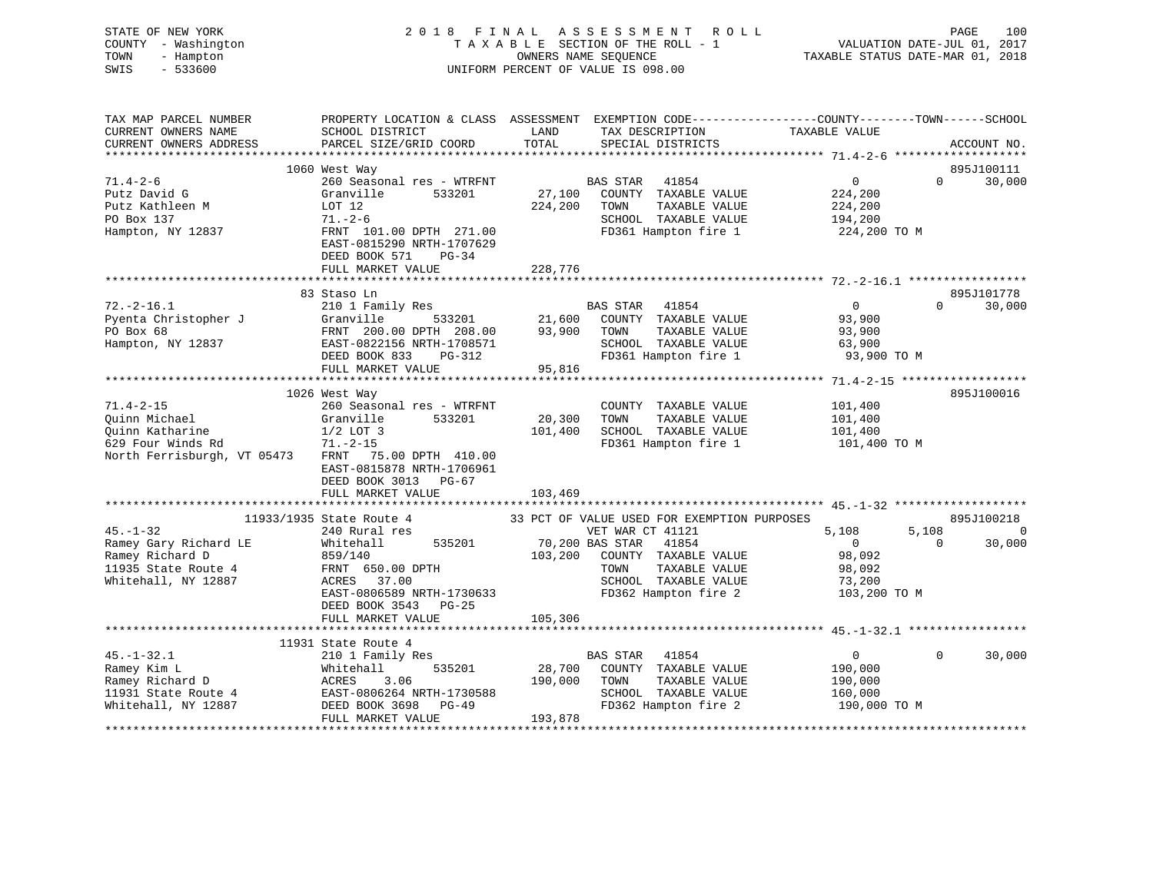| STATE OF NEW YORK<br>COUNTY - Washington<br>TOWN<br>- Hampton<br>SWIS<br>$-533600$ |                                                                                                                                              |               | 2018 FINAL ASSESSMENT ROLL<br>TAXABLE SECTION OF THE ROLL - 1<br>OWNERS NAME SEQUENCE<br>UNIFORM PERCENT OF VALUE IS 098.00 | VALUATION DATE-JUL 01, 2017<br>TAXABLE STATUS DATE-MAR 01, 2018 | PAGE<br>100                       |
|------------------------------------------------------------------------------------|----------------------------------------------------------------------------------------------------------------------------------------------|---------------|-----------------------------------------------------------------------------------------------------------------------------|-----------------------------------------------------------------|-----------------------------------|
| TAX MAP PARCEL NUMBER<br>CURRENT OWNERS NAME<br>CURRENT OWNERS ADDRESS             | PROPERTY LOCATION & CLASS ASSESSMENT EXEMPTION CODE---------------COUNTY-------TOWN------SCHOOL<br>SCHOOL DISTRICT<br>PARCEL SIZE/GRID COORD | LAND<br>TOTAL | TAX DESCRIPTION<br>SPECIAL DISTRICTS                                                                                        | TAXABLE VALUE                                                   | ACCOUNT NO.                       |
|                                                                                    |                                                                                                                                              |               |                                                                                                                             |                                                                 |                                   |
|                                                                                    | 1060 West Way                                                                                                                                |               |                                                                                                                             |                                                                 | 895J100111                        |
| $71.4 - 2 - 6$                                                                     | 260 Seasonal res - WTRFNT                                                                                                                    | BAS STAR      | 41854                                                                                                                       | $\overline{0}$                                                  | 30,000<br>$\mathbf{0}$            |
| Putz David G                                                                       | Granville<br>533201                                                                                                                          |               | 27,100 COUNTY TAXABLE VALUE                                                                                                 | 224,200                                                         |                                   |
| Putz Kathleen M                                                                    | LOT 12                                                                                                                                       | 224,200       | TAXABLE VALUE<br>TOWN                                                                                                       | 224,200                                                         |                                   |
| PO Box 137                                                                         | $71. - 2 - 6$                                                                                                                                |               | SCHOOL TAXABLE VALUE                                                                                                        | 194,200                                                         |                                   |
| Hampton, NY 12837                                                                  | FRNT 101.00 DPTH 271.00                                                                                                                      |               | FD361 Hampton fire 1                                                                                                        | 224,200 TO M                                                    |                                   |
|                                                                                    | EAST-0815290 NRTH-1707629                                                                                                                    |               |                                                                                                                             |                                                                 |                                   |
|                                                                                    | DEED BOOK 571<br>$PG-34$<br>FULL MARKET VALUE                                                                                                |               |                                                                                                                             |                                                                 |                                   |
|                                                                                    |                                                                                                                                              | 228,776       |                                                                                                                             |                                                                 |                                   |
|                                                                                    | 83 Staso Ln                                                                                                                                  |               |                                                                                                                             |                                                                 | 895J101778                        |
| $72. - 2 - 16.1$                                                                   | 210 1 Family Res                                                                                                                             |               | BAS STAR 41854                                                                                                              | $\overline{0}$                                                  | $\Omega$ and $\Omega$<br>30,000   |
| Pyenta Christopher J                                                               |                                                                                                                                              |               | COUNTY TAXABLE VALUE                                                                                                        | 93,900                                                          |                                   |
| PO Box 68                                                                          | 21,600<br>FRNT 200.00 DPTH 208.00 93,900                                                                                                     | 93,900 TOWN   | TAXABLE VALUE                                                                                                               | 93,900                                                          |                                   |
| Hampton, NY 12837                                                                  | EAST-0822156 NRTH-1708571                                                                                                                    |               | SCHOOL TAXABLE VALUE                                                                                                        | 63,900                                                          |                                   |
|                                                                                    | DEED BOOK 833<br>PG-312                                                                                                                      |               | FD361 Hampton fire 1                                                                                                        | 93,900 TO M                                                     |                                   |
|                                                                                    | FULL MARKET VALUE                                                                                                                            | 95,816        |                                                                                                                             |                                                                 |                                   |
|                                                                                    |                                                                                                                                              |               |                                                                                                                             |                                                                 |                                   |
|                                                                                    | 1026 West Way                                                                                                                                |               |                                                                                                                             |                                                                 | 895J100016                        |
| $71.4 - 2 - 15$                                                                    | 260 Seasonal res - WTRFNT                                                                                                                    |               | COUNTY TAXABLE VALUE                                                                                                        | 101,400                                                         |                                   |
| Quinn Michael                                                                      | Granville<br>533201                                                                                                                          | 20,300        | TOWN<br>TAXABLE VALUE                                                                                                       | 101,400                                                         |                                   |
| Quinn Katharine<br>629 Four Winds Rd                                               | $1/2$ LOT 3                                                                                                                                  | 101,400       | SCHOOL TAXABLE VALUE                                                                                                        | 101,400                                                         |                                   |
|                                                                                    | $71. - 2 - 15$                                                                                                                               |               | FD361 Hampton fire 1                                                                                                        | 101,400 TO M                                                    |                                   |
| North Ferrisburgh, VT 05473                                                        | FRNT 75.00 DPTH 410.00<br>EAST-0815878 NRTH-1706961<br>DEED BOOK 3013 PG-67                                                                  |               |                                                                                                                             |                                                                 |                                   |
|                                                                                    | FULL MARKET VALUE                                                                                                                            | 103,469       |                                                                                                                             |                                                                 |                                   |
|                                                                                    |                                                                                                                                              |               |                                                                                                                             |                                                                 |                                   |
|                                                                                    | 11933/1935 State Route 4                                                                                                                     |               | 33 PCT OF VALUE USED FOR EXEMPTION PURPOSES                                                                                 |                                                                 | 895J100218                        |
| $45. - 1 - 32$                                                                     | 240 Rural res                                                                                                                                |               | VET WAR CT 41121                                                                                                            | 5,108                                                           | 5,108<br>$\overline{\phantom{0}}$ |
| Ramey Gary Richard LE                                                              | Whitehall<br>535201                                                                                                                          |               | 70,200 BAS STAR 41854                                                                                                       | $\overline{0}$                                                  | $\overline{0}$<br>30,000          |
| Ramey Richard D                                                                    | 859/140                                                                                                                                      |               | 103,200 COUNTY TAXABLE VALUE                                                                                                | 98,092                                                          |                                   |
| 11935 State Route 4                                                                | FRNT 650.00 DPTH                                                                                                                             |               | TOWN<br>TAXABLE VALUE                                                                                                       | 98,092                                                          |                                   |
| Whitehall, NY 12887                                                                | ACRES 37.00                                                                                                                                  |               | SCHOOL TAXABLE VALUE                                                                                                        | 73,200                                                          |                                   |
|                                                                                    | EAST-0806589 NRTH-1730633                                                                                                                    |               | FD362 Hampton fire 2                                                                                                        | 103,200 TO M                                                    |                                   |
|                                                                                    | DEED BOOK 3543 PG-25                                                                                                                         |               |                                                                                                                             |                                                                 |                                   |
|                                                                                    | FULL MARKET VALUE                                                                                                                            | 105,306       |                                                                                                                             |                                                                 |                                   |
|                                                                                    |                                                                                                                                              |               |                                                                                                                             |                                                                 |                                   |
|                                                                                    | 11931 State Route 4                                                                                                                          |               | BAS STAR 41854                                                                                                              | $\overline{0}$                                                  | $\Omega$                          |
| $45. - 1 - 32.1$                                                                   | 210 1 Family Res<br>535201<br>Whitehall                                                                                                      | 28,700        | COUNTY TAXABLE VALUE                                                                                                        | 190,000                                                         | 30,000                            |
| Ramey Kim L<br>Ramey Richard D<br>11691                                            | 3.06                                                                                                                                         | 190,000       | TOWN<br>TAXABLE VALUE                                                                                                       | 190,000                                                         |                                   |
|                                                                                    | Whiteh<br>ACRES<br>EAST-C<br>EAST-0806264 NRTH-1730588                                                                                       |               | SCHOOL TAXABLE VALUE                                                                                                        | 160,000                                                         |                                   |
| 11931 State Route 4<br>Whitehall, NY 12887<br>Whitehall, NY 12887                  | DEED BOOK 3698 PG-49                                                                                                                         |               | FD362 Hampton fire 2                                                                                                        | 190,000 TO M                                                    |                                   |
|                                                                                    | FULL MARKET VALUE                                                                                                                            | 193,878       |                                                                                                                             |                                                                 |                                   |
|                                                                                    |                                                                                                                                              |               |                                                                                                                             |                                                                 |                                   |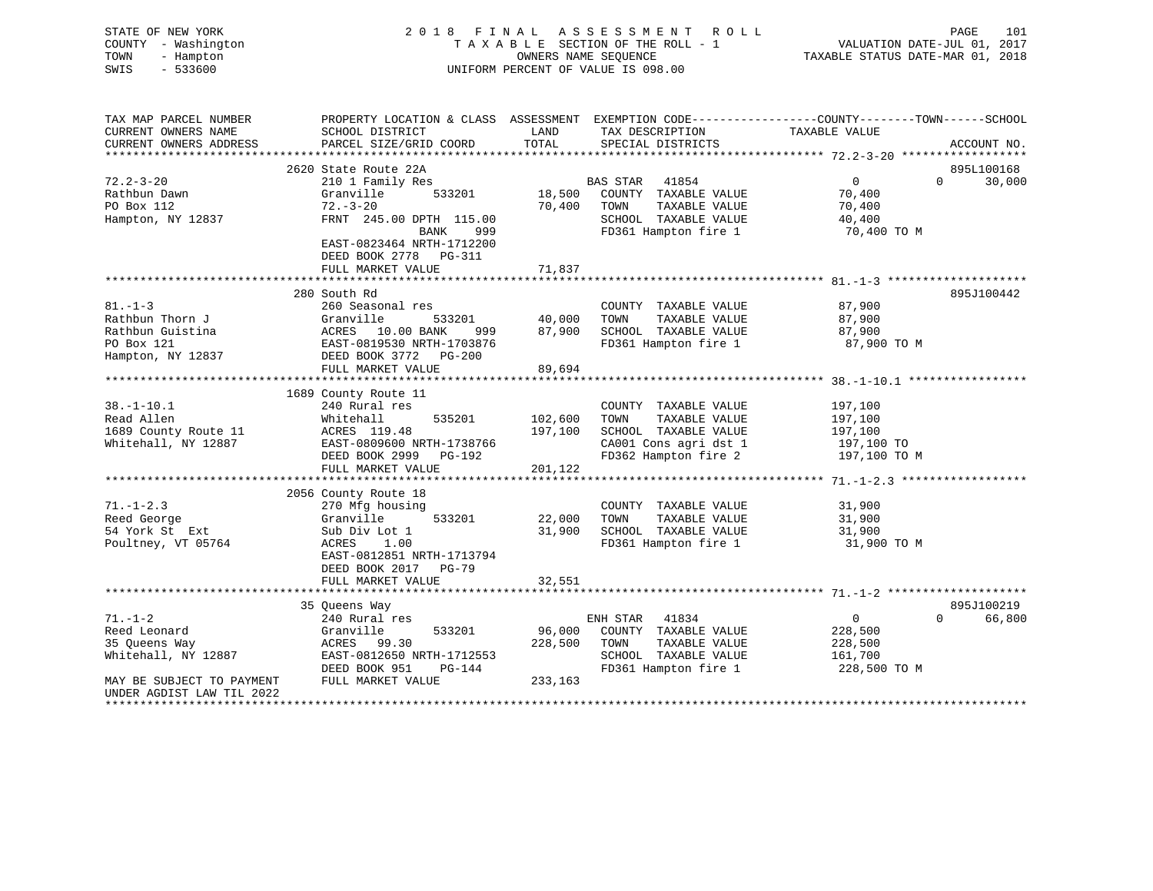| STATE OF NEW YORK   | 2018 FINAL ASSESSMENT ROLL         | 101<br>PAGE                      |
|---------------------|------------------------------------|----------------------------------|
| COUNTY - Washington | TAXABLE SECTION OF THE ROLL - 1    | VALUATION DATE-JUL 01, 2017      |
| TOWN<br>- Hampton   | OWNERS NAME SEOUENCE               | TAXABLE STATUS DATE-MAR 01, 2018 |
| SWIS<br>- 533600    | UNIFORM PERCENT OF VALUE IS 098.00 |                                  |
|                     |                                    |                                  |
|                     |                                    |                                  |

| TAX MAP PARCEL NUMBER                         | PROPERTY LOCATION & CLASS ASSESSMENT EXEMPTION CODE---------------COUNTY-------TOWN-----SCHOOL |               |                                      |                   |                    |
|-----------------------------------------------|------------------------------------------------------------------------------------------------|---------------|--------------------------------------|-------------------|--------------------|
| CURRENT OWNERS NAME<br>CURRENT OWNERS ADDRESS | SCHOOL DISTRICT<br>PARCEL SIZE/GRID COORD                                                      | LAND<br>TOTAL | TAX DESCRIPTION<br>SPECIAL DISTRICTS | TAXABLE VALUE     | ACCOUNT NO.        |
|                                               |                                                                                                |               |                                      |                   |                    |
|                                               | 2620 State Route 22A                                                                           |               |                                      |                   | 895L100168         |
| $72.2 - 3 - 20$                               | 210 1 Family Res                                                                               |               | BAS STAR 41854                       | $0 \qquad \qquad$ | $\Omega$<br>30,000 |
| Rathbun Dawn                                  | 533201<br>Granville                                                                            | 18,500        | COUNTY TAXABLE VALUE                 | 70,400            |                    |
| PO Box 112                                    | $72. - 3 - 20$                                                                                 | 70,400        | TOWN<br>TAXABLE VALUE                | 70,400            |                    |
| Hampton, NY 12837                             | FRNT 245.00 DPTH 115.00                                                                        |               | SCHOOL TAXABLE VALUE                 | 40,400            |                    |
|                                               | BANK<br>999                                                                                    |               | FD361 Hampton fire 1                 | 70,400 TO M       |                    |
|                                               | EAST-0823464 NRTH-1712200                                                                      |               |                                      |                   |                    |
|                                               | DEED BOOK 2778 PG-311                                                                          |               |                                      |                   |                    |
|                                               | FULL MARKET VALUE                                                                              | 71,837        |                                      |                   |                    |
|                                               | 280 South Rd                                                                                   |               |                                      |                   | 895J100442         |
| $81. - 1 - 3$                                 | 260 Seasonal res                                                                               |               | COUNTY TAXABLE VALUE                 | 87,900            |                    |
| Rathbun Thorn J                               | Granville<br>533201                                                                            | 40,000        | TOWN<br>TAXABLE VALUE                | 87,900            |                    |
| Rathbun Guistina                              | ACRES<br>10.00 BANK<br>999                                                                     | 87,900        | SCHOOL TAXABLE VALUE                 | 87,900            |                    |
| PO Box 121                                    | EAST-0819530 NRTH-1703876                                                                      |               | FD361 Hampton fire 1                 | 87,900 TO M       |                    |
| Hampton, NY 12837                             | DEED BOOK 3772 PG-200                                                                          |               |                                      |                   |                    |
|                                               | FULL MARKET VALUE                                                                              | 89,694        |                                      |                   |                    |
|                                               |                                                                                                |               |                                      |                   |                    |
|                                               | 1689 County Route 11                                                                           |               |                                      |                   |                    |
| $38. - 1 - 10.1$                              | 240 Rural res                                                                                  |               | COUNTY TAXABLE VALUE                 | 197,100           |                    |
| Read Allen                                    | Whitehall<br>535201                                                                            | 102,600       | TAXABLE VALUE<br>TOWN                | 197,100           |                    |
| 1689 County Route 11                          | ACRES 119.48                                                                                   | 197,100       | SCHOOL TAXABLE VALUE                 | 197,100           |                    |
| Whitehall, NY 12887                           | EAST-0809600 NRTH-1738766                                                                      |               | CA001 Cons agri dst 1                | 197,100 TO        |                    |
|                                               | DEED BOOK 2999 PG-192                                                                          |               | FD362 Hampton fire 2                 | 197,100 TO M      |                    |
|                                               | FULL MARKET VALUE                                                                              | 201,122       |                                      |                   |                    |
|                                               | 2056 County Route 18                                                                           |               |                                      |                   |                    |
| $71. - 1 - 2.3$                               | 270 Mfg housing                                                                                |               | COUNTY TAXABLE VALUE                 | 31,900            |                    |
| Reed George                                   | 533201<br>Granville                                                                            | 22,000        | TOWN<br>TAXABLE VALUE                | 31,900            |                    |
| 54 York St Ext                                | Sub Div Lot 1                                                                                  | 31,900        | SCHOOL TAXABLE VALUE                 | 31,900            |                    |
| Poultney, VT 05764                            | ACRES<br>1.00                                                                                  |               | FD361 Hampton fire 1                 | 31,900 TO M       |                    |
|                                               | EAST-0812851 NRTH-1713794                                                                      |               |                                      |                   |                    |
|                                               | DEED BOOK 2017 PG-79                                                                           |               |                                      |                   |                    |
|                                               | FULL MARKET VALUE                                                                              | 32,551        |                                      |                   |                    |
|                                               |                                                                                                |               |                                      |                   |                    |
|                                               | 35 Oueens Way                                                                                  |               |                                      |                   | 895J100219         |
| $71. - 1 - 2$                                 | 240 Rural res                                                                                  |               | ENH STAR 41834                       | $\overline{0}$    | 66,800<br>$\Omega$ |
| Reed Leonard                                  | Granville<br>533201                                                                            | 96,000        | COUNTY TAXABLE VALUE                 | 228,500           |                    |
| 35 Oueens Way                                 | ACRES 99.30                                                                                    | 228,500       | TAXABLE VALUE<br>TOWN                | 228,500           |                    |
| Whitehall, NY 12887                           | EAST-0812650 NRTH-1712553                                                                      |               | SCHOOL TAXABLE VALUE                 | 161,700           |                    |
|                                               | DEED BOOK 951<br>PG-144                                                                        |               | FD361 Hampton fire 1                 | 228,500 TO M      |                    |
| MAY BE SUBJECT TO PAYMENT                     | FULL MARKET VALUE                                                                              | 233,163       |                                      |                   |                    |
| UNDER AGDIST LAW TIL 2022                     |                                                                                                |               |                                      |                   |                    |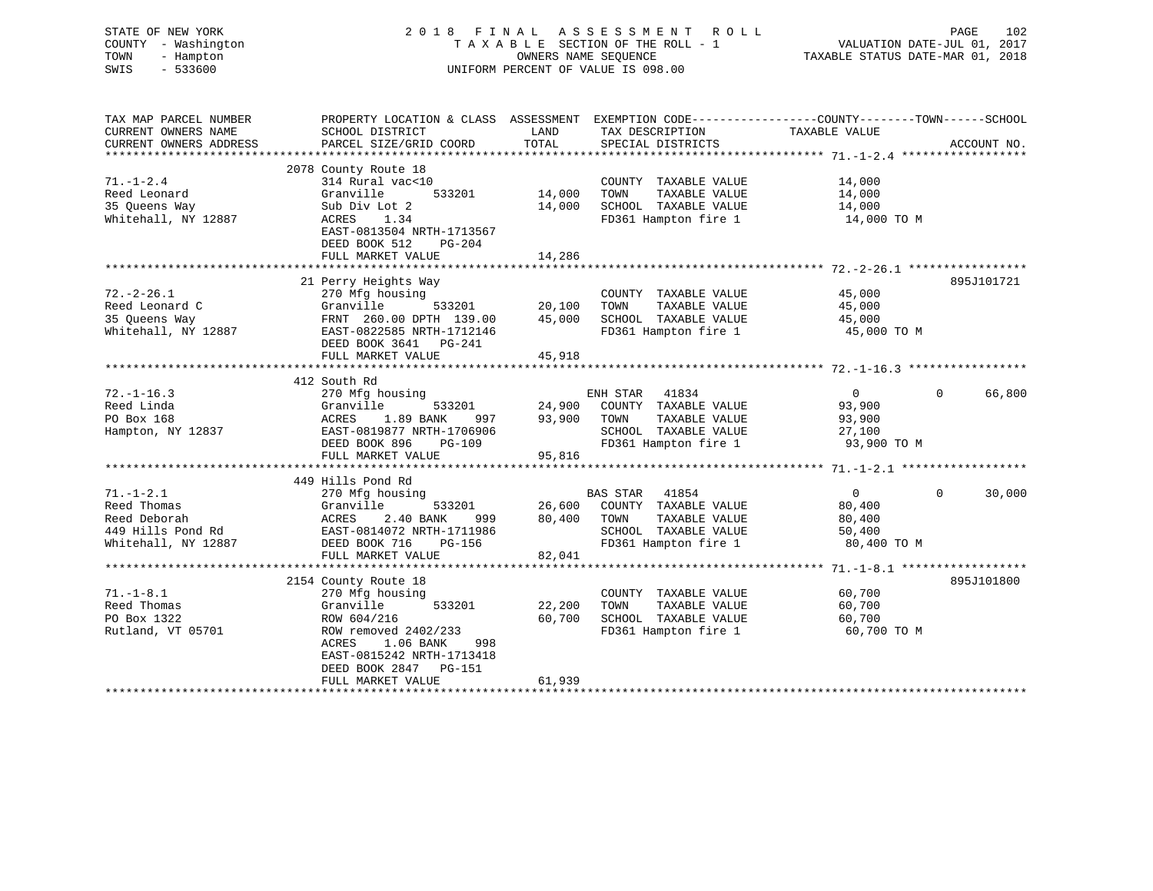| STATE OF NEW YORK<br>COUNTY - Washington<br>TOWN<br>- Hampton<br>SWIS<br>$-533600$         | 2018 FINAL ASSESSMENT<br>R O L L<br>TAXABLE SECTION OF THE ROLL - 1<br>OWNERS NAME SEOUENCE<br>UNIFORM PERCENT OF VALUE IS 098.00                                      |                                                                                  |                                                                                                                        | PAGE 102<br>VALUATION DATE-JUL 01, 2017<br>TAXABLE STATUS DATE 11-1 |                    |
|--------------------------------------------------------------------------------------------|------------------------------------------------------------------------------------------------------------------------------------------------------------------------|----------------------------------------------------------------------------------|------------------------------------------------------------------------------------------------------------------------|---------------------------------------------------------------------|--------------------|
| TAX MAP PARCEL NUMBER<br>CURRENT OWNERS NAME<br>CURRENT OWNERS ADDRESS                     | PROPERTY LOCATION & CLASS ASSESSMENT EXEMPTION CODE----------------COUNTY-------TOWN------SCHOOL<br>SCHOOL DISTRICT<br>PARCEL SIZE/GRID COORD                          | LAND<br>TOTAL                                                                    | TAX DESCRIPTION<br>SPECIAL DISTRICTS                                                                                   | TAXABLE VALUE                                                       | ACCOUNT NO.        |
| $71. - 1 - 2.4$<br>Reed Leonard<br>35 Queens Way<br>Whitehall, NY 12887                    | 2078 County Route 18<br>314 Rural vac<10<br>Granville<br>Sub Div Lot 2<br>1.34<br>ACRES<br>EAST-0813504 NRTH-1713567<br>DEED BOOK 512<br>$PG-204$<br>FULL MARKET VALUE | 533201 14,000<br>14,286                                                          | COUNTY TAXABLE VALUE<br>TOWN<br>TAXABLE VALUE<br>14,000 SCHOOL TAXABLE VALUE<br>FD361 Hampton fire 1                   | 14,000<br>14,000<br>14,000<br>14,000 TO M                           |                    |
|                                                                                            |                                                                                                                                                                        |                                                                                  |                                                                                                                        |                                                                     |                    |
| $72. - 2 - 26.1$<br>Reed Leonard C<br>35 Queens Way<br>Whitehall, NY 12887                 | 21 Perry Heights Way<br>-c.r.<br>270 Mfg housing<br>Granville 533201 20,100<br>FRNT 260.00 DPTH 139.00 45,000<br>DEED BOOK 3641 PG-241<br>FULL MARKET VALUE            | 45,918                                                                           | COUNTY TAXABLE VALUE<br>TOWN<br>TAXABLE VALUE<br>SCHOOL TAXABLE VALUE<br>FD361 Hampton fire 1 45,000 TO M              | 45,000<br>45,000<br>45,000                                          | 895J101721         |
|                                                                                            |                                                                                                                                                                        |                                                                                  |                                                                                                                        |                                                                     |                    |
| $72. - 1 - 16.3$<br>Reed Linda<br>PO Box 168<br>Hampton, NY 12837                          | 412 South Rd<br>270 Mfg housing<br>Granville<br>1.89 BANK<br>ACRES<br>EAST-0819877 NRTH-1706906<br>DEED BOOK 896<br>PG-109<br>FULL MARKET VALUE                        | 533201 24,900 COUNT!<br>NNK 997 93,900 TOWN<br>THE 1566866 93,900 TOWN<br>95,816 | ENH STAR 41834<br>COUNTY TAXABLE VALUE<br>TAXABLE VALUE<br>SCHOOL TAXABLE VALUE<br>FD361 Hampton fire 1                | $0 \qquad \qquad$<br>93,900<br>93,900<br>27,100<br>93,900 TO M      | $\Omega$<br>66,800 |
|                                                                                            | 449 Hills Pond Rd                                                                                                                                                      |                                                                                  |                                                                                                                        |                                                                     |                    |
| $71. - 1 - 2.1$<br>Reed Thomas<br>Reed Deborah<br>449 Hills Pond Rd<br>Whitehall, NY 12887 | 270 Mfg housing<br>533201<br>Granville<br>2.40 BANK<br>999<br>ACRES<br>EAST-0814072 NRTH-1711986<br>DEED BOOK 716<br>PG-156<br>FULL MARKET VALUE                       | 80,400<br>82,041                                                                 | BAS STAR 41854<br>26,600 COUNTY TAXABLE VALUE<br>TAXABLE VALUE<br>TOWN<br>SCHOOL TAXABLE VALUE<br>FD361 Hampton fire 1 | $\overline{0}$<br>80,400<br>80,400<br>50,400<br>80,400 TO M         | $\Omega$<br>30,000 |
|                                                                                            | 2154 County Route 18                                                                                                                                                   |                                                                                  |                                                                                                                        |                                                                     | 895J101800         |
| $71. - 1 - 8.1$<br>Reed Thomas<br>PO Box 1322<br>Rutland, VT 05701                         | 270 Mfg housing<br>Granville<br>533201<br>ROW 604/216<br>ROW removed 2402/233                                                                                          | 22,200<br>60,700                                                                 | COUNTY TAXABLE VALUE<br>TAXABLE VALUE<br>TOWN<br>SCHOOL TAXABLE VALUE<br>FD361 Hampton fire 1                          | 60,700<br>60,700<br>60,700<br>60,700 TO M                           |                    |

\*\*\*\*\*\*\*\*\*\*\*\*\*\*\*\*\*\*\*\*\*\*\*\*\*\*\*\*\*\*\*\*\*\*\*\*\*\*\*\*\*\*\*\*\*\*\*\*\*\*\*\*\*\*\*\*\*\*\*\*\*\*\*\*\*\*\*\*\*\*\*\*\*\*\*\*\*\*\*\*\*\*\*\*\*\*\*\*\*\*\*\*\*\*\*\*\*\*\*\*\*\*\*\*\*\*\*\*\*\*\*\*\*\*\*\*\*\*\*\*\*\*\*\*\*\*\*\*\*\*\*\*

 ACRES 1.06 BANK 998 EAST-0815242 NRTH-1713418 DEED BOOK 2847 PG-151

FULL MARKET VALUE 61,939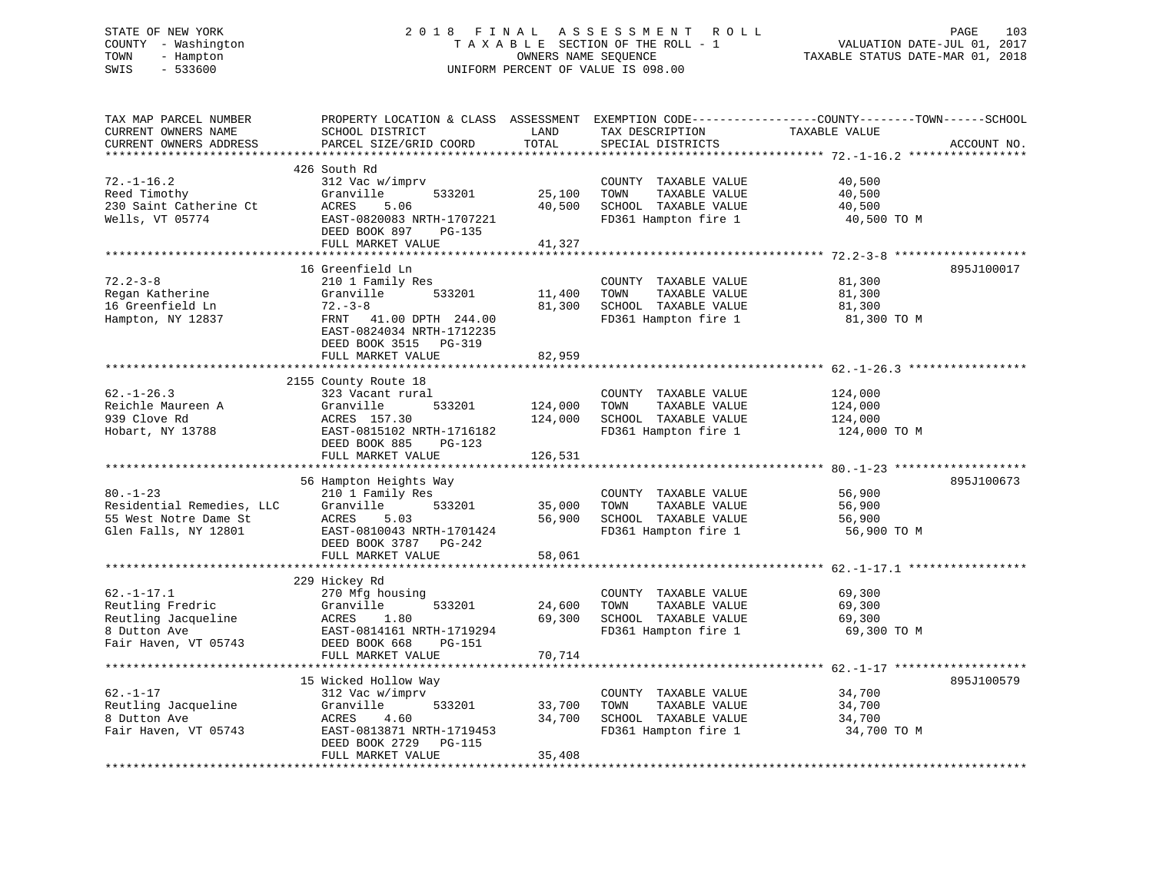# STATE OF NEW YORK 2 0 1 8 F I N A L A S S E S S M E N T R O L L PAGE 103 COUNTY - Washington T A X A B L E SECTION OF THE ROLL - 1 VALUATION DATE-JUL 01, 2017 TOWN - Hampton OWNERS NAME SEQUENCE TAXABLE STATUS DATE-MAR 01, 2018 SWIS - 533600 UNIFORM PERCENT OF VALUE IS 098.00

| TAX MAP PARCEL NUMBER<br>CURRENT OWNERS NAME<br>CURRENT OWNERS ADDRESS                                 | PROPERTY LOCATION & CLASS ASSESSMENT<br>SCHOOL DISTRICT<br>PARCEL SIZE/GRID COORD                                                                             | LAND<br>TOTAL              | TAX DESCRIPTION<br>SPECIAL DISTRICTS                                                          | EXEMPTION CODE-----------------COUNTY-------TOWN------SCHOOL<br>TAXABLE VALUE | ACCOUNT NO. |
|--------------------------------------------------------------------------------------------------------|---------------------------------------------------------------------------------------------------------------------------------------------------------------|----------------------------|-----------------------------------------------------------------------------------------------|-------------------------------------------------------------------------------|-------------|
| *********************<br>$72. - 1 - 16.2$<br>Reed Timothy<br>230 Saint Catherine Ct<br>Wells, VT 05774 | 426 South Rd<br>312 Vac w/imprv<br>Granville<br>533201<br>ACRES<br>5.06<br>EAST-0820083 NRTH-1707221<br>DEED BOOK 897<br>PG-135<br>FULL MARKET VALUE          | 25,100<br>40,500<br>41,327 | COUNTY TAXABLE VALUE<br>TOWN<br>TAXABLE VALUE<br>SCHOOL TAXABLE VALUE<br>FD361 Hampton fire 1 | 40,500<br>40,500<br>40,500<br>40,500 TO M                                     |             |
|                                                                                                        |                                                                                                                                                               |                            |                                                                                               |                                                                               |             |
| $72.2 - 3 - 8$<br>Regan Katherine<br>16 Greenfield Ln<br>Hampton, NY 12837                             | 16 Greenfield Ln<br>210 1 Family Res<br>Granville<br>533201<br>$72 - 3 - 8$<br>FRNT 41.00 DPTH 244.00<br>EAST-0824034 NRTH-1712235<br>DEED BOOK 3515 PG-319   | 11,400<br>81,300<br>82,959 | COUNTY TAXABLE VALUE<br>TAXABLE VALUE<br>TOWN<br>SCHOOL TAXABLE VALUE<br>FD361 Hampton fire 1 | 81,300<br>81,300<br>81,300<br>81,300 TO M                                     | 895J100017  |
|                                                                                                        | FULL MARKET VALUE<br>***********************                                                                                                                  | **********                 |                                                                                               | *********************** 62.-1-26.3 *****                                      |             |
| $62. - 1 - 26.3$<br>Reichle Maureen A<br>939 Clove Rd<br>Hobart, NY 13788                              | 2155 County Route 18<br>323 Vacant rural<br>Granville<br>533201<br>ACRES 157.30<br>EAST-0815102 NRTH-1716182<br>DEED BOOK 885<br>PG-123                       | 124,000<br>124,000         | COUNTY TAXABLE VALUE<br>TAXABLE VALUE<br>TOWN<br>SCHOOL TAXABLE VALUE<br>FD361 Hampton fire 1 | 124,000<br>124,000<br>124,000<br>124,000 TO M                                 |             |
|                                                                                                        | FULL MARKET VALUE                                                                                                                                             | 126,531                    |                                                                                               |                                                                               |             |
|                                                                                                        |                                                                                                                                                               |                            |                                                                                               |                                                                               |             |
| $80. - 1 - 23$<br>Residential Remedies, LLC<br>55 West Notre Dame St<br>Glen Falls, NY 12801           | 56 Hampton Heights Way<br>210 1 Family Res<br>533201<br>Granville<br>ACRES<br>5.03<br>EAST-0810043 NRTH-1701424<br>DEED BOOK 3787 PG-242<br>FULL MARKET VALUE | 35,000<br>56,900<br>58,061 | COUNTY TAXABLE VALUE<br>TOWN<br>TAXABLE VALUE<br>SCHOOL TAXABLE VALUE<br>FD361 Hampton fire 1 | 56,900<br>56,900<br>56,900<br>56,900 TO M                                     | 895J100673  |
|                                                                                                        |                                                                                                                                                               |                            |                                                                                               |                                                                               |             |
| $62. -1 - 17.1$<br>Reutling Fredric<br>Reutling Jacqueline<br>8 Dutton Ave<br>Fair Haven, VT 05743     | 229 Hickey Rd<br>270 Mfg housing<br>533201<br>Granville<br>ACRES<br>1.80<br>EAST-0814161 NRTH-1719294<br>DEED BOOK 668<br>PG-151                              | 24,600<br>69,300           | COUNTY TAXABLE VALUE<br>TAXABLE VALUE<br>TOWN<br>SCHOOL TAXABLE VALUE<br>FD361 Hampton fire 1 | 69,300<br>69,300<br>69,300<br>69,300 TO M                                     |             |
|                                                                                                        | FULL MARKET VALUE                                                                                                                                             | 70,714                     |                                                                                               |                                                                               |             |
| $62. - 1 - 17$<br>Reutling Jacqueline<br>8 Dutton Ave<br>Fair Haven, VT 05743                          | 15 Wicked Hollow Way<br>312 Vac w/imprv<br>Granville<br>533201<br>ACRES<br>4.60<br>EAST-0813871 NRTH-1719453<br>DEED BOOK 2729<br>PG-115<br>FULL MARKET VALUE | 33,700<br>34,700<br>35,408 | COUNTY TAXABLE VALUE<br>TOWN<br>TAXABLE VALUE<br>SCHOOL TAXABLE VALUE<br>FD361 Hampton fire 1 | 34,700<br>34,700<br>34,700<br>34,700 TO M                                     | 895J100579  |
|                                                                                                        |                                                                                                                                                               |                            |                                                                                               |                                                                               |             |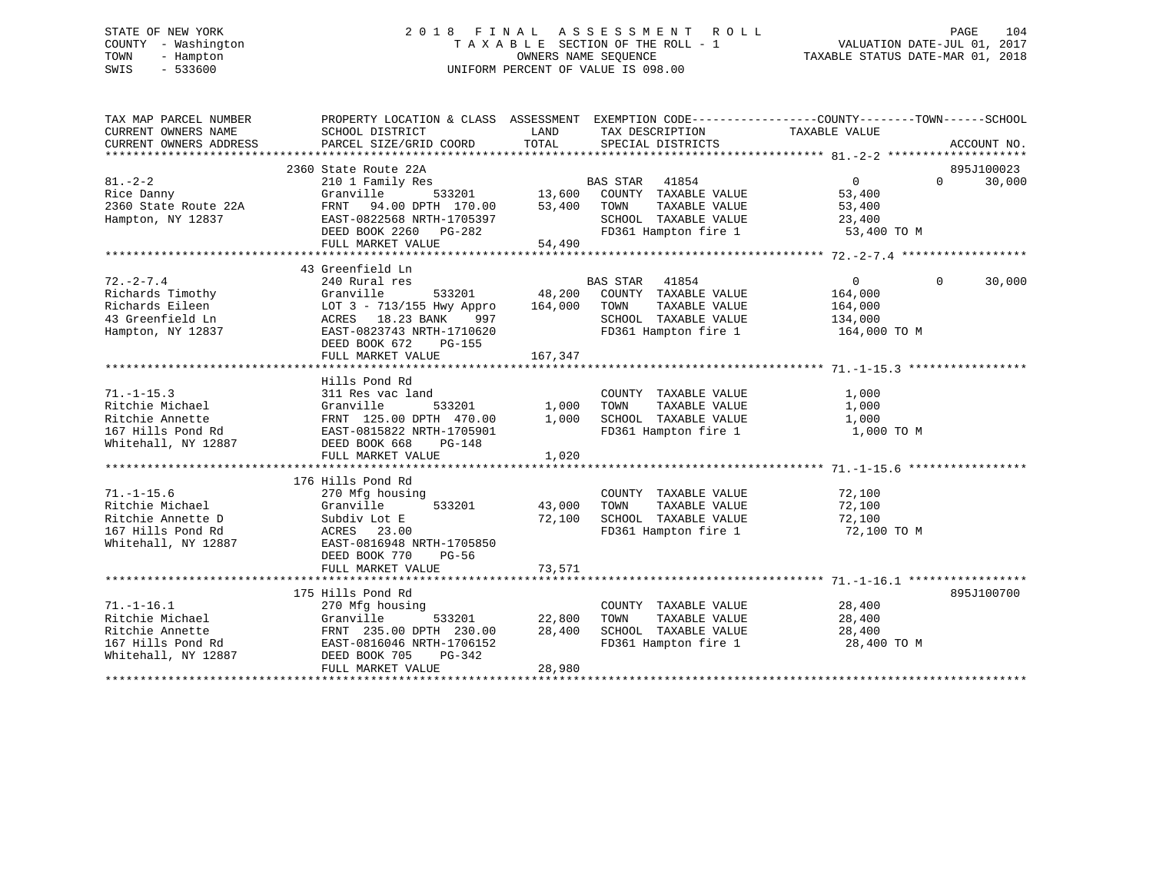# STATE OF NEW YORK 2 0 1 8 F I N A L A S S E S S M E N T R O L L PAGE 104 COUNTY - Washington T A X A B L E SECTION OF THE ROLL - 1 VALUATION DATE-JUL 01, 2017 TOWN - Hampton OWNERS NAME SEQUENCE TAXABLE STATUS DATE-MAR 01, 2018 SWIS - 533600 UNIFORM PERCENT OF VALUE IS 098.00

| TAX MAP PARCEL NUMBER<br>CURRENT OWNERS NAME<br>CURRENT OWNERS ADDRESS                               | PROPERTY LOCATION & CLASS ASSESSMENT EXEMPTION CODE----------------COUNTY-------TOWN------SCHOOL<br>SCHOOL DISTRICT<br>PARCEL SIZE/GRID COORD                                                                                    | LAND<br>TOTAL                           | TAX DESCRIPTION<br>SPECIAL DISTRICTS                                                                               | TAXABLE VALUE                                               | ACCOUNT NO.                      |
|------------------------------------------------------------------------------------------------------|----------------------------------------------------------------------------------------------------------------------------------------------------------------------------------------------------------------------------------|-----------------------------------------|--------------------------------------------------------------------------------------------------------------------|-------------------------------------------------------------|----------------------------------|
| $81. - 2 - 2$<br>Rice Danny<br>2360 State Route 22A<br>Hampton, NY 12837                             | 2360 State Route 22A<br>210 1 Family Res<br>Granville<br>FRNT 94.00 DPTH 170.00<br>EAST-0822568 NRTH-1705397<br>DEED BOOK 2260 PG-282                                                                                            | <sup>3</sup><br>533201 13,600<br>53,400 | BAS STAR<br>41854<br>COUNTY TAXABLE VALUE<br>TAXABLE VALUE<br>TOWN<br>SCHOOL TAXABLE VALUE<br>FD361 Hampton fire 1 | $\overline{0}$<br>53,400<br>53,400<br>23,400<br>53,400 TO M | 895J100023<br>30,000<br>$\Omega$ |
|                                                                                                      | FULL MARKET VALUE                                                                                                                                                                                                                | 54,490                                  |                                                                                                                    |                                                             |                                  |
| $72. - 2 - 7.4$                                                                                      | 43 Greenfield Ln<br>240 Rural res<br>533201                                                                                                                                                                                      | 164,000                                 | <b>BAS STAR</b><br>41854<br>48,200 COUNTY TAXABLE VALUE<br>TOWN<br>TAXABLE VALUE                                   | $\overline{0}$<br>164,000                                   | $\Omega$<br>30,000               |
|                                                                                                      | 12.-2-1.7<br>Richards Timothy<br>Richards Eileen<br>10T 3 - 713/155 Hwy Appro<br>43 Greenfield Ln<br>10T 3 - 713/155 Hwy Appro<br>18.23 BANK<br>1997<br>12T-0823743 NRTH-1710620<br>DEED BOOK 672<br>PG-155<br>FULL MARKET VALUE | 167,347                                 | SCHOOL TAXABLE VALUE<br>FD361 Hampton fire 1                                                                       | 164,000<br>134,000<br>164,000 TO M                          |                                  |
|                                                                                                      |                                                                                                                                                                                                                                  |                                         |                                                                                                                    |                                                             |                                  |
| $71. - 1 - 15.3$<br>Ritchie Michael<br>Ritchie Annette<br>167 Hills Pond Rd<br>Whitehall, NY 12887   | Hills Pond Rd<br>311 Res vac land<br>Granville<br>533201<br>: FRNT 125.00 للعمل بن FRNT 125.00<br>EAST-0815822 NRTH-1705901<br>DEED BOOK 668<br>$PG-148$<br>FULL MARKET VALUE                                                    | 1,000<br>1,000<br>1,020                 | COUNTY TAXABLE VALUE<br>TAXABLE VALUE<br>TOWN<br>SCHOOL TAXABLE VALUE<br>FD361 Hampton fire 1                      | 1,000<br>1,000<br>1,000<br>1,000 TO M                       |                                  |
|                                                                                                      | 176 Hills Pond Rd                                                                                                                                                                                                                |                                         |                                                                                                                    |                                                             |                                  |
| $71. - 1 - 15.6$<br>Ritchie Michael<br>Ritchie Annette D<br>167 Hills Pond Rd<br>Whitehall, NY 12887 | 270 Mfg housing<br>533201<br>Granville<br>Subdiv Lot E<br>ACRES 23.00<br>EAST-0816948 NRTH-1705850<br>DEED BOOK 770<br>$PG-56$                                                                                                   | 43,000<br>72,100                        | COUNTY TAXABLE VALUE<br>TAXABLE VALUE<br>TOWN<br>SCHOOL TAXABLE VALUE<br>FD361 Hampton fire 1                      | 72,100<br>72,100<br>72,100<br>72,100 TO M                   |                                  |
|                                                                                                      | FULL MARKET VALUE                                                                                                                                                                                                                | 73,571                                  |                                                                                                                    |                                                             |                                  |
|                                                                                                      | 175 Hills Pond Rd                                                                                                                                                                                                                |                                         |                                                                                                                    |                                                             | 895J100700                       |
| $71. - 1 - 16.1$<br>Ritchie Michael<br>Ritchie Annette<br>167 Hills Pond Rd<br>Whitehall, NY 12887   | 270 Mfg housing<br>Granville<br>533201<br>FRNT 235.00 DPTH 230.00<br>EAST-0816046 NRTH-1706152<br>DEED BOOK 705<br>PG-342<br>FULL MARKET VALUE                                                                                   | 22,800<br>28,400<br>28,980              | COUNTY TAXABLE VALUE<br>TOWN<br>TAXABLE VALUE<br>SCHOOL TAXABLE VALUE<br>FD361 Hampton fire 1                      | 28,400<br>28,400<br>28,400<br>28,400 TO M                   |                                  |
|                                                                                                      |                                                                                                                                                                                                                                  |                                         |                                                                                                                    |                                                             |                                  |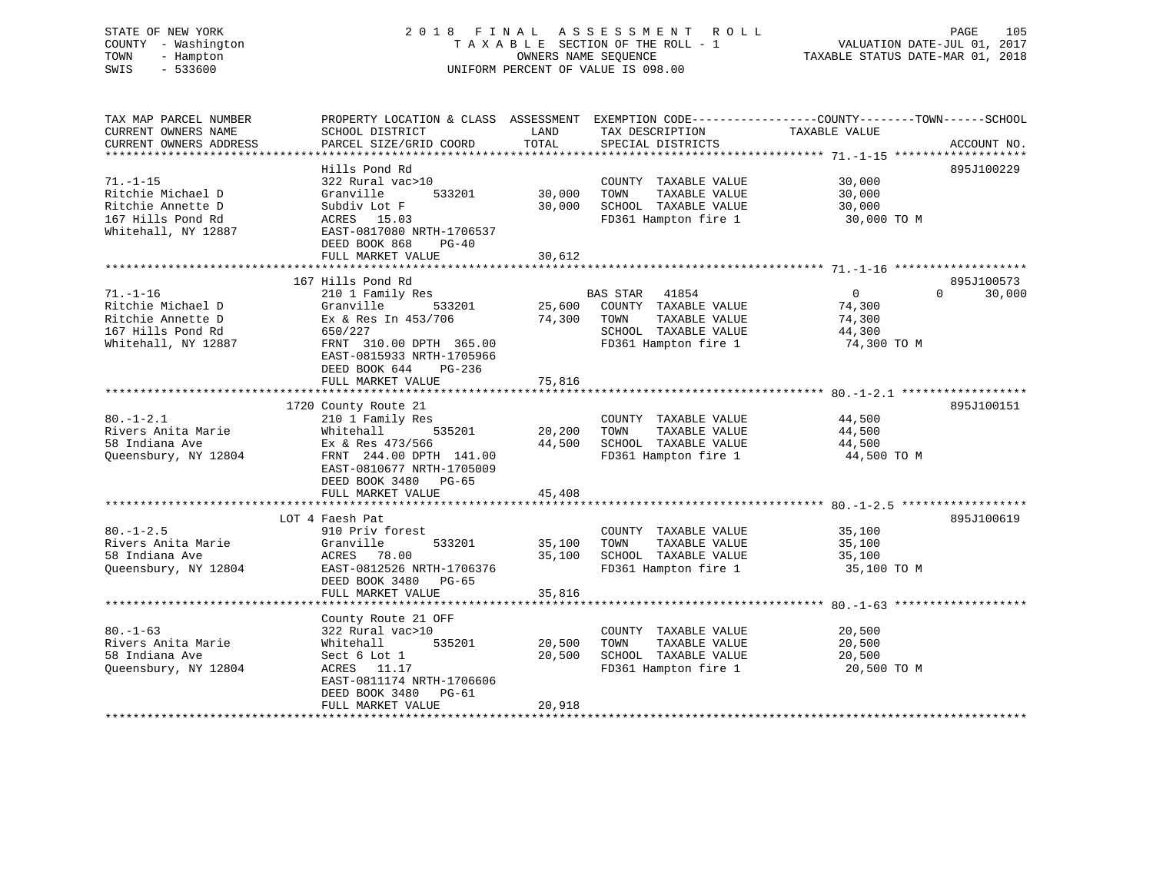# STATE OF NEW YORK 2 0 1 8 F I N A L A S S E S S M E N T R O L L PAGE 105 COUNTY - Washington T A X A B L E SECTION OF THE ROLL - 1 VALUATION DATE-JUL 01, 2017 TOWN - Hampton OWNERS NAME SEQUENCE TAXABLE STATUS DATE-MAR 01, 2018 SWIS - 533600 UNIFORM PERCENT OF VALUE IS 098.00

TAX MAP PARCEL NUMBER PROPERTY LOCATION & CLASS ASSESSMENT EXEMPTION CODE------------------COUNTY--------TOWN------SCHOOL

| TOTAL<br>CURRENT OWNERS ADDRESS<br>PARCEL SIZE/GRID COORD<br>SPECIAL DISTRICTS           | ACCOUNT NO. |
|------------------------------------------------------------------------------------------|-------------|
|                                                                                          |             |
| Hills Pond Rd                                                                            | 895J100229  |
| $71. - 1 - 15$<br>322 Rural vac>10<br>30,000<br>COUNTY TAXABLE VALUE                     |             |
| Ritchie Michael D<br>Granville<br>533201<br>30,000<br>TAXABLE VALUE<br>30,000<br>TOWN    |             |
| Ritchie Annette D<br>30,000<br>SCHOOL TAXABLE VALUE<br>Subdiv Lot F<br>30,000            |             |
| FD361 Hampton fire 1<br>167 Hills Pond Rd<br>ACRES 15.03<br>30,000 TO M                  |             |
| Whitehall, NY 12887<br>EAST-0817080 NRTH-1706537                                         |             |
| DEED BOOK 868<br>$PG-40$                                                                 |             |
| 30,612<br>FULL MARKET VALUE                                                              |             |
|                                                                                          |             |
| 167 Hills Pond Rd                                                                        | 895J100573  |
| 41854<br>$\Omega$<br>$\Omega$<br>$71. - 1 - 16$<br>210 1 Family Res<br><b>BAS STAR</b>   | 30,000      |
| 533201<br>25,600<br>COUNTY TAXABLE VALUE<br>74,300<br>Ritchie Michael D<br>Granville     |             |
| Ritchie Annette D<br>Ex & Res In 453/706<br>74,300<br>TOWN<br>TAXABLE VALUE<br>74,300    |             |
| SCHOOL TAXABLE VALUE<br>167 Hills Pond Rd<br>650/227<br>44,300                           |             |
| Whitehall, NY 12887<br>FRNT 310.00 DPTH 365.00<br>FD361 Hampton fire 1<br>74,300 TO M    |             |
| EAST-0815933 NRTH-1705966                                                                |             |
|                                                                                          |             |
| DEED BOOK 644<br>PG-236                                                                  |             |
| 75,816<br>FULL MARKET VALUE                                                              |             |
|                                                                                          |             |
| 1720 County Route 21                                                                     | 895J100151  |
| $80. - 1 - 2.1$<br>210 1 Family Res<br>COUNTY TAXABLE VALUE<br>44,500                    |             |
| Rivers Anita Marie<br>TAXABLE VALUE<br>Whitehall<br>535201<br>20,200<br>TOWN<br>44,500   |             |
| 58 Indiana Ave<br>44,500<br>SCHOOL TAXABLE VALUE<br>Ex & Res 473/566<br>44,500           |             |
| Queensbury, NY 12804<br>FD361 Hampton fire 1<br>FRNT 244.00 DPTH 141.00<br>44,500 TO M   |             |
| EAST-0810677 NRTH-1705009                                                                |             |
| DEED BOOK 3480 PG-65                                                                     |             |
| FULL MARKET VALUE<br>45,408                                                              |             |
|                                                                                          |             |
| LOT 4 Faesh Pat                                                                          | 895J100619  |
| $80. -1 - 2.5$<br>910 Priv forest<br>COUNTY TAXABLE VALUE<br>35,100                      |             |
| Rivers Anita Marie<br>Granville<br>533201<br>35,100<br>TOWN<br>TAXABLE VALUE<br>35,100   |             |
| 58 Indiana Ave<br>35,100<br>SCHOOL TAXABLE VALUE<br>ACRES<br>78.00<br>35,100             |             |
| Queensbury, NY 12804<br>FD361 Hampton fire 1<br>EAST-0812526 NRTH-1706376<br>35,100 TO M |             |
| DEED BOOK 3480<br>PG-65                                                                  |             |
| FULL MARKET VALUE<br>35,816                                                              |             |
|                                                                                          |             |
| County Route 21 OFF                                                                      |             |
| $80. - 1 - 63$<br>322 Rural vac>10<br>COUNTY TAXABLE VALUE<br>20,500                     |             |
| Rivers Anita Marie<br>535201<br>TAXABLE VALUE<br>20,500<br>Whitehall<br>20,500<br>TOWN   |             |
| 58 Indiana Ave<br>SCHOOL TAXABLE VALUE<br>Sect 6 Lot 1<br>20,500<br>20,500               |             |
| FD361 Hampton fire 1<br>Queensbury, NY 12804<br>ACRES 11.17<br>20,500 TO M               |             |
| EAST-0811174 NRTH-1706606                                                                |             |
| DEED BOOK 3480<br>PG-61                                                                  |             |
| FULL MARKET VALUE<br>20,918                                                              |             |
|                                                                                          |             |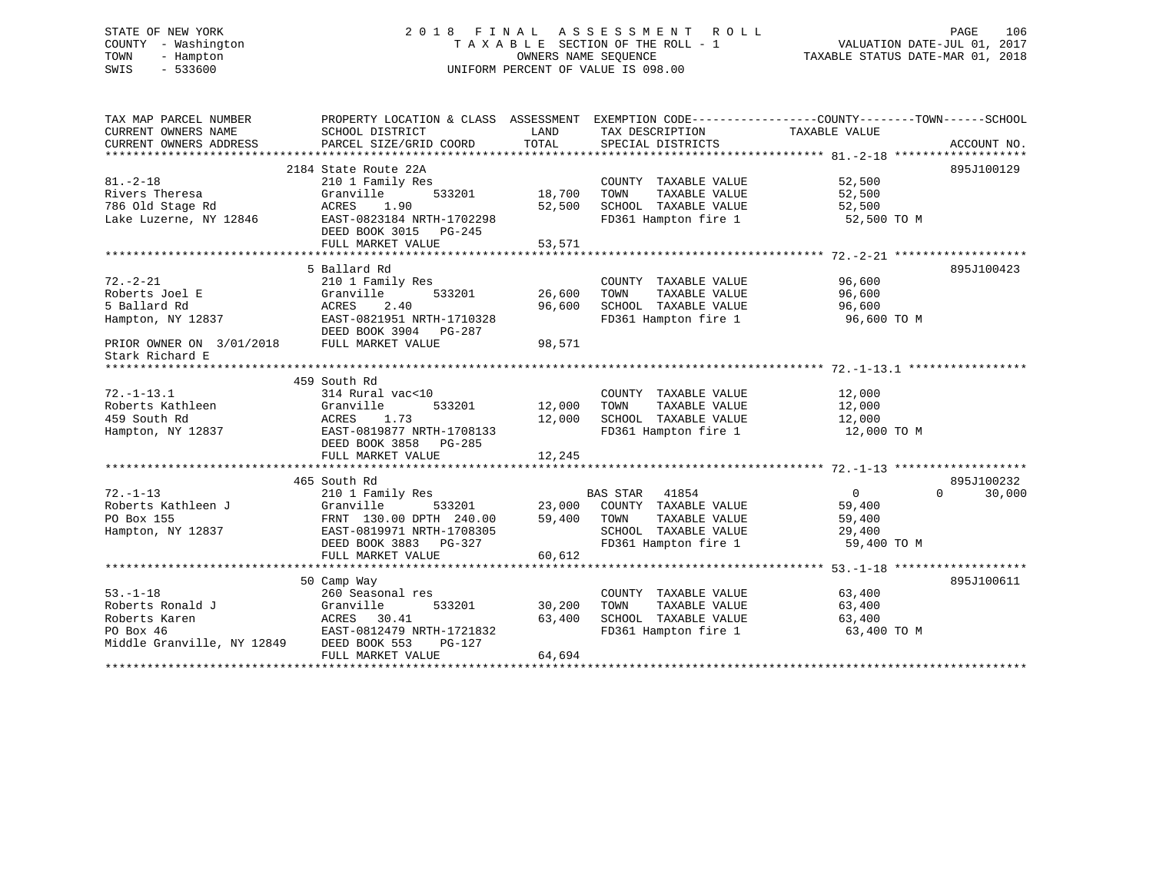# STATE OF NEW YORK 2 0 1 8 F I N A L A S S E S S M E N T R O L L PAGE 106 COUNTY - Washington T A X A B L E SECTION OF THE ROLL - 1 VALUATION DATE-JUL 01, 2017 TOWN - Hampton OWNERS NAME SEQUENCE TAXABLE STATUS DATE-MAR 01, 2018 SWIS - 533600 UNIFORM PERCENT OF VALUE IS 098.00

| TAX MAP PARCEL NUMBER                    | PROPERTY LOCATION & CLASS ASSESSMENT EXEMPTION CODE----------------COUNTY-------TOWN-----SCHOOL |        |                                              |                |                  |
|------------------------------------------|-------------------------------------------------------------------------------------------------|--------|----------------------------------------------|----------------|------------------|
| CURRENT OWNERS NAME                      | SCHOOL DISTRICT                                                                                 | LAND   | TAX DESCRIPTION                              | TAXABLE VALUE  |                  |
| CURRENT OWNERS ADDRESS                   | PARCEL SIZE/GRID COORD                                                                          | TOTAL  | SPECIAL DISTRICTS                            |                | ACCOUNT NO.      |
|                                          |                                                                                                 |        |                                              |                |                  |
|                                          | 2184 State Route 22A                                                                            |        |                                              |                | 895J100129       |
| $81. - 2 - 18$                           | 210 1 Family Res                                                                                |        | COUNTY TAXABLE VALUE                         | 52,500         |                  |
| Rivers Theresa                           | Granville<br>533201                                                                             | 18,700 | TAXABLE VALUE<br>TOWN                        | 52,500         |                  |
| 786 Old Stage Rd                         | ACRES<br>1.90                                                                                   | 52,500 | SCHOOL TAXABLE VALUE                         | 52,500         |                  |
| Lake Luzerne, NY 12846                   | EAST-0823184 NRTH-1702298                                                                       |        | FD361 Hampton fire 1                         | 52,500 TO M    |                  |
|                                          | DEED BOOK 3015 PG-245                                                                           |        |                                              |                |                  |
|                                          | FULL MARKET VALUE                                                                               | 53,571 |                                              |                |                  |
|                                          |                                                                                                 |        |                                              |                |                  |
|                                          | 5 Ballard Rd                                                                                    |        |                                              |                | 895J100423       |
| $72. - 2 - 21$                           | 210 1 Family Res                                                                                |        | COUNTY TAXABLE VALUE                         | 96,600         |                  |
| Roberts Joel E                           | 533201<br>Granville                                                                             | 26,600 | TAXABLE VALUE<br>TOWN                        | 96,600         |                  |
| 5 Ballard Rd                             | ACRES<br>2.40                                                                                   | 96,600 | SCHOOL TAXABLE VALUE<br>FD361 Hampton fire 1 | 96,600         |                  |
| Hampton, NY 12837                        | EAST-0821951 NRTH-1710328                                                                       |        |                                              | 96,600 TO M    |                  |
|                                          | DEED BOOK 3904 PG-287                                                                           |        |                                              |                |                  |
| PRIOR OWNER ON 3/01/2018                 | FULL MARKET VALUE                                                                               | 98,571 |                                              |                |                  |
| Stark Richard E                          |                                                                                                 |        |                                              |                |                  |
|                                          |                                                                                                 |        |                                              |                |                  |
|                                          | 459 South Rd                                                                                    |        |                                              |                |                  |
| $72. - 1 - 13.1$                         | 314 Rural vac<10                                                                                |        | COUNTY TAXABLE VALUE                         | 12,000         |                  |
| Roberts Kathleen                         | 533201<br>Granville                                                                             | 12,000 | TAXABLE VALUE<br>TOWN                        | 12,000         |                  |
| 459 South Rd                             | 1.73<br>ACRES<br>EAST-0819877 NRTH-1708133                                                      | 12,000 | SCHOOL TAXABLE VALUE<br>FD361 Hampton fire 1 | 12,000         |                  |
| Hampton, NY 12837                        |                                                                                                 |        |                                              | 12,000 TO M    |                  |
|                                          | DEED BOOK 3858 PG-285                                                                           |        |                                              |                |                  |
|                                          | FULL MARKET VALUE                                                                               | 12,245 |                                              |                |                  |
|                                          | 465 South Rd                                                                                    |        |                                              |                | 895J100232       |
| $72. - 1 - 13$                           | 210 1 Family Res                                                                                |        | BAS STAR 41854                               | $\overline{0}$ | 30,000<br>$\cap$ |
| Roberts Kathleen J                       | Granville<br>533201                                                                             |        | 23,000 COUNTY TAXABLE VALUE                  | 59,400         |                  |
| PO Box 155                               | FRNT 130.00 DPTH 240.00                                                                         |        | 59,400 TOWN<br>TAXABLE VALUE                 | 59,400         |                  |
| Hampton, NY 12837                        | EAST-0819971 NRTH-1708305                                                                       |        | SCHOOL TAXABLE VALUE                         | 29,400         |                  |
|                                          | DEED BOOK 3883 PG-327                                                                           |        | FD361 Hampton fire 1                         | 59,400 TO M    |                  |
|                                          | FULL MARKET VALUE                                                                               | 60,612 |                                              |                |                  |
|                                          |                                                                                                 |        |                                              |                |                  |
|                                          | 50 Camp Way                                                                                     |        |                                              |                | 895J100611       |
| $53. - 1 - 18$                           | 260 Seasonal res                                                                                |        | COUNTY TAXABLE VALUE                         | 63,400         |                  |
| Roberts Ronald J                         | Granville<br>533201                                                                             | 30,200 | TOWN<br>TAXABLE VALUE                        | 63,400         |                  |
| Roberts Karen                            | ACRES<br>30.41                                                                                  | 63,400 | SCHOOL TAXABLE VALUE                         | 63,400         |                  |
| PO Box 46                                | EAST-0812479 NRTH-1721832                                                                       |        | FD361 Hampton fire 1                         | 63,400 TO M    |                  |
| Middle Granville, NY 12849 DEED BOOK 553 | PG-127                                                                                          |        |                                              |                |                  |
|                                          | FULL MARKET VALUE                                                                               | 64,694 |                                              |                |                  |
|                                          |                                                                                                 |        |                                              |                |                  |
|                                          |                                                                                                 |        |                                              |                |                  |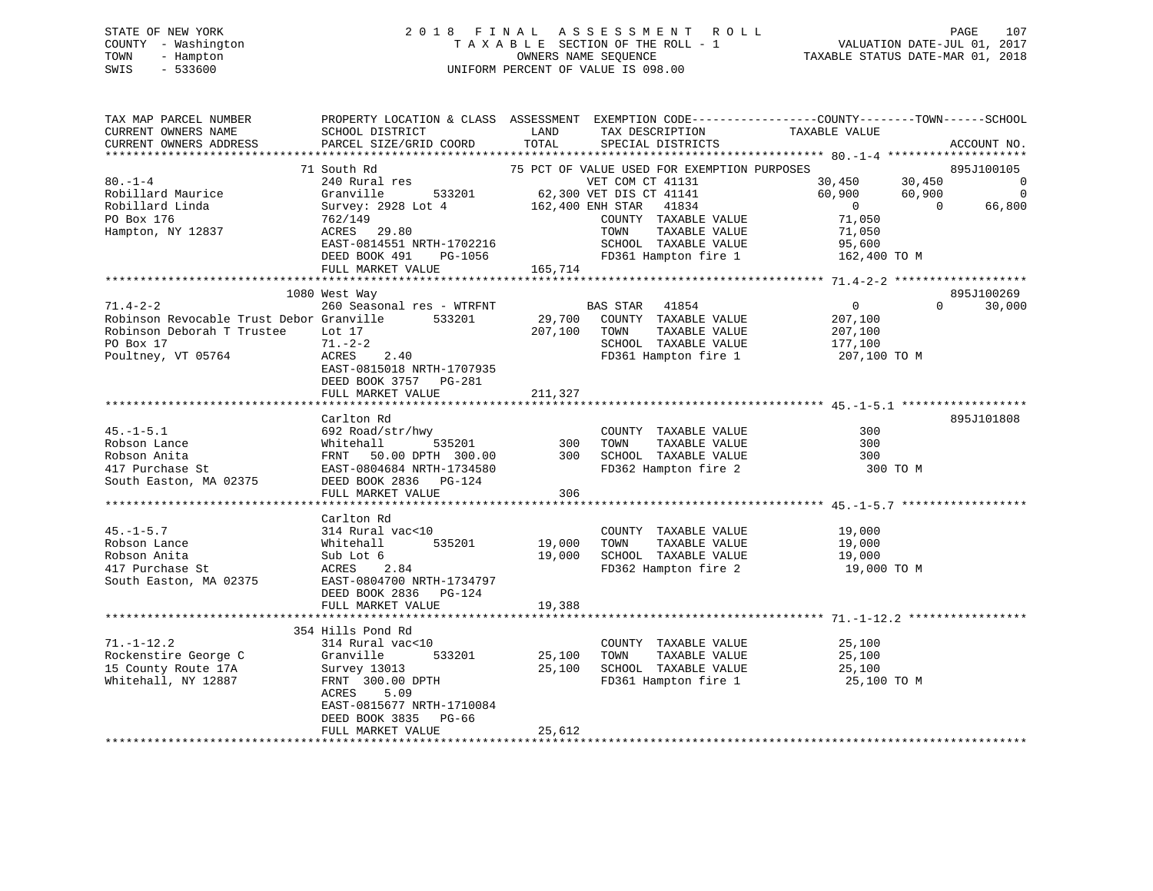| STATE OF NEW YORK   | 2018 FINAL ASSESSMENT ROLL         | 107<br>PAGE                      |
|---------------------|------------------------------------|----------------------------------|
| COUNTY - Washington | TAXABLE SECTION OF THE ROLL - 1    | VALUATION DATE-JUL 01, 2017      |
| TOWN<br>- Hampton   | OWNERS NAME SEOUENCE               | TAXABLE STATUS DATE-MAR 01, 2018 |
| $-533600$<br>SWIS   | UNIFORM PERCENT OF VALUE IS 098.00 |                                  |

| TAX MAP PARCEL NUMBER                            | PROPERTY LOCATION & CLASS ASSESSMENT EXEMPTION CODE---------------COUNTY-------TOWN------SCHOOL |             |                                                                   |                    |                                                                       |
|--------------------------------------------------|-------------------------------------------------------------------------------------------------|-------------|-------------------------------------------------------------------|--------------------|-----------------------------------------------------------------------|
| CURRENT OWNERS NAME                              | SCHOOL DISTRICT                                                                                 | LAND        | TAX DESCRIPTION                                                   | TAXABLE VALUE      |                                                                       |
| CURRENT OWNERS ADDRESS                           | PARCEL SIZE/GRID COORD                                                                          | TOTAL       | SPECIAL DISTRICTS                                                 |                    | ACCOUNT NO.                                                           |
|                                                  |                                                                                                 |             |                                                                   |                    |                                                                       |
|                                                  | 71 South Rd                                                                                     |             | 75 PCT OF VALUE USED FOR EXEMPTION PURPOSES                       |                    | 895J100105                                                            |
| $80. - 1 - 4$                                    | 240 Rural res                                                                                   |             | VET COM CT 41131                                                  | $30,450$ $30,450$  | $\overline{0}$                                                        |
| Robillard Maurice                                | Granville                                                                                       |             | 533201 62,300 VET DIS CT 41141                                    | 60,900             | 60,900                                                                |
| Robillard Linda                                  |                                                                                                 |             | 162,400 ENH STAR 41834                                            | $\overline{0}$     | $\begin{smallmatrix}&&&0\0&66,800\end{smallmatrix}$<br>$\overline{0}$ |
|                                                  | Survey: 2928 Lot 4                                                                              |             |                                                                   | 71,050             |                                                                       |
| PO Box 176                                       | 762/149                                                                                         |             | COUNTY TAXABLE VALUE                                              |                    |                                                                       |
| Hampton, NY 12837                                | ACRES 29.80<br>RCKES 22.00<br>EAST-0814551 NRTH-1702216<br>----- 101 DG-1056                    |             | TAXABLE VALUE<br>TOWN                                             | 71,050             |                                                                       |
|                                                  |                                                                                                 |             | SCHOOL TAXABLE VALUE 95,600<br>FD361 Hampton fire 1 162,400 TO M  |                    |                                                                       |
|                                                  |                                                                                                 |             | FD361 Hampton fire 1                                              |                    |                                                                       |
|                                                  | FULL MARKET VALUE                                                                               | 165,714     |                                                                   |                    |                                                                       |
|                                                  |                                                                                                 |             |                                                                   |                    |                                                                       |
|                                                  | 1080 West Way                                                                                   |             |                                                                   |                    | 895J100269                                                            |
| $71.4 - 2 - 2$                                   | 260 Seasonal res - WTRFNT                                                                       |             | <b>BAS STAR</b> 41854                                             | $\overline{0}$     | $0 \qquad \qquad$<br>30,000                                           |
| Robinson Revocable Trust Debor Granville 533201  |                                                                                                 |             | 29,700 COUNTY TAXABLE VALUE                                       |                    |                                                                       |
| Robinson Deborah T Trustee Lot 17                |                                                                                                 |             | 207,100 TOWN<br>TAXABLE VALUE                                     | 207,100<br>207,100 |                                                                       |
| PO Box 17                                        | 71.-2-2                                                                                         |             |                                                                   |                    |                                                                       |
|                                                  | 2.40<br><b>ACRES</b>                                                                            |             | SCHOOL TAXABLE VALUE 177,100<br>FD361 Hampton fire 1 207,100 TO M |                    |                                                                       |
| Poultney, VT 05764                               |                                                                                                 |             |                                                                   |                    |                                                                       |
|                                                  | EAST-0815018 NRTH-1707935                                                                       |             |                                                                   |                    |                                                                       |
|                                                  | DEED BOOK 3757 PG-281                                                                           |             |                                                                   |                    |                                                                       |
|                                                  | FULL MARKET VALUE                                                                               | 211,327     |                                                                   |                    |                                                                       |
|                                                  |                                                                                                 |             |                                                                   |                    |                                                                       |
|                                                  | Carlton Rd                                                                                      |             |                                                                   |                    | 895J101808                                                            |
|                                                  |                                                                                                 |             | COUNTY TAXABLE VALUE                                              | 300                |                                                                       |
|                                                  |                                                                                                 |             |                                                                   | 300                |                                                                       |
|                                                  |                                                                                                 |             |                                                                   | 300                |                                                                       |
|                                                  |                                                                                                 |             |                                                                   | 300 TO M           |                                                                       |
|                                                  |                                                                                                 |             |                                                                   |                    |                                                                       |
|                                                  | FULL MARKET VALUE                                                                               | 306         |                                                                   |                    |                                                                       |
|                                                  |                                                                                                 |             |                                                                   |                    |                                                                       |
|                                                  | Carlton Rd                                                                                      |             |                                                                   |                    |                                                                       |
|                                                  |                                                                                                 |             |                                                                   |                    |                                                                       |
| $45. - 1 - 5.7$                                  | 314 Rural vac<10                                                                                |             | COUNTY TAXABLE VALUE                                              | 19,000<br>19,000   |                                                                       |
| Robson Lance                                     | 535201<br>Whitehall                                                                             | 19,000 TOWN | TAXABLE VALUE                                                     |                    |                                                                       |
| Robson Anita                                     | Sub Lot 6                                                                                       |             | 19,000 SCHOOL TAXABLE VALUE                                       | 19,000             |                                                                       |
| 417 Purchase St                                  | ACRES<br>2.84                                                                                   |             | FD362 Hampton fire 2                                              | 19,000 TO M        |                                                                       |
| South Easton, MA 02375 EAST-0804700 NRTH-1734797 |                                                                                                 |             |                                                                   |                    |                                                                       |
|                                                  | DEED BOOK 2836 PG-124                                                                           |             |                                                                   |                    |                                                                       |
|                                                  | FULL MARKET VALUE                                                                               | 19,388      |                                                                   |                    |                                                                       |
|                                                  |                                                                                                 |             |                                                                   |                    |                                                                       |
|                                                  | 354 Hills Pond Rd                                                                               |             |                                                                   |                    |                                                                       |
| $71. - 1 - 12.2$                                 | 314 Rural vac<10                                                                                |             | COUNTY TAXABLE VALUE                                              | 25,100             |                                                                       |
| Rockenstire George C                             | 533201<br>Granville                                                                             |             | 25,100 TOWN TAXABLE VALUE                                         | 25,100             |                                                                       |
| 15 County Route 17A                              | Survey 13013                                                                                    |             | 25,100 SCHOOL TAXABLE VALUE                                       | 25,100             |                                                                       |
|                                                  |                                                                                                 |             |                                                                   |                    |                                                                       |
| Whitehall, NY 12887                              | FRNT 300.00 DPTH                                                                                |             | FD361 Hampton fire 1 25,100 TO M                                  |                    |                                                                       |
|                                                  | 5.09<br>ACRES                                                                                   |             |                                                                   |                    |                                                                       |
|                                                  | EAST-0815677 NRTH-1710084                                                                       |             |                                                                   |                    |                                                                       |
|                                                  | DEED BOOK 3835 PG-66                                                                            |             |                                                                   |                    |                                                                       |
|                                                  | FULL MARKET VALUE                                                                               | 25,612      |                                                                   |                    |                                                                       |
|                                                  |                                                                                                 |             |                                                                   |                    |                                                                       |

E 107<br>01, 2017<br>01, 2018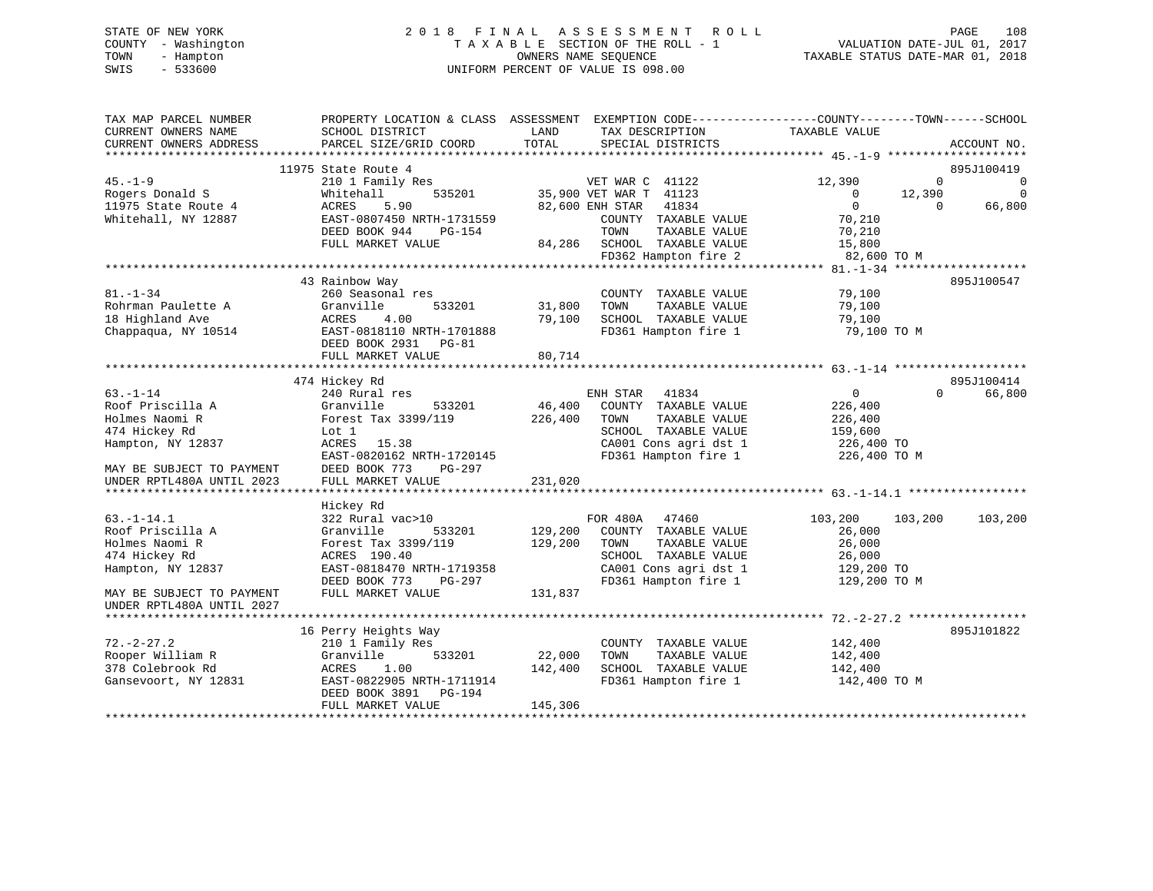# STATE OF NEW YORK 2 0 1 8 F I N A L A S S E S S M E N T R O L L PAGE 108 COUNTY - Washington T A X A B L E SECTION OF THE ROLL - 1 VALUATION DATE-JUL 01, 2017 TOWN - Hampton OWNERS NAME SEQUENCE TAXABLE STATUS DATE-MAR 01, 2018 SWIS - 533600 UNIFORM PERCENT OF VALUE IS 098.00

| 11975 State Route 4<br>895J100419<br>$\mathbf{0}$<br>0<br>210 1 Family Res<br>VET WAR C 41122<br>12,390<br>35,900 VET WAR T 41123<br>Whitehall<br>535201<br>$\overline{0}$<br>12,390<br>0<br>$\mathbf 0$<br>66,800<br>ACRES<br>5.90<br>82,600 ENH STAR<br>41834<br>$\Omega$<br>EAST-0807450 NRTH-1731559<br>70,210<br>COUNTY TAXABLE VALUE<br>DEED BOOK 944<br>TAXABLE VALUE<br>PG-154<br>TOWN<br>70,210<br>FULL MARKET VALUE<br>84,286<br>SCHOOL TAXABLE VALUE<br>15,800<br>FD362 Hampton fire 2<br>82,600 TO M<br>895J100547<br>43 Rainbow Way<br>$81. - 1 - 34$<br>260 Seasonal res<br>COUNTY TAXABLE VALUE<br>79,100<br>31,800<br>Rohrman Paulette A<br>533201<br>79,100<br>Granville<br>TOWN<br>TAXABLE VALUE<br>18 Highland Ave<br>ACRES<br>4.00<br>79,100<br>SCHOOL TAXABLE VALUE<br>79,100<br>Chappaqua, NY 10514<br>FD361 Hampton fire 1<br>79,100 TO M<br>EAST-0818110 NRTH-1701888<br>DEED BOOK 2931<br>$PG-81$<br>FULL MARKET VALUE<br>80,714<br>895J100414<br>474 Hickey Rd<br>66,800<br>$63. - 1 - 14$<br>240 Rural res<br>ENH STAR<br>41834<br>$\overline{0}$<br>$\Omega$<br>Roof Priscilla A<br>46,400<br>COUNTY TAXABLE VALUE<br>226,400<br>Granville<br>533201<br>Holmes Naomi R<br>Forest Tax 3399/119<br>226,400<br>TOWN<br>TAXABLE VALUE<br>226,400<br>474 Hickey Rd<br>SCHOOL TAXABLE VALUE<br>159,600<br>Lot 1<br>Hampton, NY 12837<br>CA001 Cons agri dst 1<br>ACRES 15.38<br>226,400 TO<br>EAST-0820162 NRTH-1720145<br>FD361 Hampton fire 1<br>226,400 TO M<br>MAY BE SUBJECT TO PAYMENT<br>DEED BOOK 773<br>PG-297<br>231,020<br>UNDER RPTL480A UNTIL 2023<br>FULL MARKET VALUE<br>Hickey Rd<br>322 Rural vac>10<br>FOR 480A<br>103,200<br>103,200<br>47460<br>103,200<br>Granville<br>533201<br>129,200<br>COUNTY TAXABLE VALUE<br>26,000<br>Forest Tax 3399/119<br>129,200<br>TAXABLE VALUE<br>26,000<br>TOWN<br>SCHOOL TAXABLE VALUE<br>ACRES 190.40<br>26,000<br>EAST-0818470 NRTH-1719358<br>CA001 Cons agri dst 1<br>129,200 TO<br>FD361 Hampton fire 1<br>DEED BOOK 773<br>129,200 TO M<br>PG-297<br>FULL MARKET VALUE<br>131,837<br>895J101822<br>16 Perry Heights Way<br>210 1 Family Res<br>142,400<br>COUNTY TAXABLE VALUE<br>Rooper William R<br>22,000<br>TAXABLE VALUE<br>Granville<br>533201<br>TOWN<br>142,400<br>ACRES<br>1.00<br>142,400<br>SCHOOL TAXABLE VALUE<br>142,400<br>FD361 Hampton fire 1<br>Gansevoort, NY 12831<br>EAST-0822905 NRTH-1711914<br>142,400 TO M<br>DEED BOOK 3891<br>PG-194<br>145,306<br>FULL MARKET VALUE | TAX MAP PARCEL NUMBER<br>CURRENT OWNERS NAME<br>CURRENT OWNERS ADDRESS | PROPERTY LOCATION & CLASS ASSESSMENT<br>SCHOOL DISTRICT<br>PARCEL SIZE/GRID COORD | LAND<br>TOTAL | EXEMPTION CODE----------------COUNTY-------TOWN------SCHOOL<br>TAX DESCRIPTION<br>SPECIAL DISTRICTS | TAXABLE VALUE | ACCOUNT NO. |
|-----------------------------------------------------------------------------------------------------------------------------------------------------------------------------------------------------------------------------------------------------------------------------------------------------------------------------------------------------------------------------------------------------------------------------------------------------------------------------------------------------------------------------------------------------------------------------------------------------------------------------------------------------------------------------------------------------------------------------------------------------------------------------------------------------------------------------------------------------------------------------------------------------------------------------------------------------------------------------------------------------------------------------------------------------------------------------------------------------------------------------------------------------------------------------------------------------------------------------------------------------------------------------------------------------------------------------------------------------------------------------------------------------------------------------------------------------------------------------------------------------------------------------------------------------------------------------------------------------------------------------------------------------------------------------------------------------------------------------------------------------------------------------------------------------------------------------------------------------------------------------------------------------------------------------------------------------------------------------------------------------------------------------------------------------------------------------------------------------------------------------------------------------------------------------------------------------------------------------------------------------------------------------------------------------------------------------------------------------------------------------------------------------------------------------------------------------------------------------------|------------------------------------------------------------------------|-----------------------------------------------------------------------------------|---------------|-----------------------------------------------------------------------------------------------------|---------------|-------------|
|                                                                                                                                                                                                                                                                                                                                                                                                                                                                                                                                                                                                                                                                                                                                                                                                                                                                                                                                                                                                                                                                                                                                                                                                                                                                                                                                                                                                                                                                                                                                                                                                                                                                                                                                                                                                                                                                                                                                                                                                                                                                                                                                                                                                                                                                                                                                                                                                                                                                                   |                                                                        |                                                                                   |               |                                                                                                     |               |             |
|                                                                                                                                                                                                                                                                                                                                                                                                                                                                                                                                                                                                                                                                                                                                                                                                                                                                                                                                                                                                                                                                                                                                                                                                                                                                                                                                                                                                                                                                                                                                                                                                                                                                                                                                                                                                                                                                                                                                                                                                                                                                                                                                                                                                                                                                                                                                                                                                                                                                                   |                                                                        |                                                                                   |               |                                                                                                     |               |             |
|                                                                                                                                                                                                                                                                                                                                                                                                                                                                                                                                                                                                                                                                                                                                                                                                                                                                                                                                                                                                                                                                                                                                                                                                                                                                                                                                                                                                                                                                                                                                                                                                                                                                                                                                                                                                                                                                                                                                                                                                                                                                                                                                                                                                                                                                                                                                                                                                                                                                                   | $45. - 1 - 9$                                                          |                                                                                   |               |                                                                                                     |               |             |
|                                                                                                                                                                                                                                                                                                                                                                                                                                                                                                                                                                                                                                                                                                                                                                                                                                                                                                                                                                                                                                                                                                                                                                                                                                                                                                                                                                                                                                                                                                                                                                                                                                                                                                                                                                                                                                                                                                                                                                                                                                                                                                                                                                                                                                                                                                                                                                                                                                                                                   | Rogers Donald S                                                        |                                                                                   |               |                                                                                                     |               |             |
|                                                                                                                                                                                                                                                                                                                                                                                                                                                                                                                                                                                                                                                                                                                                                                                                                                                                                                                                                                                                                                                                                                                                                                                                                                                                                                                                                                                                                                                                                                                                                                                                                                                                                                                                                                                                                                                                                                                                                                                                                                                                                                                                                                                                                                                                                                                                                                                                                                                                                   | 11975 State Route 4                                                    |                                                                                   |               |                                                                                                     |               |             |
|                                                                                                                                                                                                                                                                                                                                                                                                                                                                                                                                                                                                                                                                                                                                                                                                                                                                                                                                                                                                                                                                                                                                                                                                                                                                                                                                                                                                                                                                                                                                                                                                                                                                                                                                                                                                                                                                                                                                                                                                                                                                                                                                                                                                                                                                                                                                                                                                                                                                                   | Whitehall, NY 12887                                                    |                                                                                   |               |                                                                                                     |               |             |
|                                                                                                                                                                                                                                                                                                                                                                                                                                                                                                                                                                                                                                                                                                                                                                                                                                                                                                                                                                                                                                                                                                                                                                                                                                                                                                                                                                                                                                                                                                                                                                                                                                                                                                                                                                                                                                                                                                                                                                                                                                                                                                                                                                                                                                                                                                                                                                                                                                                                                   |                                                                        |                                                                                   |               |                                                                                                     |               |             |
|                                                                                                                                                                                                                                                                                                                                                                                                                                                                                                                                                                                                                                                                                                                                                                                                                                                                                                                                                                                                                                                                                                                                                                                                                                                                                                                                                                                                                                                                                                                                                                                                                                                                                                                                                                                                                                                                                                                                                                                                                                                                                                                                                                                                                                                                                                                                                                                                                                                                                   |                                                                        |                                                                                   |               |                                                                                                     |               |             |
|                                                                                                                                                                                                                                                                                                                                                                                                                                                                                                                                                                                                                                                                                                                                                                                                                                                                                                                                                                                                                                                                                                                                                                                                                                                                                                                                                                                                                                                                                                                                                                                                                                                                                                                                                                                                                                                                                                                                                                                                                                                                                                                                                                                                                                                                                                                                                                                                                                                                                   |                                                                        |                                                                                   |               |                                                                                                     |               |             |
|                                                                                                                                                                                                                                                                                                                                                                                                                                                                                                                                                                                                                                                                                                                                                                                                                                                                                                                                                                                                                                                                                                                                                                                                                                                                                                                                                                                                                                                                                                                                                                                                                                                                                                                                                                                                                                                                                                                                                                                                                                                                                                                                                                                                                                                                                                                                                                                                                                                                                   |                                                                        |                                                                                   |               |                                                                                                     |               |             |
|                                                                                                                                                                                                                                                                                                                                                                                                                                                                                                                                                                                                                                                                                                                                                                                                                                                                                                                                                                                                                                                                                                                                                                                                                                                                                                                                                                                                                                                                                                                                                                                                                                                                                                                                                                                                                                                                                                                                                                                                                                                                                                                                                                                                                                                                                                                                                                                                                                                                                   |                                                                        |                                                                                   |               |                                                                                                     |               |             |
|                                                                                                                                                                                                                                                                                                                                                                                                                                                                                                                                                                                                                                                                                                                                                                                                                                                                                                                                                                                                                                                                                                                                                                                                                                                                                                                                                                                                                                                                                                                                                                                                                                                                                                                                                                                                                                                                                                                                                                                                                                                                                                                                                                                                                                                                                                                                                                                                                                                                                   |                                                                        |                                                                                   |               |                                                                                                     |               |             |
|                                                                                                                                                                                                                                                                                                                                                                                                                                                                                                                                                                                                                                                                                                                                                                                                                                                                                                                                                                                                                                                                                                                                                                                                                                                                                                                                                                                                                                                                                                                                                                                                                                                                                                                                                                                                                                                                                                                                                                                                                                                                                                                                                                                                                                                                                                                                                                                                                                                                                   |                                                                        |                                                                                   |               |                                                                                                     |               |             |
|                                                                                                                                                                                                                                                                                                                                                                                                                                                                                                                                                                                                                                                                                                                                                                                                                                                                                                                                                                                                                                                                                                                                                                                                                                                                                                                                                                                                                                                                                                                                                                                                                                                                                                                                                                                                                                                                                                                                                                                                                                                                                                                                                                                                                                                                                                                                                                                                                                                                                   |                                                                        |                                                                                   |               |                                                                                                     |               |             |
|                                                                                                                                                                                                                                                                                                                                                                                                                                                                                                                                                                                                                                                                                                                                                                                                                                                                                                                                                                                                                                                                                                                                                                                                                                                                                                                                                                                                                                                                                                                                                                                                                                                                                                                                                                                                                                                                                                                                                                                                                                                                                                                                                                                                                                                                                                                                                                                                                                                                                   |                                                                        |                                                                                   |               |                                                                                                     |               |             |
|                                                                                                                                                                                                                                                                                                                                                                                                                                                                                                                                                                                                                                                                                                                                                                                                                                                                                                                                                                                                                                                                                                                                                                                                                                                                                                                                                                                                                                                                                                                                                                                                                                                                                                                                                                                                                                                                                                                                                                                                                                                                                                                                                                                                                                                                                                                                                                                                                                                                                   |                                                                        |                                                                                   |               |                                                                                                     |               |             |
|                                                                                                                                                                                                                                                                                                                                                                                                                                                                                                                                                                                                                                                                                                                                                                                                                                                                                                                                                                                                                                                                                                                                                                                                                                                                                                                                                                                                                                                                                                                                                                                                                                                                                                                                                                                                                                                                                                                                                                                                                                                                                                                                                                                                                                                                                                                                                                                                                                                                                   |                                                                        |                                                                                   |               |                                                                                                     |               |             |
|                                                                                                                                                                                                                                                                                                                                                                                                                                                                                                                                                                                                                                                                                                                                                                                                                                                                                                                                                                                                                                                                                                                                                                                                                                                                                                                                                                                                                                                                                                                                                                                                                                                                                                                                                                                                                                                                                                                                                                                                                                                                                                                                                                                                                                                                                                                                                                                                                                                                                   |                                                                        |                                                                                   |               |                                                                                                     |               |             |
|                                                                                                                                                                                                                                                                                                                                                                                                                                                                                                                                                                                                                                                                                                                                                                                                                                                                                                                                                                                                                                                                                                                                                                                                                                                                                                                                                                                                                                                                                                                                                                                                                                                                                                                                                                                                                                                                                                                                                                                                                                                                                                                                                                                                                                                                                                                                                                                                                                                                                   |                                                                        |                                                                                   |               |                                                                                                     |               |             |
|                                                                                                                                                                                                                                                                                                                                                                                                                                                                                                                                                                                                                                                                                                                                                                                                                                                                                                                                                                                                                                                                                                                                                                                                                                                                                                                                                                                                                                                                                                                                                                                                                                                                                                                                                                                                                                                                                                                                                                                                                                                                                                                                                                                                                                                                                                                                                                                                                                                                                   |                                                                        |                                                                                   |               |                                                                                                     |               |             |
|                                                                                                                                                                                                                                                                                                                                                                                                                                                                                                                                                                                                                                                                                                                                                                                                                                                                                                                                                                                                                                                                                                                                                                                                                                                                                                                                                                                                                                                                                                                                                                                                                                                                                                                                                                                                                                                                                                                                                                                                                                                                                                                                                                                                                                                                                                                                                                                                                                                                                   |                                                                        |                                                                                   |               |                                                                                                     |               |             |
|                                                                                                                                                                                                                                                                                                                                                                                                                                                                                                                                                                                                                                                                                                                                                                                                                                                                                                                                                                                                                                                                                                                                                                                                                                                                                                                                                                                                                                                                                                                                                                                                                                                                                                                                                                                                                                                                                                                                                                                                                                                                                                                                                                                                                                                                                                                                                                                                                                                                                   |                                                                        |                                                                                   |               |                                                                                                     |               |             |
|                                                                                                                                                                                                                                                                                                                                                                                                                                                                                                                                                                                                                                                                                                                                                                                                                                                                                                                                                                                                                                                                                                                                                                                                                                                                                                                                                                                                                                                                                                                                                                                                                                                                                                                                                                                                                                                                                                                                                                                                                                                                                                                                                                                                                                                                                                                                                                                                                                                                                   |                                                                        |                                                                                   |               |                                                                                                     |               |             |
|                                                                                                                                                                                                                                                                                                                                                                                                                                                                                                                                                                                                                                                                                                                                                                                                                                                                                                                                                                                                                                                                                                                                                                                                                                                                                                                                                                                                                                                                                                                                                                                                                                                                                                                                                                                                                                                                                                                                                                                                                                                                                                                                                                                                                                                                                                                                                                                                                                                                                   |                                                                        |                                                                                   |               |                                                                                                     |               |             |
|                                                                                                                                                                                                                                                                                                                                                                                                                                                                                                                                                                                                                                                                                                                                                                                                                                                                                                                                                                                                                                                                                                                                                                                                                                                                                                                                                                                                                                                                                                                                                                                                                                                                                                                                                                                                                                                                                                                                                                                                                                                                                                                                                                                                                                                                                                                                                                                                                                                                                   |                                                                        |                                                                                   |               |                                                                                                     |               |             |
|                                                                                                                                                                                                                                                                                                                                                                                                                                                                                                                                                                                                                                                                                                                                                                                                                                                                                                                                                                                                                                                                                                                                                                                                                                                                                                                                                                                                                                                                                                                                                                                                                                                                                                                                                                                                                                                                                                                                                                                                                                                                                                                                                                                                                                                                                                                                                                                                                                                                                   |                                                                        |                                                                                   |               |                                                                                                     |               |             |
|                                                                                                                                                                                                                                                                                                                                                                                                                                                                                                                                                                                                                                                                                                                                                                                                                                                                                                                                                                                                                                                                                                                                                                                                                                                                                                                                                                                                                                                                                                                                                                                                                                                                                                                                                                                                                                                                                                                                                                                                                                                                                                                                                                                                                                                                                                                                                                                                                                                                                   |                                                                        |                                                                                   |               |                                                                                                     |               |             |
|                                                                                                                                                                                                                                                                                                                                                                                                                                                                                                                                                                                                                                                                                                                                                                                                                                                                                                                                                                                                                                                                                                                                                                                                                                                                                                                                                                                                                                                                                                                                                                                                                                                                                                                                                                                                                                                                                                                                                                                                                                                                                                                                                                                                                                                                                                                                                                                                                                                                                   |                                                                        |                                                                                   |               |                                                                                                     |               |             |
|                                                                                                                                                                                                                                                                                                                                                                                                                                                                                                                                                                                                                                                                                                                                                                                                                                                                                                                                                                                                                                                                                                                                                                                                                                                                                                                                                                                                                                                                                                                                                                                                                                                                                                                                                                                                                                                                                                                                                                                                                                                                                                                                                                                                                                                                                                                                                                                                                                                                                   | $63. - 1 - 14.1$                                                       |                                                                                   |               |                                                                                                     |               |             |
|                                                                                                                                                                                                                                                                                                                                                                                                                                                                                                                                                                                                                                                                                                                                                                                                                                                                                                                                                                                                                                                                                                                                                                                                                                                                                                                                                                                                                                                                                                                                                                                                                                                                                                                                                                                                                                                                                                                                                                                                                                                                                                                                                                                                                                                                                                                                                                                                                                                                                   | Roof Priscilla A                                                       |                                                                                   |               |                                                                                                     |               |             |
|                                                                                                                                                                                                                                                                                                                                                                                                                                                                                                                                                                                                                                                                                                                                                                                                                                                                                                                                                                                                                                                                                                                                                                                                                                                                                                                                                                                                                                                                                                                                                                                                                                                                                                                                                                                                                                                                                                                                                                                                                                                                                                                                                                                                                                                                                                                                                                                                                                                                                   | Holmes Naomi R                                                         |                                                                                   |               |                                                                                                     |               |             |
|                                                                                                                                                                                                                                                                                                                                                                                                                                                                                                                                                                                                                                                                                                                                                                                                                                                                                                                                                                                                                                                                                                                                                                                                                                                                                                                                                                                                                                                                                                                                                                                                                                                                                                                                                                                                                                                                                                                                                                                                                                                                                                                                                                                                                                                                                                                                                                                                                                                                                   | 474 Hickey Rd                                                          |                                                                                   |               |                                                                                                     |               |             |
|                                                                                                                                                                                                                                                                                                                                                                                                                                                                                                                                                                                                                                                                                                                                                                                                                                                                                                                                                                                                                                                                                                                                                                                                                                                                                                                                                                                                                                                                                                                                                                                                                                                                                                                                                                                                                                                                                                                                                                                                                                                                                                                                                                                                                                                                                                                                                                                                                                                                                   | Hampton, NY 12837                                                      |                                                                                   |               |                                                                                                     |               |             |
|                                                                                                                                                                                                                                                                                                                                                                                                                                                                                                                                                                                                                                                                                                                                                                                                                                                                                                                                                                                                                                                                                                                                                                                                                                                                                                                                                                                                                                                                                                                                                                                                                                                                                                                                                                                                                                                                                                                                                                                                                                                                                                                                                                                                                                                                                                                                                                                                                                                                                   |                                                                        |                                                                                   |               |                                                                                                     |               |             |
|                                                                                                                                                                                                                                                                                                                                                                                                                                                                                                                                                                                                                                                                                                                                                                                                                                                                                                                                                                                                                                                                                                                                                                                                                                                                                                                                                                                                                                                                                                                                                                                                                                                                                                                                                                                                                                                                                                                                                                                                                                                                                                                                                                                                                                                                                                                                                                                                                                                                                   | MAY BE SUBJECT TO PAYMENT                                              |                                                                                   |               |                                                                                                     |               |             |
|                                                                                                                                                                                                                                                                                                                                                                                                                                                                                                                                                                                                                                                                                                                                                                                                                                                                                                                                                                                                                                                                                                                                                                                                                                                                                                                                                                                                                                                                                                                                                                                                                                                                                                                                                                                                                                                                                                                                                                                                                                                                                                                                                                                                                                                                                                                                                                                                                                                                                   | UNDER RPTL480A UNTIL 2027                                              |                                                                                   |               |                                                                                                     |               |             |
|                                                                                                                                                                                                                                                                                                                                                                                                                                                                                                                                                                                                                                                                                                                                                                                                                                                                                                                                                                                                                                                                                                                                                                                                                                                                                                                                                                                                                                                                                                                                                                                                                                                                                                                                                                                                                                                                                                                                                                                                                                                                                                                                                                                                                                                                                                                                                                                                                                                                                   |                                                                        |                                                                                   |               |                                                                                                     |               |             |
|                                                                                                                                                                                                                                                                                                                                                                                                                                                                                                                                                                                                                                                                                                                                                                                                                                                                                                                                                                                                                                                                                                                                                                                                                                                                                                                                                                                                                                                                                                                                                                                                                                                                                                                                                                                                                                                                                                                                                                                                                                                                                                                                                                                                                                                                                                                                                                                                                                                                                   |                                                                        |                                                                                   |               |                                                                                                     |               |             |
|                                                                                                                                                                                                                                                                                                                                                                                                                                                                                                                                                                                                                                                                                                                                                                                                                                                                                                                                                                                                                                                                                                                                                                                                                                                                                                                                                                                                                                                                                                                                                                                                                                                                                                                                                                                                                                                                                                                                                                                                                                                                                                                                                                                                                                                                                                                                                                                                                                                                                   | $72. - 2 - 27.2$                                                       |                                                                                   |               |                                                                                                     |               |             |
|                                                                                                                                                                                                                                                                                                                                                                                                                                                                                                                                                                                                                                                                                                                                                                                                                                                                                                                                                                                                                                                                                                                                                                                                                                                                                                                                                                                                                                                                                                                                                                                                                                                                                                                                                                                                                                                                                                                                                                                                                                                                                                                                                                                                                                                                                                                                                                                                                                                                                   |                                                                        |                                                                                   |               |                                                                                                     |               |             |
|                                                                                                                                                                                                                                                                                                                                                                                                                                                                                                                                                                                                                                                                                                                                                                                                                                                                                                                                                                                                                                                                                                                                                                                                                                                                                                                                                                                                                                                                                                                                                                                                                                                                                                                                                                                                                                                                                                                                                                                                                                                                                                                                                                                                                                                                                                                                                                                                                                                                                   | 378 Colebrook Rd                                                       |                                                                                   |               |                                                                                                     |               |             |
|                                                                                                                                                                                                                                                                                                                                                                                                                                                                                                                                                                                                                                                                                                                                                                                                                                                                                                                                                                                                                                                                                                                                                                                                                                                                                                                                                                                                                                                                                                                                                                                                                                                                                                                                                                                                                                                                                                                                                                                                                                                                                                                                                                                                                                                                                                                                                                                                                                                                                   |                                                                        |                                                                                   |               |                                                                                                     |               |             |
|                                                                                                                                                                                                                                                                                                                                                                                                                                                                                                                                                                                                                                                                                                                                                                                                                                                                                                                                                                                                                                                                                                                                                                                                                                                                                                                                                                                                                                                                                                                                                                                                                                                                                                                                                                                                                                                                                                                                                                                                                                                                                                                                                                                                                                                                                                                                                                                                                                                                                   |                                                                        |                                                                                   |               |                                                                                                     |               |             |
|                                                                                                                                                                                                                                                                                                                                                                                                                                                                                                                                                                                                                                                                                                                                                                                                                                                                                                                                                                                                                                                                                                                                                                                                                                                                                                                                                                                                                                                                                                                                                                                                                                                                                                                                                                                                                                                                                                                                                                                                                                                                                                                                                                                                                                                                                                                                                                                                                                                                                   |                                                                        |                                                                                   |               |                                                                                                     |               |             |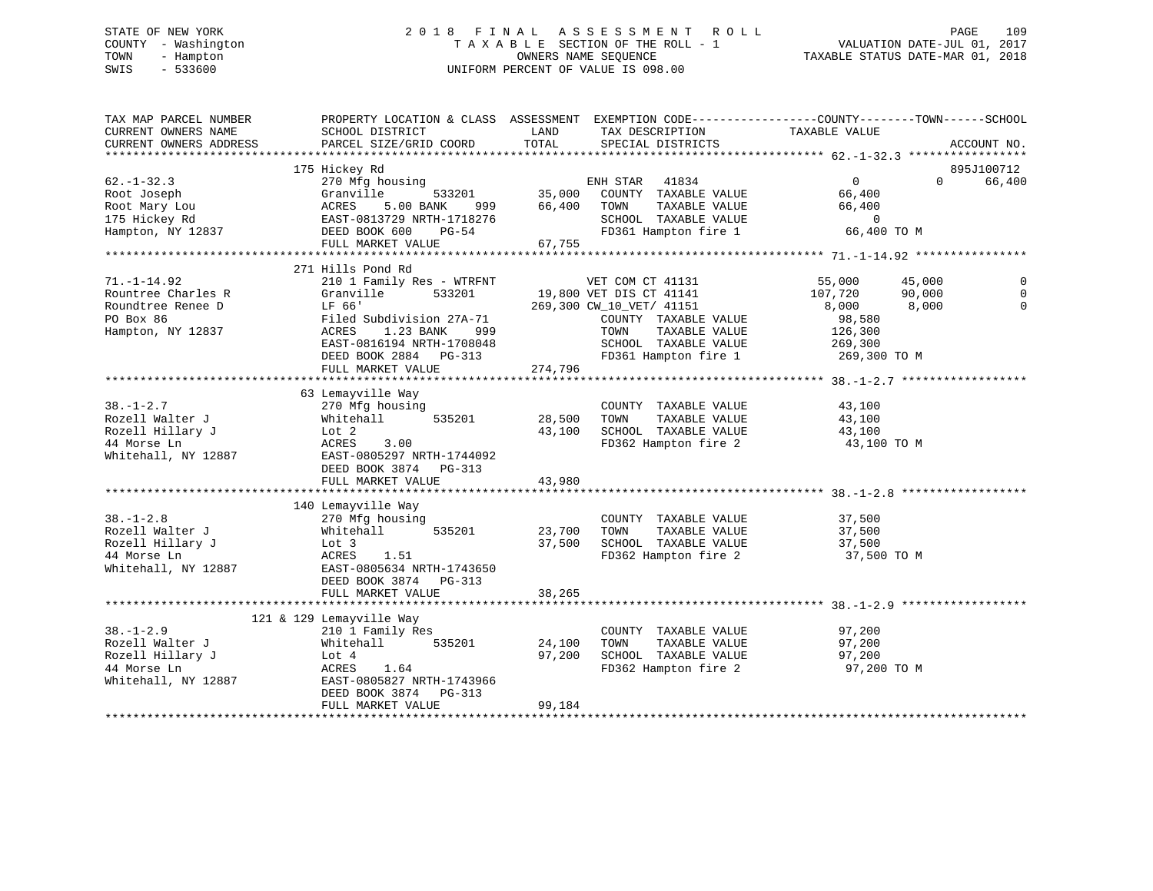# STATE OF NEW YORK 2 0 1 8 F I N A L A S S E S S M E N T R O L L PAGE 109 COUNTY - Washington T A X A B L E SECTION OF THE ROLL - 1 VALUATION DATE-JUL 01, 2017 TOWN - Hampton OWNERS NAME SEQUENCE TAXABLE STATUS DATE-MAR 01, 2018 SWIS - 533600 UNIFORM PERCENT OF VALUE IS 098.00

| TAX MAP PARCEL NUMBER<br>CURRENT OWNERS NAME<br>CURRENT OWNERS ADDRESS                                | SCHOOL DISTRICT<br>PARCEL SIZE/GRID COORD                                                                                                                                                      | PROPERTY LOCATION & CLASS ASSESSMENT EXEMPTION CODE----------------COUNTY-------TOWN------SCHOOL<br>LAND<br>TAX DESCRIPTION<br>TOTAL<br>SPECIAL DISTRICTS   | TAXABLE VALUE                                                                                                                | ACCOUNT NO.    |
|-------------------------------------------------------------------------------------------------------|------------------------------------------------------------------------------------------------------------------------------------------------------------------------------------------------|-------------------------------------------------------------------------------------------------------------------------------------------------------------|------------------------------------------------------------------------------------------------------------------------------|----------------|
|                                                                                                       |                                                                                                                                                                                                |                                                                                                                                                             |                                                                                                                              |                |
|                                                                                                       | 175 Hickey Rd                                                                                                                                                                                  |                                                                                                                                                             |                                                                                                                              | 895J100712     |
| $62. - 1 - 32.3$<br>Root Joseph<br>Root Mary Lou<br>175 Hickey Rd<br>$1/5$ minis<br>Hampton, NY 12837 | 270 Mfg housing<br>Granville<br>ACRES 5.00 DANA<br>EAST-0813729 NRTH-1718276<br>DEED BOOK 600 PG-54                                                                                            | ENH STAR 41834<br>533201 35,000<br>COUNTY TAXABLE VALUE<br>66,400<br>TOWN<br>TAXABLE VALUE<br>SCHOOL TAXABLE VALUE<br>FD361 Hampton fire 1                  | $\overline{0}$<br>$\Omega$<br>66,400<br>66,400<br>$\overline{0}$<br>66,400 TO M                                              | 66,400         |
|                                                                                                       | FULL MARKET VALUE                                                                                                                                                                              | 67,755                                                                                                                                                      |                                                                                                                              |                |
|                                                                                                       | 271 Hills Pond Rd                                                                                                                                                                              |                                                                                                                                                             |                                                                                                                              |                |
| $71. - 1 - 14.92$<br>Rountree Charles R<br>Roundtree Renee D<br>PO Box 86<br>Hampton, NY 12837        | 210 1 Family Res - WTRFNT<br>Granville<br>533201<br>LF 66'<br>Filed Subdivision 27A-71<br>1.23 BANK<br>ACRES<br>999<br>EAST-0816194 NRTH-1708048<br>DEED BOOK 2884 PG-313<br>FULL MARKET VALUE | VET COM CT 41131<br>19,800 VET DIS CT 41141<br>269,300 CW_10_VET/ 41151<br>COUNTY TAXABLE VALUE<br>TAXABLE VALUE<br>TOWN<br>SCHOOL TAXABLE VALUE<br>274,796 | 55,000<br>45,000<br>107,720<br>90,000<br>8,000<br>8,000<br>98,580<br>126,300<br>269,300<br>FD361 Hampton fire 1 269,300 TO M | $\overline{0}$ |
|                                                                                                       |                                                                                                                                                                                                |                                                                                                                                                             |                                                                                                                              |                |
| $38. - 1 - 2.7$<br>Rozell Walter J<br>Rozell Hillary J<br>44 Morse Ln<br>Whitehall, NY 12887          | 63 Lemayville Way<br>270 Mfg housing<br>535201<br>Whitehall<br>willte<br>Lot 2<br>Acr<br>3.00<br>EAST-0805297 NRTH-1744092<br>DEED BOOK 3874 PG-313<br>FULL MARKET VALUE                       | COUNTY TAXABLE VALUE<br>28,500<br>TAXABLE VALUE<br>TOWN<br>43,100<br>SCHOOL TAXABLE VALUE<br>FD362 Hampton fire 2<br>43,980                                 | 43,100<br>43,100<br>43,100<br>43,100 TO M                                                                                    |                |
|                                                                                                       |                                                                                                                                                                                                |                                                                                                                                                             |                                                                                                                              |                |
| $38. - 1 - 2.8$<br>Rozell Walter J<br>Rozell Hillary J<br>44 Morse Ln<br>Whitehall, NY 12887          | 140 Lemayville Way<br>270 Mfg housing<br>535201<br>Whitehall<br>Lot 3<br>ACRES<br>1.51<br>EAST-0805634 NRTH-1743650<br>DEED BOOK 3874 PG-313                                                   | COUNTY TAXABLE VALUE<br>TAXABLE VALUE<br>23,700<br>TOWN<br>37,500<br>SCHOOL TAXABLE VALUE<br>FD362 Hampton fire 2                                           | 37,500<br>37,500<br>37,500<br>37,500 TO M                                                                                    |                |
|                                                                                                       | FULL MARKET VALUE                                                                                                                                                                              | 38,265                                                                                                                                                      |                                                                                                                              |                |
|                                                                                                       |                                                                                                                                                                                                |                                                                                                                                                             |                                                                                                                              |                |
| $38. - 1 - 2.9$<br>Rozell Walter J<br>Rozell Hillary J<br>44 Morse Ln<br>Whitehall, NY 12887          | 121 & 129 Lemayville Way<br>210 1 Family Res<br>Whitehall<br>535201<br>Lot 4<br>ACRES 1.64<br>EAST-0805827 NRTH-1743966<br>DEED BOOK 3874 PG-313<br>FULL MARKET VALUE                          | COUNTY TAXABLE VALUE<br>24,100<br>TOWN<br>TAXABLE VALUE<br>97,200<br>SCHOOL TAXABLE VALUE<br>FD362 Hampton fire 2<br>99,184                                 | 97,200<br>97,200<br>97,200<br>97,200 TO M                                                                                    |                |
|                                                                                                       |                                                                                                                                                                                                |                                                                                                                                                             |                                                                                                                              |                |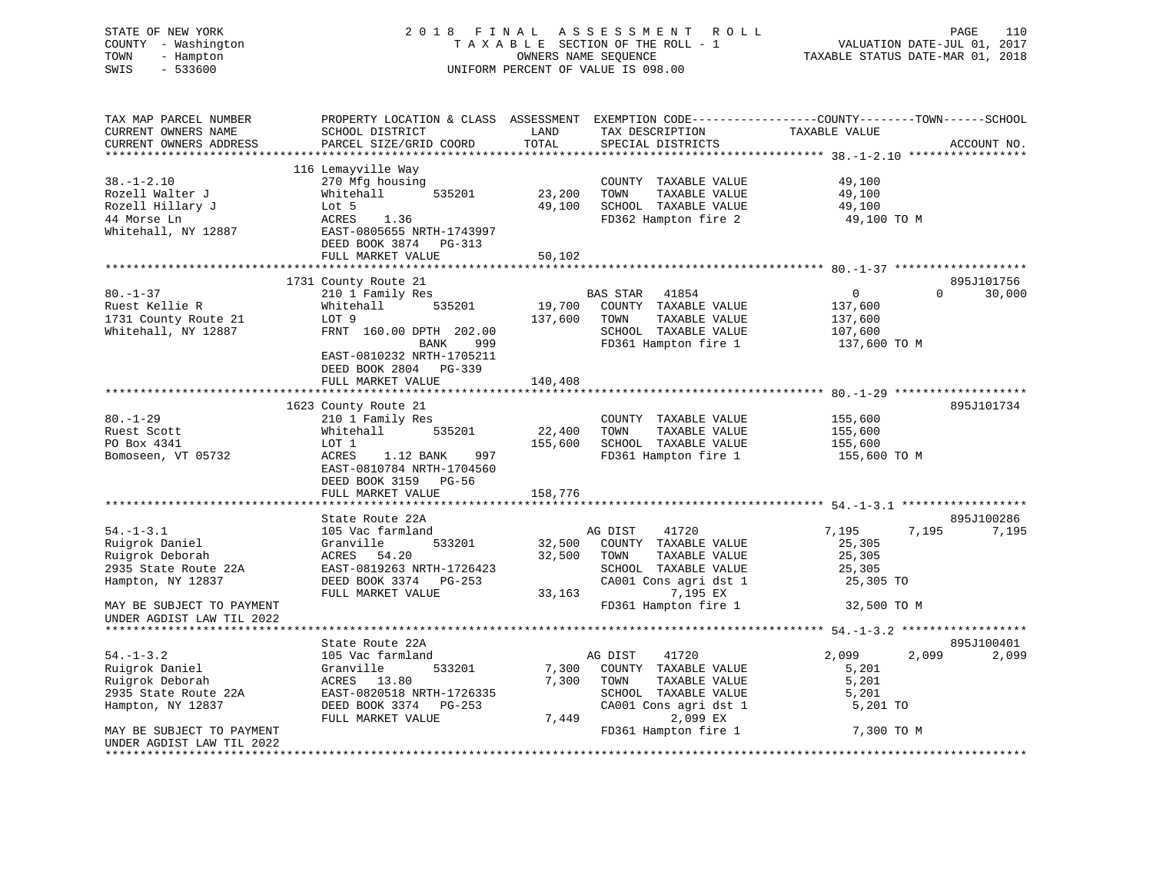| STATE OF NEW YORK<br>COUNTY - Washington<br>- Hampton<br>TOWN<br>$-533600$<br>SWIS |                                                                                                                                             |               | 2018 FINAL ASSESSMENT ROLL<br>TAXABLE SECTION OF THE ROLL - 1<br>OWNERS NAME SEQUENCE<br>UNIFORM PERCENT OF VALUE IS 098.00 | VALUATION DATE-JUL 01, 2017<br>VALUATION DATE-JUL 01, 2017<br>TAXABLE STATUS DATE-MAR 01, 2018 | PAGE<br>110                               |
|------------------------------------------------------------------------------------|---------------------------------------------------------------------------------------------------------------------------------------------|---------------|-----------------------------------------------------------------------------------------------------------------------------|------------------------------------------------------------------------------------------------|-------------------------------------------|
| TAX MAP PARCEL NUMBER<br>CURRENT OWNERS NAME<br>CURRENT OWNERS ADDRESS             | PROPERTY LOCATION & CLASS ASSESSMENT EXEMPTION CODE---------------COUNTY-------TOWN-----SCHOOL<br>SCHOOL DISTRICT<br>PARCEL SIZE/GRID COORD | LAND<br>TOTAL | TAX DESCRIPTION<br>SPECIAL DISTRICTS<br>SPECIAL DISTRICTS                                                                   |                                                                                                | ACCOUNT NO.                               |
| ***********************                                                            |                                                                                                                                             |               |                                                                                                                             |                                                                                                |                                           |
|                                                                                    | 116 Lemayville Way                                                                                                                          |               |                                                                                                                             |                                                                                                |                                           |
| $38. - 1 - 2.10$                                                                   | 270 Mfg housing                                                                                                                             |               | COUNTY TAXABLE VALUE                                                                                                        | 49,100                                                                                         |                                           |
| Rozell Walter J                                                                    | Whitehall<br>535201                                                                                                                         | 23,200        | TOWN<br>TAXABLE VALUE                                                                                                       | 49,100                                                                                         |                                           |
| Rozell Hillary J                                                                   | Lot 5                                                                                                                                       | 49,100        | SCHOOL TAXABLE VALUE                                                                                                        | 49,100                                                                                         |                                           |
| 44 Morse Ln<br>Whitehall, NY 12887                                                 | ACRES<br>1.36<br>EAST-0805655 NRTH-1743997<br>DEED BOOK 3874 PG-313                                                                         |               | FD362 Hampton fire 2                                                                                                        | 49,100 TO M                                                                                    |                                           |
|                                                                                    | FULL MARKET VALUE                                                                                                                           | 50,102        |                                                                                                                             |                                                                                                |                                           |
|                                                                                    |                                                                                                                                             |               |                                                                                                                             |                                                                                                |                                           |
| $80. - 1 - 37$                                                                     | 1731 County Route 21                                                                                                                        |               | BAS STAR<br>41854                                                                                                           | $\overline{0}$                                                                                 | 895J101756<br>$0 \qquad \qquad$<br>30,000 |
| Ruest Kellie R                                                                     | 210 1 Family Res<br>Whitehall 535201                                                                                                        |               | 19,700 COUNTY TAXABLE VALUE                                                                                                 | 137,600                                                                                        |                                           |
| 1731 County Route 21<br>1731 County Route 21                                       | LOT 9                                                                                                                                       | 137,600       | TOWN<br>TAXABLE VALUE                                                                                                       | 137,600                                                                                        |                                           |
|                                                                                    | FRNT 160.00 DPTH 202.00                                                                                                                     |               | SCHOOL TAXABLE VALUE                                                                                                        | 107,600                                                                                        |                                           |
|                                                                                    | BANK<br>999                                                                                                                                 |               | FD361 Hampton fire 1                                                                                                        | 137,600 TO M                                                                                   |                                           |
|                                                                                    | EAST-0810232 NRTH-1705211                                                                                                                   |               |                                                                                                                             |                                                                                                |                                           |
|                                                                                    | DEED BOOK 2804 PG-339                                                                                                                       |               |                                                                                                                             |                                                                                                |                                           |
|                                                                                    | FULL MARKET VALUE<br>*******************************                                                                                        | 140,408       |                                                                                                                             |                                                                                                |                                           |
|                                                                                    | 1623 County Route 21                                                                                                                        |               |                                                                                                                             |                                                                                                | 895J101734                                |
| $80. - 1 - 29$                                                                     | 210 1 Family Res                                                                                                                            |               | COUNTY TAXABLE VALUE                                                                                                        | 155,600                                                                                        |                                           |
| Ruest Scott                                                                        | Whitehall<br>535201                                                                                                                         | 22,400        | TOWN<br>TAXABLE VALUE                                                                                                       | 155,600                                                                                        |                                           |
| PO Box 4341                                                                        | LOT 1                                                                                                                                       | 155,600       | SCHOOL TAXABLE VALUE                                                                                                        | 155,600                                                                                        |                                           |
| Bomoseen, VT 05732                                                                 | ACRES<br>1.12 BANK 997<br>EAST-0810784 NRTH-1704560<br>DEED BOOK 3159 PG-56                                                                 |               | FD361 Hampton fire 1                                                                                                        | 155,600 TO M                                                                                   |                                           |
|                                                                                    | FULL MARKET VALUE                                                                                                                           | 158,776       |                                                                                                                             |                                                                                                |                                           |
|                                                                                    |                                                                                                                                             |               |                                                                                                                             | ************************** 54.-1-3.1 ******************                                        |                                           |
|                                                                                    | State Route 22A                                                                                                                             |               |                                                                                                                             |                                                                                                | 895J100286                                |
| $54. - 1 - 3.1$                                                                    | 105 Vac farmland                                                                                                                            |               | 41720<br>AG DIST                                                                                                            | 7,195                                                                                          | 7,195<br>7,195                            |
| Ruigrok Daniel                                                                     | 533201<br>Granville                                                                                                                         |               | 32,500 COUNTY TAXABLE VALUE                                                                                                 | 25,305                                                                                         |                                           |
| Ruigrok Deborah<br>2935 State Route 22A                                            | ACRES<br>54.20<br>EAST-0819263 NRTH-1726423                                                                                                 | 32,500        | TOWN<br>TAXABLE VALUE<br>SCHOOL TAXABLE VALUE                                                                               | 25,305<br>25,305                                                                               |                                           |
| Hampton, NY 12837                                                                  | DEED BOOK 3374 PG-253                                                                                                                       |               | CA001 Cons agri dst 1                                                                                                       | 25,305 TO                                                                                      |                                           |
|                                                                                    | FULL MARKET VALUE                                                                                                                           |               | 33,163 7,195 EX                                                                                                             |                                                                                                |                                           |
| MAY BE SUBJECT TO PAYMENT<br>UNDER AGDIST LAW TIL 2022                             |                                                                                                                                             |               | FD361 Hampton fire 1                                                                                                        | 32,500 TO M                                                                                    |                                           |
|                                                                                    |                                                                                                                                             |               |                                                                                                                             |                                                                                                |                                           |
| $54. - 1 - 3.2$                                                                    | State Route 22A<br>105 Vac farmland                                                                                                         |               | AG DIST<br>41720                                                                                                            | 2,099                                                                                          | 895J100401<br>2,099<br>2,099              |
| Ruigrok Daniel                                                                     | 533201<br>Granville                                                                                                                         | 7,300         | COUNTY TAXABLE VALUE                                                                                                        | 5,201                                                                                          |                                           |
| Ruigrok Deborah                                                                    | ACRES 13.80                                                                                                                                 | 7,300         | TOWN<br>TAXABLE VALUE                                                                                                       | 5,201                                                                                          |                                           |
| 2935 State Route 22A                                                               | EAST-0820518 NRTH-1726335                                                                                                                   |               | SCHOOL TAXABLE VALUE                                                                                                        | 5,201                                                                                          |                                           |
| Hampton, NY 12837                                                                  | DEED BOOK 3374 PG-253                                                                                                                       |               | CA001 Cons agri dst 1                                                                                                       | 5,201 TO                                                                                       |                                           |
|                                                                                    | FULL MARKET VALUE                                                                                                                           | 7,449         | 2,099 EX                                                                                                                    |                                                                                                |                                           |
| MAY BE SUBJECT TO PAYMENT                                                          |                                                                                                                                             |               | FD361 Hampton fire 1                                                                                                        | 7,300 TO M                                                                                     |                                           |
| UNDER AGDIST LAW TIL 2022<br>**************************                            |                                                                                                                                             |               |                                                                                                                             |                                                                                                |                                           |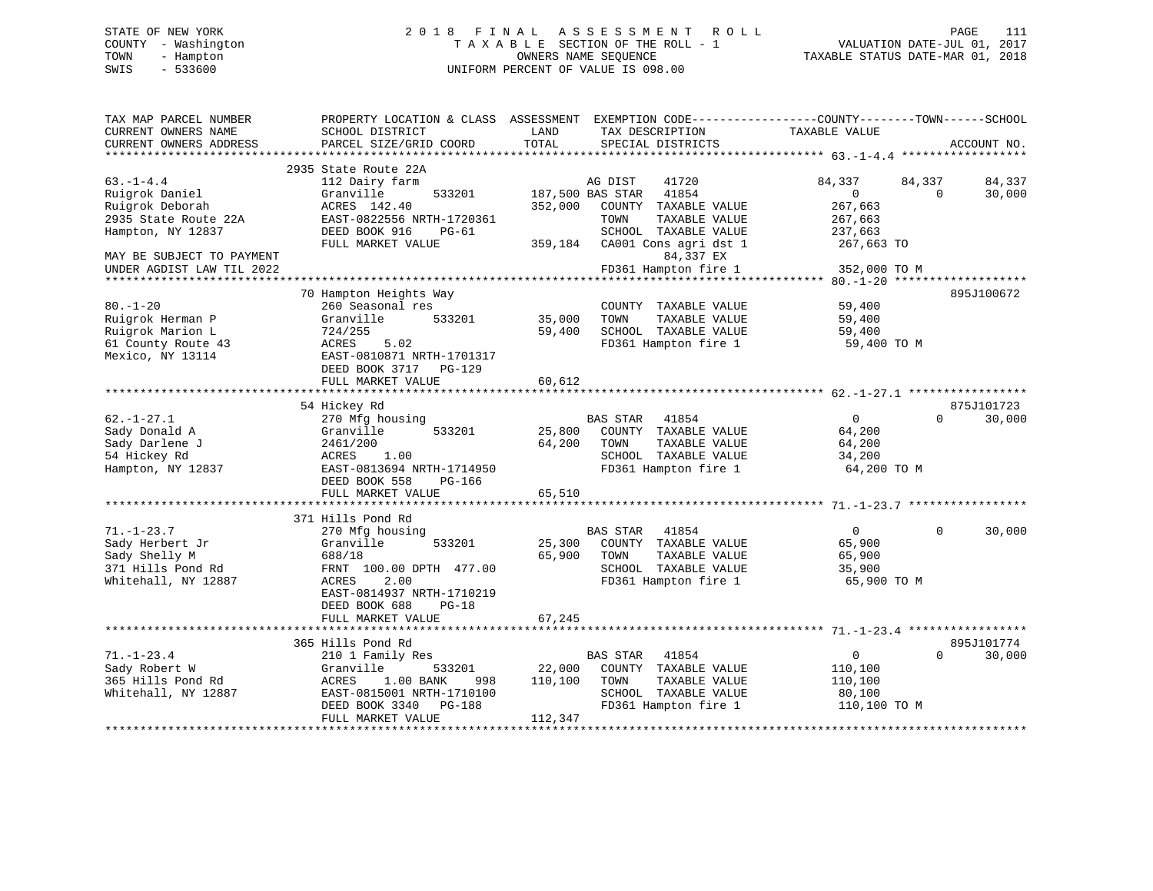# STATE OF NEW YORK 2 0 1 8 F I N A L A S S E S S M E N T R O L L PAGE 111 COUNTY - Washington T A X A B L E SECTION OF THE ROLL - 1 VALUATION DATE-JUL 01, 2017 TOWN - Hampton OWNERS NAME SEQUENCE TAXABLE STATUS DATE-MAR 01, 2018 SWIS - 533600 UNIFORM PERCENT OF VALUE IS 098.00

| TAX MAP PARCEL NUMBER<br>CURRENT OWNERS NAME<br>CURRENT OWNERS ADDRESS                                                        | PROPERTY LOCATION & CLASS ASSESSMENT<br>SCHOOL DISTRICT<br>PARCEL SIZE/GRID COORD                                                                                  | LAND<br>TOTAL                | EXEMPTION CODE-----------------COUNTY-------TOWN------SCHOOL<br>TAX DESCRIPTION<br>SPECIAL DISTRICTS                                                         | TAXABLE VALUE                                                        | ACCOUNT NO.                            |
|-------------------------------------------------------------------------------------------------------------------------------|--------------------------------------------------------------------------------------------------------------------------------------------------------------------|------------------------------|--------------------------------------------------------------------------------------------------------------------------------------------------------------|----------------------------------------------------------------------|----------------------------------------|
| **********************                                                                                                        | ************                                                                                                                                                       |                              |                                                                                                                                                              |                                                                      |                                        |
| $63. -1 - 4.4$<br>Ruigrok Daniel<br>Ruigrok Deborah<br>2935 State Route 22A<br>Hampton, NY 12837<br>MAY BE SUBJECT TO PAYMENT | 2935 State Route 22A<br>112 Dairy farm<br>Granville<br>533201<br>ACRES 142.40<br>EAST-0822556 NRTH-1720361<br>DEED BOOK 916<br>$PG-61$<br>FULL MARKET VALUE        | 352,000<br>359,184           | AG DIST<br>41720<br>187,500 BAS STAR<br>41854<br>COUNTY TAXABLE VALUE<br>TAXABLE VALUE<br>TOWN<br>SCHOOL TAXABLE VALUE<br>CA001 Cons agri dst 1<br>84,337 EX | 84,337<br>$\mathbf 0$<br>267,663<br>267,663<br>237,663<br>267,663 TO | 84,337<br>84,337<br>30,000<br>$\Omega$ |
| UNDER AGDIST LAW TIL 2022                                                                                                     |                                                                                                                                                                    |                              | FD361 Hampton fire 1                                                                                                                                         | 352,000 TO M<br>**************** 80.-1-20                            |                                        |
| $80. - 1 - 20$<br>Ruigrok Herman P<br>Ruigrok Marion L<br>61 County Route 43<br>Mexico, NY 13114                              | 70 Hampton Heights Way<br>260 Seasonal res<br>Granville<br>533201<br>724/255<br>ACRES<br>5.02<br>EAST-0810871 NRTH-1701317<br>DEED BOOK 3717<br>PG-129             | 35,000<br>59,400             | COUNTY TAXABLE VALUE<br>TOWN<br>TAXABLE VALUE<br>SCHOOL TAXABLE VALUE<br>FD361 Hampton fire 1                                                                | 59,400<br>59,400<br>59,400<br>59,400 TO M                            | 895J100672                             |
|                                                                                                                               | FULL MARKET VALUE                                                                                                                                                  | 60,612                       |                                                                                                                                                              |                                                                      |                                        |
| $62. - 1 - 27.1$<br>Sady Donald A<br>Sady Darlene J<br>54 Hickey Rd<br>Hampton, NY 12837                                      | 54 Hickey Rd<br>270 Mfg housing<br>533201<br>Granville<br>2461/200<br>ACRES<br>1.00<br>EAST-0813694 NRTH-1714950<br>DEED BOOK 558<br>$PG-166$<br>FULL MARKET VALUE | 25,800<br>64,200<br>65,510   | <b>BAS STAR</b><br>41854<br>COUNTY TAXABLE VALUE<br>TOWN<br>TAXABLE VALUE<br>SCHOOL TAXABLE VALUE<br>FD361 Hampton fire 1                                    | 0<br>64,200<br>64,200<br>34,200<br>64,200 TO M                       | 875J101723<br>30,000<br>$\Omega$       |
|                                                                                                                               |                                                                                                                                                                    |                              |                                                                                                                                                              |                                                                      |                                        |
| $71. - 1 - 23.7$<br>Sady Herbert Jr<br>Sady Shelly M<br>371 Hills Pond Rd<br>Whitehall, NY 12887                              | 371 Hills Pond Rd<br>270 Mfg housing<br>Granville<br>533201<br>688/18<br>FRNT 100.00 DPTH 477.00<br>2.00<br>ACRES<br>EAST-0814937 NRTH-1710219                     | 25,300<br>65,900             | <b>BAS STAR</b><br>41854<br>COUNTY TAXABLE VALUE<br>TAXABLE VALUE<br>TOWN<br>SCHOOL TAXABLE VALUE<br>FD361 Hampton fire 1                                    | $\mathbf{0}$<br>65,900<br>65,900<br>35,900<br>65,900 TO M            | 30,000<br>$\Omega$                     |
|                                                                                                                               | DEED BOOK 688<br>$PG-18$<br>FULL MARKET VALUE                                                                                                                      | 67,245                       |                                                                                                                                                              |                                                                      |                                        |
|                                                                                                                               | 365 Hills Pond Rd                                                                                                                                                  |                              |                                                                                                                                                              |                                                                      | 895J101774                             |
| $71. - 1 - 23.4$<br>Sady Robert W<br>365 Hills Pond Rd<br>Whitehall, NY 12887                                                 | 210 1 Family Res<br>Granville<br>533201<br>1.00 BANK<br>ACRES<br>998<br>EAST-0815001 NRTH-1710100<br>DEED BOOK 3340<br><b>PG-188</b><br>FULL MARKET VALUE          | 22,000<br>110,100<br>112,347 | BAS STAR<br>41854<br>COUNTY TAXABLE VALUE<br>TOWN<br>TAXABLE VALUE<br>SCHOOL TAXABLE VALUE<br>FD361 Hampton fire 1                                           | $\mathsf 0$<br>110,100<br>110,100<br>80,100<br>110,100 TO M          | $\Omega$<br>30,000                     |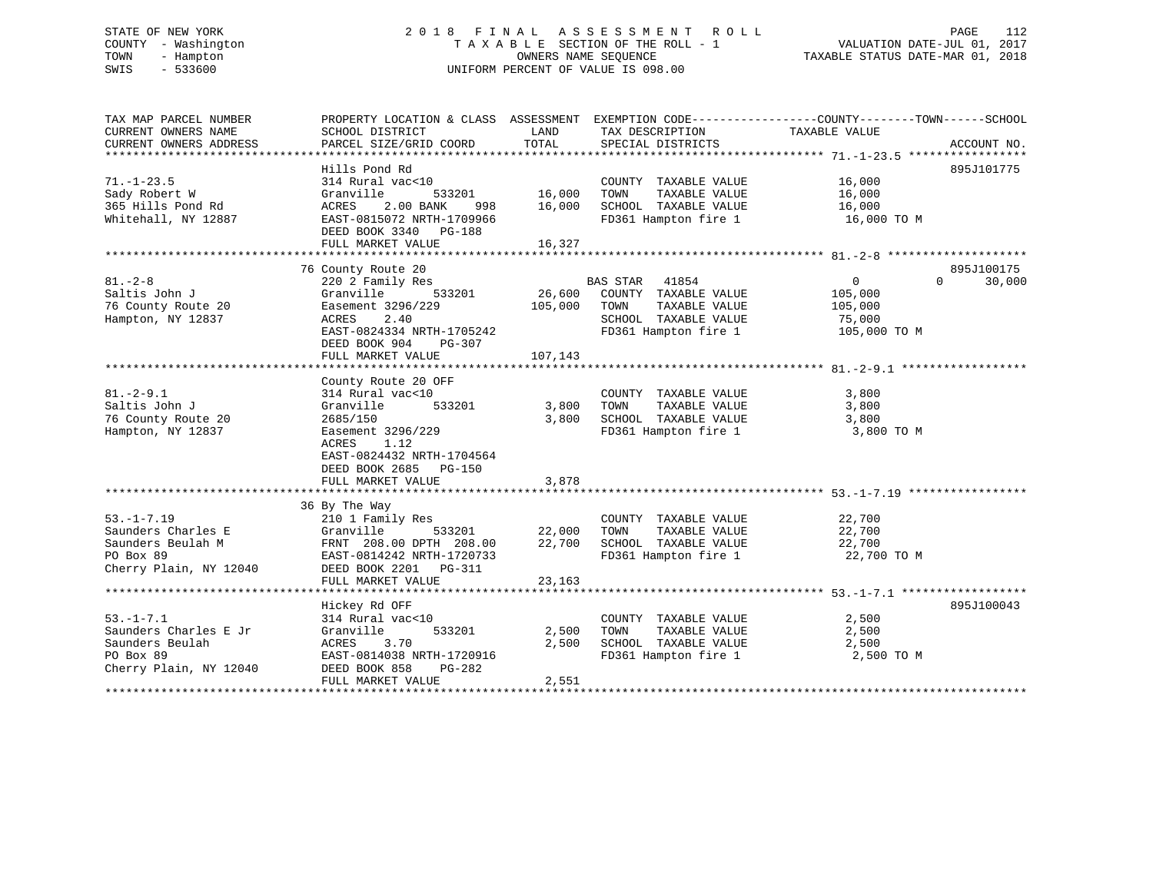# STATE OF NEW YORK 2 0 1 8 F I N A L A S S E S S M E N T R O L L PAGE 112 COUNTY - Washington T A X A B L E SECTION OF THE ROLL - 1 VALUATION DATE-JUL 01, 2017 TOWN - Hampton OWNERS NAME SEQUENCE TAXABLE STATUS DATE-MAR 01, 2018 SWIS - 533600 UNIFORM PERCENT OF VALUE IS 098.00

| TAX MAP PARCEL NUMBER<br>CURRENT OWNERS NAME<br>CURRENT OWNERS ADDRESS | PROPERTY LOCATION & CLASS ASSESSMENT EXEMPTION CODE----------------COUNTY-------TOWN-----SCHOOL<br>SCHOOL DISTRICT<br>PARCEL SIZE/GRID COORD | LAND<br>TOTAL | TAX DESCRIPTION<br>SPECIAL DISTRICTS                                | TAXABLE VALUE  | ACCOUNT NO.        |
|------------------------------------------------------------------------|----------------------------------------------------------------------------------------------------------------------------------------------|---------------|---------------------------------------------------------------------|----------------|--------------------|
|                                                                        |                                                                                                                                              |               |                                                                     |                |                    |
|                                                                        | Hills Pond Rd                                                                                                                                |               |                                                                     |                | 895J101775         |
| $71. - 1 - 23.5$                                                       | 314 Rural vac<10                                                                                                                             |               | COUNTY TAXABLE VALUE                                                | 16,000         |                    |
| Sady Robert W                                                          | Granville<br>533201                                                                                                                          | 16,000        | TAXABLE VALUE<br>TOWN                                               | 16,000         |                    |
| 365 Hills Pond Rd                                                      | ACRES<br>2.00 BANK                                                                                                                           | 998 16,000    | SCHOOL TAXABLE VALUE                                                | 16,000         |                    |
| Whitehall, NY 12887                                                    | EAST-0815072 NRTH-1709966<br>DEED BOOK 3340 PG-188                                                                                           |               | FD361 Hampton fire 1                                                | 16,000 TO M    |                    |
|                                                                        | FULL MARKET VALUE                                                                                                                            | 16,327        |                                                                     |                |                    |
|                                                                        |                                                                                                                                              |               |                                                                     |                |                    |
|                                                                        | 76 County Route 20                                                                                                                           |               |                                                                     |                | 895J100175         |
| $81. - 2 - 8$                                                          | 220 2 Family Res                                                                                                                             |               | BAS STAR 41854                                                      | $\overline{0}$ | $\Omega$<br>30,000 |
| Saltis John J                                                          | Granville<br>533201                                                                                                                          | 26,600        | COUNTY TAXABLE VALUE                                                | 105,000        |                    |
| 76 County Route 20                                                     | Easement 3296/229                                                                                                                            | 105,000       | TAXABLE VALUE<br>TOWN                                               | 105,000        |                    |
| Hampton, NY 12837                                                      | ACRES<br>2.40                                                                                                                                |               | SCHOOL TAXABLE VALUE                                                | 75,000         |                    |
|                                                                        | EAST-0824334 NRTH-1705242                                                                                                                    |               | FD361 Hampton fire 1                                                | 105,000 TO M   |                    |
|                                                                        | DEED BOOK 904<br>PG-307                                                                                                                      |               |                                                                     |                |                    |
|                                                                        | FULL MARKET VALUE                                                                                                                            | 107,143       |                                                                     |                |                    |
|                                                                        |                                                                                                                                              |               |                                                                     |                |                    |
|                                                                        | County Route 20 OFF                                                                                                                          |               |                                                                     |                |                    |
| $81. - 2 - 9.1$                                                        | 314 Rural vac<10                                                                                                                             |               | COUNTY TAXABLE VALUE                                                | 3,800          |                    |
| Saltis John J                                                          | Granville<br>533201                                                                                                                          | 3,800         | TAXABLE VALUE<br>TOWN                                               | 3,800          |                    |
| 76 County Route 20                                                     | 2685/150                                                                                                                                     | 3,800         | SCHOOL TAXABLE VALUE                                                | 3,800          |                    |
| Hampton, NY 12837                                                      | Easement 3296/229                                                                                                                            |               | FD361 Hampton fire 1                                                | 3,800 TO M     |                    |
|                                                                        | ACRES<br>1.12                                                                                                                                |               |                                                                     |                |                    |
|                                                                        | EAST-0824432 NRTH-1704564                                                                                                                    |               |                                                                     |                |                    |
|                                                                        | DEED BOOK 2685 PG-150                                                                                                                        |               |                                                                     |                |                    |
|                                                                        | FULL MARKET VALUE                                                                                                                            | 3,878         |                                                                     |                |                    |
|                                                                        |                                                                                                                                              |               |                                                                     |                |                    |
|                                                                        | 36 By The Way                                                                                                                                |               |                                                                     |                |                    |
| $53. - 1 - 7.19$                                                       | 210 1 Family Res                                                                                                                             |               | COUNTY TAXABLE VALUE                                                | 22,700         |                    |
| Saunders Charles E                                                     | 533201<br>Granville                                                                                                                          | 22,000        | TOWN<br>TAXABLE VALUE                                               | 22,700         |                    |
| Saunders Beulah M                                                      | FRNT 208.00 DPTH 208.00<br>FAST-0814242 NRTH-1720733                                                                                         | 22,700        | SCHOOL TAXABLE VALUE                                                | 22,700         |                    |
| PO Box 89                                                              | EAST-0814242 NRTH-1720733                                                                                                                    |               | FD361 Hampton fire 1                                                | 22,700 TO M    |                    |
| Cherry Plain, NY 12040                                                 | DEED BOOK 2201    PG-311                                                                                                                     |               |                                                                     |                |                    |
|                                                                        | FULL MARKET VALUE                                                                                                                            | 23,163        |                                                                     |                |                    |
|                                                                        |                                                                                                                                              |               |                                                                     |                |                    |
|                                                                        | Hickey Rd OFF                                                                                                                                |               |                                                                     |                | 895J100043         |
| $53. - 1 - 7.1$                                                        | 314 Rural vac<10                                                                                                                             |               | COUNTY TAXABLE VALUE                                                | 2,500          |                    |
| Saunders Charles E Jr                                                  | 533201<br>Granville                                                                                                                          | 2,500         | TAXABLE VALUE<br>TOWN<br>TOWN IRANDER VALUE<br>SCHOOL TAXABLE VALUE | 2,500          |                    |
| Saunders Beulah                                                        | ACRES 3.70                                                                                                                                   | 2,500         |                                                                     | 2,500          |                    |
| PO Box 89                                                              | EAST-0814038 NRTH-1720916                                                                                                                    |               |                                                                     | 2,500 TO M     |                    |
| Cherry Plain, NY 12040                                                 | DEED BOOK 858<br>PG-282                                                                                                                      |               |                                                                     |                |                    |
|                                                                        | FULL MARKET VALUE                                                                                                                            | 2,551         |                                                                     |                |                    |
|                                                                        |                                                                                                                                              |               |                                                                     |                |                    |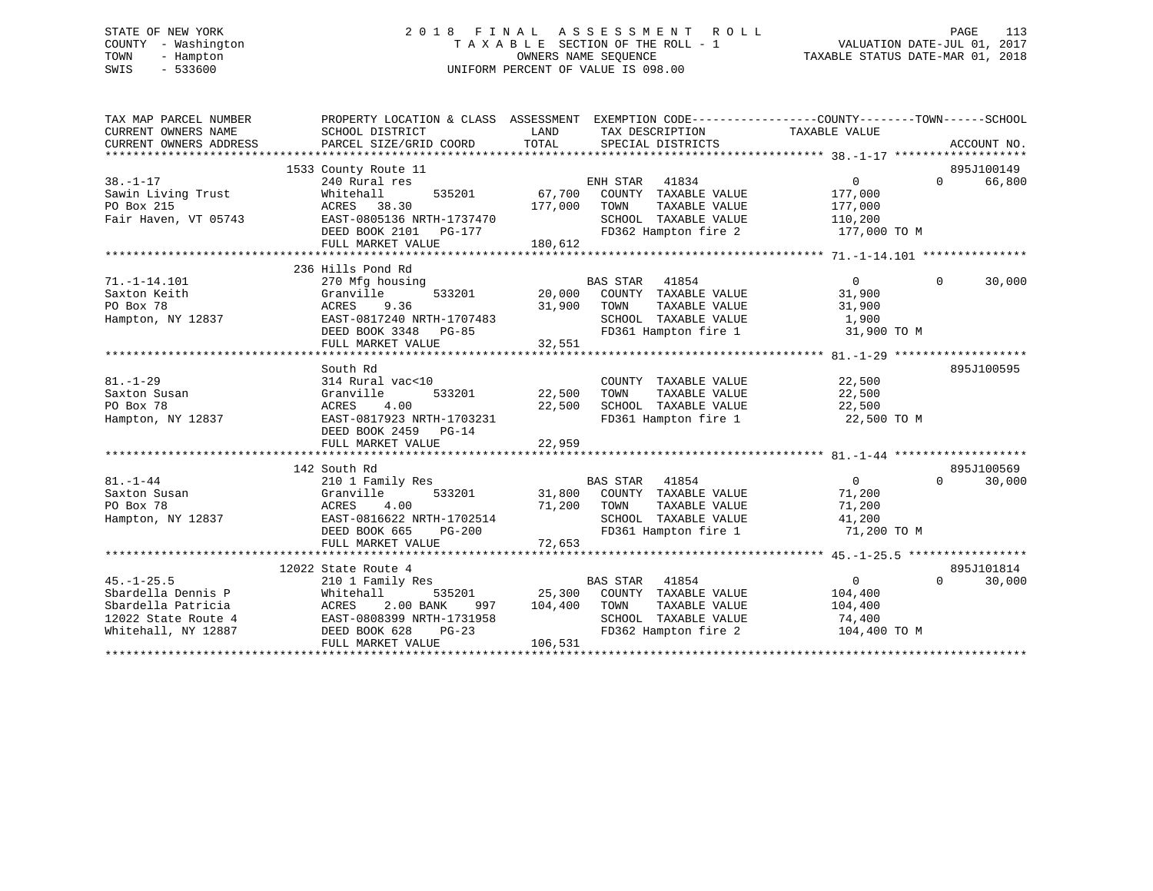# STATE OF NEW YORK 2 0 1 8 F I N A L A S S E S S M E N T R O L L PAGE 113 COUNTY - Washington T A X A B L E SECTION OF THE ROLL - 1 VALUATION DATE-JUL 01, 2017 TOWN - Hampton OWNERS NAME SEQUENCE TAXABLE STATUS DATE-MAR 01, 2018 SWIS - 533600 UNIFORM PERCENT OF VALUE IS 098.00

| TAX MAP PARCEL NUMBER<br>CURRENT OWNERS NAME<br>CURRENT OWNERS ADDRESS | PROPERTY LOCATION & CLASS ASSESSMENT EXEMPTION CODE----------------COUNTY-------TOWN-----SCHOOL<br>SCHOOL DISTRICT<br>PARCEL SIZE/GRID COORD | LAND<br>TOTAL                                                                                                                                      | TAX DESCRIPTION TAXABLE VALUE<br>SPECIAL DISTRICTS |                   | ACCOUNT NO.        |
|------------------------------------------------------------------------|----------------------------------------------------------------------------------------------------------------------------------------------|----------------------------------------------------------------------------------------------------------------------------------------------------|----------------------------------------------------|-------------------|--------------------|
|                                                                        |                                                                                                                                              |                                                                                                                                                    |                                                    |                   |                    |
|                                                                        | 1533 County Route 11                                                                                                                         |                                                                                                                                                    |                                                    |                   | 895J100149         |
| $38. - 1 - 17$                                                         | 240 Rural res                                                                                                                                |                                                                                                                                                    | ENH STAR 41834                                     | $\overline{0}$    | 66,800<br>$\Omega$ |
| Sawin Living Trust                                                     | Whitehall                                                                                                                                    | 535201 67,700                                                                                                                                      | COUNTY TAXABLE VALUE                               | 177,000           |                    |
| PO Box 215                                                             | ACRES 38.30                                                                                                                                  | 177,000                                                                                                                                            | TAXABLE VALUE<br>TOWN                              | 177,000           |                    |
| Fair Haven, VT 05743                                                   | EAST-0805136 NRTH-1737470                                                                                                                    |                                                                                                                                                    | SCHOOL TAXABLE VALUE                               | 110,200           |                    |
|                                                                        |                                                                                                                                              |                                                                                                                                                    | FD362 Hampton fire 2                               | 177,000 TO M      |                    |
|                                                                        | FULL MARKET VALUE                                                                                                                            | 180,612                                                                                                                                            |                                                    |                   |                    |
|                                                                        |                                                                                                                                              |                                                                                                                                                    |                                                    |                   |                    |
|                                                                        | 236 Hills Pond Rd                                                                                                                            |                                                                                                                                                    |                                                    |                   |                    |
| $71. - 1 - 14.101$                                                     | 270 Mfg housing                                                                                                                              |                                                                                                                                                    | <b>BAS STAR</b><br>41854                           | $\overline{0}$    | $\Omega$<br>30,000 |
| Saxton Keith                                                           | 533201<br>Granville                                                                                                                          |                                                                                                                                                    | 20,000 COUNTY TAXABLE VALUE                        | 31,900            |                    |
| PO Box 78                                                              | ACRES<br>9.36                                                                                                                                | 31,900                                                                                                                                             | TAXABLE VALUE<br>TOWN                              | 31,900            |                    |
| Hampton, NY 12837                                                      | EAST-0817240 NRTH-1707483                                                                                                                    |                                                                                                                                                    | SCHOOL TAXABLE VALUE                               | 1,900             |                    |
|                                                                        | DEED BOOK 3348 PG-85                                                                                                                         |                                                                                                                                                    | FD361 Hampton fire 1                               | 31,900 TO M       |                    |
|                                                                        | FULL MARKET VALUE                                                                                                                            | 32,551                                                                                                                                             |                                                    |                   |                    |
|                                                                        |                                                                                                                                              |                                                                                                                                                    |                                                    |                   |                    |
|                                                                        | South Rd                                                                                                                                     |                                                                                                                                                    |                                                    |                   | 895J100595         |
| $81. - 1 - 29$                                                         | 314 Rural vac<10                                                                                                                             |                                                                                                                                                    | COUNTY TAXABLE VALUE                               | 22,500            |                    |
| Saxton Susan                                                           | Granville<br>533201                                                                                                                          | 22,500                                                                                                                                             | TOWN<br>TAXABLE VALUE                              | 22,500            |                    |
| PO Box 78                                                              | 4.00<br>ACRES                                                                                                                                | 22,500                                                                                                                                             | SCHOOL TAXABLE VALUE                               | 22,500            |                    |
| Hampton, NY 12837                                                      | EAST-0817923 NRTH-1703231                                                                                                                    |                                                                                                                                                    | FD361 Hampton fire 1                               | 22,500 TO M       |                    |
|                                                                        | DEED BOOK 2459 PG-14                                                                                                                         |                                                                                                                                                    |                                                    |                   |                    |
|                                                                        | FULL MARKET VALUE                                                                                                                            | 22,959                                                                                                                                             |                                                    |                   |                    |
|                                                                        |                                                                                                                                              |                                                                                                                                                    |                                                    |                   |                    |
|                                                                        | 142 South Rd                                                                                                                                 |                                                                                                                                                    |                                                    |                   | 895J100569         |
| $81. - 1 - 44$                                                         | 210 1 Family Res                                                                                                                             |                                                                                                                                                    | BAS STAR 41854                                     | $\overline{0}$    | $\Omega$<br>30,000 |
| Saxton Susan                                                           | 533201<br>Granville                                                                                                                          |                                                                                                                                                    | 31,800 COUNTY TAXABLE VALUE                        | 71,200            |                    |
| PO Box 78                                                              | 4.00<br>ACRES                                                                                                                                |                                                                                                                                                    | 71,200 TOWN<br>TAXABLE VALUE                       | 71,200            |                    |
| Hampton, NY 12837                                                      | EAST-0816622 NRTH-1702514                                                                                                                    | $\label{eq:2.1} \begin{split} \mathcal{L}_{\text{max}}(\mathcal{L}_{\text{max}}) = \mathcal{L}_{\text{max}}(\mathcal{L}_{\text{max}}) \end{split}$ | SCHOOL TAXABLE VALUE                               | 41,200            |                    |
|                                                                        | DEED BOOK 665<br>$PG-200$                                                                                                                    |                                                                                                                                                    | FD361 Hampton fire 1                               | 71,200 TO M       |                    |
|                                                                        | FULL MARKET VALUE                                                                                                                            | 72,653                                                                                                                                             |                                                    |                   |                    |
|                                                                        |                                                                                                                                              |                                                                                                                                                    |                                                    |                   |                    |
|                                                                        | 12022 State Route 4                                                                                                                          |                                                                                                                                                    |                                                    |                   | 895J101814         |
| $45. - 1 - 25.5$                                                       | 210 1 Family Res                                                                                                                             |                                                                                                                                                    | <b>BAS STAR</b><br>41854                           | $0 \qquad \qquad$ | $\Omega$<br>30,000 |
| Sbardella Dennis P                                                     | 535201<br>Whitehall                                                                                                                          |                                                                                                                                                    | 25,300 COUNTY TAXABLE VALUE                        | 104,400           |                    |
| Sbardella Patricia                                                     | 2.00 BANK<br>ACRES<br>997                                                                                                                    | 104,400                                                                                                                                            | TAXABLE VALUE<br>TOWN                              | 104,400           |                    |
| 12022 State Route 4                                                    | EAST-0808399 NRTH-1731958                                                                                                                    |                                                                                                                                                    | SCHOOL TAXABLE VALUE                               | 74,400            |                    |
| Whitehall, NY 12887                                                    | DEED BOOK 628<br>$PG-23$                                                                                                                     |                                                                                                                                                    | FD362 Hampton fire 2                               | 104,400 TO M      |                    |
|                                                                        | FULL MARKET VALUE                                                                                                                            | 106,531                                                                                                                                            |                                                    |                   |                    |
|                                                                        |                                                                                                                                              |                                                                                                                                                    |                                                    |                   |                    |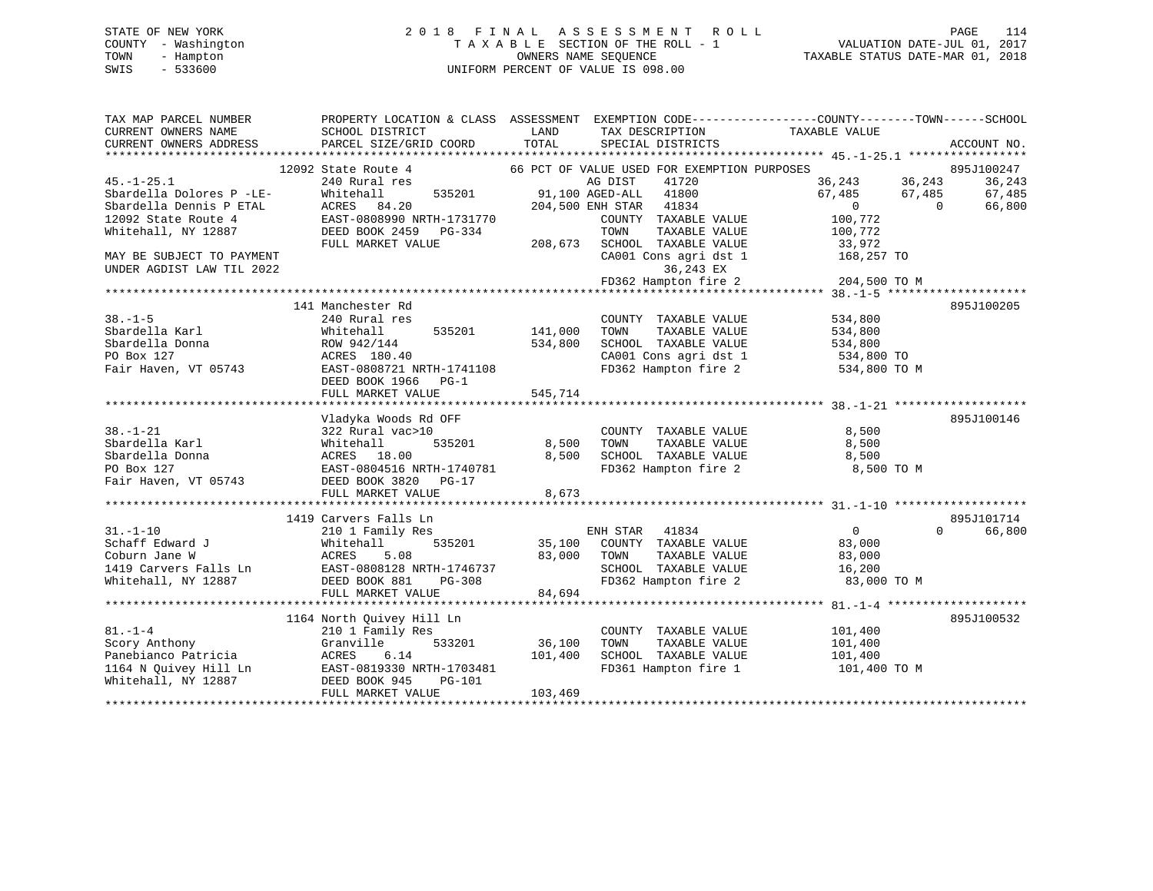# STATE OF NEW YORK 2 0 1 8 F I N A L A S S E S S M E N T R O L L PAGE 114 COUNTY - Washington T A X A B L E SECTION OF THE ROLL - 1 VALUATION DATE-JUL 01, 2017 TOWN - Hampton OWNERS NAME SEQUENCE TAXABLE STATUS DATE-MAR 01, 2018 SWIS - 533600 UNIFORM PERCENT OF VALUE IS 098.00

| TAX MAP PARCEL NUMBER<br>CURRENT OWNERS NAME | SCHOOL DISTRICT                                                                                                                                                 | LAND    | TAX DESCRIPTION                                               | PROPERTY LOCATION & CLASS ASSESSMENT EXEMPTION CODE----------------COUNTY-------TOWN------SCHOOL<br>TAXABLE VALUE |                    |
|----------------------------------------------|-----------------------------------------------------------------------------------------------------------------------------------------------------------------|---------|---------------------------------------------------------------|-------------------------------------------------------------------------------------------------------------------|--------------------|
| CURRENT OWNERS ADDRESS                       | PARCEL SIZE/GRID COORD                                                                                                                                          | TOTAL   | SPECIAL DISTRICTS                                             |                                                                                                                   | ACCOUNT NO.        |
|                                              | 12092 State Route 4                                                                                                                                             |         | 66 PCT OF VALUE USED FOR EXEMPTION PURPOSES                   |                                                                                                                   | 895J100247         |
| $45. - 1 - 25.1$                             | 240 Rural res                                                                                                                                                   |         | AG DIST<br>41720                                              |                                                                                                                   | 36,243             |
| Sbardella Dolores P -LE-                     | 535201<br>Whitehall                                                                                                                                             |         | 91,100 AGED-ALL 41800                                         | 36,243 36,243<br>67,485 67,485                                                                                    | 67,485             |
| Sbardella Dennis P ETAL                      |                                                                                                                                                                 |         | 204,500 ENH STAR 41834                                        | $\overline{0}$<br>$\overline{0}$                                                                                  | 66,800             |
| 12092 State Route 4                          | ACRES 84.20<br>EAST-0808990 NRTH-1731770                                                                                                                        |         | COUNTY TAXABLE VALUE                                          | 100,772                                                                                                           |                    |
| Whitehall, NY 12887                          | DEED BOOK 2459 PG-334                                                                                                                                           |         | TAXABLE VALUE<br>TOWN                                         | 100,772                                                                                                           |                    |
|                                              | FULL MARKET VALUE                                                                                                                                               |         | 208,673 SCHOOL TAXABLE VALUE                                  | 33,972                                                                                                            |                    |
| MAY BE SUBJECT TO PAYMENT                    |                                                                                                                                                                 |         | CA001 Cons agri dst 1                                         | 168,257 TO                                                                                                        |                    |
| UNDER AGDIST LAW TIL 2022                    |                                                                                                                                                                 |         | 36,243 EX                                                     |                                                                                                                   |                    |
|                                              |                                                                                                                                                                 |         |                                                               | $FD362$ Hampton fire 2 204,500 TO M                                                                               |                    |
|                                              |                                                                                                                                                                 |         |                                                               |                                                                                                                   |                    |
|                                              | 141 Manchester Rd                                                                                                                                               |         |                                                               |                                                                                                                   | 895J100205         |
| $38. - 1 - 5$                                | 240 Rural res                                                                                                                                                   |         | COUNTY TAXABLE VALUE<br>TAXABLE VALUE<br>TAXABLE VALUE        | 534,800                                                                                                           |                    |
| Sbardella Karl                               | 535201<br>Whitehall                                                                                                                                             | 141,000 | TOWN                                                          | 534,800                                                                                                           |                    |
| Sbardella Donna                              | ROW 942/144                                                                                                                                                     | 534,800 | SCHOOL TAXABLE VALUE                                          | 534,800                                                                                                           |                    |
| PO Box 127                                   | ACRES 180.40                                                                                                                                                    |         |                                                               | 534,800 TO<br>CA001 Cons agri dst 1 534,800 TO<br>FD362 Hampton fire 2 534,800 TO M                               |                    |
|                                              | Fair Haven, VT 05743 EAST-0808721 NRTH-1741108                                                                                                                  |         |                                                               |                                                                                                                   |                    |
|                                              | DEED BOOK 1966 PG-1<br>FULL MARKET VALUE                                                                                                                        | 545,714 |                                                               |                                                                                                                   |                    |
|                                              |                                                                                                                                                                 |         |                                                               |                                                                                                                   |                    |
|                                              | Vladyka Woods Rd OFF                                                                                                                                            |         |                                                               |                                                                                                                   | 895J100146         |
| $38. - 1 - 21$                               | 322 Rural vac>10                                                                                                                                                |         |                                                               | 8,500                                                                                                             |                    |
| Sbardella Karl                               | 535201<br>Whitehall                                                                                                                                             |         | COUNTY TAXABLE VALUE<br>TOWN      TAXABLE VALUE<br>8,500 TOWN | 8,500                                                                                                             |                    |
| Sbardella Donna                              | ACRES 18.00                                                                                                                                                     | 8,500   | SCHOOL TAXABLE VALUE 8,500                                    |                                                                                                                   |                    |
| PO Box 127                                   | EAST-0804516 NRTH-1740781                                                                                                                                       |         | FD362 Hampton fire 2                                          | 8,500 TO M                                                                                                        |                    |
| Fair Haven, VT 05743                         | DEED BOOK 3820 PG-17                                                                                                                                            |         |                                                               |                                                                                                                   |                    |
|                                              | FULL MARKET VALUE                                                                                                                                               | 8,673   |                                                               |                                                                                                                   |                    |
|                                              |                                                                                                                                                                 |         |                                                               |                                                                                                                   |                    |
|                                              | 1419 Carvers Falls Ln                                                                                                                                           |         |                                                               |                                                                                                                   | 895J101714         |
| $31. - 1 - 10$                               | 210 1 Family Res                                                                                                                                                |         | ENH STAR 41834                                                | $\overline{0}$                                                                                                    | $\Omega$<br>66,800 |
| Schaff Edward J                              | 535201<br>Whitehall                                                                                                                                             |         | 35,100 COUNTY TAXABLE VALUE                                   | 83,000                                                                                                            |                    |
| Coburn Jane W                                | ACRES 5.08                                                                                                                                                      |         | 83,000 TOWN<br>TAXABLE VALUE                                  | 83,000                                                                                                            |                    |
|                                              | 1419 Carvers Falls Ln EAST-0808128 NRTH-1746737                                                                                                                 |         | SCHOOL TAXABLE VALUE                                          | 16,200                                                                                                            |                    |
| Whitehall, NY 12887                          | DEED BOOK 881<br>PG-308                                                                                                                                         |         | FD362 Hampton fire 2                                          | 83,000 TO M                                                                                                       |                    |
|                                              | FULL MARKET VALUE                                                                                                                                               | 84,694  |                                                               |                                                                                                                   |                    |
|                                              |                                                                                                                                                                 |         |                                                               |                                                                                                                   |                    |
| $81. - 1 - 4$                                | 1164 North Quivey Hill Ln                                                                                                                                       |         |                                                               |                                                                                                                   | 895J100532         |
| Scory Anthony                                | 210 1 Family Res<br>533201                                                                                                                                      | 36,100  | COUNTY TAXABLE VALUE<br>TAXABLE VALUE<br>TOWN                 | 101,400                                                                                                           |                    |
|                                              | Granville                                                                                                                                                       | 101,400 | SCHOOL TAXABLE VALUE 101,400                                  | 101,400                                                                                                           |                    |
|                                              |                                                                                                                                                                 |         | FD361 Hampton fire 1                                          | 101,400 TO M                                                                                                      |                    |
|                                              |                                                                                                                                                                 |         |                                                               |                                                                                                                   |                    |
|                                              | Scory Anthony<br>Panebianco Patricia<br>1164 N Quivey Hill Ln<br>EAST-0819330 NRTH-1703481<br>EEED BOOK 945 PG-101<br>EEED BOOK 945 PG-101<br>FULL MARKET VALUE | 103,469 |                                                               |                                                                                                                   |                    |
|                                              |                                                                                                                                                                 |         |                                                               |                                                                                                                   |                    |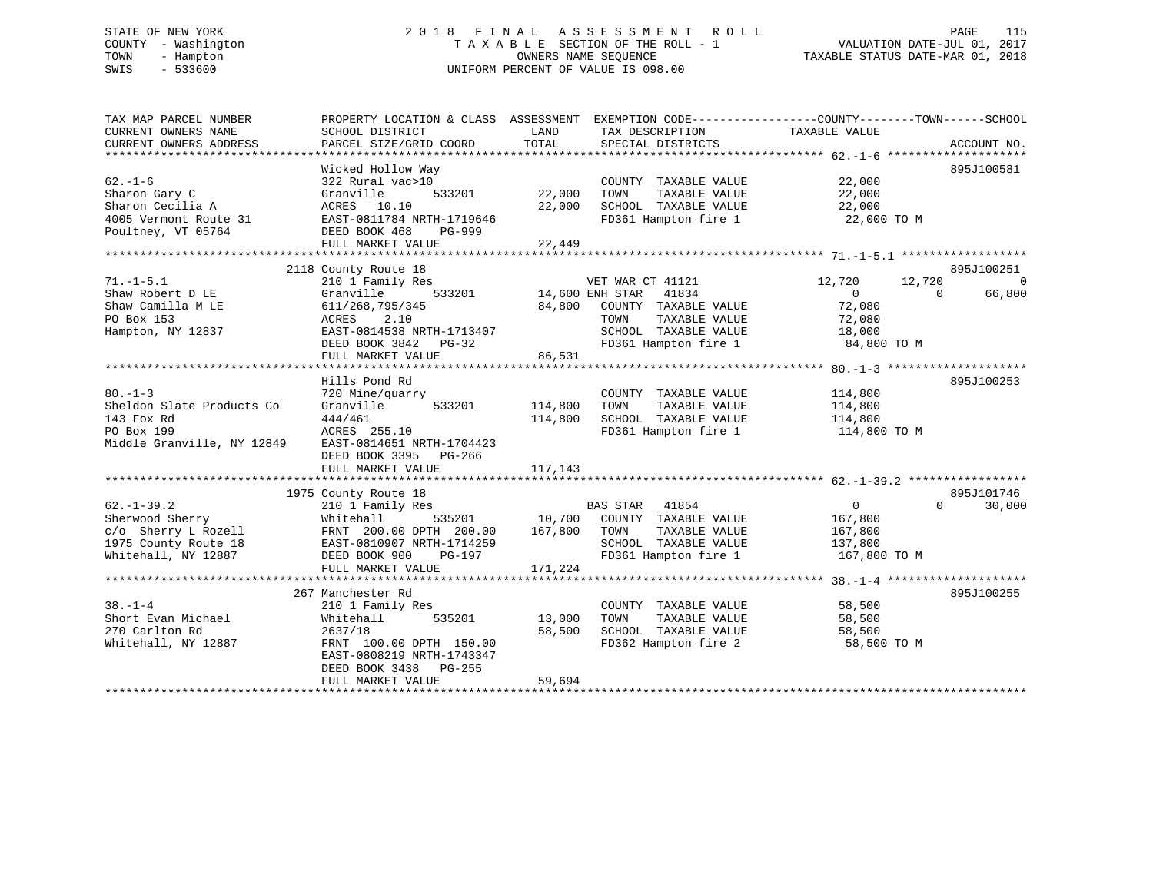# STATE OF NEW YORK 2 0 1 8 F I N A L A S S E S S M E N T R O L L PAGE 115 COUNTY - Washington T A X A B L E SECTION OF THE ROLL - 1 VALUATION DATE-JUL 01, 2017 TOWN - Hampton OWNERS NAME SEQUENCE TAXABLE STATUS DATE-MAR 01, 2018 SWIS - 533600 UNIFORM PERCENT OF VALUE IS 098.00

| TOTAL<br>PARCEL SIZE/GRID COORD<br>SPECIAL DISTRICTS<br>ACCOUNT NO.<br>Wicked Hollow Way<br>895J100581<br>$62. - 1 - 6$<br>322 Rural vac>10<br>22,000<br>COUNTY TAXABLE VALUE<br>533201<br>22,000<br>TAXABLE VALUE<br>22,000<br>Sharon Gary C<br>Granville<br>TOWN<br>22,000<br>SCHOOL TAXABLE VALUE<br>22,000<br>Sharon Cecilia A<br>ACRES 10.10<br>EAST-0811784 NRTH-1719646<br>FD361 Hampton fire 1<br>22,000 TO M<br>DEED BOOK 468<br>PG-999<br>FULL MARKET VALUE<br>22,449<br>2118 County Route 18<br>895J100251<br>$71. - 1 - 5.1$<br>$\overline{0}$<br>210 1 Family Res<br>VET WAR CT 41121<br>12,720<br>12,720<br>533201 14,600 ENH STAR 41834<br>Shaw Robert D LE<br>Granville<br>$\overline{0}$<br>$\Omega$<br>66,800<br>84,800<br>72,080<br>611/268,795/345<br>COUNTY TAXABLE VALUE<br>2.10<br>72,080<br>ACRES<br>TOWN<br>TAXABLE VALUE<br>SCHOOL TAXABLE VALUE<br>Hampton, NY 12837<br>EAST-0814538 NRTH-1713407<br>18,000<br>FD361 Hampton fire 1<br>84,800 TO M<br>DEED BOOK 3842 PG-32<br>86,531<br>FULL MARKET VALUE<br>Hills Pond Rd<br>895J100253<br>$80 - 1 - 3$<br>114,800<br>720 Mine/quarry<br>COUNTY TAXABLE VALUE<br>114,800<br>Sheldon Slate Products Co<br>533201<br>TAXABLE VALUE<br>Granville<br>TOWN<br>114,800<br>143 Fox Rd<br>444/461<br>114,800<br>SCHOOL TAXABLE VALUE<br>114,800<br>PO Box 199<br>ACRES 255.10<br>FD361 Hampton fire 1<br>114,800 TO M<br>Middle Granville, NY 12849<br>EAST-0814651 NRTH-1704423<br>DEED BOOK 3395 PG-266<br>117,143<br>FULL MARKET VALUE<br>895J101746<br>1975 County Route 18<br>$62. - 1 - 39.2$<br><b>BAS STAR</b><br>41854<br>$\overline{0}$<br>$\Omega$<br>30,000<br>210 1 Family Res<br>Sherwood Sherry<br>535201<br>10,700 COUNTY TAXABLE VALUE<br>167,800<br>Whitehall<br>167,800<br>c/o Sherry L Rozell<br>FRNT 200.00 DPTH 200.00<br>TOWN<br>TAXABLE VALUE<br>167,800<br>1975 County Route 18<br>SCHOOL TAXABLE VALUE<br>EAST-0810907 NRTH-1714259<br>137,800<br>FD361 Hampton fire 1<br>Whitehall, NY 12887<br>DEED BOOK 900<br>167,800 TO M<br>PG-197<br>171,224<br>FULL MARKET VALUE<br>895J100255<br>267 Manchester Rd<br>$38. - 1 - 4$<br>58,500<br>210 1 Family Res<br>COUNTY TAXABLE VALUE<br>Short Evan Michael<br>535201<br>13,000<br>TAXABLE VALUE<br>58,500<br>Whitehall<br>TOWN<br>270 Carlton Rd<br>58,500<br>SCHOOL TAXABLE VALUE<br>2637/18<br>58,500<br>FD362 Hampton fire 2<br>Whitehall, NY 12887<br>FRNT 100.00 DPTH 150.00<br>58,500 TO M<br>EAST-0808219 NRTH-1743347<br>DEED BOOK 3438 PG-255<br>59,694<br>FULL MARKET VALUE | TAX MAP PARCEL NUMBER<br>CURRENT OWNERS NAME | PROPERTY LOCATION & CLASS ASSESSMENT<br>SCHOOL DISTRICT | LAND | EXEMPTION CODE-----------------COUNTY-------TOWN------SCHOOL<br>TAX DESCRIPTION | TAXABLE VALUE |  |
|-----------------------------------------------------------------------------------------------------------------------------------------------------------------------------------------------------------------------------------------------------------------------------------------------------------------------------------------------------------------------------------------------------------------------------------------------------------------------------------------------------------------------------------------------------------------------------------------------------------------------------------------------------------------------------------------------------------------------------------------------------------------------------------------------------------------------------------------------------------------------------------------------------------------------------------------------------------------------------------------------------------------------------------------------------------------------------------------------------------------------------------------------------------------------------------------------------------------------------------------------------------------------------------------------------------------------------------------------------------------------------------------------------------------------------------------------------------------------------------------------------------------------------------------------------------------------------------------------------------------------------------------------------------------------------------------------------------------------------------------------------------------------------------------------------------------------------------------------------------------------------------------------------------------------------------------------------------------------------------------------------------------------------------------------------------------------------------------------------------------------------------------------------------------------------------------------------------------------------------------------------------------------------------------------------------------------------------------------------------------------------------------------------------------------------------------------------------------------------------------------------------------------------------|----------------------------------------------|---------------------------------------------------------|------|---------------------------------------------------------------------------------|---------------|--|
|                                                                                                                                                                                                                                                                                                                                                                                                                                                                                                                                                                                                                                                                                                                                                                                                                                                                                                                                                                                                                                                                                                                                                                                                                                                                                                                                                                                                                                                                                                                                                                                                                                                                                                                                                                                                                                                                                                                                                                                                                                                                                                                                                                                                                                                                                                                                                                                                                                                                                                                                   | CURRENT OWNERS ADDRESS                       |                                                         |      |                                                                                 |               |  |
|                                                                                                                                                                                                                                                                                                                                                                                                                                                                                                                                                                                                                                                                                                                                                                                                                                                                                                                                                                                                                                                                                                                                                                                                                                                                                                                                                                                                                                                                                                                                                                                                                                                                                                                                                                                                                                                                                                                                                                                                                                                                                                                                                                                                                                                                                                                                                                                                                                                                                                                                   |                                              |                                                         |      |                                                                                 |               |  |
|                                                                                                                                                                                                                                                                                                                                                                                                                                                                                                                                                                                                                                                                                                                                                                                                                                                                                                                                                                                                                                                                                                                                                                                                                                                                                                                                                                                                                                                                                                                                                                                                                                                                                                                                                                                                                                                                                                                                                                                                                                                                                                                                                                                                                                                                                                                                                                                                                                                                                                                                   |                                              |                                                         |      |                                                                                 |               |  |
|                                                                                                                                                                                                                                                                                                                                                                                                                                                                                                                                                                                                                                                                                                                                                                                                                                                                                                                                                                                                                                                                                                                                                                                                                                                                                                                                                                                                                                                                                                                                                                                                                                                                                                                                                                                                                                                                                                                                                                                                                                                                                                                                                                                                                                                                                                                                                                                                                                                                                                                                   |                                              |                                                         |      |                                                                                 |               |  |
|                                                                                                                                                                                                                                                                                                                                                                                                                                                                                                                                                                                                                                                                                                                                                                                                                                                                                                                                                                                                                                                                                                                                                                                                                                                                                                                                                                                                                                                                                                                                                                                                                                                                                                                                                                                                                                                                                                                                                                                                                                                                                                                                                                                                                                                                                                                                                                                                                                                                                                                                   |                                              |                                                         |      |                                                                                 |               |  |
|                                                                                                                                                                                                                                                                                                                                                                                                                                                                                                                                                                                                                                                                                                                                                                                                                                                                                                                                                                                                                                                                                                                                                                                                                                                                                                                                                                                                                                                                                                                                                                                                                                                                                                                                                                                                                                                                                                                                                                                                                                                                                                                                                                                                                                                                                                                                                                                                                                                                                                                                   | 4005 Vermont Route 31                        |                                                         |      |                                                                                 |               |  |
|                                                                                                                                                                                                                                                                                                                                                                                                                                                                                                                                                                                                                                                                                                                                                                                                                                                                                                                                                                                                                                                                                                                                                                                                                                                                                                                                                                                                                                                                                                                                                                                                                                                                                                                                                                                                                                                                                                                                                                                                                                                                                                                                                                                                                                                                                                                                                                                                                                                                                                                                   | Poultney, VT 05764                           |                                                         |      |                                                                                 |               |  |
|                                                                                                                                                                                                                                                                                                                                                                                                                                                                                                                                                                                                                                                                                                                                                                                                                                                                                                                                                                                                                                                                                                                                                                                                                                                                                                                                                                                                                                                                                                                                                                                                                                                                                                                                                                                                                                                                                                                                                                                                                                                                                                                                                                                                                                                                                                                                                                                                                                                                                                                                   |                                              |                                                         |      |                                                                                 |               |  |
|                                                                                                                                                                                                                                                                                                                                                                                                                                                                                                                                                                                                                                                                                                                                                                                                                                                                                                                                                                                                                                                                                                                                                                                                                                                                                                                                                                                                                                                                                                                                                                                                                                                                                                                                                                                                                                                                                                                                                                                                                                                                                                                                                                                                                                                                                                                                                                                                                                                                                                                                   |                                              |                                                         |      |                                                                                 |               |  |
|                                                                                                                                                                                                                                                                                                                                                                                                                                                                                                                                                                                                                                                                                                                                                                                                                                                                                                                                                                                                                                                                                                                                                                                                                                                                                                                                                                                                                                                                                                                                                                                                                                                                                                                                                                                                                                                                                                                                                                                                                                                                                                                                                                                                                                                                                                                                                                                                                                                                                                                                   |                                              |                                                         |      |                                                                                 |               |  |
|                                                                                                                                                                                                                                                                                                                                                                                                                                                                                                                                                                                                                                                                                                                                                                                                                                                                                                                                                                                                                                                                                                                                                                                                                                                                                                                                                                                                                                                                                                                                                                                                                                                                                                                                                                                                                                                                                                                                                                                                                                                                                                                                                                                                                                                                                                                                                                                                                                                                                                                                   |                                              |                                                         |      |                                                                                 |               |  |
|                                                                                                                                                                                                                                                                                                                                                                                                                                                                                                                                                                                                                                                                                                                                                                                                                                                                                                                                                                                                                                                                                                                                                                                                                                                                                                                                                                                                                                                                                                                                                                                                                                                                                                                                                                                                                                                                                                                                                                                                                                                                                                                                                                                                                                                                                                                                                                                                                                                                                                                                   | Shaw Camilla M LE                            |                                                         |      |                                                                                 |               |  |
|                                                                                                                                                                                                                                                                                                                                                                                                                                                                                                                                                                                                                                                                                                                                                                                                                                                                                                                                                                                                                                                                                                                                                                                                                                                                                                                                                                                                                                                                                                                                                                                                                                                                                                                                                                                                                                                                                                                                                                                                                                                                                                                                                                                                                                                                                                                                                                                                                                                                                                                                   | PO Box 153                                   |                                                         |      |                                                                                 |               |  |
|                                                                                                                                                                                                                                                                                                                                                                                                                                                                                                                                                                                                                                                                                                                                                                                                                                                                                                                                                                                                                                                                                                                                                                                                                                                                                                                                                                                                                                                                                                                                                                                                                                                                                                                                                                                                                                                                                                                                                                                                                                                                                                                                                                                                                                                                                                                                                                                                                                                                                                                                   |                                              |                                                         |      |                                                                                 |               |  |
|                                                                                                                                                                                                                                                                                                                                                                                                                                                                                                                                                                                                                                                                                                                                                                                                                                                                                                                                                                                                                                                                                                                                                                                                                                                                                                                                                                                                                                                                                                                                                                                                                                                                                                                                                                                                                                                                                                                                                                                                                                                                                                                                                                                                                                                                                                                                                                                                                                                                                                                                   |                                              |                                                         |      |                                                                                 |               |  |
|                                                                                                                                                                                                                                                                                                                                                                                                                                                                                                                                                                                                                                                                                                                                                                                                                                                                                                                                                                                                                                                                                                                                                                                                                                                                                                                                                                                                                                                                                                                                                                                                                                                                                                                                                                                                                                                                                                                                                                                                                                                                                                                                                                                                                                                                                                                                                                                                                                                                                                                                   |                                              |                                                         |      |                                                                                 |               |  |
|                                                                                                                                                                                                                                                                                                                                                                                                                                                                                                                                                                                                                                                                                                                                                                                                                                                                                                                                                                                                                                                                                                                                                                                                                                                                                                                                                                                                                                                                                                                                                                                                                                                                                                                                                                                                                                                                                                                                                                                                                                                                                                                                                                                                                                                                                                                                                                                                                                                                                                                                   |                                              |                                                         |      |                                                                                 |               |  |
|                                                                                                                                                                                                                                                                                                                                                                                                                                                                                                                                                                                                                                                                                                                                                                                                                                                                                                                                                                                                                                                                                                                                                                                                                                                                                                                                                                                                                                                                                                                                                                                                                                                                                                                                                                                                                                                                                                                                                                                                                                                                                                                                                                                                                                                                                                                                                                                                                                                                                                                                   |                                              |                                                         |      |                                                                                 |               |  |
|                                                                                                                                                                                                                                                                                                                                                                                                                                                                                                                                                                                                                                                                                                                                                                                                                                                                                                                                                                                                                                                                                                                                                                                                                                                                                                                                                                                                                                                                                                                                                                                                                                                                                                                                                                                                                                                                                                                                                                                                                                                                                                                                                                                                                                                                                                                                                                                                                                                                                                                                   |                                              |                                                         |      |                                                                                 |               |  |
|                                                                                                                                                                                                                                                                                                                                                                                                                                                                                                                                                                                                                                                                                                                                                                                                                                                                                                                                                                                                                                                                                                                                                                                                                                                                                                                                                                                                                                                                                                                                                                                                                                                                                                                                                                                                                                                                                                                                                                                                                                                                                                                                                                                                                                                                                                                                                                                                                                                                                                                                   |                                              |                                                         |      |                                                                                 |               |  |
|                                                                                                                                                                                                                                                                                                                                                                                                                                                                                                                                                                                                                                                                                                                                                                                                                                                                                                                                                                                                                                                                                                                                                                                                                                                                                                                                                                                                                                                                                                                                                                                                                                                                                                                                                                                                                                                                                                                                                                                                                                                                                                                                                                                                                                                                                                                                                                                                                                                                                                                                   |                                              |                                                         |      |                                                                                 |               |  |
|                                                                                                                                                                                                                                                                                                                                                                                                                                                                                                                                                                                                                                                                                                                                                                                                                                                                                                                                                                                                                                                                                                                                                                                                                                                                                                                                                                                                                                                                                                                                                                                                                                                                                                                                                                                                                                                                                                                                                                                                                                                                                                                                                                                                                                                                                                                                                                                                                                                                                                                                   |                                              |                                                         |      |                                                                                 |               |  |
|                                                                                                                                                                                                                                                                                                                                                                                                                                                                                                                                                                                                                                                                                                                                                                                                                                                                                                                                                                                                                                                                                                                                                                                                                                                                                                                                                                                                                                                                                                                                                                                                                                                                                                                                                                                                                                                                                                                                                                                                                                                                                                                                                                                                                                                                                                                                                                                                                                                                                                                                   |                                              |                                                         |      |                                                                                 |               |  |
|                                                                                                                                                                                                                                                                                                                                                                                                                                                                                                                                                                                                                                                                                                                                                                                                                                                                                                                                                                                                                                                                                                                                                                                                                                                                                                                                                                                                                                                                                                                                                                                                                                                                                                                                                                                                                                                                                                                                                                                                                                                                                                                                                                                                                                                                                                                                                                                                                                                                                                                                   |                                              |                                                         |      |                                                                                 |               |  |
|                                                                                                                                                                                                                                                                                                                                                                                                                                                                                                                                                                                                                                                                                                                                                                                                                                                                                                                                                                                                                                                                                                                                                                                                                                                                                                                                                                                                                                                                                                                                                                                                                                                                                                                                                                                                                                                                                                                                                                                                                                                                                                                                                                                                                                                                                                                                                                                                                                                                                                                                   |                                              |                                                         |      |                                                                                 |               |  |
|                                                                                                                                                                                                                                                                                                                                                                                                                                                                                                                                                                                                                                                                                                                                                                                                                                                                                                                                                                                                                                                                                                                                                                                                                                                                                                                                                                                                                                                                                                                                                                                                                                                                                                                                                                                                                                                                                                                                                                                                                                                                                                                                                                                                                                                                                                                                                                                                                                                                                                                                   |                                              |                                                         |      |                                                                                 |               |  |
|                                                                                                                                                                                                                                                                                                                                                                                                                                                                                                                                                                                                                                                                                                                                                                                                                                                                                                                                                                                                                                                                                                                                                                                                                                                                                                                                                                                                                                                                                                                                                                                                                                                                                                                                                                                                                                                                                                                                                                                                                                                                                                                                                                                                                                                                                                                                                                                                                                                                                                                                   |                                              |                                                         |      |                                                                                 |               |  |
|                                                                                                                                                                                                                                                                                                                                                                                                                                                                                                                                                                                                                                                                                                                                                                                                                                                                                                                                                                                                                                                                                                                                                                                                                                                                                                                                                                                                                                                                                                                                                                                                                                                                                                                                                                                                                                                                                                                                                                                                                                                                                                                                                                                                                                                                                                                                                                                                                                                                                                                                   |                                              |                                                         |      |                                                                                 |               |  |
|                                                                                                                                                                                                                                                                                                                                                                                                                                                                                                                                                                                                                                                                                                                                                                                                                                                                                                                                                                                                                                                                                                                                                                                                                                                                                                                                                                                                                                                                                                                                                                                                                                                                                                                                                                                                                                                                                                                                                                                                                                                                                                                                                                                                                                                                                                                                                                                                                                                                                                                                   |                                              |                                                         |      |                                                                                 |               |  |
|                                                                                                                                                                                                                                                                                                                                                                                                                                                                                                                                                                                                                                                                                                                                                                                                                                                                                                                                                                                                                                                                                                                                                                                                                                                                                                                                                                                                                                                                                                                                                                                                                                                                                                                                                                                                                                                                                                                                                                                                                                                                                                                                                                                                                                                                                                                                                                                                                                                                                                                                   |                                              |                                                         |      |                                                                                 |               |  |
|                                                                                                                                                                                                                                                                                                                                                                                                                                                                                                                                                                                                                                                                                                                                                                                                                                                                                                                                                                                                                                                                                                                                                                                                                                                                                                                                                                                                                                                                                                                                                                                                                                                                                                                                                                                                                                                                                                                                                                                                                                                                                                                                                                                                                                                                                                                                                                                                                                                                                                                                   |                                              |                                                         |      |                                                                                 |               |  |
|                                                                                                                                                                                                                                                                                                                                                                                                                                                                                                                                                                                                                                                                                                                                                                                                                                                                                                                                                                                                                                                                                                                                                                                                                                                                                                                                                                                                                                                                                                                                                                                                                                                                                                                                                                                                                                                                                                                                                                                                                                                                                                                                                                                                                                                                                                                                                                                                                                                                                                                                   |                                              |                                                         |      |                                                                                 |               |  |
|                                                                                                                                                                                                                                                                                                                                                                                                                                                                                                                                                                                                                                                                                                                                                                                                                                                                                                                                                                                                                                                                                                                                                                                                                                                                                                                                                                                                                                                                                                                                                                                                                                                                                                                                                                                                                                                                                                                                                                                                                                                                                                                                                                                                                                                                                                                                                                                                                                                                                                                                   |                                              |                                                         |      |                                                                                 |               |  |
|                                                                                                                                                                                                                                                                                                                                                                                                                                                                                                                                                                                                                                                                                                                                                                                                                                                                                                                                                                                                                                                                                                                                                                                                                                                                                                                                                                                                                                                                                                                                                                                                                                                                                                                                                                                                                                                                                                                                                                                                                                                                                                                                                                                                                                                                                                                                                                                                                                                                                                                                   |                                              |                                                         |      |                                                                                 |               |  |
|                                                                                                                                                                                                                                                                                                                                                                                                                                                                                                                                                                                                                                                                                                                                                                                                                                                                                                                                                                                                                                                                                                                                                                                                                                                                                                                                                                                                                                                                                                                                                                                                                                                                                                                                                                                                                                                                                                                                                                                                                                                                                                                                                                                                                                                                                                                                                                                                                                                                                                                                   |                                              |                                                         |      |                                                                                 |               |  |
|                                                                                                                                                                                                                                                                                                                                                                                                                                                                                                                                                                                                                                                                                                                                                                                                                                                                                                                                                                                                                                                                                                                                                                                                                                                                                                                                                                                                                                                                                                                                                                                                                                                                                                                                                                                                                                                                                                                                                                                                                                                                                                                                                                                                                                                                                                                                                                                                                                                                                                                                   |                                              |                                                         |      |                                                                                 |               |  |
|                                                                                                                                                                                                                                                                                                                                                                                                                                                                                                                                                                                                                                                                                                                                                                                                                                                                                                                                                                                                                                                                                                                                                                                                                                                                                                                                                                                                                                                                                                                                                                                                                                                                                                                                                                                                                                                                                                                                                                                                                                                                                                                                                                                                                                                                                                                                                                                                                                                                                                                                   |                                              |                                                         |      |                                                                                 |               |  |
|                                                                                                                                                                                                                                                                                                                                                                                                                                                                                                                                                                                                                                                                                                                                                                                                                                                                                                                                                                                                                                                                                                                                                                                                                                                                                                                                                                                                                                                                                                                                                                                                                                                                                                                                                                                                                                                                                                                                                                                                                                                                                                                                                                                                                                                                                                                                                                                                                                                                                                                                   |                                              |                                                         |      |                                                                                 |               |  |
|                                                                                                                                                                                                                                                                                                                                                                                                                                                                                                                                                                                                                                                                                                                                                                                                                                                                                                                                                                                                                                                                                                                                                                                                                                                                                                                                                                                                                                                                                                                                                                                                                                                                                                                                                                                                                                                                                                                                                                                                                                                                                                                                                                                                                                                                                                                                                                                                                                                                                                                                   |                                              |                                                         |      |                                                                                 |               |  |
|                                                                                                                                                                                                                                                                                                                                                                                                                                                                                                                                                                                                                                                                                                                                                                                                                                                                                                                                                                                                                                                                                                                                                                                                                                                                                                                                                                                                                                                                                                                                                                                                                                                                                                                                                                                                                                                                                                                                                                                                                                                                                                                                                                                                                                                                                                                                                                                                                                                                                                                                   |                                              |                                                         |      |                                                                                 |               |  |
|                                                                                                                                                                                                                                                                                                                                                                                                                                                                                                                                                                                                                                                                                                                                                                                                                                                                                                                                                                                                                                                                                                                                                                                                                                                                                                                                                                                                                                                                                                                                                                                                                                                                                                                                                                                                                                                                                                                                                                                                                                                                                                                                                                                                                                                                                                                                                                                                                                                                                                                                   |                                              |                                                         |      |                                                                                 |               |  |
|                                                                                                                                                                                                                                                                                                                                                                                                                                                                                                                                                                                                                                                                                                                                                                                                                                                                                                                                                                                                                                                                                                                                                                                                                                                                                                                                                                                                                                                                                                                                                                                                                                                                                                                                                                                                                                                                                                                                                                                                                                                                                                                                                                                                                                                                                                                                                                                                                                                                                                                                   |                                              |                                                         |      |                                                                                 |               |  |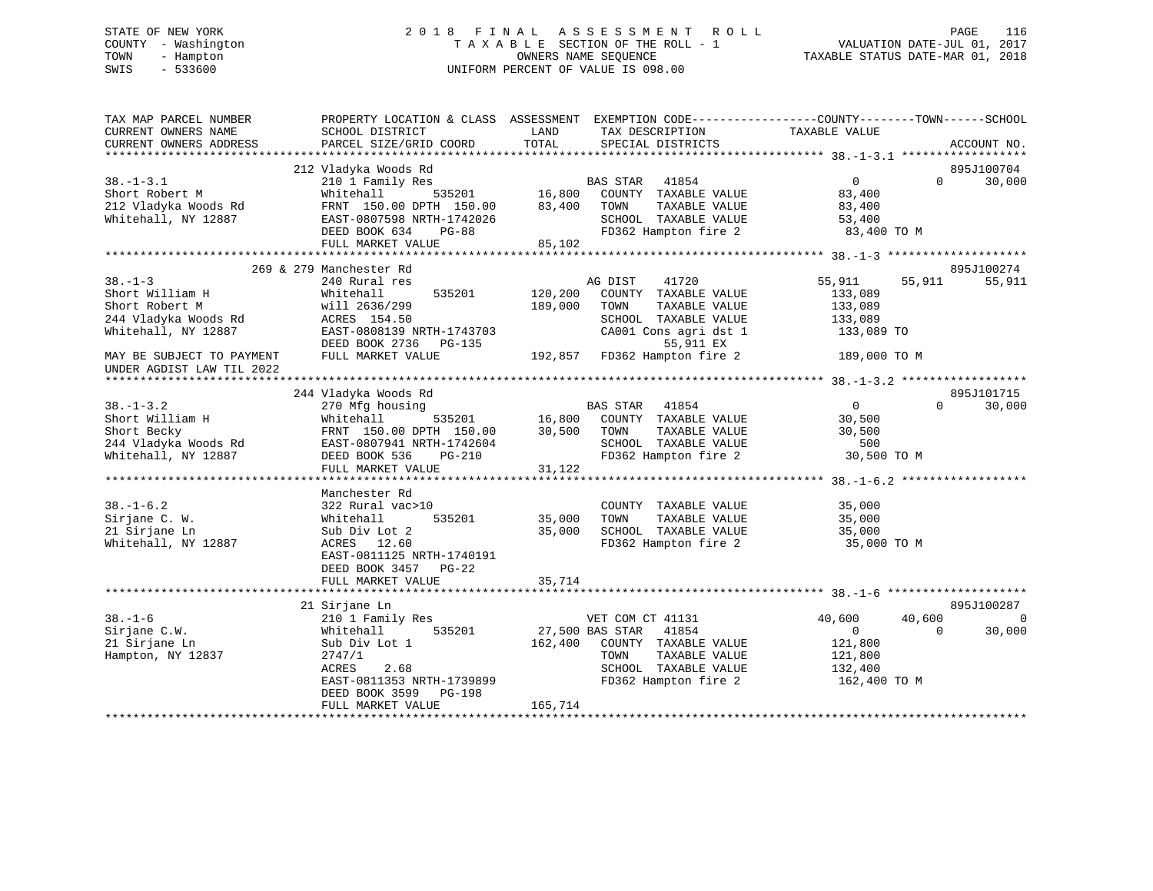# STATE OF NEW YORK 2 0 1 8 F I N A L A S S E S S M E N T R O L L PAGE 116 COUNTY - Washington T A X A B L E SECTION OF THE ROLL - 1 VALUATION DATE-JUL 01, 2017 TOWN - Hampton OWNERS NAME SEQUENCE TAXABLE STATUS DATE-MAR 01, 2018 SWIS - 533600 UNIFORM PERCENT OF VALUE IS 098.00

| TAX MAP PARCEL NUMBER<br>CURRENT OWNERS NAME<br>CURRENT OWNERS ADDRESS | PROPERTY LOCATION & CLASS ASSESSMENT EXEMPTION CODE----------------COUNTY-------TOWN-----SCHOOL<br>SCHOOL DISTRICT<br>PARCEL SIZE/GRID COORD                                                                                              | LAND<br>TOTAL    | TAX DESCRIPTION<br>SPECIAL DISTRICTS                                                                                                                                     | TAXABLE VALUE                            | ACCOUNT NO.        |
|------------------------------------------------------------------------|-------------------------------------------------------------------------------------------------------------------------------------------------------------------------------------------------------------------------------------------|------------------|--------------------------------------------------------------------------------------------------------------------------------------------------------------------------|------------------------------------------|--------------------|
|                                                                        |                                                                                                                                                                                                                                           |                  |                                                                                                                                                                          |                                          |                    |
|                                                                        | 212 Vladyka Woods Rd                                                                                                                                                                                                                      |                  |                                                                                                                                                                          |                                          | 895J100704         |
| $38. - 1 - 3.1$                                                        |                                                                                                                                                                                                                                           |                  |                                                                                                                                                                          | $\overline{0}$                           | $\Omega$<br>30,000 |
| Short Robert M                                                         |                                                                                                                                                                                                                                           |                  |                                                                                                                                                                          | 83,400                                   |                    |
| 212 Vladyka Woods Rd                                                   |                                                                                                                                                                                                                                           |                  |                                                                                                                                                                          | 83,400                                   |                    |
| Whitehall, NY 12887                                                    |                                                                                                                                                                                                                                           |                  |                                                                                                                                                                          |                                          |                    |
|                                                                        |                                                                                                                                                                                                                                           |                  | SCHOOL TAXABLE VALUE 53,400<br>FD362 Hampton fire 2 33,400 TO M                                                                                                          |                                          |                    |
|                                                                        |                                                                                                                                                                                                                                           |                  |                                                                                                                                                                          |                                          |                    |
|                                                                        | Vladyka Woods Rd<br>210 1 Family Res<br>210 16,800 COUNTY TAXABLE VALUE<br>TRAT 150.00 DPTH 150.00 83,400 TOWN TAXABLE VALUE<br>FRAT-0807598 NRTH-1742026 SCHOOL TAXABLE VALUE<br>DEED BOOK 634 PG-88 FD362 Hampton fire 2<br>FULL MARKET |                  |                                                                                                                                                                          |                                          |                    |
|                                                                        | 269 & 279 Manchester Rd                                                                                                                                                                                                                   |                  |                                                                                                                                                                          |                                          | 895J100274         |
| $38. - 1 - 3$                                                          | 240 Rural res                                                                                                                                                                                                                             |                  | AG DIST 41720                                                                                                                                                            | 55,911 55,911                            | 55,911             |
| Short William H                                                        | 535201 120,200<br>Whitehall                                                                                                                                                                                                               |                  | COUNTY TAXABLE VALUE                                                                                                                                                     | 133,089                                  |                    |
| Short Robert M<br>244 Vladyka Woods Rd                                 | will 2636/299<br>ACPFS 154.50<br>will 2636/299<br>ACRES 154.50                                                                                                                                                                            | 189,000          | TOWN<br>TAXABLE VALUE                                                                                                                                                    | 133,089                                  |                    |
|                                                                        |                                                                                                                                                                                                                                           |                  | SCHOOL TAXABLE VALUE                                                                                                                                                     | 133,089                                  |                    |
| Whitehall, NY 12887                                                    | EAST-0808139 NRTH-1743703                                                                                                                                                                                                                 | 03 CA001 C       | CA001 Cons agri dst 1 133,089 TO                                                                                                                                         |                                          |                    |
|                                                                        | DEED BOOK 2736 PG-135                                                                                                                                                                                                                     |                  | 55,911 EX                                                                                                                                                                |                                          |                    |
| MAY BE SUBJECT TO PAYMENT<br>UNDER AGDIST LAW TIL 2022                 | FULL MARKET VALUE                                                                                                                                                                                                                         |                  | 192,857 FD362 Hampton fire 2 189,000 TO M                                                                                                                                |                                          |                    |
|                                                                        |                                                                                                                                                                                                                                           |                  |                                                                                                                                                                          |                                          |                    |
|                                                                        | 244 Vladyka Woods Rd                                                                                                                                                                                                                      |                  |                                                                                                                                                                          |                                          | 895J101715         |
| $38. - 1 - 3.2$                                                        | 270 Mfg housing                                                                                                                                                                                                                           |                  |                                                                                                                                                                          | $\begin{array}{c}\n0 \\ 30\n\end{array}$ | $\Omega$<br>30,000 |
|                                                                        | Whitehall                                                                                                                                                                                                                                 |                  | ising<br>535201 16,800 COUNTY TAXABLE VALUE                                                                                                                              |                                          |                    |
| 38.-1-5.4<br>Short William H<br>Short Becky                            | FRNT 150.00 DPTH 150.00                                                                                                                                                                                                                   | 30,500 TOWN      | TAXABLE VALUE                                                                                                                                                            | 30,500                                   |                    |
| 244 Vladyka Woods Rd                                                   | EAST-0807941 NRTH-1742604                                                                                                                                                                                                                 |                  |                                                                                                                                                                          |                                          |                    |
| Whitehall, NY 12887                                                    | DEED BOOK 536<br>PG-210                                                                                                                                                                                                                   |                  | SCHOOL TAXABLE VALUE 500<br>FD362 Hampton fire 2 30,500 TO M                                                                                                             |                                          |                    |
|                                                                        | FULL MARKET VALUE                                                                                                                                                                                                                         | 31,122           |                                                                                                                                                                          |                                          |                    |
|                                                                        |                                                                                                                                                                                                                                           |                  |                                                                                                                                                                          |                                          |                    |
|                                                                        | Manchester Rd                                                                                                                                                                                                                             |                  |                                                                                                                                                                          |                                          |                    |
| $38. - 1 - 6.2$                                                        | 322 Rural vac>10                                                                                                                                                                                                                          |                  | COUNTY TAXABLE VALUE 35,000                                                                                                                                              |                                          |                    |
| Sirjane C. W.                                                          | 535201<br>Whitehall                                                                                                                                                                                                                       |                  | TAXABLE VALUE                                                                                                                                                            |                                          |                    |
| 21 Sirjane Ln                                                          | Sub Div Lot 2                                                                                                                                                                                                                             | 35,000<br>35,000 | $35,000 \qquad \qquad {\tt TQWN} \qquad \qquad {\tt TAXABLE\ VALUE} \qquad \qquad 35,000 \\ 35,000 \qquad {\tt SCHOOL} \qquad {\tt TAXABLE\ VALUE} \qquad \qquad 35,000$ |                                          |                    |
| Whitehall, NY 12887                                                    | ACRES 12.60                                                                                                                                                                                                                               |                  | FD362 Hampton fire 2 35,000 TO M                                                                                                                                         |                                          |                    |
|                                                                        | EAST-0811125 NRTH-1740191                                                                                                                                                                                                                 |                  |                                                                                                                                                                          |                                          |                    |
|                                                                        | DEED BOOK 3457 PG-22                                                                                                                                                                                                                      |                  |                                                                                                                                                                          |                                          |                    |
|                                                                        | FULL MARKET VALUE                                                                                                                                                                                                                         | 35,714           |                                                                                                                                                                          |                                          |                    |
|                                                                        |                                                                                                                                                                                                                                           |                  |                                                                                                                                                                          |                                          |                    |
|                                                                        | 21 Sirjane Ln                                                                                                                                                                                                                             |                  |                                                                                                                                                                          |                                          | 895J100287         |
| $38. - 1 - 6$                                                          |                                                                                                                                                                                                                                           |                  | VET COM CT 41131                                                                                                                                                         | 40,600<br>40,600                         | $\Omega$           |
| Sirjane C.W.                                                           | Sirjane Lu<br>210 1 Family Res<br>Whitehall 535201 27,500 BAS STAR 41854                                                                                                                                                                  |                  |                                                                                                                                                                          | $\overline{0}$<br>$\overline{0}$         | 30,000             |
| 21 Sirjane Ln                                                          | Sub Div Lot 1                                                                                                                                                                                                                             |                  | 162,400 COUNTY TAXABLE VALUE                                                                                                                                             | 121,800                                  |                    |
| Hampton, NY 12837                                                      | 2747/1                                                                                                                                                                                                                                    |                  | TAXABLE VALUE<br>TOWN                                                                                                                                                    | 121,800                                  |                    |
|                                                                        | ACRES<br>2.68                                                                                                                                                                                                                             |                  | SCHOOL TAXABLE VALUE 132,400                                                                                                                                             |                                          |                    |
|                                                                        | EAST-0811353 NRTH-1739899                                                                                                                                                                                                                 |                  | FD362 Hampton fire 2 162,400 TO M                                                                                                                                        |                                          |                    |
|                                                                        | DEED BOOK 3599 PG-198                                                                                                                                                                                                                     |                  |                                                                                                                                                                          |                                          |                    |
|                                                                        | FULL MARKET VALUE                                                                                                                                                                                                                         | 165,714          |                                                                                                                                                                          |                                          |                    |
|                                                                        |                                                                                                                                                                                                                                           |                  |                                                                                                                                                                          |                                          |                    |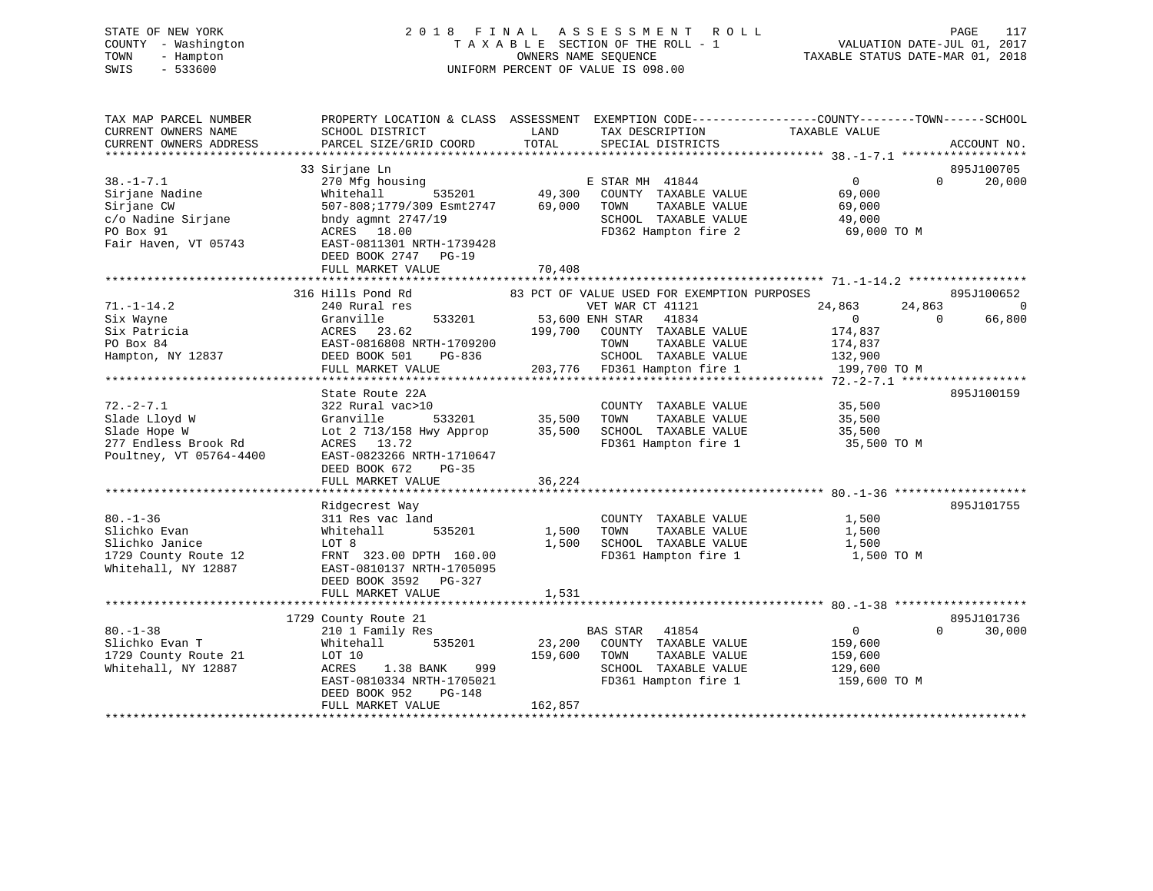# STATE OF NEW YORK 2 0 1 8 F I N A L A S S E S S M E N T R O L L PAGE 117 COUNTY - Washington T A X A B L E SECTION OF THE ROLL - 1 VALUATION DATE-JUL 01, 2017 TOWN - Hampton OWNERS NAME SEQUENCE TAXABLE STATUS DATE-MAR 01, 2018 SWIS - 533600 UNIFORM PERCENT OF VALUE IS 098.00

| 33 Sirjane Ln<br>895J100705<br>$38. - 1 - 7.1$<br>$\overline{0}$<br>270 Mfg housing<br>E STAR MH 41844<br>$\Omega$<br>49,300<br>Sirjane Nadine<br>Whitehall<br>535201<br>COUNTY TAXABLE VALUE<br>69,000<br>69,000<br>Sirjane CW<br>507-808;1779/309 Esmt2747<br>TOWN<br>TAXABLE VALUE<br>69,000<br>c/o Nadine Sirjane<br>SCHOOL TAXABLE VALUE<br>bndy agmnt $2747/19$<br>49,000 | 20,000 |
|---------------------------------------------------------------------------------------------------------------------------------------------------------------------------------------------------------------------------------------------------------------------------------------------------------------------------------------------------------------------------------|--------|
|                                                                                                                                                                                                                                                                                                                                                                                 |        |
|                                                                                                                                                                                                                                                                                                                                                                                 |        |
|                                                                                                                                                                                                                                                                                                                                                                                 |        |
|                                                                                                                                                                                                                                                                                                                                                                                 |        |
|                                                                                                                                                                                                                                                                                                                                                                                 |        |
| FD362 Hampton fire 2<br>PO Box 91<br>ACRES 18.00<br>69,000 TO M                                                                                                                                                                                                                                                                                                                 |        |
| Fair Haven, VT 05743<br>EAST-0811301 NRTH-1739428                                                                                                                                                                                                                                                                                                                               |        |
| DEED BOOK 2747 PG-19                                                                                                                                                                                                                                                                                                                                                            |        |
| 70,408<br>FULL MARKET VALUE                                                                                                                                                                                                                                                                                                                                                     |        |
|                                                                                                                                                                                                                                                                                                                                                                                 |        |
| 316 Hills Pond Rd<br>895J100652<br>83 PCT OF VALUE USED FOR EXEMPTION PURPOSES                                                                                                                                                                                                                                                                                                  |        |
| $71. - 1 - 14.2$<br>240 Rural res<br>VET WAR CT 41121<br>24,863<br>24,863                                                                                                                                                                                                                                                                                                       | 0      |
| 53,600 ENH STAR 41834<br>Granville<br>533201<br>$\overline{0}$<br>$\Omega$<br>Six Wayne                                                                                                                                                                                                                                                                                         | 66,800 |
| Six Patricia<br>ACRES 23.62<br>COUNTY TAXABLE VALUE<br>174,837<br>199,700                                                                                                                                                                                                                                                                                                       |        |
| PO Box 84<br>EAST-0816808 NRTH-1709200<br>TAXABLE VALUE<br>TOWN<br>174,837                                                                                                                                                                                                                                                                                                      |        |
| Hampton, NY 12837<br>SCHOOL TAXABLE VALUE<br>DEED BOOK 501<br>PG-836<br>132,900                                                                                                                                                                                                                                                                                                 |        |
| 203,776 FD361 Hampton fire 1<br>199,700 TO M<br>FULL MARKET VALUE                                                                                                                                                                                                                                                                                                               |        |
| 895J100159<br>State Route 22A                                                                                                                                                                                                                                                                                                                                                   |        |
| $72. - 2 - 7.1$<br>35,500<br>322 Rural vac>10<br>COUNTY TAXABLE VALUE                                                                                                                                                                                                                                                                                                           |        |
| Slade Lloyd W<br>533201<br>35,500<br>TOWN<br>TAXABLE VALUE<br>35,500<br>Granville                                                                                                                                                                                                                                                                                               |        |
| 35,500<br>SCHOOL TAXABLE VALUE<br>Slade Hope W<br>Lot 2 713/158 Hwy Approp<br>35,500                                                                                                                                                                                                                                                                                            |        |
| 277 Endless Brook Rd<br>ACRES 13.72<br>FD361 Hampton fire 1<br>35,500 TO M                                                                                                                                                                                                                                                                                                      |        |
| EAST-0823266 NRTH-1710647<br>Poultney, VT 05764-4400                                                                                                                                                                                                                                                                                                                            |        |
| DEED BOOK 672<br>$PG-35$                                                                                                                                                                                                                                                                                                                                                        |        |
| FULL MARKET VALUE<br>36,224                                                                                                                                                                                                                                                                                                                                                     |        |
|                                                                                                                                                                                                                                                                                                                                                                                 |        |
| 895J101755<br>Ridgecrest Way                                                                                                                                                                                                                                                                                                                                                    |        |
| $80. - 1 - 36$<br>311 Res vac land<br>COUNTY TAXABLE VALUE<br>1,500                                                                                                                                                                                                                                                                                                             |        |
| Slichko Evan<br>1,500<br>TOWN<br>TAXABLE VALUE<br>1,500<br>Whitehall<br>535201<br>Slichko Janice<br>1,500<br>SCHOOL TAXABLE VALUE<br>LOT 8<br>1,500                                                                                                                                                                                                                             |        |
| 1729 County Route 12<br>FRNT 323.00 DPTH 160.00<br>FD361 Hampton fire 1<br>1,500 TO M                                                                                                                                                                                                                                                                                           |        |
| Whitehall, NY 12887<br>EAST-0810137 NRTH-1705095                                                                                                                                                                                                                                                                                                                                |        |
| DEED BOOK 3592 PG-327                                                                                                                                                                                                                                                                                                                                                           |        |
| FULL MARKET VALUE<br>1,531                                                                                                                                                                                                                                                                                                                                                      |        |
|                                                                                                                                                                                                                                                                                                                                                                                 |        |
| 895J101736<br>1729 County Route 21                                                                                                                                                                                                                                                                                                                                              |        |
| $80. - 1 - 38$<br>$\overline{0}$<br>210 1 Family Res<br>BAS STAR 41854<br>$\Omega$                                                                                                                                                                                                                                                                                              | 30,000 |
| Slichko Evan T<br>535201<br>23,200<br>COUNTY TAXABLE VALUE<br>Whitehall<br>159,600                                                                                                                                                                                                                                                                                              |        |
| 159,600<br>TAXABLE VALUE<br>1729 County Route 21<br>LOT 10<br>TOWN<br>159,600                                                                                                                                                                                                                                                                                                   |        |
| SCHOOL TAXABLE VALUE<br>Whitehall, NY 12887<br>ACRES<br>1.38 BANK<br>999<br>129,600                                                                                                                                                                                                                                                                                             |        |
| EAST-0810334 NRTH-1705021<br>FD361 Hampton fire 1<br>159,600 TO M                                                                                                                                                                                                                                                                                                               |        |
| DEED BOOK 952<br>PG-148                                                                                                                                                                                                                                                                                                                                                         |        |
| 162,857<br>FULL MARKET VALUE                                                                                                                                                                                                                                                                                                                                                    |        |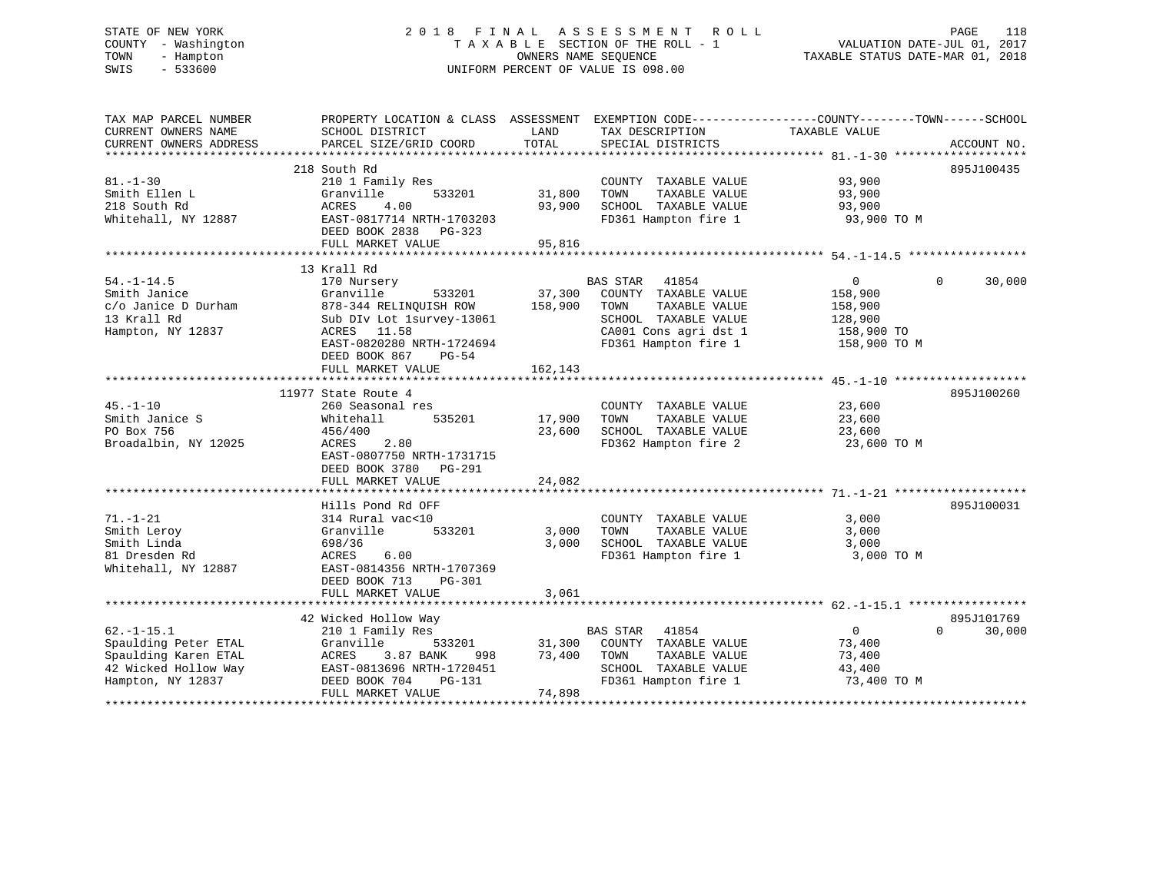# STATE OF NEW YORK 2 0 1 8 F I N A L A S S E S S M E N T R O L L PAGE 118 COUNTY - Washington T A X A B L E SECTION OF THE ROLL - 1 VALUATION DATE-JUL 01, 2017 TOWN - Hampton OWNERS NAME SEQUENCE TAXABLE STATUS DATE-MAR 01, 2018 SWIS - 533600 UNIFORM PERCENT OF VALUE IS 098.00

| TAX MAP PARCEL NUMBER<br>CURRENT OWNERS NAME<br>CURRENT OWNERS ADDRESS                                       | PROPERTY LOCATION & CLASS ASSESSMENT<br>SCHOOL DISTRICT<br>PARCEL SIZE/GRID COORD                                                                                                                   | LAND<br>TOTAL                | TAX DESCRIPTION<br>SPECIAL DISTRICTS                                                                                                        | EXEMPTION CODE-----------------COUNTY-------TOWN------SCHOOL<br>TAXABLE VALUE | ACCOUNT NO.                      |
|--------------------------------------------------------------------------------------------------------------|-----------------------------------------------------------------------------------------------------------------------------------------------------------------------------------------------------|------------------------------|---------------------------------------------------------------------------------------------------------------------------------------------|-------------------------------------------------------------------------------|----------------------------------|
| $81. - 1 - 30$<br>Smith Ellen L<br>218 South Rd<br>Whitehall, NY 12887                                       | 218 South Rd<br>210 1 Family Res<br>533201<br>Granville<br>4.00<br>ACRES<br>EAST-0817714 NRTH-1703203<br>DEED BOOK 2838<br>PG-323<br>FULL MARKET VALUE                                              | 31,800<br>93,900<br>95,816   | COUNTY TAXABLE VALUE<br>TAXABLE VALUE<br>TOWN<br>SCHOOL TAXABLE VALUE<br>FD361 Hampton fire 1                                               | 93,900<br>93,900<br>93,900<br>93,900 TO M                                     | 895J100435                       |
| $54. -1 - 14.5$<br>Smith Janice<br>c/o Janice D Durham<br>13 Krall Rd<br>Hampton, NY 12837                   | 13 Krall Rd<br>170 Nursery<br>533201<br>Granville<br>878-344 RELINOUISH ROW<br>Sub DIv Lot 1survey-13061<br>ACRES 11.58<br>EAST-0820280 NRTH-1724694<br>DEED BOOK 867<br>PG-54<br>FULL MARKET VALUE | 37,300<br>158,900<br>162,143 | BAS STAR<br>41854<br>COUNTY TAXABLE VALUE<br>TAXABLE VALUE<br>TOWN<br>SCHOOL TAXABLE VALUE<br>CA001 Cons agri dst 1<br>FD361 Hampton fire 1 | $\mathbf{0}$<br>158,900<br>158,900<br>128,900<br>158,900 TO<br>158,900 TO M   | 30,000<br>$\Omega$               |
|                                                                                                              |                                                                                                                                                                                                     |                              |                                                                                                                                             |                                                                               |                                  |
| $45. - 1 - 10$<br>Smith Janice S<br>PO Box 756<br>Broadalbin, NY 12025                                       | 11977 State Route 4<br>260 Seasonal res<br>535201<br>Whitehall<br>456/400<br>ACRES<br>2.80<br>EAST-0807750 NRTH-1731715<br>DEED BOOK 3780<br>PG-291<br>FULL MARKET VALUE                            | 17,900<br>23,600<br>24,082   | COUNTY TAXABLE VALUE<br>TAXABLE VALUE<br>TOWN<br>SCHOOL TAXABLE VALUE<br>FD362 Hampton fire 2                                               | 23,600<br>23,600<br>23,600<br>23,600 TO M                                     | 895J100260                       |
|                                                                                                              |                                                                                                                                                                                                     |                              |                                                                                                                                             |                                                                               |                                  |
| $71. - 1 - 21$<br>Smith Leroy<br>Smith Linda<br>81 Dresden Rd<br>Whitehall, NY 12887                         | Hills Pond Rd OFF<br>314 Rural vac<10<br>533201<br>Granville<br>698/36<br>ACRES<br>6.00<br>EAST-0814356 NRTH-1707369<br>DEED BOOK 713<br>PG-301                                                     | 3,000<br>3,000               | COUNTY TAXABLE VALUE<br>TAXABLE VALUE<br>TOWN<br>SCHOOL TAXABLE VALUE<br>FD361 Hampton fire 1                                               | 3,000<br>3,000<br>3,000<br>3,000 TO M                                         | 895J100031                       |
|                                                                                                              | FULL MARKET VALUE                                                                                                                                                                                   | 3,061                        |                                                                                                                                             |                                                                               |                                  |
| $62. -1 - 15.1$<br>Spaulding Peter ETAL<br>Spaulding Karen ETAL<br>42 Wicked Hollow Way<br>Hampton, NY 12837 | 42 Wicked Hollow Way<br>210 1 Family Res<br>Granville<br>533201<br>ACRES<br>3.87 BANK<br>998<br>EAST-0813696 NRTH-1720451<br>DEED BOOK 704<br>PG-131<br>FULL MARKET VALUE                           | 31,300<br>73,400<br>74,898   | BAS STAR<br>41854<br>COUNTY TAXABLE VALUE<br>TOWN<br>TAXABLE VALUE<br>SCHOOL TAXABLE VALUE<br>FD361 Hampton fire 1                          | $\overline{0}$<br>73,400<br>73,400<br>43,400<br>73,400 TO M                   | 895J101769<br>$\Omega$<br>30,000 |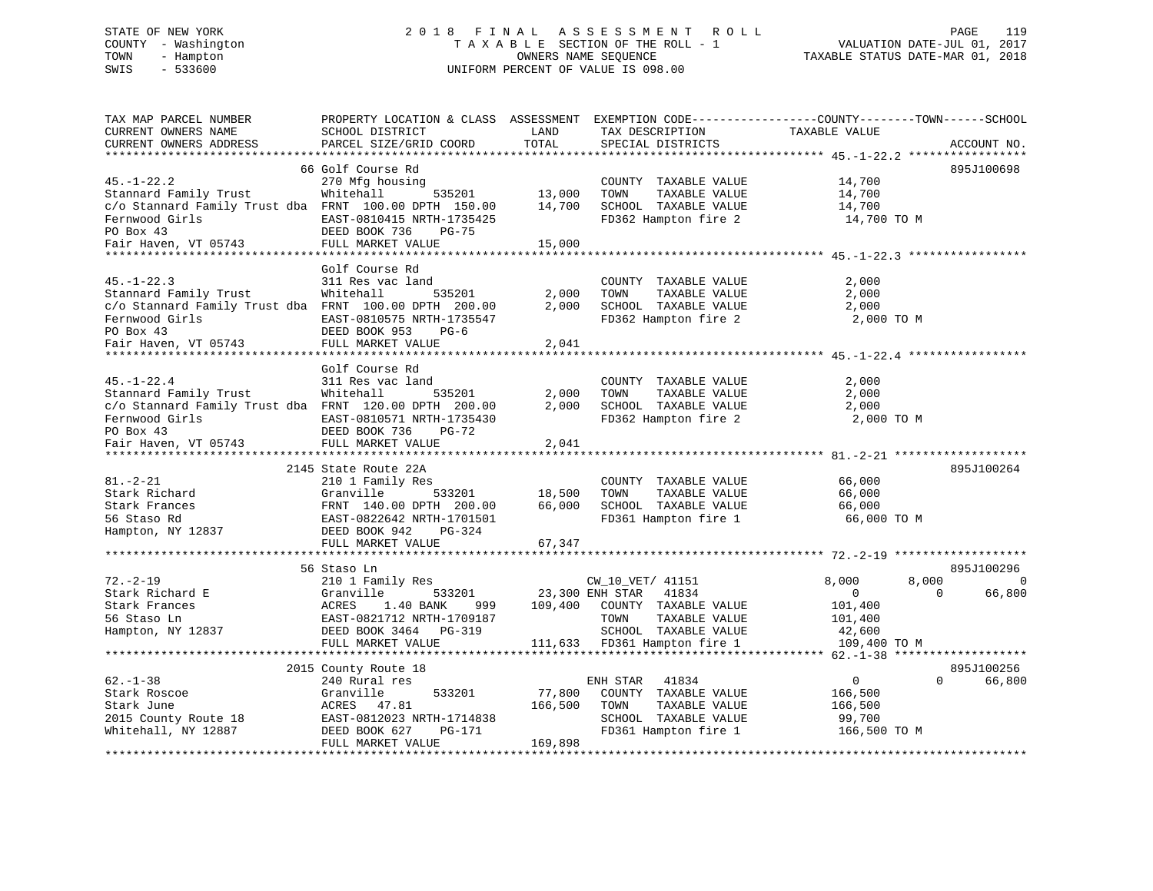# STATE OF NEW YORK 2 0 1 8 F I N A L A S S E S S M E N T R O L L PAGE 119 COUNTY - Washington T A X A B L E SECTION OF THE ROLL - 1 VALUATION DATE-JUL 01, 2017 TOWN - Hampton OWNERS NAME SEQUENCE TAXABLE STATUS DATE-MAR 01, 2018 SWIS - 533600 UNIFORM PERCENT OF VALUE IS 098.00

| TAX MAP PARCEL NUMBER<br>CURRENT OWNERS NAME          | PROPERTY LOCATION & CLASS ASSESSMENT<br>SCHOOL DISTRICT | LAND    | EXEMPTION CODE-----------------COUNTY-------TOWN------SCHOOL<br>TAX DESCRIPTION | TAXABLE VALUE  |                    |          |
|-------------------------------------------------------|---------------------------------------------------------|---------|---------------------------------------------------------------------------------|----------------|--------------------|----------|
| CURRENT OWNERS ADDRESS<br>*******************         | PARCEL SIZE/GRID COORD<br>*************************     | TOTAL   | SPECIAL DISTRICTS                                                               |                | ACCOUNT NO.        |          |
|                                                       | 66 Golf Course Rd                                       |         |                                                                                 |                | 895J100698         |          |
| $45. - 1 - 22.2$                                      | 270 Mfg housing                                         |         | COUNTY TAXABLE VALUE                                                            | 14,700         |                    |          |
| Stannard Family Trust                                 | Whitehall<br>535201                                     | 13,000  | TOWN<br>TAXABLE VALUE                                                           | 14,700         |                    |          |
| c/o Stannard Family Trust dba FRNT 100.00 DPTH 150.00 |                                                         | 14,700  | SCHOOL TAXABLE VALUE                                                            | 14,700         |                    |          |
| Fernwood Girls                                        | EAST-0810415 NRTH-1735425                               |         | FD362 Hampton fire 2                                                            | 14,700 TO M    |                    |          |
| PO Box 43                                             | DEED BOOK 736<br>PG-75                                  |         |                                                                                 |                |                    |          |
| Fair Haven, VT 05743                                  | FULL MARKET VALUE                                       | 15,000  |                                                                                 |                |                    |          |
|                                                       |                                                         |         |                                                                                 |                |                    |          |
|                                                       | Golf Course Rd                                          |         |                                                                                 |                |                    |          |
| $45. - 1 - 22.3$                                      | 311 Res vac land                                        |         | COUNTY TAXABLE VALUE                                                            | 2,000          |                    |          |
| Stannard Family Trust                                 | Whitehall<br>535201                                     | 2,000   | TOWN<br>TAXABLE VALUE                                                           | 2,000          |                    |          |
| c/o Stannard Family Trust dba FRNT 100.00 DPTH 200.00 |                                                         | 2,000   | SCHOOL TAXABLE VALUE                                                            | 2,000          |                    |          |
| Fernwood Girls                                        | EAST-0810575 NRTH-1735547                               |         | FD362 Hampton fire 2                                                            | 2,000 TO M     |                    |          |
| PO Box 43                                             | DEED BOOK 953<br>$PG-6$                                 |         |                                                                                 |                |                    |          |
| Fair Haven, VT 05743                                  | FULL MARKET VALUE                                       | 2,041   |                                                                                 |                |                    |          |
| **********************                                | ****************************                            |         | ********************************* 45.-1-22.4 ****                               |                |                    |          |
|                                                       | Golf Course Rd                                          |         |                                                                                 |                |                    |          |
| $45. - 1 - 22.4$                                      | 311 Res vac land                                        |         | COUNTY TAXABLE VALUE                                                            | 2,000          |                    |          |
| Stannard Family Trust                                 | Whitehall<br>535201                                     | 2,000   | TOWN<br>TAXABLE VALUE                                                           | 2,000          |                    |          |
| c/o Stannard Family Trust dba FRNT 120.00 DPTH 200.00 |                                                         | 2,000   | SCHOOL TAXABLE VALUE                                                            | 2,000          |                    |          |
| Fernwood Girls                                        | EAST-0810571 NRTH-1735430                               |         | FD362 Hampton fire 2                                                            | 2,000 TO M     |                    |          |
| PO Box 43                                             | DEED BOOK 736<br>PG-72                                  |         |                                                                                 |                |                    |          |
| Fair Haven, VT 05743                                  | FULL MARKET VALUE                                       | 2,041   |                                                                                 |                |                    |          |
|                                                       |                                                         |         |                                                                                 |                |                    |          |
|                                                       | 2145 State Route 22A                                    |         |                                                                                 |                | 895J100264         |          |
| $81. - 2 - 21$                                        | 210 1 Family Res                                        |         | COUNTY TAXABLE VALUE                                                            | 66,000         |                    |          |
| Stark Richard                                         | Granville<br>533201                                     | 18,500  | TOWN<br>TAXABLE VALUE                                                           | 66,000         |                    |          |
| Stark Frances                                         | FRNT 140.00 DPTH 200.00                                 | 66,000  | SCHOOL TAXABLE VALUE                                                            | 66,000         |                    |          |
| 56 Staso Rd                                           | EAST-0822642 NRTH-1701501                               |         | FD361 Hampton fire 1                                                            | 66,000 TO M    |                    |          |
| Hampton, NY 12837                                     | DEED BOOK 942<br>PG-324                                 |         |                                                                                 |                |                    |          |
|                                                       | FULL MARKET VALUE                                       | 67,347  |                                                                                 |                |                    |          |
|                                                       |                                                         |         |                                                                                 |                |                    |          |
|                                                       | 56 Staso Ln                                             |         |                                                                                 |                | 895J100296         |          |
| $72. - 2 - 19$                                        | 210 1 Family Res                                        |         | CW_10_VET/ 41151                                                                | 8,000          | 8,000              | $\Omega$ |
| Stark Richard E                                       | Granville<br>533201                                     |         | 23,300 ENH STAR 41834                                                           | $\overline{0}$ | $\Omega$<br>66,800 |          |
| Stark Frances                                         | 1.40 BANK<br>ACRES<br>999                               | 109,400 | COUNTY TAXABLE VALUE                                                            | 101,400        |                    |          |
| 56 Staso Ln                                           | EAST-0821712 NRTH-1709187                               |         | TOWN<br>TAXABLE VALUE                                                           | 101,400        |                    |          |
| Hampton, NY 12837                                     | DEED BOOK 3464 PG-319                                   |         | SCHOOL TAXABLE VALUE                                                            | 42,600         |                    |          |
|                                                       | FULL MARKET VALUE                                       |         | 111,633 FD361 Hampton fire 1                                                    | 109,400 TO M   |                    |          |
|                                                       |                                                         |         |                                                                                 |                |                    |          |
|                                                       | 2015 County Route 18                                    |         |                                                                                 |                | 895J100256         |          |
| $62. - 1 - 38$                                        | 240 Rural res                                           |         | 41834<br>ENH STAR                                                               | $\overline{0}$ | $\Omega$<br>66,800 |          |
| Stark Roscoe                                          | 533201<br>Granville                                     | 77,800  | COUNTY TAXABLE VALUE                                                            | 166,500        |                    |          |
| Stark June                                            | ACRES 47.81                                             | 166,500 | TOWN<br>TAXABLE VALUE                                                           | 166,500        |                    |          |
| 2015 County Route 18                                  | EAST-0812023 NRTH-1714838                               |         | SCHOOL TAXABLE VALUE                                                            | 99,700         |                    |          |
| Whitehall, NY 12887                                   | DEED BOOK 627<br>PG-171                                 |         | FD361 Hampton fire 1                                                            | 166,500 TO M   |                    |          |
|                                                       | FULL MARKET VALUE                                       | 169,898 |                                                                                 |                |                    |          |
|                                                       |                                                         |         |                                                                                 |                |                    |          |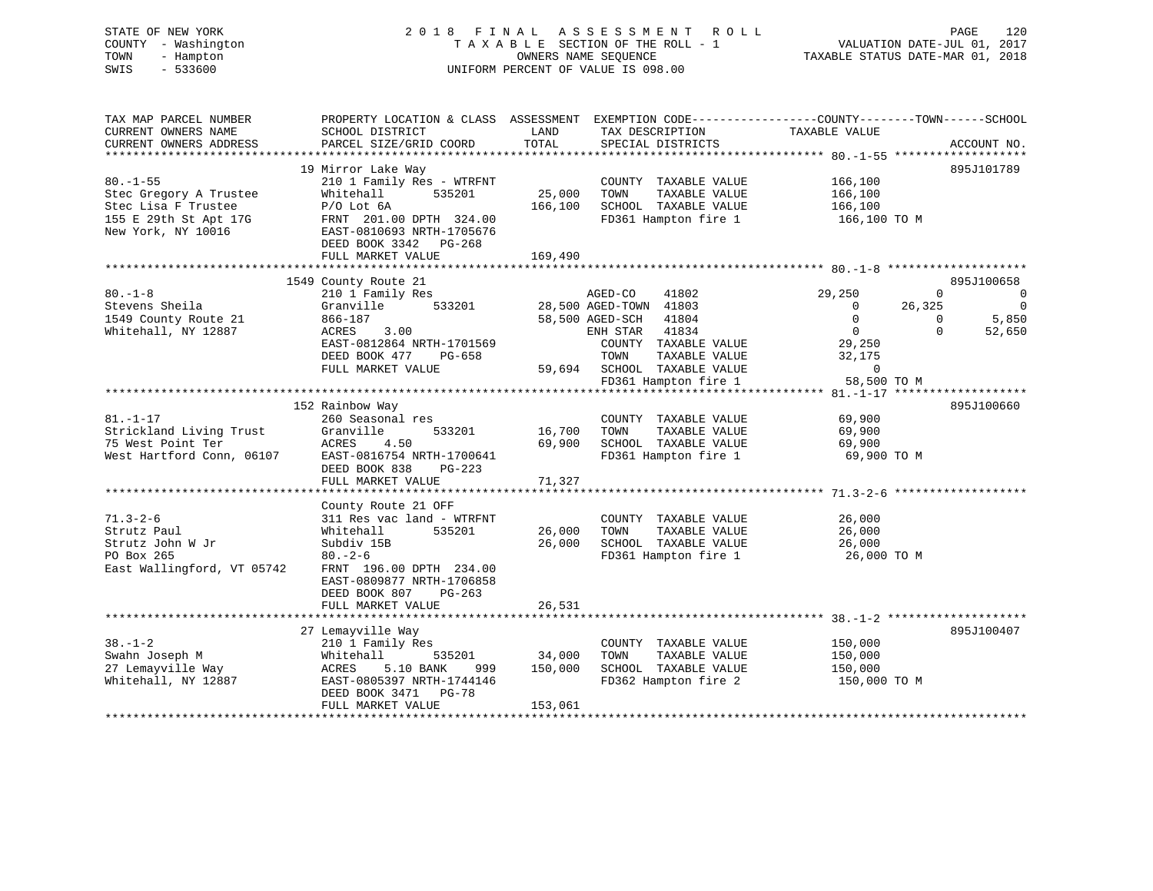# STATE OF NEW YORK 2 0 1 8 F I N A L A S S E S S M E N T R O L L PAGE 120 COUNTY - Washington T A X A B L E SECTION OF THE ROLL - 1 VALUATION DATE-JUL 01, 2017 TOWN - Hampton OWNERS NAME SEQUENCE TAXABLE STATUS DATE-MAR 01, 2018 SWIS - 533600 UNIFORM PERCENT OF VALUE IS 098.00

| TAX MAP PARCEL NUMBER<br>CURRENT OWNERS NAME<br>CURRENT OWNERS ADDRESS | PROPERTY LOCATION & CLASS ASSESSMENT EXEMPTION CODE---------------COUNTY-------TOWN-----SCHOOL<br>SCHOOL DISTRICT<br>PARCEL SIZE/GRID COORD | LAND<br>TOTAL     | TAX DESCRIPTION<br>SPECIAL DISTRICTS                                  | TAXABLE VALUE                     | ACCOUNT NO.                    |
|------------------------------------------------------------------------|---------------------------------------------------------------------------------------------------------------------------------------------|-------------------|-----------------------------------------------------------------------|-----------------------------------|--------------------------------|
|                                                                        |                                                                                                                                             |                   |                                                                       |                                   |                                |
|                                                                        | 19 Mirror Lake Way                                                                                                                          |                   |                                                                       |                                   | 895J101789                     |
| $80. - 1 - 55$<br>Stec Gregory A Trustee<br>Stec Lisa F Trustee        | 210 1 Family Res - WTRFNT<br>Whitehall<br>535201<br>$P/O$ Lot $6A$                                                                          | 25,000<br>166,100 | COUNTY TAXABLE VALUE<br>TOWN<br>TAXABLE VALUE<br>SCHOOL TAXABLE VALUE | 166,100<br>166,100<br>166,100     |                                |
| 155 E 29th St Apt 17G<br>New York, NY 10016                            | FRNT 201.00 DPTH 324.00<br>EAST-0810693 NRTH-1705676<br>DEED BOOK 3342 PG-268<br>FULL MARKET VALUE                                          | 169,490           |                                                                       | FD361 Hampton fire 1 166,100 TO M |                                |
|                                                                        |                                                                                                                                             |                   |                                                                       |                                   |                                |
|                                                                        | 1549 County Route 21                                                                                                                        |                   |                                                                       |                                   | 895J100658                     |
| $80. -1 - 8$                                                           | 210 1 Family Res                                                                                                                            |                   | AGED-CO<br>41802                                                      | 29,250                            | $\mathbf{0}$<br>$\overline{0}$ |
| Stevens Sheila                                                         | Granville 533201                                                                                                                            |                   | 28,500 AGED-TOWN 41803                                                | 26,325<br>$\overline{0}$          | $\overline{0}$                 |
| 1549 County Route 21                                                   | 866-187                                                                                                                                     |                   | 58,500 AGED-SCH 41804                                                 | $\overline{0}$                    | 5,850<br>$\Omega$              |
| Whitehall, NY 12887                                                    | ACRES<br>3.00                                                                                                                               |                   | ENH STAR 41834                                                        | $\overline{0}$                    | 52,650<br>$\Omega$             |
|                                                                        | EAST-0812864 NRTH-1701569                                                                                                                   |                   | COUNTY TAXABLE VALUE                                                  | 29,250                            |                                |
|                                                                        | DEED BOOK 477<br>PG-658                                                                                                                     |                   | TOWN<br>TAXABLE VALUE                                                 | 32,175                            |                                |
|                                                                        | FULL MARKET VALUE                                                                                                                           |                   | 59,694 SCHOOL TAXABLE VALUE                                           | $\overline{0}$                    |                                |
|                                                                        |                                                                                                                                             |                   | FD361 Hampton fire 1                                                  | 58,500 TO M                       |                                |
|                                                                        | 152 Rainbow Way                                                                                                                             |                   |                                                                       |                                   | 895J100660                     |
| $81. - 1 - 17$                                                         | 260 Seasonal res                                                                                                                            |                   | COUNTY TAXABLE VALUE                                                  | 69,900                            |                                |
| Strickland Living Trust                                                | Granville<br>533201                                                                                                                         | 16,700            | TAXABLE VALUE<br>TOWN                                                 | 69,900                            |                                |
| 75 West Point Ter                                                      | ACRES 4.50                                                                                                                                  | 69,900            | SCHOOL TAXABLE VALUE                                                  | 69,900                            |                                |
| West Hartford Conn, 06107                                              | EAST-0816754 NRTH-1700641                                                                                                                   |                   | FD361 Hampton fire 1                                                  | 69,900 TO M                       |                                |
|                                                                        | DEED BOOK 838<br>$PG-223$                                                                                                                   |                   |                                                                       |                                   |                                |
|                                                                        | FULL MARKET VALUE                                                                                                                           | 71,327            |                                                                       |                                   |                                |
|                                                                        |                                                                                                                                             |                   |                                                                       |                                   |                                |
|                                                                        | County Route 21 OFF                                                                                                                         |                   |                                                                       |                                   |                                |
| $71.3 - 2 - 6$                                                         | 311 Res vac land - WTRFNT                                                                                                                   |                   | COUNTY TAXABLE VALUE                                                  | 26,000                            |                                |
| Strutz Paul                                                            | 535201<br>Whitehall                                                                                                                         | 26,000            | TOWN<br>TAXABLE VALUE                                                 | 26,000                            |                                |
| Strutz John W Jr                                                       | Subdiv 15B                                                                                                                                  | 26,000            | SCHOOL TAXABLE VALUE<br>FD361 Hampton fire 1                          | 26,000                            |                                |
| PO Box 265                                                             | $80 - 2 - 6$                                                                                                                                |                   |                                                                       | 26,000 TO M                       |                                |
| East Wallingford, VT 05742                                             | FRNT 196.00 DPTH 234.00                                                                                                                     |                   |                                                                       |                                   |                                |
|                                                                        | EAST-0809877 NRTH-1706858                                                                                                                   |                   |                                                                       |                                   |                                |
|                                                                        | DEED BOOK 807<br>PG-263<br>FULL MARKET VALUE                                                                                                | 26,531            |                                                                       |                                   |                                |
|                                                                        |                                                                                                                                             |                   |                                                                       |                                   |                                |
|                                                                        | 27 Lemayville Way                                                                                                                           |                   |                                                                       |                                   | 895J100407                     |
| $38. - 1 - 2$                                                          | 210 1 Family Res                                                                                                                            |                   | COUNTY TAXABLE VALUE                                                  | 150,000                           |                                |
| Swahn Joseph M                                                         | 535201<br>Whitehall                                                                                                                         | 34,000            | TOWN<br>TAXABLE VALUE                                                 | 150,000                           |                                |
| 27 Lemayville Way                                                      | ACRES<br>5.10 BANK<br>999                                                                                                                   | 150,000           | SCHOOL TAXABLE VALUE                                                  | 150,000                           |                                |
| Whitehall, NY 12887                                                    | EAST-0805397 NRTH-1744146                                                                                                                   |                   | FD362 Hampton fire 2                                                  | 150,000 TO M                      |                                |
|                                                                        | DEED BOOK 3471 PG-78                                                                                                                        |                   |                                                                       |                                   |                                |
|                                                                        | FULL MARKET VALUE                                                                                                                           | 153,061           |                                                                       |                                   |                                |
|                                                                        |                                                                                                                                             |                   |                                                                       |                                   |                                |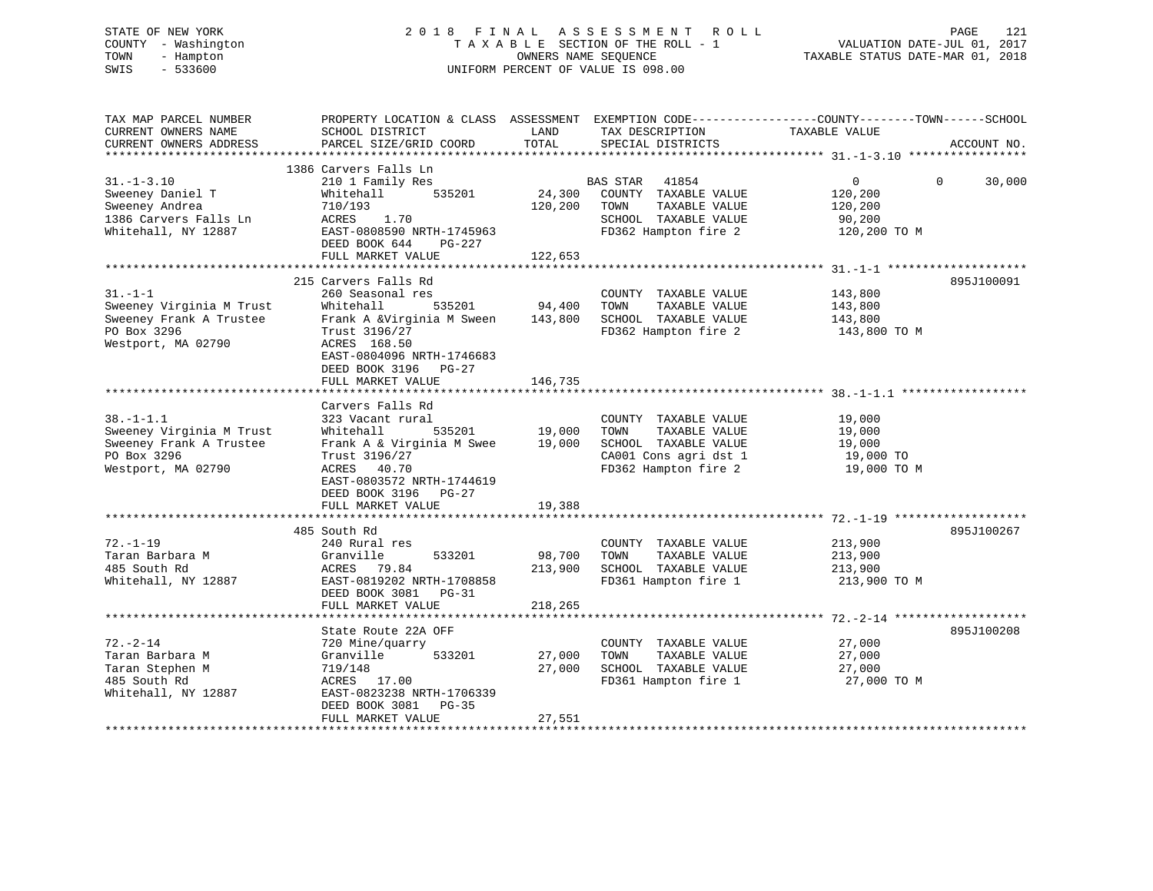# STATE OF NEW YORK 2 0 1 8 F I N A L A S S E S S M E N T R O L L PAGE 121 COUNTY - Washington T A X A B L E SECTION OF THE ROLL - 1 VALUATION DATE-JUL 01, 2017 TOWN - Hampton OWNERS NAME SEQUENCE TAXABLE STATUS DATE-MAR 01, 2018 SWIS - 533600 UNIFORM PERCENT OF VALUE IS 098.00

| CURRENT OWNERS NAME<br>SCHOOL DISTRICT<br>LAND<br>TAX DESCRIPTION<br>TAXABLE VALUE<br>TOTAL<br>CURRENT OWNERS ADDRESS<br>PARCEL SIZE/GRID COORD<br>SPECIAL DISTRICTS<br>ACCOUNT NO.<br>1386 Carvers Falls Ln<br>$31. - 1 - 3.10$<br>210 1 Family Res<br>41854<br>$\overline{0}$<br>$\Omega$<br>30,000<br>BAS STAR<br>Sweeney Daniel T<br>535201<br>24,300<br>COUNTY TAXABLE VALUE<br>120,200<br>Whitehall<br>Sweeney Andrea<br>710/193<br>120,200<br>TOWN<br>TAXABLE VALUE<br>120,200<br>1.70<br>1386 Carvers Falls Ln<br>ACRES<br>SCHOOL TAXABLE VALUE<br>90,200<br>Whitehall, NY 12887<br>EAST-0808590 NRTH-1745963<br>FD362 Hampton fire 2<br>120,200 TO M<br>DEED BOOK 644<br>PG-227<br>FULL MARKET VALUE<br>122,653<br>***********************<br>**********<br>215 Carvers Falls Rd<br>895J100091<br>$31. -1 -1$<br>260 Seasonal res<br>COUNTY TAXABLE VALUE<br>143,800<br>Sweeney Virginia M Trust<br>Whitehall<br>535201<br>94,400<br>TOWN<br>TAXABLE VALUE<br>143,800<br>Sweeney Frank A Trustee<br>Frank A &Virginia M Sween<br>143,800<br>SCHOOL TAXABLE VALUE<br>143,800<br>PO Box 3296<br>FD362 Hampton fire 2<br>Trust 3196/27<br>143,800 TO M<br>Westport, MA 02790<br>ACRES 168.50<br>EAST-0804096 NRTH-1746683<br>DEED BOOK 3196 PG-27<br>146,735<br>FULL MARKET VALUE<br>Carvers Falls Rd<br>$38. - 1 - 1.1$<br>323 Vacant rural<br>COUNTY TAXABLE VALUE<br>19,000<br>Sweeney Virginia M Trust<br>535201<br>19,000<br>TAXABLE VALUE<br>19,000<br>Whitehall<br>TOWN<br>Sweeney Frank A Trustee<br>Frank A & Virginia M Swee<br>19,000<br>SCHOOL TAXABLE VALUE<br>19,000<br>PO Box 3296<br>Trust 3196/27<br>CA001 Cons agri dst 1<br>19,000 TO<br>FD362 Hampton fire 2<br>Westport, MA 02790<br>ACRES 40.70<br>19,000 TO M<br>EAST-0803572 NRTH-1744619<br>DEED BOOK 3196<br>PG-27<br>FULL MARKET VALUE<br>19,388<br>485 South Rd<br>895J100267<br>$72. - 1 - 19$<br>213,900<br>240 Rural res<br>COUNTY TAXABLE VALUE<br>Taran Barbara M<br>Granville<br>533201<br>98,700<br>TOWN<br>TAXABLE VALUE<br>213,900<br>485 South Rd<br>213,900<br>SCHOOL TAXABLE VALUE<br>ACRES 79.84<br>213,900<br>Whitehall, NY 12887<br>EAST-0819202 NRTH-1708858<br>FD361 Hampton fire 1<br>213,900 TO M<br>DEED BOOK 3081<br>$PG-31$<br>FULL MARKET VALUE<br>218,265<br>895J100208<br>State Route 22A OFF<br>$72. - 2 - 14$<br>720 Mine/quarry<br>COUNTY TAXABLE VALUE<br>27,000<br>27,000<br>TAXABLE VALUE<br>Taran Barbara M<br>Granville<br>533201<br>TOWN<br>27,000<br>719/148<br>27,000<br>SCHOOL TAXABLE VALUE<br>Taran Stephen M<br>27,000<br>485 South Rd<br>FD361 Hampton fire 1<br>27,000 TO M<br>ACRES 17.00<br>Whitehall, NY 12887<br>EAST-0823238 NRTH-1706339<br>DEED BOOK 3081<br>PG-35<br>27,551<br>FULL MARKET VALUE | TAX MAP PARCEL NUMBER | PROPERTY LOCATION & CLASS ASSESSMENT EXEMPTION CODE----------------COUNTY-------TOWN------SCHOOL |  |  |
|--------------------------------------------------------------------------------------------------------------------------------------------------------------------------------------------------------------------------------------------------------------------------------------------------------------------------------------------------------------------------------------------------------------------------------------------------------------------------------------------------------------------------------------------------------------------------------------------------------------------------------------------------------------------------------------------------------------------------------------------------------------------------------------------------------------------------------------------------------------------------------------------------------------------------------------------------------------------------------------------------------------------------------------------------------------------------------------------------------------------------------------------------------------------------------------------------------------------------------------------------------------------------------------------------------------------------------------------------------------------------------------------------------------------------------------------------------------------------------------------------------------------------------------------------------------------------------------------------------------------------------------------------------------------------------------------------------------------------------------------------------------------------------------------------------------------------------------------------------------------------------------------------------------------------------------------------------------------------------------------------------------------------------------------------------------------------------------------------------------------------------------------------------------------------------------------------------------------------------------------------------------------------------------------------------------------------------------------------------------------------------------------------------------------------------------------------------------------------------------------------------------------------------------------------------------------------------------------------------------------------------------------------------------------------------------------------------------------------------------|-----------------------|--------------------------------------------------------------------------------------------------|--|--|
|                                                                                                                                                                                                                                                                                                                                                                                                                                                                                                                                                                                                                                                                                                                                                                                                                                                                                                                                                                                                                                                                                                                                                                                                                                                                                                                                                                                                                                                                                                                                                                                                                                                                                                                                                                                                                                                                                                                                                                                                                                                                                                                                                                                                                                                                                                                                                                                                                                                                                                                                                                                                                                                                                                                                      |                       |                                                                                                  |  |  |
|                                                                                                                                                                                                                                                                                                                                                                                                                                                                                                                                                                                                                                                                                                                                                                                                                                                                                                                                                                                                                                                                                                                                                                                                                                                                                                                                                                                                                                                                                                                                                                                                                                                                                                                                                                                                                                                                                                                                                                                                                                                                                                                                                                                                                                                                                                                                                                                                                                                                                                                                                                                                                                                                                                                                      |                       |                                                                                                  |  |  |
|                                                                                                                                                                                                                                                                                                                                                                                                                                                                                                                                                                                                                                                                                                                                                                                                                                                                                                                                                                                                                                                                                                                                                                                                                                                                                                                                                                                                                                                                                                                                                                                                                                                                                                                                                                                                                                                                                                                                                                                                                                                                                                                                                                                                                                                                                                                                                                                                                                                                                                                                                                                                                                                                                                                                      |                       |                                                                                                  |  |  |
|                                                                                                                                                                                                                                                                                                                                                                                                                                                                                                                                                                                                                                                                                                                                                                                                                                                                                                                                                                                                                                                                                                                                                                                                                                                                                                                                                                                                                                                                                                                                                                                                                                                                                                                                                                                                                                                                                                                                                                                                                                                                                                                                                                                                                                                                                                                                                                                                                                                                                                                                                                                                                                                                                                                                      |                       |                                                                                                  |  |  |
|                                                                                                                                                                                                                                                                                                                                                                                                                                                                                                                                                                                                                                                                                                                                                                                                                                                                                                                                                                                                                                                                                                                                                                                                                                                                                                                                                                                                                                                                                                                                                                                                                                                                                                                                                                                                                                                                                                                                                                                                                                                                                                                                                                                                                                                                                                                                                                                                                                                                                                                                                                                                                                                                                                                                      |                       |                                                                                                  |  |  |
|                                                                                                                                                                                                                                                                                                                                                                                                                                                                                                                                                                                                                                                                                                                                                                                                                                                                                                                                                                                                                                                                                                                                                                                                                                                                                                                                                                                                                                                                                                                                                                                                                                                                                                                                                                                                                                                                                                                                                                                                                                                                                                                                                                                                                                                                                                                                                                                                                                                                                                                                                                                                                                                                                                                                      |                       |                                                                                                  |  |  |
|                                                                                                                                                                                                                                                                                                                                                                                                                                                                                                                                                                                                                                                                                                                                                                                                                                                                                                                                                                                                                                                                                                                                                                                                                                                                                                                                                                                                                                                                                                                                                                                                                                                                                                                                                                                                                                                                                                                                                                                                                                                                                                                                                                                                                                                                                                                                                                                                                                                                                                                                                                                                                                                                                                                                      |                       |                                                                                                  |  |  |
|                                                                                                                                                                                                                                                                                                                                                                                                                                                                                                                                                                                                                                                                                                                                                                                                                                                                                                                                                                                                                                                                                                                                                                                                                                                                                                                                                                                                                                                                                                                                                                                                                                                                                                                                                                                                                                                                                                                                                                                                                                                                                                                                                                                                                                                                                                                                                                                                                                                                                                                                                                                                                                                                                                                                      |                       |                                                                                                  |  |  |
|                                                                                                                                                                                                                                                                                                                                                                                                                                                                                                                                                                                                                                                                                                                                                                                                                                                                                                                                                                                                                                                                                                                                                                                                                                                                                                                                                                                                                                                                                                                                                                                                                                                                                                                                                                                                                                                                                                                                                                                                                                                                                                                                                                                                                                                                                                                                                                                                                                                                                                                                                                                                                                                                                                                                      |                       |                                                                                                  |  |  |
|                                                                                                                                                                                                                                                                                                                                                                                                                                                                                                                                                                                                                                                                                                                                                                                                                                                                                                                                                                                                                                                                                                                                                                                                                                                                                                                                                                                                                                                                                                                                                                                                                                                                                                                                                                                                                                                                                                                                                                                                                                                                                                                                                                                                                                                                                                                                                                                                                                                                                                                                                                                                                                                                                                                                      |                       |                                                                                                  |  |  |
|                                                                                                                                                                                                                                                                                                                                                                                                                                                                                                                                                                                                                                                                                                                                                                                                                                                                                                                                                                                                                                                                                                                                                                                                                                                                                                                                                                                                                                                                                                                                                                                                                                                                                                                                                                                                                                                                                                                                                                                                                                                                                                                                                                                                                                                                                                                                                                                                                                                                                                                                                                                                                                                                                                                                      |                       |                                                                                                  |  |  |
|                                                                                                                                                                                                                                                                                                                                                                                                                                                                                                                                                                                                                                                                                                                                                                                                                                                                                                                                                                                                                                                                                                                                                                                                                                                                                                                                                                                                                                                                                                                                                                                                                                                                                                                                                                                                                                                                                                                                                                                                                                                                                                                                                                                                                                                                                                                                                                                                                                                                                                                                                                                                                                                                                                                                      |                       |                                                                                                  |  |  |
|                                                                                                                                                                                                                                                                                                                                                                                                                                                                                                                                                                                                                                                                                                                                                                                                                                                                                                                                                                                                                                                                                                                                                                                                                                                                                                                                                                                                                                                                                                                                                                                                                                                                                                                                                                                                                                                                                                                                                                                                                                                                                                                                                                                                                                                                                                                                                                                                                                                                                                                                                                                                                                                                                                                                      |                       |                                                                                                  |  |  |
|                                                                                                                                                                                                                                                                                                                                                                                                                                                                                                                                                                                                                                                                                                                                                                                                                                                                                                                                                                                                                                                                                                                                                                                                                                                                                                                                                                                                                                                                                                                                                                                                                                                                                                                                                                                                                                                                                                                                                                                                                                                                                                                                                                                                                                                                                                                                                                                                                                                                                                                                                                                                                                                                                                                                      |                       |                                                                                                  |  |  |
|                                                                                                                                                                                                                                                                                                                                                                                                                                                                                                                                                                                                                                                                                                                                                                                                                                                                                                                                                                                                                                                                                                                                                                                                                                                                                                                                                                                                                                                                                                                                                                                                                                                                                                                                                                                                                                                                                                                                                                                                                                                                                                                                                                                                                                                                                                                                                                                                                                                                                                                                                                                                                                                                                                                                      |                       |                                                                                                  |  |  |
|                                                                                                                                                                                                                                                                                                                                                                                                                                                                                                                                                                                                                                                                                                                                                                                                                                                                                                                                                                                                                                                                                                                                                                                                                                                                                                                                                                                                                                                                                                                                                                                                                                                                                                                                                                                                                                                                                                                                                                                                                                                                                                                                                                                                                                                                                                                                                                                                                                                                                                                                                                                                                                                                                                                                      |                       |                                                                                                  |  |  |
|                                                                                                                                                                                                                                                                                                                                                                                                                                                                                                                                                                                                                                                                                                                                                                                                                                                                                                                                                                                                                                                                                                                                                                                                                                                                                                                                                                                                                                                                                                                                                                                                                                                                                                                                                                                                                                                                                                                                                                                                                                                                                                                                                                                                                                                                                                                                                                                                                                                                                                                                                                                                                                                                                                                                      |                       |                                                                                                  |  |  |
|                                                                                                                                                                                                                                                                                                                                                                                                                                                                                                                                                                                                                                                                                                                                                                                                                                                                                                                                                                                                                                                                                                                                                                                                                                                                                                                                                                                                                                                                                                                                                                                                                                                                                                                                                                                                                                                                                                                                                                                                                                                                                                                                                                                                                                                                                                                                                                                                                                                                                                                                                                                                                                                                                                                                      |                       |                                                                                                  |  |  |
|                                                                                                                                                                                                                                                                                                                                                                                                                                                                                                                                                                                                                                                                                                                                                                                                                                                                                                                                                                                                                                                                                                                                                                                                                                                                                                                                                                                                                                                                                                                                                                                                                                                                                                                                                                                                                                                                                                                                                                                                                                                                                                                                                                                                                                                                                                                                                                                                                                                                                                                                                                                                                                                                                                                                      |                       |                                                                                                  |  |  |
|                                                                                                                                                                                                                                                                                                                                                                                                                                                                                                                                                                                                                                                                                                                                                                                                                                                                                                                                                                                                                                                                                                                                                                                                                                                                                                                                                                                                                                                                                                                                                                                                                                                                                                                                                                                                                                                                                                                                                                                                                                                                                                                                                                                                                                                                                                                                                                                                                                                                                                                                                                                                                                                                                                                                      |                       |                                                                                                  |  |  |
|                                                                                                                                                                                                                                                                                                                                                                                                                                                                                                                                                                                                                                                                                                                                                                                                                                                                                                                                                                                                                                                                                                                                                                                                                                                                                                                                                                                                                                                                                                                                                                                                                                                                                                                                                                                                                                                                                                                                                                                                                                                                                                                                                                                                                                                                                                                                                                                                                                                                                                                                                                                                                                                                                                                                      |                       |                                                                                                  |  |  |
|                                                                                                                                                                                                                                                                                                                                                                                                                                                                                                                                                                                                                                                                                                                                                                                                                                                                                                                                                                                                                                                                                                                                                                                                                                                                                                                                                                                                                                                                                                                                                                                                                                                                                                                                                                                                                                                                                                                                                                                                                                                                                                                                                                                                                                                                                                                                                                                                                                                                                                                                                                                                                                                                                                                                      |                       |                                                                                                  |  |  |
|                                                                                                                                                                                                                                                                                                                                                                                                                                                                                                                                                                                                                                                                                                                                                                                                                                                                                                                                                                                                                                                                                                                                                                                                                                                                                                                                                                                                                                                                                                                                                                                                                                                                                                                                                                                                                                                                                                                                                                                                                                                                                                                                                                                                                                                                                                                                                                                                                                                                                                                                                                                                                                                                                                                                      |                       |                                                                                                  |  |  |
|                                                                                                                                                                                                                                                                                                                                                                                                                                                                                                                                                                                                                                                                                                                                                                                                                                                                                                                                                                                                                                                                                                                                                                                                                                                                                                                                                                                                                                                                                                                                                                                                                                                                                                                                                                                                                                                                                                                                                                                                                                                                                                                                                                                                                                                                                                                                                                                                                                                                                                                                                                                                                                                                                                                                      |                       |                                                                                                  |  |  |
|                                                                                                                                                                                                                                                                                                                                                                                                                                                                                                                                                                                                                                                                                                                                                                                                                                                                                                                                                                                                                                                                                                                                                                                                                                                                                                                                                                                                                                                                                                                                                                                                                                                                                                                                                                                                                                                                                                                                                                                                                                                                                                                                                                                                                                                                                                                                                                                                                                                                                                                                                                                                                                                                                                                                      |                       |                                                                                                  |  |  |
|                                                                                                                                                                                                                                                                                                                                                                                                                                                                                                                                                                                                                                                                                                                                                                                                                                                                                                                                                                                                                                                                                                                                                                                                                                                                                                                                                                                                                                                                                                                                                                                                                                                                                                                                                                                                                                                                                                                                                                                                                                                                                                                                                                                                                                                                                                                                                                                                                                                                                                                                                                                                                                                                                                                                      |                       |                                                                                                  |  |  |
|                                                                                                                                                                                                                                                                                                                                                                                                                                                                                                                                                                                                                                                                                                                                                                                                                                                                                                                                                                                                                                                                                                                                                                                                                                                                                                                                                                                                                                                                                                                                                                                                                                                                                                                                                                                                                                                                                                                                                                                                                                                                                                                                                                                                                                                                                                                                                                                                                                                                                                                                                                                                                                                                                                                                      |                       |                                                                                                  |  |  |
|                                                                                                                                                                                                                                                                                                                                                                                                                                                                                                                                                                                                                                                                                                                                                                                                                                                                                                                                                                                                                                                                                                                                                                                                                                                                                                                                                                                                                                                                                                                                                                                                                                                                                                                                                                                                                                                                                                                                                                                                                                                                                                                                                                                                                                                                                                                                                                                                                                                                                                                                                                                                                                                                                                                                      |                       |                                                                                                  |  |  |
|                                                                                                                                                                                                                                                                                                                                                                                                                                                                                                                                                                                                                                                                                                                                                                                                                                                                                                                                                                                                                                                                                                                                                                                                                                                                                                                                                                                                                                                                                                                                                                                                                                                                                                                                                                                                                                                                                                                                                                                                                                                                                                                                                                                                                                                                                                                                                                                                                                                                                                                                                                                                                                                                                                                                      |                       |                                                                                                  |  |  |
|                                                                                                                                                                                                                                                                                                                                                                                                                                                                                                                                                                                                                                                                                                                                                                                                                                                                                                                                                                                                                                                                                                                                                                                                                                                                                                                                                                                                                                                                                                                                                                                                                                                                                                                                                                                                                                                                                                                                                                                                                                                                                                                                                                                                                                                                                                                                                                                                                                                                                                                                                                                                                                                                                                                                      |                       |                                                                                                  |  |  |
|                                                                                                                                                                                                                                                                                                                                                                                                                                                                                                                                                                                                                                                                                                                                                                                                                                                                                                                                                                                                                                                                                                                                                                                                                                                                                                                                                                                                                                                                                                                                                                                                                                                                                                                                                                                                                                                                                                                                                                                                                                                                                                                                                                                                                                                                                                                                                                                                                                                                                                                                                                                                                                                                                                                                      |                       |                                                                                                  |  |  |
|                                                                                                                                                                                                                                                                                                                                                                                                                                                                                                                                                                                                                                                                                                                                                                                                                                                                                                                                                                                                                                                                                                                                                                                                                                                                                                                                                                                                                                                                                                                                                                                                                                                                                                                                                                                                                                                                                                                                                                                                                                                                                                                                                                                                                                                                                                                                                                                                                                                                                                                                                                                                                                                                                                                                      |                       |                                                                                                  |  |  |
|                                                                                                                                                                                                                                                                                                                                                                                                                                                                                                                                                                                                                                                                                                                                                                                                                                                                                                                                                                                                                                                                                                                                                                                                                                                                                                                                                                                                                                                                                                                                                                                                                                                                                                                                                                                                                                                                                                                                                                                                                                                                                                                                                                                                                                                                                                                                                                                                                                                                                                                                                                                                                                                                                                                                      |                       |                                                                                                  |  |  |
|                                                                                                                                                                                                                                                                                                                                                                                                                                                                                                                                                                                                                                                                                                                                                                                                                                                                                                                                                                                                                                                                                                                                                                                                                                                                                                                                                                                                                                                                                                                                                                                                                                                                                                                                                                                                                                                                                                                                                                                                                                                                                                                                                                                                                                                                                                                                                                                                                                                                                                                                                                                                                                                                                                                                      |                       |                                                                                                  |  |  |
|                                                                                                                                                                                                                                                                                                                                                                                                                                                                                                                                                                                                                                                                                                                                                                                                                                                                                                                                                                                                                                                                                                                                                                                                                                                                                                                                                                                                                                                                                                                                                                                                                                                                                                                                                                                                                                                                                                                                                                                                                                                                                                                                                                                                                                                                                                                                                                                                                                                                                                                                                                                                                                                                                                                                      |                       |                                                                                                  |  |  |
|                                                                                                                                                                                                                                                                                                                                                                                                                                                                                                                                                                                                                                                                                                                                                                                                                                                                                                                                                                                                                                                                                                                                                                                                                                                                                                                                                                                                                                                                                                                                                                                                                                                                                                                                                                                                                                                                                                                                                                                                                                                                                                                                                                                                                                                                                                                                                                                                                                                                                                                                                                                                                                                                                                                                      |                       |                                                                                                  |  |  |
|                                                                                                                                                                                                                                                                                                                                                                                                                                                                                                                                                                                                                                                                                                                                                                                                                                                                                                                                                                                                                                                                                                                                                                                                                                                                                                                                                                                                                                                                                                                                                                                                                                                                                                                                                                                                                                                                                                                                                                                                                                                                                                                                                                                                                                                                                                                                                                                                                                                                                                                                                                                                                                                                                                                                      |                       |                                                                                                  |  |  |
|                                                                                                                                                                                                                                                                                                                                                                                                                                                                                                                                                                                                                                                                                                                                                                                                                                                                                                                                                                                                                                                                                                                                                                                                                                                                                                                                                                                                                                                                                                                                                                                                                                                                                                                                                                                                                                                                                                                                                                                                                                                                                                                                                                                                                                                                                                                                                                                                                                                                                                                                                                                                                                                                                                                                      |                       |                                                                                                  |  |  |
|                                                                                                                                                                                                                                                                                                                                                                                                                                                                                                                                                                                                                                                                                                                                                                                                                                                                                                                                                                                                                                                                                                                                                                                                                                                                                                                                                                                                                                                                                                                                                                                                                                                                                                                                                                                                                                                                                                                                                                                                                                                                                                                                                                                                                                                                                                                                                                                                                                                                                                                                                                                                                                                                                                                                      |                       |                                                                                                  |  |  |
|                                                                                                                                                                                                                                                                                                                                                                                                                                                                                                                                                                                                                                                                                                                                                                                                                                                                                                                                                                                                                                                                                                                                                                                                                                                                                                                                                                                                                                                                                                                                                                                                                                                                                                                                                                                                                                                                                                                                                                                                                                                                                                                                                                                                                                                                                                                                                                                                                                                                                                                                                                                                                                                                                                                                      |                       |                                                                                                  |  |  |
|                                                                                                                                                                                                                                                                                                                                                                                                                                                                                                                                                                                                                                                                                                                                                                                                                                                                                                                                                                                                                                                                                                                                                                                                                                                                                                                                                                                                                                                                                                                                                                                                                                                                                                                                                                                                                                                                                                                                                                                                                                                                                                                                                                                                                                                                                                                                                                                                                                                                                                                                                                                                                                                                                                                                      |                       |                                                                                                  |  |  |
|                                                                                                                                                                                                                                                                                                                                                                                                                                                                                                                                                                                                                                                                                                                                                                                                                                                                                                                                                                                                                                                                                                                                                                                                                                                                                                                                                                                                                                                                                                                                                                                                                                                                                                                                                                                                                                                                                                                                                                                                                                                                                                                                                                                                                                                                                                                                                                                                                                                                                                                                                                                                                                                                                                                                      |                       |                                                                                                  |  |  |
|                                                                                                                                                                                                                                                                                                                                                                                                                                                                                                                                                                                                                                                                                                                                                                                                                                                                                                                                                                                                                                                                                                                                                                                                                                                                                                                                                                                                                                                                                                                                                                                                                                                                                                                                                                                                                                                                                                                                                                                                                                                                                                                                                                                                                                                                                                                                                                                                                                                                                                                                                                                                                                                                                                                                      |                       |                                                                                                  |  |  |
|                                                                                                                                                                                                                                                                                                                                                                                                                                                                                                                                                                                                                                                                                                                                                                                                                                                                                                                                                                                                                                                                                                                                                                                                                                                                                                                                                                                                                                                                                                                                                                                                                                                                                                                                                                                                                                                                                                                                                                                                                                                                                                                                                                                                                                                                                                                                                                                                                                                                                                                                                                                                                                                                                                                                      |                       |                                                                                                  |  |  |
|                                                                                                                                                                                                                                                                                                                                                                                                                                                                                                                                                                                                                                                                                                                                                                                                                                                                                                                                                                                                                                                                                                                                                                                                                                                                                                                                                                                                                                                                                                                                                                                                                                                                                                                                                                                                                                                                                                                                                                                                                                                                                                                                                                                                                                                                                                                                                                                                                                                                                                                                                                                                                                                                                                                                      |                       |                                                                                                  |  |  |
|                                                                                                                                                                                                                                                                                                                                                                                                                                                                                                                                                                                                                                                                                                                                                                                                                                                                                                                                                                                                                                                                                                                                                                                                                                                                                                                                                                                                                                                                                                                                                                                                                                                                                                                                                                                                                                                                                                                                                                                                                                                                                                                                                                                                                                                                                                                                                                                                                                                                                                                                                                                                                                                                                                                                      |                       |                                                                                                  |  |  |
|                                                                                                                                                                                                                                                                                                                                                                                                                                                                                                                                                                                                                                                                                                                                                                                                                                                                                                                                                                                                                                                                                                                                                                                                                                                                                                                                                                                                                                                                                                                                                                                                                                                                                                                                                                                                                                                                                                                                                                                                                                                                                                                                                                                                                                                                                                                                                                                                                                                                                                                                                                                                                                                                                                                                      |                       |                                                                                                  |  |  |
|                                                                                                                                                                                                                                                                                                                                                                                                                                                                                                                                                                                                                                                                                                                                                                                                                                                                                                                                                                                                                                                                                                                                                                                                                                                                                                                                                                                                                                                                                                                                                                                                                                                                                                                                                                                                                                                                                                                                                                                                                                                                                                                                                                                                                                                                                                                                                                                                                                                                                                                                                                                                                                                                                                                                      |                       |                                                                                                  |  |  |
|                                                                                                                                                                                                                                                                                                                                                                                                                                                                                                                                                                                                                                                                                                                                                                                                                                                                                                                                                                                                                                                                                                                                                                                                                                                                                                                                                                                                                                                                                                                                                                                                                                                                                                                                                                                                                                                                                                                                                                                                                                                                                                                                                                                                                                                                                                                                                                                                                                                                                                                                                                                                                                                                                                                                      |                       |                                                                                                  |  |  |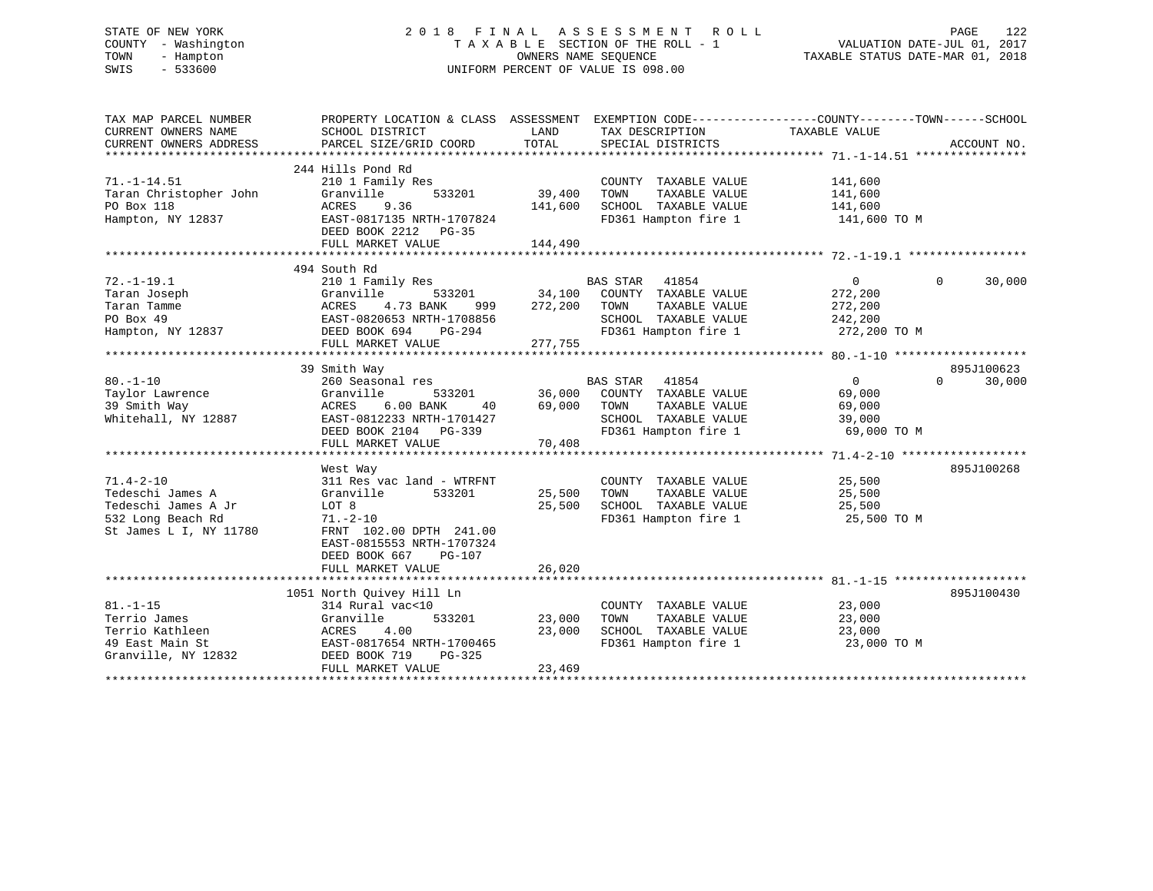# STATE OF NEW YORK 2 0 1 8 F I N A L A S S E S S M E N T R O L L PAGE 122 COUNTY - Washington T A X A B L E SECTION OF THE ROLL - 1 VALUATION DATE-JUL 01, 2017 TOWN - Hampton OWNERS NAME SEQUENCE TAXABLE STATUS DATE-MAR 01, 2018 SWIS - 533600 UNIFORM PERCENT OF VALUE IS 098.00

| TAX MAP PARCEL NUMBER<br>CURRENT OWNERS NAME<br>CURRENT OWNERS ADDRESS | PROPERTY LOCATION & CLASS ASSESSMENT EXEMPTION CODE---------------COUNTY-------TOWN------SCHOOL<br>SCHOOL DISTRICT<br>PARCEL SIZE/GRID COORD | LAND<br>TOTAL | TAX DESCRIPTION<br>SPECIAL DISTRICTS         | TAXABLE VALUE                     | ACCOUNT NO.        |
|------------------------------------------------------------------------|----------------------------------------------------------------------------------------------------------------------------------------------|---------------|----------------------------------------------|-----------------------------------|--------------------|
|                                                                        |                                                                                                                                              |               |                                              |                                   |                    |
| $71. - 1 - 14.51$                                                      | 244 Hills Pond Rd<br>210 1 Family Res                                                                                                        |               | COUNTY TAXABLE VALUE                         | 141,600                           |                    |
| Taran Christopher John                                                 | Granville<br>533201                                                                                                                          | 39,400        | TAXABLE VALUE<br>TOWN                        | 141,600                           |                    |
| PO Box 118                                                             | <b>ACRES</b><br>9.36                                                                                                                         | 141,600       | SCHOOL TAXABLE VALUE                         | 141,600                           |                    |
| Hampton, NY 12837                                                      | EAST-0817135 NRTH-1707824                                                                                                                    |               |                                              | FD361 Hampton fire 1 141,600 TO M |                    |
|                                                                        | DEED BOOK 2212 PG-35                                                                                                                         |               |                                              |                                   |                    |
|                                                                        | FULL MARKET VALUE                                                                                                                            | 144,490       |                                              |                                   |                    |
|                                                                        |                                                                                                                                              |               |                                              |                                   |                    |
|                                                                        | 494 South Rd                                                                                                                                 |               |                                              |                                   |                    |
| $72. - 1 - 19.1$                                                       | 210 1 Family Res                                                                                                                             |               | <b>BAS STAR</b><br>41854                     | $\overline{0}$                    | 30,000<br>$\Omega$ |
| Taran Joseph                                                           | Granville                                                                                                                                    |               | 533201 34,100 COUNTY TAXABLE VALUE           | 272,200                           |                    |
| Taran Tamme                                                            | 4.73 BANK<br>ACRES<br>999                                                                                                                    | 272,200       | TOWN<br>TAXABLE VALUE                        | 272,200                           |                    |
| PO Box 49                                                              | EAST-0820653 NRTH-1708856                                                                                                                    |               | SCHOOL TAXABLE VALUE 242,200                 |                                   |                    |
| Hampton, NY 12837                                                      | DEED BOOK 694 PG-294                                                                                                                         |               |                                              | FD361 Hampton fire 1 272,200 TO M |                    |
|                                                                        | FULL MARKET VALUE                                                                                                                            | 277,755       |                                              |                                   |                    |
|                                                                        |                                                                                                                                              |               |                                              |                                   |                    |
|                                                                        | 39 Smith Way                                                                                                                                 |               |                                              |                                   | 895J100623         |
| $80. - 1 - 10$                                                         | 260 Seasonal res                                                                                                                             |               | BAS STAR 41854                               | $\Omega$                          | $\Omega$<br>30,000 |
| Taylor Lawrence                                                        | Granville                                                                                                                                    |               | 533201 36,000 COUNTY TAXABLE VALUE           | 69,000                            |                    |
| 39 Smith Way                                                           | $6.00$ BANK<br>ACRES<br>40                                                                                                                   | 69,000        | TAXABLE VALUE<br>TOWN                        | 69,000                            |                    |
| Whitehall, NY 12887                                                    | EAST-0812233 NRTH-1701427                                                                                                                    |               | SCHOOL TAXABLE VALUE                         | 39,000                            |                    |
|                                                                        | DEED BOOK 2104    PG-339                                                                                                                     |               | FD361 Hampton fire 1                         | 69,000 TO M                       |                    |
|                                                                        | FULL MARKET VALUE                                                                                                                            | 70,408        |                                              |                                   |                    |
|                                                                        |                                                                                                                                              |               |                                              |                                   |                    |
|                                                                        | West Way                                                                                                                                     |               |                                              |                                   | 895J100268         |
| $71.4 - 2 - 10$                                                        | 311 Res vac land - WTRFNT                                                                                                                    |               | COUNTY TAXABLE VALUE                         | 25,500                            |                    |
| Tedeschi James A                                                       | Granville<br>533201                                                                                                                          | 25,500        | TOWN<br>TAXABLE VALUE                        | 25,500                            |                    |
| Tedeschi James A Jr                                                    | LOT 8                                                                                                                                        | 25,500        |                                              | 25,500                            |                    |
| 532 Long Beach Rd                                                      | $71. - 2 - 10$                                                                                                                               |               | SCHOOL TAXABLE VALUE<br>FD361 Hampton fire 1 | 25,500 TO M                       |                    |
| St James L I, NY 11780                                                 | FRNT 102.00 DPTH 241.00                                                                                                                      |               |                                              |                                   |                    |
|                                                                        | EAST-0815553 NRTH-1707324                                                                                                                    |               |                                              |                                   |                    |
|                                                                        | DEED BOOK 667<br>PG-107                                                                                                                      |               |                                              |                                   |                    |
|                                                                        | FULL MARKET VALUE                                                                                                                            | 26,020        |                                              |                                   |                    |
|                                                                        |                                                                                                                                              |               |                                              |                                   |                    |
|                                                                        | 1051 North Quivey Hill Ln                                                                                                                    |               |                                              |                                   | 895J100430         |
| $81. - 1 - 15$                                                         | 314 Rural vac<10                                                                                                                             |               | COUNTY TAXABLE VALUE                         | 23,000                            |                    |
| Terrio James                                                           | Granville<br>533201                                                                                                                          | 23,000        | TAXABLE VALUE<br>TOWN                        | 23,000                            |                    |
| Terrio Kathleen                                                        | 4.00<br>ACRES                                                                                                                                | 23,000        | SCHOOL TAXABLE VALUE                         | 23,000                            |                    |
| 49 East Main St                                                        | EAST-0817654 NRTH-1700465                                                                                                                    |               | FD361 Hampton fire 1                         | 23,000 TO M                       |                    |
| Granville, NY 12832                                                    | DEED BOOK 719<br>$PG-325$                                                                                                                    |               |                                              |                                   |                    |
|                                                                        | FULL MARKET VALUE                                                                                                                            | 23,469        |                                              |                                   |                    |
|                                                                        |                                                                                                                                              |               |                                              |                                   |                    |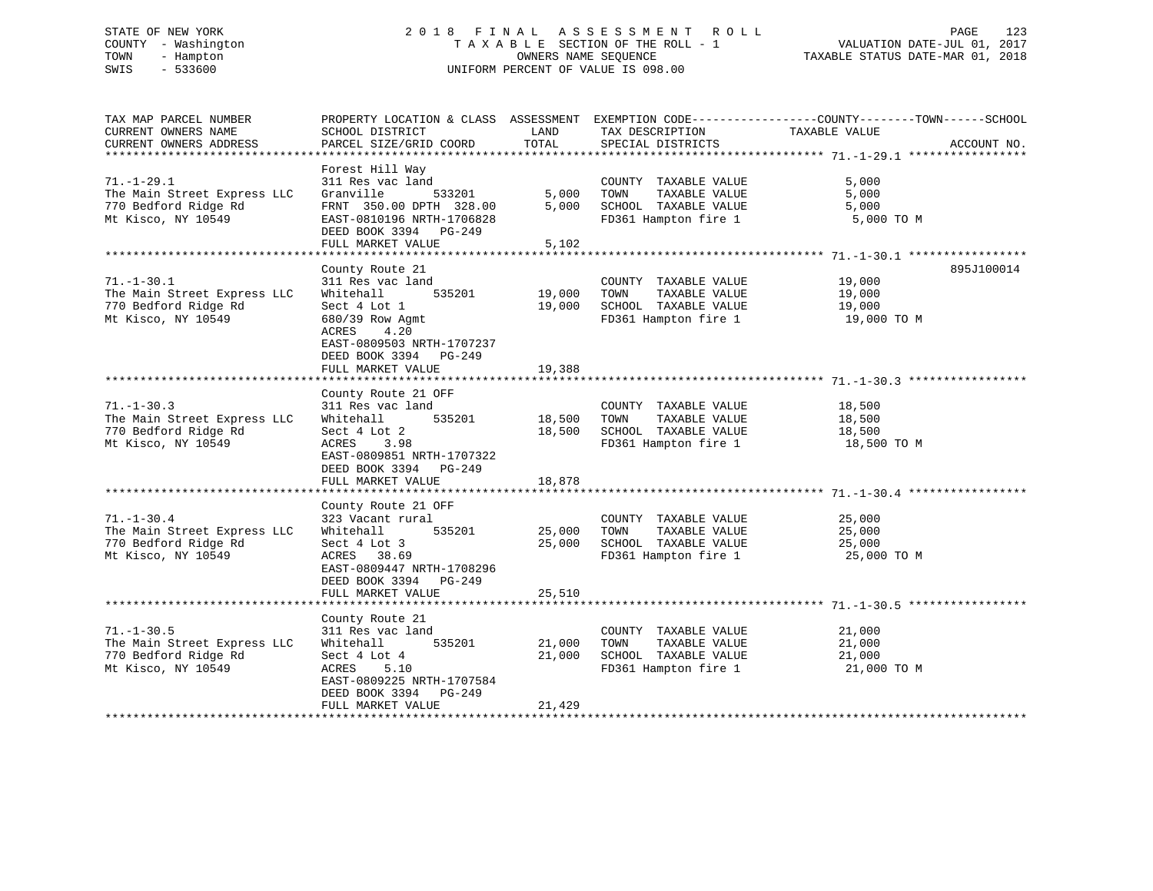# STATE OF NEW YORK 2 0 1 8 F I N A L A S S E S S M E N T R O L L PAGE 123 COUNTY - Washington T A X A B L E SECTION OF THE ROLL - 1 VALUATION DATE-JUL 01, 2017 TOWN - Hampton OWNERS NAME SEQUENCE TAXABLE STATUS DATE-MAR 01, 2018 SWIS - 533600 UNIFORM PERCENT OF VALUE IS 098.00

| TAX MAP PARCEL NUMBER<br>CURRENT OWNERS NAME        | SCHOOL DISTRICT                                                                        | LAND   | TAX DESCRIPTION                               | PROPERTY LOCATION & CLASS ASSESSMENT EXEMPTION CODE----------------COUNTY-------TOWN------SCHOOL<br>TAXABLE VALUE |             |
|-----------------------------------------------------|----------------------------------------------------------------------------------------|--------|-----------------------------------------------|-------------------------------------------------------------------------------------------------------------------|-------------|
| CURRENT OWNERS ADDRESS                              | PARCEL SIZE/GRID COORD                                                                 | TOTAL  | SPECIAL DISTRICTS                             |                                                                                                                   | ACCOUNT NO. |
|                                                     |                                                                                        |        |                                               |                                                                                                                   |             |
| $71. - 1 - 29.1$<br>The Main Street Express LLC     | Forest Hill Way<br>311 Res vac land<br>Granville<br>533201                             | 5,000  | COUNTY TAXABLE VALUE<br>TOWN<br>TAXABLE VALUE | 5,000<br>5,000                                                                                                    |             |
| 770 Bedford Ridge Rd                                | FRNT 350.00 DPTH 328.00                                                                | 5,000  | SCHOOL TAXABLE VALUE                          | 5,000                                                                                                             |             |
| Mt Kisco, NY 10549                                  | EAST-0810196 NRTH-1706828<br>DEED BOOK 3394 PG-249<br>FULL MARKET VALUE                | 5,102  | FD361 Hampton fire 1                          | 5,000 TO M                                                                                                        |             |
|                                                     |                                                                                        |        |                                               |                                                                                                                   |             |
|                                                     | County Route 21                                                                        |        |                                               |                                                                                                                   | 895J100014  |
| $71. - 1 - 30.1$                                    | 311 Res vac land                                                                       |        | COUNTY TAXABLE VALUE                          | 19,000                                                                                                            |             |
| The Main Street Express LLC                         | 535201<br>Whitehall                                                                    | 19,000 | TOWN<br>TAXABLE VALUE                         | 19,000                                                                                                            |             |
| 770 Bedford Ridge Rd                                | Sect 4 Lot 1                                                                           | 19,000 | SCHOOL TAXABLE VALUE                          | 19,000                                                                                                            |             |
| Mt Kisco, NY 10549                                  | 680/39 Row Agmt<br>ACRES<br>4.20<br>EAST-0809503 NRTH-1707237<br>DEED BOOK 3394 PG-249 |        | FD361 Hampton fire 1                          | 19,000 TO M                                                                                                       |             |
|                                                     | FULL MARKET VALUE                                                                      | 19,388 |                                               |                                                                                                                   |             |
|                                                     |                                                                                        |        |                                               |                                                                                                                   |             |
|                                                     | County Route 21 OFF                                                                    |        |                                               |                                                                                                                   |             |
| $71. - 1 - 30.3$                                    | 311 Res vac land<br>535201                                                             | 18,500 | COUNTY TAXABLE VALUE<br>TOWN<br>TAXABLE VALUE | 18,500                                                                                                            |             |
| The Main Street Express LLC<br>770 Bedford Ridge Rd | Whitehall<br>Sect 4 Lot 2                                                              | 18,500 | SCHOOL TAXABLE VALUE                          | 18,500<br>18,500                                                                                                  |             |
| Mt Kisco, NY 10549                                  | ACRES<br>3.98                                                                          |        | FD361 Hampton fire 1                          | 18,500 TO M                                                                                                       |             |
|                                                     | EAST-0809851 NRTH-1707322<br>DEED BOOK 3394 PG-249                                     |        |                                               |                                                                                                                   |             |
|                                                     | FULL MARKET VALUE                                                                      | 18,878 |                                               |                                                                                                                   |             |
|                                                     |                                                                                        |        |                                               |                                                                                                                   |             |
|                                                     | County Route 21 OFF                                                                    |        |                                               |                                                                                                                   |             |
| $71. - 1 - 30.4$                                    | 323 Vacant rural<br>535201                                                             | 25,000 | COUNTY TAXABLE VALUE<br>TAXABLE VALUE<br>TOWN | 25,000                                                                                                            |             |
| The Main Street Express LLC<br>770 Bedford Ridge Rd | Whitehall<br>Sect 4 Lot 3                                                              | 25,000 | SCHOOL TAXABLE VALUE                          | 25,000<br>25,000                                                                                                  |             |
| Mt Kisco, NY 10549                                  | ACRES 38.69                                                                            |        | FD361 Hampton fire 1                          | 25,000 TO M                                                                                                       |             |
|                                                     | EAST-0809447 NRTH-1708296<br>DEED BOOK 3394 PG-249                                     |        |                                               |                                                                                                                   |             |
|                                                     | FULL MARKET VALUE                                                                      | 25,510 |                                               |                                                                                                                   |             |
|                                                     | County Route 21                                                                        |        |                                               |                                                                                                                   |             |
| $71. - 1 - 30.5$                                    | 311 Res vac land                                                                       |        | COUNTY TAXABLE VALUE                          | 21,000                                                                                                            |             |
| The Main Street Express LLC                         | 535201<br>Whitehall                                                                    | 21,000 | TOWN<br>TAXABLE VALUE                         | 21,000                                                                                                            |             |
| 770 Bedford Ridge Rd                                | Sect 4 Lot 4                                                                           | 21,000 | SCHOOL TAXABLE VALUE                          | 21,000                                                                                                            |             |
| Mt Kisco, NY 10549                                  | ACRES<br>5.10                                                                          |        | FD361 Hampton fire 1                          | 21,000 TO M                                                                                                       |             |
|                                                     | EAST-0809225 NRTH-1707584                                                              |        |                                               |                                                                                                                   |             |
|                                                     | DEED BOOK 3394 PG-249                                                                  |        |                                               |                                                                                                                   |             |
|                                                     | FULL MARKET VALUE                                                                      | 21,429 |                                               |                                                                                                                   |             |
|                                                     |                                                                                        |        |                                               |                                                                                                                   |             |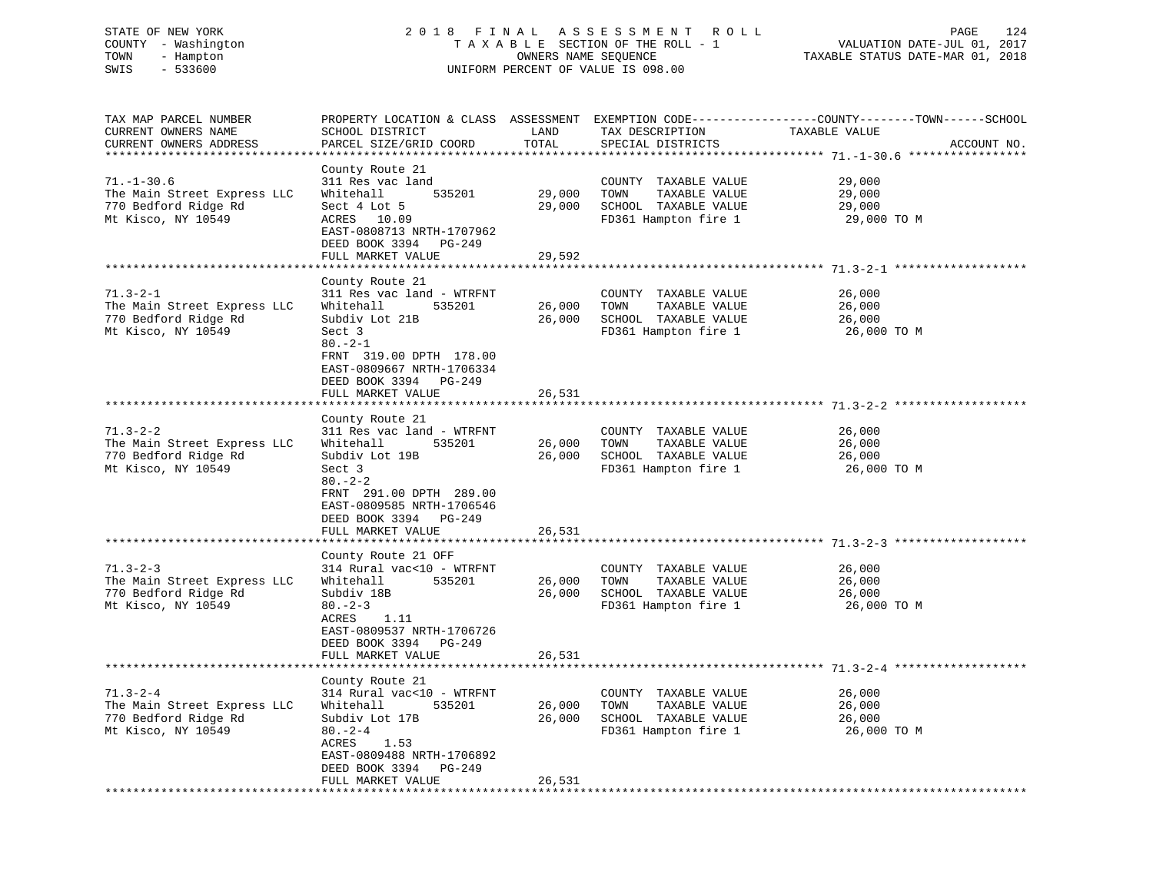# STATE OF NEW YORK 2 0 1 8 F I N A L A S S E S S M E N T R O L L PAGE 124 COUNTY - Washington T A X A B L E SECTION OF THE ROLL - 1 VALUATION DATE-JUL 01, 2017 TOWN - Hampton OWNERS NAME SEQUENCE TAXABLE STATUS DATE-MAR 01, 2018 SWIS - 533600 UNIFORM PERCENT OF VALUE IS 098.00

| TAX MAP PARCEL NUMBER<br>CURRENT OWNERS NAME | SCHOOL DISTRICT                            | LAND                        | TAX DESCRIPTION       | PROPERTY LOCATION & CLASS ASSESSMENT EXEMPTION CODE----------------COUNTY-------TOWN-----SCHOOL<br>TAXABLE VALUE |  |
|----------------------------------------------|--------------------------------------------|-----------------------------|-----------------------|------------------------------------------------------------------------------------------------------------------|--|
| CURRENT OWNERS ADDRESS                       | PARCEL SIZE/GRID COORD                     | TOTAL                       | SPECIAL DISTRICTS     | ACCOUNT NO.                                                                                                      |  |
|                                              |                                            |                             |                       |                                                                                                                  |  |
|                                              | County Route 21                            |                             |                       |                                                                                                                  |  |
| $71. - 1 - 30.6$                             | 311 Res vac land                           |                             | COUNTY TAXABLE VALUE  | 29,000                                                                                                           |  |
| The Main Street Express LLC                  | 535201<br>Whitehall                        | 29,000                      | TAXABLE VALUE<br>TOWN | 29,000                                                                                                           |  |
| 770 Bedford Ridge Rd                         | Sect 4 Lot 5                               | 29,000                      | SCHOOL TAXABLE VALUE  | 29,000                                                                                                           |  |
| Mt Kisco, NY 10549                           | ACRES 10.09                                |                             | FD361 Hampton fire 1  | 29,000 TO M                                                                                                      |  |
|                                              | EAST-0808713 NRTH-1707962                  |                             |                       |                                                                                                                  |  |
|                                              | DEED BOOK 3394<br>PG-249                   |                             |                       |                                                                                                                  |  |
|                                              | FULL MARKET VALUE                          | 29,592                      |                       |                                                                                                                  |  |
|                                              |                                            | *************               |                       |                                                                                                                  |  |
|                                              | County Route 21                            |                             |                       |                                                                                                                  |  |
| $71.3 - 2 - 1$                               | 311 Res vac land - WTRFNT                  |                             | COUNTY TAXABLE VALUE  | 26,000                                                                                                           |  |
| The Main Street Express LLC                  | Whitehall<br>535201                        | 26,000                      | TOWN<br>TAXABLE VALUE | 26,000                                                                                                           |  |
| 770 Bedford Ridge Rd                         | Subdiv Lot 21B                             | 26,000                      | SCHOOL TAXABLE VALUE  | 26,000                                                                                                           |  |
| Mt Kisco, NY 10549                           | Sect 3                                     |                             | FD361 Hampton fire 1  | 26,000 TO M                                                                                                      |  |
|                                              |                                            |                             |                       |                                                                                                                  |  |
|                                              | $80. -2 - 1$                               |                             |                       |                                                                                                                  |  |
|                                              | FRNT 319.00 DPTH 178.00                    |                             |                       |                                                                                                                  |  |
|                                              | EAST-0809667 NRTH-1706334                  |                             |                       |                                                                                                                  |  |
|                                              | DEED BOOK 3394 PG-249                      |                             |                       |                                                                                                                  |  |
|                                              | FULL MARKET VALUE<br>********************* | 26,531<br>***************** |                       |                                                                                                                  |  |
|                                              |                                            |                             |                       |                                                                                                                  |  |
|                                              | County Route 21                            |                             |                       |                                                                                                                  |  |
| $71.3 - 2 - 2$                               | 311 Res vac land - WTRFNT                  |                             | COUNTY TAXABLE VALUE  | 26,000                                                                                                           |  |
| The Main Street Express LLC                  | Whitehall<br>535201                        | 26,000                      | TAXABLE VALUE<br>TOWN | 26,000                                                                                                           |  |
| 770 Bedford Ridge Rd                         | Subdiv Lot 19B                             | 26,000                      | SCHOOL TAXABLE VALUE  | 26,000                                                                                                           |  |
| Mt Kisco, NY 10549                           | Sect 3                                     |                             | FD361 Hampton fire 1  | 26,000 TO M                                                                                                      |  |
|                                              | $80 - 2 - 2$                               |                             |                       |                                                                                                                  |  |
|                                              | FRNT 291.00 DPTH 289.00                    |                             |                       |                                                                                                                  |  |
|                                              | EAST-0809585 NRTH-1706546                  |                             |                       |                                                                                                                  |  |
|                                              | DEED BOOK 3394 PG-249                      |                             |                       |                                                                                                                  |  |
|                                              | FULL MARKET VALUE                          | 26,531                      |                       |                                                                                                                  |  |
|                                              | *********************                      | **********                  |                       |                                                                                                                  |  |
|                                              | County Route 21 OFF                        |                             |                       |                                                                                                                  |  |
| $71.3 - 2 - 3$                               | 314 Rural vac<10 - WTRFNT                  |                             | COUNTY TAXABLE VALUE  | 26,000                                                                                                           |  |
| The Main Street Express LLC                  | Whitehall<br>535201                        | 26,000                      | TAXABLE VALUE<br>TOWN | 26,000                                                                                                           |  |
| 770 Bedford Ridge Rd                         | Subdiv 18B                                 | 26,000                      | SCHOOL TAXABLE VALUE  | 26,000                                                                                                           |  |
| Mt Kisco, NY 10549                           | $80 - 2 - 3$                               |                             | FD361 Hampton fire 1  | 26,000 TO M                                                                                                      |  |
|                                              | ACRES<br>1.11                              |                             |                       |                                                                                                                  |  |
|                                              | EAST-0809537 NRTH-1706726                  |                             |                       |                                                                                                                  |  |
|                                              | DEED BOOK 3394 PG-249                      |                             |                       |                                                                                                                  |  |
|                                              | FULL MARKET VALUE                          | 26,531                      |                       |                                                                                                                  |  |
| **************************                   | ***************************                |                             |                       |                                                                                                                  |  |
|                                              | County Route 21                            |                             |                       |                                                                                                                  |  |
| $71.3 - 2 - 4$                               | 314 Rural vac<10 - WTRFNT                  |                             | COUNTY TAXABLE VALUE  | 26,000                                                                                                           |  |
| The Main Street Express LLC                  | Whitehall<br>535201                        | 26,000                      | TOWN<br>TAXABLE VALUE | 26,000                                                                                                           |  |
| 770 Bedford Ridge Rd                         | Subdiv Lot 17B                             | 26,000                      | SCHOOL TAXABLE VALUE  | 26,000                                                                                                           |  |
| Mt Kisco, NY 10549                           | $80 - 2 - 4$                               |                             | FD361 Hampton fire 1  | 26,000 TO M                                                                                                      |  |
|                                              | ACRES<br>1.53                              |                             |                       |                                                                                                                  |  |
|                                              | EAST-0809488 NRTH-1706892                  |                             |                       |                                                                                                                  |  |
|                                              | DEED BOOK 3394<br>PG-249                   |                             |                       |                                                                                                                  |  |
|                                              | FULL MARKET VALUE                          | 26,531                      |                       |                                                                                                                  |  |
|                                              |                                            |                             |                       |                                                                                                                  |  |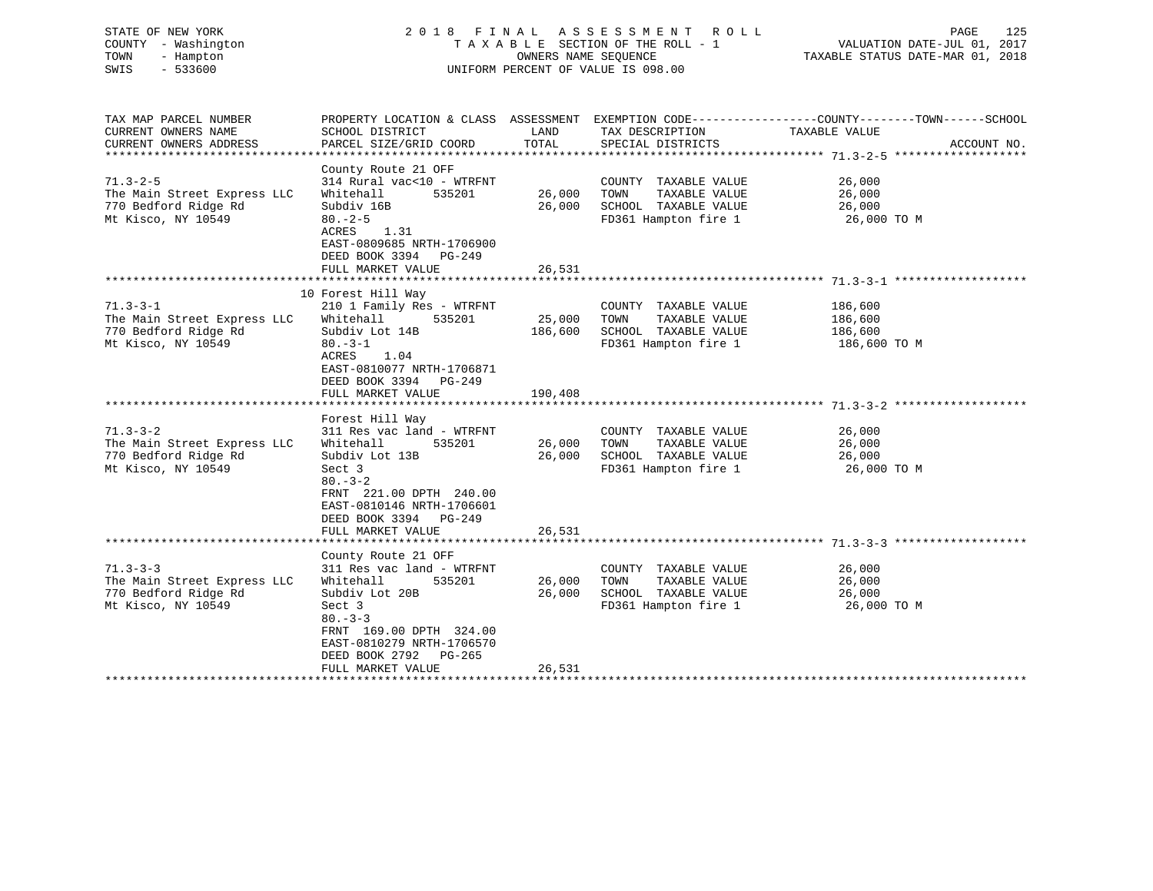| STATE OF NEW YORK<br>COUNTY - Washington<br>TOWN<br>- Hampton<br>$-533600$<br>SWIS          | 2018 FINAL ASSESSMENT ROLL<br>UNIFORM PERCENT OF VALUE IS 098.00                                                                                                                                  |                        |                                                                                               | PAGE                                          |             |
|---------------------------------------------------------------------------------------------|---------------------------------------------------------------------------------------------------------------------------------------------------------------------------------------------------|------------------------|-----------------------------------------------------------------------------------------------|-----------------------------------------------|-------------|
| TAX MAP PARCEL NUMBER<br>CURRENT OWNERS NAME<br>CURRENT OWNERS ADDRESS                      | PROPERTY LOCATION & CLASS ASSESSMENT EXEMPTION CODE---------------COUNTY-------TOWN-----SCHOOL<br>SCHOOL DISTRICT<br>PARCEL SIZE/GRID COORD TOTAL                                                 | LAND                   | TAX DESCRIPTION<br>SPECIAL DISTRICTS                                                          | TAXABLE VALUE                                 | ACCOUNT NO. |
| $71.3 - 2 - 5$<br>The Main Street Express LLC<br>770 Bedford Ridge Rd<br>Mt Kisco, NY 10549 | County Route 21 OFF<br>314 Rural vac<10 - WTRFNT<br>535201<br>Whitehall<br>Subdiv 16B<br>$80 - 2 - 5$<br>ACRES 1.31<br>EAST-0809685 NRTH-1706900<br>DEED BOOK 3394 PG-249<br>FULL MARKET VALUE    | 26,000 TOWN<br>26,531  | COUNTY TAXABLE VALUE<br>TAXABLE VALUE<br>26,000 SCHOOL TAXABLE VALUE<br>FD361 Hampton fire 1  | 26,000<br>26,000<br>26,000<br>26,000 TO M     |             |
| $71.3 - 3 - 1$<br>The Main Street Express LLC<br>770 Bedford Ridge Rd<br>Mt Kisco, NY 10549 | 10 Forest Hill Way<br>210 1 Family Res - WTRFNT<br>Whitehall<br>535201<br>Subdiv Lot 14B<br>$80 - 3 - 1$<br>ACRES 1.04<br>EAST-0810077 NRTH-1706871<br>DEED BOOK 3394 PG-249<br>FULL MARKET VALUE | 25,000 TOWN<br>190,408 | COUNTY TAXABLE VALUE<br>TAXABLE VALUE<br>186,600 SCHOOL TAXABLE VALUE<br>FD361 Hampton fire 1 | 186,600<br>186,600<br>186,600<br>186,600 TO M |             |
| $71.3 - 3 - 2$<br>The Main Street Express LLC<br>770 Bedford Ridge Rd<br>Mt Kisco, NY 10549 | Forest Hill Way<br>311 Res vac land - WTRFNT<br>Whitehall<br>535201<br>Subdiv Lot 13B<br>Sect 3<br>$80 - 3 - 2$<br>FRNT 221.00 DPTH 240.00                                                        | 26,000 TOWN<br>26,000  | COUNTY TAXABLE VALUE<br>TAXABLE VALUE<br>SCHOOL TAXABLE VALUE<br>FD361 Hampton fire 1         | 26,000<br>26,000<br>26,000<br>26,000 TO M     |             |

 DEED BOOK 3394 PG-249 FULL MARKET VALUE 26,531 \*\*\*\*\*\*\*\*\*\*\*\*\*\*\*\*\*\*\*\*\*\*\*\*\*\*\*\*\*\*\*\*\*\*\*\*\*\*\*\*\*\*\*\*\*\*\*\*\*\*\*\*\*\*\*\*\*\*\*\*\*\*\*\*\*\*\*\*\*\*\*\*\*\*\*\*\*\*\*\*\*\*\*\*\*\*\*\*\*\*\*\*\*\*\*\*\*\*\*\*\*\*\* 71.3-3-3 \*\*\*\*\*\*\*\*\*\*\*\*\*\*\*\*\*\*\* County Route 21 OFF 71.3-3-3 311 Res vac land - WTRFNT COUNTY TAXABLE VALUE 26,000 The Main Street Express LLC Whitehall 535201 26,000 TOWN TAXABLE VALUE 26,000 770 Bedford Ridge Rd Subdiv Lot 20B 26,000 SCHOOL TAXABLE VALUE 26,000 Mt Kisco, NY 10549 Sect 3 Sect 3 Sect 3 RD361 Hampton fire 1 26,000 TO M 80.-3-3 FRNT 169.00 DPTH 324.00 EAST-0810279 NRTH-1706570 DEED BOOK 2792 PG-265FULL MARKET VALUE 26,531 \*\*\*\*\*\*\*\*\*\*\*\*\*\*\*\*\*\*\*\*\*\*\*\*\*\*\*\*\*\*\*\*\*\*\*\*\*\*\*\*\*\*\*\*\*\*\*\*\*\*\*\*\*\*\*\*\*\*\*\*\*\*\*\*\*\*\*\*\*\*\*\*\*\*\*\*\*\*\*\*\*\*\*\*\*\*\*\*\*\*\*\*\*\*\*\*\*\*\*\*\*\*\*\*\*\*\*\*\*\*\*\*\*\*\*\*\*\*\*\*\*\*\*\*\*\*\*\*\*\*\*\*

EAST-0810146 NRTH-1706601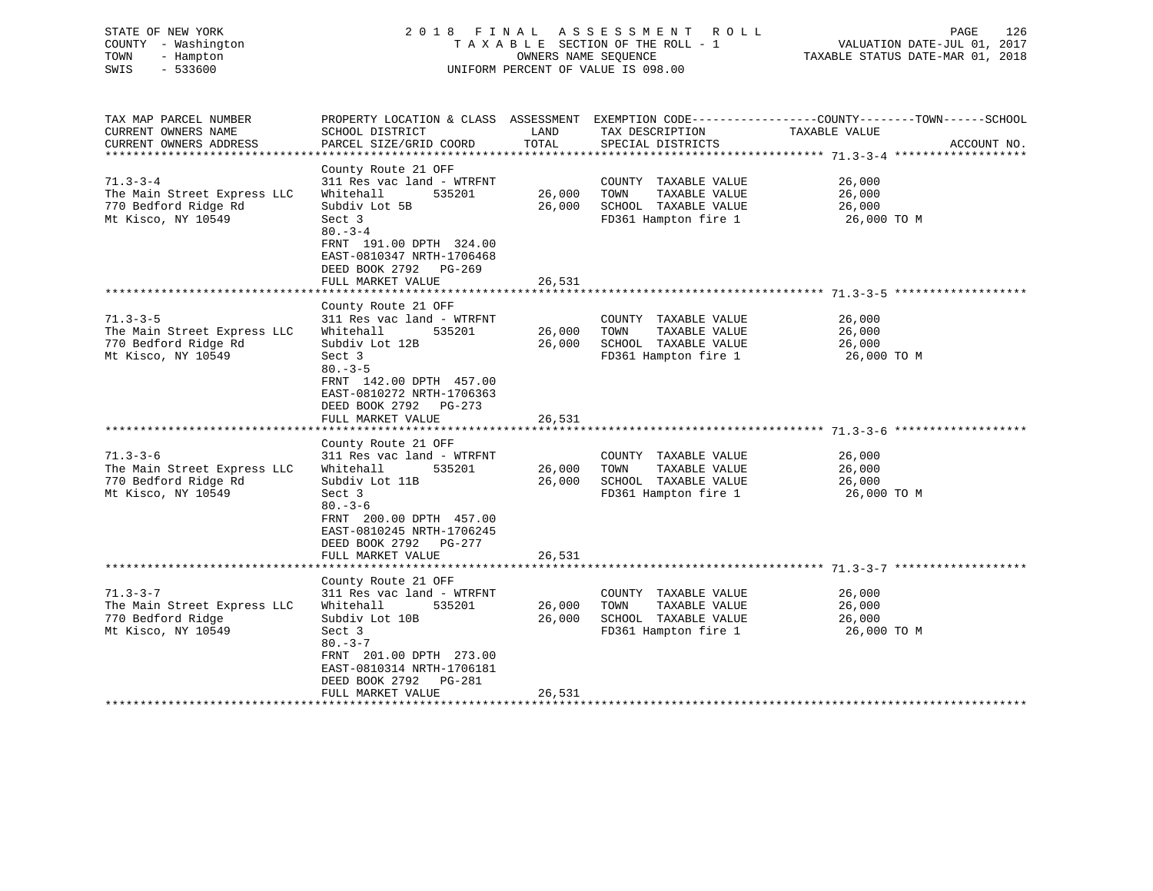| STATE OF NEW YORK<br>COUNTY - Washington<br>TOWN<br>- Hampton<br>$-533600$<br>SWIS                                                           | 2018 FINAL                                                                                                                                                                                                                                                                    | OWNERS NAME SEOUENCE                 | A S S E S S M E N T<br>R O L L<br>TAXABLE SECTION OF THE ROLL - 1<br>UNIFORM PERCENT OF VALUE IS 098.00                                        | 126<br>PAGE<br>VALUATION DATE-JUL 01, 2017<br>TAXABLE STATUS DATE-MAR 01, 2018                                    |
|----------------------------------------------------------------------------------------------------------------------------------------------|-------------------------------------------------------------------------------------------------------------------------------------------------------------------------------------------------------------------------------------------------------------------------------|--------------------------------------|------------------------------------------------------------------------------------------------------------------------------------------------|-------------------------------------------------------------------------------------------------------------------|
| TAX MAP PARCEL NUMBER<br>CURRENT OWNERS NAME                                                                                                 | SCHOOL DISTRICT                                                                                                                                                                                                                                                               | LAND                                 | TAX DESCRIPTION                                                                                                                                | PROPERTY LOCATION & CLASS ASSESSMENT EXEMPTION CODE----------------COUNTY-------TOWN------SCHOOL<br>TAXABLE VALUE |
| CURRENT OWNERS ADDRESS                                                                                                                       | PARCEL SIZE/GRID COORD                                                                                                                                                                                                                                                        | TOTAL                                | SPECIAL DISTRICTS                                                                                                                              | ACCOUNT NO.<br>****************** 71.3-3-4 ********************                                                   |
| $71.3 - 3 - 4$<br>The Main Street Express LLC<br>770 Bedford Ridge Rd<br>Mt Kisco, NY 10549                                                  | County Route 21 OFF<br>311 Res vac land - WTRFNT<br>Whitehall<br>535201<br>Subdiv Lot 5B<br>Sect 3<br>$80 - 3 - 4$<br>FRNT 191.00 DPTH 324.00<br>EAST-0810347 NRTH-1706468                                                                                                    | 26,000<br>26,000                     | COUNTY TAXABLE VALUE<br>TOWN<br>TAXABLE VALUE<br>SCHOOL TAXABLE VALUE<br>FD361 Hampton fire 1                                                  | 26,000<br>26,000<br>26,000<br>26,000 TO M                                                                         |
|                                                                                                                                              | DEED BOOK 2792 PG-269<br>FULL MARKET VALUE                                                                                                                                                                                                                                    | 26,531                               |                                                                                                                                                |                                                                                                                   |
|                                                                                                                                              | County Route 21 OFF                                                                                                                                                                                                                                                           |                                      |                                                                                                                                                |                                                                                                                   |
| $71.3 - 3 - 5$<br>The Main Street Express LLC<br>770 Bedford Ridge Rd<br>Mt Kisco, NY 10549<br>$71.3 - 3 - 6$<br>The Main Street Express LLC | 311 Res vac land - WTRFNT<br>Whitehall<br>535201<br>Subdiv Lot 12B<br>Sect 3<br>$80 - 3 - 5$<br>FRNT 142.00 DPTH 457.00<br>EAST-0810272 NRTH-1706363<br>DEED BOOK 2792 PG-273<br>FULL MARKET VALUE<br>County Route 21 OFF<br>311 Res vac land - WTRFNT<br>Whitehall<br>535201 | 26,000<br>26,000<br>26,531<br>26,000 | COUNTY TAXABLE VALUE<br>TOWN<br>TAXABLE VALUE<br>SCHOOL TAXABLE VALUE<br>FD361 Hampton fire 1<br>COUNTY TAXABLE VALUE<br>TAXABLE VALUE<br>TOWN | 26,000<br>26,000<br>26,000<br>26,000 TO M<br>26,000<br>26,000                                                     |
| 770 Bedford Ridge Rd<br>Mt Kisco, NY 10549                                                                                                   | Subdiv Lot 11B<br>Sect 3<br>$80 - 3 - 6$<br>FRNT 200.00 DPTH 457.00<br>EAST-0810245 NRTH-1706245<br>DEED BOOK 2792<br>PG-277<br>FULL MARKET VALUE                                                                                                                             | 26,000<br>26,531                     | SCHOOL TAXABLE VALUE<br>FD361 Hampton fire 1                                                                                                   | 26,000<br>26,000 TO M                                                                                             |
|                                                                                                                                              | *******************                                                                                                                                                                                                                                                           |                                      | **************************************71.3-3-7 ***                                                                                             |                                                                                                                   |
| $71.3 - 3 - 7$<br>The Main Street Express LLC<br>770 Bedford Ridge<br>Mt Kisco, NY 10549                                                     | County Route 21 OFF<br>311 Res vac land - WTRFNT<br>Whitehall<br>535201<br>Subdiv Lot 10B<br>Sect 3<br>$80 - 3 - 7$<br>FRNT 201.00 DPTH 273.00<br>EAST-0810314 NRTH-1706181<br>DEED BOOK 2792<br>PG-281<br>FULL MARKET VALUE                                                  | 26,000<br>26,000<br>26,531           | COUNTY TAXABLE VALUE<br>TOWN<br>TAXABLE VALUE<br>SCHOOL TAXABLE VALUE<br>FD361 Hampton fire 1                                                  | 26,000<br>26,000<br>26,000<br>26,000 TO M                                                                         |
| ***********************                                                                                                                      | +++++++++++++++++++++++                                                                                                                                                                                                                                                       | * * * * * * * * *                    |                                                                                                                                                |                                                                                                                   |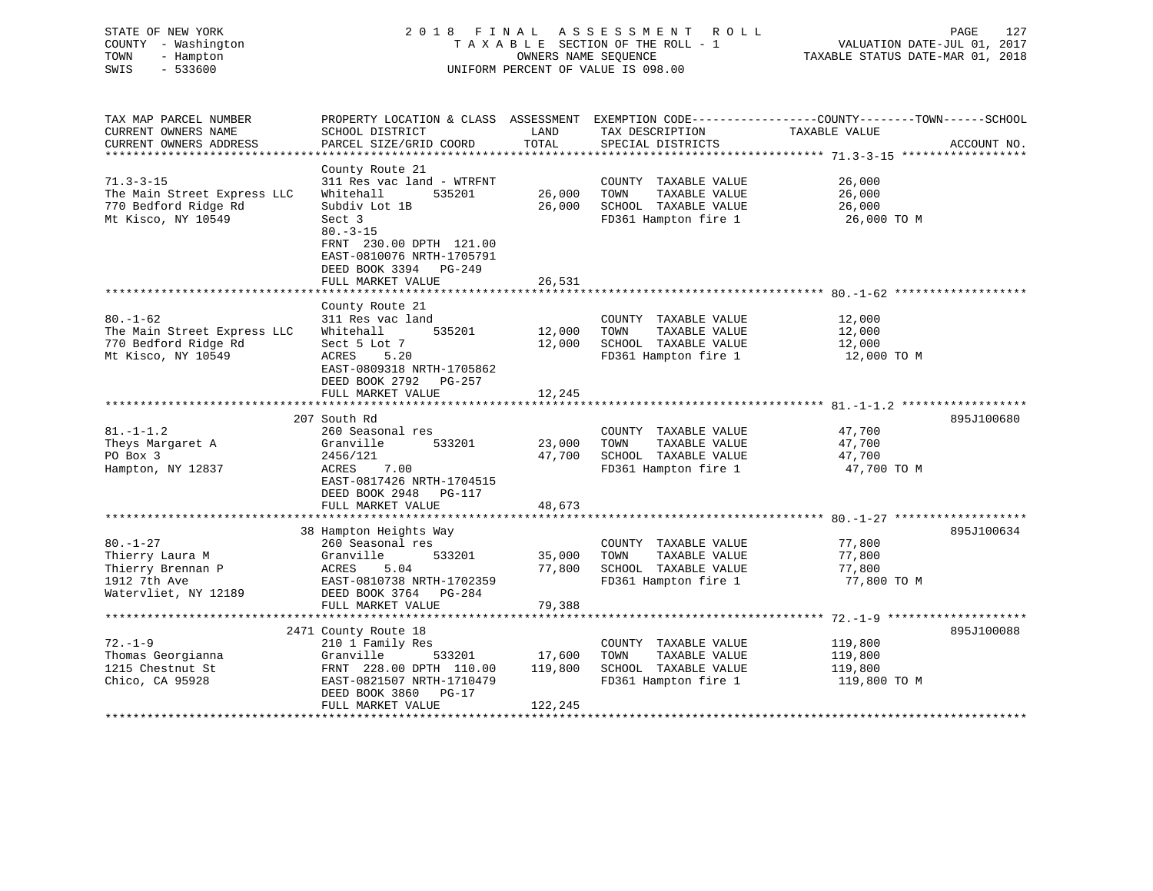| STATE OF NEW YORK<br>COUNTY - Washington<br>TOWN<br>- Hampton<br>$-533600$<br>SWIS             | 2018 FINAL                                                                                                                                         | OWNERS NAME SEQUENCE       | ASSESSMENT ROLL<br>TAXABLE SECTION OF THE ROLL - 1<br>UNIFORM PERCENT OF VALUE IS 098.00      | 127<br>PAGE<br>VALUATION DATE-JUL 01, 2017<br>TAXABLE STATUS DATE-MAR 01, 2018                                                   |
|------------------------------------------------------------------------------------------------|----------------------------------------------------------------------------------------------------------------------------------------------------|----------------------------|-----------------------------------------------------------------------------------------------|----------------------------------------------------------------------------------------------------------------------------------|
| TAX MAP PARCEL NUMBER<br>CURRENT OWNERS NAME<br>CURRENT OWNERS ADDRESS                         | SCHOOL DISTRICT<br>PARCEL SIZE/GRID COORD                                                                                                          | LAND<br>TOTAL              | TAX DESCRIPTION<br>SPECIAL DISTRICTS                                                          | PROPERTY LOCATION & CLASS ASSESSMENT EXEMPTION CODE----------------COUNTY-------TOWN------SCHOOL<br>TAXABLE VALUE<br>ACCOUNT NO. |
|                                                                                                |                                                                                                                                                    |                            |                                                                                               |                                                                                                                                  |
| $71.3 - 3 - 15$<br>The Main Street Express LLC<br>770 Bedford Ridge Rd<br>Mt Kisco, NY 10549   | County Route 21<br>311 Res vac land - WTRFNT<br>Whitehall<br>535201<br>Subdiv Lot 1B<br>Sect 3<br>$80. -3 - 15$                                    | 26,000<br>26,000           | COUNTY TAXABLE VALUE<br>TOWN<br>TAXABLE VALUE<br>SCHOOL TAXABLE VALUE<br>FD361 Hampton fire 1 | 26,000<br>26,000<br>26,000<br>26,000 TO M                                                                                        |
|                                                                                                | FRNT 230.00 DPTH 121.00<br>EAST-0810076 NRTH-1705791<br>DEED BOOK 3394 PG-249<br>FULL MARKET VALUE                                                 | 26,531                     |                                                                                               |                                                                                                                                  |
|                                                                                                | County Route 21                                                                                                                                    |                            |                                                                                               |                                                                                                                                  |
| $80. - 1 - 62$<br>The Main Street Express LLC<br>770 Bedford Ridge Rd<br>Mt Kisco, NY 10549    | 311 Res vac land<br>Whitehall<br>535201<br>Sect 5 Lot 7<br>ACRES<br>5.20<br>EAST-0809318 NRTH-1705862<br>DEED BOOK 2792 PG-257                     | 12,000<br>12,000           | COUNTY TAXABLE VALUE<br>TOWN<br>TAXABLE VALUE<br>SCHOOL TAXABLE VALUE<br>FD361 Hampton fire 1 | 12,000<br>12,000<br>12,000<br>12,000 TO M                                                                                        |
|                                                                                                | FULL MARKET VALUE                                                                                                                                  | 12,245                     |                                                                                               |                                                                                                                                  |
|                                                                                                |                                                                                                                                                    |                            |                                                                                               |                                                                                                                                  |
|                                                                                                | 207 South Rd                                                                                                                                       |                            |                                                                                               | 895J100680                                                                                                                       |
| $81. - 1 - 1.2$<br>Theys Margaret A<br>PO Box 3<br>Hampton, NY 12837                           | 260 Seasonal res<br>Granville<br>533201<br>2456/121<br>ACRES<br>7.00<br>EAST-0817426 NRTH-1704515<br>DEED BOOK 2948<br>PG-117<br>FULL MARKET VALUE | 23,000<br>47,700<br>48,673 | COUNTY TAXABLE VALUE<br>TAXABLE VALUE<br>TOWN<br>SCHOOL TAXABLE VALUE<br>FD361 Hampton fire 1 | 47,700<br>47,700<br>47,700<br>47,700 TO M                                                                                        |
|                                                                                                |                                                                                                                                                    |                            |                                                                                               |                                                                                                                                  |
| $80. - 1 - 27$<br>Thierry Laura M<br>Thierry Brennan P<br>1912 7th Ave<br>Watervliet, NY 12189 | 38 Hampton Heights Way<br>260 Seasonal res<br>Granville<br>533201<br>ACRES<br>5.04<br>EAST-0810738 NRTH-1702359<br>DEED BOOK 3764 PG-284           | 35,000<br>77,800           | COUNTY TAXABLE VALUE<br>TAXABLE VALUE<br>TOWN<br>SCHOOL TAXABLE VALUE<br>FD361 Hampton fire 1 | 895J100634<br>77,800<br>77,800<br>77,800<br>77,800 TO M                                                                          |
|                                                                                                | FULL MARKET VALUE                                                                                                                                  | 79,388                     |                                                                                               |                                                                                                                                  |
|                                                                                                | ****************************                                                                                                                       | ***************            |                                                                                               |                                                                                                                                  |
| $72. - 1 - 9$<br>Thomas Georgianna<br>1215 Chestnut St<br>Chico, CA 95928                      | 2471 County Route 18<br>210 1 Family Res<br>Granville<br>533201<br>FRNT 228.00 DPTH 110.00<br>EAST-0821507 NRTH-1710479<br>DEED BOOK 3860 PG-17    | 17,600<br>119,800          | COUNTY TAXABLE VALUE<br>TOWN<br>TAXABLE VALUE<br>SCHOOL TAXABLE VALUE<br>FD361 Hampton fire 1 | 895J100088<br>119,800<br>119,800<br>119,800<br>119,800 TO M                                                                      |

\*\*\*\*\*\*\*\*\*\*\*\*\*\*\*\*\*\*\*\*\*\*\*\*\*\*\*\*\*\*\*\*\*\*\*\*\*\*\*\*\*\*\*\*\*\*\*\*\*\*\*\*\*\*\*\*\*\*\*\*\*\*\*\*\*\*\*\*\*\*\*\*\*\*\*\*\*\*\*\*\*\*\*\*\*\*\*\*\*\*\*\*\*\*\*\*\*\*\*\*\*\*\*\*\*\*\*\*\*\*\*\*\*\*\*\*\*\*\*\*\*\*\*\*\*\*\*\*\*\*\*\*

FULL MARKET VALUE 122,245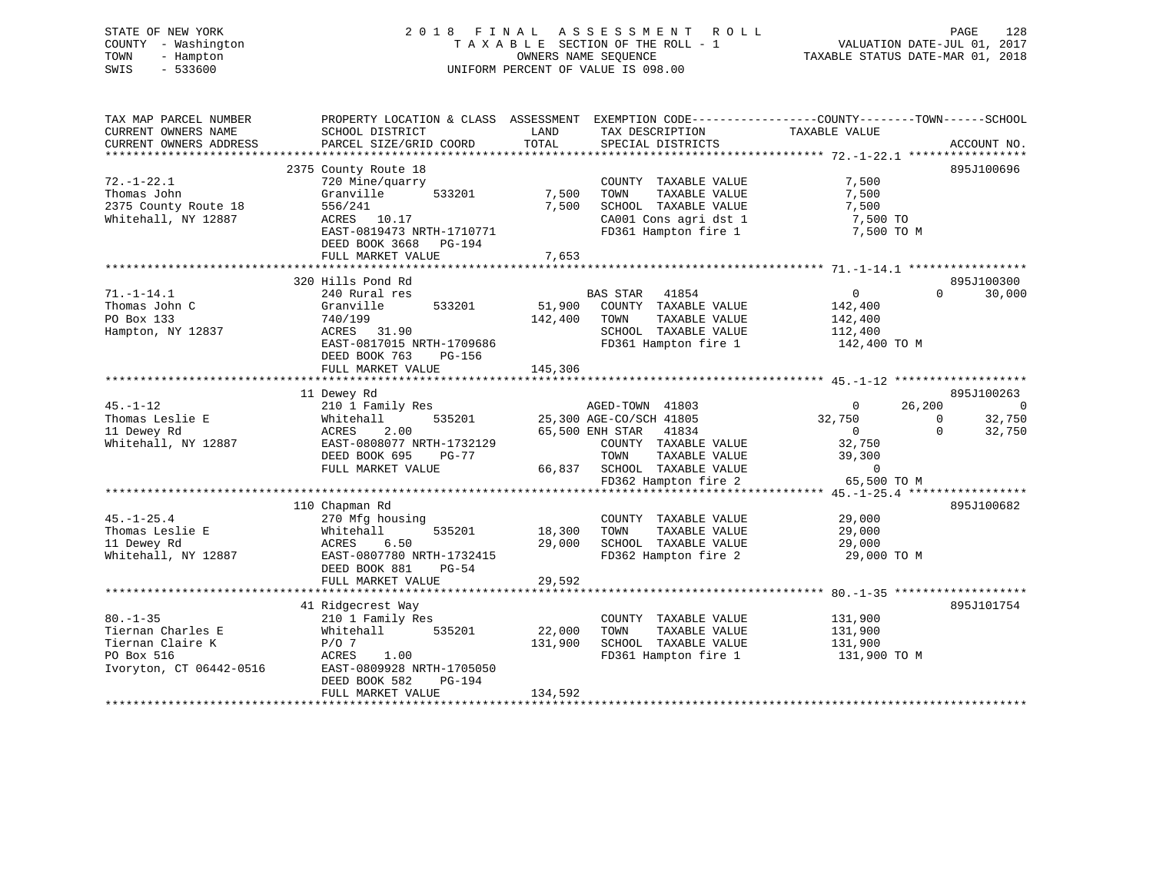# STATE OF NEW YORK 2 0 1 8 F I N A L A S S E S S M E N T R O L L PAGE 128 COUNTY - Washington T A X A B L E SECTION OF THE ROLL - 1 VALUATION DATE-JUL 01, 2017 TOWN - Hampton OWNERS NAME SEQUENCE TAXABLE STATUS DATE-MAR 01, 2018 SWIS - 533600 UNIFORM PERCENT OF VALUE IS 098.00

| TAX MAP PARCEL NUMBER                                                                            | PROPERTY LOCATION & CLASS ASSESSMENT                                                                                                                                       |                                                                                                                                                                                | EXEMPTION CODE-----------------COUNTY--------TOWN------SCHOOL                                       |                                                            |
|--------------------------------------------------------------------------------------------------|----------------------------------------------------------------------------------------------------------------------------------------------------------------------------|--------------------------------------------------------------------------------------------------------------------------------------------------------------------------------|-----------------------------------------------------------------------------------------------------|------------------------------------------------------------|
| CURRENT OWNERS NAME<br>CURRENT OWNERS ADDRESS                                                    | SCHOOL DISTRICT<br>PARCEL SIZE/GRID COORD                                                                                                                                  | LAND<br>TAX DESCRIPTION<br>TOTAL<br>SPECIAL DISTRICTS                                                                                                                          | TAXABLE VALUE                                                                                       | ACCOUNT NO.                                                |
|                                                                                                  |                                                                                                                                                                            |                                                                                                                                                                                |                                                                                                     |                                                            |
| $72. - 1 - 22.1$<br>Thomas John<br>2375 County Route 18<br>Whitehall, NY 12887                   | 2375 County Route 18<br>720 Mine/quarry<br>Granville<br>533201<br>556/241<br>ACRES 10.17<br>EAST-0819473 NRTH-1710771<br>DEED BOOK 3668<br>$PG-194$<br>FULL MARKET VALUE   | COUNTY TAXABLE VALUE<br>7,500<br>TOWN<br>TAXABLE VALUE<br>7,500<br>SCHOOL TAXABLE VALUE<br>CA001 Cons agri dst 1<br>FD361 Hampton fire 1<br>7,653                              | 7,500<br>7,500<br>7,500<br>7,500 TO<br>7,500 TO M                                                   | 895J100696                                                 |
|                                                                                                  |                                                                                                                                                                            |                                                                                                                                                                                |                                                                                                     |                                                            |
| $71. - 1 - 14.1$<br>Thomas John C<br>PO Box 133<br>Hampton, NY 12837                             | 320 Hills Pond Rd<br>240 Rural res<br>Granville<br>533201<br>740/199<br>ACRES<br>31.90<br>EAST-0817015 NRTH-1709686<br>DEED BOOK 763<br><b>PG-156</b><br>FULL MARKET VALUE | <b>BAS STAR</b><br>41854<br>51,900<br>COUNTY TAXABLE VALUE<br>TAXABLE VALUE<br>142,400<br>TOWN<br>SCHOOL TAXABLE VALUE<br>FD361 Hampton fire 1<br>145,306                      | $\overline{0}$<br>142,400<br>142,400<br>112,400<br>142,400 TO M                                     | 895J100300<br>$\Omega$<br>30,000                           |
|                                                                                                  | 11 Dewey Rd                                                                                                                                                                |                                                                                                                                                                                |                                                                                                     | 895J100263                                                 |
| $45. - 1 - 12$<br>Thomas Leslie E<br>11 Dewey Rd<br>Whitehall, NY 12887                          | 210 1 Family Res<br>535201<br>Whitehall<br>ACRES<br>2.00<br>EAST-0808077 NRTH-1732129<br>DEED BOOK 695<br>$PG-77$<br>FULL MARKET VALUE                                     | AGED-TOWN 41803<br>25,300 AGE-CO/SCH 41805<br>65,500 ENH STAR 41834<br>COUNTY TAXABLE VALUE<br>TAXABLE VALUE<br>TOWN<br>66,837<br>SCHOOL TAXABLE VALUE<br>FD362 Hampton fire 2 | 26,200<br>$\overline{0}$<br>32,750<br>$\mathbf 0$<br>32,750<br>39,300<br>$\mathbf 0$<br>65,500 TO M | $\overline{0}$<br>32,750<br>$\Omega$<br>$\Omega$<br>32,750 |
|                                                                                                  | 110 Chapman Rd                                                                                                                                                             |                                                                                                                                                                                |                                                                                                     | 895J100682                                                 |
| $45. - 1 - 25.4$<br>Thomas Leslie E<br>11 Dewey Rd<br>Whitehall, NY 12887                        | 270 Mfg housing<br>Whitehall<br>535201<br>6.50<br>ACRES<br>EAST-0807780 NRTH-1732415<br>DEED BOOK 881<br>$PG-54$<br>FULL MARKET VALUE                                      | COUNTY TAXABLE VALUE<br>18,300<br>TAXABLE VALUE<br>TOWN<br>29,000<br>SCHOOL TAXABLE VALUE<br>FD362 Hampton fire 2<br>29,592                                                    | 29,000<br>29,000<br>29,000<br>29,000 TO M                                                           |                                                            |
|                                                                                                  | 41 Ridgecrest Way                                                                                                                                                          |                                                                                                                                                                                |                                                                                                     | 895J101754                                                 |
| $80. - 1 - 35$<br>Tiernan Charles E<br>Tiernan Claire K<br>PO Box 516<br>Ivoryton, CT 06442-0516 | 210 1 Family Res<br>Whitehall<br>535201<br>$P/O$ 7<br>ACRES<br>1.00<br>EAST-0809928 NRTH-1705050<br>DEED BOOK 582<br>PG-194<br>FULL MARKET VALUE                           | COUNTY TAXABLE VALUE<br>22,000<br>TAXABLE VALUE<br>TOWN<br>SCHOOL TAXABLE VALUE<br>131,900<br>FD361 Hampton fire 1<br>134,592                                                  | 131,900<br>131,900<br>131,900<br>131,900 TO M                                                       |                                                            |
|                                                                                                  |                                                                                                                                                                            |                                                                                                                                                                                |                                                                                                     |                                                            |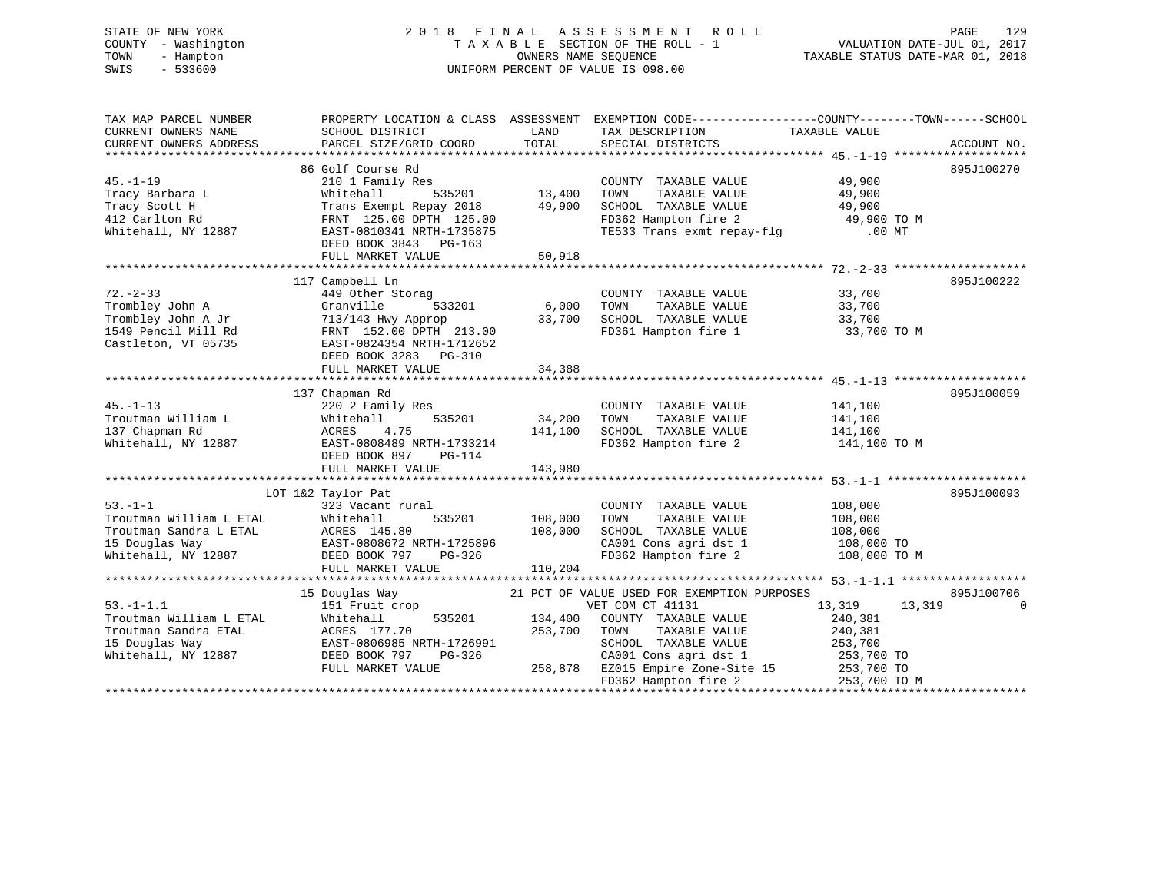# STATE OF NEW YORK 2 0 1 8 F I N A L A S S E S S M E N T R O L L PAGE 129 COUNTY - Washington T A X A B L E SECTION OF THE ROLL - 1 VALUATION DATE-JUL 01, 2017 TOWN - Hampton OWNERS NAME SEQUENCE TAXABLE STATUS DATE-MAR 01, 2018 SWIS - 533600 UNIFORM PERCENT OF VALUE IS 098.00

| TAX MAP PARCEL NUMBER   |                                                             |         | PROPERTY LOCATION & CLASS ASSESSMENT EXEMPTION CODE---------------COUNTY-------TOWN-----SCHOOL |                          |             |
|-------------------------|-------------------------------------------------------------|---------|------------------------------------------------------------------------------------------------|--------------------------|-------------|
| CURRENT OWNERS NAME     | SCHOOL DISTRICT                                             | LAND    | TAX DESCRIPTION                                                                                | TAXABLE VALUE            |             |
| CURRENT OWNERS ADDRESS  | PARCEL SIZE/GRID COORD                                      | TOTAL   | SPECIAL DISTRICTS                                                                              |                          | ACCOUNT NO. |
|                         |                                                             |         |                                                                                                |                          |             |
|                         | 86 Golf Course Rd                                           |         |                                                                                                |                          | 895J100270  |
| $45. - 1 - 19$          | 210 1 Family Res                                            |         | COUNTY TAXABLE VALUE                                                                           | 49,900                   |             |
| Tracy Barbara L         | 535201<br>Whitehall                                         | 13,400  | TOWN<br>TAXABLE VALUE                                                                          | 49,900                   |             |
| Tracy Scott H           | Trans Exempt Repay 2018                                     | 49,900  | SCHOOL TAXABLE VALUE                                                                           | 49,900                   |             |
| 412 Carlton Rd          | FRNT 125.00 DPTH 125.00                                     |         | FD362 Hampton fire 2 49,900 TO M                                                               |                          |             |
| Whitehall, NY 12887     | EAST-0810341 NRTH-1735875                                   |         | TE533 Trans exmt repay-flg                                                                     | .00 MT                   |             |
|                         | DEED BOOK 3843 PG-163                                       |         |                                                                                                |                          |             |
|                         | FULL MARKET VALUE                                           | 50,918  |                                                                                                |                          |             |
|                         |                                                             |         |                                                                                                |                          |             |
|                         | 117 Campbell Ln                                             |         |                                                                                                |                          | 895J100222  |
| $72. - 2 - 33$          | 449 Other Storag                                            |         | COUNTY TAXABLE VALUE                                                                           | 33,700                   |             |
| Trombley John A         | 533201<br>Granville                                         | 6,000   | TOWN<br>TAXABLE VALUE                                                                          | 33,700                   |             |
| Trombley John A Jr      | 713/143 Hwy Approp                                          | 33,700  | SCHOOL TAXABLE VALUE                                                                           | 33,700                   |             |
| 1549 Pencil Mill Rd     | FRNT 152.00 DPTH 213.00                                     |         | FD361 Hampton fire 1                                                                           | 33,700 TO M              |             |
| Castleton, VT 05735     | EAST-0824354 NRTH-1712652                                   |         |                                                                                                |                          |             |
|                         | DEED BOOK 3283 PG-310                                       |         |                                                                                                |                          |             |
|                         | FULL MARKET VALUE                                           | 34,388  |                                                                                                |                          |             |
|                         |                                                             |         |                                                                                                |                          |             |
|                         | 137 Chapman Rd                                              |         |                                                                                                |                          | 895J100059  |
| $45. - 1 - 13$          | 220 2 Family Res                                            |         | COUNTY TAXABLE VALUE                                                                           | 141,100                  |             |
| Troutman William L      | 535201<br>Whitehall                                         | 34,200  | TAXABLE VALUE<br>TOWN                                                                          | 141,100                  |             |
| 137 Chapman Rd          | ACRES<br>4.75                                               | 141,100 | SCHOOL TAXABLE VALUE                                                                           | 141,100                  |             |
| Whitehall, NY 12887     | EAST-0808489 NRTH-1733214                                   |         | FD362 Hampton fire 2 141,100 TO M                                                              |                          |             |
|                         | DEED BOOK 897<br>PG-114                                     |         |                                                                                                |                          |             |
|                         | FULL MARKET VALUE                                           | 143,980 |                                                                                                |                          |             |
|                         |                                                             |         |                                                                                                |                          |             |
|                         | LOT 1&2 Taylor Pat                                          |         |                                                                                                |                          | 895J100093  |
| $53. -1 - 1$            | 323 Vacant rural                                            |         | COUNTY TAXABLE VALUE                                                                           | 108,000                  |             |
| Troutman William L ETAL | 535201<br>Whitehall                                         | 108,000 | TAXABLE VALUE<br>TOWN                                                                          | 108,000                  |             |
| Troutman Sandra L ETAL  |                                                             | 108,000 | SCHOOL TAXABLE VALUE                                                                           | 108,000                  |             |
| 15 Douglas Way          | ACRES 145.80<br>EAST-0808672 I<br>EAST-0808672 NRTH-1725896 |         |                                                                                                | 108,000 TO               |             |
| Whitehall, NY 12887     | DEED BOOK 797<br>PG-326                                     |         | CA001 Cons agri dst 1<br>FD362 Hampton fire 2                                                  | 108,000 TO M             |             |
|                         | FULL MARKET VALUE                                           | 110,204 |                                                                                                |                          |             |
|                         |                                                             |         |                                                                                                |                          |             |
|                         | 15 Douglas Way                                              |         | 21 PCT OF VALUE USED FOR EXEMPTION PURPOSES                                                    |                          | 895J100706  |
| $53. - 1 - 1.1$         | 151 Fruit crop                                              |         | VET COM CT 41131                                                                               | 13,319<br>13,319         | $\Omega$    |
| Troutman William L ETAL | 535201<br>Whitehall                                         | 134,400 | COUNTY TAXABLE VALUE                                                                           | 240,381                  |             |
| Troutman Sandra ETAL    | ACRES 177.70                                                | 253,700 | TOWN TAXABLE VALUE                                                                             | 240,381                  |             |
|                         | EAST-0806985 NRTH-1726991                                   |         |                                                                                                | 253,700                  |             |
| 15 Douglas Way          |                                                             |         | SCHOOL TAXABLE VALUE                                                                           |                          |             |
| Whitehall, NY 12887     | DEED BOOK 797<br>PG-326<br>FULL MARKET VALUE                |         | CA001 Cons agri dst 1<br>258,878 EZ015 Empire Zone-Site 15                                     | 253,700 TO<br>253,700 TO |             |
|                         |                                                             |         | FD362 Hampton fire 2                                                                           | 253,700 TO M             |             |
|                         |                                                             |         |                                                                                                |                          |             |
|                         |                                                             |         |                                                                                                |                          |             |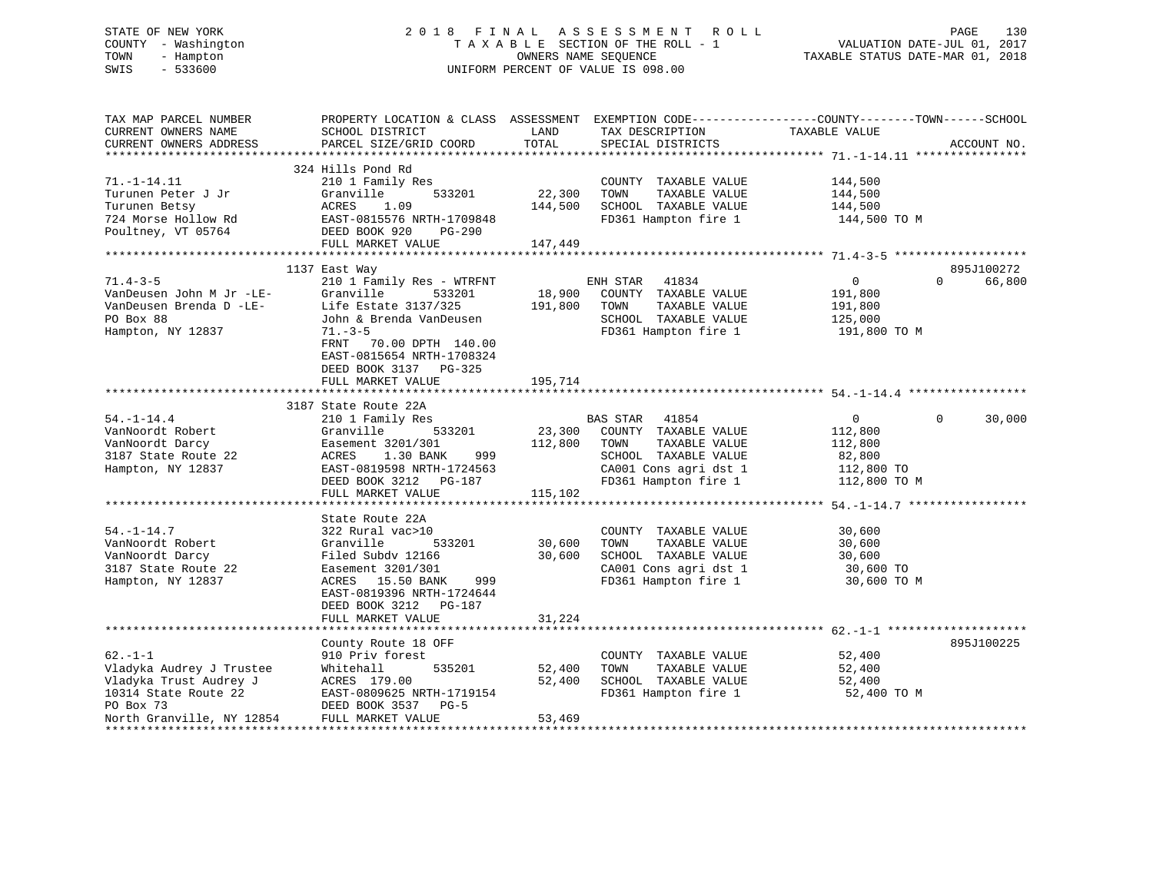# STATE OF NEW YORK 2 0 1 8 F I N A L A S S E S S M E N T R O L L PAGE 130 COUNTY - Washington T A X A B L E SECTION OF THE ROLL - 1 VALUATION DATE-JUL 01, 2017 TOWN - Hampton OWNERS NAME SEQUENCE TAXABLE STATUS DATE-MAR 01, 2018 SWIS - 533600 UNIFORM PERCENT OF VALUE IS 098.00

| TAX MAP PARCEL NUMBER<br>CURRENT OWNERS NAME<br>CURRENT OWNERS ADDRESS                                                               | PROPERTY LOCATION & CLASS ASSESSMENT EXEMPTION CODE----------------COUNTY-------TOWN------SCHOOL<br>SCHOOL DISTRICT<br>PARCEL SIZE/GRID COORD                                                                            | LAND<br>TOTAL                | TAX DESCRIPTION<br>SPECIAL DISTRICTS                                                                                                                   | TAXABLE VALUE                                                                   | ACCOUNT NO.        |
|--------------------------------------------------------------------------------------------------------------------------------------|--------------------------------------------------------------------------------------------------------------------------------------------------------------------------------------------------------------------------|------------------------------|--------------------------------------------------------------------------------------------------------------------------------------------------------|---------------------------------------------------------------------------------|--------------------|
| $71. - 1 - 14.11$<br>Turunen Peter J Jr<br>Turunen Betsy<br>724 Morse Hollow Rd<br>Poultney, VT 05764                                | 324 Hills Pond Rd<br>210 1 Family Res<br>533201<br>Granville<br>ACRES<br>1.09<br>EAST-0815576 NRTH-1709848<br>DEED BOOK 920 PG-290<br>FULL MARKET VALUE                                                                  | 22,300<br>144,500<br>147,449 | COUNTY TAXABLE VALUE<br>TOWN<br>TAXABLE VALUE<br>SCHOOL TAXABLE VALUE<br>FD361 Hampton fire 1                                                          | 144,500<br>144,500<br>144,500<br>144,500 TO M                                   |                    |
|                                                                                                                                      |                                                                                                                                                                                                                          |                              |                                                                                                                                                        |                                                                                 | 895J100272         |
| $71.4 - 3 - 5$<br>VanDeusen John M Jr -LE-<br>VanDeusen Brenda D - $LE$ -<br>PO Box 88<br>Hampton, NY 12837                          | 1137 East Way<br>210 1 Family Res - WTRFNT<br>Granville<br>533201<br>Life Estate 3137/325<br>John & Brenda VanDeusen<br>$71. - 3 - 5$<br>70.00 DPTH 140.00<br>FRNT<br>EAST-0815654 NRTH-1708324<br>DEED BOOK 3137 PG-325 | 18,900<br>191,800            | ENH STAR 41834<br>COUNTY TAXABLE VALUE<br>TOWN<br>TAXABLE VALUE<br>SCHOOL TAXABLE VALUE<br>FD361 Hampton fire 1                                        | $\overline{0}$<br>191,800<br>191,800<br>125,000<br>191,800 TO M                 | $\Omega$<br>66,800 |
|                                                                                                                                      | FULL MARKET VALUE                                                                                                                                                                                                        | 195,714                      |                                                                                                                                                        |                                                                                 |                    |
|                                                                                                                                      | 3187 State Route 22A                                                                                                                                                                                                     |                              |                                                                                                                                                        |                                                                                 |                    |
| $54. - 1 - 14.4$<br>VanNoordt Robert<br>VanNoordt Darcy<br>3187 State Route 22<br>Hampton, NY 12837                                  | 210 1 Family Res<br>Granville<br>533201<br>Easement 3201/301<br>ACRES 1.30 BANK<br>999<br>EAST-0819598 NRTH-1724563<br>DEED BOOK 3212 PG-187<br>FULL MARKET VALUE                                                        | 112,800<br>115,102           | <b>BAS STAR</b> 41854<br>23,300 COUNTY TAXABLE VALUE<br>TAXABLE VALUE<br>TOWN<br>SCHOOL TAXABLE VALUE<br>CA001 Cons agri dst 1<br>FD361 Hampton fire 1 | $0 \qquad \qquad$<br>112,800<br>112,800<br>82,800<br>112,800 TO<br>112,800 TO M | $\Omega$<br>30,000 |
|                                                                                                                                      |                                                                                                                                                                                                                          |                              |                                                                                                                                                        |                                                                                 |                    |
| $54. - 1 - 14.7$<br>VanNoordt Robert<br>VanNoordt Darcy<br>3187 State Route 22<br>Hampton, NY 12837                                  | State Route 22A<br>322 Rural vac>10<br>Granville<br>533201<br>Filed Subdy 12166<br>Easement 3201/301<br>ACRES 15.50 BANK<br>999<br>EAST-0819396 NRTH-1724644<br>DEED BOOK 3212 PG-187                                    | 30,600<br>30,600             | COUNTY TAXABLE VALUE<br>TOWN<br>TAXABLE VALUE<br>SCHOOL TAXABLE VALUE<br>CA001 Cons agri dst 1<br>FD361 Hampton fire 1                                 | 30,600<br>30,600<br>30,600<br>30,600 TO<br>30,600 TO M                          |                    |
|                                                                                                                                      | FULL MARKET VALUE                                                                                                                                                                                                        | 31,224                       |                                                                                                                                                        |                                                                                 |                    |
|                                                                                                                                      | County Route 18 OFF                                                                                                                                                                                                      |                              |                                                                                                                                                        |                                                                                 | 895J100225         |
| $62. -1 - 1$<br>Vladyka Audrey J Trustee<br>Vladyka Trust Audrey J<br>10314 State Route 22<br>PO Box 73<br>North Granville, NY 12854 | 910 Priv forest<br>535201<br>Whitehall<br>ACRES 179.00<br>EAST-0809625 NRTH-1719154<br>DEED BOOK 3537 PG-5<br>FULL MARKET VALUE                                                                                          | 52,400<br>52,400<br>53,469   | COUNTY TAXABLE VALUE<br>TOWN<br>TAXABLE VALUE<br>SCHOOL TAXABLE VALUE<br>FD361 Hampton fire 1                                                          | 52,400<br>52,400<br>52,400<br>52,400 TO M                                       |                    |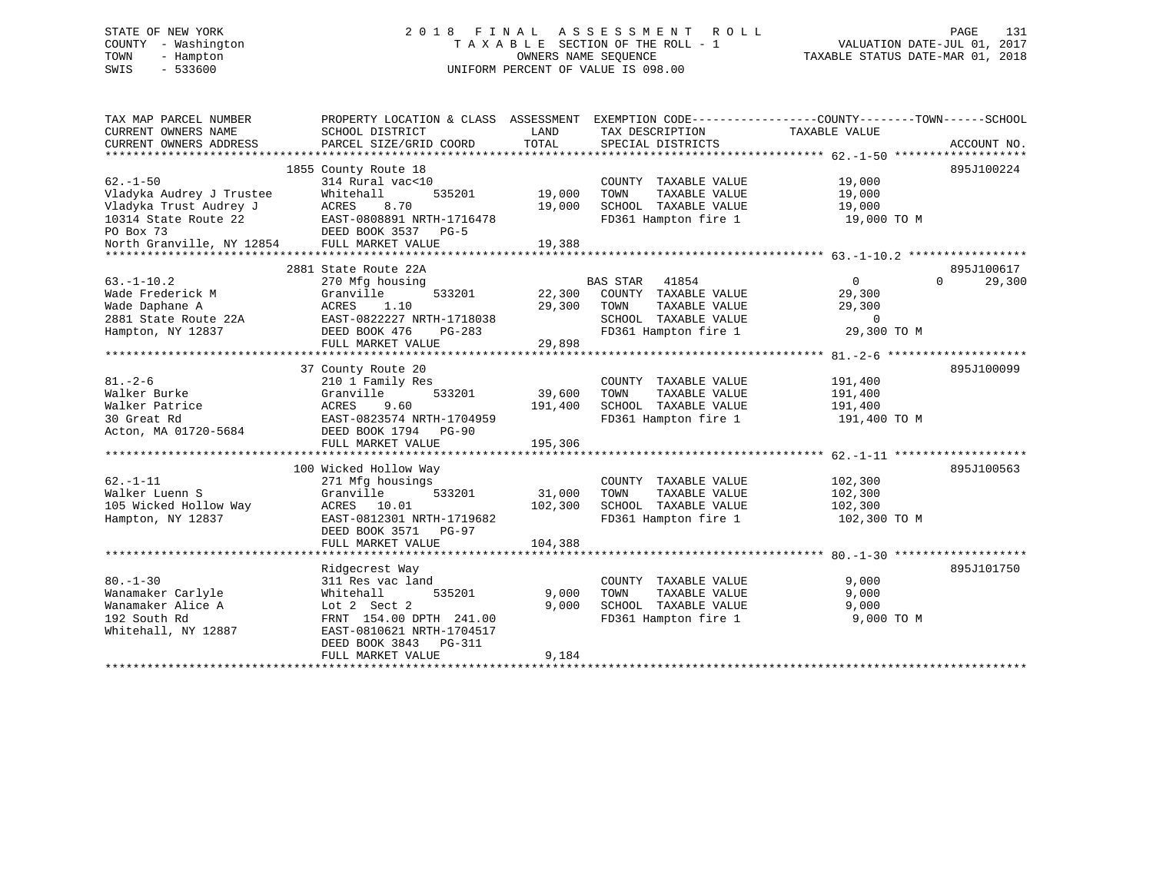# STATE OF NEW YORK 2 0 1 8 F I N A L A S S E S S M E N T R O L L PAGE 131 COUNTY - Washington T A X A B L E SECTION OF THE ROLL - 1 VALUATION DATE-JUL 01, 2017 TOWN - Hampton OWNERS NAME SEQUENCE TAXABLE STATUS DATE-MAR 01, 2018 SWIS - 533600 UNIFORM PERCENT OF VALUE IS 098.00

| PROPERTY LOCATION & CLASS ASSESSMENT EXEMPTION CODE----------------COUNTY-------TOWN-----SCHOOL<br>TAX MAP PARCEL NUMBER<br>CURRENT OWNERS NAME<br>SCHOOL DISTRICT<br>LAND<br>TAX DESCRIPTION<br>TAXABLE VALUE<br>TOTAL<br>CURRENT OWNERS ADDRESS<br>PARCEL SIZE/GRID COORD<br>SPECIAL DISTRICTS | ACCOUNT NO.        |
|--------------------------------------------------------------------------------------------------------------------------------------------------------------------------------------------------------------------------------------------------------------------------------------------------|--------------------|
|                                                                                                                                                                                                                                                                                                  |                    |
| 1855 County Route 18                                                                                                                                                                                                                                                                             | 895J100224         |
| $62. - 1 - 50$<br>314 Rural vac<10<br>19,000<br>COUNTY TAXABLE VALUE                                                                                                                                                                                                                             |                    |
| Vladyka Audrey J Trustee<br>Whitehall<br>535201<br>19,000<br>TOWN<br>TAXABLE VALUE<br>19,000                                                                                                                                                                                                     |                    |
| Vladyka Trust Audrey J<br><b>ACRES</b><br>8.70<br>19,000<br>SCHOOL TAXABLE VALUE<br>19,000                                                                                                                                                                                                       |                    |
| 10314 State Route 22<br>EAST-0808891 NRTH-1716478<br>FD361 Hampton fire 1<br>19,000 TO M                                                                                                                                                                                                         |                    |
| PO Box 73<br>DEED BOOK 3537 PG-5                                                                                                                                                                                                                                                                 |                    |
| North Granville, NY 12854<br>FULL MARKET VALUE<br>19,388                                                                                                                                                                                                                                         |                    |
|                                                                                                                                                                                                                                                                                                  |                    |
| 2881 State Route 22A                                                                                                                                                                                                                                                                             | 895J100617         |
| $63. -1 - 10.2$<br><b>BAS STAR</b><br>41854<br>$\overline{0}$<br>270 Mfg housing                                                                                                                                                                                                                 | 29,300<br>$\Omega$ |
| Wade Frederick M<br>Granville<br>533201<br>22,300<br>COUNTY TAXABLE VALUE<br>29,300                                                                                                                                                                                                              |                    |
| Wade Daphane A<br>1.10<br>29,300<br>TAXABLE VALUE<br>29,300<br>ACRES<br>TOWN                                                                                                                                                                                                                     |                    |
| EAST-0822227 NRTH-1718038<br>SCHOOL TAXABLE VALUE<br>2881 State Route 22A<br>$\overline{0}$                                                                                                                                                                                                      |                    |
| FD361 Hampton fire 1<br>29,300 TO M<br>Hampton, NY 12837<br>DEED BOOK 476<br>PG-283                                                                                                                                                                                                              |                    |
| 29,898<br>FULL MARKET VALUE                                                                                                                                                                                                                                                                      |                    |
|                                                                                                                                                                                                                                                                                                  |                    |
| 37 County Route 20                                                                                                                                                                                                                                                                               | 895J100099         |
| $81. - 2 - 6$<br>210 1 Family Res<br>COUNTY TAXABLE VALUE<br>191,400                                                                                                                                                                                                                             |                    |
| 533201<br>39,600<br>Walker Burke<br>Granville<br>TOWN<br>TAXABLE VALUE<br>191,400                                                                                                                                                                                                                |                    |
| Walker Patrice<br>ACRES<br>9.60<br>191,400<br>SCHOOL TAXABLE VALUE<br>191,400                                                                                                                                                                                                                    |                    |
| 30 Great Rd<br>EAST-0823574 NRTH-1704959<br>FD361 Hampton fire 1<br>191,400 TO M                                                                                                                                                                                                                 |                    |
| Acton, MA 01720-5684<br>DEED BOOK 1794 PG-90                                                                                                                                                                                                                                                     |                    |
| 195,306<br>FULL MARKET VALUE                                                                                                                                                                                                                                                                     |                    |
|                                                                                                                                                                                                                                                                                                  |                    |
| 100 Wicked Hollow Way                                                                                                                                                                                                                                                                            | 895J100563         |
| $62. - 1 - 11$<br>271 Mfg housings<br>102,300<br>COUNTY TAXABLE VALUE                                                                                                                                                                                                                            |                    |
| Walker Luenn S<br>Granville<br>533201<br>31,000<br>TOWN<br>TAXABLE VALUE<br>102,300                                                                                                                                                                                                              |                    |
| 105 Wicked Hollow Way<br>ACRES 10.01<br>102,300<br>SCHOOL TAXABLE VALUE<br>102,300                                                                                                                                                                                                               |                    |
| EAST-0812301 NRTH-1719682<br>FD361 Hampton fire 1<br>Hampton, NY 12837<br>102,300 TO M                                                                                                                                                                                                           |                    |
| DEED BOOK 3571<br><b>PG-97</b>                                                                                                                                                                                                                                                                   |                    |
| FULL MARKET VALUE<br>104,388                                                                                                                                                                                                                                                                     |                    |
|                                                                                                                                                                                                                                                                                                  |                    |
| Ridgecrest Way                                                                                                                                                                                                                                                                                   | 895J101750         |
| $80. - 1 - 30$<br>311 Res vac land<br>COUNTY TAXABLE VALUE<br>9,000                                                                                                                                                                                                                              |                    |
| Wanamaker Carlyle<br>535201<br>9,000<br>TAXABLE VALUE<br>9,000<br>Whitehall<br>TOWN                                                                                                                                                                                                              |                    |
| Wanamaker Alice A<br>9.000<br>SCHOOL TAXABLE VALUE<br>Lot 2 Sect 2<br>9,000                                                                                                                                                                                                                      |                    |
| 192 South Rd<br>FRNT 154.00 DPTH 241.00<br>FD361 Hampton fire 1<br>9,000 TO M                                                                                                                                                                                                                    |                    |
| Whitehall, NY 12887<br>EAST-0810621 NRTH-1704517                                                                                                                                                                                                                                                 |                    |
| DEED BOOK 3843<br>PG-311                                                                                                                                                                                                                                                                         |                    |
| 9,184<br>FULL MARKET VALUE                                                                                                                                                                                                                                                                       |                    |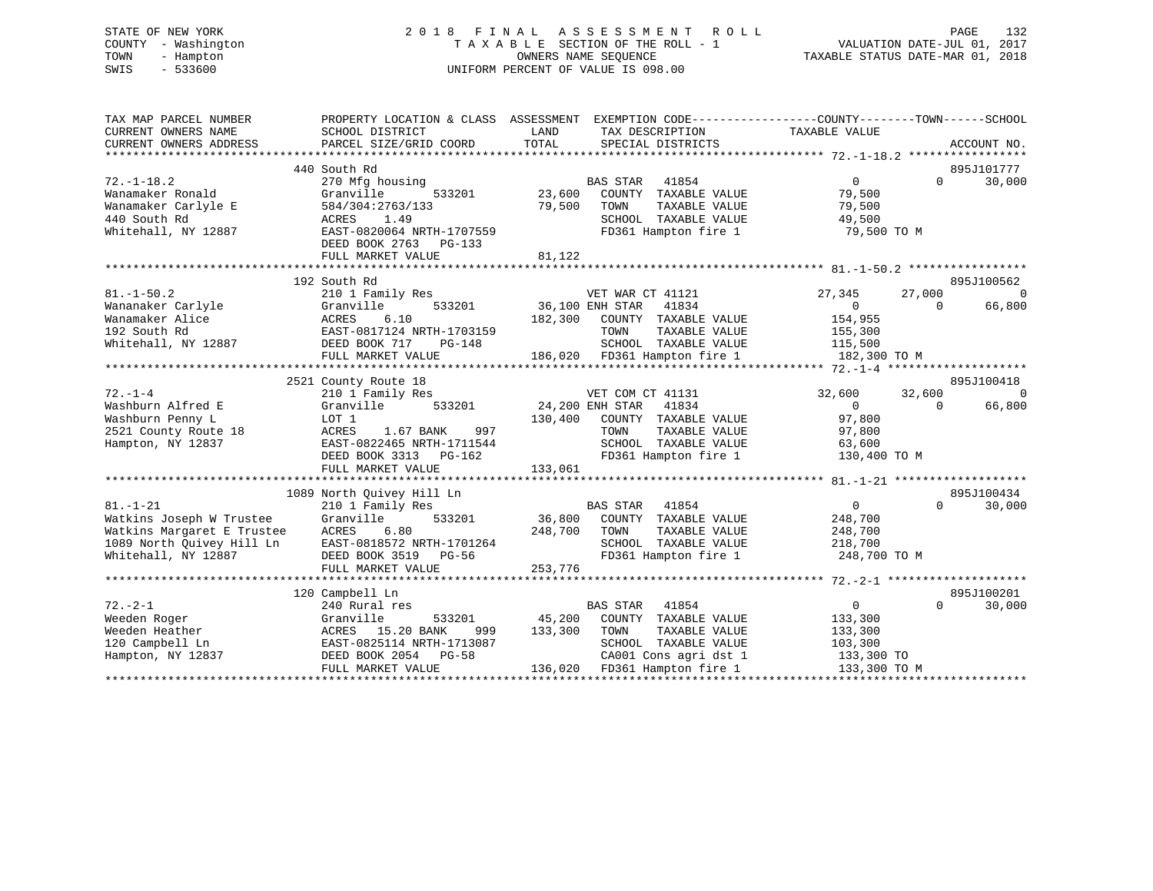# STATE OF NEW YORK 2 0 1 8 F I N A L A S S E S S M E N T R O L L PAGE 132 COUNTY - Washington T A X A B L E SECTION OF THE ROLL - 1 VALUATION DATE-JUL 01, 2017 TOWN - Hampton OWNERS NAME SEQUENCE TAXABLE STATUS DATE-MAR 01, 2018 SWIS - 533600 UNIFORM PERCENT OF VALUE IS 098.00

| TAX MAP PARCEL NUMBER<br>CURRENT OWNERS NAME<br>CURRENT OWNERS ADDRESS                                                       | PROPERTY LOCATION & CLASS ASSESSMENT<br>SCHOOL DISTRICT<br>PARCEL SIZE/GRID COORD                                                                                                               | LAND<br>TAX DESCRIPTION<br>TOTAL<br>SPECIAL DISTRICTS                                                                                                                              | EXEMPTION CODE-----------------COUNTY-------TOWN------SCHOOL<br>TAXABLE VALUE<br>ACCOUNT NO.                          |
|------------------------------------------------------------------------------------------------------------------------------|-------------------------------------------------------------------------------------------------------------------------------------------------------------------------------------------------|------------------------------------------------------------------------------------------------------------------------------------------------------------------------------------|-----------------------------------------------------------------------------------------------------------------------|
| $72. - 1 - 18.2$<br>Wanamaker Ronald                                                                                         | 440 South Rd<br>270 Mfg housing<br>Granville<br>533201                                                                                                                                          | <b>BAS STAR</b><br>41854<br>23,600<br>COUNTY TAXABLE VALUE                                                                                                                         | 895J101777<br>$\Omega$<br>30,000<br>$\Omega$<br>79,500                                                                |
| Wanamaker Carlyle E<br>440 South Rd<br>Whitehall, NY 12887                                                                   | 584/304:2763/133<br>ACRES<br>1.49<br>EAST-0820064 NRTH-1707559<br>DEED BOOK 2763<br>$PG-133$                                                                                                    | 79,500<br>TAXABLE VALUE<br>TOWN<br>SCHOOL TAXABLE VALUE<br>FD361 Hampton fire 1                                                                                                    | 79,500<br>49,500<br>79,500 TO M                                                                                       |
|                                                                                                                              | FULL MARKET VALUE                                                                                                                                                                               | 81,122                                                                                                                                                                             |                                                                                                                       |
|                                                                                                                              | 192 South Rd                                                                                                                                                                                    |                                                                                                                                                                                    | 895J100562                                                                                                            |
| $81. - 1 - 50.2$<br>Wananaker Carlyle<br>Wanamaker Alice<br>192 South Rd<br>Whitehall, NY 12887                              | 210 1 Family Res<br>Granville<br>533201<br>ACRES<br>6.10<br>EAST-0817124 NRTH-1703159<br>DEED BOOK 717<br>PG-148<br>FULL MARKET VALUE                                                           | VET WAR CT 41121<br>36,100 ENH STAR<br>41834<br>182,300<br>COUNTY TAXABLE VALUE<br>TOWN<br>TAXABLE VALUE<br>SCHOOL TAXABLE VALUE<br>186,020 FD361 Hampton fire 1                   | 27,345<br>27,000<br>$\Omega$<br>66,800<br>$\overline{0}$<br>$\Omega$<br>154,955<br>155,300<br>115,500<br>182,300 TO M |
|                                                                                                                              |                                                                                                                                                                                                 |                                                                                                                                                                                    |                                                                                                                       |
|                                                                                                                              | 2521 County Route 18                                                                                                                                                                            |                                                                                                                                                                                    | 895J100418                                                                                                            |
| $72. - 1 - 4$<br>Washburn Alfred E<br>Washburn Penny L<br>2521 County Route 18<br>Hampton, NY 12837                          | 210 1 Family Res<br>Granville<br>533201<br>LOT 1<br>ACRES<br>1.67 BANK<br>997<br>EAST-0822465 NRTH-1711544<br>DEED BOOK 3313 PG-162                                                             | VET COM CT 41131<br>24,200 ENH STAR<br>41834<br>130,400<br>COUNTY TAXABLE VALUE<br>TAXABLE VALUE<br>TOWN<br>SCHOOL TAXABLE VALUE<br>FD361 Hampton fire 1                           | $\Omega$<br>32,600<br>32,600<br>$\Omega$<br>66,800<br>$\Omega$<br>97,800<br>97,800<br>63,600<br>130,400 TO M          |
|                                                                                                                              | FULL MARKET VALUE                                                                                                                                                                               | 133,061                                                                                                                                                                            |                                                                                                                       |
|                                                                                                                              |                                                                                                                                                                                                 |                                                                                                                                                                                    |                                                                                                                       |
| $81. - 1 - 21$<br>Watkins Joseph W Trustee<br>Watkins Margaret E Trustee<br>1089 North Ouivey Hill Ln<br>Whitehall, NY 12887 | 1089 North Quivey Hill Ln<br>210 1 Family Res<br>533201<br>Granville<br>ACRES<br>6.80<br>EAST-0818572 NRTH-1701264<br>DEED BOOK 3519 PG-56<br>FULL MARKET VALUE<br>**************************** | BAS STAR<br>41854<br>36,800<br>COUNTY TAXABLE VALUE<br>248,700<br>TOWN<br>TAXABLE VALUE<br>SCHOOL TAXABLE VALUE<br>FD361 Hampton fire 1<br>253,776                                 | 895J100434<br>$\overline{0}$<br>$\Omega$<br>30,000<br>248,700<br>248,700<br>218,700<br>248,700 TO M                   |
|                                                                                                                              | 120 Campbell Ln                                                                                                                                                                                 |                                                                                                                                                                                    | 895J100201                                                                                                            |
| $72. - 2 - 1$<br>Weeden Roger<br>Weeden Heather<br>120 Campbell Ln<br>Hampton, NY 12837                                      | 240 Rural res<br>533201<br>Granville<br>ACRES 15.20 BANK<br>999<br>EAST-0825114 NRTH-1713087<br>DEED BOOK 2054 PG-58<br>FULL MARKET VALUE                                                       | 41854<br><b>BAS STAR</b><br>45,200<br>COUNTY TAXABLE VALUE<br>133,300<br>TOWN<br>TAXABLE VALUE<br>SCHOOL TAXABLE VALUE<br>CA001 Cons agri dst 1<br>136,020<br>FD361 Hampton fire 1 | $\overline{0}$<br>$\Omega$<br>30,000<br>133,300<br>133,300<br>103,300<br>133,300 TO<br>133,300 TO M                   |
|                                                                                                                              |                                                                                                                                                                                                 |                                                                                                                                                                                    |                                                                                                                       |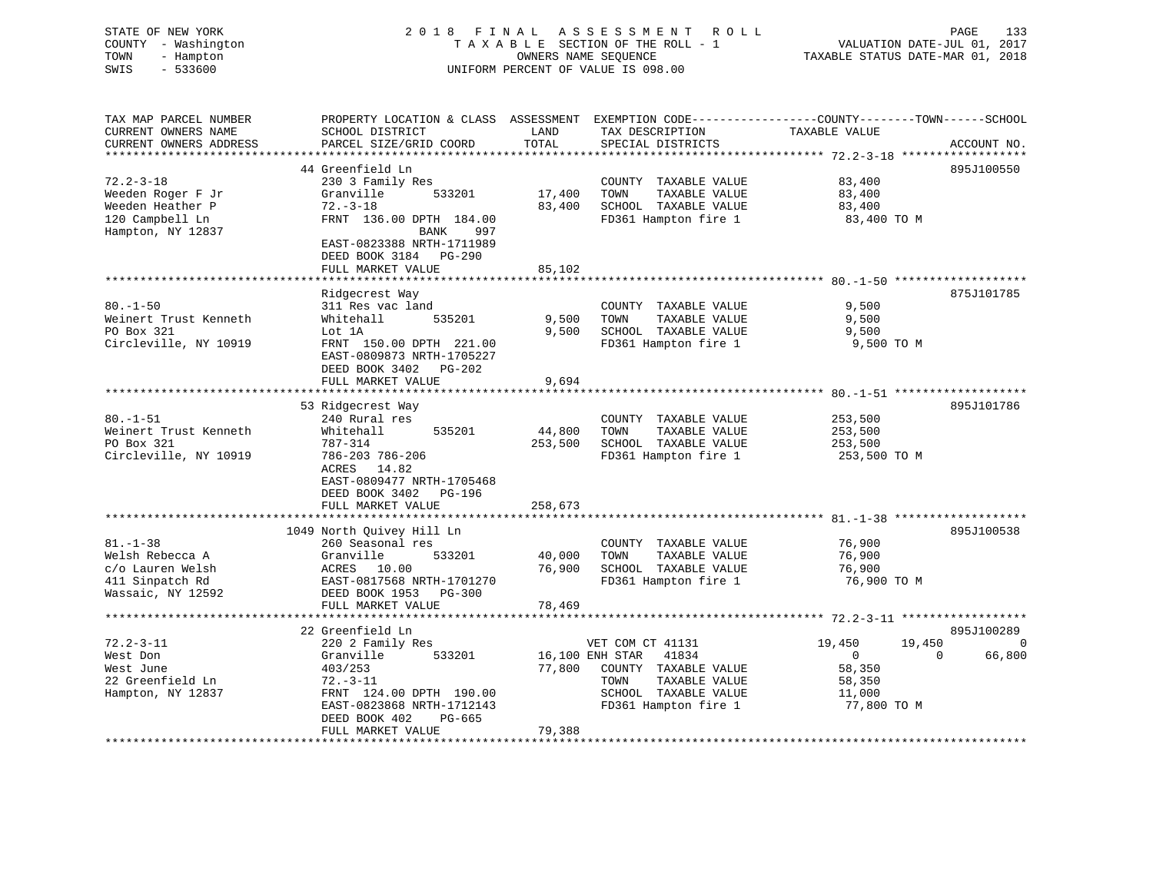| COUNTY - Washington<br>TAXABLE SECTION OF THE ROLL - 1<br>VALUATION DATE-JUL 01, 2017<br>- Hampton<br>OWNERS NAME SEQUENCE<br>TAXABLE STATUS DATE-MAR 01, 2018<br>TOWN<br>SWIS<br>$-533600$<br>UNIFORM PERCENT OF VALUE IS 098.00                                                                 |             |
|---------------------------------------------------------------------------------------------------------------------------------------------------------------------------------------------------------------------------------------------------------------------------------------------------|-------------|
| TAX MAP PARCEL NUMBER<br>PROPERTY LOCATION & CLASS ASSESSMENT EXEMPTION CODE----------------COUNTY-------TOWN------SCHOOL<br>CURRENT OWNERS NAME<br>SCHOOL DISTRICT<br>LAND<br>TAX DESCRIPTION<br>TAXABLE VALUE<br>PARCEL SIZE/GRID COORD<br>TOTAL<br>CURRENT OWNERS ADDRESS<br>SPECIAL DISTRICTS | ACCOUNT NO. |
| ***********************                                                                                                                                                                                                                                                                           |             |
| 44 Greenfield Ln                                                                                                                                                                                                                                                                                  | 895J100550  |
| $72.2 - 3 - 18$<br>230 3 Family Res<br>COUNTY TAXABLE VALUE<br>83,400                                                                                                                                                                                                                             |             |
| Weeden Roger F Jr<br>Granville<br>17,400<br>TOWN<br>TAXABLE VALUE<br>83,400<br>533201<br>Weeden Heather P<br>$72. - 3 - 18$<br>SCHOOL TAXABLE VALUE<br>83,400<br>83,400                                                                                                                           |             |
| 120 Campbell Ln<br>FRNT 136.00 DPTH 184.00<br>FD361 Hampton fire 1<br>83,400 TO M                                                                                                                                                                                                                 |             |
| Hampton, NY 12837<br>BANK<br>997                                                                                                                                                                                                                                                                  |             |
| EAST-0823388 NRTH-1711989<br>DEED BOOK 3184 PG-290                                                                                                                                                                                                                                                |             |
| FULL MARKET VALUE<br>85,102<br>*******************                                                                                                                                                                                                                                                |             |
| Ridgecrest Way                                                                                                                                                                                                                                                                                    | 875J101785  |
| $80. - 1 - 50$<br>9,500<br>311 Res vac land<br>COUNTY TAXABLE VALUE                                                                                                                                                                                                                               |             |
| Weinert Trust Kenneth<br>535201<br>9,500<br>Whitehall<br>9,500<br>TOWN<br>TAXABLE VALUE                                                                                                                                                                                                           |             |
| PO Box 321<br>9.500<br>SCHOOL TAXABLE VALUE<br>Lot 1A<br>9,500                                                                                                                                                                                                                                    |             |
| Circleville, NY 10919<br>FRNT 150.00 DPTH 221.00<br>FD361 Hampton fire 1<br>9,500 TO M                                                                                                                                                                                                            |             |
| EAST-0809873 NRTH-1705227                                                                                                                                                                                                                                                                         |             |
| DEED BOOK 3402 PG-202<br>9,694                                                                                                                                                                                                                                                                    |             |
| FULL MARKET VALUE<br>********************                                                                                                                                                                                                                                                         |             |
| 53 Ridgecrest Way                                                                                                                                                                                                                                                                                 | 895J101786  |
| $80. -1 - 51$<br>240 Rural res<br>COUNTY TAXABLE VALUE<br>253,500                                                                                                                                                                                                                                 |             |
| Weinert Trust Kenneth<br>Whitehall<br>535201<br>44,800<br>TOWN<br>TAXABLE VALUE<br>253,500                                                                                                                                                                                                        |             |
| PO Box 321<br>787-314<br>253,500<br>SCHOOL TAXABLE VALUE<br>253,500                                                                                                                                                                                                                               |             |
| Circleville, NY 10919<br>FD361 Hampton fire 1<br>786-203 786-206<br>253,500 TO M                                                                                                                                                                                                                  |             |
| ACRES 14.82<br>EAST-0809477 NRTH-1705468                                                                                                                                                                                                                                                          |             |
| DEED BOOK 3402 PG-196                                                                                                                                                                                                                                                                             |             |
| FULL MARKET VALUE<br>258,673                                                                                                                                                                                                                                                                      |             |
|                                                                                                                                                                                                                                                                                                   |             |
| 1049 North Quivey Hill Ln                                                                                                                                                                                                                                                                         | 895J100538  |
| $81. - 1 - 38$<br>260 Seasonal res<br>76,900<br>COUNTY TAXABLE VALUE                                                                                                                                                                                                                              |             |
| Welsh Rebecca A<br>TAXABLE VALUE<br>Granville<br>40,000<br>TOWN<br>76,900<br>533201<br>c/o Lauren Welsh                                                                                                                                                                                           |             |
| SCHOOL TAXABLE VALUE<br>ACRES 10.00<br>76,900<br>76,900<br>411 Sinpatch Rd<br>FD361 Hampton fire 1<br>EAST-0817568 NRTH-1701270<br>76,900 TO M                                                                                                                                                    |             |
| Wassaic, NY 12592<br>DEED BOOK 1953 PG-300                                                                                                                                                                                                                                                        |             |
| 78,469<br>FULL MARKET VALUE                                                                                                                                                                                                                                                                       |             |
| ********************                                                                                                                                                                                                                                                                              |             |
| 22 Greenfield Ln                                                                                                                                                                                                                                                                                  | 895J100289  |
| 19,450<br>$72.2 - 3 - 11$<br>220 2 Family Res<br>VET COM CT 41131<br>19,450                                                                                                                                                                                                                       | $\Omega$    |
| West Don<br>533201<br>16,100 ENH STAR 41834<br>$\overline{0}$<br>Granville<br>$\Omega$<br>West June                                                                                                                                                                                               | 66,800      |
| 403/253<br>77,800<br>58,350<br>COUNTY TAXABLE VALUE<br>22 Greenfield Ln<br>$72. - 3 - 11$<br>TAXABLE VALUE<br>TOWN<br>58,350                                                                                                                                                                      |             |
| FRNT 124.00 DPTH 190.00<br>SCHOOL TAXABLE VALUE<br>Hampton, NY 12837<br>11,000                                                                                                                                                                                                                    |             |
| EAST-0823868 NRTH-1712143<br>FD361 Hampton fire 1<br>77,800 TO M                                                                                                                                                                                                                                  |             |
| DEED BOOK 402<br>PG-665                                                                                                                                                                                                                                                                           |             |
| FULL MARKET VALUE<br>79,388<br>******************************<br>*********************<br>****************<br>************************************                                                                                                                                                |             |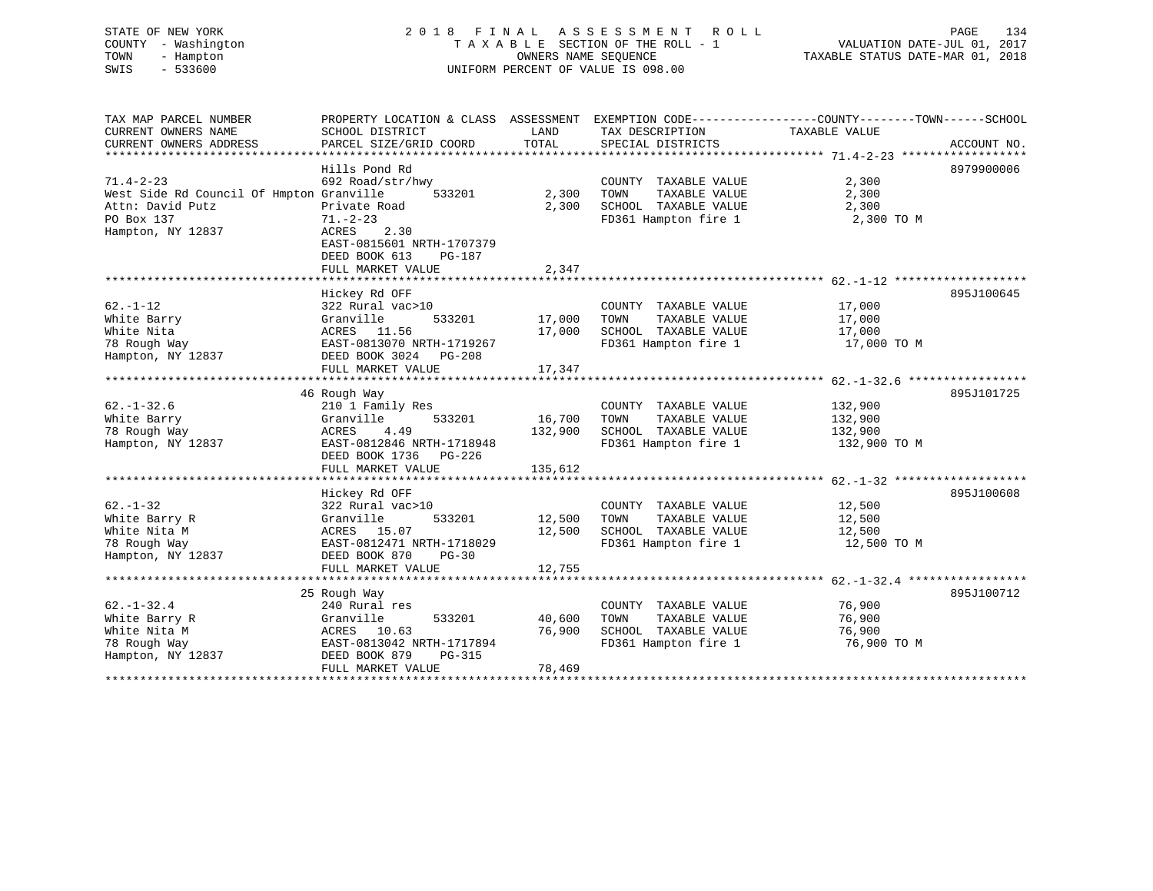| STATE OF NEW YORK<br>- Washington<br>COUNTY<br>- Hampton<br>TOWN<br>SWIS<br>$-533600$ | 2018 FINAL ASSESSMENT ROLL<br>TAXABLE SECTION OF THE ROLL - 1<br>UNIFORM PERCENT OF VALUE IS 098.00 |                             | 134<br>PAGE<br>VALUATION DATE-JUL 01, 2017<br>TAXABLE STATUS DATE-MAR 01, 2018 |               |                                                                              |
|---------------------------------------------------------------------------------------|-----------------------------------------------------------------------------------------------------|-----------------------------|--------------------------------------------------------------------------------|---------------|------------------------------------------------------------------------------|
| TAX MAP PARCEL NUMBER<br>CURRENT OWNERS NAME<br>CURRENT OWNERS ADDRESS                | PROPERTY LOCATION & CLASS<br>SCHOOL DISTRICT<br>PARCEL SIZE/GRID COORD                              | ASSESSMENT<br>LAND<br>TOTAL | TAX DESCRIPTION<br>SPECIAL DISTRICTS                                           | TAXABLE VALUE | EXEMPTION CODE-----------------COUNTY--------TOWN------SCHOOL<br>ACCOUNT NO. |
|                                                                                       | Hills Pond Rd                                                                                       |                             |                                                                                |               | 8979900006                                                                   |

| $71.4 - 2 - 23$                          | 692 Road/str/hwy               |         | COUNTY<br>TAXABLE VALUE | 2,300        |            |
|------------------------------------------|--------------------------------|---------|-------------------------|--------------|------------|
| West Side Rd Council Of Hmpton Granville | 533201                         | 2,300   | TOWN<br>TAXABLE VALUE   | 2,300        |            |
| Attn: David Putz                         | Private Road                   | 2,300   | SCHOOL TAXABLE VALUE    | 2,300        |            |
| PO Box 137                               | $71. - 2 - 23$                 |         | FD361 Hampton fire 1    | 2,300 TO M   |            |
| Hampton, NY 12837                        | 2.30<br>ACRES                  |         |                         |              |            |
|                                          | EAST-0815601 NRTH-1707379      |         |                         |              |            |
|                                          | DEED BOOK 613<br>PG-187        |         |                         |              |            |
|                                          | FULL MARKET VALUE              | 2,347   |                         |              |            |
|                                          |                                |         |                         |              |            |
|                                          | Hickey Rd OFF                  |         |                         |              | 895J100645 |
| $62. - 1 - 12$                           | 322 Rural vac>10               |         | COUNTY TAXABLE VALUE    | 17,000       |            |
|                                          |                                |         |                         |              |            |
| White Barry                              | 533201<br>Granville            | 17,000  | TOWN<br>TAXABLE VALUE   | 17,000       |            |
| White Nita                               | ACRES<br>11.56                 | 17,000  | SCHOOL TAXABLE VALUE    | 17,000       |            |
| 78 Rough Way                             | EAST-0813070 NRTH-1719267      |         | FD361 Hampton fire 1    | 17,000 TO M  |            |
| Hampton, NY 12837                        | DEED BOOK 3024 PG-208          |         |                         |              |            |
|                                          | FULL MARKET VALUE              | 17,347  |                         |              |            |
|                                          |                                |         |                         |              |            |
|                                          | 46 Rough Way                   |         |                         |              | 895J101725 |
| $62. - 1 - 32.6$                         | 210 1 Family Res               |         | COUNTY TAXABLE VALUE    | 132,900      |            |
| White Barry                              | 533201<br>Granville            | 16,700  | TOWN<br>TAXABLE VALUE   | 132,900      |            |
| 78 Rough Way                             | 4.49<br>ACRES                  | 132,900 | SCHOOL TAXABLE VALUE    | 132,900      |            |
| Hampton, NY 12837                        | EAST-0812846 NRTH-1718948      |         | FD361 Hampton fire 1    | 132,900 TO M |            |
|                                          | DEED BOOK 1736<br>PG-226       |         |                         |              |            |
|                                          | FULL MARKET VALUE              | 135,612 |                         |              |            |
|                                          |                                |         |                         |              |            |
|                                          | Hickey Rd OFF                  |         |                         |              | 895J100608 |
| $62. - 1 - 32$                           | 322 Rural vac>10               |         | COUNTY TAXABLE VALUE    | 12,500       |            |
| White Barry R                            | 533201<br>Granville            | 12,500  | TAXABLE VALUE<br>TOWN   | 12,500       |            |
| White Nita M                             | ACRES 15.07                    | 12,500  | SCHOOL TAXABLE VALUE    | 12,500       |            |
| 78 Rough Way                             | EAST-0812471 NRTH-1718029      |         | FD361 Hampton fire 1    | 12,500 TO M  |            |
|                                          | DEED BOOK 870                  |         |                         |              |            |
| Hampton, NY 12837                        | $PG-30$                        |         |                         |              |            |
|                                          | FULL MARKET VALUE              | 12,755  |                         |              |            |
|                                          |                                |         |                         |              |            |
|                                          | 25 Rough Way                   |         |                         |              | 895J100712 |
| $62. - 1 - 32.4$                         | 240 Rural res                  |         | COUNTY TAXABLE VALUE    | 76,900       |            |
| White Barry R                            | 533201<br>Granville            | 40,600  | TOWN<br>TAXABLE VALUE   | 76,900       |            |
| White Nita M                             | ACRES<br>10.63                 | 76,900  | SCHOOL TAXABLE VALUE    | 76,900       |            |
| 78 Rough Way                             | EAST-0813042 NRTH-1717894      |         | FD361 Hampton fire 1    | 76,900 TO M  |            |
| Hampton, NY 12837                        | DEED BOOK 879<br><b>PG-315</b> |         |                         |              |            |
|                                          | FULL MARKET VALUE              | 78,469  |                         |              |            |
|                                          |                                |         |                         |              |            |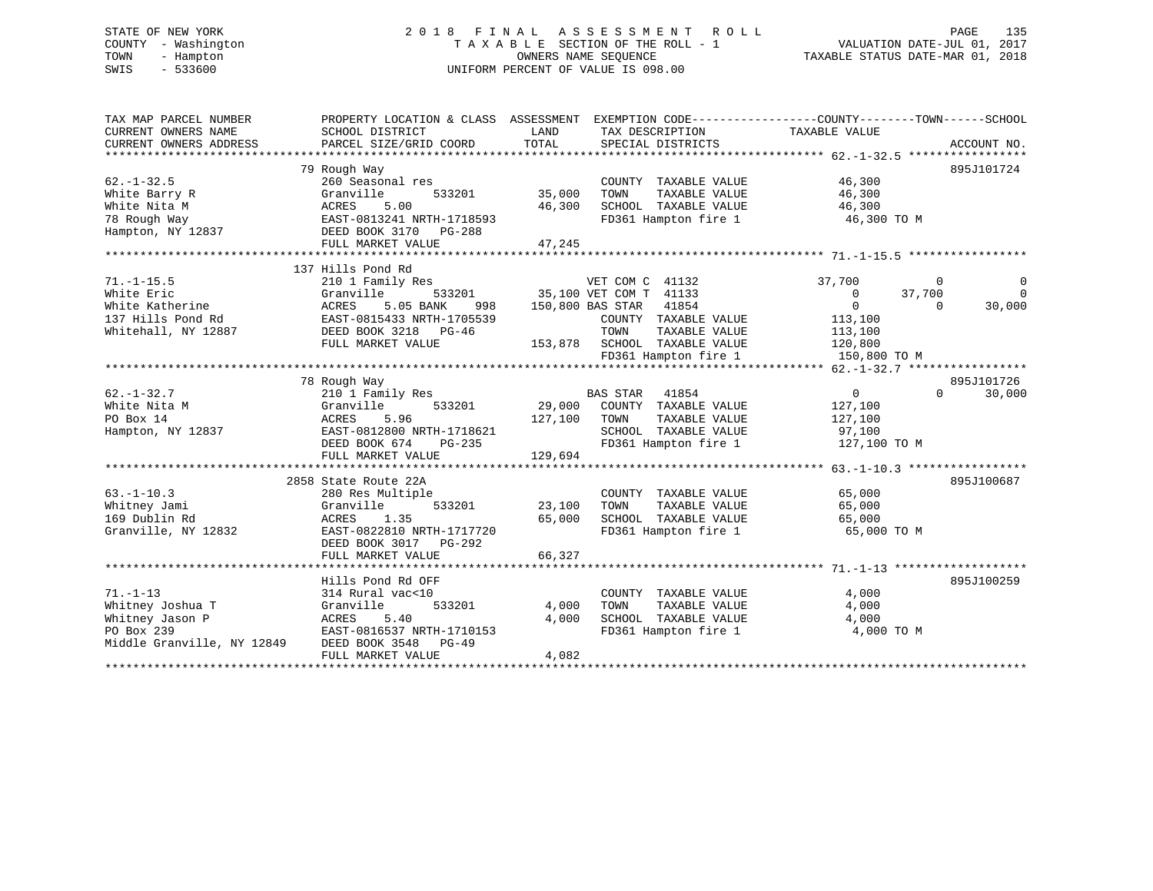# STATE OF NEW YORK 2 0 1 8 F I N A L A S S E S S M E N T R O L L PAGE 135 COUNTY - Washington T A X A B L E SECTION OF THE ROLL - 1 VALUATION DATE-JUL 01, 2017 TOWN - Hampton OWNERS NAME SEQUENCE TAXABLE STATUS DATE-MAR 01, 2018 SWIS - 533600 UNIFORM PERCENT OF VALUE IS 098.00

| TAX MAP PARCEL NUMBER<br>CURRENT OWNERS NAME<br>CURRENT OWNERS ADDRESS                            | PROPERTY LOCATION & CLASS ASSESSMENT<br>SCHOOL DISTRICT<br>PARCEL SIZE/GRID COORD                                                                                   | LAND<br>TOTAL                | EXEMPTION CODE----------------COUNTY-------TOWN------SCHOOL<br>TAX DESCRIPTION<br>SPECIAL DISTRICTS                                                                             | TAXABLE VALUE                                                                                   | ACCOUNT NO.                                   |
|---------------------------------------------------------------------------------------------------|---------------------------------------------------------------------------------------------------------------------------------------------------------------------|------------------------------|---------------------------------------------------------------------------------------------------------------------------------------------------------------------------------|-------------------------------------------------------------------------------------------------|-----------------------------------------------|
| $62. -1 - 32.5$<br>White Barry R<br>White Nita M<br>78 Rough Way<br>Hampton, NY 12837             | 79 Rough Way<br>260 Seasonal res<br>Granville<br>533201<br>5.00<br>ACRES<br>EAST-0813241 NRTH-1718593<br>DEED BOOK 3170<br>PG-288<br>FULL MARKET VALUE              | 35,000<br>46,300<br>47,245   | COUNTY TAXABLE VALUE<br>TOWN<br>TAXABLE VALUE<br>SCHOOL TAXABLE VALUE<br>FD361 Hampton fire 1                                                                                   | 46,300<br>46,300<br>46,300<br>46,300 TO M                                                       | 895J101724                                    |
| $71. - 1 - 15.5$<br>White Eric<br>White Katherine<br>137 Hills Pond Rd<br>Whitehall, NY 12887     | 137 Hills Pond Rd<br>210 1 Family Res<br>533201<br>Granville<br>5.05 BANK<br>ACRES<br>998<br>EAST-0815433 NRTH-1705539<br>DEED BOOK 3218 PG-46<br>FULL MARKET VALUE |                              | VET COM C 41132<br>35,100 VET COM T 41133<br>150,800 BAS STAR<br>41854<br>COUNTY TAXABLE VALUE<br>TOWN<br>TAXABLE VALUE<br>153,878 SCHOOL TAXABLE VALUE<br>FD361 Hampton fire 1 | 37,700<br>$\Omega$<br>37,700<br>$\overline{0}$<br>113,100<br>113,100<br>120,800<br>150,800 TO M | $\mathbf 0$<br>$\Omega$<br>30,000<br>$\Omega$ |
| $62. -1 - 32.7$<br>White Nita M<br>PO Box 14<br>Hampton, NY 12837                                 | 78 Rough Way<br>210 1 Family Res<br>Granville<br>533201<br>ACRES<br>5.96<br>EAST-0812800 NRTH-1718621<br>DEED BOOK 674<br>PG-235<br>FULL MARKET VALUE               | 29,000<br>127,100<br>129,694 | <b>BAS STAR</b><br>41854<br>COUNTY TAXABLE VALUE<br>TOWN<br>TAXABLE VALUE<br>SCHOOL TAXABLE VALUE<br>FD361 Hampton fire 1                                                       | $\overline{0}$<br>127,100<br>127,100<br>97,100<br>127,100 TO M                                  | 895J101726<br>$\Omega$<br>30,000              |
| $63. -1 - 10.3$<br>Whitney Jami<br>169 Dublin Rd<br>Granville, NY 12832                           | 2858 State Route 22A<br>280 Res Multiple<br>533201<br>Granville<br>1.35<br>ACRES<br>EAST-0822810 NRTH-1717720<br>DEED BOOK 3017<br>PG-292<br>FULL MARKET VALUE      | 23,100<br>65,000<br>66,327   | COUNTY TAXABLE VALUE<br>TAXABLE VALUE<br>TOWN<br>SCHOOL TAXABLE VALUE<br>FD361 Hampton fire 1                                                                                   | 65,000<br>65,000<br>65,000<br>65,000 TO M                                                       | 895J100687                                    |
| $71. - 1 - 13$<br>Whitney Joshua T<br>Whitney Jason P<br>PO Box 239<br>Middle Granville, NY 12849 | Hills Pond Rd OFF<br>314 Rural vac<10<br>533201<br>Granville<br>5.40<br>ACRES<br>EAST-0816537 NRTH-1710153<br>DEED BOOK 3548 PG-49<br>FULL MARKET VALUE             | 4,000<br>4,000<br>4,082      | COUNTY TAXABLE VALUE<br>TOWN<br>TAXABLE VALUE<br>SCHOOL TAXABLE VALUE<br>FD361 Hampton fire 1                                                                                   | 4,000<br>4,000<br>4,000<br>4,000 TO M                                                           | 895J100259                                    |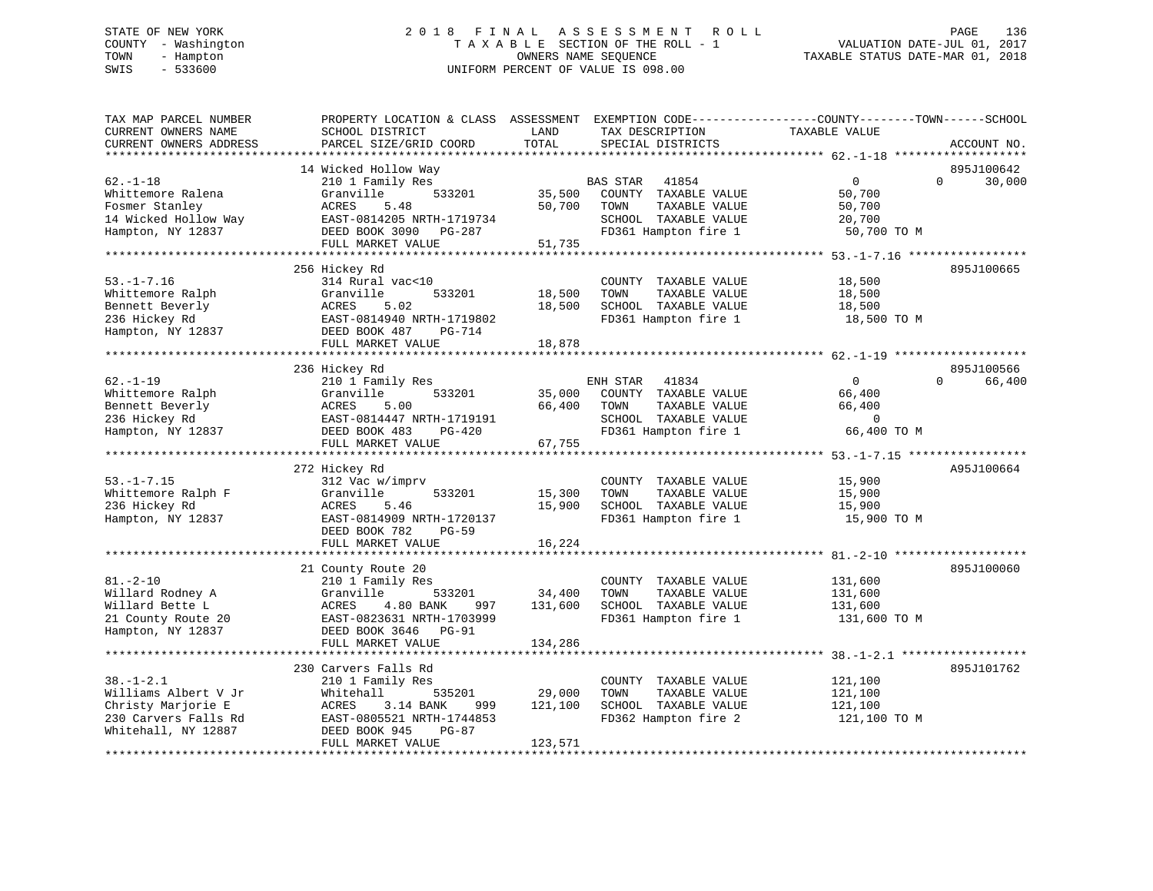# STATE OF NEW YORK 2 0 1 8 F I N A L A S S E S S M E N T R O L L PAGE 136 COUNTY - Washington T A X A B L E SECTION OF THE ROLL - 1 VALUATION DATE-JUL 01, 2017 TOWN - Hampton OWNERS NAME SEQUENCE TAXABLE STATUS DATE-MAR 01, 2018 SWIS - 533600 UNIFORM PERCENT OF VALUE IS 098.00

| TAX MAP PARCEL NUMBER<br>CURRENT OWNERS NAME<br>CURRENT OWNERS ADDRESS                                       | SCHOOL DISTRICT<br>PARCEL SIZE/GRID COORD                                                                                                                     | LAND<br>TOTAL                | TAX DESCRIPTION<br>SPECIAL DISTRICTS                                                                                      | PROPERTY LOCATION & CLASS ASSESSMENT EXEMPTION CODE----------------COUNTY-------TOWN------SCHOOL<br>TAXABLE VALUE<br>ACCOUNT NO. |
|--------------------------------------------------------------------------------------------------------------|---------------------------------------------------------------------------------------------------------------------------------------------------------------|------------------------------|---------------------------------------------------------------------------------------------------------------------------|----------------------------------------------------------------------------------------------------------------------------------|
|                                                                                                              |                                                                                                                                                               |                              |                                                                                                                           |                                                                                                                                  |
| $62. - 1 - 18$<br>Whittemore Ralena<br>Fosmer Stanley<br>14 Wicked Hollow Way<br>Hampton, NY 12837           | 14 Wicked Hollow Way<br>210 1 Family Res<br>Granville<br>533201<br>ACRES<br>5.48<br>EAST-0814205 NRTH-1719734<br>DEED BOOK 3090 PG-287<br>FULL MARKET VALUE   | 35,500<br>50,700<br>51,735   | <b>BAS STAR</b><br>41854<br>COUNTY TAXABLE VALUE<br>TOWN<br>TAXABLE VALUE<br>SCHOOL TAXABLE VALUE<br>FD361 Hampton fire 1 | 895J100642<br>$\mathbf{0}$<br>$\Omega$<br>30,000<br>50,700<br>50,700<br>20,700<br>50,700 TO M                                    |
|                                                                                                              |                                                                                                                                                               |                              |                                                                                                                           |                                                                                                                                  |
| $53. - 1 - 7.16$<br>Whittemore Ralph<br>Bennett Beverly<br>236 Hickey Rd<br>Hampton, NY 12837                | 256 Hickey Rd<br>314 Rural vac<10<br>Granville<br>533201<br>5.02<br>ACRES<br>EAST-0814940 NRTH-1719802<br>DEED BOOK 487<br><b>PG-714</b><br>FULL MARKET VALUE | 18,500<br>18,500<br>18,878   | COUNTY TAXABLE VALUE<br>TOWN<br>TAXABLE VALUE<br>SCHOOL TAXABLE VALUE<br>FD361 Hampton fire 1                             | 895J100665<br>18,500<br>18,500<br>18,500<br>18,500 TO M                                                                          |
|                                                                                                              |                                                                                                                                                               |                              |                                                                                                                           |                                                                                                                                  |
| $62. - 1 - 19$<br>Whittemore Ralph<br>Bennett Beverly<br>236 Hickey Rd<br>Hampton, NY 12837                  | 236 Hickey Rd<br>210 1 Family Res<br>Granville<br>533201<br>ACRES<br>5.00<br>EAST-0814447 NRTH-1719191<br>DEED BOOK 483<br>$PG-420$<br>FULL MARKET VALUE      | 35,000<br>66,400<br>67,755   | ENH STAR<br>41834<br>COUNTY TAXABLE VALUE<br>TOWN<br>TAXABLE VALUE<br>SCHOOL TAXABLE VALUE<br>FD361 Hampton fire 1        | 895J100566<br>$\Omega$<br>$\Omega$<br>66,400<br>66,400<br>66,400<br>$\mathbf 0$<br>66,400 TO M                                   |
|                                                                                                              |                                                                                                                                                               |                              |                                                                                                                           |                                                                                                                                  |
| $53. - 1 - 7.15$<br>Whittemore Ralph F<br>236 Hickey Rd<br>Hampton, NY 12837                                 | 272 Hickey Rd<br>312 Vac w/imprv<br>Granville<br>533201<br>ACRES<br>5.46<br>EAST-0814909 NRTH-1720137                                                         | 15,300<br>15,900             | COUNTY TAXABLE VALUE<br>TAXABLE VALUE<br>TOWN<br>SCHOOL TAXABLE VALUE<br>FD361 Hampton fire 1                             | A95J100664<br>15,900<br>15,900<br>15,900<br>15,900 TO M                                                                          |
|                                                                                                              | DEED BOOK 782<br><b>PG-59</b>                                                                                                                                 |                              |                                                                                                                           |                                                                                                                                  |
|                                                                                                              | FULL MARKET VALUE                                                                                                                                             | 16,224                       |                                                                                                                           |                                                                                                                                  |
| $81. - 2 - 10$<br>Willard Rodney A<br>Willard Bette L<br>21 County Route 20<br>Hampton, NY 12837             | 21 County Route 20<br>210 1 Family Res<br>Granville<br>533201<br>ACRES<br>4.80 BANK<br>997<br>EAST-0823631 NRTH-1703999<br>DEED BOOK 3646 PG-91               | 34,400<br>131,600            | COUNTY TAXABLE VALUE<br>TOWN<br>TAXABLE VALUE<br>SCHOOL TAXABLE VALUE<br>FD361 Hampton fire 1                             | 895J100060<br>131,600<br>131,600<br>131,600<br>131,600 TO M                                                                      |
|                                                                                                              | FULL MARKET VALUE                                                                                                                                             | 134,286                      |                                                                                                                           |                                                                                                                                  |
|                                                                                                              | 230 Carvers Falls Rd                                                                                                                                          |                              |                                                                                                                           | 895J101762                                                                                                                       |
| $38. - 1 - 2.1$<br>Williams Albert V Jr<br>Christy Marjorie E<br>230 Carvers Falls Rd<br>Whitehall, NY 12887 | 210 1 Family Res<br>Whitehall<br>535201<br>3.14 BANK<br>ACRES<br>999<br>EAST-0805521 NRTH-1744853<br>DEED BOOK 945<br>PG-87<br>FULL MARKET VALUE              | 29,000<br>121,100<br>123,571 | COUNTY TAXABLE VALUE<br>TOWN<br>TAXABLE VALUE<br>SCHOOL TAXABLE VALUE<br>FD362 Hampton fire 2                             | 121,100<br>121,100<br>121,100<br>121,100 TO M                                                                                    |
|                                                                                                              |                                                                                                                                                               |                              |                                                                                                                           |                                                                                                                                  |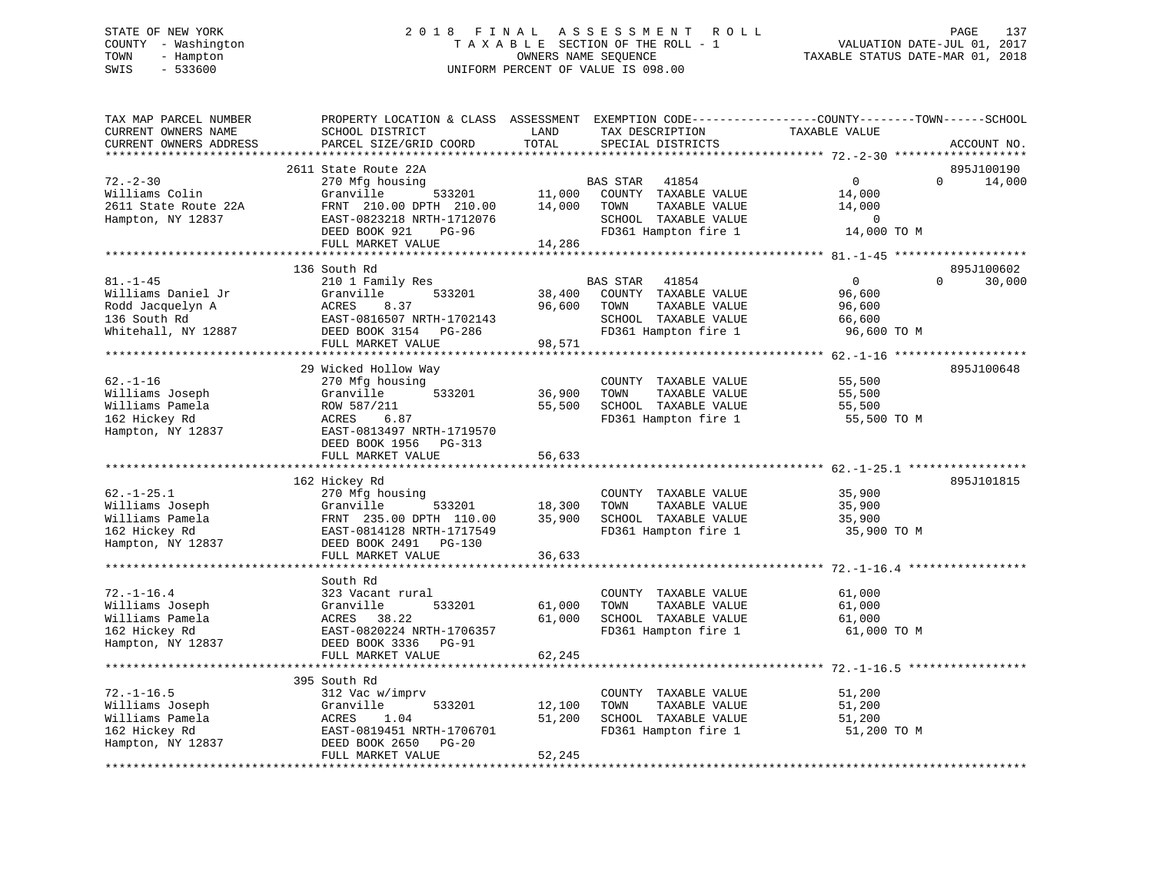# STATE OF NEW YORK 2 0 1 8 F I N A L A S S E S S M E N T R O L L PAGE 137 COUNTY - Washington T A X A B L E SECTION OF THE ROLL - 1 VALUATION DATE-JUL 01, 2017 TOWN - Hampton OWNERS NAME SEQUENCE TAXABLE STATUS DATE-MAR 01, 2018 SWIS - 533600 UNIFORM PERCENT OF VALUE IS 098.00

| TAX MAP PARCEL NUMBER<br>CURRENT OWNERS NAME<br>CURRENT OWNERS ADDRESS                          | PROPERTY LOCATION & CLASS ASSESSMENT<br>SCHOOL DISTRICT<br>PARCEL SIZE/GRID COORD                                                                | LAND<br>TOTAL    | EXEMPTION CODE-----------------COUNTY-------TOWN------SCHOOL<br>TAX DESCRIPTION<br>SPECIAL DISTRICTS               | TAXABLE VALUE                                                  |          | ACCOUNT NO.          |
|-------------------------------------------------------------------------------------------------|--------------------------------------------------------------------------------------------------------------------------------------------------|------------------|--------------------------------------------------------------------------------------------------------------------|----------------------------------------------------------------|----------|----------------------|
| *******************                                                                             |                                                                                                                                                  |                  |                                                                                                                    |                                                                |          |                      |
| $72. - 2 - 30$<br>Williams Colin<br>2611 State Route 22A<br>Hampton, NY 12837                   | 2611 State Route 22A<br>270 Mfg housing<br>Granville<br>533201<br>FRNT 210.00 DPTH 210.00<br>EAST-0823218 NRTH-1712076<br>DEED BOOK 921<br>PG-96 | 11,000<br>14,000 | BAS STAR<br>41854<br>COUNTY TAXABLE VALUE<br>TAXABLE VALUE<br>TOWN<br>SCHOOL TAXABLE VALUE<br>FD361 Hampton fire 1 | $\mathbf{0}$<br>14,000<br>14,000<br>$\mathbf 0$<br>14,000 TO M | $\Omega$ | 895J100190<br>14,000 |
|                                                                                                 | FULL MARKET VALUE                                                                                                                                | 14,286           |                                                                                                                    |                                                                |          |                      |
|                                                                                                 |                                                                                                                                                  |                  |                                                                                                                    |                                                                |          |                      |
|                                                                                                 | 136 South Rd                                                                                                                                     |                  |                                                                                                                    |                                                                |          | 895J100602           |
| $81. - 1 - 45$<br>Williams Daniel Jr<br>Rodd Jacquelyn A<br>136 South Rd<br>Whitehall, NY 12887 | 210 1 Family Res<br>Granville<br>533201<br>ACRES<br>8.37<br>EAST-0816507 NRTH-1702143<br>DEED BOOK 3154 PG-286                                   | 38,400<br>96,600 | BAS STAR<br>41854<br>COUNTY TAXABLE VALUE<br>TOWN<br>TAXABLE VALUE<br>SCHOOL TAXABLE VALUE<br>FD361 Hampton fire 1 | $\overline{0}$<br>96,600<br>96,600<br>66,600<br>96,600 TO M    | $\Omega$ | 30,000               |
|                                                                                                 | FULL MARKET VALUE                                                                                                                                | 98,571           |                                                                                                                    |                                                                |          |                      |
|                                                                                                 | 29 Wicked Hollow Way                                                                                                                             |                  |                                                                                                                    |                                                                |          | 895J100648           |
| $62. - 1 - 16$<br>Williams Joseph<br>Williams Pamela<br>162 Hickey Rd<br>Hampton, NY 12837      | 270 Mfg housing<br>Granville<br>533201<br>ROW 587/211<br>6.87<br>ACRES<br>EAST-0813497 NRTH-1719570<br>DEED BOOK 1956 PG-313                     | 36,900<br>55,500 | COUNTY TAXABLE VALUE<br>TOWN<br>TAXABLE VALUE<br>SCHOOL TAXABLE VALUE<br>FD361 Hampton fire 1                      | 55,500<br>55,500<br>55,500<br>55,500 TO M                      |          |                      |
|                                                                                                 | FULL MARKET VALUE                                                                                                                                | 56,633           |                                                                                                                    |                                                                |          |                      |
|                                                                                                 |                                                                                                                                                  |                  |                                                                                                                    |                                                                |          |                      |
| $62. -1 - 25.1$<br>Williams Joseph<br>Williams Pamela<br>162 Hickey Rd<br>Hampton, NY 12837     | 162 Hickey Rd<br>270 Mfg housing<br>Granville<br>533201<br>FRNT 235.00 DPTH 110.00<br>EAST-0814128 NRTH-1717549<br>DEED BOOK 2491 PG-130         | 18,300<br>35,900 | COUNTY TAXABLE VALUE<br>TAXABLE VALUE<br>TOWN<br>SCHOOL TAXABLE VALUE<br>FD361 Hampton fire 1                      | 35,900<br>35,900<br>35,900<br>35,900 TO M                      |          | 895J101815           |
|                                                                                                 | FULL MARKET VALUE<br>*****************************                                                                                               | 36,633           |                                                                                                                    |                                                                |          |                      |
| $72. - 1 - 16.4$<br>Williams Joseph<br>Williams Pamela<br>162 Hickey Rd                         | South Rd<br>323 Vacant rural<br>533201<br>Granville<br>38.22<br>ACRES<br>EAST-0820224 NRTH-1706357                                               | 61,000<br>61,000 | COUNTY TAXABLE VALUE<br>TOWN<br>TAXABLE VALUE<br>SCHOOL TAXABLE VALUE<br>FD361 Hampton fire 1                      | 61,000<br>61,000<br>61,000<br>61,000 TO M                      |          |                      |
| Hampton, NY 12837                                                                               | DEED BOOK 3336<br>$PG-91$                                                                                                                        |                  |                                                                                                                    |                                                                |          |                      |
|                                                                                                 | FULL MARKET VALUE                                                                                                                                | 62,245           |                                                                                                                    |                                                                |          |                      |
|                                                                                                 | *************************                                                                                                                        |                  |                                                                                                                    |                                                                |          |                      |
|                                                                                                 | 395 South Rd                                                                                                                                     |                  |                                                                                                                    |                                                                |          |                      |
| $72. - 1 - 16.5$<br>Williams Joseph<br>Williams Pamela                                          | 312 Vac w/imprv<br>533201<br>Granville<br>1.04<br>ACRES                                                                                          | 12,100<br>51,200 | COUNTY TAXABLE VALUE<br>TAXABLE VALUE<br>TOWN<br>SCHOOL TAXABLE VALUE                                              | 51,200<br>51,200<br>51,200                                     |          |                      |
| 162 Hickey Rd                                                                                   | EAST-0819451 NRTH-1706701                                                                                                                        |                  | FD361 Hampton fire 1                                                                                               | 51,200 TO M                                                    |          |                      |
| Hampton, NY 12837                                                                               | DEED BOOK 2650<br>$PG-20$<br>FULL MARKET VALUE                                                                                                   | 52,245           |                                                                                                                    |                                                                |          |                      |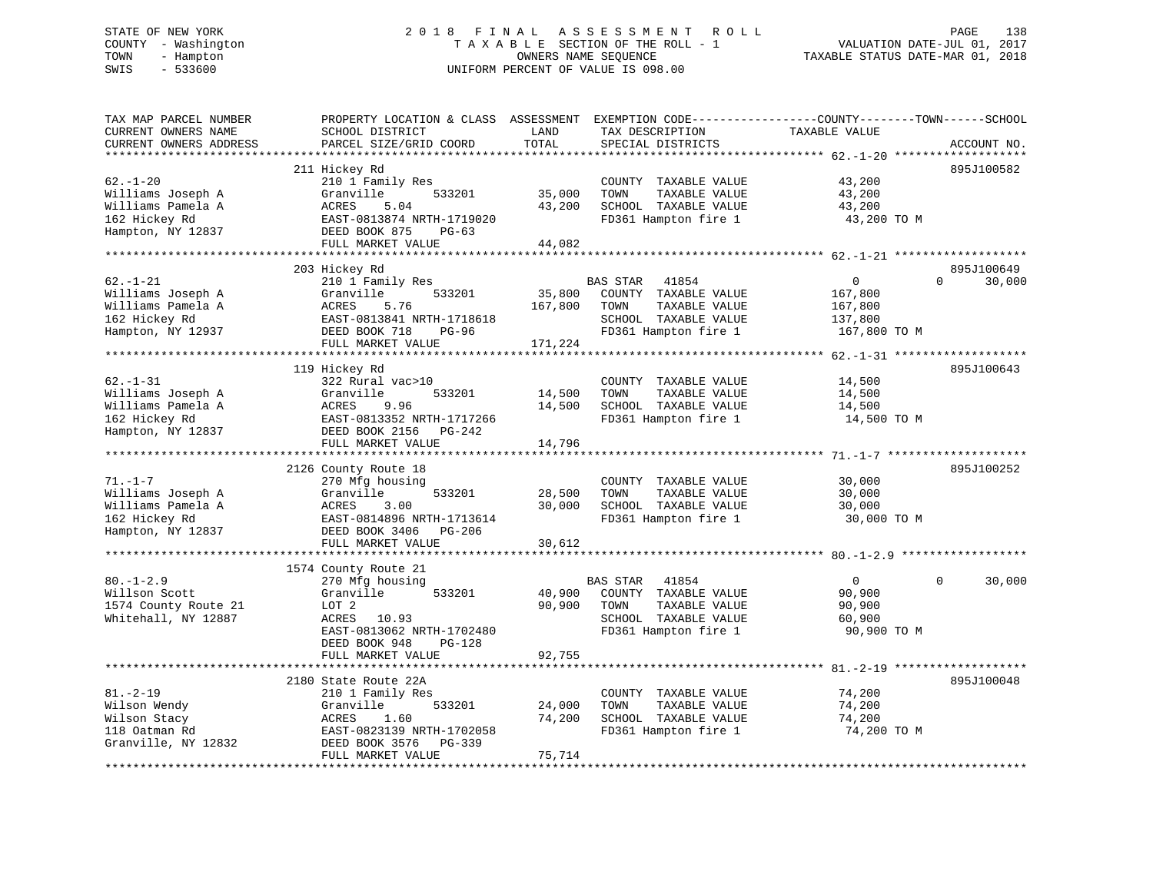# STATE OF NEW YORK 2 0 1 8 F I N A L A S S E S S M E N T R O L L PAGE 138 COUNTY - Washington T A X A B L E SECTION OF THE ROLL - 1 VALUATION DATE-JUL 01, 2017 TOWN - Hampton OWNERS NAME SEQUENCE TAXABLE STATUS DATE-MAR 01, 2018 SWIS - 533600 UNIFORM PERCENT OF VALUE IS 098.00

| TOTAL<br>PARCEL SIZE/GRID COORD<br>CURRENT OWNERS ADDRESS<br>SPECIAL DISTRICTS                                                                                                                                                                                                                                                                                                                                                                              | ACCOUNT NO.          |
|-------------------------------------------------------------------------------------------------------------------------------------------------------------------------------------------------------------------------------------------------------------------------------------------------------------------------------------------------------------------------------------------------------------------------------------------------------------|----------------------|
| ******************<br>211 Hickey Rd<br>$62. - 1 - 20$<br>210 1 Family Res<br>43,200<br>COUNTY TAXABLE VALUE<br>35,000<br>Williams Joseph A<br>Granville<br>533201<br>TOWN<br>TAXABLE VALUE<br>43,200<br>ACRES<br>43,200<br>SCHOOL TAXABLE VALUE<br>Williams Pamela A<br>5.04<br>43,200<br>162 Hickey Rd<br>EAST-0813874 NRTH-1719020<br>FD361 Hampton fire 1<br>43,200 TO M<br>Hampton, NY 12837<br>DEED BOOK 875<br>$PG-63$<br>FULL MARKET VALUE<br>44,082 | 895J100582           |
| 203 Hickey Rd<br>$62. - 1 - 21$<br>210 1 Family Res<br>$\mathbf{0}$<br>$\Omega$<br>BAS STAR<br>41854<br>533201<br>35,800<br>COUNTY TAXABLE VALUE<br>Williams Joseph A<br>Granville<br>167,800<br>Williams Pamela A<br>ACRES<br>5.76<br>167,800<br>TOWN<br>TAXABLE VALUE<br>167,800<br>162 Hickey Rd<br>EAST-0813841 NRTH-1718618<br>SCHOOL TAXABLE VALUE<br>137,800<br>FD361 Hampton fire 1<br>Hampton, NY 12937<br>DEED BOOK 718<br>PG-96<br>167,800 TO M  | 895J100649<br>30,000 |
| 171,224<br>FULL MARKET VALUE                                                                                                                                                                                                                                                                                                                                                                                                                                |                      |
| 119 Hickey Rd<br>$62. - 1 - 31$<br>322 Rural vac>10<br>COUNTY TAXABLE VALUE<br>14,500<br>Williams Joseph A<br>533201<br>14,500<br>TOWN<br>TAXABLE VALUE<br>14,500<br>Granville<br>Williams Pamela A<br>14,500<br>SCHOOL TAXABLE VALUE<br>ACRES<br>9.96<br>14,500                                                                                                                                                                                            | 895J100643           |
| 162 Hickey Rd<br>EAST-0813352 NRTH-1717266<br>FD361 Hampton fire 1<br>14,500 TO M<br>Hampton, NY 12837<br>DEED BOOK 2156<br>PG-242<br>FULL MARKET VALUE<br>14,796                                                                                                                                                                                                                                                                                           |                      |
| 2126 County Route 18<br>$71. - 1 - 7$<br>270 Mfg housing<br>COUNTY TAXABLE VALUE<br>30,000<br>Williams Joseph A<br>Granville<br>533201<br>28,500<br>TOWN<br>TAXABLE VALUE<br>30,000<br>Williams Pamela A<br>3.00<br>30,000<br>SCHOOL TAXABLE VALUE<br>ACRES<br>30,000<br>162 Hickey Rd<br>EAST-0814896 NRTH-1713614<br>FD361 Hampton fire 1<br>30,000 TO M<br>Hampton, NY 12837<br>DEED BOOK 3406<br>PG-206                                                 | 895J100252           |
| FULL MARKET VALUE<br>30,612                                                                                                                                                                                                                                                                                                                                                                                                                                 |                      |
| 1574 County Route 21<br>$80. - 1 - 2.9$<br>270 Mfg housing<br><b>BAS STAR</b><br>41854<br>$\mathbf{0}$<br>$\Omega$<br>Willson Scott<br>Granville<br>40,900<br>COUNTY TAXABLE VALUE<br>90,900<br>533201<br>1574 County Route 21<br>LOT 2<br>90,900<br>TOWN<br>TAXABLE VALUE<br>90,900<br>Whitehall, NY 12887<br>ACRES<br>10.93<br>SCHOOL TAXABLE VALUE<br>60,900                                                                                             | 30,000               |
| EAST-0813062 NRTH-1702480<br>FD361 Hampton fire 1<br>90,900 TO M<br>DEED BOOK 948<br>PG-128<br>92,755<br>FULL MARKET VALUE<br>********************************                                                                                                                                                                                                                                                                                              |                      |
| 2180 State Route 22A<br>$81. - 2 - 19$<br>74,200<br>210 1 Family Res<br>COUNTY TAXABLE VALUE<br>Wilson Wendy<br>Granville<br>533201<br>24,000<br>TOWN<br>TAXABLE VALUE<br>74,200<br>Wilson Stacy<br>ACRES<br>1.60<br>74,200<br>SCHOOL TAXABLE VALUE<br>74,200<br>FD361 Hampton fire 1<br>118 Oatman Rd<br>EAST-0823139 NRTH-1702058<br>74,200 TO M<br>Granville, NY 12832<br>DEED BOOK 3576<br>PG-339<br>75,714<br>FULL MARKET VALUE                        | 895J100048           |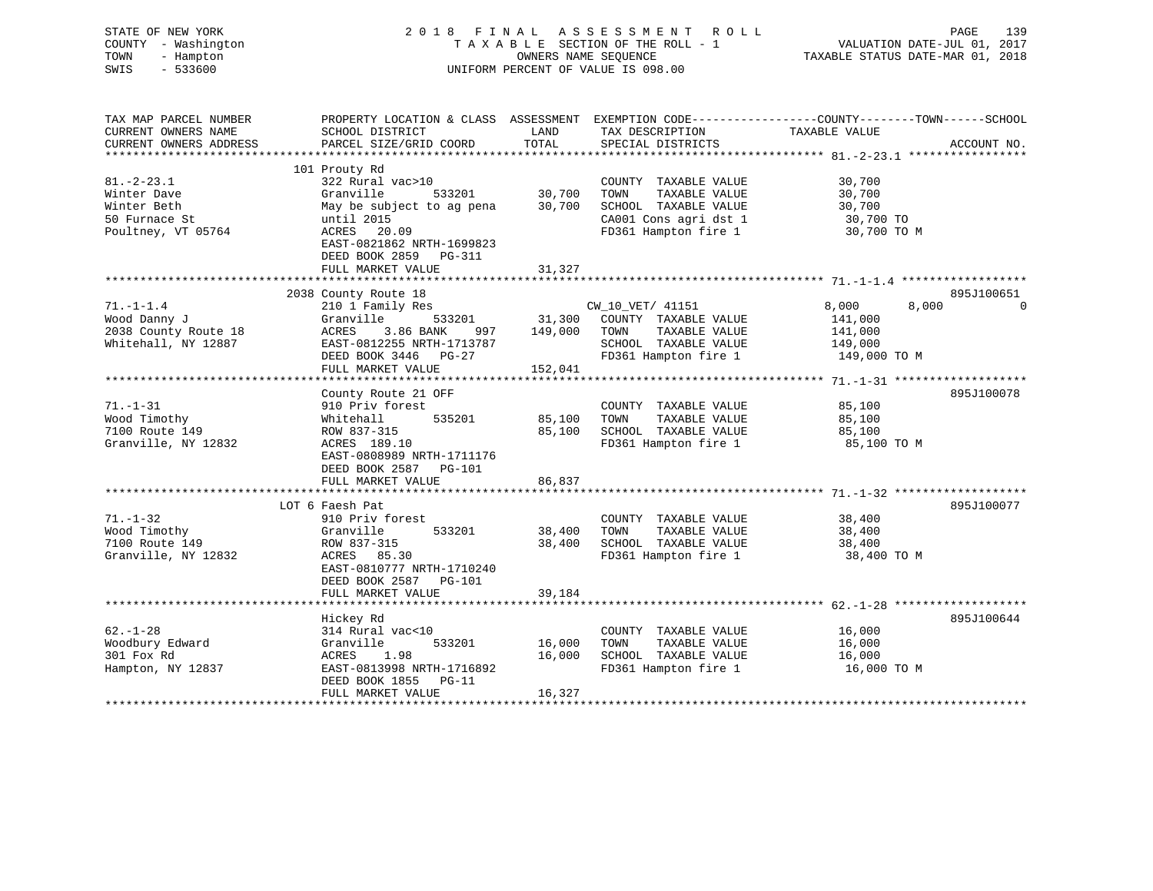| STATE OF NEW YORK<br>COUNTY - Washington<br>TOWN<br>- Hampton<br>$-533600$<br>SWIS | 2 0 1 8<br>A S S E S S M E N T<br>FINAL<br>R O L L<br>TAXABLE SECTION OF THE ROLL - 1<br>OWNERS NAME SEQUENCE<br>UNIFORM PERCENT OF VALUE IS 098.00 |               |                                               | PAGE<br>VALUATION DATE-JUL 01, 2017<br>TAXABLE STATUS DATE-MAR 01, 2018 |                  |  |
|------------------------------------------------------------------------------------|-----------------------------------------------------------------------------------------------------------------------------------------------------|---------------|-----------------------------------------------|-------------------------------------------------------------------------|------------------|--|
| TAX MAP PARCEL NUMBER                                                              | PROPERTY LOCATION & CLASS ASSESSMENT EXEMPTION CODE----------------COUNTY-------TOWN------SCHOOL                                                    |               |                                               |                                                                         |                  |  |
| CURRENT OWNERS NAME<br>CURRENT OWNERS ADDRESS                                      | SCHOOL DISTRICT<br>PARCEL SIZE/GRID COORD                                                                                                           | LAND<br>TOTAL | TAX DESCRIPTION<br>SPECIAL DISTRICTS          | TAXABLE VALUE                                                           | ACCOUNT NO.      |  |
|                                                                                    |                                                                                                                                                     |               |                                               |                                                                         |                  |  |
|                                                                                    | 101 Prouty Rd                                                                                                                                       |               |                                               |                                                                         |                  |  |
| $81.-2-23.1$                                                                       | 322 Rural vac>10                                                                                                                                    |               | COUNTY TAXABLE VALUE                          | 30,700                                                                  |                  |  |
| Winter Dave                                                                        | Granville<br>533201                                                                                                                                 | 30,700        | TOWN<br>TAXABLE VALUE                         | 30,700                                                                  |                  |  |
| Winter Beth                                                                        | May be subject to ag pena                                                                                                                           | 30,700        | SCHOOL TAXABLE VALUE                          | 30,700                                                                  |                  |  |
| 50 Furnace St                                                                      | until 2015                                                                                                                                          |               | CA001 Cons agri dst 1                         | 30,700 TO                                                               |                  |  |
| Poultney, VT 05764                                                                 | ACRES<br>20.09                                                                                                                                      |               | FD361 Hampton fire 1                          | 30,700 TO M                                                             |                  |  |
|                                                                                    | EAST-0821862 NRTH-1699823                                                                                                                           |               |                                               |                                                                         |                  |  |
|                                                                                    | DEED BOOK 2859 PG-311                                                                                                                               |               |                                               |                                                                         |                  |  |
|                                                                                    | FULL MARKET VALUE                                                                                                                                   | 31,327        |                                               |                                                                         |                  |  |
|                                                                                    |                                                                                                                                                     |               |                                               |                                                                         |                  |  |
|                                                                                    | 2038 County Route 18                                                                                                                                |               |                                               |                                                                         | 895J100651       |  |
| $71. - 1 - 1.4$                                                                    | 210 1 Family Res                                                                                                                                    |               | CW_10_VET/ 41151                              | 8,000                                                                   | 8,000<br>$\circ$ |  |
| Wood Danny J                                                                       | Granville<br>533201                                                                                                                                 | 31,300        | COUNTY TAXABLE VALUE                          | 141,000                                                                 |                  |  |
| 2038 County Route 18                                                               | ACRES<br>3.86 BANK<br>997                                                                                                                           | 149,000       | TOWN<br>TAXABLE VALUE                         | 141,000                                                                 |                  |  |
| Whitehall, NY 12887                                                                | EAST-0812255 NRTH-1713787                                                                                                                           |               | SCHOOL TAXABLE VALUE                          | 149,000                                                                 |                  |  |
|                                                                                    | DEED BOOK 3446 PG-27                                                                                                                                |               | FD361 Hampton fire 1                          | 149,000 TO M                                                            |                  |  |
|                                                                                    | FULL MARKET VALUE                                                                                                                                   | 152,041       |                                               |                                                                         |                  |  |
|                                                                                    |                                                                                                                                                     |               |                                               |                                                                         | 895J100078       |  |
| $71. - 1 - 31$                                                                     | County Route 21 OFF                                                                                                                                 |               |                                               |                                                                         |                  |  |
| Wood Timothy                                                                       | 910 Priv forest<br>535201<br>Whitehall                                                                                                              | 85,100        | COUNTY TAXABLE VALUE<br>TAXABLE VALUE<br>TOWN | 85,100<br>85,100                                                        |                  |  |
| 7100 Route 149                                                                     | ROW 837-315                                                                                                                                         | 85,100        | SCHOOL TAXABLE VALUE                          | 85,100                                                                  |                  |  |
| Granville, NY 12832                                                                | ACRES 189.10                                                                                                                                        |               | FD361 Hampton fire 1                          | 85,100 TO M                                                             |                  |  |
|                                                                                    | EAST-0808989 NRTH-1711176                                                                                                                           |               |                                               |                                                                         |                  |  |
|                                                                                    | DEED BOOK 2587 PG-101                                                                                                                               |               |                                               |                                                                         |                  |  |
|                                                                                    | FULL MARKET VALUE                                                                                                                                   | 86,837        |                                               |                                                                         |                  |  |
|                                                                                    |                                                                                                                                                     |               |                                               |                                                                         |                  |  |
|                                                                                    | LOT 6 Faesh Pat                                                                                                                                     |               |                                               |                                                                         | 895J100077       |  |
| $71. - 1 - 32$                                                                     | 910 Priv forest                                                                                                                                     |               | COUNTY TAXABLE VALUE                          | 38,400                                                                  |                  |  |
| Wood Timothy                                                                       | Granville<br>533201                                                                                                                                 | 38,400        | TAXABLE VALUE<br>TOWN                         | 38,400                                                                  |                  |  |
| 7100 Route 149                                                                     | ROW 837-315                                                                                                                                         | 38,400        | SCHOOL TAXABLE VALUE                          | 38,400                                                                  |                  |  |
| Granville, NY 12832                                                                | ACRES 85.30                                                                                                                                         |               | FD361 Hampton fire 1                          | 38,400 TO M                                                             |                  |  |
|                                                                                    | EAST-0810777 NRTH-1710240                                                                                                                           |               |                                               |                                                                         |                  |  |
|                                                                                    | DEED BOOK 2587 PG-101                                                                                                                               |               |                                               |                                                                         |                  |  |
|                                                                                    | FULL MARKET VALUE                                                                                                                                   | 39,184        |                                               |                                                                         |                  |  |
|                                                                                    | *******************                                                                                                                                 |               |                                               |                                                                         |                  |  |
|                                                                                    | Hickey Rd                                                                                                                                           |               |                                               |                                                                         | 895J100644       |  |
| $62. - 1 - 28$                                                                     | 314 Rural vac<10                                                                                                                                    |               | COUNTY TAXABLE VALUE                          | 16,000                                                                  |                  |  |
| Woodbury Edward                                                                    | 533201<br>Granville                                                                                                                                 | 16,000        | TOWN<br>TAXABLE VALUE                         | 16,000                                                                  |                  |  |
| 301 Fox Rd                                                                         | ACRES<br>1.98                                                                                                                                       | 16,000        | SCHOOL TAXABLE VALUE                          | 16,000                                                                  |                  |  |
| Hampton, NY 12837                                                                  | EAST-0813998 NRTH-1716892                                                                                                                           |               | FD361 Hampton fire 1                          | 16,000 TO M                                                             |                  |  |
|                                                                                    | DEED BOOK 1855<br>$PG-11$                                                                                                                           |               |                                               |                                                                         |                  |  |
|                                                                                    | FULL MARKET VALUE                                                                                                                                   | 16,327        |                                               |                                                                         |                  |  |
|                                                                                    |                                                                                                                                                     |               |                                               |                                                                         |                  |  |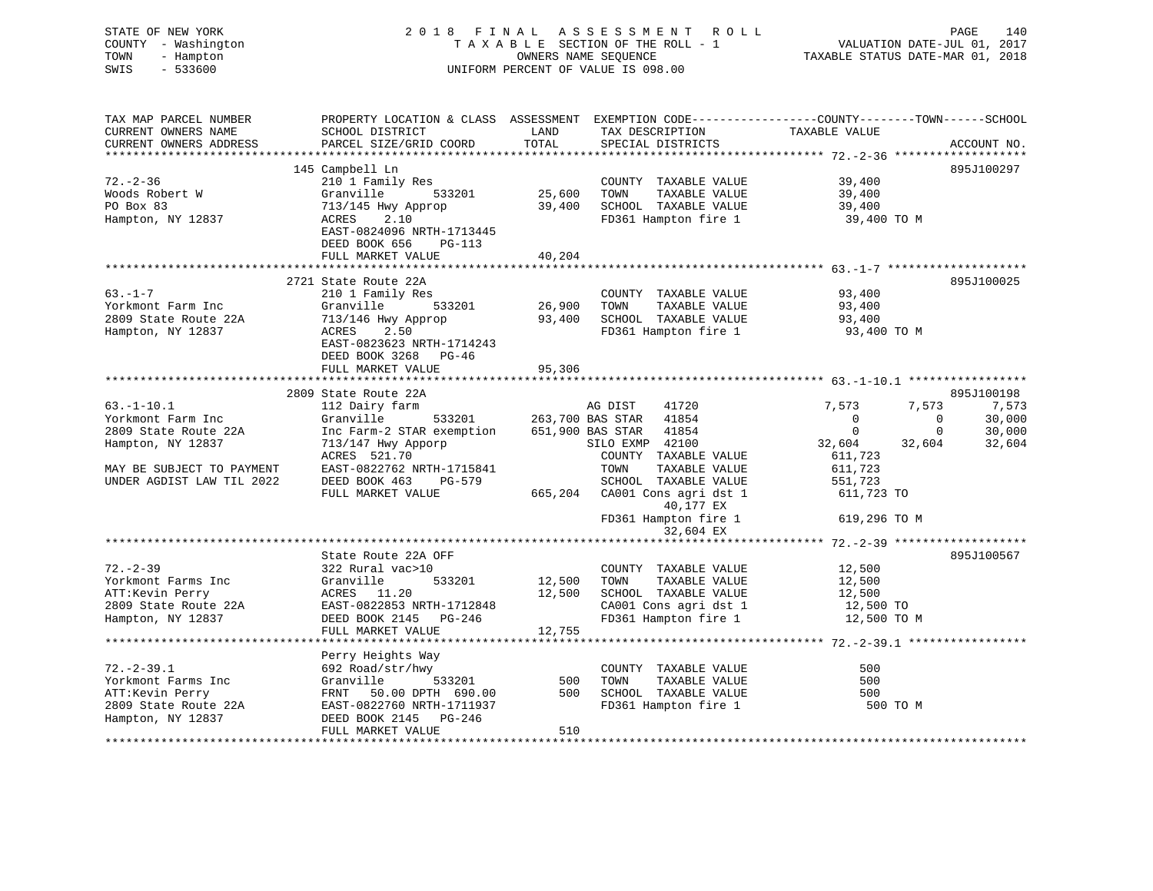| STATE OF NEW YORK<br>COUNTY - Washington<br>TOWN<br>- Hampton<br>SWIS<br>$-533600$                                                                                                                                                     | UNIFORM PERCENT OF VALUE IS 098.00                                                                                                                                                                                                         | 2018 FINAL ASSESSMENT ROLL PAGE 140<br>TAXABLE SECTION OF THE ROLL - 1 VALUATION DATE-JUL 01, 2017<br>OWNERS NAME SEQUENCE TAXABLE STATUS DATE-MAR 01, 2018 |                                                                                                                             |                                 |                                         |
|----------------------------------------------------------------------------------------------------------------------------------------------------------------------------------------------------------------------------------------|--------------------------------------------------------------------------------------------------------------------------------------------------------------------------------------------------------------------------------------------|-------------------------------------------------------------------------------------------------------------------------------------------------------------|-----------------------------------------------------------------------------------------------------------------------------|---------------------------------|-----------------------------------------|
| TAX MAP PARCEL NUMBER                                                                                                                                                                                                                  | PROPERTY LOCATION & CLASS ASSESSMENT EXEMPTION CODE----------------COUNTY-------TOWN------SCHOOL                                                                                                                                           |                                                                                                                                                             |                                                                                                                             |                                 |                                         |
| CURRENT OWNERS NAME<br>CURRENT OWNERS ADDRESS                                                                                                                                                                                          | SCHOOL DISTRICT LAND<br>PARCEL SIZE/GRID COORD                                                                                                                                                                                             | TOTAL                                                                                                                                                       | TAX DESCRIPTION TAXABLE VALUE<br>SPECIAL DISTRICTS                                                                          |                                 | ACCOUNT NO.                             |
|                                                                                                                                                                                                                                        | 145 Campbell Ln                                                                                                                                                                                                                            |                                                                                                                                                             |                                                                                                                             |                                 | 895J100297                              |
| $72. - 2 - 36$                                                                                                                                                                                                                         |                                                                                                                                                                                                                                            |                                                                                                                                                             |                                                                                                                             |                                 |                                         |
|                                                                                                                                                                                                                                        |                                                                                                                                                                                                                                            |                                                                                                                                                             |                                                                                                                             |                                 |                                         |
| Woods Robert W<br>PO Box 83                                                                                                                                                                                                            |                                                                                                                                                                                                                                            |                                                                                                                                                             |                                                                                                                             |                                 |                                         |
| Hampton, NY 12837                                                                                                                                                                                                                      | 210 1 Family Res<br>210 1 Family Res<br>Granville 533201 25,600 TOWN TAXABLE VALUE<br>713/145 Hwy Approp 39,400 SCHOOL TAXABLE VALUE<br>ACRES 2.10 2.10 FD361 Hampton fire 1<br>EAST-0824096 NRTH-1713445<br>DEED BOOK 656 PG-113          |                                                                                                                                                             | COUNTY TAXABLE VALUE 39,400<br>TOWN TAXABLE VALUE 39,400<br>SCHOOL TAXABLE VALUE 39,400<br>FD361 Hampton fire 1 39,400 TO M |                                 |                                         |
|                                                                                                                                                                                                                                        | FULL MARKET VALUE                                                                                                                                                                                                                          | 40,204                                                                                                                                                      |                                                                                                                             |                                 |                                         |
|                                                                                                                                                                                                                                        |                                                                                                                                                                                                                                            |                                                                                                                                                             |                                                                                                                             |                                 |                                         |
|                                                                                                                                                                                                                                        | 2721 State Route 22A<br>210 1 Family Res<br>26,900 TOWN TAXABLE VALUE<br>313/146 Hwy Approp<br>26,900 TOWN TAXABLE VALUE<br>713/146 Hwy Approp<br>2.50 PD361 Hampton fire 1                                                                |                                                                                                                                                             |                                                                                                                             |                                 | 895J100025                              |
| $63 - 1 - 7$                                                                                                                                                                                                                           |                                                                                                                                                                                                                                            |                                                                                                                                                             |                                                                                                                             | 93,400                          |                                         |
| Yorkmont Farm Inc                                                                                                                                                                                                                      |                                                                                                                                                                                                                                            |                                                                                                                                                             | TAXABLE VALUE                                                                                                               | 93,400<br>93,400<br>93,400 TO M |                                         |
| 2809 State Route 22A                                                                                                                                                                                                                   |                                                                                                                                                                                                                                            |                                                                                                                                                             |                                                                                                                             |                                 |                                         |
| Hampton, NY 12837                                                                                                                                                                                                                      | EAST-0823623 NRTH-1714243<br>DEED BOOK 3268 PG-46                                                                                                                                                                                          |                                                                                                                                                             | FD361 Hampton fire 1                                                                                                        |                                 |                                         |
|                                                                                                                                                                                                                                        | FULL MARKET VALUE                                                                                                                                                                                                                          | 95,306                                                                                                                                                      |                                                                                                                             |                                 |                                         |
|                                                                                                                                                                                                                                        | 2809 State Route 22A                                                                                                                                                                                                                       |                                                                                                                                                             |                                                                                                                             |                                 | 895J100198                              |
| $63.-1-10.1$                                                                                                                                                                                                                           | MAG DIST 41720<br>112 Dairy farm<br>Granville 533201 263,700 BAS STAR 41854<br>Inc Farm-2 STAR exemption 651,900 BAS STAR 41854<br>713/147 Hwy Apporp 51,900 BAS STAR 41854<br>713/147 Hwy Apporp 51.00 COUNTY TAXABLE VALUE<br>RACES 521. |                                                                                                                                                             |                                                                                                                             | 7,573<br>7,573                  | 7,573                                   |
| Yorkmont Farm Inc                                                                                                                                                                                                                      |                                                                                                                                                                                                                                            |                                                                                                                                                             |                                                                                                                             | $\overline{0}$                  |                                         |
| 2809 State Route 22A                                                                                                                                                                                                                   |                                                                                                                                                                                                                                            |                                                                                                                                                             |                                                                                                                             | $\overline{0}$                  | $0$ 30,000<br>0 30,000<br>32,604 32,604 |
| Hampton, NY 12837                                                                                                                                                                                                                      |                                                                                                                                                                                                                                            |                                                                                                                                                             |                                                                                                                             | 32,604                          |                                         |
|                                                                                                                                                                                                                                        |                                                                                                                                                                                                                                            |                                                                                                                                                             |                                                                                                                             | 611,723                         |                                         |
| MAY BE SUBJECT TO PAYMENT                                                                                                                                                                                                              | EAST-0822762 NRTH-1715841                                                                                                                                                                                                                  |                                                                                                                                                             | TOWN<br>TAXABLE VALUE                                                                                                       | 611,723                         |                                         |
| UNDER AGDIST LAW TIL 2022                                                                                                                                                                                                              | DEED BOOK 463 PG-579 SCHOOL TAXABLE VALUE                                                                                                                                                                                                  |                                                                                                                                                             |                                                                                                                             | 551,723                         |                                         |
|                                                                                                                                                                                                                                        | FULL MARKET VALUE                                                                                                                                                                                                                          |                                                                                                                                                             | $665,204$ CA001 Cons agri dst 1                                                                                             | 611,723 TO                      |                                         |
|                                                                                                                                                                                                                                        |                                                                                                                                                                                                                                            |                                                                                                                                                             | 40,177 EX                                                                                                                   |                                 |                                         |
|                                                                                                                                                                                                                                        |                                                                                                                                                                                                                                            |                                                                                                                                                             | FD361 Hampton fire 1 619,296 TO M                                                                                           |                                 |                                         |
|                                                                                                                                                                                                                                        |                                                                                                                                                                                                                                            |                                                                                                                                                             | 32,604 EX                                                                                                                   |                                 |                                         |
|                                                                                                                                                                                                                                        |                                                                                                                                                                                                                                            |                                                                                                                                                             |                                                                                                                             |                                 |                                         |
| 32. -2-39<br>Yorkmont Farms Inc 322 Rural vac>10<br>ATT:Kevin Perry Granville (22A CFF 12,500 TOWN TAXABLE VALUE 12,500<br>ATT:Kevin Perry ACRES 11.20<br>2809 State Route 22A EAST-0822853 NRTH-1712848 12,500 SCHOOL TAXABLE VALUE 1 | State Route 22A OFF<br>322 Pural vacalO                                                                                                                                                                                                    |                                                                                                                                                             |                                                                                                                             |                                 | 895J100567                              |
|                                                                                                                                                                                                                                        |                                                                                                                                                                                                                                            |                                                                                                                                                             |                                                                                                                             |                                 |                                         |
|                                                                                                                                                                                                                                        |                                                                                                                                                                                                                                            |                                                                                                                                                             |                                                                                                                             |                                 |                                         |
|                                                                                                                                                                                                                                        |                                                                                                                                                                                                                                            |                                                                                                                                                             |                                                                                                                             |                                 |                                         |
|                                                                                                                                                                                                                                        |                                                                                                                                                                                                                                            |                                                                                                                                                             |                                                                                                                             |                                 |                                         |
|                                                                                                                                                                                                                                        | FULL MARKET VALUE 12,755                                                                                                                                                                                                                   |                                                                                                                                                             |                                                                                                                             |                                 |                                         |
|                                                                                                                                                                                                                                        |                                                                                                                                                                                                                                            |                                                                                                                                                             |                                                                                                                             |                                 |                                         |
|                                                                                                                                                                                                                                        | Perry Heights Way                                                                                                                                                                                                                          |                                                                                                                                                             |                                                                                                                             |                                 |                                         |
|                                                                                                                                                                                                                                        |                                                                                                                                                                                                                                            |                                                                                                                                                             |                                                                                                                             | 500                             |                                         |
|                                                                                                                                                                                                                                        |                                                                                                                                                                                                                                            |                                                                                                                                                             |                                                                                                                             | 500                             |                                         |
|                                                                                                                                                                                                                                        |                                                                                                                                                                                                                                            |                                                                                                                                                             |                                                                                                                             | 500                             |                                         |
|                                                                                                                                                                                                                                        |                                                                                                                                                                                                                                            |                                                                                                                                                             |                                                                                                                             | 500 TO M                        |                                         |
| 72.-2-39.1 692 Road/str/hwy COUNTY TAXABLE VALUE<br>Yorkmont Farms Inc Granville 533201 500 TOWN TAXABLE VALUE<br>ATT:Kevin Perry FRNT 50.00 DPTH 690.00 500 SCHOOL TAXABLE VALUE<br>2809 State Route 22A EAST-0822760 NRTH-1711937    | FULL MARKET VALUE                                                                                                                                                                                                                          | 510                                                                                                                                                         |                                                                                                                             |                                 |                                         |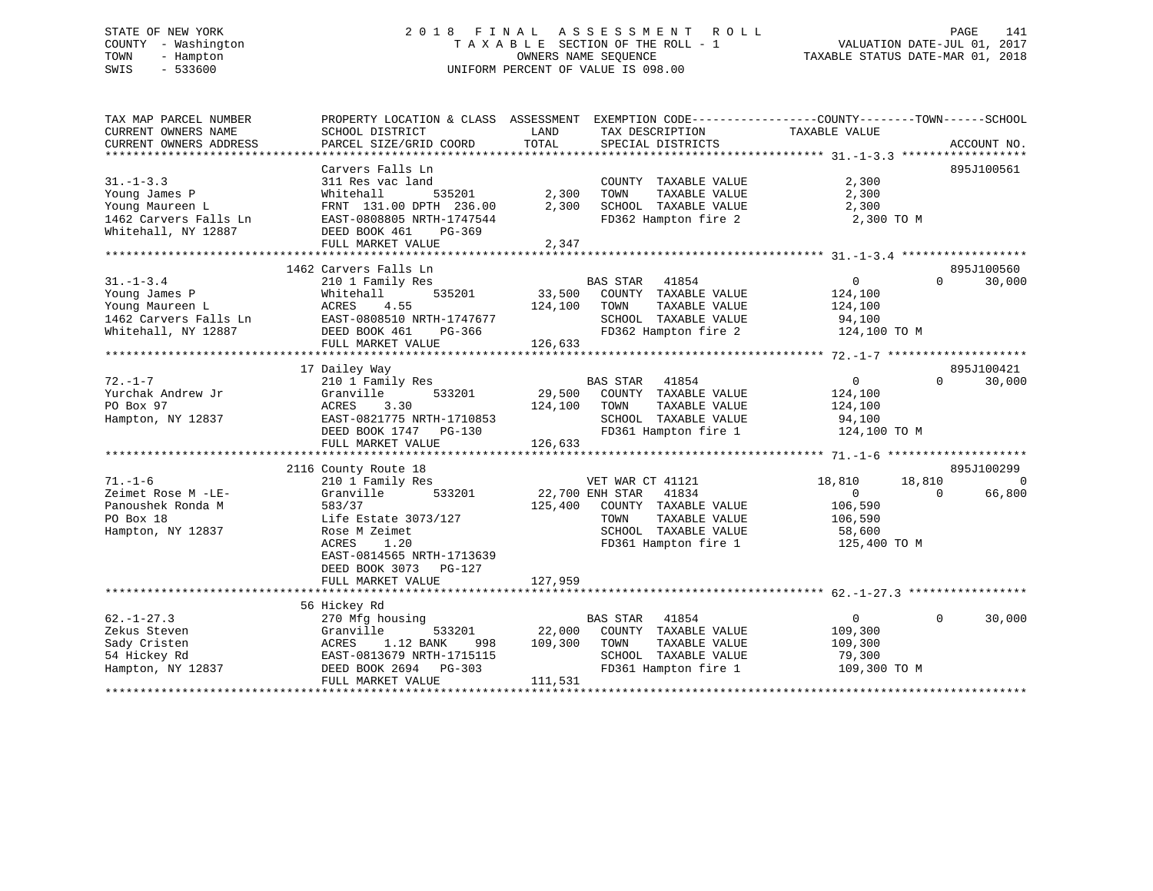# STATE OF NEW YORK 2 0 1 8 F I N A L A S S E S S M E N T R O L L PAGE 141 COUNTY - Washington T A X A B L E SECTION OF THE ROLL - 1 VALUATION DATE-JUL 01, 2017 TOWN - Hampton OWNERS NAME SEQUENCE TAXABLE STATUS DATE-MAR 01, 2018 SWIS - 533600 UNIFORM PERCENT OF VALUE IS 098.00

| TAX MAP PARCEL NUMBER<br>CURRENT OWNERS NAME | PROPERTY LOCATION & CLASS ASSESSMENT<br>SCHOOL DISTRICT | LAND<br>TAX DESCRIPTION          | EXEMPTION CODE-----------------COUNTY-------TOWN------SCHOOL<br>TAXABLE VALUE |
|----------------------------------------------|---------------------------------------------------------|----------------------------------|-------------------------------------------------------------------------------|
| CURRENT OWNERS ADDRESS                       | PARCEL SIZE/GRID COORD                                  | TOTAL<br>SPECIAL DISTRICTS       | ACCOUNT NO.                                                                   |
|                                              |                                                         |                                  |                                                                               |
|                                              | Carvers Falls Ln                                        |                                  | 895J100561                                                                    |
| $31. - 1 - 3.3$                              | 311 Res vac land                                        | COUNTY TAXABLE VALUE             | 2,300                                                                         |
| Young James P                                | 535201<br>Whitehall                                     | 2,300<br>TAXABLE VALUE<br>TOWN   | 2,300                                                                         |
| Young Maureen L                              | FRNT 131.00 DPTH 236.00                                 | 2,300<br>SCHOOL TAXABLE VALUE    | 2,300                                                                         |
| 1462 Carvers Falls Ln                        | EAST-0808805 NRTH-1747544                               | FD362 Hampton fire 2             | 2,300 TO M                                                                    |
| Whitehall, NY 12887                          | DEED BOOK 461<br>PG-369                                 |                                  |                                                                               |
|                                              | FULL MARKET VALUE                                       | 2,347                            |                                                                               |
|                                              |                                                         |                                  |                                                                               |
|                                              | 1462 Carvers Falls Ln                                   |                                  | 895J100560                                                                    |
| $31. - 1 - 3.4$                              | 210 1 Family Res                                        | BAS STAR<br>41854                | $\overline{0}$<br>$\Omega$<br>30,000                                          |
| Young James P                                | Whitehall<br>535201                                     | 33,500<br>COUNTY TAXABLE VALUE   | 124,100                                                                       |
| Young Maureen L                              | ACRES<br>4.55                                           | 124,100<br>TOWN<br>TAXABLE VALUE | 124,100                                                                       |
| 1462 Carvers Falls Ln                        | EAST-0808510 NRTH-1747677                               | SCHOOL TAXABLE VALUE             | 94,100                                                                        |
| Whitehall, NY 12887                          | DEED BOOK 461<br>PG-366                                 | FD362 Hampton fire 2             | 124,100 TO M                                                                  |
|                                              | FULL MARKET VALUE                                       | 126,633                          |                                                                               |
|                                              |                                                         |                                  |                                                                               |
|                                              | 17 Dailey Way                                           |                                  | 895J100421                                                                    |
| $72. - 1 - 7$                                | 210 1 Family Res                                        | BAS STAR<br>41854                | $\overline{0}$<br>$\Omega$<br>30,000                                          |
| Yurchak Andrew Jr                            | Granville<br>533201                                     | 29,500<br>COUNTY TAXABLE VALUE   | 124,100                                                                       |
| PO Box 97                                    | <b>ACRES</b><br>3.30                                    | 124,100<br>TAXABLE VALUE<br>TOWN | 124,100                                                                       |
| Hampton, NY 12837                            | EAST-0821775 NRTH-1710853                               | SCHOOL TAXABLE VALUE             | 94,100                                                                        |
|                                              | DEED BOOK 1747 PG-130                                   | FD361 Hampton fire 1             | 124,100 TO M                                                                  |
|                                              | FULL MARKET VALUE                                       | 126,633                          |                                                                               |
|                                              |                                                         |                                  |                                                                               |
|                                              | 2116 County Route 18                                    |                                  | 895J100299                                                                    |
| $71. - 1 - 6$                                | 210 1 Family Res                                        | VET WAR CT 41121                 | 18,810<br>18,810<br>0                                                         |
| Zeimet Rose M -LE-                           | 533201<br>Granville                                     | 22,700 ENH STAR<br>41834         | 66,800<br>$\Omega$<br>$\Omega$                                                |
| Panoushek Ronda M                            | 583/37                                                  | COUNTY TAXABLE VALUE<br>125,400  | 106,590                                                                       |
| PO Box 18                                    | Life Estate $3073/127$                                  | TOWN<br>TAXABLE VALUE            | 106,590                                                                       |
| Hampton, NY 12837                            | Rose M Zeimet                                           | SCHOOL TAXABLE VALUE             | 58,600                                                                        |
|                                              | 1.20                                                    | FD361 Hampton fire 1             |                                                                               |
|                                              | ACRES                                                   |                                  | 125,400 TO M                                                                  |
|                                              | EAST-0814565 NRTH-1713639                               |                                  |                                                                               |
|                                              | DEED BOOK 3073<br>PG-127                                |                                  |                                                                               |
|                                              | FULL MARKET VALUE                                       | 127,959                          |                                                                               |
|                                              |                                                         |                                  |                                                                               |
|                                              | 56 Hickey Rd                                            |                                  |                                                                               |
| $62. - 1 - 27.3$                             | 270 Mfg housing                                         | BAS STAR<br>41854                | 30,000<br>$\overline{0}$<br>$\Omega$                                          |
| Zekus Steven                                 | 533201<br>Granville                                     | 22,000<br>COUNTY TAXABLE VALUE   | 109,300                                                                       |
| Sady Cristen                                 | 1.12 BANK<br>ACRES<br>998                               | 109,300<br>TAXABLE VALUE<br>TOWN | 109,300                                                                       |
| 54 Hickey Rd                                 | EAST-0813679 NRTH-1715115                               | SCHOOL TAXABLE VALUE             | 79,300                                                                        |
| Hampton, NY 12837                            | DEED BOOK 2694<br>$PG-303$                              | FD361 Hampton fire 1             | 109,300 TO M                                                                  |
|                                              | FULL MARKET VALUE                                       | 111,531                          |                                                                               |
|                                              |                                                         |                                  |                                                                               |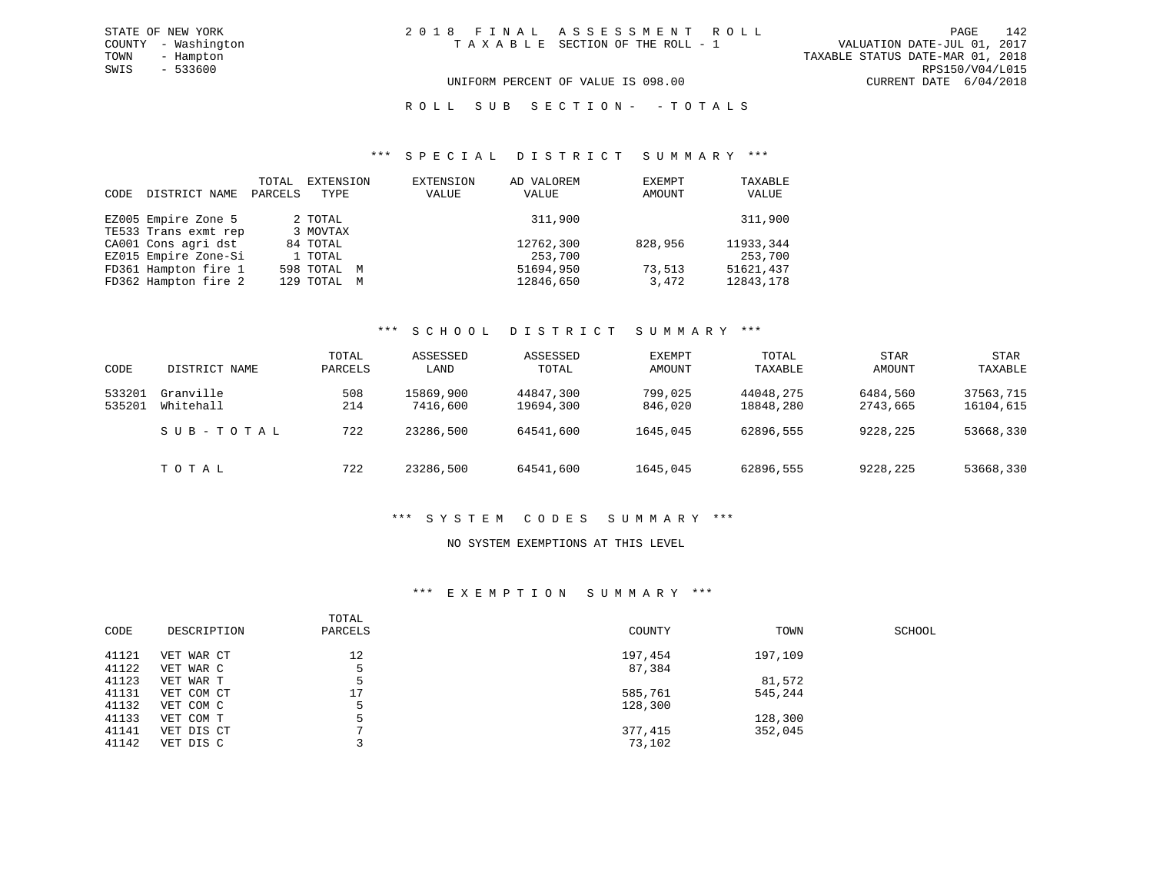#### UNIFORM PERCENT OF VALUE IS 098.00 CURRENT DATE 6/04/2018

#### ROLL SUB SECTION - - TOTALS

#### \*\*\* S P E C I A L D I S T R I C T S U M M A R Y \*\*\*

| CODE | DISTRICT NAME        | TOTAL<br>PARCELS | EXTENSION<br>TYPE | EXTENSION<br>VALUE | AD VALOREM<br>VALUE | EXEMPT<br>AMOUNT | TAXABLE<br>VALUE |
|------|----------------------|------------------|-------------------|--------------------|---------------------|------------------|------------------|
|      | EZ005 Empire Zone 5  |                  | 2 TOTAL           |                    | 311,900             |                  | 311,900          |
|      | TE533 Trans exmt rep |                  | 3 MOVTAX          |                    |                     |                  |                  |
|      | CA001 Cons agri dst  |                  | 84 TOTAL          |                    | 12762,300           | 828,956          | 11933,344        |
|      | EZ015 Empire Zone-Si |                  | 1 TOTAL           |                    | 253,700             |                  | 253,700          |
|      | FD361 Hampton fire 1 |                  | 598 TOTAL M       |                    | 51694,950           | 73,513           | 51621,437        |
|      | FD362 Hampton fire 2 |                  | 129 TOTAL M       |                    | 12846,650           | 3,472            | 12843,178        |

#### \*\*\* S C H O O L D I S T R I C T S U M M A R Y \*\*\*

| CODE             | DISTRICT NAME          | TOTAL<br>PARCELS | ASSESSED<br>LAND      | ASSESSED<br>TOTAL      | EXEMPT<br>AMOUNT   | TOTAL<br>TAXABLE       | <b>STAR</b><br>AMOUNT | <b>STAR</b><br>TAXABLE |
|------------------|------------------------|------------------|-----------------------|------------------------|--------------------|------------------------|-----------------------|------------------------|
| 533201<br>535201 | Granville<br>Whitehall | 508<br>214       | 15869,900<br>7416,600 | 44847,300<br>19694,300 | 799,025<br>846,020 | 44048,275<br>18848,280 | 6484,560<br>2743,665  | 37563,715<br>16104,615 |
|                  | SUB-TOTAL              | 722              | 23286,500             | 64541,600              | 1645,045           | 62896,555              | 9228,225              | 53668,330              |
|                  | TOTAL                  | 722              | 23286,500             | 64541,600              | 1645,045           | 62896,555              | 9228,225              | 53668,330              |

#### \*\*\* S Y S T E M C O D E S S U M M A R Y \*\*\*

#### NO SYSTEM EXEMPTIONS AT THIS LEVEL

#### \*\*\* E X E M P T I O N S U M M A R Y \*\*\*

| CODE  | DESCRIPTION | TOTAL<br>PARCELS | COUNTY  | TOWN    | SCHOOL |
|-------|-------------|------------------|---------|---------|--------|
| 41121 | VET WAR CT  | 12               | 197,454 | 197,109 |        |
| 41122 | VET WAR C   |                  | 87,384  |         |        |
| 41123 | VET WAR T   |                  |         | 81,572  |        |
| 41131 | VET COM CT  | 17               | 585,761 | 545,244 |        |
| 41132 | VET COM C   |                  | 128,300 |         |        |
| 41133 | VET COM T   |                  |         | 128,300 |        |
| 41141 | VET DIS CT  |                  | 377,415 | 352,045 |        |
| 41142 | VET DIS C   |                  | 73,102  |         |        |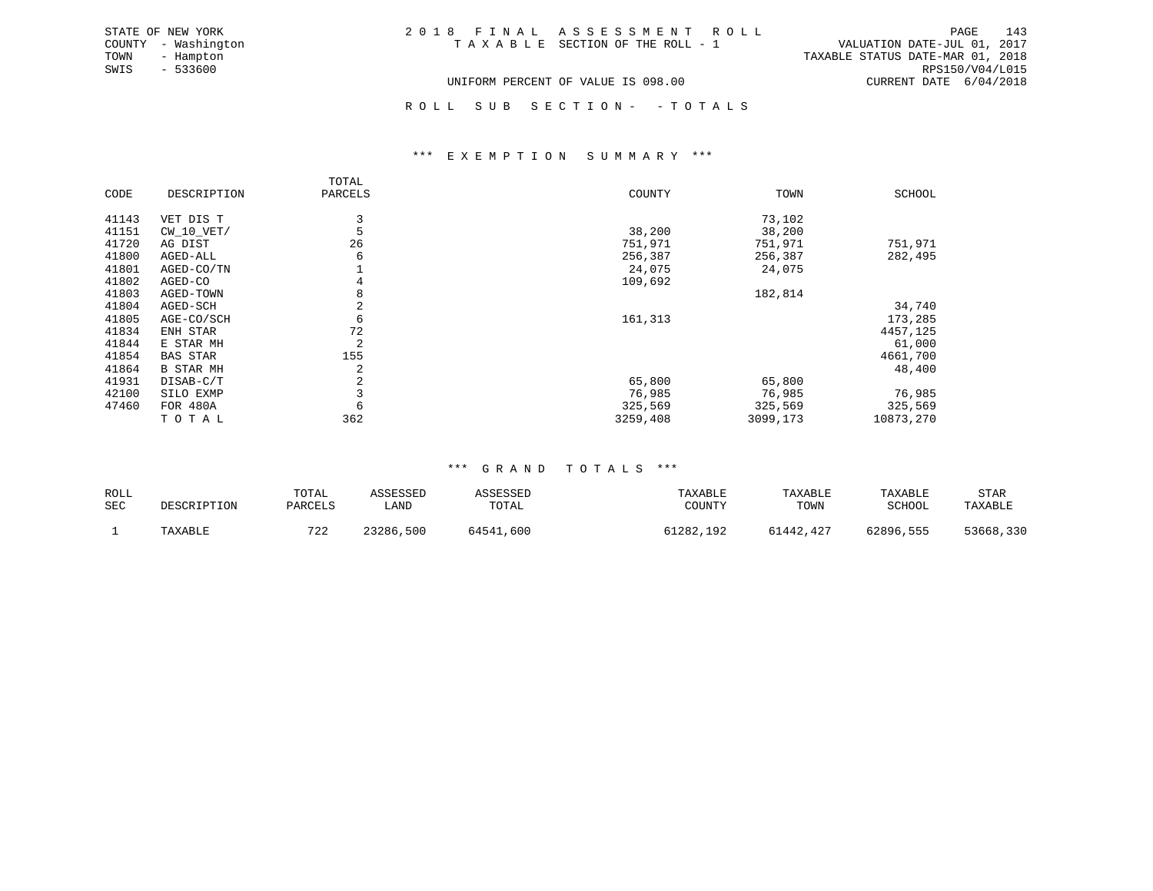| STATE OF NEW YORK   | 2018 FINAL ASSESSMENT ROLL         | 143<br>PAGE                      |
|---------------------|------------------------------------|----------------------------------|
| COUNTY - Washington | TAXABLE SECTION OF THE ROLL - 1    | VALUATION DATE-JUL 01, 2017      |
| TOWN<br>- Hampton   |                                    | TAXABLE STATUS DATE-MAR 01, 2018 |
| SWIS<br>$-533600$   |                                    | RPS150/V04/L015                  |
|                     | UNIFORM PERCENT OF VALUE IS 098.00 | CURRENT DATE 6/04/2018           |

ROLL SUB SECTION - - TOTALS

#### \*\*\* E X E M P T I O N S U M M A R Y \*\*\*

|       |                  | TOTAL   |          |          |               |
|-------|------------------|---------|----------|----------|---------------|
| CODE  | DESCRIPTION      | PARCELS | COUNTY   | TOWN     | <b>SCHOOL</b> |
| 41143 | VET DIS T        | 3       |          | 73,102   |               |
| 41151 | $CW_10_VET/$     |         | 38,200   | 38,200   |               |
| 41720 | AG DIST          | 26      | 751,971  | 751,971  | 751,971       |
| 41800 | AGED-ALL         | 6       | 256,387  | 256,387  | 282,495       |
| 41801 | AGED-CO/TN       |         | 24,075   | 24,075   |               |
| 41802 | AGED-CO          | 4       | 109,692  |          |               |
| 41803 | AGED-TOWN        | 8       |          | 182,814  |               |
| 41804 | AGED-SCH         |         |          |          | 34,740        |
| 41805 | AGE-CO/SCH       | 6       | 161,313  |          | 173,285       |
| 41834 | ENH STAR         | 72      |          |          | 4457,125      |
| 41844 | E STAR MH        | 2       |          |          | 61,000        |
| 41854 | BAS STAR         | 155     |          |          | 4661,700      |
| 41864 | <b>B STAR MH</b> | 2       |          |          | 48,400        |
| 41931 | DISAB-C/T        | 2       | 65,800   | 65,800   |               |
| 42100 | SILO EXMP        |         | 76,985   | 76,985   | 76,985        |
| 47460 | FOR 480A         | 6       | 325,569  | 325,569  | 325,569       |
|       | TOTAL            | 362     | 3259,408 | 3099,173 | 10873,270     |

#### \*\*\* G R A N D T O T A L S \*\*\*

| ROLL<br><b>SEC</b> | DESCRIPTION | TOTAL<br>PARCELS | \SSESSED<br>LAND | ASSESSED<br>TOTAL | TAXABLE<br>COUNTY | TAXABLE<br>TOWN | TAXABLE<br><b>SCHOOL</b> | STAR<br>TAXABLE |
|--------------------|-------------|------------------|------------------|-------------------|-------------------|-----------------|--------------------------|-----------------|
|                    | TAXABLE     | 722              | 23286,500        | 64541,600         | 51282,192         | 61442,427       | 62896,555                | 53668,330       |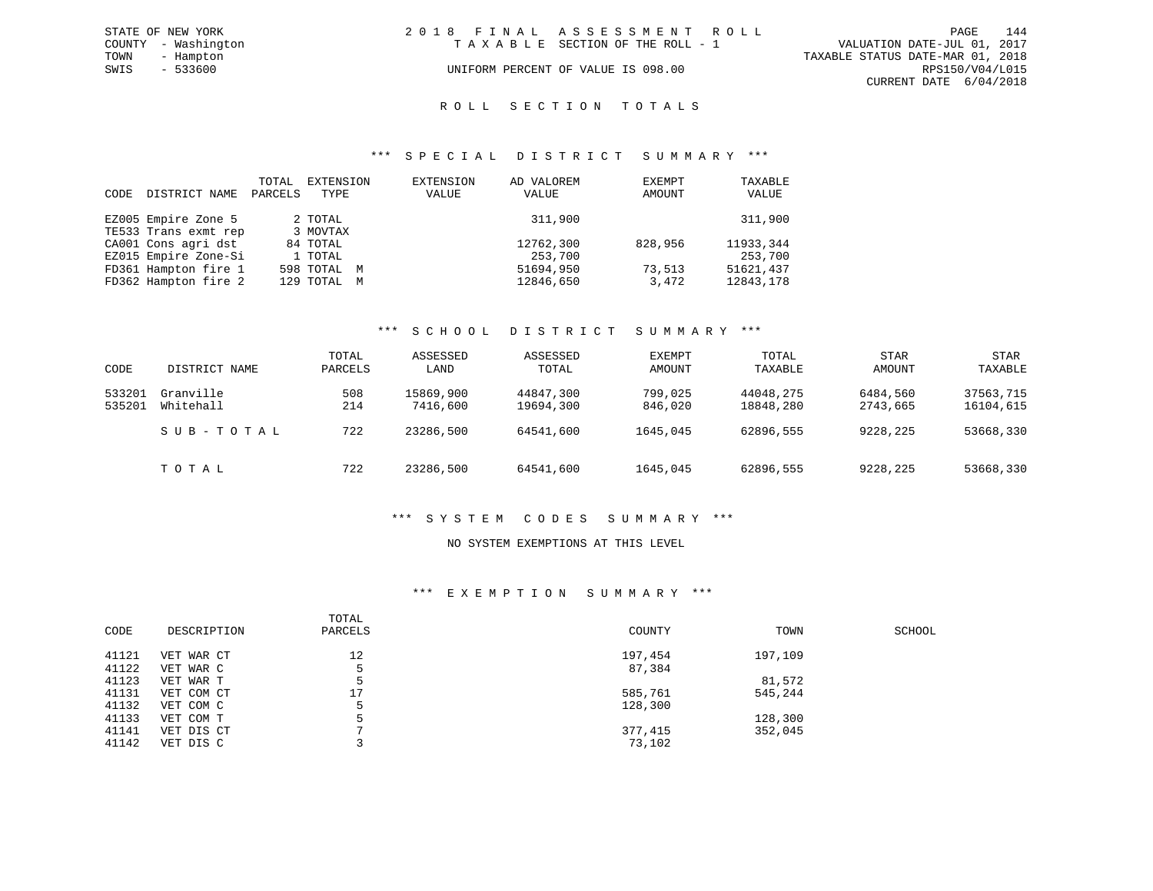|      | STATE OF NEW YORK   | 2018 FINAL ASSESSMENT ROLL |                                    |                                  | PAGE                   | 144 |
|------|---------------------|----------------------------|------------------------------------|----------------------------------|------------------------|-----|
|      | COUNTY - Washington |                            | TAXABLE SECTION OF THE ROLL - 1    | VALUATION DATE-JUL 01, 2017      |                        |     |
| TOWN | - Hampton           |                            |                                    | TAXABLE STATUS DATE-MAR 01, 2018 |                        |     |
| SWIS | $-533600$           |                            | UNIFORM PERCENT OF VALUE IS 098.00 |                                  | RPS150/V04/L015        |     |
|      |                     |                            |                                    |                                  | CURRENT DATE 6/04/2018 |     |

#### ROLL SECTION TOTALS

#### \*\*\* S P E C I A L D I S T R I C T S U M M A R Y \*\*\*

| CODE | DISTRICT NAME        | TOTAL<br>PARCELS | EXTENSION<br>TYPE | EXTENSION<br>VALUE | AD VALOREM<br>VALUE | EXEMPT<br>AMOUNT | TAXABLE<br>VALUE |
|------|----------------------|------------------|-------------------|--------------------|---------------------|------------------|------------------|
|      | EZ005 Empire Zone 5  |                  | 2 TOTAL           |                    | 311,900             |                  | 311,900          |
|      | TE533 Trans exmt rep |                  | 3 MOVTAX          |                    |                     |                  |                  |
|      | CA001 Cons agri dst  |                  | 84 TOTAL          |                    | 12762,300           | 828,956          | 11933,344        |
|      | EZ015 Empire Zone-Si |                  | 1 TOTAL           |                    | 253,700             |                  | 253,700          |
|      | FD361 Hampton fire 1 |                  | 598 TOTAL M       |                    | 51694,950           | 73,513           | 51621,437        |
|      | FD362 Hampton fire 2 |                  | 129 TOTAL M       |                    | 12846,650           | 3,472            | 12843,178        |

#### \*\*\* S C H O O L D I S T R I C T S U M M A R Y \*\*\*

| CODE             | DISTRICT NAME          | TOTAL<br>PARCELS | ASSESSED<br>LAND      | ASSESSED<br>TOTAL      | EXEMPT<br>AMOUNT   | TOTAL<br>TAXABLE       | <b>STAR</b><br>AMOUNT | <b>STAR</b><br>TAXABLE |
|------------------|------------------------|------------------|-----------------------|------------------------|--------------------|------------------------|-----------------------|------------------------|
| 533201<br>535201 | Granville<br>Whitehall | 508<br>214       | 15869,900<br>7416,600 | 44847,300<br>19694,300 | 799,025<br>846,020 | 44048,275<br>18848,280 | 6484,560<br>2743,665  | 37563,715<br>16104,615 |
|                  | SUB-TOTAL              | 722              | 23286,500             | 64541,600              | 1645,045           | 62896,555              | 9228,225              | 53668,330              |
|                  | TOTAL                  | 722              | 23286,500             | 64541,600              | 1645,045           | 62896,555              | 9228,225              | 53668,330              |

#### \*\*\* S Y S T E M C O D E S S U M M A R Y \*\*\*

#### NO SYSTEM EXEMPTIONS AT THIS LEVEL

#### \*\*\* E X E M P T I O N S U M M A R Y \*\*\*

| CODE  | DESCRIPTION | TOTAL<br>PARCELS | COUNTY  | TOWN    | SCHOOL |
|-------|-------------|------------------|---------|---------|--------|
| 41121 | VET WAR CT  | 12               | 197,454 | 197,109 |        |
| 41122 | VET WAR C   | 5                | 87,384  |         |        |
| 41123 | VET WAR T   | 5                |         | 81,572  |        |
| 41131 | VET COM CT  | 17               | 585,761 | 545,244 |        |
| 41132 | VET COM C   | 5                | 128,300 |         |        |
| 41133 | VET COM T   | 5                |         | 128,300 |        |
| 41141 | VET DIS CT  |                  | 377,415 | 352,045 |        |
| 41142 | VET DIS C   |                  | 73,102  |         |        |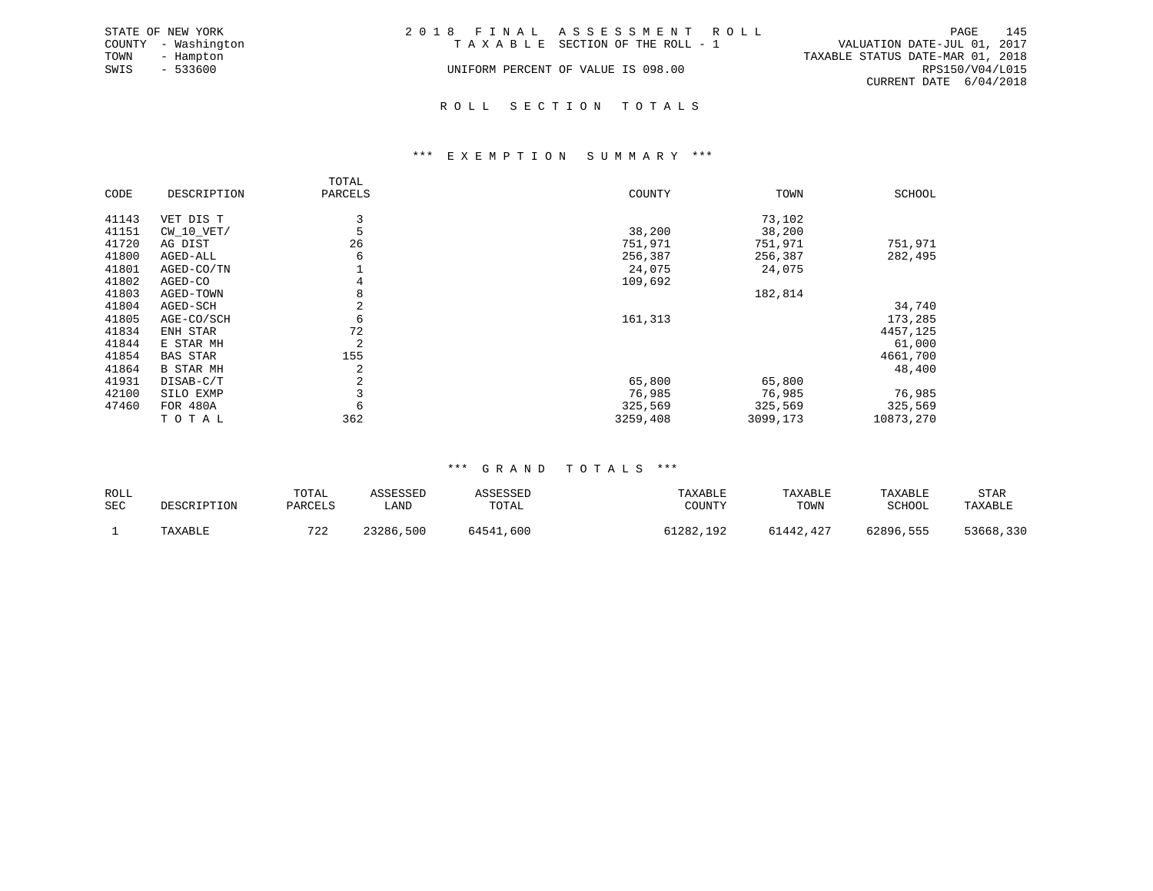|      | STATE OF NEW YORK   | 2018 FINAL ASSESSMENT ROLL         |                                  |                        | PAGE | 145 |
|------|---------------------|------------------------------------|----------------------------------|------------------------|------|-----|
|      | COUNTY - Washington | TAXABLE SECTION OF THE ROLL - 1    | VALUATION DATE-JUL 01, 2017      |                        |      |     |
| TOWN | - Hampton           |                                    | TAXABLE STATUS DATE-MAR 01, 2018 |                        |      |     |
| SWIS | $-533600$           | UNIFORM PERCENT OF VALUE IS 098.00 |                                  | RPS150/V04/L015        |      |     |
|      |                     |                                    |                                  | CURRENT DATE 6/04/2018 |      |     |
|      |                     |                                    |                                  |                        |      |     |

# R O L L S E C T I O N T O T A L S

#### \*\*\* E X E M P T I O N S U M M A R Y \*\*\*

|       |                  | TOTAL   |          |          |               |
|-------|------------------|---------|----------|----------|---------------|
| CODE  | DESCRIPTION      | PARCELS | COUNTY   | TOWN     | <b>SCHOOL</b> |
| 41143 | VET DIS T        | 3       |          | 73,102   |               |
| 41151 | $CW_10_VET/$     | 5       | 38,200   | 38,200   |               |
| 41720 | AG DIST          | 26      | 751,971  | 751,971  | 751,971       |
| 41800 | AGED-ALL         | 6       | 256,387  | 256,387  | 282,495       |
| 41801 | AGED-CO/TN       |         | 24,075   | 24,075   |               |
| 41802 | AGED-CO          | 4       | 109,692  |          |               |
| 41803 | AGED-TOWN        | 8       |          | 182,814  |               |
| 41804 | AGED-SCH         | 2       |          |          | 34,740        |
| 41805 | AGE-CO/SCH       | 6       | 161,313  |          | 173,285       |
| 41834 | ENH STAR         | 72      |          |          | 4457,125      |
| 41844 | E STAR MH        | 2       |          |          | 61,000        |
| 41854 | <b>BAS STAR</b>  | 155     |          |          | 4661,700      |
| 41864 | <b>B STAR MH</b> | 2       |          |          | 48,400        |
| 41931 | DISAB-C/T        | 2       | 65,800   | 65,800   |               |
| 42100 | SILO EXMP        | 3       | 76,985   | 76,985   | 76,985        |
| 47460 | <b>FOR 480A</b>  | 6       | 325,569  | 325,569  | 325,569       |
|       | TOTAL            | 362     | 3259,408 | 3099,173 | 10873,270     |

| ROLL<br>SEC | DESCRIPTION | TOTAL<br>PARCELS | ASSESSED<br>LAND | ASSESSED<br>TOTAL | TAXABLE<br>COUNTY | TAXABLE<br>TOWN | TAXABLE<br>SCHOOL | STAR<br>TAXABLE |
|-------------|-------------|------------------|------------------|-------------------|-------------------|-----------------|-------------------|-----------------|
|             | TAXABLE     | 722              | 23286,500        | 64541,600         | 61282,192         | 61442,427       | 62896,555         | 53668,330       |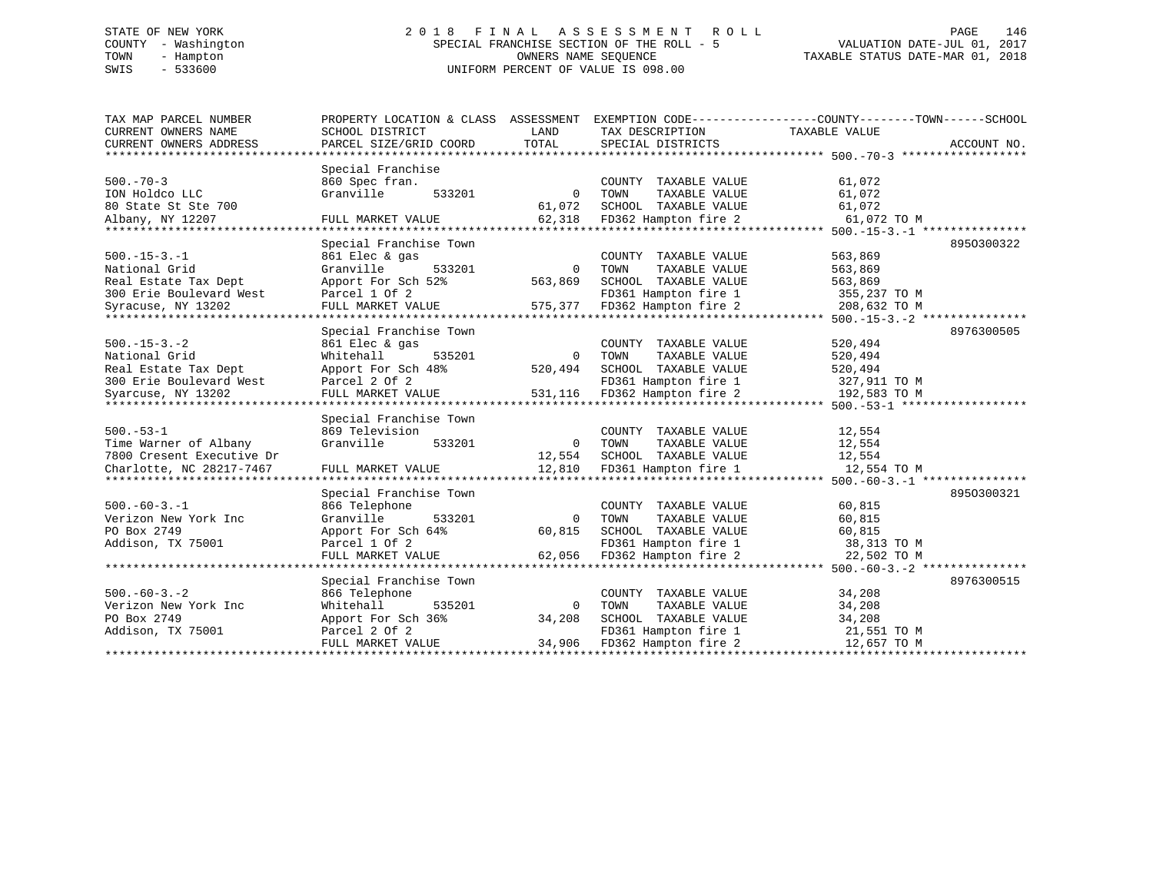# STATE OF NEW YORK 2 0 1 8 F I N A L A S S E S S M E N T R O L L PAGE 146 COUNTY - Washington SPECIAL FRANCHISE SECTION OF THE ROLL - 5 VALUATION DATE-JUL 01, 2017 TOWN - Hampton OWNERS NAME SEQUENCE TAXABLE STATUS DATE-MAR 01, 2018 SWIS - 533600 UNIFORM PERCENT OF VALUE IS 098.00

| TAX MAP PARCEL NUMBER<br>CURRENT OWNERS NAME | PROPERTY LOCATION & CLASS ASSESSMENT<br>SCHOOL DISTRICT | LAND           | TAX DESCRIPTION                               | EXEMPTION CODE-----------------COUNTY-------TOWN------SCHOOL<br>TAXABLE VALUE |
|----------------------------------------------|---------------------------------------------------------|----------------|-----------------------------------------------|-------------------------------------------------------------------------------|
| CURRENT OWNERS ADDRESS                       | PARCEL SIZE/GRID COORD                                  | TOTAL          | SPECIAL DISTRICTS                             | ACCOUNT NO.                                                                   |
|                                              |                                                         |                |                                               |                                                                               |
|                                              | Special Franchise                                       |                |                                               |                                                                               |
| $500. - 70 - 3$                              | 860 Spec fran.                                          |                | COUNTY TAXABLE VALUE                          | 61,072                                                                        |
| ION Holdco LLC                               | 533201<br>Granville                                     | $\overline{0}$ | TAXABLE VALUE<br>TOWN                         | 61,072                                                                        |
| 80 State St Ste 700                          |                                                         | 61,072         | SCHOOL TAXABLE VALUE                          | 61,072                                                                        |
| Albany, NY 12207                             | FULL MARKET VALUE                                       |                | 62,318 FD362 Hampton fire 2                   | 61,072 TO M                                                                   |
|                                              | Special Franchise Town                                  |                |                                               |                                                                               |
| $500. -15 - 3. -1$                           | 861 Elec & gas                                          |                |                                               | 8950300322<br>563,869                                                         |
| National Grid                                | Granville<br>533201                                     | $\overline{0}$ | COUNTY TAXABLE VALUE<br>TAXABLE VALUE<br>TOWN | 563,869                                                                       |
| Real Estate Tax Dept                         | Apport For Sch 52%                                      | 563,869        | SCHOOL TAXABLE VALUE                          | 563,869                                                                       |
| 300 Erie Boulevard West                      | Parcel 1 Of 2                                           |                | FD361 Hampton fire 1                          | 355,237 TO M                                                                  |
| Syracuse, NY 13202                           | FULL MARKET VALUE                                       |                | 575,377 FD362 Hampton fire 2                  | 208,632 TO M                                                                  |
|                                              |                                                         |                |                                               |                                                                               |
|                                              | Special Franchise Town                                  |                |                                               | 8976300505                                                                    |
| $500. -15 - 3. -2$                           | 861 Elec & gas                                          |                | COUNTY TAXABLE VALUE                          | 520,494                                                                       |
| National Grid                                | 535201<br>Whitehall                                     | $\overline{0}$ | TOWN<br>TAXABLE VALUE                         | 520,494                                                                       |
| Real Estate Tax Dept                         | Apport For Sch 48%                                      | 520,494        | SCHOOL TAXABLE VALUE                          | 520,494                                                                       |
| 300 Erie Boulevard West                      | Parcel 2 Of 2                                           |                | FD361 Hampton fire 1                          | 327,911 TO M                                                                  |
| Syarcuse, NY 13202                           | FULL MARKET VALUE                                       |                | 531,116 FD362 Hampton fire 2                  | 192,583 TO M                                                                  |
|                                              |                                                         |                |                                               |                                                                               |
|                                              | Special Franchise Town                                  |                |                                               |                                                                               |
| $500. - 53 - 1$                              | 869 Television                                          |                | COUNTY TAXABLE VALUE                          | 12,554                                                                        |
| Time Warner of Albany                        | Granville<br>533201                                     | $\overline{0}$ | TOWN<br>TAXABLE VALUE                         | 12,554                                                                        |
| 7800 Cresent Executive Dr                    |                                                         | 12,554         | SCHOOL TAXABLE VALUE                          | 12,554                                                                        |
| Charlotte, NC 28217-7467                     | FULL MARKET VALUE                                       |                | 12,810 FD361 Hampton fire 1                   | 12,554 TO M                                                                   |
|                                              |                                                         |                |                                               | ****************** 500. -60 - 3. -1 **************                            |
|                                              | Special Franchise Town                                  |                |                                               | 8950300321                                                                    |
| $500. -60 - 3. - 1$                          | 866 Telephone                                           |                | COUNTY TAXABLE VALUE                          | 60,815                                                                        |
| Verizon New York Inc                         | 533201<br>Granville                                     | $\overline{0}$ | TOWN<br>TAXABLE VALUE                         | 60,815                                                                        |
| PO Box 2749                                  | Apport For Sch 64%                                      | 60,815         | SCHOOL TAXABLE VALUE                          | 60,815                                                                        |
| Addison, TX 75001                            | Parcel 1 Of 2                                           |                | FD361 Hampton fire 1                          | 38,313 TO M                                                                   |
|                                              | FULL MARKET VALUE                                       | 62,056         | FD362 Hampton fire 2                          | 22,502 TO M                                                                   |
|                                              | Special Franchise Town                                  |                |                                               | 8976300515                                                                    |
| $500. -60 - 3. - 2$                          | 866 Telephone                                           |                | COUNTY TAXABLE VALUE                          | 34,208                                                                        |
| Verizon New York Inc                         | Whitehall<br>535201                                     | $\Omega$       | TOWN<br>TAXABLE VALUE                         | 34,208                                                                        |
| PO Box 2749                                  | Apport For Sch 36%                                      | 34,208         | SCHOOL TAXABLE VALUE                          | 34,208                                                                        |
| Addison, TX 75001                            | Parcel 2 Of 2                                           |                | FD361 Hampton fire 1                          | 21,551 TO M                                                                   |
|                                              | FULL MARKET VALUE                                       | 34,906         | FD362 Hampton fire 2                          | 12,657 TO M                                                                   |
|                                              |                                                         |                |                                               |                                                                               |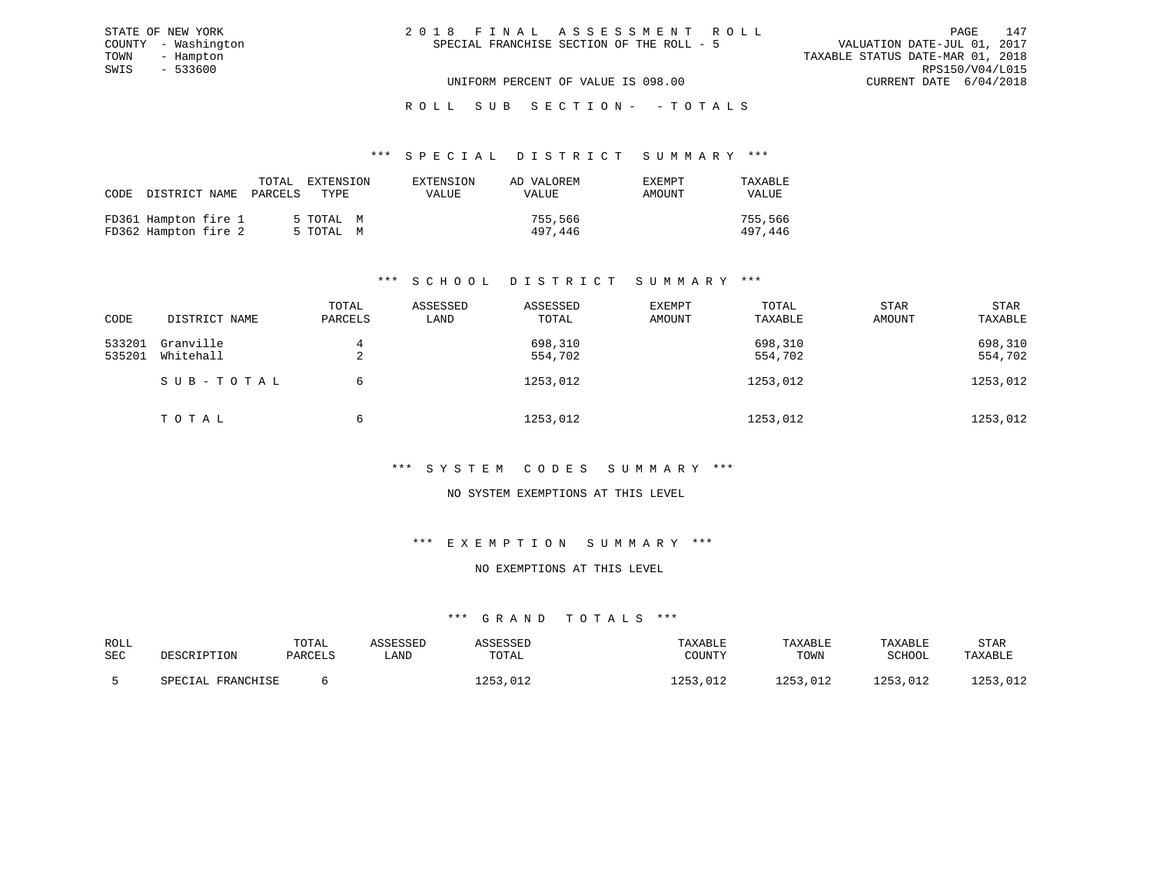|  | 2018 FINAL ASSESSMENT ROLL                |                                  | PAGE                        | 147 |
|--|-------------------------------------------|----------------------------------|-----------------------------|-----|
|  | SPECIAL FRANCHISE SECTION OF THE ROLL - 5 |                                  | VALUATION DATE-JUL 01, 2017 |     |
|  |                                           | TAXABLE STATUS DATE-MAR 01, 2018 |                             |     |
|  |                                           |                                  | RPS150/V04/L015             |     |
|  | UNIFORM PERCENT OF VALUE IS 098.00        |                                  | CURRENT DATE 6/04/2018      |     |

#### \*\*\* S P E C I A L D I S T R I C T S U M M A R Y \*\*\*

| CODE DISTRICT NAME                           | TOTAL<br>PARCELS | EXTENSION<br>TYPE      | EXTENSION<br>VALUE | AD VALOREM<br><b>VALUE</b> | EXEMPT<br>AMOUNT | TAXABLE<br>VALUE   |
|----------------------------------------------|------------------|------------------------|--------------------|----------------------------|------------------|--------------------|
| FD361 Hampton fire 1<br>FD362 Hampton fire 2 |                  | 5 TOTAL M<br>5 TOTAL M |                    | 755,566<br>497,446         |                  | 755,566<br>497,446 |

STATE OF NEW YORK COUNTY - Washington TOWN - Hampton  $SWIS$  - 533600

# \*\*\* S C H O O L D I S T R I C T S U M M A R Y \*\*\*

| CODE             | DISTRICT NAME          | TOTAL<br>PARCELS | ASSESSED<br>LAND | ASSESSED<br>TOTAL  | EXEMPT<br>AMOUNT | TOTAL<br>TAXABLE   | STAR<br>AMOUNT | <b>STAR</b><br>TAXABLE |
|------------------|------------------------|------------------|------------------|--------------------|------------------|--------------------|----------------|------------------------|
| 533201<br>535201 | Granville<br>Whitehall | 4<br>∠           |                  | 698,310<br>554,702 |                  | 698,310<br>554,702 |                | 698,310<br>554,702     |
|                  | SUB-TOTAL              | 6                |                  | 1253,012           |                  | 1253,012           |                | 1253,012               |
|                  | TOTAL                  | 6                |                  | 1253,012           |                  | 1253,012           |                | 1253,012               |

# \*\*\* S Y S T E M C O D E S S U M M A R Y \*\*\*

# NO SYSTEM EXEMPTIONS AT THIS LEVEL

# \*\*\* E X E M P T I O N S U M M A R Y \*\*\*

# NO EXEMPTIONS AT THIS LEVEL

| ROLL       |                   | TOTAL   | `SSESSED | `SSESSED | TAXABLE  | TAXABLE  | TAXABLE      | STAR                     |
|------------|-------------------|---------|----------|----------|----------|----------|--------------|--------------------------|
| <b>SEC</b> | DESCRIPTION       | PARCELS | LAND     | TOTAL    | COUNTY   | TOWN     | SCHOOL       | TAXABLE                  |
|            | SPECIAL FRANCHISE |         |          | 1253,012 | 1253,012 | 1253,012 | ົາຊາ<br>.012 | በ12<br>1433 <i>1</i> 545 |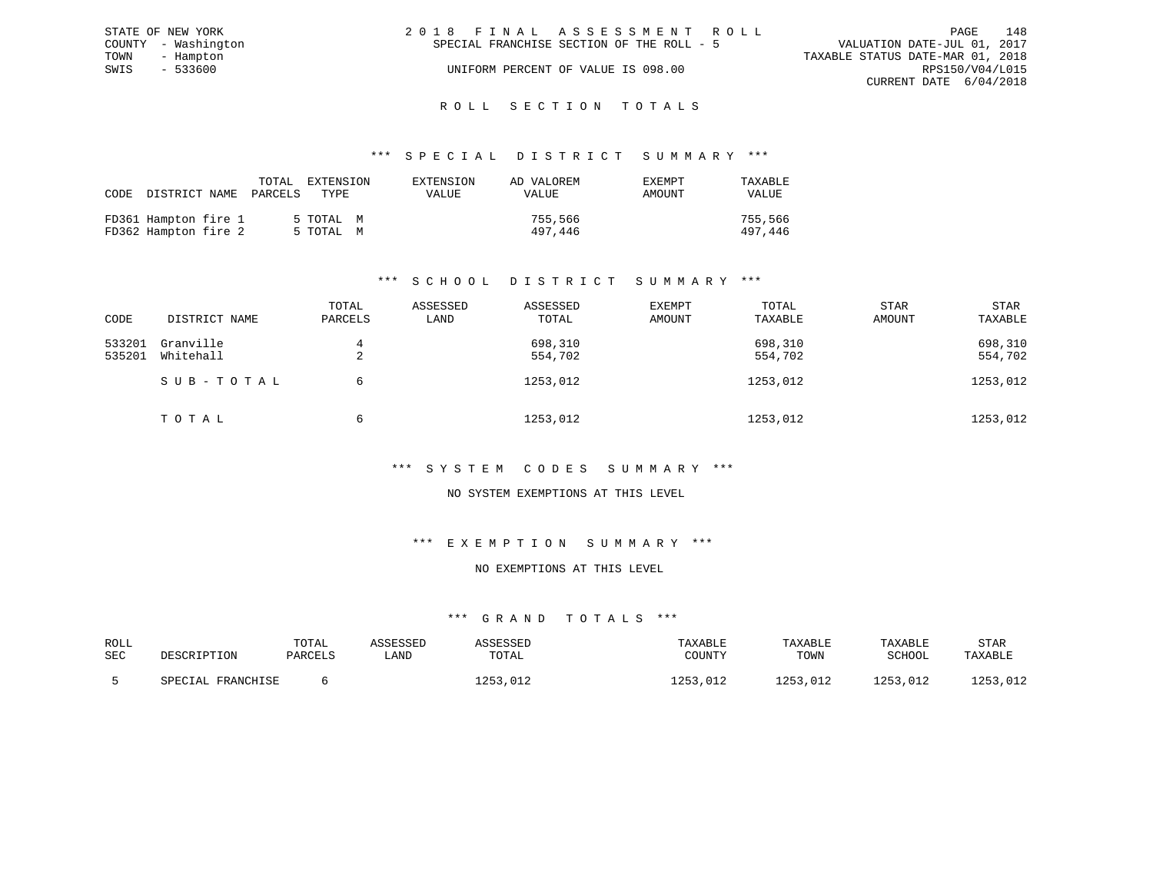| STATE OF NEW YORK   | 2018 FINAL ASSESSMENT ROLL                | 148<br>PAGE                      |
|---------------------|-------------------------------------------|----------------------------------|
| COUNTY - Washington | SPECIAL FRANCHISE SECTION OF THE ROLL - 5 | VALUATION DATE-JUL 01, 2017      |
| TOWN<br>- Hampton   |                                           | TAXABLE STATUS DATE-MAR 01, 2018 |
| SWIS<br>- 533600    | UNIFORM PERCENT OF VALUE IS 098.00        | RPS150/V04/L015                  |
|                     |                                           | CURRENT DATE 6/04/2018           |
|                     |                                           |                                  |

# ROLL SECTION TOTALS

## \*\*\* S P E C I A L D I S T R I C T S U M M A R Y \*\*\*

| CODE | DISTRICT NAME                                | TOTAL<br>PARCELS | EXTENSION<br>TYPE.     | EXTENSION<br>VALUE | AD VALOREM<br>VALUE | <b>EXEMPT</b><br>AMOUNT | TAXABLE<br>VALUE   |
|------|----------------------------------------------|------------------|------------------------|--------------------|---------------------|-------------------------|--------------------|
|      | FD361 Hampton fire 1<br>FD362 Hampton fire 2 |                  | 5 TOTAL M<br>5 TOTAL M |                    | 755,566<br>497,446  |                         | 755,566<br>497,446 |

# \*\*\* S C H O O L D I S T R I C T S U M M A R Y \*\*\*

| CODE             | DISTRICT NAME          | TOTAL<br>PARCELS | ASSESSED<br>LAND | ASSESSED<br>TOTAL  | EXEMPT<br>AMOUNT | TOTAL<br>TAXABLE   | <b>STAR</b><br>AMOUNT | <b>STAR</b><br>TAXABLE |
|------------------|------------------------|------------------|------------------|--------------------|------------------|--------------------|-----------------------|------------------------|
| 533201<br>535201 | Granville<br>Whitehall | 4<br>∠           |                  | 698,310<br>554,702 |                  | 698,310<br>554,702 |                       | 698,310<br>554,702     |
|                  | SUB-TOTAL              | 6                |                  | 1253,012           |                  | 1253,012           |                       | 1253,012               |
|                  | TOTAL                  | 6                |                  | 1253,012           |                  | 1253,012           |                       | 1253,012               |

# \*\*\* S Y S T E M C O D E S S U M M A R Y \*\*\*

# NO SYSTEM EXEMPTIONS AT THIS LEVEL

#### \*\*\* E X E M P T I O N S U M M A R Y \*\*\*

# NO EXEMPTIONS AT THIS LEVEL

| ROLL<br>SEC | DESCRIPTION       | TOTAL<br>PARCELS | CCFCCFT<br>∟AND | <b>SSESSED</b><br>TOTAL | TAXABLE<br>COUNTY | TAXABLE<br>TOWN | TAXABLE<br>SCHOOL | STAR<br>TAXABLE |
|-------------|-------------------|------------------|-----------------|-------------------------|-------------------|-----------------|-------------------|-----------------|
|             | SPECIAL FRANCHISE |                  |                 | 1253,012                | 1253,012          | 1253,012        | つにつ<br>,012       | , UIZ           |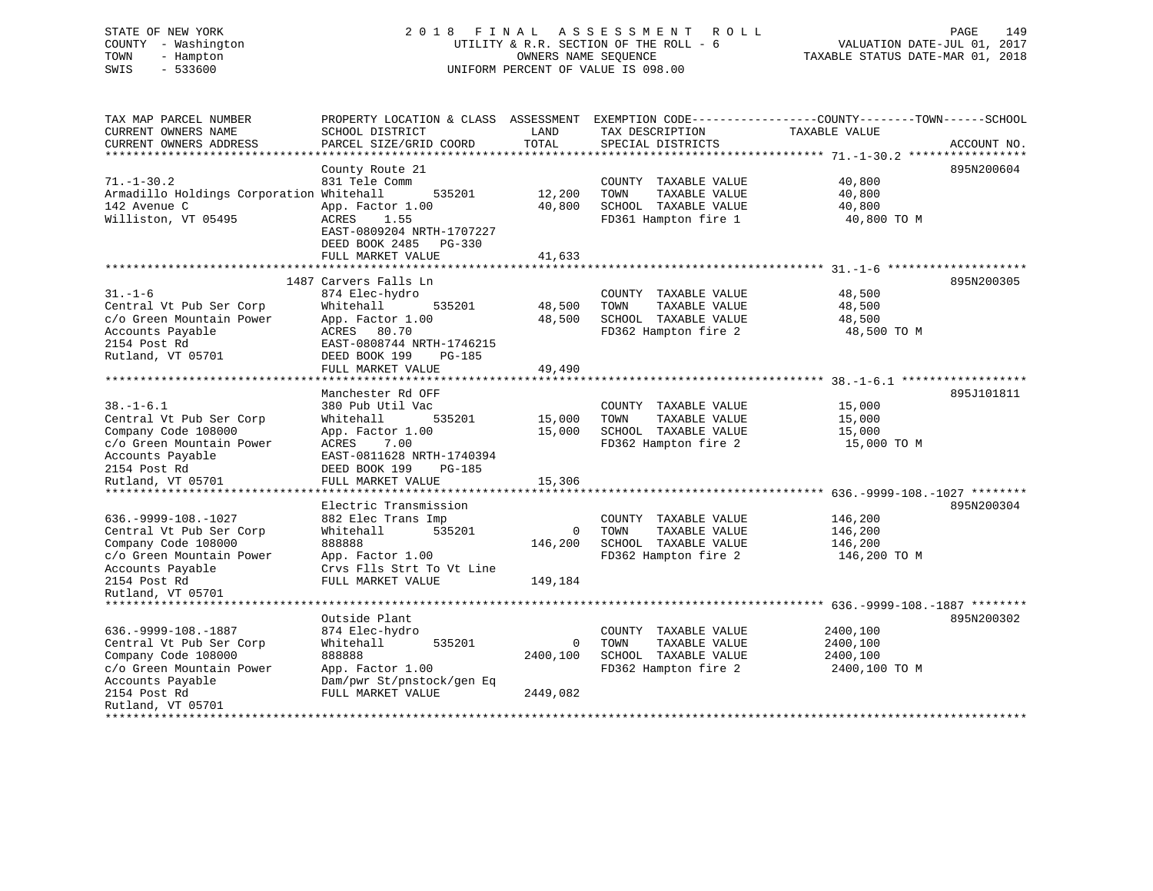# STATE OF NEW YORK 2 0 1 8 F I N A L A S S E S S M E N T R O L L PAGE 149 COUNTY - Washington UTILITY & R.R. SECTION OF THE ROLL - 6 VALUATION DATE-JUL 01, 2017 TOWN - Hampton OWNERS NAME SEQUENCE TAXABLE STATUS DATE-MAR 01, 2018 SWIS - 533600 UNIFORM PERCENT OF VALUE IS 098.00

| TAX MAP PARCEL NUMBER<br>CURRENT OWNERS NAME<br>CURRENT OWNERS ADDRESS<br>**************************                                                   | PROPERTY LOCATION & CLASS ASSESSMENT<br>SCHOOL DISTRICT<br>PARCEL SIZE/GRID COORD                                                                                                                                          | LAND<br>TOTAL              | TAX DESCRIPTION<br>SPECIAL DISTRICTS                                                          | EXEMPTION CODE-----------------COUNTY-------TOWN------SCHOOL<br>TAXABLE VALUE | ACCOUNT NO. |
|--------------------------------------------------------------------------------------------------------------------------------------------------------|----------------------------------------------------------------------------------------------------------------------------------------------------------------------------------------------------------------------------|----------------------------|-----------------------------------------------------------------------------------------------|-------------------------------------------------------------------------------|-------------|
| $71. - 1 - 30.2$<br>Armadillo Holdings Corporation Whitehall<br>142 Avenue C<br>Williston, VT 05495                                                    | County Route 21<br>831 Tele Comm<br>535201<br>App. Factor 1.00<br>ACRES<br>1.55<br>EAST-0809204 NRTH-1707227<br>DEED BOOK 2485<br>$PG-330$<br>FULL MARKET VALUE                                                            | 12,200<br>40,800<br>41,633 | COUNTY TAXABLE VALUE<br>TAXABLE VALUE<br>TOWN<br>SCHOOL TAXABLE VALUE<br>FD361 Hampton fire 1 | 40,800<br>40,800<br>40,800<br>40,800 TO M                                     | 895N200604  |
|                                                                                                                                                        | *****************                                                                                                                                                                                                          |                            |                                                                                               | ************************ 31 -1-6                                              |             |
| $31. - 1 - 6$<br>Central Vt Pub Ser Corp<br>c/o Green Mountain Power<br>Accounts Payable<br>2154 Post Rd<br>Rutland, VT 05701                          | 1487 Carvers Falls Ln<br>874 Elec-hydro<br>Whitehall<br>535201<br>App. Factor 1.00<br>ACRES 80.70<br>EAST-0808744 NRTH-1746215<br>DEED BOOK 199<br><b>PG-185</b><br>FULL MARKET VALUE<br>* * * * * * * * * * * * * * * * * | 48,500<br>48,500<br>49,490 | COUNTY TAXABLE VALUE<br>TAXABLE VALUE<br>TOWN<br>SCHOOL TAXABLE VALUE<br>FD362 Hampton fire 2 | 48,500<br>48,500<br>48,500<br>48,500 TO M                                     | 895N200305  |
|                                                                                                                                                        | Manchester Rd OFF                                                                                                                                                                                                          |                            |                                                                                               | ********************** 38. -1-6.1 ***************                             | 895J101811  |
| $38. - 1 - 6.1$<br>Central Vt Pub Ser Corp<br>Company Code 108000<br>c/o Green Mountain Power<br>Accounts Payable<br>2154 Post Rd<br>Rutland, VT 05701 | 380 Pub Util Vac<br>535201<br>Whitehall<br>App. Factor 1.00<br>ACRES<br>7.00<br>EAST-0811628 NRTH-1740394<br>DEED BOOK 199<br>PG-185<br>FULL MARKET VALUE                                                                  | 15,000<br>15,000<br>15,306 | COUNTY TAXABLE VALUE<br>TOWN<br>TAXABLE VALUE<br>SCHOOL TAXABLE VALUE<br>FD362 Hampton fire 2 | 15,000<br>15,000<br>15,000<br>15,000 TO M                                     |             |
|                                                                                                                                                        | *****************                                                                                                                                                                                                          |                            |                                                                                               | ******************** 636.-9999-108.-1027 ********                             |             |
| $636. -9999 - 108. - 1027$<br>Central Vt Pub Ser Corp<br>Company Code 108000<br>c/o Green Mountain Power<br>Accounts Payable                           | Electric Transmission<br>882 Elec Trans Imp<br>Whitehall<br>535201<br>888888<br>App. Factor 1.00<br>Crvs Flls Strt To Vt Line                                                                                              | 0<br>146,200               | COUNTY TAXABLE VALUE<br>TAXABLE VALUE<br>TOWN<br>SCHOOL TAXABLE VALUE<br>FD362 Hampton fire 2 | 146,200<br>146,200<br>146,200<br>146,200 TO M                                 | 895N200304  |
| 2154 Post Rd<br>Rutland, VT 05701                                                                                                                      | FULL MARKET VALUE                                                                                                                                                                                                          | 149,184                    |                                                                                               |                                                                               |             |
| ****************************                                                                                                                           |                                                                                                                                                                                                                            |                            |                                                                                               |                                                                               |             |
| 636. - 9999 - 108. - 1887<br>Central Vt Pub Ser Corp<br>Company Code 108000<br>c/o Green Mountain Power<br>Accounts Payable                            | Outside Plant<br>874 Elec-hydro<br>Whitehall<br>535201<br>888888<br>App. Factor 1.00<br>Dam/pwr St/pnstock/gen Eq                                                                                                          | 0<br>2400,100              | COUNTY TAXABLE VALUE<br>TOWN<br>TAXABLE VALUE<br>SCHOOL TAXABLE VALUE<br>FD362 Hampton fire 2 | 2400,100<br>2400,100<br>2400,100<br>2400,100 TO M                             | 895N200302  |
| 2154 Post Rd<br>Rutland, VT 05701                                                                                                                      | FULL MARKET VALUE                                                                                                                                                                                                          | 2449,082                   |                                                                                               |                                                                               |             |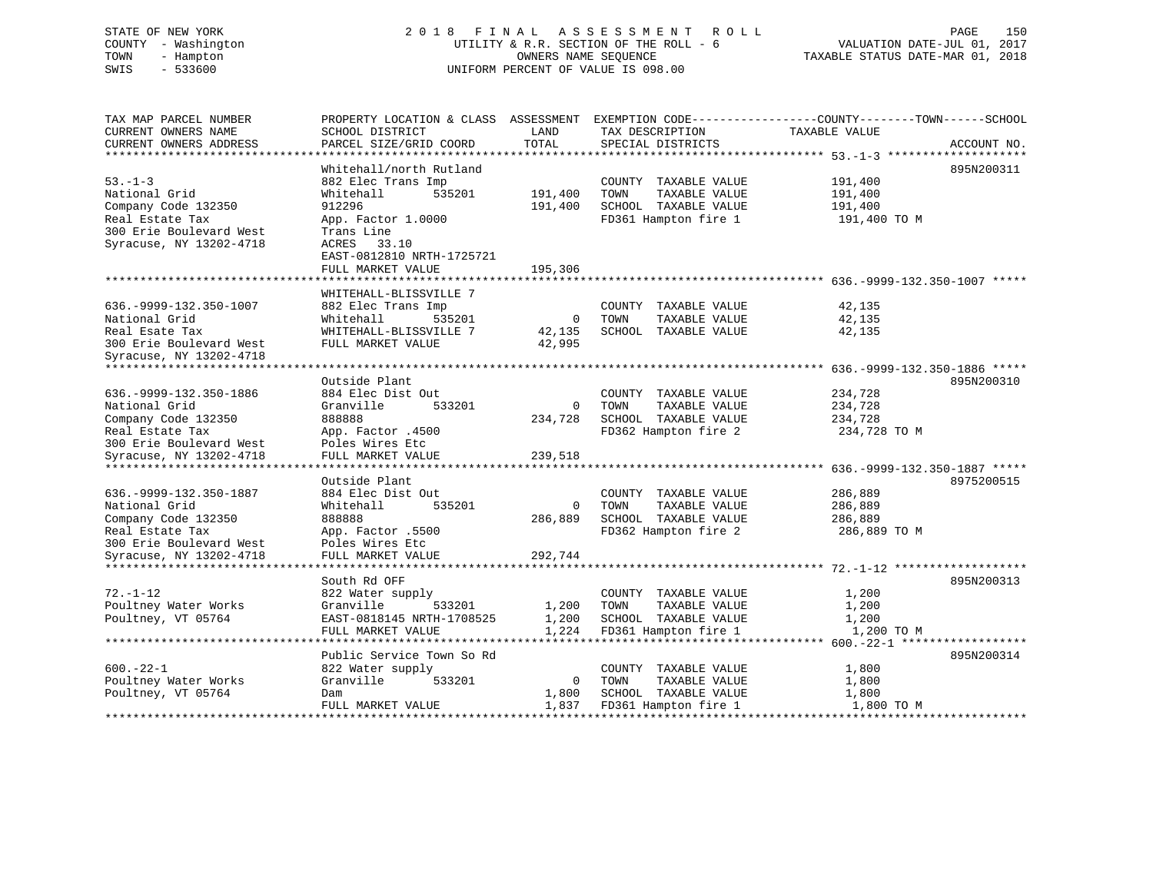# STATE OF NEW YORK 2 0 1 8 F I N A L A S S E S S M E N T R O L L PAGE 150 COUNTY - Washington UTILITY & R.R. SECTION OF THE ROLL - 6 VALUATION DATE-JUL 01, 2017 TOWN - Hampton OWNERS NAME SEQUENCE TAXABLE STATUS DATE-MAR 01, 2018 SWIS - 533600 UNIFORM PERCENT OF VALUE IS 098.00UNIFORM PERCENT OF VALUE IS 098.00

TAX MAP PARCEL NUMBER PROPERTY LOCATION & CLASS ASSESSMENT EXEMPTION CODE------------------COUNTY--------TOWN------SCHOOL

|              | TAXABLE VALUE | TAX DESCRIPTION      |      | LAND           | SCHOOL DISTRICT           | CURRENT OWNERS NAME           |
|--------------|---------------|----------------------|------|----------------|---------------------------|-------------------------------|
| ACCOUNT NO.  |               | SPECIAL DISTRICTS    |      | TOTAL          | PARCEL SIZE/GRID COORD    | CURRENT OWNERS ADDRESS        |
|              |               |                      |      |                |                           | ***************************** |
| 895N200311   |               |                      |      |                | Whitehall/north Rutland   |                               |
| 191,400      |               | COUNTY TAXABLE VALUE |      |                | 882 Elec Trans Imp        | $53 - 1 - 3$                  |
| 191,400      |               | TAXABLE VALUE        | TOWN | 191,400        | 535201<br>Whitehall       | National Grid                 |
| 191,400      |               | SCHOOL TAXABLE VALUE |      | 191,400        | 912296                    | Company Code 132350           |
| 191,400 TO M |               | FD361 Hampton fire 1 |      |                | App. Factor 1.0000        | Real Estate Tax               |
|              |               |                      |      |                | Trans Line                | 300 Erie Boulevard West       |
|              |               |                      |      |                | 33.10<br>ACRES            | Syracuse, NY 13202-4718       |
|              |               |                      |      |                | EAST-0812810 NRTH-1725721 |                               |
|              |               |                      |      | 195,306        | FULL MARKET VALUE         |                               |
|              |               |                      |      |                |                           | ****************************  |
|              |               |                      |      |                | WHITEHALL-BLISSVILLE 7    |                               |
| 42,135       |               | COUNTY TAXABLE VALUE |      |                | 882 Elec Trans Imp        | 636. - 9999 - 132. 350 - 1007 |
| 42,135       |               | TAXABLE VALUE        | TOWN | $\mathbf{0}$   | Whitehall<br>535201       | National Grid                 |
| 42,135       |               | SCHOOL TAXABLE VALUE |      | 42,135         | WHITEHALL-BLISSVILLE 7    | Real Esate Tax                |
|              |               |                      |      | 42,995         | FULL MARKET VALUE         | 300 Erie Boulevard West       |
|              |               |                      |      |                |                           | Syracuse, NY 13202-4718       |
|              |               |                      |      |                |                           |                               |
| 895N200310   |               |                      |      |                | Outside Plant             |                               |
| 234,728      |               | COUNTY TAXABLE VALUE |      |                | 884 Elec Dist Out         | 636. - 9999 - 132. 350 - 1886 |
| 234,728      |               | TAXABLE VALUE        | TOWN | $\mathbf{0}$   | Granville<br>533201       | National Grid                 |
| 234,728      |               | SCHOOL TAXABLE VALUE |      | 234,728        | 888888                    | Company Code 132350           |
| 234,728 TO M |               | FD362 Hampton fire 2 |      |                | App. Factor .4500         | Real Estate Tax               |
|              |               |                      |      |                | Poles Wires Etc           | 300 Erie Boulevard West       |
|              |               |                      |      | 239,518        | FULL MARKET VALUE         | Syracuse, NY 13202-4718       |
|              |               |                      |      |                |                           | *******************           |
| 8975200515   |               |                      |      |                | Outside Plant             |                               |
| 286,889      |               | COUNTY TAXABLE VALUE |      |                | 884 Elec Dist Out         | 636. - 9999 - 132. 350 - 1887 |
|              |               |                      |      | $\mathbf 0$    |                           |                               |
| 286,889      |               | TAXABLE VALUE        | TOWN |                | Whitehall<br>535201       | National Grid                 |
| 286,889      |               | SCHOOL TAXABLE VALUE |      | 286,889        | 888888                    | Company Code 132350           |
| 286,889 TO M |               | FD362 Hampton fire 2 |      |                | App. Factor .5500         | Real Estate Tax               |
|              |               |                      |      |                | Poles Wires Etc           | 300 Erie Boulevard West       |
|              |               |                      |      | 292,744        | FULL MARKET VALUE         | Syracuse, NY 13202-4718       |
|              |               |                      |      |                |                           |                               |
| 895N200313   |               |                      |      |                | South Rd OFF              |                               |
| 1,200        |               | COUNTY TAXABLE VALUE |      |                | 822 Water supply          | $72. - 1 - 12$                |
| 1,200        |               | TAXABLE VALUE        | TOWN | 1,200          | Granville<br>533201       | Poultney Water Works          |
| 1,200        |               | SCHOOL TAXABLE VALUE |      | 1,200          | EAST-0818145 NRTH-1708525 | Poultney, VT 05764            |
| 1,200 TO M   |               | FD361 Hampton fire 1 |      | 1,224          | FULL MARKET VALUE         |                               |
|              |               |                      |      |                |                           |                               |
| 895N200314   |               |                      |      |                | Public Service Town So Rd |                               |
| 1,800        |               | COUNTY TAXABLE VALUE |      |                | 822 Water supply          | $600 - 22 - 1$                |
| 1,800        |               | TAXABLE VALUE        | TOWN | $\overline{0}$ | Granville<br>533201       | Poultney Water Works          |
| 1,800        |               | SCHOOL TAXABLE VALUE |      | 1,800          | Dam                       | Poultney, VT 05764            |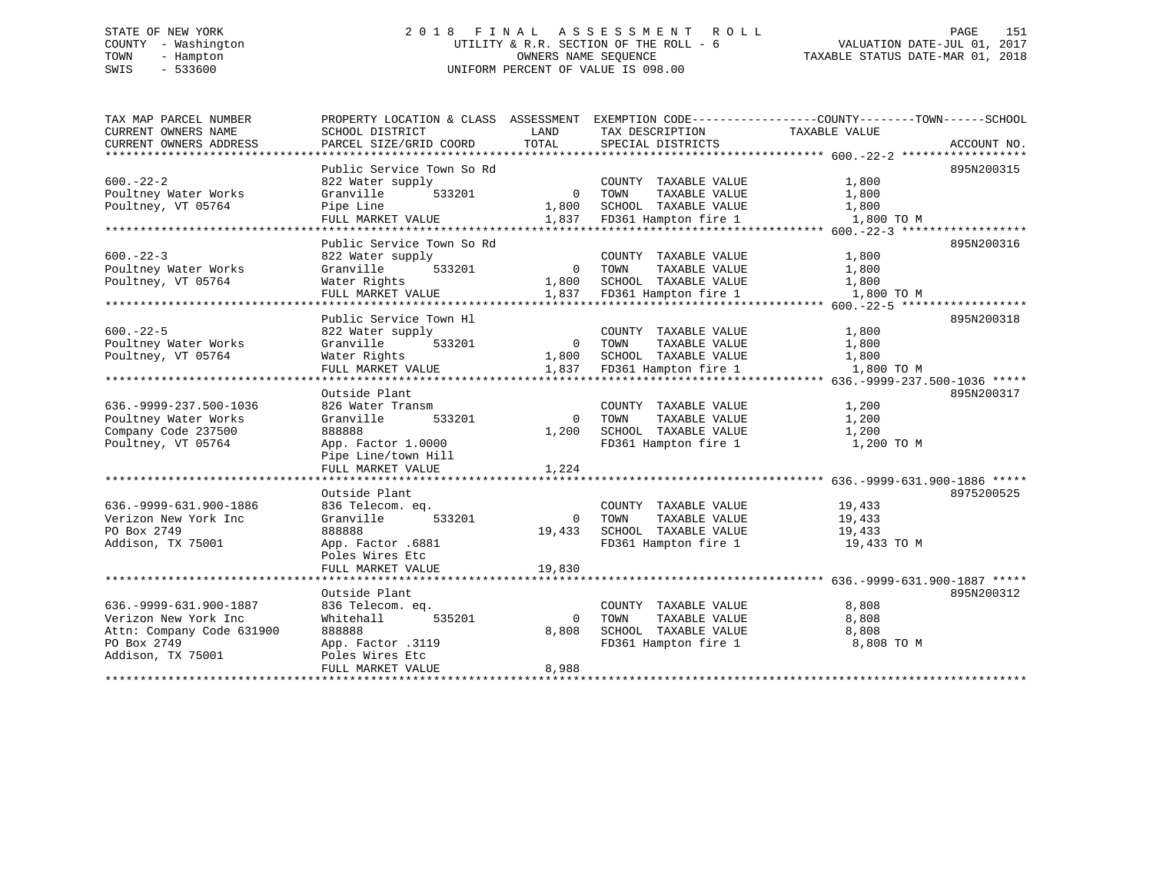# STATE OF NEW YORK 2 0 1 8 F I N A L A S S E S S M E N T R O L L PAGE 151 COUNTY - Washington UTILITY & R.R. SECTION OF THE ROLL - 6 VALUATION DATE-JUL 01, 2017 TOWN - Hampton OWNERS NAME SEQUENCE TAXABLE STATUS DATE-MAR 01, 2018 SWIS - 533600 UNIFORM PERCENT OF VALUE IS 098.00

| TAX MAP PARCEL NUMBER                         | PROPERTY LOCATION & CLASS ASSESSMENT      |               |                                      | EXEMPTION CODE-----------------COUNTY-------TOWN------SCHOOL |             |
|-----------------------------------------------|-------------------------------------------|---------------|--------------------------------------|--------------------------------------------------------------|-------------|
| CURRENT OWNERS NAME<br>CURRENT OWNERS ADDRESS | SCHOOL DISTRICT<br>PARCEL SIZE/GRID COORD | LAND<br>TOTAL | TAX DESCRIPTION<br>SPECIAL DISTRICTS | TAXABLE VALUE                                                |             |
|                                               |                                           |               |                                      |                                                              | ACCOUNT NO. |
|                                               | Public Service Town So Rd                 |               |                                      |                                                              | 895N200315  |
| $600 - 22 - 2$                                | 822 Water supply                          |               | COUNTY TAXABLE VALUE                 | 1,800                                                        |             |
| Poultney Water Works                          | Granville<br>533201                       | $\Omega$      | TOWN<br>TAXABLE VALUE                | 1,800                                                        |             |
| Poultney, VT 05764                            | Pipe Line                                 | 1,800         | SCHOOL TAXABLE VALUE                 | 1,800                                                        |             |
|                                               | FULL MARKET VALUE                         | 1,837         | FD361 Hampton fire 1                 | 1,800 TO M                                                   |             |
|                                               |                                           |               |                                      |                                                              |             |
|                                               | Public Service Town So Rd                 |               |                                      |                                                              | 895N200316  |
| $600 - 22 - 3$                                | 822 Water supply                          |               | COUNTY TAXABLE VALUE                 | 1,800                                                        |             |
| Poultney Water Works                          | 533201<br>Granville                       | $\circ$       | TAXABLE VALUE<br>TOWN                | 1,800                                                        |             |
| Poultney, VT 05764                            | Water Rights                              | 1,800         | SCHOOL TAXABLE VALUE                 | 1,800                                                        |             |
|                                               | FULL MARKET VALUE                         | 1,837         | FD361 Hampton fire 1                 | 1,800 TO M                                                   |             |
| *************************                     | ******************                        |               |                                      |                                                              |             |
|                                               | Public Service Town Hl                    |               |                                      |                                                              | 895N200318  |
| $600 - 22 - 5$                                | 822 Water supply                          |               | COUNTY TAXABLE VALUE                 | 1,800                                                        |             |
| Poultney Water Works                          | Granville<br>533201                       | $\Omega$      | TOWN<br>TAXABLE VALUE                | 1,800                                                        |             |
| Poultney, VT 05764                            | Water Rights                              | 1,800         | SCHOOL TAXABLE VALUE                 | 1,800                                                        |             |
|                                               | FULL MARKET VALUE                         | 1,837         | FD361 Hampton fire 1                 | 1,800 TO M                                                   |             |
|                                               | *********************                     |               |                                      |                                                              |             |
|                                               | Outside Plant                             |               |                                      |                                                              | 895N200317  |
| 636. - 9999 - 237. 500 - 1036                 | 826 Water Transm                          |               | COUNTY TAXABLE VALUE                 | 1,200                                                        |             |
| Poultney Water Works                          | 533201<br>Granville                       | 0             | TOWN<br>TAXABLE VALUE                | 1,200                                                        |             |
| Company Code 237500                           | 888888                                    | 1,200         | SCHOOL TAXABLE VALUE                 | 1,200                                                        |             |
| Poultney, VT 05764                            | App. Factor 1.0000                        |               | FD361 Hampton fire 1                 | 1,200 TO M                                                   |             |
|                                               | Pipe Line/town Hill                       |               |                                      |                                                              |             |
|                                               | FULL MARKET VALUE                         | 1,224         |                                      |                                                              |             |
|                                               |                                           |               |                                      |                                                              |             |
|                                               | Outside Plant                             |               |                                      |                                                              | 8975200525  |
| 636. - 9999 - 631. 900 - 1886                 | 836 Telecom. eq.                          |               | COUNTY TAXABLE VALUE                 | 19,433                                                       |             |
| Verizon New York Inc                          | 533201<br>Granville                       | $\Omega$      | TOWN<br>TAXABLE VALUE                | 19,433                                                       |             |
| PO Box 2749                                   | 888888                                    | 19,433        | SCHOOL TAXABLE VALUE                 | 19,433                                                       |             |
| Addison, TX 75001                             | App. Factor .6881                         |               | FD361 Hampton fire 1                 | 19,433 TO M                                                  |             |
|                                               | Poles Wires Etc                           |               |                                      |                                                              |             |
|                                               | FULL MARKET VALUE                         | 19,830        |                                      |                                                              |             |
|                                               |                                           |               |                                      |                                                              |             |
|                                               | Outside Plant                             |               |                                      |                                                              | 895N200312  |
| 636. - 9999 - 631. 900 - 1887                 | 836 Telecom. eq.                          |               | COUNTY TAXABLE VALUE                 | 8,808                                                        |             |
| Verizon New York Inc                          | 535201<br>Whitehall                       | $\mathbf 0$   | TOWN<br>TAXABLE VALUE                | 8,808                                                        |             |
| Attn: Company Code 631900                     | 888888                                    | 8,808         | SCHOOL TAXABLE VALUE                 | 8,808                                                        |             |
| PO Box 2749                                   | App. Factor .3119                         |               | FD361 Hampton fire 1                 | 8,808 TO M                                                   |             |
| Addison, TX 75001                             | Poles Wires Etc                           |               |                                      |                                                              |             |
|                                               | FULL MARKET VALUE<br>*******************  | 8,988         |                                      |                                                              |             |
|                                               |                                           |               |                                      |                                                              |             |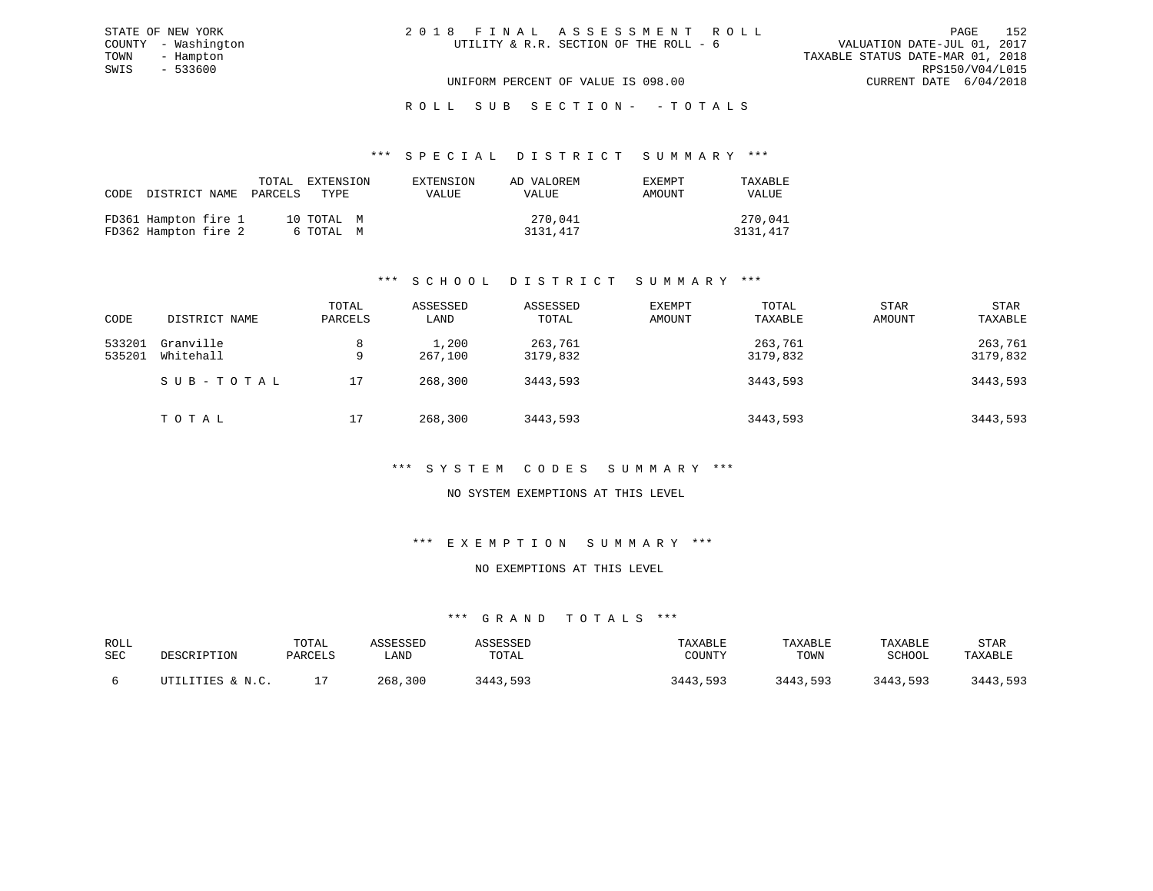|  |  | 2018 FINAL ASSESSMENT ROLL             |  |  |                                  |                             | PAGE. | 152 |
|--|--|----------------------------------------|--|--|----------------------------------|-----------------------------|-------|-----|
|  |  | UTILITY & R.R. SECTION OF THE ROLL - 6 |  |  |                                  | VALUATION DATE-JUL 01, 2017 |       |     |
|  |  |                                        |  |  | TAXABLE STATUS DATE-MAR 01, 2018 |                             |       |     |
|  |  |                                        |  |  |                                  | RPS150/V04/L015             |       |     |
|  |  | UNIFORM PERCENT OF VALUE IS 098.00     |  |  |                                  | CURRENT DATE 6/04/2018      |       |     |

STATE OF NEW YORK

# ROLL SUB SECTION - - TOTALS

#### \*\*\* S P E C I A L D I S T R I C T S U M M A R Y \*\*\*

|                                              | TOTAL<br>CODE DISTRICT NAME PARCELS TYPE | EXTENSION               | EXTENSION<br>VALUE | AD VALOREM<br><b>VALUE</b> | EXEMPT<br>AMOUNT | TAXABLE<br><b>VALUE</b> |
|----------------------------------------------|------------------------------------------|-------------------------|--------------------|----------------------------|------------------|-------------------------|
| FD361 Hampton fire 1<br>FD362 Hampton fire 2 |                                          | 10 TOTAL M<br>6 ТОТАЬ М |                    | 270,041<br>3131,417        |                  | 270,041<br>3131,417     |

# \*\*\* S C H O O L D I S T R I C T S U M M A R Y \*\*\*

| CODE             | DISTRICT NAME          | TOTAL<br>PARCELS | ASSESSED<br>LAND | ASSESSED<br>TOTAL   | <b>EXEMPT</b><br>AMOUNT | TOTAL<br>TAXABLE    | STAR<br>AMOUNT | <b>STAR</b><br>TAXABLE |
|------------------|------------------------|------------------|------------------|---------------------|-------------------------|---------------------|----------------|------------------------|
| 533201<br>535201 | Granville<br>Whitehall | 8<br>9           | 1,200<br>267,100 | 263,761<br>3179,832 |                         | 263,761<br>3179,832 |                | 263,761<br>3179,832    |
|                  | SUB-TOTAL              | 17               | 268,300          | 3443,593            |                         | 3443,593            |                | 3443,593               |
|                  | T O T A L              | 17               | 268,300          | 3443,593            |                         | 3443,593            |                | 3443,593               |

# \*\*\* S Y S T E M C O D E S S U M M A R Y \*\*\*

# NO SYSTEM EXEMPTIONS AT THIS LEVEL

# \*\*\* E X E M P T I O N S U M M A R Y \*\*\*

# NO EXEMPTIONS AT THIS LEVEL

| ROLL<br>SEC | DESCRIPTION                | TOTAL<br>PARCELS | <i><b>SSESSED</b></i><br>LAND | SSESSED<br>TOTAL | TAXABLE<br>COUNTY | TAXABLE<br>TOWN | TAXABLE<br>SCHOOL | STAR<br>TAXABLE |
|-------------|----------------------------|------------------|-------------------------------|------------------|-------------------|-----------------|-------------------|-----------------|
|             | TTILITIES & N.C.<br>ודיחזז |                  | 268,300                       | 3443,593         | 3443<br>593       | 3443,593        | 3443,593          | 3443 593        |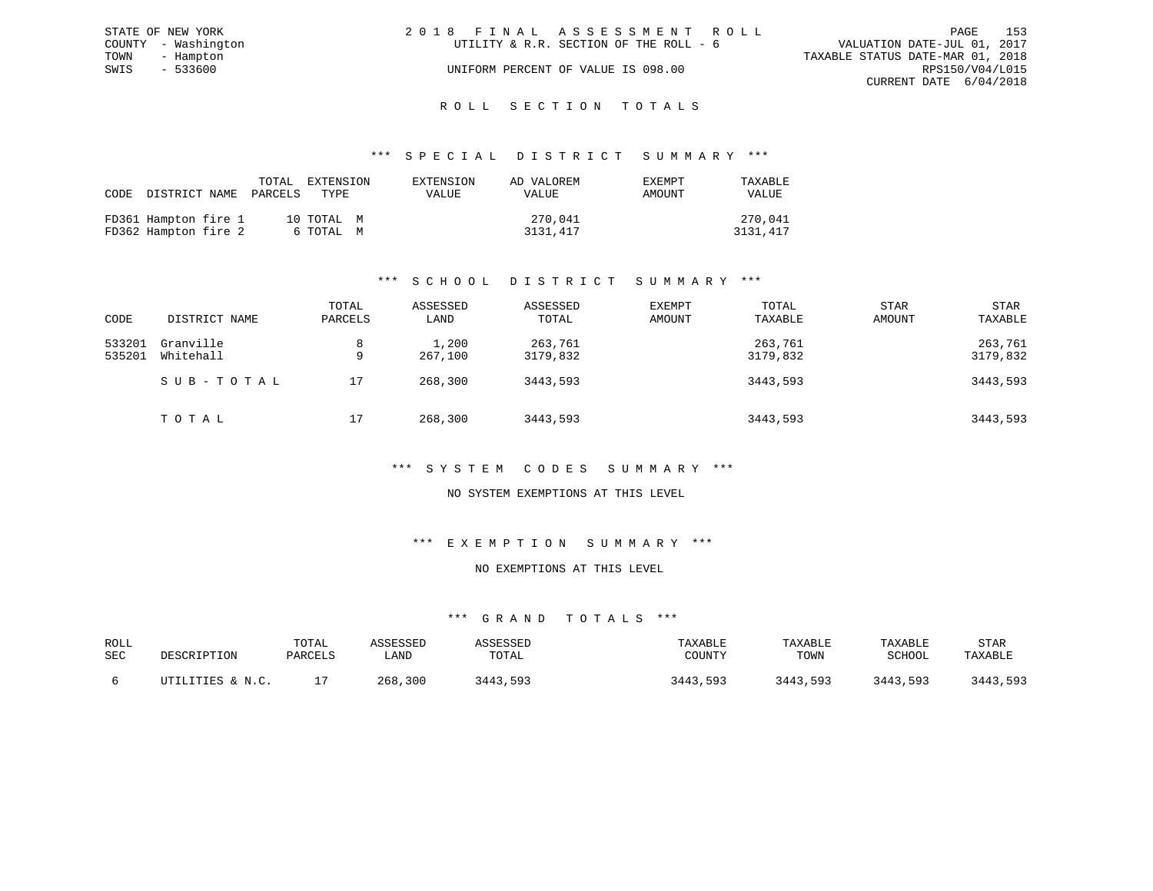| STATE OF NEW YORK   |           | 2018 FINAL ASSESSMENT ROLL             |                                  |                        | PAGE | 153 |
|---------------------|-----------|----------------------------------------|----------------------------------|------------------------|------|-----|
| COUNTY - Washington |           | UTILITY & R.R. SECTION OF THE ROLL - 6 | VALUATION DATE-JUL 01, 2017      |                        |      |     |
| TOWN - Hampton      |           |                                        | TAXABLE STATUS DATE-MAR 01, 2018 |                        |      |     |
| SWIS                | $-533600$ | UNIFORM PERCENT OF VALUE IS 098.00     |                                  | RPS150/V04/L015        |      |     |
|                     |           |                                        |                                  | CURRENT DATE 6/04/2018 |      |     |
|                     |           |                                        |                                  |                        |      |     |

# ROLL SECTION TOTALS

## \*\*\* S P E C I A L D I S T R I C T S U M M A R Y \*\*\*

| CODE |                                              | TOTAL<br>DISTRICT NAME PARCELS | EXTENSION<br>TYPE       | EXTENSION<br>VALUE | AD VALOREM<br>VALUE | EXEMPT<br>AMOUNT | TAXABLE<br><b>VALUE</b> |
|------|----------------------------------------------|--------------------------------|-------------------------|--------------------|---------------------|------------------|-------------------------|
|      | FD361 Hampton fire 1<br>FD362 Hampton fire 2 |                                | 10 TOTAL M<br>6 ТОТАL М |                    | 270,041<br>3131,417 |                  | 270,041<br>3131,417     |

# \*\*\* S C H O O L D I S T R I C T S U M M A R Y \*\*\*

| CODE             | DISTRICT NAME          | TOTAL<br>PARCELS | ASSESSED<br>LAND | ASSESSED<br>TOTAL   | EXEMPT<br>AMOUNT | TOTAL<br>TAXABLE    | STAR<br>AMOUNT | <b>STAR</b><br>TAXABLE |
|------------------|------------------------|------------------|------------------|---------------------|------------------|---------------------|----------------|------------------------|
| 533201<br>535201 | Granville<br>Whitehall | 9                | 1,200<br>267,100 | 263,761<br>3179,832 |                  | 263,761<br>3179,832 |                | 263,761<br>3179,832    |
|                  | SUB-TOTAL              | 17               | 268,300          | 3443,593            |                  | 3443,593            |                | 3443,593               |
|                  | ТОТАЬ                  | 17               | 268,300          | 3443,593            |                  | 3443,593            |                | 3443,593               |

# \*\*\* S Y S T E M C O D E S S U M M A R Y \*\*\*

# NO SYSTEM EXEMPTIONS AT THIS LEVEL

# \*\*\* E X E M P T I O N S U M M A R Y \*\*\*

# NO EXEMPTIONS AT THIS LEVEL

| ROLL<br><b>SEC</b> | DESCRIPTION               | TOTAL<br>PARCELS | <i><b>SSESSEL</b></i><br>LAND | SSESSED<br>TOTAL | TAXABLE<br>COUNTY | TAXABLE<br>TOWN | TAXABLE<br>SCHOOL | <b>STAR</b><br>TAXABLE |
|--------------------|---------------------------|------------------|-------------------------------|------------------|-------------------|-----------------|-------------------|------------------------|
|                    | T.TTTES & N C<br>17 T T T |                  | 300<br>268                    | 593<br>2442      | २४४२<br>593       | 3443,593        | 3443,593          | 3443,593               |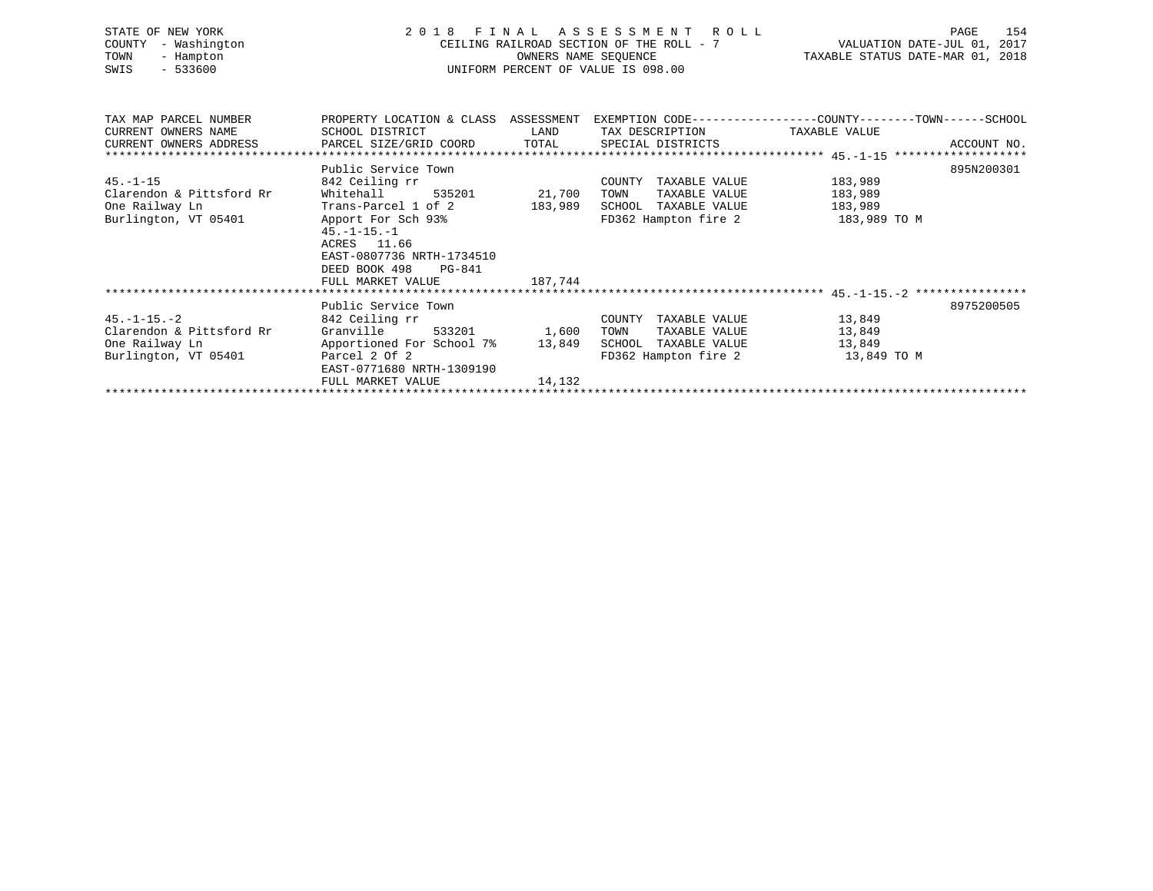| STATE OF NEW YORK<br>- Washington<br>COUNTY<br>TOWN<br>- Hampton<br>$-533600$<br>SWIS | 2 0 1 8                                                                                                          | FINAL<br>OWNERS NAME SEOUENCE | A S S E S S M E N T R O L L<br>UNIFORM PERCENT OF VALUE IS 098.00 | 154<br>PAGE<br>CEILING RAILROAD SECTION OF THE ROLL - 7 $\overline{V}$ VALUATION DATE-JUL 01, 2017<br>TAXABLE STATUS DATE-MAR 01, 2018 |  |  |
|---------------------------------------------------------------------------------------|------------------------------------------------------------------------------------------------------------------|-------------------------------|-------------------------------------------------------------------|----------------------------------------------------------------------------------------------------------------------------------------|--|--|
| TAX MAP PARCEL NUMBER<br>CURRENT OWNERS NAME                                          | SCHOOL DISTRICT                                                                                                  | LAND                          | TAX DESCRIPTION TAXABLE VALUE                                     | PROPERTY LOCATION & CLASS ASSESSMENT EXEMPTION CODE----------------COUNTY-------TOWN------SCHOOL                                       |  |  |
| CURRENT OWNERS ADDRESS                                                                | PARCEL SIZE/GRID COORD TOTAL                                                                                     |                               | SPECIAL DISTRICTS                                                 | ACCOUNT NO.                                                                                                                            |  |  |
|                                                                                       |                                                                                                                  |                               |                                                                   |                                                                                                                                        |  |  |
|                                                                                       | Public Service Town                                                                                              |                               |                                                                   | 895N200301                                                                                                                             |  |  |
| $45. - 1 - 15$                                                                        | 842 Ceiling rr                                                                                                   |                               | COUNTY TAXABLE VALUE                                              | 183,989                                                                                                                                |  |  |
| Clarendon & Pittsford Rr                                                              | Whitehall<br>535201                                                                                              | 21,700                        | TAXABLE VALUE<br>TOWN                                             | 183,989                                                                                                                                |  |  |
| One Railway Ln                                                                        | Trans-Parcel 1 of 2                                                                                              | 183,989                       | SCHOOL TAXABLE VALUE                                              | 183,989                                                                                                                                |  |  |
| Burlington, VT 05401                                                                  | Apport For Sch 93%<br>$45. - 1 - 15. - 1$<br>ACRES 11.66<br>EAST-0807736 NRTH-1734510<br>DEED BOOK 498<br>PG-841 |                               | FD362 Hampton fire 2                                              | 183,989 TO M                                                                                                                           |  |  |
|                                                                                       | FULL MARKET VALUE                                                                                                | 187,744                       |                                                                   |                                                                                                                                        |  |  |
|                                                                                       |                                                                                                                  |                               |                                                                   |                                                                                                                                        |  |  |
| $45. - 1 - 15. - 2$                                                                   | Public Service Town<br>842 Ceiling rr                                                                            |                               | COUNTY TAXABLE VALUE                                              | 8975200505<br>13,849                                                                                                                   |  |  |
| Clarendon & Pittsford Rr                                                              | Granville<br>533201                                                                                              | 1,600                         | TOWN<br>TAXABLE VALUE                                             | 13,849                                                                                                                                 |  |  |
| One Railway Ln                                                                        | Apportioned For School 7% 13,849                                                                                 |                               | SCHOOL TAXABLE VALUE                                              | 13,849                                                                                                                                 |  |  |
| Burlington, VT 05401                                                                  | Parcel 2 Of 2<br>EAST-0771680 NRTH-1309190                                                                       |                               | FD362 Hampton fire 2 13,849 TO M                                  |                                                                                                                                        |  |  |
|                                                                                       | FULL MARKET VALUE                                                                                                | 14,132                        |                                                                   |                                                                                                                                        |  |  |
|                                                                                       |                                                                                                                  |                               |                                                                   |                                                                                                                                        |  |  |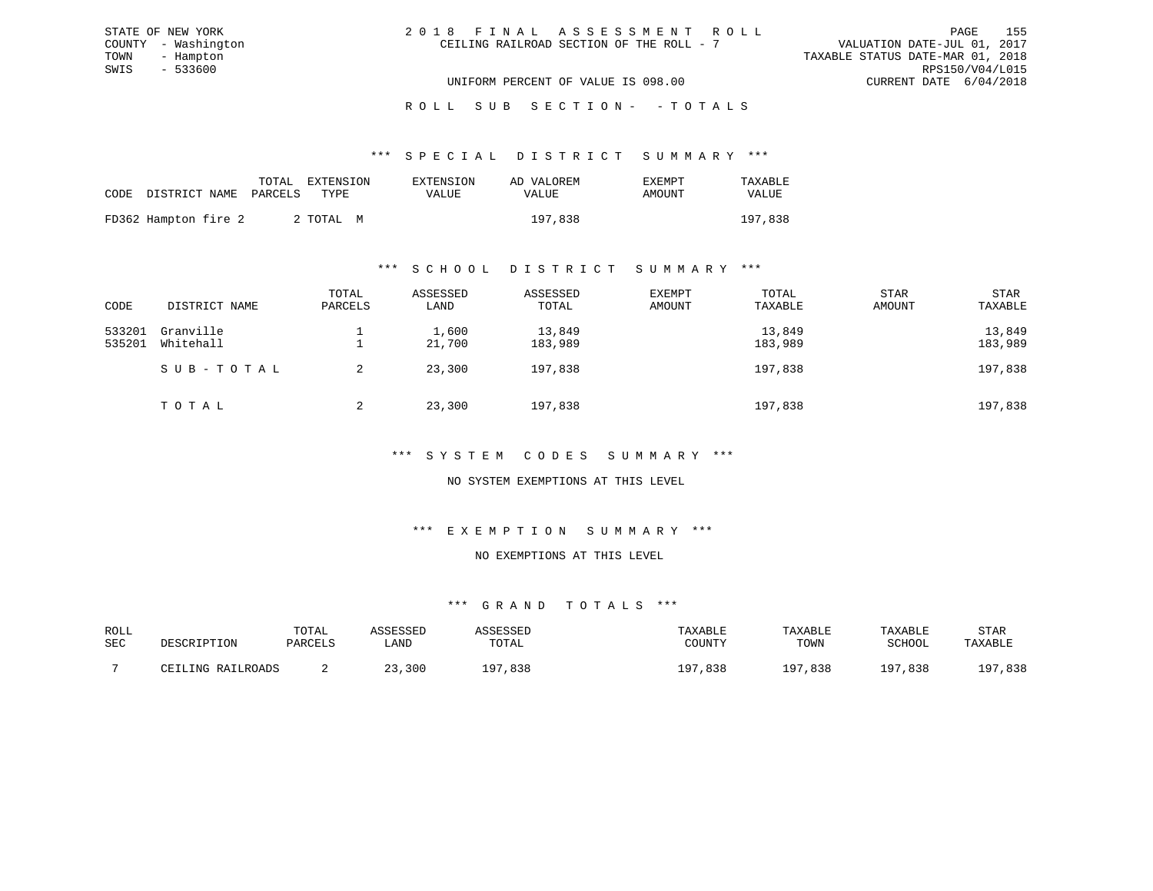| 2018 FINAL ASSESSMENT ROLL |                                          |                                  | PAGE                   | 155 |
|----------------------------|------------------------------------------|----------------------------------|------------------------|-----|
|                            | CEILING RAILROAD SECTION OF THE ROLL - 7 | VALUATION DATE-JUL 01, 2017      |                        |     |
|                            |                                          | TAXABLE STATUS DATE-MAR 01, 2018 |                        |     |
|                            |                                          |                                  | RPS150/V04/L015        |     |
|                            | UNIFORM PERCENT OF VALUE IS 098.00       |                                  | CURRENT DATE 6/04/2018 |     |

\*\*\* S P E C I A L D I S T R I C T S U M M A R Y \*\*\*

| CODE DISTRICT NAME PARCELS<br>AMOUNT<br>TYPE.<br>VALUE<br>VALUE<br>VALUE | TAXABLE |
|--------------------------------------------------------------------------|---------|
|                                                                          |         |
| FD362 Hampton fire 2<br>197,838<br>197,838<br>2 ТОТАЬ М                  |         |

STATE OF NEW YORK COUNTY - Washington TOWN - Hampton  $SWIS$  - 533600

#### \*\*\* S C H O O L D I S T R I C T S U M M A R Y \*\*\*

| CODE             | DISTRICT NAME          | TOTAL<br>PARCELS | ASSESSED<br>LAND | ASSESSED<br>TOTAL | EXEMPT<br>AMOUNT | TOTAL<br>TAXABLE  | STAR<br>AMOUNT | <b>STAR</b><br>TAXABLE |
|------------------|------------------------|------------------|------------------|-------------------|------------------|-------------------|----------------|------------------------|
| 533201<br>535201 | Granville<br>Whitehall |                  | 1,600<br>21,700  | 13,849<br>183,989 |                  | 13,849<br>183,989 |                | 13,849<br>183,989      |
|                  | SUB-TOTAL              |                  | 23,300           | 197,838           |                  | 197,838           |                | 197,838                |
|                  | TOTAL                  | 2                | 23,300           | 197,838           |                  | 197,838           |                | 197,838                |

\*\*\* S Y S T E M C O D E S S U M M A R Y \*\*\*

NO SYSTEM EXEMPTIONS AT THIS LEVEL

\*\*\* E X E M P T I O N S U M M A R Y \*\*\*

NO EXEMPTIONS AT THIS LEVEL

| ROLL |                   | TOTAL   | ASSESSED | ASSESSED | TAXABLE     | TAXABLE | TAXABLE | STAR    |
|------|-------------------|---------|----------|----------|-------------|---------|---------|---------|
| SEC  | DESCRIPTION       | PARCELS | LAND     | TOTAL    | COUNTY      | TOWN    | SCHOOL  | TAXABLE |
|      |                   |         |          |          |             |         |         |         |
|      | CEILING RAILROADS |         | 23,300   | 197,838  | ,838<br>197 | 197,838 | 197,838 | 197,838 |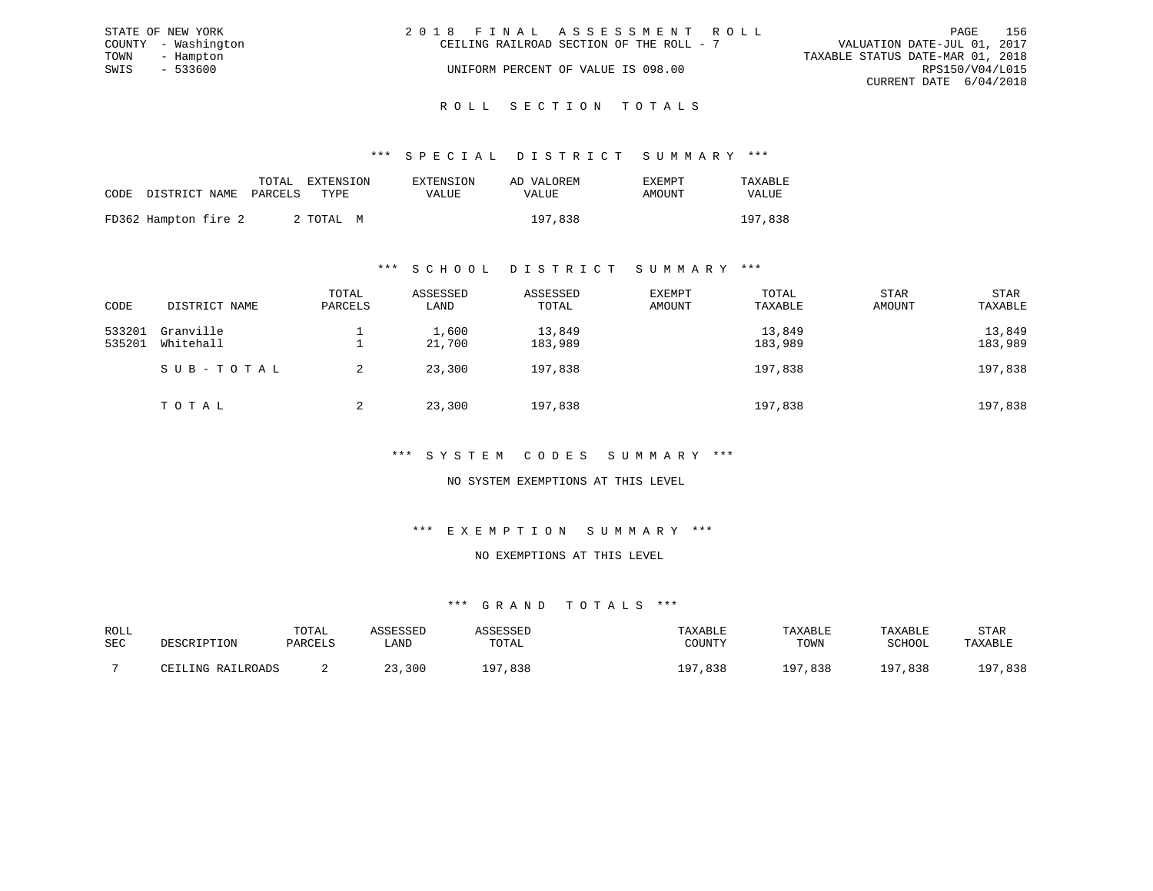|      | STATE OF NEW YORK   | 2018 FINAL ASSESSMENT ROLL               |                                  |                        | PAGE | 156 |
|------|---------------------|------------------------------------------|----------------------------------|------------------------|------|-----|
|      | COUNTY - Washington | CEILING RAILROAD SECTION OF THE ROLL - 7 | VALUATION DATE-JUL 01, 2017      |                        |      |     |
| TOWN | - Hampton           |                                          | TAXABLE STATUS DATE-MAR 01, 2018 |                        |      |     |
| SWIS | $-533600$           | UNIFORM PERCENT OF VALUE IS 098.00       |                                  | RPS150/V04/L015        |      |     |
|      |                     |                                          |                                  | CURRENT DATE 6/04/2018 |      |     |
|      |                     |                                          |                                  |                        |      |     |

#### R O L L S E C T I O N T O T A L S

# \*\*\* S P E C I A L D I S T R I C T S U M M A R Y \*\*\*

|                                 | TOTAL EXTENSION | EXTENSION    | AD VALOREM | EXEMPT | TAXABLE |
|---------------------------------|-----------------|--------------|------------|--------|---------|
| CODE DISTRICT NAME PARCELS TYPE |                 | <b>VALUE</b> | VALUE      | AMOUNT | VALUE   |
| FD362 Hampton fire 2            | 2 ТОТАЬ М       |              | 197,838    |        | 197,838 |

## \*\*\* S C H O O L D I S T R I C T S U M M A R Y \*\*\*

| CODE             | DISTRICT NAME          | TOTAL<br>PARCELS | ASSESSED<br>LAND | ASSESSED<br>TOTAL | EXEMPT<br>AMOUNT | TOTAL<br>TAXABLE  | <b>STAR</b><br>AMOUNT | STAR<br>TAXABLE   |
|------------------|------------------------|------------------|------------------|-------------------|------------------|-------------------|-----------------------|-------------------|
| 533201<br>535201 | Granville<br>Whitehall |                  | 1,600<br>21,700  | 13,849<br>183,989 |                  | 13,849<br>183,989 |                       | 13,849<br>183,989 |
|                  | SUB-TOTAL              |                  | 23,300           | 197,838           |                  | 197,838           |                       | 197,838           |
|                  | TOTAL                  | 2                | 23,300           | 197,838           |                  | 197,838           |                       | 197,838           |

# \*\*\* S Y S T E M C O D E S S U M M A R Y \*\*\*

# NO SYSTEM EXEMPTIONS AT THIS LEVEL

# \*\*\* E X E M P T I O N S U M M A R Y \*\*\*

#### NO EXEMPTIONS AT THIS LEVEL

| ROLL |                                   | TOTAL   | CCFCCFD |            | TAXABLE     | TAXABLE      | TAXABLE       | STAR        |
|------|-----------------------------------|---------|---------|------------|-------------|--------------|---------------|-------------|
| SEC  | DESCRIPTION                       | PARCELS | LAND    | TOTAL      | COUNTY      | TOWN         | SCHOOL        | TAXABLE     |
|      |                                   |         |         |            |             |              |               |             |
|      | RAILROADS<br>T.TNC<br>$\sqrt{17}$ |         | 23,300  | ,838<br>07 | 838,<br>n T | י מו<br>,838 | 1 Q 7<br>,838 | ,838<br>107 |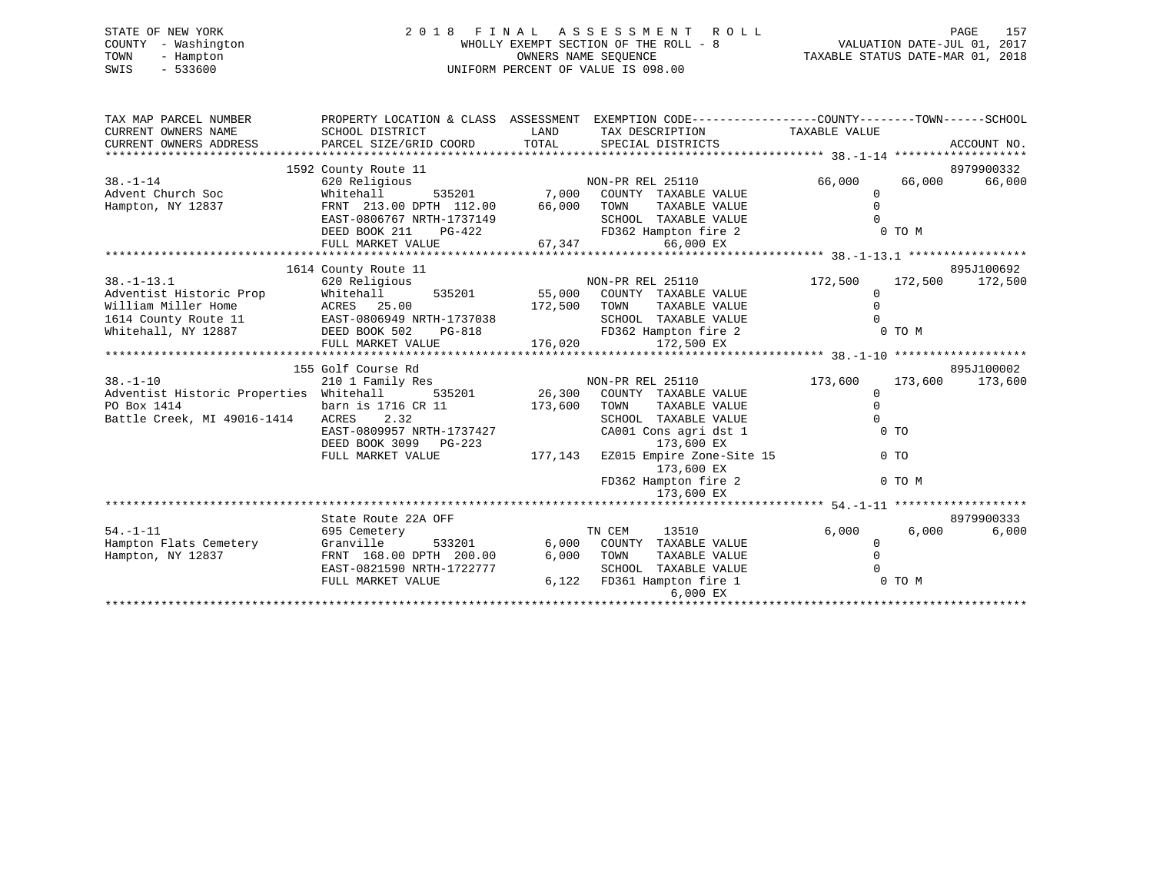# STATE OF NEW YORK 2 0 1 8 F I N A L A S S E S S M E N T R O L L PAGE 157 COUNTY - Washington WHOLLY EXEMPT SECTION OF THE ROLL - 8 VALUATION DATE-JUL 01, 2017 TOWN - Hampton OWNERS NAME SEQUENCE TAXABLE STATUS DATE-MAR 01, 2018 SWIS - 533600 UNIFORM PERCENT OF VALUE IS 098.00

| TAX MAP PARCEL NUMBER                   |                                                                                                                                   |       | PROPERTY LOCATION & CLASS ASSESSMENT EXEMPTION CODE---------------COUNTY-------TOWN------SCHOOL                              |                |        |                 |
|-----------------------------------------|-----------------------------------------------------------------------------------------------------------------------------------|-------|------------------------------------------------------------------------------------------------------------------------------|----------------|--------|-----------------|
|                                         |                                                                                                                                   |       |                                                                                                                              |                |        |                 |
|                                         |                                                                                                                                   |       |                                                                                                                              |                |        |                 |
|                                         | 1592 County Route 11                                                                                                              |       |                                                                                                                              |                |        | 8979900332      |
| $38. -1 - 14$                           | 620 Religious                                                                                                                     |       | NON-PR REL 25110                                                                                                             | 66,000         | 66,000 | 66,000          |
| Advent Church Soc Whitehall             |                                                                                                                                   |       | 535201 7,000 COUNTY TAXABLE VALUE                                                                                            | $\Omega$       |        |                 |
| Hampton, NY 12837                       | FRNT 213.00 DPTH 112.00 66,000 TOWN                                                                                               |       | TAXABLE VALUE                                                                                                                | $\overline{0}$ |        |                 |
|                                         | EAST-0806767 NRTH-1737149 SCHOOL TAXABLE VALUE<br>DEED BOOK 211 PG-422 FD362 Hampton fire 2<br>FULL MARKET VALUE 67,347 66,000 EX |       |                                                                                                                              | $\Omega$       |        |                 |
|                                         |                                                                                                                                   |       |                                                                                                                              | 0 TO M         |        |                 |
|                                         |                                                                                                                                   |       |                                                                                                                              |                |        |                 |
|                                         |                                                                                                                                   |       |                                                                                                                              |                |        |                 |
|                                         | 1614 County Route 11                                                                                                              |       | NON-PR REL 25110                                                                                                             |                |        | 895J100692      |
| $38. - 1 - 13.1$                        | 620 Religious                                                                                                                     |       |                                                                                                                              | 172,500        |        | 172,500 172,500 |
|                                         |                                                                                                                                   |       |                                                                                                                              |                |        |                 |
|                                         |                                                                                                                                   |       |                                                                                                                              |                |        |                 |
|                                         |                                                                                                                                   |       |                                                                                                                              |                |        |                 |
|                                         |                                                                                                                                   |       |                                                                                                                              |                |        |                 |
|                                         |                                                                                                                                   |       |                                                                                                                              |                |        |                 |
|                                         | 155 Golf Course Rd                                                                                                                |       |                                                                                                                              |                |        | 895J100002      |
| $38. - 1 - 10$                          | 210 1 Family Res                                                                                                                  |       | NON-PR REL 25110 173,600                                                                                                     |                |        | 173,600 173,600 |
| Adventist Historic Properties Whitehall |                                                                                                                                   |       | 535201 26,300 COUNTY TAXABLE VALUE                                                                                           | $\Omega$       |        |                 |
| PO Box 1414                             | barn is 1716 CR 11 173,600 TOWN                                                                                                   |       | TAXABLE VALUE                                                                                                                | $\Omega$       |        |                 |
| Battle Creek, MI 49016-1414             | ACRES 2.32                                                                                                                        |       | SCHOOL TAXABLE VALUE                                                                                                         | $\Omega$       |        |                 |
|                                         | ACKES 2.32<br>EAST-0809957 NRTH-1737427                                                                                           |       | CA001 Cons agri dst 1                                                                                                        |                | $0$ TO |                 |
|                                         |                                                                                                                                   |       |                                                                                                                              |                |        |                 |
|                                         |                                                                                                                                   |       | DEED BOOK 3099 PG-223 177,143 EZ015 Empire Zone-Site 15<br>FULL MARKET VALUE 177,143 EZ015 Empire Zone-Site 15<br>173,600 EX |                | $0$ TO |                 |
|                                         |                                                                                                                                   |       | FD362 Hampton fire 2                                                                                                         |                | 0 TO M |                 |
|                                         |                                                                                                                                   |       | 173,600 EX                                                                                                                   |                |        |                 |
|                                         |                                                                                                                                   |       |                                                                                                                              |                |        |                 |
|                                         | State Route 22A OFF                                                                                                               |       |                                                                                                                              |                |        | 8979900333      |
| $54. - 1 - 11$                          | 695 Cemetery                                                                                                                      |       | TN CEM<br>13510                                                                                                              | 6,000          | 6,000  | 6,000           |
| Hampton Flats Cemetery                  | Granville                                                                                                                         |       | 533201 6,000 COUNTY TAXABLE VALUE                                                                                            | $\mathbf 0$    |        |                 |
| Hampton, NY 12837                       |                                                                                                                                   | 6.000 | TOWN<br>TAXABLE VALUE                                                                                                        | $\Omega$       |        |                 |
|                                         | FRNT 168.00 DPTH 200.00<br>EAST-0821590 NRTH-1722777                                                                              |       | SCHOOL TAXABLE VALUE                                                                                                         | $\Omega$       |        |                 |
|                                         | FULL MARKET VALUE                                                                                                                 |       | 6,122 FD361 Hampton fire 1 0 TO M                                                                                            |                |        |                 |
|                                         |                                                                                                                                   |       |                                                                                                                              |                |        |                 |
|                                         |                                                                                                                                   |       |                                                                                                                              |                |        |                 |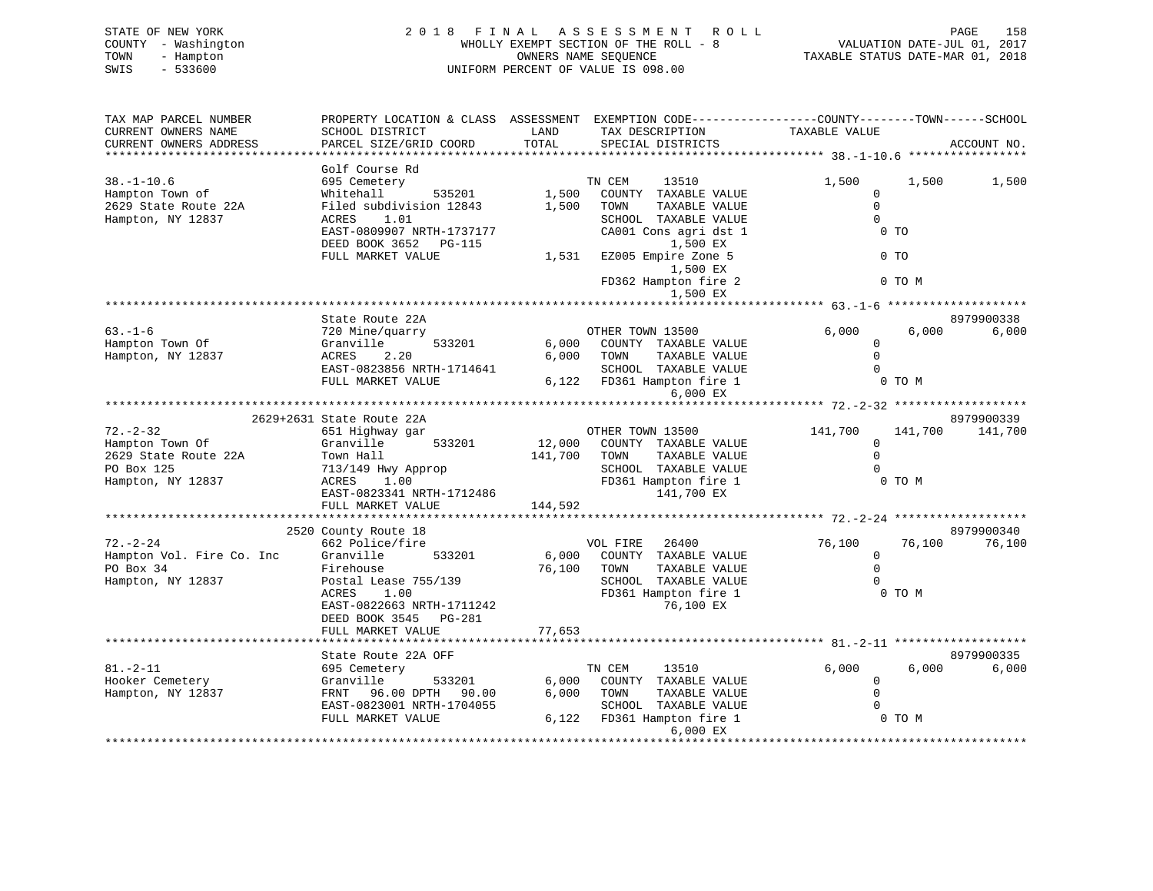| STATE OF NEW YORK   | 2018 FINAL ASSESSMENT ROLL            | 158<br>PAGE                      |
|---------------------|---------------------------------------|----------------------------------|
| COUNTY - Washington | WHOLLY EXEMPT SECTION OF THE ROLL - 8 | VALUATION DATE-JUL 01, 2017      |
| TOWN<br>- Hampton   | OWNERS NAME SEOUENCE                  | TAXABLE STATUS DATE-MAR 01, 2018 |
| SWIS<br>- 533600    | UNIFORM PERCENT OF VALUE IS 098.00    |                                  |
|                     |                                       |                                  |

| TAX MAP PARCEL NUMBER     | PROPERTY LOCATION & CLASS ASSESSMENT EXEMPTION CODE----------------COUNTY-------TOWN------SCHOOL |              |                              |                                                      |         |             |
|---------------------------|--------------------------------------------------------------------------------------------------|--------------|------------------------------|------------------------------------------------------|---------|-------------|
| CURRENT OWNERS NAME       | SCHOOL DISTRICT                                                                                  | LAND         | TAX DESCRIPTION              | TAXABLE VALUE                                        |         |             |
| CURRENT OWNERS ADDRESS    | PARCEL SIZE/GRID COORD                                                                           | TOTAL        | SPECIAL DISTRICTS            |                                                      |         | ACCOUNT NO. |
|                           |                                                                                                  |              |                              |                                                      |         |             |
|                           | Golf Course Rd                                                                                   |              |                              |                                                      |         |             |
| $38. - 1 - 10.6$          | 695 Cemetery                                                                                     |              | TN CEM<br>13510              | 1,500                                                | 1,500   | 1,500       |
|                           | Whitehall<br>535201                                                                              | 1,500        | COUNTY TAXABLE VALUE         | $\mathbf{0}$                                         |         |             |
| Hampton Town of           |                                                                                                  |              |                              | $\Omega$                                             |         |             |
| 2629 State Route 22A      | Filed subdivision 12843                                                                          | 1,500        | TOWN<br>TAXABLE VALUE        |                                                      |         |             |
| Hampton, NY 12837         | ACRES<br>1.01                                                                                    |              | SCHOOL TAXABLE VALUE         | $\Omega$                                             |         |             |
|                           | EAST-0809907 NRTH-1737177                                                                        |              | CA001 Cons agri dst 1        | 0 TO                                                 |         |             |
|                           | DEED BOOK 3652 PG-115                                                                            |              | 1,500 EX                     |                                                      |         |             |
|                           | FULL MARKET VALUE                                                                                | 1,531        | EZ005 Empire Zone 5          |                                                      | $0$ TO  |             |
|                           |                                                                                                  |              | 1,500 EX                     |                                                      |         |             |
|                           |                                                                                                  |              | FD362 Hampton fire 2         |                                                      | 0 TO M  |             |
|                           |                                                                                                  |              | 1,500 EX                     |                                                      |         |             |
|                           |                                                                                                  |              |                              | ·**************** 63.-1-6 ********************       |         |             |
|                           | State Route 22A                                                                                  |              |                              |                                                      |         | 8979900338  |
| $63. -1 - 6$              | 720 Mine/quarry                                                                                  |              | OTHER TOWN 13500             | 6,000                                                | 6,000   | 6,000       |
| Hampton Town Of           | 533201<br>Granville                                                                              |              | 6,000 COUNTY TAXABLE VALUE   | 0                                                    |         |             |
| Hampton, NY 12837         | ACRES<br>2.20                                                                                    |              | 6,000 TOWN<br>TAXABLE VALUE  | $\Omega$                                             |         |             |
|                           | EAST-0823856 NRTH-1714641                                                                        |              | SCHOOL TAXABLE VALUE         | $\Omega$                                             |         |             |
|                           | FULL MARKET VALUE                                                                                |              | 6,122 FD361 Hampton fire 1   |                                                      | 0 TO M  |             |
|                           |                                                                                                  |              |                              |                                                      |         |             |
|                           |                                                                                                  |              | 6,000 EX                     |                                                      |         |             |
|                           |                                                                                                  |              |                              | ********************** 72.-2-32 ******************** |         |             |
|                           | 2629+2631 State Route 22A                                                                        |              |                              |                                                      |         | 8979900339  |
| $72. - 2 - 32$            | 651 Highway gar                                                                                  |              | OTHER TOWN 13500             | 141,700                                              | 141,700 | 141,700     |
| Hampton Town Of           | Granville<br>533201                                                                              |              | 12,000 COUNTY TAXABLE VALUE  | $\mathbf 0$                                          |         |             |
| 2629 State Route 22A      | Town Hall                                                                                        | 141,700 TOWN | TAXABLE VALUE                | $\Omega$                                             |         |             |
| PO Box 125                | 713/149 Hwy Approp                                                                               |              | SCHOOL TAXABLE VALUE         |                                                      |         |             |
| Hampton, NY 12837         | ACRES<br>1.00                                                                                    |              | FD361 Hampton fire 1         |                                                      | 0 TO M  |             |
|                           | EAST-0823341 NRTH-1712486                                                                        |              | 141,700 EX                   |                                                      |         |             |
|                           | FULL MARKET VALUE                                                                                | 144,592      |                              |                                                      |         |             |
|                           |                                                                                                  |              |                              |                                                      |         |             |
|                           | 2520 County Route 18                                                                             |              |                              |                                                      |         | 8979900340  |
| $72. - 2 - 24$            | 662 Police/fire                                                                                  |              | VOL FIRE 26400               | 76,100                                               | 76,100  | 76,100      |
| Hampton Vol. Fire Co. Inc | Granville<br>533201                                                                              |              | 6,000 COUNTY TAXABLE VALUE   | $\mathbf{0}$                                         |         |             |
| PO Box 34                 | Firehouse                                                                                        |              | 76,100 TOWN<br>TAXABLE VALUE | $\Omega$                                             |         |             |
| Hampton, NY 12837         | Postal Lease 755/139                                                                             |              | SCHOOL TAXABLE VALUE         | $\Omega$                                             |         |             |
|                           | ACRES<br>1.00                                                                                    |              | FD361 Hampton fire 1         |                                                      | 0 TO M  |             |
|                           | EAST-0822663 NRTH-1711242                                                                        |              | 76,100 EX                    |                                                      |         |             |
|                           | DEED BOOK 3545 PG-281                                                                            |              |                              |                                                      |         |             |
|                           | FULL MARKET VALUE                                                                                | 77,653       |                              |                                                      |         |             |
|                           |                                                                                                  |              |                              |                                                      |         |             |
|                           |                                                                                                  |              |                              |                                                      |         |             |
|                           | State Route 22A OFF                                                                              |              |                              |                                                      |         | 8979900335  |
| $81. - 2 - 11$            | 695 Cemetery                                                                                     |              | TN CEM<br>13510              | 6,000                                                | 6,000   | 6,000       |
| Hooker Cemetery           | 533201<br>Granville                                                                              | 6,000        | COUNTY TAXABLE VALUE         | 0                                                    |         |             |
| Hampton, NY 12837         | 96.00 DPTH 90.00<br>FRNT                                                                         | 6,000        | TOWN<br>TAXABLE VALUE        | $\Omega$                                             |         |             |
|                           | EAST-0823001 NRTH-1704055                                                                        |              | SCHOOL TAXABLE VALUE         | $\Omega$                                             |         |             |
|                           | FULL MARKET VALUE                                                                                |              | 6,122 FD361 Hampton fire 1   |                                                      | 0 TO M  |             |
|                           |                                                                                                  |              | 6,000 EX                     |                                                      |         |             |
|                           |                                                                                                  |              |                              |                                                      |         |             |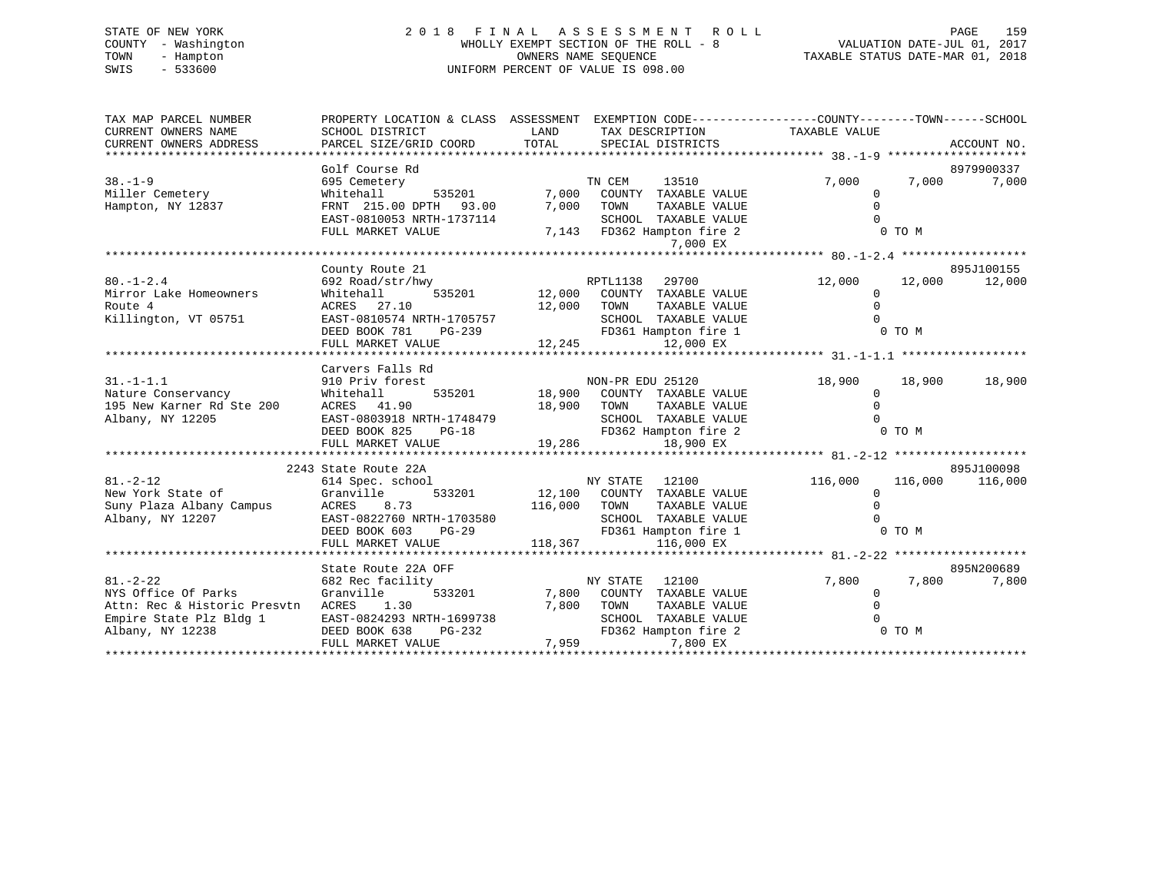# STATE OF NEW YORK 2 0 1 8 F I N A L A S S E S S M E N T R O L L PAGE 159 COUNTY - Washington WHOLLY EXEMPT SECTION OF THE ROLL - 8 VALUATION DATE-JUL 01, 2017 TOWN - Hampton OWNERS NAME SEQUENCE TAXABLE STATUS DATE-MAR 01, 2018 SWIS - 533600 UNIFORM PERCENT OF VALUE IS 098.00

| TAX MAP PARCEL NUMBER                                                              | PROPERTY LOCATION & CLASS ASSESSMENT EXEMPTION CODE----------------COUNTY-------TOWN------SCHOOL |                           |                                              |                         |                    |
|------------------------------------------------------------------------------------|--------------------------------------------------------------------------------------------------|---------------------------|----------------------------------------------|-------------------------|--------------------|
| CURRENT OWNERS NAME                                                                | SCHOOL DISTRICT                                                                                  | LAND                      | TAX DESCRIPTION                              | TAXABLE VALUE           |                    |
| CURRENT OWNERS ADDRESS                                                             | PARCEL SIZE/GRID COORD                                                                           | TOTAL                     | SPECIAL DISTRICTS                            |                         | ACCOUNT NO.        |
|                                                                                    |                                                                                                  |                           |                                              |                         |                    |
|                                                                                    | Golf Course Rd                                                                                   |                           |                                              |                         | 8979900337         |
| $38. - 1 - 9$                                                                      | 695 Cemetery                                                                                     |                           | TN CEM<br>13510                              | 7,000                   | 7,000<br>7,000     |
| Miller Cemetery                                                                    | 535201 7,000<br>Whitehall                                                                        |                           | COUNTY TAXABLE VALUE                         | $\Omega$                |                    |
| Hampton, NY 12837                                                                  | FRNT 215.00 DPTH 93.00                                                                           | 7,000                     | TOWN<br>TAXABLE VALUE                        | $\Omega$                |                    |
|                                                                                    | EAST-0810053 NRTH-1737114                                                                        |                           | SCHOOL TAXABLE VALUE                         |                         |                    |
|                                                                                    | FULL MARKET VALUE                                                                                |                           | 7,143 FD362 Hampton fire 2                   |                         | 0 TO M             |
|                                                                                    |                                                                                                  |                           | 7,000 EX                                     |                         |                    |
|                                                                                    |                                                                                                  |                           |                                              |                         |                    |
|                                                                                    | County Route 21                                                                                  |                           |                                              |                         | 895J100155         |
| $80. - 1 - 2.4$<br>Mirror Lake Homeowners                                          | 692 Road/str/hwy<br>535201<br>Whitehall                                                          | 12,000                    | RPTL1138<br>29700<br>COUNTY TAXABLE VALUE    | 12,000<br>$\Omega$      | 12,000 12,000      |
| Route 4                                                                            | ACRES 27.10                                                                                      | 12,000                    | TOWN<br>TAXABLE VALUE                        | $\Omega$                |                    |
| Killington, VT 05751                                                               | EAST-0810574 NRTH-1705757                                                                        |                           | SCHOOL TAXABLE VALUE                         |                         |                    |
|                                                                                    | DEED BOOK 781<br>PG-239                                                                          | SCHOOL<br>FD361<br>12,245 | FD361 Hampton fire 1                         | 0 TO M                  |                    |
|                                                                                    | FULL MARKET VALUE                                                                                |                           | 12,000 EX                                    |                         |                    |
|                                                                                    |                                                                                                  |                           |                                              |                         |                    |
|                                                                                    | Carvers Falls Rd                                                                                 |                           |                                              |                         |                    |
| $31. - 1 - 1.1$                                                                    | 910 Priv forest                                                                                  |                           | NON-PR EDU 25120                             | 18,900                  | 18,900 18,900      |
| Nature Conservancy                                                                 | Whitehall                                                                                        |                           | 535201 18,900 COUNTY TAXABLE VALUE           | $\Omega$                |                    |
| 195 New Karner Rd Ste 200                                                          | ACRES 41.90                                                                                      | 18,900 TOWN               | TAXABLE VALUE                                | $\Omega$                |                    |
| Albany, NY 12205                                                                   | EAST-0803918 NRTH-1748479                                                                        |                           | SCHOOL TAXABLE VALUE                         |                         |                    |
|                                                                                    | EAST-0803918 NRTH-1748479<br>DEED BOOK 825 PG-18                                                 |                           | FD362 Hampton fire 2                         |                         | 0 TO M             |
|                                                                                    | FULL MARKET VALUE                                                                                | 19,286                    | 18,900 EX                                    |                         |                    |
|                                                                                    |                                                                                                  |                           |                                              |                         |                    |
|                                                                                    | 2243 State Route 22A                                                                             |                           |                                              |                         | 895J100098         |
| $81. - 2 - 12$                                                                     | 614 Spec. school                                                                                 |                           | NY STATE 12100                               | 116,000                 | 116,000<br>116,000 |
| New York State of Granville<br>Suny Plaza Albany Campus ACRES 8<br>Albany NY 12207 | 533201                                                                                           |                           | 12,100 COUNTY TAXABLE VALUE                  | $\Omega$                |                    |
|                                                                                    | ACRES 8.73                                                                                       | 116,000 TOWN              | TAXABLE VALUE                                |                         |                    |
| Albany, NY 12207                                                                   | EAST-0822760 NRTH-1703580<br>DEED BOOK 603 PG-29                                                 |                           | SCHOOL TAXABLE VALUE                         |                         |                    |
|                                                                                    |                                                                                                  |                           | FD361 Hampton fire 1                         |                         | 0 TO M             |
|                                                                                    | FULL MARKET VALUE                                                                                | 118,367                   | 116,000 EX                                   |                         |                    |
|                                                                                    |                                                                                                  |                           |                                              |                         |                    |
|                                                                                    | State Route 22A OFF                                                                              |                           |                                              |                         | 895N200689         |
| $81. - 2 - 22$<br>NYS Office Of Parks                                              | 682 Rec facility                                                                                 |                           | NY STATE 12100<br>7,800 COUNTY TAXABLE VALUE | 7,800                   | 7,800<br>7,800     |
| Attn: Rec & Historic Presvtn ACRES 1.30                                            | Granville<br>533201                                                                              | 7,800                     | TOWN<br>TAXABLE VALUE                        | $\mathbf 0$<br>$\Omega$ |                    |
| Empire State Plz Bldg 1                                                            | EAST-0824293 NRTH-1699738                                                                        |                           | SCHOOL TAXABLE VALUE                         |                         |                    |
| Albany, NY 12238                                                                   | DEED BOOK 638<br>$PG-232$                                                                        |                           | FD362 Hampton fire 2                         |                         | 0 TO M             |
|                                                                                    |                                                                                                  |                           |                                              |                         |                    |
|                                                                                    |                                                                                                  |                           |                                              |                         |                    |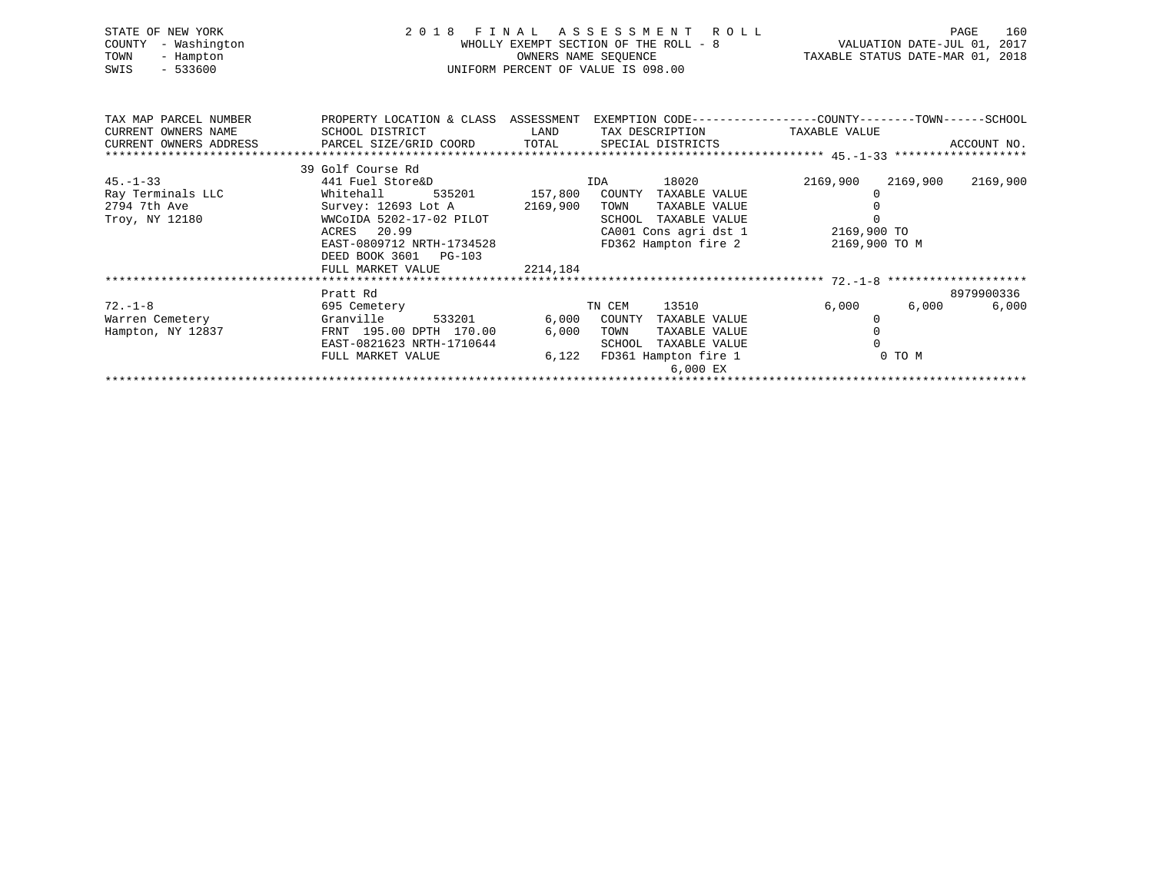| STATE OF NEW YORK<br>- Washington<br>COUNTY<br>TOWN<br>- Hampton<br>$-533600$<br>SWIS                                    | WHOLLY EXEMPT SECTION OF THE ROLL -<br>OWNERS NAME SEQUENCE<br>UNIFORM PERCENT OF VALUE IS 098.00                                                                                                           |                | 2018 FINAL ASSESSMENT ROLL<br>FINAL ASSESSMENT ROLL MHOLLY EXEMPT SECTION OF THE ROLL - 8<br>WALUATION DATE-JUL 01, 2017<br>OWNERS NAME SEQUENCE TAXABLE STATUS DATE-MAR 01, 2018 |                                             | 160<br>PAGE    |
|--------------------------------------------------------------------------------------------------------------------------|-------------------------------------------------------------------------------------------------------------------------------------------------------------------------------------------------------------|----------------|-----------------------------------------------------------------------------------------------------------------------------------------------------------------------------------|---------------------------------------------|----------------|
| TAX MAP PARCEL NUMBER THE PROPERTY LOCATION & CLASS ASSESSMENT EXEMPTION CODE---------------COUNTY-------TOWN-----SCHOOL |                                                                                                                                                                                                             |                |                                                                                                                                                                                   |                                             |                |
| $45. - 1 - 33$                                                                                                           | 39 Golf Course Rd<br>441 Fuel Store&D<br>Troy, NY 12180 WWCoIDA 5202-17-02 PILOT<br>ACRES 20.99<br>EAST-0809712 NRTH-1734528 FD362 Hampton fire 2<br>DEED BOOK 3601 PG-103<br>2214,184<br>FULL MARKET VALUE |                | IDA 18020<br>TAXABLE VALUE<br>SCHOOL TAXABLE VALUE<br>CA001 Cons agri dst 1 2169,900 TO                                                                                           | 2169,900 2169,900 2169,900<br>2169,900 TO M |                |
|                                                                                                                          | Pratt Rd                                                                                                                                                                                                    |                |                                                                                                                                                                                   |                                             | 8979900336     |
| $72. - 1 - 8$<br>Warren Cemetery<br>Hampton, NY 12837                                                                    | 595 Cemetery<br>Granville 533201 6,000 COUNTY<br>FRNT 195.00 DPTH 170.00<br>EAST-0821623 NRTH-1710644<br>FULL MARKET VALUE                                                                                  | 6,000<br>6,122 | TN CEM 13510 6,000<br>TAXABLE VALUE<br>TOWN<br>TAXABLE VALUE<br>SCHOOL TAXABLE VALUE<br>FD361 Hampton fire 1<br>6,000 EX                                                          | 0<br>0 TO M                                 | 6,000<br>6,000 |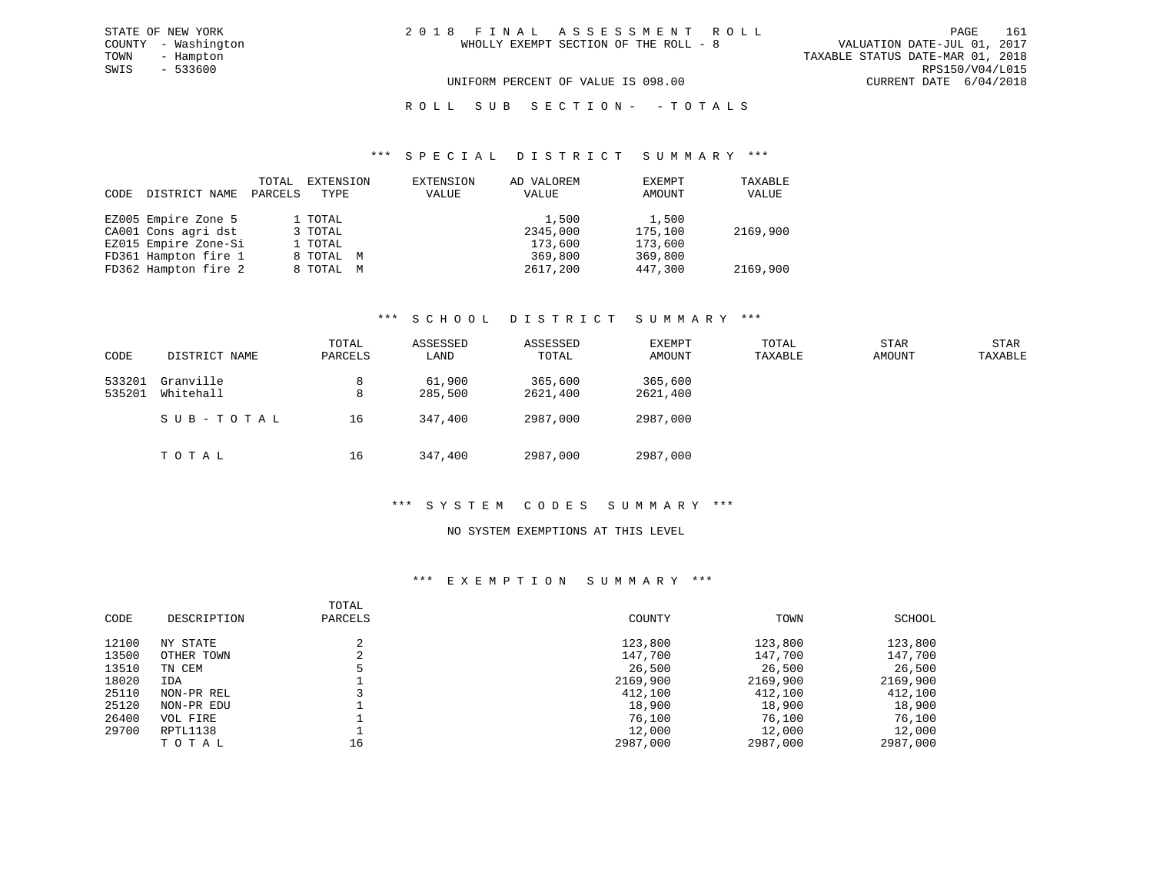$SWIS$  - 533600

UNIFORM PERCENT OF VALUE IS 098.00 CURRENT DATE 6/04/2018

ROLL SUB SECTION - - TOTALS

#### \*\*\* S P E C I A L D I S T R I C T S U M M A R Y \*\*\*

| CODE | DISTRICT NAME        | TOTAL<br>PARCELS | EXTENSION<br>TYPE | EXTENSION<br>VALUE | AD VALOREM<br>VALUE | EXEMPT<br>AMOUNT | TAXABLE<br>VALUE |
|------|----------------------|------------------|-------------------|--------------------|---------------------|------------------|------------------|
|      | EZ005 Empire Zone 5  |                  | 1 TOTAL           |                    | 1,500               | 1,500            |                  |
|      | CA001 Cons agri dst  |                  | 3 TOTAL           |                    | 2345,000            | 175,100          | 2169,900         |
|      | EZ015 Empire Zone-Si |                  | 1 TOTAL           |                    | 173,600             | 173,600          |                  |
|      | FD361 Hampton fire 1 |                  | 8 TOTAL M         |                    | 369,800             | 369,800          |                  |
|      | FD362 Hampton fire 2 |                  | 8 TOTAL M         |                    | 2617,200            | 447,300          | 2169,900         |

# \*\*\* S C H O O L D I S T R I C T S U M M A R Y \*\*\*

| CODE             | DISTRICT NAME          | TOTAL<br>PARCELS | ASSESSED<br>LAND  | ASSESSED<br>TOTAL   | EXEMPT<br>AMOUNT    | TOTAL<br>TAXABLE | <b>STAR</b><br>AMOUNT | STAR<br>TAXABLE |
|------------------|------------------------|------------------|-------------------|---------------------|---------------------|------------------|-----------------------|-----------------|
| 533201<br>535201 | Granville<br>Whitehall | 8<br>8           | 61,900<br>285,500 | 365,600<br>2621,400 | 365,600<br>2621,400 |                  |                       |                 |
|                  | SUB-TOTAL              | 16               | 347,400           | 2987,000            | 2987,000            |                  |                       |                 |
|                  | тотаь                  | 16               | 347,400           | 2987,000            | 2987,000            |                  |                       |                 |

# \*\*\* S Y S T E M C O D E S S U M M A R Y \*\*\*

# NO SYSTEM EXEMPTIONS AT THIS LEVEL

# \*\*\* E X E M P T I O N S U M M A R Y \*\*\*

| CODE  | DESCRIPTION | TOTAL<br>PARCELS | COUNTY   | TOWN     | SCHOOL   |
|-------|-------------|------------------|----------|----------|----------|
| 12100 | NY STATE    |                  | 123,800  | 123,800  | 123,800  |
| 13500 | OTHER TOWN  |                  | 147,700  | 147,700  | 147,700  |
| 13510 | TN CEM      |                  | 26,500   | 26,500   | 26,500   |
| 18020 | IDA         |                  | 2169,900 | 2169,900 | 2169,900 |
| 25110 | NON-PR REL  |                  | 412,100  | 412,100  | 412,100  |
| 25120 | NON-PR EDU  |                  | 18,900   | 18,900   | 18,900   |
| 26400 | VOL FIRE    |                  | 76,100   | 76,100   | 76,100   |
| 29700 | RPTL1138    |                  | 12,000   | 12,000   | 12,000   |
|       | TOTAL       | 16               | 2987,000 | 2987,000 | 2987,000 |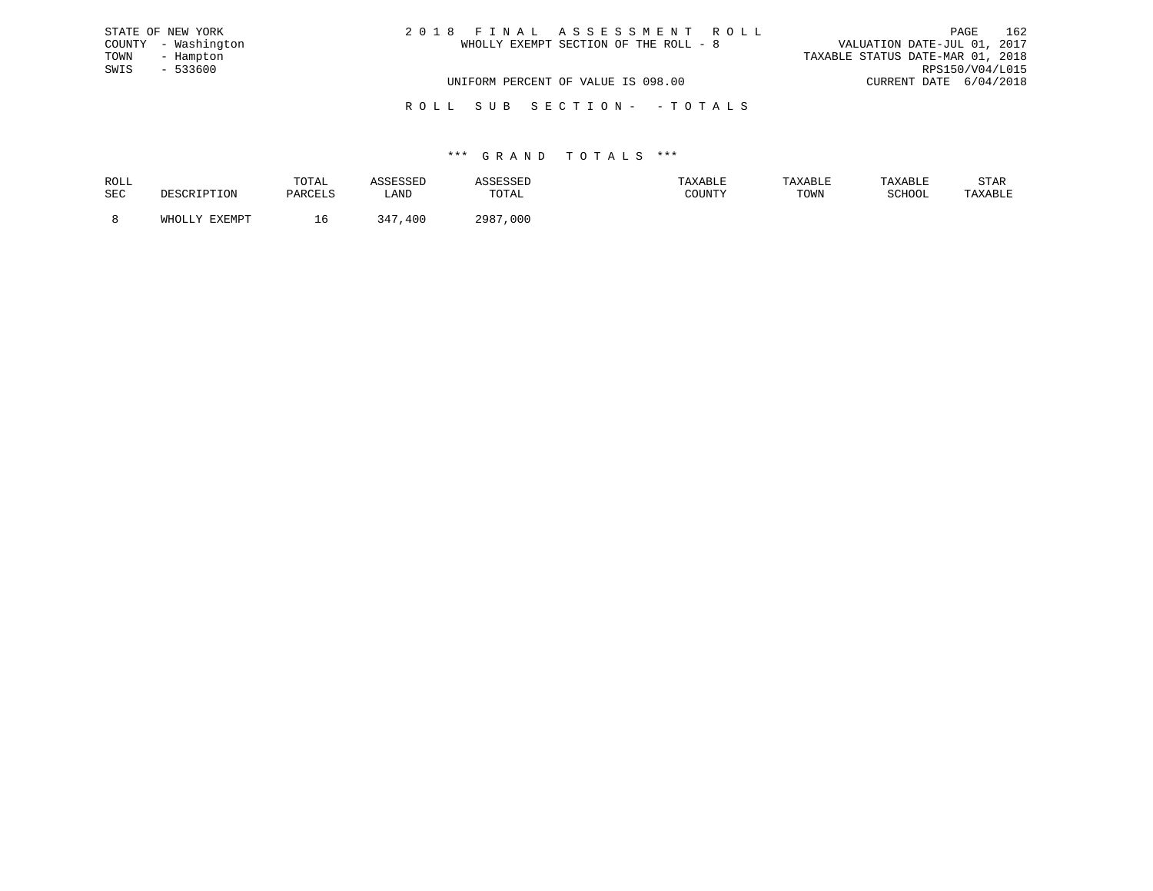| STATE OF NEW YORK   | 2018 FINAL ASSESSMENT ROLL            | 162<br>PAGE                      |
|---------------------|---------------------------------------|----------------------------------|
| COUNTY - Washington | WHOLLY EXEMPT SECTION OF THE ROLL - 8 | VALUATION DATE-JUL 01, 2017      |
| TOWN<br>- Hampton   |                                       | TAXABLE STATUS DATE-MAR 01, 2018 |
| SWIS - 533600       |                                       | RPS150/V04/L015                  |
|                     | UNIFORM PERCENT OF VALUE IS 098.00    | CURRENT DATE 6/04/2018           |
|                     |                                       |                                  |

R O L L S U B S E C T I O N - - T O T A L S

| ROLL       |               | TOTAL         |            |                     |        | TAXABLE | TAXARI.F          | STAR    |
|------------|---------------|---------------|------------|---------------------|--------|---------|-------------------|---------|
| <b>SEC</b> |               | <b>DARCET</b> | LAND       | <b>TOTA1</b><br>◡∸▱ | COUNTY | TOWN    | $\alpha$ $\alpha$ | TAXABLE |
|            | <b>TVEMDT</b> |               | 400<br>247 | 2007<br>,000        |        |         |                   |         |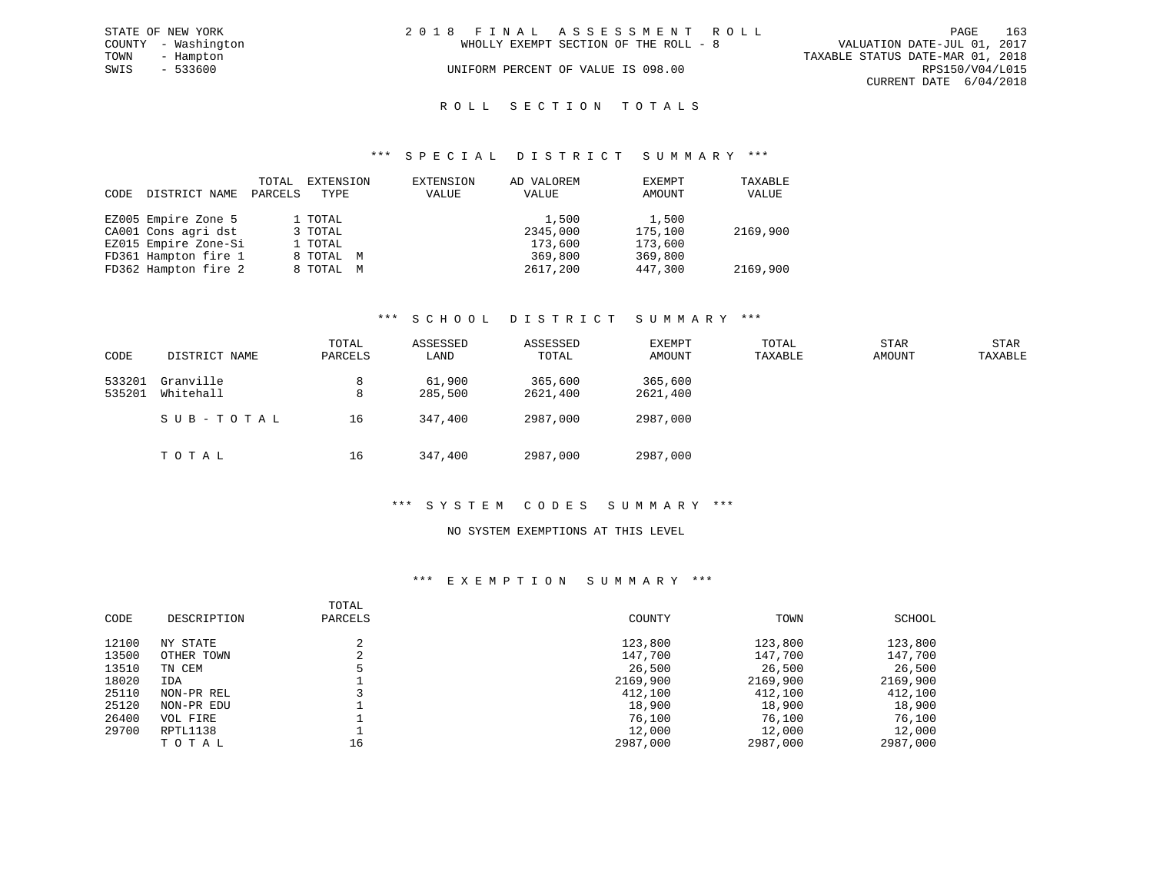|      | STATE OF NEW YORK   | 2018 FINAL ASSESSMENT ROLL |                                       |                                  | PAGE                   | 163 |
|------|---------------------|----------------------------|---------------------------------------|----------------------------------|------------------------|-----|
|      | COUNTY - Washington |                            | WHOLLY EXEMPT SECTION OF THE ROLL - 8 | VALUATION DATE-JUL 01, 2017      |                        |     |
| TOWN | - Hampton           |                            |                                       | TAXABLE STATUS DATE-MAR 01, 2018 |                        |     |
| SWIS | - 533600            |                            | UNIFORM PERCENT OF VALUE IS 098.00    |                                  | RPS150/V04/L015        |     |
|      |                     |                            |                                       |                                  | CURRENT DATE 6/04/2018 |     |
|      |                     |                            |                                       |                                  |                        |     |

# ROLL SECTION TOTALS

# \*\*\* S P E C I A L D I S T R I C T S U M M A R Y \*\*\*

| CODE | DISTRICT NAME        | TOTAL<br>PARCELS | EXTENSION<br>TYPE | EXTENSION<br>VALUE | AD VALOREM<br>VALUE | EXEMPT<br>AMOUNT | TAXABLE<br>VALUE |
|------|----------------------|------------------|-------------------|--------------------|---------------------|------------------|------------------|
|      | EZ005 Empire Zone 5  |                  | 1 TOTAL           |                    | 1,500               | 1,500            |                  |
|      | CA001 Cons agri dst  |                  | 3 TOTAL           |                    | 2345,000            | 175,100          | 2169,900         |
|      | EZ015 Empire Zone-Si |                  | 1 TOTAL           |                    | 173,600             | 173,600          |                  |
|      | FD361 Hampton fire 1 |                  | 8 TOTAL M         |                    | 369,800             | 369,800          |                  |
|      | FD362 Hampton fire 2 |                  | 8 TOTAL M         |                    | 2617,200            | 447,300          | 2169,900         |

# \*\*\* S C H O O L D I S T R I C T S U M M A R Y \*\*\*

| CODE             | DISTRICT NAME          | TOTAL<br>PARCELS | ASSESSED<br>LAND  | ASSESSED<br>TOTAL   | EXEMPT<br>AMOUNT    | TOTAL<br>TAXABLE | <b>STAR</b><br>AMOUNT | STAR<br>TAXABLE |
|------------------|------------------------|------------------|-------------------|---------------------|---------------------|------------------|-----------------------|-----------------|
| 533201<br>535201 | Granville<br>Whitehall | 8<br>8           | 61,900<br>285,500 | 365,600<br>2621,400 | 365,600<br>2621,400 |                  |                       |                 |
|                  | SUB-TOTAL              | 16               | 347,400           | 2987,000            | 2987,000            |                  |                       |                 |
|                  | TOTAL                  | 16               | 347,400           | 2987,000            | 2987,000            |                  |                       |                 |

# \*\*\* S Y S T E M C O D E S S U M M A R Y \*\*\*

# NO SYSTEM EXEMPTIONS AT THIS LEVEL

# \*\*\* E X E M P T I O N S U M M A R Y \*\*\*

| CODE  | DESCRIPTION | TOTAL<br>PARCELS | COUNTY   | TOWN     | SCHOOL   |
|-------|-------------|------------------|----------|----------|----------|
| 12100 | NY STATE    |                  | 123,800  | 123,800  | 123,800  |
| 13500 | OTHER TOWN  |                  | 147,700  | 147,700  | 147,700  |
| 13510 | TN CEM      |                  | 26,500   | 26,500   | 26,500   |
| 18020 | IDA         |                  | 2169,900 | 2169,900 | 2169,900 |
| 25110 | NON-PR REL  |                  | 412,100  | 412,100  | 412,100  |
| 25120 | NON-PR EDU  |                  | 18,900   | 18,900   | 18,900   |
| 26400 | VOL FIRE    |                  | 76,100   | 76,100   | 76,100   |
| 29700 | RPTL1138    |                  | 12,000   | 12,000   | 12,000   |
|       | TOTAL       | 16               | 2987,000 | 2987,000 | 2987,000 |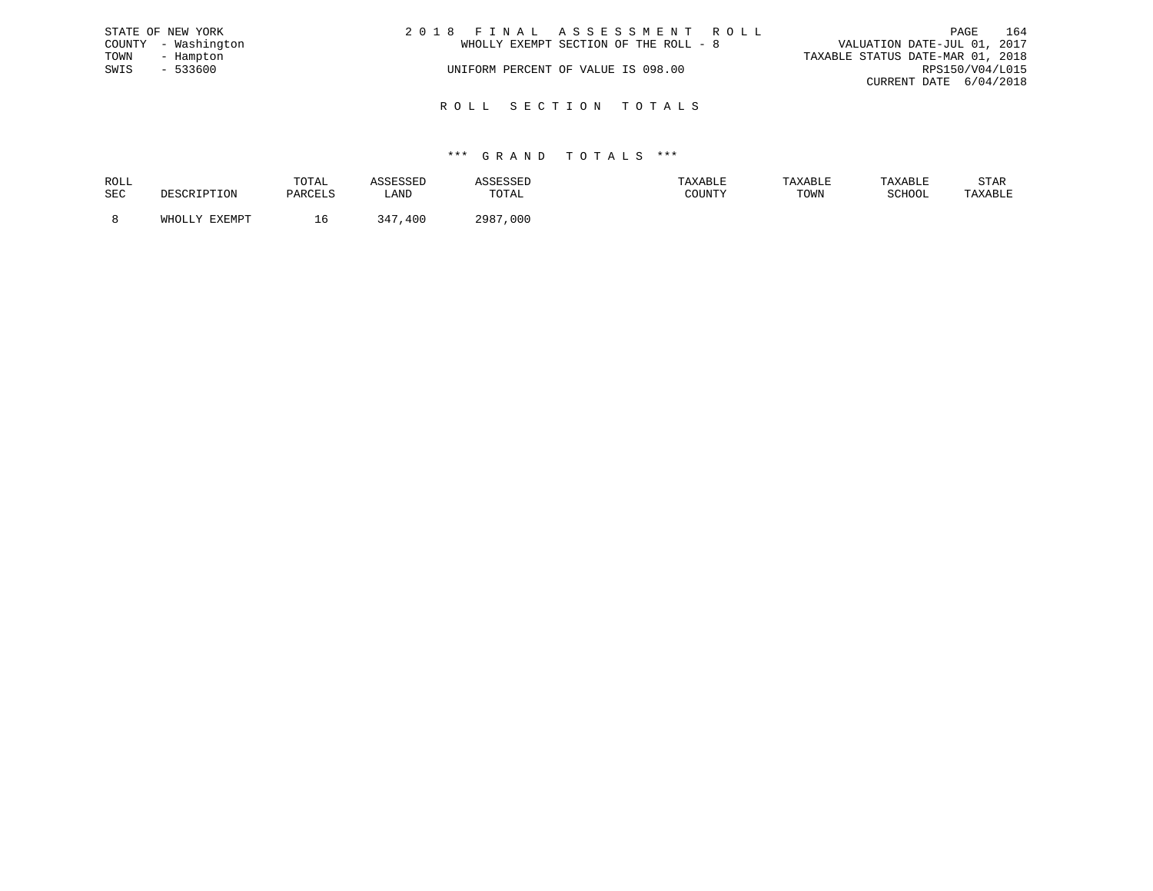|      | STATE OF NEW YORK   | 2018 FINAL ASSESSMENT ROLL            | 164<br>PAGE                      |
|------|---------------------|---------------------------------------|----------------------------------|
|      | COUNTY - Washington | WHOLLY EXEMPT SECTION OF THE ROLL - 8 | VALUATION DATE-JUL 01, 2017      |
| TOWN | - Hampton           |                                       | TAXABLE STATUS DATE-MAR 01, 2018 |
| SWIS | $-533600$           | UNIFORM PERCENT OF VALUE IS 098.00    | RPS150/V04/L015                  |
|      |                     |                                       | CURRENT DATE 6/04/2018           |
|      |                     |                                       |                                  |

R O L L S E C T I O N T O T A L S

| ROLL |                                       | TOTAL   |                        |              | TAXABLE | <b>TAXABL.</b> |        | STAR    |
|------|---------------------------------------|---------|------------------------|--------------|---------|----------------|--------|---------|
| SEC  | ח הר                                  | DARCT.S | <b>_AND</b>            | TOTAL        | ATINTHI | TOWN           | SCHOOL | 'AXABLE |
|      | <b>TUVEMOR</b><br>$5.777 \wedge 7.77$ | TP.     | 34 <sup>7</sup><br>400 | 2987<br>,000 |         |                |        |         |
|      |                                       |         |                        |              |         |                |        |         |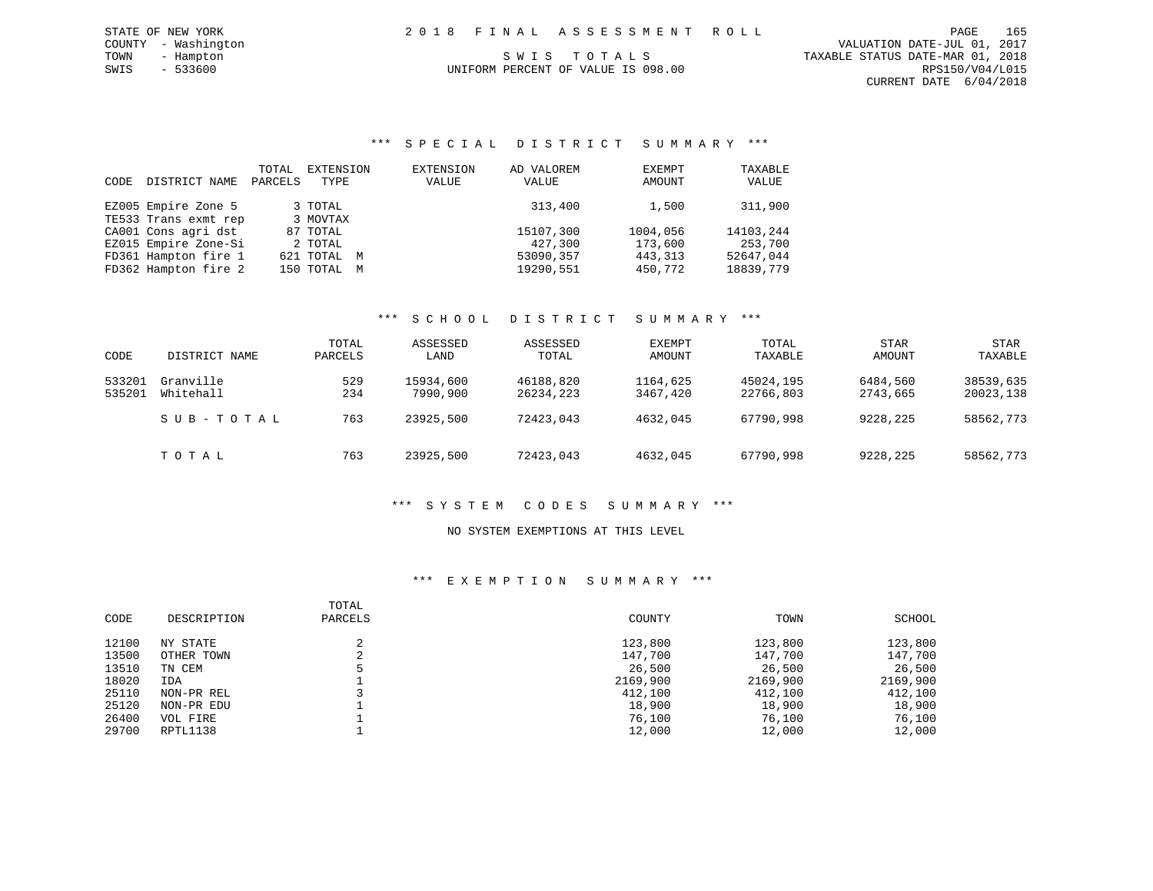# UNIFORM PERCENT OF VALUE IS 098.00

# \*\*\* S P E C I A L D I S T R I C T S U M M A R Y \*\*\*

| CODE | DISTRICT NAME        | TOTAL<br>PARCELS | EXTENSION<br>TYPE | EXTENSION<br>VALUE | AD VALOREM<br>VALUE | EXEMPT<br>AMOUNT | TAXABLE<br>VALUE |
|------|----------------------|------------------|-------------------|--------------------|---------------------|------------------|------------------|
|      | EZ005 Empire Zone 5  |                  | 3 TOTAL           |                    | 313,400             | 1,500            | 311,900          |
|      | TE533 Trans exmt rep |                  | 3 MOVTAX          |                    |                     |                  |                  |
|      | CA001 Cons agri dst  |                  | 87 TOTAL          |                    | 15107,300           | 1004,056         | 14103,244        |
|      | EZ015 Empire Zone-Si |                  | 2 TOTAL           |                    | 427,300             | 173,600          | 253,700          |
|      | FD361 Hampton fire 1 |                  | 621 TOTAL M       |                    | 53090,357           | 443, 313         | 52647.044        |
|      | FD362 Hampton fire 2 |                  | 150 TOTAL M       |                    | 19290.551           | 450,772          | 18839,779        |

# \*\*\* S C H O O L D I S T R I C T S U M M A R Y \*\*\*

| CODE   | DISTRICT NAME | TOTAL<br>PARCELS | ASSESSED<br>LAND | ASSESSED<br>TOTAL | EXEMPT<br>AMOUNT | TOTAL<br>TAXABLE | <b>STAR</b><br>AMOUNT | <b>STAR</b><br>TAXABLE |
|--------|---------------|------------------|------------------|-------------------|------------------|------------------|-----------------------|------------------------|
| 533201 | Granville     | 529              | 15934,600        | 46188,820         | 1164,625         | 45024,195        | 6484,560              | 38539,635              |
| 535201 | Whitehall     | 234              | 7990,900         | 26234,223         | 3467,420         | 22766,803        | 2743,665              | 20023,138              |
|        | SUB-TOTAL     | 763              | 23925,500        | 72423,043         | 4632,045         | 67790,998        | 9228,225              | 58562,773              |
|        | TOTAL         | 763              | 23925,500        | 72423,043         | 4632,045         | 67790,998        | 9228,225              | 58562,773              |

# \*\*\* S Y S T E M C O D E S S U M M A R Y \*\*\*

# NO SYSTEM EXEMPTIONS AT THIS LEVEL

# \*\*\* E X E M P T I O N S U M M A R Y \*\*\*

| CODE  | DESCRIPTION | TOTAL<br>PARCELS | COUNTY   | TOWN     | SCHOOL   |
|-------|-------------|------------------|----------|----------|----------|
| 12100 | NY STATE    |                  | 123,800  | 123,800  | 123,800  |
| 13500 | OTHER TOWN  | ◠<br>∠           | 147,700  | 147,700  | 147,700  |
| 13510 | TN CEM      |                  | 26,500   | 26,500   | 26,500   |
| 18020 | IDA         |                  | 2169,900 | 2169,900 | 2169,900 |
| 25110 | NON-PR REL  |                  | 412,100  | 412,100  | 412,100  |
| 25120 | NON-PR EDU  |                  | 18,900   | 18,900   | 18,900   |
| 26400 | VOL FIRE    |                  | 76,100   | 76,100   | 76,100   |
| 29700 | RPTL1138    |                  | 12,000   | 12,000   | 12,000   |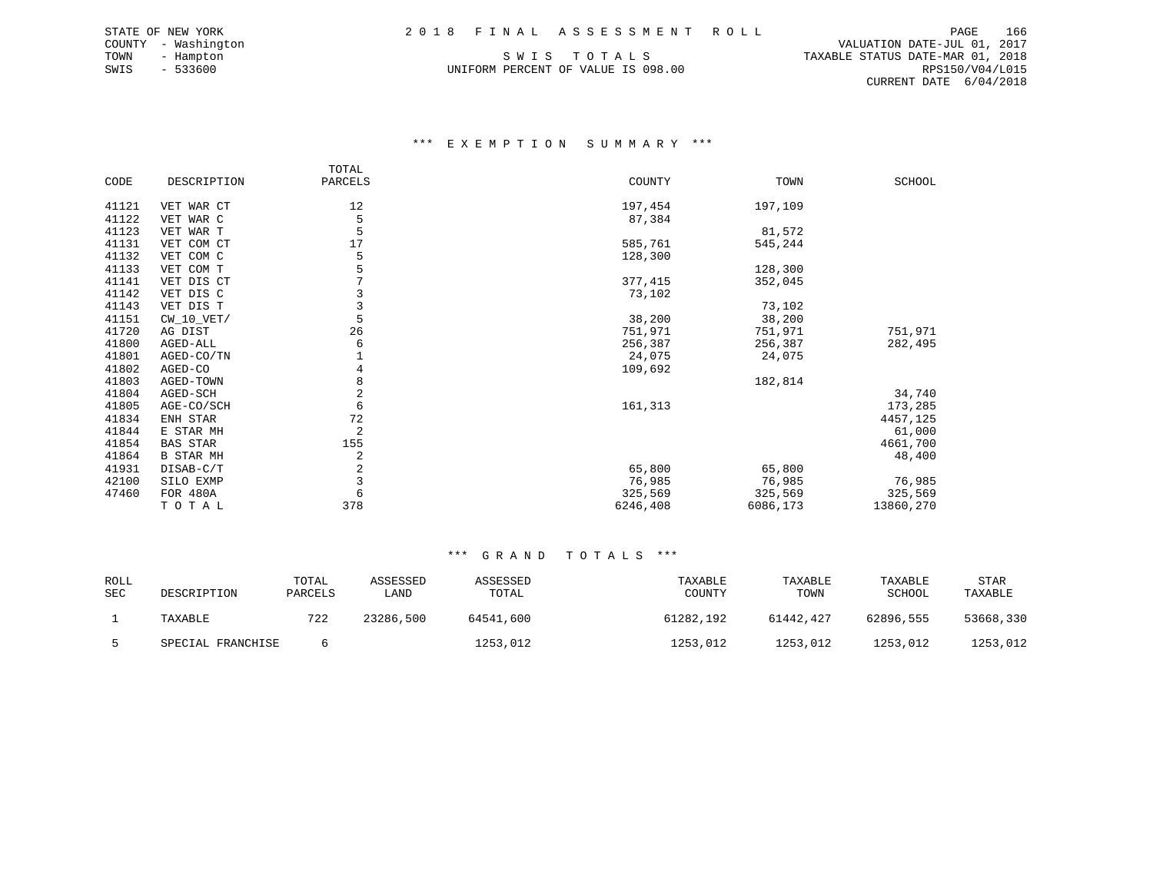UNIFORM PERCENT OF VALUE IS 098.00

 COUNTY - Washington VALUATION DATE-JUL 01, 2017 TOWN - Hampton S W I S T O T A L S TAXABLE STATUS DATE-MAR 01, 2018 CURRENT DATE 6/04/2018

# \*\*\* E X E M P T I O N S U M M A R Y \*\*\*

|       |                  | TOTAL   |          |          |           |
|-------|------------------|---------|----------|----------|-----------|
| CODE  | DESCRIPTION      | PARCELS | COUNTY   | TOWN     | SCHOOL    |
|       |                  |         |          |          |           |
| 41121 | VET WAR CT       | 12      | 197,454  | 197,109  |           |
| 41122 | VET WAR C        | 5       | 87,384   |          |           |
| 41123 | VET WAR T        |         |          | 81,572   |           |
| 41131 | VET COM CT       | 17      | 585,761  | 545,244  |           |
| 41132 | VET COM C        | 5       | 128,300  |          |           |
| 41133 | VET COM T        |         |          | 128,300  |           |
| 41141 | VET DIS CT       | 7       | 377,415  | 352,045  |           |
| 41142 | VET DIS C        | 3       | 73,102   |          |           |
| 41143 | VET DIS T        | 3       |          | 73,102   |           |
| 41151 | $CW_10_VET/$     | 5       | 38,200   | 38,200   |           |
| 41720 | AG DIST          | 26      | 751,971  | 751,971  | 751,971   |
| 41800 | AGED-ALL         | 6       | 256,387  | 256,387  | 282,495   |
| 41801 | AGED-CO/TN       |         | 24,075   | 24,075   |           |
| 41802 | AGED-CO          | 4       | 109,692  |          |           |
| 41803 | AGED-TOWN        | 8       |          | 182,814  |           |
| 41804 | AGED-SCH         | 2       |          |          | 34,740    |
| 41805 | AGE-CO/SCH       | 6       | 161,313  |          | 173,285   |
| 41834 | ENH STAR         | 72      |          |          | 4457,125  |
| 41844 | E STAR MH        | 2       |          |          | 61,000    |
| 41854 | <b>BAS STAR</b>  | 155     |          |          | 4661,700  |
| 41864 | <b>B STAR MH</b> | 2       |          |          | 48,400    |
| 41931 | DISAB-C/T        | 2       | 65,800   | 65,800   |           |
| 42100 | SILO EXMP        | 3       | 76,985   | 76,985   | 76,985    |
| 47460 | FOR 480A         | 6       | 325,569  | 325,569  | 325,569   |
|       | TOTAL            | 378     | 6246,408 | 6086,173 | 13860,270 |

| ROLL<br>SEC | DESCRIPTION       | TOTAL<br>PARCELS | ASSESSED<br>LAND | ASSESSED<br>TOTAL | TAXABLE<br>COUNTY | TAXABLE<br>TOWN | TAXABLE<br>SCHOOL | <b>STAR</b><br>TAXABLE |
|-------------|-------------------|------------------|------------------|-------------------|-------------------|-----------------|-------------------|------------------------|
|             | TAXABLE           | 722              | 23286,500        | 64541,600         | 61282,192         | 61442,427       | 62896,555         | 53668,330              |
|             | SPECIAL FRANCHISE |                  |                  | 1253,012          | 1253,012          | 1253,012        | 1253,012          | 1253,012               |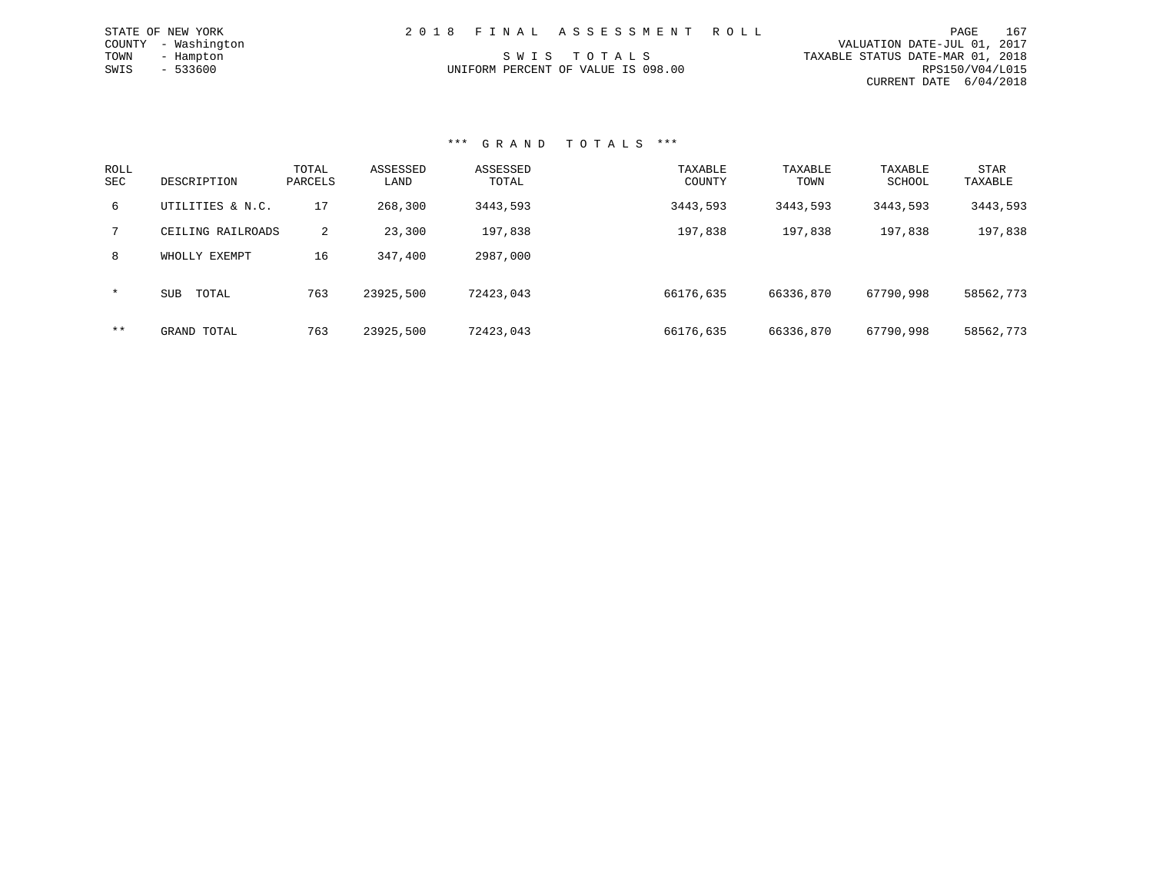| STATE OF NEW YORK   | 2018 FINAL ASSESSMENT ROLL         | 167<br>PAGE                      |
|---------------------|------------------------------------|----------------------------------|
| COUNTY - Washington |                                    | VALUATION DATE-JUL 01, 2017      |
| TOWN<br>- Hampton   | SWIS TOTALS                        | TAXABLE STATUS DATE-MAR 01, 2018 |
| $-533600$<br>SWIS   | UNIFORM PERCENT OF VALUE IS 098.00 | RPS150/V04/L015                  |
|                     |                                    | CURRENT DATE 6/04/2018           |

| ROLL<br><b>SEC</b> | DESCRIPTION         | TOTAL<br>PARCELS | ASSESSED<br>LAND | ASSESSED<br>TOTAL | TAXABLE<br>COUNTY | TAXABLE<br>TOWN | TAXABLE<br>SCHOOL | STAR<br>TAXABLE |
|--------------------|---------------------|------------------|------------------|-------------------|-------------------|-----------------|-------------------|-----------------|
| 6                  | UTILITIES & N.C.    | 17               | 268,300          | 3443,593          | 3443,593          | 3443,593        | 3443,593          | 3443,593        |
| 7                  | CEILING RAILROADS   | 2                | 23,300           | 197,838           | 197,838           | 197,838         | 197,838           | 197,838         |
| 8                  | WHOLLY EXEMPT       | 16               | 347,400          | 2987,000          |                   |                 |                   |                 |
| $\star$            | <b>SUB</b><br>TOTAL | 763              | 23925,500        | 72423,043         | 66176,635         | 66336,870       | 67790,998         | 58562,773       |
| $***$              | GRAND TOTAL         | 763              | 23925,500        | 72423,043         | 66176,635         | 66336,870       | 67790,998         | 58562,773       |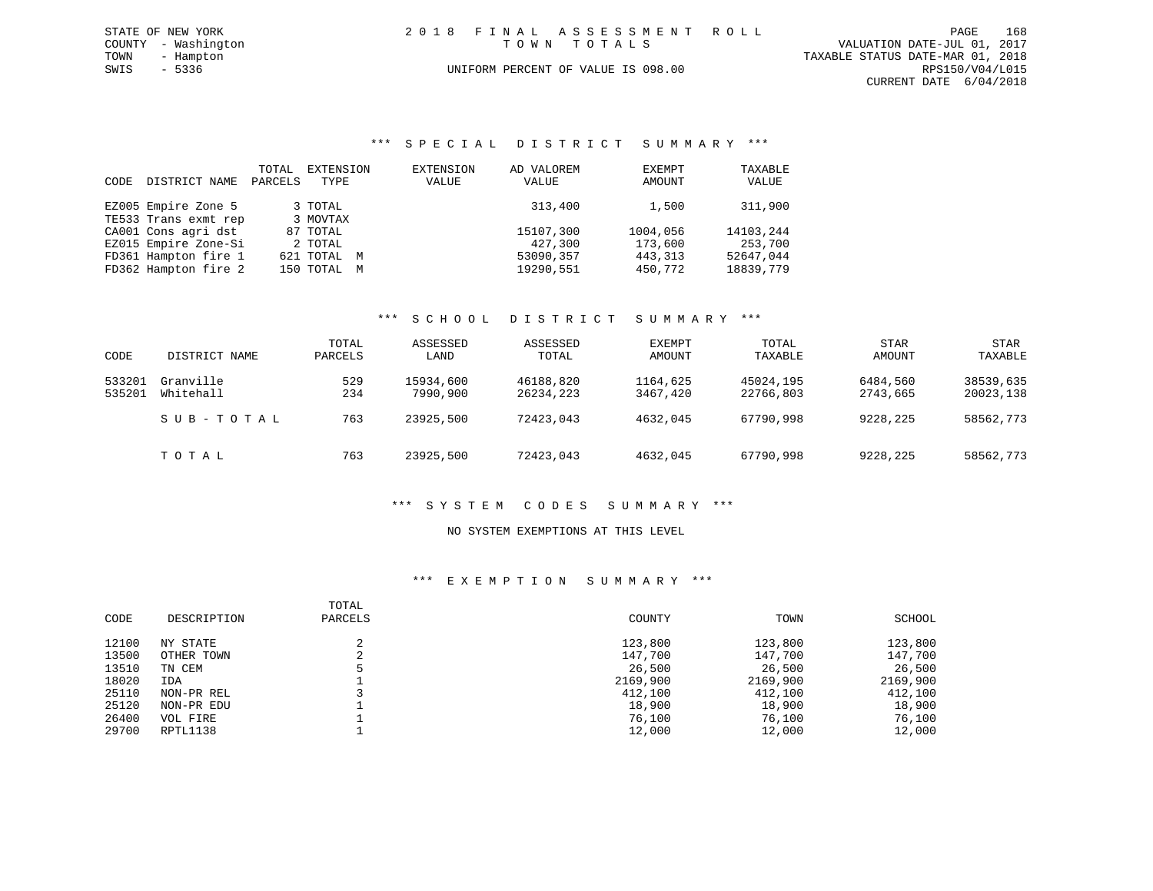| STATE OF NEW YORK   | 2018 FINAL ASSESSMENT ROLL         | 168<br>PAGE                      |
|---------------------|------------------------------------|----------------------------------|
| COUNTY - Washington | TOWN TOTALS                        | VALUATION DATE-JUL 01, 2017      |
| TOWN - Hampton      |                                    | TAXABLE STATUS DATE-MAR 01, 2018 |
| SWIS<br>- 5336      | UNIFORM PERCENT OF VALUE IS 098.00 | RPS150/V04/L015                  |
|                     |                                    | CURRENT DATE 6/04/2018           |
|                     |                                    |                                  |

# \*\*\* S P E C I A L D I S T R I C T S U M M A R Y \*\*\*

| CODE | DISTRICT NAME        | TOTAL<br>PARCELS | EXTENSION<br>TYPE | EXTENSION<br>VALUE | AD VALOREM<br>VALUE | EXEMPT<br>AMOUNT | TAXABLE<br>VALUE |
|------|----------------------|------------------|-------------------|--------------------|---------------------|------------------|------------------|
|      | EZ005 Empire Zone 5  |                  | 3 TOTAL           |                    | 313,400             | 1,500            | 311,900          |
|      | TE533 Trans exmt rep |                  | 3 MOVTAX          |                    |                     |                  |                  |
|      | CA001 Cons agri dst  |                  | 87 TOTAL          |                    | 15107,300           | 1004,056         | 14103,244        |
|      | EZ015 Empire Zone-Si |                  | 2 TOTAL           |                    | 427,300             | 173,600          | 253,700          |
|      | FD361 Hampton fire 1 |                  | 621 TOTAL M       |                    | 53090,357           | 443,313          | 52647,044        |
|      | FD362 Hampton fire 2 |                  | 150 TOTAL M       |                    | 19290,551           | 450,772          | 18839,779        |

# \*\*\* S C H O O L D I S T R I C T S U M M A R Y \*\*\*

|                  |                        | TOTAL      | ASSESSED              | ASSESSED               | EXEMPT               | TOTAL                  | STAR                 | <b>STAR</b>            |
|------------------|------------------------|------------|-----------------------|------------------------|----------------------|------------------------|----------------------|------------------------|
| CODE             | DISTRICT NAME          | PARCELS    | LAND                  | TOTAL                  | AMOUNT               | TAXABLE                | AMOUNT               | TAXABLE                |
| 533201<br>535201 | Granville<br>Whitehall | 529<br>234 | 15934,600<br>7990,900 | 46188,820<br>26234,223 | 1164,625<br>3467,420 | 45024,195<br>22766,803 | 6484,560<br>2743,665 | 38539,635<br>20023,138 |
|                  | SUB-TOTAL              | 763        | 23925,500             | 72423,043              | 4632,045             | 67790,998              | 9228,225             | 58562,773              |
|                  | TOTAL                  | 763        | 23925,500             | 72423,043              | 4632,045             | 67790,998              | 9228,225             | 58562,773              |

# \*\*\* S Y S T E M C O D E S S U M M A R Y \*\*\*

# NO SYSTEM EXEMPTIONS AT THIS LEVEL

# \*\*\* E X E M P T I O N S U M M A R Y \*\*\*

| CODE  | DESCRIPTION | TOTAL<br>PARCELS | COUNTY   | TOWN     | SCHOOL   |
|-------|-------------|------------------|----------|----------|----------|
| 12100 | NY STATE    |                  | 123,800  | 123,800  | 123,800  |
| 13500 | OTHER TOWN  |                  | 147,700  | 147,700  | 147,700  |
| 13510 | TN CEM      |                  | 26,500   | 26,500   | 26,500   |
| 18020 | IDA         |                  | 2169,900 | 2169,900 | 2169,900 |
| 25110 | NON-PR REL  |                  | 412,100  | 412,100  | 412,100  |
| 25120 | NON-PR EDU  |                  | 18,900   | 18,900   | 18,900   |
| 26400 | VOL FIRE    |                  | 76,100   | 76,100   | 76,100   |
| 29700 | RPTL1138    |                  | 12,000   | 12,000   | 12,000   |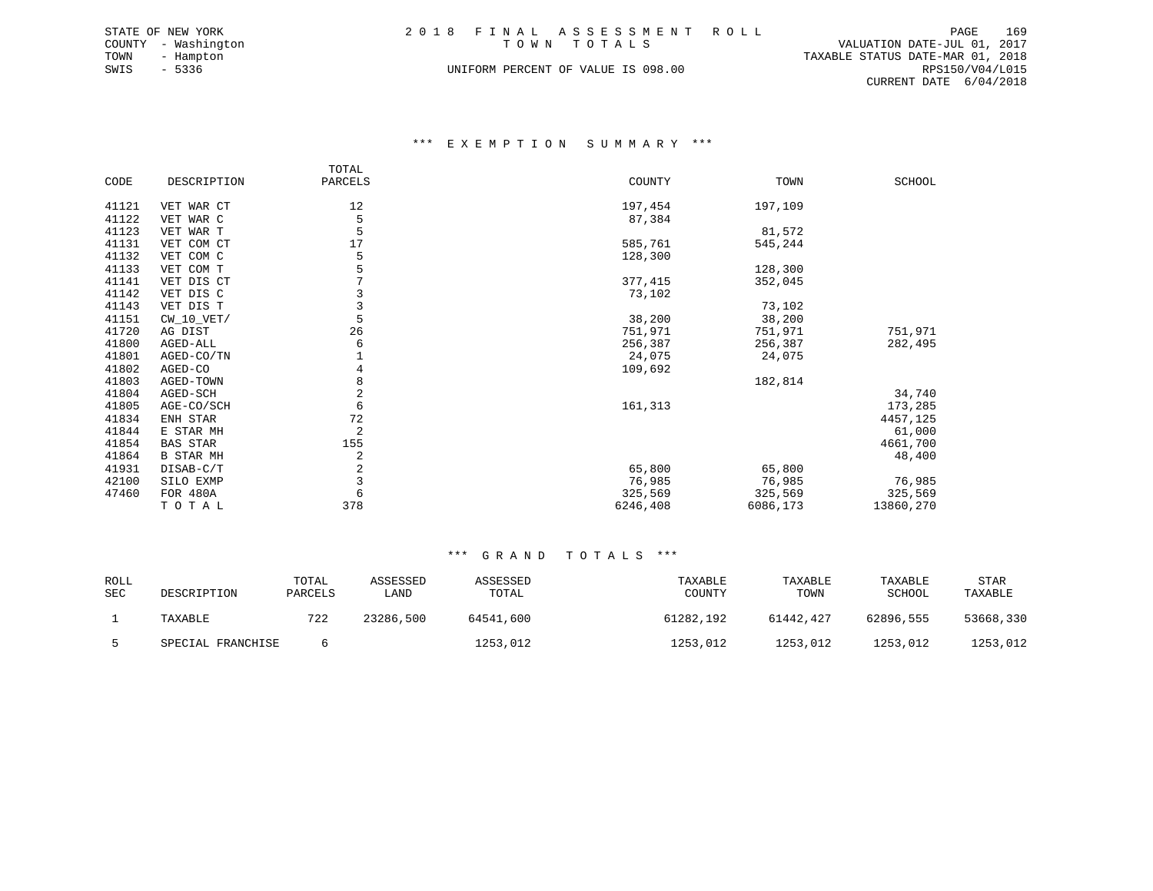|      | STATE OF NEW YORK   | 2018 FINAL ASSESSMENT ROLL         |                                  | PAGE            | 169 |
|------|---------------------|------------------------------------|----------------------------------|-----------------|-----|
|      | COUNTY - Washington | TOWN TOTALS                        | VALUATION DATE-JUL 01, 2017      |                 |     |
| TOWN | - Hampton           |                                    | TAXABLE STATUS DATE-MAR 01, 2018 |                 |     |
| SWIS | - 5336              | UNIFORM PERCENT OF VALUE IS 098.00 |                                  | RPS150/V04/L015 |     |
|      |                     |                                    | CURRENT DATE 6/04/2018           |                 |     |

# \*\*\* E X E M P T I O N S U M M A R Y \*\*\*

|       |                  | TOTAL   |          |          |               |
|-------|------------------|---------|----------|----------|---------------|
| CODE  | DESCRIPTION      | PARCELS | COUNTY   | TOWN     | <b>SCHOOL</b> |
|       |                  |         |          |          |               |
| 41121 | VET WAR CT       | 12      | 197,454  | 197,109  |               |
| 41122 | VET WAR C        | 5       | 87,384   |          |               |
| 41123 | VET WAR T        | 5       |          | 81,572   |               |
| 41131 | VET COM CT       | 17      | 585,761  | 545,244  |               |
| 41132 | VET COM C        | 5       | 128,300  |          |               |
| 41133 | VET COM T        | 5       |          | 128,300  |               |
| 41141 | VET DIS CT       | 7       | 377,415  | 352,045  |               |
| 41142 | VET DIS C        |         | 73,102   |          |               |
| 41143 | VET DIS T        | 3       |          | 73,102   |               |
| 41151 | $CW_10_VET/$     | 5       | 38,200   | 38,200   |               |
| 41720 | AG DIST          | 26      | 751,971  | 751,971  | 751,971       |
| 41800 | AGED-ALL         | 6       | 256,387  | 256,387  | 282,495       |
| 41801 | AGED-CO/TN       |         | 24,075   | 24,075   |               |
| 41802 | AGED-CO          | 4       | 109,692  |          |               |
| 41803 | AGED-TOWN        | 8       |          | 182,814  |               |
| 41804 | AGED-SCH         | 2       |          |          | 34,740        |
| 41805 | AGE-CO/SCH       | 6       | 161,313  |          | 173,285       |
| 41834 | ENH STAR         | 72      |          |          | 4457,125      |
| 41844 | E STAR MH        | 2       |          |          | 61,000        |
| 41854 | BAS STAR         | 155     |          |          | 4661,700      |
| 41864 | <b>B STAR MH</b> | 2       |          |          | 48,400        |
| 41931 | DISAB-C/T        | 2       | 65,800   | 65,800   |               |
| 42100 | SILO EXMP        | 3       | 76,985   | 76,985   | 76,985        |
| 47460 | FOR 480A         | 6       | 325,569  | 325,569  | 325,569       |
|       | TOTAL            | 378     | 6246,408 | 6086,173 | 13860,270     |

| ROLL<br>SEC | DESCRIPTION       | TOTAL<br>PARCELS | ASSESSED<br>LAND | ASSESSED<br>TOTAL | TAXABLE<br>COUNTY | TAXABLE<br>TOWN | TAXABLE<br>SCHOOL | STAR<br>TAXABLE |
|-------------|-------------------|------------------|------------------|-------------------|-------------------|-----------------|-------------------|-----------------|
|             | TAXABLE           | 722              | 23286,500        | 64541,600         | 61282,192         | 61442,427       | 62896,555         | 53668,330       |
|             | SPECIAL FRANCHISE |                  |                  | 1253,012          | 1253,012          | 1253,012        | 1253,012          | 1253,012        |